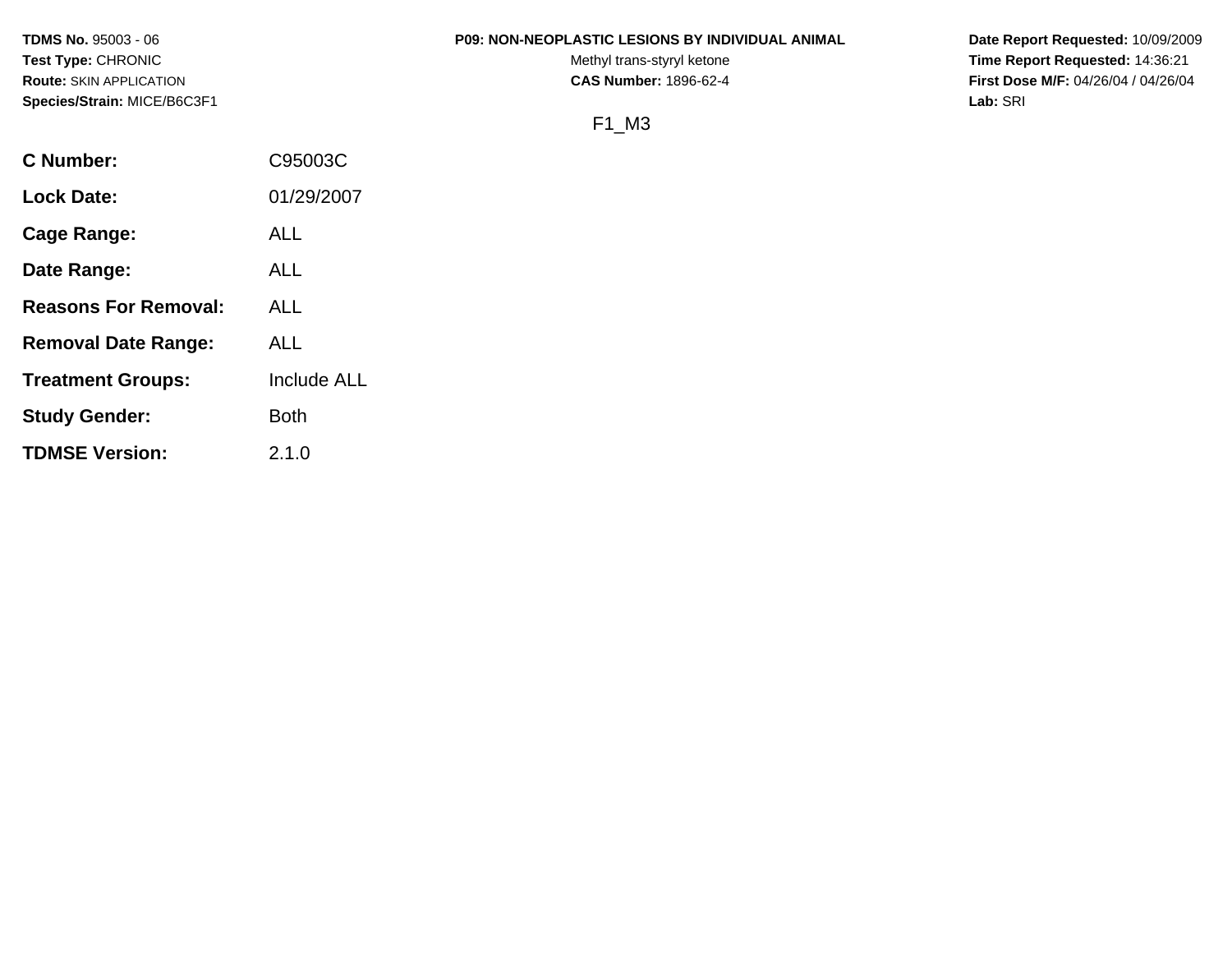## **TDMS No.** 95003 - 06 **P09: NON-NEOPLASTIC LESIONS BY INDIVIDUAL ANIMAL Date Report Requested:** 10/09/2009

Test Type: CHRONIC **Test Type:** CHRONIC **Test Type:** CHRONIC **Time Report Requested:** 14:36:21 **Route:** SKIN APPLICATION **CAS Number:** 1896-62-4 **First Dose M/F:** 04/26/04 / 04/26/04

# F1\_M3

| C Number:                   | C95003C     |
|-----------------------------|-------------|
| <b>Lock Date:</b>           | 01/29/2007  |
| Cage Range:                 | ALL         |
| Date Range:                 | ALL         |
| <b>Reasons For Removal:</b> | ALL         |
| <b>Removal Date Range:</b>  | ALL         |
| <b>Treatment Groups:</b>    | Include ALL |
| <b>Study Gender:</b>        | <b>Both</b> |
| <b>TDMSE Version:</b>       | 2.1.0       |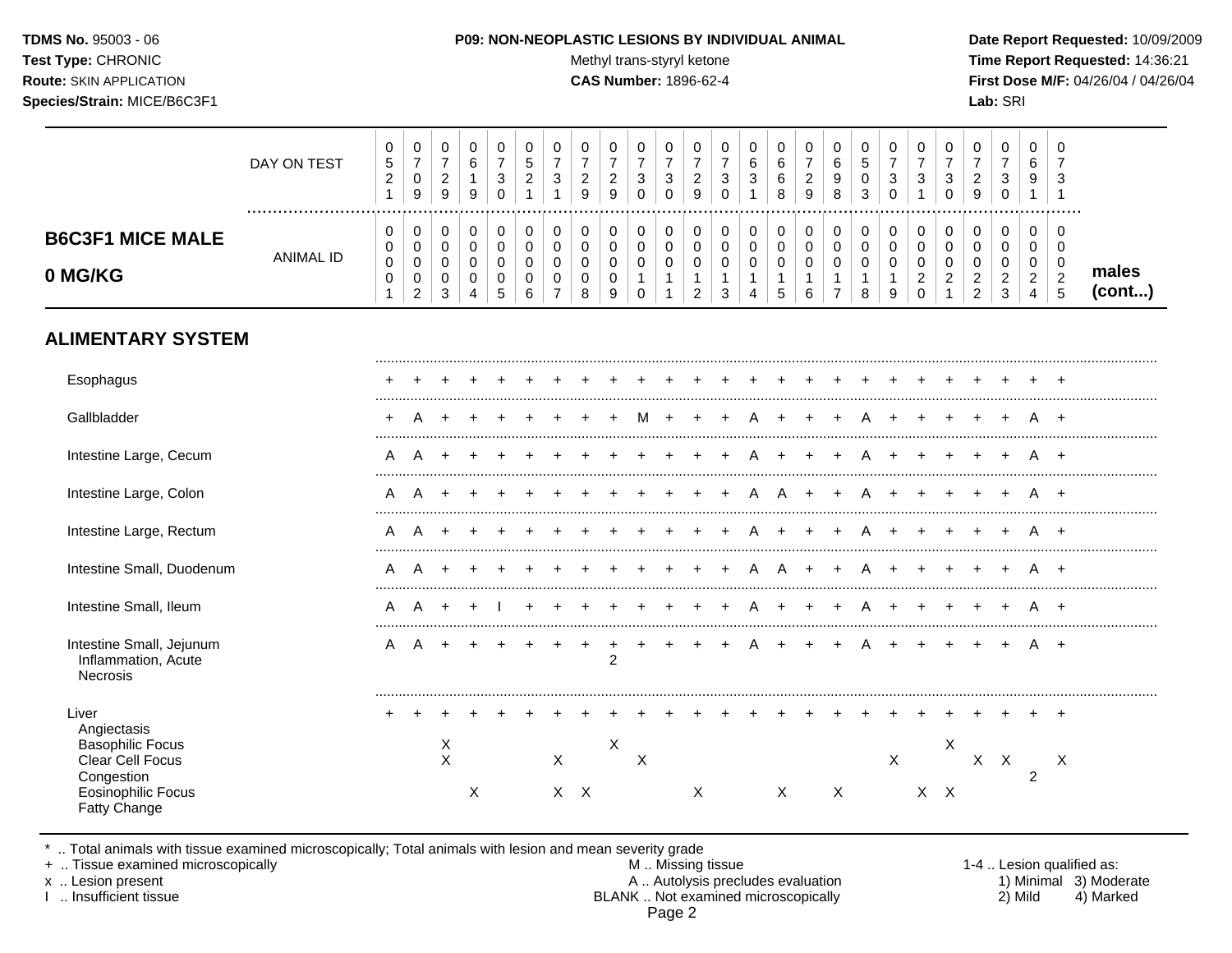TDMS No. 95003 - 06 Test Type: CHRONIC **Route: SKIN APPLICATION** Species/Strain: MICE/B6C3F1

#### P09: NON-NEOPLASTIC LESIONS BY INDIVIDUAL ANIMAL

Methyl trans-styryl ketone

**CAS Number: 1896-62-4** 

Date Report Requested: 10/09/2009 Time Report Requested: 14:36:21 First Dose M/F: 04/26/04 / 04/26/04 Lab: SRI

|                                                                                                                                       | DAY ON TEST<br>  | 0<br>5<br>$\boldsymbol{2}$<br>$\mathbf{1}$         | 0<br>$\overline{7}$<br>$\mathsf{O}\xspace$<br>9                | 0<br>$\overline{7}$<br>$\sqrt{2}$<br>9              | 0<br>6<br>$\mathbf{1}$<br>9                                    | 0<br>$\overline{7}$<br>$\sqrt{3}$<br>$\Omega$     | 0<br>5<br>$\overline{c}$<br>$\mathbf{1}$                      | 0<br>$\overline{7}$<br>$\mathbf{3}$<br>$\mathbf{1}$                             | 0<br>$\overline{7}$<br>$\boldsymbol{2}$<br>9 | 0<br>$\overline{7}$<br>$\overline{c}$<br>9        | 0<br>$\overline{7}$<br>$\ensuremath{\mathsf{3}}$<br>$\Omega$   | 0<br>$\overline{7}$<br>$\sqrt{3}$<br>$\Omega$         | 0<br>$\overline{7}$<br>$\overline{c}$<br>9                              | 0<br>$\overline{7}$<br>$\ensuremath{\mathsf{3}}$<br>$\Omega$ | 0<br>$\,6\,$<br>$\mathbf{3}$<br>-1                                          | 0<br>6<br>$\,6\,$<br>8 | 0<br>$\overline{7}$<br>$\sqrt{2}$<br>$\overline{9}$ | 0<br>$\,6\,$<br>9<br>8                                 | 0<br>5<br>$\pmb{0}$<br>3                                 | 0<br>$\overline{7}$<br>$\sqrt{3}$<br>$\mathbf 0$             | 0<br>$\overline{7}$<br>$\sqrt{3}$<br>$\overline{1}$              | 0<br>$\overline{7}$<br>$\ensuremath{\mathsf{3}}$<br>$\Omega$                  | 0<br>$\overline{7}$<br>$\boldsymbol{2}$<br>9                        | 0<br>$\overline{7}$<br>$\ensuremath{\mathsf{3}}$<br>$\mathbf 0$ | 0<br>6<br>9<br>$\mathbf{1}$                                         | 0<br>$\overline{7}$<br>3<br>$\overline{1}$               |                 |
|---------------------------------------------------------------------------------------------------------------------------------------|------------------|----------------------------------------------------|----------------------------------------------------------------|-----------------------------------------------------|----------------------------------------------------------------|---------------------------------------------------|---------------------------------------------------------------|---------------------------------------------------------------------------------|----------------------------------------------|---------------------------------------------------|----------------------------------------------------------------|-------------------------------------------------------|-------------------------------------------------------------------------|--------------------------------------------------------------|-----------------------------------------------------------------------------|------------------------|-----------------------------------------------------|--------------------------------------------------------|----------------------------------------------------------|--------------------------------------------------------------|------------------------------------------------------------------|-------------------------------------------------------------------------------|---------------------------------------------------------------------|-----------------------------------------------------------------|---------------------------------------------------------------------|----------------------------------------------------------|-----------------|
| <b>B6C3F1 MICE MALE</b><br>0 MG/KG                                                                                                    | <b>ANIMAL ID</b> | 0<br>0<br>$\mathbf 0$<br>$\pmb{0}$<br>$\mathbf{1}$ | 0<br>0<br>$\mathbf 0$<br>$\mathsf{O}\xspace$<br>$\overline{2}$ | 0<br>$\mathbf 0$<br>$\mathbf 0$<br>$\mathbf 0$<br>3 | $\pmb{0}$<br>$\mathbf 0$<br>$\mathbf 0$<br>0<br>$\overline{4}$ | $\pmb{0}$<br>$\mathbf 0$<br>$\mathbf 0$<br>0<br>5 | $\boldsymbol{0}$<br>0<br>$\mathbf 0$<br>$\boldsymbol{0}$<br>6 | $\mathbf 0$<br>$\mathbf 0$<br>$\mathbf 0$<br>$\boldsymbol{0}$<br>$\overline{7}$ | 0<br>0<br>$\mathbf 0$<br>$\pmb{0}$<br>8      | 0<br>0<br>$\mathbf 0$<br>$\mathsf{O}\xspace$<br>9 | 0<br>$\mathbf 0$<br>$\mathbf 0$<br>$\mathbf{1}$<br>$\mathbf 0$ | 0<br>0<br>$\mathbf 0$<br>$\mathbf{1}$<br>$\mathbf{1}$ | $\pmb{0}$<br>$\mathbf 0$<br>$\pmb{0}$<br>$\mathbf{1}$<br>$\overline{2}$ | $\boldsymbol{0}$<br>0<br>$\mathsf 0$<br>$\mathbf{1}$<br>3    | $\mathbf 0$<br>$\mathbf 0$<br>$\mathbf 0$<br>$\mathbf{1}$<br>$\overline{4}$ | 0<br>0<br>0<br>1<br>5  | 0<br>$\pmb{0}$<br>$\mathbf 0$<br>1<br>6             | 0<br>$\mathbf 0$<br>$\mathbf 0$<br>1<br>$\overline{7}$ | $\,0\,$<br>$\pmb{0}$<br>$\mathbf 0$<br>$\mathbf{1}$<br>8 | $\pmb{0}$<br>$\mathbf 0$<br>$\mathbf 0$<br>$\mathbf{1}$<br>9 | $\mathbf 0$<br>0<br>$\mathbf 0$<br>$\overline{2}$<br>$\mathbf 0$ | $\mathbf 0$<br>$\mathbf 0$<br>$\mathbf 0$<br>$\boldsymbol{2}$<br>$\mathbf{1}$ | 0<br>$\mathbf 0$<br>$\mathbf 0$<br>$\overline{c}$<br>$\overline{2}$ | 0<br>$\mathbf 0$<br>0<br>$\overline{c}$<br>$\mathbf{3}$         | 0<br>$\mathbf 0$<br>$\mathbf 0$<br>$\overline{2}$<br>$\overline{4}$ | 0<br>$\mathbf 0$<br>$\mathbf 0$<br>$\boldsymbol{2}$<br>5 | males<br>(cont) |
| <b>ALIMENTARY SYSTEM</b>                                                                                                              |                  |                                                    |                                                                |                                                     |                                                                |                                                   |                                                               |                                                                                 |                                              |                                                   |                                                                |                                                       |                                                                         |                                                              |                                                                             |                        |                                                     |                                                        |                                                          |                                                              |                                                                  |                                                                               |                                                                     |                                                                 |                                                                     |                                                          |                 |
| Esophagus                                                                                                                             |                  |                                                    |                                                                |                                                     |                                                                |                                                   |                                                               |                                                                                 |                                              |                                                   |                                                                |                                                       |                                                                         |                                                              |                                                                             |                        |                                                     |                                                        |                                                          |                                                              |                                                                  |                                                                               |                                                                     |                                                                 |                                                                     |                                                          |                 |
| Gallbladder                                                                                                                           |                  | $\ddot{}$                                          | А                                                              |                                                     |                                                                |                                                   |                                                               |                                                                                 |                                              |                                                   | м                                                              |                                                       |                                                                         |                                                              |                                                                             |                        |                                                     |                                                        | А                                                        |                                                              |                                                                  |                                                                               |                                                                     |                                                                 |                                                                     |                                                          |                 |
| Intestine Large, Cecum                                                                                                                |                  | Α                                                  | A                                                              |                                                     |                                                                |                                                   |                                                               |                                                                                 |                                              |                                                   |                                                                |                                                       |                                                                         |                                                              |                                                                             |                        |                                                     |                                                        | A                                                        |                                                              |                                                                  |                                                                               |                                                                     |                                                                 |                                                                     |                                                          |                 |
| Intestine Large, Colon                                                                                                                |                  | A                                                  | A                                                              |                                                     |                                                                |                                                   |                                                               |                                                                                 |                                              |                                                   |                                                                |                                                       |                                                                         |                                                              |                                                                             | A                      |                                                     |                                                        | A                                                        |                                                              |                                                                  |                                                                               |                                                                     |                                                                 |                                                                     |                                                          |                 |
| Intestine Large, Rectum                                                                                                               |                  | A                                                  | A                                                              |                                                     |                                                                |                                                   |                                                               |                                                                                 |                                              |                                                   |                                                                |                                                       |                                                                         |                                                              |                                                                             |                        |                                                     |                                                        | A                                                        |                                                              |                                                                  |                                                                               |                                                                     |                                                                 |                                                                     |                                                          |                 |
| Intestine Small, Duodenum                                                                                                             |                  | A                                                  | A                                                              |                                                     |                                                                |                                                   |                                                               |                                                                                 |                                              |                                                   |                                                                |                                                       |                                                                         |                                                              |                                                                             | A                      | $\div$                                              |                                                        | A                                                        |                                                              |                                                                  |                                                                               |                                                                     |                                                                 |                                                                     |                                                          |                 |
| Intestine Small, Ileum                                                                                                                |                  | A                                                  | A                                                              | $\ddot{}$                                           |                                                                |                                                   |                                                               |                                                                                 |                                              |                                                   |                                                                |                                                       |                                                                         |                                                              |                                                                             |                        |                                                     |                                                        | A                                                        |                                                              |                                                                  |                                                                               |                                                                     | $\ddot{}$                                                       | A                                                                   |                                                          |                 |
| Intestine Small, Jejunum<br>Inflammation, Acute<br>Necrosis                                                                           |                  | Α                                                  | A                                                              | $\ddot{}$                                           |                                                                |                                                   |                                                               |                                                                                 | $\ddot{}$                                    | $\ddot{}$<br>$\overline{2}$                       |                                                                |                                                       |                                                                         |                                                              |                                                                             |                        |                                                     |                                                        |                                                          |                                                              |                                                                  |                                                                               |                                                                     |                                                                 |                                                                     |                                                          |                 |
| Liver<br>Angiectasis<br><b>Basophilic Focus</b><br>Clear Cell Focus<br>Congestion<br><b>Eosinophilic Focus</b><br><b>Fatty Change</b> |                  | +                                                  |                                                                | $\boldsymbol{\mathsf{X}}$<br>$\mathsf{X}$           | $\div$<br>X                                                    |                                                   |                                                               | $\mathsf{X}$<br>$X$ $X$                                                         |                                              | X                                                 | $\boldsymbol{\mathsf{X}}$                                      |                                                       | $\mathsf{X}$                                                            |                                                              |                                                                             | X                      | $\div$                                              | $\boldsymbol{\mathsf{X}}$                              | $\div$                                                   | $\boldsymbol{X}$                                             |                                                                  | X<br>$X$ $X$                                                                  |                                                                     | $X$ $X$                                                         | 2                                                                   | $+$<br>$\mathsf{X}$                                      |                 |

\* .. Total animals with tissue examined microscopically; Total animals with lesion and mean severity grade

+ .. Tissue examined microscopically

x .. Lesion present

I .. Insufficient tissue

M .. Missing tissue A .. Autolysis precludes evaluation<br>BLANK .. Not examined microscopically Page 2

1-4 .. Lesion qualified as: 1) Minimal 3) Moderate  $2)$  Mild 4) Marked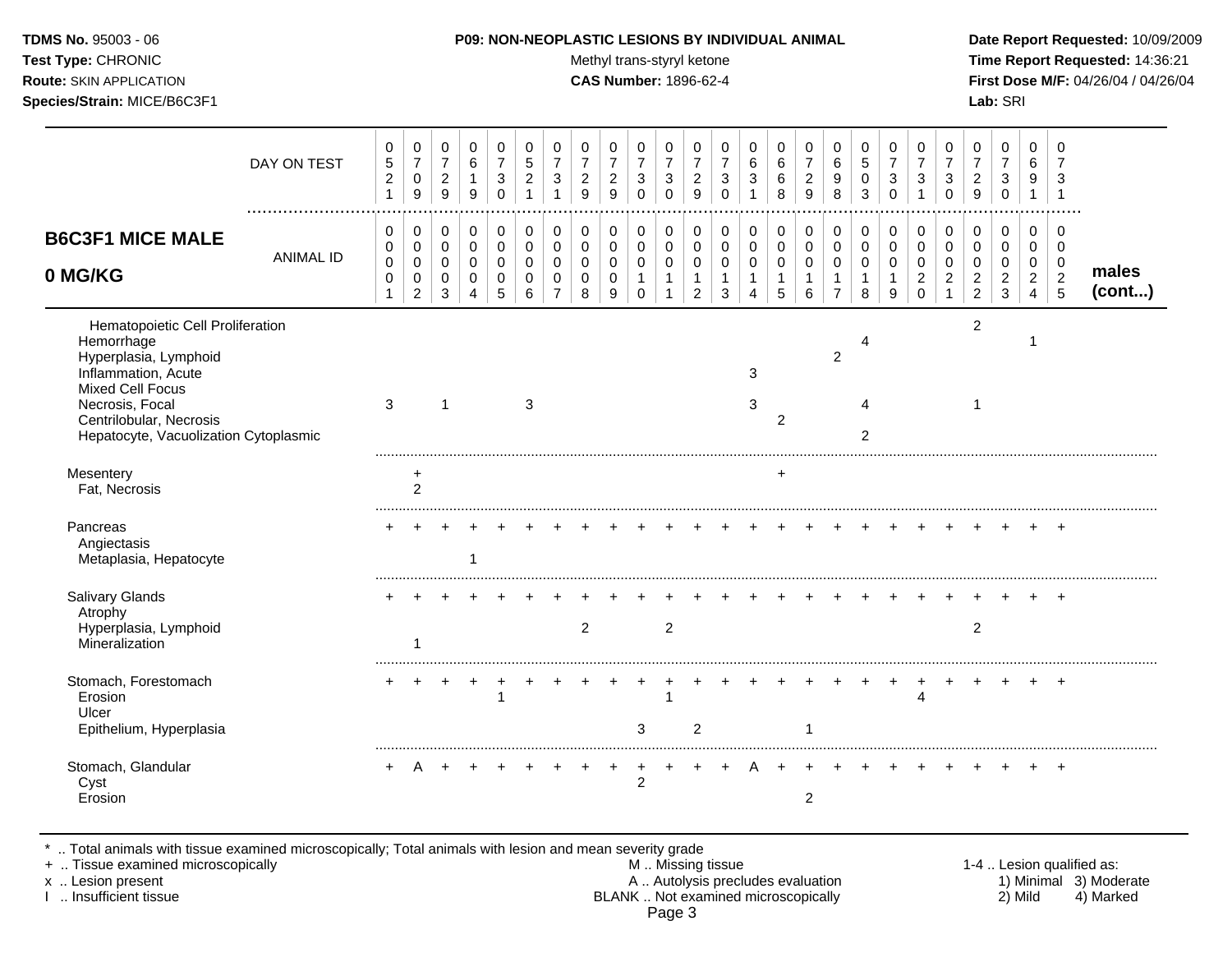| <b>P09: NON-NEOPLASTIC LESIONS BY INDIVIDUAL ANIMAL</b> | Date Rep         |
|---------------------------------------------------------|------------------|
| Methyl trans-styryl ketone                              | Time Rep         |
| <b>CAS Number: 1896-62-4</b>                            | <b>First Dos</b> |
|                                                         | Lab: SRI         |
|                                                         |                  |

### **P09: NON-NEOPLASTIC LESIONS BY INDIVIDUAL ANIMAL Date Report Requested:** 10/09/2009

**Methyl trans-styryl ketone Time Report Requested:** 14:36:21 **CAS Number:** 1896-62-4 **First Dose M/F:** 04/26/04 / 04/26/04

|                                                                                                                                                                                                                  | DAY ON TEST<br>. | 0<br>$\,$ 5 $\,$<br>$\sqrt{2}$<br>1 | 0<br>$\overline{7}$<br>$\pmb{0}$<br>9                            | $\pmb{0}$<br>$\overline{7}$<br>$\sqrt{2}$<br>9     | $\pmb{0}$<br>$\,6$<br>$\mathbf{1}$<br>9           | 0<br>$\overline{7}$<br>$\ensuremath{\mathsf{3}}$<br>$\Omega$ | 0<br>$\sqrt{5}$<br>$\overline{c}$<br>-1          | 0<br>$\overline{7}$<br>3<br>$\overline{1}$  | 0<br>$\overline{7}$<br>$\boldsymbol{2}$<br>9           | 0<br>$\overline{7}$<br>$\overline{c}$<br>9          | 0<br>$\boldsymbol{7}$<br>$\ensuremath{\mathsf{3}}$<br>$\Omega$ | 0<br>$\boldsymbol{7}$<br>3<br>$\Omega$                            | 0<br>$\overline{7}$<br>$\overline{c}$<br>9              | 0<br>$\overline{7}$<br>3<br>$\Omega$                 | 0<br>$\,6$<br>3                        | 0<br>$\,6\,$<br>$\,6\,$<br>8                      | 0<br>$\overline{7}$<br>$\overline{\mathbf{c}}$<br>9  | 0<br>$\,6\,$<br>9<br>8                                         | 0<br>$\sqrt{5}$<br>$\mathbf 0$<br>3                       | 0<br>$\overline{7}$<br>3<br>$\Omega$   | 0<br>$\overline{7}$<br>3<br>1                              | 0<br>$\overline{7}$<br>3<br>$\Omega$      | 0<br>$\overline{7}$<br>$\boldsymbol{2}$<br>9              | 0<br>$\overline{7}$<br>$\ensuremath{\mathsf{3}}$<br>$\mathbf 0$         | 0<br>6<br>9<br>$\mathbf 1$                                | 0<br>$\overline{7}$<br>3<br>-1              |                 |
|------------------------------------------------------------------------------------------------------------------------------------------------------------------------------------------------------------------|------------------|-------------------------------------|------------------------------------------------------------------|----------------------------------------------------|---------------------------------------------------|--------------------------------------------------------------|--------------------------------------------------|---------------------------------------------|--------------------------------------------------------|-----------------------------------------------------|----------------------------------------------------------------|-------------------------------------------------------------------|---------------------------------------------------------|------------------------------------------------------|----------------------------------------|---------------------------------------------------|------------------------------------------------------|----------------------------------------------------------------|-----------------------------------------------------------|----------------------------------------|------------------------------------------------------------|-------------------------------------------|-----------------------------------------------------------|-------------------------------------------------------------------------|-----------------------------------------------------------|---------------------------------------------|-----------------|
| <b>B6C3F1 MICE MALE</b><br>0 MG/KG                                                                                                                                                                               | <b>ANIMAL ID</b> | 0<br>0<br>$\pmb{0}$<br>$\mathbf 0$  | 0<br>$\mathbf 0$<br>$\mathbf 0$<br>$\mathbf 0$<br>$\overline{c}$ | 0<br>$\pmb{0}$<br>$\mathbf 0$<br>0<br>$\mathbf{3}$ | 0<br>$\pmb{0}$<br>$\mathbf 0$<br>$\mathbf 0$<br>4 | 0<br>0<br>$\Omega$<br>0<br>5                                 | 0<br>$\mathbf 0$<br>$\Omega$<br>$\mathbf 0$<br>6 | 0<br>$\mathbf 0$<br>$\Omega$<br>$\mathbf 0$ | $\pmb{0}$<br>$\pmb{0}$<br>$\Omega$<br>$\mathbf 0$<br>8 | 0<br>$\mathbf 0$<br>$\mathbf 0$<br>$\mathbf 0$<br>9 | 0<br>$\mathbf 0$<br>$\pmb{0}$<br>$\mathbf{1}$<br>0             | 0<br>$\mathbf 0$<br>$\mathbf 0$<br>$\overline{1}$<br>$\mathbf{1}$ | 0<br>0<br>$\mathbf 0$<br>$\mathbf{1}$<br>$\overline{c}$ | 0<br>$\mathbf 0$<br>$\mathbf 0$<br>$\mathbf{1}$<br>3 | 0<br>$\mathbf 0$<br>$\Omega$<br>1<br>4 | $\pmb{0}$<br>$\mathbf 0$<br>$\mathbf 0$<br>1<br>5 | 0<br>$\mathbf 0$<br>$\mathbf 0$<br>$\mathbf{1}$<br>6 | $\pmb{0}$<br>$\mathbf 0$<br>$\mathbf 0$<br>1<br>$\overline{7}$ | 0<br>$\boldsymbol{0}$<br>$\mathbf 0$<br>$\mathbf{1}$<br>8 | 0<br>$\mathbf 0$<br>$\Omega$<br>1<br>9 | $\mathbf 0$<br>0<br>$\Omega$<br>$\overline{2}$<br>$\Omega$ | 0<br>0<br>$\Omega$<br>$\overline{2}$<br>1 | 0<br>0<br>$\mathbf 0$<br>$\overline{c}$<br>$\overline{c}$ | $\mathbf 0$<br>$\mathbf 0$<br>$\mathbf 0$<br>$\sqrt{2}$<br>$\mathbf{3}$ | 0<br>0<br>$\mathbf 0$<br>$\overline{2}$<br>$\overline{4}$ | 0<br>0<br>0<br>$\sqrt{2}$<br>$\overline{5}$ | males<br>(cont) |
| Hematopoietic Cell Proliferation<br>Hemorrhage<br>Hyperplasia, Lymphoid<br>Inflammation, Acute<br><b>Mixed Cell Focus</b><br>Necrosis, Focal<br>Centrilobular, Necrosis<br>Hepatocyte, Vacuolization Cytoplasmic |                  | $\sqrt{3}$                          |                                                                  | 1                                                  |                                                   |                                                              | 3                                                |                                             |                                                        |                                                     |                                                                |                                                                   |                                                         |                                                      | 3<br>3                                 | $\overline{c}$                                    |                                                      | $\overline{a}$                                                 | 4<br>4<br>2                                               |                                        |                                                            |                                           | $\overline{2}$<br>$\mathbf 1$                             |                                                                         | -1                                                        |                                             |                 |
| Mesentery<br>Fat, Necrosis                                                                                                                                                                                       |                  |                                     | +<br>$\overline{2}$                                              |                                                    |                                                   |                                                              |                                                  |                                             |                                                        |                                                     |                                                                |                                                                   |                                                         |                                                      |                                        | $\ddot{}$                                         |                                                      |                                                                |                                                           |                                        |                                                            |                                           |                                                           |                                                                         |                                                           |                                             |                 |
| Pancreas<br>Angiectasis<br>Metaplasia, Hepatocyte                                                                                                                                                                |                  |                                     |                                                                  |                                                    |                                                   |                                                              |                                                  |                                             |                                                        |                                                     |                                                                |                                                                   |                                                         |                                                      |                                        |                                                   |                                                      |                                                                |                                                           |                                        |                                                            |                                           |                                                           |                                                                         |                                                           |                                             |                 |
| Salivary Glands<br>Atrophy<br>Hyperplasia, Lymphoid<br>Mineralization                                                                                                                                            |                  |                                     | 1                                                                |                                                    |                                                   |                                                              |                                                  |                                             | $\overline{2}$                                         |                                                     |                                                                | $\overline{c}$                                                    |                                                         |                                                      |                                        |                                                   |                                                      |                                                                |                                                           |                                        |                                                            |                                           | $\overline{2}$                                            |                                                                         |                                                           | $\div$                                      |                 |
| Stomach, Forestomach<br>Erosion<br>Ulcer<br>Epithelium, Hyperplasia                                                                                                                                              |                  |                                     |                                                                  |                                                    |                                                   | -1                                                           |                                                  |                                             |                                                        |                                                     | 3                                                              | 1                                                                 | $\overline{2}$                                          |                                                      |                                        |                                                   |                                                      |                                                                |                                                           |                                        | 4                                                          |                                           |                                                           |                                                                         |                                                           | $\overline{ }$                              |                 |
| Stomach, Glandular<br>Cyst<br>Erosion                                                                                                                                                                            |                  |                                     |                                                                  |                                                    |                                                   |                                                              |                                                  |                                             |                                                        |                                                     | +<br>$\overline{c}$                                            |                                                                   |                                                         |                                                      |                                        |                                                   | $\overline{2}$                                       |                                                                |                                                           |                                        |                                                            |                                           |                                                           |                                                                         |                                                           |                                             |                 |

\* .. Total animals with tissue examined microscopically; Total animals with lesion and mean severity grade

+ .. Tissue examined microscopically M .. Missing tissue 1-4 .. Lesion qualified as: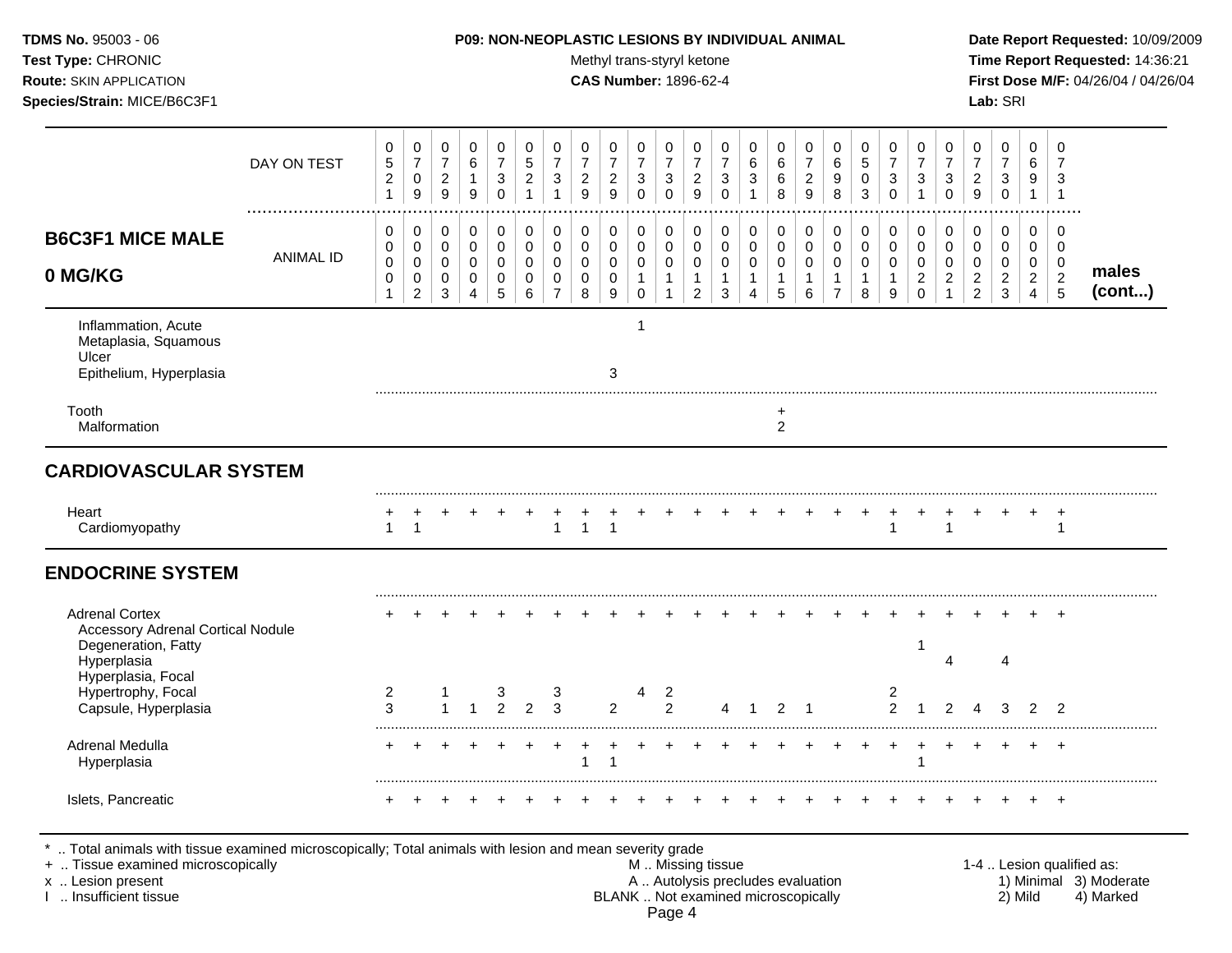| <b>TDMS No. 95003 - 06</b>     | <b>P09: NON-NEOPLASTIC LESIONS BY INDIVIDUAL ANIMAL</b> | Date Rep         |
|--------------------------------|---------------------------------------------------------|------------------|
| <b>Test Type: CHRONIC</b>      | Methyl trans-styryl ketone                              | <b>Time Re</b>   |
| <b>Route: SKIN APPLICATION</b> | <b>CAS Number: 1896-62-4</b>                            | <b>First Dos</b> |
| Species/Strain: MICE/B6C3F1    |                                                         | <b>Lab:</b> SRI  |

## **P09: NON-NEOPLASTIC LESIONS BY INDIVIDUAL ANIMAL Date Report Requested:** 10/09/2009

**Methyl trans-styryl ketone Time Report Requested:** 14:36:21 **CAS Number:** 1896-62-4 **First Dose M/F:** 04/26/04 / 04/26/04

|                                                                                 | DAY ON TEST      | 0<br>5<br>$\overline{c}$<br>$\mathbf{1}$ | $\mathbf 0$<br>$\overline{7}$<br>$\mathsf{O}\xspace$<br>9        | 0<br>$\overline{7}$<br>$\overline{c}$<br>$\boldsymbol{9}$ | 0<br>6<br>$\mathbf{1}$<br>9                               | $\mathbf 0$<br>$\overline{7}$<br>$\sqrt{3}$<br>$\mathbf 0$             | 0<br>$\overline{5}$<br>$\overline{c}$<br>$\mathbf 1$ | 0<br>$\overline{7}$<br>$\ensuremath{\mathsf{3}}$<br>$\mathbf{1}$ | 0<br>$\overline{7}$<br>$\sqrt{2}$<br>9              | 0<br>$\overline{7}$<br>$\overline{c}$<br>9                    | 0<br>$\overline{7}$<br>$\ensuremath{\mathsf{3}}$<br>$\mathbf 0$ | 0<br>$\overline{7}$<br>$\sqrt{3}$<br>$\mathbf 0$     | 0<br>$\overline{7}$<br>$\boldsymbol{2}$<br>$\mathsf g$        | 0<br>$\overline{7}$<br>3<br>$\mathbf 0$               | 0<br>6<br>3<br>$\overline{1}$                                               | 0<br>6<br>6<br>8                                         | 0<br>$\overline{7}$<br>$\sqrt{2}$<br>$\mathsf g$             | $\mathbf 0$<br>$\,6\,$<br>9<br>8                                              | $\pmb{0}$<br>$\overline{5}$<br>$\pmb{0}$<br>3    | 0<br>$\overline{7}$<br>$\sqrt{3}$<br>$\Omega$                               | 0<br>$\overline{7}$<br>3<br>$\mathbf 1$                | 0<br>$\overline{7}$<br>$\sqrt{3}$<br>$\mathbf 0$  | 0<br>$\overline{7}$<br>$\overline{c}$<br>$\boldsymbol{9}$     | 0<br>$\overline{7}$<br>$\sqrt{3}$<br>$\mathsf{O}\xspace$                            | $\mathbf 0$<br>6<br>9<br>$\mathbf{1}$                    | 0<br>$\overline{7}$<br>3<br>$\overline{1}$             |                       |
|---------------------------------------------------------------------------------|------------------|------------------------------------------|------------------------------------------------------------------|-----------------------------------------------------------|-----------------------------------------------------------|------------------------------------------------------------------------|------------------------------------------------------|------------------------------------------------------------------|-----------------------------------------------------|---------------------------------------------------------------|-----------------------------------------------------------------|------------------------------------------------------|---------------------------------------------------------------|-------------------------------------------------------|-----------------------------------------------------------------------------|----------------------------------------------------------|--------------------------------------------------------------|-------------------------------------------------------------------------------|--------------------------------------------------|-----------------------------------------------------------------------------|--------------------------------------------------------|---------------------------------------------------|---------------------------------------------------------------|-------------------------------------------------------------------------------------|----------------------------------------------------------|--------------------------------------------------------|-----------------------|
| <b>B6C3F1 MICE MALE</b><br>0 MG/KG                                              | <b>ANIMAL ID</b> | 0<br>0<br>$\pmb{0}$<br>0<br>$\mathbf{1}$ | 0<br>$\mathbf 0$<br>$\mathbf 0$<br>$\mathbf 0$<br>$\overline{c}$ | 0<br>$\pmb{0}$<br>$\mathbf 0$<br>$\mathbf 0$<br>3         | 0<br>$\pmb{0}$<br>$\mathsf{O}\xspace$<br>$\mathbf 0$<br>4 | $\mathbf 0$<br>$\mathbf 0$<br>$\mathbf 0$<br>$\mathbf 0$<br>$\sqrt{5}$ | 0<br>$\mathbf 0$<br>0<br>$\mathbf 0$<br>6            | $\mathbf 0$<br>$\mathbf 0$<br>0<br>$\mathbf 0$<br>$\overline{7}$ | $\mathbf 0$<br>$\mathbf 0$<br>0<br>$\mathbf 0$<br>8 | $\mathbf 0$<br>$\mathbf 0$<br>$\mathbf 0$<br>$\mathbf 0$<br>9 | 0<br>$\mathbf 0$<br>0<br>$\mathbf{1}$<br>$\mathbf 0$            | 0<br>$\mathbf 0$<br>$\mathbf 0$<br>$\mathbf{1}$<br>1 | 0<br>$\pmb{0}$<br>$\pmb{0}$<br>$\mathbf{1}$<br>$\overline{2}$ | 0<br>$\mathbf 0$<br>0<br>$\mathbf{1}$<br>$\mathbf{3}$ | 0<br>$\mathbf 0$<br>$\mathbf 0$<br>$\overline{1}$<br>$\boldsymbol{\Lambda}$ | $\pmb{0}$<br>$\pmb{0}$<br>$\pmb{0}$<br>$\mathbf{1}$<br>5 | 0<br>$\mathsf{O}\xspace$<br>$\mathbf 0$<br>$\mathbf{1}$<br>6 | $\mathbf 0$<br>$\mathbf 0$<br>$\mathbf 0$<br>$\overline{1}$<br>$\overline{7}$ | $\pmb{0}$<br>$\pmb{0}$<br>0<br>$\mathbf{1}$<br>8 | $\pmb{0}$<br>$\mathbf 0$<br>$\mathbf 0$<br>$\mathbf{1}$<br>$\boldsymbol{9}$ | 0<br>$\mathbf 0$<br>0<br>$\overline{c}$<br>$\mathbf 0$ | 0<br>$\mathbf 0$<br>$\mathbf 0$<br>$\overline{a}$ | 0<br>$\pmb{0}$<br>$\mathbf 0$<br>$\sqrt{2}$<br>$\overline{c}$ | $\mathbf 0$<br>$\mathbf 0$<br>$\mathsf{O}\xspace$<br>$\overline{2}$<br>$\mathbf{3}$ | $\mathbf 0$<br>$\mathbf 0$<br>0<br>$\boldsymbol{2}$<br>4 | $\mathbf 0$<br>$\mathbf 0$<br>0<br>$\overline{c}$<br>5 | males<br>$($ cont $)$ |
| Inflammation, Acute<br>Metaplasia, Squamous<br>Ulcer<br>Epithelium, Hyperplasia |                  |                                          |                                                                  |                                                           |                                                           |                                                                        |                                                      |                                                                  |                                                     | 3                                                             | 1                                                               |                                                      |                                                               |                                                       |                                                                             |                                                          |                                                              |                                                                               |                                                  |                                                                             |                                                        |                                                   |                                                               |                                                                                     |                                                          |                                                        |                       |
| Tooth<br>Malformation                                                           |                  |                                          |                                                                  |                                                           |                                                           |                                                                        |                                                      |                                                                  |                                                     |                                                               |                                                                 |                                                      |                                                               |                                                       |                                                                             | $\ddot{}$<br>$\overline{c}$                              |                                                              |                                                                               |                                                  |                                                                             |                                                        |                                                   |                                                               |                                                                                     |                                                          |                                                        |                       |
| <b>CARDIOVASCULAR SYSTEM</b>                                                    |                  |                                          |                                                                  |                                                           |                                                           |                                                                        |                                                      |                                                                  |                                                     |                                                               |                                                                 |                                                      |                                                               |                                                       |                                                                             |                                                          |                                                              |                                                                               |                                                  |                                                                             |                                                        |                                                   |                                                               |                                                                                     |                                                          |                                                        |                       |
| Heart<br>Cardiomyopathy                                                         |                  | 1                                        | -1                                                               |                                                           |                                                           |                                                                        |                                                      | $\mathbf 1$                                                      | $\overline{1}$                                      | $\mathbf 1$                                                   |                                                                 |                                                      |                                                               |                                                       |                                                                             |                                                          |                                                              |                                                                               |                                                  | 1                                                                           |                                                        | -1                                                |                                                               |                                                                                     |                                                          | +<br>1                                                 |                       |
| <b>ENDOCRINE SYSTEM</b>                                                         |                  |                                          |                                                                  |                                                           |                                                           |                                                                        |                                                      |                                                                  |                                                     |                                                               |                                                                 |                                                      |                                                               |                                                       |                                                                             |                                                          |                                                              |                                                                               |                                                  |                                                                             |                                                        |                                                   |                                                               |                                                                                     |                                                          |                                                        |                       |
| <b>Adrenal Cortex</b><br><b>Accessory Adrenal Cortical Nodule</b>               |                  |                                          |                                                                  |                                                           |                                                           |                                                                        |                                                      |                                                                  |                                                     |                                                               |                                                                 |                                                      |                                                               |                                                       |                                                                             |                                                          |                                                              |                                                                               |                                                  |                                                                             | -1                                                     |                                                   |                                                               |                                                                                     |                                                          |                                                        |                       |
| Degeneration, Fatty<br>Hyperplasia                                              |                  |                                          |                                                                  |                                                           |                                                           |                                                                        |                                                      |                                                                  |                                                     |                                                               |                                                                 |                                                      |                                                               |                                                       |                                                                             |                                                          |                                                              |                                                                               |                                                  |                                                                             |                                                        | $\boldsymbol{\Lambda}$                            |                                                               | 4                                                                                   |                                                          |                                                        |                       |
| Hyperplasia, Focal<br>Hypertrophy, Focal<br>Capsule, Hyperplasia                |                  | 2<br>3                                   |                                                                  |                                                           |                                                           | 3<br>2                                                                 | 2                                                    | 3<br>3                                                           |                                                     | 2                                                             | 4                                                               | 2<br>$\overline{2}$                                  |                                                               | 4                                                     | -1                                                                          | 2                                                        | -1                                                           |                                                                               |                                                  | $\overline{c}$<br>$\overline{2}$                                            | 1                                                      | $\mathcal{P}$                                     |                                                               | з                                                                                   | $\mathfrak{p}$                                           | $\mathcal{P}$                                          |                       |
| Adrenal Medulla<br>Hyperplasia                                                  |                  |                                          |                                                                  |                                                           |                                                           |                                                                        |                                                      |                                                                  | -1                                                  | $\mathbf 1$                                                   |                                                                 |                                                      |                                                               |                                                       |                                                                             |                                                          |                                                              |                                                                               |                                                  |                                                                             |                                                        |                                                   |                                                               |                                                                                     |                                                          |                                                        |                       |

I .. Insufficient tissue BLANK .. Not examined microscopically 2) Mild 4) Marked

Page 4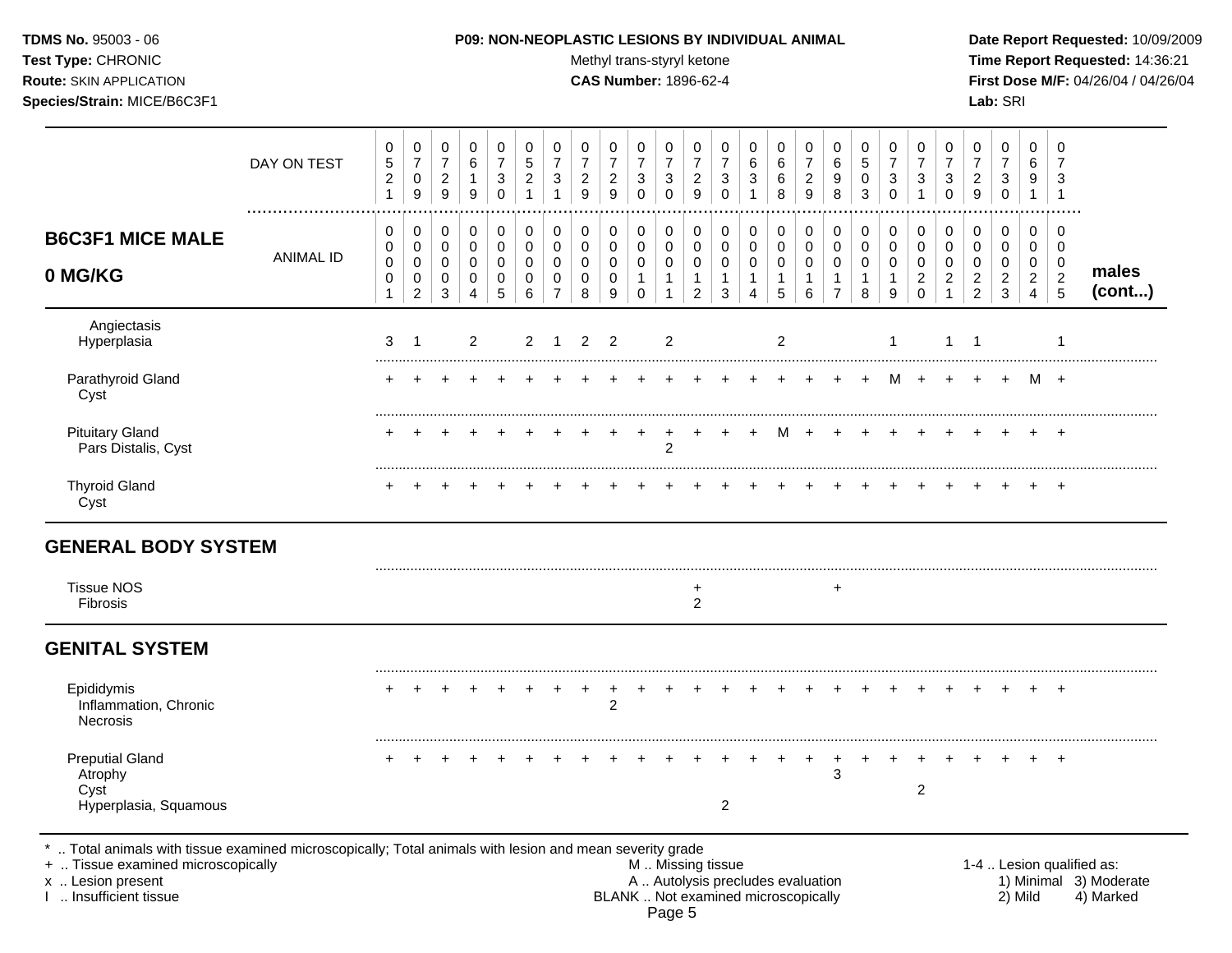Test Type: CHRONIC **Test Type:** CHRONIC **Test Type:** CHRONIC **Time Report Requested:** 14:36:21 **Route:** SKIN APPLICATION **CAS Number:** 1896-62-4 **First Dose M/F:** 04/26/04 / 04/26/04

|                                                                    | DAY ON TEST      | 0<br>5<br>$\overline{c}$<br>$\mathbf{1}$        | $\pmb{0}$<br>$\overline{7}$<br>$\pmb{0}$<br>$\boldsymbol{9}$         | 0<br>$\overline{7}$<br>$\overline{2}$<br>9 | 0<br>$\,6\,$<br>$\mathbf{1}$<br>$9\,$                  | 0<br>$\overline{7}$<br>$\sqrt{3}$<br>$\mathbf 0$ | 0<br>5<br>$\overline{c}$<br>$\mathbf{1}$  | 0<br>$\overline{7}$<br>3           | 0<br>$\overline{7}$<br>$\overline{c}$<br>9          | 0<br>$\overline{7}$<br>$\overline{a}$<br>$\mathsf g$ | 0<br>$\overline{7}$<br>$\mathbf{3}$<br>$\Omega$                          | 0<br>$\overline{7}$<br>$\mathbf{3}$<br>$\Omega$                 | 0<br>$\overline{7}$<br>$\overline{c}$<br>9                        | 0<br>$\overline{7}$<br>3<br>$\mathbf 0$ | 0<br>6<br>3                                   | 0<br>6<br>6<br>8                                             | 0<br>$\overline{7}$<br>$\overline{c}$<br>$\mathsf g$ | 0<br>6<br>9<br>8                                                | $\,0\,$<br>$\overline{5}$<br>0<br>$\mathbf{3}$     | 0<br>$\overline{7}$<br>3<br>$\mathbf 0$              | 0<br>$\overline{7}$<br>3                            | 0<br>$\overline{7}$<br>3<br>$\mathbf 0$                           | 0<br>$\overline{7}$<br>$\overline{c}$<br>9             | 0<br>$\overline{7}$<br>3<br>$\mathbf 0$ | 0<br>6<br>9<br>$\mathbf{1}$                               | $\mathbf 0$<br>$\overline{7}$<br>3<br>$\overline{1}$            |                 |
|--------------------------------------------------------------------|------------------|-------------------------------------------------|----------------------------------------------------------------------|--------------------------------------------|--------------------------------------------------------|--------------------------------------------------|-------------------------------------------|------------------------------------|-----------------------------------------------------|------------------------------------------------------|--------------------------------------------------------------------------|-----------------------------------------------------------------|-------------------------------------------------------------------|-----------------------------------------|-----------------------------------------------|--------------------------------------------------------------|------------------------------------------------------|-----------------------------------------------------------------|----------------------------------------------------|------------------------------------------------------|-----------------------------------------------------|-------------------------------------------------------------------|--------------------------------------------------------|-----------------------------------------|-----------------------------------------------------------|-----------------------------------------------------------------|-----------------|
| <b>B6C3F1 MICE MALE</b><br>0 MG/KG                                 | <b>ANIMAL ID</b> | 0<br>0<br>$\boldsymbol{0}$<br>0<br>$\mathbf{1}$ | $\mathbf 0$<br>$\pmb{0}$<br>$\pmb{0}$<br>$\pmb{0}$<br>$\overline{2}$ | 0<br>0<br>0<br>0<br>$\mathbf{3}$           | 0<br>$\mathbf 0$<br>$\mathbf 0$<br>0<br>$\overline{4}$ | 0<br>$\mathbf 0$<br>$\mathbf 0$<br>0<br>5        | 0<br>$\mathbf 0$<br>$\mathbf 0$<br>0<br>6 | 0<br>0<br>0<br>0<br>$\overline{7}$ | $\mathbf 0$<br>$\mathbf 0$<br>$\mathbf 0$<br>0<br>8 | $\mathbf 0$<br>$\mathbf 0$<br>$\mathbf 0$<br>0<br>9  | $\mathbf 0$<br>$\mathbf 0$<br>$\mathbf 0$<br>$\mathbf{1}$<br>$\mathbf 0$ | 0<br>$\mathbf 0$<br>$\mathbf 0$<br>$\mathbf{1}$<br>$\mathbf{1}$ | 0<br>$\mathbf 0$<br>$\mathbf 0$<br>$\mathbf{1}$<br>$\overline{2}$ | 0<br>0<br>0<br>$\mathbf{1}$<br>3        | 0<br>0<br>0<br>$\mathbf{1}$<br>$\overline{4}$ | $\mathbf 0$<br>$\mathbf 0$<br>$\pmb{0}$<br>$\mathbf{1}$<br>5 | 0<br>$\mathbf 0$<br>0<br>1<br>6                      | 0<br>$\mathbf 0$<br>$\pmb{0}$<br>$\mathbf{1}$<br>$\overline{7}$ | 0<br>$\pmb{0}$<br>$\mathbf 0$<br>$\mathbf{1}$<br>8 | 0<br>$\mathsf 0$<br>$\mathbf 0$<br>$\mathbf{1}$<br>9 | 0<br>0<br>$\mathbf 0$<br>$\overline{2}$<br>$\Omega$ | 0<br>$\mathbf 0$<br>$\mathbf 0$<br>$\overline{2}$<br>$\mathbf{1}$ | 0<br>$\mathbf 0$<br>$\mathbf 0$<br>$\overline{c}$<br>2 | 0<br>0<br>0<br>$\boldsymbol{2}$<br>3    | 0<br>0<br>$\mathbf 0$<br>$\overline{2}$<br>$\overline{4}$ | $\mathbf 0$<br>$\mathbf 0$<br>0<br>$\sqrt{2}$<br>$\overline{5}$ | males<br>(cont) |
| Angiectasis<br>Hyperplasia                                         |                  | 3                                               | -1                                                                   |                                            | $\overline{2}$                                         |                                                  | $\overline{2}$                            | $\mathbf{1}$                       | 2 <sub>2</sub>                                      |                                                      |                                                                          | 2                                                               |                                                                   |                                         |                                               | 2                                                            |                                                      |                                                                 |                                                    | $\overline{1}$                                       |                                                     | $\mathbf{1}$                                                      | $\overline{\mathbf{1}}$                                |                                         |                                                           | -1                                                              |                 |
| Parathyroid Gland<br>Cyst                                          |                  |                                                 |                                                                      |                                            |                                                        |                                                  |                                           |                                    |                                                     |                                                      |                                                                          |                                                                 |                                                                   |                                         |                                               |                                                              |                                                      | ÷.                                                              | $\ddot{}$                                          | м                                                    | $\div$                                              |                                                                   | $\ddot{}$                                              | $\ddot{}$                               | м                                                         | $+$                                                             |                 |
| <b>Pituitary Gland</b><br>Pars Distalis, Cyst                      |                  |                                                 |                                                                      |                                            |                                                        |                                                  |                                           |                                    |                                                     |                                                      |                                                                          | $\overline{2}$                                                  |                                                                   |                                         |                                               |                                                              |                                                      |                                                                 |                                                    |                                                      |                                                     |                                                                   |                                                        |                                         |                                                           | $\overline{+}$                                                  |                 |
| <b>Thyroid Gland</b><br>Cyst                                       |                  |                                                 |                                                                      |                                            |                                                        |                                                  |                                           |                                    |                                                     |                                                      |                                                                          |                                                                 |                                                                   |                                         |                                               |                                                              |                                                      |                                                                 |                                                    |                                                      |                                                     |                                                                   |                                                        |                                         |                                                           | $\overline{ }$                                                  |                 |
| <b>GENERAL BODY SYSTEM</b>                                         |                  |                                                 |                                                                      |                                            |                                                        |                                                  |                                           |                                    |                                                     |                                                      |                                                                          |                                                                 |                                                                   |                                         |                                               |                                                              |                                                      |                                                                 |                                                    |                                                      |                                                     |                                                                   |                                                        |                                         |                                                           |                                                                 |                 |
| <b>Tissue NOS</b><br>Fibrosis                                      |                  |                                                 |                                                                      |                                            |                                                        |                                                  |                                           |                                    |                                                     |                                                      |                                                                          |                                                                 | $\ddot{}$<br>$\overline{2}$                                       |                                         |                                               |                                                              |                                                      | $\ddot{}$                                                       |                                                    |                                                      |                                                     |                                                                   |                                                        |                                         |                                                           |                                                                 |                 |
| <b>GENITAL SYSTEM</b>                                              |                  |                                                 |                                                                      |                                            |                                                        |                                                  |                                           |                                    |                                                     |                                                      |                                                                          |                                                                 |                                                                   |                                         |                                               |                                                              |                                                      |                                                                 |                                                    |                                                      |                                                     |                                                                   |                                                        |                                         |                                                           |                                                                 |                 |
| Epididymis<br>Inflammation, Chronic<br>Necrosis                    |                  |                                                 |                                                                      |                                            |                                                        |                                                  |                                           |                                    |                                                     | +<br>$\overline{2}$                                  |                                                                          |                                                                 |                                                                   |                                         |                                               |                                                              |                                                      |                                                                 |                                                    |                                                      |                                                     |                                                                   |                                                        |                                         |                                                           |                                                                 |                 |
| <b>Preputial Gland</b><br>Atrophy<br>Cyst<br>Hyperplasia, Squamous |                  |                                                 |                                                                      |                                            |                                                        |                                                  |                                           |                                    |                                                     |                                                      |                                                                          |                                                                 |                                                                   | $\overline{2}$                          |                                               |                                                              |                                                      | 3                                                               |                                                    |                                                      | $\overline{c}$                                      |                                                                   |                                                        |                                         |                                                           | $\overline{+}$                                                  |                 |

\* .. Total animals with tissue examined microscopically; Total animals with lesion and mean severity grade<br>+ .. Tissue examined microscopically

+ .. Tissue examined microscopically <br>  $\begin{array}{ccc}\n & \text{M} \dots \text{Missing tissue} \\
 & \text{M} \dots \text{Missing tissue} \\
 & \text{A} \dots \text{Autolysis precludes evaluation}\n\end{array}$ 1-4 .. Lesion qualified as:<br>
1) Minimal 3) Moderate x .. Lesion present **A .. Autolysis precludes evaluation** A .. Autolysis precludes evaluation 1) Minimal 3) Moderate I .. Insufficient tissue BLANK .. Not examined microscopically 2) Mild 4) Marked Page 5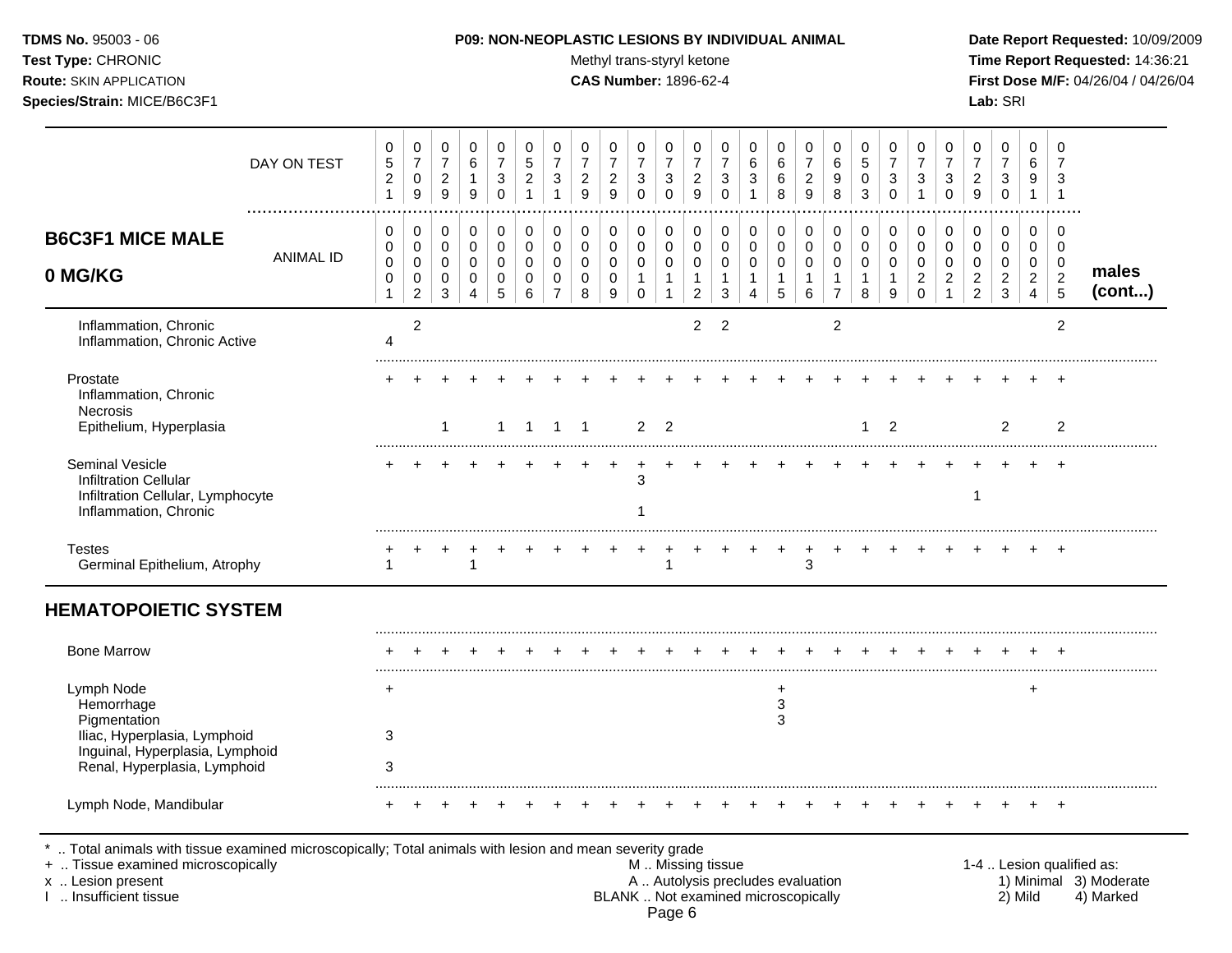**Test Type:** CHRONIC **The Report Requested:** 14:36:21 **Route:** SKIN APPLICATION **CAS Number:** 1896-62-4 **First Dose M/F:** 04/26/04 / 04/26/04 **Species/Strain:** MICE/B6C3F1 **Lab:** SRI

|                                                                                                               | DAY ON TEST      | 0<br>$\,$ 5 $\,$<br>$\overline{c}$<br>1 | 0<br>$\overline{7}$<br>0<br>$\boldsymbol{9}$ | 0<br>$\overline{7}$<br>$\overline{c}$<br>$9\,$ | 0<br>6<br>$\mathbf{1}$<br>$\boldsymbol{9}$           | 0<br>$\overline{7}$<br>3<br>$\mathbf 0$     | $\Omega$<br>5<br>$\overline{c}$                    | $\Omega$<br>$\overline{7}$<br>3                       | 0<br>$\overline{7}$<br>$\overline{2}$<br>9             | 0<br>$\overline{7}$<br>$\overline{c}$<br>9 | $\Omega$<br>$\overline{7}$<br>$\mathbf{3}$<br>$\mathbf 0$ | 0<br>$\overline{7}$<br>3<br>$\mathbf 0$         | 0<br>$\overline{7}$<br>$\overline{c}$<br>9      | 0<br>$\overline{7}$<br>3<br>$\Omega$         | 0<br>6<br>3                                           | 0<br>$\,6\,$<br>$\,6\,$<br>8                          | 0<br>$\overline{7}$<br>$\overline{c}$<br>9    | $\Omega$<br>$\,6\,$<br>9<br>8                  | $\Omega$<br>5<br>0<br>3           | $\Omega$<br>$\overline{7}$<br>3<br>$\mathbf 0$ | 0<br>$\overline{7}$<br>3                                 | 0<br>$\overline{7}$<br>3<br>$\Omega$              | 0<br>$\overline{7}$<br>$\overline{c}$<br>9 | 0<br>$\overline{7}$<br>3<br>$\mathbf 0$           | 0<br>6<br>9<br>$\mathbf{1}$                                 | 0<br>$\overline{7}$<br>3<br>$\overline{1}$                  |        |
|---------------------------------------------------------------------------------------------------------------|------------------|-----------------------------------------|----------------------------------------------|------------------------------------------------|------------------------------------------------------|---------------------------------------------|----------------------------------------------------|-------------------------------------------------------|--------------------------------------------------------|--------------------------------------------|-----------------------------------------------------------|-------------------------------------------------|-------------------------------------------------|----------------------------------------------|-------------------------------------------------------|-------------------------------------------------------|-----------------------------------------------|------------------------------------------------|-----------------------------------|------------------------------------------------|----------------------------------------------------------|---------------------------------------------------|--------------------------------------------|---------------------------------------------------|-------------------------------------------------------------|-------------------------------------------------------------|--------|
| <b>B6C3F1 MICE MALE</b><br>0 MG/KG                                                                            | <b>ANIMAL ID</b> | 0<br>0<br>$\pmb{0}$<br>$\mathbf 0$      | 0<br>$\mathbf 0$<br>$\mathbf 0$<br>$\pmb{0}$ | $\mathbf 0$<br>$\mathbf 0$<br>$\mathbf 0$<br>0 | $\pmb{0}$<br>$\pmb{0}$<br>$\mathbf 0$<br>$\mathbf 0$ | $\mathbf 0$<br>$\mathbf 0$<br>$\Omega$<br>0 | $\mathbf 0$<br>$\Omega$<br>$\Omega$<br>$\mathbf 0$ | $\mathbf 0$<br>$\mathbf 0$<br>$\Omega$<br>$\mathbf 0$ | $\mathbf 0$<br>$\pmb{0}$<br>$\mathbf 0$<br>$\mathbf 0$ | 0<br>0<br>0<br>0                           | $\mathbf 0$<br>$\mathbf 0$<br>$\mathbf 0$<br>$\mathbf{1}$ | 0<br>$\mathbf 0$<br>$\mathbf 0$<br>$\mathbf{1}$ | 0<br>$\mathbf 0$<br>$\mathbf 0$<br>$\mathbf{1}$ | 0<br>$\mathbf 0$<br>$\Omega$<br>$\mathbf{1}$ | $\pmb{0}$<br>$\pmb{0}$<br>$\mathbf 0$<br>$\mathbf{1}$ | $\mathbf 0$<br>$\pmb{0}$<br>$\pmb{0}$<br>$\mathbf{1}$ | $\pmb{0}$<br>0<br>$\mathbf 0$<br>$\mathbf{1}$ | $\mathbf 0$<br>$\mathbf 0$<br>$\mathbf 0$<br>1 | 0<br>$\mathbf 0$<br>$\Omega$<br>1 | 0<br>0<br>$\Omega$<br>$\mathbf{1}$             | $\mathbf 0$<br>$\mathbf 0$<br>$\Omega$<br>$\overline{2}$ | 0<br>$\mathbf 0$<br>$\mathbf 0$<br>$\overline{c}$ | 0<br>0<br>$\mathbf 0$<br>$\boldsymbol{2}$  | $\mathbf 0$<br>0<br>$\mathbf 0$<br>$\overline{2}$ | $\pmb{0}$<br>$\mathbf 0$<br>$\mathbf 0$<br>$\boldsymbol{2}$ | $\mathbf 0$<br>$\mathbf 0$<br>$\mathbf 0$<br>$\overline{c}$ | males  |
| Inflammation, Chronic<br>Inflammation, Chronic Active                                                         |                  | $\mathbf{1}$<br>$\overline{4}$          | $\boldsymbol{2}$<br>$\overline{2}$           | 3                                              | 4                                                    | 5                                           | 6                                                  |                                                       | 8                                                      | 9                                          | $\mathbf 0$                                               | 1                                               | $\overline{c}$<br>$\overline{2}$                | 3<br>$\overline{2}$                          | $\boldsymbol{\Lambda}$                                | $\sqrt{5}$                                            | 6                                             | $\overline{7}$<br>$\overline{2}$               | 8                                 | 9                                              | $\Omega$                                                 | $\mathbf{1}$                                      | $\overline{c}$                             | 3                                                 | $\overline{4}$                                              | $\overline{5}$<br>$\overline{c}$                            | (cont) |
| Prostate<br>Inflammation, Chronic<br>Necrosis<br>Epithelium, Hyperplasia                                      |                  |                                         |                                              | -1                                             |                                                      | 1                                           | $\overline{\mathbf{1}}$                            | $\overline{1}$                                        | $\overline{1}$                                         |                                            | $\overline{2}$                                            | $\overline{2}$                                  |                                                 |                                              |                                                       |                                                       |                                               |                                                | $\mathbf{1}$                      | $\overline{2}$                                 |                                                          |                                                   |                                            | $\mathcal{P}$                                     |                                                             | $\overline{c}$                                              |        |
| Seminal Vesicle<br><b>Infiltration Cellular</b><br>Infiltration Cellular, Lymphocyte<br>Inflammation, Chronic |                  |                                         |                                              |                                                |                                                      |                                             |                                                    |                                                       |                                                        |                                            | 3                                                         |                                                 |                                                 |                                              |                                                       |                                                       |                                               |                                                |                                   |                                                |                                                          |                                                   | 1                                          |                                                   |                                                             |                                                             |        |
| <b>Testes</b><br>Germinal Epithelium, Atrophy                                                                 |                  |                                         |                                              |                                                |                                                      |                                             |                                                    |                                                       |                                                        |                                            |                                                           |                                                 |                                                 |                                              |                                                       |                                                       | 3                                             |                                                |                                   |                                                |                                                          |                                                   |                                            |                                                   |                                                             |                                                             |        |
| <b>HEMATOPOIETIC SYSTEM</b>                                                                                   |                  |                                         |                                              |                                                |                                                      |                                             |                                                    |                                                       |                                                        |                                            |                                                           |                                                 |                                                 |                                              |                                                       |                                                       |                                               |                                                |                                   |                                                |                                                          |                                                   |                                            |                                                   |                                                             |                                                             |        |
| <b>Bone Marrow</b>                                                                                            |                  |                                         |                                              |                                                |                                                      |                                             |                                                    |                                                       |                                                        |                                            |                                                           |                                                 |                                                 |                                              |                                                       |                                                       |                                               |                                                |                                   |                                                |                                                          |                                                   |                                            |                                                   |                                                             |                                                             |        |
| Lymph Node<br>Hemorrhage<br>Pigmentation<br>Iliac, Hyperplasia, Lymphoid<br>Inguinal, Hyperplasia, Lymphoid   |                  | +<br>3                                  |                                              |                                                |                                                      |                                             |                                                    |                                                       |                                                        |                                            |                                                           |                                                 |                                                 |                                              |                                                       | $\ddot{}$<br>3<br>3                                   |                                               |                                                |                                   |                                                |                                                          |                                                   |                                            |                                                   | $\ddot{}$                                                   |                                                             |        |
| Renal, Hyperplasia, Lymphoid<br>Lymph Node, Mandibular                                                        |                  | 3                                       |                                              |                                                |                                                      |                                             |                                                    |                                                       |                                                        |                                            |                                                           |                                                 |                                                 |                                              |                                                       |                                                       |                                               |                                                |                                   |                                                |                                                          |                                                   |                                            |                                                   |                                                             | $\overline{ }$                                              |        |

.. Total animals with tissue examined microscopically; Total animals with lesion and mean severity grade<br>Tissue examined microscopically by any solution and mean severity grade. + .. Tissue examined microscopically the state of the state of the M .. Missing tissue 1-4 .. Lesion qualified as: x .. Lesion present **A .. Autolysis precludes evaluation** A .. Autolysis precludes evaluation 1) Minimal 3) Moderate I .. Insufficient tissue BLANK .. Not examined microscopically 2) Mild 4) Marked Page 6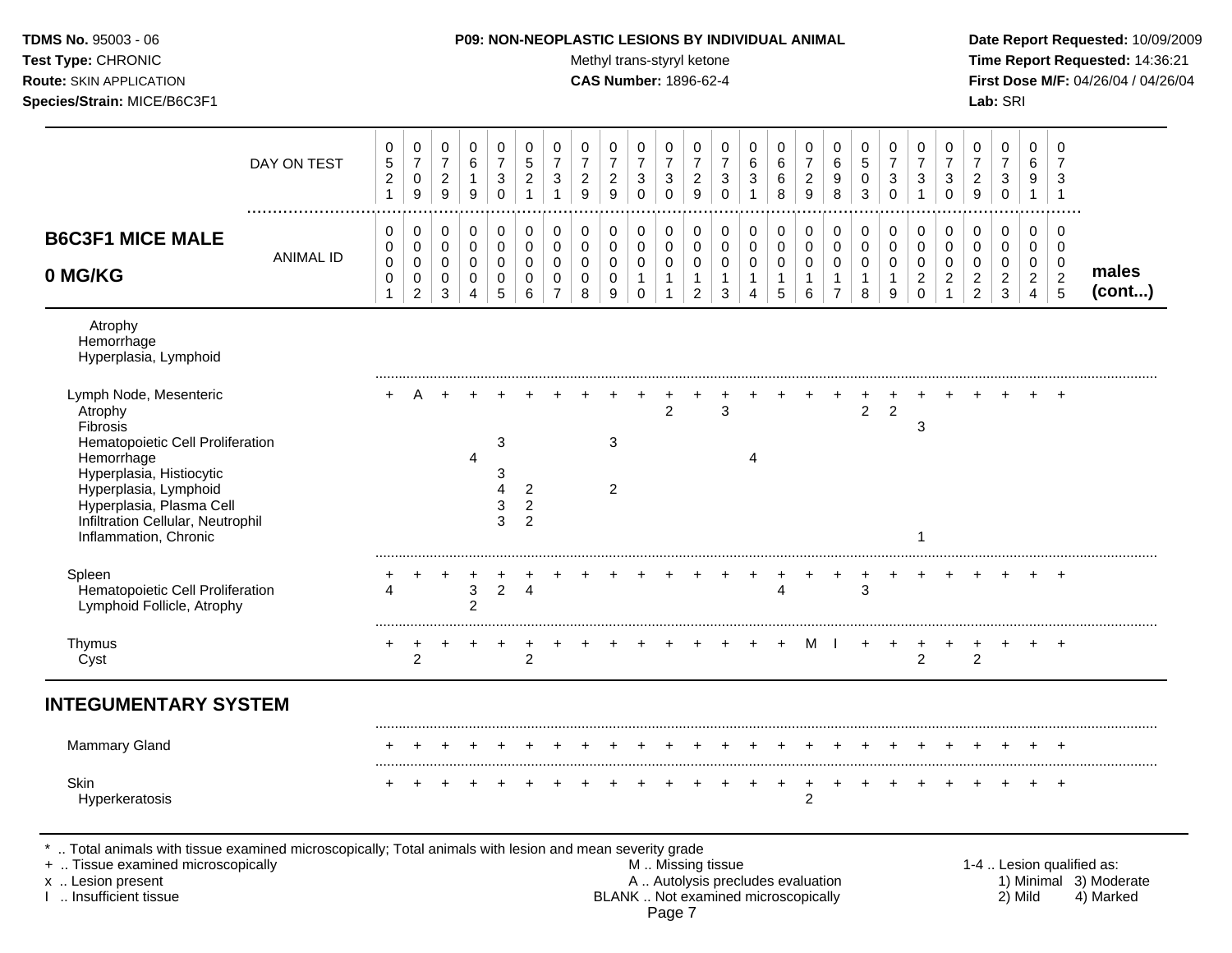| <b>TDMS No. 95003 - 06</b>     | <b>P09: NON-NEOPLASTIC LESIONS BY INDIVIDUAL ANIMAL</b> | Date Report Requested: 10/09/2009          |
|--------------------------------|---------------------------------------------------------|--------------------------------------------|
| <b>Test Type: CHRONIC</b>      | Methyl trans-styryl ketone                              | <b>Time Report Requested: 14:36:21</b>     |
| <b>Route:</b> SKIN APPLICATION | <b>CAS Number: 1896-62-4</b>                            | <b>First Dose M/F: 04/26/04 / 04/26/04</b> |
| Species/Strain: MICE/B6C3F1    |                                                         | <b>Lab:</b> SRI                            |

 $\top$ Τ  $\overline{\phantom{0}}$ Τ  $\overline{\phantom{a}}$   $\top$ Τ  $\top$ 

Τ  $\top$  $\Box$ 

 $\overline{\phantom{0}}$  $\Box$ 

| DAY ON TEST                                                                                                                                                                                   | 0<br>5<br>$\overline{c}$<br>$\mathbf{1}$   | $\pmb{0}$<br>$\overline{7}$<br>$\pmb{0}$<br>$\boldsymbol{9}$ | $\pmb{0}$<br>$\overline{7}$<br>$\overline{2}$<br>$\boldsymbol{9}$ | 0<br>$\,6$<br>$\mathbf{1}$<br>9                                  | $\pmb{0}$<br>$\overline{7}$<br>3<br>$\mathbf 0$ | 0<br>5<br>2                                        | 0<br>$\overline{7}$<br>3                               | 0<br>$\overline{7}$<br>$\overline{c}$<br>9 | 0<br>$\overline{7}$<br>$\overline{c}$<br>9 | 0<br>$\overline{7}$<br>3<br>$\mathbf 0$                        | 0<br>$\overline{7}$<br>3<br>$\Omega$                 | 0<br>$\overline{7}$<br>$\overline{c}$<br>9                      | 0<br>$\overline{7}$<br>3<br>$\mathbf 0$              | 0<br>6<br>3<br>1                                  | 0<br>6<br>6<br>8           | 0<br>$\overline{7}$<br>$\overline{c}$<br>9 | 0<br>6<br>9<br>8                                        | 0<br>5<br>0<br>3                          | 0<br>$\overline{7}$<br>3<br>$\Omega$   | 0<br>$\overline{7}$<br>3                                      | 0<br>$\overline{7}$<br>3<br>$\Omega$      | 0<br>$\overline{7}$<br>$\overline{2}$<br>$\boldsymbol{9}$          | 0<br>$\overline{7}$<br>$\mathbf{3}$<br>0                          | 0<br>6<br>9<br>$\mathbf{1}$                                         | 0<br>7<br>3<br>-1                                |                 |
|-----------------------------------------------------------------------------------------------------------------------------------------------------------------------------------------------|--------------------------------------------|--------------------------------------------------------------|-------------------------------------------------------------------|------------------------------------------------------------------|-------------------------------------------------|----------------------------------------------------|--------------------------------------------------------|--------------------------------------------|--------------------------------------------|----------------------------------------------------------------|------------------------------------------------------|-----------------------------------------------------------------|------------------------------------------------------|---------------------------------------------------|----------------------------|--------------------------------------------|---------------------------------------------------------|-------------------------------------------|----------------------------------------|---------------------------------------------------------------|-------------------------------------------|--------------------------------------------------------------------|-------------------------------------------------------------------|---------------------------------------------------------------------|--------------------------------------------------|-----------------|
| <b>B6C3F1 MICE MALE</b><br><b>ANIMAL ID</b><br>0 MG/KG                                                                                                                                        | 0<br>0<br>$\mathbf 0$<br>0<br>$\mathbf{1}$ | 0<br>$\pmb{0}$<br>$\mathsf 0$<br>$\pmb{0}$<br>$\overline{c}$ | 0<br>$\mathbf 0$<br>$\mathbf 0$<br>0<br>$\mathbf{3}$              | 0<br>$\mathbf 0$<br>$\mathbf 0$<br>$\mathbf 0$<br>$\overline{4}$ | 0<br>$\mathbf 0$<br>$\mathbf 0$<br>0<br>5       | 0<br>$\Omega$<br>$\Omega$<br>0<br>6                | 0<br>$\mathbf 0$<br>$\mathbf 0$<br>0<br>$\overline{7}$ | 0<br>$\mathbf 0$<br>$\mathbf 0$<br>0<br>8  | 0<br>$\mathbf 0$<br>0<br>$\mathbf 0$<br>9  | 0<br>$\mathbf 0$<br>$\mathbf 0$<br>$\mathbf{1}$<br>$\mathbf 0$ | 0<br>$\mathbf 0$<br>$\mathsf 0$<br>$\mathbf{1}$<br>1 | 0<br>$\mathbf 0$<br>$\pmb{0}$<br>$\mathbf{1}$<br>$\overline{c}$ | 0<br>$\mathbf 0$<br>$\mathbf 0$<br>$\mathbf{1}$<br>3 | 0<br>$\Omega$<br>$\mathbf 0$<br>$\mathbf{1}$<br>4 | 0<br>$\mathbf 0$<br>0<br>5 | 0<br>0<br>$\mathsf{O}$<br>1<br>6           | 0<br>0<br>$\mathbf 0$<br>$\mathbf{1}$<br>$\overline{7}$ | 0<br>$\mathbf 0$<br>$\mathbf 0$<br>1<br>8 | 0<br>$\Omega$<br>$\mathbf 0$<br>1<br>9 | 0<br>$\mathbf 0$<br>$\mathbf 0$<br>$\overline{c}$<br>$\Omega$ | 0<br>$\mathbf 0$<br>$\mathbf 0$<br>2<br>1 | 0<br>$\mathbf 0$<br>0<br>$\overline{\mathbf{c}}$<br>$\overline{2}$ | 0<br>$\mathbf 0$<br>$\mathbf 0$<br>$\overline{c}$<br>$\mathbf{3}$ | 0<br>$\mathbf 0$<br>$\mathbf 0$<br>$\overline{a}$<br>$\overline{4}$ | 0<br>$\mathbf 0$<br>$\pmb{0}$<br>$\sqrt{2}$<br>5 | males<br>(cont) |
| Atrophy<br>Hemorrhage<br>Hyperplasia, Lymphoid                                                                                                                                                |                                            |                                                              |                                                                   |                                                                  |                                                 |                                                    |                                                        |                                            |                                            |                                                                |                                                      |                                                                 |                                                      |                                                   |                            |                                            |                                                         |                                           |                                        |                                                               |                                           |                                                                    |                                                                   |                                                                     |                                                  |                 |
| Lymph Node, Mesenteric<br>Atrophy<br>Fibrosis                                                                                                                                                 |                                            |                                                              |                                                                   |                                                                  |                                                 |                                                    |                                                        |                                            |                                            |                                                                | $\overline{2}$                                       |                                                                 | 3                                                    |                                                   |                            |                                            |                                                         | $\overline{2}$                            | $\overline{2}$                         | 3                                                             |                                           |                                                                    |                                                                   |                                                                     |                                                  |                 |
| Hematopoietic Cell Proliferation<br>Hemorrhage<br>Hyperplasia, Histiocytic<br>Hyperplasia, Lymphoid<br>Hyperplasia, Plasma Cell<br>Infiltration Cellular, Neutrophil<br>Inflammation, Chronic |                                            |                                                              |                                                                   | 4                                                                | 3<br>3<br>3<br>3                                | $\overline{2}$<br>$\overline{c}$<br>$\overline{2}$ |                                                        |                                            | 3<br>$\overline{c}$                        |                                                                |                                                      |                                                                 |                                                      | 4                                                 |                            |                                            |                                                         |                                           |                                        |                                                               |                                           |                                                                    |                                                                   |                                                                     |                                                  |                 |
| Spleen<br>Hematopoietic Cell Proliferation<br>Lymphoid Follicle, Atrophy                                                                                                                      |                                            |                                                              |                                                                   | 3<br>$\overline{2}$                                              | 2                                               | 4                                                  |                                                        |                                            |                                            |                                                                |                                                      |                                                                 |                                                      |                                                   | 4                          |                                            |                                                         | 3                                         |                                        |                                                               |                                           |                                                                    |                                                                   |                                                                     | $\overline{ }$                                   |                 |
| Thymus<br>Cyst                                                                                                                                                                                |                                            | 2                                                            |                                                                   |                                                                  |                                                 | $\overline{2}$                                     |                                                        |                                            |                                            |                                                                |                                                      |                                                                 |                                                      |                                                   |                            | м                                          |                                                         |                                           |                                        | 2                                                             |                                           | $\overline{2}$                                                     |                                                                   |                                                                     | $+$                                              |                 |
| <b>INTEGUMENTARY SYSTEM</b>                                                                                                                                                                   |                                            |                                                              |                                                                   |                                                                  |                                                 |                                                    |                                                        |                                            |                                            |                                                                |                                                      |                                                                 |                                                      |                                                   |                            |                                            |                                                         |                                           |                                        |                                                               |                                           |                                                                    |                                                                   |                                                                     |                                                  |                 |
| Mammary Gland                                                                                                                                                                                 |                                            |                                                              |                                                                   |                                                                  |                                                 |                                                    |                                                        |                                            |                                            |                                                                |                                                      |                                                                 |                                                      |                                                   |                            |                                            |                                                         |                                           |                                        |                                                               |                                           |                                                                    |                                                                   |                                                                     |                                                  |                 |
| Skin<br>Hyperkeratosis                                                                                                                                                                        |                                            |                                                              |                                                                   |                                                                  |                                                 |                                                    |                                                        |                                            |                                            |                                                                |                                                      |                                                                 |                                                      |                                                   |                            | $\overline{2}$                             |                                                         |                                           |                                        |                                                               |                                           |                                                                    |                                                                   |                                                                     | $\overline{+}$                                   |                 |

\* .. Total animals with tissue examined microscopically; Total animals with lesion and mean severity grade

 $\overline{\phantom{a}}$ 

 $\top$  $\overline{\phantom{a}}$   $\overline{\phantom{a}}$ 

+ .. Tissue examined microscopically M .. Missing tissue 1-4 .. Lesion qualified as: x .. Lesion present **A .. Autolysis precludes evaluation** A .. Autolysis precludes evaluation 1) Minimal 3) Moderate I .. Insufficient tissue BLANK .. Not examined microscopically 2) Mild 4) Marked Page 7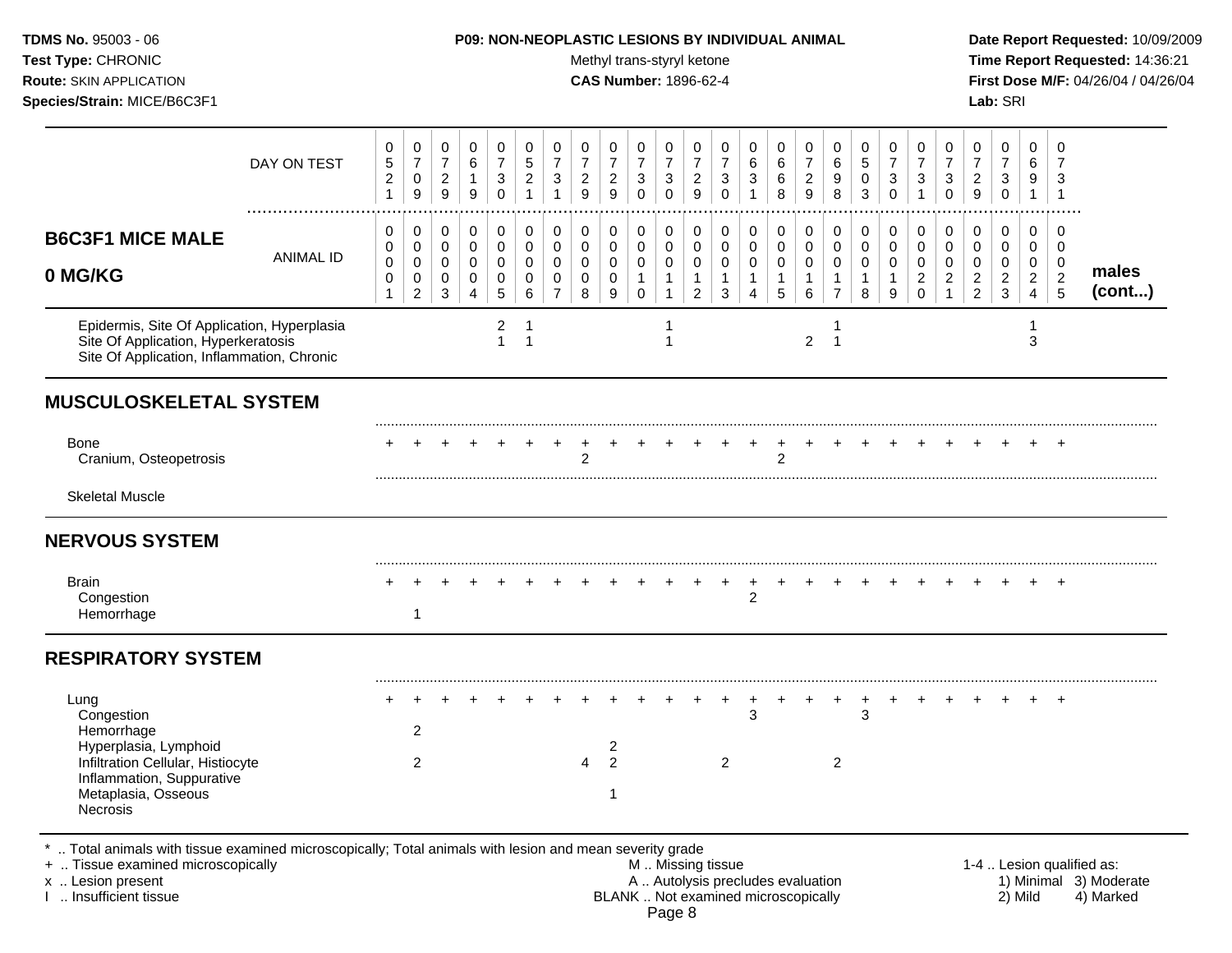#### **TDMS No.** 95003 - 06 **P09: NON-NEOPLASTIC LESIONS BY INDIVIDUAL ANIMAL Date Report Requested:** 10/09/2009

Test Type: CHRONIC **Test Type:** CHRONIC **Test Type:** CHRONIC **Time Report Requested:** 14:36:21 **Route:** SKIN APPLICATION **CAS Number:** 1896-62-4 **First Dose M/F:** 04/26/04 / 04/26/04

|                                                                                                                                                                | DAY ON TEST      | 0<br>$\sqrt{5}$<br>$\overline{c}$<br>$\mathbf{1}$ | $\pmb{0}$<br>$\overline{7}$<br>$\mathbf 0$<br>$\boldsymbol{9}$ | 0<br>$\boldsymbol{7}$<br>$\overline{a}$<br>9        | 0<br>$\,6\,$<br>$\mathbf{1}$<br>9                 | 0<br>$\boldsymbol{7}$<br>3<br>$\Omega$                          | 0<br>$\sqrt{5}$<br>$\overline{c}$<br>$\mathbf{1}$ | 0<br>$\overline{7}$<br>3<br>$\overline{1}$        | 0<br>$\overline{7}$<br>$\overline{2}$<br>9 | 0<br>$\boldsymbol{7}$<br>$\overline{2}$<br>9      | 0<br>$\overline{7}$<br>3<br>$\Omega$       | 0<br>$\overline{7}$<br>3<br>$\Omega$                            | 0<br>$\boldsymbol{7}$<br>$\overline{a}$<br>9            | 0<br>$\boldsymbol{7}$<br>3<br>$\Omega$     | 0<br>$\,6$<br>3<br>$\overline{1}$          | 0<br>$\,6$<br>6<br>8                                 | 0<br>$\boldsymbol{7}$<br>$\overline{c}$<br>9           | 0<br>$\,6\,$<br>9<br>8                                            | 0<br>$\sqrt{5}$<br>$\pmb{0}$<br>3                    | 0<br>$\boldsymbol{7}$<br>$\mathbf{3}$<br>$\Omega$ | 0<br>$\boldsymbol{7}$<br>3<br>$\overline{1}$             | 0<br>$\overline{7}$<br>3<br>$\Omega$           | 0<br>$\boldsymbol{7}$<br>$\overline{2}$<br>9                    | 0<br>$\boldsymbol{7}$<br>$\mathbf{3}$<br>$\mathbf 0$ | $\mathbf 0$<br>$\,6\,$<br>9<br>$\mathbf{1}$             | 0<br>$\overline{7}$<br>3<br>$\overline{1}$                |                 |
|----------------------------------------------------------------------------------------------------------------------------------------------------------------|------------------|---------------------------------------------------|----------------------------------------------------------------|-----------------------------------------------------|---------------------------------------------------|-----------------------------------------------------------------|---------------------------------------------------|---------------------------------------------------|--------------------------------------------|---------------------------------------------------|--------------------------------------------|-----------------------------------------------------------------|---------------------------------------------------------|--------------------------------------------|--------------------------------------------|------------------------------------------------------|--------------------------------------------------------|-------------------------------------------------------------------|------------------------------------------------------|---------------------------------------------------|----------------------------------------------------------|------------------------------------------------|-----------------------------------------------------------------|------------------------------------------------------|---------------------------------------------------------|-----------------------------------------------------------|-----------------|
| <b>B6C3F1 MICE MALE</b><br>0 MG/KG                                                                                                                             | <b>ANIMAL ID</b> | 0<br>0<br>$\pmb{0}$<br>$\,0\,$<br>1               | 0<br>$\mathbf 0$<br>$\pmb{0}$<br>0<br>$\overline{c}$           | 0<br>$\mathbf 0$<br>$\mathbf 0$<br>$\mathbf 0$<br>3 | 0<br>$\mathbf 0$<br>$\pmb{0}$<br>$\mathbf 0$<br>4 | 0<br>$\mathbf 0$<br>$\mathbf 0$<br>$\pmb{0}$<br>$5\phantom{.0}$ | 0<br>0<br>$\Omega$<br>0<br>6                      | $\pmb{0}$<br>0<br>$\Omega$<br>0<br>$\overline{7}$ | 0<br>$\mathbf 0$<br>$\Omega$<br>0<br>8     | 0<br>$\mathbf 0$<br>$\mathbf 0$<br>$\pmb{0}$<br>9 | 0<br>$\mathbf 0$<br>0<br>$\mathbf{1}$<br>0 | 0<br>$\mathbf 0$<br>$\mathbf 0$<br>$\mathbf{1}$<br>$\mathbf{1}$ | 0<br>0<br>$\mathbf 0$<br>$\mathbf{1}$<br>$\overline{2}$ | 0<br>0<br>$\mathbf 0$<br>$\mathbf{1}$<br>3 | 0<br>0<br>$\mathbf 0$<br>$\mathbf{1}$<br>4 | 0<br>$\mathbf 0$<br>$\mathbf 0$<br>$\mathbf{1}$<br>5 | 0<br>$\mathbf 0$<br>$\mathbf 0$<br>$\overline{1}$<br>6 | 0<br>$\mathbf 0$<br>$\mathbf 0$<br>$\mathbf{1}$<br>$\overline{7}$ | 0<br>$\mathbf 0$<br>$\mathbf 0$<br>$\mathbf{1}$<br>8 | 0<br>$\mathbf 0$<br>$\Omega$<br>$\mathbf{1}$<br>9 | $\pmb{0}$<br>0<br>$\Omega$<br>$\overline{2}$<br>$\Omega$ | 0<br>$\mathbf 0$<br>$\Omega$<br>$\overline{2}$ | 0<br>$\mathbf 0$<br>$\mathbf 0$<br>$\sqrt{2}$<br>$\overline{2}$ | 0<br>0<br>$\mathbf 0$<br>$\mathbf{2}$<br>3           | 0<br>$\mathbf{0}$<br>$\mathbf 0$<br>$\overline{2}$<br>4 | 0<br>$\overline{0}$<br>$\mathbf 0$<br>$\overline{2}$<br>5 | males<br>(cont) |
| Epidermis, Site Of Application, Hyperplasia<br>Site Of Application, Hyperkeratosis<br>Site Of Application, Inflammation, Chronic                               |                  |                                                   |                                                                |                                                     |                                                   | $\overline{c}$<br>$\mathbf{1}$                                  | $\mathbf 1$<br>$\mathbf{1}$                       |                                                   |                                            |                                                   |                                            | -1                                                              |                                                         |                                            |                                            |                                                      | $\overline{2}$                                         | 1                                                                 |                                                      |                                                   |                                                          |                                                |                                                                 |                                                      | -1<br>3                                                 |                                                           |                 |
| <b>MUSCULOSKELETAL SYSTEM</b>                                                                                                                                  |                  |                                                   |                                                                |                                                     |                                                   |                                                                 |                                                   |                                                   |                                            |                                                   |                                            |                                                                 |                                                         |                                            |                                            |                                                      |                                                        |                                                                   |                                                      |                                                   |                                                          |                                                |                                                                 |                                                      |                                                         |                                                           |                 |
| <b>Bone</b><br>Cranium, Osteopetrosis                                                                                                                          |                  |                                                   |                                                                |                                                     |                                                   |                                                                 |                                                   |                                                   | 2                                          |                                                   |                                            |                                                                 |                                                         |                                            |                                            | +<br>$\overline{2}$                                  |                                                        |                                                                   |                                                      |                                                   |                                                          |                                                |                                                                 |                                                      |                                                         |                                                           |                 |
| <b>Skeletal Muscle</b>                                                                                                                                         |                  |                                                   |                                                                |                                                     |                                                   |                                                                 |                                                   |                                                   |                                            |                                                   |                                            |                                                                 |                                                         |                                            |                                            |                                                      |                                                        |                                                                   |                                                      |                                                   |                                                          |                                                |                                                                 |                                                      |                                                         |                                                           |                 |
| <b>NERVOUS SYSTEM</b>                                                                                                                                          |                  |                                                   |                                                                |                                                     |                                                   |                                                                 |                                                   |                                                   |                                            |                                                   |                                            |                                                                 |                                                         |                                            |                                            |                                                      |                                                        |                                                                   |                                                      |                                                   |                                                          |                                                |                                                                 |                                                      |                                                         |                                                           |                 |
| <b>Brain</b><br>Congestion<br>Hemorrhage                                                                                                                       |                  |                                                   | $\mathbf{1}$                                                   |                                                     |                                                   |                                                                 |                                                   |                                                   |                                            |                                                   |                                            |                                                                 |                                                         |                                            | 2                                          |                                                      |                                                        |                                                                   |                                                      |                                                   |                                                          |                                                |                                                                 |                                                      |                                                         | $\overline{ }$                                            |                 |
| <b>RESPIRATORY SYSTEM</b>                                                                                                                                      |                  |                                                   |                                                                |                                                     |                                                   |                                                                 |                                                   |                                                   |                                            |                                                   |                                            |                                                                 |                                                         |                                            |                                            |                                                      |                                                        |                                                                   |                                                      |                                                   |                                                          |                                                |                                                                 |                                                      |                                                         |                                                           |                 |
| Lung<br>Congestion<br>Hemorrhage<br>Hyperplasia, Lymphoid<br>Infiltration Cellular, Histiocyte<br>Inflammation, Suppurative<br>Metaplasia, Osseous<br>Necrosis |                  |                                                   | $\overline{2}$<br>$\overline{2}$                               |                                                     |                                                   |                                                                 |                                                   |                                                   | 4                                          | $\overline{\mathbf{c}}$<br>$\overline{2}$<br>1    |                                            |                                                                 |                                                         | 2                                          | 3                                          |                                                      |                                                        | 2                                                                 | 3                                                    |                                                   |                                                          |                                                |                                                                 |                                                      |                                                         |                                                           |                 |

\* .. Total animals with tissue examined microscopically; Total animals with lesion and mean severity grade

+ .. Tissue examined microscopically M .. Missing tissue 1-4 .. Lesion qualified as: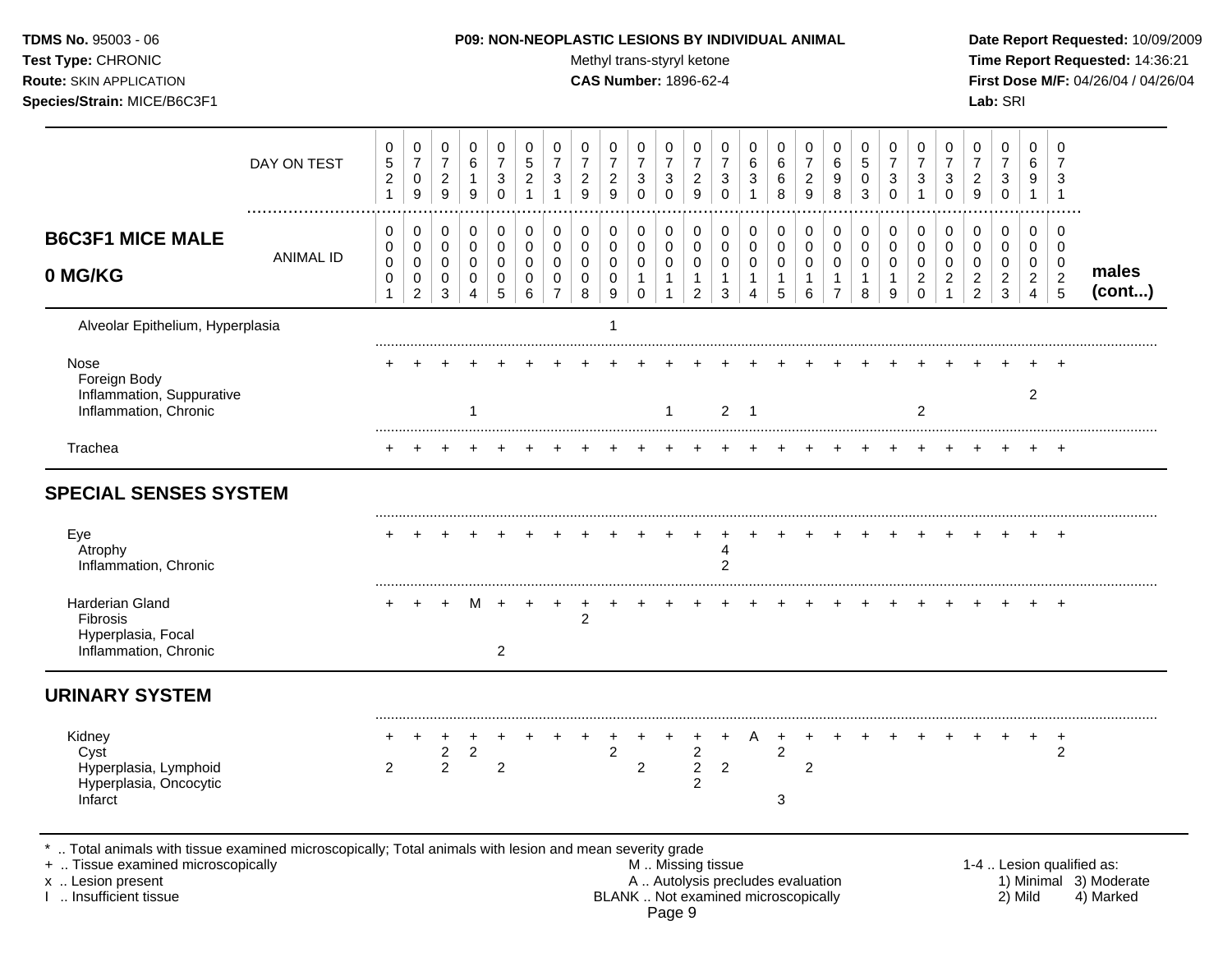#### P09: NON-NEOPLASTIC LESIONS BY INDIVIDUAL ANIMAL

Methyl trans-styryl ketone

CAS Number: 1896-62-4

Date Report Requested: 10/09/2009 Time Report Requested: 14:36:21 First Dose M/F: 04/26/04 / 04/26/04 Lab: SRI

|                                                                                                                                             | DAY ON TEST      | $\mathbf 0$<br>$\sqrt{5}$<br>$\overline{c}$<br>$\mathbf{1}$ | $\pmb{0}$<br>$\overline{7}$<br>$\mathbf 0$<br>9 | 0<br>$\overline{7}$<br>$\overline{2}$<br>$\boldsymbol{9}$ | 0<br>6<br>$\mathbf{1}$<br>$9\,$                                  | 0<br>$\overline{7}$<br>3<br>$\Omega$                | 0<br>$\sqrt{5}$<br>$\overline{c}$       | 0<br>$\overline{7}$<br>3                                      | $\mathbf 0$<br>$\overline{7}$<br>$\boldsymbol{2}$<br>9 | 0<br>$\overline{7}$<br>$\overline{c}$<br>$\boldsymbol{9}$ | $\mathbf 0$<br>$\overline{7}$<br>3<br>$\Omega$       | 0<br>$\overline{7}$<br>3<br>$\pmb{0}$           | 0<br>$\overline{7}$<br>$\overline{c}$<br>$\boldsymbol{9}$   | 0<br>$\overline{7}$<br>3<br>$\Omega$ | $\mathbf 0$<br>6<br>3                                   | 0<br>6<br>6<br>8                           | 0<br>$\overline{7}$<br>$\overline{c}$<br>9 | 0<br>6<br>9<br>8                                        | 0<br>5<br>$\mathbf 0$<br>3                         | 0<br>$\overline{7}$<br>3<br>$\Omega$       | $\mathbf 0$<br>$\overline{7}$<br>3                         | 0<br>$\overline{7}$<br>3<br>$\Omega$                              | 0<br>$\overline{7}$<br>$\overline{c}$<br>$\boldsymbol{9}$ | $\mathbf 0$<br>$\overline{7}$<br>3<br>$\pmb{0}$        | $\Omega$<br>6<br>9<br>$\mathbf{1}$                               | 0<br>7<br>3<br>$\overline{1}$                             |                           |
|---------------------------------------------------------------------------------------------------------------------------------------------|------------------|-------------------------------------------------------------|-------------------------------------------------|-----------------------------------------------------------|------------------------------------------------------------------|-----------------------------------------------------|-----------------------------------------|---------------------------------------------------------------|--------------------------------------------------------|-----------------------------------------------------------|------------------------------------------------------|-------------------------------------------------|-------------------------------------------------------------|--------------------------------------|---------------------------------------------------------|--------------------------------------------|--------------------------------------------|---------------------------------------------------------|----------------------------------------------------|--------------------------------------------|------------------------------------------------------------|-------------------------------------------------------------------|-----------------------------------------------------------|--------------------------------------------------------|------------------------------------------------------------------|-----------------------------------------------------------|---------------------------|
| <b>B6C3F1 MICE MALE</b><br>0 MG/KG                                                                                                          | <b>ANIMAL ID</b> | $\mathbf 0$<br>0<br>0<br>$\mathbf 0$<br>1                   | 0<br>0<br>0<br>$\pmb{0}$<br>$\overline{c}$      | $\pmb{0}$<br>0<br>0<br>0<br>3                             | $\mathbf 0$<br>$\mathbf 0$<br>0<br>$\mathbf 0$<br>$\overline{4}$ | $\mathbf 0$<br>$\mathbf 0$<br>0<br>$\mathbf 0$<br>5 | $\pmb{0}$<br>$\mathbf 0$<br>0<br>0<br>6 | 0<br>$\mathbf 0$<br>$\Omega$<br>$\mathbf 0$<br>$\overline{7}$ | $\pmb{0}$<br>$\mathbf 0$<br>$\mathbf 0$<br>0<br>8      | $\pmb{0}$<br>$\mathbf 0$<br>0<br>$\mathbf 0$<br>9         | 0<br>$\mathbf 0$<br>0<br>$\mathbf{1}$<br>$\mathbf 0$ | $\mathbf 0$<br>$\mathbf 0$<br>0<br>$\mathbf{1}$ | 0<br>$\mathbf 0$<br>0<br>$\mathbf{1}$<br>$\overline{a}$     | 0<br>0<br>0<br>$\mathbf{1}$<br>3     | 0<br>$\mathbf 0$<br>0<br>$\mathbf{1}$<br>$\overline{4}$ | 0<br>$\mathbf 0$<br>0<br>$\mathbf{1}$<br>5 | 0<br>$\mathsf 0$<br>0<br>$\mathbf{1}$<br>6 | 0<br>$\mathbf 0$<br>0<br>$\mathbf{1}$<br>$\overline{7}$ | $\pmb{0}$<br>$\mathbf 0$<br>0<br>$\mathbf{1}$<br>8 | 0<br>$\mathbf 0$<br>0<br>$\mathbf{1}$<br>9 | 0<br>$\mathbf 0$<br>$\Omega$<br>$\overline{2}$<br>$\Omega$ | 0<br>$\mathbf 0$<br>$\mathbf 0$<br>$\overline{c}$<br>$\mathbf{1}$ | 0<br>0<br>0<br>$\sqrt{2}$<br>$\overline{2}$               | $\mathbf 0$<br>$\mathbf 0$<br>0<br>$\overline{c}$<br>3 | $\Omega$<br>$\mathbf 0$<br>0<br>$\overline{2}$<br>$\overline{4}$ | $\mathbf 0$<br>$\overline{0}$<br>0<br>$\overline{c}$<br>5 | males<br>(cont)           |
| Alveolar Epithelium, Hyperplasia                                                                                                            |                  |                                                             |                                                 |                                                           |                                                                  |                                                     |                                         |                                                               |                                                        |                                                           |                                                      |                                                 |                                                             |                                      |                                                         |                                            |                                            |                                                         |                                                    |                                            |                                                            |                                                                   |                                                           |                                                        |                                                                  |                                                           |                           |
| Nose<br>Foreign Body<br>Inflammation, Suppurative<br>Inflammation, Chronic                                                                  |                  |                                                             |                                                 |                                                           |                                                                  |                                                     |                                         |                                                               |                                                        |                                                           |                                                      | $\mathbf 1$                                     |                                                             | $\overline{2}$                       | $\overline{\mathbf{1}}$                                 |                                            |                                            |                                                         |                                                    |                                            | $\overline{2}$                                             |                                                                   |                                                           |                                                        | $\overline{2}$                                                   |                                                           |                           |
| Trachea                                                                                                                                     |                  |                                                             |                                                 |                                                           |                                                                  |                                                     |                                         |                                                               |                                                        |                                                           |                                                      |                                                 |                                                             |                                      |                                                         |                                            |                                            |                                                         |                                                    |                                            |                                                            |                                                                   |                                                           |                                                        |                                                                  |                                                           |                           |
| <b>SPECIAL SENSES SYSTEM</b><br>Eye<br>Atrophy<br>Inflammation, Chronic                                                                     |                  |                                                             |                                                 |                                                           |                                                                  |                                                     |                                         |                                                               |                                                        |                                                           |                                                      |                                                 |                                                             | $\overline{c}$                       |                                                         |                                            |                                            |                                                         |                                                    |                                            |                                                            |                                                                   |                                                           |                                                        |                                                                  |                                                           |                           |
| Harderian Gland<br>Fibrosis<br>Hyperplasia, Focal<br>Inflammation, Chronic                                                                  |                  |                                                             |                                                 |                                                           |                                                                  | $\overline{2}$                                      |                                         |                                                               | $\overline{c}$                                         |                                                           |                                                      |                                                 |                                                             |                                      |                                                         |                                            |                                            |                                                         |                                                    |                                            |                                                            |                                                                   |                                                           |                                                        |                                                                  |                                                           |                           |
| <b>URINARY SYSTEM</b>                                                                                                                       |                  |                                                             |                                                 |                                                           |                                                                  |                                                     |                                         |                                                               |                                                        |                                                           |                                                      |                                                 |                                                             |                                      |                                                         |                                            |                                            |                                                         |                                                    |                                            |                                                            |                                                                   |                                                           |                                                        |                                                                  |                                                           |                           |
| Kidney<br>Cyst<br>Hyperplasia, Lymphoid<br>Hyperplasia, Oncocytic<br>Infarct                                                                |                  | $\overline{2}$                                              |                                                 | $\ddot{}$<br>$\boldsymbol{2}$<br>$\overline{2}$           | $\boldsymbol{2}$                                                 | $\overline{2}$                                      |                                         |                                                               |                                                        | $\overline{2}$                                            | $\overline{2}$                                       |                                                 | $\overline{\mathbf{c}}$<br>$\overline{c}$<br>$\overline{2}$ | $\overline{2}$                       | A                                                       | $\cdot$<br>$\overline{c}$<br>3             | $\overline{c}$                             |                                                         |                                                    |                                            |                                                            |                                                                   |                                                           |                                                        |                                                                  | $\ddot{}$<br>$\overline{2}$                               |                           |
| Total animals with tissue examined microscopically; Total animals with lesion and mean severity grade<br>+  Tissue examined microscopically |                  |                                                             |                                                 |                                                           |                                                                  |                                                     |                                         |                                                               |                                                        |                                                           |                                                      |                                                 | M  Missing tissue                                           |                                      |                                                         |                                            |                                            |                                                         |                                                    |                                            |                                                            |                                                                   |                                                           |                                                        |                                                                  |                                                           | 1-4  Lesion qualified as: |

x .. Lesion present<br>I .. Insufficient tissue

A .. Autolysis precludes evaluation<br>BLANK .. Not examined microscopically Page 9

1) Minimal 3) Moderate<br>2) Mild 4) Marked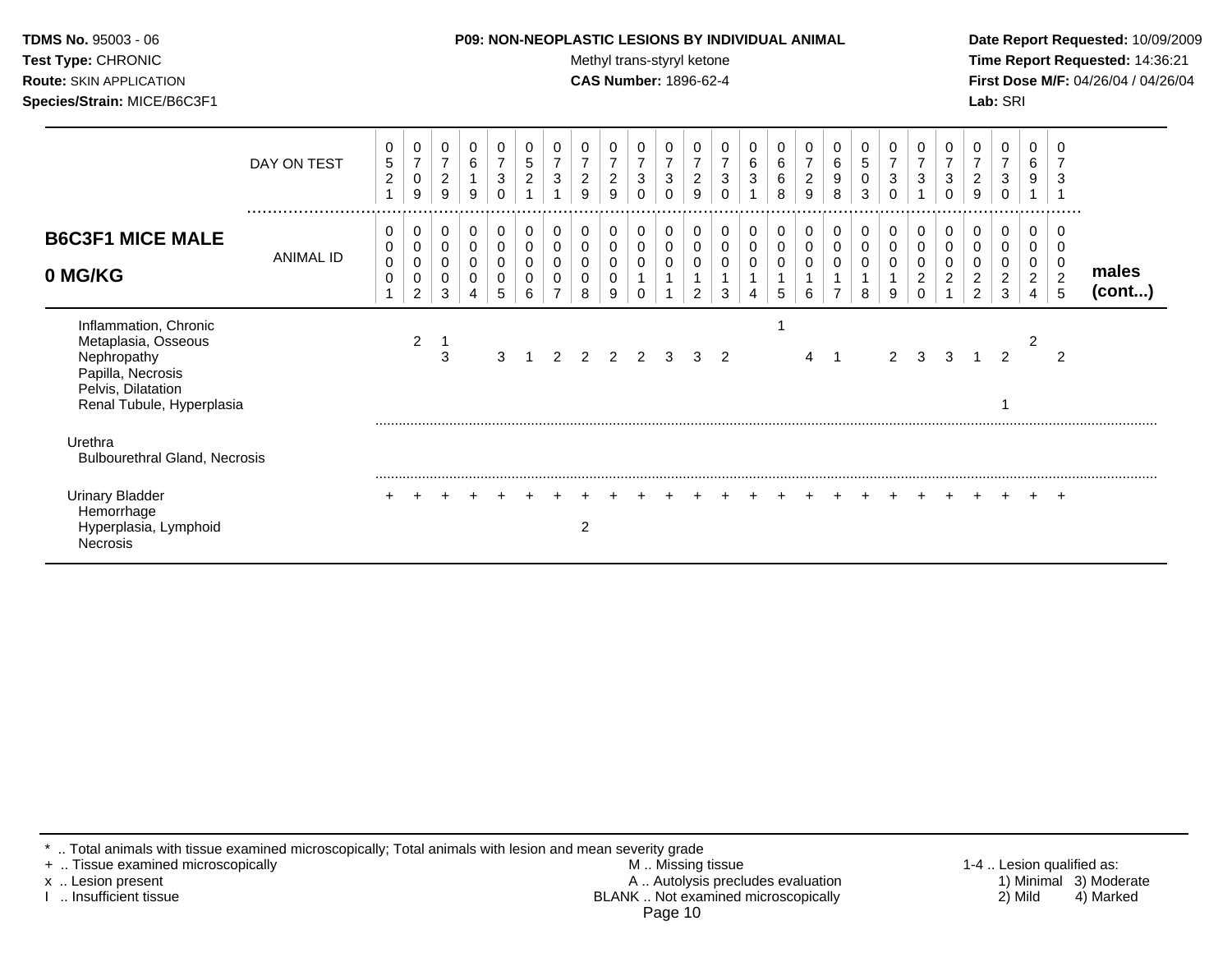| <b>TDMS No. 95003 - 06</b>         |
|------------------------------------|
| <b>Test Type: CHRONIC</b>          |
| <b>Route: SKIN APPLICATION</b>     |
| <b>Species/Strain: MICE/B6C3F1</b> |

#### P09: NON-NEOPLASTIC LESIONS BY INDIVIDUAL ANIMAL

Methyl trans-styryl ketone

**CAS Number: 1896-62-4** 

Date Report Requested: 10/09/2009 Time Report Requested: 14:36:21 First Dose M/F: 04/26/04 / 04/26/04 Lab: SRI

|                                                                                                                                     | DAY ON TEST<br>  | 0<br>5<br>$\overline{c}$             | 0<br>$\overline{7}$<br>$\pmb{0}$<br>9 | 0<br>$\boldsymbol{7}$<br>$\overline{2}$<br>9 | 0<br>6<br>$\mathbf 1$<br>9            | 0<br>$\overline{7}$<br>$\mathbf{3}$ | 0<br>$\sqrt{5}$<br>$\boldsymbol{2}$ | 0<br>$\overline{7}$<br>$\mathbf{3}$ | 0<br>$\overline{7}$<br>$\overline{c}$<br>9 | 0<br>$\overline{7}$<br>$\overline{2}$<br>9      | 0<br>$\overline{7}$<br>$\mathbf{3}$<br>0 | $\mathbf 0$<br>$\overline{7}$<br>$\mathbf{3}$<br>0 | 0<br>$\overline{7}$<br>$\overline{2}$<br>9 | 0<br>$\overline{7}$<br>3<br>0 | 0<br>6<br>$\sqrt{3}$ | 0<br>$\,6\,$<br>$\,6\,$<br>8 | 0<br>$\overline{\mathbf{7}}$<br>$\overline{c}$<br>9 | 0<br>6<br>$9\,$<br>8                    | $\mathbf 0$<br>$\mathbf 5$<br>$\mathbf 0$<br>3 | 0<br>$\overline{7}$<br>3<br>0 | 0<br>$\overline{ }$<br>3                    | 0<br>7<br>3                  | 0<br>$\overline{7}$<br>$\overline{2}$<br>9        | 0<br>$\overline{7}$<br>$\sqrt{3}$<br>$\Omega$ | 0<br>6<br>9                                     | 3<br>                    |                       |
|-------------------------------------------------------------------------------------------------------------------------------------|------------------|--------------------------------------|---------------------------------------|----------------------------------------------|---------------------------------------|-------------------------------------|-------------------------------------|-------------------------------------|--------------------------------------------|-------------------------------------------------|------------------------------------------|----------------------------------------------------|--------------------------------------------|-------------------------------|----------------------|------------------------------|-----------------------------------------------------|-----------------------------------------|------------------------------------------------|-------------------------------|---------------------------------------------|------------------------------|---------------------------------------------------|-----------------------------------------------|-------------------------------------------------|--------------------------|-----------------------|
| <b>B6C3F1 MICE MALE</b><br>0 MG/KG                                                                                                  | <b>ANIMAL ID</b> | 0<br>0<br>$\mathbf 0$<br>$\mathbf 0$ | 0<br>0<br>0<br>0<br>2                 | 0<br>0<br>$\mathbf 0$<br>0<br>3              | 0<br>0<br>$\pmb{0}$<br>$\pmb{0}$<br>4 | 0<br>$\mathbf 0$<br>5               | 0<br>0<br>0<br>0<br>6               | 0<br>0<br>0<br>0                    | 0<br>0<br>0<br>8                           | $\pmb{0}$<br>$\pmb{0}$<br>0<br>$\mathbf 0$<br>9 | 0<br>0<br>$\mathbf 0$<br>$\Omega$        | 0<br>0<br>$\mathbf 0$                              | 0<br>0<br>$\mathbf 0$<br>2                 | 0<br>0<br>$\mathbf 0$<br>3    | 0<br>0<br>0<br>4     | 0<br>$\mathbf 0$<br>0<br>5   | 0<br>0<br>0<br>6                                    | 0<br>0<br>$\mathbf 0$<br>$\overline{7}$ | 0<br>0<br>$\mathbf 0$<br>8                     | 0<br>0<br>$\mathbf 0$<br>9    | 0<br>0<br>0<br>$\overline{\mathbf{c}}$<br>0 | 0<br>$\overline{\mathbf{c}}$ | 0<br>0<br>0<br>$\boldsymbol{2}$<br>$\overline{2}$ | 0<br>0<br>0<br>$\overline{\mathbf{c}}$<br>3   | 0<br>0<br>0<br>$\overline{c}$<br>$\overline{4}$ | 0<br>$\overline{2}$<br>5 | males<br>$($ cont $)$ |
| Inflammation, Chronic<br>Metaplasia, Osseous<br>Nephropathy<br>Papilla, Necrosis<br>Pelvis, Dilatation<br>Renal Tubule, Hyperplasia |                  |                                      | 2                                     | 3                                            |                                       | 3                                   |                                     | 2                                   |                                            | $\mathcal{P}$                                   | $\overline{2}$                           | 3                                                  | 3                                          | $\overline{2}$                |                      |                              | 4                                                   | -1                                      |                                                | 2                             | 3                                           | 3                            |                                                   | $\overline{2}$                                |                                                 | $\mathcal{P}$            |                       |
| Urethra<br><b>Bulbourethral Gland, Necrosis</b>                                                                                     |                  |                                      |                                       |                                              |                                       |                                     |                                     |                                     |                                            |                                                 |                                          |                                                    |                                            |                               |                      |                              |                                                     |                                         |                                                |                               |                                             |                              |                                                   |                                               |                                                 |                          |                       |
| <b>Urinary Bladder</b><br>Hemorrhage<br>Hyperplasia, Lymphoid<br><b>Necrosis</b>                                                    |                  | $\div$                               |                                       |                                              |                                       |                                     |                                     |                                     | 2                                          |                                                 |                                          |                                                    |                                            |                               |                      |                              |                                                     |                                         |                                                |                               |                                             |                              |                                                   |                                               |                                                 | $\pm$                    |                       |

\* .. Total animals with tissue examined microscopically; Total animals with lesion and mean severity grade<br>+ .. Tissue examined microscopically

x .. Lesion present

I .. Insufficient tissue

A .. Autolysis precludes evaluation<br>BLANK .. Not examined microscopically Page 10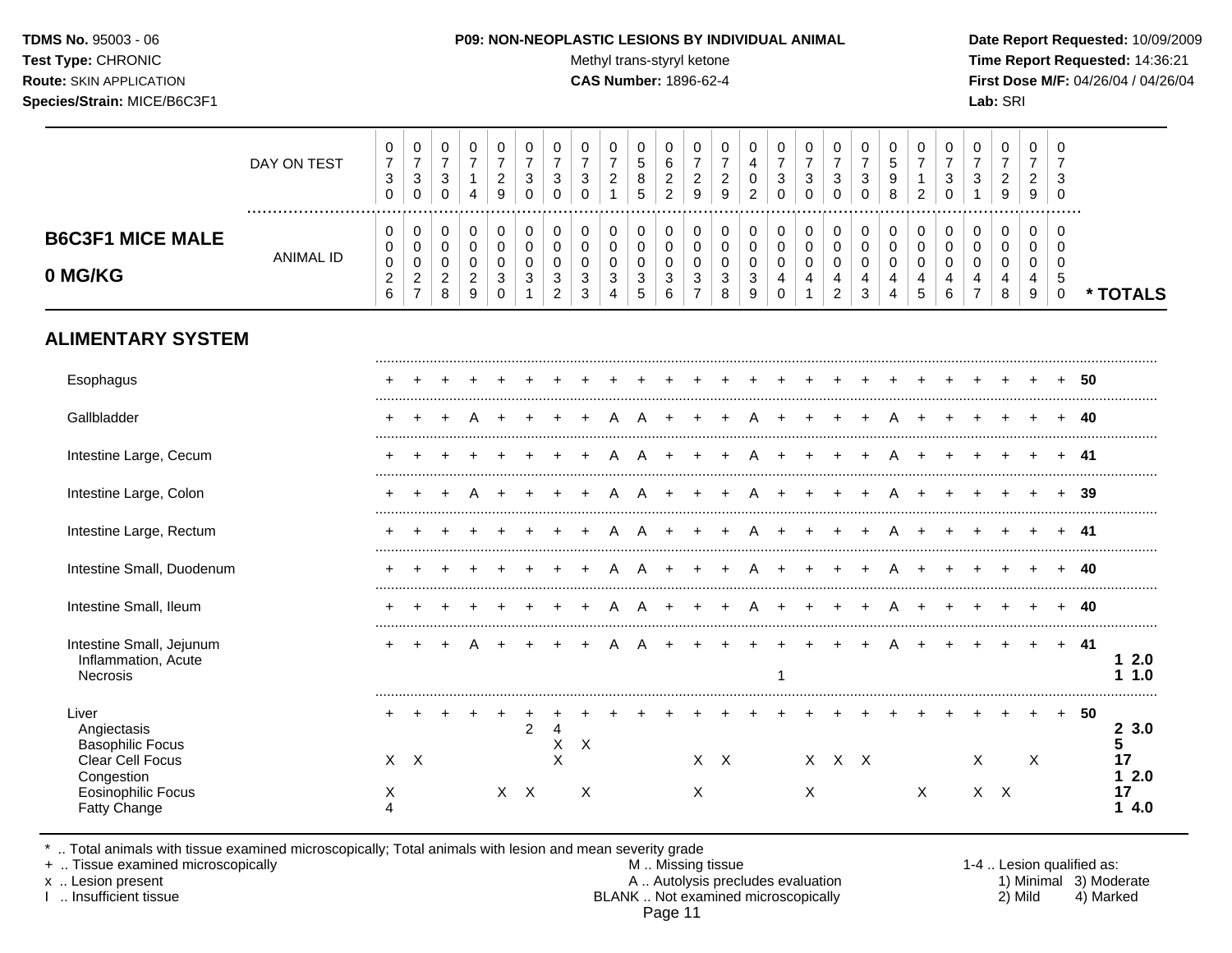TDMS No. 95003 - 06 Test Type: CHRONIC **Route: SKIN APPLICATION** Species/Strain: MICE/B6C3F1

#### P09: NON-NEOPLASTIC LESIONS BY INDIVIDUAL ANIMAL

Methyl trans-styryl ketone

**CAS Number: 1896-62-4** 

Date Report Requested: 10/09/2009 Time Report Requested: 14:36:21 First Dose M/F: 04/26/04 / 04/26/04 Lab: SRI

|                                                                                   | DAY ON TEST<br>  | 0<br>$\overline{7}$<br>3<br>$\mathbf 0$                 | $\pmb{0}$<br>$\overline{7}$<br>$\ensuremath{\mathsf{3}}$<br>$\pmb{0}$     | $\mathbf 0$<br>$\overline{7}$<br>$\mathbf{3}$<br>$\mathbf 0$ | $\pmb{0}$<br>$\overline{7}$<br>$\mathbf{1}$<br>$\overline{4}$ | 0<br>$\overline{7}$<br>$\overline{2}$<br>9       | 0<br>$\overline{7}$<br>$\mathbf{3}$<br>$\Omega$ | $\pmb{0}$<br>$\overline{7}$<br>3<br>$\Omega$                           | $\,0\,$<br>$\overline{7}$<br>3<br>$\Omega$ | $\pmb{0}$<br>$\overline{7}$<br>$\overline{2}$<br>$\overline{1}$ | $\mathbf 0$<br>$\overline{5}$<br>8<br>5 | $\mathbf 0$<br>$\,6\,$<br>$\overline{c}$<br>$\overline{c}$ | 0<br>$\overline{7}$<br>$\sqrt{2}$<br>$\overline{9}$ | 0<br>$\overline{7}$<br>$\overline{c}$<br>9                 | $\pmb{0}$<br>$\overline{4}$<br>$\mathbf 0$<br>$\overline{c}$ | 0<br>$\overline{7}$<br>3<br>$\mathbf 0$                   | $\pmb{0}$<br>$\overline{7}$<br>$\mathbf{3}$<br>$\mathbf 0$ | $\pmb{0}$<br>$\overline{7}$<br>$\mathbf{3}$<br>$\Omega$ | 0<br>$\overline{7}$<br>3<br>0           | $\mathbf 0$<br>$\sqrt{5}$<br>$9\,$<br>8                                       | 0<br>$\overline{7}$<br>$\mathbf{1}$<br>$\overline{2}$ | 0<br>$\overline{7}$<br>$\mathbf{3}$<br>$\mathbf 0$ | $\mathbf 0$<br>$\overline{7}$<br>3<br>1                   | $\pmb{0}$<br>$\overline{7}$<br>$\overline{c}$<br>9 | $\mathbf 0$<br>$\overline{7}$<br>$\overline{2}$<br>$\boldsymbol{9}$ | 0<br>$\overline{7}$<br>3<br>$\mathbf 0$ |     |                         |
|-----------------------------------------------------------------------------------|------------------|---------------------------------------------------------|---------------------------------------------------------------------------|--------------------------------------------------------------|---------------------------------------------------------------|--------------------------------------------------|-------------------------------------------------|------------------------------------------------------------------------|--------------------------------------------|-----------------------------------------------------------------|-----------------------------------------|------------------------------------------------------------|-----------------------------------------------------|------------------------------------------------------------|--------------------------------------------------------------|-----------------------------------------------------------|------------------------------------------------------------|---------------------------------------------------------|-----------------------------------------|-------------------------------------------------------------------------------|-------------------------------------------------------|----------------------------------------------------|-----------------------------------------------------------|----------------------------------------------------|---------------------------------------------------------------------|-----------------------------------------|-----|-------------------------|
| <b>B6C3F1 MICE MALE</b><br>0 MG/KG                                                | <b>ANIMAL ID</b> | 0<br>0<br>$\pmb{0}$<br>$\overline{c}$<br>$6\phantom{a}$ | $\pmb{0}$<br>$\pmb{0}$<br>$\pmb{0}$<br>$\boldsymbol{2}$<br>$\overline{7}$ | 0<br>$\mathbf 0$<br>$\mathbf 0$<br>$\overline{2}$<br>8       | $\,0\,$<br>$\mathsf{O}\xspace$<br>0<br>$\overline{c}$<br>9    | 0<br>$\mathbf 0$<br>$\mathbf 0$<br>3<br>$\Omega$ | 0<br>$\mathbf 0$<br>0<br>3<br>$\overline{1}$    | $\pmb{0}$<br>$\mathsf{O}\xspace$<br>$\mathbf 0$<br>3<br>$\overline{2}$ | 0<br>0<br>$\mathbf 0$<br>3<br>3            | 0<br>$\mathbf 0$<br>$\mathbf 0$<br>3<br>$\overline{4}$          | 0<br>$\mathbf 0$<br>0<br>3<br>5         | 0<br>0<br>0<br>$\mathbf{3}$<br>6                           | 0<br>0<br>$\mathbf 0$<br>3<br>$\overline{7}$        | $\mathbf 0$<br>$\mathsf 0$<br>$\pmb{0}$<br>$\sqrt{3}$<br>8 | 0<br>$\mathbf 0$<br>$\pmb{0}$<br>$\mathbf{3}$<br>9           | 0<br>$\mathsf{O}\xspace$<br>$\pmb{0}$<br>4<br>$\mathbf 0$ | 0<br>$\pmb{0}$<br>$\pmb{0}$<br>4<br>$\mathbf{1}$           | 0<br>$\mathbf 0$<br>$\mathbf 0$<br>4<br>$\overline{2}$  | 0<br>$\pmb{0}$<br>$\mathbf 0$<br>4<br>3 | $\mathbf 0$<br>$\mathbf 0$<br>$\mathbf 0$<br>$\overline{4}$<br>$\overline{4}$ | $\pmb{0}$<br>$\pmb{0}$<br>0<br>4<br>5                 | 0<br>$\mathbf 0$<br>0<br>4<br>6                    | 0<br>$\mathbf 0$<br>0<br>$\overline{4}$<br>$\overline{7}$ | 0<br>$\pmb{0}$<br>0<br>4<br>8                      | 0<br>$\mathbf 0$<br>0<br>4<br>9                                     | $\Omega$<br>0<br>0<br>5<br>$\Omega$     |     | * TOTALS                |
| <b>ALIMENTARY SYSTEM</b>                                                          |                  |                                                         |                                                                           |                                                              |                                                               |                                                  |                                                 |                                                                        |                                            |                                                                 |                                         |                                                            |                                                     |                                                            |                                                              |                                                           |                                                            |                                                         |                                         |                                                                               |                                                       |                                                    |                                                           |                                                    |                                                                     |                                         |     |                         |
| Esophagus                                                                         |                  |                                                         |                                                                           |                                                              |                                                               |                                                  |                                                 |                                                                        |                                            |                                                                 |                                         |                                                            |                                                     |                                                            |                                                              |                                                           |                                                            |                                                         |                                         |                                                                               |                                                       |                                                    |                                                           |                                                    |                                                                     |                                         | 50  |                         |
| Gallbladder                                                                       |                  | $+$                                                     |                                                                           |                                                              |                                                               |                                                  |                                                 |                                                                        |                                            | A                                                               |                                         |                                                            |                                                     |                                                            |                                                              |                                                           |                                                            |                                                         |                                         |                                                                               |                                                       |                                                    |                                                           |                                                    |                                                                     |                                         | 40  |                         |
| Intestine Large, Cecum                                                            |                  | ÷                                                       |                                                                           |                                                              |                                                               |                                                  |                                                 |                                                                        |                                            | A                                                               | A                                       |                                                            |                                                     |                                                            |                                                              |                                                           |                                                            |                                                         |                                         |                                                                               |                                                       |                                                    |                                                           |                                                    |                                                                     |                                         | 41  |                         |
| Intestine Large, Colon                                                            |                  | ÷                                                       |                                                                           |                                                              |                                                               |                                                  |                                                 |                                                                        |                                            |                                                                 |                                         |                                                            |                                                     |                                                            |                                                              |                                                           |                                                            |                                                         |                                         |                                                                               |                                                       |                                                    |                                                           |                                                    |                                                                     |                                         | 39  |                         |
| Intestine Large, Rectum                                                           |                  |                                                         |                                                                           |                                                              |                                                               |                                                  |                                                 |                                                                        |                                            |                                                                 |                                         |                                                            |                                                     |                                                            |                                                              |                                                           |                                                            |                                                         |                                         |                                                                               |                                                       |                                                    |                                                           |                                                    |                                                                     |                                         | 41  |                         |
| Intestine Small, Duodenum                                                         |                  |                                                         |                                                                           |                                                              |                                                               |                                                  |                                                 |                                                                        |                                            |                                                                 |                                         |                                                            |                                                     |                                                            |                                                              |                                                           |                                                            |                                                         |                                         |                                                                               |                                                       |                                                    |                                                           |                                                    |                                                                     |                                         | 40  |                         |
| Intestine Small, Ileum                                                            |                  |                                                         |                                                                           |                                                              |                                                               |                                                  |                                                 |                                                                        |                                            |                                                                 |                                         |                                                            |                                                     |                                                            | A                                                            | $\div$                                                    |                                                            |                                                         |                                         |                                                                               |                                                       |                                                    |                                                           |                                                    |                                                                     | $\div$                                  | 40  |                         |
| Intestine Small, Jejunum<br>Inflammation, Acute<br>Necrosis                       |                  |                                                         |                                                                           |                                                              |                                                               |                                                  |                                                 |                                                                        |                                            |                                                                 |                                         |                                                            |                                                     |                                                            |                                                              | 1                                                         |                                                            |                                                         |                                         |                                                                               |                                                       |                                                    |                                                           |                                                    | $\div$                                                              | $\ddot{}$                               | -41 | 12.0<br>1.0<br>1        |
| Liver<br>Angiectasis<br><b>Basophilic Focus</b><br>Clear Cell Focus<br>Congestion |                  |                                                         | $X$ $X$                                                                   |                                                              |                                                               |                                                  | $\overline{a}$                                  | $\overline{4}$<br>X<br>X                                               | $\boldsymbol{\mathsf{X}}$                  |                                                                 |                                         |                                                            |                                                     | $X$ $X$                                                    |                                                              |                                                           |                                                            | $X$ $X$ $X$                                             |                                         |                                                                               |                                                       |                                                    | X                                                         |                                                    | $\boldsymbol{X}$                                                    | $+$                                     | 50  | 23.0<br>5<br>17<br>12.0 |
| <b>Eosinophilic Focus</b><br>Fatty Change                                         |                  | Х<br>4                                                  |                                                                           |                                                              |                                                               |                                                  | $X$ $X$                                         |                                                                        | X                                          |                                                                 |                                         |                                                            | X                                                   |                                                            |                                                              |                                                           | X                                                          |                                                         |                                         |                                                                               | X                                                     |                                                    |                                                           | $X$ $X$                                            |                                                                     |                                         |     | 17<br>14.0              |

\* .. Total animals with tissue examined microscopically; Total animals with lesion and mean severity grade + .. Tissue examined microscopically

x .. Lesion present

I .. Insufficient tissue

M .. Missing tissue A .. Autolysis precludes evaluation<br>BLANK .. Not examined microscopically Page 11

1-4 .. Lesion qualified as: 1) Minimal 3) Moderate 2) Mild 4) Marked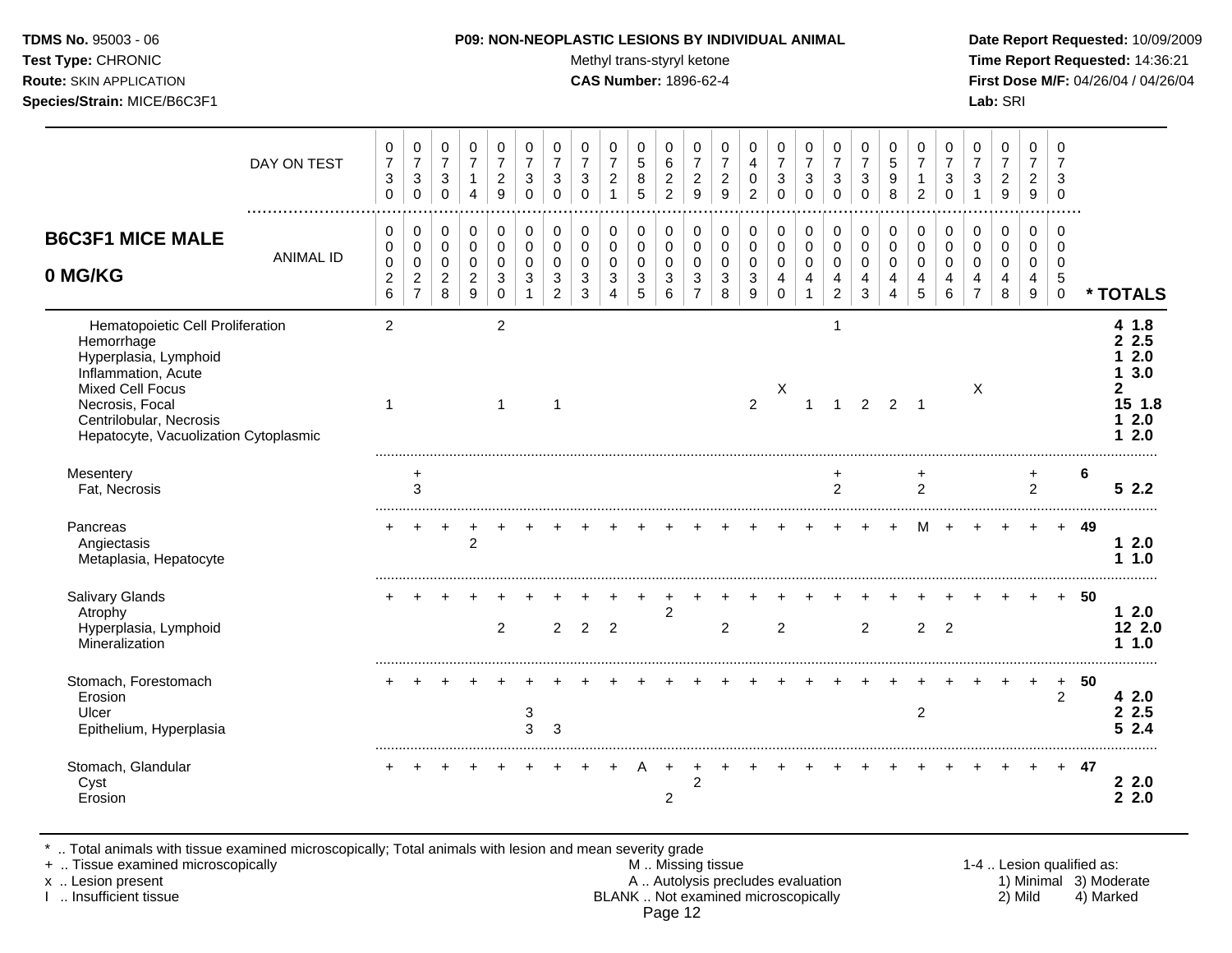Test Type: CHRONIC **Test Type:** CHRONIC **Test Type:** CHRONIC **Time Report Requested:** 14:36:21 **Route:** SKIN APPLICATION **CAS Number:** 1896-62-4 **First Dose M/F:** 04/26/04 / 04/26/04

|                                                                                                                                                                                                                  | DAY ON TEST<br>. | 0<br>$\boldsymbol{7}$<br>$\mathbf{3}$<br>$\mathbf 0$      | 0<br>$\boldsymbol{7}$<br>$\ensuremath{\mathsf{3}}$<br>0     | 0<br>$\overline{7}$<br>$\mathbf{3}$<br>$\mathbf 0$       | $\pmb{0}$<br>$\overline{7}$<br>$\mathbf{1}$<br>4                          | 0<br>$\overline{7}$<br>$\boldsymbol{2}$<br>9 | 0<br>$\overline{7}$<br>$\sqrt{3}$<br>$\Omega$ | 0<br>$\overline{7}$<br>$\mathbf{3}$<br>$\Omega$                       | 0<br>$\overline{7}$<br>$\mathbf{3}$<br>$\Omega$ | 0<br>$\boldsymbol{7}$<br>$\overline{2}$<br>$\overline{1}$ | 0<br>$\overline{5}$<br>8<br>5                        | $\,0\,$<br>6<br>$\overline{c}$<br>$\overline{2}$   | 0<br>$\boldsymbol{7}$<br>$\boldsymbol{2}$<br>9                    | 0<br>$\boldsymbol{7}$<br>$\boldsymbol{2}$<br>9   | 0<br>$\overline{4}$<br>$\mathbf 0$<br>$\overline{2}$ | 0<br>$\overline{7}$<br>3<br>$\Omega$                        | 0<br>$\boldsymbol{7}$<br>$\ensuremath{\mathsf{3}}$<br>$\Omega$                | 0<br>$\boldsymbol{7}$<br>$\sqrt{3}$<br>$\Omega$      | 0<br>$\overline{7}$<br>3<br>$\mathbf 0$ | 0<br>$\sqrt{5}$<br>$\boldsymbol{9}$<br>8                    | 0<br>$\overline{7}$<br>1<br>$\overline{2}$ | 0<br>$\overline{7}$<br>3<br>$\Omega$ | 0<br>$\overline{7}$<br>$\sqrt{3}$                         | $\boldsymbol{0}$<br>$\overline{7}$<br>$\overline{c}$<br>9 | $\pmb{0}$<br>$\overline{7}$<br>$\boldsymbol{2}$<br>9                  | 0<br>$\overline{7}$<br>3<br>$\mathbf 0$           |    |                                                                |
|------------------------------------------------------------------------------------------------------------------------------------------------------------------------------------------------------------------|------------------|-----------------------------------------------------------|-------------------------------------------------------------|----------------------------------------------------------|---------------------------------------------------------------------------|----------------------------------------------|-----------------------------------------------|-----------------------------------------------------------------------|-------------------------------------------------|-----------------------------------------------------------|------------------------------------------------------|----------------------------------------------------|-------------------------------------------------------------------|--------------------------------------------------|------------------------------------------------------|-------------------------------------------------------------|-------------------------------------------------------------------------------|------------------------------------------------------|-----------------------------------------|-------------------------------------------------------------|--------------------------------------------|--------------------------------------|-----------------------------------------------------------|-----------------------------------------------------------|-----------------------------------------------------------------------|---------------------------------------------------|----|----------------------------------------------------------------|
| <b>B6C3F1 MICE MALE</b><br>0 MG/KG                                                                                                                                                                               | <b>ANIMAL ID</b> | 0<br>0<br>$\pmb{0}$<br>$\boldsymbol{2}$<br>$6\phantom{a}$ | 0<br>$\pmb{0}$<br>$\pmb{0}$<br>$\sqrt{2}$<br>$\overline{7}$ | 0<br>$\mathbf 0$<br>$\mathbf 0$<br>$\boldsymbol{2}$<br>8 | $\,0\,$<br>$\pmb{0}$<br>$\mathbf 0$<br>$\overline{c}$<br>$\boldsymbol{9}$ | 0<br>0<br>$\Omega$<br>3<br>0                 | $\mathbf 0$<br>$\mathbf 0$<br>$\Omega$<br>3   | $\mathbf 0$<br>$\mathsf{O}\xspace$<br>$\Omega$<br>3<br>$\overline{2}$ | 0<br>0<br>$\mathbf 0$<br>3<br>$\mathbf{3}$      | 0<br>$\mathbf 0$<br>0<br>$\mathbf{3}$<br>$\overline{4}$   | 0<br>$\mathbf 0$<br>$\mathbf 0$<br>$\mathbf{3}$<br>5 | 0<br>$\pmb{0}$<br>$\mathbf 0$<br>$\mathbf{3}$<br>6 | 0<br>$\mathbf 0$<br>$\mathbf 0$<br>$\mathbf{3}$<br>$\overline{7}$ | $\pmb{0}$<br>$\pmb{0}$<br>0<br>$\mathbf{3}$<br>8 | 0<br>$\pmb{0}$<br>$\mathbf 0$<br>$\mathbf{3}$<br>9   | 0<br>$\pmb{0}$<br>$\mathbf 0$<br>$\overline{4}$<br>$\Omega$ | $\boldsymbol{0}$<br>$\pmb{0}$<br>0<br>$\overline{\mathbf{4}}$<br>$\mathbf{1}$ | 0<br>$\pmb{0}$<br>$\mathbf 0$<br>4<br>$\overline{2}$ | 0<br>$\pmb{0}$<br>$\mathbf 0$<br>4<br>3 | $\mathbf 0$<br>$\pmb{0}$<br>$\Omega$<br>$\overline{4}$<br>4 | 0<br>0<br>$\Omega$<br>4<br>5               | 0<br>0<br>$\Omega$<br>4<br>6         | 0<br>0<br>$\mathbf 0$<br>$\overline{4}$<br>$\overline{7}$ | $\pmb{0}$<br>$\boldsymbol{0}$<br>0<br>4<br>8              | $\mathbf 0$<br>0<br>$\mathbf 0$<br>$\overline{4}$<br>$\boldsymbol{9}$ | 0<br>$\mathbf 0$<br>$\mathbf 0$<br>5<br>$\pmb{0}$ |    | * TOTALS                                                       |
| Hematopoietic Cell Proliferation<br>Hemorrhage<br>Hyperplasia, Lymphoid<br>Inflammation, Acute<br><b>Mixed Cell Focus</b><br>Necrosis, Focal<br>Centrilobular, Necrosis<br>Hepatocyte, Vacuolization Cytoplasmic |                  | $\overline{2}$<br>$\mathbf{1}$                            |                                                             |                                                          |                                                                           | $\overline{c}$<br>$\mathbf{1}$               |                                               | $\overline{1}$                                                        |                                                 |                                                           |                                                      |                                                    |                                                                   |                                                  | $\overline{2}$                                       | х                                                           | $\mathbf{1}$                                                                  | 1<br>$\mathbf{1}$                                    | $\overline{2}$                          | $2 \quad 1$                                                 |                                            |                                      | X                                                         |                                                           |                                                                       |                                                   |    | 4 1.8<br>2.5<br>2.0<br>3.0<br>1.<br>2<br>15 1.8<br>12.0<br>2.0 |
| Mesentery<br>Fat, Necrosis                                                                                                                                                                                       |                  |                                                           | +<br>3                                                      |                                                          |                                                                           |                                              |                                               |                                                                       |                                                 |                                                           |                                                      |                                                    |                                                                   |                                                  |                                                      |                                                             |                                                                               | $\overline{2}$                                       |                                         |                                                             | +<br>$\overline{2}$                        |                                      |                                                           |                                                           | $\ddot{}$<br>$\overline{2}$                                           |                                                   | 6  | 52.2                                                           |
| Pancreas<br>Angiectasis<br>Metaplasia, Hepatocyte                                                                                                                                                                |                  | ٠                                                         | $\ddot{}$                                                   | $\overline{+}$                                           | +<br>$\overline{2}$                                                       |                                              |                                               |                                                                       |                                                 |                                                           |                                                      |                                                    |                                                                   |                                                  |                                                      |                                                             |                                                                               |                                                      |                                         |                                                             |                                            |                                      |                                                           |                                                           |                                                                       | $+$                                               | 49 | 12.0<br>11.0                                                   |
| Salivary Glands<br>Atrophy<br>Hyperplasia, Lymphoid<br>Mineralization                                                                                                                                            |                  |                                                           |                                                             |                                                          |                                                                           | $\overline{c}$                               |                                               | $\overline{2}$                                                        | $\overline{2}$                                  | 2                                                         |                                                      | $\overline{c}$                                     |                                                                   | $\overline{c}$                                   |                                                      | $\overline{2}$                                              |                                                                               |                                                      | $\overline{2}$                          |                                                             | $\overline{2}$                             | $\overline{2}$                       |                                                           |                                                           |                                                                       | $\ddot{}$                                         | 50 | $12.0$<br>12 2.0<br>1.1.0                                      |
| Stomach, Forestomach<br>Erosion<br>Ulcer<br>Epithelium, Hyperplasia                                                                                                                                              |                  |                                                           |                                                             |                                                          |                                                                           |                                              | 3<br>3                                        | 3                                                                     |                                                 |                                                           |                                                      |                                                    |                                                                   |                                                  |                                                      |                                                             |                                                                               |                                                      |                                         |                                                             | $\overline{2}$                             |                                      |                                                           |                                                           |                                                                       | $\ddot{}$<br>$\overline{2}$                       | 50 | 42.0<br>2.5<br>2.4<br>5                                        |
| Stomach, Glandular<br>Cyst<br>Erosion                                                                                                                                                                            |                  |                                                           |                                                             |                                                          |                                                                           |                                              |                                               |                                                                       |                                                 |                                                           |                                                      | $\ddot{}$<br>$\overline{2}$                        | $\overline{2}$                                                    |                                                  |                                                      |                                                             |                                                                               |                                                      |                                         |                                                             |                                            |                                      |                                                           |                                                           |                                                                       | $+$                                               | 47 | 22.0<br>2.2.0                                                  |

\* .. Total animals with tissue examined microscopically; Total animals with lesion and mean severity grade

+ .. Tissue examined microscopically M .. Missing tissue 1-4 .. Lesion qualified as: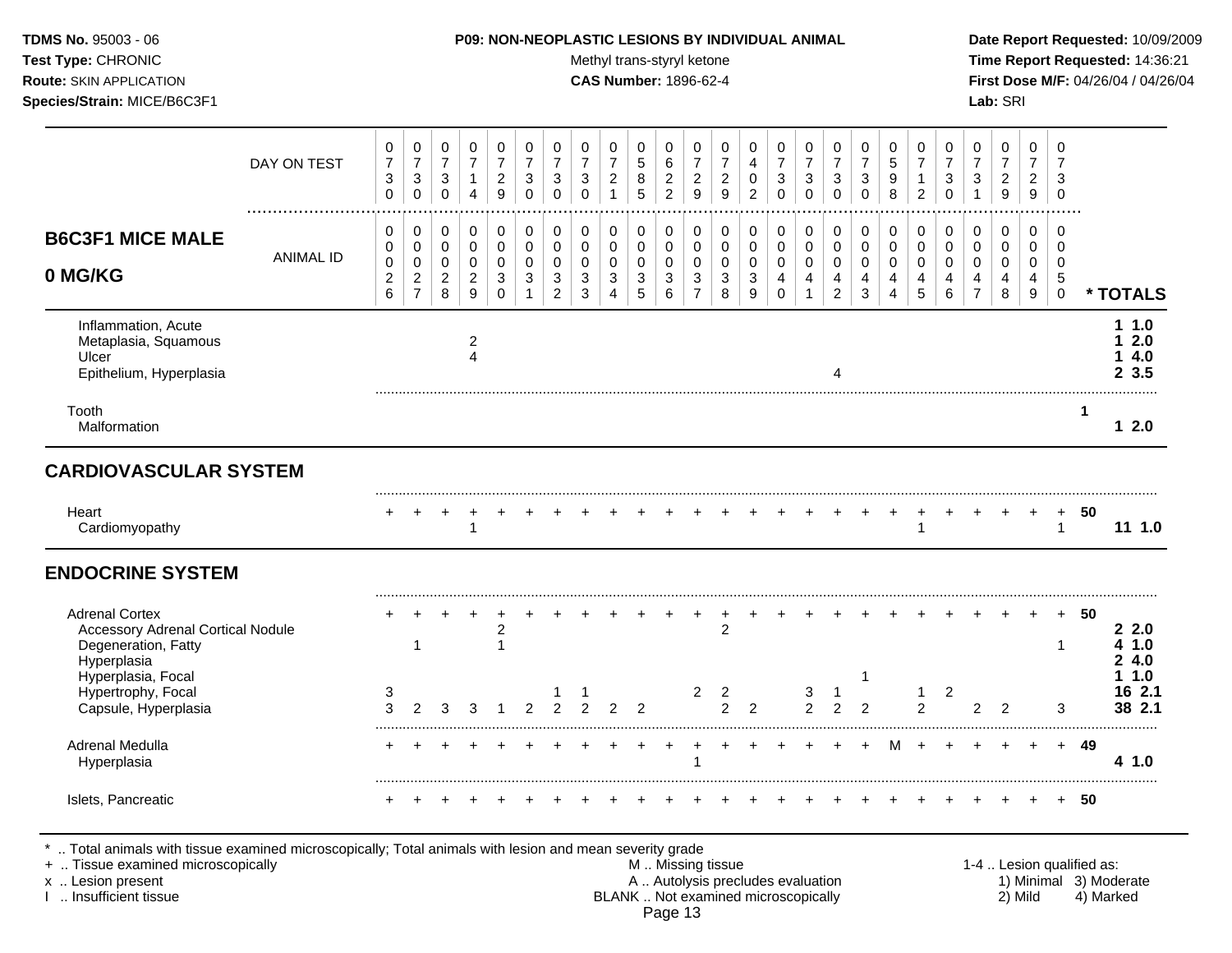### **TDMS No.** 95003 - 06 **P09: NON-NEOPLASTIC LESIONS BY INDIVIDUAL ANIMAL Date Report Requested:** 10/09/2009

Test Type: CHRONIC **Test Type:** CHRONIC **Test Type:** CHRONIC **Time Report Requested:** 14:36:21 **Route:** SKIN APPLICATION **CAS Number:** 1896-62-4 **First Dose M/F:** 04/26/04 / 04/26/04

|                                                                                                         | DAY ON TEST      | 0<br>$\boldsymbol{7}$<br>$\sqrt{3}$<br>$\mathbf 0$    | $\mathbf 0$<br>$\overline{7}$<br>$\sqrt{3}$<br>$\mathbf 0$      | 0<br>$\overline{7}$<br>$\mathbf{3}$<br>$\mathbf 0$                 | 0<br>$\overline{7}$<br>$\mathbf{1}$<br>$\overline{4}$ | 0<br>$\boldsymbol{7}$<br>$\overline{c}$<br>9                   | 0<br>$\overline{7}$<br>3<br>$\mathbf 0$                        | $\mathbf 0$<br>$\overline{7}$<br>3<br>$\mathbf 0$             | 0<br>$\overline{7}$<br>3<br>$\Omega$             | 0<br>$\overline{7}$<br>$\overline{c}$<br>$\overline{1}$ | 0<br>$\sqrt{5}$<br>$\,8\,$<br>5                                  | $\mathbf 0$<br>6<br>$\boldsymbol{2}$<br>$\overline{2}$            | $\mathbf 0$<br>$\overline{7}$<br>$\boldsymbol{2}$<br>$\boldsymbol{9}$ | 0<br>$\overline{7}$<br>$\overline{c}$<br>9          | 0<br>4<br>0<br>$\overline{c}$            | $\mathbf 0$<br>$\overline{7}$<br>3<br>$\Omega$                | 0<br>$\overline{7}$<br>3<br>$\mathbf 0$    | 0<br>$\boldsymbol{7}$<br>$\sqrt{3}$<br>$\mathbf 0$ | 0<br>$\overline{7}$<br>$\sqrt{3}$<br>0                                    | 0<br>$\sqrt{5}$<br>9<br>8                        | $\mathbf 0$<br>$\overline{7}$<br>$\mathbf{1}$<br>$\overline{2}$ | 0<br>$\overline{7}$<br>3<br>$\Omega$             | 0<br>$\overline{7}$<br>3<br>1                          | $\mathbf 0$<br>$\boldsymbol{7}$<br>$\sqrt{2}$<br>$\boldsymbol{9}$      | $\mathbf 0$<br>$\overline{7}$<br>$\overline{c}$<br>$\boldsymbol{9}$ | 0<br>$\overline{7}$<br>3<br>$\mathbf 0$                 |    |                            |
|---------------------------------------------------------------------------------------------------------|------------------|-------------------------------------------------------|-----------------------------------------------------------------|--------------------------------------------------------------------|-------------------------------------------------------|----------------------------------------------------------------|----------------------------------------------------------------|---------------------------------------------------------------|--------------------------------------------------|---------------------------------------------------------|------------------------------------------------------------------|-------------------------------------------------------------------|-----------------------------------------------------------------------|-----------------------------------------------------|------------------------------------------|---------------------------------------------------------------|--------------------------------------------|----------------------------------------------------|---------------------------------------------------------------------------|--------------------------------------------------|-----------------------------------------------------------------|--------------------------------------------------|--------------------------------------------------------|------------------------------------------------------------------------|---------------------------------------------------------------------|---------------------------------------------------------|----|----------------------------|
| <b>B6C3F1 MICE MALE</b><br>0 MG/KG                                                                      | <b>ANIMAL ID</b> | 0<br>0<br>$\mathbf 0$<br>$\overline{\mathbf{c}}$<br>6 | 0<br>$\mathbf 0$<br>$\mathbf 0$<br>$\sqrt{2}$<br>$\overline{7}$ | $\mathbf 0$<br>$\mathbf 0$<br>$\mathbf 0$<br>$\boldsymbol{2}$<br>8 | 0<br>0<br>$\mathbf 0$<br>$\overline{c}$<br>9          | 0<br>$\mathbf 0$<br>$\mathbf 0$<br>$\mathbf{3}$<br>$\mathbf 0$ | $\mathbf 0$<br>$\mathbf 0$<br>$\mathbf 0$<br>3<br>$\mathbf{1}$ | $\mathbf 0$<br>$\mathbf 0$<br>$\Omega$<br>3<br>$\overline{2}$ | $\mathbf 0$<br>$\mathbf 0$<br>$\Omega$<br>3<br>3 | 0<br>0<br>$\mathbf 0$<br>$\sqrt{3}$<br>$\overline{4}$   | 0<br>0<br>$\mathbf 0$<br>$\ensuremath{\mathsf{3}}$<br>$\sqrt{5}$ | $\mathbf 0$<br>0<br>$\mathbf 0$<br>$\ensuremath{\mathsf{3}}$<br>6 | 0<br>$\mathbf 0$<br>$\mathbf 0$<br>$\sqrt{3}$<br>$\overline{7}$       | $\mathbf 0$<br>$\mathbf 0$<br>$\mathbf 0$<br>3<br>8 | 0<br>0<br>$\mathbf 0$<br>$\sqrt{3}$<br>9 | $\mathbf 0$<br>$\mathbf 0$<br>$\mathbf 0$<br>4<br>$\mathbf 0$ | 0<br>0<br>$\mathbf 0$<br>4<br>$\mathbf{1}$ | 0<br>0<br>0<br>$\overline{4}$<br>$\overline{2}$    | $\mathbf 0$<br>$\mathbf 0$<br>$\mathbf 0$<br>$\overline{4}$<br>$\sqrt{3}$ | $\mathbf 0$<br>$\mathbf 0$<br>$\Omega$<br>4<br>4 | 0<br>$\mathbf 0$<br>$\Omega$<br>4<br>5                          | $\mathbf 0$<br>$\mathbf 0$<br>$\Omega$<br>4<br>6 | 0<br>$\mathbf 0$<br>$\mathbf 0$<br>4<br>$\overline{7}$ | $\mathbf 0$<br>$\mathbf 0$<br>$\mathbf 0$<br>$\overline{4}$<br>$\,8\,$ | $\Omega$<br>$\mathbf 0$<br>$\mathbf 0$<br>4<br>$\boldsymbol{9}$     | $\Omega$<br>0<br>$\mathbf 0$<br>$\sqrt{5}$<br>$\pmb{0}$ |    | * TOTALS                   |
| Inflammation, Acute<br>Metaplasia, Squamous<br>Ulcer<br>Epithelium, Hyperplasia                         |                  |                                                       |                                                                 |                                                                    | 2<br>$\overline{4}$                                   |                                                                |                                                                |                                                               |                                                  |                                                         |                                                                  |                                                                   |                                                                       |                                                     |                                          |                                                               |                                            |                                                    |                                                                           |                                                  |                                                                 |                                                  |                                                        |                                                                        |                                                                     |                                                         |    | 11.0<br>2.0<br>4.0<br>23.5 |
| Tooth<br>Malformation                                                                                   |                  |                                                       |                                                                 |                                                                    |                                                       |                                                                |                                                                |                                                               |                                                  |                                                         |                                                                  |                                                                   |                                                                       |                                                     |                                          |                                                               |                                            |                                                    |                                                                           |                                                  |                                                                 |                                                  |                                                        |                                                                        |                                                                     |                                                         | -1 | 12.0                       |
| <b>CARDIOVASCULAR SYSTEM</b>                                                                            |                  |                                                       |                                                                 |                                                                    |                                                       |                                                                |                                                                |                                                               |                                                  |                                                         |                                                                  |                                                                   |                                                                       |                                                     |                                          |                                                               |                                            |                                                    |                                                                           |                                                  |                                                                 |                                                  |                                                        |                                                                        |                                                                     |                                                         |    |                            |
| Heart<br>Cardiomyopathy                                                                                 |                  |                                                       |                                                                 |                                                                    |                                                       |                                                                |                                                                |                                                               |                                                  |                                                         |                                                                  |                                                                   |                                                                       |                                                     |                                          |                                                               |                                            |                                                    |                                                                           |                                                  |                                                                 |                                                  |                                                        |                                                                        |                                                                     | $\ddot{}$<br>$\mathbf 1$                                | 50 | 11 1.0                     |
|                                                                                                         |                  |                                                       |                                                                 |                                                                    |                                                       |                                                                |                                                                |                                                               |                                                  |                                                         |                                                                  |                                                                   |                                                                       |                                                     |                                          |                                                               |                                            |                                                    |                                                                           |                                                  |                                                                 |                                                  |                                                        |                                                                        |                                                                     |                                                         |    |                            |
| <b>ENDOCRINE SYSTEM</b>                                                                                 |                  |                                                       |                                                                 |                                                                    |                                                       |                                                                |                                                                |                                                               |                                                  |                                                         |                                                                  |                                                                   |                                                                       |                                                     |                                          |                                                               |                                            |                                                    |                                                                           |                                                  |                                                                 |                                                  |                                                        |                                                                        |                                                                     |                                                         |    |                            |
| <b>Adrenal Cortex</b><br><b>Accessory Adrenal Cortical Nodule</b><br>Degeneration, Fatty<br>Hyperplasia |                  |                                                       | 1                                                               |                                                                    |                                                       | 2<br>$\overline{1}$                                            |                                                                |                                                               |                                                  |                                                         |                                                                  |                                                                   |                                                                       | $\overline{2}$                                      |                                          |                                                               |                                            |                                                    |                                                                           |                                                  |                                                                 |                                                  |                                                        |                                                                        |                                                                     | $\ddot{}$<br>$\mathbf 1$                                | 50 | 22.0<br>4 1.0<br>24.0      |
| Hyperplasia, Focal<br>Hypertrophy, Focal<br>Capsule, Hyperplasia                                        |                  | 3<br>3                                                | $\mathfrak{p}$                                                  | 3                                                                  | 3                                                     |                                                                | $\mathfrak{p}$                                                 | $\mathcal{P}$                                                 | $\mathfrak{p}$                                   | $\mathcal{P}$                                           | $\mathfrak{p}$                                                   |                                                                   | 2                                                                     | 2<br>$\mathfrak{p}$                                 | $\overline{2}$                           |                                                               | 3<br>$\overline{2}$                        | $\mathbf{1}$<br>$\overline{2}$                     | -1<br>$\overline{2}$                                                      |                                                  | 1<br>2                                                          | $\overline{2}$                                   | 2                                                      | $\mathcal{P}$                                                          |                                                                     | 3                                                       |    | 1.0<br>16 2.1<br>38 2.1    |
| Adrenal Medulla<br>Hyperplasia                                                                          |                  |                                                       |                                                                 |                                                                    |                                                       |                                                                |                                                                |                                                               |                                                  |                                                         |                                                                  |                                                                   |                                                                       |                                                     |                                          |                                                               |                                            |                                                    |                                                                           |                                                  |                                                                 |                                                  |                                                        |                                                                        |                                                                     | $+$                                                     | 49 | 4 1.0                      |

Page 13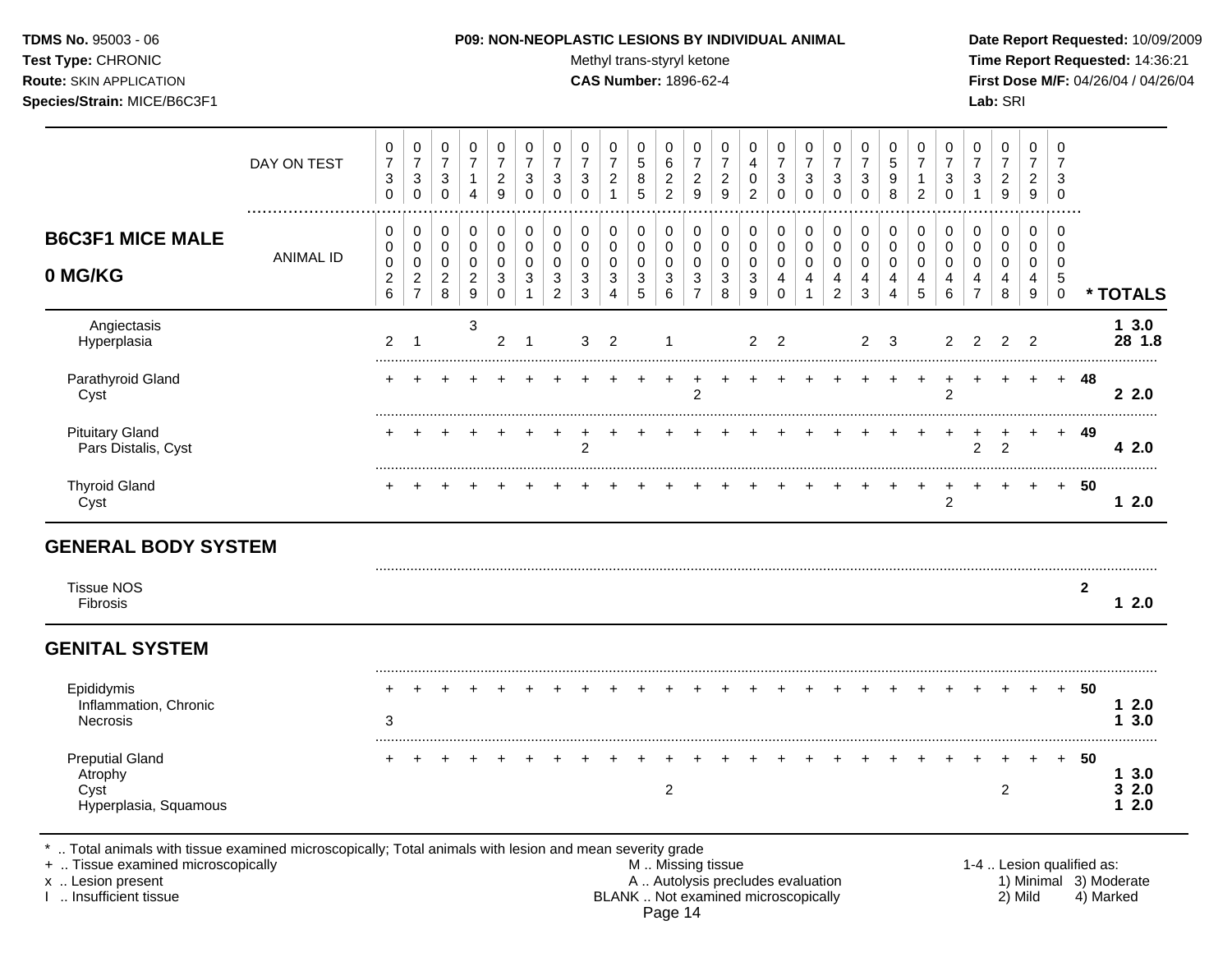Test Type: CHRONIC **Test Type:** CHRONIC **Test Type:** CHRONIC **Time Report Requested:** 14:36:21 **Route:** SKIN APPLICATION **CAS Number:** 1896-62-4 **First Dose M/F:** 04/26/04 / 04/26/04 **Species/Strain:** MICE/B6C3F1 **Lab:** SRI

|                                                                    | DAY ON TEST      | 0<br>$\overline{7}$<br>$\ensuremath{\mathsf{3}}$<br>$\mathbf 0$ | 0<br>$\overline{7}$<br>$\ensuremath{\mathsf{3}}$<br>$\mathbf 0$ | 0<br>$\overline{7}$<br>$\ensuremath{\mathsf{3}}$<br>0 | 0<br>$\overline{7}$<br>$\mathbf{1}$<br>4          | 0<br>$\overline{7}$<br>$\overline{2}$<br>9   | 0<br>$\overline{7}$<br>3<br>$\mathbf 0$ | 0<br>$\overline{7}$<br>3<br>$\Omega$ | 0<br>$\overline{7}$<br>$\ensuremath{\mathsf{3}}$<br>$\mathbf 0$        | 0<br>7<br>$\overline{c}$<br>$\mathbf{1}$ | 0<br>5<br>$\bf 8$<br>$\overline{5}$ | 0<br>$\,6\,$<br>$\sqrt{2}$<br>$\overline{2}$         | 0<br>$\overline{7}$<br>$\overline{c}$<br>9   | 0<br>$\overline{7}$<br>$\boldsymbol{2}$<br>$\boldsymbol{9}$ | 0<br>4<br>0<br>$\overline{2}$                                | 0<br>$\overline{7}$<br>$\ensuremath{\mathsf{3}}$<br>$\mathbf 0$ | 0<br>$\overline{7}$<br>$\mathsf 3$<br>$\mathbf 0$ | 0<br>$\boldsymbol{7}$<br>$\mathbf{3}$<br>$\Omega$ | 0<br>$\overline{7}$<br>3<br>$\mathbf 0$ | 0<br>5<br>9<br>8                     | 0<br>$\overline{7}$<br>1<br>$\overline{c}$ | 0<br>$\overline{7}$<br>$\sqrt{3}$<br>$\mathbf 0$ | 0<br>$\overline{7}$<br>$\ensuremath{\mathsf{3}}$ | 0<br>$\overline{7}$<br>$\sqrt{2}$<br>$\boldsymbol{9}$ | 0<br>$\overline{7}$<br>$\overline{2}$<br>$\boldsymbol{9}$ | 0<br>$\overline{7}$<br>3<br>$\mathbf 0$       |              |                            |
|--------------------------------------------------------------------|------------------|-----------------------------------------------------------------|-----------------------------------------------------------------|-------------------------------------------------------|---------------------------------------------------|----------------------------------------------|-----------------------------------------|--------------------------------------|------------------------------------------------------------------------|------------------------------------------|-------------------------------------|------------------------------------------------------|----------------------------------------------|-------------------------------------------------------------|--------------------------------------------------------------|-----------------------------------------------------------------|---------------------------------------------------|---------------------------------------------------|-----------------------------------------|--------------------------------------|--------------------------------------------|--------------------------------------------------|--------------------------------------------------|-------------------------------------------------------|-----------------------------------------------------------|-----------------------------------------------|--------------|----------------------------|
| <b>B6C3F1 MICE MALE</b><br>0 MG/KG                                 | <b>ANIMAL ID</b> | 0<br>0<br>$\pmb{0}$<br>$\overline{c}$                           | 0<br>$\pmb{0}$<br>$\pmb{0}$<br>$\overline{c}$                   | 0<br>$\pmb{0}$<br>$\pmb{0}$<br>$\overline{c}$         | $\mathbf 0$<br>0<br>$\mathbf 0$<br>$\overline{c}$ | $\mathbf 0$<br>$\pmb{0}$<br>$\mathbf 0$<br>3 | 0<br>0<br>$\Omega$<br>3                 | $\mathbf 0$<br>0<br>$\Omega$<br>3    | $\mathbf 0$<br>$\mathbf 0$<br>$\mathbf 0$<br>$\ensuremath{\mathsf{3}}$ | 0<br>0<br>$\mathbf 0$<br>$\mathbf{3}$    | 0<br>0<br>0<br>3                    | $\Omega$<br>$\mathbf 0$<br>$\mathbf 0$<br>$\sqrt{3}$ | $\mathbf 0$<br>$\pmb{0}$<br>$\mathbf 0$<br>3 | $\mathbf 0$<br>$\mathbf 0$<br>$\mathbf 0$<br>$\sqrt{3}$     | 0<br>$\mathbf 0$<br>$\mathbf 0$<br>$\ensuremath{\mathsf{3}}$ | $\pmb{0}$<br>$\pmb{0}$<br>$\pmb{0}$<br>4                        | 0<br>$\mathsf 0$<br>$\mathbf 0$<br>$\overline{4}$ | $\mathbf 0$<br>$\pmb{0}$<br>0<br>4                | 0<br>$\mathbf 0$<br>$\mathbf 0$<br>4    | $\mathbf 0$<br>0<br>$\mathbf 0$<br>4 | 0<br>0<br>$\mathbf 0$<br>4                 | $\mathbf 0$<br>$\mathbf 0$<br>0<br>4             | 0<br>0<br>$\mathbf 0$<br>4                       | 0<br>0<br>$\mathbf 0$<br>4                            | $\Omega$<br>$\mathbf 0$<br>0<br>4                         | $\mathbf 0$<br>0<br>$\mathbf 0$<br>$\sqrt{5}$ |              |                            |
| Angiectasis<br>Hyperplasia                                         |                  | $6\phantom{1}$<br>2                                             | $\overline{7}$<br>$\overline{1}$                                | 8                                                     | $\boldsymbol{9}$<br>$\mathbf{3}$                  | 0<br>$\overline{2}$                          | $\overline{1}$                          | $\overline{2}$                       | 3<br>3                                                                 | $\overline{4}$<br>$\overline{2}$         | $\overline{5}$                      | 6<br>1                                               | $\overline{7}$                               | 8                                                           | 9<br>$\overline{2}$                                          | $\Omega$<br>$\overline{2}$                                      | $\overline{1}$                                    | $\overline{2}$                                    | $\mathbf{3}$<br>2                       | 4<br>3                               | 5                                          | $6\phantom{1}6$<br>$\overline{c}$                | $\overline{7}$<br>2                              | 8<br>$\overline{2}$                                   | $\boldsymbol{9}$<br>2                                     | $\pmb{0}$                                     |              | * TOTALS<br>13.0<br>28 1.8 |
| Parathyroid Gland<br>Cyst                                          |                  |                                                                 |                                                                 |                                                       |                                                   |                                              |                                         |                                      |                                                                        |                                          |                                     |                                                      | $\overline{2}$                               |                                                             |                                                              |                                                                 |                                                   |                                                   |                                         |                                      |                                            | $\overline{2}$                                   |                                                  |                                                       |                                                           | $+$                                           | 48           | 22.0                       |
| <b>Pituitary Gland</b><br>Pars Distalis, Cyst                      |                  |                                                                 |                                                                 |                                                       |                                                   |                                              |                                         |                                      | $\overline{c}$                                                         |                                          |                                     |                                                      |                                              |                                                             |                                                              |                                                                 |                                                   |                                                   |                                         |                                      |                                            |                                                  | $\ddot{}$<br>$\overline{c}$                      | $\overline{2}$                                        |                                                           | $\pm$                                         | 49           | 42.0                       |
| <b>Thyroid Gland</b><br>Cyst                                       |                  |                                                                 |                                                                 |                                                       |                                                   |                                              |                                         |                                      |                                                                        |                                          |                                     |                                                      |                                              |                                                             |                                                              |                                                                 |                                                   |                                                   |                                         |                                      | $\div$                                     | $\ddot{}$<br>2                                   | $\overline{+}$                                   |                                                       |                                                           | $+$                                           | 50           | 12.0                       |
| <b>GENERAL BODY SYSTEM</b>                                         |                  |                                                                 |                                                                 |                                                       |                                                   |                                              |                                         |                                      |                                                                        |                                          |                                     |                                                      |                                              |                                                             |                                                              |                                                                 |                                                   |                                                   |                                         |                                      |                                            |                                                  |                                                  |                                                       |                                                           |                                               |              |                            |
| <b>Tissue NOS</b><br>Fibrosis                                      |                  |                                                                 |                                                                 |                                                       |                                                   |                                              |                                         |                                      |                                                                        |                                          |                                     |                                                      |                                              |                                                             |                                                              |                                                                 |                                                   |                                                   |                                         |                                      |                                            |                                                  |                                                  |                                                       |                                                           |                                               | $\mathbf{2}$ | 12.0                       |
| <b>GENITAL SYSTEM</b>                                              |                  |                                                                 |                                                                 |                                                       |                                                   |                                              |                                         |                                      |                                                                        |                                          |                                     |                                                      |                                              |                                                             |                                                              |                                                                 |                                                   |                                                   |                                         |                                      |                                            |                                                  |                                                  |                                                       |                                                           |                                               |              |                            |
| Epididymis<br>Inflammation, Chronic<br>Necrosis                    |                  | 3                                                               |                                                                 |                                                       |                                                   |                                              |                                         |                                      |                                                                        |                                          |                                     |                                                      |                                              |                                                             |                                                              |                                                                 |                                                   |                                                   |                                         |                                      |                                            |                                                  |                                                  |                                                       |                                                           | $+$                                           | 50           | 12.0<br>13.0               |
| <b>Preputial Gland</b><br>Atrophy<br>Cyst<br>Hyperplasia, Squamous |                  |                                                                 |                                                                 |                                                       |                                                   |                                              |                                         |                                      |                                                                        |                                          |                                     | $\overline{c}$                                       |                                              |                                                             |                                                              |                                                                 |                                                   |                                                   |                                         |                                      |                                            |                                                  |                                                  | $\overline{2}$                                        |                                                           | $+$                                           | 50           | 13.0<br>32.0<br>2.0<br>1   |

+ .. Tissue examined microscopically M .. Missing tissue 1-4 .. Lesion qualified as: x .. Lesion present **A .. Autolysis precludes evaluation** A .. Autolysis precludes evaluation 1) Minimal 3) Moderate I .. Insufficient tissue BLANK .. Not examined microscopically 2) Mild 4) Marked Page 14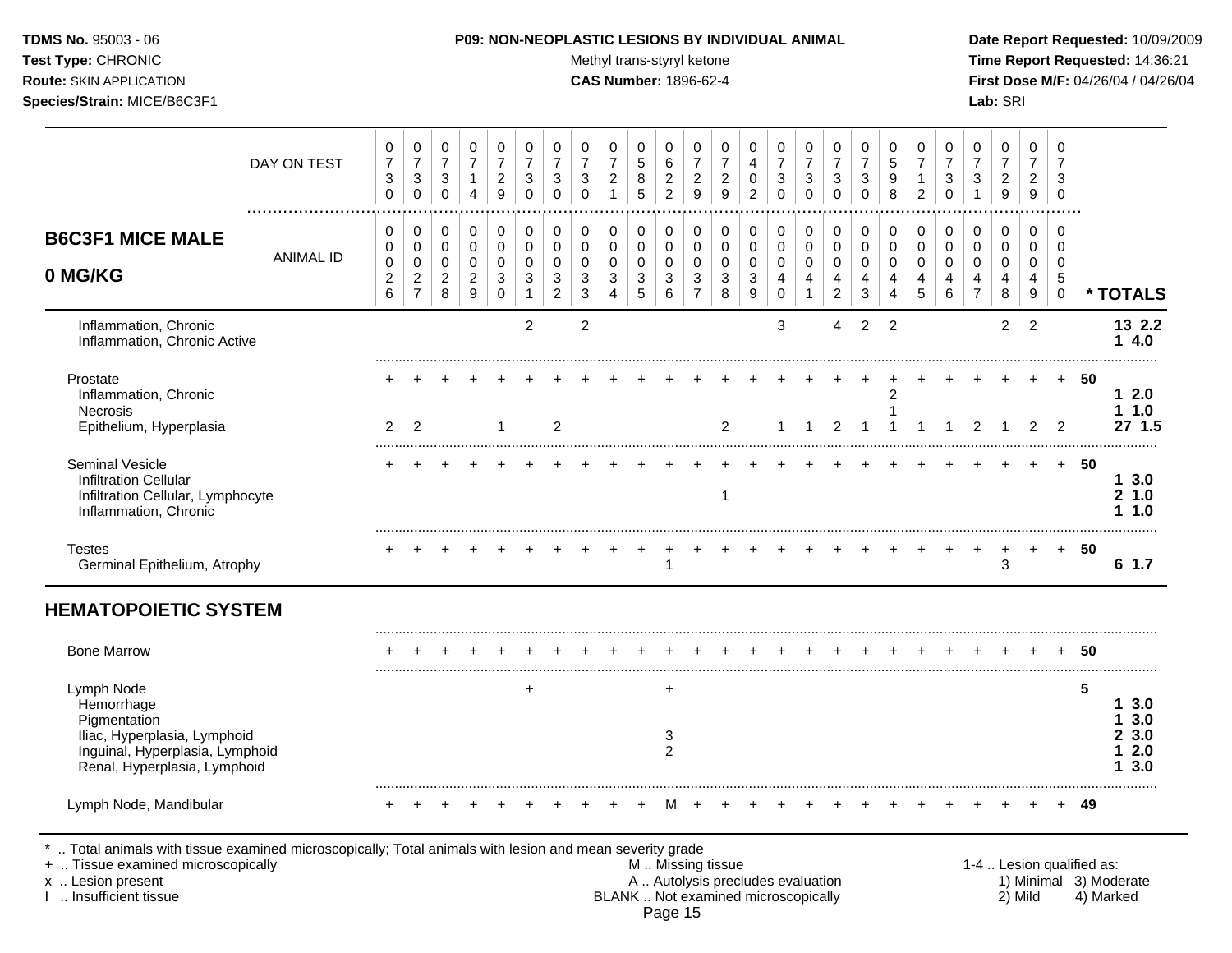Test Type: CHRONIC **Test Type:** CHRONIC **Test Type:** CHRONIC **Time Report Requested:** 14:36:21 **Route:** SKIN APPLICATION **CAS Number:** 1896-62-4 **First Dose M/F:** 04/26/04 / 04/26/04 **Species/Strain:** MICE/B6C3F1 **Lab:** SRI

|                                                                                                                                             | DAY ON TEST      | 0<br>$\overline{7}$<br>3<br>$\Omega$            | 0<br>$\overline{7}$<br>$\sqrt{3}$<br>$\mathbf 0$            | 0<br>$\overline{7}$<br>3<br>$\Omega$                   | $\,0\,$<br>$\overline{7}$<br>$\mathbf{1}$<br>$\overline{4}$              | $\mathbf 0$<br>$\overline{7}$<br>$\overline{2}$<br>9                     | 0<br>$\overline{7}$<br>3<br>$\Omega$                 | 0<br>$\overline{7}$<br>3<br>$\Omega$                   | 0<br>$\overline{7}$<br>3<br>$\Omega$                               | 0<br>$\overline{7}$<br>$\boldsymbol{2}$<br>$\overline{1}$ | $\mathbf 0$<br>$\sqrt{5}$<br>8<br>5                  | 0<br>$\,6$<br>$\overline{c}$<br>$\overline{2}$ | 0<br>$\overline{7}$<br>$\overline{c}$<br>9 | 0<br>$\overline{7}$<br>$\overline{2}$<br>9                   | 0<br>$\overline{\mathbf{4}}$<br>$\pmb{0}$<br>$\overline{2}$ | 0<br>$\overline{7}$<br>$\sqrt{3}$<br>$\Omega$                          | 0<br>$\overline{7}$<br>3<br>$\Omega$                 | 0<br>$\overline{7}$<br>3<br>$\Omega$                     | 0<br>$\overline{7}$<br>3<br>$\Omega$      | 0<br>$\overline{5}$<br>9<br>8 | $\mathbf 0$<br>$\overline{7}$<br>$\mathbf{1}$<br>$\overline{2}$  | 0<br>$\overline{7}$<br>3<br>$\Omega$         | 0<br>$\overline{7}$<br>$\mathbf{3}$<br>$\mathbf{1}$ | 0<br>$\overline{7}$<br>$\overline{2}$<br>9 | $\pmb{0}$<br>$\overline{7}$<br>$\overline{c}$<br>$\boldsymbol{9}$       | $\mathbf 0$<br>$\overline{7}$<br>3<br>$\mathbf 0$   |      |                                                         |
|---------------------------------------------------------------------------------------------------------------------------------------------|------------------|-------------------------------------------------|-------------------------------------------------------------|--------------------------------------------------------|--------------------------------------------------------------------------|--------------------------------------------------------------------------|------------------------------------------------------|--------------------------------------------------------|--------------------------------------------------------------------|-----------------------------------------------------------|------------------------------------------------------|------------------------------------------------|--------------------------------------------|--------------------------------------------------------------|-------------------------------------------------------------|------------------------------------------------------------------------|------------------------------------------------------|----------------------------------------------------------|-------------------------------------------|-------------------------------|------------------------------------------------------------------|----------------------------------------------|-----------------------------------------------------|--------------------------------------------|-------------------------------------------------------------------------|-----------------------------------------------------|------|---------------------------------------------------------|
| <b>B6C3F1 MICE MALE</b><br>0 MG/KG                                                                                                          | <b>ANIMAL ID</b> | 0<br>0<br>0<br>$\overline{c}$<br>$6\phantom{a}$ | 0<br>$\pmb{0}$<br>$\pmb{0}$<br>$\sqrt{2}$<br>$\overline{7}$ | 0<br>$\mathbf 0$<br>$\mathbf 0$<br>$\overline{c}$<br>8 | $\mathbf 0$<br>$\pmb{0}$<br>$\mathbf 0$<br>$\overline{c}$<br>$\mathsf g$ | $\mathbf 0$<br>$\mathbf 0$<br>$\mathbf 0$<br>$\mathbf{3}$<br>$\mathbf 0$ | $\mathbf 0$<br>0<br>$\mathbf 0$<br>3<br>$\mathbf{1}$ | 0<br>$\mathbf 0$<br>$\mathbf 0$<br>3<br>$\overline{2}$ | 0<br>0<br>$\mathbf 0$<br>$\mathbf{3}$<br>$\ensuremath{\mathsf{3}}$ | 0<br>$\pmb{0}$<br>0<br>$\mathbf{3}$<br>4                  | 0<br>$\mathbf 0$<br>$\mathbf 0$<br>$\mathbf{3}$<br>5 | 0<br>$\mathbf 0$<br>$\mathbf 0$<br>3<br>6      | 0<br>0<br>0<br>3<br>$\overline{7}$         | $\pmb{0}$<br>$\mathbf 0$<br>$\mathbf 0$<br>$\mathbf{3}$<br>8 | $\,0\,$<br>$\pmb{0}$<br>$\pmb{0}$<br>$\mathbf{3}$<br>9      | $\pmb{0}$<br>$\mathsf 0$<br>$\mathbf 0$<br>$\overline{4}$<br>$\pmb{0}$ | 0<br>$\mathbf 0$<br>$\mathbf 0$<br>4<br>$\mathbf{1}$ | 0<br>$\mathbf 0$<br>$\mathbf 0$<br>4<br>$\boldsymbol{2}$ | 0<br>$\mathbf 0$<br>$\mathbf 0$<br>4<br>3 | $\pmb{0}$<br>0<br>0<br>4<br>4 | $\mathbf 0$<br>$\mathbf 0$<br>$\mathbf 0$<br>$\overline{4}$<br>5 | 0<br>0<br>$\mathbf 0$<br>$\overline{4}$<br>6 | 0<br>0<br>$\mathbf 0$<br>4<br>$\overline{7}$        | 0<br>$\mathbf 0$<br>$\mathbf 0$<br>4<br>8  | $\pmb{0}$<br>$\mathbf 0$<br>$\mathbf 0$<br>$\overline{\mathbf{4}}$<br>9 | $\mathbf 0$<br>$\mathbf 0$<br>0<br>5<br>$\mathbf 0$ |      | * TOTALS                                                |
| Inflammation, Chronic<br>Inflammation, Chronic Active                                                                                       |                  |                                                 |                                                             |                                                        |                                                                          |                                                                          | $\overline{2}$                                       |                                                        | $\overline{c}$                                                     |                                                           |                                                      |                                                |                                            |                                                              |                                                             | 3                                                                      |                                                      | 4                                                        | $\overline{2}$                            | 2                             |                                                                  |                                              |                                                     | $\overline{c}$                             | $\overline{2}$                                                          |                                                     |      | 13 2.2<br>14.0                                          |
| Prostate<br>Inflammation, Chronic<br>Necrosis<br>Epithelium, Hyperplasia                                                                    |                  | 2                                               | 2                                                           |                                                        |                                                                          | $\overline{1}$                                                           |                                                      | $\overline{2}$                                         |                                                                    |                                                           |                                                      |                                                |                                            | 2                                                            |                                                             | 1                                                                      | $\mathbf 1$                                          | 2                                                        | 1                                         | 2                             | -1                                                               |                                              | 2                                                   |                                            | 2                                                                       | $+$<br>$\overline{2}$                               | 50   | 12.0<br>11.0<br>27 1.5                                  |
| <b>Seminal Vesicle</b><br><b>Infiltration Cellular</b><br>Infiltration Cellular, Lymphocyte<br>Inflammation, Chronic                        |                  |                                                 |                                                             |                                                        |                                                                          |                                                                          |                                                      |                                                        |                                                                    |                                                           |                                                      |                                                |                                            | 1                                                            |                                                             |                                                                        |                                                      |                                                          |                                           |                               |                                                                  |                                              |                                                     |                                            |                                                                         | $+$                                                 | 50   | 13.0<br>21.0<br>1.10                                    |
| <b>Testes</b><br>Germinal Epithelium, Atrophy                                                                                               |                  |                                                 |                                                             |                                                        |                                                                          |                                                                          |                                                      |                                                        |                                                                    |                                                           |                                                      | 1                                              |                                            |                                                              |                                                             |                                                                        |                                                      |                                                          |                                           |                               |                                                                  |                                              | $\ddot{}$                                           | 3                                          | $+$                                                                     | $+$                                                 | -50  | 61.7                                                    |
| <b>HEMATOPOIETIC SYSTEM</b>                                                                                                                 |                  |                                                 |                                                             |                                                        |                                                                          |                                                                          |                                                      |                                                        |                                                                    |                                                           |                                                      |                                                |                                            |                                                              |                                                             |                                                                        |                                                      |                                                          |                                           |                               |                                                                  |                                              |                                                     |                                            |                                                                         |                                                     |      |                                                         |
| <b>Bone Marrow</b>                                                                                                                          |                  |                                                 |                                                             |                                                        |                                                                          |                                                                          |                                                      |                                                        |                                                                    |                                                           |                                                      |                                                |                                            |                                                              |                                                             |                                                                        |                                                      |                                                          |                                           |                               |                                                                  |                                              |                                                     |                                            |                                                                         | $\ddot{}$                                           | -50  |                                                         |
| Lymph Node<br>Hemorrhage<br>Pigmentation<br>Iliac, Hyperplasia, Lymphoid<br>Inguinal, Hyperplasia, Lymphoid<br>Renal, Hyperplasia, Lymphoid |                  |                                                 |                                                             |                                                        |                                                                          |                                                                          | $\ddot{}$                                            |                                                        |                                                                    |                                                           |                                                      | $\ddot{}$<br>3<br>$\overline{c}$               |                                            |                                                              |                                                             |                                                                        |                                                      |                                                          |                                           |                               |                                                                  |                                              |                                                     |                                            |                                                                         |                                                     | 5    | 13.0<br>3.0<br>1<br>3.0<br>2.<br>2.0<br>1.<br>3.0<br>1. |
| Lymph Node, Mandibular                                                                                                                      |                  |                                                 |                                                             |                                                        |                                                                          |                                                                          |                                                      |                                                        |                                                                    |                                                           |                                                      | м                                              |                                            |                                                              |                                                             |                                                                        |                                                      |                                                          |                                           |                               |                                                                  |                                              |                                                     |                                            |                                                                         |                                                     | + 49 |                                                         |

+ .. Tissue examined microscopically examined microscopically with the state of the state of the state of the state M .. Missing tissue M .. Missing tissue and the state of the state of the state M .. Autolysis precludes e x .. Lesion present **A .. Autolysis precludes evaluation** A .. Autolysis precludes evaluation 1) Minimal 3) Moderate I .. Insufficient tissue BLANK .. Not examined microscopically 2) Mild 4) Marked Page 15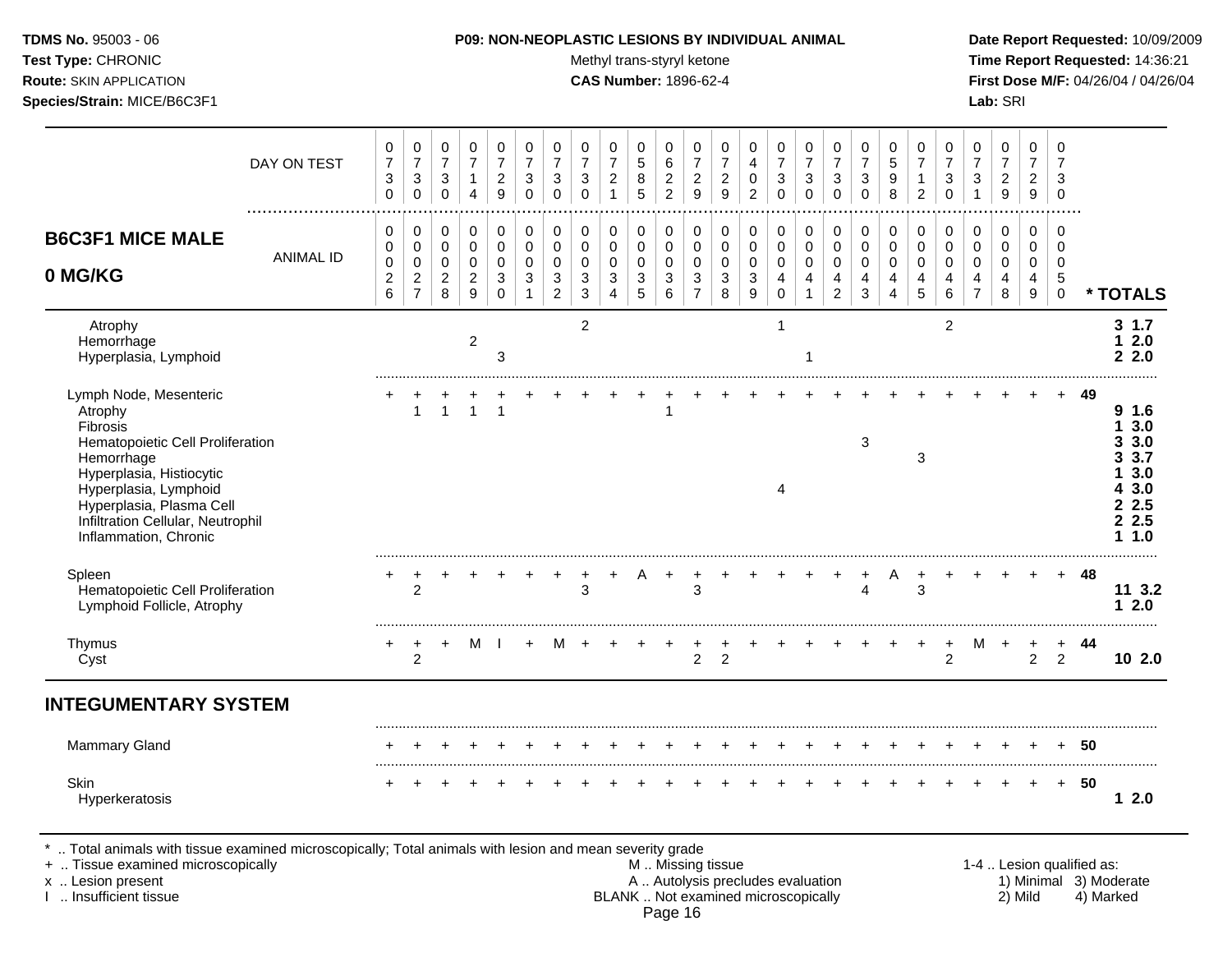Test Type: CHRONIC **Test Type:** CHRONIC **Test Type:** CHRONIC **Time Report Requested:** 14:36:21 **Route:** SKIN APPLICATION **CAS Number:** 1896-62-4 **First Dose M/F:** 04/26/04 / 04/26/04

|                                                                                                                                                                                                                                                | DAY ON TEST           | 0<br>$\overline{7}$<br>3<br>0                  | $\pmb{0}$<br>$\overline{7}$<br>$\ensuremath{\mathsf{3}}$<br>$\mathbf 0$ | 0<br>$\overline{7}$<br>$\mathbf{3}$<br>$\mathbf 0$ | 0<br>$\boldsymbol{7}$<br>$\mathbf{1}$<br>$\overline{4}$ | 0<br>$\overline{7}$<br>$\sqrt{2}$<br>9                                   | 0<br>$\overline{7}$<br>3<br>$\Omega$ | 0<br>$\overline{7}$<br>$\mathbf{3}$<br>$\mathbf 0$     | 0<br>$\overline{7}$<br>$\mathbf{3}$<br>$\Omega$         | 0<br>$\overline{7}$<br>$\overline{c}$<br>$\mathbf{1}$ | 0<br>$\,$ 5 $\,$<br>$\,8\,$<br>5                        | 0<br>$\,6\,$<br>$\sqrt{2}$<br>$\overline{2}$ | 0<br>$\overline{7}$<br>$\boldsymbol{2}$<br>9            | 0<br>$\overline{7}$<br>$\overline{c}$<br>9 | 0<br>4<br>$\mathbf 0$<br>$\overline{2}$ | 0<br>$\overline{7}$<br>3<br>$\Omega$                | 0<br>$\overline{7}$<br>3<br>$\Omega$ | 0<br>$\boldsymbol{7}$<br>$\ensuremath{\mathsf{3}}$<br>$\mathbf 0$          | 0<br>$\overline{7}$<br>$\mathbf{3}$<br>$\mathbf 0$            | 0<br>5<br>9<br>8              | 0<br>$\overline{7}$<br>$\overline{2}$     | 0<br>$\overline{7}$<br>3<br>$\Omega$   | 0<br>$\overline{7}$<br>$\mathbf{3}$ | 0<br>$\overline{7}$<br>$\overline{c}$<br>$\boldsymbol{9}$ | 0<br>$\overline{7}$<br>$\overline{2}$<br>9 | 0<br>$\overline{7}$<br>3<br>$\Omega$                   |     |                                                                     |
|------------------------------------------------------------------------------------------------------------------------------------------------------------------------------------------------------------------------------------------------|-----------------------|------------------------------------------------|-------------------------------------------------------------------------|----------------------------------------------------|---------------------------------------------------------|--------------------------------------------------------------------------|--------------------------------------|--------------------------------------------------------|---------------------------------------------------------|-------------------------------------------------------|---------------------------------------------------------|----------------------------------------------|---------------------------------------------------------|--------------------------------------------|-----------------------------------------|-----------------------------------------------------|--------------------------------------|----------------------------------------------------------------------------|---------------------------------------------------------------|-------------------------------|-------------------------------------------|----------------------------------------|-------------------------------------|-----------------------------------------------------------|--------------------------------------------|--------------------------------------------------------|-----|---------------------------------------------------------------------|
| <b>B6C3F1 MICE MALE</b><br>0 MG/KG                                                                                                                                                                                                             | .<br><b>ANIMAL ID</b> | 0<br>0<br>$\mathbf 0$<br>$\boldsymbol{2}$<br>6 | 0<br>$\pmb{0}$<br>$\pmb{0}$<br>$\boldsymbol{2}$<br>$\overline{7}$       | 0<br>$\pmb{0}$<br>0<br>$\overline{a}$<br>8         | 0<br>$\mathbf 0$<br>$\mathbf 0$<br>$\overline{c}$<br>9  | 0<br>$\mathbf 0$<br>$\mathbf 0$<br>$\ensuremath{\mathsf{3}}$<br>$\Omega$ | 0<br>$\mathbf 0$<br>$\mathbf 0$<br>3 | 0<br>$\mathbf 0$<br>$\mathbf 0$<br>3<br>$\overline{c}$ | 0<br>0<br>$\mathbf 0$<br>$\ensuremath{\mathsf{3}}$<br>3 | 0<br>0<br>$\mathbf 0$<br>3<br>$\boldsymbol{\Lambda}$  | 0<br>0<br>$\mathbf 0$<br>$\ensuremath{\mathsf{3}}$<br>5 | 0<br>$\mathbf 0$<br>$\mathbf 0$<br>3<br>6    | 0<br>$\mathbf 0$<br>0<br>$\mathbf{3}$<br>$\overline{7}$ | 0<br>$\mathbf 0$<br>$\mathbf 0$<br>3<br>8  | 0<br>0<br>0<br>$\sqrt{3}$<br>9          | 0<br>0<br>$\mathbf 0$<br>$\overline{4}$<br>$\Omega$ | 0<br>0<br>$\mathbf 0$<br>4           | 0<br>$\pmb{0}$<br>$\mathsf 0$<br>$\overline{\mathbf{4}}$<br>$\overline{2}$ | 0<br>$\pmb{0}$<br>$\mathbf 0$<br>$\overline{\mathbf{4}}$<br>3 | 0<br>$\pmb{0}$<br>0<br>4<br>4 | 0<br>$\mathbf 0$<br>$\mathbf 0$<br>4<br>5 | 0<br>$\mathbf 0$<br>$\Omega$<br>4<br>6 | 0<br>$\mathbf 0$<br>$\Omega$<br>4   | 0<br>0<br>$\mathbf{0}$<br>4<br>8                          | 0<br>$\mathbf 0$<br>0<br>4<br>9            | $\Omega$<br>$\Omega$<br>0<br>$\sqrt{5}$<br>$\mathbf 0$ |     | * TOTALS                                                            |
| Atrophy<br>Hemorrhage<br>Hyperplasia, Lymphoid                                                                                                                                                                                                 |                       |                                                |                                                                         |                                                    | $\overline{a}$                                          | 3                                                                        |                                      |                                                        | $\overline{2}$                                          |                                                       |                                                         |                                              |                                                         |                                            |                                         | -1                                                  | 1                                    |                                                                            |                                                               |                               |                                           | $\overline{2}$                         |                                     |                                                           |                                            |                                                        |     | 31.7<br>2.0<br>2.2.0                                                |
| Lymph Node, Mesenteric<br>Atrophy<br>Fibrosis<br>Hematopoietic Cell Proliferation<br>Hemorrhage<br>Hyperplasia, Histiocytic<br>Hyperplasia, Lymphoid<br>Hyperplasia, Plasma Cell<br>Infiltration Cellular, Neutrophil<br>Inflammation, Chronic |                       |                                                | 1                                                                       | $\mathbf{1}$                                       | $\overline{1}$                                          | 1                                                                        |                                      |                                                        |                                                         |                                                       |                                                         |                                              |                                                         |                                            |                                         | 4                                                   |                                      |                                                                            | $\mathbf{3}$                                                  |                               | 3                                         |                                        |                                     |                                                           |                                            |                                                        | 49  | 9 1.6<br>3.0<br>3.0<br>3.7<br>3.0<br>3.0<br>2.5<br>2.5<br>1.0<br>1. |
| Spleen<br>Hematopoietic Cell Proliferation<br>Lymphoid Follicle, Atrophy                                                                                                                                                                       |                       |                                                | 2                                                                       |                                                    |                                                         |                                                                          |                                      |                                                        | 3                                                       |                                                       |                                                         |                                              | 3                                                       |                                            |                                         |                                                     |                                      |                                                                            | $\overline{4}$                                                |                               | 3                                         |                                        |                                     |                                                           |                                            |                                                        | 48  | 11 3.2<br>2.0<br>1.                                                 |
| Thymus<br>Cyst                                                                                                                                                                                                                                 |                       |                                                | $\overline{2}$                                                          | $\ddot{}$                                          | M                                                       |                                                                          | $+$                                  | м                                                      |                                                         |                                                       |                                                         |                                              | $\overline{c}$                                          | $\overline{2}$                             |                                         |                                                     |                                      |                                                                            |                                                               |                               |                                           | $\overline{2}$                         | М                                   | $\div$                                                    | $\overline{a}$                             | $\ddot{}$<br>$\overline{2}$                            | -44 | 10 2.0                                                              |
| <b>INTEGUMENTARY SYSTEM</b>                                                                                                                                                                                                                    |                       |                                                |                                                                         |                                                    |                                                         |                                                                          |                                      |                                                        |                                                         |                                                       |                                                         |                                              |                                                         |                                            |                                         |                                                     |                                      |                                                                            |                                                               |                               |                                           |                                        |                                     |                                                           |                                            |                                                        |     |                                                                     |
| <b>Mammary Gland</b>                                                                                                                                                                                                                           |                       |                                                |                                                                         |                                                    |                                                         |                                                                          |                                      |                                                        |                                                         |                                                       |                                                         |                                              |                                                         |                                            |                                         |                                                     |                                      |                                                                            |                                                               |                               |                                           |                                        |                                     |                                                           |                                            |                                                        | 50  |                                                                     |
| Skin<br>Hyperkeratosis                                                                                                                                                                                                                         |                       |                                                |                                                                         |                                                    |                                                         |                                                                          |                                      |                                                        |                                                         |                                                       |                                                         |                                              |                                                         |                                            |                                         |                                                     |                                      |                                                                            |                                                               |                               |                                           |                                        |                                     |                                                           |                                            | $\pm$                                                  | 50  | 12.0                                                                |

\* .. Total animals with tissue examined microscopically; Total animals with lesion and mean severity grade

+ .. Tissue examined microscopically M .. Missing tissue 1-4 .. Lesion qualified as:

- x .. Lesion present **A .. Autolysis precludes evaluation** A .. Autolysis precludes evaluation 1) Minimal 3) Moderate I .. Insufficient tissue BLANK .. Not examined microscopically 2) Mild 4) Marked Page 16
-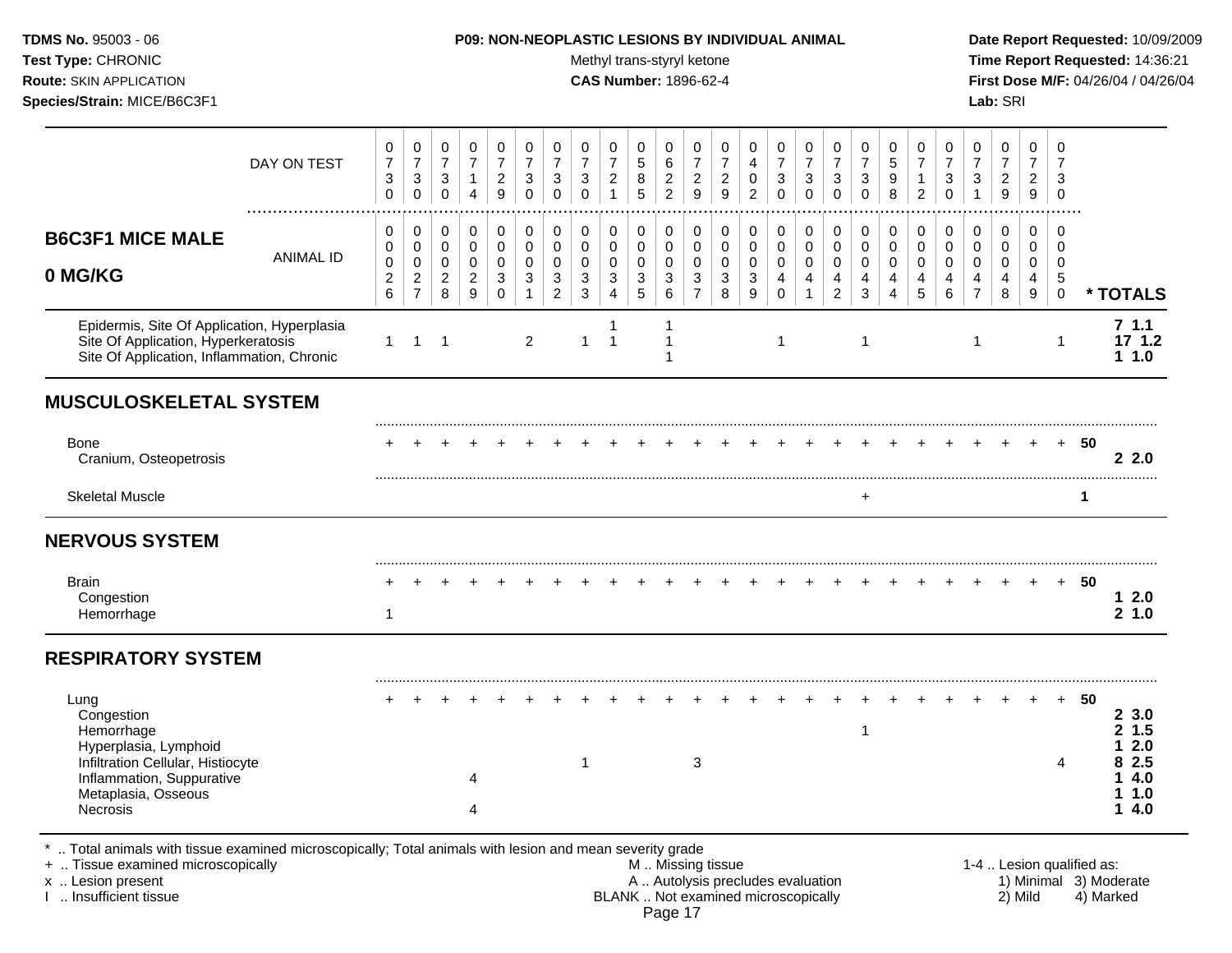## **TDMS No.** 95003 - 06 **P09: NON-NEOPLASTIC LESIONS BY INDIVIDUAL ANIMAL Date Report Requested:** 10/09/2009

Test Type: CHRONIC **Test Type:** CHRONIC **Test Type:** CHRONIC **Time Report Requested:** 14:36:21 **Route:** SKIN APPLICATION **CAS Number:** 1896-62-4 **First Dose M/F:** 04/26/04 / 04/26/04

|                                                                                                                                                                                            | DAY ON TEST      | 0<br>$\overline{7}$<br>$\sqrt{3}$<br>$\mathbf 0$ | 0<br>$\overline{7}$<br>$\sqrt{3}$<br>$\mathbf 0$                | 0<br>$\overline{7}$<br>$\sqrt{3}$<br>$\mathbf 0$             | 0<br>$\overline{7}$<br>$\mathbf{1}$<br>$\overline{4}$               | 0<br>$\overline{7}$<br>$\overline{c}$<br>$\mathsf g$         | 0<br>$\overline{7}$<br>3<br>$\mathbf 0$           | 0<br>$\overline{7}$<br>$\ensuremath{\mathsf{3}}$<br>$\mathbf 0$   | 0<br>$\overline{7}$<br>3<br>$\mathbf 0$        | 0<br>$\overline{7}$<br>$\overline{c}$<br>$\mathbf{1}$                          | 0<br>$\sqrt{5}$<br>$\,8\,$<br>$\overline{5}$                    | 0<br>6<br>$\boldsymbol{2}$<br>$\overline{2}$       | 0<br>$\overline{7}$<br>$\boldsymbol{2}$<br>9                   | 0<br>$\overline{7}$<br>$\overline{c}$<br>9         | 0<br>4<br>$\pmb{0}$<br>$\overline{2}$                             | 0<br>$\overline{7}$<br>$\ensuremath{\mathsf{3}}$<br>$\mathbf 0$          | 0<br>$\overline{7}$<br>$\ensuremath{\mathsf{3}}$<br>$\mathbf 0$ | 0<br>$\overline{7}$<br>$\sqrt{3}$<br>$\mathbf 0$                    | 0<br>$\overline{7}$<br>$\ensuremath{\mathsf{3}}$<br>$\mathbf 0$          | 0<br>5<br>9<br>8             | 0<br>$\overline{7}$<br>$\mathbf{1}$<br>$\overline{c}$ | 0<br>$\overline{7}$<br>3<br>$\mathbf 0$ | 0<br>$\overline{7}$<br>$\sqrt{3}$<br>$\mathbf{1}$          | 0<br>$\boldsymbol{7}$<br>$\sqrt{2}$<br>$\boldsymbol{9}$ | 0<br>$\overline{7}$<br>$\overline{c}$<br>$\mathsf g$    | 0<br>$\overline{7}$<br>3<br>$\mathbf 0$                    |                           |                                     |
|--------------------------------------------------------------------------------------------------------------------------------------------------------------------------------------------|------------------|--------------------------------------------------|-----------------------------------------------------------------|--------------------------------------------------------------|---------------------------------------------------------------------|--------------------------------------------------------------|---------------------------------------------------|-------------------------------------------------------------------|------------------------------------------------|--------------------------------------------------------------------------------|-----------------------------------------------------------------|----------------------------------------------------|----------------------------------------------------------------|----------------------------------------------------|-------------------------------------------------------------------|--------------------------------------------------------------------------|-----------------------------------------------------------------|---------------------------------------------------------------------|--------------------------------------------------------------------------|------------------------------|-------------------------------------------------------|-----------------------------------------|------------------------------------------------------------|---------------------------------------------------------|---------------------------------------------------------|------------------------------------------------------------|---------------------------|-------------------------------------|
| <b>B6C3F1 MICE MALE</b><br>0 MG/KG                                                                                                                                                         | <b>ANIMAL ID</b> | 0<br>0<br>0<br>$\overline{c}$<br>$\,6$           | 0<br>$\mathbf 0$<br>$\mathbf 0$<br>$\sqrt{2}$<br>$\overline{7}$ | 0<br>$\mathbf 0$<br>$\mathbf 0$<br>$\overline{2}$<br>$\,8\,$ | 0<br>$\pmb{0}$<br>$\mathbf 0$<br>$\overline{c}$<br>$\boldsymbol{9}$ | 0<br>$\mathbf 0$<br>$\mathbf 0$<br>$\sqrt{3}$<br>$\mathbf 0$ | 0<br>$\mathbf 0$<br>$\Omega$<br>3<br>$\mathbf{1}$ | 0<br>$\mathbf 0$<br>$\mathbf 0$<br>$\mathbf{3}$<br>$\overline{c}$ | 0<br>$\Omega$<br>$\Omega$<br>3<br>$\mathbf{3}$ | 0<br>$\mathbf 0$<br>$\mathbf 0$<br>$\ensuremath{\mathsf{3}}$<br>$\overline{4}$ | 0<br>$\mathbf 0$<br>$\mathbf 0$<br>$\sqrt{3}$<br>$\overline{5}$ | 0<br>$\mathbf 0$<br>$\mathbf 0$<br>$\sqrt{3}$<br>6 | 0<br>$\mathbf 0$<br>$\Omega$<br>$\mathbf{3}$<br>$\overline{7}$ | 0<br>$\mathbf 0$<br>$\mathbf 0$<br>$\sqrt{3}$<br>8 | 0<br>$\mathbf 0$<br>$\mathbf 0$<br>$\sqrt{3}$<br>$\boldsymbol{9}$ | 0<br>$\mathbf 0$<br>$\mathbf 0$<br>4<br>$\mathbf 0$                      | 0<br>$\mathbf 0$<br>$\mathbf 0$<br>4<br>1                       | 0<br>$\mathbf 0$<br>$\mathbf 0$<br>$\overline{4}$<br>$\overline{2}$ | $\mathbf 0$<br>$\mathbf 0$<br>$\Omega$<br>$\overline{4}$<br>$\mathbf{3}$ | 0<br>0<br>$\Omega$<br>4<br>4 | 0<br>$\mathbf 0$<br>$\mathbf 0$<br>4<br>5             | 0<br>$\Omega$<br>$\Omega$<br>4<br>6     | $\mathbf 0$<br>$\Omega$<br>$\Omega$<br>4<br>$\overline{7}$ | 0<br>$\mathbf 0$<br>$\mathbf 0$<br>4<br>8               | 0<br>$\mathbf 0$<br>$\mathbf{0}$<br>$\overline{4}$<br>9 | 0<br>$\Omega$<br>$\mathbf 0$<br>$\,$ 5 $\,$<br>$\mathbf 0$ |                           | * TOTALS                            |
| Epidermis, Site Of Application, Hyperplasia<br>Site Of Application, Hyperkeratosis<br>Site Of Application, Inflammation, Chronic                                                           |                  | $\mathbf{1}$                                     | $\overline{\mathbf{1}}$                                         | $\overline{1}$                                               |                                                                     |                                                              | $\overline{2}$                                    |                                                                   | $\mathbf{1}$                                   | -1<br>$\overline{1}$                                                           |                                                                 | 1<br>1                                             |                                                                |                                                    |                                                                   | $\mathbf{1}$                                                             |                                                                 |                                                                     | $\overline{1}$                                                           |                              |                                                       |                                         | 1                                                          |                                                         |                                                         | $\mathbf{1}$                                               |                           | 7.1.1<br>171.2<br>$1 1.0$           |
| <b>MUSCULOSKELETAL SYSTEM</b>                                                                                                                                                              |                  |                                                  |                                                                 |                                                              |                                                                     |                                                              |                                                   |                                                                   |                                                |                                                                                |                                                                 |                                                    |                                                                |                                                    |                                                                   |                                                                          |                                                                 |                                                                     |                                                                          |                              |                                                       |                                         |                                                            |                                                         |                                                         |                                                            |                           |                                     |
| <b>Bone</b><br>Cranium, Osteopetrosis                                                                                                                                                      |                  |                                                  |                                                                 |                                                              |                                                                     |                                                              |                                                   |                                                                   |                                                |                                                                                |                                                                 |                                                    |                                                                |                                                    |                                                                   |                                                                          |                                                                 |                                                                     |                                                                          |                              |                                                       |                                         |                                                            |                                                         |                                                         | $+$                                                        | - 50                      | 22.0                                |
| <b>Skeletal Muscle</b>                                                                                                                                                                     |                  |                                                  |                                                                 |                                                              |                                                                     |                                                              |                                                   |                                                                   |                                                |                                                                                |                                                                 |                                                    |                                                                |                                                    |                                                                   |                                                                          |                                                                 |                                                                     | $\ddot{}$                                                                |                              |                                                       |                                         |                                                            |                                                         |                                                         |                                                            | 1                         |                                     |
| <b>NERVOUS SYSTEM</b>                                                                                                                                                                      |                  |                                                  |                                                                 |                                                              |                                                                     |                                                              |                                                   |                                                                   |                                                |                                                                                |                                                                 |                                                    |                                                                |                                                    |                                                                   |                                                                          |                                                                 |                                                                     |                                                                          |                              |                                                       |                                         |                                                            |                                                         |                                                         |                                                            |                           |                                     |
| <b>Brain</b><br>Congestion<br>Hemorrhage                                                                                                                                                   |                  | $\mathbf{1}$                                     |                                                                 |                                                              |                                                                     |                                                              |                                                   |                                                                   |                                                |                                                                                |                                                                 |                                                    |                                                                |                                                    |                                                                   |                                                                          |                                                                 |                                                                     |                                                                          |                              |                                                       |                                         |                                                            |                                                         |                                                         |                                                            | $+ 50$                    | 12.0<br>2, 1.0                      |
| <b>RESPIRATORY SYSTEM</b>                                                                                                                                                                  |                  |                                                  |                                                                 |                                                              |                                                                     |                                                              |                                                   |                                                                   |                                                |                                                                                |                                                                 |                                                    |                                                                |                                                    |                                                                   |                                                                          |                                                                 |                                                                     |                                                                          |                              |                                                       |                                         |                                                            |                                                         |                                                         |                                                            |                           |                                     |
| Lung<br>Congestion<br>Hemorrhage<br>Hyperplasia, Lymphoid                                                                                                                                  |                  |                                                  |                                                                 |                                                              |                                                                     |                                                              |                                                   |                                                                   |                                                |                                                                                |                                                                 |                                                    |                                                                |                                                    |                                                                   |                                                                          |                                                                 |                                                                     | $\overline{1}$                                                           |                              |                                                       |                                         |                                                            |                                                         |                                                         | $+$                                                        | 50                        | 23.0<br>2 1.5<br>2.0<br>1           |
| Infiltration Cellular, Histiocyte<br>Inflammation, Suppurative<br>Metaplasia, Osseous<br>Necrosis                                                                                          |                  |                                                  |                                                                 |                                                              | 4<br>4                                                              |                                                              |                                                   |                                                                   | -1                                             |                                                                                |                                                                 |                                                    | 3                                                              |                                                    |                                                                   |                                                                          |                                                                 |                                                                     |                                                                          |                              |                                                       |                                         |                                                            |                                                         |                                                         | 4                                                          |                           | 8 2.5<br>14.0<br>11.0<br>14.0       |
| Total animals with tissue examined microscopically; Total animals with lesion and mean severity grade<br>+  Tissue examined microscopically<br>x  Lesion present<br>1  Insufficient tissue |                  |                                                  |                                                                 |                                                              |                                                                     |                                                              |                                                   |                                                                   |                                                |                                                                                |                                                                 |                                                    |                                                                | M  Missing tissue                                  |                                                                   | A  Autolysis precludes evaluation<br>BLANK  Not examined microscopically |                                                                 |                                                                     |                                                                          |                              |                                                       |                                         |                                                            |                                                         | 2) Mild                                                 |                                                            | 1-4  Lesion qualified as: | 1) Minimal 3) Moderate<br>4) Marked |

BLANK .. Not examined microscopically Page 17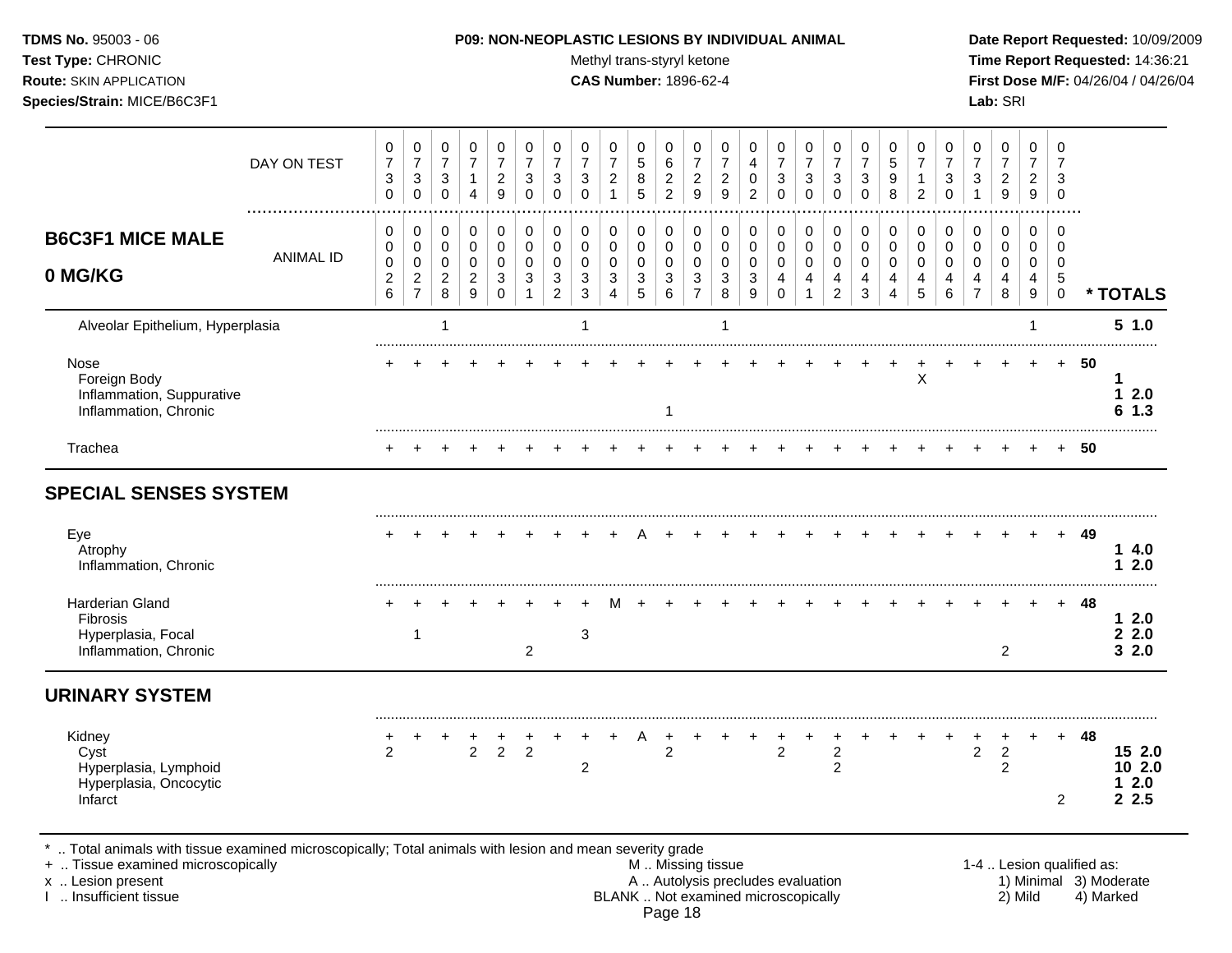Test Type: CHRONIC **Test Type:** CHRONIC **Test Type:** CHRONIC **Time Report Requested:** 14:36:21 **Route:** SKIN APPLICATION **CAS Number:** 1896-62-4 **First Dose M/F:** 04/26/04 / 04/26/04 **Species/Strain:** MICE/B6C3F1 **Lab:** SRI

|                                                                                                                                             | DAY ON TEST      | 0<br>$\boldsymbol{7}$<br>$\ensuremath{\mathsf{3}}$<br>$\Omega$ | 0<br>$\overline{7}$<br>3<br>$\Omega$ | 0<br>$\overline{7}$<br>$\mathbf{3}$<br>$\mathbf 0$ | 0<br>$\overline{7}$<br>$\mathbf{1}$<br>4      | 0<br>$\overline{7}$<br>$\boldsymbol{2}$<br>9                 | 0<br>$\overline{7}$<br>3<br>$\mathbf 0$ | 0<br>$\overline{7}$<br>3<br>$\Omega$ | 0<br>$\overline{7}$<br>3<br>$\Omega$        | 0<br>$\overline{7}$<br>$\overline{c}$<br>$\mathbf{1}$ | 0<br>$\sqrt{5}$<br>8<br>5           | 0<br>6<br>$\boldsymbol{2}$<br>$\overline{2}$ | 0<br>$\overline{7}$<br>$\boldsymbol{2}$<br>9       | 0<br>$\overline{7}$<br>$\boldsymbol{2}$<br>9 | 0<br>4<br>$\mathbf 0$<br>$\overline{2}$ | 0<br>$\overline{7}$<br>$\sqrt{3}$<br>$\mathbf 0$ | 0<br>$\overline{7}$<br>$\ensuremath{\mathsf{3}}$<br>$\mathbf 0$ | 0<br>$\boldsymbol{7}$<br>$\ensuremath{\mathsf{3}}$<br>$\mathbf 0$ | 0<br>$\overline{7}$<br>3<br>$\Omega$ | 0<br>5<br>9<br>8           | 0<br>$\overline{7}$<br>$\mathbf 1$<br>$\overline{2}$ | 0<br>$\overline{7}$<br>3<br>$\Omega$ | 0<br>$\overline{7}$<br>3<br>$\mathbf 1$ | 0<br>$\overline{7}$<br>$\overline{c}$<br>$\overline{9}$ | 0<br>$\overline{7}$<br>$\overline{c}$<br>9 | 0<br>$\overline{7}$<br>3<br>$\mathbf 0$ |                           |                                   |
|---------------------------------------------------------------------------------------------------------------------------------------------|------------------|----------------------------------------------------------------|--------------------------------------|----------------------------------------------------|-----------------------------------------------|--------------------------------------------------------------|-----------------------------------------|--------------------------------------|---------------------------------------------|-------------------------------------------------------|-------------------------------------|----------------------------------------------|----------------------------------------------------|----------------------------------------------|-----------------------------------------|--------------------------------------------------|-----------------------------------------------------------------|-------------------------------------------------------------------|--------------------------------------|----------------------------|------------------------------------------------------|--------------------------------------|-----------------------------------------|---------------------------------------------------------|--------------------------------------------|-----------------------------------------|---------------------------|-----------------------------------|
| <b>B6C3F1 MICE MALE</b><br>0 MG/KG                                                                                                          | <b>ANIMAL ID</b> | $\mathbf 0$<br>0<br>0<br>$\boldsymbol{2}$                      | 0<br>0<br>$\mathbf 0$                | $\mathbf 0$<br>$\mathbf 0$<br>0<br>$\overline{c}$  | 0<br>$\mathbf 0$<br>$\mathbf 0$<br>$\sqrt{2}$ | $\mathbf 0$<br>$\mathbf 0$<br>0<br>$\ensuremath{\mathsf{3}}$ | 0<br>$\mathbf 0$<br>0<br>3              | 0<br>$\mathbf 0$<br>0<br>$\sqrt{3}$  | $\mathbf 0$<br>$\Omega$<br>$\mathbf 0$<br>3 | 0<br>$\mathbf 0$<br>$\mathbf 0$<br>3                  | 0<br>$\mathbf 0$<br>0<br>$\sqrt{3}$ | 0<br>$\mathbf 0$<br>0<br>$\sqrt{3}$          | 0<br>$\mathbf 0$<br>0<br>$\ensuremath{\mathsf{3}}$ | 0<br>$\mathbf 0$<br>0<br>$\mathbf{3}$        | 0<br>$\mathbf 0$<br>$\mathbf 0$<br>3    | 0<br>$\mathbf 0$<br>0<br>$\overline{4}$          | 0<br>0<br>0<br>$\overline{4}$                                   | 0<br>0<br>0<br>$\overline{\mathbf{4}}$                            | 0<br>$\mathbf 0$<br>0<br>4           | 0<br>$\mathbf 0$<br>0<br>4 | 0<br>$\mathbf 0$<br>0<br>4                           | 0<br>$\Omega$<br>$\Omega$<br>4       | 0<br>$\mathbf 0$<br>0<br>4              | 0<br>$\mathbf 0$<br>0<br>4                              | $\mathbf 0$<br>$\mathbf 0$<br>0<br>4       | 0<br>$\mathbf 0$<br>0<br>$\sqrt{5}$     |                           |                                   |
|                                                                                                                                             |                  | 6                                                              | $\frac{2}{7}$                        | 8                                                  | 9                                             | $\mathbf 0$                                                  | $\mathbf{1}$                            | $\overline{2}$                       | 3                                           | $\overline{4}$                                        | 5                                   | 6                                            | $\overline{7}$                                     | 8                                            | 9                                       | $\Omega$                                         | $\mathbf{1}$                                                    | $\overline{2}$                                                    | 3                                    | 4                          | 5                                                    | 6                                    | $\overline{7}$                          | 8                                                       | 9                                          | $\mathbf 0$                             |                           | * TOTALS                          |
| Alveolar Epithelium, Hyperplasia                                                                                                            |                  |                                                                |                                      |                                                    |                                               |                                                              |                                         |                                      | 1                                           |                                                       |                                     |                                              |                                                    | -1                                           |                                         |                                                  |                                                                 |                                                                   |                                      |                            |                                                      |                                      |                                         |                                                         | -1                                         |                                         |                           | 51.0                              |
| Nose<br>Foreign Body<br>Inflammation, Suppurative<br>Inflammation, Chronic                                                                  |                  |                                                                |                                      |                                                    |                                               |                                                              |                                         |                                      |                                             |                                                       |                                     | -1                                           |                                                    |                                              |                                         |                                                  |                                                                 |                                                                   |                                      |                            | X                                                    |                                      |                                         |                                                         |                                            | $+$                                     | 50                        | 12.0<br>61.3                      |
| Trachea                                                                                                                                     |                  |                                                                |                                      |                                                    |                                               |                                                              |                                         |                                      |                                             |                                                       |                                     |                                              |                                                    |                                              |                                         |                                                  |                                                                 |                                                                   |                                      |                            |                                                      |                                      |                                         |                                                         |                                            | $+$                                     | 50                        |                                   |
| <b>SPECIAL SENSES SYSTEM</b><br>Eye<br>Atrophy<br>Inflammation, Chronic                                                                     |                  |                                                                |                                      |                                                    |                                               |                                                              |                                         |                                      |                                             |                                                       |                                     |                                              |                                                    |                                              |                                         |                                                  |                                                                 |                                                                   |                                      |                            |                                                      |                                      |                                         |                                                         |                                            | $+$                                     | 49                        | 14.0<br>2.0<br>1                  |
| Harderian Gland<br>Fibrosis<br>Hyperplasia, Focal<br>Inflammation, Chronic                                                                  |                  |                                                                | $\mathbf{1}$                         |                                                    |                                               |                                                              | $\overline{2}$                          |                                      | 3                                           |                                                       |                                     |                                              |                                                    |                                              |                                         |                                                  |                                                                 |                                                                   |                                      |                            |                                                      |                                      |                                         | $\overline{2}$                                          |                                            |                                         | 48                        | $12.0$<br>22.0<br>32.0            |
| <b>URINARY SYSTEM</b>                                                                                                                       |                  |                                                                |                                      |                                                    |                                               |                                                              |                                         |                                      |                                             |                                                       |                                     |                                              |                                                    |                                              |                                         |                                                  |                                                                 |                                                                   |                                      |                            |                                                      |                                      |                                         |                                                         |                                            |                                         |                           |                                   |
| Kidney<br>Cyst<br>Hyperplasia, Lymphoid<br>Hyperplasia, Oncocytic<br>Infarct                                                                |                  | $\overline{2}$                                                 |                                      |                                                    | $\frac{+}{2}$                                 | $\frac{+}{2}$                                                | $\overline{2}$                          |                                      | 2                                           |                                                       | A                                   | $\overline{2}$                               |                                                    |                                              |                                         | $\overline{2}$                                   |                                                                 | $\overline{c}$<br>2                                               |                                      |                            |                                                      |                                      | $\ddot{}$<br>$\boldsymbol{2}$           | +<br>$\boldsymbol{2}$<br>2                              |                                            | $\pm$<br>$\overline{2}$                 | 48                        | 15 2.0<br>10 2.0<br>$12.0$<br>2.5 |
| Total animals with tissue examined microscopically; Total animals with lesion and mean severity grade<br>+  Tissue examined microscopically |                  |                                                                |                                      |                                                    |                                               |                                                              |                                         |                                      |                                             |                                                       |                                     |                                              | M. Missing tissue                                  |                                              |                                         |                                                  |                                                                 |                                                                   |                                      |                            |                                                      |                                      |                                         |                                                         |                                            |                                         | 1-4  Lesion qualified as: |                                   |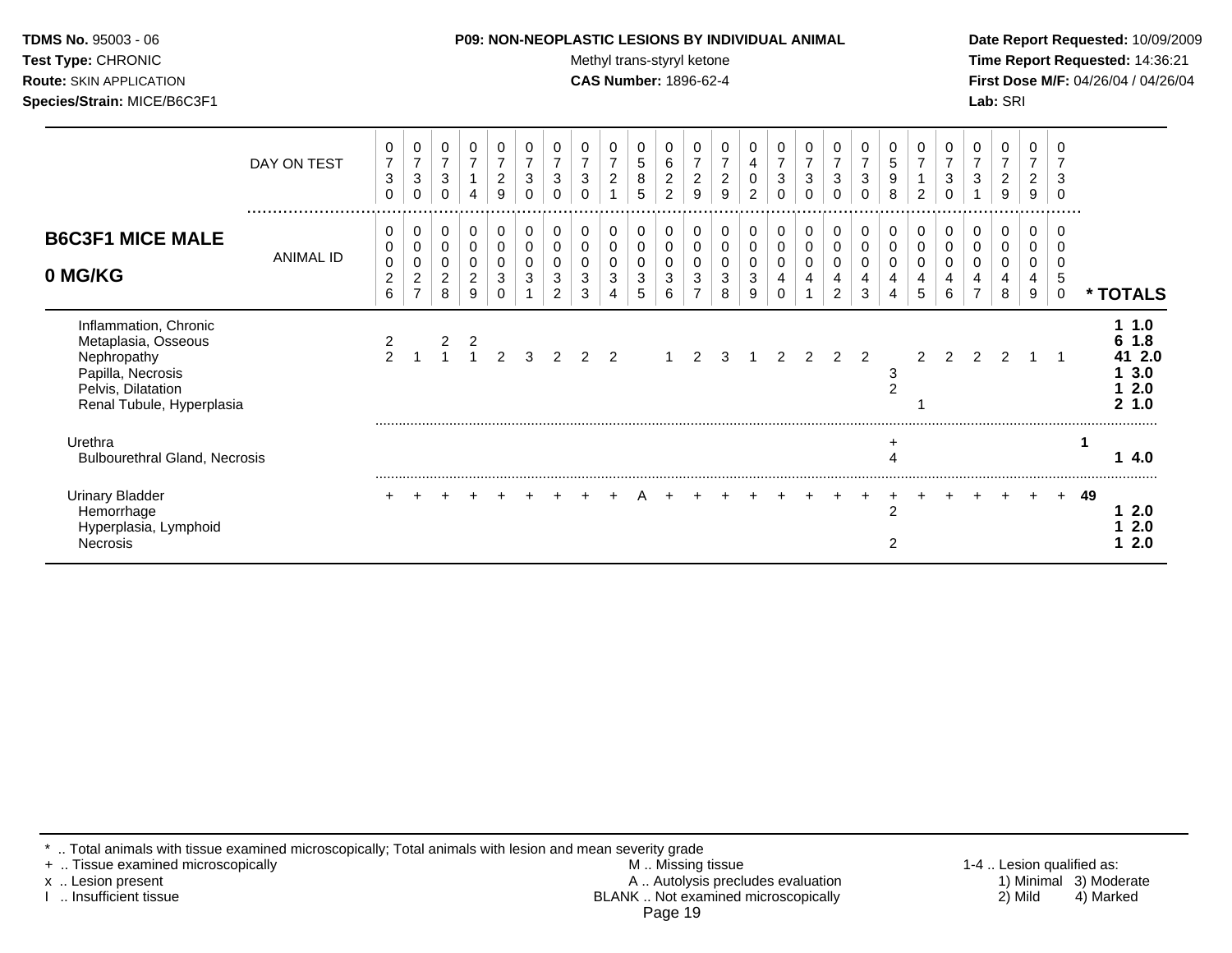#### **TDMS No.** 95003 - 06 **P09: NON-NEOPLASTIC LESIONS BY INDIVIDUAL ANIMAL Date Report Requested:** 10/09/2009

Test Type: CHRONIC **Test Type:** CHRONIC **Test Type:** CHRONIC **Time Report Requested:** 14:36:21 **Route:** SKIN APPLICATION **CAS Number:** 1896-62-4 **First Dose M/F:** 04/26/04 / 04/26/04

|                                                                                                                                     | DAY ON TEST<br> | 0<br>$\overline{7}$<br>$\sqrt{3}$<br>$\Omega$            | 0<br>$\overline{7}$<br>$\mathbf{3}$<br>$\Omega$   | 0<br>$\overline{7}$<br>$\mathbf{3}$<br>0 | 0<br>$\overline{7}$<br>$\overline{1}$<br>4                | 0<br>$\overline{7}$<br>$\boldsymbol{2}$<br>9                | 0<br>$\overline{7}$<br>3<br>0 | 7<br>3                | 0<br>$\overline{7}$<br>$\sqrt{3}$<br>$\Omega$ | 0<br>$\overline{7}$<br>$\overline{c}$ | 0<br>5<br>8<br>5      | 0<br>$\,6\,$<br>$\sqrt{2}$<br>2            | 0<br>$\overline{7}$<br>$\overline{c}$<br>9                 | 0<br>$\overline{7}$<br>$\boldsymbol{2}$<br>9 | 4<br>$\mathsf 0$<br>$\overline{c}$ | 0<br>$\overline{\mathbf{7}}$<br>$\sqrt{3}$<br>$\mathbf 0$ | 0<br>$\overline{7}$<br>$\mathbf{3}$<br>$\Omega$ | 0<br>$\boldsymbol{7}$<br>$\mathfrak{S}$<br>0 | 0<br>$\overline{7}$<br>$\mathbf{3}$ | 0<br>5<br>$\boldsymbol{9}$<br>8  | 0<br>$\overline{7}$<br>2 | 3      | 0<br>$\overline{7}$<br>$\mathbf{3}$ | 0<br>$\overline{7}$<br>$\overline{a}$<br>9 | 0<br>$\overline{7}$<br>$\overline{2}$<br>9 | 3<br>.           |    |                                           |  |
|-------------------------------------------------------------------------------------------------------------------------------------|-----------------|----------------------------------------------------------|---------------------------------------------------|------------------------------------------|-----------------------------------------------------------|-------------------------------------------------------------|-------------------------------|-----------------------|-----------------------------------------------|---------------------------------------|-----------------------|--------------------------------------------|------------------------------------------------------------|----------------------------------------------|------------------------------------|-----------------------------------------------------------|-------------------------------------------------|----------------------------------------------|-------------------------------------|----------------------------------|--------------------------|--------|-------------------------------------|--------------------------------------------|--------------------------------------------|------------------|----|-------------------------------------------|--|
| <b>B6C3F1 MICE MALE</b><br>0 MG/KG                                                                                                  | ANIMAL ID       | 0<br>0<br>$\pmb{0}$<br>$\overline{c}$<br>$6\phantom{1}6$ | 0<br>0<br>0<br>$\boldsymbol{2}$<br>$\overline{ }$ | 0<br>0<br>0<br>$\overline{c}$<br>8       | 0<br>$\mathbf 0$<br>$\overline{0}$<br>$\overline{2}$<br>9 | 0<br>$\,0\,$<br>$\pmb{0}$<br>$\ensuremath{\mathsf{3}}$<br>0 | 0<br>0<br>0<br>3              | $\mathbf 0$<br>3<br>2 | $\pmb{0}$<br>$\mathbf 0$<br>0<br>3<br>3       | 0<br>0<br>0<br>3                      | 0<br>0<br>0<br>3<br>5 | 0<br>0<br>$\mathbf 0$<br>$\mathbf{3}$<br>6 | 0<br>0<br>0<br>$\ensuremath{\mathsf{3}}$<br>$\overline{7}$ | 0<br>0<br>0<br>3<br>8                        | 0<br>0<br>$\sqrt{3}$<br>9          | 0<br>$\pmb{0}$<br>$\pmb{0}$<br>4<br>0                     | 0<br>$\mathbf 0$<br>0<br>4                      | $\mathbf 0$<br>0<br>0<br>4<br>$\overline{c}$ | 0<br>0<br>0<br>4<br>3               | 0<br>0<br>0<br>4<br>4            | 0<br>0<br>5              | 0<br>6 | 0<br>0<br>0                         | 0<br>0<br>0<br>4<br>8                      | 0<br>0<br>0<br>4<br>9                      | 5<br>$\mathbf 0$ |    | * TOTALS                                  |  |
| Inflammation, Chronic<br>Metaplasia, Osseous<br>Nephropathy<br>Papilla, Necrosis<br>Pelvis, Dilatation<br>Renal Tubule, Hyperplasia |                 |                                                          |                                                   |                                          |                                                           |                                                             |                               |                       |                                               |                                       |                       |                                            | $1 \quad 2$                                                | 3                                            |                                    | $\mathcal{P}$                                             | $\overline{2}$                                  | 2 <sub>2</sub>                               |                                     | 3<br>$\overline{2}$              | $\mathfrak{p}$           | 2      | $\overline{2}$                      | $\mathfrak{p}$                             |                                            |                  |    | 1.0<br>1.8<br>41 2.0<br>3.0<br>2.0<br>1.0 |  |
| Urethra<br><b>Bulbourethral Gland, Necrosis</b>                                                                                     |                 |                                                          |                                                   |                                          |                                                           |                                                             |                               |                       |                                               |                                       |                       |                                            |                                                            |                                              |                                    |                                                           |                                                 |                                              |                                     | ÷                                |                          |        |                                     |                                            |                                            |                  |    | 4.0                                       |  |
| <b>Urinary Bladder</b><br>Hemorrhage<br>Hyperplasia, Lymphoid<br><b>Necrosis</b>                                                    |                 |                                                          |                                                   |                                          |                                                           |                                                             |                               |                       |                                               |                                       |                       |                                            |                                                            |                                              |                                    |                                                           |                                                 |                                              |                                     | $\overline{2}$<br>$\overline{2}$ |                          |        |                                     |                                            |                                            | $+$              | 49 | 2.0<br>2.0<br>2.0                         |  |

\* .. Total animals with tissue examined microscopically; Total animals with lesion and mean severity grade

+ .. Tissue examined microscopically M .. Missing tissue 1-4 .. Lesion qualified as: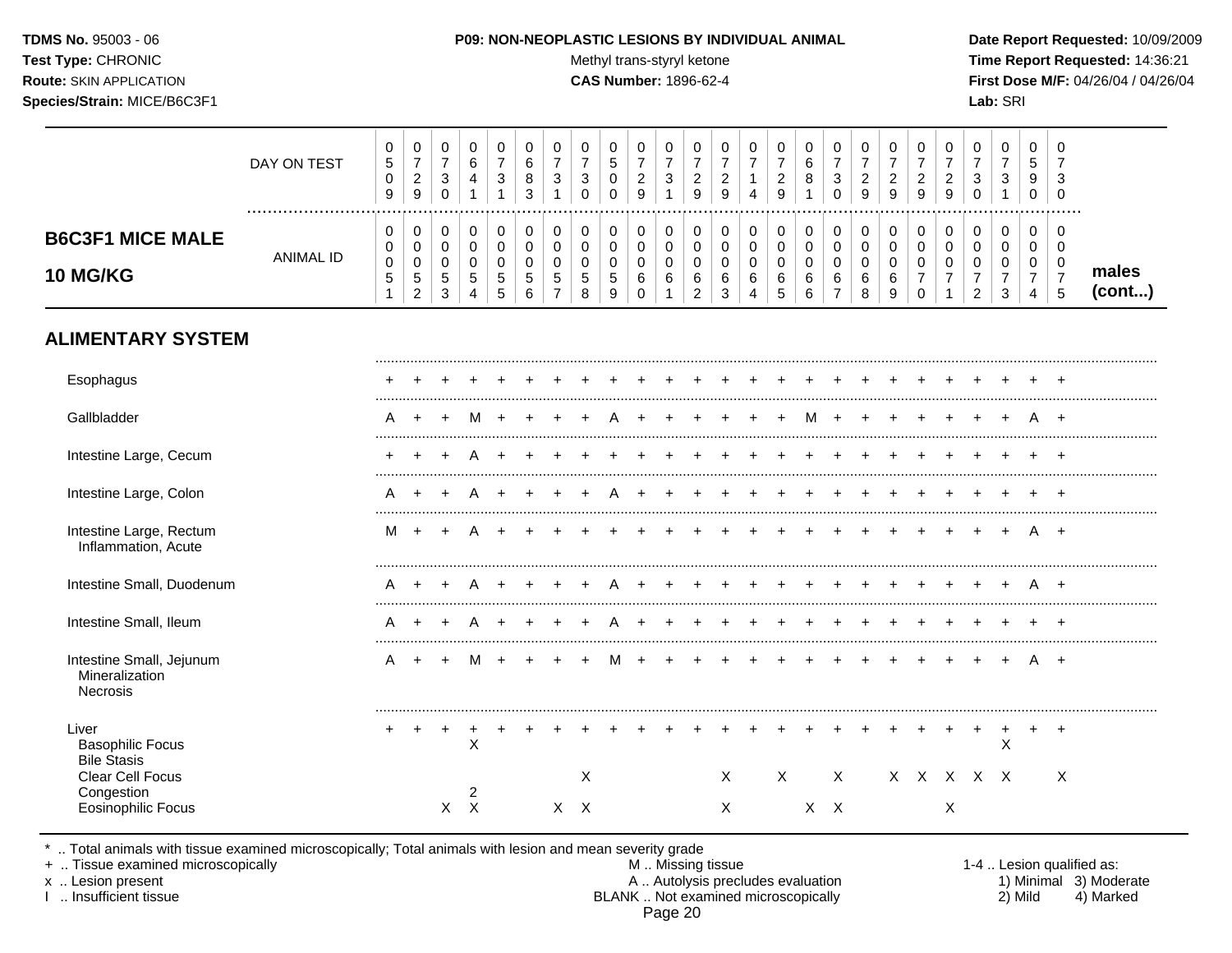TDMS No. 95003 - 06 Test Type: CHRONIC **Route: SKIN APPLICATION** Species/Strain: MICE/B6C3F1

#### P09: NON-NEOPLASTIC LESIONS BY INDIVIDUAL ANIMAL

Methyl trans-styryl ketone

**CAS Number: 1896-62-4** 

 $\overline{\phantom{a}}$ 

Date Report Requested: 10/09/2009 Time Report Requested: 14:36:21 First Dose M/F: 04/26/04 / 04/26/04 Lab: SRI

 $\overline{\phantom{a}}$ 

 $\top$  $\overline{\phantom{a}}$ □  $\overline{\phantom{0}}$ 

|                                                             | DAY ON TEST      | $\pmb{0}$<br>$\mathbf 5$<br>$\pmb{0}$<br>9         | $\mathbf 0$<br>$\boldsymbol{7}$<br>$\overline{c}$<br>$9\,$      | 0<br>$\overline{7}$<br>$\sqrt{3}$<br>$\mathbf 0$              | $\mathbf 0$<br>6<br>4<br>$\mathbf{1}$                            | 0<br>$\overline{7}$<br>3<br>$\mathbf{1}$          | 0<br>$\,6\,$<br>8<br>3 | $\mathbf 0$<br>$\overline{7}$<br>$\sqrt{3}$<br>$\overline{1}$   | $\pmb{0}$<br>$\overline{7}$<br>3<br>$\Omega$ | $\mathbf 0$<br>$\sqrt{5}$<br>$\mathbf 0$<br>$\Omega$     | $\mathbf 0$<br>$\overline{7}$<br>$\overline{2}$<br>9                 | $\pmb{0}$<br>$\overline{7}$<br>$\ensuremath{\mathsf{3}}$<br>$\mathbf{1}$ | $\pmb{0}$<br>$\overline{7}$<br>$\overline{2}$<br>9 | 0<br>$\overline{7}$<br>$\overline{c}$<br>9 | $\pmb{0}$<br>$\overline{7}$<br>1<br>$\overline{4}$        | 0<br>$\overline{7}$<br>$\overline{c}$<br>9 | $\pmb{0}$<br>6<br>8<br>$\overline{1}$                    | $\pmb{0}$<br>$\overline{7}$<br>$\mathbf{3}$<br>$\Omega$    | $\pmb{0}$<br>$\overline{7}$<br>$\overline{a}$<br>9 | 0<br>$\overline{7}$<br>$\overline{c}$<br>9    | $\pmb{0}$<br>$\overline{7}$<br>$\boldsymbol{2}$<br>9                       | $\pmb{0}$<br>$\overline{7}$<br>$\overline{2}$<br>9 | 0<br>$\overline{7}$<br>$\sqrt{3}$<br>$\mathbf 0$                    | $\pmb{0}$<br>$\boldsymbol{7}$<br>$\mathbf{3}$<br>$\mathbf{1}$     | $\mathbf 0$<br>$\sqrt{5}$<br>9<br>$\mathbf 0$             | $\mathbf 0$<br>$\overline{7}$<br>3<br>$\Omega$ |                 |
|-------------------------------------------------------------|------------------|----------------------------------------------------|-----------------------------------------------------------------|---------------------------------------------------------------|------------------------------------------------------------------|---------------------------------------------------|------------------------|-----------------------------------------------------------------|----------------------------------------------|----------------------------------------------------------|----------------------------------------------------------------------|--------------------------------------------------------------------------|----------------------------------------------------|--------------------------------------------|-----------------------------------------------------------|--------------------------------------------|----------------------------------------------------------|------------------------------------------------------------|----------------------------------------------------|-----------------------------------------------|----------------------------------------------------------------------------|----------------------------------------------------|---------------------------------------------------------------------|-------------------------------------------------------------------|-----------------------------------------------------------|------------------------------------------------|-----------------|
| <b>B6C3F1 MICE MALE</b><br><b>10 MG/KG</b>                  | <b>ANIMAL ID</b> | 0<br>0<br>$\pmb{0}$<br>$\mathbf 5$<br>$\mathbf{1}$ | $\mathbf 0$<br>$\mathbf 0$<br>0<br>$\sqrt{5}$<br>$\overline{c}$ | $\mathbf 0$<br>$\mathbf 0$<br>$\mathbf 0$<br>$\,$ 5 $\,$<br>3 | $\mathbf 0$<br>$\mathbf 0$<br>0<br>$\,$ 5 $\,$<br>$\overline{4}$ | $\pmb{0}$<br>$\mathbf 0$<br>$\mathbf 0$<br>5<br>5 | 0<br>0<br>0<br>5<br>6  | $\mathbf 0$<br>$\mathbf 0$<br>0<br>$\sqrt{5}$<br>$\overline{7}$ | $\mathbf 0$<br>0<br>0<br>$\sqrt{5}$<br>8     | 0<br>$\mathbf 0$<br>0<br>$\,$ 5 $\,$<br>$\boldsymbol{9}$ | $\mathbf 0$<br>$\mathbf 0$<br>$\overline{0}$<br>$\,6$<br>$\mathbf 0$ | 0<br>0<br>0<br>6<br>1                                                    | 0<br>$\mathbf 0$<br>0<br>$\,6$<br>$\overline{c}$   | 0<br>0<br>$\mathbf 0$<br>6<br>$\sqrt{3}$   | $\mathbf 0$<br>$\mathbf 0$<br>$\mathbf 0$<br>$\,6\,$<br>4 | 0<br>$\pmb{0}$<br>0<br>6<br>5              | 0<br>$\mathsf{O}\xspace$<br>0<br>$\,6$<br>$6\phantom{a}$ | $\mathbf 0$<br>$\mathbf 0$<br>0<br>$\,6$<br>$\overline{7}$ | $\pmb{0}$<br>$\pmb{0}$<br>$\mathbf 0$<br>6<br>8    | $\mathbf 0$<br>$\mathbf 0$<br>0<br>$\,6$<br>9 | $\mathbf 0$<br>$\mathbf 0$<br>$\mathbf 0$<br>$\overline{7}$<br>$\mathbf 0$ | $\mathbf 0$<br>$\mathbf 0$<br>0<br>$\overline{7}$  | 0<br>$\pmb{0}$<br>$\mathbf 0$<br>$\boldsymbol{7}$<br>$\overline{c}$ | 0<br>$\pmb{0}$<br>$\mathbf 0$<br>$\boldsymbol{7}$<br>$\mathbf{3}$ | $\mathbf 0$<br>0<br>0<br>$\overline{7}$<br>$\overline{4}$ | $\mathbf 0$<br>0<br>0<br>$\boldsymbol{7}$<br>5 | males<br>(cont) |
| <b>ALIMENTARY SYSTEM</b>                                    |                  |                                                    |                                                                 |                                                               |                                                                  |                                                   |                        |                                                                 |                                              |                                                          |                                                                      |                                                                          |                                                    |                                            |                                                           |                                            |                                                          |                                                            |                                                    |                                               |                                                                            |                                                    |                                                                     |                                                                   |                                                           |                                                |                 |
| Esophagus                                                   |                  |                                                    |                                                                 |                                                               |                                                                  |                                                   |                        |                                                                 |                                              |                                                          |                                                                      |                                                                          |                                                    |                                            |                                                           |                                            |                                                          |                                                            |                                                    |                                               |                                                                            |                                                    |                                                                     |                                                                   |                                                           |                                                |                 |
| Gallbladder                                                 |                  | A                                                  | $\ddot{}$                                                       | $\pm$                                                         | M                                                                |                                                   |                        |                                                                 |                                              |                                                          |                                                                      |                                                                          |                                                    |                                            |                                                           |                                            | м                                                        | $\div$                                                     |                                                    |                                               |                                                                            |                                                    |                                                                     |                                                                   | A                                                         | $+$                                            |                 |
| Intestine Large, Cecum                                      |                  | $\pm$                                              |                                                                 |                                                               |                                                                  |                                                   |                        |                                                                 |                                              |                                                          |                                                                      |                                                                          |                                                    |                                            |                                                           |                                            |                                                          |                                                            |                                                    |                                               |                                                                            |                                                    |                                                                     |                                                                   | $\div$                                                    | $\div$                                         |                 |
| Intestine Large, Colon                                      |                  | A                                                  |                                                                 |                                                               |                                                                  |                                                   |                        |                                                                 |                                              |                                                          |                                                                      |                                                                          |                                                    |                                            |                                                           |                                            |                                                          |                                                            |                                                    |                                               |                                                                            |                                                    |                                                                     |                                                                   |                                                           | $\div$                                         |                 |
| Intestine Large, Rectum<br>Inflammation, Acute              |                  | м                                                  | $\overline{+}$                                                  |                                                               |                                                                  |                                                   |                        |                                                                 |                                              |                                                          |                                                                      |                                                                          |                                                    |                                            |                                                           |                                            |                                                          |                                                            |                                                    |                                               |                                                                            |                                                    |                                                                     |                                                                   |                                                           | $+$                                            |                 |
| Intestine Small, Duodenum                                   |                  | A                                                  | $\pm$                                                           |                                                               |                                                                  |                                                   |                        |                                                                 |                                              |                                                          |                                                                      |                                                                          |                                                    |                                            |                                                           |                                            |                                                          |                                                            |                                                    |                                               |                                                                            |                                                    |                                                                     |                                                                   |                                                           | $+$                                            |                 |
| Intestine Small, Ileum                                      |                  | A                                                  |                                                                 |                                                               |                                                                  |                                                   |                        |                                                                 |                                              |                                                          |                                                                      |                                                                          |                                                    |                                            |                                                           |                                            |                                                          |                                                            |                                                    |                                               |                                                                            |                                                    |                                                                     |                                                                   |                                                           |                                                |                 |
| Intestine Small, Jejunum<br>Mineralization<br>Necrosis      |                  | A                                                  |                                                                 |                                                               |                                                                  |                                                   |                        |                                                                 |                                              |                                                          |                                                                      |                                                                          |                                                    |                                            |                                                           |                                            |                                                          |                                                            |                                                    |                                               |                                                                            |                                                    |                                                                     |                                                                   |                                                           | $+$                                            |                 |
| Liver<br><b>Basophilic Focus</b><br><b>Bile Stasis</b>      |                  | ÷                                                  | ÷                                                               | $\ddot{}$                                                     | $\div$<br>X                                                      |                                                   |                        |                                                                 |                                              |                                                          |                                                                      |                                                                          |                                                    |                                            |                                                           |                                            |                                                          |                                                            |                                                    |                                               |                                                                            | $\ddot{}$                                          | $^{+}$                                                              | $\ddot{}$<br>X                                                    | $+$                                                       | $+$                                            |                 |
| Clear Cell Focus<br>Congestion<br><b>Eosinophilic Focus</b> |                  |                                                    |                                                                 | $\mathsf{X}$                                                  | 2<br>$\mathsf{X}$                                                |                                                   |                        | $X$ $X$                                                         | X                                            |                                                          |                                                                      |                                                                          |                                                    | X<br>$\mathsf{X}$                          |                                                           | X                                          |                                                          | $\times$<br>$X$ $X$                                        |                                                    |                                               |                                                                            | Χ                                                  | x x x x x                                                           |                                                                   |                                                           | X                                              |                 |

\* .. Total animals with tissue examined microscopically; Total animals with lesion and mean severity grade<br>+ .. Tissue examined microscopically

 $\overline{\phantom{a}}$ 

x .. Lesion present

I .. Insufficient tissue

M .. Missing tissue A .. Autolysis precludes evaluation<br>BLANK .. Not examined microscopically Page 20

1-4 .. Lesion qualified as: 1) Minimal 3) Moderate 2) Mild 4) Marked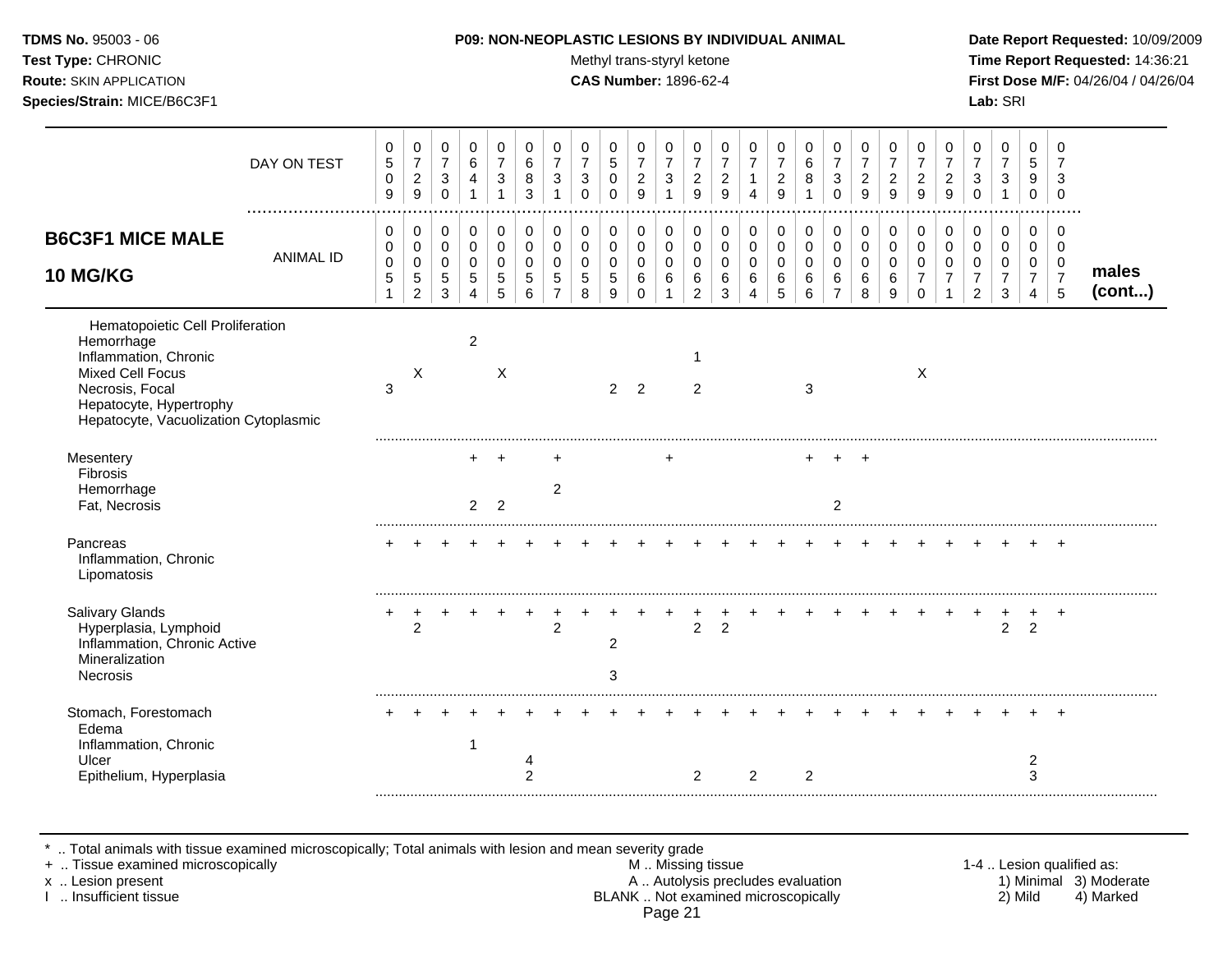#### **TDMS No.** 95003 - 06 **P09: NON-NEOPLASTIC LESIONS BY INDIVIDUAL ANIMAL Date Report Requested:** 10/09/2009

Test Type: CHRONIC **Test Type:** CHRONIC **Test Type:** CHRONIC **Time Report Requested:** 14:36:21 **Route:** SKIN APPLICATION **CAS Number:** 1896-62-4 **First Dose M/F:** 04/26/04 / 04/26/04

|                                                                                                                                                                                           | DAY ON TEST      | 0<br>$\,$ 5 $\,$<br>$\mathbf 0$<br>9 | 0<br>$\boldsymbol{7}$<br>$\sqrt{2}$<br>9                    | 0<br>$\overline{7}$<br>$\mathbf{3}$<br>$\Omega$ | 0<br>6<br>$\overline{4}$                  | 0<br>$\overline{7}$<br>3                  | 0<br>6<br>8<br>3                                 | 0<br>$\overline{7}$<br>3            | 0<br>$\overline{7}$<br>3<br>$\Omega$ | 0<br>$\sqrt{5}$<br>$\mathbf 0$<br>$\Omega$ | 0<br>$\overline{7}$<br>$\overline{c}$<br>9 | 0<br>$\overline{7}$<br>$\sqrt{3}$<br>1 | 0<br>$\overline{7}$<br>$\overline{2}$<br>9 | 0<br>$\overline{7}$<br>$\sqrt{2}$<br>9    | 0<br>$\overline{7}$<br>$\mathbf{1}$ | 0<br>$\overline{7}$<br>$\overline{2}$<br>9 | 0<br>$\,6$<br>8               | 0<br>$\boldsymbol{7}$<br>$\mathbf{3}$<br>$\Omega$          | 0<br>$\overline{7}$<br>$\boldsymbol{2}$<br>9 | 0<br>$\overline{7}$<br>$\overline{c}$<br>9 | 0<br>$\overline{7}$<br>$\overline{2}$<br>9                         | 0<br>$\overline{7}$<br>$\overline{c}$<br>9 | 0<br>$\overline{7}$<br>3<br>$\Omega$          | 0<br>$\overline{7}$<br>3           | 0<br>5<br>9<br>$\mathbf 0$                              | $\Omega$<br>7<br>3<br>$\Omega$               |                 |
|-------------------------------------------------------------------------------------------------------------------------------------------------------------------------------------------|------------------|--------------------------------------|-------------------------------------------------------------|-------------------------------------------------|-------------------------------------------|-------------------------------------------|--------------------------------------------------|-------------------------------------|--------------------------------------|--------------------------------------------|--------------------------------------------|----------------------------------------|--------------------------------------------|-------------------------------------------|-------------------------------------|--------------------------------------------|-------------------------------|------------------------------------------------------------|----------------------------------------------|--------------------------------------------|--------------------------------------------------------------------|--------------------------------------------|-----------------------------------------------|------------------------------------|---------------------------------------------------------|----------------------------------------------|-----------------|
| <b>B6C3F1 MICE MALE</b><br><b>10 MG/KG</b>                                                                                                                                                | <b>ANIMAL ID</b> | 0<br>0<br>$\mathbf 0$<br>$\sqrt{5}$  | 0<br>$\pmb{0}$<br>$\pmb{0}$<br>$\sqrt{5}$<br>$\overline{c}$ | $\pmb{0}$<br>$\pmb{0}$<br>$\pmb{0}$<br>5<br>3   | 0<br>$\mathbf 0$<br>$\mathbf 0$<br>5<br>4 | $\mathbf 0$<br>0<br>$\mathbf 0$<br>5<br>5 | $\mathbf 0$<br>$\mathbf 0$<br>$\Omega$<br>5<br>6 | 0<br>$\Omega$<br>$\Omega$<br>5<br>7 | 0<br>0<br>$\Omega$<br>5<br>8         | 0<br>0<br>$\mathbf 0$<br>5<br>9            | 0<br>$\pmb{0}$<br>0<br>6<br>$\Omega$       | 0<br>0<br>$\mathbf 0$<br>6             | 0<br>0<br>0<br>6<br>$\overline{2}$         | 0<br>$\mathbf 0$<br>$\mathbf 0$<br>6<br>3 | 0<br>0<br>$\Omega$<br>6             | 0<br>$\mathbf 0$<br>$\mathbf 0$<br>6<br>5  | 0<br>$\pmb{0}$<br>0<br>6<br>6 | $\pmb{0}$<br>$\pmb{0}$<br>$\pmb{0}$<br>6<br>$\overline{7}$ | 0<br>0<br>$\mathbf 0$<br>6<br>8              | 0<br>$\mathbf 0$<br>$\mathbf 0$<br>6<br>9  | $\pmb{0}$<br>$\mathbf 0$<br>$\Omega$<br>$\overline{7}$<br>$\Omega$ | 0<br>0<br>$\Omega$<br>7                    | 0<br>$\mathbf 0$<br>$\Omega$<br>$\mathcal{P}$ | 0<br>0<br>0<br>$\overline{7}$<br>3 | $\pmb{0}$<br>0<br>0<br>$\overline{7}$<br>$\overline{4}$ | 0<br>$\mathbf 0$<br>0<br>$\overline{7}$<br>5 | males<br>(cont) |
| Hematopoietic Cell Proliferation<br>Hemorrhage<br>Inflammation, Chronic<br><b>Mixed Cell Focus</b><br>Necrosis, Focal<br>Hepatocyte, Hypertrophy<br>Hepatocyte, Vacuolization Cytoplasmic |                  | $\sqrt{3}$                           | Χ                                                           |                                                 | $\overline{2}$                            | X                                         |                                                  |                                     |                                      | $\overline{2}$                             | 2                                          |                                        | $\mathbf 1$<br>$\overline{2}$              |                                           |                                     |                                            | 3                             |                                                            |                                              |                                            | X                                                                  |                                            |                                               |                                    |                                                         |                                              |                 |
| Mesentery<br>Fibrosis<br>Hemorrhage<br>Fat, Necrosis                                                                                                                                      |                  |                                      |                                                             |                                                 | $\overline{2}$                            | $\overline{2}$                            |                                                  | 2                                   |                                      |                                            |                                            |                                        |                                            |                                           |                                     |                                            | ٠                             | ÷.<br>2                                                    | $\overline{ }$                               |                                            |                                                                    |                                            |                                               |                                    |                                                         |                                              |                 |
| Pancreas<br>Inflammation, Chronic<br>Lipomatosis                                                                                                                                          |                  |                                      |                                                             |                                                 |                                           |                                           |                                                  |                                     |                                      |                                            |                                            |                                        |                                            |                                           |                                     |                                            |                               |                                                            |                                              |                                            |                                                                    |                                            |                                               |                                    |                                                         | $^{+}$                                       |                 |
| Salivary Glands<br>Hyperplasia, Lymphoid<br>Inflammation, Chronic Active<br>Mineralization<br><b>Necrosis</b>                                                                             |                  |                                      | $\overline{2}$                                              |                                                 |                                           |                                           |                                                  | 2                                   |                                      | $\overline{2}$<br>3                        |                                            |                                        | $\overline{c}$                             | $\overline{2}$                            |                                     |                                            |                               |                                                            |                                              |                                            |                                                                    |                                            |                                               | ٠<br>$\overline{c}$                | ÷<br>$\overline{2}$                                     | $^{+}$                                       |                 |
| Stomach, Forestomach<br>Edema<br>Inflammation, Chronic<br>Ulcer<br>Epithelium, Hyperplasia                                                                                                |                  |                                      |                                                             |                                                 | 1                                         |                                           | 4<br>$\overline{c}$                              |                                     |                                      |                                            |                                            |                                        | 2                                          |                                           | 2                                   |                                            | 2                             |                                                            |                                              |                                            |                                                                    |                                            |                                               |                                    | $\overline{c}$<br>3                                     |                                              |                 |

\* .. Total animals with tissue examined microscopically; Total animals with lesion and mean severity grade

+ .. Tissue examined microscopically M .. Missing tissue 1-4 .. Lesion qualified as: x .. Lesion present **A .. Autolysis precludes evaluation** A .. Autolysis precludes evaluation 1) Minimal 3) Moderate I .. Insufficient tissue BLANK .. Not examined microscopically 2) Mild 4) Marked Page 21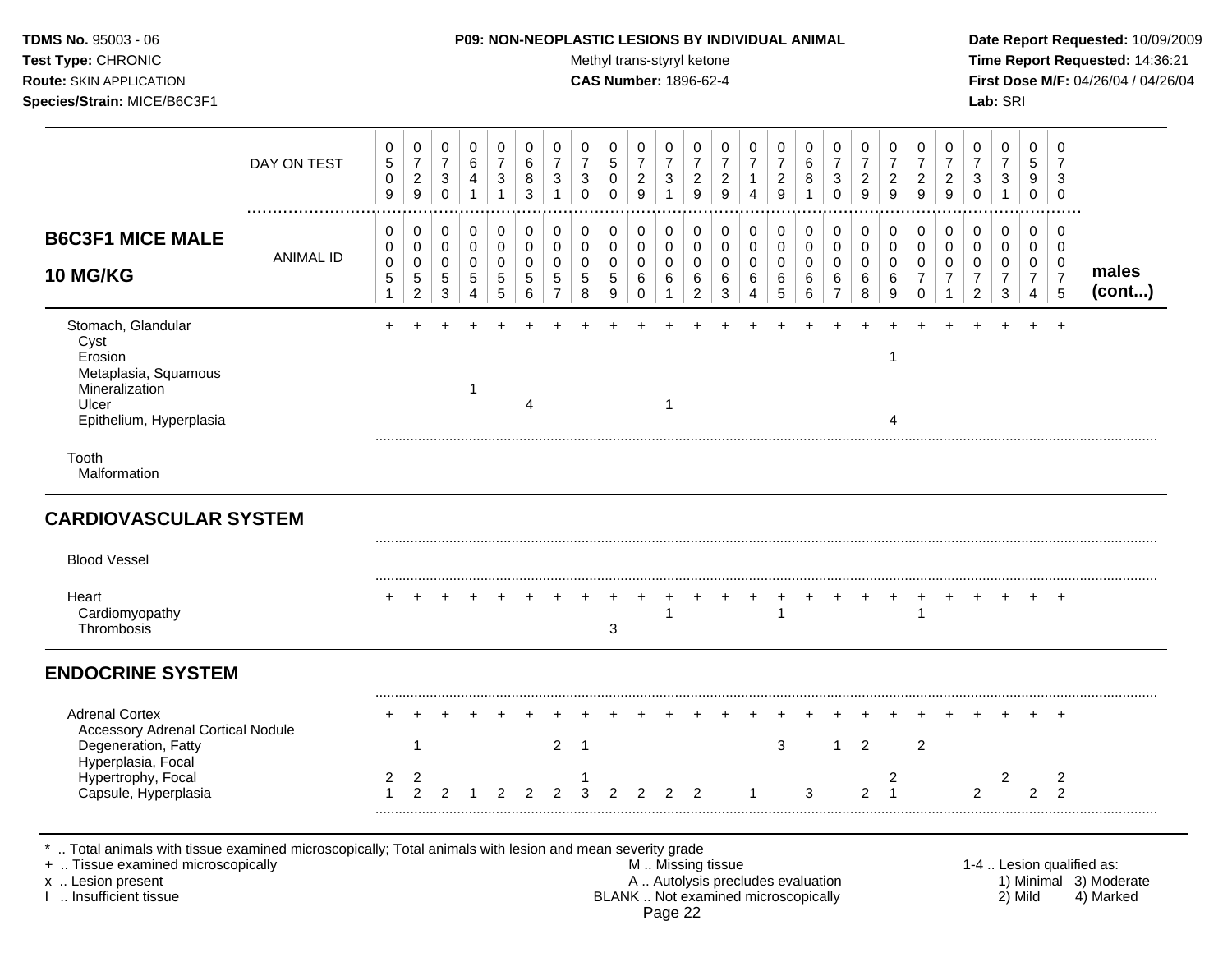| TDMS No. 95003 - 06                | <b>P09: NON-NEOPLASTIC LESIONS BY INDIVIDUAL ANIMAL</b> | Date Report Requested: 10/09/2009          |
|------------------------------------|---------------------------------------------------------|--------------------------------------------|
| <b>Test Type: CHRONIC</b>          | Methyl trans-styryl ketone                              | <b>Time Report Requested: 14:36:21</b>     |
| <b>Route:</b> SKIN APPLICATION     | <b>CAS Number: 1896-62-4</b>                            | <b>First Dose M/F: 04/26/04 / 04/26/04</b> |
| <b>Species/Strain: MICE/B6C3F1</b> |                                                         | Lab: SRI                                   |

|                                                                                                                                                                                               | DAY ON TEST      | 0<br>5<br>$\,0\,$<br>9           | $\mathbf 0$<br>$\overline{7}$<br>$\overline{2}$<br>$\boldsymbol{9}$      | 0<br>$\overline{7}$<br>$\sqrt{3}$<br>$\mathsf{O}\xspace$ | $\mathbf 0$<br>6<br>$\overline{4}$<br>$\mathbf{1}$  | $\pmb{0}$<br>$\overline{7}$<br>$\mathbf{3}$<br>$\mathbf{1}$ | $\mathbf 0$<br>$\,6\,$<br>8<br>$\sqrt{3}$               | 0<br>$\overline{7}$<br>3<br>$\mathbf{1}$             | 0<br>$\overline{7}$<br>$\mathbf{3}$<br>$\mathbf 0$ | 0<br>5<br>$\mathbf 0$<br>$\Omega$       | 0<br>$\overline{7}$<br>$\overline{c}$<br>9          | 0<br>$\overline{7}$<br>$\ensuremath{\mathsf{3}}$<br>$\mathbf{1}$ | 0<br>$\overline{7}$<br>$\overline{2}$<br>9             | 0<br>$\overline{7}$<br>$\boldsymbol{2}$<br>$\boldsymbol{9}$ | 0<br>$\overline{7}$<br>$\mathbf{1}$<br>$\overline{4}$            | 0<br>$\overline{7}$<br>$\overline{a}$<br>9 | 0<br>$\,6\,$<br>8<br>$\mathbf{1}$                                        | 0<br>$\overline{7}$<br>3<br>$\mathbf 0$                | 0<br>$\overline{7}$<br>$\overline{2}$<br>$9\,$ | 0<br>$\overline{7}$<br>$\overline{c}$<br>$\overline{9}$ | 0<br>$\overline{7}$<br>$\overline{2}$<br>9                                 | 0<br>$\overline{7}$<br>$\overline{c}$<br>$\overline{9}$           | $\pmb{0}$<br>$\overline{7}$<br>$\sqrt{3}$<br>$\mathbf 0$            | $\mathbf 0$<br>$\overline{7}$<br>$\ensuremath{\mathsf{3}}$<br>$\mathbf{1}$ | 0<br>5<br>9<br>$\pmb{0}$                                            | $\mathbf 0$<br>$\overline{7}$<br>$\mathbf{3}$<br>$\mathbf 0$ |                                                                  |
|-----------------------------------------------------------------------------------------------------------------------------------------------------------------------------------------------|------------------|----------------------------------|--------------------------------------------------------------------------|----------------------------------------------------------|-----------------------------------------------------|-------------------------------------------------------------|---------------------------------------------------------|------------------------------------------------------|----------------------------------------------------|-----------------------------------------|-----------------------------------------------------|------------------------------------------------------------------|--------------------------------------------------------|-------------------------------------------------------------|------------------------------------------------------------------|--------------------------------------------|--------------------------------------------------------------------------|--------------------------------------------------------|------------------------------------------------|---------------------------------------------------------|----------------------------------------------------------------------------|-------------------------------------------------------------------|---------------------------------------------------------------------|----------------------------------------------------------------------------|---------------------------------------------------------------------|--------------------------------------------------------------|------------------------------------------------------------------|
| <b>B6C3F1 MICE MALE</b><br><b>10 MG/KG</b>                                                                                                                                                    | <b>ANIMAL ID</b> | 0<br>0<br>0<br>5<br>$\mathbf{1}$ | 0<br>$\mathbf 0$<br>$\mathsf{O}\xspace$<br>$\,$ 5 $\,$<br>$\overline{c}$ | 0<br>$\mathbf 0$<br>$\mathbf 0$<br>5<br>3                | $\mathbf 0$<br>$\mathbf 0$<br>$\mathbf 0$<br>5<br>4 | 0<br>$\mathbf 0$<br>$\pmb{0}$<br>5<br>5                     | 0<br>$\mathbf 0$<br>$\mathbf 0$<br>5<br>$6\phantom{1}6$ | 0<br>$\mathbf 0$<br>$\pmb{0}$<br>5<br>$\overline{7}$ | 0<br>$\mathbf 0$<br>$\mathbf 0$<br>5<br>8          | 0<br>$\mathbf 0$<br>$\pmb{0}$<br>5<br>9 | 0<br>$\mathbf 0$<br>$\mathbf 0$<br>6<br>$\mathbf 0$ | 0<br>$\mathbf 0$<br>$\mathbf 0$<br>6<br>$\mathbf{1}$             | 0<br>$\mathbf 0$<br>$\mathbf 0$<br>6<br>$\overline{a}$ | 0<br>$\mathbf 0$<br>0<br>6<br>$\mathbf{3}$                  | $\mathbf 0$<br>$\mathbf 0$<br>$\mathbf 0$<br>6<br>$\overline{4}$ | 0<br>$\mathbf 0$<br>$\pmb{0}$<br>6<br>5    | 0<br>$\mathbf 0$<br>$\mathbf 0$<br>6<br>$\,6\,$                          | 0<br>$\mathbf 0$<br>$\mathbf 0$<br>6<br>$\overline{7}$ | 0<br>$\mathsf 0$<br>$\pmb{0}$<br>6<br>8        | 0<br>$\mathbf 0$<br>$\mathbf 0$<br>6<br>9               | $\mathbf 0$<br>$\mathbf 0$<br>$\mathbf 0$<br>$\overline{7}$<br>$\mathbf 0$ | 0<br>$\mathbf 0$<br>$\pmb{0}$<br>$\overline{7}$<br>$\overline{1}$ | 0<br>$\mathbf 0$<br>$\mathbf 0$<br>$\overline{7}$<br>$\overline{2}$ | 0<br>$\mathbf 0$<br>$\mathbf 0$<br>$\overline{7}$<br>3                     | $\mathbf 0$<br>$\mathbf 0$<br>0<br>$\overline{7}$<br>$\overline{4}$ | $\mathbf 0$<br>$\Omega$<br>0<br>$\overline{7}$<br>5          | males<br>(cont)                                                  |
| Stomach, Glandular<br>Cyst<br>Erosion<br>Metaplasia, Squamous<br>Mineralization<br>Ulcer<br>Epithelium, Hyperplasia                                                                           |                  |                                  |                                                                          |                                                          | 1                                                   |                                                             | 4                                                       |                                                      |                                                    |                                         |                                                     | $\overline{1}$                                                   |                                                        |                                                             |                                                                  |                                            |                                                                          |                                                        |                                                | 1<br>4                                                  |                                                                            |                                                                   |                                                                     |                                                                            |                                                                     | $\ddot{}$                                                    |                                                                  |
| Tooth<br>Malformation                                                                                                                                                                         |                  |                                  |                                                                          |                                                          |                                                     |                                                             |                                                         |                                                      |                                                    |                                         |                                                     |                                                                  |                                                        |                                                             |                                                                  |                                            |                                                                          |                                                        |                                                |                                                         |                                                                            |                                                                   |                                                                     |                                                                            |                                                                     |                                                              |                                                                  |
| <b>CARDIOVASCULAR SYSTEM</b>                                                                                                                                                                  |                  |                                  |                                                                          |                                                          |                                                     |                                                             |                                                         |                                                      |                                                    |                                         |                                                     |                                                                  |                                                        |                                                             |                                                                  |                                            |                                                                          |                                                        |                                                |                                                         |                                                                            |                                                                   |                                                                     |                                                                            |                                                                     |                                                              |                                                                  |
| <b>Blood Vessel</b>                                                                                                                                                                           |                  |                                  |                                                                          |                                                          |                                                     |                                                             |                                                         |                                                      |                                                    |                                         |                                                     |                                                                  |                                                        |                                                             |                                                                  |                                            |                                                                          |                                                        |                                                |                                                         |                                                                            |                                                                   |                                                                     |                                                                            |                                                                     |                                                              |                                                                  |
| Heart<br>Cardiomyopathy<br>Thrombosis                                                                                                                                                         |                  |                                  |                                                                          |                                                          |                                                     |                                                             |                                                         |                                                      |                                                    | 3                                       |                                                     | -1                                                               |                                                        |                                                             |                                                                  | $\mathbf{1}$                               |                                                                          |                                                        |                                                |                                                         | 1                                                                          |                                                                   |                                                                     |                                                                            |                                                                     | $\ddot{}$                                                    |                                                                  |
| <b>ENDOCRINE SYSTEM</b>                                                                                                                                                                       |                  |                                  |                                                                          |                                                          |                                                     |                                                             |                                                         |                                                      |                                                    |                                         |                                                     |                                                                  |                                                        |                                                             |                                                                  |                                            |                                                                          |                                                        |                                                |                                                         |                                                                            |                                                                   |                                                                     |                                                                            |                                                                     |                                                              |                                                                  |
| <b>Adrenal Cortex</b><br><b>Accessory Adrenal Cortical Nodule</b><br>Degeneration, Fatty                                                                                                      |                  |                                  | $\mathbf{1}$                                                             |                                                          |                                                     |                                                             |                                                         | $\overline{2}$                                       | $\overline{1}$                                     |                                         |                                                     |                                                                  |                                                        |                                                             |                                                                  | 3                                          |                                                                          | $\mathbf{1}$                                           | 2                                              |                                                         | $\overline{c}$                                                             |                                                                   |                                                                     |                                                                            |                                                                     |                                                              |                                                                  |
| Hyperplasia, Focal<br>Hypertrophy, Focal<br>Capsule, Hyperplasia                                                                                                                              |                  | 2<br>1                           | 2<br>$\mathcal{P}$                                                       | 2                                                        |                                                     | 2                                                           | 2                                                       | $\overline{2}$                                       | -1<br>3                                            | $\overline{2}$                          | 2                                                   | $\overline{2}$                                                   | $\mathcal{P}$                                          |                                                             |                                                                  |                                            | 3                                                                        |                                                        | $\overline{2}$                                 | $\overline{2}$<br>$\mathbf{1}$                          |                                                                            |                                                                   | 2                                                                   | 2                                                                          | 2                                                                   | 2<br>$\mathcal{P}$                                           |                                                                  |
| *  Total animals with tissue examined microscopically; Total animals with lesion and mean severity grade<br>+  Tissue examined microscopically<br>x  Lesion present<br>I  Insufficient tissue |                  |                                  |                                                                          |                                                          |                                                     |                                                             |                                                         |                                                      |                                                    |                                         |                                                     | Page 22                                                          | M Missing tissue                                       |                                                             |                                                                  |                                            | A  Autolysis precludes evaluation<br>BLANK  Not examined microscopically |                                                        |                                                |                                                         |                                                                            |                                                                   |                                                                     |                                                                            | 2) Mild                                                             |                                                              | 1-4  Lesion qualified as:<br>1) Minimal 3) Moderate<br>4) Marked |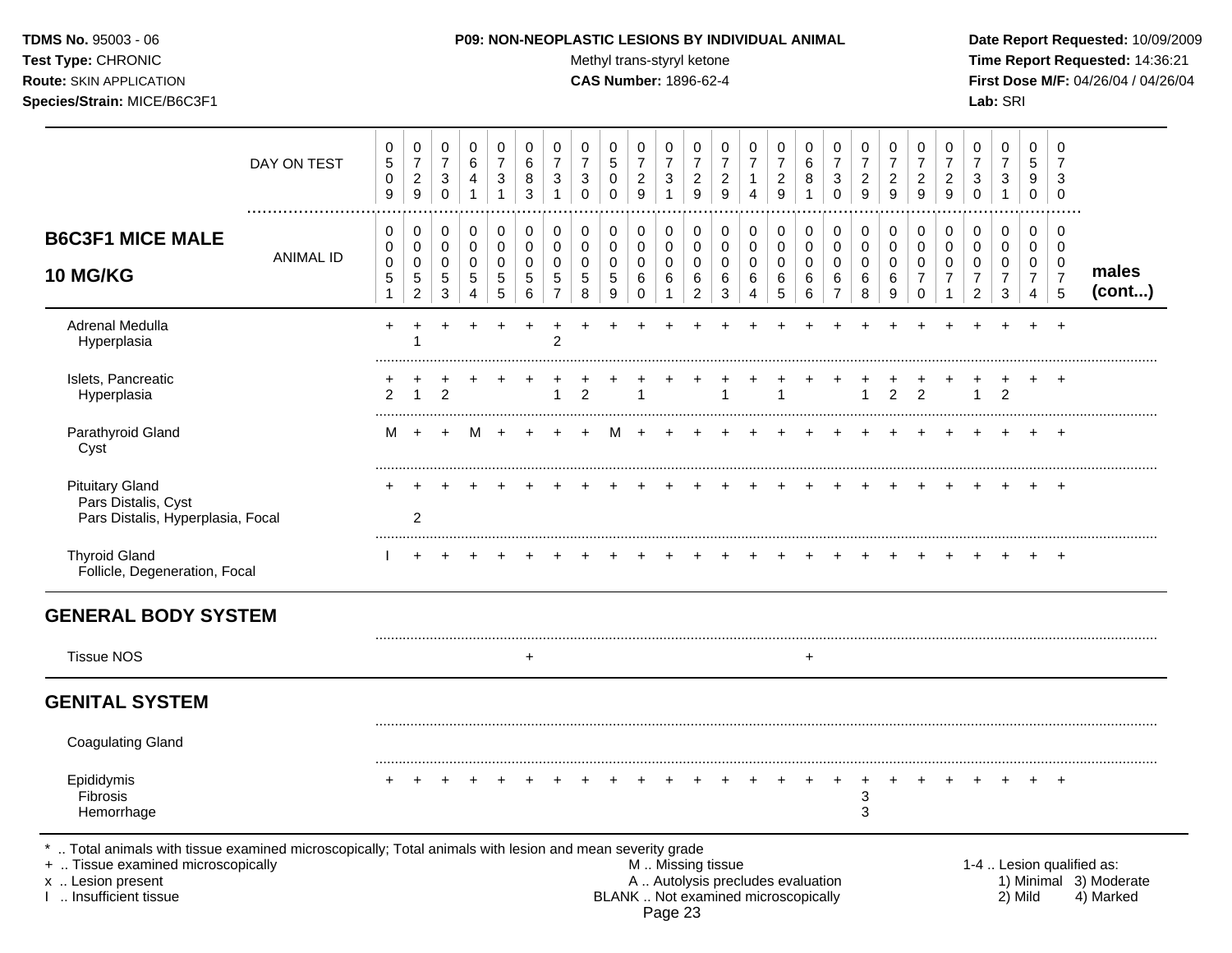Test Type: CHRONIC **Test Type:** CHRONIC **Test Type:** CHRONIC **Time Report Requested:** 14:36:21 **Route:** SKIN APPLICATION **CAS Number:** 1896-62-4 **First Dose M/F:** 04/26/04 / 04/26/04 **Species/Strain:** MICE/B6C3F1 **Lab:** SRI

|                                                                                                                                                                                            | DAY ON TEST | 0<br>$\sqrt{5}$<br>$\pmb{0}$<br>$9\,$      | $\pmb{0}$<br>$\overline{7}$<br>$\overline{c}$<br>$\boldsymbol{9}$ | 0<br>$\overline{7}$<br>3<br>$\pmb{0}$     | 0<br>6<br>4<br>$\mathbf{1}$                         | 0<br>$\overline{7}$<br>3<br>$\mathbf{1}$ | 0<br>$6\phantom{1}6$<br>8<br>3            | $\pmb{0}$<br>$\overline{7}$<br>$\ensuremath{\mathsf{3}}$<br>$\mathbf{1}$ | 0<br>$\overline{7}$<br>$\sqrt{3}$<br>$\mathsf 0$ | 0<br>5<br>$\pmb{0}$<br>$\pmb{0}$                   | 0<br>$\overline{7}$<br>$\overline{c}$<br>$\boldsymbol{9}$ | 0<br>$\overline{7}$<br>3<br>$\mathbf{1}$             | 0<br>$\overline{7}$<br>$\overline{c}$<br>$\boldsymbol{9}$ | 0<br>$\overline{7}$<br>$\overline{c}$<br>9 | 0<br>$\overline{7}$<br>1<br>$\overline{4}$                 | 0<br>$\overline{7}$<br>$\overline{c}$<br>9               | 0<br>$\,6\,$<br>8<br>$\mathbf{1}$             | $\,0\,$<br>$\overline{7}$<br>$\ensuremath{\mathsf{3}}$<br>$\pmb{0}$ | $\pmb{0}$<br>$\overline{7}$<br>$\overline{c}$<br>9 | 0<br>$\overline{7}$<br>$\overline{c}$<br>9              | 0<br>$\overline{7}$<br>$\boldsymbol{2}$<br>9                  | 0<br>$\overline{7}$<br>$\overline{c}$<br>$\boldsymbol{9}$ | $\pmb{0}$<br>$\overline{7}$<br>3<br>$\mathbf 0$   | $\mathbf 0$<br>$\overline{7}$<br>$\sqrt{3}$<br>$\mathbf{1}$      | $\mathbf 0$<br>5<br>9<br>$\mathsf 0$                      | 0<br>$\overline{7}$<br>3<br>$\mathbf 0$                |                                                                  |
|--------------------------------------------------------------------------------------------------------------------------------------------------------------------------------------------|-------------|--------------------------------------------|-------------------------------------------------------------------|-------------------------------------------|-----------------------------------------------------|------------------------------------------|-------------------------------------------|--------------------------------------------------------------------------|--------------------------------------------------|----------------------------------------------------|-----------------------------------------------------------|------------------------------------------------------|-----------------------------------------------------------|--------------------------------------------|------------------------------------------------------------|----------------------------------------------------------|-----------------------------------------------|---------------------------------------------------------------------|----------------------------------------------------|---------------------------------------------------------|---------------------------------------------------------------|-----------------------------------------------------------|---------------------------------------------------|------------------------------------------------------------------|-----------------------------------------------------------|--------------------------------------------------------|------------------------------------------------------------------|
| <b>B6C3F1 MICE MALE</b><br><b>10 MG/KG</b>                                                                                                                                                 | ANIMAL ID   | 0<br>0<br>$\mathbf 0$<br>5<br>$\mathbf{1}$ | 0<br>0<br>0<br>$\sqrt{5}$<br>$\overline{c}$                       | 0<br>$\mathbf 0$<br>$\mathbf 0$<br>5<br>3 | 0<br>$\mathbf 0$<br>$\Omega$<br>5<br>$\overline{4}$ | 0<br>$\mathbf 0$<br>0<br>$\sqrt{5}$<br>5 | 0<br>$\mathbf 0$<br>$\mathbf 0$<br>5<br>6 | 0<br>$\pmb{0}$<br>0<br>$\sqrt{5}$<br>$\overline{7}$                      | 0<br>$\mathbf 0$<br>0<br>$\sqrt{5}$<br>8         | 0<br>$\mathbf 0$<br>$\mathbf 0$<br>$\sqrt{5}$<br>9 | 0<br>$\mathbf 0$<br>$\mathbf 0$<br>$\,6\,$<br>$\mathbf 0$ | 0<br>$\mathbf 0$<br>$\mathbf 0$<br>6<br>$\mathbf{1}$ | 0<br>0<br>0<br>6<br>$\overline{c}$                        | 0<br>$\mathbf 0$<br>0<br>6<br>3            | 0<br>$\mathbf 0$<br>$\mathbf 0$<br>$\,6$<br>$\overline{4}$ | 0<br>$\mathbf 0$<br>$\mathbf 0$<br>$\,6\,$<br>$\sqrt{5}$ | 0<br>$\mathbf 0$<br>$\mathbf 0$<br>6<br>$\,6$ | $\pmb{0}$<br>$\pmb{0}$<br>0<br>6<br>$\overline{7}$                  | $\mathbf 0$<br>$\mathbf 0$<br>0<br>6<br>8          | $\mathbf 0$<br>$\mathbf 0$<br>$\mathbf 0$<br>$\,6$<br>9 | 0<br>$\mathbf 0$<br>$\Omega$<br>$\overline{7}$<br>$\mathbf 0$ | 0<br>0<br>$\mathbf 0$<br>$\overline{7}$<br>$\mathbf{1}$   | 0<br>0<br>0<br>$\boldsymbol{7}$<br>$\overline{c}$ | $\mathbf 0$<br>$\mathbf 0$<br>$\mathbf 0$<br>$\overline{7}$<br>3 | 0<br>$\mathbf 0$<br>0<br>$\overline{7}$<br>$\overline{4}$ | 0<br>$\mathbf 0$<br>$\mathbf 0$<br>$\overline{7}$<br>5 | males<br>(cont)                                                  |
| Adrenal Medulla<br>Hyperplasia                                                                                                                                                             |             | $\ddot{}$                                  |                                                                   |                                           |                                                     |                                          |                                           | $\overline{2}$                                                           |                                                  |                                                    |                                                           |                                                      |                                                           |                                            |                                                            |                                                          |                                               |                                                                     |                                                    |                                                         |                                                               |                                                           |                                                   |                                                                  |                                                           |                                                        |                                                                  |
| Islets, Pancreatic<br>Hyperplasia                                                                                                                                                          |             | $\mathfrak{p}$                             |                                                                   | $\mathfrak{p}$                            |                                                     |                                          |                                           |                                                                          | $\overline{2}$                                   |                                                    |                                                           |                                                      |                                                           |                                            |                                                            |                                                          |                                               |                                                                     |                                                    | $\mathfrak{p}$                                          | $\overline{2}$                                                |                                                           |                                                   | $\overline{2}$                                                   | $+$                                                       | $\overline{+}$                                         |                                                                  |
| Parathyroid Gland<br>Cyst                                                                                                                                                                  |             | М                                          | $\ddot{}$                                                         |                                           | м                                                   |                                          |                                           |                                                                          |                                                  |                                                    |                                                           |                                                      |                                                           |                                            |                                                            |                                                          |                                               |                                                                     |                                                    |                                                         |                                                               |                                                           |                                                   |                                                                  |                                                           |                                                        |                                                                  |
| <b>Pituitary Gland</b><br>Pars Distalis, Cyst<br>Pars Distalis, Hyperplasia, Focal                                                                                                         |             |                                            | 2                                                                 |                                           |                                                     |                                          |                                           |                                                                          |                                                  |                                                    |                                                           |                                                      |                                                           |                                            |                                                            |                                                          |                                               |                                                                     |                                                    |                                                         |                                                               |                                                           |                                                   |                                                                  |                                                           | $\ddot{}$                                              |                                                                  |
| <b>Thyroid Gland</b><br>Follicle, Degeneration, Focal                                                                                                                                      |             |                                            |                                                                   |                                           |                                                     |                                          |                                           |                                                                          |                                                  |                                                    |                                                           |                                                      |                                                           |                                            |                                                            |                                                          |                                               |                                                                     |                                                    |                                                         |                                                               |                                                           |                                                   |                                                                  | $\div$                                                    | $\ddot{}$                                              |                                                                  |
| <b>GENERAL BODY SYSTEM</b>                                                                                                                                                                 |             |                                            |                                                                   |                                           |                                                     |                                          |                                           |                                                                          |                                                  |                                                    |                                                           |                                                      |                                                           |                                            |                                                            |                                                          |                                               |                                                                     |                                                    |                                                         |                                                               |                                                           |                                                   |                                                                  |                                                           |                                                        |                                                                  |
| <b>Tissue NOS</b>                                                                                                                                                                          |             |                                            |                                                                   |                                           |                                                     |                                          | $\ddot{}$                                 |                                                                          |                                                  |                                                    |                                                           |                                                      |                                                           |                                            |                                                            |                                                          | $\ddot{}$                                     |                                                                     |                                                    |                                                         |                                                               |                                                           |                                                   |                                                                  |                                                           |                                                        |                                                                  |
| <b>GENITAL SYSTEM</b>                                                                                                                                                                      |             |                                            |                                                                   |                                           |                                                     |                                          |                                           |                                                                          |                                                  |                                                    |                                                           |                                                      |                                                           |                                            |                                                            |                                                          |                                               |                                                                     |                                                    |                                                         |                                                               |                                                           |                                                   |                                                                  |                                                           |                                                        |                                                                  |
| <b>Coagulating Gland</b>                                                                                                                                                                   |             |                                            |                                                                   |                                           |                                                     |                                          |                                           |                                                                          |                                                  |                                                    |                                                           |                                                      |                                                           |                                            |                                                            |                                                          |                                               |                                                                     |                                                    |                                                         |                                                               |                                                           |                                                   |                                                                  |                                                           |                                                        |                                                                  |
| Epididymis<br>Fibrosis<br>Hemorrhage                                                                                                                                                       |             |                                            |                                                                   |                                           |                                                     |                                          |                                           |                                                                          |                                                  |                                                    |                                                           |                                                      |                                                           |                                            |                                                            |                                                          |                                               |                                                                     | 3<br>3                                             |                                                         |                                                               |                                                           |                                                   |                                                                  |                                                           | $\ddot{}$                                              |                                                                  |
| Total animals with tissue examined microscopically; Total animals with lesion and mean severity grade<br>+  Tissue examined microscopically<br>x  Lesion present<br>I. Insufficient tissue |             |                                            |                                                                   |                                           |                                                     |                                          |                                           |                                                                          |                                                  | BLANK  Not examined microscopically                |                                                           | Page 23                                              | M  Missing tissue<br>A  Autolysis precludes evaluation    |                                            |                                                            |                                                          |                                               |                                                                     |                                                    |                                                         |                                                               |                                                           |                                                   |                                                                  | 2) Mild                                                   |                                                        | 1-4  Lesion qualified as:<br>1) Minimal 3) Moderate<br>4) Marked |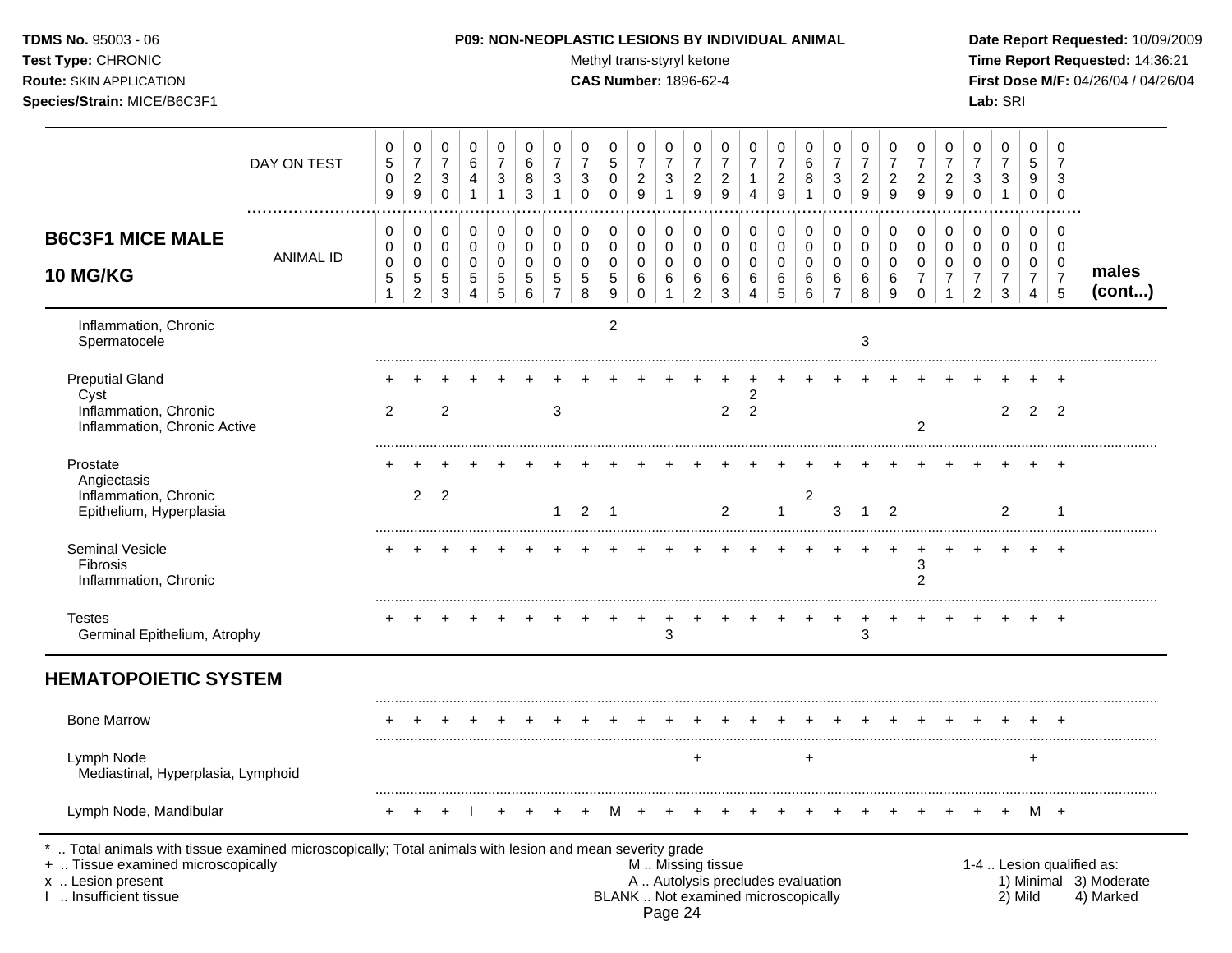Test Type: CHRONIC **Test Type:** CHRONIC **Test Type:** CHRONIC **Time Report Requested:** 14:36:21 **Route:** SKIN APPLICATION **CAS Number:** 1896-62-4 **First Dose M/F:** 04/26/04 / 04/26/04 **Species/Strain:** MICE/B6C3F1 **Lab:** SRI

|                 | $\mathbf 0$<br>7                                    | 0<br>5                                    | $\mathbf 0$<br>$\overline{7}$             | 0<br>$\overline{7}$              | 0<br>$\overline{7}$              | 0<br>$\overline{7}$             | 0<br>$\overline{7}$                | 0<br>$\overline{7}$ | 0<br>$\overline{7}$                      | 0<br>6             | 0<br>$\boldsymbol{7}$                                                    | 0<br>$\overline{7}$   | 0<br>$\overline{7}$          | 0<br>$\overline{7}$              | 0<br>$\overline{7}$ | $\mathbf 0$<br>$\overline{7}$             | $\mathbf 0$<br>5    | 0<br>$\overline{7}$   | 0<br>$\overline{7}$               | 0<br>6                | 0<br>$\overline{7}$  | $\mathbf 0$<br>6                | 0<br>$\overline{7}$             | 0<br>$\overline{7}$              | 0<br>$\mathbf 5$           | DAY ON TEST                                                                                                                                                                                |
|-----------------|-----------------------------------------------------|-------------------------------------------|-------------------------------------------|----------------------------------|----------------------------------|---------------------------------|------------------------------------|---------------------|------------------------------------------|--------------------|--------------------------------------------------------------------------|-----------------------|------------------------------|----------------------------------|---------------------|-------------------------------------------|---------------------|-----------------------|-----------------------------------|-----------------------|----------------------|---------------------------------|---------------------------------|----------------------------------|----------------------------|--------------------------------------------------------------------------------------------------------------------------------------------------------------------------------------------|
|                 | 3<br>$\mathbf 0$                                    | 9<br>$\pmb{0}$                            | 3<br>$\mathbf{1}$                         | 3<br>$\mathbf 0$                 | $\overline{c}$<br>$\overline{9}$ | $\boldsymbol{2}$<br>9           | $\overline{c}$<br>$\boldsymbol{9}$ | $\overline{c}$<br>9 | $\ensuremath{\mathsf{3}}$<br>$\mathbf 0$ | 8<br>$\mathbf{1}$  | $\overline{c}$<br>$\overline{9}$                                         | 1<br>$\overline{4}$   | $\boldsymbol{2}$<br>9        | $\overline{c}$<br>$\overline{9}$ | 3<br>$\mathbf{1}$   | $\overline{c}$<br>$\boldsymbol{9}$        | 0<br>$\mathbf 0$    | 3<br>$\mathbf 0$      | 3<br>$\mathbf{1}$                 | 8<br>3                | 3<br>$\mathbf{1}$    | 4<br>1                          | 3<br>$\mathbf 0$                | $\overline{c}$<br>$\overline{9}$ | $\pmb{0}$<br>9             | .                                                                                                                                                                                          |
|                 | $\mathbf 0$<br>$\mathbf 0$<br>$\mathbf 0$           | $\mathbf 0$<br>$\mathbf 0$<br>$\mathbf 0$ | $\mathbf 0$<br>$\mathbf 0$<br>$\mathbf 0$ | 0<br>0<br>$\pmb{0}$              | 0<br>$\mathbf 0$<br>$\mathbf 0$  | 0<br>$\mathbf 0$<br>$\mathbf 0$ | 0<br>0<br>$\mathbf 0$              | 0<br>0<br>$\Omega$  | 0<br>$\mathbf 0$<br>$\mathbf 0$          | 0<br>0<br>$\Omega$ | 0<br>$\mathbf 0$<br>$\mathbf 0$                                          | 0<br>0<br>$\mathbf 0$ | 0<br>$\mathbf 0$<br>$\Omega$ | 0<br>0<br>$\mathbf 0$            | 0<br>0<br>$\Omega$  | $\mathbf 0$<br>$\mathbf 0$<br>$\mathbf 0$ | 0<br>0<br>$\pmb{0}$ | 0<br>0<br>$\mathbf 0$ | 0<br>$\mathbf 0$<br>$\Omega$      | 0<br>0<br>$\mathbf 0$ | 0<br>0<br>$\Omega$   | 0<br>$\mathbf 0$<br>$\mathbf 0$ | 0<br>0<br>$\Omega$              | 0<br>$\pmb{0}$<br>$\pmb{0}$      | 0<br>0<br>$\pmb{0}$        | <b>B6C3F1 MICE MALE</b><br><b>ANIMAL ID</b>                                                                                                                                                |
| males<br>(cont) | $\overline{7}$<br>5                                 | $\overline{7}$<br>$\overline{4}$          | $\overline{7}$<br>$\sqrt{3}$              | $\overline{7}$<br>$\overline{2}$ | $\overline{7}$                   | $\overline{7}$<br>$\Omega$      | 6<br>9                             | 6<br>8              | 6<br>$\overline{7}$                      | 6<br>6             | $\,6\,$<br>5                                                             | 6<br>$\overline{4}$   | 6<br>3                       | $\,6\,$<br>$\overline{c}$        | 6<br>$\mathbf{1}$   | 6<br>$\mathbf 0$                          | $\,$ 5 $\,$<br>9    | $\sqrt{5}$<br>8       | $5\phantom{.0}$<br>$\overline{7}$ | 5<br>6                | $5\phantom{.0}$<br>5 | 5<br>4                          | $5\phantom{.0}$<br>$\mathbf{3}$ | $\,$ 5 $\,$<br>$\overline{c}$    | $\sqrt{5}$<br>$\mathbf{1}$ | 10 MG/KG                                                                                                                                                                                   |
|                 |                                                     |                                           |                                           |                                  |                                  |                                 |                                    | 3                   |                                          |                    |                                                                          |                       |                              |                                  |                     |                                           | $\overline{2}$      |                       |                                   |                       |                      |                                 |                                 |                                  |                            | Inflammation, Chronic<br>Spermatocele                                                                                                                                                      |
|                 |                                                     |                                           |                                           |                                  |                                  |                                 |                                    |                     |                                          |                    |                                                                          | $\overline{c}$        |                              |                                  |                     |                                           |                     |                       |                                   |                       |                      |                                 |                                 |                                  |                            | <b>Preputial Gland</b><br>Cyst                                                                                                                                                             |
|                 | $\overline{2}$                                      | 2                                         | 2                                         |                                  |                                  | 2                               |                                    |                     |                                          |                    |                                                                          | $\overline{2}$        | $\overline{a}$               |                                  |                     |                                           |                     |                       | 3                                 |                       |                      |                                 | $\overline{2}$                  |                                  | 2                          | Inflammation, Chronic<br>Inflammation, Chronic Active                                                                                                                                      |
|                 |                                                     |                                           |                                           |                                  |                                  |                                 |                                    |                     |                                          |                    |                                                                          |                       |                              |                                  |                     |                                           |                     |                       |                                   |                       |                      |                                 |                                 |                                  |                            | Prostate<br>Angiectasis                                                                                                                                                                    |
|                 | -1                                                  |                                           | 2                                         |                                  |                                  |                                 | 2                                  | $\mathbf 1$         | 3                                        | 2                  | $\mathbf{1}$                                                             |                       | 2                            |                                  |                     |                                           | $\overline{1}$      | 2                     | $\mathbf 1$                       |                       |                      |                                 | $\overline{2}$                  | $\overline{2}$                   |                            | Inflammation, Chronic<br>Epithelium, Hyperplasia                                                                                                                                           |
|                 |                                                     |                                           |                                           |                                  |                                  | 3<br>$\overline{2}$             |                                    |                     |                                          |                    |                                                                          |                       |                              |                                  |                     |                                           |                     |                       |                                   |                       |                      |                                 |                                 |                                  |                            | Seminal Vesicle<br>Fibrosis<br>Inflammation, Chronic                                                                                                                                       |
|                 |                                                     |                                           |                                           |                                  |                                  |                                 |                                    | +<br>3              | $\ddot{}$                                |                    |                                                                          |                       |                              |                                  | +<br>3              |                                           |                     |                       |                                   |                       |                      |                                 |                                 |                                  |                            | <b>Testes</b><br>Germinal Epithelium, Atrophy                                                                                                                                              |
|                 |                                                     |                                           |                                           |                                  |                                  |                                 |                                    |                     |                                          |                    |                                                                          |                       |                              |                                  |                     |                                           |                     |                       |                                   |                       |                      |                                 |                                 |                                  |                            | <b>HEMATOPOIETIC SYSTEM</b>                                                                                                                                                                |
|                 |                                                     |                                           |                                           |                                  |                                  |                                 |                                    |                     |                                          |                    |                                                                          |                       |                              |                                  |                     |                                           |                     |                       |                                   |                       |                      |                                 |                                 |                                  |                            | <b>Bone Marrow</b>                                                                                                                                                                         |
|                 |                                                     | $\ddot{}$                                 |                                           |                                  |                                  |                                 |                                    |                     |                                          | $+$                |                                                                          |                       |                              | $\ddot{}$                        |                     |                                           |                     |                       |                                   |                       |                      |                                 |                                 |                                  |                            | Lymph Node<br>Mediastinal, Hyperplasia, Lymphoid                                                                                                                                           |
|                 |                                                     | M +                                       |                                           |                                  |                                  |                                 |                                    |                     |                                          |                    |                                                                          |                       |                              |                                  |                     |                                           | м                   |                       |                                   |                       |                      |                                 |                                 |                                  |                            | Lymph Node, Mandibular                                                                                                                                                                     |
| 4) Marked       | 1-4  Lesion qualified as:<br>1) Minimal 3) Moderate |                                           | 2) Mild                                   |                                  |                                  |                                 |                                    |                     |                                          |                    | A  Autolysis precludes evaluation<br>BLANK  Not examined microscopically |                       |                              | M  Missing tissue                |                     |                                           |                     |                       |                                   |                       |                      |                                 |                                 |                                  |                            | Total animals with tissue examined microscopically; Total animals with lesion and mean severity grade<br>+  Tissue examined microscopically<br>x  Lesion present<br>I  Insufficient tissue |

Page 24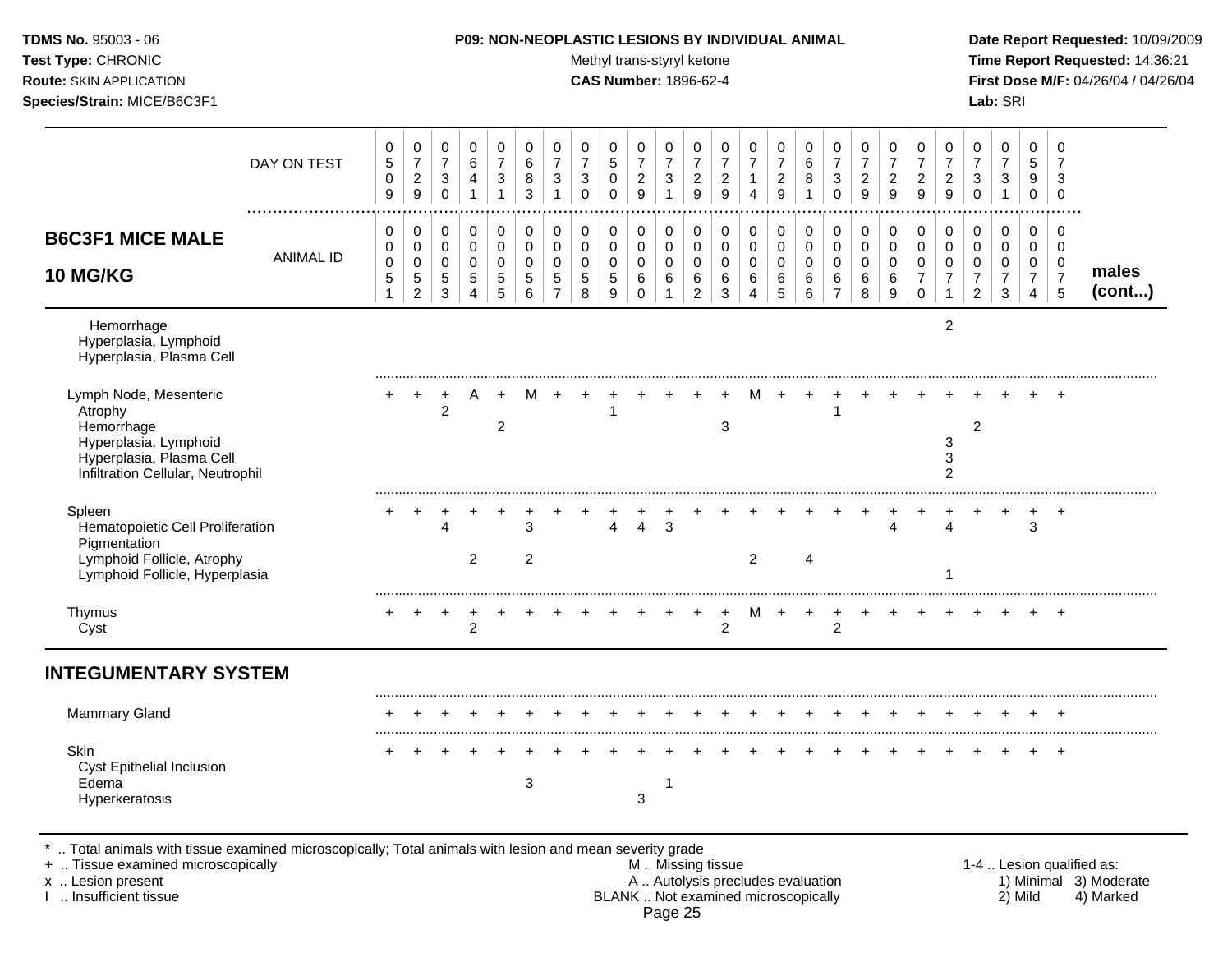| TDMS No. 95003 - 06            | <b>P09: NON-NEOPLASTIC LESIONS BY INDIVIDUAL ANIMAL</b> | Date Rep         |
|--------------------------------|---------------------------------------------------------|------------------|
| Test Type: CHRONIC             | Methyl trans-styryl ketone                              | Time Re          |
| <b>Route:</b> SKIN APPLICATION | <b>CAS Number: 1896-62-4</b>                            | <b>First Dos</b> |
| Species/Strain: MICE/B6C3F1    |                                                         | <b>Lab:</b> SRI  |

### **P09: NON-NEOPLASTIC LESIONS BY INDIVIDUAL ANIMAL Date Report Requested:** 10/09/2009

**Methyl trans-styryl ketone Time Report Requested:** 14:36:21 **CAS Number:** 1896-62-4 **First Dose M/F:** 04/26/04 / 04/26/04

|                                                                                                                                           | DAY ON TEST      | 0<br>$\sqrt{5}$<br>$\pmb{0}$<br>9 | 0<br>$\overline{7}$<br>$\sqrt{2}$<br>9                         | 0<br>$\overline{7}$<br>$\mathsf 3$<br>$\mathbf 0$ | 0<br>6<br>$\overline{\mathbf{4}}$<br>1           | 0<br>$\overline{7}$<br>3                  | 0<br>6<br>8<br>3                          | 0<br>$\overline{7}$<br>3                               | 0<br>$\overline{7}$<br>$\ensuremath{\mathsf{3}}$<br>$\Omega$ | 0<br>$\sqrt{5}$<br>$\pmb{0}$<br>$\Omega$            | 0<br>$\overline{7}$<br>$\sqrt{2}$<br>9 | 0<br>$\overline{7}$<br>$\ensuremath{\mathsf{3}}$ | 0<br>$\overline{7}$<br>$\overline{c}$<br>9   | 0<br>$\overline{7}$<br>$\overline{c}$<br>9 | 0<br>$\overline{7}$<br>$\mathbf{1}$<br>4  | 0<br>$\overline{7}$<br>$\overline{\mathbf{c}}$<br>9 | 0<br>6<br>$\bf 8$                                           | 0<br>$\overline{7}$<br>$\ensuremath{\mathsf{3}}$<br>$\Omega$ | 0<br>$\overline{7}$<br>$\boldsymbol{2}$<br>9 | 0<br>$\overline{7}$<br>$\overline{\mathbf{c}}$<br>9 | 0<br>$\overline{7}$<br>$\overline{c}$<br>$\mathbf{Q}$         | 0<br>$\overline{7}$<br>$\boldsymbol{2}$<br>9 | 0<br>$\overline{7}$<br>$\sqrt{3}$<br>$\Omega$             | 0<br>$\overline{7}$<br>$\ensuremath{\mathsf{3}}$<br>$\mathbf{1}$ | 0<br>5<br>9<br>0                             | 0<br>$\overline{7}$<br>3<br>$\mathbf 0$                |                 |
|-------------------------------------------------------------------------------------------------------------------------------------------|------------------|-----------------------------------|----------------------------------------------------------------|---------------------------------------------------|--------------------------------------------------|-------------------------------------------|-------------------------------------------|--------------------------------------------------------|--------------------------------------------------------------|-----------------------------------------------------|----------------------------------------|--------------------------------------------------|----------------------------------------------|--------------------------------------------|-------------------------------------------|-----------------------------------------------------|-------------------------------------------------------------|--------------------------------------------------------------|----------------------------------------------|-----------------------------------------------------|---------------------------------------------------------------|----------------------------------------------|-----------------------------------------------------------|------------------------------------------------------------------|----------------------------------------------|--------------------------------------------------------|-----------------|
| <b>B6C3F1 MICE MALE</b><br>10 MG/KG                                                                                                       | <b>ANIMAL ID</b> | 0<br>0<br>$\pmb{0}$<br>5<br>1     | 0<br>$\mathbf 0$<br>$\pmb{0}$<br>$\,$ 5 $\,$<br>$\overline{c}$ | 0<br>$\mathsf 0$<br>0<br>5<br>3                   | 0<br>$\mathbf 0$<br>$\pmb{0}$<br>$\sqrt{5}$<br>4 | 0<br>$\mathbf 0$<br>$\mathbf 0$<br>5<br>5 | 0<br>$\mathbf 0$<br>$\mathbf 0$<br>5<br>6 | 0<br>$\mathbf 0$<br>$\mathbf 0$<br>5<br>$\overline{7}$ | 0<br>$\pmb{0}$<br>0<br>$\sqrt{5}$<br>8                       | 0<br>$\mathbf 0$<br>$\mathbf 0$<br>$\,$ 5 $\,$<br>9 | 0<br>0<br>0<br>6<br>$\Omega$           | 0<br>0<br>$\mathbf 0$<br>6                       | 0<br>$\mathbf 0$<br>0<br>6<br>$\overline{2}$ | 0<br>0<br>0<br>6<br>3                      | 0<br>$\mathbf 0$<br>$\mathbf 0$<br>6<br>4 | 0<br>$\mathbf 0$<br>0<br>6<br>5                     | 0<br>$\mathsf 0$<br>$\boldsymbol{0}$<br>6<br>$6\phantom{a}$ | 0<br>$\pmb{0}$<br>0<br>6<br>$\overline{7}$                   | 0<br>$\mathsf 0$<br>0<br>6<br>8              | 0<br>$\mathbf 0$<br>0<br>6<br>9                     | 0<br>$\mathbf 0$<br>$\mathbf 0$<br>$\overline{7}$<br>$\Omega$ | 0<br>$\pmb{0}$<br>0<br>$\overline{7}$<br>1   | 0<br>0<br>$\mathbf 0$<br>$\overline{7}$<br>$\overline{c}$ | 0<br>$\mathbf 0$<br>$\mathbf 0$<br>$\overline{7}$<br>3           | 0<br>$\mathbf 0$<br>0<br>$\overline{7}$<br>4 | 0<br>$\mathbf 0$<br>$\mathbf 0$<br>$\overline{7}$<br>5 | males<br>(cont) |
| Hemorrhage<br>Hyperplasia, Lymphoid<br>Hyperplasia, Plasma Cell                                                                           |                  |                                   |                                                                |                                                   |                                                  |                                           |                                           |                                                        |                                                              |                                                     |                                        |                                                  |                                              |                                            |                                           |                                                     |                                                             |                                                              |                                              |                                                     |                                                               | $\overline{2}$                               |                                                           |                                                                  |                                              |                                                        |                 |
| Lymph Node, Mesenteric<br>Atrophy<br>Hemorrhage<br>Hyperplasia, Lymphoid<br>Hyperplasia, Plasma Cell<br>Infiltration Cellular, Neutrophil |                  |                                   | $\ddot{}$                                                      | +<br>$\overline{2}$                               |                                                  | $\ddot{}$<br>$\overline{2}$               | м                                         |                                                        |                                                              |                                                     |                                        |                                                  |                                              | 3                                          |                                           |                                                     | $\ddot{}$                                                   |                                                              |                                              |                                                     |                                                               | 3<br>$\mathbf{3}$<br>$\overline{2}$          | $\overline{c}$                                            |                                                                  |                                              |                                                        |                 |
| Spleen<br>Hematopoietic Cell Proliferation<br>Pigmentation<br>Lymphoid Follicle, Atrophy<br>Lymphoid Follicle, Hyperplasia                |                  |                                   |                                                                |                                                   | 2                                                |                                           | 3<br>$\overline{2}$                       |                                                        |                                                              | Δ                                                   | 4                                      | 3                                                |                                              |                                            | 2                                         |                                                     | 4                                                           |                                                              |                                              |                                                     |                                                               | $\overline{\Lambda}$                         |                                                           |                                                                  | $\sqrt{3}$                                   | $\ddot{}$                                              |                 |
| Thymus<br>Cyst                                                                                                                            |                  |                                   |                                                                |                                                   | $\overline{2}$                                   |                                           |                                           |                                                        |                                                              |                                                     |                                        |                                                  |                                              | $\overline{c}$                             |                                           |                                                     |                                                             | 2                                                            |                                              |                                                     |                                                               |                                              |                                                           |                                                                  |                                              |                                                        |                 |
| <b>INTEGUMENTARY SYSTEM</b>                                                                                                               |                  |                                   |                                                                |                                                   |                                                  |                                           |                                           |                                                        |                                                              |                                                     |                                        |                                                  |                                              |                                            |                                           |                                                     |                                                             |                                                              |                                              |                                                     |                                                               |                                              |                                                           |                                                                  |                                              |                                                        |                 |
| <b>Mammary Gland</b>                                                                                                                      |                  |                                   |                                                                |                                                   |                                                  |                                           |                                           |                                                        |                                                              |                                                     |                                        |                                                  |                                              |                                            |                                           |                                                     |                                                             |                                                              |                                              |                                                     |                                                               |                                              |                                                           |                                                                  |                                              |                                                        |                 |
| Skin<br>Cyst Epithelial Inclusion<br>Edema<br>Hyperkeratosis                                                                              |                  |                                   |                                                                |                                                   |                                                  |                                           | $\sqrt{3}$                                |                                                        |                                                              |                                                     | 3                                      |                                                  |                                              |                                            |                                           |                                                     |                                                             |                                                              |                                              |                                                     |                                                               |                                              |                                                           |                                                                  |                                              | $\ddot{}$                                              |                 |

\* .. Total animals with tissue examined microscopically; Total animals with lesion and mean severity grade

+ .. Tissue examined microscopically M .. Missing tissue 1-4 .. Lesion qualified as: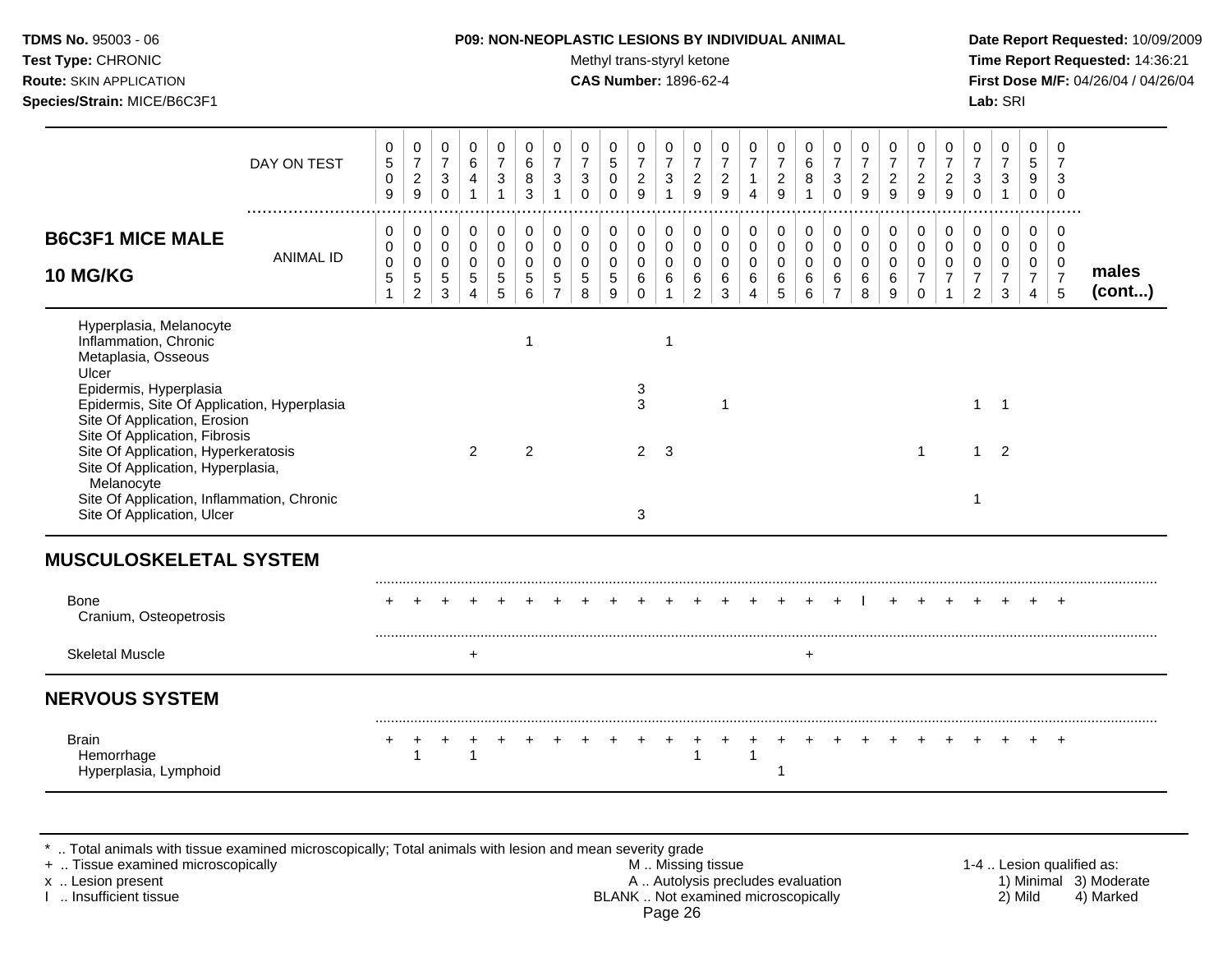| <b>TDMS No. 95003 - 06</b><br>Test Type: CHRONIC<br><b>Route: SKIN APPLICATION</b><br>Species/Strain: MICE/B6C3F1                                                                                                          |                  |                            |                                              |                               |                                                               |                                                    |                                   | <b>P09: NON-NEOPLASTIC LESIONS BY INDIVIDUAL ANIMAL</b>       |                                                                 |                                             | Methyl trans-styryl ketone<br><b>CAS Number: 1896-62-4</b> |                                                    |                                        |                                                           |                                           |                                                    |                                       |                                                        |                                 |                       |                                                                         |                                              |                                                           | Lab: SRI                           |                                                      |                            | Date Report Requested: 10/09/2009<br>Time Report Requested: 14:36:21<br>First Dose M/F: 04/26/04 / 04/26/04 |
|----------------------------------------------------------------------------------------------------------------------------------------------------------------------------------------------------------------------------|------------------|----------------------------|----------------------------------------------|-------------------------------|---------------------------------------------------------------|----------------------------------------------------|-----------------------------------|---------------------------------------------------------------|-----------------------------------------------------------------|---------------------------------------------|------------------------------------------------------------|----------------------------------------------------|----------------------------------------|-----------------------------------------------------------|-------------------------------------------|----------------------------------------------------|---------------------------------------|--------------------------------------------------------|---------------------------------|-----------------------|-------------------------------------------------------------------------|----------------------------------------------|-----------------------------------------------------------|------------------------------------|------------------------------------------------------|----------------------------|-------------------------------------------------------------------------------------------------------------|
|                                                                                                                                                                                                                            | DAY ON TEST      | 0<br>5<br>0<br>9           | 0<br>$\overline{7}$<br>$\overline{c}$<br>9   | 0<br>$\overline{7}$<br>3<br>0 | 0<br>6<br>$\overline{4}$<br>$\mathbf{1}$                      | 0<br>$\overline{7}$<br>$\mathbf 3$<br>$\mathbf{1}$ | 0<br>6<br>$\bf 8$<br>$\mathbf{3}$ | 0<br>$\boldsymbol{7}$<br>$\ensuremath{\mathsf{3}}$            | 0<br>$\overline{7}$<br>$\ensuremath{\mathsf{3}}$<br>$\mathbf 0$ | 0<br>$\,$ 5 $\,$<br>$\mathbf 0$<br>$\Omega$ | 0<br>$\boldsymbol{7}$<br>$\overline{c}$<br>9               | 0<br>$\boldsymbol{7}$<br>$\ensuremath{\mathsf{3}}$ | 0<br>$\boldsymbol{7}$<br>$\frac{2}{9}$ | 0<br>$\overline{7}$<br>$\boldsymbol{2}$<br>$\overline{9}$ | 0<br>$\overline{7}$<br>$\overline{4}$     | 0<br>$\boldsymbol{7}$<br>$\sqrt{2}$<br>$\mathsf g$ | 0<br>6<br>$\bf 8$                     | 0<br>$\overline{7}$<br>$\mathbf{3}$<br>$\mathbf 0$     | $\overline{c}$<br>9             | $\boldsymbol{2}$<br>9 | 0<br>$\overline{7}$<br>$\frac{2}{9}$                                    | 0<br>$\boldsymbol{7}$<br>$\overline{2}$<br>9 | 0<br>$\overline{7}$<br>3<br>$\Omega$                      | 0<br>7<br>3                        | 0<br>$\sqrt{5}$<br>9<br>$\mathbf 0$                  | 0<br>3<br>$\mathbf 0$      |                                                                                                             |
| <b>B6C3F1 MICE MALE</b><br><b>10 MG/KG</b>                                                                                                                                                                                 | <b>ANIMAL ID</b> | 0<br>0<br>$\mathbf 0$<br>5 | 0<br>0<br>$\mathbf 0$<br>5<br>$\overline{2}$ | 0<br>0<br>0<br>5<br>3         | 0<br>$\mathsf 0$<br>$\pmb{0}$<br>$\sqrt{5}$<br>$\overline{4}$ | 0<br>$\pmb{0}$<br>$\pmb{0}$<br>$\sqrt{5}$<br>5     | 0<br>0<br>$\mathbf 0$<br>5<br>6   | 0<br>$\pmb{0}$<br>$\mathbf 0$<br>$\sqrt{5}$<br>$\overline{7}$ | 0<br>$\mathbf 0$<br>$\mathbf 0$<br>$\,$ 5 $\,$<br>8             | 0<br>$\mathbf 0$<br>$\mathbf 0$<br>5<br>9   | 0<br>0<br>$\mathbf 0$<br>6<br>$\Omega$                     | 0<br>$\pmb{0}$<br>$\pmb{0}$<br>$\,6\,$             | 0<br>0<br>0<br>6<br>$\overline{2}$     | 0<br>$\pmb{0}$<br>$\mathbf 0$<br>$\,6\,$<br>3             | 0<br>$\mathbf 0$<br>$\mathbf 0$<br>6<br>4 | 0<br>$\mathbf 0$<br>$\pmb{0}$<br>$\,6\,$<br>5      | 0<br>$\pmb{0}$<br>$\pmb{0}$<br>6<br>6 | 0<br>$\mathbf 0$<br>$\mathbf 0$<br>6<br>$\overline{7}$ | 0<br>0<br>$\mathbf 0$<br>6<br>8 | 0<br>0<br>0<br>6<br>9 | 0<br>$\boldsymbol{0}$<br>$\boldsymbol{0}$<br>$\overline{7}$<br>$\Omega$ | 0<br>0<br>0<br>$\boldsymbol{7}$              | 0<br>$\mathbf 0$<br>0<br>$\overline{7}$<br>$\overline{2}$ | 0<br>0<br>0<br>$\overline{7}$<br>3 | 0<br>$\mathbf 0$<br>$\pmb{0}$<br>$\overline{7}$<br>4 | 0<br>$\mathbf 0$<br>0<br>5 | males<br>(cont)                                                                                             |
| Hyperplasia, Melanocyte<br>Inflammation, Chronic<br>Metaplasia, Osseous<br>Ulcer<br>Epidermis, Hyperplasia<br>Epidermis, Site Of Application, Hyperplasia<br>Site Of Application, Erosion<br>Site Of Application, Fibrosis |                  |                            |                                              |                               |                                                               |                                                    |                                   |                                                               |                                                                 |                                             | 3<br>3                                                     |                                                    |                                        | $\overline{1}$                                            |                                           |                                                    |                                       |                                                        |                                 |                       |                                                                         |                                              | 1                                                         | $\overline{1}$                     |                                                      |                            |                                                                                                             |
| Site Of Application, Hyperkeratosis<br>Site Of Application, Hyperplasia,<br>Melanocyte<br>Site Of Application, Inflammation, Chronic<br>Site Of Application, Ulcer                                                         |                  |                            |                                              |                               | $\overline{2}$                                                |                                                    | $\overline{2}$                    |                                                               |                                                                 |                                             | $\overline{2}$<br>3                                        | 3                                                  |                                        |                                                           |                                           |                                                    |                                       |                                                        |                                 |                       |                                                                         |                                              | 1<br>-1                                                   | 2                                  |                                                      |                            |                                                                                                             |

# **NERVOUS SYSTEM**

| <b>Brain</b> |  |  |  |  |  |  |  |  |  |  |  |  |  |  |
|--------------|--|--|--|--|--|--|--|--|--|--|--|--|--|--|
|              |  |  |  |  |  |  |  |  |  |  |  |  |  |  |
|              |  |  |  |  |  |  |  |  |  |  |  |  |  |  |
|              |  |  |  |  |  |  |  |  |  |  |  |  |  |  |

\* .. Total animals with tissue examined microscopically; Total animals with lesion and mean severity grade

Skeletal Muscle + +

+ .. Tissue examined microscopically M .. Missing tissue 1-4 .. Lesion qualified as: x .. Lesion present **A .. Autolysis precludes evaluation** A .. Autolysis precludes evaluation 1) Minimal 3) Moderate I .. Insufficient tissue BLANK .. Not examined microscopically 2) Mild 4) Marked Page 26

.........................................................................................................................................................................................................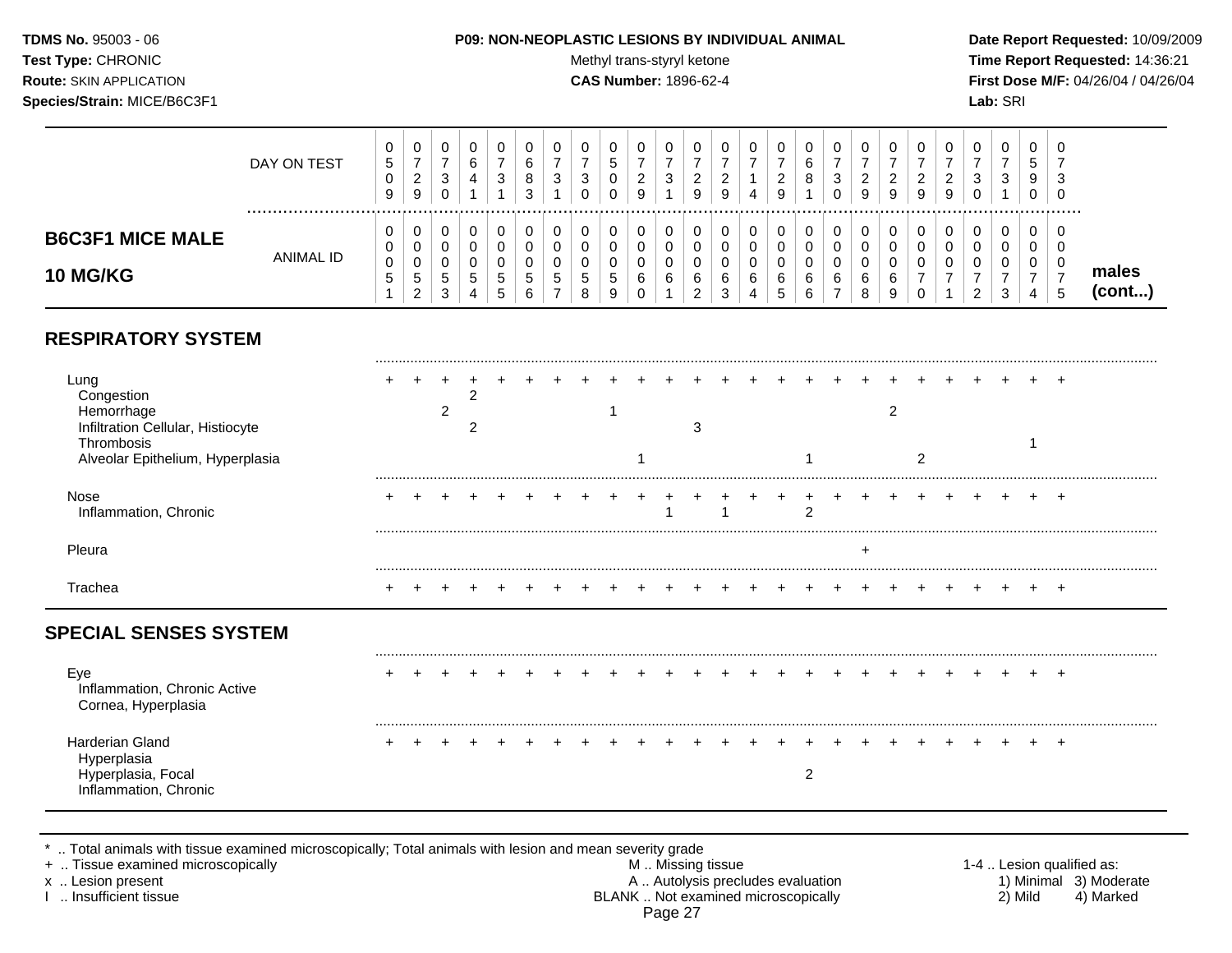#### **TDMS No.** 95003 - 06 **P09: NON-NEOPLASTIC LESIONS BY INDIVIDUAL ANIMAL Date Report Requested:** 10/09/2009

Test Type: CHRONIC **Test Type:** CHRONIC **Test Type:** CHRONIC **Time Report Requested:** 14:36:21 **Route:** SKIN APPLICATION **CAS Number:** 1896-62-4 **First Dose M/F:** 04/26/04 / 04/26/04

|                         | DAY ON TEST      | 0<br><sub>5</sub><br>0<br>9 | 0<br>-<br>ົ<br>$\sim$<br>9 | ◡<br>3                   |    | υ<br>3       | 6<br>8<br>ີ |                               | U<br>3<br>υ | U<br>đ<br>0<br>0 | U<br><u>_</u><br>9 | v<br>9 | 9      | u      | υ<br>9 | 6<br>8      | υ<br>3 | -9 | 9      | υ<br>9 | u<br>∼<br>9 | ν | د. | v<br>5<br>9<br>U | - 0<br>-3<br>- 0 |                 |
|-------------------------|------------------|-----------------------------|----------------------------|--------------------------|----|--------------|-------------|-------------------------------|-------------|------------------|--------------------|--------|--------|--------|--------|-------------|--------|----|--------|--------|-------------|---|----|------------------|------------------|-----------------|
| <b>B6C3F1 MICE MALE</b> |                  | 0<br>0                      | 0<br>0                     |                          |    |              |             |                               | 0<br>ν      | 0<br>0           | 0                  |        |        | u      | υ      |             |        |    |        | 0      | u           |   |    | 0<br>v           | - 0              |                 |
| <b>10 MG/KG</b>         | <b>ANIMAL ID</b> | 0<br>G                      | 0<br>5<br>ົ<br><u>_</u>    | ◡<br><sub>5</sub><br>- 0 | ರಿ | 0<br>.5<br>◡ | đ<br>6      | J<br>$\overline{\phantom{a}}$ | ν<br>ა<br>8 | 0<br>đ<br>a      | 6                  | 6      | 6<br>ັ | u<br>6 | v<br>6 | 6<br>$\sim$ | 6<br>- |    | 6<br>9 |        | u           | v |    | U                |                  | males<br>(cont) |

# **RESPIRATORY SYSTEM**

| Lung<br>Congestion<br>Hemorrhage<br>Infiltration Cellular, Histiocyte<br>Thrombosis<br>Alveolar Epithelium, Hyperplasia |  | 2 |  |  |  |  | 3 |  |                |  | $\overline{2}$ | 2 |  |  |  |  |
|-------------------------------------------------------------------------------------------------------------------------|--|---|--|--|--|--|---|--|----------------|--|----------------|---|--|--|--|--|
| Nose<br>Inflammation, Chronic                                                                                           |  |   |  |  |  |  |   |  | $\overline{2}$ |  |                |   |  |  |  |  |
| Pleura                                                                                                                  |  |   |  |  |  |  |   |  |                |  |                |   |  |  |  |  |
| Trachea                                                                                                                 |  |   |  |  |  |  |   |  |                |  |                |   |  |  |  |  |
| <b>SPECIAL SENSES SYSTEM</b>                                                                                            |  |   |  |  |  |  |   |  |                |  |                |   |  |  |  |  |
| Eye<br>Inflammation, Chronic Active<br>Cornea, Hyperplasia                                                              |  |   |  |  |  |  |   |  |                |  |                |   |  |  |  |  |
| Harderian Gland<br>Hyperplasia<br>Hyperplasia, Focal<br>Inflammation, Chronic                                           |  |   |  |  |  |  |   |  | 2              |  |                |   |  |  |  |  |

\* .. Total animals with tissue examined microscopically; Total animals with lesion and mean severity grade<br>+ .. Tissue examined microscopically

+ .. Tissue examined microscopically examined microscopically the state of the state of the state of the state of the M .. Missing tissue M .. Missing tissue and the M .. Missing tissue the matter of the M .. Autolysis pre x .. Lesion present **A .. Autolysis precludes evaluation** A .. Autolysis precludes evaluation 1) Minimal 3) Moderate I .. Insufficient tissue BLANK .. Not examined microscopically 2) Mild 4) Marked Page 27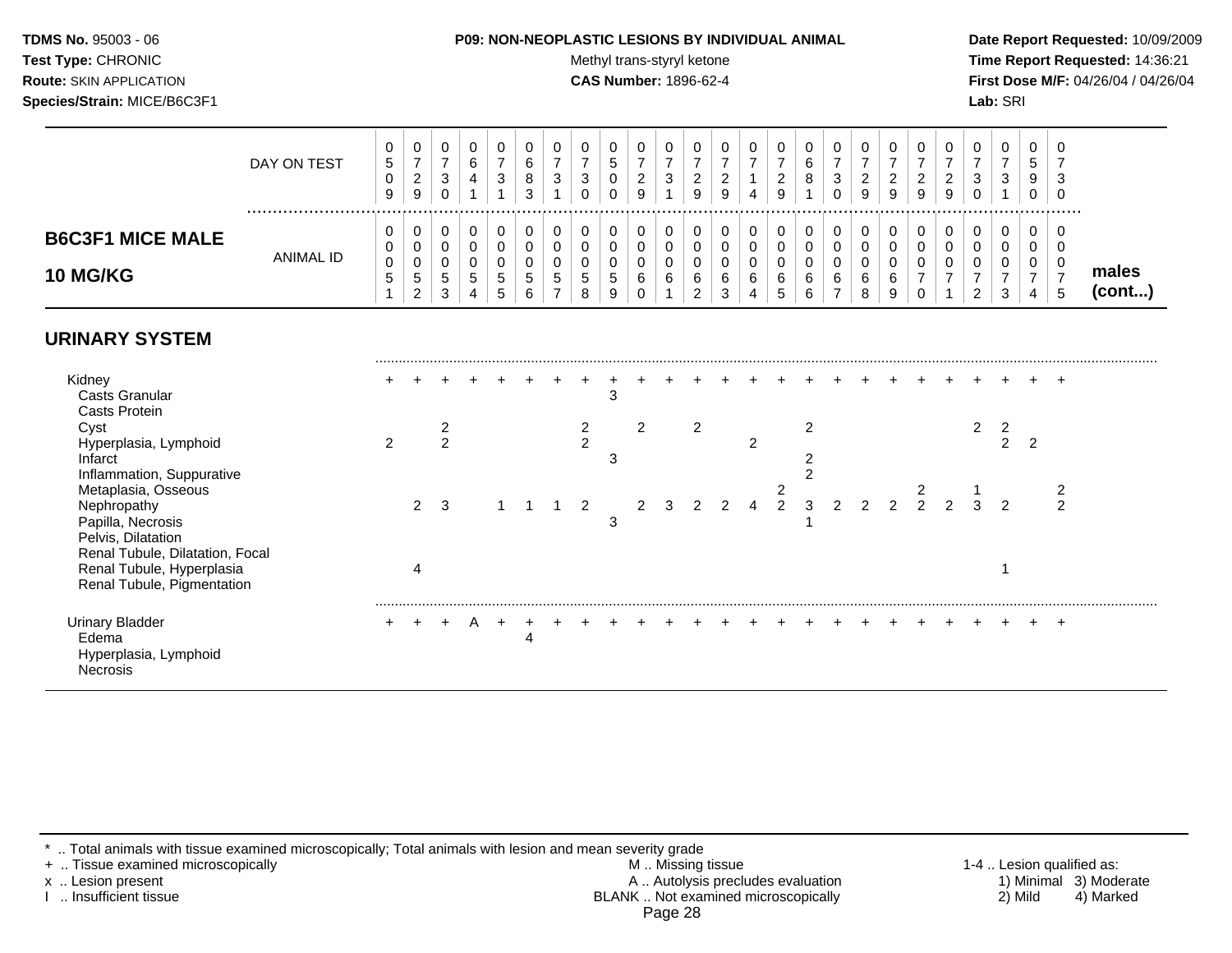#### **TDMS No.** 95003 - 06 **P09: NON-NEOPLASTIC LESIONS BY INDIVIDUAL ANIMAL Date Report Requested:** 10/09/2009

Test Type: CHRONIC **Test Type:** CHRONIC **Test Type:** CHRONIC **Time Report Requested:** 14:36:21 **Route:** SKIN APPLICATION **CAS Number:** 1896-62-4 **First Dose M/F:** 04/26/04 / 04/26/04

|                                            | DAY ON TEST | υ<br>5<br>0<br>9 | 0<br>–<br>2<br>9      | 0<br>3                | 0<br>6<br>4      | 0<br>3                | 0<br>6<br>8<br>3 | U<br>3 | υ<br>3       | 0<br>đ<br>0 | 0<br>2<br>9      | U<br>3 | 0<br>2<br>9           | υ<br>2<br>9 |   | 0<br>⌒<br>∼<br>9      | 0<br>6<br>8           | U<br>3<br>0 | υ<br>2<br>9 | ∠<br>9 | O<br>∠<br>9 | U<br>▵<br>9 | 0<br>3<br>0      | 0<br>3           | 9 | U<br>-0<br>0 |                       |
|--------------------------------------------|-------------|------------------|-----------------------|-----------------------|------------------|-----------------------|------------------|--------|--------------|-------------|------------------|--------|-----------------------|-------------|---|-----------------------|-----------------------|-------------|-------------|--------|-------------|-------------|------------------|------------------|---|--------------|-----------------------|
| <b>B6C3F1 MICE MALE</b><br><b>10 MG/KG</b> | ANIMAL ID   | 0<br>G           | 0<br>0<br>0<br>5<br>2 | 0<br>0<br>0<br>5<br>3 | 0<br>υ<br>5<br>4 | 0<br>0<br>0<br>5<br>5 | 0<br>υ<br>5<br>6 | u<br>đ | v<br>.5<br>8 | 5<br>9      | 0<br>0<br>0<br>6 | U<br>6 | 0<br>0<br>U<br>6<br>2 | U<br>6<br>3 | 6 | 0<br>0<br>0<br>6<br>5 | 0<br>0<br>0<br>6<br>6 | 0<br>U<br>6 | ν<br>6<br>8 | 6<br>9 | u           |             | 0<br>0<br>υ<br>2 | 0<br>0<br>0<br>3 |   | <br>U        | males<br>$($ cont $)$ |
| <b>URINARY SYSTEM</b>                      |             |                  |                       |                       |                  |                       |                  |        |              |             |                  |        |                       |             |   |                       |                       |             |             |        |             |             |                  |                  |   |              |                       |
| Kidney<br>Caste Granular                   |             |                  |                       |                       |                  |                       |                  |        |              | -2          |                  |        |                       |             |   |                       |                       |             |             |        |             |             |                  |                  |   |              |                       |

| <b>Casts Granular</b>           |               |   |   |  |   |  | 3 |  |                |                |   |   |  |  |  |   |   |                |  |
|---------------------------------|---------------|---|---|--|---|--|---|--|----------------|----------------|---|---|--|--|--|---|---|----------------|--|
| <b>Casts Protein</b>            |               |   |   |  |   |  |   |  |                |                |   |   |  |  |  |   |   |                |  |
| Cyst                            |               |   |   |  |   |  |   |  | $\overline{2}$ |                |   | ົ |  |  |  |   |   |                |  |
| Hyperplasia, Lymphoid           | $\mathcal{P}$ |   | C |  |   |  |   |  |                | $\overline{2}$ |   |   |  |  |  |   | っ |                |  |
| Infarct                         |               |   |   |  |   |  | З |  |                |                |   |   |  |  |  |   |   |                |  |
| Inflammation, Suppurative       |               |   |   |  |   |  |   |  |                |                |   |   |  |  |  |   |   |                |  |
| Metaplasia, Osseous             |               |   |   |  |   |  |   |  |                |                | ົ |   |  |  |  |   |   |                |  |
| Nephropathy                     |               | 2 | 3 |  |   |  |   |  |                |                | 2 | 3 |  |  |  | 2 |   | $\overline{2}$ |  |
| Papilla, Necrosis               |               |   |   |  |   |  | 3 |  |                |                |   |   |  |  |  |   |   |                |  |
| Pelvis, Dilatation              |               |   |   |  |   |  |   |  |                |                |   |   |  |  |  |   |   |                |  |
| Renal Tubule, Dilatation, Focal |               |   |   |  |   |  |   |  |                |                |   |   |  |  |  |   |   |                |  |
| Renal Tubule, Hyperplasia       |               | 4 |   |  |   |  |   |  |                |                |   |   |  |  |  |   |   |                |  |
| Renal Tubule, Pigmentation      |               |   |   |  |   |  |   |  |                |                |   |   |  |  |  |   |   |                |  |
|                                 |               |   |   |  |   |  |   |  |                |                |   |   |  |  |  |   |   |                |  |
| <b>Urinary Bladder</b>          |               |   |   |  |   |  |   |  |                |                |   |   |  |  |  |   |   |                |  |
| Edema                           |               |   |   |  | 4 |  |   |  |                |                |   |   |  |  |  |   |   |                |  |
| Hyperplasia, Lymphoid           |               |   |   |  |   |  |   |  |                |                |   |   |  |  |  |   |   |                |  |
| <b>Necrosis</b>                 |               |   |   |  |   |  |   |  |                |                |   |   |  |  |  |   |   |                |  |
|                                 |               |   |   |  |   |  |   |  |                |                |   |   |  |  |  |   |   |                |  |

\* .. Total animals with tissue examined microscopically; Total animals with lesion and mean severity grade

+ .. Tissue examined microscopically M .. Missing tissue 1-4 .. Lesion qualified as: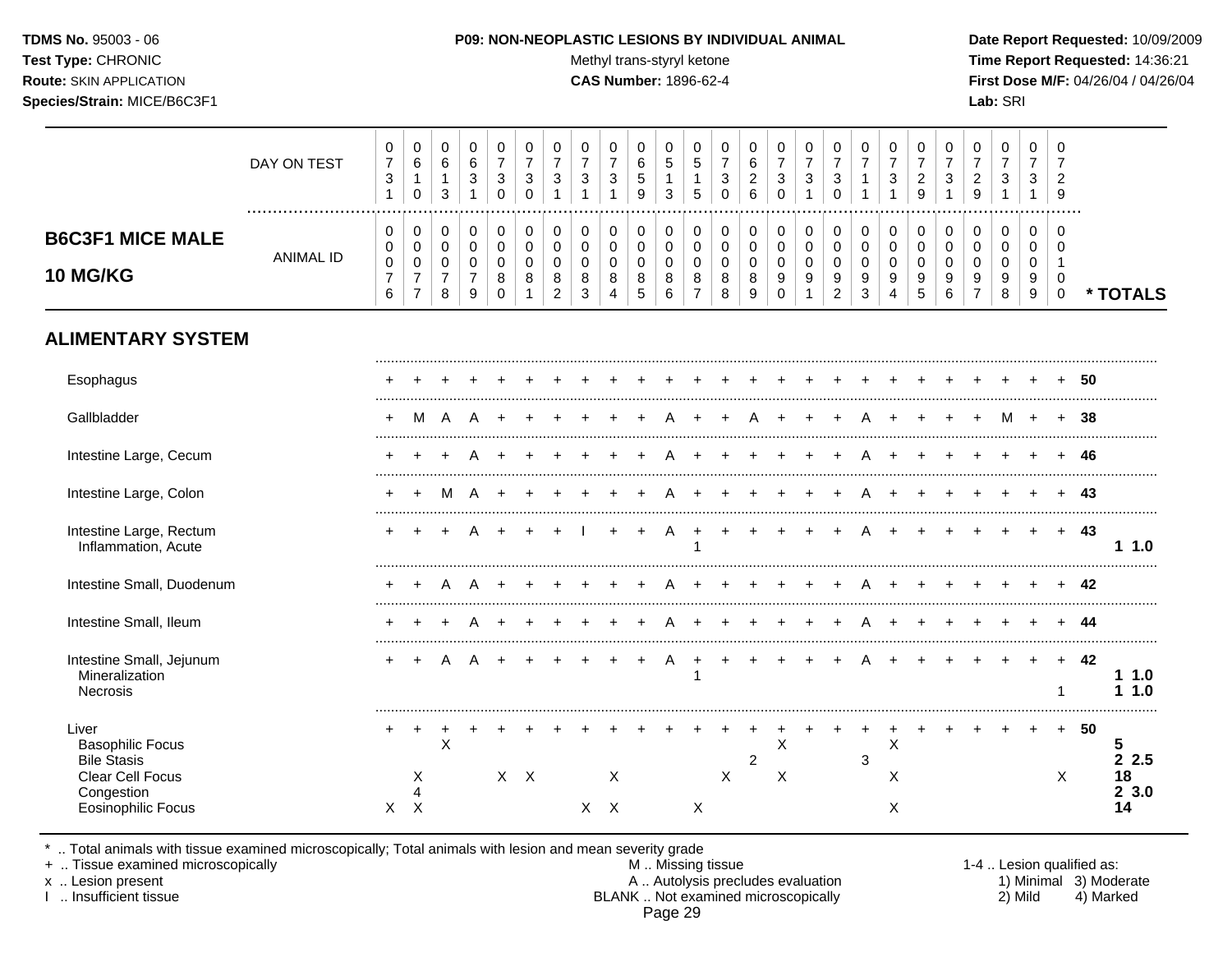TDMS No. 95003 - 06 Test Type: CHRONIC **Route: SKIN APPLICATION** Species/Strain: MICE/B6C3F1

#### P09: NON-NEOPLASTIC LESIONS BY INDIVIDUAL ANIMAL

Methyl trans-styryl ketone

**CAS Number: 1896-62-4** 

Date Report Requested: 10/09/2009 Time Report Requested: 14:36:21 First Dose M/F: 04/26/04 / 04/26/04 Lab: SRI

|                                                                                          | DAY ON TEST      | 0<br>$\overline{7}$<br>$\sqrt{3}$<br>$\mathbf{1}$ | $\pmb{0}$<br>$\,6$<br>$\mathbf{1}$<br>$\mathbf 0$                           | 0<br>$\,6\,$<br>$\mathbf{1}$<br>$\mathbf{3}$ | $\pmb{0}$<br>$\,6$<br>$\ensuremath{\mathsf{3}}$<br>$\mathbf{1}$ | $\mathbf 0$<br>$\overline{7}$<br>$\mathbf{3}$<br>$\mathbf 0$ | 0<br>$\overline{7}$<br>$\sqrt{3}$<br>$\Omega$      | $\mathbf 0$<br>$\overline{7}$<br>$\sqrt{3}$                    | $\pmb{0}$<br>$\overline{7}$<br>$\mathbf{3}$<br>$\mathbf{1}$ | 0<br>$\overline{7}$<br>$\mathbf{3}$<br>$\mathbf{1}$ | 0<br>6<br>$\sqrt{5}$<br>9                             | 0<br>5<br>$\mathbf{1}$<br>3               | 0<br>$\sqrt{5}$<br>$\mathbf{1}$<br>5       | 0<br>$\overline{7}$<br>$\sqrt{3}$<br>$\mathbf 0$ | $\mathbf 0$<br>6<br>$\overline{c}$<br>$\,6$ | 0<br>$\overline{7}$<br>$\ensuremath{\mathsf{3}}$<br>$\mathbf 0$ | $\mathbf 0$<br>$\overline{7}$<br>$\sqrt{3}$<br>$\mathbf{1}$ | 0<br>$\overline{7}$<br>$\ensuremath{\mathsf{3}}$<br>$\mathbf 0$ | $\mathbf 0$<br>$\overline{7}$<br>$\mathbf{1}$<br>$\mathbf{1}$ | 0<br>$\overline{7}$<br>$\mathbf{3}$<br>1             | 0<br>$\overline{7}$<br>$\overline{c}$<br>9 | 0<br>$\overline{7}$<br>$\mathbf{3}$<br>1 | 0<br>$\overline{7}$<br>$\overline{a}$<br>9 | $\mathbf 0$<br>$\overline{7}$<br>$\sqrt{3}$<br>$\mathbf{1}$ | $\mathbf 0$<br>$\overline{7}$<br>3<br>$\mathbf{1}$ | 0<br>7<br>$\overline{2}$<br>9<br>. |      |                        |
|------------------------------------------------------------------------------------------|------------------|---------------------------------------------------|-----------------------------------------------------------------------------|----------------------------------------------|-----------------------------------------------------------------|--------------------------------------------------------------|----------------------------------------------------|----------------------------------------------------------------|-------------------------------------------------------------|-----------------------------------------------------|-------------------------------------------------------|-------------------------------------------|--------------------------------------------|--------------------------------------------------|---------------------------------------------|-----------------------------------------------------------------|-------------------------------------------------------------|-----------------------------------------------------------------|---------------------------------------------------------------|------------------------------------------------------|--------------------------------------------|------------------------------------------|--------------------------------------------|-------------------------------------------------------------|----------------------------------------------------|------------------------------------|------|------------------------|
| <b>B6C3F1 MICE MALE</b><br><b>10 MG/KG</b>                                               | <b>ANIMAL ID</b> | 0<br>0<br>$\,0\,$<br>$\overline{7}$<br>6          | $\mathbf 0$<br>$\mathbf 0$<br>$\pmb{0}$<br>$\overline{7}$<br>$\overline{7}$ | 0<br>$\mathbf 0$<br>0<br>$\overline{7}$<br>8 | $\pmb{0}$<br>$\mathbf 0$<br>$\pmb{0}$<br>$\overline{7}$<br>9    | $\pmb{0}$<br>$\mathbf 0$<br>0<br>8<br>$\mathbf 0$            | $\pmb{0}$<br>$\mathbf 0$<br>0<br>8<br>$\mathbf{1}$ | $\pmb{0}$<br>$\mathbf 0$<br>$\mathbf 0$<br>8<br>$\overline{c}$ | 0<br>0<br>0<br>8<br>3                                       | 0<br>0<br>$\mathbf 0$<br>8<br>$\overline{4}$        | 0<br>$\mathbf 0$<br>$\pmb{0}$<br>8<br>$5\phantom{.0}$ | 0<br>$\mathbf 0$<br>$\mathbf 0$<br>8<br>6 | $\pmb{0}$<br>0<br>0<br>8<br>$\overline{7}$ | 0<br>$\mathbf 0$<br>0<br>8<br>8                  | 0<br>$\mathsf 0$<br>0<br>8<br>9             | 0<br>$\pmb{0}$<br>$\pmb{0}$<br>9<br>$\mathbf 0$                 | 0<br>$\mathbf 0$<br>$\pmb{0}$<br>9<br>$\mathbf{1}$          | $\,0\,$<br>$\pmb{0}$<br>$\,0\,$<br>9<br>$\overline{c}$          | $\pmb{0}$<br>$\mathbf 0$<br>0<br>9<br>$\sqrt{3}$              | $\pmb{0}$<br>$\mathbf 0$<br>0<br>9<br>$\overline{4}$ | 0<br>$\mathbf 0$<br>0<br>9<br>$\sqrt{5}$   | 0<br>0<br>0<br>9<br>6                    | 0<br>0<br>0<br>9<br>$\overline{7}$         | 0<br>$\mathbf 0$<br>$\mathbf 0$<br>9<br>8                   | 0<br>$\mathbf 0$<br>0<br>9<br>9                    | 0<br>$\Omega$<br>0<br>$\mathbf 0$  |      | * TOTALS               |
| <b>ALIMENTARY SYSTEM</b>                                                                 |                  |                                                   |                                                                             |                                              |                                                                 |                                                              |                                                    |                                                                |                                                             |                                                     |                                                       |                                           |                                            |                                                  |                                             |                                                                 |                                                             |                                                                 |                                                               |                                                      |                                            |                                          |                                            |                                                             |                                                    |                                    |      |                        |
| Esophagus                                                                                |                  |                                                   |                                                                             |                                              |                                                                 |                                                              |                                                    |                                                                |                                                             |                                                     |                                                       |                                           |                                            |                                                  |                                             |                                                                 |                                                             |                                                                 |                                                               |                                                      |                                            |                                          |                                            |                                                             |                                                    |                                    | 50   |                        |
| Gallbladder                                                                              |                  | $\ddot{}$                                         | м                                                                           | A                                            | A                                                               |                                                              |                                                    |                                                                |                                                             |                                                     |                                                       |                                           |                                            |                                                  |                                             |                                                                 |                                                             |                                                                 |                                                               |                                                      |                                            |                                          | $\ddot{}$                                  | м                                                           |                                                    | $\ddot{}$                          | 38   |                        |
| Intestine Large, Cecum                                                                   |                  |                                                   |                                                                             |                                              |                                                                 |                                                              |                                                    |                                                                |                                                             |                                                     |                                                       |                                           |                                            |                                                  |                                             |                                                                 |                                                             |                                                                 |                                                               |                                                      |                                            |                                          |                                            |                                                             |                                                    |                                    | 46   |                        |
| Intestine Large, Colon                                                                   |                  |                                                   | $\ddot{}$                                                                   | M                                            | A                                                               |                                                              |                                                    |                                                                |                                                             |                                                     |                                                       |                                           |                                            |                                                  |                                             |                                                                 |                                                             |                                                                 |                                                               |                                                      |                                            |                                          |                                            |                                                             |                                                    |                                    | 43   |                        |
| Intestine Large, Rectum<br>Inflammation, Acute                                           |                  |                                                   |                                                                             |                                              |                                                                 |                                                              |                                                    |                                                                |                                                             |                                                     |                                                       | A                                         |                                            |                                                  |                                             |                                                                 |                                                             | $\div$                                                          | А                                                             |                                                      |                                            |                                          |                                            |                                                             | $\div$                                             | $+$                                | 43   | 11.0                   |
| Intestine Small, Duodenum                                                                |                  | ٠                                                 |                                                                             | A                                            | A                                                               |                                                              |                                                    |                                                                |                                                             |                                                     |                                                       |                                           |                                            |                                                  |                                             |                                                                 |                                                             |                                                                 |                                                               |                                                      |                                            |                                          |                                            |                                                             |                                                    |                                    | 42   |                        |
| Intestine Small, Ileum                                                                   |                  |                                                   |                                                                             |                                              |                                                                 |                                                              |                                                    |                                                                |                                                             |                                                     |                                                       |                                           |                                            |                                                  |                                             |                                                                 |                                                             |                                                                 |                                                               |                                                      |                                            |                                          |                                            |                                                             |                                                    |                                    | -44  |                        |
| Intestine Small, Jejunum<br>Mineralization<br>Necrosis                                   |                  | $+$                                               | $\ddot{}$                                                                   | A                                            | A                                                               |                                                              |                                                    |                                                                |                                                             |                                                     |                                                       | A                                         | ÷                                          |                                                  | $\ddot{}$                                   | $\ddot{}$                                                       |                                                             | $\div$                                                          |                                                               |                                                      |                                            |                                          |                                            | $\ddot{}$                                                   | $+$                                                | $+$<br>1                           | - 42 | 11.0<br>1.10           |
| Liver<br><b>Basophilic Focus</b><br><b>Bile Stasis</b><br>Clear Cell Focus<br>Congestion |                  | +                                                 | +<br>Χ<br>4                                                                 | $\mathsf X$                                  |                                                                 |                                                              | $X$ $X$                                            |                                                                |                                                             | X                                                   |                                                       |                                           |                                            | $\mathsf{X}$                                     | $\boldsymbol{2}$                            | X<br>X                                                          |                                                             |                                                                 | 3                                                             | Χ<br>Χ                                               |                                            |                                          |                                            |                                                             |                                                    | $+$<br>X                           | 50   | 5<br>2.5<br>18<br>23.0 |
| <b>Eosinophilic Focus</b>                                                                |                  | $\times$                                          | X                                                                           |                                              |                                                                 |                                                              |                                                    |                                                                |                                                             | $X$ $X$                                             |                                                       |                                           | X                                          |                                                  |                                             |                                                                 |                                                             |                                                                 |                                                               | X                                                    |                                            |                                          |                                            |                                                             |                                                    |                                    |      | 14                     |

\* .. Total animals with tissue examined microscopically; Total animals with lesion and mean severity grade + .. Tissue examined microscopically

x .. Lesion present

I .. Insufficient tissue

M .. Missing tissue A .. Autolysis precludes evaluation<br>BLANK .. Not examined microscopically Page 29

1-4 .. Lesion qualified as: 1) Minimal 3) Moderate 2) Mild 4) Marked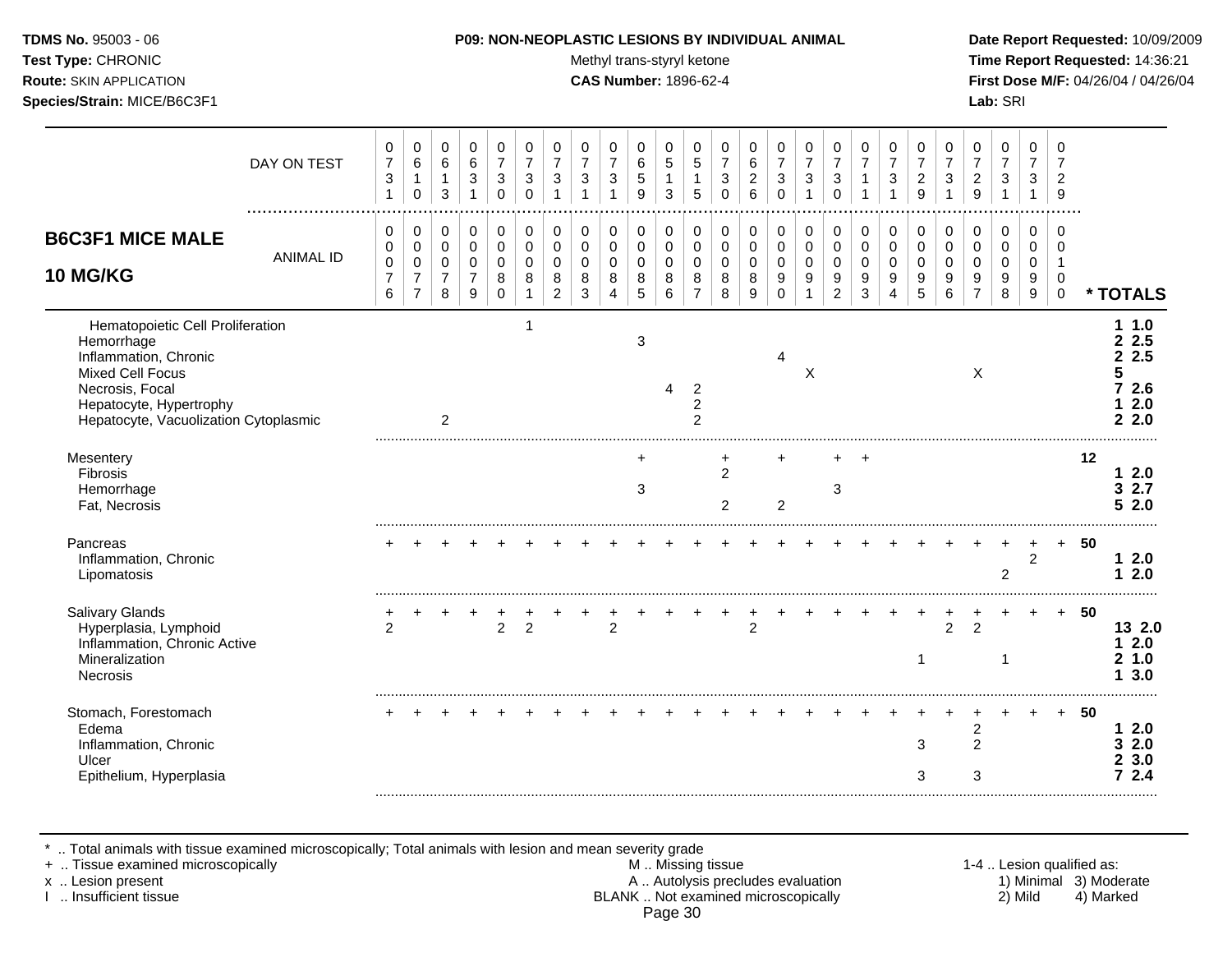#### **TDMS No.** 95003 - 06 **P09: NON-NEOPLASTIC LESIONS BY INDIVIDUAL ANIMAL Date Report Requested:** 10/09/2009

Test Type: CHRONIC **Test Type:** CHRONIC **Test Type:** CHRONIC **Time Report Requested:** 14:36:21 **Route:** SKIN APPLICATION **CAS Number:** 1896-62-4 **First Dose M/F:** 04/26/04 / 04/26/04

|                                                                                                                                                                                    | DAY ON TEST      | 0<br>$\overline{7}$<br>$\sqrt{3}$ | 0<br>$\,6$<br>$\mathbf{1}$<br>$\mathbf 0$               | 0<br>$\,6\,$<br>$\mathbf{1}$<br>3            | 0<br>$\,6$<br>3<br>$\mathbf{1}$                        | 0<br>$\overline{7}$<br>3<br>$\Omega$           | 0<br>$\overline{7}$<br>3<br>$\Omega$ | 0<br>$\overline{7}$<br>3<br>1          | 0<br>$\overline{7}$<br>3               | 0<br>$\overline{7}$<br>3           | 0<br>$\,6$<br>$\sqrt{5}$<br>9  | 0<br>5<br>$\mathbf{1}$<br>3     | 0<br>$\sqrt{5}$<br>$\mathbf{1}$<br>5       | 0<br>$\overline{7}$<br>3<br>$\Omega$      | 0<br>6<br>$\overline{2}$<br>6   | 0<br>$\overline{7}$<br>3<br>$\Omega$   | 0<br>$\overline{7}$<br>3             | 0<br>$\overline{7}$<br>$\mathbf{3}$<br>$\Omega$ | 0<br>$\overline{7}$<br>1<br>$\mathbf{1}$           | 0<br>$\overline{7}$<br>$\ensuremath{\mathsf{3}}$       | 0<br>$\overline{7}$<br>$\overline{c}$<br>9 | 0<br>$\overline{7}$<br>3               | 0<br>$\overline{7}$<br>$\overline{2}$<br>9   | 0<br>$\overline{7}$<br>3        | 0<br>$\overline{7}$<br>3        | 0<br>7<br>$\overline{2}$<br>9                           |    |                                                     |
|------------------------------------------------------------------------------------------------------------------------------------------------------------------------------------|------------------|-----------------------------------|---------------------------------------------------------|----------------------------------------------|--------------------------------------------------------|------------------------------------------------|--------------------------------------|----------------------------------------|----------------------------------------|------------------------------------|--------------------------------|---------------------------------|--------------------------------------------|-------------------------------------------|---------------------------------|----------------------------------------|--------------------------------------|-------------------------------------------------|----------------------------------------------------|--------------------------------------------------------|--------------------------------------------|----------------------------------------|----------------------------------------------|---------------------------------|---------------------------------|---------------------------------------------------------|----|-----------------------------------------------------|
| <b>B6C3F1 MICE MALE</b><br><b>10 MG/KG</b>                                                                                                                                         | <b>ANIMAL ID</b> | 0<br>0<br>0<br>7<br>6             | 0<br>0<br>$\pmb{0}$<br>$\overline{7}$<br>$\overline{7}$ | 0<br>$\mathsf 0$<br>0<br>$\overline{7}$<br>8 | 0<br>$\mathbf 0$<br>$\mathbf 0$<br>$\overline{7}$<br>9 | 0<br>$\pmb{0}$<br>$\mathbf 0$<br>8<br>$\Omega$ | 0<br>$\mathbf 0$<br>0<br>8           | 0<br>$\mathbf 0$<br>$\Omega$<br>8<br>2 | 0<br>$\mathbf 0$<br>$\Omega$<br>8<br>3 | 0<br>0<br>0<br>8<br>$\overline{4}$ | 0<br>0<br>0<br>8<br>$\sqrt{5}$ | 0<br>$\mathbf 0$<br>0<br>8<br>6 | 0<br>0<br>$\pmb{0}$<br>8<br>$\overline{7}$ | 0<br>$\mathbf 0$<br>$\mathbf 0$<br>8<br>8 | 0<br>0<br>$\mathbf 0$<br>8<br>9 | 0<br>$\mathbf 0$<br>0<br>9<br>$\Omega$ | 0<br>$\mathbf 0$<br>$\mathbf 0$<br>9 | 0<br>$\mathbf 0$<br>0<br>9<br>$\overline{c}$    | 0<br>$\mathbf 0$<br>$\mathbf 0$<br>9<br>$\sqrt{3}$ | 0<br>$\mathbf 0$<br>$\mathbf 0$<br>9<br>$\overline{4}$ | 0<br>$\mathbf 0$<br>0<br>9<br>5            | 0<br>$\mathbf 0$<br>$\Omega$<br>9<br>6 | 0<br>$\mathbf 0$<br>0<br>9<br>$\overline{7}$ | 0<br>$\mathbf 0$<br>0<br>9<br>8 | 0<br>$\mathbf 0$<br>0<br>9<br>9 | $\Omega$<br>$\Omega$<br>1<br>$\mathbf 0$<br>$\mathbf 0$ |    | * TOTALS                                            |
| Hematopoietic Cell Proliferation<br>Hemorrhage<br>Inflammation, Chronic<br>Mixed Cell Focus<br>Necrosis, Focal<br>Hepatocyte, Hypertrophy<br>Hepatocyte, Vacuolization Cytoplasmic |                  |                                   |                                                         | $\overline{2}$                               |                                                        |                                                | -1                                   |                                        |                                        |                                    | 3                              | 4                               | 2<br>$\overline{2}$<br>$\overline{2}$      |                                           |                                 | 4                                      | X                                    |                                                 |                                                    |                                                        |                                            |                                        | X                                            |                                 |                                 |                                                         |    | 11.0<br>2.5<br>2.5<br>5<br>2.6<br>2.0<br>1<br>2.2.0 |
| Mesentery<br>Fibrosis<br>Hemorrhage<br>Fat, Necrosis                                                                                                                               |                  |                                   |                                                         |                                              |                                                        |                                                |                                      |                                        |                                        |                                    | +<br>3                         |                                 |                                            | +<br>$\overline{c}$<br>$\overline{2}$     |                                 | +<br>$\overline{2}$                    |                                      | $^+$<br>3                                       | $+$                                                |                                                        |                                            |                                        |                                              |                                 |                                 |                                                         | 12 | 12.0<br>32.7<br>52.0                                |
| Pancreas<br>Inflammation, Chronic<br>Lipomatosis                                                                                                                                   |                  |                                   |                                                         |                                              |                                                        |                                                |                                      |                                        |                                        |                                    |                                |                                 |                                            |                                           |                                 |                                        |                                      |                                                 |                                                    |                                                        |                                            |                                        |                                              | $\overline{2}$                  | 2                               |                                                         | 50 | $12.0$<br>2.0<br>1                                  |
| <b>Salivary Glands</b><br>Hyperplasia, Lymphoid<br>Inflammation, Chronic Active<br>Mineralization<br>Necrosis                                                                      |                  | 2                                 |                                                         |                                              |                                                        | $\overline{2}$                                 | $\overline{2}$                       |                                        |                                        | $\overline{2}$                     |                                |                                 |                                            |                                           | $\overline{c}$                  |                                        |                                      |                                                 |                                                    |                                                        | 1                                          | $\overline{2}$                         | $\mathfrak{p}$                               | 1                               |                                 | $+$                                                     | 50 | 13 2.0<br>$12.0$<br>21.0<br>3.0<br>1                |
| Stomach, Forestomach<br>Edema<br>Inflammation, Chronic<br>Ulcer<br>Epithelium, Hyperplasia                                                                                         |                  |                                   |                                                         |                                              |                                                        |                                                |                                      |                                        |                                        |                                    |                                |                                 |                                            |                                           |                                 |                                        |                                      |                                                 |                                                    |                                                        | 3<br>3                                     |                                        | $\overline{c}$<br>$\overline{2}$<br>3        |                                 |                                 | $+$                                                     | 50 | 12.0<br>2.0<br>3<br>3.0<br>$\mathbf{2}$<br>2.4<br>7 |

\* .. Total animals with tissue examined microscopically; Total animals with lesion and mean severity grade

+ .. Tissue examined microscopically M .. Missing tissue 1-4 .. Lesion qualified as: x .. Lesion present **A .. Autolysis precludes evaluation** A .. Autolysis precludes evaluation 1) Minimal 3) Moderate I .. Insufficient tissue BLANK .. Not examined microscopically 2) Mild 4) Marked Page 30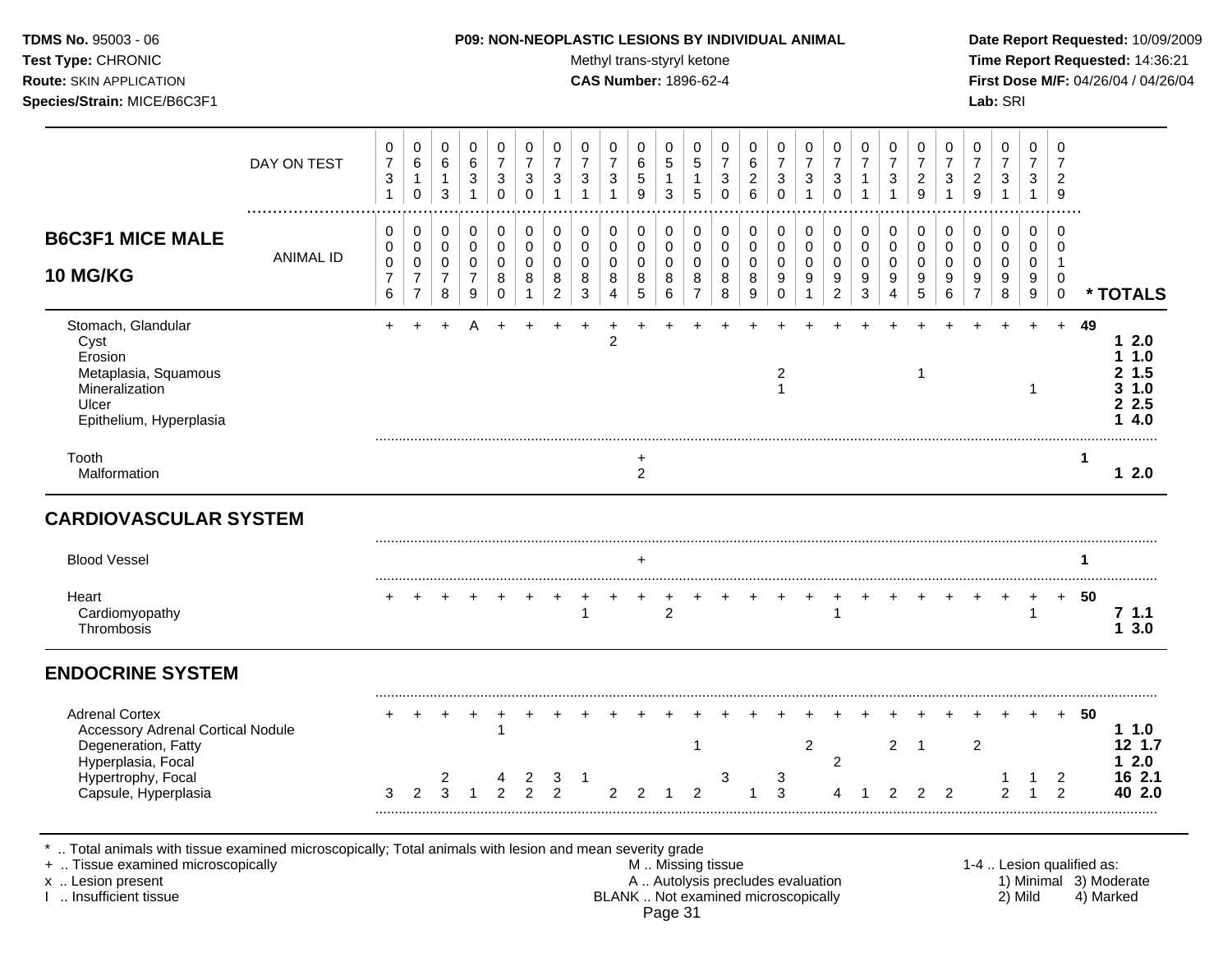Test Type: CHRONIC **Test Type:** CHRONIC **Test Type:** CHRONIC **Time Report Requested:** 14:36:21 **Route:** SKIN APPLICATION **CAS Number:** 1896-62-4 **First Dose M/F:** 04/26/04 / 04/26/04 **Species/Strain:** MICE/B6C3F1 **Lab:** SRI

|                                                                                                                                                                  | DAY ON TEST      | 0<br>$\overline{7}$<br>$\ensuremath{\mathsf{3}}$<br>$\overline{1}$ | 0<br>6<br>$\mathbf{1}$<br>0                             | 0<br>6<br>$\mathbf{1}$<br>$\mathfrak{S}$                  | 0<br>6<br>3<br>$\mathbf{1}$                            | 0<br>$\overline{7}$<br>3<br>0 | 0<br>$\overline{7}$<br>$\mathbf{3}$<br>$\mathbf 0$             | 0<br>$\overline{7}$<br>3<br>$\mathbf{1}$     | $\mathbf 0$<br>$\overline{7}$<br>3<br>1            | 0<br>$\overline{7}$<br>3<br>$\mathbf{1}$                        | $\mathbf 0$<br>6<br>$\,$ 5 $\,$<br>$\boldsymbol{9}$ | 0<br>5<br>$\mathbf{1}$<br>$\sqrt{3}$ | 0<br>5<br>1<br>5                   | 0<br>$\overline{7}$<br>3<br>$\mathbf 0$                | 0<br>6<br>$\overline{c}$<br>$6\phantom{1}6$   | 0<br>$\overline{7}$<br>$\ensuremath{\mathsf{3}}$<br>$\mathbf 0$  | 0<br>$\overline{7}$<br>$\sqrt{3}$<br>$\mathbf{1}$ | 0<br>$\overline{7}$<br>$\ensuremath{\mathsf{3}}$<br>$\mathbf 0$ | 0<br>$\overline{7}$<br>1<br>$\mathbf{1}$                          | 0<br>$\overline{7}$<br>3<br>$\mathbf{1}$ | 0<br>$\overline{7}$<br>$\overline{c}$<br>$\overline{9}$ | 0<br>$\overline{7}$<br>3<br>$\mathbf{1}$ | 0<br>$\overline{7}$<br>$\boldsymbol{2}$<br>9                   | 0<br>$\overline{7}$<br>$\ensuremath{\mathsf{3}}$<br>$\mathbf{1}$ | 0<br>$\overline{7}$<br>3<br>$\mathbf{1}$  | $\mathbf 0$<br>$\overline{7}$<br>$\overline{c}$<br>9          |                           |                                                      |
|------------------------------------------------------------------------------------------------------------------------------------------------------------------|------------------|--------------------------------------------------------------------|---------------------------------------------------------|-----------------------------------------------------------|--------------------------------------------------------|-------------------------------|----------------------------------------------------------------|----------------------------------------------|----------------------------------------------------|-----------------------------------------------------------------|-----------------------------------------------------|--------------------------------------|------------------------------------|--------------------------------------------------------|-----------------------------------------------|------------------------------------------------------------------|---------------------------------------------------|-----------------------------------------------------------------|-------------------------------------------------------------------|------------------------------------------|---------------------------------------------------------|------------------------------------------|----------------------------------------------------------------|------------------------------------------------------------------|-------------------------------------------|---------------------------------------------------------------|---------------------------|------------------------------------------------------|
| <b>B6C3F1 MICE MALE</b><br><b>10 MG/KG</b>                                                                                                                       | <b>ANIMAL ID</b> | 0<br>0<br>$\pmb{0}$<br>$\overline{7}$<br>$\,6$                     | 0<br>$\pmb{0}$<br>0<br>$\overline{7}$<br>$\overline{7}$ | 0<br>$\pmb{0}$<br>$\boldsymbol{0}$<br>$\overline{7}$<br>8 | 0<br>$\mathbf 0$<br>$\mathbf 0$<br>$\overline{7}$<br>9 | 0<br>0<br>0<br>8<br>0         | $\mathbf 0$<br>$\mathbf 0$<br>$\mathbf 0$<br>8<br>$\mathbf{1}$ | 0<br>0<br>$\mathbf 0$<br>8<br>$\overline{2}$ | 0<br>$\mathbf 0$<br>$\mathbf 0$<br>8<br>$\sqrt{3}$ | 0<br>$\mathbf 0$<br>$\mathbf 0$<br>8<br>$\overline{\mathbf{4}}$ | 0<br>0<br>$\boldsymbol{0}$<br>8<br>$\sqrt{5}$       | 0<br>$\mathbf 0$<br>0<br>8<br>$\,6$  | 0<br>0<br>0<br>8<br>$\overline{7}$ | $\mathbf 0$<br>0<br>0<br>8<br>8                        | 0<br>$\mathbf 0$<br>$\mathbf 0$<br>8<br>$9\,$ | 0<br>$\mathsf 0$<br>$\mathbf 0$<br>$\boldsymbol{9}$<br>$\pmb{0}$ | 0<br>$\mathsf{O}$<br>0<br>9<br>$\mathbf{1}$       | 0<br>$\mathsf{O}$<br>0<br>9<br>$\overline{a}$                   | 0<br>$\mathbf 0$<br>$\mathbf 0$<br>9<br>$\ensuremath{\mathsf{3}}$ | 0<br>0<br>$\mathbf 0$<br>9<br>4          | 0<br>0<br>$\mathbf 0$<br>9<br>5                         | 0<br>$\mathbf 0$<br>$\Omega$<br>9<br>6   | 0<br>$\pmb{0}$<br>$\mathbf 0$<br>$\mathsf g$<br>$\overline{7}$ | 0<br>0<br>0<br>9<br>$\bf 8$                                      | 0<br>$\mathbf 0$<br>$\mathbf 0$<br>9<br>9 | $\Omega$<br>$\mathbf 0$<br>$\overline{1}$<br>$\mathbf 0$<br>0 |                           | * TOTALS                                             |
| Stomach, Glandular<br>Cyst<br>Erosion<br>Metaplasia, Squamous<br>Mineralization<br>Ulcer<br>Epithelium, Hyperplasia                                              |                  | $+$                                                                |                                                         |                                                           |                                                        |                               |                                                                |                                              |                                                    | 2                                                               |                                                     |                                      |                                    |                                                        |                                               | 2<br>$\mathbf{1}$                                                |                                                   |                                                                 |                                                                   |                                          | 1                                                       |                                          |                                                                |                                                                  | $+$<br>-1                                 | $+$                                                           | 49                        | 12.0<br>11.0<br>1.5<br>2<br>31.0<br>2.5<br>4.0<br>1. |
| Tooth<br>Malformation                                                                                                                                            |                  |                                                                    |                                                         |                                                           |                                                        |                               |                                                                |                                              |                                                    |                                                                 | +<br>$\overline{2}$                                 |                                      |                                    |                                                        |                                               |                                                                  |                                                   |                                                                 |                                                                   |                                          |                                                         |                                          |                                                                |                                                                  |                                           |                                                               | $\mathbf{1}$              | 12.0                                                 |
| <b>CARDIOVASCULAR SYSTEM</b>                                                                                                                                     |                  |                                                                    |                                                         |                                                           |                                                        |                               |                                                                |                                              |                                                    |                                                                 |                                                     |                                      |                                    |                                                        |                                               |                                                                  |                                                   |                                                                 |                                                                   |                                          |                                                         |                                          |                                                                |                                                                  |                                           |                                                               |                           |                                                      |
| <b>Blood Vessel</b>                                                                                                                                              |                  |                                                                    |                                                         |                                                           |                                                        |                               |                                                                |                                              |                                                    |                                                                 | $\ddot{}$                                           |                                      |                                    |                                                        |                                               |                                                                  |                                                   |                                                                 |                                                                   |                                          |                                                         |                                          |                                                                |                                                                  |                                           |                                                               | 1                         |                                                      |
| Heart<br>Cardiomyopathy<br>Thrombosis                                                                                                                            |                  |                                                                    |                                                         |                                                           |                                                        |                               |                                                                |                                              | 1                                                  |                                                                 |                                                     | $\overline{c}$                       |                                    |                                                        |                                               |                                                                  |                                                   | 1                                                               |                                                                   |                                          |                                                         |                                          |                                                                | $\ddot{}$                                                        | $\ddot{}$                                 | $+$                                                           | 50                        | 7.1.1<br>13.0                                        |
| <b>ENDOCRINE SYSTEM</b>                                                                                                                                          |                  |                                                                    |                                                         |                                                           |                                                        |                               |                                                                |                                              |                                                    |                                                                 |                                                     |                                      |                                    |                                                        |                                               |                                                                  |                                                   |                                                                 |                                                                   |                                          |                                                         |                                          |                                                                |                                                                  |                                           |                                                               |                           |                                                      |
| <b>Adrenal Cortex</b><br><b>Accessory Adrenal Cortical Nodule</b><br>Degeneration, Fatty<br>Hyperplasia, Focal                                                   |                  |                                                                    |                                                         |                                                           |                                                        | 1                             |                                                                |                                              |                                                    |                                                                 |                                                     |                                      | -1                                 |                                                        |                                               |                                                                  | $\overline{2}$                                    | $\overline{c}$                                                  |                                                                   | $\overline{2}$                           | $\overline{1}$                                          |                                          | $\overline{2}$                                                 |                                                                  |                                           |                                                               | 50                        | 11.0<br>12 1.7<br>12.0                               |
| Hypertrophy, Focal<br>Capsule, Hyperplasia                                                                                                                       |                  | 3                                                                  | 2                                                       | 2<br>3                                                    | 1                                                      | 4<br>$\overline{2}$           | 2<br>$\mathcal{P}$                                             | 3<br>$\mathcal{P}$                           | $\mathbf 1$                                        | $\overline{2}$                                                  | 2                                                   |                                      | 2                                  | 3                                                      |                                               | 3<br>3                                                           |                                                   |                                                                 |                                                                   | $\mathfrak{p}$                           | 2                                                       | $\mathcal{P}$                            |                                                                | $\mathfrak{p}$                                                   | 1                                         | $\overline{2}$<br>$\mathcal{P}$                               |                           | 16 2.1<br>40 2.0                                     |
| Total animals with tissue examined microscopically; Total animals with lesion and mean severity grade<br>+  Tissue examined microscopically<br>x  Lesion present |                  |                                                                    |                                                         |                                                           |                                                        |                               |                                                                |                                              |                                                    |                                                                 |                                                     |                                      |                                    | M. Missing tissue<br>A  Autolysis precludes evaluation |                                               |                                                                  |                                                   |                                                                 |                                                                   |                                          |                                                         |                                          |                                                                |                                                                  |                                           |                                                               | 1-4  Lesion qualified as: | 1) Minimal 3) Moderate                               |

I ... Insufficient tissue and the state of methods of the BLANK ... Not examined microscopically 2) Mild 4) Marked Page 31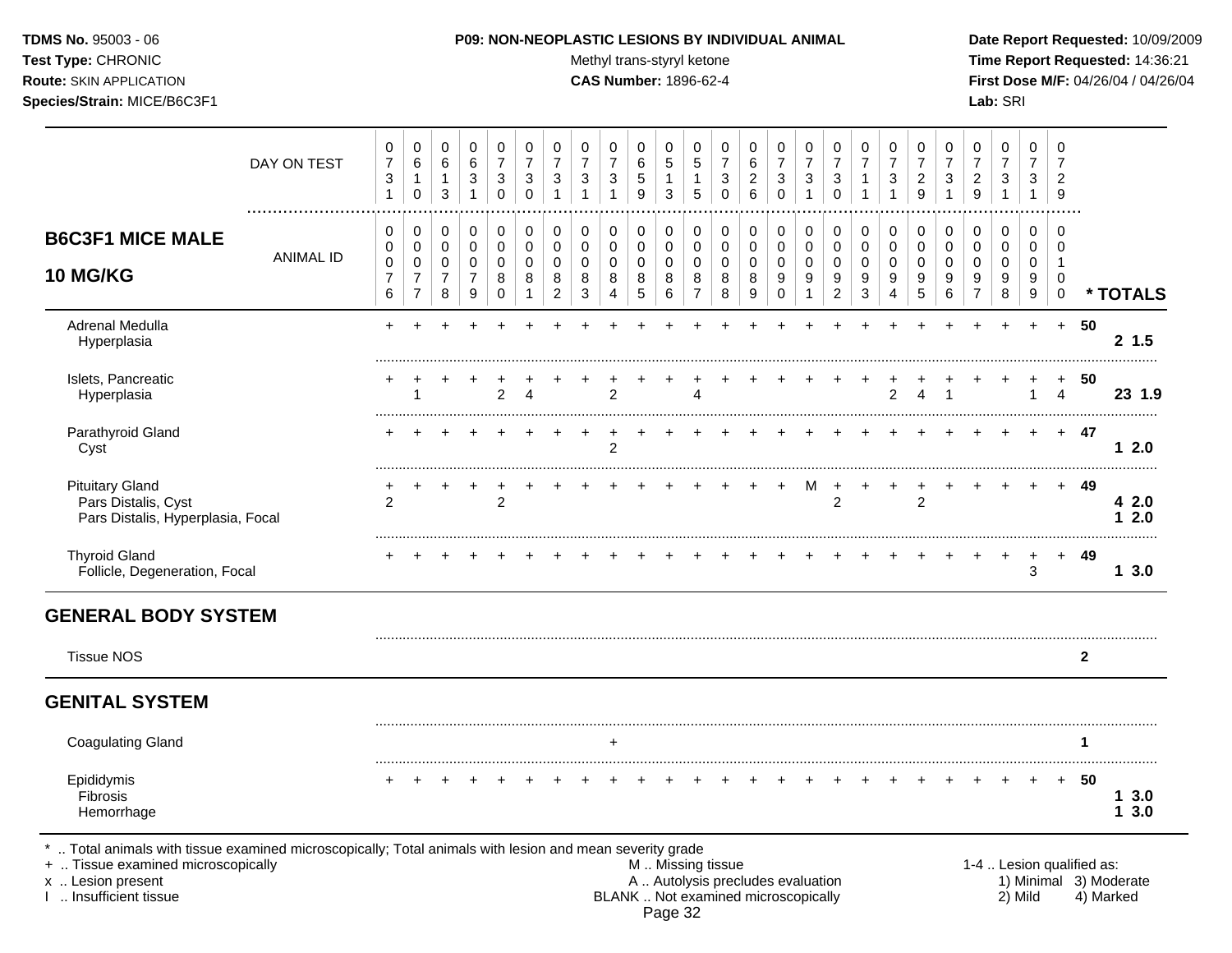Test Type: CHRONIC **Test Type:** CHRONIC **Test Type:** CHRONIC **Time Report Requested:** 14:36:21 **Route:** SKIN APPLICATION **CAS Number:** 1896-62-4 **First Dose M/F:** 04/26/04 / 04/26/04 **Species/Strain:** MICE/B6C3F1 **Lab:** SRI

|                                                                                                                                                                                            | DAY ON TEST      | 0<br>$\overline{7}$<br>$\mathbf{3}$<br>$\overline{1}$      | 0<br>6<br>1<br>0                                          | $\mathbf 0$<br>6<br>$\mathbf{1}$<br>$\mathfrak{S}$   | $\mathbf 0$<br>$\,6$<br>$\sqrt{3}$<br>$\mathbf{1}$     | 0<br>$\overline{7}$<br>3<br>$\pmb{0}$ | $\mathbf 0$<br>$\overline{7}$<br>$\ensuremath{\mathsf{3}}$<br>$\mathbf 0$ | 0<br>$\overline{7}$<br>3<br>$\mathbf{1}$            | 0<br>$\overline{7}$<br>3<br>1                   | 0<br>$\overline{7}$<br>3<br>1             | $\pmb{0}$<br>6<br>$\sqrt{5}$<br>9       | $\mathbf 0$<br>$\sqrt{5}$<br>$\mathbf{1}$<br>$\sqrt{3}$ | 0<br>5<br>1<br>5                                           | $\mathbf 0$<br>$\overline{7}$<br>3<br>$\mathbf 0$ | 0<br>$6\phantom{1}6$<br>$\overline{c}$<br>6 | 0<br>$\overline{7}$<br>$\ensuremath{\mathsf{3}}$<br>$\mathbf 0$          | 0<br>$\overline{7}$<br>$\sqrt{3}$<br>$\mathbf{1}$    | 0<br>$\overline{7}$<br>$\sqrt{3}$<br>$\mathbf 0$ | $\mathbf 0$<br>$\overline{7}$<br>$\mathbf{1}$<br>$\mathbf{1}$ | 0<br>$\overline{7}$<br>3<br>1             | $\mathbf 0$<br>$\overline{7}$<br>$\sqrt{2}$<br>9   | 0<br>$\overline{7}$<br>3<br>1          | 0<br>$\overline{7}$<br>$\boldsymbol{2}$<br>9                          | $\mathbf 0$<br>$\overline{7}$<br>$\ensuremath{\mathsf{3}}$<br>$\mathbf{1}$ | 0<br>$\overline{7}$<br>3<br>$\mathbf{1}$         | $\mathbf 0$<br>$\overline{7}$<br>$\overline{2}$<br>9     |                           |                                     |
|--------------------------------------------------------------------------------------------------------------------------------------------------------------------------------------------|------------------|------------------------------------------------------------|-----------------------------------------------------------|------------------------------------------------------|--------------------------------------------------------|---------------------------------------|---------------------------------------------------------------------------|-----------------------------------------------------|-------------------------------------------------|-------------------------------------------|-----------------------------------------|---------------------------------------------------------|------------------------------------------------------------|---------------------------------------------------|---------------------------------------------|--------------------------------------------------------------------------|------------------------------------------------------|--------------------------------------------------|---------------------------------------------------------------|-------------------------------------------|----------------------------------------------------|----------------------------------------|-----------------------------------------------------------------------|----------------------------------------------------------------------------|--------------------------------------------------|----------------------------------------------------------|---------------------------|-------------------------------------|
| <b>B6C3F1 MICE MALE</b><br><b>10 MG/KG</b>                                                                                                                                                 | <b>ANIMAL ID</b> | 0<br>$\mathbf 0$<br>$\mathbf 0$<br>$\overline{7}$<br>$\,6$ | 0<br>0<br>$\mathbf 0$<br>$\overline{7}$<br>$\overline{7}$ | 0<br>$\pmb{0}$<br>$\mathbf 0$<br>$\overline{7}$<br>8 | 0<br>$\mathbf 0$<br>$\mathbf 0$<br>$\overline{7}$<br>9 | $\pmb{0}$<br>$\pmb{0}$<br>0<br>8<br>0 | $\pmb{0}$<br>$\mathbf 0$<br>$\mathbf 0$<br>8<br>$\mathbf 1$               | 0<br>$\mathbf 0$<br>$\Omega$<br>8<br>$\overline{2}$ | 0<br>$\mathbf 0$<br>$\Omega$<br>8<br>$\sqrt{3}$ | 0<br>$\mathbf 0$<br>$\mathbf 0$<br>8<br>4 | 0<br>$\pmb{0}$<br>$\mathbf 0$<br>8<br>5 | 0<br>$\mathbf 0$<br>$\mathbf 0$<br>8<br>6               | 0<br>$\pmb{0}$<br>$\mathbf 0$<br>$\bf 8$<br>$\overline{7}$ | 0<br>$\mathbf 0$<br>$\mathbf 0$<br>8<br>8         | 0<br>$\mathbf 0$<br>$\Omega$<br>8<br>$9\,$  | 0<br>$\mathbf 0$<br>$\mathbf 0$<br>$\boldsymbol{9}$<br>$\pmb{0}$         | 0<br>$\mathbf 0$<br>$\mathbf 0$<br>9<br>$\mathbf{1}$ | 0<br>0<br>0<br>9<br>$\overline{a}$               | 0<br>$\mathbf 0$<br>$\mathbf 0$<br>9<br>$\mathbf{3}$          | 0<br>$\mathbf 0$<br>$\mathbf 0$<br>9<br>4 | 0<br>$\mathbf 0$<br>$\mathbf 0$<br>9<br>$\sqrt{5}$ | 0<br>$\mathbf 0$<br>$\Omega$<br>9<br>6 | 0<br>$\mathbf 0$<br>$\mathbf 0$<br>$\boldsymbol{9}$<br>$\overline{7}$ | 0<br>$\mathbf 0$<br>$\mathbf 0$<br>9<br>8                                  | $\Omega$<br>$\mathbf 0$<br>$\mathbf 0$<br>9<br>9 | $\Omega$<br>$\Omega$<br>-1<br>$\mathbf 0$<br>$\mathbf 0$ |                           | * TOTALS                            |
| Adrenal Medulla<br>Hyperplasia                                                                                                                                                             |                  |                                                            |                                                           |                                                      |                                                        |                                       |                                                                           |                                                     |                                                 |                                           |                                         |                                                         |                                                            |                                                   |                                             |                                                                          |                                                      |                                                  |                                                               |                                           |                                                    |                                        |                                                                       | $\ddot{}$                                                                  | $\ddot{}$                                        | $+$                                                      | 50                        | 2 1.5                               |
| Islets, Pancreatic<br>Hyperplasia                                                                                                                                                          |                  |                                                            | 1                                                         |                                                      |                                                        | $\overline{c}$                        | 4                                                                         |                                                     |                                                 | $\overline{c}$                            |                                         |                                                         | 4                                                          |                                                   |                                             |                                                                          |                                                      |                                                  |                                                               | $\overline{c}$                            | 4                                                  |                                        |                                                                       |                                                                            | 1                                                | $\ddot{}$<br>$\overline{4}$                              | 50                        | 23 1.9                              |
| Parathyroid Gland<br>Cyst                                                                                                                                                                  |                  |                                                            |                                                           |                                                      |                                                        |                                       |                                                                           |                                                     |                                                 | $\overline{2}$                            |                                         |                                                         |                                                            |                                                   |                                             |                                                                          |                                                      |                                                  |                                                               |                                           |                                                    |                                        |                                                                       |                                                                            |                                                  | $+$                                                      | -47                       | 12.0                                |
| <b>Pituitary Gland</b><br>Pars Distalis, Cyst<br>Pars Distalis, Hyperplasia, Focal                                                                                                         |                  | 2                                                          |                                                           |                                                      |                                                        | $\overline{2}$                        |                                                                           |                                                     |                                                 |                                           |                                         |                                                         |                                                            |                                                   |                                             |                                                                          | м                                                    | $\ddot{}$<br>$\overline{c}$                      |                                                               |                                           | $\overline{2}$                                     |                                        |                                                                       |                                                                            |                                                  |                                                          | 49                        | 42.0<br>12.0                        |
| <b>Thyroid Gland</b><br>Follicle, Degeneration, Focal                                                                                                                                      |                  |                                                            |                                                           |                                                      |                                                        |                                       |                                                                           |                                                     |                                                 |                                           |                                         |                                                         |                                                            |                                                   |                                             |                                                                          |                                                      |                                                  |                                                               |                                           |                                                    |                                        |                                                                       |                                                                            | 3                                                | $+$                                                      | 49                        | 13.0                                |
| <b>GENERAL BODY SYSTEM</b>                                                                                                                                                                 |                  |                                                            |                                                           |                                                      |                                                        |                                       |                                                                           |                                                     |                                                 |                                           |                                         |                                                         |                                                            |                                                   |                                             |                                                                          |                                                      |                                                  |                                                               |                                           |                                                    |                                        |                                                                       |                                                                            |                                                  |                                                          |                           |                                     |
| <b>Tissue NOS</b>                                                                                                                                                                          |                  |                                                            |                                                           |                                                      |                                                        |                                       |                                                                           |                                                     |                                                 |                                           |                                         |                                                         |                                                            |                                                   |                                             |                                                                          |                                                      |                                                  |                                                               |                                           |                                                    |                                        |                                                                       |                                                                            |                                                  |                                                          | $\mathbf{2}$              |                                     |
| <b>GENITAL SYSTEM</b>                                                                                                                                                                      |                  |                                                            |                                                           |                                                      |                                                        |                                       |                                                                           |                                                     |                                                 |                                           |                                         |                                                         |                                                            |                                                   |                                             |                                                                          |                                                      |                                                  |                                                               |                                           |                                                    |                                        |                                                                       |                                                                            |                                                  |                                                          |                           |                                     |
| <b>Coagulating Gland</b>                                                                                                                                                                   |                  |                                                            |                                                           |                                                      |                                                        |                                       |                                                                           |                                                     |                                                 | $\ddot{}$                                 |                                         |                                                         |                                                            |                                                   |                                             |                                                                          |                                                      |                                                  |                                                               |                                           |                                                    |                                        |                                                                       |                                                                            |                                                  |                                                          | 1                         |                                     |
| Epididymis<br>Fibrosis<br>Hemorrhage                                                                                                                                                       |                  |                                                            |                                                           |                                                      |                                                        |                                       |                                                                           |                                                     |                                                 |                                           |                                         |                                                         |                                                            |                                                   |                                             |                                                                          |                                                      |                                                  |                                                               |                                           |                                                    |                                        |                                                                       |                                                                            |                                                  | $+$                                                      | 50                        | 13.0<br>3.0<br>1                    |
| Total animals with tissue examined microscopically; Total animals with lesion and mean severity grade<br>+  Tissue examined microscopically<br>x  Lesion present<br>1  Insufficient tissue |                  |                                                            |                                                           |                                                      |                                                        |                                       |                                                                           |                                                     |                                                 |                                           |                                         |                                                         |                                                            | M  Missing tissue                                 |                                             | A  Autolysis precludes evaluation<br>BLANK  Not examined microscopically |                                                      |                                                  |                                                               |                                           |                                                    |                                        |                                                                       |                                                                            | 2) Mild                                          |                                                          | 1-4  Lesion qualified as: | 1) Minimal 3) Moderate<br>4) Marked |

Page 32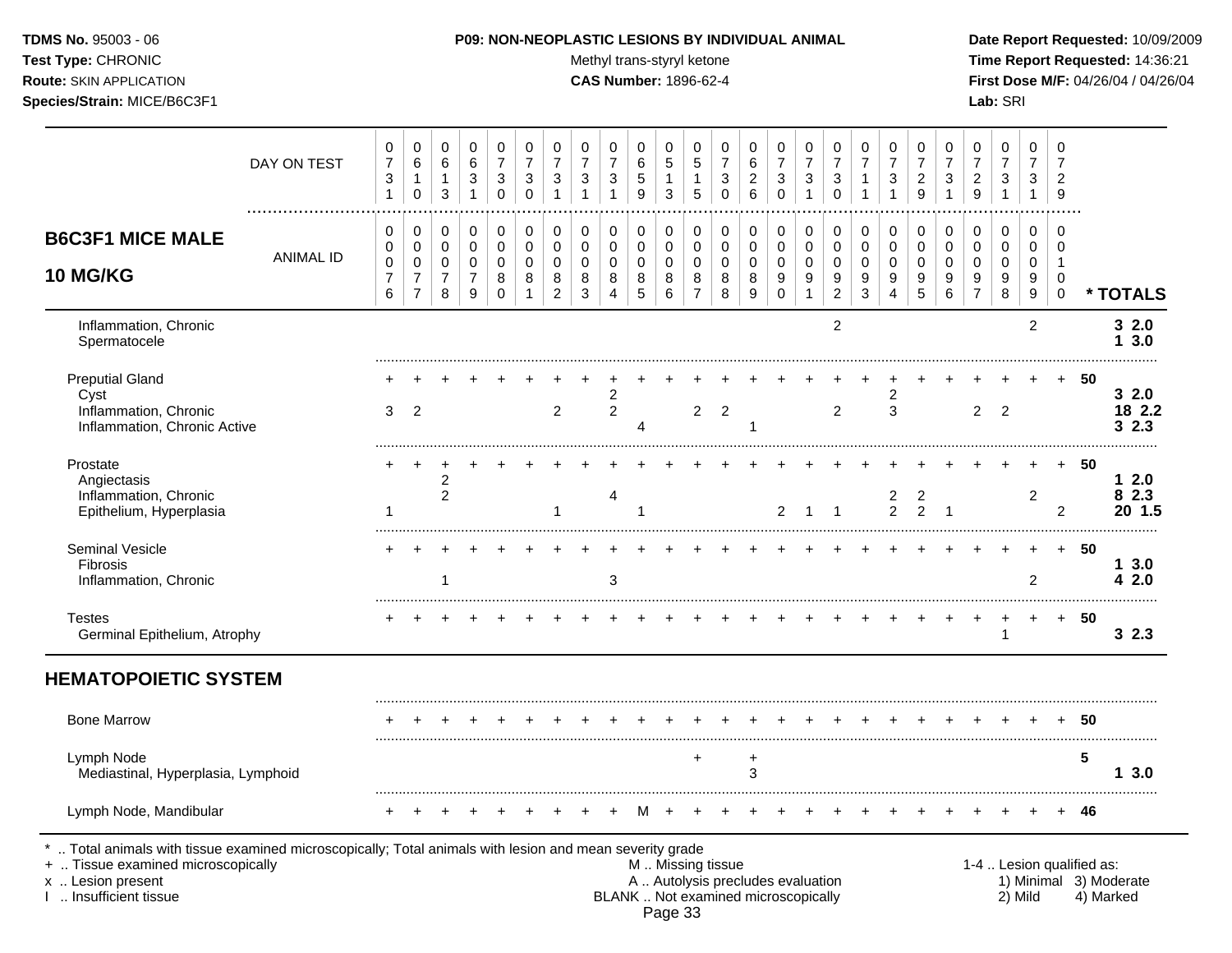Test Type: CHRONIC **Test Type:** CHRONIC **Test Type:** CHRONIC **Time Report Requested:** 14:36:21 **Route:** SKIN APPLICATION **CAS Number:** 1896-62-4 **First Dose M/F:** 04/26/04 / 04/26/04

|                                                                                                                                                                                            | DAY ON TEST      | 0<br>$\overline{7}$<br>$\ensuremath{\mathsf{3}}$<br>$\mathbf{1}$ | $\mathbf 0$<br>$\,6$<br>$\mathbf{1}$<br>$\mathbf 0$                 | 0<br>$\,6$<br>$\mathbf{1}$<br>$\mathbf{3}$ | $\mathbf 0$<br>$\,6\,$<br>$\ensuremath{\mathsf{3}}$<br>$\mathbf{1}$ | 0<br>$\overline{7}$<br>$\mathbf{3}$<br>$\mathbf 0$   | 0<br>$\overline{7}$<br>$\sqrt{3}$<br>$\mathbf 0$  | 0<br>$\overline{7}$<br>$\mathbf{3}$                    | $\pmb{0}$<br>$\overline{7}$<br>$\ensuremath{\mathsf{3}}$<br>$\mathbf{1}$ | $\mathbf 0$<br>$\overline{7}$<br>$\sqrt{3}$<br>$\overline{1}$        | 0<br>6<br>5<br>9                        | 0<br>$\sqrt{5}$<br>$\mathbf{1}$<br>$\sqrt{3}$ | 0<br>$\,$ 5 $\,$<br>$\mathbf{1}$<br>5                    | 0<br>$\overline{7}$<br>$\ensuremath{\mathsf{3}}$<br>$\Omega$ | 0<br>6<br>$\sqrt{2}$<br>6                           | 0<br>$\overline{7}$<br>$\ensuremath{\mathsf{3}}$<br>$\Omega$ | 0<br>$\overline{7}$<br>$\mathsf 3$<br>$\mathbf{1}$                        | 0<br>$\overline{7}$<br>$\ensuremath{\mathsf{3}}$<br>$\mathbf 0$ | 0<br>$\overline{7}$<br>$\mathbf 1$<br>1                | 0<br>$\overline{7}$<br>$\sqrt{3}$<br>1  | 0<br>$\overline{7}$<br>$\overline{c}$<br>9 | $\,0\,$<br>$\overline{7}$<br>$\ensuremath{\mathsf{3}}$<br>$\mathbf{1}$ | $\mathbf 0$<br>$\overline{7}$<br>$\overline{c}$<br>9                | 0<br>$\overline{7}$<br>$\ensuremath{\mathsf{3}}$<br>$\mathbf{1}$ | $\mathbf 0$<br>$\overline{7}$<br>3<br>1        | $\mathbf 0$<br>$\overline{7}$<br>$\overline{2}$<br>9                |                           |                                     |
|--------------------------------------------------------------------------------------------------------------------------------------------------------------------------------------------|------------------|------------------------------------------------------------------|---------------------------------------------------------------------|--------------------------------------------|---------------------------------------------------------------------|------------------------------------------------------|---------------------------------------------------|--------------------------------------------------------|--------------------------------------------------------------------------|----------------------------------------------------------------------|-----------------------------------------|-----------------------------------------------|----------------------------------------------------------|--------------------------------------------------------------|-----------------------------------------------------|--------------------------------------------------------------|---------------------------------------------------------------------------|-----------------------------------------------------------------|--------------------------------------------------------|-----------------------------------------|--------------------------------------------|------------------------------------------------------------------------|---------------------------------------------------------------------|------------------------------------------------------------------|------------------------------------------------|---------------------------------------------------------------------|---------------------------|-------------------------------------|
| <b>B6C3F1 MICE MALE</b><br><b>10 MG/KG</b>                                                                                                                                                 | <b>ANIMAL ID</b> | 0<br>$\mathbf 0$<br>$\,0\,$<br>$\overline{7}$<br>6               | 0<br>$\mathbf 0$<br>$\mathbf 0$<br>$\overline{7}$<br>$\overline{7}$ | 0<br>$\pmb{0}$<br>0<br>$\overline{7}$<br>8 | 0<br>$\pmb{0}$<br>$\mathbf 0$<br>$\overline{7}$<br>9                | $\pmb{0}$<br>$\pmb{0}$<br>$\pmb{0}$<br>8<br>$\Omega$ | $\mathbf 0$<br>$\pmb{0}$<br>0<br>8<br>$\mathbf 1$ | 0<br>$\mathbf 0$<br>$\mathbf 0$<br>8<br>$\overline{2}$ | $\mathbf 0$<br>$\pmb{0}$<br>0<br>8<br>3                                  | $\mathbf 0$<br>$\pmb{0}$<br>$\mathbf 0$<br>$\,8\,$<br>$\overline{4}$ | $\pmb{0}$<br>$\mathbf 0$<br>0<br>8<br>5 | 0<br>$\pmb{0}$<br>0<br>$\,8\,$<br>6           | 0<br>$\pmb{0}$<br>0<br>8<br>$\overline{7}$               | 0<br>$\pmb{0}$<br>0<br>8<br>8                                | $\mathbf 0$<br>$\mathbf 0$<br>$\mathbf 0$<br>8<br>9 | 0<br>$\pmb{0}$<br>$\mathbf 0$<br>9<br>$\mathbf 0$            | $\mathbf 0$<br>$\pmb{0}$<br>$\pmb{0}$<br>$\boldsymbol{9}$<br>$\mathbf{1}$ | 0<br>$\pmb{0}$<br>$\mathbf 0$<br>9<br>$\overline{c}$            | 0<br>$\pmb{0}$<br>$\mathbf 0$<br>$\boldsymbol{9}$<br>3 | 0<br>$\pmb{0}$<br>$\mathbf 0$<br>9<br>4 | 0<br>$\mathbf 0$<br>$\mathbf 0$<br>9<br>5  | $\pmb{0}$<br>$\pmb{0}$<br>0<br>9<br>$6\phantom{a}$                     | 0<br>$\pmb{0}$<br>$\mathbf 0$<br>$\boldsymbol{9}$<br>$\overline{7}$ | 0<br>$\pmb{0}$<br>0<br>9<br>8                                    | 0<br>$\mathbf 0$<br>0<br>9<br>$\boldsymbol{9}$ | $\mathbf 0$<br>$\mathbf 0$<br>$\overline{1}$<br>0<br>$\overline{0}$ |                           | * TOTALS                            |
| Inflammation, Chronic<br>Spermatocele                                                                                                                                                      |                  |                                                                  |                                                                     |                                            |                                                                     |                                                      |                                                   |                                                        |                                                                          |                                                                      |                                         |                                               |                                                          |                                                              |                                                     |                                                              |                                                                           | 2                                                               |                                                        |                                         |                                            |                                                                        |                                                                     |                                                                  | 2                                              |                                                                     |                           | 32.0<br>13.0                        |
| <b>Preputial Gland</b><br>Cyst<br>Inflammation, Chronic<br>Inflammation, Chronic Active                                                                                                    |                  | 3                                                                | $\overline{2}$                                                      |                                            |                                                                     |                                                      |                                                   | $\overline{c}$                                         |                                                                          | 2<br>$\overline{2}$                                                  | 4                                       |                                               | $\overline{2}$                                           | 2                                                            | -1                                                  |                                                              |                                                                           | $\overline{2}$                                                  |                                                        | 2<br>$\mathbf{3}$                       |                                            |                                                                        | $\overline{2}$                                                      | $\overline{2}$                                                   |                                                | $+$                                                                 | -50                       | 32.0<br>18 2.2<br>32.3              |
| Prostate<br>Angiectasis<br>Inflammation, Chronic<br>Epithelium, Hyperplasia                                                                                                                |                  | -1                                                               |                                                                     | $\overline{2}$<br>$\overline{2}$           |                                                                     |                                                      |                                                   | 1                                                      |                                                                          | 4                                                                    | -1                                      |                                               |                                                          |                                                              |                                                     | $\overline{2}$                                               | $\mathbf{1}$                                                              | $\overline{1}$                                                  |                                                        | 2<br>$\overline{2}$                     | 2<br>$\overline{2}$                        | $\overline{1}$                                                         |                                                                     |                                                                  | $\overline{2}$                                 | $\overline{2}$                                                      | -50                       | 12.0<br>82.3<br>20 1.5              |
| Seminal Vesicle<br><b>Fibrosis</b><br>Inflammation, Chronic                                                                                                                                |                  |                                                                  |                                                                     | 1                                          |                                                                     |                                                      |                                                   |                                                        |                                                                          | 3                                                                    |                                         |                                               |                                                          |                                                              |                                                     |                                                              |                                                                           |                                                                 |                                                        |                                         |                                            |                                                                        |                                                                     |                                                                  | 2                                              | $+$                                                                 | -50                       | 13.0<br>4 2.0                       |
| <b>Testes</b><br>Germinal Epithelium, Atrophy                                                                                                                                              |                  |                                                                  |                                                                     |                                            |                                                                     |                                                      |                                                   |                                                        |                                                                          |                                                                      |                                         |                                               |                                                          |                                                              |                                                     |                                                              |                                                                           |                                                                 |                                                        |                                         |                                            |                                                                        |                                                                     |                                                                  | $\ddot{}$                                      | $+$                                                                 | -50                       | 32.3                                |
| <b>HEMATOPOIETIC SYSTEM</b>                                                                                                                                                                |                  |                                                                  |                                                                     |                                            |                                                                     |                                                      |                                                   |                                                        |                                                                          |                                                                      |                                         |                                               |                                                          |                                                              |                                                     |                                                              |                                                                           |                                                                 |                                                        |                                         |                                            |                                                                        |                                                                     |                                                                  |                                                |                                                                     |                           |                                     |
| <b>Bone Marrow</b>                                                                                                                                                                         |                  |                                                                  |                                                                     |                                            |                                                                     |                                                      |                                                   |                                                        |                                                                          |                                                                      |                                         |                                               |                                                          |                                                              |                                                     |                                                              |                                                                           |                                                                 |                                                        |                                         |                                            |                                                                        |                                                                     |                                                                  |                                                |                                                                     | 50                        |                                     |
| Lymph Node<br>Mediastinal, Hyperplasia, Lymphoid                                                                                                                                           |                  |                                                                  |                                                                     |                                            |                                                                     |                                                      |                                                   |                                                        |                                                                          |                                                                      |                                         |                                               | $\ddot{}$                                                |                                                              | $\ddot{}$<br>3                                      |                                                              |                                                                           |                                                                 |                                                        |                                         |                                            |                                                                        |                                                                     |                                                                  |                                                |                                                                     | 5                         | 13.0                                |
| Lymph Node, Mandibular                                                                                                                                                                     |                  |                                                                  |                                                                     |                                            |                                                                     |                                                      |                                                   |                                                        |                                                                          |                                                                      |                                         |                                               |                                                          |                                                              |                                                     |                                                              |                                                                           |                                                                 |                                                        |                                         |                                            |                                                                        |                                                                     |                                                                  |                                                |                                                                     | 46                        |                                     |
| Total animals with tissue examined microscopically; Total animals with lesion and mean severity grade<br>+  Tissue examined microscopically<br>x  Lesion present<br>I  Insufficient tissue |                  |                                                                  |                                                                     |                                            |                                                                     |                                                      |                                                   |                                                        |                                                                          |                                                                      |                                         |                                               | M  Missing tissue<br>BLANK  Not examined microscopically |                                                              | A  Autolysis precludes evaluation                   |                                                              |                                                                           |                                                                 |                                                        |                                         |                                            |                                                                        |                                                                     |                                                                  | 2) Mild                                        |                                                                     | 1-4  Lesion qualified as: | 1) Minimal 3) Moderate<br>4) Marked |

Page 33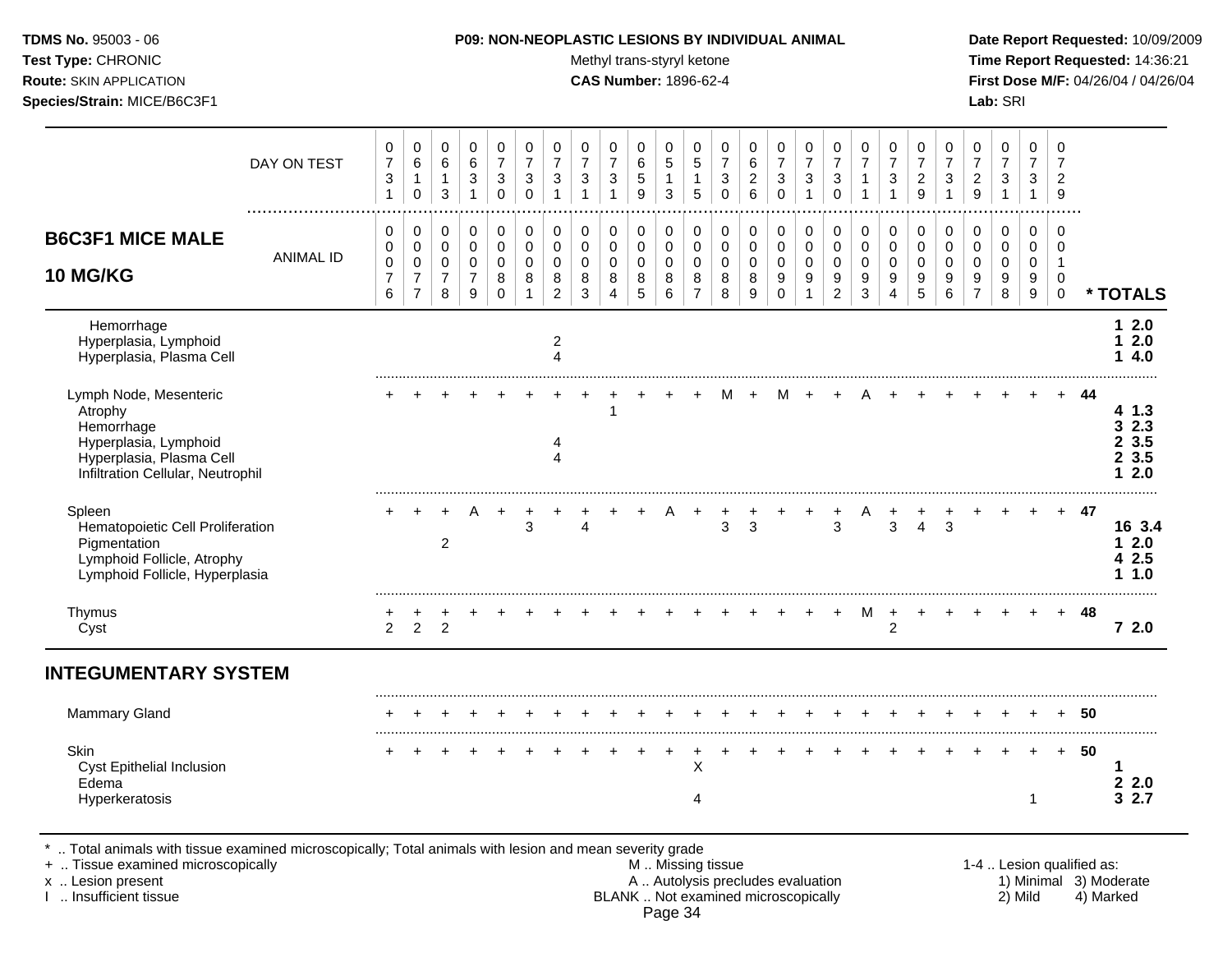## **TDMS No.** 95003 - 06 **P09: NON-NEOPLASTIC LESIONS BY INDIVIDUAL ANIMAL Date Report Requested:** 10/09/2009

Test Type: CHRONIC **Test Type:** CHRONIC **Test Type:** CHRONIC **Time Report Requested:** 14:36:21 **Route:** SKIN APPLICATION **CAS Number:** 1896-62-4 **First Dose M/F:** 04/26/04 / 04/26/04

|                                                                                                                                             | DAY ON TEST      | 0<br>$\overline{7}$<br>$\ensuremath{\mathsf{3}}$<br>$\mathbf{1}$ | 0<br>$\,6\,$<br>1<br>$\mathbf 0$                                    | 0<br>$\,6\,$<br>$\mathbf{1}$<br>3                    | 0<br>$\,6\,$<br>$\ensuremath{\mathsf{3}}$<br>$\mathbf{1}$             | 0<br>$\overline{7}$<br>3<br>$\mathbf 0$           | 0<br>$\overline{7}$<br>$\sqrt{3}$<br>$\mathbf 0$ | 0<br>$\overline{7}$<br>3<br>$\mathbf{1}$                   | 0<br>$\overline{7}$<br>3                            | 0<br>$\overline{7}$<br>3<br>$\mathbf{1}$               | 0<br>$\,6\,$<br>5<br>9                       | 0<br>$\sqrt{5}$<br>1<br>3                           | 0<br>$\sqrt{5}$<br>1<br>5                              | 0<br>$\overline{7}$<br>3<br>$\Omega$      | 0<br>$\,6\,$<br>$\boldsymbol{2}$<br>6               | 0<br>$\overline{7}$<br>$\ensuremath{\mathsf{3}}$<br>$\mathbf 0$     | 0<br>$\overline{7}$<br>$\ensuremath{\mathsf{3}}$<br>$\overline{1}$ | 0<br>$\overline{7}$<br>$\ensuremath{\mathsf{3}}$<br>$\Omega$   | 0<br>$\overline{7}$<br>1<br>$\mathbf 1$                        | 0<br>$\overline{7}$<br>3<br>$\mathbf{1}$  | 0<br>$\overline{7}$<br>$\overline{c}$<br>9        | 0<br>$\overline{7}$<br>3<br>$\mathbf{1}$                    | 0<br>$\overline{7}$<br>$\overline{c}$<br>9             | 0<br>$\overline{7}$<br>$\ensuremath{\mathsf{3}}$<br>$\overline{1}$ | 0<br>$\overline{7}$<br>3<br>$\mathbf{1}$                           | 0<br>$\overline{7}$<br>$\overline{c}$<br>9              |                           |                                       |
|---------------------------------------------------------------------------------------------------------------------------------------------|------------------|------------------------------------------------------------------|---------------------------------------------------------------------|------------------------------------------------------|-----------------------------------------------------------------------|---------------------------------------------------|--------------------------------------------------|------------------------------------------------------------|-----------------------------------------------------|--------------------------------------------------------|----------------------------------------------|-----------------------------------------------------|--------------------------------------------------------|-------------------------------------------|-----------------------------------------------------|---------------------------------------------------------------------|--------------------------------------------------------------------|----------------------------------------------------------------|----------------------------------------------------------------|-------------------------------------------|---------------------------------------------------|-------------------------------------------------------------|--------------------------------------------------------|--------------------------------------------------------------------|--------------------------------------------------------------------|---------------------------------------------------------|---------------------------|---------------------------------------|
| <b>B6C3F1 MICE MALE</b><br>10 MG/KG                                                                                                         | <b>ANIMAL ID</b> | $\mathbf 0$<br>$\mathbf 0$<br>0<br>7<br>6                        | 0<br>$\mathbf 0$<br>$\mathbf 0$<br>$\overline{7}$<br>$\overline{7}$ | $\pmb{0}$<br>$\mathbf 0$<br>0<br>$\overline{7}$<br>8 | 0<br>$\mathbf 0$<br>$\mathbf 0$<br>$\overline{7}$<br>$\boldsymbol{9}$ | 0<br>$\mathbf 0$<br>$\mathbf 0$<br>8<br>$\pmb{0}$ | $\pmb{0}$<br>$\Omega$<br>$\mathbf 0$<br>8<br>-1  | $\mathbf 0$<br>$\Omega$<br>$\Omega$<br>8<br>$\overline{c}$ | $\mathbf 0$<br>$\mathbf 0$<br>$\mathbf 0$<br>8<br>3 | 0<br>$\mathbf 0$<br>$\mathbf 0$<br>8<br>$\overline{4}$ | 0<br>$\mathbf 0$<br>0<br>8<br>$\overline{5}$ | $\mathbf 0$<br>$\mathbf 0$<br>$\mathbf 0$<br>8<br>6 | 0<br>$\mathbf 0$<br>$\mathbf 0$<br>8<br>$\overline{7}$ | 0<br>$\mathbf 0$<br>$\mathbf 0$<br>8<br>8 | $\mathbf 0$<br>$\mathbf 0$<br>$\mathbf 0$<br>8<br>9 | $\pmb{0}$<br>$\mathbf 0$<br>$\pmb{0}$<br>$\mathsf g$<br>$\mathbf 0$ | $\mathbf 0$<br>$\mathbf 0$<br>$\mathbf 0$<br>9<br>$\mathbf{1}$     | $\pmb{0}$<br>$\mathbf 0$<br>$\mathbf 0$<br>9<br>$\overline{2}$ | $\mathbf 0$<br>$\mathbf 0$<br>$\mathbf 0$<br>9<br>$\mathbf{3}$ | 0<br>$\mathbf 0$<br>$\mathbf 0$<br>9<br>4 | $\pmb{0}$<br>$\mathbf 0$<br>$\mathbf 0$<br>9<br>5 | $\mathbf 0$<br>$\Omega$<br>$\Omega$<br>9<br>$6\phantom{1}6$ | 0<br>$\mathbf 0$<br>$\mathbf 0$<br>9<br>$\overline{7}$ | 0<br>$\mathbf 0$<br>0<br>9<br>8                                    | $\mathbf 0$<br>$\mathbf 0$<br>$\mathbf 0$<br>9<br>$\boldsymbol{9}$ | $\Omega$<br>$\Omega$<br>$\mathbf 1$<br>0<br>$\mathbf 0$ |                           | * TOTALS                              |
| Hemorrhage<br>Hyperplasia, Lymphoid<br>Hyperplasia, Plasma Cell                                                                             |                  |                                                                  |                                                                     |                                                      |                                                                       |                                                   |                                                  | 2<br>4                                                     |                                                     |                                                        |                                              |                                                     |                                                        |                                           |                                                     |                                                                     |                                                                    |                                                                |                                                                |                                           |                                                   |                                                             |                                                        |                                                                    |                                                                    |                                                         |                           | $12.0$<br>2.0<br>1<br>4.0<br>1        |
| Lymph Node, Mesenteric<br>Atrophy<br>Hemorrhage<br>Hyperplasia, Lymphoid<br>Hyperplasia, Plasma Cell<br>Infiltration Cellular, Neutrophil   |                  |                                                                  |                                                                     |                                                      |                                                                       |                                                   |                                                  | 4<br>4                                                     |                                                     | 1                                                      |                                              |                                                     |                                                        |                                           |                                                     | м                                                                   |                                                                    |                                                                |                                                                |                                           |                                                   |                                                             |                                                        |                                                                    |                                                                    |                                                         | 44                        | 4 1.3<br>32.3<br>23.5<br>23.5<br>12.0 |
| Spleen<br>Hematopoietic Cell Proliferation<br>Pigmentation<br>Lymphoid Follicle, Atrophy<br>Lymphoid Follicle, Hyperplasia                  |                  |                                                                  |                                                                     | $\overline{c}$                                       |                                                                       |                                                   | 3                                                |                                                            | 4                                                   |                                                        |                                              |                                                     |                                                        | 3                                         | 3                                                   |                                                                     |                                                                    | 3                                                              |                                                                | 3                                         | 4                                                 | 3                                                           |                                                        |                                                                    |                                                                    | $\div$                                                  | 47                        | 16 3.4<br>12.0<br>42.5<br>11.0        |
| Thymus<br>Cyst                                                                                                                              |                  | 2                                                                | $\overline{2}$                                                      | $\overline{c}$                                       |                                                                       |                                                   |                                                  |                                                            |                                                     |                                                        |                                              |                                                     |                                                        |                                           |                                                     |                                                                     |                                                                    |                                                                | M                                                              | $\overline{c}$                            |                                                   |                                                             |                                                        |                                                                    |                                                                    |                                                         | 48                        | 72.0                                  |
| <b>INTEGUMENTARY SYSTEM</b>                                                                                                                 |                  |                                                                  |                                                                     |                                                      |                                                                       |                                                   |                                                  |                                                            |                                                     |                                                        |                                              |                                                     |                                                        |                                           |                                                     |                                                                     |                                                                    |                                                                |                                                                |                                           |                                                   |                                                             |                                                        |                                                                    |                                                                    |                                                         |                           |                                       |
| Mammary Gland                                                                                                                               |                  |                                                                  |                                                                     |                                                      |                                                                       |                                                   |                                                  |                                                            |                                                     |                                                        |                                              |                                                     |                                                        |                                           |                                                     |                                                                     |                                                                    |                                                                |                                                                |                                           |                                                   |                                                             |                                                        |                                                                    |                                                                    |                                                         | 50                        |                                       |
| Skin<br>Cyst Epithelial Inclusion<br>Edema<br>Hyperkeratosis                                                                                |                  |                                                                  |                                                                     |                                                      |                                                                       |                                                   |                                                  |                                                            |                                                     |                                                        |                                              |                                                     | $\ddot{}$<br>X<br>4                                    |                                           |                                                     |                                                                     |                                                                    |                                                                |                                                                |                                           |                                                   |                                                             |                                                        |                                                                    | 1                                                                  | $+$                                                     | 50                        | 22.0<br>32.7                          |
| Total animals with tissue examined microscopically; Total animals with lesion and mean severity grade<br>+  Tissue examined microscopically |                  |                                                                  |                                                                     |                                                      |                                                                       |                                                   |                                                  |                                                            |                                                     |                                                        | M  Missing tissue                            |                                                     |                                                        |                                           |                                                     |                                                                     |                                                                    |                                                                |                                                                |                                           |                                                   |                                                             |                                                        |                                                                    |                                                                    |                                                         | 1-4  Lesion qualified as: |                                       |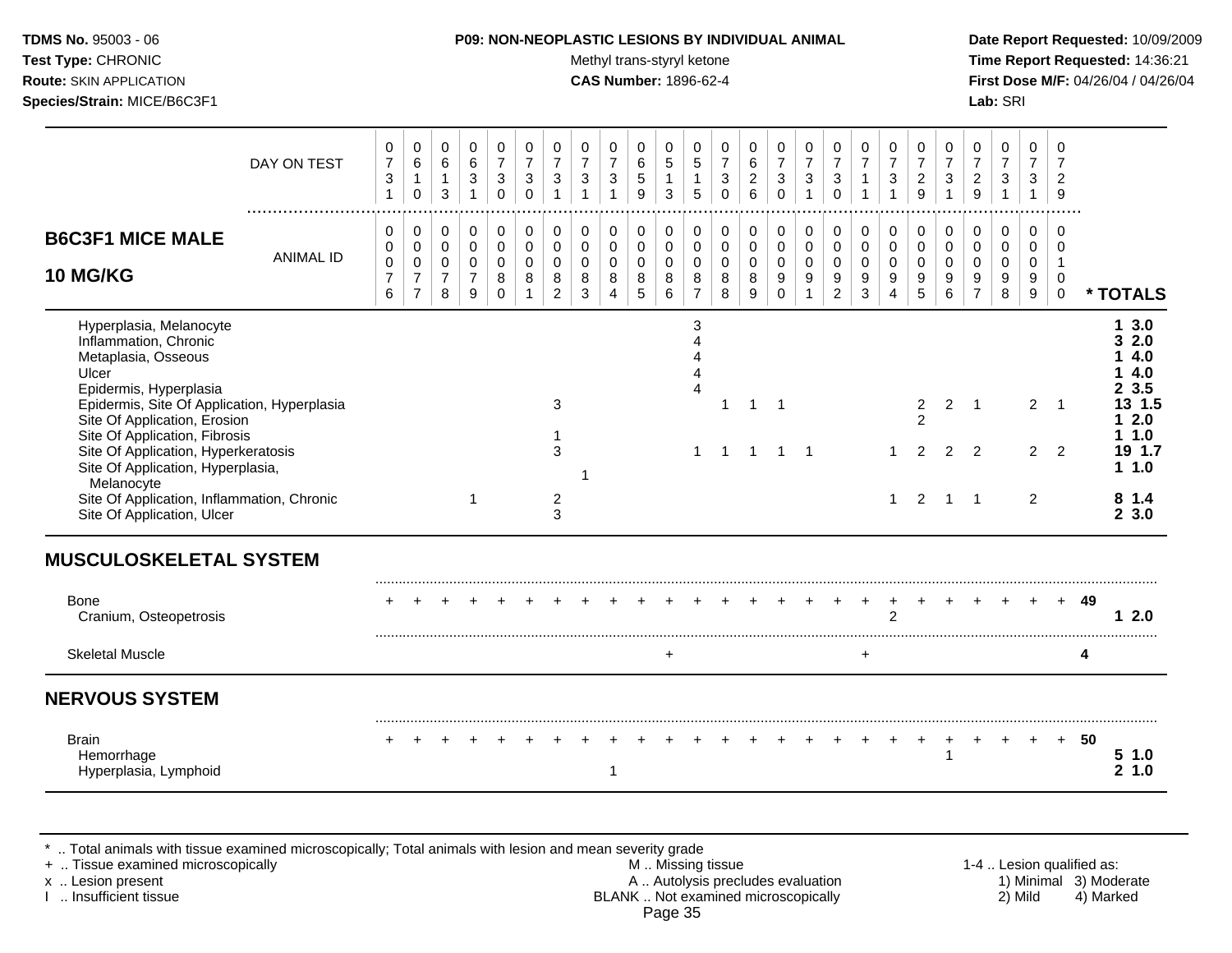| <b>TDMS No. 95003 - 06</b>     | <b>P09: NON-NEOPLASTIC LESIONS BY INDIVIDUAL ANIMAL</b> | Date Report Requested: 10/09/2009          |
|--------------------------------|---------------------------------------------------------|--------------------------------------------|
| <b>Test Type: CHRONIC</b>      | Methyl trans-styryl ketone                              | Time Report Requested: 14:36:21            |
| <b>Route: SKIN APPLICATION</b> | <b>CAS Number: 1896-62-4</b>                            | <b>First Dose M/F: 04/26/04 / 04/26/04</b> |
| Species/Strain: MICE/B6C3F1    |                                                         | Lab: SRI                                   |
|                                |                                                         |                                            |

### **P09: NON-NEOPLASTIC LESIONS BY INDIVIDUAL ANIMAL Date Report Requested:** 10/09/2009

|                                                                                                                                                                                                                                                                                                                                                                                                  | DAY ON TEST      | 0<br>$\overline{7}$<br>3<br>$\mathbf{1}$     | $\pmb{0}$<br>$\,6$<br>$\mathbf 0$                                 | 0<br>$\,6\,$<br>$\mathbf{1}$<br>3                     | 0<br>6<br>$\ensuremath{\mathsf{3}}$<br>$\mathbf{1}$              | 0<br>$\overline{7}$<br>$\ensuremath{\mathsf{3}}$<br>$\mathbf 0$ | 0<br>$\overline{7}$<br>3<br>$\Omega$ | 0<br>$\overline{7}$<br>3<br>$\overline{1}$   | 0<br>$\overline{7}$<br>3<br>$\overline{1}$ | 0<br>$\overline{7}$<br>3<br>$\overline{1}$             | 0<br>$\,6$<br>$\sqrt{5}$<br>9           | 0<br>$\sqrt{5}$<br>$\mathbf{1}$<br>$\mathbf{3}$ | 0<br>$\sqrt{5}$<br>$\mathbf{1}$<br>5               | 0<br>$\boldsymbol{7}$<br>$\sqrt{3}$<br>$\mathbf 0$        | 0<br>6<br>$\overline{2}$<br>6         | 0<br>$\overline{7}$<br>$\sqrt{3}$<br>$\Omega$                      | 0<br>$\overline{7}$<br>$\mathbf{3}$<br>$\mathbf 1$ | 0<br>$\boldsymbol{7}$<br>$\ensuremath{\mathsf{3}}$<br>$\Omega$ | 0<br>$\overline{7}$<br>$\mathbf{1}$<br>$\overline{1}$ | 0<br>$\overline{7}$<br>3<br>$\mathbf{1}$  | 0<br>$\overline{7}$<br>$\overline{c}$<br>9          | 0<br>$\overline{7}$<br>$\mathbf{3}$<br>$\overline{1}$ | 0<br>$\overline{7}$<br>$\overline{2}$<br>$\boldsymbol{9}$ | 0<br>$\overline{7}$<br>$\mathbf{3}$<br>$\overline{1}$ | 0<br>$\overline{7}$<br>3<br>$\mathbf{1}$           | 0<br>$\overline{7}$<br>$\overline{2}$<br>9         |    |                                                                                              |
|--------------------------------------------------------------------------------------------------------------------------------------------------------------------------------------------------------------------------------------------------------------------------------------------------------------------------------------------------------------------------------------------------|------------------|----------------------------------------------|-------------------------------------------------------------------|-------------------------------------------------------|------------------------------------------------------------------|-----------------------------------------------------------------|--------------------------------------|----------------------------------------------|--------------------------------------------|--------------------------------------------------------|-----------------------------------------|-------------------------------------------------|----------------------------------------------------|-----------------------------------------------------------|---------------------------------------|--------------------------------------------------------------------|----------------------------------------------------|----------------------------------------------------------------|-------------------------------------------------------|-------------------------------------------|-----------------------------------------------------|-------------------------------------------------------|-----------------------------------------------------------|-------------------------------------------------------|----------------------------------------------------|----------------------------------------------------|----|----------------------------------------------------------------------------------------------|
| <b>B6C3F1 MICE MALE</b><br><b>10 MG/KG</b>                                                                                                                                                                                                                                                                                                                                                       | <b>ANIMAL ID</b> | 0<br>0<br>$\mathbf 0$<br>$\overline{7}$<br>6 | 0<br>$\mathsf 0$<br>$\pmb{0}$<br>$\overline{7}$<br>$\overline{7}$ | 0<br>$\mathsf{O}$<br>$\pmb{0}$<br>$\overline{7}$<br>8 | 0<br>$\mathsf{O}\xspace$<br>$\mathsf 0$<br>$\boldsymbol{7}$<br>9 | 0<br>$\mathbf 0$<br>$\mathbf 0$<br>8<br>$\mathbf 0$             | 0<br>$\mathbf 0$<br>$\mathbf 0$<br>8 | 0<br>0<br>$\mathbf 0$<br>8<br>$\overline{2}$ | 0<br>$\mathbf 0$<br>$\mathbf 0$<br>8<br>3  | 0<br>$\mathsf 0$<br>$\mathbf 0$<br>8<br>$\overline{4}$ | 0<br>$\pmb{0}$<br>$\mathbf 0$<br>8<br>5 | 0<br>$\mathbf 0$<br>$\mathbf 0$<br>8<br>6       | 0<br>$\pmb{0}$<br>$\pmb{0}$<br>8<br>$\overline{7}$ | $\mathbf 0$<br>$\mathbf 0$<br>$\mathbf 0$<br>$\,8\,$<br>8 | 0<br>$\pmb{0}$<br>$\pmb{0}$<br>8<br>9 | 0<br>$\mathbf 0$<br>$\mathbf 0$<br>$\boldsymbol{9}$<br>$\mathbf 0$ | 0<br>$\mathsf{O}$<br>0<br>9<br>$\mathbf{1}$        | 0<br>0<br>0<br>$\boldsymbol{9}$<br>$\overline{c}$              | 0<br>$\mathbf 0$<br>$\mathbf 0$<br>9<br>3             | 0<br>$\mathbf 0$<br>$\mathbf 0$<br>9<br>4 | 0<br>$\mathbf 0$<br>0<br>9<br>5                     | 0<br>$\mathbf 0$<br>0<br>9<br>6                       | 0<br>$\mathbf 0$<br>0<br>$9\,$<br>$\overline{7}$          | 0<br>$\mathbf 0$<br>0<br>9<br>8                       | $\Omega$<br>$\mathbf 0$<br>$\mathbf 0$<br>9<br>9   | $\mathbf 0$<br>0<br>$\mathbf{1}$<br>0<br>$\pmb{0}$ |    | * TOTALS                                                                                     |
| Hyperplasia, Melanocyte<br>Inflammation, Chronic<br>Metaplasia, Osseous<br>Ulcer<br>Epidermis, Hyperplasia<br>Epidermis, Site Of Application, Hyperplasia<br>Site Of Application, Erosion<br>Site Of Application, Fibrosis<br>Site Of Application, Hyperkeratosis<br>Site Of Application, Hyperplasia,<br>Melanocyte<br>Site Of Application, Inflammation, Chronic<br>Site Of Application, Ulcer |                  |                                              |                                                                   |                                                       |                                                                  |                                                                 |                                      | 3<br>3<br>$\overline{2}$<br>3                |                                            |                                                        |                                         |                                                 | 3<br>$\boldsymbol{\Lambda}$<br>$\mathbf 1$         | -1<br>-1                                                  | 1<br>1                                | $\overline{1}$<br>$\overline{1}$                                   | $\mathbf{1}$                                       |                                                                |                                                       | 1<br>1                                    | $\overline{\mathbf{c}}$<br>$\overline{2}$<br>2<br>2 | $\overline{2}$<br>$\overline{2}$                      | $\overline{1}$<br>2<br>$1 \quad 1$                        |                                                       | $\overline{2}$<br>$\overline{2}$<br>$\overline{2}$ | $\overline{1}$<br>$\overline{2}$                   |    | 13.0<br>32.0<br>4.0<br>4.0<br>23.5<br>13 1.5<br>2.0<br>1.0<br>19 1.7<br>11.0<br>81.4<br>23.0 |
| <b>MUSCULOSKELETAL SYSTEM</b><br><b>Bone</b><br>Cranium, Osteopetrosis                                                                                                                                                                                                                                                                                                                           |                  |                                              |                                                                   |                                                       |                                                                  |                                                                 |                                      |                                              |                                            |                                                        |                                         |                                                 |                                                    |                                                           |                                       |                                                                    |                                                    |                                                                |                                                       | $\overline{2}$                            |                                                     |                                                       |                                                           |                                                       |                                                    | $\div$                                             | 49 | 2.0<br>1.                                                                                    |
| <b>Skeletal Muscle</b><br><b>NERVOUS SYSTEM</b>                                                                                                                                                                                                                                                                                                                                                  |                  |                                              |                                                                   |                                                       |                                                                  |                                                                 |                                      |                                              |                                            |                                                        |                                         | $\ddot{}$                                       |                                                    |                                                           |                                       |                                                                    |                                                    |                                                                | $\ddot{}$                                             |                                           |                                                     |                                                       |                                                           |                                                       |                                                    |                                                    | 4  |                                                                                              |
| <b>Brain</b><br>Hemorrhage<br>Hyperplasia, Lymphoid                                                                                                                                                                                                                                                                                                                                              |                  |                                              |                                                                   |                                                       |                                                                  |                                                                 |                                      |                                              |                                            | 1                                                      |                                         |                                                 |                                                    |                                                           |                                       |                                                                    |                                                    |                                                                |                                                       |                                           |                                                     | 1                                                     |                                                           |                                                       |                                                    | $+$                                                | 50 | 51.0<br>1.0<br>$\mathbf{2}$                                                                  |

\* .. Total animals with tissue examined microscopically; Total animals with lesion and mean severity grade

+ .. Tissue examined microscopically M .. Missing tissue 1-4 .. Lesion qualified as: x .. Lesion present **A .. Autolysis precludes evaluation** A .. Autolysis precludes evaluation 1) Minimal 3) Moderate I .. Insufficient tissue BLANK .. Not examined microscopically 2) Mild 4) Marked Page 35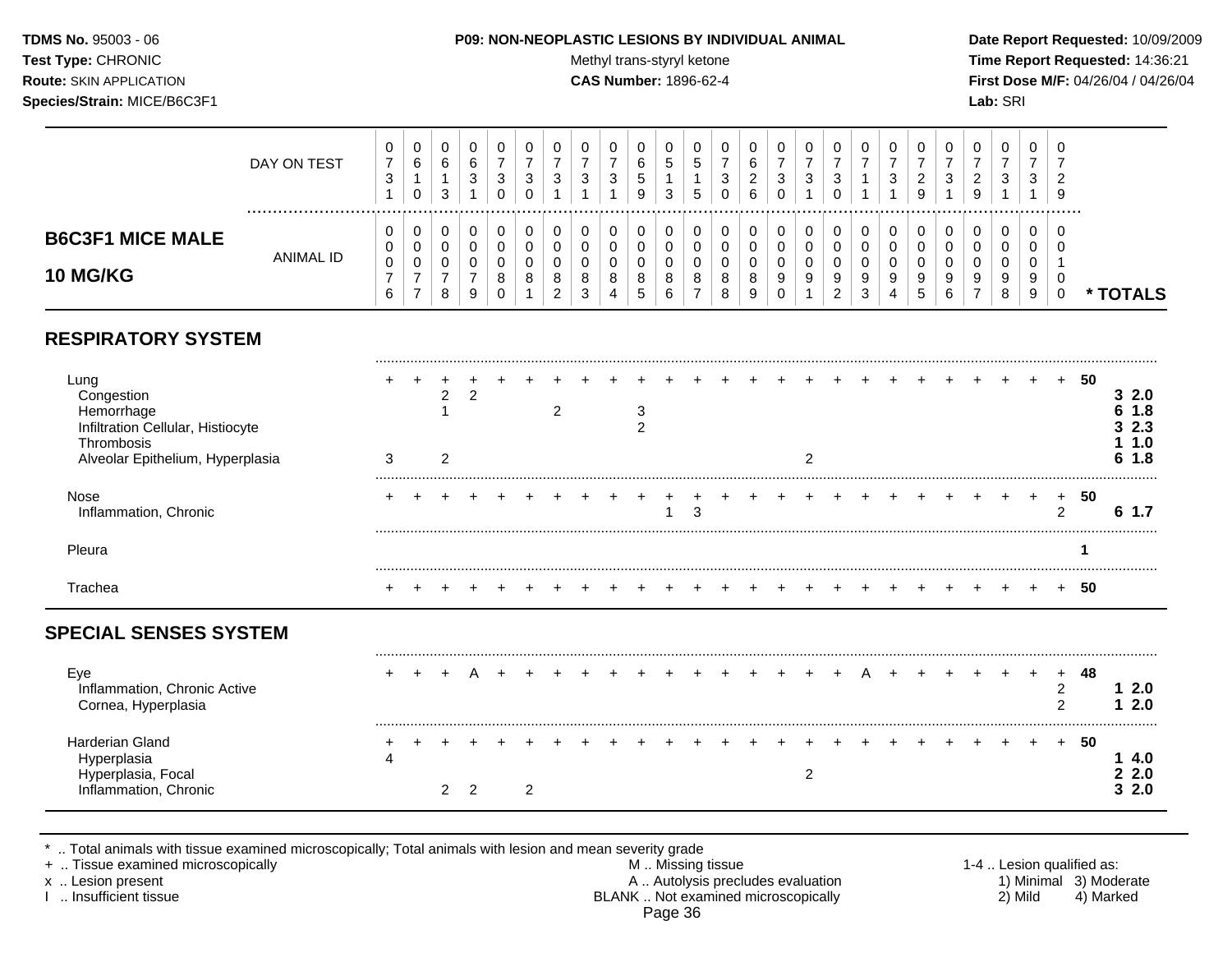### **TDMS No.** 95003 - 06 **P09: NON-NEOPLASTIC LESIONS BY INDIVIDUAL ANIMAL Date Report Requested:** 10/09/2009

Test Type: CHRONIC **Test Type:** CHRONIC **Test Type:** CHRONIC **Time Report Requested:** 14:36:21 **Route:** SKIN APPLICATION **CAS Number:** 1896-62-4 **First Dose M/F:** 04/26/04 / 04/26/04

|                                                                                                                         | DAY ON TEST      | 0<br>$\overline{7}$<br>$\sqrt{3}$<br>1               | 0<br>6<br>$\mathbf{1}$<br>$\Omega$           | $\pmb{0}$<br>6<br>$\mathbf{1}$<br>3 | 0<br>6<br>3<br>1              | 0<br>$\overline{7}$<br>3<br>$\Omega$   | 0<br>$\overline{7}$<br>3<br>$\Omega$ | 0<br>$\overline{7}$<br>3                  | 0<br>$\overline{7}$<br>3                  | 0<br>$\overline{7}$<br>3<br>1             | 0<br>6<br>$\sqrt{5}$<br>9 | 0<br>5<br>1<br>3                          | 0<br>5<br>1<br>5                                       | 0<br>$\overline{7}$<br>3<br>$\Omega$ | 0<br>6<br>$\overline{c}$<br>6   | 0<br>$\overline{7}$<br>3<br>$\Omega$   | 0<br>$\overline{7}$<br>3   | 0<br>$\overline{7}$<br>3<br>$\Omega$      | 0<br>$\overline{7}$             | 0<br>$\overline{7}$<br>3        | 0<br>$\overline{7}$<br>$\overline{c}$<br>9 | 0<br>$\overline{7}$<br>3                | 0<br>$\overline{7}$<br>$\overline{c}$<br>9   | $\pmb{0}$<br>$\overline{7}$<br>3 | 0<br>$\overline{7}$<br>3<br>1   | 0<br>$\overline{7}$<br>$\overline{c}$<br>9     |    |                                                   |
|-------------------------------------------------------------------------------------------------------------------------|------------------|------------------------------------------------------|----------------------------------------------|-------------------------------------|-------------------------------|----------------------------------------|--------------------------------------|-------------------------------------------|-------------------------------------------|-------------------------------------------|---------------------------|-------------------------------------------|--------------------------------------------------------|--------------------------------------|---------------------------------|----------------------------------------|----------------------------|-------------------------------------------|---------------------------------|---------------------------------|--------------------------------------------|-----------------------------------------|----------------------------------------------|----------------------------------|---------------------------------|------------------------------------------------|----|---------------------------------------------------|
| <b>B6C3F1 MICE MALE</b><br>10 MG/KG                                                                                     | <b>ANIMAL ID</b> | 0<br>$\mathbf 0$<br>$\pmb{0}$<br>$\overline{7}$<br>6 | 0<br>$\mathbf 0$<br>0<br>$\overline{7}$<br>7 | 0<br>0<br>0<br>$\overline{7}$<br>8  | 0<br>$\pmb{0}$<br>0<br>7<br>9 | 0<br>$\mathbf 0$<br>0<br>8<br>$\Omega$ | 0<br>$\Omega$<br>$\Omega$<br>8       | 0<br>$\Omega$<br>0<br>8<br>$\overline{2}$ | 0<br>$\mathbf 0$<br>$\mathbf 0$<br>8<br>3 | 0<br>$\mathbf 0$<br>$\mathbf 0$<br>8<br>4 | 0<br>0<br>0<br>8<br>5     | 0<br>$\mathbf 0$<br>$\mathbf 0$<br>8<br>6 | 0<br>$\mathbf 0$<br>$\mathbf 0$<br>8<br>$\overline{7}$ | 0<br>0<br>0<br>8<br>8                | 0<br>$\mathbf 0$<br>0<br>8<br>9 | 0<br>$\mathbf 0$<br>0<br>9<br>$\Omega$ | 0<br>$\mathbf 0$<br>0<br>9 | 0<br>$\mathsf 0$<br>$\mathbf 0$<br>9<br>2 | 0<br>$\mathbf 0$<br>0<br>9<br>3 | 0<br>$\mathbf 0$<br>0<br>9<br>4 | 0<br>0<br>0<br>9<br>5                      | 0<br>$\mathbf{0}$<br>$\Omega$<br>9<br>6 | 0<br>$\mathbf 0$<br>0<br>9<br>$\overline{7}$ | 0<br>0<br>0<br>9<br>8            | 0<br>$\mathbf 0$<br>0<br>9<br>9 | $\Omega$<br>$\Omega$<br>-1<br>0<br>$\mathbf 0$ |    | * TOTALS                                          |
| <b>RESPIRATORY SYSTEM</b>                                                                                               |                  |                                                      |                                              |                                     |                               |                                        |                                      |                                           |                                           |                                           |                           |                                           |                                                        |                                      |                                 |                                        |                            |                                           |                                 |                                 |                                            |                                         |                                              |                                  |                                 |                                                |    |                                                   |
| Lung<br>Congestion<br>Hemorrhage<br>Infiltration Cellular, Histiocyte<br>Thrombosis<br>Alveolar Epithelium, Hyperplasia |                  | 3                                                    |                                              | $\overline{c}$<br>2                 | $\overline{2}$                |                                        |                                      | 2                                         |                                           |                                           | 3<br>$\overline{2}$       |                                           |                                                        |                                      |                                 |                                        | 2                          |                                           |                                 |                                 |                                            |                                         |                                              |                                  |                                 | $\ddot{}$                                      | 50 | 32.0<br>1.8<br>6.<br>2.3<br>3.<br>1.0<br>1.8<br>6 |
| Nose<br>Inflammation, Chronic                                                                                           |                  |                                                      |                                              |                                     |                               |                                        |                                      |                                           |                                           |                                           |                           | 1                                         | 3                                                      |                                      |                                 |                                        |                            |                                           |                                 |                                 |                                            |                                         |                                              |                                  |                                 | $+$<br>$\overline{2}$                          | 50 | 61.7                                              |
| Pleura                                                                                                                  |                  |                                                      |                                              |                                     |                               |                                        |                                      |                                           |                                           |                                           |                           |                                           |                                                        |                                      |                                 |                                        |                            |                                           |                                 |                                 |                                            |                                         |                                              |                                  |                                 |                                                | 1  |                                                   |
| Trachea                                                                                                                 |                  |                                                      |                                              |                                     |                               |                                        |                                      |                                           |                                           |                                           |                           |                                           |                                                        |                                      |                                 |                                        |                            |                                           |                                 |                                 |                                            |                                         |                                              |                                  |                                 | $+$                                            | 50 |                                                   |
| <b>SPECIAL SENSES SYSTEM</b>                                                                                            |                  |                                                      |                                              |                                     |                               |                                        |                                      |                                           |                                           |                                           |                           |                                           |                                                        |                                      |                                 |                                        |                            |                                           |                                 |                                 |                                            |                                         |                                              |                                  |                                 |                                                |    |                                                   |
| Eye<br>Inflammation, Chronic Active<br>Cornea, Hyperplasia                                                              |                  |                                                      |                                              |                                     |                               |                                        |                                      |                                           |                                           |                                           |                           |                                           |                                                        |                                      |                                 |                                        |                            |                                           |                                 |                                 |                                            |                                         |                                              |                                  | $\div$                          | $\ddot{}$<br>$\overline{2}$<br>2               | 48 | 12.0<br>2.0<br>1.                                 |
| Harderian Gland<br>Hyperplasia<br>Hyperplasia, Focal<br>Inflammation, Chronic                                           |                  | 4                                                    |                                              | 2                                   | $\overline{2}$                |                                        | $\overline{c}$                       |                                           |                                           |                                           |                           |                                           |                                                        |                                      |                                 |                                        | $\boldsymbol{2}$           |                                           |                                 |                                 |                                            |                                         |                                              |                                  |                                 | $+$                                            | 50 | 14.0<br>22.0<br>32.0                              |

\* .. Total animals with tissue examined microscopically; Total animals with lesion and mean severity grade

+ .. Tissue examined microscopically M .. Missing tissue 1-4 .. Lesion qualified as: x .. Lesion present **A .. Autolysis precludes evaluation** A .. Autolysis precludes evaluation 1) Minimal 3) Moderate I .. Insufficient tissue BLANK .. Not examined microscopically 2) Mild 4) Marked Page 36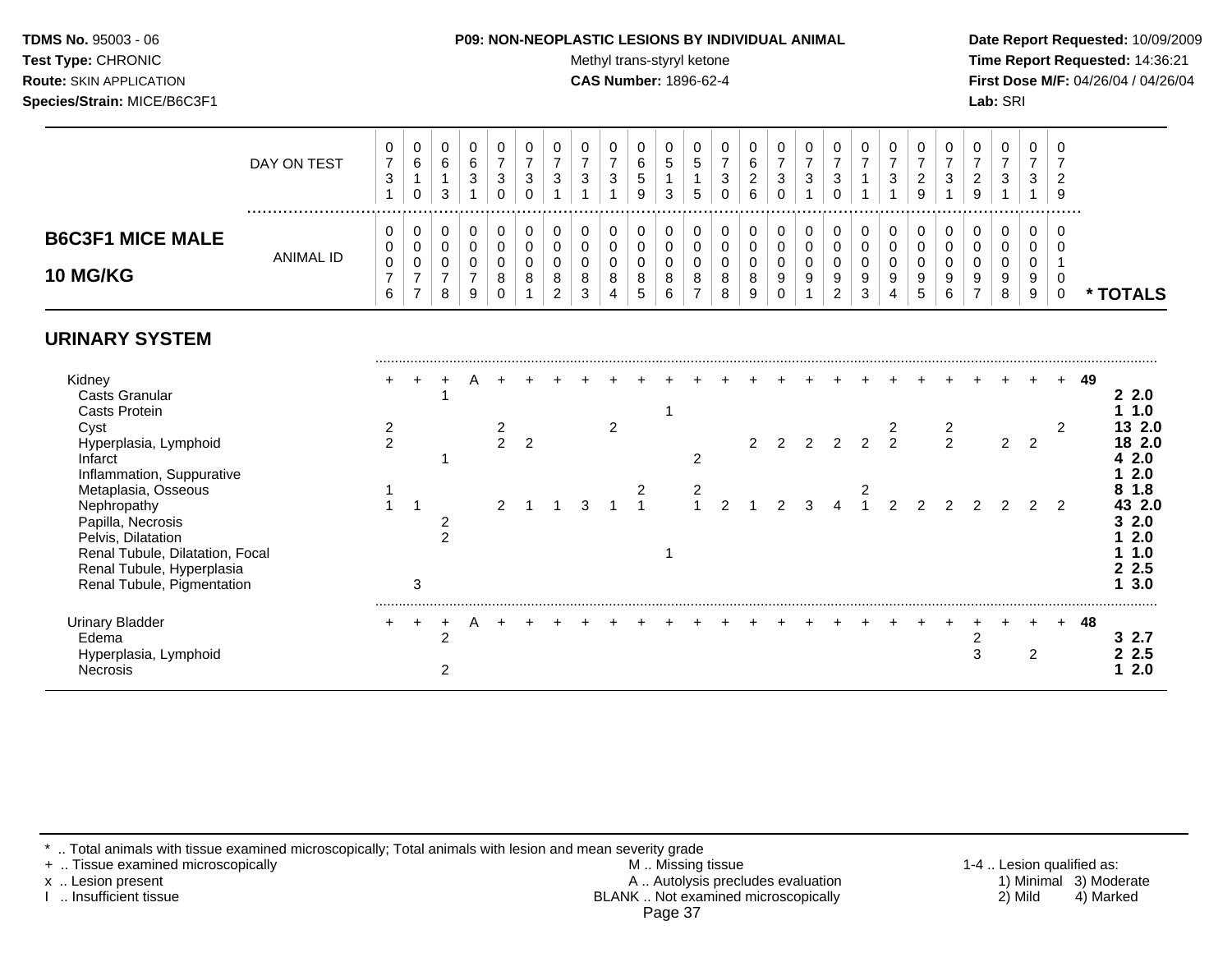## **TDMS No.** 95003 - 06 **P09: NON-NEOPLASTIC LESIONS BY INDIVIDUAL ANIMAL Date Report Requested:** 10/09/2009

Test Type: CHRONIC **Test Type:** CHRONIC **Test Type:** CHRONIC **Time Report Requested:** 14:36:21 **Route:** SKIN APPLICATION **CAS Number:** 1896-62-4 **First Dose M/F:** 04/26/04 / 04/26/04

|                                                                                                                                                                             | DAY ON TEST      | 0<br>$\boldsymbol{7}$<br>$\mathbf{3}$<br>1 | 0<br>$\,6\,$<br>0                               | 0<br>6<br>$\overline{1}$<br>3                          | $\mathbf 0$<br>6<br>$\mathbf{3}$                       | 0<br>$\boldsymbol{7}$<br>$\sqrt{3}$<br>0       | 0<br>$\overline{7}$<br>$\mathbf{3}$<br>0 | 0<br>$\overline{7}$<br>$\mathbf{3}$ | 0<br>$\overline{7}$<br>$\sqrt{3}$               | 0<br>$\overline{7}$<br>$\mathbf{3}$ | 0<br>$\,6\,$<br>$\sqrt{5}$<br>9 | 0<br>$\sqrt{5}$<br>$\mathbf{1}$<br>3            | 0<br>$\sqrt{5}$<br>5                                   | 0<br>$\overline{7}$<br>$\mathbf{3}$<br>0 | 0<br>$\,6\,$<br>$\overline{c}$<br>6 | 0<br>$\overline{7}$<br>$\sqrt{3}$<br>$\mathbf 0$                                | 0<br>$\overline{7}$<br>$\mathbf{3}$       | 0<br>$\overline{7}$<br>$\mathbf{3}$<br>$\mathbf 0$                    | 0<br>$\overline{7}$<br>$\mathbf{1}$       | 0<br>$\overline{7}$<br>$\sqrt{3}$         | 0<br>$\overline{7}$<br>$\overline{2}$<br>9 | 0<br>$\overline{7}$<br>$\mathbf{3}$ | 0<br>$\overline{7}$<br>$\overline{2}$<br>9 | 0<br>$\overline{7}$<br>3 | 0<br>$\boldsymbol{7}$<br>$\mathbf{3}$ | 0<br>$\overline{7}$<br>$\overline{2}$<br>9               |    |                                                                            |
|-----------------------------------------------------------------------------------------------------------------------------------------------------------------------------|------------------|--------------------------------------------|-------------------------------------------------|--------------------------------------------------------|--------------------------------------------------------|------------------------------------------------|------------------------------------------|-------------------------------------|-------------------------------------------------|-------------------------------------|---------------------------------|-------------------------------------------------|--------------------------------------------------------|------------------------------------------|-------------------------------------|---------------------------------------------------------------------------------|-------------------------------------------|-----------------------------------------------------------------------|-------------------------------------------|-------------------------------------------|--------------------------------------------|-------------------------------------|--------------------------------------------|--------------------------|---------------------------------------|----------------------------------------------------------|----|----------------------------------------------------------------------------|
| <b>B6C3F1 MICE MALE</b><br><b>10 MG/KG</b>                                                                                                                                  | <b>ANIMAL ID</b> | 0<br>0<br>$\pmb{0}$<br>$\overline{7}$<br>6 | 0<br>0<br>0<br>$\overline{7}$<br>$\overline{7}$ | 0<br>$\mathbf 0$<br>$\mathbf 0$<br>$\overline{7}$<br>8 | 0<br>$\mathbf 0$<br>$\mathbf 0$<br>$\overline{7}$<br>9 | 0<br>$\pmb{0}$<br>$\mathbf 0$<br>8<br>$\Omega$ | 0<br>$\mathbf 0$<br>$\mathbf 0$<br>8     | 0<br>0<br>$\Omega$<br>8<br>2        | 0<br>$\mathbf 0$<br>$\mathbf 0$<br>$\,8\,$<br>3 | 0<br>$\pmb{0}$<br>0<br>8<br>4       | 0<br>0<br>0<br>8<br>5           | 0<br>$\mathbf 0$<br>$\mathbf 0$<br>$\bf 8$<br>6 | 0<br>$\mathbf 0$<br>$\mathbf 0$<br>8<br>$\overline{7}$ | 0<br>0<br>0<br>8<br>8                    | 0<br>0<br>$\mathbf 0$<br>8<br>9     | 0<br>$\mathsf{O}\xspace$<br>$\mathsf{O}\xspace$<br>$\boldsymbol{9}$<br>$\Omega$ | 0<br>$\mathsf{O}$<br>$\mathbf 0$<br>$9\,$ | 0<br>$\mathbf 0$<br>$\mathbf 0$<br>$\boldsymbol{9}$<br>$\overline{2}$ | 0<br>$\mathbf 0$<br>$\mathbf 0$<br>9<br>3 | 0<br>$\mathbf 0$<br>$\mathbf 0$<br>9<br>4 | 0<br>$\mathbf 0$<br>$\Omega$<br>9<br>5     | 0<br>0<br>$\Omega$<br>9<br>6        | 0<br>$\mathbf 0$<br>$\mathbf{0}$<br>9      | 0<br>0<br>0<br>9<br>8    | 0<br>0<br>0<br>9<br>9                 | $\Omega$<br>$\Omega$<br>-1<br>$\mathbf 0$<br>$\mathbf 0$ |    | * TOTALS                                                                   |
| <b>URINARY SYSTEM</b>                                                                                                                                                       |                  |                                            |                                                 |                                                        |                                                        |                                                |                                          |                                     |                                                 |                                     |                                 |                                                 |                                                        |                                          |                                     |                                                                                 |                                           |                                                                       |                                           |                                           |                                            |                                     |                                            |                          |                                       |                                                          |    |                                                                            |
| Kidney<br><b>Casts Granular</b><br><b>Casts Protein</b>                                                                                                                     |                  |                                            |                                                 |                                                        |                                                        |                                                |                                          |                                     |                                                 |                                     |                                 |                                                 |                                                        |                                          |                                     |                                                                                 |                                           |                                                                       |                                           |                                           |                                            |                                     |                                            |                          |                                       |                                                          | 49 | 22.0<br>1.0                                                                |
| Cyst<br>Hyperplasia, Lymphoid<br>Infarct<br>Inflammation, Suppurative                                                                                                       |                  | $\overline{c}$<br>$\overline{2}$           |                                                 |                                                        |                                                        | $\frac{2}{2}$                                  | $\overline{2}$                           |                                     |                                                 | 2                                   |                                 |                                                 | $\overline{c}$                                         |                                          | 2                                   | $\overline{2}$                                                                  | 2                                         | 2                                                                     | $\mathcal{P}$                             | 2<br>$\overline{2}$                       |                                            | $\frac{2}{2}$                       |                                            | $\overline{c}$           | $\overline{2}$                        | 2                                                        |    | 13 2.0<br>18 2.0<br>2.0<br>2.0                                             |
| Metaplasia, Osseous<br>Nephropathy<br>Papilla, Necrosis<br>Pelvis, Dilatation<br>Renal Tubule, Dilatation, Focal<br>Renal Tubule, Hyperplasia<br>Renal Tubule, Pigmentation |                  |                                            | 3                                               | $\overline{c}$<br>$\overline{2}$                       |                                                        | 2                                              |                                          |                                     | 3                                               |                                     | 2<br>$\overline{1}$             |                                                 | $\overline{\mathbf{c}}$<br>$\overline{A}$              | $\mathfrak{D}$                           |                                     | $\mathcal{P}$                                                                   | 3                                         |                                                                       | 2                                         | $\overline{2}$                            |                                            |                                     |                                            | $\mathcal{P}$            | $\mathcal{P}$                         | $\overline{2}$                                           |    | 1.8<br>43 2.0<br>2.0<br>3<br>2.0<br>1.0<br>2.5<br>$\mathbf{2}$<br>3.0<br>1 |
| <b>Urinary Bladder</b><br>Edema<br>Hyperplasia, Lymphoid<br><b>Necrosis</b>                                                                                                 |                  |                                            | $\ddot{}$                                       | $\ddot{}$<br>$\overline{2}$<br>$\overline{2}$          | A                                                      |                                                |                                          |                                     |                                                 |                                     |                                 |                                                 |                                                        |                                          |                                     |                                                                                 |                                           |                                                                       |                                           |                                           |                                            |                                     | $\overline{2}$<br>3                        |                          | $\overline{2}$                        |                                                          | 48 | 32.7<br>2.5<br>2.0                                                         |

\* .. Total animals with tissue examined microscopically; Total animals with lesion and mean severity grade

+ .. Tissue examined microscopically M .. Missing tissue 1-4 .. Lesion qualified as: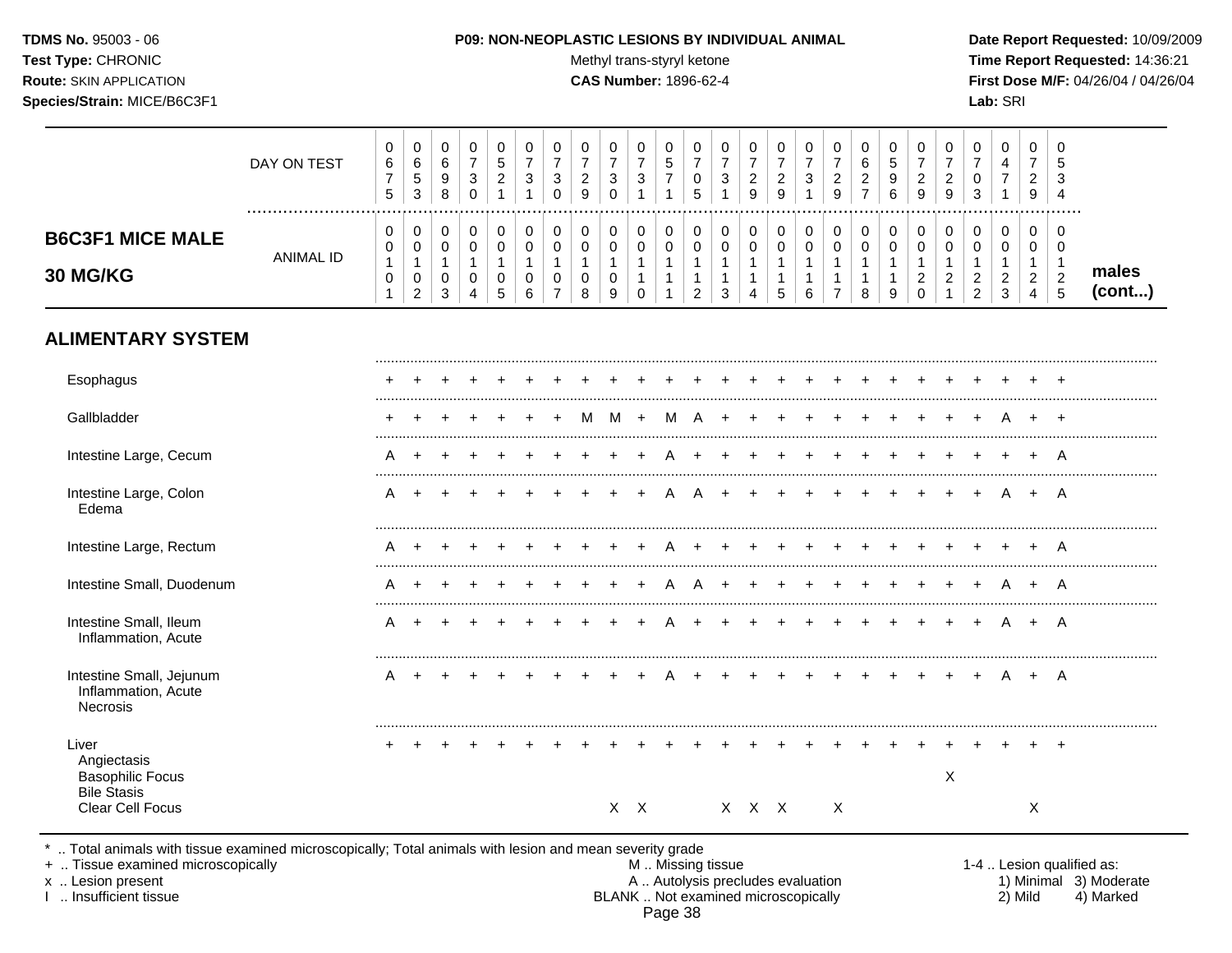#### **TDMS No.** 95003 - 06 **P09: NON-NEOPLASTIC LESIONS BY INDIVIDUAL ANIMAL Date Report Requested:** 10/09/2009

Test Type: CHRONIC **Test Type:** CHRONIC **Test Type:** CHRONIC **Time Report Requested:** 14:36:21 **Route:** SKIN APPLICATION **CAS Number:** 1896-62-4 **First Dose M/F:** 04/26/04 / 04/26/04

|                                                                       | DAY ON TEST      | 0<br>$6\phantom{1}6$<br>$\overline{7}$<br>$5\phantom{.0}$ | 0<br>$\,6\,$<br>$\sqrt{5}$<br>3                                       | 0<br>6<br>$\boldsymbol{9}$<br>8                                | 0<br>$\overline{7}$<br>$\ensuremath{\mathsf{3}}$<br>$\mathbf 0$ | 0<br>$\,$ 5 $\,$<br>$\overline{c}$                 | 0<br>$\overline{7}$<br>$\ensuremath{\mathsf{3}}$<br>1 | $\mathbf 0$<br>$\overline{7}$<br>$\ensuremath{\mathsf{3}}$<br>0 | 0<br>$\overline{7}$<br>$\sqrt{2}$<br>9                     | 0<br>$\overline{7}$<br>$\mathsf 3$<br>$\mathbf 0$    | 0<br>$\overline{7}$<br>$\ensuremath{\mathsf{3}}$<br>1         | 0<br>$\,$ 5 $\,$<br>$\boldsymbol{7}$<br>$\mathbf{1}$  | 0<br>$\overline{7}$<br>$\mathbf 0$<br>5                                    | 0<br>$\overline{7}$<br>$\ensuremath{\mathsf{3}}$ | 0<br>$\overline{7}$<br>$\overline{2}$<br>$9\,$ | 0<br>$\overline{7}$<br>$\overline{c}$<br>$\boldsymbol{9}$            | 0<br>$\overline{7}$<br>$\mathsf 3$<br>$\mathbf{1}$            | 0<br>$\overline{7}$<br>$\boldsymbol{2}$<br>9                   | 0<br>6<br>$\overline{a}$<br>$\overline{7}$          | 0<br>5<br>9<br>6                                    | 0<br>$\overline{7}$<br>$\sqrt{2}$<br>$\boldsymbol{9}$         | 0<br>$\overline{7}$<br>$\sqrt{2}$<br>9                          | 0<br>$\overline{7}$<br>$\mathbf 0$<br>3                          | 0<br>4<br>$\boldsymbol{7}$<br>1                                            | 0<br>$\overline{7}$<br>$\overline{c}$<br>9                                   | 0<br>5<br>$\mathbf{3}$<br>$\overline{4}$<br>.                     |                 |
|-----------------------------------------------------------------------|------------------|-----------------------------------------------------------|-----------------------------------------------------------------------|----------------------------------------------------------------|-----------------------------------------------------------------|----------------------------------------------------|-------------------------------------------------------|-----------------------------------------------------------------|------------------------------------------------------------|------------------------------------------------------|---------------------------------------------------------------|-------------------------------------------------------|----------------------------------------------------------------------------|--------------------------------------------------|------------------------------------------------|----------------------------------------------------------------------|---------------------------------------------------------------|----------------------------------------------------------------|-----------------------------------------------------|-----------------------------------------------------|---------------------------------------------------------------|-----------------------------------------------------------------|------------------------------------------------------------------|----------------------------------------------------------------------------|------------------------------------------------------------------------------|-------------------------------------------------------------------|-----------------|
| <b>B6C3F1 MICE MALE</b><br>30 MG/KG                                   | <b>ANIMAL ID</b> | 0<br>0<br>$\mathbf{1}$<br>$\pmb{0}$<br>$\mathbf 1$        | $\pmb{0}$<br>$\pmb{0}$<br>$\mathbf{1}$<br>$\pmb{0}$<br>$\overline{2}$ | $\pmb{0}$<br>$\mathbf 0$<br>$\overline{1}$<br>$\mathbf 0$<br>3 | $\,0\,$<br>$\mathbf 0$<br>$\mathbf{1}$<br>0<br>4                | $\pmb{0}$<br>0<br>$\mathbf{1}$<br>$\mathbf 0$<br>5 | $\pmb{0}$<br>$\mathbf 0$<br>$\mathbf{1}$<br>0<br>6    | 0<br>$\mathbf 0$<br>$\mathbf{1}$<br>$\pmb{0}$<br>$\overline{7}$ | $\pmb{0}$<br>$\mathbf 0$<br>$\mathbf{1}$<br>$\pmb{0}$<br>8 | 0<br>$\mathbf 0$<br>$\mathbf{1}$<br>$\mathbf 0$<br>9 | $\pmb{0}$<br>0<br>$\mathbf{1}$<br>$\mathbf{1}$<br>$\mathbf 0$ | 0<br>$\mathbf 0$<br>$\mathbf{1}$<br>$\mathbf{1}$<br>1 | $\pmb{0}$<br>$\pmb{0}$<br>$\overline{1}$<br>$\mathbf{1}$<br>$\overline{2}$ | $\pmb{0}$<br>0<br>1<br>1<br>3                    | 0<br>$\mathbf 0$<br>$\mathbf{1}$<br>1<br>4     | $\pmb{0}$<br>$\pmb{0}$<br>$\mathbf{1}$<br>$\mathbf{1}$<br>$\sqrt{5}$ | $\pmb{0}$<br>$\mathbf 0$<br>$\mathbf{1}$<br>$\mathbf{1}$<br>6 | $\,0\,$<br>0<br>$\mathbf{1}$<br>$\mathbf{1}$<br>$\overline{7}$ | $\pmb{0}$<br>0<br>$\mathbf{1}$<br>$\mathbf{1}$<br>8 | $\pmb{0}$<br>0<br>$\mathbf{1}$<br>$\mathbf{1}$<br>9 | 0<br>$\mathbf 0$<br>$\mathbf{1}$<br>$\sqrt{2}$<br>$\mathbf 0$ | 0<br>$\mathbf 0$<br>$\mathbf 1$<br>$\sqrt{2}$<br>$\overline{1}$ | 0<br>$\mathbf 0$<br>$\mathbf{1}$<br>$\sqrt{2}$<br>$\overline{2}$ | $\pmb{0}$<br>$\mathbf 0$<br>$\mathbf{1}$<br>$\overline{c}$<br>$\mathbf{3}$ | $\pmb{0}$<br>$\mathbf 0$<br>$\mathbf{1}$<br>$\overline{2}$<br>$\overline{4}$ | $\mathbf 0$<br>$\mathbf 0$<br>$\mathbf{1}$<br>$\overline{2}$<br>5 | males<br>(cont) |
| <b>ALIMENTARY SYSTEM</b>                                              |                  |                                                           |                                                                       |                                                                |                                                                 |                                                    |                                                       |                                                                 |                                                            |                                                      |                                                               |                                                       |                                                                            |                                                  |                                                |                                                                      |                                                               |                                                                |                                                     |                                                     |                                                               |                                                                 |                                                                  |                                                                            |                                                                              |                                                                   |                 |
| Esophagus                                                             |                  |                                                           |                                                                       |                                                                |                                                                 |                                                    |                                                       |                                                                 |                                                            |                                                      |                                                               |                                                       |                                                                            |                                                  |                                                |                                                                      |                                                               |                                                                |                                                     |                                                     |                                                               |                                                                 |                                                                  |                                                                            |                                                                              |                                                                   |                 |
| Gallbladder                                                           |                  |                                                           |                                                                       |                                                                |                                                                 |                                                    |                                                       |                                                                 | м                                                          | м                                                    |                                                               | м                                                     |                                                                            |                                                  |                                                |                                                                      |                                                               |                                                                |                                                     |                                                     |                                                               |                                                                 |                                                                  | A                                                                          | $\ddot{}$                                                                    | $\div$                                                            |                 |
| Intestine Large, Cecum                                                |                  | Α                                                         |                                                                       |                                                                |                                                                 |                                                    |                                                       |                                                                 |                                                            |                                                      |                                                               |                                                       |                                                                            |                                                  |                                                |                                                                      |                                                               |                                                                |                                                     |                                                     |                                                               |                                                                 |                                                                  |                                                                            |                                                                              | A                                                                 |                 |
| Intestine Large, Colon<br>Edema                                       |                  | A                                                         | $\pm$                                                                 |                                                                |                                                                 |                                                    |                                                       |                                                                 |                                                            |                                                      |                                                               |                                                       |                                                                            |                                                  |                                                |                                                                      |                                                               |                                                                |                                                     |                                                     |                                                               |                                                                 |                                                                  |                                                                            | $\ddot{}$                                                                    | A                                                                 |                 |
| Intestine Large, Rectum                                               |                  | A                                                         | $\div$                                                                |                                                                |                                                                 |                                                    |                                                       |                                                                 |                                                            |                                                      |                                                               |                                                       |                                                                            |                                                  |                                                |                                                                      |                                                               |                                                                |                                                     |                                                     |                                                               |                                                                 |                                                                  |                                                                            | $\div$                                                                       | A                                                                 |                 |
| Intestine Small, Duodenum                                             |                  | Α                                                         | $\ddot{}$                                                             |                                                                |                                                                 |                                                    |                                                       |                                                                 |                                                            |                                                      |                                                               |                                                       |                                                                            |                                                  |                                                |                                                                      |                                                               |                                                                |                                                     |                                                     |                                                               |                                                                 |                                                                  | A                                                                          | $\ddot{}$                                                                    | A                                                                 |                 |
| Intestine Small, Ileum<br>Inflammation, Acute                         |                  | Α                                                         |                                                                       |                                                                |                                                                 |                                                    |                                                       |                                                                 |                                                            |                                                      |                                                               |                                                       |                                                                            |                                                  |                                                |                                                                      |                                                               |                                                                |                                                     |                                                     |                                                               |                                                                 |                                                                  | A                                                                          | $+$                                                                          | A                                                                 |                 |
| Intestine Small, Jejunum<br>Inflammation, Acute<br>Necrosis           |                  | A                                                         | $\ddot{}$                                                             |                                                                |                                                                 |                                                    |                                                       |                                                                 |                                                            |                                                      | $\ddot{}$                                                     | A                                                     |                                                                            |                                                  | $\ddot{}$                                      | $\ddot{}$                                                            | $\ddot{}$                                                     | $\div$                                                         |                                                     |                                                     | $\ddot{}$                                                     | $+$                                                             | $+$                                                              | A                                                                          | + A                                                                          |                                                                   |                 |
| Liver<br>Angiectasis<br><b>Basophilic Focus</b><br><b>Bile Stasis</b> |                  |                                                           |                                                                       |                                                                |                                                                 |                                                    |                                                       |                                                                 |                                                            |                                                      |                                                               |                                                       |                                                                            |                                                  |                                                |                                                                      |                                                               |                                                                |                                                     |                                                     |                                                               | X                                                               |                                                                  |                                                                            |                                                                              |                                                                   |                 |
| Clear Cell Focus                                                      |                  |                                                           |                                                                       |                                                                |                                                                 |                                                    |                                                       |                                                                 |                                                            |                                                      | X X                                                           |                                                       |                                                                            |                                                  | X X X                                          |                                                                      |                                                               | $\boldsymbol{\mathsf{X}}$                                      |                                                     |                                                     |                                                               |                                                                 |                                                                  |                                                                            | Χ                                                                            |                                                                   |                 |

\* .. Total animals with tissue examined microscopically; Total animals with lesion and mean severity grade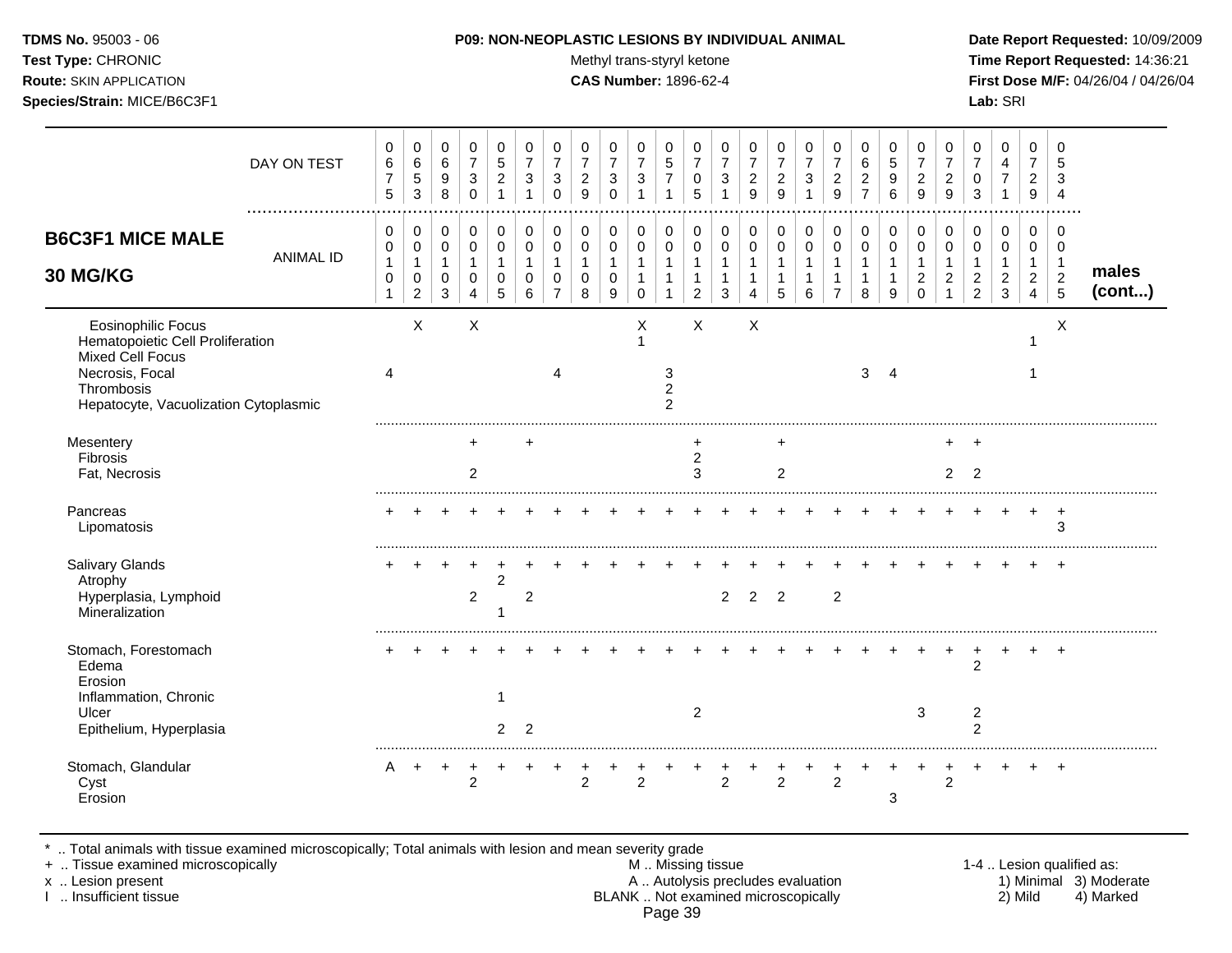Test Type: CHRONIC **Test Type:** CHRONIC **Test Type:** CHRONIC **Time Report Requested:** 14:36:21 **Route:** SKIN APPLICATION **CAS Number:** 1896-62-4 **First Dose M/F:** 04/26/04 / 04/26/04

|                                                                                                                                                             | DAY ON TEST      | 0<br>6<br>$\overline{7}$<br>5               | $\pmb{0}$<br>$\,6\,$<br>$\sqrt{5}$<br>3       | 0<br>6<br>9<br>8                                     | 0<br>$\overline{7}$<br>3<br>$\Omega$         | 0<br>5<br>$\overline{c}$             | 0<br>$\overline{7}$<br>3     | 0<br>$\overline{7}$<br>3<br>$\Omega$ | 0<br>$\overline{7}$<br>$\overline{c}$<br>9 | $\pmb{0}$<br>$\overline{7}$<br>$\mathbf{3}$<br>$\mathbf 0$ | 0<br>$\overline{7}$<br>3<br>1              | 0<br>5<br>$\overline{7}$              | 0<br>$\overline{7}$<br>0<br>5  | 0<br>$\overline{7}$<br>3     | 0<br>$\overline{7}$<br>$\overline{c}$<br>9 | 0<br>$\overline{7}$<br>$\overline{c}$<br>9 | $\pmb{0}$<br>$\overline{7}$<br>3<br>$\mathbf{1}$   | 0<br>$\overline{7}$<br>$\overline{2}$<br>9              | 0<br>6<br>$\overline{c}$<br>$\overline{7}$ | 0<br>5<br>9<br>6         | 0<br>$\overline{7}$<br>$\overline{c}$<br>9     | 0<br>$\overline{7}$<br>$\overline{c}$<br>9 | 0<br>$\overline{7}$<br>0<br>3                                       | $\pmb{0}$<br>4<br>$\boldsymbol{7}$<br>$\mathbf{1}$               | 0<br>$\overline{7}$<br>$\overline{2}$<br>9                  | $\Omega$<br>5<br>3<br>$\overline{4}$          |                 |
|-------------------------------------------------------------------------------------------------------------------------------------------------------------|------------------|---------------------------------------------|-----------------------------------------------|------------------------------------------------------|----------------------------------------------|--------------------------------------|------------------------------|--------------------------------------|--------------------------------------------|------------------------------------------------------------|--------------------------------------------|---------------------------------------|--------------------------------|------------------------------|--------------------------------------------|--------------------------------------------|----------------------------------------------------|---------------------------------------------------------|--------------------------------------------|--------------------------|------------------------------------------------|--------------------------------------------|---------------------------------------------------------------------|------------------------------------------------------------------|-------------------------------------------------------------|-----------------------------------------------|-----------------|
| <b>B6C3F1 MICE MALE</b><br>30 MG/KG                                                                                                                         | <b>ANIMAL ID</b> | 0<br>0<br>$\mathbf{1}$<br>0<br>$\mathbf{1}$ | 0<br>0<br>$\mathbf{1}$<br>0<br>$\overline{2}$ | 0<br>$\mathbf 0$<br>$\mathbf{1}$<br>$\mathbf 0$<br>3 | 0<br>$\mathbf 0$<br>$\overline{1}$<br>0<br>4 | 0<br>$\Omega$<br>-1<br>$\Omega$<br>5 | 0<br>$\Omega$<br>1<br>0<br>6 | 0<br>$\mathbf 0$<br>0                | 0<br>$\mathbf 0$<br>$\mathbf{1}$<br>0<br>8 | 0<br>$\pmb{0}$<br>$\mathbf{1}$<br>0<br>9                   | 0<br>$\mathbf 0$<br>$\mathbf{1}$<br>1<br>0 | 0<br>$\mathbf 0$<br>$\mathbf{1}$<br>1 | 0<br>0<br>-1<br>$\overline{2}$ | 0<br>$\Omega$<br>1<br>1<br>3 | 0<br>$\mathbf 0$<br>4                      | 0<br>$\mathbf 0$<br>$\mathbf 1$<br>5       | 0<br>$\pmb{0}$<br>$\mathbf{1}$<br>$\mathbf 1$<br>6 | 0<br>$\mathbf 0$<br>$\mathbf{1}$<br>1<br>$\overline{7}$ | 0<br>$\pmb{0}$<br>$\mathbf{1}$<br>8        | 0<br>$\Omega$<br>-1<br>9 | 0<br>$\Omega$<br>$\mathbf{1}$<br>2<br>$\Omega$ | 0<br>$\Omega$<br>$\overline{c}$            | 0<br>$\mathbf 0$<br>$\mathbf 1$<br>$\overline{c}$<br>$\overline{2}$ | 0<br>$\pmb{0}$<br>$\mathbf{1}$<br>$\overline{c}$<br>$\mathbf{3}$ | 0<br>$\mathbf 0$<br>$\overline{1}$<br>$\boldsymbol{2}$<br>4 | 0<br>$\mathbf 0$<br>-1<br>$\overline{c}$<br>5 | males<br>(cont) |
| <b>Eosinophilic Focus</b><br>Hematopoietic Cell Proliferation<br>Mixed Cell Focus<br>Necrosis, Focal<br>Thrombosis<br>Hepatocyte, Vacuolization Cytoplasmic |                  | 4                                           | X                                             |                                                      | $\times$                                     |                                      |                              | Λ                                    |                                            |                                                            | X<br>-1                                    | 3<br>$\overline{c}$<br>$\overline{2}$ | $\times$                       |                              | X                                          |                                            |                                                    |                                                         | 3                                          | Δ                        |                                                |                                            |                                                                     |                                                                  | 1                                                           | X                                             |                 |
| Mesentery<br>Fibrosis<br>Fat, Necrosis                                                                                                                      |                  |                                             |                                               |                                                      | $\div$<br>2                                  |                                      | ÷                            |                                      |                                            |                                                            |                                            |                                       | $\overline{c}$<br>3            |                              |                                            | ٠<br>2                                     |                                                    |                                                         |                                            |                          |                                                | 2                                          | $\overline{2}$                                                      |                                                                  |                                                             |                                               |                 |
| Pancreas<br>Lipomatosis                                                                                                                                     |                  |                                             |                                               |                                                      |                                              |                                      |                              |                                      |                                            |                                                            |                                            |                                       |                                |                              |                                            |                                            |                                                    |                                                         |                                            |                          |                                                |                                            |                                                                     |                                                                  |                                                             | $\ddot{}$<br>3                                |                 |
| Salivary Glands<br>Atrophy<br>Hyperplasia, Lymphoid<br>Mineralization                                                                                       |                  |                                             |                                               |                                                      | $\overline{2}$                               | $\overline{2}$                       | $\overline{c}$               |                                      |                                            |                                                            |                                            |                                       |                                | $\overline{2}$               | 2 <sub>2</sub>                             |                                            |                                                    | $\overline{2}$                                          |                                            |                          |                                                |                                            |                                                                     |                                                                  |                                                             |                                               |                 |
| Stomach, Forestomach<br>Edema<br>Erosion<br>Inflammation, Chronic<br>Ulcer<br>Epithelium, Hyperplasia                                                       |                  |                                             |                                               |                                                      |                                              | $\overline{2}$                       | $\overline{2}$               |                                      |                                            |                                                            |                                            |                                       | 2                              |                              |                                            |                                            |                                                    |                                                         |                                            |                          | 3                                              |                                            | $\overline{2}$<br>$\overline{\mathbf{c}}$<br>$\overline{2}$         |                                                                  |                                                             | $\ddot{}$                                     |                 |
| Stomach, Glandular<br>Cyst<br>Erosion                                                                                                                       |                  | A                                           | $+$                                           | $^{+}$                                               | $\ddot{}$<br>$\overline{2}$                  |                                      |                              |                                      | +<br>$\overline{2}$                        |                                                            | $\overline{2}$                             |                                       |                                | $\mathfrak{p}$               |                                            | $\overline{2}$                             | +                                                  | $\overline{2}$                                          | ٠                                          | 3                        |                                                | $\ddot{}$<br>$\overline{2}$                | ٠                                                                   |                                                                  |                                                             | $\overline{+}$                                |                 |

\* .. Total animals with tissue examined microscopically; Total animals with lesion and mean severity grade

+ .. Tissue examined microscopically M .. Missing tissue 1-4 .. Lesion qualified as: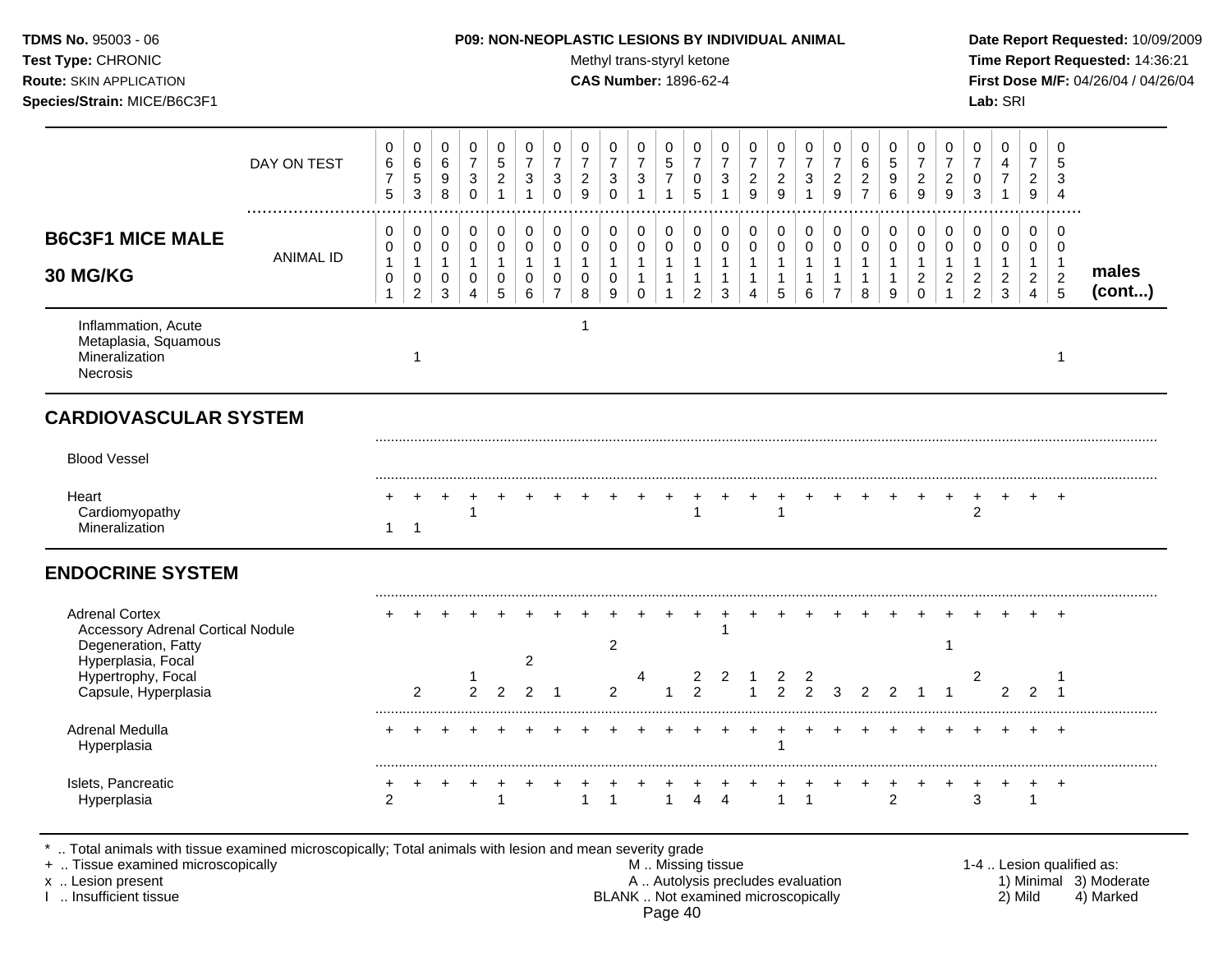# **TDMS No.** 95003 - 06 **P09: NON-NEOPLASTIC LESIONS BY INDIVIDUAL ANIMAL Date Report Requested:** 10/09/2009

Test Type: CHRONIC **Test Type:** CHRONIC **Test Type:** CHRONIC **Time Report Requested:** 14:36:21 **Route:** SKIN APPLICATION **CAS Number:** 1896-62-4 **First Dose M/F:** 04/26/04 / 04/26/04

|                                                                                                                                                                                            | DAY ON TEST      | 0<br>6<br>$\overline{7}$<br>5              | 0<br>$\,6$<br>5<br>3                          | 0<br>6<br>9<br>8                 | $\mathbf 0$<br>$\overline{7}$<br>$\mathbf{3}$<br>$\mathbf 0$      | $\pmb{0}$<br>5<br>$\overline{c}$<br>$\mathbf{1}$ | $\mathbf 0$<br>$\overline{7}$<br>$\sqrt{3}$<br>$\mathbf{1}$ | 0<br>$\overline{7}$<br>3<br>$\Omega$                              | $\mathbf 0$<br>$\overline{7}$<br>$\overline{c}$<br>9 | 0<br>7<br>3<br>$\Omega$                    | $\mathbf 0$<br>$\overline{7}$<br>$\mathbf{3}$<br>$\mathbf{1}$ | $\mathbf 0$<br>$\overline{5}$<br>$\boldsymbol{7}$<br>$\mathbf{1}$ | $\mathbf 0$<br>$\overline{7}$<br>0<br>5                            | 0<br>$\overline{7}$<br>3<br>$\mathbf{1}$              | $\mathbf 0$<br>$\overline{7}$<br>$\overline{c}$<br>9                     | 0<br>$\overline{7}$<br>$\overline{c}$<br>9            | 0<br>$\overline{7}$<br>$\mathbf{3}$<br>$\mathbf{1}$           | 0<br>$\overline{7}$<br>$\overline{c}$<br>9                         | 0<br>$\,6\,$<br>$\sqrt{2}$<br>$\overline{7}$                  | $\mathbf 0$<br>$\sqrt{5}$<br>9<br>6                     | $\mathbf 0$<br>$\overline{7}$<br>$\sqrt{2}$<br>9               | 0<br>$\overline{7}$<br>$\overline{c}$<br>9                         | 0<br>$\overline{7}$<br>0<br>$\mathbf{3}$                             | $\mathbf 0$<br>4<br>$\boldsymbol{7}$<br>$\mathbf{1}$ | $\mathbf 0$<br>$\overline{7}$<br>$\overline{a}$<br>9                 | $\mathbf 0$<br>5<br>3<br>$\overline{4}$                   |                                                                  |
|--------------------------------------------------------------------------------------------------------------------------------------------------------------------------------------------|------------------|--------------------------------------------|-----------------------------------------------|----------------------------------|-------------------------------------------------------------------|--------------------------------------------------|-------------------------------------------------------------|-------------------------------------------------------------------|------------------------------------------------------|--------------------------------------------|---------------------------------------------------------------|-------------------------------------------------------------------|--------------------------------------------------------------------|-------------------------------------------------------|--------------------------------------------------------------------------|-------------------------------------------------------|---------------------------------------------------------------|--------------------------------------------------------------------|---------------------------------------------------------------|---------------------------------------------------------|----------------------------------------------------------------|--------------------------------------------------------------------|----------------------------------------------------------------------|------------------------------------------------------|----------------------------------------------------------------------|-----------------------------------------------------------|------------------------------------------------------------------|
| <b>B6C3F1 MICE MALE</b><br>30 MG/KG                                                                                                                                                        | <b>ANIMAL ID</b> | 0<br>0<br>$\mathbf{1}$<br>0<br>$\mathbf 1$ | 0<br>0<br>$\mathbf{1}$<br>0<br>$\overline{a}$ | 0<br>0<br>$\mathbf{1}$<br>0<br>3 | 0<br>$\mathbf 0$<br>$\mathbf{1}$<br>$\mathbf 0$<br>$\overline{4}$ | 0<br>$\pmb{0}$<br>$\mathbf{1}$<br>0<br>5         | 0<br>$\pmb{0}$<br>$\mathbf{1}$<br>0<br>6                    | 0<br>$\mathbf 0$<br>$\mathbf{1}$<br>$\mathbf 0$<br>$\overline{7}$ | 0<br>$\mathbf 0$<br>$\mathbf{1}$<br>$\mathbf 0$<br>8 | 0<br>$\mathbf 0$<br>$\mathbf{1}$<br>0<br>9 | 0<br>$\mathsf{O}\xspace$<br>$\mathbf{1}$<br>$\mathbf{1}$<br>0 | 0<br>$\mathbf 0$<br>$\mathbf{1}$<br>$\mathbf{1}$<br>$\mathbf{1}$  | 0<br>$\mathbf 0$<br>$\mathbf{1}$<br>$\mathbf{1}$<br>$\overline{2}$ | 0<br>$\mathbf 0$<br>$\mathbf{1}$<br>$\mathbf{1}$<br>3 | 0<br>$\mathbf 0$<br>$\mathbf{1}$<br>$\mathbf{1}$<br>$\overline{4}$       | 0<br>$\mathbf 0$<br>$\mathbf{1}$<br>$\mathbf{1}$<br>5 | 0<br>$\mathsf{O}\xspace$<br>$\mathbf{1}$<br>$\mathbf{1}$<br>6 | 0<br>$\mathbf 0$<br>$\mathbf{1}$<br>$\mathbf{1}$<br>$\overline{7}$ | 0<br>$\mathsf{O}\xspace$<br>$\mathbf{1}$<br>$\mathbf{1}$<br>8 | 0<br>$\mathbf 0$<br>$\overline{1}$<br>$\mathbf{1}$<br>9 | 0<br>$\mathbf 0$<br>$\mathbf{1}$<br>$\overline{c}$<br>$\Omega$ | 0<br>$\mathbf 0$<br>$\mathbf{1}$<br>$\overline{c}$<br>$\mathbf{1}$ | 0<br>$\mathbf 0$<br>$\mathbf{1}$<br>$\overline{2}$<br>$\overline{c}$ | 0<br>0<br>$\mathbf{1}$<br>$\overline{2}$<br>3        | 0<br>$\mathbf 0$<br>$\mathbf{1}$<br>$\overline{2}$<br>$\overline{4}$ | 0<br>$\mathbf 0$<br>$\overline{1}$<br>$\overline{c}$<br>5 | males<br>(cont)                                                  |
| Inflammation, Acute<br>Metaplasia, Squamous<br>Mineralization<br><b>Necrosis</b>                                                                                                           |                  |                                            | 1                                             |                                  |                                                                   |                                                  |                                                             |                                                                   | 1                                                    |                                            |                                                               |                                                                   |                                                                    |                                                       |                                                                          |                                                       |                                                               |                                                                    |                                                               |                                                         |                                                                |                                                                    |                                                                      |                                                      |                                                                      | 1                                                         |                                                                  |
| <b>CARDIOVASCULAR SYSTEM</b>                                                                                                                                                               |                  |                                            |                                               |                                  |                                                                   |                                                  |                                                             |                                                                   |                                                      |                                            |                                                               |                                                                   |                                                                    |                                                       |                                                                          |                                                       |                                                               |                                                                    |                                                               |                                                         |                                                                |                                                                    |                                                                      |                                                      |                                                                      |                                                           |                                                                  |
| <b>Blood Vessel</b>                                                                                                                                                                        |                  |                                            |                                               |                                  |                                                                   |                                                  |                                                             |                                                                   |                                                      |                                            |                                                               |                                                                   |                                                                    |                                                       |                                                                          |                                                       |                                                               |                                                                    |                                                               |                                                         |                                                                |                                                                    |                                                                      |                                                      |                                                                      |                                                           |                                                                  |
| Heart<br>Cardiomyopathy<br>Mineralization                                                                                                                                                  |                  | $\mathbf{1}$                               | $\ddot{}$<br>$\mathbf 1$                      | $\ddot{}$                        | -1                                                                | $\div$                                           |                                                             |                                                                   |                                                      |                                            |                                                               |                                                                   | 1                                                                  |                                                       |                                                                          | $\ddot{}$<br>$\mathbf 1$                              | $\ddot{}$                                                     |                                                                    | $\ddot{}$                                                     |                                                         |                                                                | $\ddot{}$                                                          | $\ddot{}$<br>2                                                       |                                                      | $\ddot{}$                                                            | $^{+}$                                                    |                                                                  |
| <b>ENDOCRINE SYSTEM</b>                                                                                                                                                                    |                  |                                            |                                               |                                  |                                                                   |                                                  |                                                             |                                                                   |                                                      |                                            |                                                               |                                                                   |                                                                    |                                                       |                                                                          |                                                       |                                                               |                                                                    |                                                               |                                                         |                                                                |                                                                    |                                                                      |                                                      |                                                                      |                                                           |                                                                  |
| <b>Adrenal Cortex</b><br><b>Accessory Adrenal Cortical Nodule</b><br>Degeneration, Fatty<br>Hyperplasia, Focal                                                                             |                  |                                            |                                               |                                  |                                                                   |                                                  | $\overline{2}$                                              |                                                                   |                                                      | $\overline{c}$                             |                                                               |                                                                   |                                                                    |                                                       |                                                                          |                                                       |                                                               |                                                                    |                                                               |                                                         |                                                                | -1                                                                 |                                                                      |                                                      |                                                                      |                                                           |                                                                  |
| Hypertrophy, Focal<br>Capsule, Hyperplasia                                                                                                                                                 |                  |                                            | $\overline{2}$                                |                                  | $\overline{2}$                                                    | 2                                                | $\overline{2}$                                              |                                                                   |                                                      | $\overline{2}$                             |                                                               |                                                                   | 2<br>$\overline{2}$                                                | 2                                                     | $\overline{ }$                                                           | 2<br>$\overline{2}$                                   | 2<br>$\overline{2}$                                           | 3                                                                  | 2                                                             | 2                                                       |                                                                |                                                                    | 2                                                                    | 2                                                    | 2                                                                    | -1                                                        |                                                                  |
| <b>Adrenal Medulla</b><br>Hyperplasia                                                                                                                                                      |                  |                                            |                                               |                                  |                                                                   |                                                  |                                                             |                                                                   |                                                      |                                            |                                                               |                                                                   |                                                                    |                                                       |                                                                          |                                                       |                                                               |                                                                    |                                                               |                                                         |                                                                |                                                                    |                                                                      |                                                      |                                                                      | $\div$                                                    |                                                                  |
| Islets, Pancreatic<br>Hyperplasia                                                                                                                                                          |                  | $\mathfrak{p}$                             |                                               |                                  |                                                                   |                                                  |                                                             |                                                                   |                                                      | $\mathbf{1}$                               |                                                               | $\mathbf{1}$                                                      | +<br>4                                                             | $\overline{\mathbf{A}}$                               |                                                                          | $\mathbf{1}$                                          |                                                               |                                                                    |                                                               | $\mathfrak{p}$                                          |                                                                |                                                                    | 3                                                                    |                                                      | $\mathbf{1}$                                                         | $\overline{ }$                                            |                                                                  |
| Total animals with tissue examined microscopically; Total animals with lesion and mean severity grade<br>+  Tissue examined microscopically<br>x  Lesion present<br>I  Insufficient tissue |                  |                                            |                                               |                                  |                                                                   |                                                  |                                                             |                                                                   |                                                      |                                            |                                                               |                                                                   | M  Missing tissue                                                  |                                                       | A  Autolysis precludes evaluation<br>BLANK  Not examined microscopically |                                                       |                                                               |                                                                    |                                                               |                                                         |                                                                |                                                                    |                                                                      | 2) Mild                                              |                                                                      |                                                           | 1-4  Lesion qualified as:<br>1) Minimal 3) Moderate<br>4) Marked |

Page 40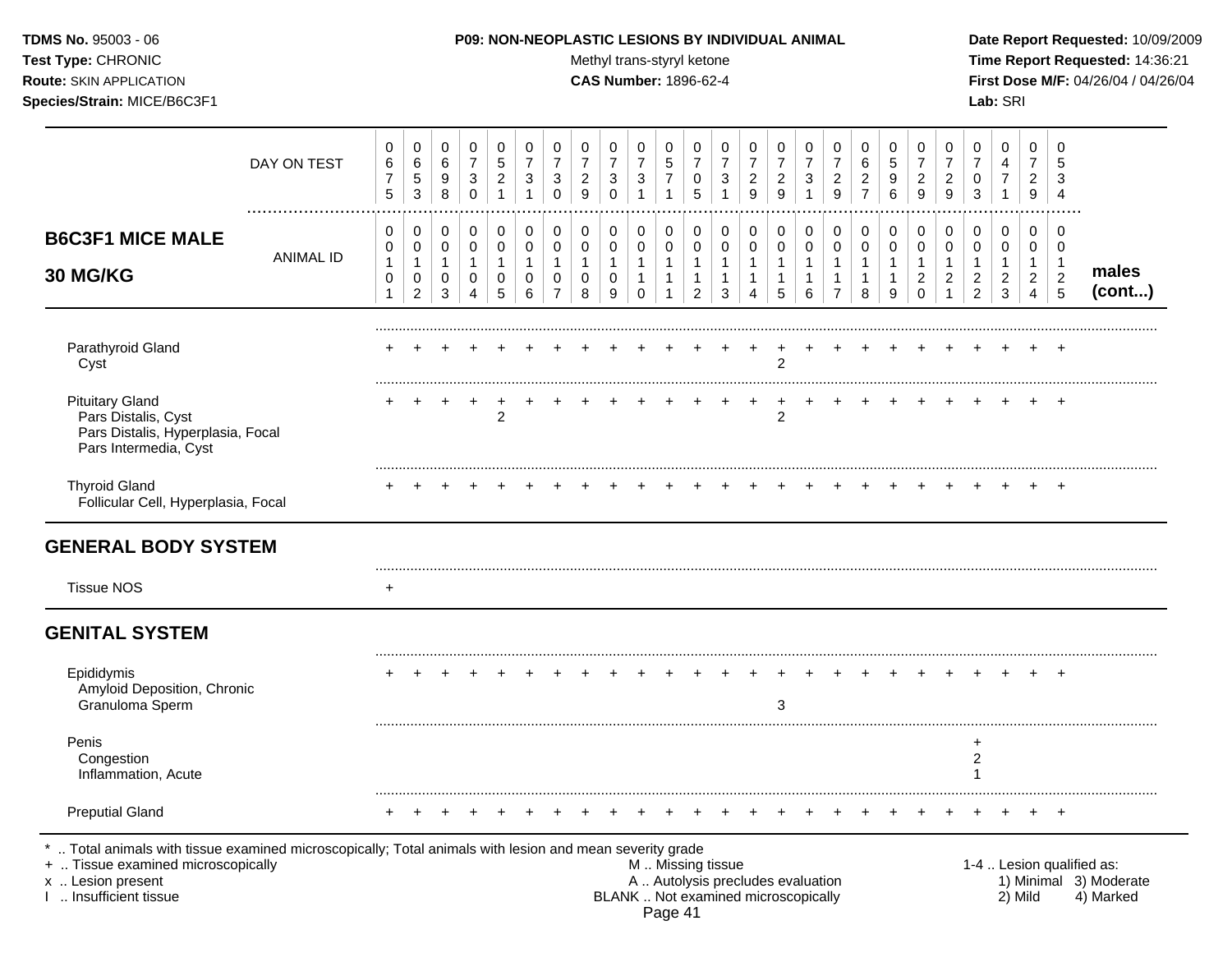# **TDMS No.** 95003 - 06 **P09: NON-NEOPLASTIC LESIONS BY INDIVIDUAL ANIMAL Date Report Requested:** 10/09/2009

Test Type: CHRONIC **Test Type:** CHRONIC **Test Type:** CHRONIC **Time Report Requested:** 14:36:21 **Route:** SKIN APPLICATION **CAS Number:** 1896-62-4 **First Dose M/F:** 04/26/04 / 04/26/04

|                                                                                                                                                                                            | DAY ON TEST      | 0<br>$\,6\,$<br>$\overline{7}$<br>5                         | $\boldsymbol{0}$<br>$\,6\,$<br>$\sqrt{5}$<br>$\mathbf{3}$         | $\mathbf 0$<br>6<br>9<br>8                           | $\pmb{0}$<br>$\overline{7}$<br>$\sqrt{3}$<br>$\mathbf 0$ | 0<br>$\sqrt{5}$<br>$\overline{c}$<br>$\mathbf{1}$              | $\mathbf 0$<br>$\overline{7}$<br>3<br>$\mathbf 1$            | 0<br>$\overline{7}$<br>$\sqrt{3}$<br>$\Omega$                   | 0<br>$\overline{7}$<br>$\overline{c}$<br>9           | $\mathbf 0$<br>$\overline{7}$<br>3<br>$\mathbf 0$ | $\mathbf 0$<br>$\overline{7}$<br>$\sqrt{3}$<br>$\mathbf{1}$ | 0<br>5<br>$\overline{7}$<br>1              | $\mathbf 0$<br>$\overline{7}$<br>0<br>5                            | 0<br>$\overline{7}$<br>3<br>1              | $\mathbf 0$<br>$\overline{7}$<br>$\overline{c}$<br>9                     | 0<br>$\overline{7}$<br>$\overline{a}$<br>9            | 0<br>$\overline{7}$<br>$\sqrt{3}$<br>$\mathbf{1}$     | 0<br>$\overline{7}$<br>$\overline{c}$<br>9              | 0<br>6<br>$\overline{c}$<br>$\overline{7}$  | $\mathbf 0$<br>$\overline{5}$<br>$9\,$<br>6                     | 0<br>$\overline{7}$<br>$\overline{c}$<br>9                     | $\mathbf 0$<br>$\overline{7}$<br>$\overline{a}$<br>$\overline{9}$ | $\mathbf 0$<br>$\overline{7}$<br>0<br>3                              | $\mathbf 0$<br>4<br>$\overline{7}$<br>$\mathbf{1}$      | $\mathbf 0$<br>$\overline{7}$<br>$\overline{2}$<br>9                 | $\Omega$<br>5<br>3<br>$\overline{4}$                                |                                                                  |
|--------------------------------------------------------------------------------------------------------------------------------------------------------------------------------------------|------------------|-------------------------------------------------------------|-------------------------------------------------------------------|------------------------------------------------------|----------------------------------------------------------|----------------------------------------------------------------|--------------------------------------------------------------|-----------------------------------------------------------------|------------------------------------------------------|---------------------------------------------------|-------------------------------------------------------------|--------------------------------------------|--------------------------------------------------------------------|--------------------------------------------|--------------------------------------------------------------------------|-------------------------------------------------------|-------------------------------------------------------|---------------------------------------------------------|---------------------------------------------|-----------------------------------------------------------------|----------------------------------------------------------------|-------------------------------------------------------------------|----------------------------------------------------------------------|---------------------------------------------------------|----------------------------------------------------------------------|---------------------------------------------------------------------|------------------------------------------------------------------|
| <b>B6C3F1 MICE MALE</b><br>30 MG/KG                                                                                                                                                        | <b>ANIMAL ID</b> | 0<br>$\pmb{0}$<br>$\mathbf{1}$<br>$\pmb{0}$<br>$\mathbf{1}$ | $\mathbf 0$<br>$\mathbf 0$<br>$\mathbf{1}$<br>0<br>$\overline{2}$ | 0<br>$\mathbf 0$<br>$\mathbf{1}$<br>$\mathbf 0$<br>3 | $\pmb{0}$<br>0<br>$\mathbf{1}$<br>$\mathbf 0$<br>4       | $\mathbf 0$<br>$\mathbf 0$<br>$\mathbf{1}$<br>$\mathbf 0$<br>5 | $\pmb{0}$<br>$\mathbf 0$<br>$\mathbf{1}$<br>$\mathbf 0$<br>6 | $\mathbf 0$<br>$\pmb{0}$<br>$\mathbf{1}$<br>0<br>$\overline{7}$ | 0<br>$\mathbf 0$<br>$\mathbf{1}$<br>$\mathbf 0$<br>8 | 0<br>$\pmb{0}$<br>$\mathbf{1}$<br>0<br>9          | 0<br>$\mathbf 0$<br>$\mathbf{1}$<br>1<br>$\mathbf 0$        | 0<br>$\mathbf 0$<br>$\mathbf{1}$<br>1<br>1 | 0<br>$\mathbf 0$<br>$\mathbf{1}$<br>$\mathbf{1}$<br>$\overline{2}$ | 0<br>$\mathbf 0$<br>$\mathbf{1}$<br>1<br>3 | 0<br>$\mathbf 0$<br>$\mathbf{1}$<br>1<br>4                               | 0<br>$\mathbf 0$<br>$\mathbf{1}$<br>$\mathbf{1}$<br>5 | 0<br>$\mathbf 0$<br>$\mathbf{1}$<br>$\mathbf{1}$<br>6 | 0<br>$\mathbf 0$<br>$\mathbf{1}$<br>1<br>$\overline{7}$ | 0<br>0<br>$\mathbf{1}$<br>$\mathbf{1}$<br>8 | $\mathbf 0$<br>$\mathbf 0$<br>$\mathbf{1}$<br>$\mathbf{1}$<br>9 | 0<br>$\mathbf 0$<br>$\mathbf{1}$<br>$\overline{c}$<br>$\Omega$ | 0<br>0<br>$\mathbf{1}$<br>$\boldsymbol{2}$<br>$\mathbf{1}$        | 0<br>$\mathbf 0$<br>$\mathbf{1}$<br>$\overline{c}$<br>$\overline{2}$ | 0<br>$\mathbf 0$<br>$\mathbf{1}$<br>$\overline{c}$<br>3 | 0<br>$\mathbf 0$<br>$\mathbf{1}$<br>$\overline{c}$<br>$\overline{4}$ | $\mathbf 0$<br>$\mathbf 0$<br>$\mathbf{1}$<br>$\boldsymbol{2}$<br>5 | males<br>(cont)                                                  |
| Parathyroid Gland<br>Cyst                                                                                                                                                                  |                  |                                                             |                                                                   |                                                      |                                                          |                                                                |                                                              |                                                                 |                                                      |                                                   |                                                             |                                            |                                                                    |                                            |                                                                          | $\overline{c}$                                        |                                                       |                                                         |                                             |                                                                 |                                                                |                                                                   |                                                                      |                                                         |                                                                      | $\ddot{}$                                                           |                                                                  |
| <b>Pituitary Gland</b><br>Pars Distalis, Cyst<br>Pars Distalis, Hyperplasia, Focal<br>Pars Intermedia, Cyst                                                                                |                  |                                                             |                                                                   |                                                      |                                                          | $\overline{2}$                                                 |                                                              |                                                                 |                                                      |                                                   |                                                             |                                            |                                                                    |                                            | +                                                                        | $\ddot{}$<br>$\overline{c}$                           |                                                       |                                                         |                                             |                                                                 |                                                                |                                                                   |                                                                      |                                                         |                                                                      |                                                                     |                                                                  |
| <b>Thyroid Gland</b><br>Follicular Cell, Hyperplasia, Focal                                                                                                                                |                  |                                                             |                                                                   |                                                      |                                                          |                                                                |                                                              |                                                                 |                                                      |                                                   |                                                             |                                            |                                                                    |                                            |                                                                          |                                                       |                                                       |                                                         |                                             |                                                                 |                                                                |                                                                   |                                                                      |                                                         |                                                                      |                                                                     |                                                                  |
| <b>GENERAL BODY SYSTEM</b>                                                                                                                                                                 |                  |                                                             |                                                                   |                                                      |                                                          |                                                                |                                                              |                                                                 |                                                      |                                                   |                                                             |                                            |                                                                    |                                            |                                                                          |                                                       |                                                       |                                                         |                                             |                                                                 |                                                                |                                                                   |                                                                      |                                                         |                                                                      |                                                                     |                                                                  |
| <b>Tissue NOS</b>                                                                                                                                                                          |                  | $\ddot{}$                                                   |                                                                   |                                                      |                                                          |                                                                |                                                              |                                                                 |                                                      |                                                   |                                                             |                                            |                                                                    |                                            |                                                                          |                                                       |                                                       |                                                         |                                             |                                                                 |                                                                |                                                                   |                                                                      |                                                         |                                                                      |                                                                     |                                                                  |
| <b>GENITAL SYSTEM</b>                                                                                                                                                                      |                  |                                                             |                                                                   |                                                      |                                                          |                                                                |                                                              |                                                                 |                                                      |                                                   |                                                             |                                            |                                                                    |                                            |                                                                          |                                                       |                                                       |                                                         |                                             |                                                                 |                                                                |                                                                   |                                                                      |                                                         |                                                                      |                                                                     |                                                                  |
| Epididymis<br>Amyloid Deposition, Chronic<br>Granuloma Sperm                                                                                                                               |                  |                                                             |                                                                   |                                                      |                                                          |                                                                |                                                              |                                                                 |                                                      |                                                   |                                                             |                                            |                                                                    |                                            |                                                                          | 3                                                     |                                                       |                                                         |                                             |                                                                 |                                                                |                                                                   |                                                                      |                                                         |                                                                      | $\overline{+}$                                                      |                                                                  |
| Penis<br>Congestion<br>Inflammation, Acute                                                                                                                                                 |                  |                                                             |                                                                   |                                                      |                                                          |                                                                |                                                              |                                                                 |                                                      |                                                   |                                                             |                                            |                                                                    |                                            |                                                                          |                                                       |                                                       |                                                         |                                             |                                                                 |                                                                |                                                                   | $\ddot{}$<br>$\boldsymbol{2}$<br>-1                                  |                                                         |                                                                      |                                                                     |                                                                  |
| <b>Preputial Gland</b>                                                                                                                                                                     |                  | +                                                           |                                                                   |                                                      |                                                          |                                                                |                                                              |                                                                 |                                                      |                                                   |                                                             |                                            |                                                                    |                                            |                                                                          |                                                       |                                                       |                                                         |                                             |                                                                 |                                                                |                                                                   |                                                                      |                                                         |                                                                      | $\overline{ }$                                                      |                                                                  |
| Total animals with tissue examined microscopically; Total animals with lesion and mean severity grade<br>+  Tissue examined microscopically<br>x  Lesion present<br>1  Insufficient tissue |                  |                                                             |                                                                   |                                                      |                                                          |                                                                |                                                              |                                                                 |                                                      |                                                   | M  Missing tissue                                           | Page 41                                    |                                                                    |                                            | A  Autolysis precludes evaluation<br>BLANK  Not examined microscopically |                                                       |                                                       |                                                         |                                             |                                                                 |                                                                |                                                                   |                                                                      |                                                         | 2) Mild                                                              |                                                                     | 1-4  Lesion qualified as:<br>1) Minimal 3) Moderate<br>4) Marked |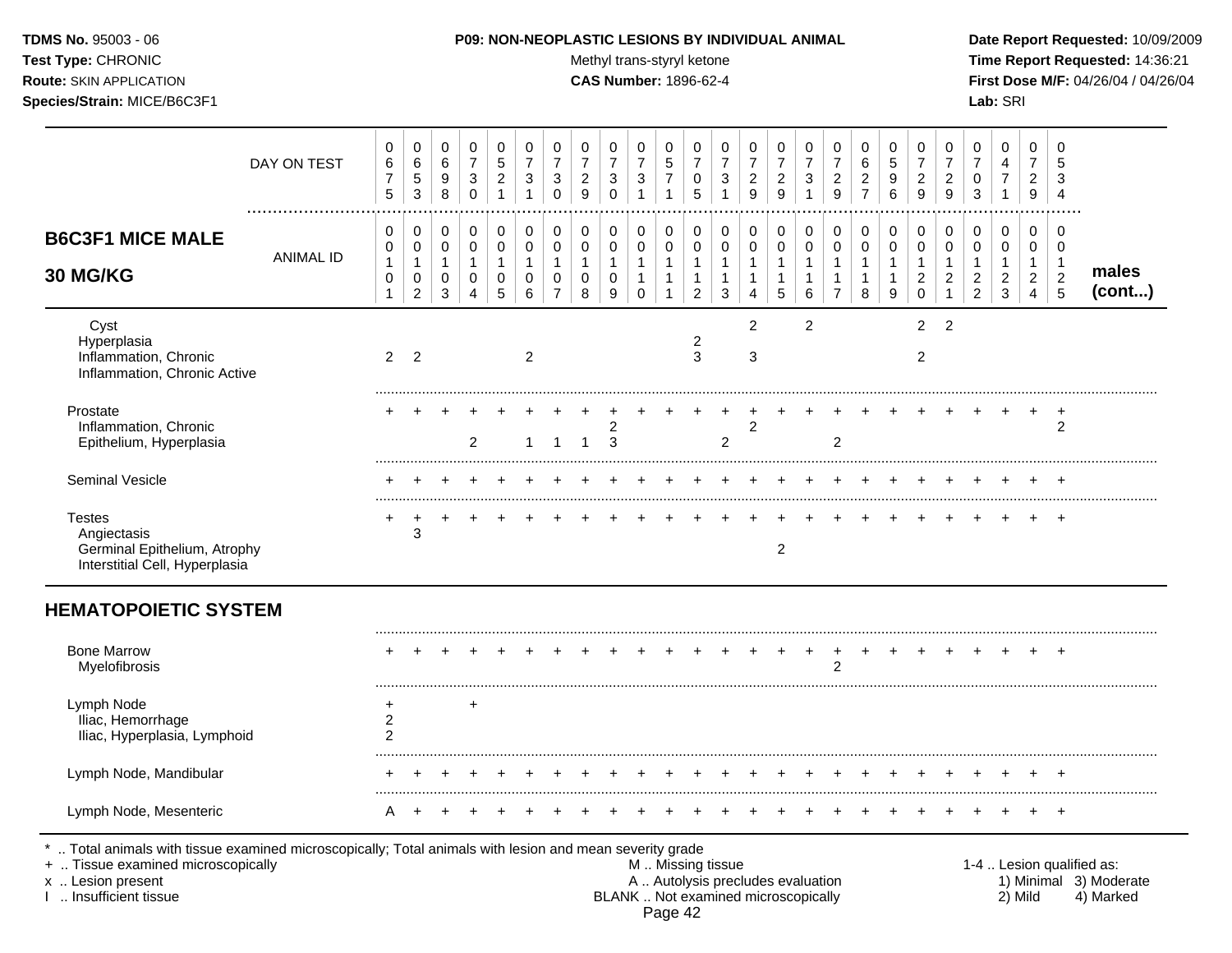Test Type: CHRONIC **Test Type:** CHRONIC **Test Type:** CHRONIC **Time Report Requested:** 14:36:21 **Route:** SKIN APPLICATION **CAS Number:** 1896-62-4 **First Dose M/F:** 04/26/04 / 04/26/04 **Species/Strain:** MICE/B6C3F1 **Lab:** SRI

| DAY ON TEST<br>.                                                                               | 0<br>6<br>$\overline{7}$<br>5                                   | 0<br>$\,6\,$<br>5<br>3                                  | 0<br>6<br>9<br>8                                          | $\mathbf 0$<br>$\overline{7}$<br>3<br>$\mathbf 0$    | 0<br>$\overline{5}$<br>$\overline{\mathbf{c}}$<br>$\mathbf{1}$ | 0<br>$\overline{7}$<br>3<br>$\overline{1}$ | 0<br>$\overline{7}$<br>3<br>$\Omega$                           | 0<br>$\overline{7}$<br>$\overline{\mathbf{c}}$<br>9 | 0<br>$\overline{7}$<br>$\sqrt{3}$<br>$\mathbf 0$ | 0<br>$\overline{7}$<br>$\ensuremath{\mathsf{3}}$<br>$\mathbf{1}$ | 0<br>5<br>$\overline{7}$<br>$\mathbf{1}$                        | 0<br>$\overline{7}$<br>0<br>5                                     | 0<br>$\overline{7}$<br>3<br>1          | 0<br>$\overline{7}$<br>$\boldsymbol{2}$<br>9                     | 0<br>$\overline{7}$<br>$\overline{c}$<br>$\overline{9}$ | 0<br>$\overline{7}$<br>3<br>$\mathbf{1}$                  | 0<br>$\overline{7}$<br>$\overline{c}$<br>9   | 0<br>$\,6\,$<br>$\overline{c}$<br>$\overline{7}$ | 0<br>5<br>9<br>6                                   | 0<br>$\overline{7}$<br>$\overline{c}$<br>9  | 0<br>$\overline{7}$<br>$\boldsymbol{2}$<br>9   | 0<br>$\overline{7}$<br>$\pmb{0}$<br>3                                | $\mathbf 0$<br>$\overline{4}$<br>7<br>1                 | 0<br>$\overline{7}$<br>$\overline{\mathbf{c}}$<br>9        | 0<br>5<br>3<br>$\overline{4}$                                  |                 |
|------------------------------------------------------------------------------------------------|-----------------------------------------------------------------|---------------------------------------------------------|-----------------------------------------------------------|------------------------------------------------------|----------------------------------------------------------------|--------------------------------------------|----------------------------------------------------------------|-----------------------------------------------------|--------------------------------------------------|------------------------------------------------------------------|-----------------------------------------------------------------|-------------------------------------------------------------------|----------------------------------------|------------------------------------------------------------------|---------------------------------------------------------|-----------------------------------------------------------|----------------------------------------------|--------------------------------------------------|----------------------------------------------------|---------------------------------------------|------------------------------------------------|----------------------------------------------------------------------|---------------------------------------------------------|------------------------------------------------------------|----------------------------------------------------------------|-----------------|
| <b>B6C3F1 MICE MALE</b><br><b>ANIMAL ID</b><br>30 MG/KG                                        | 0<br>$\mathbf 0$<br>$\mathbf{1}$<br>$\pmb{0}$<br>$\overline{1}$ | 0<br>$\mathbf 0$<br>$\mathbf{1}$<br>0<br>$\overline{2}$ | 0<br>$\mathbf 0$<br>$\mathbf{1}$<br>$\boldsymbol{0}$<br>3 | 0<br>$\mathbf 0$<br>$\mathbf{1}$<br>$\mathbf 0$<br>4 | 0<br>$\Omega$<br>$\mathbf{1}$<br>0<br>5                        | 0<br>$\mathbf 0$<br>$\mathbf{1}$<br>0<br>6 | $\mathbf 0$<br>$\Omega$<br>$\mathbf{1}$<br>0<br>$\overline{7}$ | 0<br>$\mathbf 0$<br>$\mathbf{1}$<br>0<br>8          | 0<br>$\mathbf 0$<br>$\mathbf{1}$<br>0<br>9       | 0<br>$\mathbf 0$<br>$\mathbf{1}$<br>$\mathbf{1}$<br>$\Omega$     | 0<br>$\mathbf 0$<br>$\mathbf{1}$<br>$\mathbf{1}$<br>$\mathbf 1$ | 0<br>$\mathbf 0$<br>$\mathbf{1}$<br>$\mathbf 1$<br>$\overline{2}$ | $\mathbf 0$<br>$\Omega$<br>1<br>1<br>3 | 0<br>$\pmb{0}$<br>$\mathbf{1}$<br>$\mathbf{1}$<br>$\overline{4}$ | 0<br>$\pmb{0}$<br>$\mathbf{1}$<br>$\mathbf{1}$<br>5     | 0<br>$\mathbf 0$<br>$\mathbf{1}$<br>$\mathbf{1}$<br>$\,6$ | 0<br>$\mathbf 0$<br>1<br>1<br>$\overline{7}$ | 0<br>$\mathbf 0$<br>$\mathbf{1}$<br>1<br>8       | 0<br>$\Omega$<br>$\mathbf{1}$<br>$\mathbf{1}$<br>9 | 0<br>$\Omega$<br>$\overline{c}$<br>$\Omega$ | 0<br>0<br>1<br>$\boldsymbol{2}$<br>$\mathbf 1$ | 0<br>$\mathsf 0$<br>$\mathbf{1}$<br>$\overline{c}$<br>$\overline{2}$ | 0<br>$\mathbf 0$<br>$\mathbf{1}$<br>$\overline{c}$<br>3 | 0<br>$\mathbf 0$<br>-1<br>$\overline{2}$<br>$\overline{4}$ | $\mathbf 0$<br>$\Omega$<br>$\mathbf{1}$<br>$\overline{c}$<br>5 | males<br>(cont) |
| Cyst<br>Hyperplasia<br>Inflammation, Chronic<br>Inflammation, Chronic Active                   | 2 <sub>2</sub>                                                  |                                                         |                                                           |                                                      |                                                                | $\overline{2}$                             |                                                                |                                                     |                                                  |                                                                  |                                                                 | $\overline{c}$<br>3                                               |                                        | $\overline{2}$<br>3                                              |                                                         | $\overline{2}$                                            |                                              |                                                  |                                                    | $\overline{2}$<br>$\overline{2}$            | $\overline{2}$                                 |                                                                      |                                                         |                                                            |                                                                |                 |
| Prostate<br>Inflammation, Chronic<br>Epithelium, Hyperplasia                                   |                                                                 |                                                         |                                                           | 2                                                    |                                                                | 1                                          | -1                                                             | $\mathbf 1$                                         | 2<br>3                                           |                                                                  |                                                                 |                                                                   | $\overline{2}$                         | $\overline{2}$                                                   |                                                         |                                                           | $\overline{2}$                               |                                                  |                                                    |                                             |                                                |                                                                      |                                                         |                                                            | +<br>$\overline{2}$                                            |                 |
| <b>Seminal Vesicle</b>                                                                         |                                                                 |                                                         |                                                           |                                                      |                                                                |                                            |                                                                |                                                     |                                                  |                                                                  |                                                                 |                                                                   |                                        |                                                                  |                                                         |                                                           |                                              |                                                  |                                                    |                                             |                                                |                                                                      |                                                         |                                                            | $\ddot{}$                                                      |                 |
| <b>Testes</b><br>Angiectasis<br>Germinal Epithelium, Atrophy<br>Interstitial Cell, Hyperplasia |                                                                 | 3                                                       |                                                           |                                                      |                                                                |                                            |                                                                |                                                     |                                                  |                                                                  |                                                                 |                                                                   |                                        |                                                                  | $\overline{c}$                                          |                                                           |                                              |                                                  |                                                    |                                             |                                                |                                                                      |                                                         |                                                            | $\ddot{}$                                                      |                 |
| <b>HEMATOPOIETIC SYSTEM</b>                                                                    |                                                                 |                                                         |                                                           |                                                      |                                                                |                                            |                                                                |                                                     |                                                  |                                                                  |                                                                 |                                                                   |                                        |                                                                  |                                                         |                                                           |                                              |                                                  |                                                    |                                             |                                                |                                                                      |                                                         |                                                            |                                                                |                 |
| <b>Bone Marrow</b><br>Myelofibrosis                                                            |                                                                 |                                                         |                                                           |                                                      |                                                                |                                            |                                                                |                                                     |                                                  |                                                                  |                                                                 |                                                                   |                                        |                                                                  |                                                         | $\ddot{}$                                                 | $\ddot{}$<br>$\mathfrak{p}$                  |                                                  |                                                    |                                             |                                                |                                                                      |                                                         |                                                            |                                                                |                 |
| Lymph Node<br>Iliac, Hemorrhage<br>Iliac, Hyperplasia, Lymphoid                                | $\overline{2}$<br>2                                             |                                                         |                                                           | $\ddot{}$                                            |                                                                |                                            |                                                                |                                                     |                                                  |                                                                  |                                                                 |                                                                   |                                        |                                                                  |                                                         |                                                           |                                              |                                                  |                                                    |                                             |                                                |                                                                      |                                                         |                                                            |                                                                |                 |
| Lymph Node, Mandibular                                                                         |                                                                 |                                                         |                                                           |                                                      |                                                                |                                            |                                                                |                                                     |                                                  |                                                                  |                                                                 |                                                                   |                                        |                                                                  |                                                         |                                                           |                                              |                                                  |                                                    |                                             |                                                |                                                                      |                                                         |                                                            | $\ddot{}$                                                      |                 |
| Lymph Node, Mesenteric                                                                         | A                                                               | $\overline{ }$                                          |                                                           |                                                      |                                                                |                                            |                                                                |                                                     |                                                  |                                                                  |                                                                 |                                                                   |                                        |                                                                  |                                                         |                                                           |                                              |                                                  |                                                    |                                             |                                                |                                                                      |                                                         | ÷                                                          | $\ddot{}$                                                      |                 |

+ .. Tissue examined microscopically examined microscopically with the state of the state of the state of the m<br>A .. Autolysis precludes evaluation and the state of the state of the state of the state of the state of the s x .. Lesion present **A .. Autolysis precludes evaluation** A .. Autolysis precludes evaluation 1) Minimal 3) Moderate I .. Insufficient tissue BLANK .. Not examined microscopically 2) Mild 4) Marked Page 42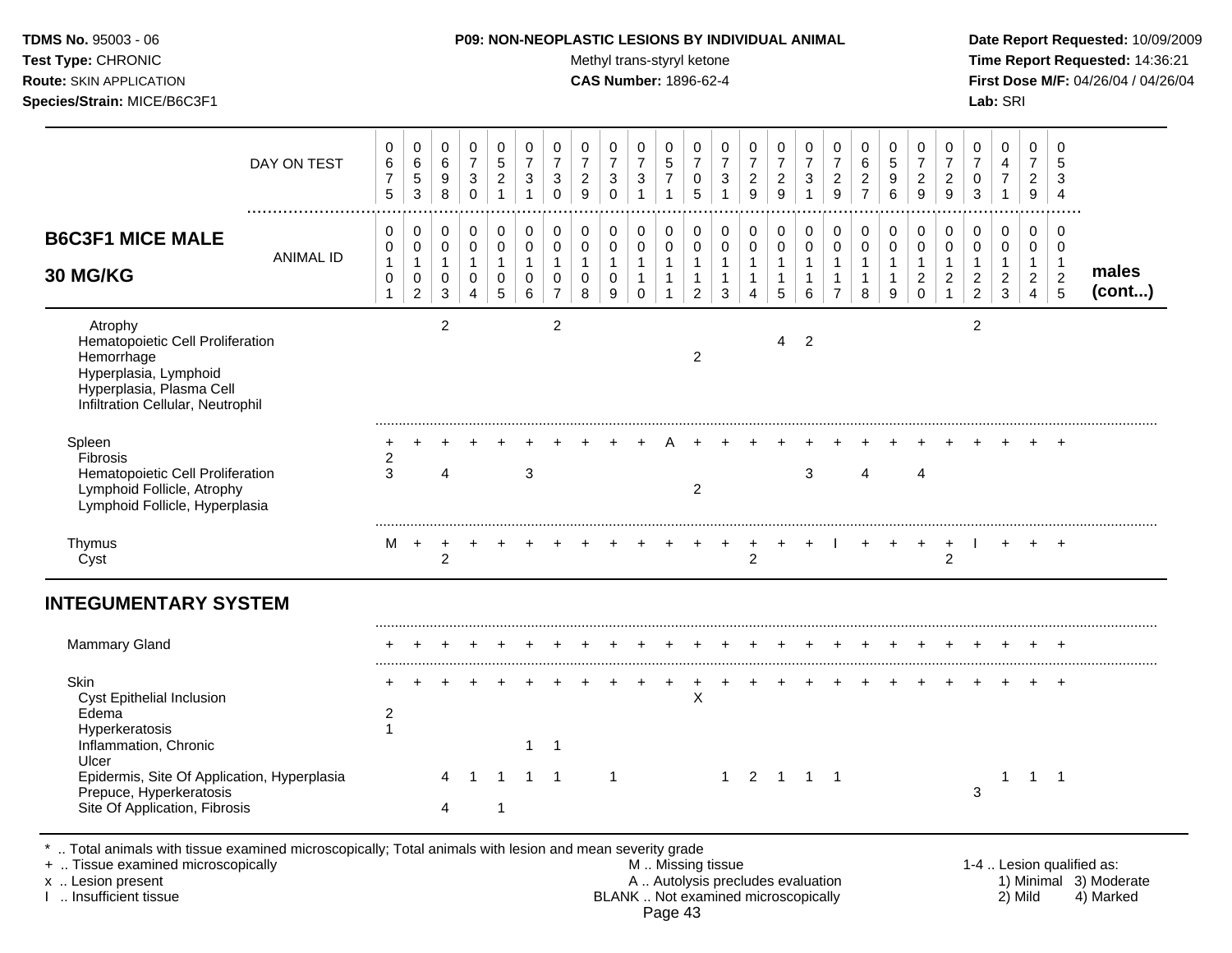| TDMS No. 95003 - 06            | <b>P09: NON-NEOPLASTIC LESIONS BY INDIVIDUAL ANIMAL</b> | Date Rep         |
|--------------------------------|---------------------------------------------------------|------------------|
| Test Type: CHRONIC             | Methyl trans-styryl ketone                              | Time Re          |
| <b>Route:</b> SKIN APPLICATION | <b>CAS Number: 1896-62-4</b>                            | <b>First Dos</b> |
| Species/Strain: MICE/B6C3F1    |                                                         | Lab: SRI         |
|                                |                                                         |                  |

## **P09: NON-NEOPLASTIC LESIONS BY INDIVIDUAL ANIMAL Date Report Requested:** 10/09/2009

**Methyl trans-styryl ketone Time Report Requested:** 14:36:21 **CAS Number:** 1896-62-4 **First Dose M/F:** 04/26/04 / 04/26/04

|                                                                                                                                                     | DAY ON TEST      | 0<br>6<br>$\boldsymbol{7}$<br>5             | 0<br>$\,6\,$<br>$\,$ 5 $\,$<br>3                                  | 0<br>$\,6\,$<br>$\boldsymbol{9}$<br>8                 | $\pmb{0}$<br>$\boldsymbol{7}$<br>$\ensuremath{\mathsf{3}}$<br>$\mathbf 0$ | 0<br>$\sqrt{5}$<br>$\overline{c}$<br>$\mathbf{1}$   | 0<br>$\boldsymbol{7}$<br>3<br>$\mathbf{1}$ | 0<br>$\overline{7}$<br>$\mathbf{3}$<br>$\mathbf 0$                  | 0<br>$\boldsymbol{7}$<br>$\boldsymbol{2}$<br>9    | 0<br>$\overline{7}$<br>$\sqrt{3}$<br>$\Omega$        | 0<br>$\overline{7}$<br>$\mathbf{3}$<br>1                          | 0<br>$\sqrt{5}$<br>$\overline{7}$<br>$\mathbf{1}$     | 0<br>$\boldsymbol{7}$<br>$\mathbf 0$<br>5                        | 0<br>$\overline{7}$<br>$\mathbf{3}$         | 0<br>$\boldsymbol{7}$<br>$\sqrt{2}$<br>9    | 0<br>$\overline{7}$<br>$\overline{c}$<br>9            | $\pmb{0}$<br>$\overline{7}$<br>$\sqrt{3}$<br>1 | 0<br>$\boldsymbol{7}$<br>$\sqrt{2}$<br>$\mathsf g$                                | 0<br>6<br>$\overline{c}$<br>$\overline{7}$            | 0<br>$\,$ 5 $\,$<br>$\boldsymbol{9}$<br>6  | 0<br>$\overline{7}$<br>$\sqrt{2}$<br>9                            | 0<br>$\boldsymbol{7}$<br>$\boldsymbol{2}$<br>9 | 0<br>$\overline{7}$<br>$\mathbf 0$<br>3                              | 0<br>4<br>$\overline{7}$                      | 0<br>$\boldsymbol{7}$<br>$\overline{c}$<br>9                       | 0<br>5<br>3<br>$\overline{4}$                                |                 |
|-----------------------------------------------------------------------------------------------------------------------------------------------------|------------------|---------------------------------------------|-------------------------------------------------------------------|-------------------------------------------------------|---------------------------------------------------------------------------|-----------------------------------------------------|--------------------------------------------|---------------------------------------------------------------------|---------------------------------------------------|------------------------------------------------------|-------------------------------------------------------------------|-------------------------------------------------------|------------------------------------------------------------------|---------------------------------------------|---------------------------------------------|-------------------------------------------------------|------------------------------------------------|-----------------------------------------------------------------------------------|-------------------------------------------------------|--------------------------------------------|-------------------------------------------------------------------|------------------------------------------------|----------------------------------------------------------------------|-----------------------------------------------|--------------------------------------------------------------------|--------------------------------------------------------------|-----------------|
| <b>B6C3F1 MICE MALE</b><br><b>30 MG/KG</b>                                                                                                          | <b>ANIMAL ID</b> | 0<br>0<br>$\mathbf{1}$<br>0<br>$\mathbf{1}$ | 0<br>$\mathbf 0$<br>$\mathbf{1}$<br>$\mathbf 0$<br>$\overline{2}$ | 0<br>$\mathbf 0$<br>$\mathbf{1}$<br>0<br>$\mathbf{3}$ | 0<br>$\mathsf 0$<br>$\mathbf{1}$<br>$\mathbf 0$<br>$\overline{4}$         | 0<br>$\mathbf 0$<br>$\mathbf{1}$<br>0<br>$\sqrt{5}$ | 0<br>$\pmb{0}$<br>$\mathbf{1}$<br>0<br>6   | $\mathbf 0$<br>$\mathbf 0$<br>$\overline{1}$<br>0<br>$\overline{7}$ | 0<br>$\mathbf 0$<br>$\mathbf{1}$<br>$\Omega$<br>8 | 0<br>$\mathbf 0$<br>$\mathbf{1}$<br>$\mathbf 0$<br>9 | 0<br>$\boldsymbol{0}$<br>$\mathbf{1}$<br>$\mathbf{1}$<br>$\Omega$ | 0<br>$\mathbf 0$<br>$\mathbf{1}$<br>$\mathbf{1}$<br>1 | 0<br>$\pmb{0}$<br>$\mathbf{1}$<br>$\mathbf{1}$<br>$\overline{2}$ | 0<br>0<br>$\mathbf{1}$<br>$\mathbf{1}$<br>3 | 0<br>0<br>$\mathbf{1}$<br>$\mathbf{1}$<br>4 | 0<br>$\mathbf 0$<br>$\mathbf{1}$<br>$\mathbf{1}$<br>5 | 0<br>$\pmb{0}$<br>$\mathbf{1}$<br>1<br>6       | $\boldsymbol{0}$<br>$\mathbf 0$<br>$\mathbf{1}$<br>$\mathbf{1}$<br>$\overline{7}$ | 0<br>$\mathbf 0$<br>$\mathbf{1}$<br>$\mathbf{1}$<br>8 | 0<br>$\mathbf 0$<br>$\mathbf{1}$<br>1<br>9 | 0<br>$\mathbf 0$<br>$\mathbf{1}$<br>$\overline{c}$<br>$\mathbf 0$ | 0<br>0<br>$\mathbf{1}$<br>$\overline{c}$       | 0<br>$\mathbf 0$<br>$\mathbf{1}$<br>$\overline{c}$<br>$\overline{c}$ | 0<br>0<br>$\mathbf{1}$<br>$\overline{c}$<br>3 | 0<br>$\pmb{0}$<br>$\mathbf{1}$<br>$\overline{a}$<br>$\overline{4}$ | 0<br>$\overline{0}$<br>$\overline{1}$<br>$\overline{c}$<br>5 | males<br>(cont) |
| Atrophy<br>Hematopoietic Cell Proliferation<br>Hemorrhage<br>Hyperplasia, Lymphoid<br>Hyperplasia, Plasma Cell<br>Infiltration Cellular, Neutrophil |                  |                                             |                                                                   | 2                                                     |                                                                           |                                                     |                                            | $\overline{c}$                                                      |                                                   |                                                      |                                                                   |                                                       | $\overline{c}$                                                   |                                             |                                             | 4                                                     | $\overline{2}$                                 |                                                                                   |                                                       |                                            |                                                                   |                                                | $\overline{c}$                                                       |                                               |                                                                    |                                                              |                 |
| Spleen<br>Fibrosis<br>Hematopoietic Cell Proliferation<br>Lymphoid Follicle, Atrophy<br>Lymphoid Follicle, Hyperplasia                              |                  | 2<br>3                                      |                                                                   | 4                                                     |                                                                           |                                                     | 3                                          |                                                                     |                                                   |                                                      |                                                                   |                                                       | 2                                                                |                                             |                                             |                                                       | 3                                              |                                                                                   | 4                                                     |                                            | 4                                                                 |                                                |                                                                      |                                               |                                                                    |                                                              |                 |
| Thymus<br>Cyst                                                                                                                                      |                  | м                                           | $\overline{+}$                                                    | $\overline{c}$                                        |                                                                           |                                                     |                                            |                                                                     |                                                   |                                                      |                                                                   |                                                       |                                                                  |                                             | 2                                           |                                                       |                                                |                                                                                   |                                                       |                                            | $\ddot{}$                                                         | +<br>$\overline{2}$                            |                                                                      |                                               | $\pm$                                                              | $+$                                                          |                 |
| <b>INTEGUMENTARY SYSTEM</b>                                                                                                                         |                  |                                             |                                                                   |                                                       |                                                                           |                                                     |                                            |                                                                     |                                                   |                                                      |                                                                   |                                                       |                                                                  |                                             |                                             |                                                       |                                                |                                                                                   |                                                       |                                            |                                                                   |                                                |                                                                      |                                               |                                                                    |                                                              |                 |
| Mammary Gland                                                                                                                                       |                  |                                             |                                                                   |                                                       |                                                                           |                                                     |                                            |                                                                     |                                                   |                                                      |                                                                   |                                                       |                                                                  |                                             |                                             |                                                       |                                                |                                                                                   |                                                       |                                            |                                                                   |                                                |                                                                      |                                               |                                                                    |                                                              |                 |
| Skin<br>Cyst Epithelial Inclusion<br>Edema<br>Hyperkeratosis<br>Inflammation, Chronic<br>Ulcer                                                      |                  | $\overline{2}$<br>$\mathbf{1}$              |                                                                   |                                                       |                                                                           |                                                     | $\mathbf{1}$                               | -1                                                                  |                                                   |                                                      |                                                                   | +                                                     | $\ddot{}$<br>$\times$                                            |                                             |                                             |                                                       |                                                |                                                                                   |                                                       |                                            |                                                                   |                                                |                                                                      |                                               |                                                                    |                                                              |                 |
| Epidermis, Site Of Application, Hyperplasia<br>Prepuce, Hyperkeratosis<br>Site Of Application, Fibrosis                                             |                  |                                             |                                                                   |                                                       |                                                                           | 1<br>1                                              | $1 \quad$                                  | $\overline{1}$                                                      |                                                   | $\mathbf 1$                                          |                                                                   |                                                       |                                                                  | $1 \quad$                                   |                                             | 2 1 1 1                                               |                                                |                                                                                   |                                                       |                                            |                                                                   |                                                | 3                                                                    |                                               | -1                                                                 | $\overline{1}$                                               |                 |

\* .. Total animals with tissue examined microscopically; Total animals with lesion and mean severity grade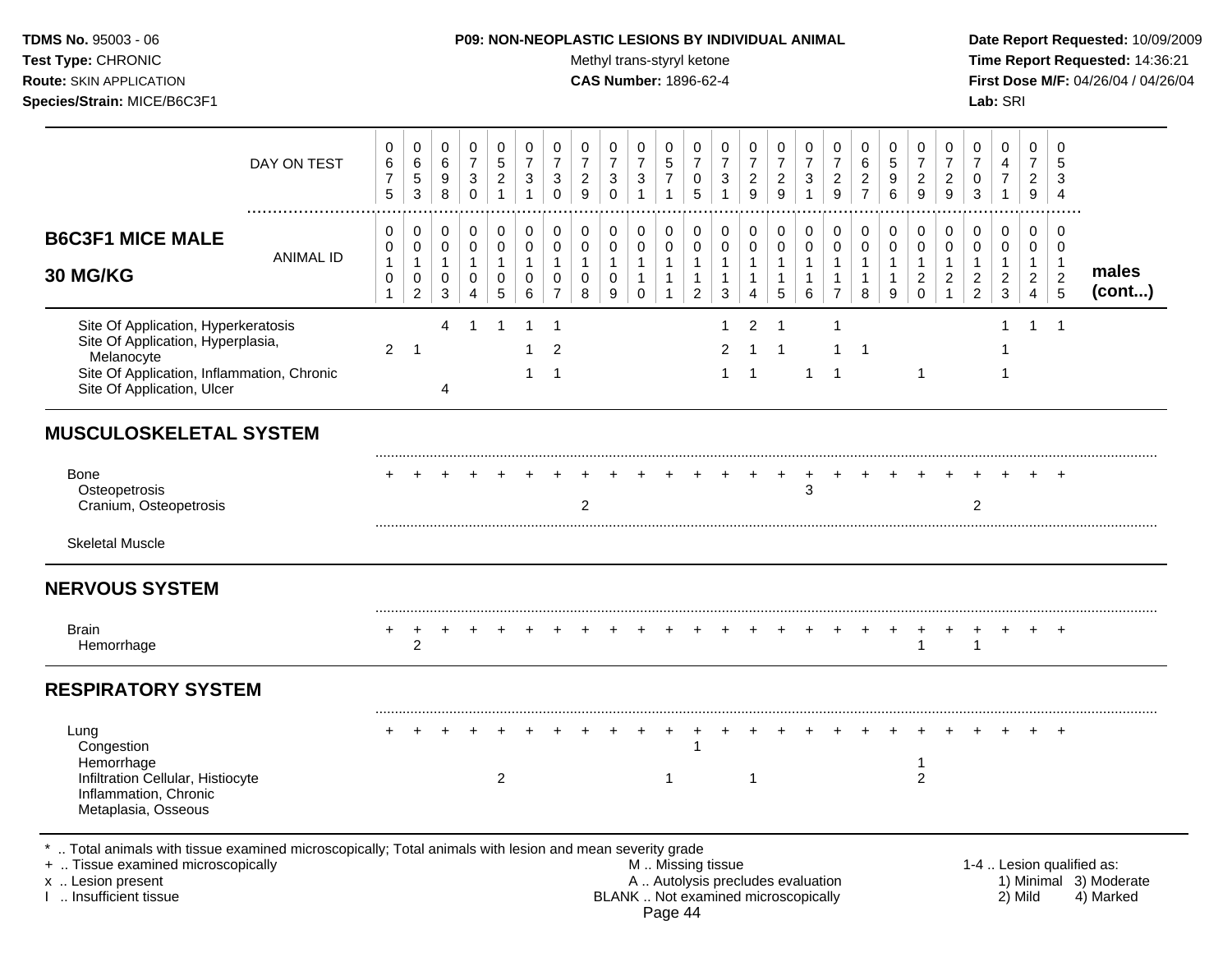**Test Type:** CHRONIC **Trans-styryl ketone** Methyl trans-styryl ketone **Time Report Requested:** 14:36:21 **Route:** SKIN APPLICATION **CAS Number:** 1896-62-4 **First Dose M/F:** 04/26/04 / 04/26/04 **Species/Strain:** MICE/B6C3F1 **Lab:** SRI

| 0<br>$\,6\,$<br>$\overline{7}$<br>5 | 0<br>$\,6\,$<br>$\sqrt{5}$<br>3                                   | 0<br>$\,6\,$<br>9<br>8           | 0<br>$\boldsymbol{7}$<br>$\mathbf{3}$<br>$\mathbf 0$              | 0<br>$\sqrt{5}$<br>$\overline{c}$<br>$\mathbf{1}$ | 0<br>$\overline{7}$<br>$\mathbf{3}$<br>$\mathbf{1}$  | 0<br>$\overline{7}$<br>3<br>$\Omega$                                   | 0<br>$\overline{7}$<br>$\boldsymbol{2}$<br>9               | 0<br>$\boldsymbol{7}$<br>$\sqrt{3}$<br>$\mathbf 0$           | 0<br>$\boldsymbol{7}$<br>3<br>$\mathbf{1}$            | 0<br>$\,$ 5 $\,$<br>$\overline{7}$<br>$\mathbf{1}$               | 0<br>$\overline{7}$<br>0<br>5                            | 0<br>$\boldsymbol{7}$<br>3<br>$\mathbf{1}$  | 0<br>$\overline{7}$<br>$\sqrt{2}$<br>9                        | 0<br>$\overline{7}$<br>$\overline{2}$<br>9  | 0<br>$\boldsymbol{7}$<br>$\mathbf{3}$      | 0<br>$\boldsymbol{7}$<br>$\overline{c}$<br>9             | 0<br>6<br>$\overline{c}$<br>$\overline{7}$  | 0<br>$\sqrt{5}$<br>9<br>$6\phantom{1}$               | 0<br>$\overline{7}$<br>$\overline{c}$<br>$\mathsf g$           | 0<br>$\overline{7}$<br>$\sqrt{2}$<br>$\mathsf g$ | 0<br>$\boldsymbol{7}$<br>0<br>3                            | 0<br>$\overline{4}$<br>$\boldsymbol{7}$<br>$\mathbf{1}$  | $\mathbf 0$<br>$\overline{7}$<br>$\overline{2}$<br>9                 | $\mathbf 0$<br>5<br>3<br>$\overline{4}$                              |                 |
|-------------------------------------|-------------------------------------------------------------------|----------------------------------|-------------------------------------------------------------------|---------------------------------------------------|------------------------------------------------------|------------------------------------------------------------------------|------------------------------------------------------------|--------------------------------------------------------------|-------------------------------------------------------|------------------------------------------------------------------|----------------------------------------------------------|---------------------------------------------|---------------------------------------------------------------|---------------------------------------------|--------------------------------------------|----------------------------------------------------------|---------------------------------------------|------------------------------------------------------|----------------------------------------------------------------|--------------------------------------------------|------------------------------------------------------------|----------------------------------------------------------|----------------------------------------------------------------------|----------------------------------------------------------------------|-----------------|
| 0<br>0<br>1<br>$\mathbf 0$          | 0<br>$\mathbf 0$<br>$\mathbf{1}$<br>$\mathbf 0$<br>$\overline{c}$ | 0<br>0<br>$\mathbf{1}$<br>0<br>3 | 0<br>$\mathbf 0$<br>$\mathbf{1}$<br>$\mathbf 0$<br>$\overline{4}$ | 0<br>0<br>$\mathbf{1}$<br>$\mathbf 0$<br>5        | $\mathbf 0$<br>$\mathbf 0$<br>$\mathbf{1}$<br>0<br>6 | $\pmb{0}$<br>$\mathbf 0$<br>$\mathbf{1}$<br>$\Omega$<br>$\overline{7}$ | $\pmb{0}$<br>$\pmb{0}$<br>$\mathbf{1}$<br>$\mathbf 0$<br>8 | $\pmb{0}$<br>$\mathbf 0$<br>$\mathbf{1}$<br>$\mathbf 0$<br>9 | 0<br>0<br>$\mathbf{1}$<br>$\mathbf{1}$<br>$\mathbf 0$ | 0<br>$\mathbf 0$<br>$\mathbf{1}$<br>$\mathbf{1}$<br>$\mathbf{1}$ | 0<br>0<br>$\mathbf{1}$<br>$\mathbf{1}$<br>$\overline{a}$ | 0<br>0<br>$\mathbf{1}$<br>$\mathbf{1}$<br>3 | $\pmb{0}$<br>$\mathbf 0$<br>$\mathbf{1}$<br>$\mathbf{1}$<br>4 | 0<br>0<br>$\mathbf{1}$<br>$\mathbf{1}$<br>5 | 0<br>$\mathbf 0$<br>1<br>$\mathbf{1}$<br>6 | 0<br>0<br>$\mathbf{1}$<br>$\mathbf{1}$<br>$\overline{7}$ | 0<br>0<br>$\mathbf{1}$<br>$\mathbf{1}$<br>8 | 0<br>$\mathbf 0$<br>$\mathbf 1$<br>$\mathbf{1}$<br>9 | 0<br>$\mathbf 0$<br>$\mathbf{1}$<br>$\overline{c}$<br>$\Omega$ | 0<br>$\mathbf 0$<br>$\overline{c}$               | 0<br>0<br>$\mathbf{1}$<br>$\overline{c}$<br>$\overline{2}$ | 0<br>0<br>$\mathbf{1}$<br>$\overline{2}$<br>$\mathbf{3}$ | $\mathbf 0$<br>0<br>$\mathbf{1}$<br>$\overline{c}$<br>$\overline{4}$ | $\mathbf 0$<br>$\overline{0}$<br>$\mathbf{1}$<br>$\overline{c}$<br>5 | males<br>(cont) |
| $\overline{2}$                      | -1                                                                | 4<br>4                           | 1                                                                 | 1                                                 | 1                                                    | $\mathbf 1$<br>2<br>$\mathbf 1$                                        |                                                            |                                                              |                                                       |                                                                  |                                                          | 1<br>$\overline{2}$<br>1                    | $\overline{2}$<br>-1<br>-1                                    | $\overline{1}$<br>-1                        | 1                                          | $\mathbf 1$<br>-1                                        | $\mathbf 1$                                 |                                                      | $\mathbf{1}$                                                   |                                                  |                                                            | 1                                                        | -1                                                                   | $\overline{1}$                                                       |                 |
|                                     |                                                                   |                                  |                                                                   |                                                   |                                                      |                                                                        |                                                            |                                                              |                                                       |                                                                  |                                                          |                                             |                                                               |                                             |                                            |                                                          |                                             |                                                      |                                                                |                                                  |                                                            |                                                          |                                                                      |                                                                      |                 |
|                                     |                                                                   |                                  |                                                                   |                                                   |                                                      |                                                                        | $\overline{2}$                                             |                                                              |                                                       |                                                                  |                                                          |                                             |                                                               | +                                           | +<br>3                                     |                                                          |                                             |                                                      |                                                                |                                                  | $\overline{2}$                                             |                                                          |                                                                      | $\div$                                                               |                 |
|                                     |                                                                   |                                  |                                                                   |                                                   |                                                      |                                                                        |                                                            |                                                              |                                                       |                                                                  |                                                          |                                             |                                                               |                                             |                                            |                                                          |                                             |                                                      |                                                                |                                                  |                                                            |                                                          |                                                                      |                                                                      |                 |
|                                     |                                                                   |                                  |                                                                   |                                                   |                                                      |                                                                        |                                                            |                                                              |                                                       |                                                                  |                                                          |                                             |                                                               |                                             |                                            |                                                          |                                             |                                                      |                                                                |                                                  |                                                            |                                                          |                                                                      |                                                                      |                 |
|                                     | $\overline{2}$                                                    |                                  |                                                                   |                                                   |                                                      |                                                                        |                                                            |                                                              |                                                       |                                                                  |                                                          |                                             |                                                               |                                             |                                            |                                                          |                                             |                                                      |                                                                |                                                  | $\mathbf{1}$                                               |                                                          |                                                                      |                                                                      |                 |
|                                     |                                                                   |                                  |                                                                   |                                                   |                                                      |                                                                        |                                                            |                                                              |                                                       |                                                                  |                                                          |                                             |                                                               |                                             |                                            |                                                          |                                             |                                                      |                                                                |                                                  |                                                            |                                                          |                                                                      |                                                                      |                 |
|                                     |                                                                   |                                  |                                                                   | $\overline{2}$                                    |                                                      |                                                                        |                                                            |                                                              |                                                       | $\mathbf 1$                                                      |                                                          |                                             | -1                                                            |                                             |                                            |                                                          |                                             |                                                      | -1<br>2                                                        |                                                  |                                                            |                                                          |                                                                      |                                                                      |                 |
|                                     |                                                                   |                                  |                                                                   |                                                   |                                                      |                                                                        |                                                            |                                                              |                                                       |                                                                  |                                                          |                                             |                                                               |                                             |                                            |                                                          |                                             |                                                      |                                                                |                                                  |                                                            |                                                          |                                                                      |                                                                      |                 |

+ .. Tissue examined microscopically with the state of the state of the M .. Missing tissue the state of the state of the M .. Missing tissue the state of the state of the state of the state of the state of the state of th x .. Lesion present **A .. Autolysis precludes evaluation** A .. Autolysis precludes evaluation 1) Minimal 3) Moderate I .. Insufficient tissue BLANK .. Not examined microscopically 2) Mild 4) Marked

Page 44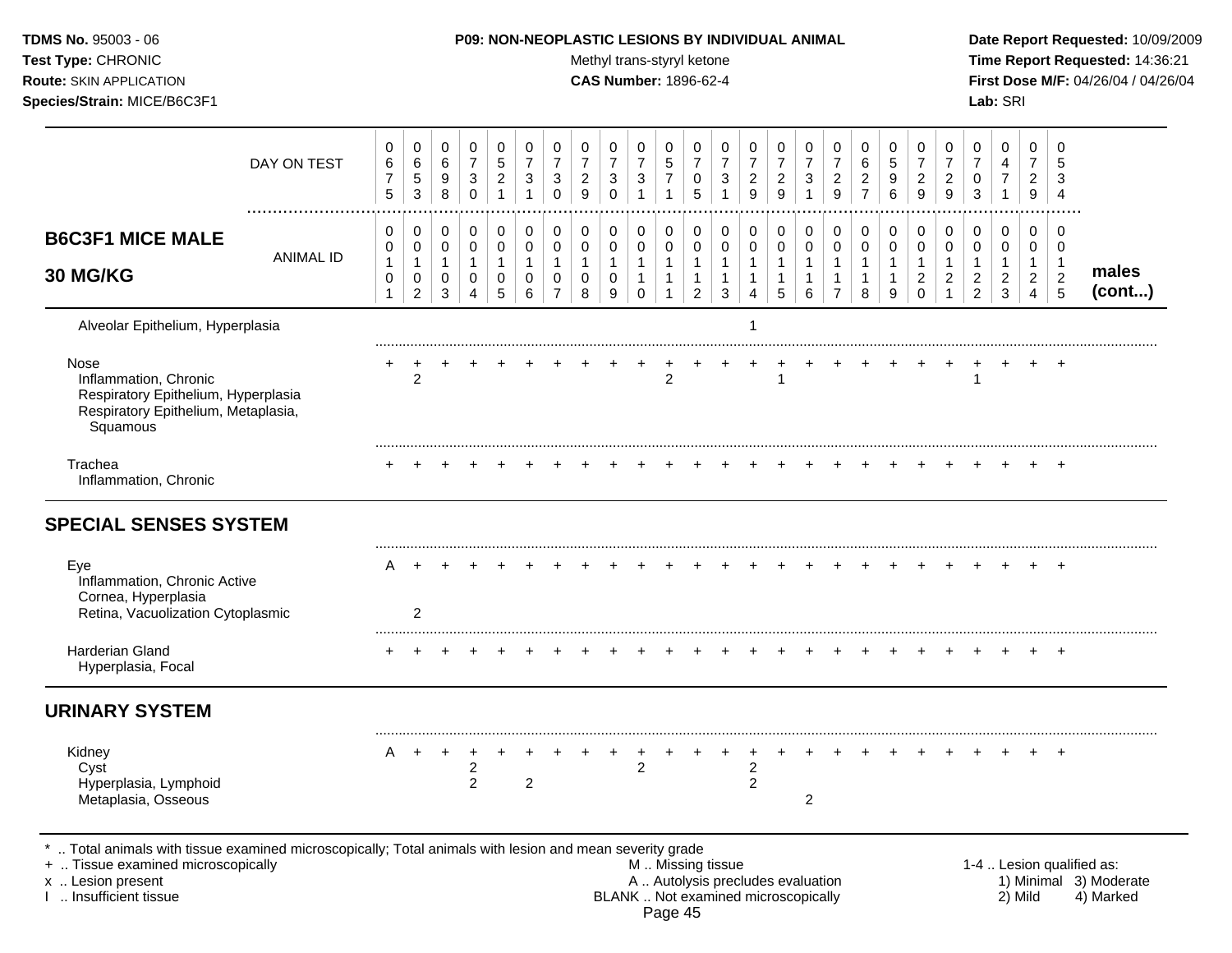| TDMS No. 95003 - 06<br>Test Type: CHRONIC<br>Route: SKIN APPLICATION<br>Species/Strain: MICE/B6C3F1                                                                 |                  |                                 |                                              |                                                   |                                                       |                                                |                                                     |                                                       |                                                       |                                      | Methyl trans-styryl ketone<br><b>CAS Number: 1896-62-4</b>         |                                                            |                                                                      |                                                   | P09: NON-NEOPLASTIC LESIONS BY INDIVIDUAL ANIMAL              |                                        |                                                         |                                                       |                                              |                                         |                                                                           |                                                    |                                                            | Lab: SRI                                 |                                            |                                                  | Date Report Requested: 10/09/2009<br>Time Report Requested: 14:36:21<br>First Dose M/F: 04/26/04 / 04/26/04 |
|---------------------------------------------------------------------------------------------------------------------------------------------------------------------|------------------|---------------------------------|----------------------------------------------|---------------------------------------------------|-------------------------------------------------------|------------------------------------------------|-----------------------------------------------------|-------------------------------------------------------|-------------------------------------------------------|--------------------------------------|--------------------------------------------------------------------|------------------------------------------------------------|----------------------------------------------------------------------|---------------------------------------------------|---------------------------------------------------------------|----------------------------------------|---------------------------------------------------------|-------------------------------------------------------|----------------------------------------------|-----------------------------------------|---------------------------------------------------------------------------|----------------------------------------------------|------------------------------------------------------------|------------------------------------------|--------------------------------------------|--------------------------------------------------|-------------------------------------------------------------------------------------------------------------|
|                                                                                                                                                                     | DAY ON TEST<br>. | 0<br>6<br>$\overline{7}$<br>5   | 0<br>$\,6\,$<br>$\,$ 5 $\,$<br>$\mathbf{3}$  | 0<br>$\,6\,$<br>9<br>$\,8\,$                      | 0<br>$\overline{7}$<br>$\sqrt{3}$<br>$\mathbf 0$      | 0<br>$\,$ 5 $\,$<br>$\sqrt{2}$<br>$\mathbf{1}$ | 0<br>$\boldsymbol{7}$<br>$\sqrt{3}$<br>$\mathbf{1}$ | 0<br>$\boldsymbol{7}$<br>$\boldsymbol{3}$<br>$\Omega$ | 0<br>$\boldsymbol{7}$<br>$\overline{\mathbf{c}}$<br>9 | 0<br>$\overline{7}$<br>3<br>$\Omega$ | 0<br>$\overline{7}$<br>$\ensuremath{\mathsf{3}}$<br>$\overline{1}$ | 0<br>$\sqrt{5}$<br>$\boldsymbol{7}$<br>$\overline{1}$      | 0<br>$\boldsymbol{7}$<br>$\pmb{0}$<br>5                              | 0<br>$\overline{7}$<br>$\sqrt{3}$<br>$\mathbf{1}$ | 0<br>$\boldsymbol{7}$<br>$\boldsymbol{2}$<br>9                | 0<br>$\overline{7}$<br>$\sqrt{2}$<br>9 | 0<br>$\overline{7}$<br>$\boldsymbol{3}$<br>$\mathbf{1}$ | 0<br>$\boldsymbol{7}$<br>$\overline{\mathbf{c}}$<br>9 | 0<br>6<br>$\boldsymbol{2}$<br>$\overline{7}$ | 0<br>$\mathbf 5$<br>9<br>$6\phantom{a}$ | 0<br>$\boldsymbol{7}$<br>$\frac{2}{9}$                                    | 0<br>$\boldsymbol{7}$<br>$\frac{2}{9}$             | 0<br>$\overline{7}$<br>0<br>$\sqrt{3}$                     | 0<br>4<br>$\overline{7}$<br>$\mathbf{1}$ | 0<br>$\overline{7}$<br>2<br>9              | 0<br>3<br>$\overline{4}$                         |                                                                                                             |
| <b>B6C3F1 MICE MALE</b><br>30 MG/KG                                                                                                                                 | <b>ANIMAL ID</b> | 0<br>0<br>1<br>0<br>$\mathbf 1$ | 0<br>0<br>1<br>$\mathbf 0$<br>$\overline{2}$ | 0<br>$\pmb{0}$<br>$\mathbf{1}$<br>0<br>$\sqrt{3}$ | $\pmb{0}$<br>0<br>$\mathbf{1}$<br>0<br>$\overline{4}$ | $\pmb{0}$<br>0<br>$\mathbf{1}$<br>0<br>5       | $\pmb{0}$<br>0<br>1<br>0<br>6                       | 0<br>$\mathbf 0$<br>1<br>0<br>$\overline{7}$          | 0<br>0<br>$\mathbf{1}$<br>0<br>8                      | 0<br>0<br>1<br>0<br>9                | $\pmb{0}$<br>$\pmb{0}$<br>1<br>1<br>$\mathbf 0$                    | $\pmb{0}$<br>$\mathbf 0$<br>$\mathbf{1}$<br>$\overline{1}$ | $\pmb{0}$<br>$\boldsymbol{0}$<br>$\mathbf{1}$<br>1<br>$\overline{2}$ | 0<br>0<br>$\mathbf{1}$<br>$\mathbf{1}$<br>3       | $\pmb{0}$<br>$\pmb{0}$<br>1<br>$\mathbf{1}$<br>$\overline{4}$ | 0<br>0<br>5                            | 0<br>$\mathbf 0$<br>$\mathbf{1}$<br>$\mathbf{1}$<br>6   | 0<br>0<br>$\mathbf{1}$<br>1<br>$\overline{7}$         | 0<br>0<br>$\mathbf{1}$<br>$\mathbf{1}$<br>8  | 0<br>$\mathbf 0$<br>9                   | $\pmb{0}$<br>$\mathbf 0$<br>$\mathbf{1}$<br>$\overline{a}$<br>$\mathbf 0$ | 0<br>$\mathbf 0$<br>$\mathbf{1}$<br>$\overline{c}$ | 0<br>0<br>$\mathbf{1}$<br>$\overline{c}$<br>$\overline{2}$ | 0<br>0<br>1<br>$\boldsymbol{2}$<br>3     | 0<br>0<br>$\overline{c}$<br>$\overline{4}$ | 0<br>$\mathbf 0$<br>$\overline{c}$<br>$\sqrt{5}$ | males<br>(cont)                                                                                             |
| Alveolar Epithelium, Hyperplasia                                                                                                                                    |                  |                                 |                                              |                                                   |                                                       |                                                |                                                     |                                                       |                                                       |                                      |                                                                    |                                                            |                                                                      |                                                   | 1                                                             |                                        |                                                         |                                                       |                                              |                                         |                                                                           |                                                    |                                                            |                                          |                                            |                                                  |                                                                                                             |
| Nose<br>Inflammation, Chronic<br>Respiratory Epithelium, Hyperplasia<br>Respiratory Epithelium, Metaplasia,<br>Squamous                                             |                  |                                 | $\overline{2}$                               |                                                   |                                                       |                                                |                                                     |                                                       |                                                       |                                      |                                                                    | $\overline{2}$                                             |                                                                      |                                                   |                                                               |                                        |                                                         |                                                       |                                              |                                         |                                                                           |                                                    | 1                                                          |                                          |                                            | $\overline{+}$                                   |                                                                                                             |
| Trachea<br>Inflammation, Chronic                                                                                                                                    |                  |                                 |                                              |                                                   |                                                       |                                                |                                                     |                                                       |                                                       |                                      |                                                                    |                                                            |                                                                      |                                                   |                                                               |                                        |                                                         |                                                       |                                              |                                         |                                                                           |                                                    |                                                            |                                          |                                            | $+$                                              |                                                                                                             |
| <b>SPECIAL SENSES SYSTEM</b>                                                                                                                                        |                  |                                 |                                              |                                                   |                                                       |                                                |                                                     |                                                       |                                                       |                                      |                                                                    |                                                            |                                                                      |                                                   |                                                               |                                        |                                                         |                                                       |                                              |                                         |                                                                           |                                                    |                                                            |                                          |                                            |                                                  |                                                                                                             |
| Eye<br>Inflammation, Chronic Active<br>Cornea, Hyperplasia<br>Retina, Vacuolization Cytoplasmic                                                                     |                  |                                 | 2                                            |                                                   |                                                       |                                                |                                                     |                                                       |                                                       |                                      |                                                                    |                                                            |                                                                      |                                                   |                                                               |                                        |                                                         |                                                       |                                              |                                         |                                                                           |                                                    |                                                            |                                          |                                            |                                                  |                                                                                                             |
| Harderian Gland<br>Hyperplasia, Focal                                                                                                                               |                  |                                 |                                              |                                                   |                                                       |                                                |                                                     |                                                       |                                                       |                                      |                                                                    |                                                            |                                                                      |                                                   |                                                               |                                        |                                                         |                                                       |                                              |                                         |                                                                           |                                                    |                                                            |                                          |                                            | $+$                                              |                                                                                                             |
| <b>URINARY SYSTEM</b>                                                                                                                                               |                  |                                 |                                              |                                                   |                                                       |                                                |                                                     |                                                       |                                                       |                                      |                                                                    |                                                            |                                                                      |                                                   |                                                               |                                        |                                                         |                                                       |                                              |                                         |                                                                           |                                                    |                                                            |                                          |                                            |                                                  |                                                                                                             |
| Kidney<br>Cyst<br>Hyperplasia, Lymphoid<br>Metaplasia, Osseous                                                                                                      |                  | Α                               | $+$                                          |                                                   | 2<br>$\overline{2}$                                   |                                                | $\overline{c}$                                      |                                                       |                                                       |                                      | $\overline{c}$                                                     |                                                            |                                                                      |                                                   | 2<br>$\overline{2}$                                           |                                        | $\overline{2}$                                          |                                                       |                                              |                                         |                                                                           |                                                    |                                                            |                                          |                                            |                                                  |                                                                                                             |
| *  Total animals with tissue examined microscopically; Total animals with lesion and mean severity grade<br>+  Tissue examined microscopically<br>x  Lesion present |                  |                                 |                                              |                                                   |                                                       |                                                |                                                     |                                                       |                                                       |                                      |                                                                    |                                                            | M  Missing tissue                                                    |                                                   | A  Autolysis precludes evaluation                             |                                        |                                                         |                                                       |                                              |                                         |                                                                           |                                                    |                                                            |                                          |                                            |                                                  | 1-4  Lesion qualified as:<br>1) Minimal 3) Moderate                                                         |

I .. Insufficient tissue BLANK .. Not examined microscopically 2) Mild 4) Marked Page 45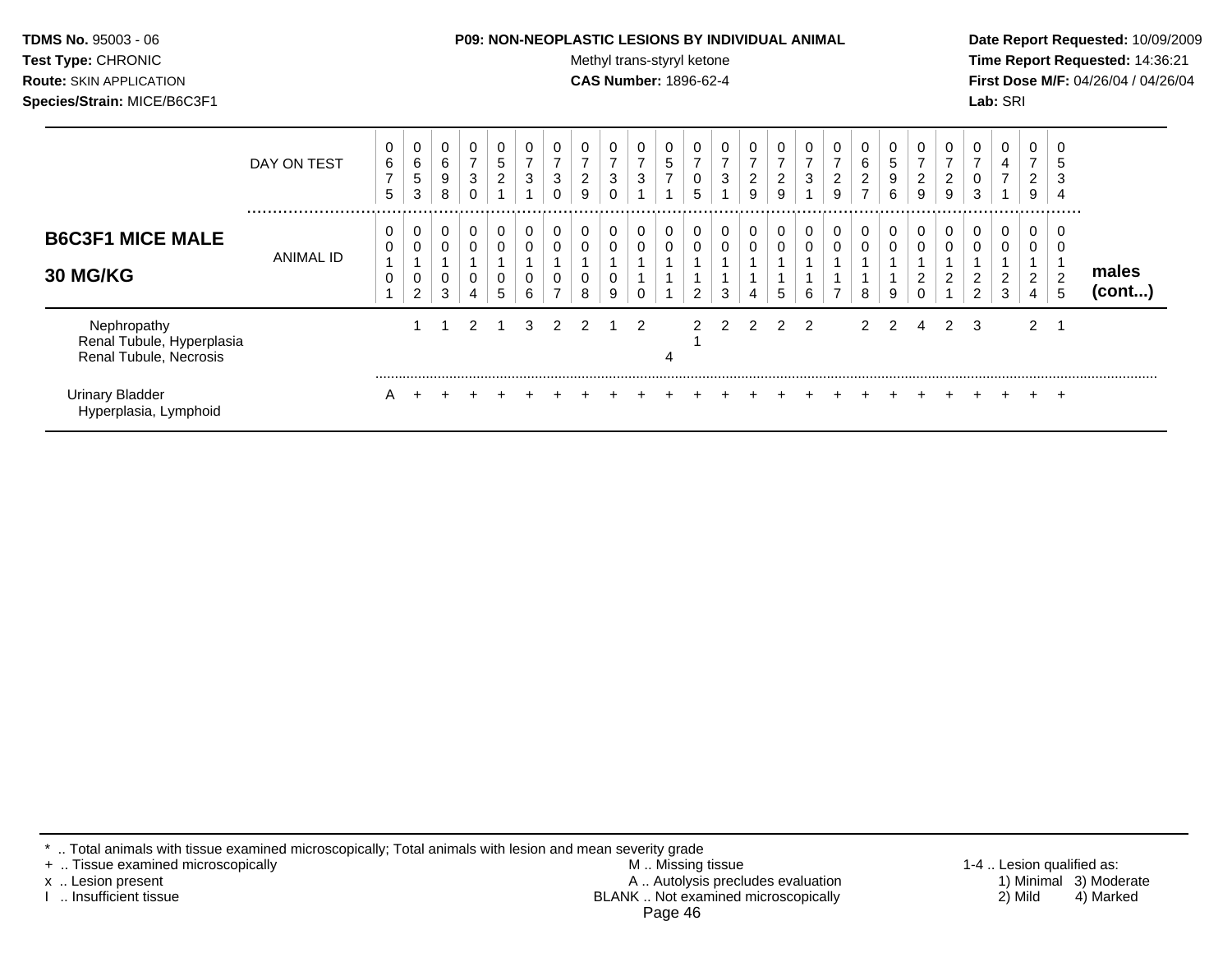| <b>TDMS No. 95003 - 06</b>     | <b>P09: NON-NEOPLASTIC LESIONS BY INDIVIDUAL ANIMAL</b> | Date Rep         |
|--------------------------------|---------------------------------------------------------|------------------|
| <b>Test Type: CHRONIC</b>      | Methyl trans-styryl ketone                              | <b>Time Re</b>   |
| <b>Route: SKIN APPLICATION</b> | <b>CAS Number: 1896-62-4</b>                            | <b>First Dos</b> |
| Species/Strain: MICE/B6C3F1    |                                                         | <b>Lab:</b> SRI  |

## **P09: NON-NEOPLASTIC LESIONS BY INDIVIDUAL ANIMAL Date Report Requested:** 10/09/2009

**Methyl trans-styryl ketone Time Report Requested:** 14:36:21 **CAS Number:** 1896-62-4 **First Dose M/F:** 04/26/04 / 04/26/04

|                                                                    | DAY ON TEST   | 0<br>6<br>$\overline{ }$<br>5 | υ<br>$\,6$<br>5<br>3     | 0<br>6<br>9<br>8 | 0<br>$\overline{7}$<br>3<br>0 | 0<br>5<br>$\overline{2}$ | 0<br>$\overline{ }$<br>3 | 0<br>$\overline{ }$<br>3<br>0 | $\overline{7}$<br>$\overline{2}$<br>9 | 0<br>$\overline{ }$<br>3<br>0 | 0<br>$\overline{ }$<br>3 | 0<br>5<br>$\overline{7}$ | 0<br>0<br>5 | 0<br>$\overline{ }$<br>3 | U<br>$\overline{ }$<br>2<br>9 | 0<br>$\overline{ }$<br>$\overline{2}$<br>9 | 0<br>$\overline{ }$<br>3 | 0<br>7<br>$\overline{c}$<br>9 | 6<br>$\overline{c}$<br>$\overline{ }$ | 5<br>9<br>6 | 0<br>⇁<br>2<br>9 | υ<br>$\overline{7}$<br>$\overline{2}$<br>9 | 0<br>$\overline{ }$<br>0<br>3 | 0<br>4<br>$\overline{ }$ | ⇁<br>2<br>9                | J<br>5<br>3                 |                 |
|--------------------------------------------------------------------|---------------|-------------------------------|--------------------------|------------------|-------------------------------|--------------------------|--------------------------|-------------------------------|---------------------------------------|-------------------------------|--------------------------|--------------------------|-------------|--------------------------|-------------------------------|--------------------------------------------|--------------------------|-------------------------------|---------------------------------------|-------------|------------------|--------------------------------------------|-------------------------------|--------------------------|----------------------------|-----------------------------|-----------------|
| <b>B6C3F1 MICE MALE</b><br><b>30 MG/KG</b>                         | <br>ANIMAL ID | 0<br>0<br>0                   | υ<br>U<br>$\overline{2}$ | 0<br>0<br>0<br>3 | 0<br>0<br>0<br>4              | 0<br>0<br>0<br>5         | 0<br>0<br>0<br>6         | 0<br>0<br>0<br>$\overline{ }$ | 0<br>8                                | 0<br>0<br>0<br>9              | 0<br>0<br>0              | 0                        | 0<br>0<br>◠ | 0<br>0<br>3              | 0<br>0                        | 0<br>0<br>$5\phantom{.0}$                  | $\mathbf 0$<br>0<br>6    | 0<br>0<br>-                   | 0<br>0<br>8                           | 9           | 0<br>0<br>2<br>0 | 0<br>0<br>$\overline{2}$                   | 0<br>0<br>2<br>$\overline{c}$ | 0<br>0<br>2<br>3         | $\mathbf 0$<br>ົ<br>∠<br>4 | .<br>0<br>J<br>L.<br>∠<br>5 | males<br>(cont) |
| Nephropathy<br>Renal Tubule, Hyperplasia<br>Renal Tubule, Necrosis |               |                               |                          |                  | $\mathcal{P}$                 |                          | 3                        | $\mathcal{P}$                 | 2                                     |                               | 2                        | 4                        | 2           | 2                        | $\mathcal{P}$                 | 2                                          | 2                        |                               | 2                                     | 2           | 4                | $\mathbf{2}^{\circ}$                       | 3                             |                          | $\overline{2}$             |                             |                 |
| <b>Urinary Bladder</b><br>Hyperplasia, Lymphoid                    |               | A                             |                          |                  |                               |                          |                          |                               |                                       |                               |                          |                          |             |                          |                               |                                            |                          |                               |                                       |             |                  |                                            |                               |                          |                            | $\pm$                       |                 |

\* .. Total animals with tissue examined microscopically; Total animals with lesion and mean severity grade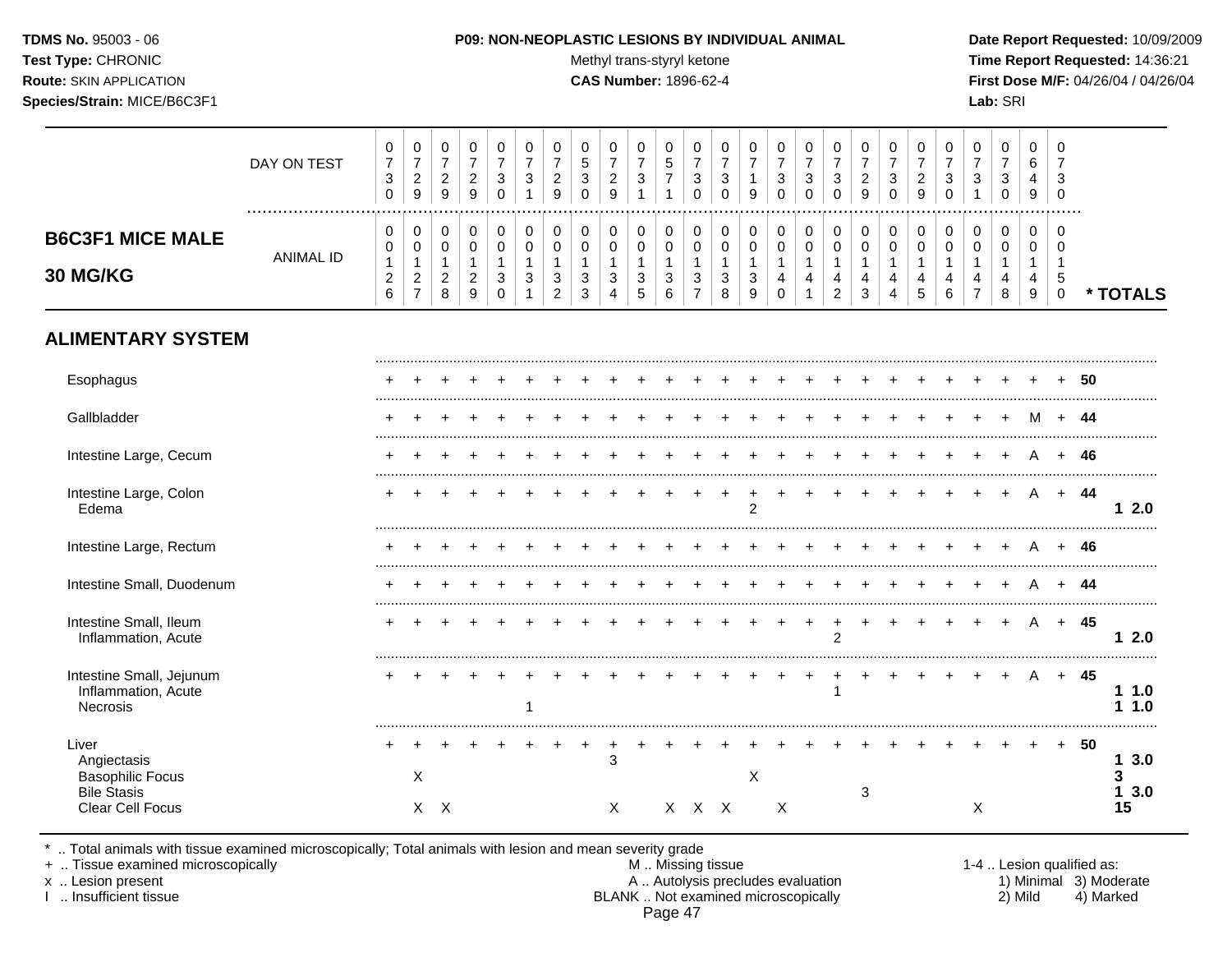## **TDMS No.** 95003 - 06 **P09: NON-NEOPLASTIC LESIONS BY INDIVIDUAL ANIMAL Date Report Requested:** 10/09/2009

Test Type: CHRONIC **Test Type:** CHRONIC **Test Type:** CHRONIC **Time Report Requested:** 14:36:21 **Route:** SKIN APPLICATION **CAS Number:** 1896-62-4 **First Dose M/F:** 04/26/04 / 04/26/04

|                                                                    | DAY ON TEST      | $\,0\,$<br>$\overline{7}$<br>$\mathbf{3}$<br>$\mathbf 0$                         | $\pmb{0}$<br>$\overline{7}$<br>$\overline{2}$<br>$9\,$               | $\mathbf 0$<br>$\overline{7}$<br>$\overline{a}$<br>9            | $\pmb{0}$<br>$\overline{7}$<br>$\sqrt{2}$<br>9                          | 0<br>$\overline{7}$<br>3<br>$\Omega$                 | 0<br>$\overline{7}$<br>$\mathbf{3}$          | $\pmb{0}$<br>$\overline{7}$<br>$\overline{c}$<br>9          | 0<br>5<br>$\mathfrak{S}$<br>$\Omega$                | 0<br>$\overline{7}$<br>$\overline{c}$<br>9                | 0<br>$\overline{7}$<br>3<br>$\mathbf{1}$            | $\mathbf 0$<br>5<br>$\overline{7}$       | 0<br>$\overline{7}$<br>3<br>$\Omega$                    | 0<br>$\overline{7}$<br>$\sqrt{3}$<br>$\Omega$    | $\,0\,$<br>$\overline{7}$<br>$\mathbf{1}$<br>9                             | $\boldsymbol{0}$<br>$\overline{7}$<br>3<br>$\Omega$ | $\pmb{0}$<br>$\overline{7}$<br>$\mathbf{3}$<br>$\Omega$          | $\pmb{0}$<br>$\overline{7}$<br>$\mathbf{3}$<br>$\Omega$                               | 0<br>$\overline{7}$<br>$\overline{c}$<br>9 | 0<br>$\overline{7}$<br>3<br>$\Omega$                 | 0<br>$\overline{7}$<br>$\overline{c}$<br>9 | $\,0\,$<br>$\overline{7}$<br>$\mathbf{3}$<br>$\Omega$ | $\,0\,$<br>$\overline{7}$<br>3<br>$\mathbf{1}$           | $\pmb{0}$<br>$\overline{7}$<br>$\mathbf{3}$<br>$\mathbf 0$     | $\Omega$<br>6<br>4<br>9                                        | 0<br>$\overline{7}$<br>3<br>$\Omega$             |        |               |
|--------------------------------------------------------------------|------------------|----------------------------------------------------------------------------------|----------------------------------------------------------------------|-----------------------------------------------------------------|-------------------------------------------------------------------------|------------------------------------------------------|----------------------------------------------|-------------------------------------------------------------|-----------------------------------------------------|-----------------------------------------------------------|-----------------------------------------------------|------------------------------------------|---------------------------------------------------------|--------------------------------------------------|----------------------------------------------------------------------------|-----------------------------------------------------|------------------------------------------------------------------|---------------------------------------------------------------------------------------|--------------------------------------------|------------------------------------------------------|--------------------------------------------|-------------------------------------------------------|----------------------------------------------------------|----------------------------------------------------------------|----------------------------------------------------------------|--------------------------------------------------|--------|---------------|
| <b>B6C3F1 MICE MALE</b><br>30 MG/KG                                | <b>ANIMAL ID</b> | $\mathbf 0$<br>$\mathbf 0$<br>$\mathbf{1}$<br>$\boldsymbol{2}$<br>$6\phantom{a}$ | 0<br>$\mathbf 0$<br>$\mathbf{1}$<br>$\overline{2}$<br>$\overline{7}$ | 0<br>$\mathsf{O}\xspace$<br>$\mathbf{1}$<br>$\overline{c}$<br>8 | $\mathbf 0$<br>$\mathsf{O}\xspace$<br>$\overline{1}$<br>$\sqrt{2}$<br>9 | 0<br>$\mathbf 0$<br>$\mathbf{1}$<br>3<br>$\mathbf 0$ | $\mathbf 0$<br>$\pmb{0}$<br>3<br>$\mathbf 1$ | $\pmb{0}$<br>$\mathbf 0$<br>$\mathbf{1}$<br>$\sqrt{3}$<br>2 | 0<br>$\mathbf 0$<br>$\mathbf{1}$<br>$\sqrt{3}$<br>3 | 0<br>$\mathbf 0$<br>$\overline{1}$<br>3<br>$\overline{4}$ | 0<br>$\mathbf 0$<br>$\mathbf{1}$<br>$\sqrt{3}$<br>5 | 0<br>$\pmb{0}$<br>$\mathbf{1}$<br>3<br>6 | 0<br>$\mathbf 0$<br>$\mathbf{1}$<br>3<br>$\overline{7}$ | 0<br>$\mathbf 0$<br>$\mathbf{1}$<br>3<br>$\,8\,$ | $\pmb{0}$<br>$\mathbf 0$<br>$\mathbf{1}$<br>$\ensuremath{\mathsf{3}}$<br>9 | 0<br>$\mathbf 0$<br>$\mathbf{1}$<br>4<br>$\Omega$   | 0<br>$\pmb{0}$<br>$\mathbf{1}$<br>$\overline{4}$<br>$\mathbf{1}$ | $\mathbf 0$<br>$\pmb{0}$<br>$\mathbf{1}$<br>$\overline{\mathbf{4}}$<br>$\overline{c}$ | 0<br>$\mathbf 0$<br>$\mathbf{1}$<br>4<br>3 | $\pmb{0}$<br>$\mathbf 0$<br>$\overline{1}$<br>4<br>4 | 0<br>$\pmb{0}$<br>$\mathbf{1}$<br>4<br>5   | $\mathbf 0$<br>$\mathbf 0$<br>$\overline{4}$<br>6     | 0<br>$\mathsf{O}$<br>$\mathbf{1}$<br>4<br>$\overline{7}$ | 0<br>$\pmb{0}$<br>$\mathbf{1}$<br>$\overline{\mathbf{4}}$<br>8 | $\Omega$<br>$\mathbf 0$<br>$\mathbf{1}$<br>$\overline{4}$<br>9 | $\Omega$<br>$\Omega$<br>1<br>5<br>$\overline{0}$ |        | * TOTALS      |
| <b>ALIMENTARY SYSTEM</b>                                           |                  |                                                                                  |                                                                      |                                                                 |                                                                         |                                                      |                                              |                                                             |                                                     |                                                           |                                                     |                                          |                                                         |                                                  |                                                                            |                                                     |                                                                  |                                                                                       |                                            |                                                      |                                            |                                                       |                                                          |                                                                |                                                                |                                                  |        |               |
| Esophagus                                                          |                  |                                                                                  |                                                                      |                                                                 |                                                                         |                                                      |                                              |                                                             |                                                     |                                                           |                                                     |                                          |                                                         |                                                  |                                                                            |                                                     |                                                                  |                                                                                       |                                            |                                                      |                                            |                                                       |                                                          |                                                                |                                                                |                                                  | 50     |               |
| Gallbladder                                                        |                  |                                                                                  |                                                                      |                                                                 |                                                                         |                                                      |                                              |                                                             |                                                     |                                                           |                                                     |                                          |                                                         |                                                  |                                                                            |                                                     |                                                                  |                                                                                       |                                            |                                                      |                                            |                                                       |                                                          |                                                                | M                                                              |                                                  | -44    |               |
| Intestine Large, Cecum                                             |                  |                                                                                  |                                                                      |                                                                 |                                                                         |                                                      |                                              |                                                             |                                                     |                                                           |                                                     |                                          |                                                         |                                                  |                                                                            |                                                     |                                                                  |                                                                                       |                                            |                                                      |                                            |                                                       |                                                          |                                                                |                                                                | $+$                                              | - 46   |               |
| Intestine Large, Colon<br>Edema                                    |                  |                                                                                  |                                                                      |                                                                 |                                                                         |                                                      |                                              |                                                             |                                                     |                                                           |                                                     |                                          |                                                         |                                                  | $\overline{2}$                                                             |                                                     |                                                                  |                                                                                       |                                            |                                                      |                                            |                                                       |                                                          |                                                                | A                                                              | $+$                                              | - 44   | 12.0          |
| Intestine Large, Rectum                                            |                  |                                                                                  |                                                                      |                                                                 |                                                                         |                                                      |                                              |                                                             |                                                     |                                                           |                                                     |                                          |                                                         |                                                  |                                                                            |                                                     |                                                                  |                                                                                       |                                            |                                                      |                                            |                                                       |                                                          |                                                                |                                                                |                                                  | 46     |               |
| Intestine Small, Duodenum                                          |                  |                                                                                  |                                                                      |                                                                 |                                                                         |                                                      |                                              |                                                             |                                                     |                                                           |                                                     |                                          |                                                         |                                                  |                                                                            |                                                     |                                                                  |                                                                                       |                                            |                                                      |                                            |                                                       |                                                          |                                                                |                                                                |                                                  | -44    |               |
| Intestine Small, Ileum<br>Inflammation, Acute                      |                  |                                                                                  |                                                                      |                                                                 |                                                                         |                                                      |                                              |                                                             |                                                     |                                                           |                                                     |                                          |                                                         |                                                  |                                                                            |                                                     |                                                                  | $\overline{2}$                                                                        |                                            |                                                      |                                            |                                                       |                                                          |                                                                | A                                                              | $+$                                              | 45     | 12.0          |
| Intestine Small, Jejunum<br>Inflammation, Acute<br><b>Necrosis</b> |                  |                                                                                  |                                                                      |                                                                 |                                                                         |                                                      |                                              |                                                             |                                                     |                                                           |                                                     |                                          |                                                         |                                                  |                                                                            |                                                     |                                                                  | $\mathbf{1}$                                                                          |                                            |                                                      |                                            |                                                       |                                                          |                                                                | A                                                              |                                                  | + 45   | 11.0<br>1.1.0 |
| Liver<br>Angiectasis<br><b>Basophilic Focus</b>                    |                  |                                                                                  | X                                                                    |                                                                 |                                                                         |                                                      |                                              |                                                             | $\ddot{}$                                           | $\ddot{}$<br>3                                            |                                                     |                                          |                                                         |                                                  | X                                                                          |                                                     |                                                                  |                                                                                       |                                            |                                                      |                                            |                                                       |                                                          |                                                                |                                                                |                                                  | $+ 50$ | 13.0<br>3     |
| <b>Bile Stasis</b><br>Clear Cell Focus                             |                  |                                                                                  |                                                                      | X X                                                             |                                                                         |                                                      |                                              |                                                             |                                                     | X                                                         |                                                     |                                          | X X X                                                   |                                                  |                                                                            | $\times$                                            |                                                                  |                                                                                       | 3                                          |                                                      |                                            |                                                       | Χ                                                        |                                                                |                                                                |                                                  |        | 13.0<br>15    |

\* .. Total animals with tissue examined microscopically; Total animals with lesion and mean severity grade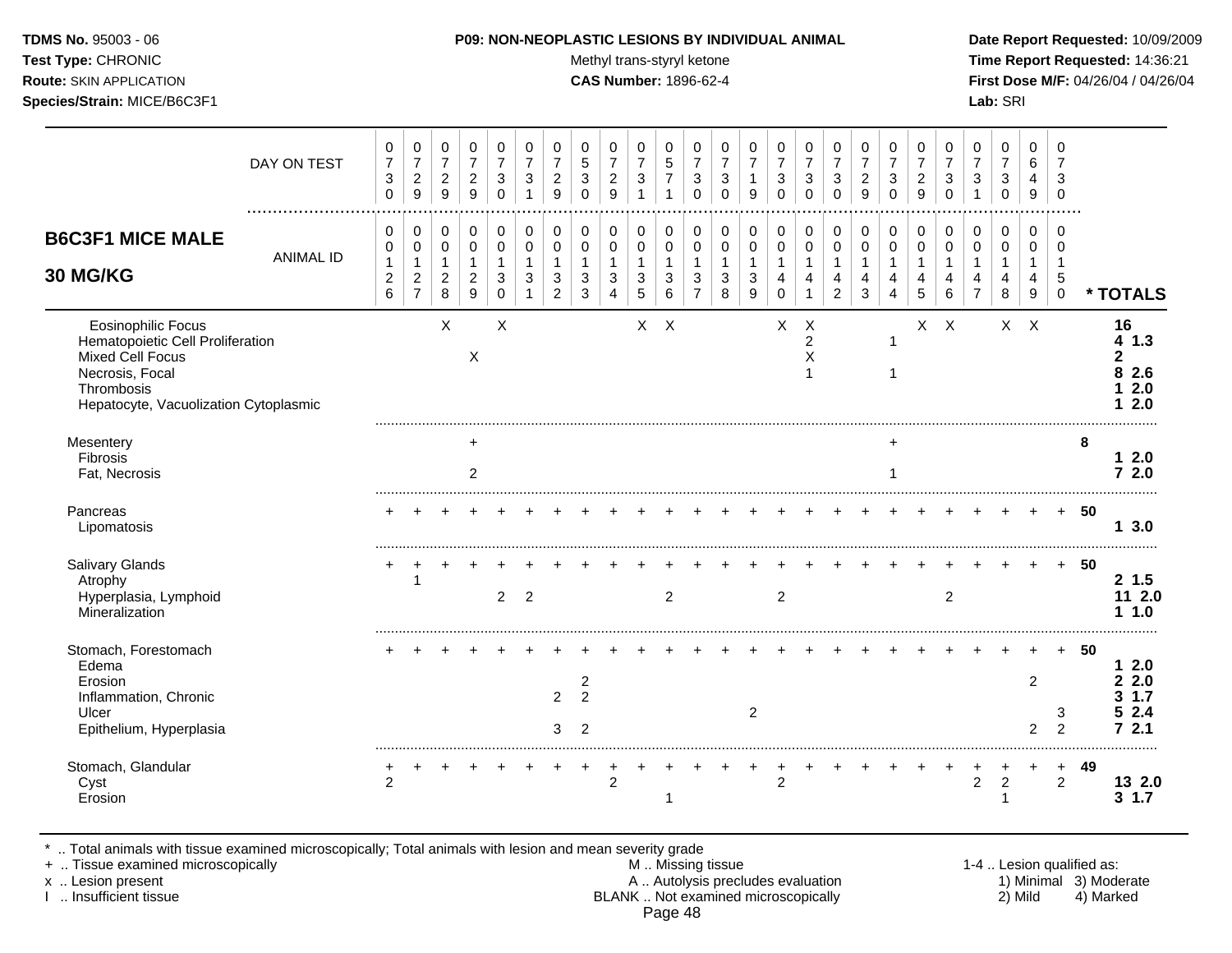Test Type: CHRONIC **Test Type:** CHRONIC **Test Type:** CHRONIC **Time Report Requested:** 14:36:21 **Route:** SKIN APPLICATION **CAS Number:** 1896-62-4 **First Dose M/F:** 04/26/04 / 04/26/04 **Species/Strain:** MICE/B6C3F1 **Lab:** SRI

|                                                                                                                                                             | DAY ON TEST      | 0<br>$\overline{7}$<br>$\ensuremath{\mathsf{3}}$<br>0 | 0<br>$\overline{7}$<br>$\overline{c}$<br>9                         | 0<br>$\overline{7}$<br>$\overline{c}$<br>9                    | 0<br>$\overline{7}$<br>$\overline{2}$<br>9 | 0<br>$\overline{7}$<br>3<br>$\Omega$   | 0<br>$\overline{7}$<br>3        | 0<br>$\overline{7}$<br>$\sqrt{2}$<br>9 | 0<br>5<br>3<br>$\Omega$                                     | 0<br>$\overline{7}$<br>$\sqrt{2}$<br>9                    | 0<br>$\overline{7}$<br>$\sqrt{3}$<br>1     | 0<br>$\sqrt{5}$<br>$\overline{7}$<br>-1 | 0<br>$\overline{7}$<br>$\ensuremath{\mathsf{3}}$<br>$\Omega$ | 0<br>$\overline{7}$<br>$\sqrt{3}$<br>$\Omega$    | 0<br>$\overline{7}$<br>1<br>9                | 0<br>$\overline{7}$<br>$\mathbf{3}$<br>$\Omega$                         | 0<br>$\overline{7}$<br>$\mathbf{3}$<br>$\mathbf{0}$  | 0<br>$\overline{7}$<br>3<br>$\mathbf 0$      | 0<br>$\overline{7}$<br>$\overline{c}$<br>9 | 0<br>$\overline{7}$<br>3<br>$\Omega$                 | 0<br>$\overline{7}$<br>$\overline{c}$<br>9 | 0<br>$\overline{7}$<br>$\sqrt{3}$<br>$\mathbf 0$ | 0<br>$\overline{7}$<br>$\sqrt{3}$<br>$\overline{1}$                            | 0<br>$\overline{7}$<br>3<br>$\mathbf 0$   | 0<br>6<br>4<br>9                | 0<br>$\overline{7}$<br>3<br>0                    |      |                                                   |
|-------------------------------------------------------------------------------------------------------------------------------------------------------------|------------------|-------------------------------------------------------|--------------------------------------------------------------------|---------------------------------------------------------------|--------------------------------------------|----------------------------------------|---------------------------------|----------------------------------------|-------------------------------------------------------------|-----------------------------------------------------------|--------------------------------------------|-----------------------------------------|--------------------------------------------------------------|--------------------------------------------------|----------------------------------------------|-------------------------------------------------------------------------|------------------------------------------------------|----------------------------------------------|--------------------------------------------|------------------------------------------------------|--------------------------------------------|--------------------------------------------------|--------------------------------------------------------------------------------|-------------------------------------------|---------------------------------|--------------------------------------------------|------|---------------------------------------------------|
| <b>B6C3F1 MICE MALE</b><br>30 MG/KG                                                                                                                         | <b>ANIMAL ID</b> | 0<br>$\pmb{0}$<br>$\mathbf{1}$<br>$\overline{c}$<br>6 | 0<br>$\pmb{0}$<br>$\mathbf{1}$<br>$\overline{c}$<br>$\overline{7}$ | 0<br>$\mathbf 0$<br>$\mathbf{1}$<br>$\overline{2}$<br>$\,8\,$ | 0<br>$\mathbf 0$<br>$\overline{2}$<br>9    | 0<br>$\mathbf 0$<br>1<br>3<br>$\Omega$ | $\mathbf 0$<br>$\mathbf 0$<br>3 | 0<br>0<br>1<br>3<br>$\overline{2}$     | 0<br>0<br>$\mathbf{1}$<br>3<br>3                            | 0<br>$\mathbf 0$<br>$\overline{1}$<br>3<br>$\overline{4}$ | 0<br>$\mathbf 0$<br>$\mathbf{1}$<br>3<br>5 | 0<br>$\mathbf 0$<br>1<br>3<br>6         | $\pmb{0}$<br>$\mathbf 0$<br>3<br>$\overline{7}$              | $\pmb{0}$<br>$\pmb{0}$<br>1<br>$\mathbf{3}$<br>8 | 0<br>$\pmb{0}$<br>$\mathbf{1}$<br>3<br>$9\,$ | $\pmb{0}$<br>$\pmb{0}$<br>$\mathbf{1}$<br>$\overline{4}$<br>$\mathbf 0$ | 0<br>$\mathbf 0$<br>$\mathbf 1$<br>4<br>$\mathbf{1}$ | 0<br>$\mathbf 0$<br>1<br>4<br>$\overline{c}$ | $\pmb{0}$<br>$\mathbf 0$<br>4<br>3         | $\pmb{0}$<br>$\mathbf 0$<br>1<br>4<br>$\overline{4}$ | 0<br>0<br>1<br>4<br>$\sqrt{5}$             | 0<br>$\mathbf 0$<br>-1<br>4<br>$\,6\,$           | $\mathbf 0$<br>$\mathbf 0$<br>$\mathbf{1}$<br>$\overline{4}$<br>$\overline{7}$ | $\mathbf 0$<br>$\mathbf 0$<br>1<br>4<br>8 | 0<br>$\mathbf 0$<br>1<br>4<br>9 | 0<br>$\Omega$<br>$\mathbf 1$<br>5<br>$\mathbf 0$ |      | * TOTALS                                          |
| <b>Eosinophilic Focus</b><br>Hematopoietic Cell Proliferation<br>Mixed Cell Focus<br>Necrosis, Focal<br>Thrombosis<br>Hepatocyte, Vacuolization Cytoplasmic |                  |                                                       |                                                                    | X                                                             | X                                          | X                                      |                                 |                                        |                                                             |                                                           | $X$ $X$                                    |                                         |                                                              |                                                  |                                              | X                                                                       | X<br>$\overline{c}$<br>$\times$<br>-1                |                                              |                                            | 1<br>1                                               |                                            | $X$ $X$                                          |                                                                                | $X$ $X$                                   |                                 |                                                  |      | 16<br>41.3<br>$\mathbf{2}$<br>8 2.6<br>2.0<br>2.0 |
| Mesentery<br>Fibrosis<br>Fat, Necrosis                                                                                                                      |                  |                                                       |                                                                    |                                                               | ÷<br>2                                     |                                        |                                 |                                        |                                                             |                                                           |                                            |                                         |                                                              |                                                  |                                              |                                                                         |                                                      |                                              |                                            | 1                                                    |                                            |                                                  |                                                                                |                                           |                                 |                                                  | 8    | 12.0<br>72.0                                      |
| Pancreas<br>Lipomatosis                                                                                                                                     |                  |                                                       |                                                                    |                                                               |                                            |                                        |                                 |                                        |                                                             |                                                           |                                            |                                         |                                                              |                                                  |                                              |                                                                         |                                                      |                                              |                                            |                                                      |                                            |                                                  |                                                                                |                                           |                                 | $+$                                              | - 50 | 13.0                                              |
| <b>Salivary Glands</b><br>Atrophy<br>Hyperplasia, Lymphoid<br>Mineralization                                                                                |                  |                                                       | 1                                                                  |                                                               |                                            | $\overline{2}$                         | $\overline{2}$                  |                                        |                                                             |                                                           |                                            | 2                                       |                                                              |                                                  |                                              | 2                                                                       |                                                      |                                              |                                            |                                                      |                                            | $\overline{2}$                                   |                                                                                |                                           |                                 | $+$                                              | 50   | $2\;1.5$<br>11 2.0<br>1.1.0                       |
| Stomach, Forestomach<br>Edema<br>Erosion<br>Inflammation, Chronic<br>Ulcer<br>Epithelium, Hyperplasia                                                       |                  |                                                       |                                                                    |                                                               |                                            |                                        |                                 | $\overline{2}$<br>3                    | $\overline{\mathbf{c}}$<br>$\overline{2}$<br>$\overline{2}$ |                                                           |                                            |                                         |                                                              |                                                  | $\overline{c}$                               |                                                                         |                                                      |                                              |                                            |                                                      |                                            |                                                  |                                                                                |                                           | $\overline{2}$<br>2             | $+$<br>3<br>$\overline{2}$                       | 50   | 12.0<br>2.2.0<br>1.7<br>З.<br>2.4<br>2.1<br>7     |
| Stomach, Glandular<br>Cyst<br>Erosion                                                                                                                       |                  | $\overline{2}$                                        |                                                                    |                                                               |                                            |                                        |                                 |                                        |                                                             | $\overline{2}$                                            |                                            |                                         |                                                              |                                                  |                                              | $\overline{2}$                                                          |                                                      |                                              |                                            |                                                      |                                            |                                                  | 2                                                                              | $\overline{c}$<br>1                       |                                 | $\ddot{}$<br>$\overline{2}$                      | 49   | 13 2.0<br>1.7<br>$\mathbf{3}$                     |

\* .. Total animals with tissue examined microscopically; Total animals with lesion and mean severity grade

+ .. Tissue examined microscopically M .. Missing tissue 1-4 .. Lesion qualified as: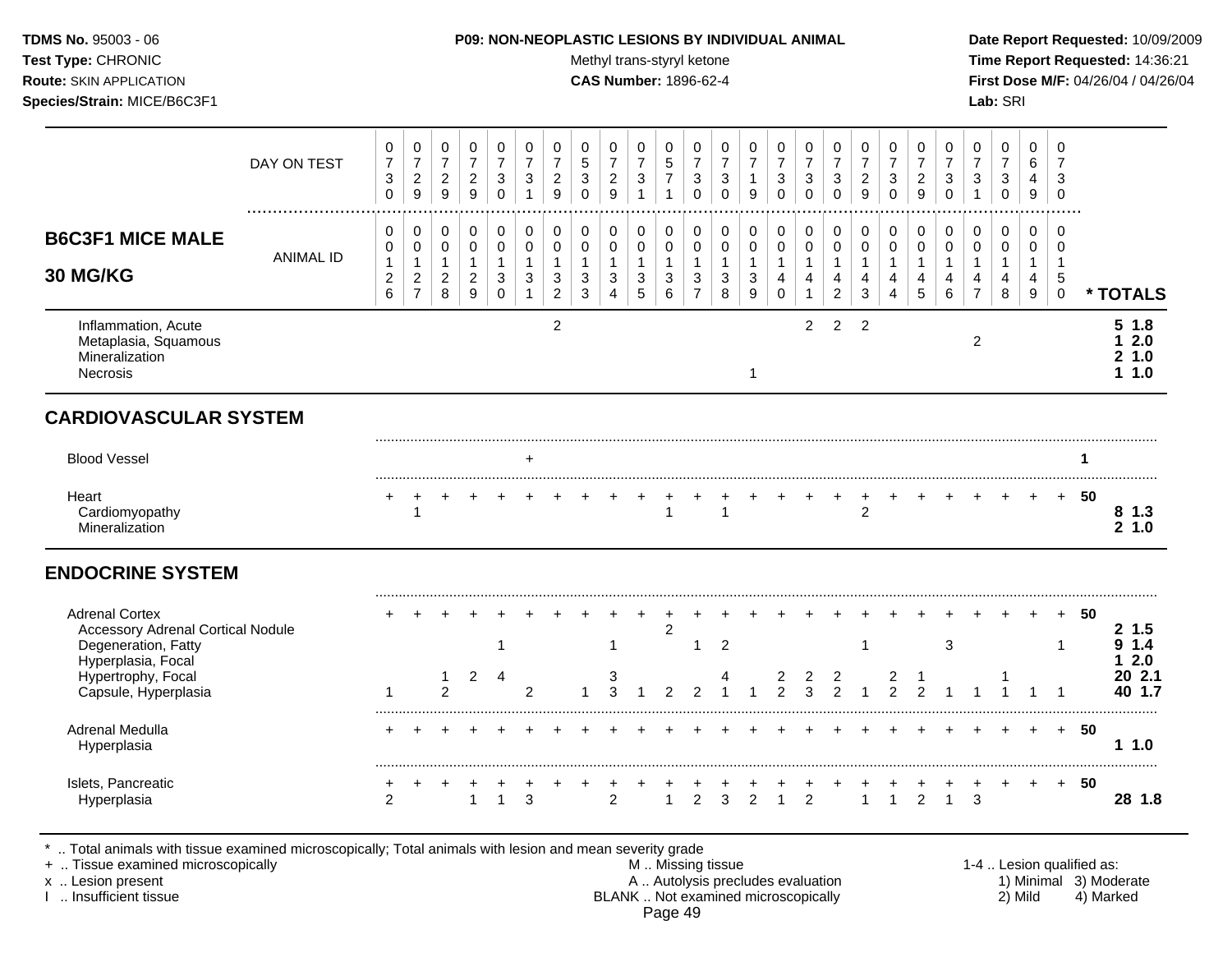# **TDMS No.** 95003 - 06 **P09: NON-NEOPLASTIC LESIONS BY INDIVIDUAL ANIMAL Date Report Requested:** 10/09/2009

Test Type: CHRONIC **Test Type:** CHRONIC **Test Type:** CHRONIC **Time Report Requested:** 14:36:21 **Route:** SKIN APPLICATION **CAS Number:** 1896-62-4 **First Dose M/F:** 04/26/04 / 04/26/04

|                                                                                          | DAY ON TEST           | 0<br>$\boldsymbol{7}$<br>3<br>$\mathbf 0$               | 0<br>$\overline{7}$<br>$\sqrt{2}$<br>9                                         | 0<br>$\overline{7}$<br>$\overline{2}$<br>$9\,$ | 0<br>$\overline{7}$<br>$\sqrt{2}$<br>9                                    | 0<br>$\overline{7}$<br>$\sqrt{3}$<br>$\mathbf 0$            | 0<br>$\overline{7}$<br>3<br>$\mathbf{1}$                     | 0<br>$\boldsymbol{7}$<br>$\overline{c}$<br>$\overline{9}$                               | 0<br>$\overline{5}$<br>3<br>$\mathbf 0$                                  | 0<br>$\overline{7}$<br>$\overline{2}$<br>$\mathsf g$            | 0<br>$\overline{7}$<br>$\mathbf{3}$<br>$\overline{1}$                               | 0<br>$\overline{5}$<br>$\overline{7}$<br>$\mathbf{1}$              | 0<br>$\overline{7}$<br>3<br>$\mathbf 0$               | $\mathbf 0$<br>$\overline{7}$<br>3<br>$\mathbf{0}$                             | $\mathbf 0$<br>$\overline{7}$<br>1<br>9           | 0<br>$\overline{7}$<br>$\sqrt{3}$<br>$\mathbf 0$                                 | 0<br>$\overline{7}$<br>$\sqrt{3}$<br>$\mathbf 0$                                    | 0<br>$\overline{7}$<br>3<br>$\mathbf 0$                                       | 0<br>$\overline{7}$<br>$\overline{c}$<br>9                                | 0<br>$\overline{7}$<br>3<br>$\mathbf 0$                         | $\mathbf 0$<br>$\overline{7}$<br>$\overline{c}$<br>$\overline{9}$      | $\mathbf 0$<br>$\overline{7}$<br>3<br>$\mathbf 0$ | 0<br>$\overline{7}$<br>$\mathbf{3}$<br>$\mathbf{1}$ | 0<br>$\overline{7}$<br>$\mathbf{3}$<br>$\mathbf 0$             | $\Omega$<br>6<br>4<br>9                                   | $\mathbf 0$<br>$\overline{7}$<br>3<br>$\mathbf 0$                             |     |                                           |
|------------------------------------------------------------------------------------------|-----------------------|---------------------------------------------------------|--------------------------------------------------------------------------------|------------------------------------------------|---------------------------------------------------------------------------|-------------------------------------------------------------|--------------------------------------------------------------|-----------------------------------------------------------------------------------------|--------------------------------------------------------------------------|-----------------------------------------------------------------|-------------------------------------------------------------------------------------|--------------------------------------------------------------------|-------------------------------------------------------|--------------------------------------------------------------------------------|---------------------------------------------------|----------------------------------------------------------------------------------|-------------------------------------------------------------------------------------|-------------------------------------------------------------------------------|---------------------------------------------------------------------------|-----------------------------------------------------------------|------------------------------------------------------------------------|---------------------------------------------------|-----------------------------------------------------|----------------------------------------------------------------|-----------------------------------------------------------|-------------------------------------------------------------------------------|-----|-------------------------------------------|
| <b>B6C3F1 MICE MALE</b><br>30 MG/KG                                                      | .<br><b>ANIMAL ID</b> | 0<br>$\pmb{0}$<br>$\mathbf{1}$<br>$\boldsymbol{2}$<br>6 | $\mathbf 0$<br>$\pmb{0}$<br>$\mathbf{1}$<br>$\boldsymbol{2}$<br>$\overline{7}$ | 0<br>0<br>$\mathbf{1}$<br>$\overline{a}$<br>8  | $\mathbf 0$<br>$\mathsf{O}\xspace$<br>$\mathbf{1}$<br>$\sqrt{2}$<br>$9\,$ | 0<br>$\mathbf 0$<br>$\mathbf{1}$<br>$\sqrt{3}$<br>$\pmb{0}$ | 0<br>$\pmb{0}$<br>$\mathbf{1}$<br>$\sqrt{3}$<br>$\mathbf{1}$ | $\pmb{0}$<br>$\pmb{0}$<br>$\mathbf{1}$<br>$\ensuremath{\mathsf{3}}$<br>$\boldsymbol{2}$ | $\pmb{0}$<br>$\pmb{0}$<br>$\mathbf{1}$<br>$\ensuremath{\mathsf{3}}$<br>3 | 0<br>$\mathsf{O}\xspace$<br>$\mathbf{1}$<br>3<br>$\overline{4}$ | $\pmb{0}$<br>$\mathbf 0$<br>$\mathbf{1}$<br>$\ensuremath{\mathsf{3}}$<br>$\sqrt{5}$ | 0<br>$\mathbf 0$<br>$\mathbf{1}$<br>$\ensuremath{\mathsf{3}}$<br>6 | 0<br>$\pmb{0}$<br>$\mathbf{1}$<br>3<br>$\overline{7}$ | $\mathbf 0$<br>$\mathbf 0$<br>$\overline{1}$<br>$\ensuremath{\mathsf{3}}$<br>8 | 0<br>$\pmb{0}$<br>$\mathbf{1}$<br>$\sqrt{3}$<br>9 | $\pmb{0}$<br>$\pmb{0}$<br>$\mathbf{1}$<br>$\overline{\mathbf{4}}$<br>$\mathbf 0$ | $\pmb{0}$<br>$\mathbf 0$<br>$\mathbf{1}$<br>$\overline{\mathbf{4}}$<br>$\mathbf{1}$ | 0<br>$\mathbf 0$<br>$\mathbf{1}$<br>$\overline{\mathbf{4}}$<br>$\overline{2}$ | 0<br>$\pmb{0}$<br>$\mathbf{1}$<br>$\overline{\mathbf{4}}$<br>$\mathbf{3}$ | $\mathbf 0$<br>$\pmb{0}$<br>$\mathbf{1}$<br>4<br>$\overline{4}$ | $\pmb{0}$<br>$\pmb{0}$<br>$\mathbf{1}$<br>$\overline{\mathbf{4}}$<br>5 | 0<br>$\pmb{0}$<br>$\mathbf 1$<br>4<br>$\,6\,$     | 0<br>0<br>$\mathbf{1}$<br>4<br>$\overline{7}$       | 0<br>$\pmb{0}$<br>$\mathbf{1}$<br>$\overline{\mathbf{4}}$<br>8 | 0<br>$\mathbf 0$<br>$\mathbf{1}$<br>4<br>$\boldsymbol{9}$ | $\mathbf 0$<br>$\mathbf 0$<br>$\overline{1}$<br>$\overline{5}$<br>$\mathbf 0$ |     | * TOTALS                                  |
| Inflammation, Acute<br>Metaplasia, Squamous<br>Mineralization<br><b>Necrosis</b>         |                       |                                                         |                                                                                |                                                |                                                                           |                                                             |                                                              | $\overline{c}$                                                                          |                                                                          |                                                                 |                                                                                     |                                                                    |                                                       |                                                                                | 1                                                 |                                                                                  | $\overline{2}$                                                                      | $\overline{2}$                                                                | $\overline{c}$                                                            |                                                                 |                                                                        |                                                   | $\overline{2}$                                      |                                                                |                                                           |                                                                               |     | 51.8<br>2.0<br>1.<br>21.0<br>11.0         |
| <b>CARDIOVASCULAR SYSTEM</b>                                                             |                       |                                                         |                                                                                |                                                |                                                                           |                                                             |                                                              |                                                                                         |                                                                          |                                                                 |                                                                                     |                                                                    |                                                       |                                                                                |                                                   |                                                                                  |                                                                                     |                                                                               |                                                                           |                                                                 |                                                                        |                                                   |                                                     |                                                                |                                                           |                                                                               |     |                                           |
| <b>Blood Vessel</b>                                                                      |                       |                                                         |                                                                                |                                                |                                                                           |                                                             | $\ddot{}$                                                    |                                                                                         |                                                                          |                                                                 |                                                                                     |                                                                    |                                                       |                                                                                |                                                   |                                                                                  |                                                                                     |                                                                               |                                                                           |                                                                 |                                                                        |                                                   |                                                     |                                                                |                                                           |                                                                               | 1   |                                           |
| Heart<br>Cardiomyopathy<br>Mineralization                                                |                       | $\ddot{}$                                               | 1                                                                              | +                                              |                                                                           |                                                             |                                                              |                                                                                         |                                                                          |                                                                 | +                                                                                   | 1                                                                  |                                                       | 1                                                                              |                                                   |                                                                                  |                                                                                     | $\ddot{}$                                                                     | $\ddot{}$<br>$\overline{2}$                                               |                                                                 |                                                                        |                                                   |                                                     | $\ddot{}$                                                      | $+$                                                       | $+$                                                                           | 50  | 81.3<br>21.0                              |
| <b>ENDOCRINE SYSTEM</b>                                                                  |                       |                                                         |                                                                                |                                                |                                                                           |                                                             |                                                              |                                                                                         |                                                                          |                                                                 |                                                                                     |                                                                    |                                                       |                                                                                |                                                   |                                                                                  |                                                                                     |                                                                               |                                                                           |                                                                 |                                                                        |                                                   |                                                     |                                                                |                                                           |                                                                               |     |                                           |
| <b>Adrenal Cortex</b><br><b>Accessory Adrenal Cortical Nodule</b><br>Degeneration, Fatty |                       |                                                         |                                                                                |                                                |                                                                           | $\mathbf 1$                                                 |                                                              |                                                                                         |                                                                          | 1                                                               |                                                                                     | $\overline{c}$                                                     | 1                                                     | $\overline{2}$<br>4                                                            |                                                   | $\overline{2}$                                                                   | 2                                                                                   | 2                                                                             | $\mathbf 1$                                                               | $\overline{c}$                                                  |                                                                        | 3                                                 |                                                     |                                                                |                                                           | $+$<br>1                                                                      | -50 | 2 1.5<br>1.4<br>9.<br>2.0<br>1.<br>20 2.1 |
| Hyperplasia, Focal<br>Hypertrophy, Focal                                                 |                       |                                                         |                                                                                | 1                                              | $\overline{2}$                                                            | $\overline{4}$                                              |                                                              |                                                                                         |                                                                          | 3                                                               |                                                                                     | っ                                                                  |                                                       |                                                                                |                                                   |                                                                                  |                                                                                     |                                                                               | $\overline{1}$                                                            |                                                                 | $\mathfrak{p}$                                                         |                                                   |                                                     |                                                                |                                                           |                                                                               |     |                                           |
| Capsule, Hyperplasia<br>Adrenal Medulla<br>Hyperplasia                                   |                       |                                                         |                                                                                | $\mathfrak{p}$                                 |                                                                           |                                                             | $\overline{2}$                                               |                                                                                         |                                                                          | 3                                                               |                                                                                     |                                                                    | $\overline{2}$                                        |                                                                                |                                                   | $\overline{2}$                                                                   | $\overline{3}$                                                                      | $\overline{2}$                                                                |                                                                           | $\mathfrak{p}$                                                  |                                                                        |                                                   |                                                     |                                                                |                                                           | $+$                                                                           | -50 | 40 1.7<br>11.0                            |

- x .. Lesion present **A .. Autolysis precludes evaluation** A .. Autolysis precludes evaluation 1) Minimal 3) Moderate I .. Insufficient tissue BLANK .. Not examined microscopically 2) Mild 4) Marked Page 49
-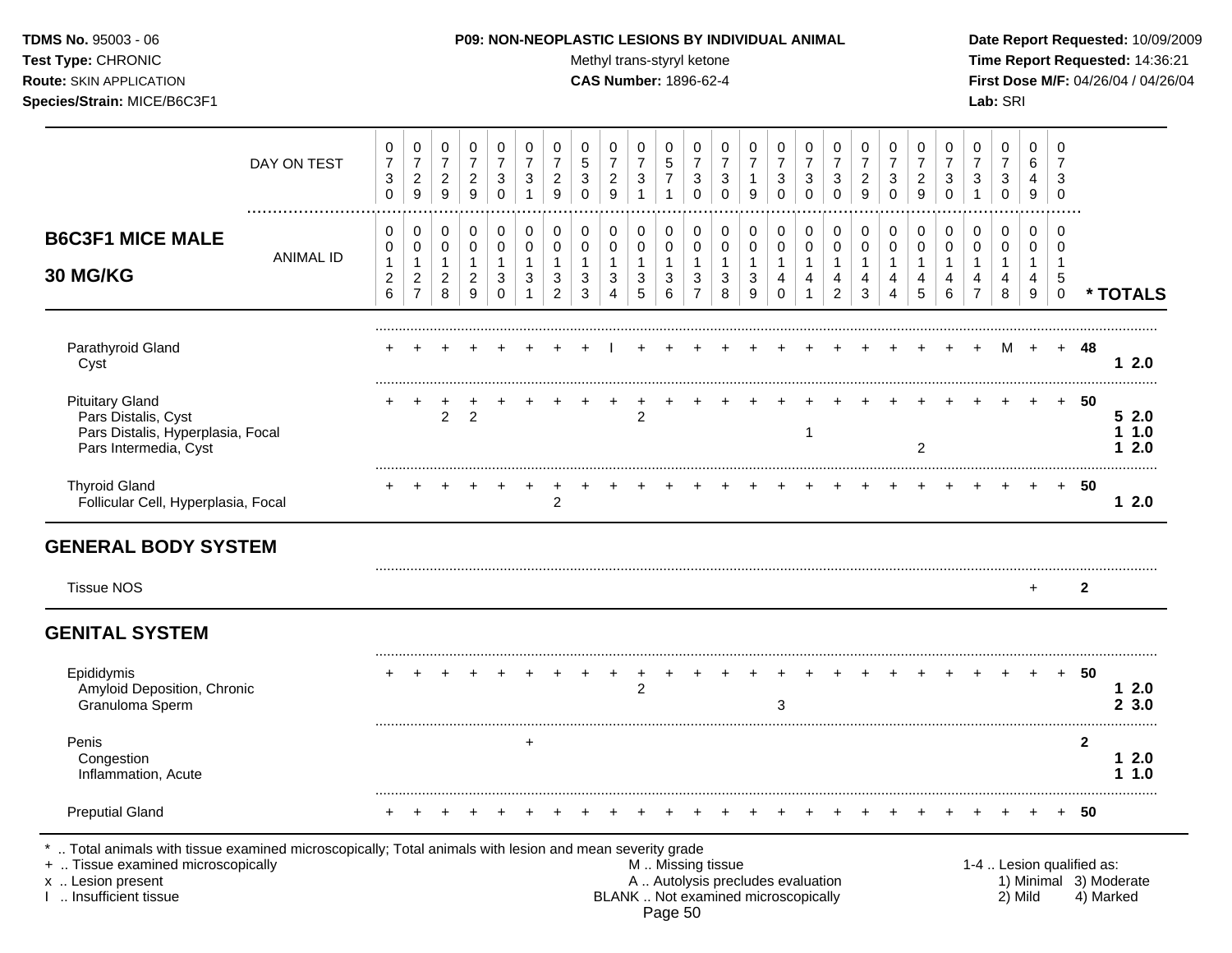Test Type: CHRONIC **Test Type:** CHRONIC **Test Type:** CHRONIC **Time Report Requested:** 14:36:21 **Route:** SKIN APPLICATION **CAS Number:** 1896-62-4 **First Dose M/F:** 04/26/04 / 04/26/04 **Species/Strain:** MICE/B6C3F1 **Lab:** SRI

|                                                                                                                                                                                            | DAY ON TEST      | 0<br>$\overline{7}$<br>$\ensuremath{\mathsf{3}}$<br>$\mathbf 0$ | 0<br>$\boldsymbol{7}$<br>$\sqrt{2}$<br>9 | 0<br>$\overline{7}$<br>$\overline{c}$<br>$\overline{9}$ | 0<br>$\overline{7}$<br>$\overline{c}$<br>9 | 0<br>$\overline{7}$<br>3<br>$\mathbf 0$ | 0<br>$\overline{7}$<br>3<br>$\mathbf{1}$ | 0<br>$\overline{7}$<br>$\overline{c}$<br>9 | 0<br>$\sqrt{5}$<br>$\ensuremath{\mathsf{3}}$<br>$\Omega$ | 0<br>$\boldsymbol{7}$<br>$\sqrt{2}$<br>$\overline{9}$ | 0<br>$\overline{7}$<br>$\ensuremath{\mathsf{3}}$<br>$\mathbf{1}$ | 0<br>$\mathbf 5$<br>$\overline{7}$<br>$\mathbf{1}$ | 0<br>$\boldsymbol{7}$<br>$\ensuremath{\mathsf{3}}$<br>$\Omega$ | 0<br>$\overline{7}$<br>3<br>$\Omega$ | 0<br>$\overline{7}$<br>9 | 0<br>$\overline{7}$<br>3<br>$\mathbf 0$ | 0<br>$\overline{7}$<br>$\ensuremath{\mathsf{3}}$<br>$\mathbf 0$ | 0<br>$\boldsymbol{7}$<br>3<br>$\Omega$ | 0<br>$\overline{7}$<br>$\overline{c}$<br>9 | 0<br>$\overline{7}$<br>3<br>$\mathbf 0$ | 0<br>$\overline{7}$<br>$\overline{c}$<br>9 | 0<br>$\overline{7}$<br>3<br>$\Omega$ | 0<br>$\boldsymbol{7}$<br>$\sqrt{3}$<br>$\overline{1}$ | 0<br>$\overline{7}$<br>3<br>$\mathbf 0$ | 0<br>6<br>4<br>9                    | $\mathbf 0$<br>$\overline{7}$<br>$\mathbf{3}$<br>$\mathbf 0$ |                           |                                     |
|--------------------------------------------------------------------------------------------------------------------------------------------------------------------------------------------|------------------|-----------------------------------------------------------------|------------------------------------------|---------------------------------------------------------|--------------------------------------------|-----------------------------------------|------------------------------------------|--------------------------------------------|----------------------------------------------------------|-------------------------------------------------------|------------------------------------------------------------------|----------------------------------------------------|----------------------------------------------------------------|--------------------------------------|--------------------------|-----------------------------------------|-----------------------------------------------------------------|----------------------------------------|--------------------------------------------|-----------------------------------------|--------------------------------------------|--------------------------------------|-------------------------------------------------------|-----------------------------------------|-------------------------------------|--------------------------------------------------------------|---------------------------|-------------------------------------|
| <b>B6C3F1 MICE MALE</b>                                                                                                                                                                    | <b>ANIMAL ID</b> | 0<br>0                                                          | 0<br>0                                   | 0<br>$\mathbf 0$                                        | 0<br>$\mathbf 0$                           | 0<br>$\mathbf 0$                        | 0<br>0                                   | 0<br>$\mathbf 0$                           | 0<br>$\mathbf 0$                                         | 0<br>$\mathbf 0$                                      | 0<br>$\mathbf 0$                                                 | 0<br>0                                             | 0<br>$\mathbf 0$                                               | 0<br>$\mathbf 0$                     | 0<br>$\pmb{0}$           | 0<br>0                                  | 0<br>$\mathbf 0$                                                | 0<br>$\mathbf 0$                       | 0<br>$\mathbf 0$                           | $\pmb{0}$<br>$\mathbf 0$                | 0<br>$\mathbf 0$                           | 0<br>$\mathbf 0$                     | 0<br>0                                                | 0<br>$\mathbf 0$                        | 0<br>0                              | $\mathbf 0$<br>0                                             |                           |                                     |
| 30 MG/KG                                                                                                                                                                                   |                  | 1<br>$\overline{c}$<br>$\,6\,$                                  | 1<br>$\overline{c}$<br>$\overline{7}$    | $\mathbf{1}$<br>$\overline{2}$<br>8                     | $\overline{1}$<br>$\overline{c}$<br>9      | $\mathbf 1$<br>$\mathbf{3}$<br>0        | -1<br>3                                  | 1<br>3<br>$\overline{2}$                   | 1<br>3<br>3                                              | $\mathbf{1}$<br>$\sqrt{3}$<br>4                       | $\mathbf{1}$<br>3<br>5                                           | $\mathbf{1}$<br>3<br>6                             | $\mathbf{1}$<br>$\mathbf{3}$<br>$\overline{7}$                 | $\mathbf{1}$<br>3<br>8               | 1<br>3<br>9              | $\mathbf{1}$<br>4<br>$\mathbf 0$        | $\mathbf{1}$<br>4<br>$\mathbf{1}$                               | $\mathbf{1}$<br>4<br>$\overline{2}$    | 1<br>4<br>3                                | $\mathbf{1}$<br>4<br>4                  | 1<br>4<br>5                                | 1<br>4<br>6                          | 1<br>4<br>$\overline{7}$                              | $\mathbf{1}$<br>4<br>8                  | $\mathbf{1}$<br>$\overline{4}$<br>9 | $\mathbf 1$<br>5<br>$\mathbf 0$                              |                           | * TOTALS                            |
| Parathyroid Gland<br>Cyst                                                                                                                                                                  |                  |                                                                 |                                          |                                                         |                                            |                                         |                                          |                                            |                                                          |                                                       |                                                                  |                                                    |                                                                |                                      |                          |                                         |                                                                 |                                        |                                            |                                         |                                            |                                      |                                                       | M                                       | $+$                                 |                                                              | + 48                      | 12.0                                |
| <b>Pituitary Gland</b><br>Pars Distalis, Cyst<br>Pars Distalis, Hyperplasia, Focal<br>Pars Intermedia, Cyst                                                                                |                  |                                                                 |                                          | $\overline{a}$                                          | $\overline{2}$                             |                                         |                                          |                                            |                                                          |                                                       | $\boldsymbol{2}$                                                 |                                                    |                                                                |                                      |                          |                                         |                                                                 |                                        |                                            |                                         | $\overline{2}$                             |                                      |                                                       |                                         |                                     | $+$                                                          | 50                        | 52.0<br>11.0<br>12.0                |
| <b>Thyroid Gland</b><br>Follicular Cell, Hyperplasia, Focal                                                                                                                                |                  |                                                                 |                                          |                                                         |                                            |                                         |                                          | $\overline{c}$                             |                                                          |                                                       |                                                                  |                                                    |                                                                |                                      |                          |                                         |                                                                 |                                        |                                            |                                         |                                            |                                      |                                                       |                                         |                                     |                                                              | $+ 50$                    | 12.0                                |
| <b>GENERAL BODY SYSTEM</b>                                                                                                                                                                 |                  |                                                                 |                                          |                                                         |                                            |                                         |                                          |                                            |                                                          |                                                       |                                                                  |                                                    |                                                                |                                      |                          |                                         |                                                                 |                                        |                                            |                                         |                                            |                                      |                                                       |                                         |                                     |                                                              |                           |                                     |
| <b>Tissue NOS</b>                                                                                                                                                                          |                  |                                                                 |                                          |                                                         |                                            |                                         |                                          |                                            |                                                          |                                                       |                                                                  |                                                    |                                                                |                                      |                          |                                         |                                                                 |                                        |                                            |                                         |                                            |                                      |                                                       |                                         | $+$                                 |                                                              | $\mathbf{2}$              |                                     |
| <b>GENITAL SYSTEM</b>                                                                                                                                                                      |                  |                                                                 |                                          |                                                         |                                            |                                         |                                          |                                            |                                                          |                                                       |                                                                  |                                                    |                                                                |                                      |                          |                                         |                                                                 |                                        |                                            |                                         |                                            |                                      |                                                       |                                         |                                     |                                                              |                           |                                     |
| Epididymis<br>Amyloid Deposition, Chronic<br>Granuloma Sperm                                                                                                                               |                  |                                                                 |                                          |                                                         |                                            |                                         |                                          |                                            |                                                          |                                                       | $\overline{c}$                                                   |                                                    |                                                                |                                      |                          | 3                                       |                                                                 |                                        |                                            |                                         |                                            |                                      |                                                       |                                         |                                     | $+$                                                          | -50                       | 12.0<br>23.0                        |
| Penis<br>Congestion<br>Inflammation, Acute                                                                                                                                                 |                  |                                                                 |                                          |                                                         |                                            |                                         | $\ddot{}$                                |                                            |                                                          |                                                       |                                                                  |                                                    |                                                                |                                      |                          |                                         |                                                                 |                                        |                                            |                                         |                                            |                                      |                                                       |                                         |                                     |                                                              | $\mathbf{2}$              | 12.0<br>1.1.0                       |
| <b>Preputial Gland</b>                                                                                                                                                                     |                  |                                                                 |                                          |                                                         |                                            |                                         |                                          |                                            |                                                          |                                                       |                                                                  |                                                    |                                                                |                                      |                          |                                         |                                                                 |                                        |                                            |                                         |                                            |                                      |                                                       |                                         |                                     | $+$                                                          | 50                        |                                     |
| Total animals with tissue examined microscopically; Total animals with lesion and mean severity grade<br>+  Tissue examined microscopically<br>x  Lesion present<br>I  Insufficient tissue |                  |                                                                 |                                          |                                                         |                                            |                                         |                                          |                                            |                                                          |                                                       |                                                                  |                                                    | M  Missing tissue<br>A  Autolysis precludes evaluation         |                                      |                          | BLANK  Not examined microscopically     |                                                                 |                                        |                                            |                                         |                                            |                                      |                                                       | 2) Mild                                 |                                     |                                                              | 1-4  Lesion qualified as: | 1) Minimal 3) Moderate<br>4) Marked |

Page 50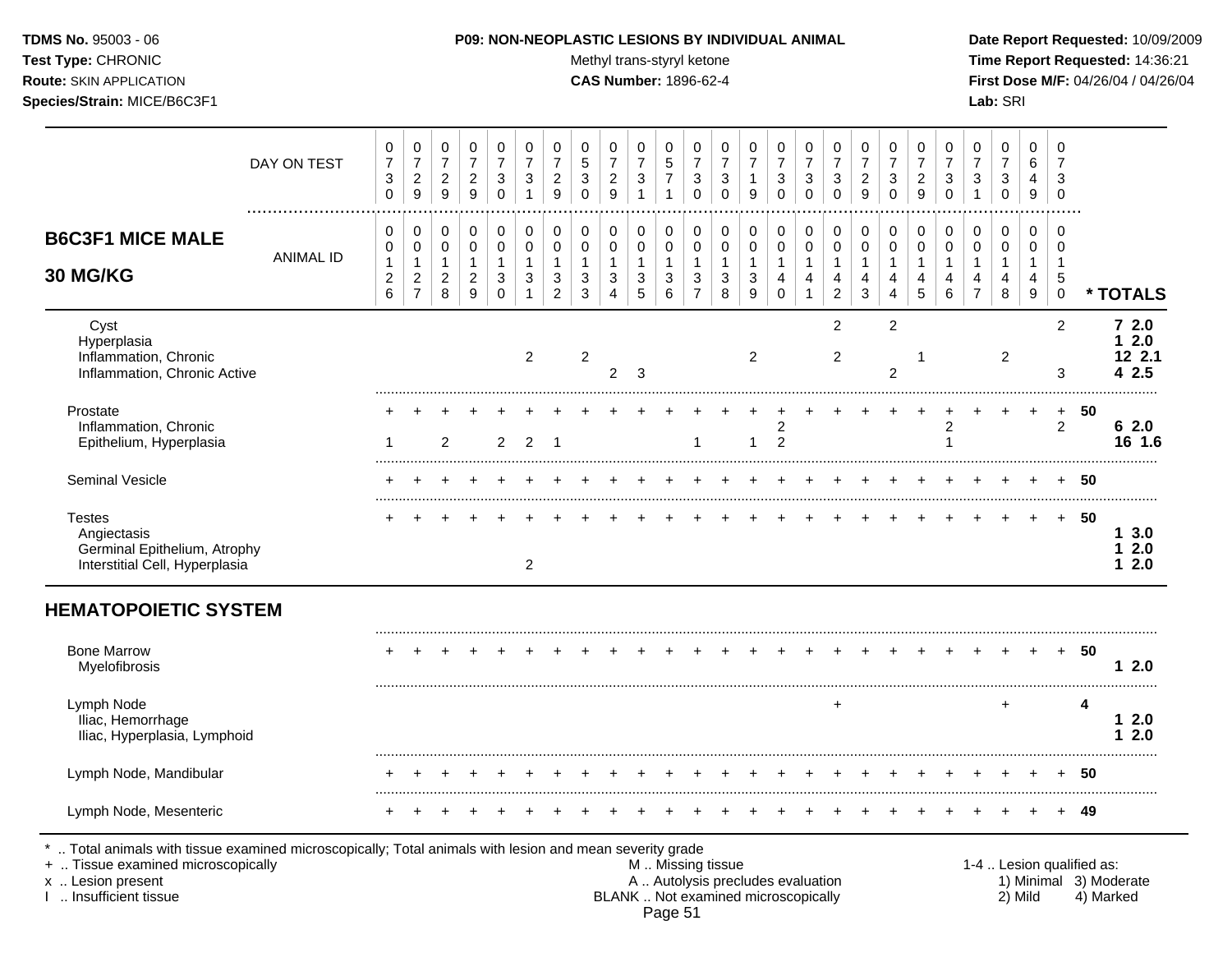Test Type: CHRONIC **Test Type:** CHRONIC **Test Type:** CHRONIC **Time Report Requested:** 14:36:21 **Route:** SKIN APPLICATION **CAS Number:** 1896-62-4 **First Dose M/F:** 04/26/04 / 04/26/04 **Species/Strain:** MICE/B6C3F1 **Lab:** SRI

|                                                                                                                                                                  | DAY ON TEST      | 0<br>$\overline{7}$<br>$\sqrt{3}$<br>$\mathbf 0$            | 0<br>$\boldsymbol{7}$<br>$\overline{c}$<br>9                 | 0<br>$\boldsymbol{7}$<br>$\sqrt{2}$<br>9      | 0<br>$\overline{7}$<br>$\overline{c}$<br>9               | 0<br>$\overline{7}$<br>3<br>0                    | 0<br>$\overline{7}$<br>$\mathbf{3}$<br>1   | 0<br>$\overline{7}$<br>$\overline{c}$<br>9              | 0<br>$\sqrt{5}$<br>$\sqrt{3}$<br>$\Omega$ | 0<br>$\boldsymbol{7}$<br>$\sqrt{2}$<br>$\overline{9}$          | 0<br>$\overline{7}$<br>$\mathbf{3}$<br>$\mathbf{1}$ | 0<br>$\sqrt{5}$<br>$\overline{7}$          | 0<br>$\overline{7}$<br>$\sqrt{3}$<br>0                           | 0<br>$\overline{7}$<br>$\mathbf{3}$<br>$\Omega$ | 0<br>$\overline{7}$<br>1<br>9              | 0<br>$\overline{7}$<br>3<br>$\overline{0}$ | 0<br>$\boldsymbol{7}$<br>3<br>$\Omega$      | 0<br>$\overline{7}$<br>3<br>$\Omega$                      | 0<br>$\overline{7}$<br>$\sqrt{2}$<br>9 | 0<br>$\overline{7}$<br>$\mathbf{3}$<br>$\mathbf 0$    | 0<br>$\overline{7}$<br>$\overline{c}$<br>9 | 0<br>7<br>$\mathbf{3}$<br>$\mathbf 0$            | 0<br>$\overline{7}$<br>$\sqrt{3}$<br>$\mathbf{1}$ | 0<br>$\overline{7}$<br>$\ensuremath{\mathsf{3}}$<br>$\mathbf 0$ | 0<br>6<br>4<br>$\boldsymbol{9}$                        | 0<br>$\overline{7}$<br>3<br>$\mathbf 0$                     |                           |                                 |
|------------------------------------------------------------------------------------------------------------------------------------------------------------------|------------------|-------------------------------------------------------------|--------------------------------------------------------------|-----------------------------------------------|----------------------------------------------------------|--------------------------------------------------|--------------------------------------------|---------------------------------------------------------|-------------------------------------------|----------------------------------------------------------------|-----------------------------------------------------|--------------------------------------------|------------------------------------------------------------------|-------------------------------------------------|--------------------------------------------|--------------------------------------------|---------------------------------------------|-----------------------------------------------------------|----------------------------------------|-------------------------------------------------------|--------------------------------------------|--------------------------------------------------|---------------------------------------------------|-----------------------------------------------------------------|--------------------------------------------------------|-------------------------------------------------------------|---------------------------|---------------------------------|
| <b>B6C3F1 MICE MALE</b><br>30 MG/KG                                                                                                                              | <b>ANIMAL ID</b> | 0<br>0<br>$\mathbf{1}$<br>$\overline{c}$<br>$6\phantom{1}6$ | 0<br>0<br>$\mathbf{1}$<br>$\boldsymbol{2}$<br>$\overline{7}$ | 0<br>0<br>$\mathbf{1}$<br>$\overline{c}$<br>8 | $\Omega$<br>0<br>$\mathbf{1}$<br>$\overline{c}$<br>$9\,$ | 0<br>$\pmb{0}$<br>$\mathbf{1}$<br>3<br>$\pmb{0}$ | 0<br>$\mathbf 0$<br>$\mathbf 1$<br>3<br>-1 | 0<br>$\mathbf 0$<br>$\mathbf{1}$<br>3<br>$\overline{2}$ | 0<br>$\pmb{0}$<br>$\mathbf{1}$<br>3<br>3  | 0<br>$\pmb{0}$<br>$\mathbf{1}$<br>$\sqrt{3}$<br>$\overline{4}$ | 0<br>$\mathbf 0$<br>$\mathbf{1}$<br>3<br>5          | 0<br>$\mathbf 0$<br>$\mathbf{1}$<br>3<br>6 | 0<br>$\mathbf 0$<br>$\mathbf{1}$<br>$\sqrt{3}$<br>$\overline{7}$ | 0<br>0<br>$\mathbf{1}$<br>$\sqrt{3}$<br>8       | 0<br>$\mathbf 0$<br>$\mathbf{1}$<br>3<br>9 | 0<br>0<br>1<br>4<br>$\mathbf 0$            | 0<br>0<br>$\mathbf{1}$<br>4<br>$\mathbf{1}$ | 0<br>$\mathbf 0$<br>$\mathbf{1}$<br>4<br>$\boldsymbol{2}$ | 0<br>0<br>1<br>4<br>3                  | 0<br>$\pmb{0}$<br>$\mathbf{1}$<br>4<br>$\overline{4}$ | 0<br>$\mathbf 0$<br>$\mathbf{1}$<br>4<br>5 | 0<br>$\mathbf 0$<br>1<br>$\overline{4}$<br>$\,6$ | 0<br>0<br>1<br>$\overline{4}$<br>$\overline{7}$   | 0<br>0<br>$\mathbf{1}$<br>4<br>$\,8\,$                          | $\Omega$<br>0<br>$\mathbf{1}$<br>4<br>$\boldsymbol{9}$ | $\Omega$<br>$\mathbf 0$<br>$\overline{1}$<br>5<br>$\pmb{0}$ |                           | * TOTALS                        |
| Cyst<br>Hyperplasia<br>Inflammation, Chronic<br>Inflammation, Chronic Active                                                                                     |                  |                                                             |                                                              |                                               |                                                          |                                                  | $\overline{2}$                             |                                                         | $\boldsymbol{2}$                          | 2                                                              | 3                                                   |                                            |                                                                  |                                                 | $\overline{2}$                             |                                            |                                             | 2<br>$\overline{2}$                                       |                                        | $\overline{2}$<br>$\overline{2}$                      | -1                                         |                                                  |                                                   | $\overline{c}$                                                  |                                                        | 2<br>3                                                      |                           | 72.0<br>12.0<br>12 2.1<br>4 2.5 |
| Prostate<br>Inflammation, Chronic<br>Epithelium, Hyperplasia                                                                                                     |                  | 1                                                           |                                                              | 2                                             |                                                          | $\overline{2}$                                   | 2                                          | -1                                                      |                                           |                                                                |                                                     |                                            | 1                                                                |                                                 | 1                                          | $\overline{\mathbf{c}}$<br>$\overline{2}$  |                                             |                                                           |                                        |                                                       |                                            | $\overline{c}$<br>$\mathbf{1}$                   |                                                   |                                                                 | $\ddot{}$                                              | $\ddot{}$<br>$\overline{c}$                                 | 50                        | 62.0<br>16 1.6                  |
| <b>Seminal Vesicle</b>                                                                                                                                           |                  |                                                             |                                                              |                                               |                                                          |                                                  |                                            |                                                         |                                           |                                                                |                                                     |                                            |                                                                  |                                                 |                                            |                                            |                                             |                                                           |                                        |                                                       |                                            |                                                  |                                                   |                                                                 |                                                        | $+$                                                         | -50                       |                                 |
| <b>Testes</b><br>Angiectasis<br>Germinal Epithelium, Atrophy<br>Interstitial Cell, Hyperplasia                                                                   |                  |                                                             |                                                              |                                               |                                                          |                                                  | $\overline{2}$                             |                                                         |                                           |                                                                |                                                     |                                            |                                                                  |                                                 |                                            |                                            |                                             |                                                           |                                        |                                                       |                                            |                                                  |                                                   |                                                                 | $+$                                                    |                                                             | $+ 50$                    | 13.0<br>12.0<br>12.0            |
| <b>HEMATOPOIETIC SYSTEM</b>                                                                                                                                      |                  |                                                             |                                                              |                                               |                                                          |                                                  |                                            |                                                         |                                           |                                                                |                                                     |                                            |                                                                  |                                                 |                                            |                                            |                                             |                                                           |                                        |                                                       |                                            |                                                  |                                                   |                                                                 |                                                        |                                                             |                           |                                 |
| <b>Bone Marrow</b><br>Myelofibrosis                                                                                                                              |                  |                                                             |                                                              |                                               |                                                          |                                                  |                                            |                                                         |                                           |                                                                |                                                     |                                            |                                                                  |                                                 |                                            |                                            |                                             |                                                           |                                        |                                                       |                                            |                                                  |                                                   |                                                                 |                                                        | $+$                                                         | -50                       | 12.0                            |
| Lymph Node<br>Iliac, Hemorrhage<br>Iliac, Hyperplasia, Lymphoid                                                                                                  |                  |                                                             |                                                              |                                               |                                                          |                                                  |                                            |                                                         |                                           |                                                                |                                                     |                                            |                                                                  |                                                 |                                            |                                            |                                             | $\div$                                                    |                                        |                                                       |                                            |                                                  |                                                   |                                                                 |                                                        |                                                             | 4                         | 12.0<br>12.0                    |
| Lymph Node, Mandibular                                                                                                                                           |                  |                                                             |                                                              |                                               |                                                          |                                                  |                                            |                                                         |                                           |                                                                |                                                     |                                            |                                                                  |                                                 |                                            |                                            |                                             |                                                           |                                        |                                                       |                                            |                                                  |                                                   |                                                                 |                                                        |                                                             | 50                        |                                 |
| Lymph Node, Mesenteric                                                                                                                                           |                  |                                                             |                                                              |                                               |                                                          |                                                  |                                            |                                                         |                                           |                                                                |                                                     |                                            |                                                                  |                                                 |                                            |                                            |                                             |                                                           |                                        |                                                       |                                            |                                                  |                                                   |                                                                 |                                                        |                                                             | + 49                      |                                 |
| Total animals with tissue examined microscopically; Total animals with lesion and mean severity grade<br>+  Tissue examined microscopically<br>x  Lesion present |                  |                                                             |                                                              |                                               |                                                          |                                                  |                                            |                                                         |                                           |                                                                |                                                     |                                            | M  Missing tissue<br>A  Autolysis precludes evaluation           |                                                 |                                            |                                            |                                             |                                                           |                                        |                                                       |                                            |                                                  |                                                   |                                                                 |                                                        |                                                             | 1-4  Lesion qualified as: | 1) Minimal 3) Moderate          |

- I .. Insufficient tissue **ELANK** .. Not examined microscopically **2**) Mild 4) Marked Page 51
-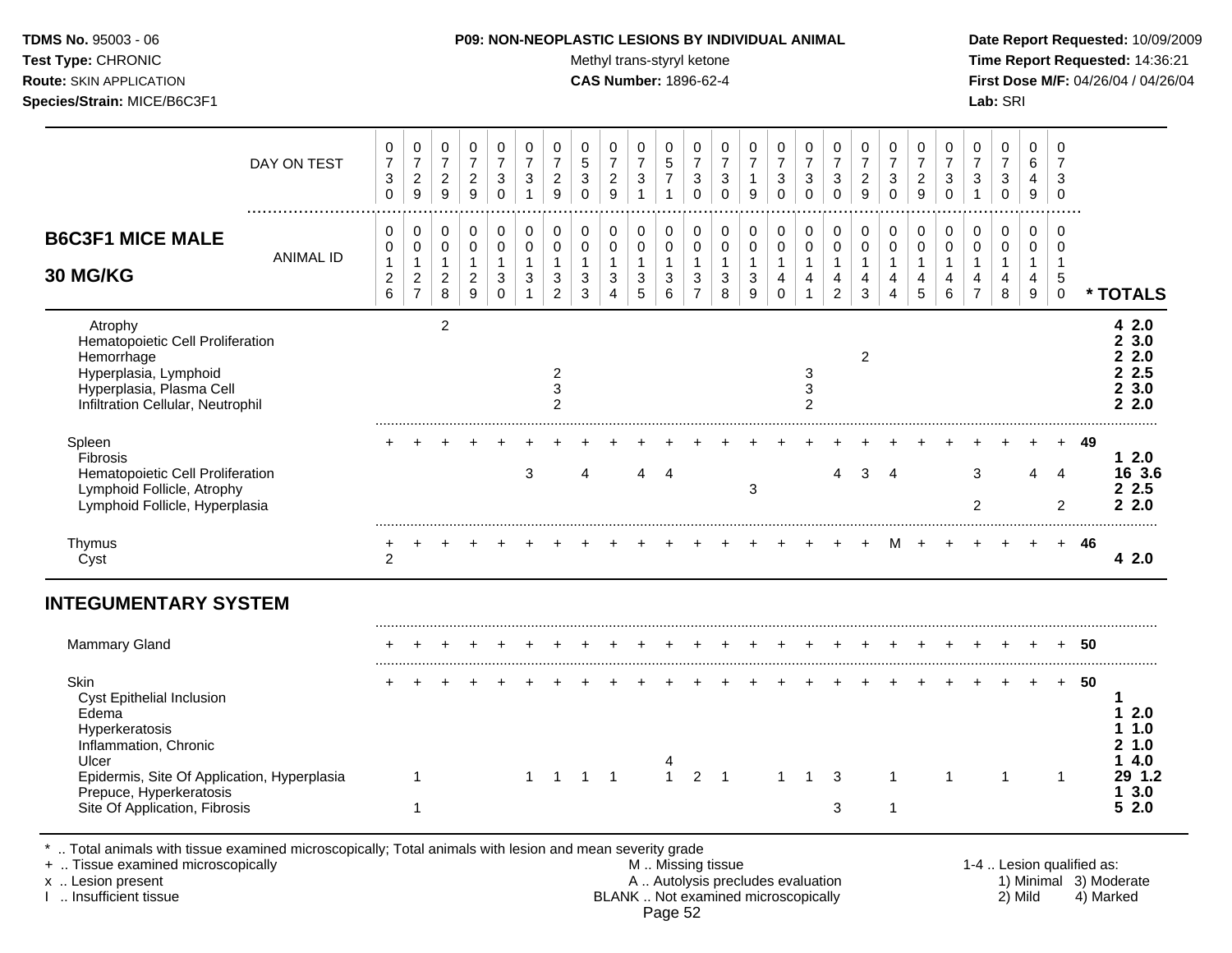#### **TDMS No.** 95003 - 06 **P09: NON-NEOPLASTIC LESIONS BY INDIVIDUAL ANIMAL Date Report Requested:** 10/09/2009

Test Type: CHRONIC **Test Type:** CHRONIC **Test Type:** CHRONIC **Time Report Requested:** 14:36:21 **Route:** SKIN APPLICATION **CAS Number:** 1896-62-4 **First Dose M/F:** 04/26/04 / 04/26/04

|                                                                                                                                                     | DAY ON TEST      | 0<br>$\boldsymbol{7}$<br>3<br>$\mathbf 0$     | 0<br>$\overline{7}$<br>$\overline{c}$<br>$\boldsymbol{9}$            | 0<br>$\boldsymbol{7}$<br>$\overline{c}$<br>$9\,$ | 0<br>$\boldsymbol{7}$<br>$\boldsymbol{2}$<br>9                 | 0<br>$\overline{7}$<br>3<br>0                                           | 0<br>$\overline{7}$<br>3                            | 0<br>$\boldsymbol{7}$<br>$\overline{a}$<br>9            | 0<br>$\sqrt{5}$<br>$\mathbf{3}$<br>$\Omega$ | 0<br>$\overline{7}$<br>$\overline{a}$<br>9    | 0<br>$\overline{7}$<br>3                   | 0<br>5<br>$\overline{7}$                            | 0<br>$\overline{7}$<br>$\ensuremath{\mathsf{3}}$<br>$\mathbf 0$                 | 0<br>$\overline{7}$<br>$\mathbf{3}$<br>0              | 0<br>$\boldsymbol{7}$<br>$\mathbf{1}$<br>9          | 0<br>$\overline{7}$<br>$\mathbf{3}$<br>$\Omega$                | 0<br>$\overline{7}$<br>$\mathbf{3}$<br>$\mathbf 0$ | 0<br>$\boldsymbol{7}$<br>3<br>0                       | 0<br>$\overline{7}$<br>$\boldsymbol{2}$<br>9        | 0<br>$\overline{7}$<br>3<br>$\Omega$                    | 0<br>$\overline{7}$<br>$\overline{c}$<br>9 | 0<br>$\overline{7}$<br>3<br>$\Omega$                 | 0<br>$\overline{7}$<br>3                      | 0<br>$\boldsymbol{7}$<br>3<br>$\pmb{0}$ | 0<br>6<br>4<br>9                           | $\Omega$<br>7<br>3<br>$\mathbf 0$              |     |                                               |
|-----------------------------------------------------------------------------------------------------------------------------------------------------|------------------|-----------------------------------------------|----------------------------------------------------------------------|--------------------------------------------------|----------------------------------------------------------------|-------------------------------------------------------------------------|-----------------------------------------------------|---------------------------------------------------------|---------------------------------------------|-----------------------------------------------|--------------------------------------------|-----------------------------------------------------|---------------------------------------------------------------------------------|-------------------------------------------------------|-----------------------------------------------------|----------------------------------------------------------------|----------------------------------------------------|-------------------------------------------------------|-----------------------------------------------------|---------------------------------------------------------|--------------------------------------------|------------------------------------------------------|-----------------------------------------------|-----------------------------------------|--------------------------------------------|------------------------------------------------|-----|-----------------------------------------------|
| <b>B6C3F1 MICE MALE</b><br><b>30 MG/KG</b>                                                                                                          | <b>ANIMAL ID</b> | 0<br>0<br>$\mathbf{1}$<br>$\overline{c}$<br>6 | 0<br>$\mathbf 0$<br>$\mathbf{1}$<br>$\overline{c}$<br>$\overline{7}$ | 0<br>0<br>$\mathbf{1}$<br>$\overline{2}$<br>8    | 0<br>0<br>$\mathbf{1}$<br>$\boldsymbol{2}$<br>$\boldsymbol{9}$ | $\mathbf 0$<br>$\mathbf 0$<br>$\mathbf{1}$<br>$\sqrt{3}$<br>$\mathbf 0$ | 0<br>$\pmb{0}$<br>$\mathbf{1}$<br>3<br>$\mathbf{1}$ | 0<br>$\mathbf 0$<br>$\mathbf{1}$<br>3<br>$\overline{2}$ | 0<br>$\mathbf 0$<br>$\mathbf{1}$<br>3<br>3  | 0<br>0<br>$\mathbf{1}$<br>3<br>$\overline{4}$ | 0<br>$\mathbf 0$<br>$\mathbf{1}$<br>3<br>5 | 0<br>$\mathbf 0$<br>$\mathbf{1}$<br>$\sqrt{3}$<br>6 | 0<br>$\mathbf 0$<br>$\mathbf{1}$<br>$\ensuremath{\mathsf{3}}$<br>$\overline{7}$ | 0<br>$\mathbf 0$<br>$\mathbf{1}$<br>$\mathbf{3}$<br>8 | 0<br>$\mathbf 0$<br>$\mathbf{1}$<br>$\sqrt{3}$<br>9 | 0<br>$\mathbf 0$<br>$\mathbf{1}$<br>$\overline{4}$<br>$\Omega$ | 0<br>0<br>$\mathbf{1}$<br>4                        | 0<br>$\pmb{0}$<br>$\mathbf{1}$<br>4<br>$\overline{2}$ | 0<br>$\mathbf 0$<br>$\mathbf{1}$<br>4<br>$\sqrt{3}$ | 0<br>$\mathbf 0$<br>$\mathbf{1}$<br>$\overline{4}$<br>4 | 0<br>$\mathbf 0$<br>$\mathbf{1}$<br>4<br>5 | $\mathbf 0$<br>$\mathbf 0$<br>$\mathbf{1}$<br>4<br>6 | 0<br>0<br>$\mathbf{1}$<br>4<br>$\overline{7}$ | 0<br>0<br>$\mathbf{1}$<br>4<br>$\,8\,$  | $\mathbf 0$<br>0<br>$\mathbf{1}$<br>4<br>9 | $\Omega$<br>$\Omega$<br>-1<br>5<br>$\mathbf 0$ |     | * TOTALS                                      |
| Atrophy<br>Hematopoietic Cell Proliferation<br>Hemorrhage<br>Hyperplasia, Lymphoid<br>Hyperplasia, Plasma Cell<br>Infiltration Cellular, Neutrophil |                  |                                               |                                                                      | $\overline{2}$                                   |                                                                |                                                                         |                                                     | $\overline{c}$<br>3<br>$\overline{c}$                   |                                             |                                               |                                            |                                                     |                                                                                 |                                                       |                                                     |                                                                | 3<br>3<br>$\overline{2}$                           |                                                       | $\overline{c}$                                      |                                                         |                                            |                                                      |                                               |                                         |                                            |                                                |     | 42.0<br>23.0<br>2.2.0<br>2.5<br>23.0<br>2.2.0 |
| Spleen<br>Fibrosis<br>Hematopoietic Cell Proliferation<br>Lymphoid Follicle, Atrophy<br>Lymphoid Follicle, Hyperplasia                              |                  |                                               |                                                                      |                                                  |                                                                |                                                                         | 3                                                   |                                                         | 4                                           |                                               | 4                                          | 4                                                   |                                                                                 |                                                       | 3                                                   |                                                                |                                                    | 4                                                     | 3                                                   | $\overline{4}$                                          |                                            |                                                      | 3<br>$\overline{2}$                           |                                         | 4                                          | 4<br>$\overline{2}$                            | 49  | $12.0$<br>16 3.6<br>2.5<br>2.2.0              |
| Thymus<br>Cyst                                                                                                                                      |                  | $\overline{c}$                                |                                                                      |                                                  |                                                                |                                                                         |                                                     |                                                         |                                             |                                               |                                            |                                                     |                                                                                 |                                                       |                                                     |                                                                |                                                    |                                                       |                                                     | м                                                       |                                            |                                                      |                                               |                                         |                                            | $+$                                            | -46 | 42.0                                          |
| <b>INTEGUMENTARY SYSTEM</b>                                                                                                                         |                  |                                               |                                                                      |                                                  |                                                                |                                                                         |                                                     |                                                         |                                             |                                               |                                            |                                                     |                                                                                 |                                                       |                                                     |                                                                |                                                    |                                                       |                                                     |                                                         |                                            |                                                      |                                               |                                         |                                            |                                                |     |                                               |
| <b>Mammary Gland</b>                                                                                                                                |                  |                                               |                                                                      |                                                  |                                                                |                                                                         |                                                     |                                                         |                                             |                                               |                                            |                                                     |                                                                                 |                                                       |                                                     |                                                                |                                                    |                                                       |                                                     |                                                         |                                            |                                                      |                                               |                                         |                                            |                                                | 50  |                                               |
| Skin<br>Cyst Epithelial Inclusion<br>Edema<br>Hyperkeratosis<br>Inflammation, Chronic<br>Ulcer                                                      |                  |                                               |                                                                      |                                                  |                                                                |                                                                         |                                                     |                                                         |                                             |                                               |                                            |                                                     |                                                                                 |                                                       |                                                     |                                                                |                                                    |                                                       |                                                     |                                                         |                                            |                                                      |                                               |                                         |                                            | $+$                                            | 50  | 2.0<br>1.0<br>1.0<br>2<br>4.0                 |
| Epidermis, Site Of Application, Hyperplasia<br>Prepuce, Hyperkeratosis<br>Site Of Application, Fibrosis                                             |                  |                                               | 1                                                                    |                                                  |                                                                |                                                                         |                                                     | $1 \quad 1$                                             | $1 \quad 1$                                 |                                               |                                            | $\mathbf{1}$                                        | $\overline{2}$                                                                  | $\overline{1}$                                        |                                                     | $\mathbf 1$                                                    | $\mathbf 1$                                        | 3<br>3                                                |                                                     | -1<br>$\mathbf 1$                                       |                                            |                                                      |                                               | -1                                      |                                            | $\mathbf 1$                                    |     | 29 1.2<br>3.0<br>5<br>2.0                     |

\* .. Total animals with tissue examined microscopically; Total animals with lesion and mean severity grade

+ .. Tissue examined microscopically M .. Missing tissue 1-4 .. Lesion qualified as: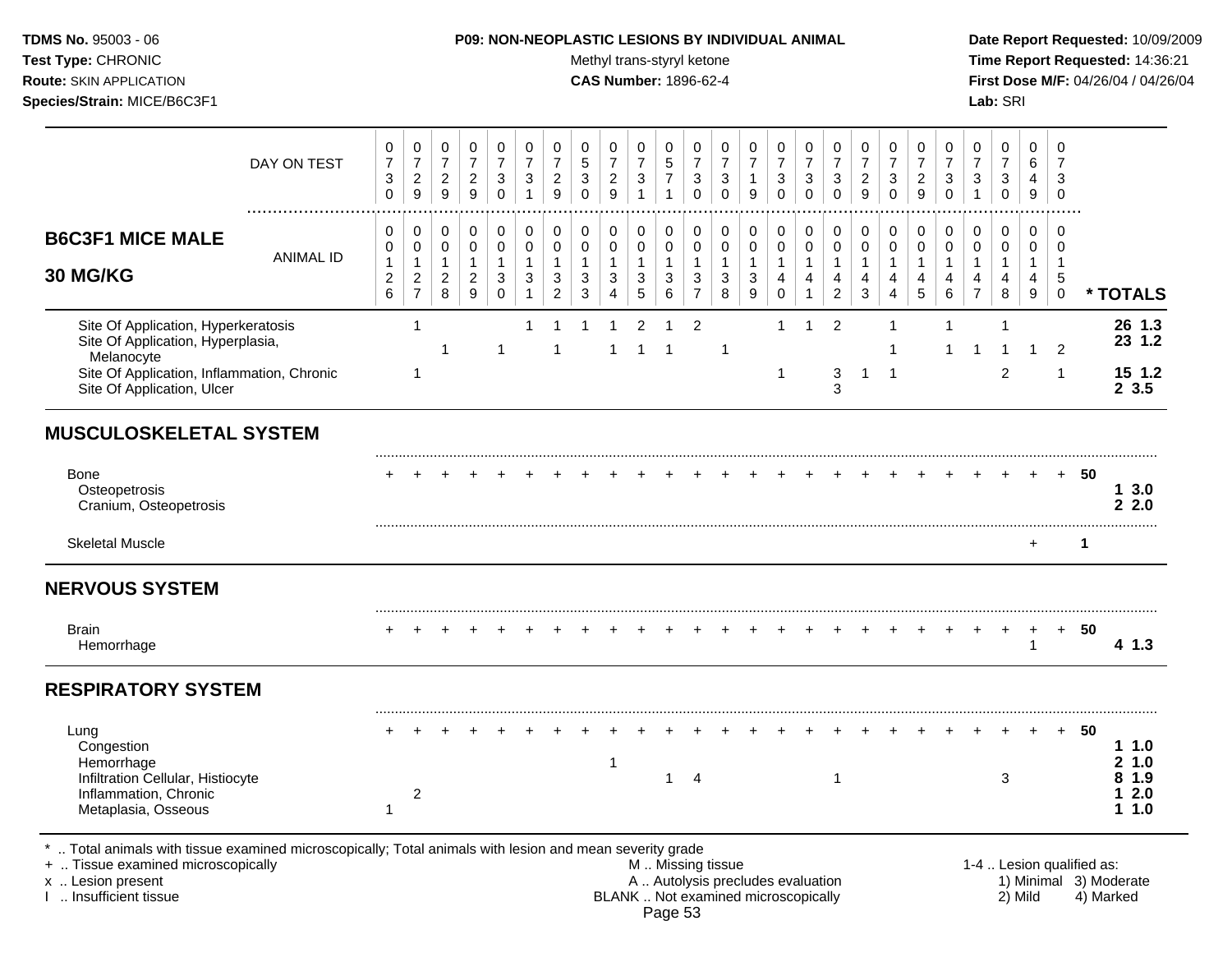Test Type: CHRONIC **Test Type:** CHRONIC **Test Type:** CHRONIC **Time Report Requested:** 14:36:21 **Route:** SKIN APPLICATION **CAS Number:** 1896-62-4 **First Dose M/F:** 04/26/04 / 04/26/04 **Species/Strain:** MICE/B6C3F1 **Lab:** SRI

|                                                                                                                                                                    | DAY ON TEST      | $\pmb{0}$<br>$\boldsymbol{7}$<br>3<br>$\mathsf 0$          | $\pmb{0}$<br>$\overline{7}$<br>$\overline{c}$<br>$\boldsymbol{9}$          | 0<br>$\boldsymbol{7}$<br>$\overline{c}$<br>9          | $\pmb{0}$<br>$\boldsymbol{7}$<br>$\sqrt{2}$<br>$\mathsf g$             | 0<br>$\overline{7}$<br>$\sqrt{3}$<br>$\mathbf 0$                      | $\pmb{0}$<br>$\overline{7}$<br>$\sqrt{3}$<br>$\mathbf{1}$              | $\pmb{0}$<br>$\boldsymbol{7}$<br>$\overline{c}$<br>$\overline{9}$          | 0<br>$\sqrt{5}$<br>$\sqrt{3}$<br>$\Omega$                                | 0<br>$\overline{7}$<br>$\overline{c}$<br>$\boldsymbol{9}$ | 0<br>$\overline{7}$<br>$\mathbf{3}$<br>$\mathbf{1}$              | 0<br>$\sqrt{5}$<br>$\overline{7}$<br>$\mathbf{1}$        | 0<br>$\overline{7}$<br>$\ensuremath{\mathsf{3}}$<br>$\mathbf 0$                             | 0<br>$\overline{7}$<br>3<br>$\mathbf 0$  | 0<br>$\boldsymbol{7}$<br>$\mathbf{1}$<br>$\boldsymbol{9}$                  | 0<br>$\overline{7}$<br>$\sqrt{3}$<br>$\mathbf 0$                          | $\pmb{0}$<br>$\overline{\mathbf{7}}$<br>$\ensuremath{\mathsf{3}}$<br>$\Omega$ | $\mathbf 0$<br>$\boldsymbol{7}$<br>$\sqrt{3}$<br>$\mathbf 0$  | 0<br>$\overline{7}$<br>$\overline{2}$<br>9                    | $\pmb{0}$<br>$\overline{7}$<br>$\ensuremath{\mathsf{3}}$<br>$\mathbf 0$ | 0<br>$\overline{7}$<br>$\overline{c}$<br>$\boldsymbol{9}$   | 0<br>$\overline{7}$<br>3<br>$\Omega$             | $\mathbf 0$<br>$\overline{7}$<br>3              | 0<br>$\overline{7}$<br>$\mathbf{3}$<br>$\mathbf 0$ | $\pmb{0}$<br>6<br>$\overline{4}$<br>$\mathsf g$ | $\mathbf 0$<br>$\overline{7}$<br>3<br>$\mathbf 0$                |                           |                                              |
|--------------------------------------------------------------------------------------------------------------------------------------------------------------------|------------------|------------------------------------------------------------|----------------------------------------------------------------------------|-------------------------------------------------------|------------------------------------------------------------------------|-----------------------------------------------------------------------|------------------------------------------------------------------------|----------------------------------------------------------------------------|--------------------------------------------------------------------------|-----------------------------------------------------------|------------------------------------------------------------------|----------------------------------------------------------|---------------------------------------------------------------------------------------------|------------------------------------------|----------------------------------------------------------------------------|---------------------------------------------------------------------------|-------------------------------------------------------------------------------|---------------------------------------------------------------|---------------------------------------------------------------|-------------------------------------------------------------------------|-------------------------------------------------------------|--------------------------------------------------|-------------------------------------------------|----------------------------------------------------|-------------------------------------------------|------------------------------------------------------------------|---------------------------|----------------------------------------------|
| <b>B6C3F1 MICE MALE</b><br>30 MG/KG                                                                                                                                | <b>ANIMAL ID</b> | 0<br>0<br>$\mathbf{1}$<br>$\overline{c}$<br>$6\phantom{a}$ | $\mathbf 0$<br>$\mathbf 0$<br>$\mathbf{1}$<br>$\sqrt{2}$<br>$\overline{7}$ | 0<br>$\pmb{0}$<br>$\mathbf{1}$<br>$\overline{c}$<br>8 | 0<br>$\pmb{0}$<br>$\mathbf{1}$<br>$\boldsymbol{2}$<br>$\boldsymbol{9}$ | $\pmb{0}$<br>$\pmb{0}$<br>$\mathbf{1}$<br>$\mathbf{3}$<br>$\mathbf 0$ | $\mathbf 0$<br>$\pmb{0}$<br>$\mathbf{1}$<br>$\sqrt{3}$<br>$\mathbf{1}$ | $\mathbf 0$<br>$\pmb{0}$<br>$\mathbf{1}$<br>$\mathbf{3}$<br>$\overline{c}$ | $\pmb{0}$<br>$\pmb{0}$<br>$\mathbf{1}$<br>$\ensuremath{\mathsf{3}}$<br>3 | $\mathbf 0$<br>$\pmb{0}$<br>$\mathbf{1}$<br>3<br>4        | 0<br>$\pmb{0}$<br>$\mathbf{1}$<br>$\mathbf{3}$<br>$\overline{5}$ | 0<br>0<br>$\mathbf{1}$<br>$\mathbf{3}$<br>$6\phantom{a}$ | $\mathbf 0$<br>$\mathbf 0$<br>$\overline{1}$<br>$\ensuremath{\mathsf{3}}$<br>$\overline{7}$ | 0<br>$\pmb{0}$<br>$\mathbf{1}$<br>3<br>8 | $\mathbf 0$<br>$\pmb{0}$<br>$\mathbf{1}$<br>$\ensuremath{\mathsf{3}}$<br>9 | $\mathbf 0$<br>$\pmb{0}$<br>$\mathbf{1}$<br>$\overline{4}$<br>$\mathbf 0$ | 0<br>$\pmb{0}$<br>$\mathbf{1}$<br>$\overline{4}$<br>1                         | $\pmb{0}$<br>$\pmb{0}$<br>$\mathbf{1}$<br>4<br>$\overline{c}$ | $\mathbf 0$<br>$\mathbf 0$<br>$\mathbf{1}$<br>4<br>$\sqrt{3}$ | $\pmb{0}$<br>$\pmb{0}$<br>$\mathbf{1}$<br>4<br>4                        | $\mathbf 0$<br>$\pmb{0}$<br>$\mathbf{1}$<br>4<br>$\sqrt{5}$ | $\pmb{0}$<br>$\pmb{0}$<br>$\mathbf{1}$<br>4<br>6 | $\mathbf 0$<br>$\pmb{0}$<br>4<br>$\overline{7}$ | 0<br>$\mathsf 0$<br>1<br>4<br>8                    | 0<br>0<br>$\mathbf{1}$<br>$\overline{4}$<br>9   | $\mathbf 0$<br>$\mathbf 0$<br>$\overline{1}$<br>5<br>$\mathbf 0$ |                           | * TOTALS                                     |
| Site Of Application, Hyperkeratosis<br>Site Of Application, Hyperplasia,<br>Melanocyte<br>Site Of Application, Inflammation, Chronic<br>Site Of Application, Ulcer |                  |                                                            | $\mathbf{1}$<br>$\mathbf{1}$                                               | 1                                                     |                                                                        | 1                                                                     | -1                                                                     | 1                                                                          |                                                                          | 1                                                         | $\overline{2}$<br>$\mathbf{1}$                                   | $\overline{1}$                                           | 2                                                                                           | $\mathbf{1}$                             |                                                                            | $\mathbf{1}$<br>1                                                         | $\overline{1}$                                                                | $\overline{2}$<br>$\ensuremath{\mathsf{3}}$<br>3              | $\mathbf{1}$                                                  | $\mathbf 1$<br>$\overline{1}$<br>$\overline{1}$                         |                                                             | 1                                                | $\overline{\mathbf{1}}$                         | 1<br>-1<br>$\overline{c}$                          | $\overline{1}$                                  | $\overline{2}$<br>$\overline{1}$                                 |                           | 26 1.3<br>23 1.2<br>15 1.2<br>23.5           |
| <b>MUSCULOSKELETAL SYSTEM</b>                                                                                                                                      |                  |                                                            |                                                                            |                                                       |                                                                        |                                                                       |                                                                        |                                                                            |                                                                          |                                                           |                                                                  |                                                          |                                                                                             |                                          |                                                                            |                                                                           |                                                                               |                                                               |                                                               |                                                                         |                                                             |                                                  |                                                 |                                                    |                                                 |                                                                  |                           |                                              |
| Bone<br>Osteopetrosis<br>Cranium, Osteopetrosis                                                                                                                    |                  |                                                            |                                                                            |                                                       |                                                                        |                                                                       |                                                                        |                                                                            |                                                                          |                                                           |                                                                  |                                                          |                                                                                             |                                          |                                                                            |                                                                           |                                                                               |                                                               |                                                               |                                                                         |                                                             |                                                  |                                                 |                                                    |                                                 | $\ddot{}$                                                        | 50                        | 13.0<br>2.2.0                                |
| <b>Skeletal Muscle</b>                                                                                                                                             |                  |                                                            |                                                                            |                                                       |                                                                        |                                                                       |                                                                        |                                                                            |                                                                          |                                                           |                                                                  |                                                          |                                                                                             |                                          |                                                                            |                                                                           |                                                                               |                                                               |                                                               |                                                                         |                                                             |                                                  |                                                 |                                                    | $\ddot{}$                                       |                                                                  | $\mathbf{1}$              |                                              |
| <b>NERVOUS SYSTEM</b>                                                                                                                                              |                  |                                                            |                                                                            |                                                       |                                                                        |                                                                       |                                                                        |                                                                            |                                                                          |                                                           |                                                                  |                                                          |                                                                                             |                                          |                                                                            |                                                                           |                                                                               |                                                               |                                                               |                                                                         |                                                             |                                                  |                                                 |                                                    |                                                 |                                                                  |                           |                                              |
| <b>Brain</b><br>Hemorrhage                                                                                                                                         |                  |                                                            |                                                                            |                                                       |                                                                        |                                                                       |                                                                        |                                                                            |                                                                          |                                                           |                                                                  |                                                          |                                                                                             |                                          |                                                                            |                                                                           |                                                                               |                                                               |                                                               |                                                                         |                                                             |                                                  |                                                 |                                                    | +<br>$\mathbf{1}$                               | $+$                                                              | 50                        | 4 1.3                                        |
| <b>RESPIRATORY SYSTEM</b>                                                                                                                                          |                  |                                                            |                                                                            |                                                       |                                                                        |                                                                       |                                                                        |                                                                            |                                                                          |                                                           |                                                                  |                                                          |                                                                                             |                                          |                                                                            |                                                                           |                                                                               |                                                               |                                                               |                                                                         |                                                             |                                                  |                                                 |                                                    |                                                 |                                                                  |                           |                                              |
| Lung<br>Congestion<br>Hemorrhage<br>Infiltration Cellular, Histiocyte<br>Inflammation, Chronic<br>Metaplasia, Osseous                                              |                  | $\mathbf{1}$                                               | $\overline{c}$                                                             |                                                       |                                                                        |                                                                       |                                                                        |                                                                            |                                                                          | 1                                                         |                                                                  | $\mathbf 1$                                              | $\overline{4}$                                                                              |                                          |                                                                            |                                                                           |                                                                               | $\overline{1}$                                                |                                                               |                                                                         |                                                             |                                                  |                                                 | 3                                                  |                                                 | $\ddot{}$                                                        | 50                        | 11.0<br>21.0<br>1.9<br>8<br>2.0<br>1<br>11.0 |
| *  Total animals with tissue examined microscopically; Total animals with lesion and mean severity grade<br>+  Tissue examined microscopically                     |                  |                                                            |                                                                            |                                                       |                                                                        |                                                                       |                                                                        |                                                                            |                                                                          |                                                           |                                                                  |                                                          |                                                                                             | M  Missing tissue                        |                                                                            |                                                                           |                                                                               |                                                               |                                                               |                                                                         |                                                             |                                                  |                                                 |                                                    |                                                 |                                                                  | 1-4  Lesion qualified as: |                                              |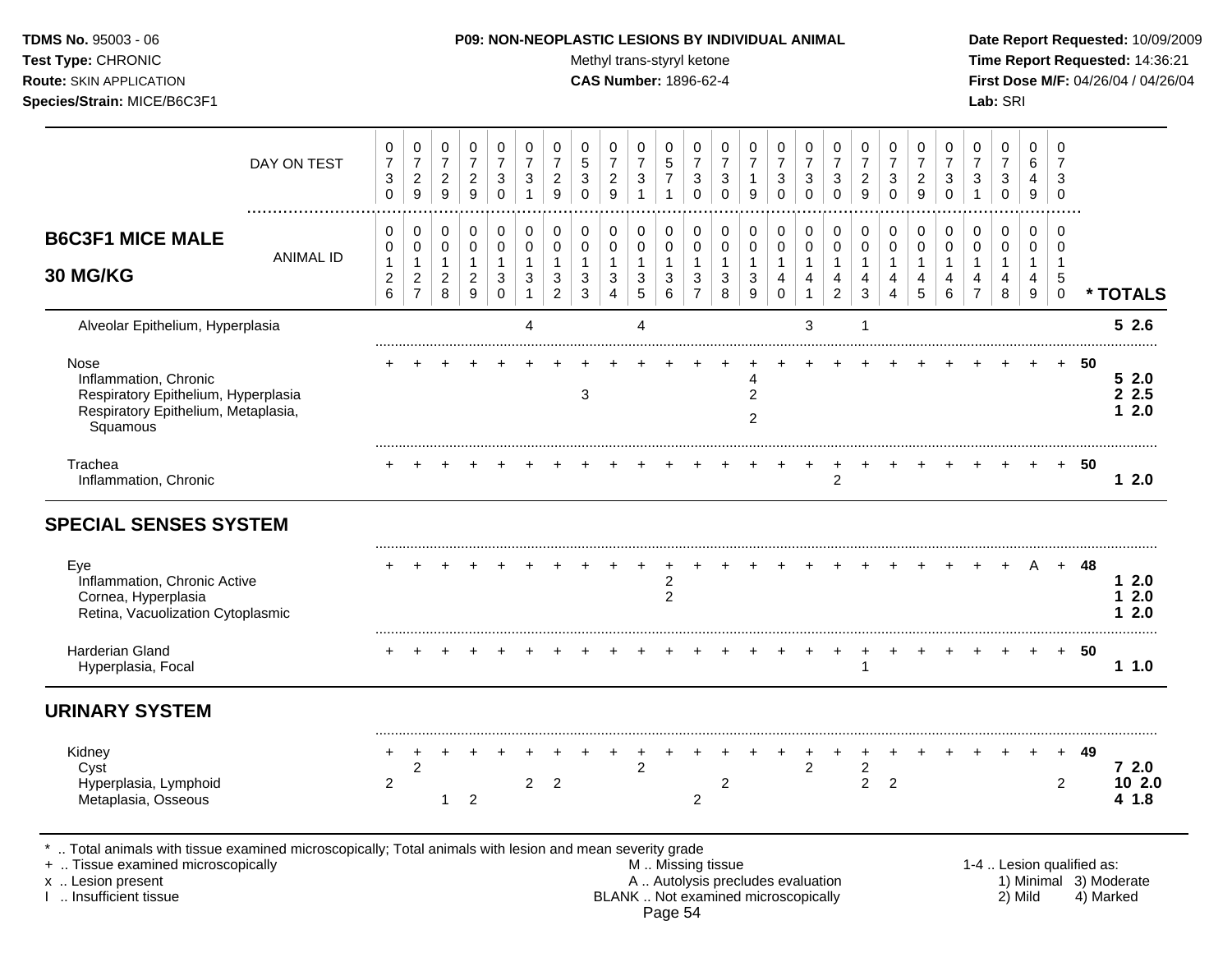Test Type: CHRONIC **Test Type:** CHRONIC **Test Type:** CHRONIC **Time Report Requested:** 14:36:21 **Route:** SKIN APPLICATION **CAS Number:** 1896-62-4 **First Dose M/F:** 04/26/04 / 04/26/04 **Species/Strain:** MICE/B6C3F1 **Lab:** SRI

|                                                                                                                         | DAY ON TEST      | 0<br>$\overline{7}$<br>3<br>$\Omega$            | 0<br>$\overline{7}$<br>$\overline{2}$<br>9                       | 0<br>$\overline{7}$<br>$\overline{2}$<br>9            | 0<br>$\overline{7}$<br>$\overline{2}$<br>$\boldsymbol{9}$ | 0<br>$\overline{7}$<br>3<br>$\mathbf 0$                                            | 0<br>$\overline{7}$<br>3<br>$\mathbf{1}$           | 0<br>$\overline{7}$<br>$\overline{c}$<br>9    | 0<br>$\overline{5}$<br>3<br>$\Omega$                 | 0<br>$\overline{7}$<br>$\overline{c}$<br>9 | 0<br>$\overline{7}$<br>$\sqrt{3}$<br>$\overline{1}$       | 0<br>$\,$ 5 $\,$<br>$\overline{7}$<br>$\mathbf{1}$    | 0<br>$\overline{7}$<br>3<br>$\Omega$                                            | 0<br>$\overline{7}$<br>3<br>$\Omega$               | 0<br>$\overline{7}$<br>9                            | 0<br>$\overline{7}$<br>3<br>$\Omega$                       | 0<br>$\overline{7}$<br>$\mathbf{3}$<br>$\Omega$                            | 0<br>$\overline{7}$<br>$\sqrt{3}$<br>$\Omega$                      | 0<br>$\overline{7}$<br>$\overline{c}$<br>9                  | 0<br>$\overline{7}$<br>3<br>$\Omega$                  | 0<br>$\overline{7}$<br>$\overline{c}$<br>9 | 0<br>$\overline{7}$<br>3<br>$\Omega$ | 0<br>$\overline{7}$<br>3<br>$\mathbf{1}$      | 0<br>$\overline{7}$<br>$\sqrt{3}$<br>$\mathbf 0$ | 0<br>$6\phantom{1}6$<br>4<br>9                                    | 0<br>$\overline{7}$<br>3<br>$\mathbf 0$            |    |                           |
|-------------------------------------------------------------------------------------------------------------------------|------------------|-------------------------------------------------|------------------------------------------------------------------|-------------------------------------------------------|-----------------------------------------------------------|------------------------------------------------------------------------------------|----------------------------------------------------|-----------------------------------------------|------------------------------------------------------|--------------------------------------------|-----------------------------------------------------------|-------------------------------------------------------|---------------------------------------------------------------------------------|----------------------------------------------------|-----------------------------------------------------|------------------------------------------------------------|----------------------------------------------------------------------------|--------------------------------------------------------------------|-------------------------------------------------------------|-------------------------------------------------------|--------------------------------------------|--------------------------------------|-----------------------------------------------|--------------------------------------------------|-------------------------------------------------------------------|----------------------------------------------------|----|---------------------------|
| <b>B6C3F1 MICE MALE</b><br>30 MG/KG                                                                                     | <b>ANIMAL ID</b> | 0<br>0<br>$\mathbf{1}$<br>$\boldsymbol{2}$<br>6 | 0<br>$\mathbf 0$<br>$\mathbf{1}$<br>$\sqrt{2}$<br>$\overline{7}$ | 0<br>$\mathbf 0$<br>$\overline{1}$<br>$\sqrt{2}$<br>8 | 0<br>$\pmb{0}$<br>$\mathbf{1}$<br>$\boldsymbol{2}$<br>9   | $\pmb{0}$<br>$\pmb{0}$<br>$\mathbf{1}$<br>$\ensuremath{\mathsf{3}}$<br>$\mathbf 0$ | $\pmb{0}$<br>$\mathbf 0$<br>$\mathbf{1}$<br>3<br>1 | 0<br>0<br>$\mathbf{1}$<br>3<br>$\overline{2}$ | $\mathbf 0$<br>$\mathbf 0$<br>$\mathbf{1}$<br>3<br>3 | 0<br>$\pmb{0}$<br>$\mathbf{1}$<br>3<br>4   | $\pmb{0}$<br>$\pmb{0}$<br>$\mathbf{1}$<br>$\sqrt{3}$<br>5 | 0<br>$\mathbf 0$<br>$\mathbf{1}$<br>$\mathbf{3}$<br>6 | 0<br>$\mathsf 0$<br>$\mathbf{1}$<br>$\ensuremath{\mathsf{3}}$<br>$\overline{7}$ | $\pmb{0}$<br>$\mathbf 0$<br>$\mathbf{1}$<br>3<br>8 | 0<br>$\mathbf 0$<br>$\mathbf{1}$<br>$\sqrt{3}$<br>9 | $\pmb{0}$<br>$\pmb{0}$<br>$\mathbf{1}$<br>4<br>$\mathbf 0$ | 0<br>$\mathsf{O}\xspace$<br>$\mathbf{1}$<br>$\overline{4}$<br>$\mathbf{1}$ | 0<br>$\pmb{0}$<br>$\mathbf{1}$<br>$\overline{4}$<br>$\overline{2}$ | $\pmb{0}$<br>$\pmb{0}$<br>$\mathbf{1}$<br>4<br>$\mathbf{3}$ | 0<br>$\pmb{0}$<br>$\mathbf{1}$<br>$\overline{4}$<br>4 | $\pmb{0}$<br>0<br>$\mathbf{1}$<br>4<br>5   | 0<br>0<br>$\mathbf{1}$<br>4<br>6     | 0<br>0<br>$\mathbf{1}$<br>4<br>$\overline{7}$ | $\pmb{0}$<br>$\pmb{0}$<br>$\mathbf{1}$<br>4<br>8 | $\mathbf 0$<br>$\mathbf 0$<br>$\mathbf{1}$<br>$\overline{4}$<br>9 | 0<br>$\mathbf 0$<br>$\mathbf{1}$<br>5<br>$\pmb{0}$ |    | * TOTALS                  |
| Alveolar Epithelium, Hyperplasia                                                                                        |                  |                                                 |                                                                  |                                                       |                                                           |                                                                                    | 4                                                  |                                               |                                                      |                                            | 4                                                         |                                                       |                                                                                 |                                                    |                                                     |                                                            | 3                                                                          |                                                                    | 1                                                           |                                                       |                                            |                                      |                                               |                                                  |                                                                   |                                                    |    | $52.6$                    |
| Nose<br>Inflammation, Chronic<br>Respiratory Epithelium, Hyperplasia<br>Respiratory Epithelium, Metaplasia,<br>Squamous |                  |                                                 |                                                                  |                                                       |                                                           |                                                                                    |                                                    |                                               | 3                                                    |                                            |                                                           |                                                       |                                                                                 |                                                    | $\overline{c}$<br>$\overline{2}$                    |                                                            |                                                                            |                                                                    |                                                             |                                                       |                                            |                                      |                                               |                                                  |                                                                   |                                                    | 50 | 52.0<br>2.5<br>12.0       |
| Trachea<br>Inflammation, Chronic                                                                                        |                  |                                                 |                                                                  |                                                       |                                                           |                                                                                    |                                                    |                                               |                                                      |                                            |                                                           |                                                       |                                                                                 |                                                    |                                                     |                                                            |                                                                            | $\overline{c}$                                                     |                                                             |                                                       |                                            |                                      |                                               |                                                  |                                                                   | $+$                                                | 50 | $12.0$                    |
| <b>SPECIAL SENSES SYSTEM</b>                                                                                            |                  |                                                 |                                                                  |                                                       |                                                           |                                                                                    |                                                    |                                               |                                                      |                                            |                                                           |                                                       |                                                                                 |                                                    |                                                     |                                                            |                                                                            |                                                                    |                                                             |                                                       |                                            |                                      |                                               |                                                  |                                                                   |                                                    |    |                           |
| Eye<br>Inflammation, Chronic Active<br>Cornea, Hyperplasia<br>Retina, Vacuolization Cytoplasmic                         |                  |                                                 |                                                                  |                                                       |                                                           |                                                                                    |                                                    |                                               |                                                      |                                            |                                                           | $\overline{\mathbf{c}}$<br>$\overline{c}$             |                                                                                 |                                                    |                                                     |                                                            |                                                                            |                                                                    |                                                             |                                                       |                                            |                                      |                                               |                                                  |                                                                   | $+$                                                | 48 | 12.0<br>2.0<br>2.0<br>1   |
| <b>Harderian Gland</b><br>Hyperplasia, Focal                                                                            |                  |                                                 |                                                                  |                                                       |                                                           |                                                                                    |                                                    |                                               |                                                      |                                            |                                                           |                                                       |                                                                                 |                                                    |                                                     |                                                            |                                                                            |                                                                    |                                                             |                                                       |                                            |                                      |                                               |                                                  |                                                                   | $+$                                                | 50 | 11.0                      |
| <b>URINARY SYSTEM</b>                                                                                                   |                  |                                                 |                                                                  |                                                       |                                                           |                                                                                    |                                                    |                                               |                                                      |                                            |                                                           |                                                       |                                                                                 |                                                    |                                                     |                                                            |                                                                            |                                                                    |                                                             |                                                       |                                            |                                      |                                               |                                                  |                                                                   |                                                    |    |                           |
| Kidney<br>Cyst<br>Hyperplasia, Lymphoid<br>Metaplasia, Osseous                                                          |                  | $\overline{c}$                                  | $\overline{2}$                                                   | 1                                                     | $\overline{2}$                                            |                                                                                    | $\overline{2}$                                     | $\overline{2}$                                |                                                      |                                            | $\overline{2}$                                            |                                                       | 2                                                                               | 2                                                  |                                                     |                                                            | 2                                                                          |                                                                    | $\boldsymbol{2}$<br>$\overline{2}$                          | $\overline{c}$                                        |                                            |                                      |                                               |                                                  |                                                                   | $\overline{2}$                                     | 49 | $72.0$<br>10 2.0<br>4 1.8 |

+ .. Tissue examined microscopically examined microscopically with the state of the state of the state of the state M .. Missing tissue M .. Missing tissue and the state of the state of the state M .. Autolysis precludes e x .. Lesion present **A .. Autolysis precludes evaluation** A .. Autolysis precludes evaluation 1) Minimal 3) Moderate I .. Insufficient tissue BLANK .. Not examined microscopically 2) Mild 4) Marked Page 54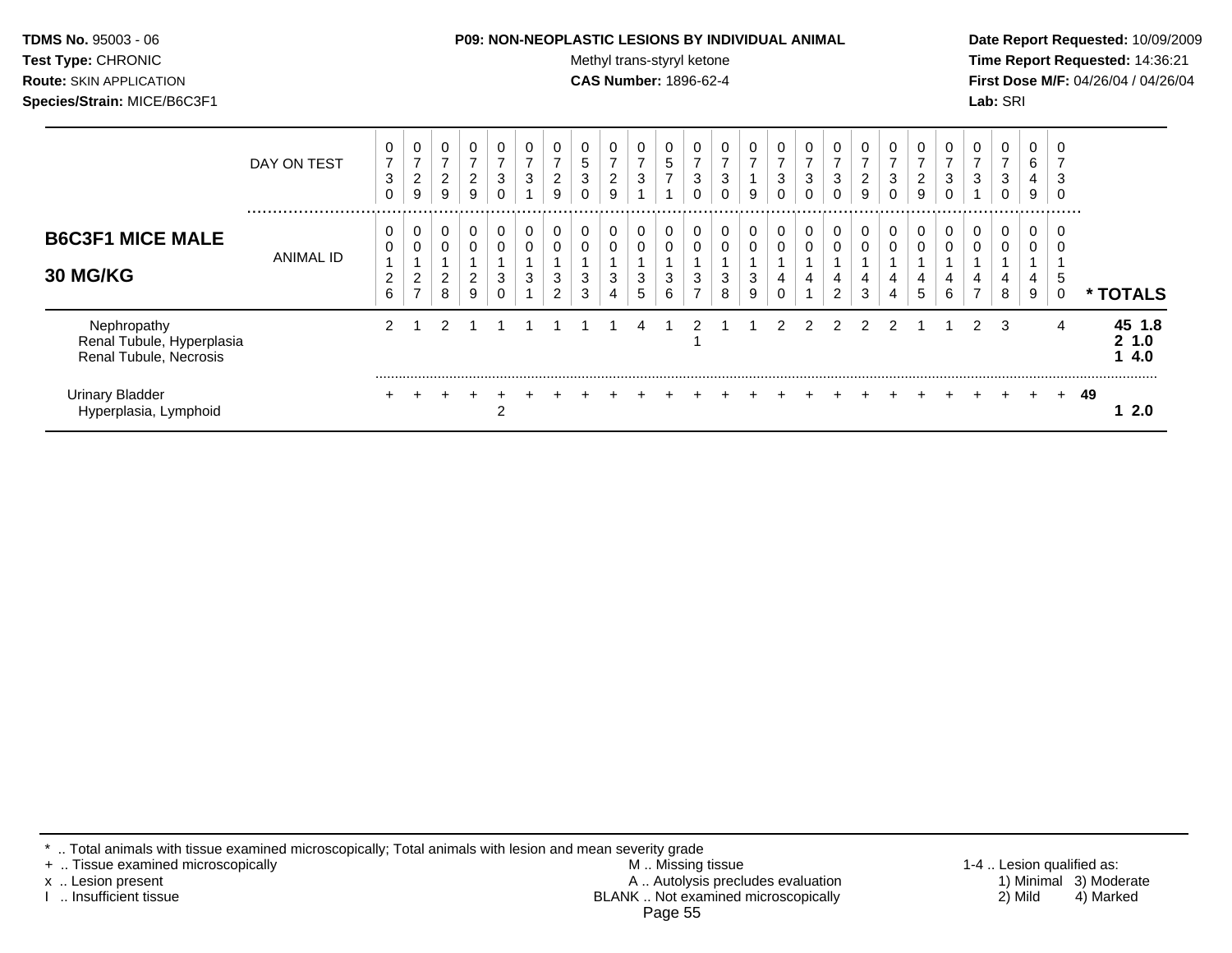| <b>TDMS No. 95003 - 06</b>     | <b>P09: NON-NEOPLASTIC LESIONS BY INDIVIDUAL ANIMAL</b> | Date Rep         |
|--------------------------------|---------------------------------------------------------|------------------|
| <b>Test Type: CHRONIC</b>      | Methyl trans-styryl ketone                              | <b>Time Re</b>   |
| <b>Route: SKIN APPLICATION</b> | <b>CAS Number: 1896-62-4</b>                            | <b>First Dos</b> |
| Species/Strain: MICE/B6C3F1    |                                                         | <b>Lab:</b> SRI  |

## **P09: NON-NEOPLASTIC LESIONS BY INDIVIDUAL ANIMAL Date Report Requested:** 10/09/2009

**Methyl trans-styryl ketone Time Report Requested:** 14:36:21 **CAS Number:** 1896-62-4 **First Dose M/F:** 04/26/04 / 04/26/04

|                                                                    | DAY ON TEST          | 0<br>$\overline{7}$<br>3<br>0 | 0<br>$\overline{7}$<br>$\overline{c}$<br>9 | 0<br>$\overline{ }$<br>$\overline{2}$<br>9 | 0<br>$\overline{ }$<br>$\overline{2}$<br>9 | $\overline{7}$<br>3             | 0<br>⇁<br>3 | 0<br>$\overline{ }$<br>2<br>9 | 5<br>3 | 0<br>$\overline{ }$<br>$\overline{2}$<br>9 | 0<br>$\overline{ }$<br>3 | 0<br>5<br>–      | $\overline{\phantom{a}}$<br>3 | $\overline{ }$<br>3 | 0<br>$\overline{ }$<br>9 | 0<br>$\overline{7}$<br>3 | 0<br>$\overline{ }$<br>3<br>0 | 0<br>$\overline{\phantom{a}}$<br>3<br>$\Omega$ | $\overline{ }$<br>2<br>9 | 0<br>$\overline{ }$<br>3<br>0 | $\overline{\phantom{a}}$<br>2<br>9 | $\overline{7}$<br>3 | 0<br>$\overline{ }$<br>3 | 0<br>$\overline{ }$<br>3<br>0 | 0<br>6<br>4<br>9      | 3<br>$\Omega$ |             |                            |
|--------------------------------------------------------------------|----------------------|-------------------------------|--------------------------------------------|--------------------------------------------|--------------------------------------------|---------------------------------|-------------|-------------------------------|--------|--------------------------------------------|--------------------------|------------------|-------------------------------|---------------------|--------------------------|--------------------------|-------------------------------|------------------------------------------------|--------------------------|-------------------------------|------------------------------------|---------------------|--------------------------|-------------------------------|-----------------------|---------------|-------------|----------------------------|
| <b>B6C3F1 MICE MALE</b><br>30 MG/KG                                | <br><b>ANIMAL ID</b> | 0<br>0<br>2<br>6              | υ<br>$\overline{c}$<br>$\overline{ }$      | 0<br>0<br>$\overline{a}$<br>8              | 0<br>0<br>$\overline{a}$<br>9              | $\mathbf 0$<br>$\mathbf 0$<br>3 | 0<br>0<br>3 | 0<br>0<br>3<br>2              | 3<br>3 | 0<br>0<br>3<br>4                           | 0<br>0<br>3<br>5         | 0<br>0<br>3<br>6 | 0<br>3<br>⇁                   | 3<br>8              | 0<br>0<br>3<br>9         | $\mathbf 0$<br>0<br>4    | 0<br>0<br>4                   | 0<br>0<br>4<br>2                               | $\overline{0}$<br>4<br>3 | 0<br>0<br>4<br>4              | 0<br>0<br>4<br>5                   | 4<br>6              | 0<br>0<br>4              | 0<br>0<br>4<br>8              | .<br>0<br>0<br>4<br>9 | 0<br>.5<br>0  | $\mathbf x$ | <b>TOTALS</b>              |
| Nephropathy<br>Renal Tubule, Hyperplasia<br>Renal Tubule, Necrosis |                      | 2                             |                                            | 2                                          |                                            |                                 |             |                               |        |                                            |                          |                  | ົ                             |                     |                          | $\mathcal{P}$            | 2                             | $\mathcal{P}$                                  |                          | 2                             |                                    |                     | $\mathcal{P}$            | 3                             |                       | 4             |             | 45 1.8<br>1.0<br>2.<br>4.0 |
| <b>Urinary Bladder</b><br>Hyperplasia, Lymphoid                    |                      |                               |                                            |                                            |                                            | 2                               |             |                               |        |                                            |                          |                  |                               |                     |                          |                          |                               |                                                |                          |                               |                                    |                     |                          |                               | ÷.                    | $+$           | 49          | -2.0                       |

\* .. Total animals with tissue examined microscopically; Total animals with lesion and mean severity grade

+ .. Tissue examined microscopically M .. Missing tissue 1-4 .. Lesion qualified as: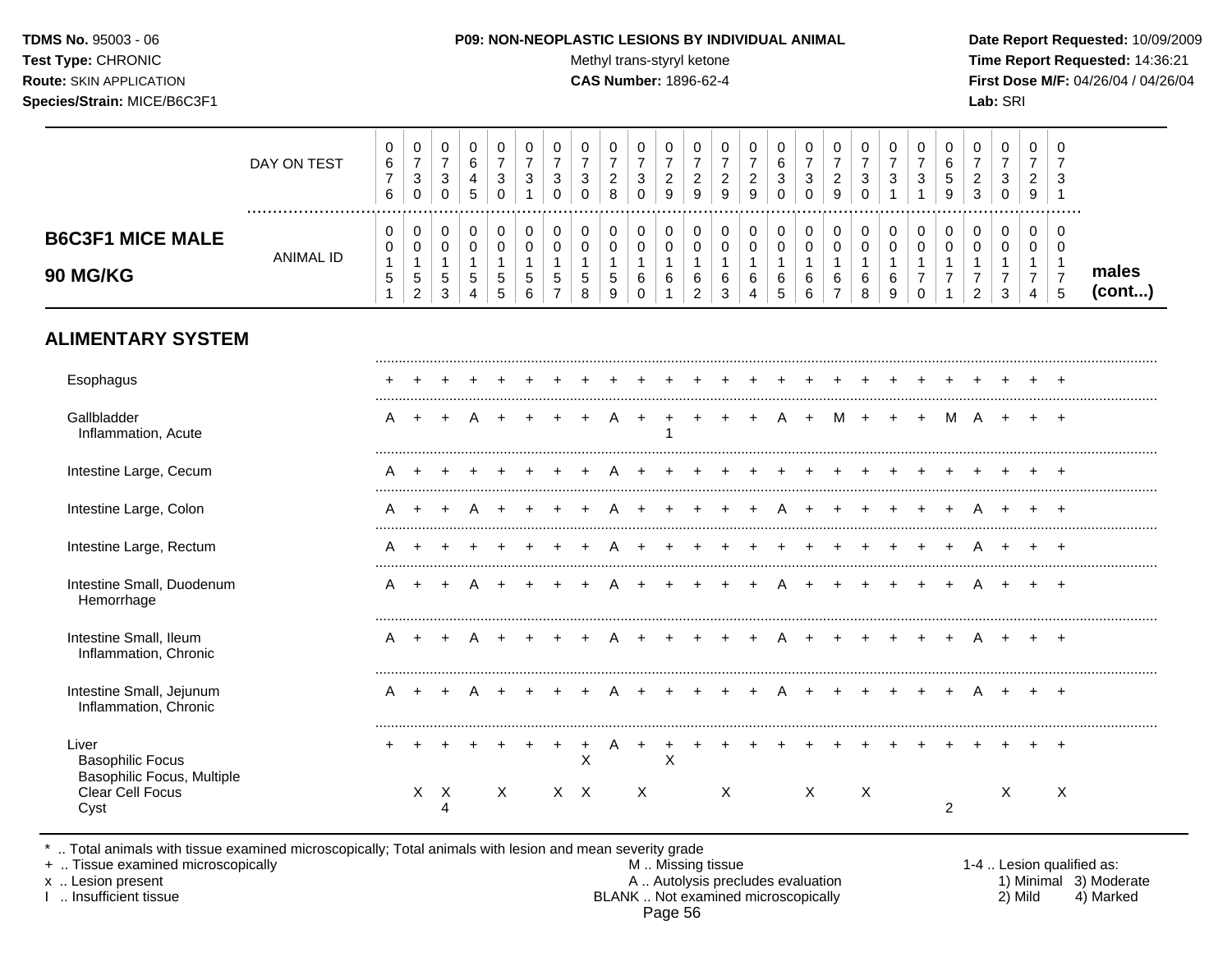#### **TDMS No.** 95003 - 06 **P09: NON-NEOPLASTIC LESIONS BY INDIVIDUAL ANIMAL Date Report Requested:** 10/09/2009

Test Type: CHRONIC **Test Type:** CHRONIC **Test Type:** CHRONIC **Time Report Requested:** 14:36:21 **Route:** SKIN APPLICATION **CAS Number:** 1896-62-4 **First Dose M/F:** 04/26/04 / 04/26/04

|                                                                       | DAY ON TEST<br>  | 0<br>6<br>$\overline{7}$<br>6                        | 0<br>$\overline{7}$<br>$\ensuremath{\mathsf{3}}$<br>$\mathbf 0$         | 0<br>$\overline{7}$<br>3<br>$\Omega$                  | 0<br>6<br>4<br>5                                        | 0<br>$\overline{7}$<br>3<br>$\Omega$       | 0<br>$\overline{7}$<br>3<br>$\overline{1}$                      | 0<br>$\overline{7}$<br>3<br>$\Omega$                                      | 0<br>$\overline{7}$<br>3<br>$\Omega$                | $\pmb{0}$<br>$\overline{7}$<br>$\sqrt{2}$<br>8               | 0<br>$\overline{7}$<br>3<br>$\Omega$                     | 0<br>$\overline{7}$<br>$\overline{c}$<br>9                 | 0<br>$\overline{7}$<br>$\overline{c}$<br>9                            | 0<br>$\boldsymbol{7}$<br>$\sqrt{2}$<br>9             | 0<br>$\overline{7}$<br>$\sqrt{2}$<br>9       | 0<br>$\,6\,$<br>$\sqrt{3}$<br>$\Omega$         | 0<br>$\overline{7}$<br>$\ensuremath{\mathsf{3}}$<br>$\mathbf 0$ | 0<br>$\overline{7}$<br>$\overline{2}$<br>9                            | 0<br>$\overline{7}$<br>3<br>$\Omega$     | 0<br>$\overline{7}$<br>$\mathbf{3}$<br>$\overline{1}$    | 0<br>$\overline{7}$<br>3                                               | 0<br>$\,6\,$<br>5<br>9           | 0<br>$\overline{7}$<br>$\overline{2}$<br>$\mathbf{3}$                | $\pmb{0}$<br>$\overline{7}$<br>$\ensuremath{\mathsf{3}}$<br>$\mathbf 0$      | 0<br>$\overline{7}$<br>$\overline{2}$<br>9                          | 0<br>7<br>3<br>1                                                  |                 |
|-----------------------------------------------------------------------|------------------|------------------------------------------------------|-------------------------------------------------------------------------|-------------------------------------------------------|---------------------------------------------------------|--------------------------------------------|-----------------------------------------------------------------|---------------------------------------------------------------------------|-----------------------------------------------------|--------------------------------------------------------------|----------------------------------------------------------|------------------------------------------------------------|-----------------------------------------------------------------------|------------------------------------------------------|----------------------------------------------|------------------------------------------------|-----------------------------------------------------------------|-----------------------------------------------------------------------|------------------------------------------|----------------------------------------------------------|------------------------------------------------------------------------|----------------------------------|----------------------------------------------------------------------|------------------------------------------------------------------------------|---------------------------------------------------------------------|-------------------------------------------------------------------|-----------------|
| <b>B6C3F1 MICE MALE</b><br>90 MG/KG                                   | <b>ANIMAL ID</b> | 0<br>0<br>$\mathbf{1}$<br>$\mathbf 5$<br>$\mathbf 1$ | $\pmb{0}$<br>$\pmb{0}$<br>$\mathbf{1}$<br>$\,$ 5 $\,$<br>$\overline{2}$ | 0<br>$\mathbf 0$<br>$\overline{1}$<br>$\sqrt{5}$<br>3 | $\,0\,$<br>$\pmb{0}$<br>$\mathbf{1}$<br>$\sqrt{5}$<br>4 | 0<br>$\mathbf 0$<br>$\mathbf{1}$<br>5<br>5 | $\mathbf 0$<br>$\mathbf 0$<br>$\overline{1}$<br>$\sqrt{5}$<br>6 | $\pmb{0}$<br>$\mathbf 0$<br>$\mathbf{1}$<br>$\,$ 5 $\,$<br>$\overline{7}$ | 0<br>$\mathbf 0$<br>$\mathbf{1}$<br>$\sqrt{5}$<br>8 | 0<br>$\mathsf{O}\xspace$<br>$\mathbf{1}$<br>$\mathbf 5$<br>9 | 0<br>$\mathbf 0$<br>$\mathbf{1}$<br>$\,6$<br>$\mathbf 0$ | $\pmb{0}$<br>$\pmb{0}$<br>$\mathbf{1}$<br>6<br>$\mathbf 1$ | $\mathbf 0$<br>$\mathbf 0$<br>$\mathbf{1}$<br>$\,6$<br>$\overline{c}$ | $\pmb{0}$<br>$\mathsf 0$<br>$\overline{1}$<br>6<br>3 | 0<br>$\pmb{0}$<br>$\mathbf{1}$<br>$\,6$<br>4 | 0<br>$\mathbf 0$<br>$\mathbf{1}$<br>$\,6$<br>5 | 0<br>$\pmb{0}$<br>$\mathbf{1}$<br>$\,6$<br>$6\phantom{a}$       | 0<br>$\mathsf{O}\xspace$<br>$\mathbf{1}$<br>$\,6\,$<br>$\overline{7}$ | 0<br>$\pmb{0}$<br>$\mathbf{1}$<br>6<br>8 | $\mathbf 0$<br>$\mathbf 0$<br>$\mathbf{1}$<br>$\,6$<br>9 | $\pmb{0}$<br>$\mathbf 0$<br>$\mathbf{1}$<br>$\overline{7}$<br>$\Omega$ | 0<br>$\mathbf 0$<br>$\mathbf{1}$ | 0<br>$\mathbf 0$<br>$\mathbf{1}$<br>$\overline{7}$<br>$\overline{c}$ | 0<br>$\mathsf{O}\xspace$<br>$\mathbf{1}$<br>$\boldsymbol{7}$<br>$\mathbf{3}$ | $\mathbf 0$<br>$\mathbf 0$<br>$\overline{1}$<br>$\overline{7}$<br>4 | $\mathbf 0$<br>$\mathbf 0$<br>$\mathbf{1}$<br>$\overline{7}$<br>5 | males<br>(cont) |
| <b>ALIMENTARY SYSTEM</b>                                              |                  |                                                      |                                                                         |                                                       |                                                         |                                            |                                                                 |                                                                           |                                                     |                                                              |                                                          |                                                            |                                                                       |                                                      |                                              |                                                |                                                                 |                                                                       |                                          |                                                          |                                                                        |                                  |                                                                      |                                                                              |                                                                     |                                                                   |                 |
| Esophagus                                                             |                  |                                                      |                                                                         |                                                       |                                                         |                                            |                                                                 |                                                                           |                                                     |                                                              |                                                          |                                                            |                                                                       |                                                      |                                              |                                                |                                                                 |                                                                       |                                          |                                                          |                                                                        |                                  |                                                                      |                                                                              |                                                                     |                                                                   |                 |
| Gallbladder<br>Inflammation, Acute                                    |                  | A                                                    | $\overline{ }$                                                          |                                                       |                                                         |                                            |                                                                 |                                                                           |                                                     |                                                              |                                                          | 1                                                          |                                                                       |                                                      |                                              |                                                | $\ddot{}$                                                       | М                                                                     | $\ddot{}$                                |                                                          |                                                                        | M                                | A                                                                    | $\ddot{}$                                                                    |                                                                     | $\overline{+}$                                                    |                 |
| Intestine Large, Cecum                                                |                  | Α                                                    |                                                                         |                                                       |                                                         |                                            |                                                                 |                                                                           |                                                     |                                                              |                                                          |                                                            |                                                                       |                                                      |                                              |                                                |                                                                 |                                                                       |                                          |                                                          |                                                                        |                                  |                                                                      |                                                                              |                                                                     |                                                                   |                 |
| Intestine Large, Colon                                                |                  | A                                                    | $\ddot{}$                                                               |                                                       | Α                                                       |                                            |                                                                 |                                                                           |                                                     |                                                              |                                                          |                                                            |                                                                       |                                                      |                                              |                                                |                                                                 |                                                                       |                                          |                                                          |                                                                        |                                  | Α                                                                    |                                                                              |                                                                     | $\pm$                                                             |                 |
| Intestine Large, Rectum                                               |                  | Α                                                    |                                                                         |                                                       |                                                         |                                            |                                                                 |                                                                           |                                                     |                                                              |                                                          |                                                            |                                                                       |                                                      |                                              |                                                |                                                                 |                                                                       |                                          |                                                          |                                                                        |                                  |                                                                      |                                                                              |                                                                     | $\div$                                                            |                 |
| Intestine Small, Duodenum<br>Hemorrhage                               |                  | A                                                    |                                                                         |                                                       |                                                         |                                            |                                                                 |                                                                           |                                                     |                                                              |                                                          |                                                            |                                                                       |                                                      |                                              |                                                |                                                                 |                                                                       |                                          |                                                          |                                                                        |                                  |                                                                      |                                                                              |                                                                     | $\ddot{}$                                                         |                 |
| Intestine Small, Ileum<br>Inflammation, Chronic                       |                  | A                                                    | $\ddot{}$                                                               | $\pm$                                                 | A                                                       |                                            |                                                                 |                                                                           |                                                     |                                                              |                                                          |                                                            |                                                                       |                                                      |                                              | A                                              | $+$                                                             | $+$                                                                   | $\ddot{}$                                |                                                          |                                                                        |                                  | A                                                                    | $+$                                                                          | $\ddot{}$                                                           | $+$                                                               |                 |
| Intestine Small, Jejunum<br>Inflammation, Chronic                     |                  | A                                                    | $\ddot{}$                                                               | $\pm$                                                 | A                                                       |                                            |                                                                 |                                                                           |                                                     | A                                                            |                                                          |                                                            |                                                                       |                                                      |                                              | A                                              | $+$                                                             | $+$                                                                   | $+$                                      |                                                          |                                                                        |                                  | A                                                                    | $+$                                                                          | $+$                                                                 | $+$                                                               |                 |
| Liver<br><b>Basophilic Focus</b><br><b>Basophilic Focus, Multiple</b> |                  |                                                      |                                                                         |                                                       |                                                         |                                            |                                                                 | $\ddot{}$                                                                 | $\ddot{}$<br>X                                      | A                                                            | $\ddot{}$                                                | $\ddot{}$<br>X                                             | $\ddot{}$                                                             |                                                      |                                              |                                                |                                                                 |                                                                       |                                          |                                                          |                                                                        |                                  |                                                                      |                                                                              |                                                                     | $\ddot{}$                                                         |                 |
| Clear Cell Focus<br>Cyst                                              |                  |                                                      |                                                                         | $X$ $X$<br>4                                          |                                                         | $\boldsymbol{\mathsf{X}}$                  |                                                                 |                                                                           | $X$ $X$                                             |                                                              | $\boldsymbol{\mathsf{X}}$                                |                                                            |                                                                       | X                                                    |                                              |                                                | $\times$                                                        |                                                                       | Χ                                        |                                                          |                                                                        | $\overline{2}$                   |                                                                      | Χ                                                                            |                                                                     | Χ                                                                 |                 |

\* .. Total animals with tissue examined microscopically; Total animals with lesion and mean severity grade

+ .. Tissue examined microscopically M .. Missing tissue 1-4 .. Lesion qualified as: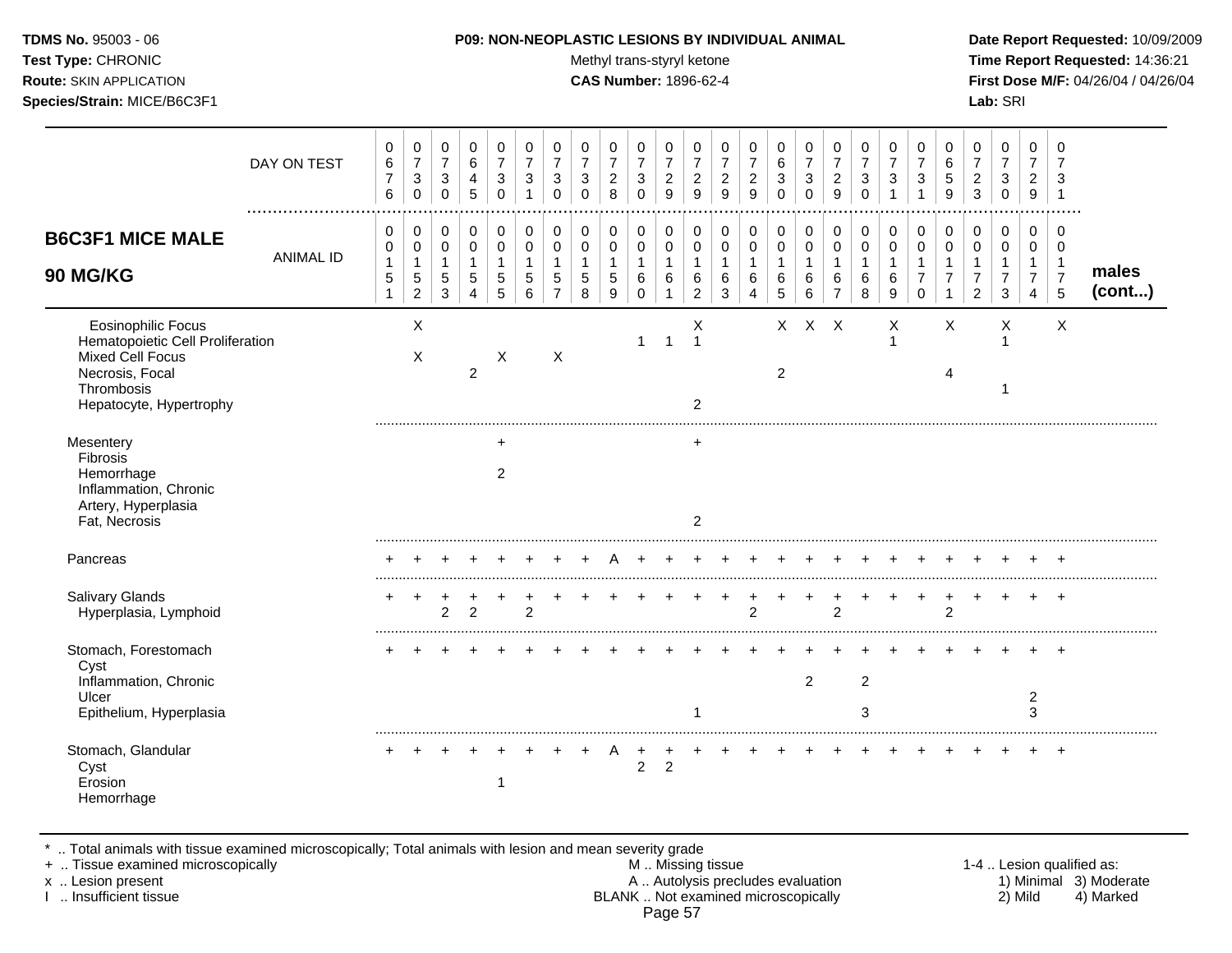Test Type: CHRONIC **Test Type:** CHRONIC **Test Type:** CHRONIC **Time Report Requested:** 14:36:21 **Route:** SKIN APPLICATION **CAS Number:** 1896-62-4 **First Dose M/F:** 04/26/04 / 04/26/04 **Species/Strain:** MICE/B6C3F1 **Lab:** SRI

|                                                                                                                                               | DAY ON TEST      | 0<br>$\,6$<br>$\overline{7}$<br>6           | 0<br>$\overline{7}$<br>$\mathbf{3}$<br>$\mathbf 0$      | 0<br>$\overline{7}$<br>$\ensuremath{\mathsf{3}}$<br>$\pmb{0}$ | $\mathbf 0$<br>6<br>4<br>$\sqrt{5}$        | 0<br>$\overline{7}$<br>$\sqrt{3}$<br>$\pmb{0}$ | 0<br>$\overline{7}$<br>3<br>1              | 0<br>$\overline{7}$<br>$\ensuremath{\mathsf{3}}$<br>$\Omega$ | 0<br>$\overline{7}$<br>$\mathbf{3}$<br>$\Omega$ | 0<br>$\overline{7}$<br>$\boldsymbol{2}$<br>8 | 0<br>$\overline{7}$<br>$\ensuremath{\mathsf{3}}$<br>$\pmb{0}$ | $\mathbf 0$<br>$\overline{7}$<br>$\overline{c}$<br>9 | 0<br>$\overline{7}$<br>$\boldsymbol{2}$<br>9            | 0<br>$\overline{7}$<br>$\sqrt{2}$<br>9       | 0<br>$\overline{7}$<br>$\overline{c}$<br>9    | 0<br>6<br>$\sqrt{3}$<br>$\mathbf 0$      | 0<br>$\overline{7}$<br>$\mathbf{3}$<br>$\mathbf 0$ | 0<br>$\overline{7}$<br>$\overline{c}$<br>$\boldsymbol{9}$ | $\mathbf 0$<br>$\overline{7}$<br>$\mathbf{3}$<br>$\mathbf 0$ | 0<br>$\overline{7}$<br>$\mathbf{3}$ | 0<br>7<br>3                          | 0<br>6<br>5<br>9                     | 0<br>$\overline{7}$<br>$\overline{c}$<br>3                 | 0<br>$\overline{7}$<br>$\ensuremath{\mathsf{3}}$<br>$\pmb{0}$ | 0<br>$\overline{7}$<br>$\overline{c}$<br>$\boldsymbol{9}$ | 0<br>7<br>3                                     |                 |
|-----------------------------------------------------------------------------------------------------------------------------------------------|------------------|---------------------------------------------|---------------------------------------------------------|---------------------------------------------------------------|--------------------------------------------|------------------------------------------------|--------------------------------------------|--------------------------------------------------------------|-------------------------------------------------|----------------------------------------------|---------------------------------------------------------------|------------------------------------------------------|---------------------------------------------------------|----------------------------------------------|-----------------------------------------------|------------------------------------------|----------------------------------------------------|-----------------------------------------------------------|--------------------------------------------------------------|-------------------------------------|--------------------------------------|--------------------------------------|------------------------------------------------------------|---------------------------------------------------------------|-----------------------------------------------------------|-------------------------------------------------|-----------------|
| <b>B6C3F1 MICE MALE</b><br>90 MG/KG                                                                                                           | <b>ANIMAL ID</b> | 0<br>0<br>$\mathbf{1}$<br>5<br>$\mathbf{1}$ | 0<br>0<br>$\mathbf{1}$<br>$\,$ 5 $\,$<br>$\overline{c}$ | 0<br>0<br>1<br>$\sqrt{5}$<br>3                                | 0<br>$\mathbf 0$<br>$\mathbf{1}$<br>5<br>4 | 0<br>0<br>$\mathbf{1}$<br>5<br>5               | 0<br>$\mathbf 0$<br>$\mathbf{1}$<br>5<br>6 | 0<br>0<br>$\mathbf{1}$<br>5<br>$\overline{7}$                | 0<br>$\mathbf 0$<br>1<br>5<br>8                 | 0<br>$\mathbf 0$<br>$\mathbf{1}$<br>5<br>9   | 0<br>0<br>$\mathbf{1}$<br>6<br>$\mathbf 0$                    | 0<br>0<br>$\mathbf{1}$<br>6<br>$\mathbf{1}$          | 0<br>$\mathbf 0$<br>$\mathbf{1}$<br>6<br>$\overline{c}$ | 0<br>$\mathbf 0$<br>$\overline{1}$<br>6<br>3 | 0<br>0<br>$\mathbf{1}$<br>6<br>$\overline{4}$ | 0<br>$\mathbf 0$<br>1<br>6<br>$\sqrt{5}$ | 0<br>0<br>$\mathbf{1}$<br>6<br>6                   | 0<br>$\mathbf 0$<br>$\mathbf{1}$<br>6<br>$\overline{7}$   | 0<br>$\mathbf 0$<br>$\overline{1}$<br>6<br>8                 | 0<br>0<br>$\mathbf{1}$<br>6<br>9    | 0<br>$\mathbf 0$<br>7<br>$\mathbf 0$ | 0<br>$\Omega$<br>$\overline{7}$<br>1 | 0<br>0<br>$\mathbf{1}$<br>$\overline{7}$<br>$\overline{2}$ | 0<br>0<br>$\mathbf{1}$<br>$\overline{7}$<br>$\mathbf{3}$      | 0<br>0<br>1<br>$\overline{7}$<br>$\overline{4}$           | 0<br>0<br>$\overline{1}$<br>$\overline{7}$<br>5 | males<br>(cont) |
| <b>Eosinophilic Focus</b><br>Hematopoietic Cell Proliferation<br>Mixed Cell Focus<br>Necrosis, Focal<br>Thrombosis<br>Hepatocyte, Hypertrophy |                  |                                             | X<br>X                                                  |                                                               | $\overline{2}$                             | Χ                                              |                                            | Χ                                                            |                                                 |                                              | 1                                                             | $\overline{1}$                                       | х<br>$\overline{1}$<br>2                                |                                              |                                               | $\mathsf{X}$<br>$\overline{2}$           | $X$ $X$                                            |                                                           |                                                              | Χ<br>$\mathbf{1}$                   |                                      | X<br>4                               |                                                            | X<br>1                                                        |                                                           | $\times$                                        |                 |
| Mesentery<br>Fibrosis<br>Hemorrhage<br>Inflammation, Chronic<br>Artery, Hyperplasia<br>Fat, Necrosis                                          |                  |                                             |                                                         |                                                               |                                            | $\ddot{}$<br>2                                 |                                            |                                                              |                                                 |                                              |                                                               |                                                      | $\ddot{}$<br>$\overline{2}$                             |                                              |                                               |                                          |                                                    |                                                           |                                                              |                                     |                                      |                                      |                                                            |                                                               |                                                           |                                                 |                 |
| Pancreas                                                                                                                                      |                  |                                             |                                                         |                                                               |                                            |                                                |                                            |                                                              |                                                 |                                              |                                                               |                                                      |                                                         |                                              |                                               |                                          |                                                    |                                                           |                                                              |                                     |                                      |                                      |                                                            |                                                               |                                                           |                                                 |                 |
| <b>Salivary Glands</b><br>Hyperplasia, Lymphoid                                                                                               |                  |                                             | ÷                                                       | $\overline{2}$                                                | 2                                          |                                                | $\overline{2}$                             |                                                              |                                                 |                                              |                                                               |                                                      |                                                         |                                              | 2                                             |                                          |                                                    | $\overline{c}$                                            |                                                              |                                     |                                      | 2                                    |                                                            | ÷                                                             | $\ddot{}$                                                 | $+$                                             |                 |
| Stomach, Forestomach<br>Cyst<br>Inflammation, Chronic<br>Ulcer<br>Epithelium, Hyperplasia                                                     |                  |                                             |                                                         |                                                               |                                            |                                                |                                            |                                                              |                                                 |                                              |                                                               |                                                      |                                                         |                                              |                                               |                                          | $\overline{2}$                                     |                                                           | $\sqrt{2}$<br>3                                              |                                     |                                      |                                      |                                                            |                                                               | 2<br>3                                                    |                                                 |                 |
| Stomach, Glandular<br>Cyst<br>Erosion<br>Hemorrhage                                                                                           |                  |                                             |                                                         |                                                               |                                            | -1                                             |                                            |                                                              |                                                 | A                                            | $\ddot{}$<br>$\overline{c}$                                   | $\overline{2}$                                       |                                                         |                                              |                                               |                                          |                                                    |                                                           |                                                              |                                     |                                      |                                      |                                                            |                                                               |                                                           | $\overline{+}$                                  |                 |

\* .. Total animals with tissue examined microscopically; Total animals with lesion and mean severity grade

+ .. Tissue examined microscopically M .. Missing tissue 1-4 .. Lesion qualified as:

- x .. Lesion present **A .. Autolysis precludes evaluation** A .. Autolysis precludes evaluation 1) Minimal 3) Moderate I .. Insufficient tissue BLANK .. Not examined microscopically 2) Mild 4) Marked Page 57
-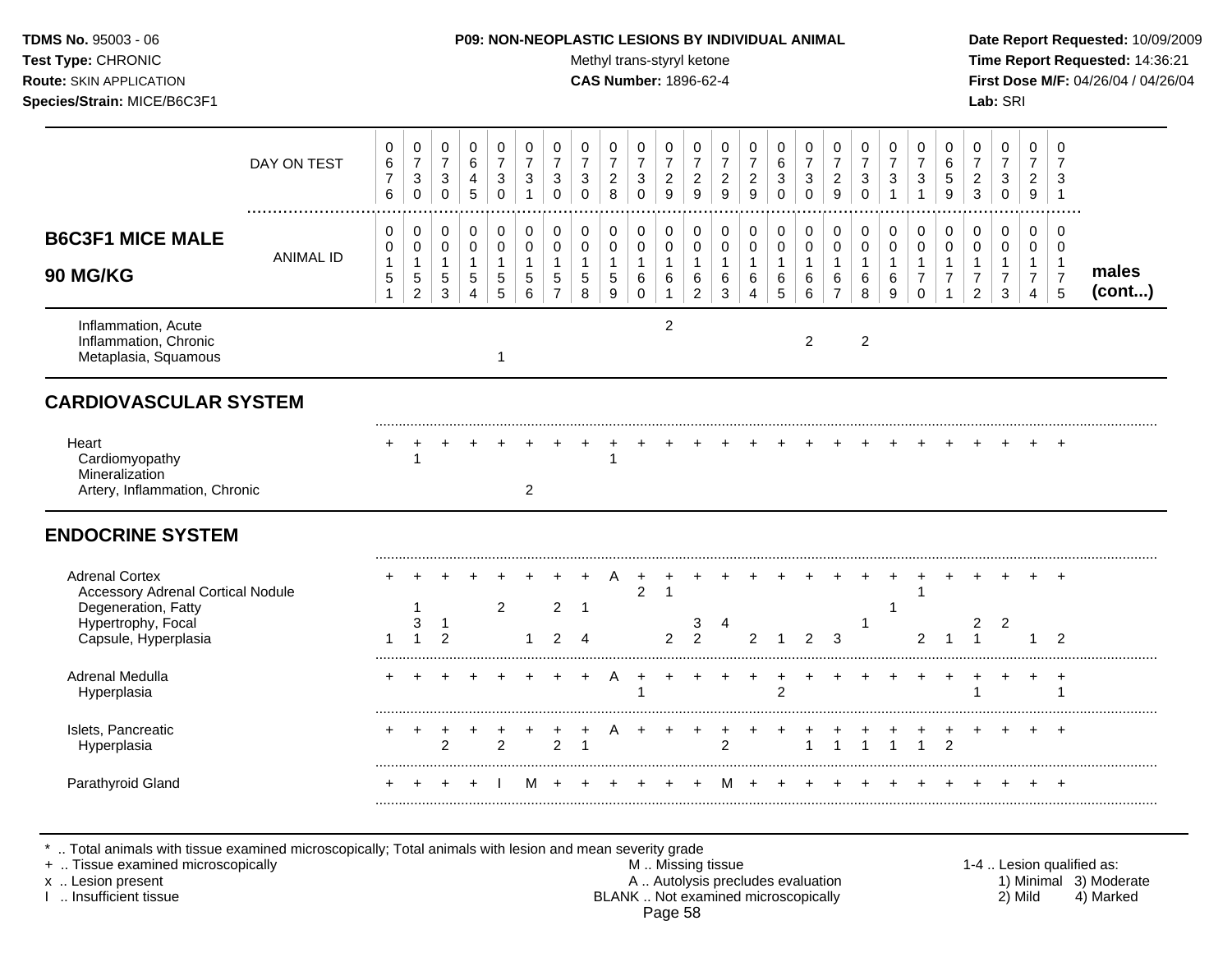#### **TDMS No.** 95003 - 06 **P09: NON-NEOPLASTIC LESIONS BY INDIVIDUAL ANIMAL Date Report Requested:** 10/09/2009

Test Type: CHRONIC **Test Type:** CHRONIC **Test Type:** CHRONIC **Time Report Requested:** 14:36:21 **Route:** SKIN APPLICATION **CAS Number:** 1896-62-4 **First Dose M/F:** 04/26/04 / 04/26/04

|                                                                                                                                        | DAY ON TEST      | 0<br>6<br>$\overline{7}$<br>6                           | $\pmb{0}$<br>$\overline{7}$<br>$\sqrt{3}$<br>$\Omega$ | 0<br>$\overline{7}$<br>$\mathbf{3}$<br>$\Omega$ | 0<br>6<br>4<br>5                                                 | 0<br>$\overline{7}$<br>3<br>$\Omega$                     | 0<br>$\overline{7}$<br>3<br>1              | 0<br>$\overline{7}$<br>3<br>$\Omega$ | 0<br>$\overline{7}$<br>$\sqrt{3}$<br>$\Omega$ | 0<br>$\overline{7}$<br>$\overline{c}$<br>8 | 0<br>$\overline{7}$<br>3<br>$\Omega$       | 0<br>$\overline{7}$<br>$\overline{c}$<br>9            | 0<br>$\overline{7}$<br>$\boldsymbol{2}$<br>9            | 0<br>$\overline{7}$<br>$\sqrt{2}$<br>9       | 0<br>$\overline{7}$<br>$\overline{c}$<br>9                      | 0<br>6<br>$\mathbf{3}$<br>$\Omega$         | 0<br>$\overline{7}$<br>$\sqrt{3}$<br>$\Omega$ | 0<br>$\boldsymbol{7}$<br>$\sqrt{2}$<br>9                        | 0<br>$\overline{7}$<br>$\mathbf{3}$<br>$\Omega$ | 0<br>$\overline{7}$<br>3<br>1              | 0<br>$\overline{7}$<br>3<br>$\mathbf 1$              | 0<br>$\,6\,$<br>5<br>9                             | 0<br>$\overline{7}$<br>$\overline{c}$<br>3    | 0<br>$\overline{7}$<br>3<br>$\mathbf 0$ | 0<br>$\overline{7}$<br>$\overline{c}$<br>9                 | 0<br>$\overline{7}$<br>3<br>$\mathbf 1$       |                 |
|----------------------------------------------------------------------------------------------------------------------------------------|------------------|---------------------------------------------------------|-------------------------------------------------------|-------------------------------------------------|------------------------------------------------------------------|----------------------------------------------------------|--------------------------------------------|--------------------------------------|-----------------------------------------------|--------------------------------------------|--------------------------------------------|-------------------------------------------------------|---------------------------------------------------------|----------------------------------------------|-----------------------------------------------------------------|--------------------------------------------|-----------------------------------------------|-----------------------------------------------------------------|-------------------------------------------------|--------------------------------------------|------------------------------------------------------|----------------------------------------------------|-----------------------------------------------|-----------------------------------------|------------------------------------------------------------|-----------------------------------------------|-----------------|
| <b>B6C3F1 MICE MALE</b><br><b>90 MG/KG</b>                                                                                             | <b>ANIMAL ID</b> | 0<br>0<br>$\mathbf{1}$<br>$\mathbf 5$<br>$\overline{1}$ | 0<br>$\mathbf 0$<br>$\mathbf{1}$<br>$\,$ 5 $\,$<br>2  | 0<br>$\mathbf 0$<br>$\mathbf{1}$<br>5<br>3      | 0<br>$\mathsf{O}\xspace$<br>$\mathbf{1}$<br>$5\phantom{.0}$<br>4 | 0<br>$\mathbf 0$<br>$\mathbf{1}$<br>$5\phantom{.0}$<br>5 | 0<br>$\mathbf 0$<br>$\mathbf{1}$<br>5<br>6 | 0<br>0<br>5<br>$\overline{7}$        | 0<br>$\mathbf 0$<br>$\mathbf{1}$<br>5<br>8    | 0<br>0<br>$\mathbf{1}$<br>5<br>9           | 0<br>0<br>$\mathbf{1}$<br>6<br>$\mathbf 0$ | 0<br>$\mathbf 0$<br>$\mathbf{1}$<br>6<br>$\mathbf{1}$ | 0<br>$\mathbf 0$<br>$\mathbf{1}$<br>6<br>$\overline{2}$ | 0<br>$\mathbf 0$<br>$\overline{1}$<br>6<br>3 | 0<br>$\mathbf 0$<br>$\mathbf{1}$<br>6<br>$\boldsymbol{\Lambda}$ | 0<br>$\mathsf 0$<br>$\mathbf{1}$<br>6<br>5 | 0<br>$\mathbf 0$<br>$\mathbf{1}$<br>6<br>6    | 0<br>$\mathsf{O}\xspace$<br>$\mathbf{1}$<br>6<br>$\overline{7}$ | 0<br>$\mathbf 0$<br>$\mathbf{1}$<br>6<br>8      | 0<br>$\mathbf 0$<br>$\mathbf{1}$<br>6<br>9 | 0<br>0<br>$\mathbf{1}$<br>$\overline{7}$<br>$\Omega$ | 0<br>$\mathbf 0$<br>$\mathbf{1}$<br>$\overline{7}$ | 0<br>0<br>$\mathbf{1}$<br>$\overline{7}$<br>2 | 0<br>0<br>$\overline{7}$<br>3           | 0<br>0<br>$\mathbf{1}$<br>$\overline{7}$<br>$\overline{4}$ | 0<br>0<br>$\mathbf{1}$<br>$\overline{7}$<br>5 | males<br>(cont) |
| Inflammation, Acute<br>Inflammation, Chronic<br>Metaplasia, Squamous                                                                   |                  |                                                         |                                                       |                                                 |                                                                  | $\overline{1}$                                           |                                            |                                      |                                               |                                            |                                            | 2                                                     |                                                         |                                              |                                                                 |                                            | 2                                             |                                                                 | $\overline{2}$                                  |                                            |                                                      |                                                    |                                               |                                         |                                                            |                                               |                 |
| <b>CARDIOVASCULAR SYSTEM</b>                                                                                                           |                  |                                                         |                                                       |                                                 |                                                                  |                                                          |                                            |                                      |                                               |                                            |                                            |                                                       |                                                         |                                              |                                                                 |                                            |                                               |                                                                 |                                                 |                                            |                                                      |                                                    |                                               |                                         |                                                            |                                               |                 |
| Heart<br>Cardiomyopathy<br>Mineralization<br>Artery, Inflammation, Chronic                                                             |                  |                                                         |                                                       |                                                 |                                                                  |                                                          | 2                                          |                                      |                                               |                                            |                                            |                                                       |                                                         |                                              |                                                                 |                                            |                                               |                                                                 |                                                 |                                            |                                                      |                                                    |                                               |                                         |                                                            |                                               |                 |
| <b>ENDOCRINE SYSTEM</b>                                                                                                                |                  |                                                         |                                                       |                                                 |                                                                  |                                                          |                                            |                                      |                                               |                                            |                                            |                                                       |                                                         |                                              |                                                                 |                                            |                                               |                                                                 |                                                 |                                            |                                                      |                                                    |                                               |                                         |                                                            |                                               |                 |
| <b>Adrenal Cortex</b><br><b>Accessory Adrenal Cortical Nodule</b><br>Degeneration, Fatty<br>Hypertrophy, Focal<br>Capsule, Hyperplasia |                  | 1                                                       | 3<br>$\overline{1}$                                   | -1<br>$\overline{2}$                            |                                                                  | $\overline{2}$                                           |                                            | $\overline{2}$<br>$\mathcal{P}$      | $\overline{1}$<br>$\boldsymbol{\varDelta}$    | A                                          | $\overline{c}$                             | -1<br>$\mathcal{P}$                                   | 3<br>$\overline{2}$                                     | 4                                            | $\overline{2}$                                                  |                                            | $\overline{2}$                                | 3                                                               | $\overline{1}$                                  | 1                                          | $\overline{2}$                                       |                                                    | 2<br>$\overline{1}$                           | $\overline{c}$                          | 1                                                          | $\overline{ }$<br>$\mathcal{P}$               |                 |
| Adrenal Medulla<br>Hyperplasia                                                                                                         |                  |                                                         |                                                       |                                                 |                                                                  |                                                          |                                            |                                      |                                               |                                            |                                            |                                                       |                                                         |                                              |                                                                 | $\overline{2}$                             |                                               |                                                                 |                                                 |                                            |                                                      |                                                    | 1                                             |                                         |                                                            | $\ddot{}$<br>-1                               |                 |
| Islets, Pancreatic<br>Hyperplasia                                                                                                      |                  |                                                         |                                                       | $\overline{2}$                                  |                                                                  | $\overline{2}$                                           |                                            | $\overline{2}$                       |                                               |                                            |                                            |                                                       |                                                         | $\overline{2}$                               |                                                                 |                                            |                                               |                                                                 |                                                 |                                            |                                                      | $\overline{2}$                                     |                                               |                                         |                                                            | $\overline{+}$                                |                 |
| Parathyroid Gland                                                                                                                      |                  |                                                         |                                                       |                                                 | ÷                                                                |                                                          | M                                          |                                      |                                               |                                            |                                            |                                                       |                                                         |                                              |                                                                 |                                            |                                               |                                                                 |                                                 |                                            |                                                      |                                                    |                                               |                                         |                                                            | $\pm$                                         |                 |

\* .. Total animals with tissue examined microscopically; Total animals with lesion and mean severity grade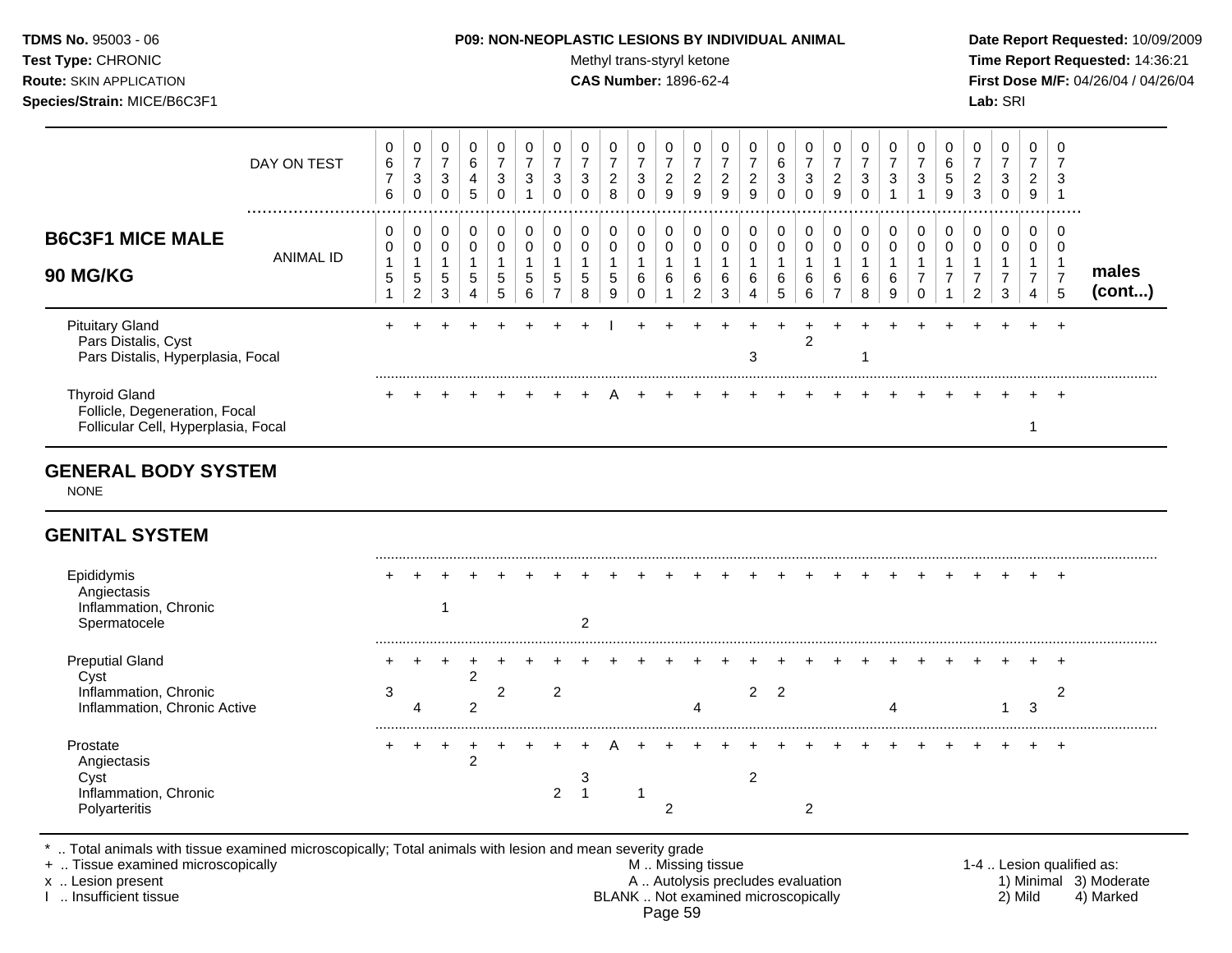#### **TDMS No.** 95003 - 06 **P09: NON-NEOPLASTIC LESIONS BY INDIVIDUAL ANIMAL Date Report Requested:** 10/09/2009

Test Type: CHRONIC **Test Type:** CHRONIC **Test Type:** CHRONIC **Time Report Requested:** 14:36:21 **Route:** SKIN APPLICATION **CAS Number:** 1896-62-4 **First Dose M/F:** 04/26/04 / 04/26/04

| DAY ON TEST                                                                                  | 0<br>6<br>$\overline{7}$<br>6               | 0<br>$\overline{7}$<br>3<br>$\mathbf 0$             | 0<br>$\overline{7}$<br>$\mathbf{3}$<br>$\Omega$ | 0<br>$\,6\,$<br>4<br>5                                                | 0<br>$\overline{7}$<br>3<br>$\mathbf 0$    | 0<br>$\overline{7}$<br>3<br>1   | 0<br>$\overline{7}$<br>3<br>$\mathbf 0$       | 0<br>$\overline{7}$<br>3<br>$\Omega$ | 0<br>$\overline{7}$<br>$\overline{c}$<br>8 | 0<br>$\overline{7}$<br>$\sqrt{3}$<br>$\Omega$ | 0<br>$\overline{7}$<br>$\overline{c}$<br>9   | 0<br>$\overline{7}$<br>$\overline{c}$<br>9            | 0<br>$\overline{7}$<br>$\overline{c}$<br>$\boldsymbol{9}$ | 0<br>$\overline{7}$<br>$\overline{c}$<br>9 | 0<br>$\,6\,$<br>3<br>$\Omega$ | 0<br>$\overline{7}$<br>3<br>$\Omega$     | 0<br>$\overline{7}$<br>$\overline{2}$<br>$\overline{9}$ | 0<br>$\overline{7}$<br>3<br>$\mathbf{0}$   | 0<br>$\overline{7}$<br>3<br>$\mathbf{1}$   | 0<br>$\overline{7}$<br>3 | 0<br>$\,6\,$<br>5<br>9                                  | 0<br>$\overline{7}$<br>$\overline{c}$<br>$\mathbf{3}$     | 0<br>$\overline{7}$<br>$\mathbf{3}$<br>$\mathbf 0$ | $\mathbf 0$<br>$\overline{7}$<br>$\overline{2}$<br>9    | 0<br>$\overline{7}$<br>3<br>$\mathbf 1$                |                 |
|----------------------------------------------------------------------------------------------|---------------------------------------------|-----------------------------------------------------|-------------------------------------------------|-----------------------------------------------------------------------|--------------------------------------------|---------------------------------|-----------------------------------------------|--------------------------------------|--------------------------------------------|-----------------------------------------------|----------------------------------------------|-------------------------------------------------------|-----------------------------------------------------------|--------------------------------------------|-------------------------------|------------------------------------------|---------------------------------------------------------|--------------------------------------------|--------------------------------------------|--------------------------|---------------------------------------------------------|-----------------------------------------------------------|----------------------------------------------------|---------------------------------------------------------|--------------------------------------------------------|-----------------|
| <b>B6C3F1 MICE MALE</b><br><b>ANIMAL ID</b><br><b>90 MG/KG</b>                               | 0<br>0<br>$\mathbf{1}$<br>5<br>$\mathbf{1}$ | 0<br>$\pmb{0}$<br>1<br>$\sqrt{5}$<br>$\overline{c}$ | 0<br>0<br>$\mathbf{1}$<br>5<br>$\mathbf{3}$     | 0<br>$\mathbf 0$<br>$\mathbf{1}$<br>$5\phantom{.0}$<br>$\overline{4}$ | 0<br>$\mathbf 0$<br>$\mathbf{1}$<br>5<br>5 | 0<br>$\mathbf 0$<br>1<br>5<br>6 | 0<br>0<br>$\mathbf{1}$<br>5<br>$\overline{7}$ | 0<br>$\mathbf 0$<br>1<br>5<br>8      | 0<br>$\pmb{0}$<br>$\mathbf{1}$<br>5<br>9   | 0<br>0<br>$\mathbf{1}$<br>6<br>0              | 0<br>$\mathbf 0$<br>$\overline{1}$<br>6<br>1 | 0<br>$\pmb{0}$<br>$\mathbf{1}$<br>6<br>$\overline{c}$ | 0<br>$\mathbf 0$<br>$\mathbf{1}$<br>6<br>$\sqrt{3}$       | 0<br>0<br>$\mathbf{1}$<br>6<br>4           | 0<br>$\mathbf 0$<br>6<br>5    | 0<br>$\pmb{0}$<br>$\mathbf{1}$<br>6<br>6 | 0<br>0<br>$\mathbf{1}$<br>$\,6\,$<br>$\overline{7}$     | 0<br>$\mathbf 0$<br>$\mathbf{1}$<br>6<br>8 | 0<br>$\mathbf 0$<br>$\mathbf{1}$<br>6<br>9 | 0<br>0<br>7<br>$\Omega$  | 0<br>$\mathbf 0$<br>$\mathbf{1}$<br>$\overline{7}$<br>1 | 0<br>0<br>$\mathbf 1$<br>$\overline{7}$<br>$\overline{c}$ | 0<br>0<br>$\mathbf{1}$<br>$\overline{7}$<br>3      | 0<br>$\mathbf 0$<br>$\mathbf{1}$<br>$\overline{7}$<br>4 | 0<br>$\mathbf 0$<br>$\mathbf 1$<br>$\overline{7}$<br>5 | males<br>(cont) |
| <b>Pituitary Gland</b><br>Pars Distalis, Cyst<br>Pars Distalis, Hyperplasia, Focal           |                                             |                                                     |                                                 |                                                                       |                                            |                                 |                                               |                                      |                                            |                                               |                                              |                                                       |                                                           | 3                                          |                               | $\overline{2}$                           |                                                         |                                            |                                            |                          |                                                         |                                                           |                                                    |                                                         | $\ddot{}$                                              |                 |
| <b>Thyroid Gland</b><br>Follicle, Degeneration, Focal<br>Follicular Cell, Hyperplasia, Focal |                                             |                                                     |                                                 |                                                                       |                                            |                                 |                                               |                                      |                                            |                                               |                                              |                                                       |                                                           |                                            |                               |                                          |                                                         |                                            |                                            |                          |                                                         |                                                           |                                                    | 1                                                       | $\div$                                                 |                 |
| <b>GENERAL BODY SYSTEM</b><br><b>NONE</b>                                                    |                                             |                                                     |                                                 |                                                                       |                                            |                                 |                                               |                                      |                                            |                                               |                                              |                                                       |                                                           |                                            |                               |                                          |                                                         |                                            |                                            |                          |                                                         |                                                           |                                                    |                                                         |                                                        |                 |
| <b>GENITAL SYSTEM</b>                                                                        |                                             |                                                     |                                                 |                                                                       |                                            |                                 |                                               |                                      |                                            |                                               |                                              |                                                       |                                                           |                                            |                               |                                          |                                                         |                                            |                                            |                          |                                                         |                                                           |                                                    |                                                         |                                                        |                 |
| Epididymis<br>Angiectasis<br>Inflammation, Chronic<br>Spermatocele                           |                                             |                                                     | 1                                               |                                                                       |                                            |                                 |                                               | 2                                    |                                            |                                               |                                              |                                                       |                                                           |                                            |                               |                                          |                                                         |                                            |                                            |                          |                                                         |                                                           |                                                    |                                                         | $\overline{ }$                                         |                 |
| <b>Preputial Gland</b><br>Cyst<br>Inflammation, Chronic<br>Inflammation, Chronic Active      | 3                                           | 4                                                   |                                                 | $\overline{c}$<br>$\overline{c}$                                      | $\overline{c}$                             |                                 | $\overline{c}$                                |                                      |                                            |                                               |                                              | Δ                                                     |                                                           | $\overline{2}$                             | $\overline{2}$                |                                          |                                                         |                                            | Δ                                          |                          |                                                         |                                                           | 1                                                  | 3                                                       | ÷<br>$\overline{c}$                                    |                 |
| Prostate<br>Angiectasis<br>Cyst<br>Inflammation, Chronic<br>Polyarteritis                    |                                             | $\ddot{}$                                           | $^{+}$                                          | $\ddot{}$<br>$\overline{c}$                                           |                                            |                                 | 2                                             | 3<br>$\overline{1}$                  |                                            | -1                                            | $\overline{2}$                               |                                                       |                                                           | 2                                          |                               | 2                                        |                                                         |                                            |                                            |                          |                                                         |                                                           |                                                    |                                                         | $\overline{+}$                                         |                 |

\* .. Total animals with tissue examined microscopically; Total animals with lesion and mean severity grade

+ .. Tissue examined microscopically M .. Missing tissue 1-4 .. Lesion qualified as: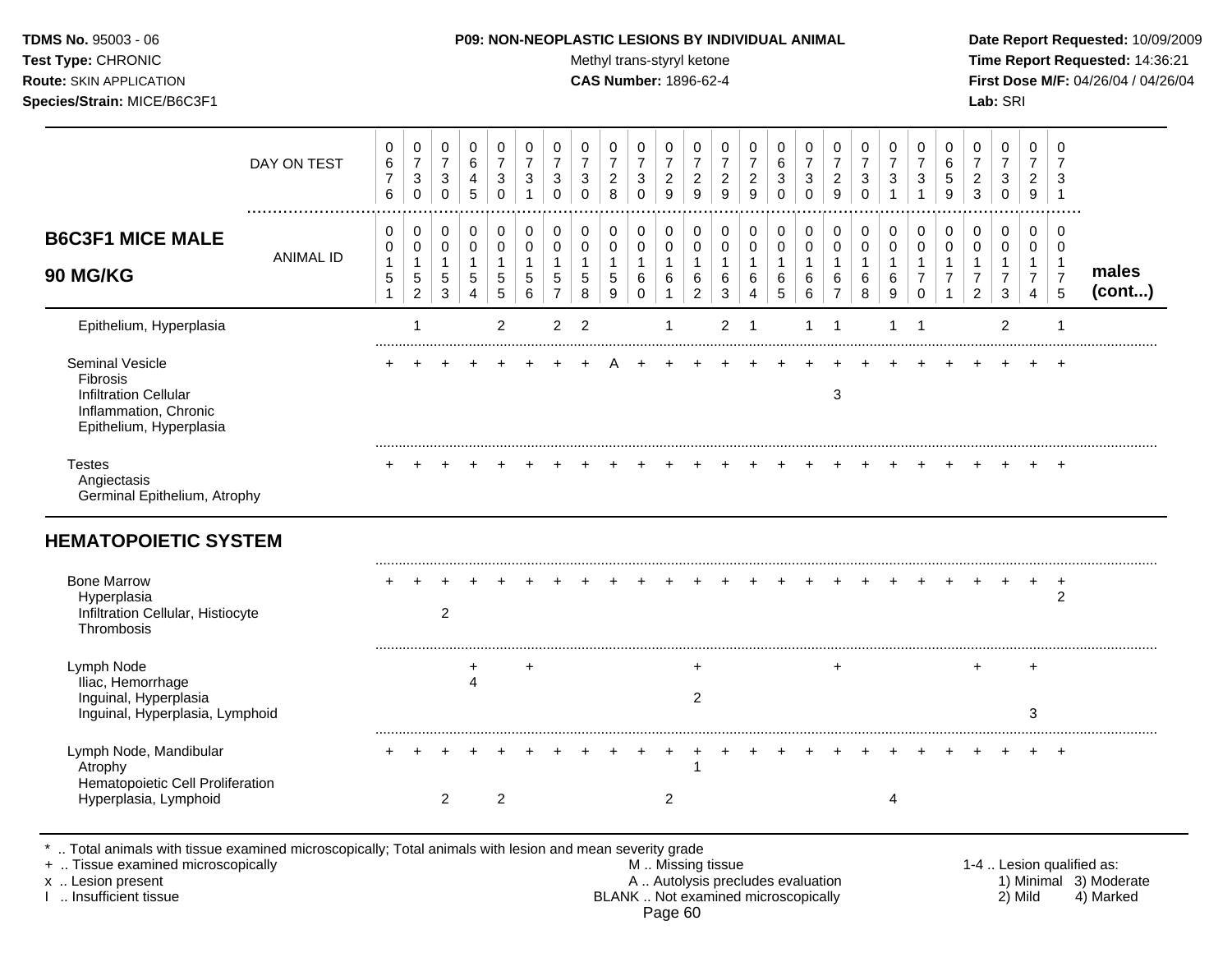#### **TDMS No.** 95003 - 06 **P09: NON-NEOPLASTIC LESIONS BY INDIVIDUAL ANIMAL Date Report Requested:** 10/09/2009

Test Type: CHRONIC **Test Type:** CHRONIC **Test Type:** CHRONIC **Time Report Requested:** 14:36:21 **Route:** SKIN APPLICATION **CAS Number:** 1896-62-4 **First Dose M/F:** 04/26/04 / 04/26/04

|                                                                                                                        | DAY ON TEST      | 0<br>$\,6$<br>$\overline{7}$<br>6                 | 0<br>$\overline{7}$<br>3<br>$\mathbf 0$                 | 0<br>$\overline{7}$<br>$\mathbf{3}$<br>$\mathbf 0$ | 0<br>$\,6\,$<br>4<br>5                            | 0<br>$\overline{7}$<br>$\mathbf{3}$<br>$\mathbf 0$   | 0<br>$\overline{7}$<br>3<br>$\overline{\mathbf{1}}$ | 0<br>$\overline{7}$<br>3<br>$\Omega$         | 0<br>$\overline{7}$<br>$\mathbf{3}$<br>$\Omega$           | 0<br>$\overline{7}$<br>$\overline{2}$<br>8 | 0<br>$\overline{7}$<br>$\mathsf 3$<br>$\Omega$ | 0<br>$\overline{7}$<br>$\overline{c}$<br>9            | 0<br>$\overline{7}$<br>$\sqrt{2}$<br>9       | 0<br>$\overline{7}$<br>$\overline{c}$<br>9 | 0<br>$\overline{7}$<br>$\sqrt{2}$<br>9                                     | 0<br>$\,6$<br>3<br>$\Omega$     | 0<br>$\overline{7}$<br>$\sqrt{3}$<br>$\mathbf 0$ | 0<br>$\overline{7}$<br>$\overline{c}$<br>9                    | 0<br>$\overline{7}$<br>$\sqrt{3}$<br>$\mathbf 0$ | 0<br>$\overline{7}$<br>3<br>$\overline{1}$     | 0<br>$\overline{7}$<br>3<br>$\overline{1}$                   | 0<br>6<br>$\sqrt{5}$<br>9 | 0<br>$\overline{7}$<br>$\overline{c}$<br>3 | 0<br>$\overline{7}$<br>3<br>0                                        | $\mathbf 0$<br>$\overline{7}$<br>$\overline{2}$<br>$9\,$               | 0<br>$\overline{7}$<br>3<br>$\overline{1}$              |                 |
|------------------------------------------------------------------------------------------------------------------------|------------------|---------------------------------------------------|---------------------------------------------------------|----------------------------------------------------|---------------------------------------------------|------------------------------------------------------|-----------------------------------------------------|----------------------------------------------|-----------------------------------------------------------|--------------------------------------------|------------------------------------------------|-------------------------------------------------------|----------------------------------------------|--------------------------------------------|----------------------------------------------------------------------------|---------------------------------|--------------------------------------------------|---------------------------------------------------------------|--------------------------------------------------|------------------------------------------------|--------------------------------------------------------------|---------------------------|--------------------------------------------|----------------------------------------------------------------------|------------------------------------------------------------------------|---------------------------------------------------------|-----------------|
| <b>B6C3F1 MICE MALE</b><br>90 MG/KG                                                                                    | <b>ANIMAL ID</b> | 0<br>$\pmb{0}$<br>$\mathbf{1}$<br>$\sqrt{5}$<br>1 | 0<br>$\mathbf 0$<br>$\mathbf{1}$<br>5<br>$\overline{c}$ | 0<br>$\pmb{0}$<br>1<br>$\sqrt{5}$<br>3             | 0<br>$\pmb{0}$<br>$\mathbf{1}$<br>$\sqrt{5}$<br>4 | 0<br>$\mathsf 0$<br>$\mathbf{1}$<br>$\,$ 5 $\,$<br>5 | 0<br>$\mathbf 0$<br>$\mathbf 1$<br>5<br>6           | 0<br>$\mathbf 0$<br>1<br>5<br>$\overline{7}$ | $\pmb{0}$<br>$\pmb{0}$<br>$\mathbf{1}$<br>$\sqrt{5}$<br>8 | 0<br>0<br>$\mathbf{1}$<br>$\,$ 5 $\,$<br>9 | 0<br>$\mathbf 0$<br>$\mathbf{1}$<br>6<br>0     | 0<br>$\mathbf 0$<br>$\mathbf{1}$<br>6<br>$\mathbf{1}$ | 0<br>$\mathbf 0$<br>1<br>6<br>$\overline{c}$ | $\pmb{0}$<br>0<br>$\mathbf{1}$<br>6<br>3   | $\mathbf 0$<br>$\mathbf 0$<br>$\mathbf{1}$<br>6<br>$\overline{\mathbf{4}}$ | 0<br>0<br>$\mathbf 1$<br>6<br>5 | 0<br>$\mathbf 0$<br>1<br>$\,6\,$<br>6            | 0<br>$\mathbf 0$<br>$\mathbf{1}$<br>$\,6\,$<br>$\overline{7}$ | 0<br>$\pmb{0}$<br>$\mathbf{1}$<br>6<br>8         | 0<br>$\mathbf 0$<br>$\mathbf{1}$<br>$\,6$<br>9 | 0<br>$\pmb{0}$<br>$\mathbf{1}$<br>$\overline{7}$<br>$\Omega$ | 0<br>$\mathbf 0$<br>7     | 0<br>0<br>1<br>7<br>$\overline{c}$         | 0<br>$\mathbf 0$<br>$\mathbf{1}$<br>$\overline{7}$<br>$\mathfrak{Z}$ | 0<br>$\mathbf 0$<br>$\overline{1}$<br>$\overline{7}$<br>$\overline{4}$ | 0<br>$\mathbf 0$<br>$\mathbf{1}$<br>$\overline{7}$<br>5 | males<br>(cont) |
| Epithelium, Hyperplasia                                                                                                |                  |                                                   | $\mathbf{1}$                                            |                                                    |                                                   | $\overline{2}$                                       |                                                     | $\overline{2}$                               | $\overline{2}$                                            |                                            |                                                | $\mathbf 1$                                           |                                              | $\overline{2}$                             | -1                                                                         |                                 | $\mathbf{1}$                                     | -1                                                            |                                                  | 1                                              | -1                                                           |                           |                                            | $\overline{2}$                                                       |                                                                        | $\mathbf{1}$                                            |                 |
| <b>Seminal Vesicle</b><br>Fibrosis<br><b>Infiltration Cellular</b><br>Inflammation, Chronic<br>Epithelium, Hyperplasia |                  |                                                   |                                                         |                                                    |                                                   |                                                      |                                                     |                                              |                                                           |                                            |                                                |                                                       |                                              |                                            |                                                                            |                                 |                                                  | 3                                                             |                                                  |                                                |                                                              |                           |                                            |                                                                      |                                                                        |                                                         |                 |
| <b>Testes</b><br>Angiectasis<br>Germinal Epithelium, Atrophy                                                           |                  |                                                   |                                                         |                                                    |                                                   |                                                      |                                                     |                                              |                                                           |                                            |                                                |                                                       |                                              |                                            |                                                                            |                                 |                                                  |                                                               |                                                  |                                                |                                                              |                           |                                            |                                                                      |                                                                        | $\ddot{}$                                               |                 |
| <b>HEMATOPOIETIC SYSTEM</b>                                                                                            |                  |                                                   |                                                         |                                                    |                                                   |                                                      |                                                     |                                              |                                                           |                                            |                                                |                                                       |                                              |                                            |                                                                            |                                 |                                                  |                                                               |                                                  |                                                |                                                              |                           |                                            |                                                                      |                                                                        |                                                         |                 |
| <b>Bone Marrow</b><br>Hyperplasia<br>Infiltration Cellular, Histiocyte<br>Thrombosis                                   |                  |                                                   |                                                         | $\overline{2}$                                     |                                                   |                                                      |                                                     |                                              |                                                           |                                            |                                                |                                                       |                                              |                                            |                                                                            |                                 |                                                  |                                                               |                                                  |                                                |                                                              |                           |                                            |                                                                      | $\ddot{}$                                                              | $^{+}$<br>$\overline{c}$                                |                 |
| Lymph Node<br>Iliac, Hemorrhage<br>Inguinal, Hyperplasia<br>Inguinal, Hyperplasia, Lymphoid                            |                  |                                                   |                                                         |                                                    | +<br>4                                            |                                                      | +                                                   |                                              |                                                           |                                            |                                                |                                                       | $\ddot{}$<br>$\overline{2}$                  |                                            |                                                                            |                                 |                                                  | ÷                                                             |                                                  |                                                |                                                              |                           | $\ddot{}$                                  |                                                                      | $\ddot{}$<br>3                                                         |                                                         |                 |
| Lymph Node, Mandibular<br>Atrophy<br>Hematopoietic Cell Proliferation<br>Hyperplasia, Lymphoid                         |                  |                                                   |                                                         | 2                                                  |                                                   | 2                                                    |                                                     |                                              |                                                           |                                            |                                                | 2                                                     |                                              |                                            |                                                                            |                                 |                                                  |                                                               |                                                  | 4                                              |                                                              |                           |                                            |                                                                      |                                                                        | $\overline{ }$                                          |                 |

\* .. Total animals with tissue examined microscopically; Total animals with lesion and mean severity grade

+ .. Tissue examined microscopically M .. Missing tissue 1-4 .. Lesion qualified as: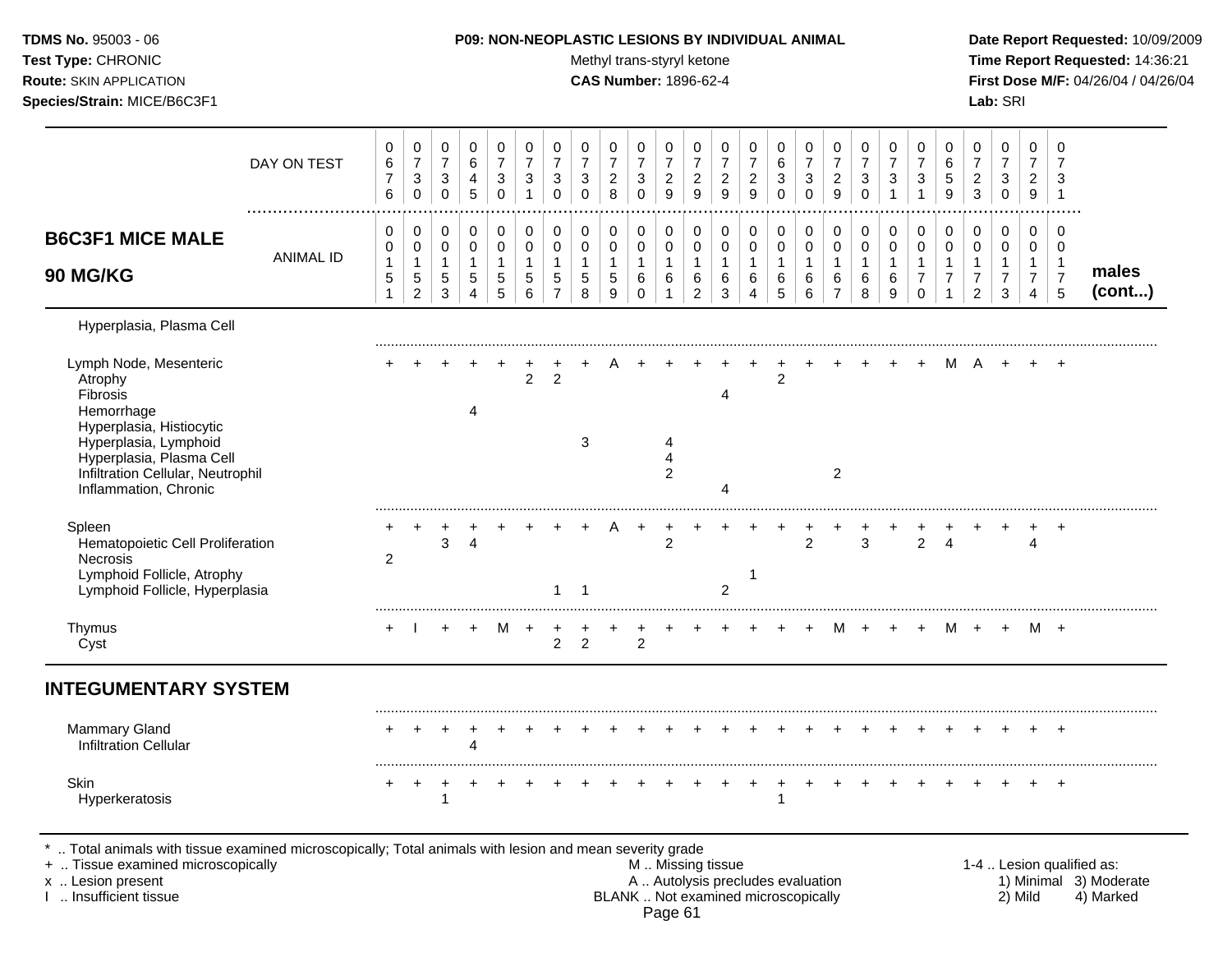| <b>TDMS No. 95003 - 06</b>     | <b>P09: NON-NEOPLASTIC LESIONS BY INDIVIDUAL ANIMAL</b> | Date Rep         |
|--------------------------------|---------------------------------------------------------|------------------|
| Test Type: CHRONIC             | Methyl trans-styryl ketone                              | Time Rei         |
| <b>Route: SKIN APPLICATION</b> | <b>CAS Number: 1896-62-4</b>                            | <b>First Dos</b> |
| Species/Strain: MICE/B6C3F1    |                                                         | <b>Lab:</b> SRI  |

# **P09: NON-NEOPLASTIC LESIONS BY INDIVIDUAL ANIMAL Date Report Requested:** 10/09/2009

**Methyl trans-styryl ketone Time Report Requested:** 14:36:21 **CAS Number:** 1896-62-4 **First Dose M/F:** 04/26/04 / 04/26/04

| DAY ON TEST                                                                                                                                                                                                                            | 0<br>6<br>$\overline{7}$<br>6                                      | 0<br>$\overline{7}$<br>$\ensuremath{\mathsf{3}}$<br>$\Omega$ | 0<br>$\overline{7}$<br>$\mathsf 3$<br>$\mathsf 0$ | $\mathbf 0$<br>6<br>$\overline{4}$<br>$\overline{5}$ | 0<br>$\overline{7}$<br>3<br>$\Omega$       | 0<br>$\overline{7}$<br>$\sqrt{3}$<br>$\overline{1}$ | 0<br>$\overline{7}$<br>$\mathbf{3}$<br>$\Omega$                   | $\mathbf 0$<br>$\overline{7}$<br>$\mathbf{3}$<br>$\Omega$ | 0<br>$\overline{7}$<br>$\boldsymbol{2}$<br>8             | 0<br>$\overline{7}$<br>$\sqrt{3}$<br>$\Omega$ | 0<br>$\overline{7}$<br>$\overline{a}$<br>9  | 0<br>$\overline{7}$<br>$\overline{2}$<br>9      | 0<br>$\overline{7}$<br>$\sqrt{2}$<br>9               | $\pmb{0}$<br>$\overline{7}$<br>$\overline{c}$<br>$\boldsymbol{9}$ | 0<br>$\,6$<br>$\sqrt{3}$<br>$\Omega$              | $\mathbf 0$<br>$\overline{7}$<br>$\sqrt{3}$<br>$\Omega$ | 0<br>$\overline{7}$<br>$\overline{c}$<br>9            | 0<br>$\overline{7}$<br>3<br>$\Omega$         | 0<br>$\overline{7}$<br>3<br>$\mathbf 1$    | 0<br>$\overline{7}$<br>3                            | 0<br>6<br>$\sqrt{5}$<br>9                                | $\mathbf 0$<br>$\overline{7}$<br>$\overline{c}$<br>$\overline{3}$      | $\mathbf 0$<br>$\overline{7}$<br>3<br>0                            | 0<br>$\overline{7}$<br>$\overline{c}$<br>9   | $\Omega$<br>7<br>3<br>$\mathbf{1}$                             |                           |
|----------------------------------------------------------------------------------------------------------------------------------------------------------------------------------------------------------------------------------------|--------------------------------------------------------------------|--------------------------------------------------------------|---------------------------------------------------|------------------------------------------------------|--------------------------------------------|-----------------------------------------------------|-------------------------------------------------------------------|-----------------------------------------------------------|----------------------------------------------------------|-----------------------------------------------|---------------------------------------------|-------------------------------------------------|------------------------------------------------------|-------------------------------------------------------------------|---------------------------------------------------|---------------------------------------------------------|-------------------------------------------------------|----------------------------------------------|--------------------------------------------|-----------------------------------------------------|----------------------------------------------------------|------------------------------------------------------------------------|--------------------------------------------------------------------|----------------------------------------------|----------------------------------------------------------------|---------------------------|
| <b>B6C3F1 MICE MALE</b><br><b>ANIMAL ID</b><br><b>90 MG/KG</b>                                                                                                                                                                         | 0<br>$\mathbf 0$<br>$\overline{1}$<br>$\sqrt{5}$<br>$\overline{1}$ | 0<br>0<br>1<br>5<br>$\overline{c}$                           | 0<br>0<br>$\mathbf{1}$<br>5<br>$\mathbf{3}$       | 0<br>$\mathbf 0$<br>$\mathbf{1}$<br>$\sqrt{5}$<br>4  | 0<br>$\mathbf 0$<br>$\mathbf{1}$<br>5<br>5 | 0<br>$\mathbf 0$<br>$\mathbf{1}$<br>5<br>6          | $\mathbf 0$<br>$\mathbf 0$<br>$\mathbf{1}$<br>5<br>$\overline{7}$ | 0<br>$\pmb{0}$<br>$\mathbf{1}$<br>5<br>8                  | 0<br>0<br>$\mathbf{1}$<br>$\sqrt{5}$<br>$\boldsymbol{9}$ | 0<br>$\mathbf 0$<br>1<br>6<br>$\Omega$        | 0<br>0<br>$\mathbf{1}$<br>6<br>$\mathbf{1}$ | 0<br>0<br>$\overline{1}$<br>6<br>$\overline{2}$ | $\mathbf 0$<br>$\mathbf 0$<br>$\mathbf{1}$<br>6<br>3 | 0<br>$\pmb{0}$<br>$\mathbf{1}$<br>6<br>$\overline{A}$             | 0<br>$\pmb{0}$<br>$\mathbf{1}$<br>6<br>$\sqrt{5}$ | 0<br>$\mathbf 0$<br>$\mathbf{1}$<br>6<br>6              | 0<br>$\pmb{0}$<br>$\mathbf{1}$<br>6<br>$\overline{7}$ | 0<br>$\mathbf 0$<br>$\overline{1}$<br>6<br>8 | 0<br>$\mathbf 0$<br>$\mathbf{1}$<br>6<br>9 | 0<br>$\mathbf 0$<br>1<br>$\overline{7}$<br>$\Omega$ | 0<br>0<br>$\mathbf{1}$<br>$\overline{7}$<br>$\mathbf{1}$ | 0<br>$\mathbf 0$<br>$\mathbf{1}$<br>$\boldsymbol{7}$<br>$\overline{2}$ | 0<br>$\mathbf 0$<br>$\mathbf{1}$<br>$\overline{7}$<br>$\mathbf{3}$ | 0<br>$\mathbf 0$<br>1<br>$\overline{7}$<br>4 | $\mathbf 0$<br>$\Omega$<br>$\mathbf{1}$<br>$\overline{7}$<br>5 | males<br>(cont)           |
| Hyperplasia, Plasma Cell<br>Lymph Node, Mesenteric<br>Atrophy<br>Fibrosis<br>Hemorrhage<br>Hyperplasia, Histiocytic<br>Hyperplasia, Lymphoid<br>Hyperplasia, Plasma Cell<br>Infiltration Cellular, Neutrophil<br>Inflammation, Chronic |                                                                    |                                                              |                                                   | 4                                                    |                                            | $\overline{2}$                                      | $\overline{2}$                                                    | 3                                                         |                                                          |                                               | 4<br>$\overline{4}$<br>$\overline{2}$       |                                                 | 4<br>4                                               |                                                                   | $\overline{2}$                                    |                                                         | $\overline{2}$                                        |                                              |                                            |                                                     | м                                                        | A                                                                      |                                                                    |                                              |                                                                |                           |
| Spleen<br>Hematopoietic Cell Proliferation<br><b>Necrosis</b><br>Lymphoid Follicle, Atrophy<br>Lymphoid Follicle, Hyperplasia                                                                                                          | 2                                                                  |                                                              | 3                                                 | $\overline{4}$                                       |                                            |                                                     | 1                                                                 | $\overline{1}$                                            |                                                          | $\ddot{}$                                     | $\div$<br>$\overline{2}$                    |                                                 | $\overline{2}$                                       | -1                                                                |                                                   | $\overline{2}$                                          |                                                       | 3                                            |                                            | $\overline{2}$                                      | 4                                                        |                                                                        |                                                                    | 4                                            | $\ddot{}$                                                      |                           |
| Thymus<br>Cyst                                                                                                                                                                                                                         | $\ddot{}$                                                          |                                                              | $\ddot{}$                                         | $\ddot{}$                                            | M                                          | $\ddot{}$                                           | $\overline{2}$                                                    | $\ddot{}$<br>$\overline{2}$                               |                                                          | $\overline{2}$                                |                                             |                                                 |                                                      |                                                                   |                                                   |                                                         | М                                                     | $+$                                          |                                            | $\ddot{}$                                           |                                                          | M +                                                                    | $+$                                                                | M +                                          |                                                                |                           |
| <b>INTEGUMENTARY SYSTEM</b>                                                                                                                                                                                                            |                                                                    |                                                              |                                                   |                                                      |                                            |                                                     |                                                                   |                                                           |                                                          |                                               |                                             |                                                 |                                                      |                                                                   |                                                   |                                                         |                                                       |                                              |                                            |                                                     |                                                          |                                                                        |                                                                    |                                              |                                                                |                           |
| <b>Mammary Gland</b><br><b>Infiltration Cellular</b>                                                                                                                                                                                   |                                                                    |                                                              |                                                   | $\overline{4}$                                       |                                            |                                                     |                                                                   |                                                           |                                                          |                                               |                                             |                                                 |                                                      |                                                                   |                                                   |                                                         |                                                       |                                              |                                            |                                                     |                                                          |                                                                        |                                                                    |                                              | $\ddot{}$                                                      |                           |
| <b>Skin</b><br>Hyperkeratosis                                                                                                                                                                                                          | +                                                                  | $^{+}$                                                       | $\ddot{}$<br>1                                    |                                                      |                                            |                                                     |                                                                   |                                                           |                                                          |                                               |                                             |                                                 |                                                      | $\div$                                                            | 1                                                 |                                                         |                                                       |                                              |                                            |                                                     |                                                          |                                                                        |                                                                    |                                              | $\ddot{}$                                                      |                           |
| Total animals with tissue examined microscopically; Total animals with lesion and mean severity grade<br>+  Tissue examined microscopically                                                                                            |                                                                    |                                                              |                                                   |                                                      |                                            |                                                     |                                                                   |                                                           |                                                          | M  Missing tissue                             |                                             |                                                 |                                                      |                                                                   |                                                   |                                                         |                                                       |                                              |                                            |                                                     |                                                          |                                                                        |                                                                    |                                              |                                                                | 1-4  Lesion qualified as: |

x .. Lesion present **A .. Autolysis precludes evaluation** A .. Autolysis precludes evaluation 1) Minimal 3) Moderate I .. Insufficient tissue BLANK .. Not examined microscopically 2) Mild 4) Marked

Page 61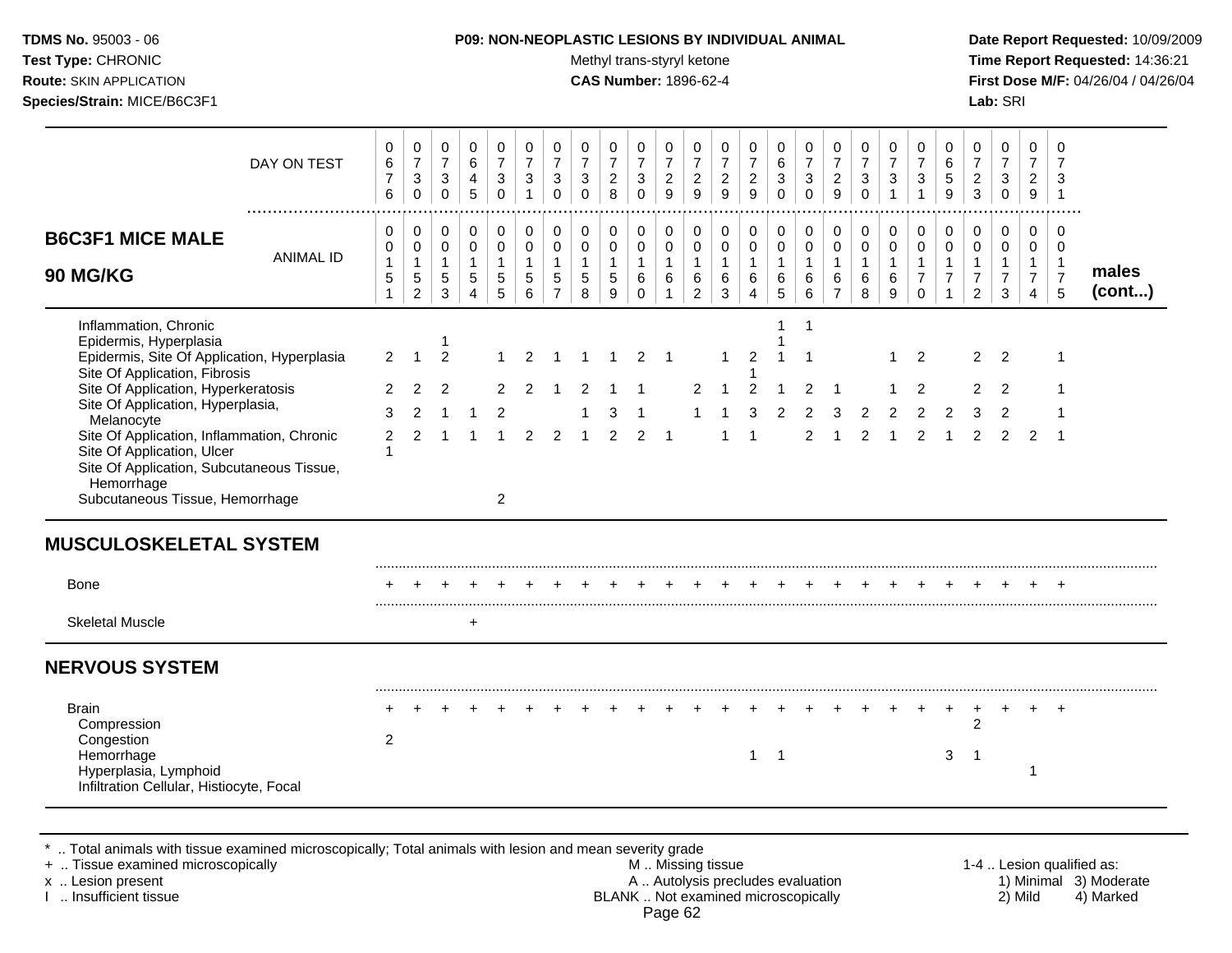Test Type: CHRONIC **Test Type:** CHRONIC **Test Type:** CHRONIC **Time Report Requested:** 14:36:21 **Route:** SKIN APPLICATION **CAS Number:** 1896-62-4 **First Dose M/F:** 04/26/04 / 04/26/04 **Species/Strain:** MICE/B6C3F1 **Lab:** SRI

| DAY ON TEST                                                                                                                                                                                                                                                                                                                                                                                         | 0<br>6<br>$\overline{7}$<br>$\,6$                                       | $\mathbf 0$<br>$\overline{7}$<br>3<br>$\pmb{0}$ | $\mathbf 0$<br>$\boldsymbol{7}$<br>$\ensuremath{\mathsf{3}}$<br>$\mathsf{O}\xspace$ | $\mathbf 0$<br>6<br>4<br>$\sqrt{5}$                               | $\pmb{0}$<br>$\overline{7}$<br>$\mathbf{3}$<br>$\pmb{0}$      | $\mathbf 0$<br>$\overline{7}$<br>$\mathbf{3}$<br>$\mathbf{1}$ | 0<br>$\boldsymbol{7}$<br>$\mathbf{3}$<br>$\pmb{0}$                     | $\mathbf 0$<br>$\overline{7}$<br>$\sqrt{3}$<br>$\pmb{0}$   | 0<br>$\overline{7}$<br>$\overline{c}$<br>$\bf8$     | 0<br>$\overline{7}$<br>$\mathbf{3}$<br>$\pmb{0}$   | 0<br>$\boldsymbol{7}$<br>$\overline{2}$<br>$\boldsymbol{9}$     | 0<br>$\overline{7}$<br>$\overline{c}$<br>$\boldsymbol{9}$ | 0<br>$\boldsymbol{7}$<br>$\sqrt{2}$<br>$9\,$             | $\mathbf 0$<br>$\boldsymbol{7}$<br>$\overline{c}$<br>9        | 0<br>6<br>3<br>$\mathbf 0$                                | $\boldsymbol{0}$<br>$\overline{7}$<br>$\sqrt{3}$<br>$\Omega$          | $\mathbf 0$<br>$\boldsymbol{7}$<br>$\overline{a}$<br>$\boldsymbol{9}$ | $\pmb{0}$<br>$\overline{7}$<br>$\mathbf{3}$<br>$\pmb{0}$ | $\mathbf 0$<br>$\overline{7}$<br>$\mathbf{3}$<br>$\mathbf{1}$ | 0<br>$\boldsymbol{7}$<br>$\ensuremath{\mathsf{3}}$<br>$\mathbf{1}$      | 0<br>$\,6\,$<br>$\sqrt{5}$<br>9                                          | 0<br>$\overline{7}$<br>$\overline{c}$<br>$\mathbf{3}$        | $\pmb{0}$<br>$\boldsymbol{7}$<br>$\mathbf{3}$<br>$\mathbf 0$               | $\mathbf 0$<br>$\overline{7}$<br>$\overline{c}$<br>9                 | 0<br>7<br>3<br>$\overline{1}$                       |                                                     |
|-----------------------------------------------------------------------------------------------------------------------------------------------------------------------------------------------------------------------------------------------------------------------------------------------------------------------------------------------------------------------------------------------------|-------------------------------------------------------------------------|-------------------------------------------------|-------------------------------------------------------------------------------------|-------------------------------------------------------------------|---------------------------------------------------------------|---------------------------------------------------------------|------------------------------------------------------------------------|------------------------------------------------------------|-----------------------------------------------------|----------------------------------------------------|-----------------------------------------------------------------|-----------------------------------------------------------|----------------------------------------------------------|---------------------------------------------------------------|-----------------------------------------------------------|-----------------------------------------------------------------------|-----------------------------------------------------------------------|----------------------------------------------------------|---------------------------------------------------------------|-------------------------------------------------------------------------|--------------------------------------------------------------------------|--------------------------------------------------------------|----------------------------------------------------------------------------|----------------------------------------------------------------------|-----------------------------------------------------|-----------------------------------------------------|
| <b>B6C3F1 MICE MALE</b><br><b>ANIMAL ID</b><br>90 MG/KG                                                                                                                                                                                                                                                                                                                                             | 0<br>0<br>$\mathbf{1}$<br>5<br>$\mathbf{1}$                             | 0<br>0<br>$\mathbf{1}$<br>5<br>$\overline{2}$   | 0<br>0<br>$\mathbf{1}$<br>$\sqrt{5}$<br>3                                           | 0<br>$\mathbf 0$<br>$\mathbf{1}$<br>$\,$ 5 $\,$<br>$\overline{4}$ | 0<br>$\pmb{0}$<br>$\mathbf{1}$<br>$\,$ 5 $\,$<br>5            | $\pmb{0}$<br>$\mathbf 0$<br>$\mathbf{1}$<br>5<br>6            | $\pmb{0}$<br>$\pmb{0}$<br>$\mathbf{1}$<br>$\sqrt{5}$<br>$\overline{7}$ | $\pmb{0}$<br>$\pmb{0}$<br>$\mathbf{1}$<br>$\,$ 5 $\,$<br>8 | 0<br>$\mathsf 0$<br>$\mathbf{1}$<br>$\sqrt{5}$<br>9 | $\pmb{0}$<br>0<br>$\mathbf{1}$<br>6<br>$\mathbf 0$ | $\mathbf 0$<br>$\mathbf 0$<br>$\mathbf{1}$<br>6<br>$\mathbf{1}$ | 0<br>0<br>$\mathbf{1}$<br>6<br>$\overline{2}$             | $\pmb{0}$<br>$\mathbf 0$<br>$\mathbf{1}$<br>$\,6\,$<br>3 | $\pmb{0}$<br>$\pmb{0}$<br>$\mathbf{1}$<br>6<br>$\overline{4}$ | 0<br>0<br>$\mathbf{1}$<br>6<br>5                          | 0<br>$\mathbf 0$<br>$\mathbf{1}$<br>$\,6$<br>6                        | 0<br>$\mathbf 0$<br>$\mathbf{1}$<br>$\,6$<br>$\overline{7}$           | $\pmb{0}$<br>$\pmb{0}$<br>$\mathbf{1}$<br>6<br>8         | $\pmb{0}$<br>$\pmb{0}$<br>$\mathbf{1}$<br>$\,6$<br>9          | $\pmb{0}$<br>$\pmb{0}$<br>$\mathbf{1}$<br>$\overline{7}$<br>$\mathbf 0$ | $\pmb{0}$<br>$\pmb{0}$<br>$\mathbf{1}$<br>$\overline{7}$<br>$\mathbf{1}$ | 0<br>0<br>$\mathbf{1}$<br>$\boldsymbol{7}$<br>$\overline{2}$ | $\pmb{0}$<br>$\pmb{0}$<br>$\mathbf{1}$<br>$\boldsymbol{7}$<br>$\mathbf{3}$ | $\mathbf 0$<br>0<br>$\mathbf{1}$<br>$\overline{7}$<br>$\overline{4}$ | 0<br>0<br>$\overline{1}$<br>$\overline{7}$<br>5     | males<br>(cont)                                     |
| Inflammation, Chronic<br>Epidermis, Hyperplasia<br>Epidermis, Site Of Application, Hyperplasia<br>Site Of Application, Fibrosis<br>Site Of Application, Hyperkeratosis<br>Site Of Application, Hyperplasia,<br>Melanocyte<br>Site Of Application, Inflammation, Chronic<br>Site Of Application, Ulcer<br>Site Of Application, Subcutaneous Tissue,<br>Hemorrhage<br>Subcutaneous Tissue, Hemorrhage | $\overline{2}$<br>$\overline{2}$<br>3<br>$\overline{2}$<br>$\mathbf{1}$ | $\overline{1}$<br>$\overline{2}$<br>2<br>2      | $\overline{2}$<br>2<br>-1<br>-1                                                     | 1<br>$\mathbf 1$                                                  | 1<br>$\overline{2}$<br>$\overline{2}$<br>-1<br>$\overline{2}$ | 2<br>2                                                        | 2                                                                      | $\mathbf 1$<br>-1                                          | $\mathbf 1$<br>3<br>2                               | 2<br>2                                             | $\overline{1}$<br>$\overline{\mathbf{1}}$                       | 2                                                         | 1                                                        | $\overline{2}$<br>$\overline{2}$<br>1                         | 1<br>-1<br>$\mathbf{1}$<br>$\mathbf{1}$<br>$\overline{2}$ | $\overline{1}$<br>$\overline{\mathbf{1}}$<br>2<br>$\overline{2}$<br>2 | $\overline{\phantom{a}}$<br>3<br>1                                    | $\overline{2}$<br>2                                      | 1<br>1<br>$\overline{2}$                                      | 2<br>$\overline{2}$<br>2<br>2                                           | 2<br>-1                                                                  | $\overline{2}$<br>$\overline{c}$<br>3<br>2                   | 2<br>2<br>2<br>2                                                           | 2                                                                    | $\mathbf{1}$<br>$\mathbf{1}$<br>1<br>$\overline{1}$ |                                                     |
| <b>MUSCULOSKELETAL SYSTEM</b><br>Bone                                                                                                                                                                                                                                                                                                                                                               |                                                                         |                                                 |                                                                                     |                                                                   |                                                               |                                                               |                                                                        |                                                            |                                                     |                                                    |                                                                 |                                                           |                                                          |                                                               |                                                           |                                                                       |                                                                       |                                                          |                                                               |                                                                         |                                                                          |                                                              |                                                                            |                                                                      |                                                     |                                                     |
| <b>Skeletal Muscle</b>                                                                                                                                                                                                                                                                                                                                                                              |                                                                         |                                                 |                                                                                     | +                                                                 |                                                               |                                                               |                                                                        |                                                            |                                                     |                                                    |                                                                 |                                                           |                                                          |                                                               |                                                           |                                                                       |                                                                       |                                                          |                                                               |                                                                         |                                                                          |                                                              |                                                                            |                                                                      |                                                     |                                                     |
| <b>NERVOUS SYSTEM</b>                                                                                                                                                                                                                                                                                                                                                                               |                                                                         |                                                 |                                                                                     |                                                                   |                                                               |                                                               |                                                                        |                                                            |                                                     |                                                    |                                                                 |                                                           |                                                          |                                                               |                                                           |                                                                       |                                                                       |                                                          |                                                               |                                                                         |                                                                          |                                                              |                                                                            |                                                                      |                                                     |                                                     |
| <b>Brain</b><br>Compression<br>Congestion<br>Hemorrhage<br>Hyperplasia, Lymphoid<br>Infiltration Cellular, Histiocyte, Focal                                                                                                                                                                                                                                                                        | 2                                                                       |                                                 |                                                                                     |                                                                   |                                                               |                                                               |                                                                        |                                                            |                                                     |                                                    |                                                                 |                                                           |                                                          | 1                                                             | $\overline{1}$                                            |                                                                       |                                                                       |                                                          |                                                               |                                                                         | $\ddot{}$<br>$\mathbf{3}$                                                | $\ddot{}$<br>$\overline{2}$<br>$\overline{1}$                |                                                                            | $\pm$<br>$\overline{1}$                                              | $\ddot{}$                                           |                                                     |
| Total animals with tissue examined microscopically; Total animals with lesion and mean severity grade<br>+  Tissue examined microscopically<br>x  Lesion present                                                                                                                                                                                                                                    |                                                                         |                                                 |                                                                                     |                                                                   |                                                               |                                                               |                                                                        |                                                            |                                                     |                                                    |                                                                 | M  Missing tissue                                         |                                                          |                                                               |                                                           | A  Autolysis precludes evaluation                                     |                                                                       |                                                          |                                                               |                                                                         |                                                                          |                                                              |                                                                            |                                                                      |                                                     | 1-4  Lesion qualified as:<br>1) Minimal 3) Moderate |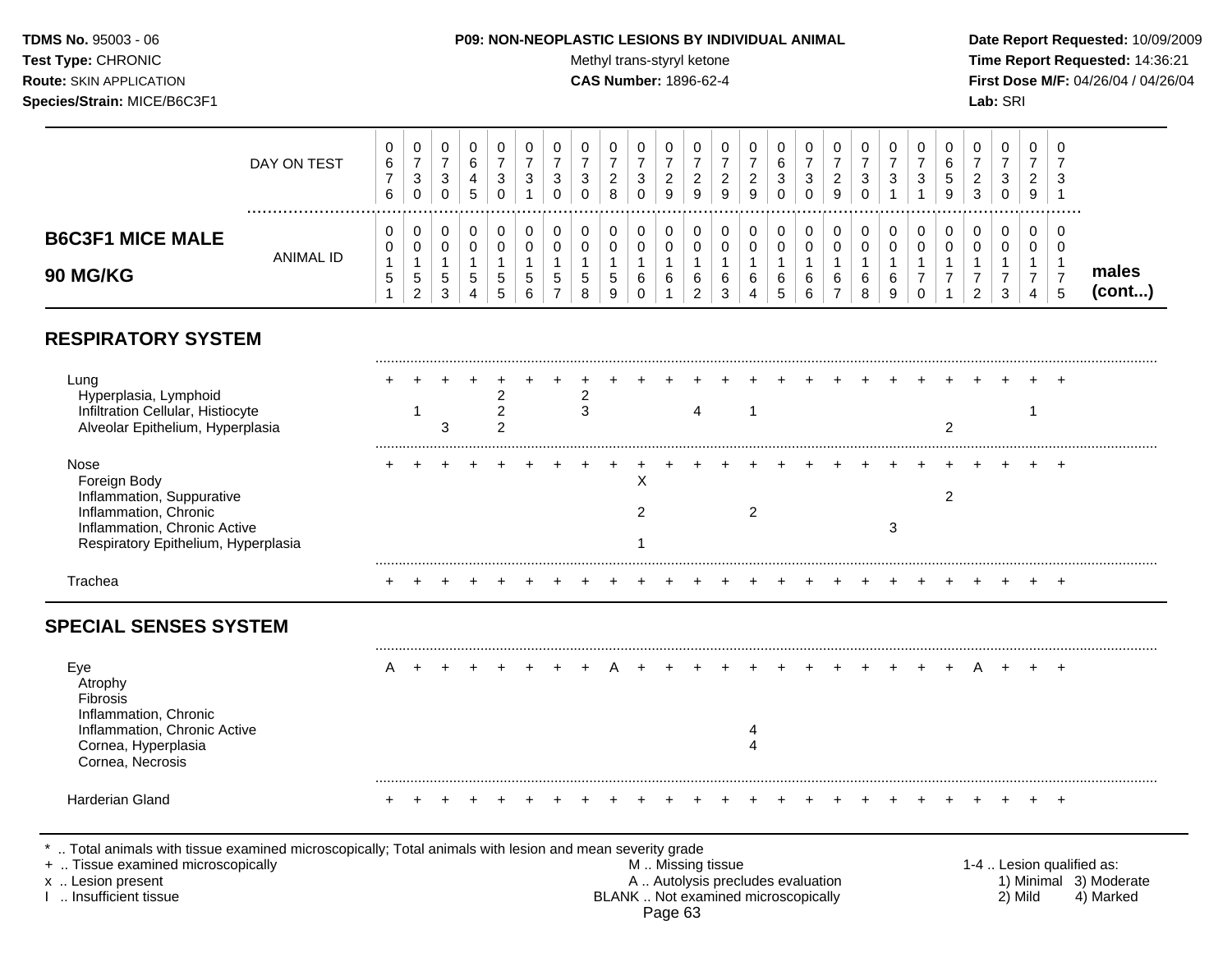# **TDMS No.** 95003 - 06 **P09: NON-NEOPLASTIC LESIONS BY INDIVIDUAL ANIMAL Date Report Requested:** 10/09/2009

Test Type: CHRONIC **Test Type:** CHRONIC **Test Type:** CHRONIC **Time Report Requested:** 14:36:21 **Route:** SKIN APPLICATION **CAS Number:** 1896-62-4 **First Dose M/F:** 04/26/04 / 04/26/04

|                                                                                                                                                                                               | DAY ON TEST      | 0<br>6<br>$\boldsymbol{7}$<br>6             | $\mathbf 0$<br>$\overline{7}$<br>$\sqrt{3}$<br>$\pmb{0}$ | 0<br>$\overline{7}$<br>3<br>$\mathbf 0$             | 0<br>6<br>4<br>5                                                              | 0<br>$\overline{7}$<br>$\sqrt{3}$<br>$\pmb{0}$      | 0<br>$\overline{7}$<br>3<br>$\mathbf{1}$ | $\mathbf 0$<br>$\overline{7}$<br>3<br>$\Omega$        | $\mathbf 0$<br>$\overline{7}$<br>3<br>$\Omega$    | 0<br>$\overline{7}$<br>$\overline{c}$<br>8 | 0<br>$\overline{7}$<br>3<br>$\Omega$                       | $\mathbf 0$<br>$\overline{7}$<br>$\overline{c}$<br>9              | 0<br>$\overline{7}$<br>$\overline{a}$<br>9                                                    | $\mathbf 0$<br>$\overline{7}$<br>$\overline{c}$<br>9 | 0<br>$\overline{7}$<br>$\overline{c}$<br>9                      | 0<br>6<br>3<br>$\Omega$       | 0<br>$\overline{7}$<br>$\mathbf{3}$<br>$\mathsf{O}\xspace$ | 0<br>$\overline{7}$<br>$\overline{c}$<br>9                        | $\mathbf 0$<br>$\overline{7}$<br>3<br>$\Omega$ | $\mathbf 0$<br>$\overline{7}$<br>3<br>$\mathbf{1}$   | 0<br>$\overline{7}$<br>3<br>$\mathbf{1}$                       | 0<br>$\,6\,$<br>$\sqrt{5}$<br>9                           | 0<br>$\overline{7}$<br>$\overline{c}$<br>$\mathfrak{Z}$              | $\mathbf 0$<br>$\overline{7}$<br>3<br>$\mathbf 0$                 | 0<br>$\overline{7}$<br>$\overline{a}$<br>$\boldsymbol{9}$            | $\Omega$<br>$\overline{7}$<br>3<br>$\overline{1}$ |                                                                  |
|-----------------------------------------------------------------------------------------------------------------------------------------------------------------------------------------------|------------------|---------------------------------------------|----------------------------------------------------------|-----------------------------------------------------|-------------------------------------------------------------------------------|-----------------------------------------------------|------------------------------------------|-------------------------------------------------------|---------------------------------------------------|--------------------------------------------|------------------------------------------------------------|-------------------------------------------------------------------|-----------------------------------------------------------------------------------------------|------------------------------------------------------|-----------------------------------------------------------------|-------------------------------|------------------------------------------------------------|-------------------------------------------------------------------|------------------------------------------------|------------------------------------------------------|----------------------------------------------------------------|-----------------------------------------------------------|----------------------------------------------------------------------|-------------------------------------------------------------------|----------------------------------------------------------------------|---------------------------------------------------|------------------------------------------------------------------|
| <b>B6C3F1 MICE MALE</b><br>90 MG/KG                                                                                                                                                           | <b>ANIMAL ID</b> | 0<br>0<br>$\mathbf{1}$<br>5<br>$\mathbf{1}$ | 0<br>0<br>1<br>$\sqrt{5}$<br>$\overline{c}$              | 0<br>$\mathbf 0$<br>$\mathbf{1}$<br>$\sqrt{5}$<br>3 | 0<br>$\mathsf{O}\xspace$<br>$\mathbf{1}$<br>$5\phantom{.0}$<br>$\overline{4}$ | 0<br>$\mathbf 0$<br>$\mathbf{1}$<br>$\sqrt{5}$<br>5 | 0<br>$\mathbf 0$<br>1<br>5<br>6          | $\pmb{0}$<br>0<br>$\mathbf{1}$<br>5<br>$\overline{7}$ | $\pmb{0}$<br>$\mathbf 0$<br>$\mathbf 1$<br>5<br>8 | 0<br>$\mathbf 0$<br>1<br>$\sqrt{5}$<br>9   | $\pmb{0}$<br>$\pmb{0}$<br>$\mathbf{1}$<br>6<br>$\mathbf 0$ | $\mathbf 0$<br>$\mathbf 0$<br>$\overline{1}$<br>6<br>$\mathbf{1}$ | 0<br>0<br>$\mathbf{1}$<br>6<br>$\overline{2}$                                                 | $\pmb{0}$<br>0<br>$\mathbf{1}$<br>6<br>3             | 0<br>$\mathbf 0$<br>$\mathbf{1}$<br>6<br>$\boldsymbol{\Lambda}$ | 0<br>$\pmb{0}$<br>1<br>6<br>5 | 0<br>$\mathsf{O}\xspace$<br>$\mathbf{1}$<br>6<br>6         | $\mathbf 0$<br>$\mathsf 0$<br>$\mathbf{1}$<br>6<br>$\overline{7}$ | 0<br>0<br>$\mathbf{1}$<br>6<br>8               | $\mathbf 0$<br>$\mathbf 0$<br>$\mathbf{1}$<br>6<br>9 | 0<br>$\mathbf 0$<br>$\mathbf{1}$<br>$\overline{7}$<br>$\Omega$ | 0<br>$\mathsf{O}\xspace$<br>$\mathbf 1$<br>$\overline{7}$ | 0<br>$\mathbf 0$<br>$\mathbf{1}$<br>$\overline{7}$<br>$\overline{2}$ | $\pmb{0}$<br>$\mathbf 0$<br>$\overline{1}$<br>$\overline{7}$<br>3 | $\mathbf 0$<br>0<br>$\mathbf{1}$<br>$\overline{7}$<br>$\overline{4}$ | $\mathbf 0$<br>0<br>-1<br>$\overline{7}$<br>5     | males<br>(cont)                                                  |
| <b>RESPIRATORY SYSTEM</b>                                                                                                                                                                     |                  |                                             |                                                          |                                                     |                                                                               |                                                     |                                          |                                                       |                                                   |                                            |                                                            |                                                                   |                                                                                               |                                                      |                                                                 |                               |                                                            |                                                                   |                                                |                                                      |                                                                |                                                           |                                                                      |                                                                   |                                                                      |                                                   |                                                                  |
| Lung<br>Hyperplasia, Lymphoid<br>Infiltration Cellular, Histiocyte<br>Alveolar Epithelium, Hyperplasia                                                                                        |                  |                                             | 1                                                        | 3                                                   |                                                                               | $\overline{2}$<br>$\overline{c}$<br>2               |                                          |                                                       | 2<br>3                                            |                                            |                                                            |                                                                   | 4                                                                                             |                                                      | $\mathbf 1$                                                     |                               |                                                            |                                                                   |                                                |                                                      |                                                                | 2                                                         |                                                                      |                                                                   | $\mathbf{1}$                                                         |                                                   |                                                                  |
| <b>Nose</b><br>Foreign Body<br>Inflammation, Suppurative<br>Inflammation, Chronic<br>Inflammation, Chronic Active<br>Respiratory Epithelium, Hyperplasia                                      |                  |                                             |                                                          |                                                     |                                                                               |                                                     |                                          |                                                       |                                                   |                                            | X<br>2                                                     |                                                                   |                                                                                               |                                                      | 2                                                               |                               |                                                            |                                                                   |                                                | 3                                                    |                                                                | $\overline{2}$                                            |                                                                      |                                                                   |                                                                      |                                                   |                                                                  |
| Trachea                                                                                                                                                                                       |                  |                                             |                                                          |                                                     |                                                                               |                                                     |                                          |                                                       |                                                   |                                            |                                                            |                                                                   |                                                                                               |                                                      |                                                                 |                               |                                                            |                                                                   |                                                |                                                      |                                                                |                                                           |                                                                      |                                                                   |                                                                      | $\div$                                            |                                                                  |
| <b>SPECIAL SENSES SYSTEM</b>                                                                                                                                                                  |                  |                                             |                                                          |                                                     |                                                                               |                                                     |                                          |                                                       |                                                   |                                            |                                                            |                                                                   |                                                                                               |                                                      |                                                                 |                               |                                                            |                                                                   |                                                |                                                      |                                                                |                                                           |                                                                      |                                                                   |                                                                      |                                                   |                                                                  |
| Eye<br>Atrophy<br><b>Fibrosis</b><br>Inflammation, Chronic                                                                                                                                    |                  | А                                           |                                                          |                                                     |                                                                               |                                                     |                                          |                                                       |                                                   |                                            |                                                            |                                                                   |                                                                                               |                                                      |                                                                 |                               |                                                            |                                                                   |                                                |                                                      |                                                                |                                                           |                                                                      |                                                                   |                                                                      |                                                   |                                                                  |
| Inflammation, Chronic Active<br>Cornea, Hyperplasia<br>Cornea, Necrosis                                                                                                                       |                  |                                             |                                                          |                                                     |                                                                               |                                                     |                                          |                                                       |                                                   |                                            |                                                            |                                                                   |                                                                                               |                                                      | $\overline{4}$<br>$\boldsymbol{\Lambda}$                        |                               |                                                            |                                                                   |                                                |                                                      |                                                                |                                                           |                                                                      |                                                                   |                                                                      |                                                   |                                                                  |
| <b>Harderian Gland</b>                                                                                                                                                                        |                  |                                             |                                                          |                                                     |                                                                               |                                                     |                                          |                                                       |                                                   |                                            |                                                            |                                                                   |                                                                                               |                                                      |                                                                 |                               |                                                            |                                                                   |                                                |                                                      |                                                                |                                                           |                                                                      |                                                                   |                                                                      |                                                   |                                                                  |
| *  Total animals with tissue examined microscopically; Total animals with lesion and mean severity grade<br>+  Tissue examined microscopically<br>x  Lesion present<br>1  Insufficient tissue |                  |                                             |                                                          |                                                     |                                                                               |                                                     |                                          |                                                       |                                                   |                                            |                                                            | Page 63                                                           | M. Missing tissue<br>A  Autolysis precludes evaluation<br>BLANK  Not examined microscopically |                                                      |                                                                 |                               |                                                            |                                                                   |                                                |                                                      |                                                                |                                                           |                                                                      |                                                                   | 2) Mild                                                              |                                                   | 1-4  Lesion qualified as:<br>1) Minimal 3) Moderate<br>4) Marked |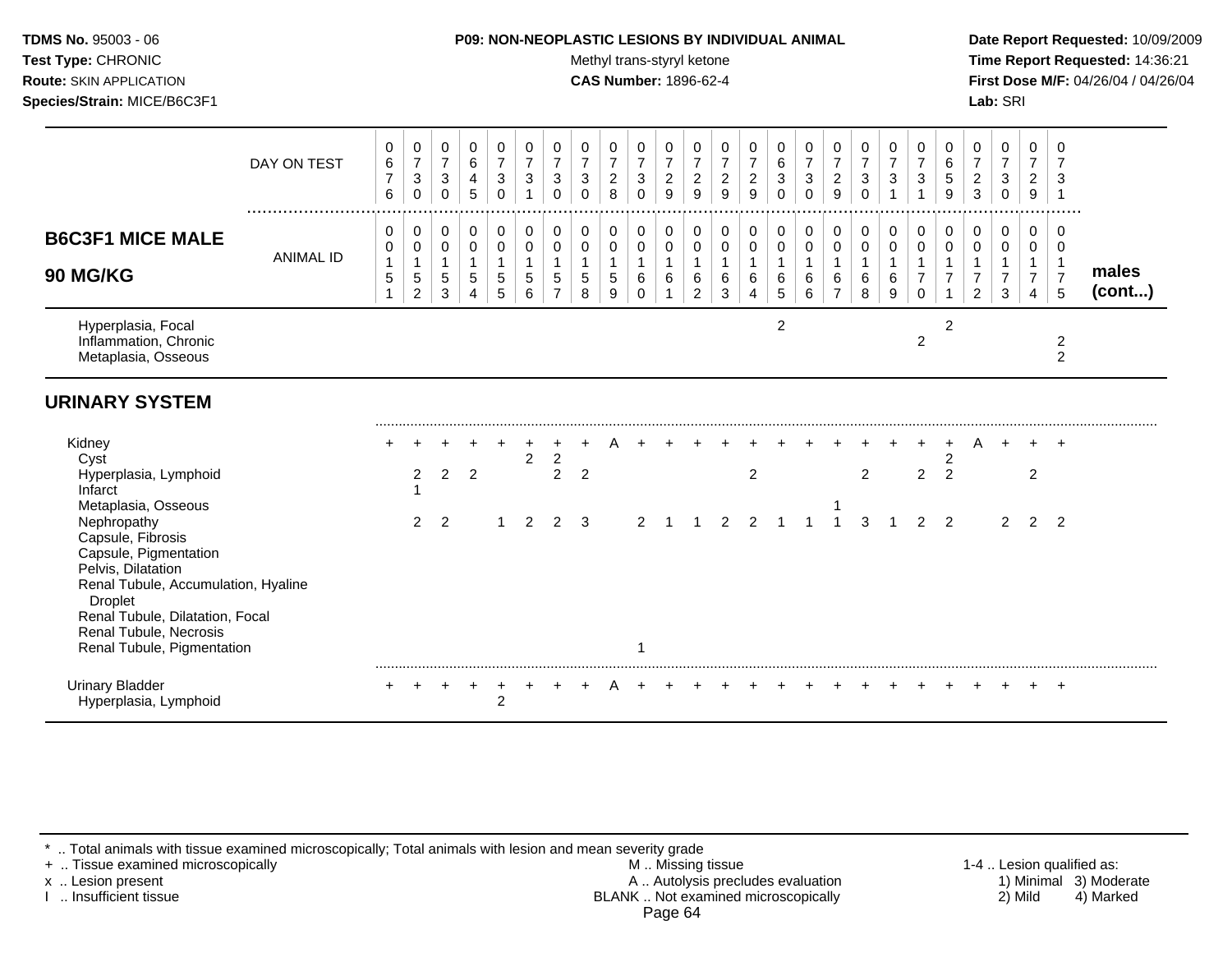| <b>TDMS No. 95003 - 06</b>     | <b>P09: NON-NEOPLASTIC LESIONS BY INDIVIDUAL ANIMAL</b> | Date Rep         |
|--------------------------------|---------------------------------------------------------|------------------|
| <b>Test Type: CHRONIC</b>      | Methyl trans-styryl ketone                              | <b>Time Re</b>   |
| <b>Route: SKIN APPLICATION</b> | <b>CAS Number: 1896-62-4</b>                            | <b>First Dos</b> |
| Species/Strain: MICE/B6C3F1    |                                                         | <b>Lab:</b> SRI  |

## **P09: NON-NEOPLASTIC LESIONS BY INDIVIDUAL ANIMAL Date Report Requested:** 10/09/2009

**Methyl trans-styryl ketone Time Report Requested:** 14:36:21 **CAS Number:** 1896-62-4 **First Dose M/F:** 04/26/04 / 04/26/04

|                                                                                                                                                                                                                                     | DAY ON TEST      | 0<br>$\,6\,$<br>$\overline{7}$<br>6   | 0<br>$\overline{7}$<br>$\sqrt{3}$<br>0                         | 0<br>$\overline{7}$<br>$\mathbf{3}$<br>$\mathbf 0$ | 0<br>$\,6\,$<br>$\overline{4}$<br>5                         | 0<br>$\overline{7}$<br>$\sqrt{3}$<br>$\mathbf 0$    | 0<br>$\overline{7}$<br>$\ensuremath{\mathsf{3}}$<br>1 | 0<br>$\overline{7}$<br>$\mathbf{3}$<br>$\mathbf 0$ | 0<br>$\overline{7}$<br>$\mathbf{3}$<br>$\Omega$ | 0<br>$\overline{7}$<br>$\overline{c}$<br>8 | 0<br>$\overline{7}$<br>$\mathbf{3}$<br>$\Omega$ | 0<br>$\overline{7}$<br>$\overline{c}$<br>9    | 0<br>$\overline{7}$<br>$\sqrt{2}$<br>9                            | 0<br>$\overline{7}$<br>$\overline{c}$<br>9       | 0<br>$\boldsymbol{7}$<br>$\overline{c}$<br>9 | 0<br>$\,6\,$<br>$\sqrt{3}$<br>$\Omega$   | 0<br>$\overline{7}$<br>$\ensuremath{\mathsf{3}}$<br>$\mathbf 0$ | 0<br>$\boldsymbol{7}$<br>$\overline{c}$<br>$\overline{9}$       | 0<br>$\overline{7}$<br>$\ensuremath{\mathsf{3}}$<br>$\Omega$ | 0<br>$\overline{7}$<br>$\sqrt{3}$          | 0<br>$\overline{7}$<br>3          | 0<br>$\,6\,$<br>5<br>9 | 0<br>$\overline{7}$<br>$\overline{c}$<br>3 | 0<br>$\overline{7}$<br>3<br>$\mathbf 0$  | 0<br>$\boldsymbol{7}$<br>$\overline{a}$<br>9                    | 0<br>$\overline{7}$<br>3                                  |                 |
|-------------------------------------------------------------------------------------------------------------------------------------------------------------------------------------------------------------------------------------|------------------|---------------------------------------|----------------------------------------------------------------|----------------------------------------------------|-------------------------------------------------------------|-----------------------------------------------------|-------------------------------------------------------|----------------------------------------------------|-------------------------------------------------|--------------------------------------------|-------------------------------------------------|-----------------------------------------------|-------------------------------------------------------------------|--------------------------------------------------|----------------------------------------------|------------------------------------------|-----------------------------------------------------------------|-----------------------------------------------------------------|--------------------------------------------------------------|--------------------------------------------|-----------------------------------|------------------------|--------------------------------------------|------------------------------------------|-----------------------------------------------------------------|-----------------------------------------------------------|-----------------|
| <b>B6C3F1 MICE MALE</b><br><b>90 MG/KG</b>                                                                                                                                                                                          | <b>ANIMAL ID</b> | 0<br>0<br>$\mathbf{1}$<br>$\,$ 5 $\,$ | 0<br>$\pmb{0}$<br>$\mathbf{1}$<br>$\sqrt{5}$<br>$\overline{c}$ | 0<br>$\pmb{0}$<br>$\mathbf{1}$<br>5<br>3           | 0<br>$\mathsf{O}\xspace$<br>$\mathbf{1}$<br>$\sqrt{5}$<br>4 | 0<br>$\pmb{0}$<br>$\overline{1}$<br>$\sqrt{5}$<br>5 | 0<br>$\mathbf 0$<br>$\mathbf{1}$<br>5<br>6            | 0<br>$\mathbf 0$<br>5<br>$\overline{7}$            | 0<br>$\mathbf 0$<br>$\mathbf{1}$<br>5<br>8      | 0<br>$\pmb{0}$<br>5<br>9                   | 0<br>$\pmb{0}$<br>$\mathbf{1}$<br>6<br>$\Omega$ | 0<br>$\mathsf{O}\xspace$<br>$\mathbf{1}$<br>6 | 0<br>$\mathsf{O}\xspace$<br>$\overline{1}$<br>6<br>$\overline{2}$ | 0<br>$\mathbf 0$<br>$\mathbf{1}$<br>$\,6\,$<br>3 | 0<br>$\pmb{0}$<br>$\mathbf{1}$<br>6<br>4     | 0<br>$\pmb{0}$<br>$\mathbf{1}$<br>6<br>5 | 0<br>$\pmb{0}$<br>$\mathbf{1}$<br>6<br>$6\phantom{1}$           | 0<br>$\mathsf{O}\xspace$<br>$\mathbf{1}$<br>6<br>$\overline{7}$ | 0<br>$\mathbf 0$<br>$\mathbf{1}$<br>6<br>8                   | 0<br>$\mathbf 0$<br>$\mathbf{1}$<br>6<br>9 | 0<br>$\mathbf 0$<br>7<br>$\Omega$ | 0<br>$\mathbf 0$       | 0<br>$\pmb{0}$<br>$\overline{c}$           | 0<br>$\mathsf{O}$<br>$\overline{7}$<br>3 | 0<br>$\mathsf{O}\xspace$<br>$\mathbf{1}$<br>$\overline{7}$<br>4 | 0<br>$\mathbf 0$<br>$\overline{1}$<br>$\overline{7}$<br>5 | males<br>(cont) |
| Hyperplasia, Focal<br>Inflammation, Chronic<br>Metaplasia, Osseous                                                                                                                                                                  |                  |                                       |                                                                |                                                    |                                                             |                                                     |                                                       |                                                    |                                                 |                                            |                                                 |                                               |                                                                   |                                                  |                                              | $\overline{2}$                           |                                                                 |                                                                 |                                                              |                                            | $\overline{c}$                    | $\overline{2}$         |                                            |                                          |                                                                 | $\overline{c}$<br>$\overline{2}$                          |                 |
| <b>URINARY SYSTEM</b>                                                                                                                                                                                                               |                  |                                       |                                                                |                                                    |                                                             |                                                     |                                                       |                                                    |                                                 |                                            |                                                 |                                               |                                                                   |                                                  |                                              |                                          |                                                                 |                                                                 |                                                              |                                            |                                   |                        |                                            |                                          |                                                                 |                                                           |                 |
| Kidney<br>Cyst<br>Hyperplasia, Lymphoid<br>Infarct<br>Metaplasia, Osseous                                                                                                                                                           |                  |                                       | $\overline{2}$                                                 | 2                                                  | $\overline{2}$                                              |                                                     | $\overline{c}$                                        | $\overline{c}$<br>2                                | $\overline{2}$                                  |                                            |                                                 |                                               |                                                                   |                                                  | $\overline{c}$                               |                                          |                                                                 |                                                                 | 2                                                            |                                            | 2                                 | $\overline{2}$<br>2    |                                            |                                          | 2                                                               |                                                           |                 |
| Nephropathy<br>Capsule, Fibrosis<br>Capsule, Pigmentation<br>Pelvis, Dilatation<br>Renal Tubule, Accumulation, Hyaline<br><b>Droplet</b><br>Renal Tubule, Dilatation, Focal<br>Renal Tubule, Necrosis<br>Renal Tubule, Pigmentation |                  |                                       | $\overline{2}$                                                 | $\overline{2}$                                     |                                                             |                                                     | $\overline{2}$                                        | 2                                                  | 3                                               |                                            | 2                                               |                                               |                                                                   | 2                                                | $\mathcal{P}$                                |                                          |                                                                 |                                                                 | 3                                                            |                                            | $\mathfrak{p}$                    | $\mathcal{P}$          |                                            | 2                                        | 2                                                               | $\overline{2}$                                            |                 |
| <b>Urinary Bladder</b><br>Hyperplasia, Lymphoid                                                                                                                                                                                     |                  |                                       |                                                                |                                                    |                                                             | 2                                                   |                                                       |                                                    |                                                 |                                            |                                                 |                                               |                                                                   |                                                  |                                              |                                          |                                                                 |                                                                 |                                                              |                                            |                                   |                        |                                            |                                          |                                                                 | $+$                                                       |                 |

\* .. Total animals with tissue examined microscopically; Total animals with lesion and mean severity grade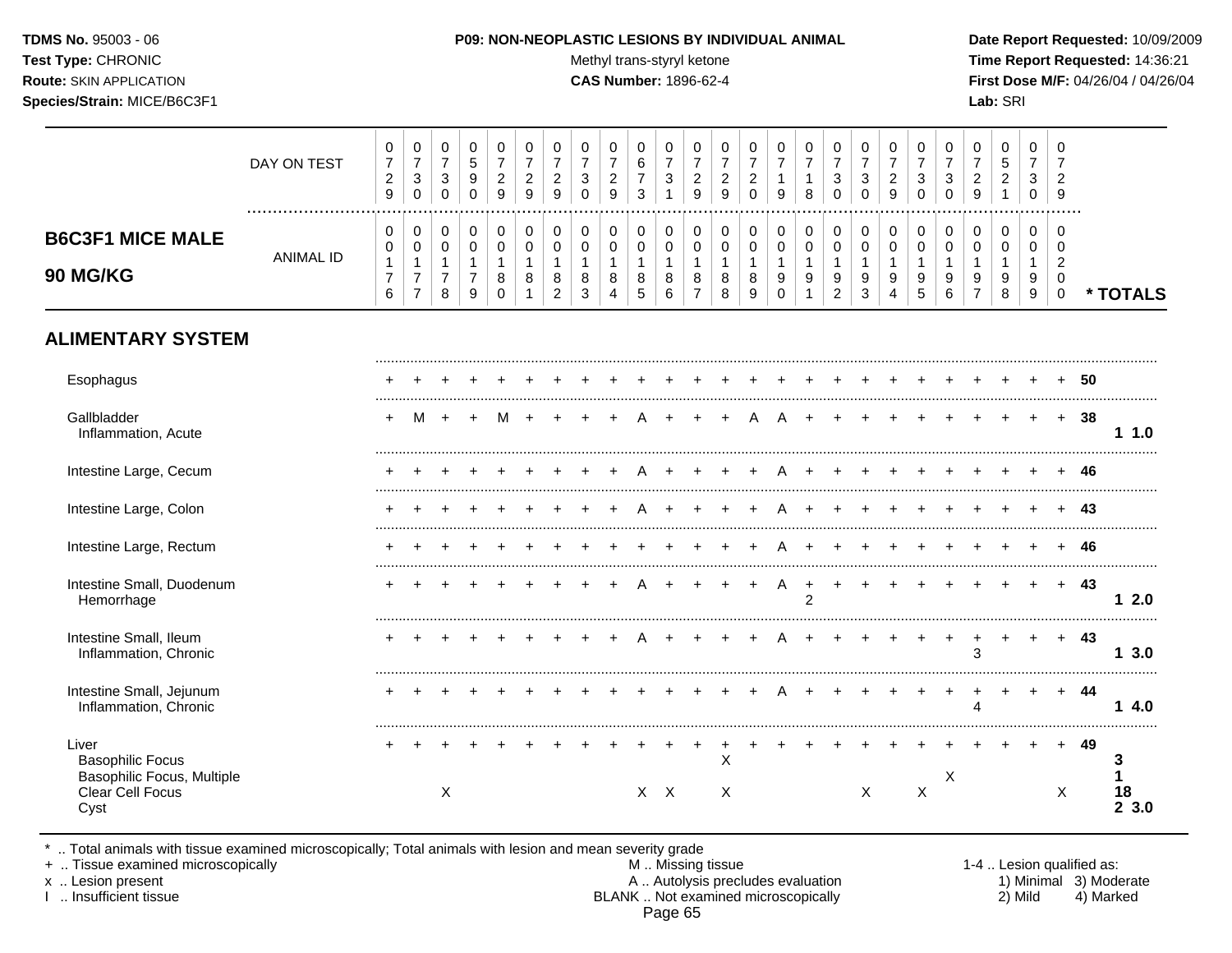#### **TDMS No.** 95003 - 06 **P09: NON-NEOPLASTIC LESIONS BY INDIVIDUAL ANIMAL Date Report Requested:** 10/09/2009

Test Type: CHRONIC **Test Type:** CHRONIC **Test Type:** CHRONIC **Time Report Requested:** 14:36:21 **Route:** SKIN APPLICATION **CAS Number:** 1896-62-4 **First Dose M/F:** 04/26/04 / 04/26/04

|                                                                                            | DAY ON TEST      | 0<br>$\overline{7}$<br>$\overline{c}$<br>$\boldsymbol{9}$ | 0<br>$\overline{7}$<br>$\ensuremath{\mathsf{3}}$<br>$\mathbf 0$        | 0<br>$\overline{7}$<br>$\ensuremath{\mathsf{3}}$<br>0 | 0<br>$\sqrt{5}$<br>$9\,$<br>$\mathbf 0$                 | 0<br>$\overline{7}$<br>$\overline{c}$<br>9           | $\mathbf 0$<br>$\overline{7}$<br>$\boldsymbol{2}$<br>9 | 0<br>$\overline{7}$<br>$\overline{c}$<br>9              | 0<br>$\overline{7}$<br>$\ensuremath{\mathsf{3}}$<br>$\Omega$ | 0<br>$\overline{7}$<br>$\boldsymbol{2}$<br>9 | 0<br>$\,6\,$<br>$\boldsymbol{7}$<br>3 | 0<br>$\overline{7}$<br>$\sqrt{3}$<br>$\mathbf{1}$ | 0<br>$\overline{7}$<br>$\overline{c}$<br>9              | 0<br>$\overline{7}$<br>$\sqrt{2}$<br>9     | 0<br>$\overline{7}$<br>$\boldsymbol{2}$<br>$\mathbf 0$ | 0<br>$\overline{7}$<br>$\mathbf{1}$<br>9                            | 0<br>$\overline{7}$<br>$\mathbf{1}$<br>8    | 0<br>$\overline{7}$<br>$\ensuremath{\mathsf{3}}$<br>0   | 0<br>$\overline{7}$<br>$\sqrt{3}$<br>$\Omega$            | 0<br>$\overline{7}$<br>$\overline{c}$<br>9 | 0<br>$\overline{7}$<br>$\ensuremath{\mathsf{3}}$<br>$\mathbf 0$ | 0<br>$\overline{7}$<br>$\ensuremath{\mathsf{3}}$<br>$\Omega$ | 0<br>$\overline{7}$<br>$\overline{c}$<br>9              | 0<br>$\sqrt{5}$<br>$\boldsymbol{2}$<br>$\overline{1}$ | 0<br>$\overline{7}$<br>$\mathbf{3}$<br>0   | $\Omega$<br>7<br>$\overline{2}$<br>9                       |     |                 |
|--------------------------------------------------------------------------------------------|------------------|-----------------------------------------------------------|------------------------------------------------------------------------|-------------------------------------------------------|---------------------------------------------------------|------------------------------------------------------|--------------------------------------------------------|---------------------------------------------------------|--------------------------------------------------------------|----------------------------------------------|---------------------------------------|---------------------------------------------------|---------------------------------------------------------|--------------------------------------------|--------------------------------------------------------|---------------------------------------------------------------------|---------------------------------------------|---------------------------------------------------------|----------------------------------------------------------|--------------------------------------------|-----------------------------------------------------------------|--------------------------------------------------------------|---------------------------------------------------------|-------------------------------------------------------|--------------------------------------------|------------------------------------------------------------|-----|-----------------|
| <b>B6C3F1 MICE MALE</b><br>90 MG/KG                                                        | <b>ANIMAL ID</b> | 0<br>$\mathbf 0$<br>$\mathbf{1}$<br>$\overline{7}$<br>6   | 0<br>$\mathbf 0$<br>$\mathbf{1}$<br>$\boldsymbol{7}$<br>$\overline{7}$ | 0<br>0<br>$\mathbf{1}$<br>$\boldsymbol{7}$<br>8       | 0<br>$\pmb{0}$<br>$\mathbf{1}$<br>$\boldsymbol{7}$<br>9 | 0<br>$\mathbf 0$<br>$\mathbf{1}$<br>8<br>$\mathbf 0$ | 0<br>$\Omega$<br>$\mathbf{1}$<br>8<br>-1               | 0<br>$\mathbf 0$<br>$\mathbf{1}$<br>8<br>$\overline{c}$ | 0<br>$\mathbf 0$<br>$\mathbf{1}$<br>8<br>3                   | 0<br>$\mathbf 0$<br>$\mathbf{1}$<br>8<br>4   | 0<br>0<br>$\mathbf{1}$<br>8<br>5      | 0<br>$\mathbf 0$<br>$\mathbf{1}$<br>8<br>6        | 0<br>$\mathbf 0$<br>$\mathbf{1}$<br>8<br>$\overline{7}$ | 0<br>$\mathbf 0$<br>$\mathbf{1}$<br>8<br>8 | 0<br>$\mathbf 0$<br>$\mathbf{1}$<br>8<br>9             | 0<br>$\mathbf 0$<br>$\mathbf{1}$<br>$\boldsymbol{9}$<br>$\mathbf 0$ | 0<br>0<br>$\mathbf{1}$<br>9<br>$\mathbf{1}$ | 0<br>$\mathbf 0$<br>$\mathbf{1}$<br>9<br>$\overline{2}$ | 0<br>$\mathsf{O}\xspace$<br>$\overline{1}$<br>$9\,$<br>3 | 0<br>$\mathbf 0$<br>$\mathbf{1}$<br>9<br>4 | 0<br>$\mathbf 0$<br>$\mathbf{1}$<br>9<br>$\sqrt{5}$             | 0<br>$\mathbf 0$<br>$\mathbf{1}$<br>9<br>6                   | 0<br>$\mathbf 0$<br>$\mathbf{1}$<br>9<br>$\overline{7}$ | 0<br>$\mathbf 0$<br>$\overline{1}$<br>9<br>8          | 0<br>$\mathbf 0$<br>$\mathbf{1}$<br>9<br>9 | $\Omega$<br>$\Omega$<br>$\overline{c}$<br>0<br>$\mathbf 0$ |     | * TOTALS        |
| <b>ALIMENTARY SYSTEM</b>                                                                   |                  |                                                           |                                                                        |                                                       |                                                         |                                                      |                                                        |                                                         |                                                              |                                              |                                       |                                                   |                                                         |                                            |                                                        |                                                                     |                                             |                                                         |                                                          |                                            |                                                                 |                                                              |                                                         |                                                       |                                            |                                                            |     |                 |
| Esophagus                                                                                  |                  |                                                           |                                                                        |                                                       |                                                         |                                                      |                                                        |                                                         |                                                              |                                              |                                       |                                                   |                                                         |                                            |                                                        |                                                                     |                                             |                                                         |                                                          |                                            |                                                                 |                                                              |                                                         |                                                       |                                            |                                                            | 50  |                 |
| Gallbladder<br>Inflammation, Acute                                                         |                  | ÷                                                         | M                                                                      | $\pm$                                                 | $\ddot{}$                                               | м                                                    |                                                        |                                                         |                                                              |                                              |                                       |                                                   |                                                         |                                            |                                                        |                                                                     |                                             |                                                         |                                                          |                                            |                                                                 |                                                              |                                                         |                                                       | $\ddot{}$                                  | $+$                                                        | 38  | 11.0            |
| Intestine Large, Cecum                                                                     |                  |                                                           |                                                                        |                                                       |                                                         |                                                      |                                                        |                                                         |                                                              |                                              |                                       |                                                   |                                                         |                                            |                                                        |                                                                     |                                             |                                                         |                                                          |                                            |                                                                 |                                                              |                                                         |                                                       |                                            |                                                            | -46 |                 |
| Intestine Large, Colon                                                                     |                  |                                                           |                                                                        |                                                       |                                                         |                                                      |                                                        |                                                         |                                                              |                                              |                                       |                                                   |                                                         |                                            |                                                        |                                                                     |                                             |                                                         |                                                          |                                            |                                                                 |                                                              |                                                         |                                                       |                                            |                                                            | -43 |                 |
| Intestine Large, Rectum                                                                    |                  |                                                           |                                                                        |                                                       |                                                         |                                                      |                                                        |                                                         |                                                              |                                              |                                       |                                                   |                                                         |                                            |                                                        |                                                                     |                                             |                                                         |                                                          |                                            |                                                                 |                                                              |                                                         |                                                       |                                            |                                                            | 46  |                 |
| Intestine Small, Duodenum<br>Hemorrhage                                                    |                  |                                                           |                                                                        |                                                       |                                                         |                                                      |                                                        |                                                         |                                                              |                                              |                                       |                                                   |                                                         |                                            |                                                        | A                                                                   | $\ddot{}$<br>$\overline{2}$                 | $\ddot{}$                                               |                                                          |                                            |                                                                 |                                                              |                                                         |                                                       |                                            | $+$                                                        | 43  | 12.0            |
| Intestine Small, Ileum<br>Inflammation, Chronic                                            |                  |                                                           |                                                                        |                                                       |                                                         |                                                      |                                                        |                                                         |                                                              |                                              |                                       |                                                   |                                                         |                                            |                                                        |                                                                     |                                             |                                                         |                                                          |                                            |                                                                 |                                                              | $\ddot{}$<br>3                                          | $\ddot{}$                                             | $+$                                        | $+$                                                        | -43 | 13.0            |
| Intestine Small, Jejunum<br>Inflammation, Chronic                                          |                  |                                                           |                                                                        |                                                       |                                                         |                                                      |                                                        |                                                         |                                                              |                                              |                                       |                                                   |                                                         |                                            |                                                        |                                                                     |                                             |                                                         |                                                          |                                            |                                                                 |                                                              | $\overline{+}$<br>$\boldsymbol{\Lambda}$                | $\ddot{}$                                             | $+$                                        | $+$                                                        | -44 | 14.0            |
| Liver<br><b>Basophilic Focus</b><br>Basophilic Focus, Multiple<br>Clear Cell Focus<br>Cyst |                  |                                                           |                                                                        | X                                                     |                                                         |                                                      |                                                        |                                                         |                                                              |                                              |                                       | $X$ $X$                                           |                                                         | X<br>X                                     |                                                        |                                                                     |                                             |                                                         | X                                                        |                                            | $\mathsf X$                                                     | X                                                            |                                                         |                                                       |                                            | X                                                          | 49  | 3<br>18<br>23.0 |

\* .. Total animals with tissue examined microscopically; Total animals with lesion and mean severity grade

+ .. Tissue examined microscopically M .. Missing tissue 1-4 .. Lesion qualified as: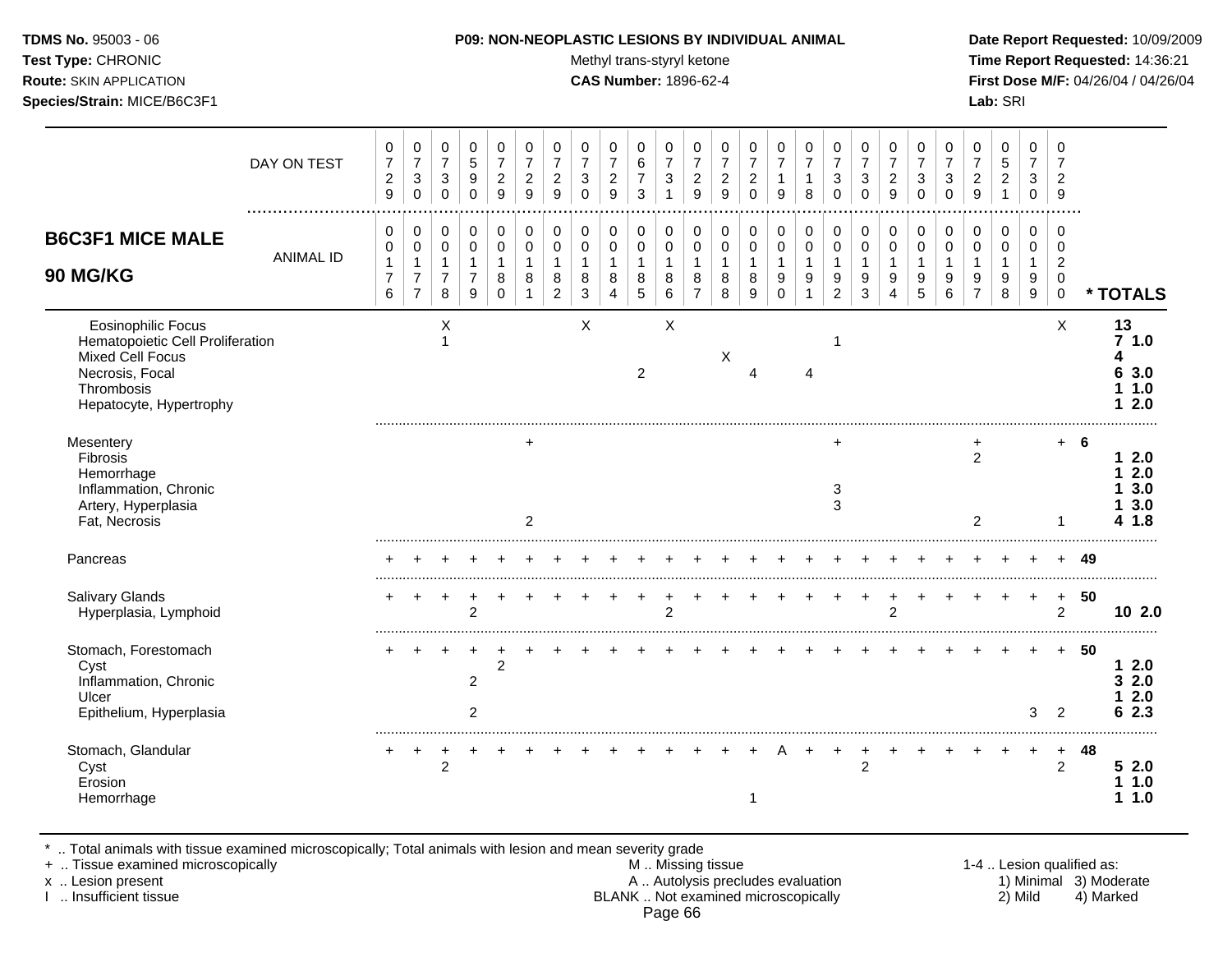#### **TDMS No.** 95003 - 06 **P09: NON-NEOPLASTIC LESIONS BY INDIVIDUAL ANIMAL Date Report Requested:** 10/09/2009

Test Type: CHRONIC **Test Type:** CHRONIC **Test Type:** CHRONIC **Time Report Requested:** 14:36:21 **Route:** SKIN APPLICATION **CAS Number:** 1896-62-4 **First Dose M/F:** 04/26/04 / 04/26/04

|                                                                                                                                        | DAY ON TEST<br>  | 0<br>$\boldsymbol{7}$<br>$\overline{2}$<br>$\boldsymbol{9}$ | 0<br>$\overline{7}$<br>$\ensuremath{\mathsf{3}}$<br>$\mathsf{O}\xspace$ | 0<br>$\overline{7}$<br>$\sqrt{3}$<br>$\mathbf 0$        | 0<br>$\sqrt{5}$<br>$\boldsymbol{9}$<br>$\mathbf 0$                   | 0<br>$\overline{7}$<br>$\boldsymbol{2}$<br>9         | 0<br>$\overline{7}$<br>$\boldsymbol{2}$<br>9        | 0<br>$\overline{7}$<br>$\sqrt{2}$<br>9                  | 0<br>$\overline{7}$<br>$\mathbf{3}$<br>$\Omega$            | 0<br>$\boldsymbol{7}$<br>$\overline{c}$<br>9 | 0<br>$\,6$<br>$\overline{7}$<br>3         | 0<br>$\overline{7}$<br>3<br>1    | 0<br>$\overline{7}$<br>$\sqrt{2}$<br>9                  | 0<br>$\overline{7}$<br>$\overline{c}$<br>9 | 0<br>$\overline{7}$<br>$\boldsymbol{2}$<br>$\mathbf 0$ | 0<br>$\overline{7}$<br>$\mathbf{1}$<br>9              | 0<br>$\boldsymbol{7}$<br>$\mathbf{1}$<br>8                    | 0<br>$\overline{7}$<br>$\sqrt{3}$<br>$\mathbf 0$      | 0<br>$\overline{7}$<br>$\mathbf{3}$<br>$\mathbf 0$ | 0<br>$\overline{7}$<br>$\boldsymbol{2}$<br>9 | 0<br>$\overline{7}$<br>$\sqrt{3}$<br>$\mathbf 0$ | 0<br>$\overline{7}$<br>$\mathbf{3}$<br>$\mathbf 0$      | 0<br>$\overline{7}$<br>$\boldsymbol{2}$<br>$\boldsymbol{9}$ | 0<br>$\sqrt{5}$<br>$\overline{c}$<br>$\mathbf{1}$ | 0<br>$\overline{7}$<br>$\mathbf{3}$<br>0        | $\Omega$<br>7<br>$\overline{2}$<br>9                                    |      |                                          |
|----------------------------------------------------------------------------------------------------------------------------------------|------------------|-------------------------------------------------------------|-------------------------------------------------------------------------|---------------------------------------------------------|----------------------------------------------------------------------|------------------------------------------------------|-----------------------------------------------------|---------------------------------------------------------|------------------------------------------------------------|----------------------------------------------|-------------------------------------------|----------------------------------|---------------------------------------------------------|--------------------------------------------|--------------------------------------------------------|-------------------------------------------------------|---------------------------------------------------------------|-------------------------------------------------------|----------------------------------------------------|----------------------------------------------|--------------------------------------------------|---------------------------------------------------------|-------------------------------------------------------------|---------------------------------------------------|-------------------------------------------------|-------------------------------------------------------------------------|------|------------------------------------------|
| <b>B6C3F1 MICE MALE</b><br>90 MG/KG                                                                                                    | <b>ANIMAL ID</b> | 0<br>0<br>$\mathbf{1}$<br>$\overline{7}$<br>$6\phantom{a}$  | 0<br>$\mathbf 0$<br>$\overline{1}$<br>$\overline{7}$<br>$\overline{7}$  | 0<br>$\mathbf 0$<br>$\mathbf{1}$<br>$\overline{7}$<br>8 | 0<br>$\pmb{0}$<br>$\mathbf{1}$<br>$\overline{7}$<br>$\boldsymbol{9}$ | 0<br>$\mathbf 0$<br>$\mathbf{1}$<br>8<br>$\mathbf 0$ | 0<br>$\pmb{0}$<br>$\mathbf{1}$<br>8<br>$\mathbf{1}$ | 0<br>$\mathbf 0$<br>$\mathbf{1}$<br>8<br>$\overline{2}$ | 0<br>$\mathbf 0$<br>$\mathbf{1}$<br>$\bf8$<br>$\mathbf{3}$ | 0<br>$\mathbf 0$<br>$\mathbf{1}$<br>8<br>4   | 0<br>0<br>$\mathbf{1}$<br>8<br>$\sqrt{5}$ | 0<br>0<br>$\mathbf{1}$<br>8<br>6 | 0<br>$\pmb{0}$<br>$\overline{1}$<br>8<br>$\overline{7}$ | 0<br>$\mathbf 0$<br>$\mathbf{1}$<br>8<br>8 | 0<br>$\mathbf 0$<br>$\mathbf{1}$<br>8<br>9             | 0<br>$\mathsf{O}$<br>$\mathbf{1}$<br>9<br>$\mathbf 0$ | 0<br>$\mathsf{O}\xspace$<br>$\mathbf{1}$<br>9<br>$\mathbf{1}$ | 0<br>$\pmb{0}$<br>$\mathbf{1}$<br>9<br>$\overline{c}$ | 0<br>$\pmb{0}$<br>$\mathbf{1}$<br>9<br>3           | 0<br>$\pmb{0}$<br>$\mathbf{1}$<br>9<br>4     | 0<br>$\mathbf 0$<br>$\mathbf{1}$<br>9<br>5       | 0<br>$\pmb{0}$<br>$\mathbf{1}$<br>$\boldsymbol{9}$<br>6 | 0<br>$\mathbf 0$<br>$\mathbf{1}$<br>9<br>$\overline{7}$     | 0<br>$\mathbf 0$<br>$\mathbf 1$<br>9<br>8         | 0<br>0<br>$\mathbf{1}$<br>9<br>$\boldsymbol{9}$ | $\Omega$<br>$\mathbf 0$<br>$\overline{2}$<br>$\mathbf 0$<br>$\mathbf 0$ |      | * TOTALS                                 |
| Eosinophilic Focus<br>Hematopoietic Cell Proliferation<br>Mixed Cell Focus<br>Necrosis, Focal<br>Thrombosis<br>Hepatocyte, Hypertrophy |                  |                                                             |                                                                         | X<br>$\mathbf{1}$                                       |                                                                      |                                                      |                                                     |                                                         | X                                                          |                                              | $\overline{2}$                            | Χ                                |                                                         | X                                          | 4                                                      |                                                       |                                                               | $\mathbf{1}$                                          |                                                    |                                              |                                                  |                                                         |                                                             |                                                   |                                                 | X                                                                       |      | 13<br>71.0<br>6 3.0<br>1.0<br>2.0        |
| Mesentery<br>Fibrosis<br>Hemorrhage<br>Inflammation, Chronic<br>Artery, Hyperplasia<br>Fat, Necrosis                                   |                  |                                                             |                                                                         |                                                         |                                                                      |                                                      | $\ddot{}$<br>$\overline{c}$                         |                                                         |                                                            |                                              |                                           |                                  |                                                         |                                            |                                                        |                                                       |                                                               | 3<br>3                                                |                                                    |                                              |                                                  |                                                         | $\ddot{}$<br>$\overline{2}$<br>2                            |                                                   |                                                 | $+ 6$<br>1                                                              |      | 2.0<br>1.<br>2.0<br>3.0<br>3.0<br>1.8    |
| Pancreas                                                                                                                               |                  |                                                             |                                                                         |                                                         |                                                                      |                                                      |                                                     |                                                         |                                                            |                                              |                                           |                                  |                                                         |                                            |                                                        |                                                       |                                                               |                                                       |                                                    |                                              |                                                  |                                                         |                                                             |                                                   |                                                 | $+$                                                                     | 49   |                                          |
| Salivary Glands<br>Hyperplasia, Lymphoid                                                                                               |                  | $\pm$                                                       |                                                                         |                                                         | $\overline{2}$                                                       |                                                      |                                                     |                                                         |                                                            |                                              |                                           | $\overline{c}$                   |                                                         |                                            |                                                        |                                                       |                                                               |                                                       |                                                    | $\overline{c}$                               |                                                  |                                                         |                                                             |                                                   | $\ddot{}$                                       | $+$<br>$\overline{2}$                                                   | 50   | 102.0                                    |
| Stomach, Forestomach<br>Cyst<br>Inflammation, Chronic<br>Ulcer<br>Epithelium, Hyperplasia                                              |                  |                                                             |                                                                         |                                                         | 2<br>$\overline{2}$                                                  | $\overline{c}$                                       |                                                     |                                                         |                                                            |                                              |                                           |                                  |                                                         |                                            |                                                        |                                                       |                                                               |                                                       |                                                    |                                              |                                                  |                                                         |                                                             |                                                   | 3                                               | $+$<br>$\overline{2}$                                                   | - 50 | 2.0<br>1.<br>2.0<br>3<br>2.0<br>2.3<br>6 |
| Stomach, Glandular<br>Cyst<br>Erosion<br>Hemorrhage                                                                                    |                  |                                                             |                                                                         | 2                                                       |                                                                      |                                                      |                                                     |                                                         |                                                            |                                              |                                           |                                  |                                                         |                                            |                                                        |                                                       |                                                               |                                                       | 2                                                  |                                              |                                                  |                                                         |                                                             |                                                   |                                                 | $\ddot{}$<br>$\overline{2}$                                             | 48   | 52.0<br>1.0<br>1.0                       |

\* .. Total animals with tissue examined microscopically; Total animals with lesion and mean severity grade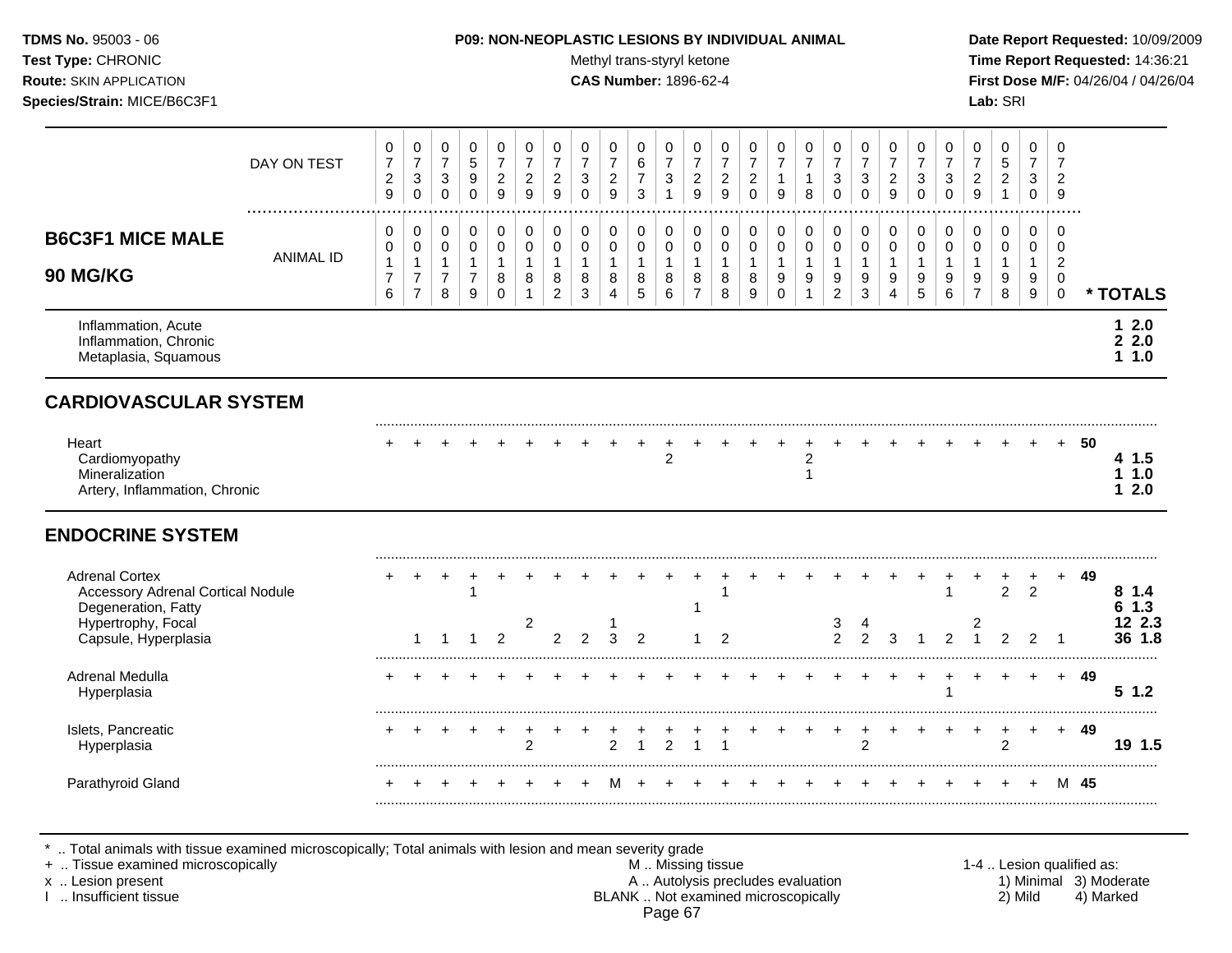#### **TDMS No.** 95003 - 06 **P09: NON-NEOPLASTIC LESIONS BY INDIVIDUAL ANIMAL Date Report Requested:** 10/09/2009

Test Type: CHRONIC **Test Type:** CHRONIC **Test Type:** CHRONIC **Time Report Requested:** 14:36:21 **Route:** SKIN APPLICATION **CAS Number:** 1896-62-4 **First Dose M/F:** 04/26/04 / 04/26/04

|                                                                                          | DAY ON TEST      | 0<br>$\boldsymbol{7}$<br>$\overline{c}$<br>9  | $\pmb{0}$<br>$\overline{7}$<br>$\sqrt{3}$<br>$\mathbf 0$                       | 0<br>$\overline{7}$<br>$\sqrt{3}$<br>$\Omega$ | $\mathbf 0$<br>$\sqrt{5}$<br>$\boldsymbol{9}$<br>$\mathbf 0$            | $\pmb{0}$<br>$\overline{7}$<br>$\overline{2}$<br>9   | 0<br>$\overline{7}$<br>$\overline{c}$<br>9 | $\mathbf 0$<br>$\overline{7}$<br>$\sqrt{2}$<br>$\overline{9}$       | 0<br>$\overline{7}$<br>3<br>$\Omega$     | 0<br>$\overline{7}$<br>$\overline{c}$<br>9               | 0<br>6<br>$\overline{7}$<br>3    | 0<br>$\overline{7}$<br>$\mathbf{3}$<br>$\mathbf{1}$ | $\mathbf 0$<br>$\overline{7}$<br>$\sqrt{2}$<br>$\overline{9}$     | 0<br>$\overline{7}$<br>$\overline{c}$<br>9 | 0<br>$\overline{7}$<br>$\sqrt{2}$<br>$\mathbf 0$ | $\,0\,$<br>$\overline{7}$<br>$\mathbf{1}$<br>9 | 0<br>$\overline{7}$<br>$\mathbf{1}$<br>8    | 0<br>$\overline{7}$<br>$\ensuremath{\mathsf{3}}$<br>$\mathbf{0}$ | 0<br>$\overline{7}$<br>3<br>$\Omega$                    | 0<br>$\overline{7}$<br>$\boldsymbol{2}$<br>$\boldsymbol{9}$ | 0<br>$\overline{7}$<br>$\mathbf{3}$<br>$\mathbf 0$ | 0<br>$\overline{7}$<br>$\sqrt{3}$<br>$\Omega$ | $\mathbf 0$<br>$\overline{7}$<br>$\overline{2}$<br>9            | 0<br>5<br>$\overline{c}$<br>$\mathbf{1}$ | 0<br>$\overline{7}$<br>3<br>0              | $\mathbf 0$<br>$\overline{7}$<br>$\overline{c}$<br>9                   |      |                           |
|------------------------------------------------------------------------------------------|------------------|-----------------------------------------------|--------------------------------------------------------------------------------|-----------------------------------------------|-------------------------------------------------------------------------|------------------------------------------------------|--------------------------------------------|---------------------------------------------------------------------|------------------------------------------|----------------------------------------------------------|----------------------------------|-----------------------------------------------------|-------------------------------------------------------------------|--------------------------------------------|--------------------------------------------------|------------------------------------------------|---------------------------------------------|------------------------------------------------------------------|---------------------------------------------------------|-------------------------------------------------------------|----------------------------------------------------|-----------------------------------------------|-----------------------------------------------------------------|------------------------------------------|--------------------------------------------|------------------------------------------------------------------------|------|---------------------------|
| <b>B6C3F1 MICE MALE</b><br>90 MG/KG                                                      | <b>ANIMAL ID</b> | 0<br>0<br>$\mathbf{1}$<br>$\overline{7}$<br>6 | $\mathbf 0$<br>$\pmb{0}$<br>$\overline{1}$<br>$\overline{7}$<br>$\overline{7}$ | 0<br>0<br>$\mathbf{1}$<br>$\overline{7}$<br>8 | $\pmb{0}$<br>$\mathsf{O}\xspace$<br>$\mathbf{1}$<br>$\overline{7}$<br>9 | 0<br>$\mathbf 0$<br>$\mathbf{1}$<br>8<br>$\mathbf 0$ | 0<br>0<br>$\mathbf{1}$<br>8<br>1           | $\mathbf 0$<br>$\mathbf 0$<br>$\overline{1}$<br>8<br>$\overline{c}$ | 0<br>$\pmb{0}$<br>$\mathbf{1}$<br>8<br>3 | $\pmb{0}$<br>$\mathbf 0$<br>8<br>$\overline{\mathbf{4}}$ | 0<br>0<br>$\mathbf{1}$<br>8<br>5 | 0<br>0<br>$\mathbf{1}$<br>8<br>$\,6\,$              | $\mathbf 0$<br>$\mathbf 0$<br>$\mathbf{1}$<br>8<br>$\overline{7}$ | 0<br>0<br>$\mathbf{1}$<br>8<br>8           | $\pmb{0}$<br>0<br>$\mathbf{1}$<br>8<br>9         | 0<br>0<br>$\mathbf{1}$<br>9<br>$\Omega$        | 0<br>0<br>$\mathbf{1}$<br>9<br>$\mathbf{1}$ | 0<br>$\mathbf 0$<br>$\overline{1}$<br>9<br>$\overline{2}$        | 0<br>$\mathsf 0$<br>$\mathbf{1}$<br>9<br>$\mathfrak{Z}$ | 0<br>$\pmb{0}$<br>$\mathbf{1}$<br>9<br>4                    | 0<br>0<br>$\mathbf{1}$<br>9<br>5                   | 0<br>0<br>$\mathbf{1}$<br>9<br>6              | $\pmb{0}$<br>$\mathbf 0$<br>$\mathbf{1}$<br>9<br>$\overline{7}$ | 0<br>0<br>$\mathbf{1}$<br>9<br>8         | $\mathbf 0$<br>0<br>$\mathbf{1}$<br>9<br>9 | $\mathbf 0$<br>$\mathbf 0$<br>$\sqrt{2}$<br>$\mathbf 0$<br>$\mathbf 0$ |      | * TOTALS                  |
| Inflammation, Acute<br>Inflammation, Chronic<br>Metaplasia, Squamous                     |                  |                                               |                                                                                |                                               |                                                                         |                                                      |                                            |                                                                     |                                          |                                                          |                                  |                                                     |                                                                   |                                            |                                                  |                                                |                                             |                                                                  |                                                         |                                                             |                                                    |                                               |                                                                 |                                          |                                            |                                                                        |      | 12.0<br>22.0<br>1.1.0     |
| <b>CARDIOVASCULAR SYSTEM</b>                                                             |                  |                                               |                                                                                |                                               |                                                                         |                                                      |                                            |                                                                     |                                          |                                                          |                                  |                                                     |                                                                   |                                            |                                                  |                                                |                                             |                                                                  |                                                         |                                                             |                                                    |                                               |                                                                 |                                          |                                            |                                                                        |      |                           |
| Heart<br>Cardiomyopathy<br>Mineralization<br>Artery, Inflammation, Chronic               |                  |                                               |                                                                                |                                               |                                                                         |                                                      |                                            |                                                                     |                                          |                                                          |                                  | $\overline{c}$                                      |                                                                   |                                            |                                                  |                                                | $\overline{2}$<br>$\mathbf{1}$              |                                                                  |                                                         |                                                             |                                                    |                                               |                                                                 |                                          |                                            |                                                                        | 50   | 4 1.5<br>11.0<br>2.0<br>1 |
| <b>ENDOCRINE SYSTEM</b>                                                                  |                  |                                               |                                                                                |                                               |                                                                         |                                                      |                                            |                                                                     |                                          |                                                          |                                  |                                                     |                                                                   |                                            |                                                  |                                                |                                             |                                                                  |                                                         |                                                             |                                                    |                                               |                                                                 |                                          |                                            |                                                                        |      |                           |
| <b>Adrenal Cortex</b><br><b>Accessory Adrenal Cortical Nodule</b><br>Degeneration, Fatty |                  |                                               |                                                                                |                                               |                                                                         |                                                      |                                            |                                                                     |                                          |                                                          |                                  |                                                     | -1                                                                | $\mathbf 1$                                |                                                  |                                                |                                             |                                                                  |                                                         |                                                             |                                                    |                                               |                                                                 | $\overline{2}$                           | $\overline{2}$                             |                                                                        | 49   | 81.4<br>1.3<br>6          |
| Hypertrophy, Focal<br>Capsule, Hyperplasia                                               |                  |                                               | 1                                                                              | $\overline{1}$                                | $\mathbf{1}$                                                            | $\overline{2}$                                       | $\overline{2}$                             | $\overline{c}$                                                      | $\overline{2}$                           | 3                                                        | $\mathcal{P}$                    |                                                     |                                                                   | $\overline{2}$                             |                                                  |                                                |                                             | 3<br>$\overline{2}$                                              | 4<br>$\overline{2}$                                     | 3                                                           |                                                    | $\overline{2}$                                | 2<br>$\overline{1}$                                             | $\overline{2}$                           | 2                                          | $\overline{1}$                                                         |      | 12 2.3<br>36 1.8          |
| Adrenal Medulla<br>Hyperplasia                                                           |                  |                                               |                                                                                |                                               |                                                                         |                                                      |                                            |                                                                     |                                          |                                                          |                                  |                                                     |                                                                   |                                            |                                                  |                                                |                                             |                                                                  |                                                         |                                                             |                                                    |                                               |                                                                 |                                          |                                            | $+$                                                                    | 49   | 51.2                      |
| Islets, Pancreatic<br>Hyperplasia                                                        |                  | $\ddot{}$                                     |                                                                                | ÷                                             | +                                                                       | $\ddot{}$                                            | +<br>$\overline{2}$                        |                                                                     |                                          | $\overline{2}$                                           | 1                                | $\overline{2}$                                      | $\overline{ }$                                                    |                                            |                                                  |                                                | ÷                                           | $\ddot{}$                                                        | +<br>$\overline{2}$                                     | $\ddot{}$                                                   |                                                    |                                               | $\ddot{}$                                                       | $\ddot{}$<br>$\overline{2}$              | $\ddot{}$                                  | $+$                                                                    | 49   | 19 1.5                    |
| Parathyroid Gland                                                                        |                  |                                               |                                                                                |                                               |                                                                         |                                                      |                                            |                                                                     |                                          | м                                                        |                                  |                                                     |                                                                   |                                            |                                                  |                                                |                                             |                                                                  |                                                         |                                                             |                                                    |                                               |                                                                 |                                          | $\ddot{}$                                  |                                                                        | M 45 |                           |

\* .. Total animals with tissue examined microscopically; Total animals with lesion and mean severity grade

+ .. Tissue examined microscopically M .. Missing tissue 1-4 .. Lesion qualified as:

- x .. Lesion present **A .. Autolysis precludes evaluation** A .. Autolysis precludes evaluation 1) Minimal 3) Moderate I .. Insufficient tissue BLANK .. Not examined microscopically 2) Mild 4) Marked Page 67
-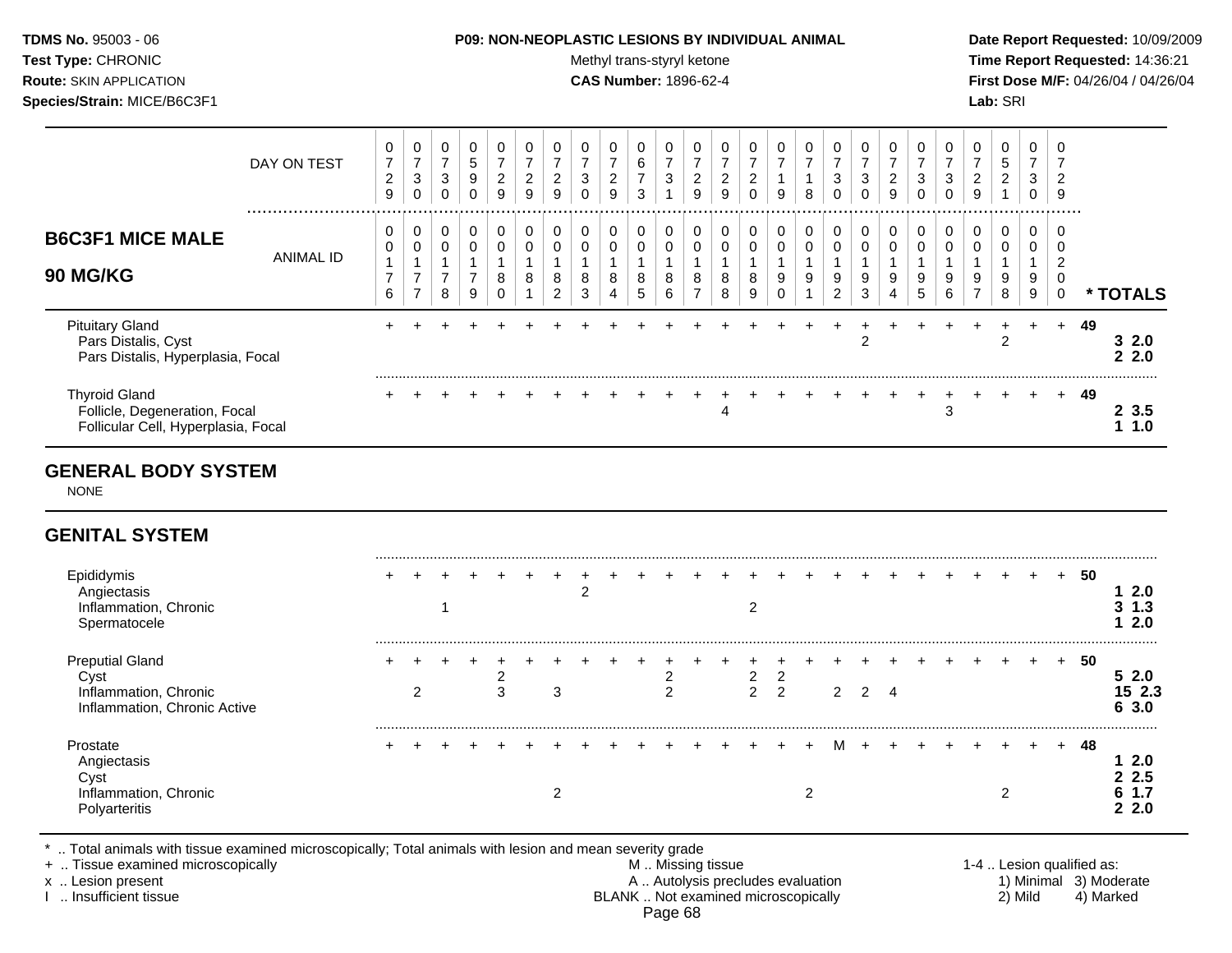**Test Type:** CHRONIC **The Report Requested:** 14:36:21 **Route:** SKIN APPLICATION **CAS Number:** 1896-62-4 **First Dose M/F:** 04/26/04 / 04/26/04 **Species/Strain:** MICE/B6C3F1 **Lab:** SRI

|                                                                                              | DAY ON TEST      | $\pmb{0}$<br>$\overline{7}$<br>$\overline{\mathbf{c}}$<br>9 | $\pmb{0}$<br>$\overline{7}$<br>$\sqrt{3}$<br>$\mathbf 0$ | 0<br>$\overline{7}$<br>$\mathbf{3}$<br>$\mathbf 0$    | $\pmb{0}$<br>$\sqrt{5}$<br>$\boldsymbol{9}$<br>$\mathbf 0$ | $\mathbf 0$<br>$\boldsymbol{7}$<br>$\sqrt{2}$<br>9          | 0<br>$\overline{7}$<br>$\overline{c}$<br>9 | 0<br>$\overline{7}$<br>$\overline{c}$<br>9 | $\mathbf 0$<br>$\overline{7}$<br>$\mathbf{3}$<br>$\Omega$ | $\pmb{0}$<br>$\overline{7}$<br>$\boldsymbol{2}$<br>9 | $\mathbf 0$<br>$\,6\,$<br>$\overline{7}$<br>3      | $\pmb{0}$<br>$\overline{7}$<br>$\sqrt{3}$<br>$\overline{1}$ | 0<br>$\overline{7}$<br>$\overline{c}$<br>9    | 0<br>$\overline{7}$<br>$\sqrt{2}$<br>9 | 0<br>$\overline{7}$<br>$\overline{c}$<br>$\Omega$ | $\mathbf 0$<br>$\overline{7}$<br>$\mathbf{1}$<br>9 | $\pmb{0}$<br>$\overline{7}$<br>$\mathbf 1$<br>8     | 0<br>$\overline{7}$<br>$\sqrt{3}$<br>$\Omega$         | 0<br>$\overline{7}$<br>$\sqrt{3}$<br>$\Omega$ | $\pmb{0}$<br>$\overline{7}$<br>$\overline{c}$<br>9 | $\mathbf 0$<br>$\overline{7}$<br>$\sqrt{3}$<br>$\Omega$ | 0<br>$\overline{7}$<br>$\mathbf{3}$<br>$\Omega$ | $\mathbf 0$<br>$\overline{7}$<br>2<br>9 | 0<br>$5\phantom{.0}$<br>$\overline{a}$<br>$\mathbf{1}$ | $\pmb{0}$<br>$\overline{7}$<br>3<br>$\mathbf 0$ | $\Omega$<br>$\overline{7}$<br>$\overline{2}$<br>9      |    |                               |
|----------------------------------------------------------------------------------------------|------------------|-------------------------------------------------------------|----------------------------------------------------------|-------------------------------------------------------|------------------------------------------------------------|-------------------------------------------------------------|--------------------------------------------|--------------------------------------------|-----------------------------------------------------------|------------------------------------------------------|----------------------------------------------------|-------------------------------------------------------------|-----------------------------------------------|----------------------------------------|---------------------------------------------------|----------------------------------------------------|-----------------------------------------------------|-------------------------------------------------------|-----------------------------------------------|----------------------------------------------------|---------------------------------------------------------|-------------------------------------------------|-----------------------------------------|--------------------------------------------------------|-------------------------------------------------|--------------------------------------------------------|----|-------------------------------|
| <b>B6C3F1 MICE MALE</b><br><b>90 MG/KG</b>                                                   | <b>ANIMAL ID</b> | 0<br>0<br>$\mathbf{1}$<br>$\overline{7}$<br>6               | 0<br>$\pmb{0}$<br>1<br>$\overline{7}$<br>$\overline{7}$  | 0<br>$\pmb{0}$<br>$\mathbf{1}$<br>$\overline{7}$<br>8 | 0<br>$\pmb{0}$<br>$\mathbf{1}$<br>$\overline{7}$<br>9      | $\mathbf 0$<br>$\pmb{0}$<br>$\overline{1}$<br>8<br>$\Omega$ | 0<br>0<br>$\mathbf{1}$<br>8<br>1           | 0<br>0<br>$\mathbf{1}$<br>8<br>2           | 0<br>$\pmb{0}$<br>$\mathbf{1}$<br>8<br>3                  | $\,0\,$<br>$\pmb{0}$<br>$\mathbf{1}$<br>8<br>4       | 0<br>$\mathsf{O}\xspace$<br>$\mathbf{1}$<br>8<br>5 | 0<br>$\mathbf 0$<br>$\mathbf{1}$<br>8<br>6                  | 0<br>0<br>$\mathbf{1}$<br>8<br>$\overline{7}$ | 0<br>0<br>$\mathbf{1}$<br>8<br>8       | 0<br>0<br>$\mathbf{1}$<br>8<br>9                  | 0<br>$\pmb{0}$<br>$\mathbf{1}$<br>9<br>$\Omega$    | 0<br>$\pmb{0}$<br>$\mathbf{1}$<br>9<br>$\mathbf{1}$ | 0<br>$\pmb{0}$<br>$\mathbf{1}$<br>9<br>$\overline{c}$ | 0<br>$\mathbf 0$<br>$\overline{1}$<br>9<br>3  | 0<br>$\pmb{0}$<br>$\mathbf{1}$<br>9<br>4           | 0<br>0<br>$\mathbf{1}$<br>9<br>5                        | 0<br>$\pmb{0}$<br>$\mathbf{1}$<br>9<br>6        | 0<br>0<br>1<br>9<br>$\overline{7}$      | 0<br>0<br>9<br>8                                       | 0<br>0<br>$\mathbf{1}$<br>9<br>9                | 0<br>0<br>$\overline{2}$<br>$\mathbf 0$<br>$\mathbf 0$ |    | * TOTALS                      |
| <b>Pituitary Gland</b><br>Pars Distalis, Cyst<br>Pars Distalis, Hyperplasia, Focal           |                  |                                                             |                                                          |                                                       |                                                            |                                                             |                                            |                                            |                                                           |                                                      |                                                    |                                                             |                                               |                                        |                                                   |                                                    |                                                     |                                                       | $\overline{c}$                                |                                                    |                                                         |                                                 |                                         | $\overline{c}$                                         |                                                 | $+$                                                    | 49 | 32.0<br>22.0                  |
| <b>Thyroid Gland</b><br>Follicle, Degeneration, Focal<br>Follicular Cell, Hyperplasia, Focal |                  |                                                             |                                                          |                                                       |                                                            |                                                             |                                            |                                            |                                                           |                                                      |                                                    |                                                             |                                               | 4                                      |                                                   |                                                    |                                                     |                                                       |                                               |                                                    |                                                         | 3                                               |                                         |                                                        |                                                 |                                                        | 49 | 23.5<br>11.0                  |
| <b>GENERAL BODY SYSTEM</b><br><b>NONE</b>                                                    |                  |                                                             |                                                          |                                                       |                                                            |                                                             |                                            |                                            |                                                           |                                                      |                                                    |                                                             |                                               |                                        |                                                   |                                                    |                                                     |                                                       |                                               |                                                    |                                                         |                                                 |                                         |                                                        |                                                 |                                                        |    |                               |
| <b>GENITAL SYSTEM</b>                                                                        |                  |                                                             |                                                          |                                                       |                                                            |                                                             |                                            |                                            |                                                           |                                                      |                                                    |                                                             |                                               |                                        |                                                   |                                                    |                                                     |                                                       |                                               |                                                    |                                                         |                                                 |                                         |                                                        |                                                 |                                                        |    |                               |
| Epididymis<br>Angiectasis<br>Inflammation, Chronic<br>Spermatocele                           |                  |                                                             |                                                          | 1                                                     |                                                            |                                                             |                                            |                                            | $\overline{c}$                                            |                                                      |                                                    |                                                             |                                               |                                        | $\overline{2}$                                    |                                                    |                                                     |                                                       |                                               |                                                    |                                                         |                                                 |                                         |                                                        |                                                 | $\ddot{}$                                              | 50 | 12.0<br>$3 \t1.3$<br>2.0<br>1 |
| <b>Preputial Gland</b><br>Cyst<br>Inflammation, Chronic<br>Inflammation, Chronic Active      |                  |                                                             | $\overline{c}$                                           |                                                       |                                                            | $\frac{2}{3}$                                               |                                            | $\sqrt{3}$                                 |                                                           |                                                      |                                                    | $\overline{c}$<br>$\overline{2}$                            |                                               |                                        | 2<br>$\overline{2}$                               | $\overline{c}$<br>$\overline{2}$                   |                                                     | $\overline{2}$                                        | $\overline{2}$                                | $\overline{4}$                                     |                                                         |                                                 |                                         |                                                        |                                                 |                                                        | 50 | 52.0<br>15 2.3<br>6 3.0       |
| Prostate<br>Angiectasis                                                                      |                  |                                                             |                                                          |                                                       |                                                            |                                                             |                                            |                                            |                                                           |                                                      |                                                    |                                                             |                                               |                                        |                                                   |                                                    |                                                     |                                                       |                                               |                                                    |                                                         |                                                 |                                         |                                                        |                                                 |                                                        | 48 | 12.0                          |

Cyst **2 2.5** Inflammation, Chronic **6 1.7**<br>
Polyarteritis **6 1.7**<br> **Polyarteritis** 2 2.0 Polyarteritis **2 2.0**

\* .. Total animals with tissue examined microscopically; Total animals with lesion and mean severity grade

+ .. Tissue examined microscopically M .. Missing tissue 1-4 .. Lesion qualified as: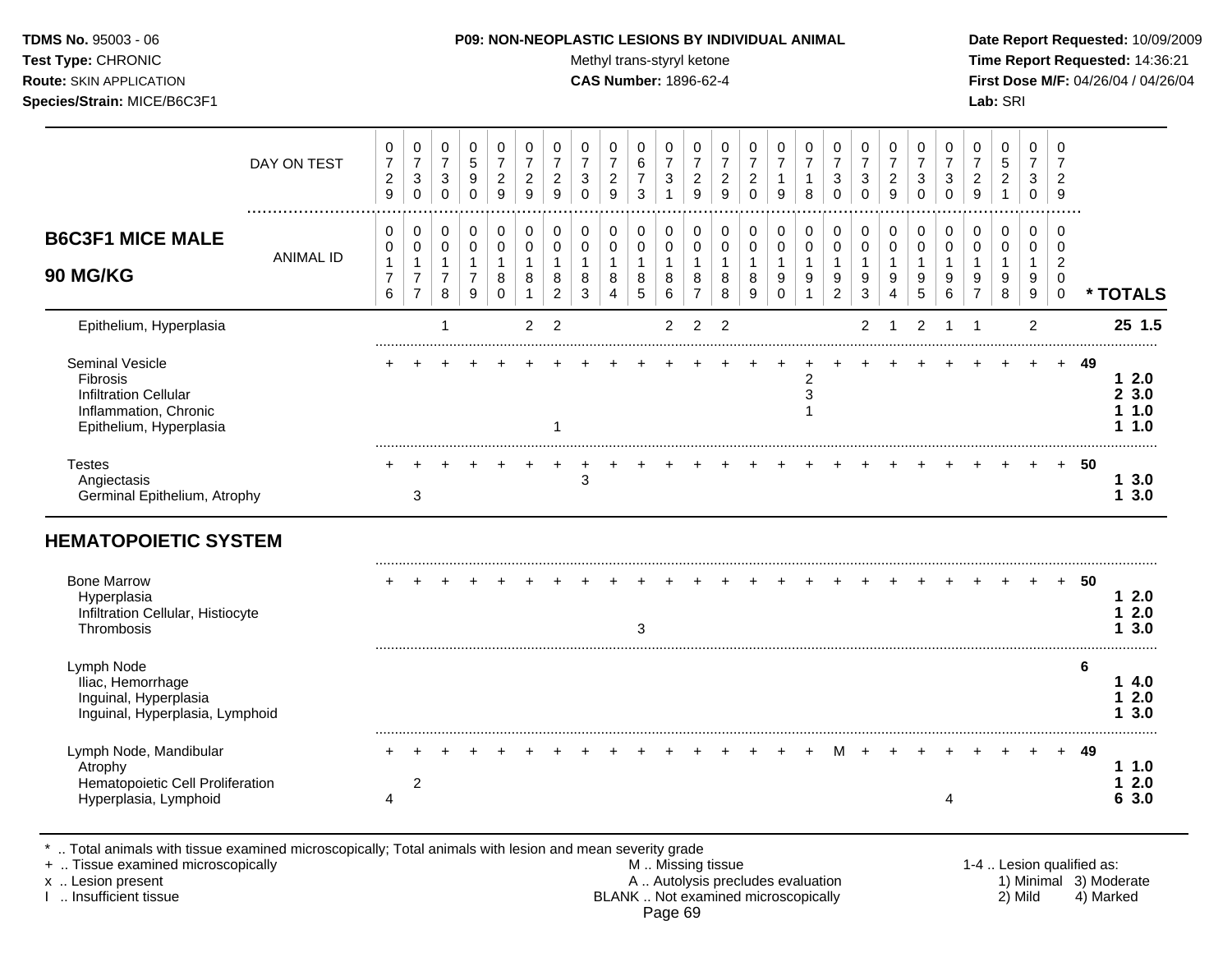Test Type: CHRONIC **Test Type:** CHRONIC **Test Type:** CHRONIC **Time Report Requested:** 14:36:21 **Route:** SKIN APPLICATION **CAS Number:** 1896-62-4 **First Dose M/F:** 04/26/04 / 04/26/04 **Species/Strain:** MICE/B6C3F1 **Lab:** SRI

|                                                                                                                 | DAY ON TEST      | 0<br>$\overline{7}$<br>$\boldsymbol{2}$<br>9    | 0<br>$\overline{7}$<br>$\ensuremath{\mathsf{3}}$<br>$\mathbf 0$      | 0<br>$\overline{7}$<br>3<br>$\Omega$                  | 0<br>$\sqrt{5}$<br>$\boldsymbol{9}$<br>$\mathbf 0$                             | 0<br>$\overline{7}$<br>$\overline{c}$<br>9 | 0<br>$\overline{7}$<br>$\overline{c}$<br>9 | 0<br>$\overline{7}$<br>$\sqrt{2}$<br>9                            | 0<br>$\overline{7}$<br>3<br>$\Omega$ | 0<br>$\overline{7}$<br>$\boldsymbol{2}$<br>9         | 0<br>$6\phantom{1}6$<br>$\overline{7}$<br>3             | 0<br>$\overline{7}$<br>$\sqrt{3}$<br>1 | 0<br>$\overline{7}$<br>$\sqrt{2}$<br>9                | 0<br>$\overline{7}$<br>$\sqrt{2}$<br>9 | 0<br>$\overline{7}$<br>$\overline{2}$<br>$\Omega$ | 0<br>$\overline{7}$<br>1<br>9        | 0<br>$\overline{7}$<br>$\mathbf{1}$<br>8              | 0<br>$\overline{7}$<br>3<br>$\Omega$       | 0<br>$\overline{7}$<br>$\sqrt{3}$<br>$\Omega$                 | 0<br>$\overline{7}$<br>$\sqrt{2}$<br>9             | 0<br>$\overline{7}$<br>3<br>$\Omega$               | 0<br>$\overline{7}$<br>3<br>$\Omega$ | 0<br>$\overline{7}$<br>$\boldsymbol{2}$<br>9 | 0<br>$\sqrt{5}$<br>$\overline{c}$<br>$\mathbf{1}$  | 0<br>$\overline{7}$<br>3<br>$\Omega$                                               | 0<br>$\overline{7}$<br>$\overline{c}$<br>9                       |    |                                       |
|-----------------------------------------------------------------------------------------------------------------|------------------|-------------------------------------------------|----------------------------------------------------------------------|-------------------------------------------------------|--------------------------------------------------------------------------------|--------------------------------------------|--------------------------------------------|-------------------------------------------------------------------|--------------------------------------|------------------------------------------------------|---------------------------------------------------------|----------------------------------------|-------------------------------------------------------|----------------------------------------|---------------------------------------------------|--------------------------------------|-------------------------------------------------------|--------------------------------------------|---------------------------------------------------------------|----------------------------------------------------|----------------------------------------------------|--------------------------------------|----------------------------------------------|----------------------------------------------------|------------------------------------------------------------------------------------|------------------------------------------------------------------|----|---------------------------------------|
| <b>B6C3F1 MICE MALE</b><br><b>90 MG/KG</b>                                                                      | <b>ANIMAL ID</b> | 0<br>0<br>1<br>$\overline{7}$<br>$6\phantom{a}$ | 0<br>$\pmb{0}$<br>$\overline{1}$<br>$\overline{7}$<br>$\overline{7}$ | 0<br>$\pmb{0}$<br>$\mathbf{1}$<br>$\overline{7}$<br>8 | $\mathbf 0$<br>$\pmb{0}$<br>$\mathbf{1}$<br>$\overline{7}$<br>$\boldsymbol{9}$ | 0<br>$\pmb{0}$<br>1<br>8<br>$\Omega$       | 0<br>0<br>1<br>8<br>$\mathbf{1}$           | $\mathbf 0$<br>$\mathbf 0$<br>$\mathbf{1}$<br>8<br>$\overline{2}$ | 0<br>$\pmb{0}$<br>1<br>8<br>3        | 0<br>$\pmb{0}$<br>$\mathbf 1$<br>8<br>$\overline{4}$ | 0<br>$\mathbf 0$<br>$\mathbf{1}$<br>8<br>$\overline{5}$ | 0<br>$\pmb{0}$<br>1<br>8<br>6          | 0<br>$\pmb{0}$<br>$\mathbf{1}$<br>8<br>$\overline{7}$ | 0<br>0<br>$\mathbf{1}$<br>8<br>8       | $\mathbf 0$<br>$\mathsf{O}\xspace$<br>1<br>8<br>9 | 0<br>$\pmb{0}$<br>1<br>9<br>$\Omega$ | 0<br>$\mathsf 0$<br>$\mathbf{1}$<br>9<br>$\mathbf{1}$ | 0<br>$\pmb{0}$<br>1<br>9<br>$\overline{2}$ | $\pmb{0}$<br>$\pmb{0}$<br>$\mathbf{1}$<br>9<br>$\mathfrak{S}$ | $\mathbf 0$<br>$\pmb{0}$<br>$\mathbf{1}$<br>9<br>4 | $\mathbf 0$<br>$\pmb{0}$<br>$\mathbf{1}$<br>9<br>5 | $\mathbf 0$<br>$\mathbf 0$<br>9<br>6 | 0<br>$\pmb{0}$<br>1<br>9<br>$\overline{7}$   | $\mathbf 0$<br>$\pmb{0}$<br>$\mathbf{1}$<br>9<br>8 | $\mathbf 0$<br>$\mathbf 0$<br>$\mathbf{1}$<br>$\boldsymbol{9}$<br>$\boldsymbol{9}$ | 0<br>$\mathbf 0$<br>$\overline{c}$<br>$\mathbf 0$<br>$\mathsf 0$ |    | * TOTALS                              |
| Epithelium, Hyperplasia                                                                                         |                  |                                                 |                                                                      | 1                                                     |                                                                                |                                            | $\overline{2}$                             | $\overline{2}$                                                    |                                      |                                                      |                                                         | 2                                      | $\overline{2}$                                        | $\overline{2}$                         |                                                   |                                      |                                                       |                                            | 2                                                             |                                                    | $\overline{2}$                                     |                                      | -1                                           |                                                    | $\overline{2}$                                                                     |                                                                  |    | 25 1.5                                |
| Seminal Vesicle<br>Fibrosis<br><b>Infiltration Cellular</b><br>Inflammation, Chronic<br>Epithelium, Hyperplasia |                  |                                                 |                                                                      |                                                       |                                                                                |                                            |                                            | -1                                                                |                                      |                                                      |                                                         |                                        |                                                       |                                        |                                                   |                                      | 2<br>3<br>1                                           |                                            |                                                               |                                                    |                                                    |                                      |                                              |                                                    |                                                                                    | $+$                                                              | 49 | 2.0<br>1<br>23.0<br>11.0<br>1.0<br>1. |
| <b>Testes</b><br>Angiectasis<br>Germinal Epithelium, Atrophy                                                    |                  |                                                 | 3                                                                    |                                                       |                                                                                |                                            |                                            |                                                                   | 3                                    |                                                      |                                                         |                                        |                                                       |                                        |                                                   |                                      |                                                       |                                            |                                                               |                                                    |                                                    |                                      |                                              |                                                    |                                                                                    | $+$                                                              | 50 | 13.0<br>3.0<br>1                      |
| <b>HEMATOPOIETIC SYSTEM</b>                                                                                     |                  |                                                 |                                                                      |                                                       |                                                                                |                                            |                                            |                                                                   |                                      |                                                      |                                                         |                                        |                                                       |                                        |                                                   |                                      |                                                       |                                            |                                                               |                                                    |                                                    |                                      |                                              |                                                    |                                                                                    |                                                                  |    |                                       |
| <b>Bone Marrow</b><br>Hyperplasia<br>Infiltration Cellular, Histiocyte<br>Thrombosis                            |                  |                                                 |                                                                      |                                                       |                                                                                |                                            |                                            |                                                                   |                                      |                                                      | 3                                                       |                                        |                                                       |                                        |                                                   |                                      |                                                       |                                            |                                                               |                                                    |                                                    |                                      |                                              |                                                    |                                                                                    | $+$                                                              | 50 | 12.0<br>2.0<br>1<br>3.0<br>1          |
| Lymph Node<br>Iliac, Hemorrhage<br>Inguinal, Hyperplasia<br>Inguinal, Hyperplasia, Lymphoid                     |                  |                                                 |                                                                      |                                                       |                                                                                |                                            |                                            |                                                                   |                                      |                                                      |                                                         |                                        |                                                       |                                        |                                                   |                                      |                                                       |                                            |                                                               |                                                    |                                                    |                                      |                                              |                                                    |                                                                                    |                                                                  | 6  | 14.0<br>2.0<br>1<br>3.0<br>1          |
| Lymph Node, Mandibular<br>Atrophy<br>Hematopoietic Cell Proliferation<br>Hyperplasia, Lymphoid                  |                  | $\overline{4}$                                  | $\overline{c}$                                                       |                                                       |                                                                                |                                            |                                            |                                                                   |                                      |                                                      |                                                         |                                        |                                                       |                                        |                                                   |                                      |                                                       |                                            |                                                               |                                                    |                                                    | 4                                    |                                              |                                                    |                                                                                    | $+$                                                              | 49 | 11.0<br>2.0<br>1<br>3.0<br>6          |

\* .. Total animals with tissue examined microscopically; Total animals with lesion and mean severity grade

| 1-4  Lesion qualified as: |                        |
|---------------------------|------------------------|
|                           | 1) Minimal 3) Moderate |
| 2) Mild                   | 4) Marked              |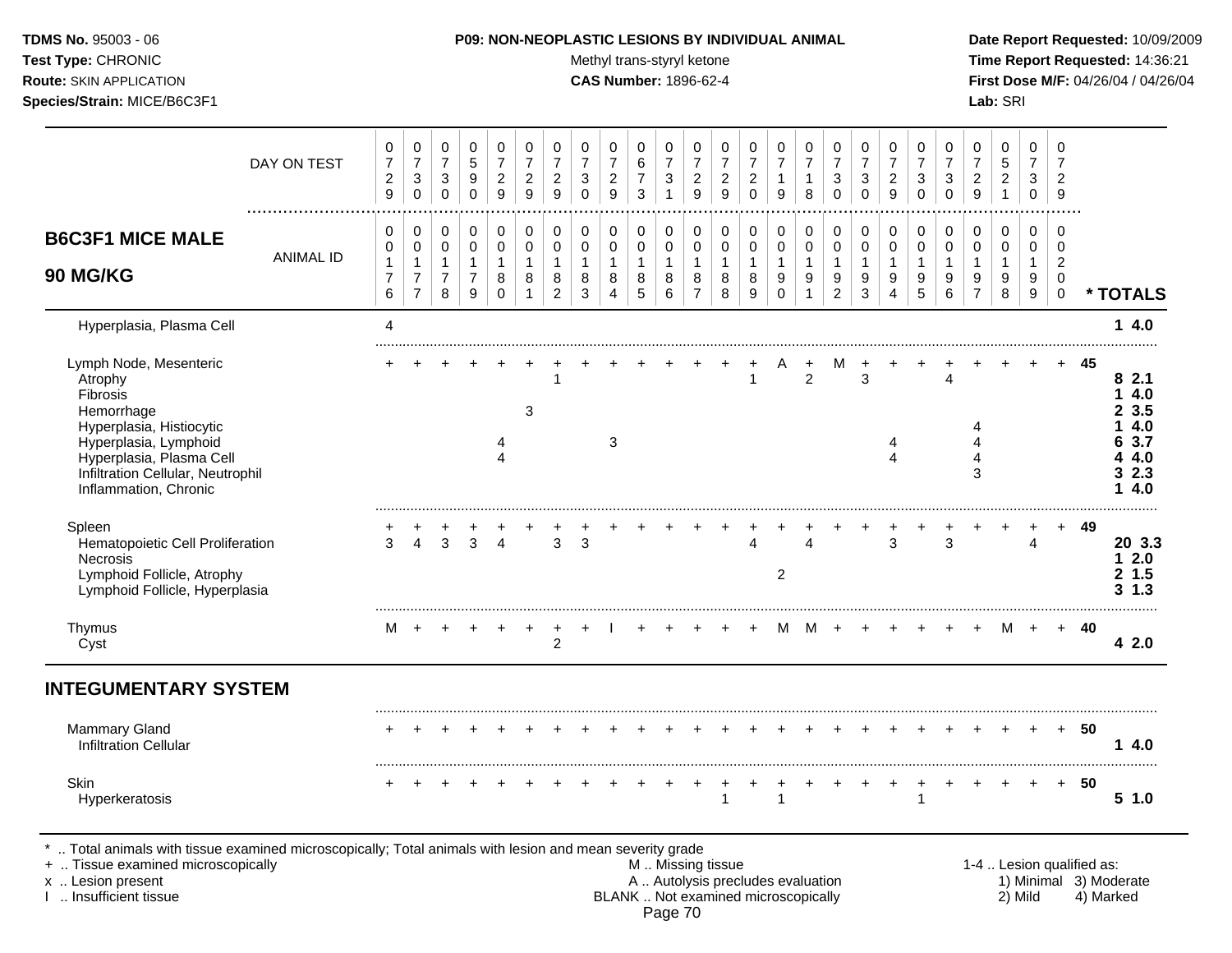Test Type: CHRONIC **Test Type:** CHRONIC **Test Type:** CHRONIC **Time Report Requested:** 14:36:21 **Route:** SKIN APPLICATION **CAS Number:** 1896-62-4 **First Dose M/F:** 04/26/04 / 04/26/04 **Species/Strain:** MICE/B6C3F1 **Lab:** SRI

|                                                                                                                                                                                            | DAY ON TEST      | 0<br>$\overline{7}$<br>$\overline{2}$<br>$\boldsymbol{9}$ | 0<br>$\overline{7}$<br>$\sqrt{3}$<br>$\mathbf 0$ | $\mathbf 0$<br>$\overline{7}$<br>3<br>$\mathbf 0$ | 0<br>$\overline{5}$<br>9<br>$\mathbf 0$ | 0<br>$\overline{7}$<br>$\sqrt{2}$<br>$\boldsymbol{9}$ | 0<br>$\overline{7}$<br>$\boldsymbol{2}$<br>9 | 0<br>$\overline{7}$<br>$\boldsymbol{2}$<br>$\boldsymbol{9}$ | 0<br>$\overline{7}$<br>$\mathbf{3}$<br>$\mathbf 0$ | 0<br>$\overline{7}$<br>$\boldsymbol{2}$<br>9 | $\mathbf 0$<br>$\,6\,$<br>$\overline{7}$<br>$\sqrt{3}$ | 0<br>$\overline{7}$<br>3<br>$\mathbf{1}$ | 0<br>$\overline{7}$<br>$\overline{a}$<br>9 | 0<br>$\overline{7}$<br>$\overline{c}$<br>$\overline{9}$ | 0<br>$\overline{7}$<br>$\overline{c}$<br>$\mathbf 0$                     | 0<br>$\overline{7}$<br>$\mathbf{1}$<br>$\boldsymbol{9}$ | 0<br>$\overline{7}$<br>$\mathbf{1}$<br>$\,8\,$ | 0<br>$\overline{7}$<br>3<br>$\mathbf 0$ | 0<br>$\overline{7}$<br>3<br>$\mathbf 0$ | 0<br>$\overline{7}$<br>$\overline{c}$<br>9 | 0<br>$\overline{7}$<br>$\ensuremath{\mathsf{3}}$<br>$\pmb{0}$ | 0<br>$\overline{7}$<br>3<br>$\pmb{0}$ | 0<br>$\overline{7}$<br>$\overline{c}$<br>$\overline{9}$ | $\mathbf 0$<br>$\,$ 5 $\,$<br>$\overline{c}$<br>$\mathbf{1}$ | 0<br>$\overline{7}$<br>3<br>0 | 0<br>$\overline{7}$<br>$\overline{c}$<br>9 |                           |                                             |
|--------------------------------------------------------------------------------------------------------------------------------------------------------------------------------------------|------------------|-----------------------------------------------------------|--------------------------------------------------|---------------------------------------------------|-----------------------------------------|-------------------------------------------------------|----------------------------------------------|-------------------------------------------------------------|----------------------------------------------------|----------------------------------------------|--------------------------------------------------------|------------------------------------------|--------------------------------------------|---------------------------------------------------------|--------------------------------------------------------------------------|---------------------------------------------------------|------------------------------------------------|-----------------------------------------|-----------------------------------------|--------------------------------------------|---------------------------------------------------------------|---------------------------------------|---------------------------------------------------------|--------------------------------------------------------------|-------------------------------|--------------------------------------------|---------------------------|---------------------------------------------|
| <b>B6C3F1 MICE MALE</b>                                                                                                                                                                    | <b>ANIMAL ID</b> | 0<br>$\mathbf 0$                                          | $\pmb{0}$<br>$\pmb{0}$                           | $\Omega$<br>$\mathbf 0$                           | $\mathbf 0$<br>$\mathbf 0$              | $\mathbf 0$<br>$\mathbf 0$                            | $\mathbf 0$<br>$\mathbf 0$                   | $\mathbf 0$<br>$\pmb{0}$                                    | 0<br>$\mathbf 0$                                   | $\mathbf 0$<br>$\mathbf 0$                   | $\mathbf 0$<br>$\mathbf 0$                             | 0<br>$\mathbf 0$                         | 0<br>0                                     | $\mathbf 0$<br>$\mathbf 0$                              | 0<br>$\pmb{0}$                                                           | $\mathbf 0$<br>$\mathsf 0$                              | $\mathbf 0$<br>$\mathbf 0$                     | $\mathbf 0$<br>$\pmb{0}$                | $\pmb{0}$<br>$\mathbf 0$                | $\mathbf 0$<br>$\mathbf 0$                 | $\pmb{0}$<br>$\pmb{0}$<br>$\mathbf{1}$                        | $\mathbf 0$<br>$\mathbf 0$            | $\Omega$<br>$\mathbf 0$                                 | $\mathbf 0$<br>$\mathbf 0$                                   | $\mathbf 0$<br>$\mathbf 0$    | $\Omega$<br>$\Omega$                       |                           |                                             |
| 90 MG/KG                                                                                                                                                                                   |                  | 1<br>$\overline{7}$<br>$\,6$                              | $\mathbf{1}$<br>$\overline{7}$<br>$\overline{7}$ | $\mathbf{1}$<br>$\overline{7}$<br>8               | $\mathbf{1}$<br>$\overline{7}$<br>9     | $\mathbf{1}$<br>8<br>$\mathbf 0$                      | 1<br>8<br>$\mathbf{1}$                       | $\mathbf{1}$<br>8<br>$\overline{c}$                         | $\overline{1}$<br>8<br>$\mathbf{3}$                | $\mathbf{1}$<br>8<br>$\overline{4}$          | $\mathbf{1}$<br>8<br>$\sqrt{5}$                        | 1<br>8<br>6                              | $\mathbf{1}$<br>8<br>$\overline{7}$        | $\mathbf{1}$<br>8<br>$\, 8$                             | $\mathbf{1}$<br>8<br>$\boldsymbol{9}$                                    | $\mathbf{1}$<br>9<br>0                                  | $\mathbf{1}$<br>9<br>$\mathbf{1}$              | $\mathbf{1}$<br>9<br>$\overline{2}$     | $\mathbf{1}$<br>9<br>$\mathbf{3}$       | $\mathbf{1}$<br>9<br>4                     | 9<br>$\overline{5}$                                           | $\mathbf{1}$<br>9<br>$\,6\,$          | $\mathbf{1}$<br>9<br>$\overline{7}$                     | $\mathbf{1}$<br>9<br>8                                       | $\mathbf{1}$<br>9<br>9        | $\overline{2}$<br>$\mathbf 0$<br>$\pmb{0}$ |                           | * TOTALS                                    |
| Hyperplasia, Plasma Cell                                                                                                                                                                   |                  | 4                                                         |                                                  |                                                   |                                         |                                                       |                                              |                                                             |                                                    |                                              |                                                        |                                          |                                            |                                                         |                                                                          |                                                         |                                                |                                         |                                         |                                            |                                                               |                                       |                                                         |                                                              |                               |                                            |                           | 14.0                                        |
| Lymph Node, Mesenteric<br>Atrophy<br><b>Fibrosis</b><br>Hemorrhage                                                                                                                         |                  |                                                           |                                                  |                                                   |                                         |                                                       | 3                                            | $\mathbf 1$                                                 |                                                    |                                              |                                                        |                                          |                                            |                                                         | $\mathbf{1}$                                                             |                                                         | $\overline{2}$                                 |                                         | 3                                       |                                            |                                                               | $\overline{\mathbf{4}}$               |                                                         |                                                              |                               | $+$                                        | 45                        | 82.1<br>14.0<br>23.5                        |
| Hyperplasia, Histiocytic<br>Hyperplasia, Lymphoid<br>Hyperplasia, Plasma Cell<br>Infiltration Cellular, Neutrophil<br>Inflammation, Chronic                                                |                  |                                                           |                                                  |                                                   |                                         | 4<br>$\overline{4}$                                   |                                              |                                                             |                                                    | 3                                            |                                                        |                                          |                                            |                                                         |                                                                          |                                                         |                                                |                                         |                                         | 4<br>4                                     |                                                               |                                       | 4<br>4<br>4<br>3                                        |                                                              |                               |                                            |                           | 4.0<br>1.<br>6 3.7<br>4 4.0<br>32.3<br>14.0 |
| Spleen<br>Hematopoietic Cell Proliferation<br><b>Necrosis</b><br>Lymphoid Follicle, Atrophy<br>Lymphoid Follicle, Hyperplasia                                                              |                  | 3                                                         | 4                                                | 3                                                 | 3                                       | 4                                                     |                                              | 3                                                           | 3                                                  |                                              |                                                        |                                          |                                            |                                                         | $\overline{\mathbf{4}}$                                                  | 2                                                       | 4                                              |                                         |                                         | 3                                          |                                                               | 3                                     |                                                         |                                                              | 4                             | $+$                                        | 49                        | 20 3.3<br>12.0<br>2 1.5<br>$3 \; 1.3$       |
| Thymus<br>Cyst                                                                                                                                                                             |                  | М                                                         | $+$                                              |                                                   |                                         |                                                       |                                              | $\overline{2}$                                              |                                                    |                                              |                                                        |                                          |                                            |                                                         |                                                                          | м                                                       | M                                              | $\ddot{}$                               |                                         |                                            |                                                               |                                       |                                                         | м                                                            | $+$                           | $+$                                        | 40                        | 42.0                                        |
| <b>INTEGUMENTARY SYSTEM</b>                                                                                                                                                                |                  |                                                           |                                                  |                                                   |                                         |                                                       |                                              |                                                             |                                                    |                                              |                                                        |                                          |                                            |                                                         |                                                                          |                                                         |                                                |                                         |                                         |                                            |                                                               |                                       |                                                         |                                                              |                               |                                            |                           |                                             |
| <b>Mammary Gland</b><br><b>Infiltration Cellular</b>                                                                                                                                       |                  |                                                           |                                                  |                                                   |                                         |                                                       |                                              |                                                             |                                                    |                                              |                                                        |                                          |                                            |                                                         |                                                                          |                                                         |                                                |                                         |                                         |                                            |                                                               |                                       |                                                         |                                                              |                               |                                            | $+ 50$                    | 14.0                                        |
| <b>Skin</b><br>Hyperkeratosis                                                                                                                                                              |                  |                                                           |                                                  |                                                   |                                         |                                                       |                                              |                                                             |                                                    |                                              |                                                        |                                          |                                            | $\overline{1}$                                          |                                                                          |                                                         |                                                |                                         |                                         |                                            | $\div$<br>1                                                   | $\ddot{}$                             |                                                         |                                                              |                               | $+$                                        | 50                        | 51.0                                        |
| Total animals with tissue examined microscopically; Total animals with lesion and mean severity grade<br>+  Tissue examined microscopically<br>x  Lesion present<br>I  Insufficient tissue |                  |                                                           |                                                  |                                                   |                                         |                                                       |                                              |                                                             |                                                    |                                              |                                                        |                                          |                                            | M  Missing tissue                                       | A  Autolysis precludes evaluation<br>BLANK  Not examined microscopically |                                                         |                                                |                                         |                                         |                                            |                                                               |                                       |                                                         |                                                              | 2) Mild                       |                                            | 1-4  Lesion qualified as: | 1) Minimal 3) Moderate<br>4) Marked         |

Page 70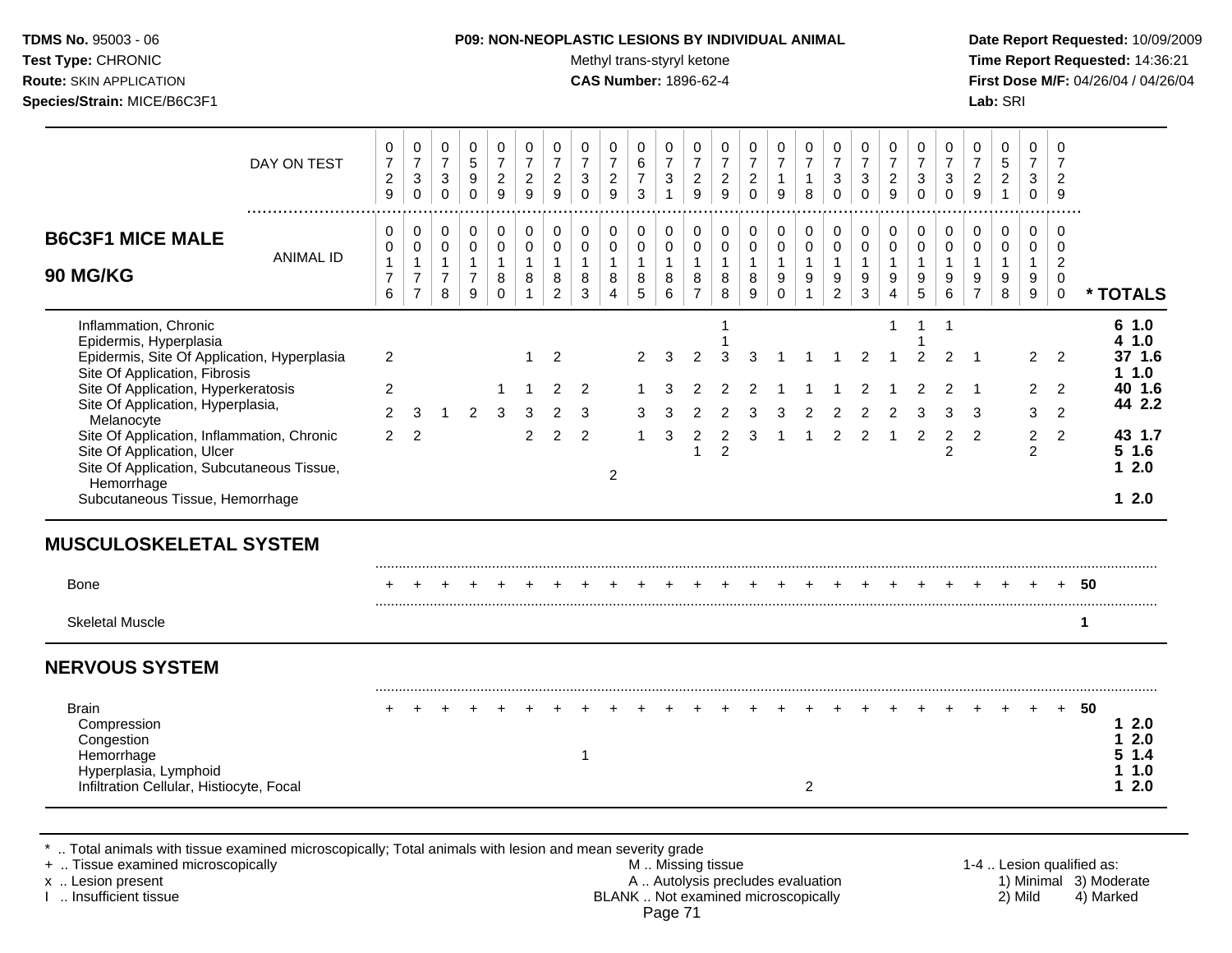Test Type: CHRONIC **Test Type:** CHRONIC **Test Type:** CHRONIC **Time Report Requested:** 14:36:21 **Route:** SKIN APPLICATION **CAS Number:** 1896-62-4 **First Dose M/F:** 04/26/04 / 04/26/04 **Species/Strain:** MICE/B6C3F1 **Lab:** SRI

|                                                                                       |                  | 0                                                    | $\pmb{0}$                                        | 0                                             | 0                                   | 0                                                    | 0                                     | $\mathbf 0$                           | $\mathbf 0$                                   | $\pmb{0}$                             | 0                                         | 0                                              | 0                                                      | 0                                     | 0                                       | $\mathbf 0$                         | 0                                   | 0                                           | $\mathbf 0$                               | 0                                                    | $\mathbf 0$                                   | $\mathbf 0$                        | 0                                     | $\mathbf 0$                                      | $\mathbf 0$                        | 0                                    |                           |
|---------------------------------------------------------------------------------------|------------------|------------------------------------------------------|--------------------------------------------------|-----------------------------------------------|-------------------------------------|------------------------------------------------------|---------------------------------------|---------------------------------------|-----------------------------------------------|---------------------------------------|-------------------------------------------|------------------------------------------------|--------------------------------------------------------|---------------------------------------|-----------------------------------------|-------------------------------------|-------------------------------------|---------------------------------------------|-------------------------------------------|------------------------------------------------------|-----------------------------------------------|------------------------------------|---------------------------------------|--------------------------------------------------|------------------------------------|--------------------------------------|---------------------------|
|                                                                                       | DAY ON TEST      | $\overline{7}$<br>$\overline{c}$<br>$\boldsymbol{9}$ | $\overline{7}$<br>$\sqrt{3}$<br>$\mathbf 0$      | $\overline{7}$<br>$\mathbf{3}$<br>$\mathbf 0$ | $\sqrt{5}$<br>$9\,$<br>$\pmb{0}$    | $\overline{7}$<br>$\overline{c}$<br>$\boldsymbol{9}$ | $\overline{7}$<br>$\overline{a}$<br>9 | $\overline{7}$<br>$\overline{2}$<br>9 | $\overline{7}$<br>$\mathbf{3}$<br>$\mathbf 0$ | $\overline{7}$<br>$\overline{2}$<br>9 | $\,6\,$<br>$\overline{7}$<br>$\mathbf{3}$ | $\overline{7}$<br>$\mathbf{3}$<br>$\mathbf{1}$ | $\overline{7}$<br>$\boldsymbol{2}$<br>$\boldsymbol{9}$ | $\overline{7}$<br>$\overline{2}$<br>9 | $\overline{7}$<br>$\boldsymbol{2}$<br>0 | $\overline{7}$<br>$\mathbf{1}$<br>9 | $\overline{7}$<br>$\mathbf{1}$<br>8 | $\overline{7}$<br>$\mathbf{3}$<br>$\pmb{0}$ | $\overline{7}$<br>$\sqrt{3}$<br>$\pmb{0}$ | $\overline{7}$<br>$\overline{2}$<br>$\boldsymbol{9}$ | $\overline{7}$<br>$\mathbf{3}$<br>$\mathbf 0$ | $\overline{7}$<br>3<br>$\mathbf 0$ | $\overline{7}$<br>$\overline{c}$<br>9 | $\sqrt{5}$<br>$\boldsymbol{2}$<br>$\overline{1}$ | $\overline{7}$<br>3<br>$\mathbf 0$ | $\overline{7}$<br>2<br>$9\,$         |                           |
| <b>B6C3F1 MICE MALE</b>                                                               |                  | 0<br>0                                               | $\mathbf 0$<br>0                                 | 0<br>0                                        | $\mathbf 0$<br>$\mathbf 0$          | 0<br>$\pmb{0}$                                       | 0<br>0                                | $\mathbf 0$<br>$\mathbf 0$            | $\mathbf 0$<br>$\mathbf 0$                    | 0<br>$\pmb{0}$                        | 0<br>0                                    | 0<br>$\pmb{0}$                                 | $\mathbf 0$<br>$\mathbf 0$                             | $\mathbf 0$<br>$\mathbf 0$            | $\mathbf 0$<br>0                        | 0<br>$\mathbf 0$                    | 0<br>0                              | $\pmb{0}$<br>$\pmb{0}$                      | 0<br>$\mathbf 0$                          | $\mathbf 0$<br>$\pmb{0}$                             | $\mathbf 0$<br>$\mathbf 0$                    | $\pmb{0}$<br>$\mathbf 0$           | 0<br>0                                | $\mathbf 0$<br>$\mathbf 0$                       | $\mathbf 0$<br>$\mathbf 0$         | 0<br>0                               |                           |
| 90 MG/KG                                                                              | <b>ANIMAL ID</b> | $\mathbf{1}$<br>$\overline{7}$<br>6                  | $\mathbf{1}$<br>$\overline{7}$<br>$\overline{7}$ | $\mathbf{1}$<br>$\overline{7}$<br>8           | $\mathbf{1}$<br>$\overline{7}$<br>9 | $\mathbf{1}$<br>8<br>$\Omega$                        | $\mathbf{1}$<br>8<br>$\mathbf{1}$     | $\overline{1}$<br>8<br>$\overline{2}$ | $\mathbf{1}$<br>8<br>3                        | $\mathbf{1}$<br>8<br>$\overline{4}$   | $\mathbf{1}$<br>8<br>5                    | $\mathbf{1}$<br>8<br>6                         | $\mathbf{1}$<br>8<br>$\overline{7}$                    | $\mathbf{1}$<br>8<br>8                | $\mathbf{1}$<br>8<br>9                  | $\mathbf{1}$<br>9<br>$\Omega$       | $\mathbf{1}$<br>9                   | $\mathbf{1}$<br>9<br>$\overline{2}$         | $\mathbf{1}$<br>9<br>$\mathbf{3}$         | $\overline{1}$<br>9<br>$\overline{4}$                | $\mathbf{1}$<br>9<br>5                        | $\mathbf{1}$<br>9<br>6             | $\mathbf{1}$<br>9<br>$\overline{7}$   | $\mathbf{1}$<br>9<br>8                           | $\mathbf{1}$<br>9<br>9             | $\boldsymbol{2}$<br>0<br>$\mathbf 0$ | * TOTALS                  |
| Inflammation, Chronic<br>Epidermis, Hyperplasia                                       |                  |                                                      |                                                  |                                               |                                     |                                                      |                                       |                                       |                                               |                                       |                                           |                                                |                                                        | 1                                     |                                         |                                     |                                     |                                             |                                           | 1                                                    | $\mathbf{1}$                                  | $\mathbf{1}$                       |                                       |                                                  |                                    |                                      | 61.0<br>1.0<br>4          |
| Epidermis, Site Of Application, Hyperplasia<br>Site Of Application, Fibrosis          |                  | $\overline{2}$                                       |                                                  |                                               |                                     |                                                      | 1                                     | $\overline{2}$                        |                                               |                                       | $\overline{2}$                            | 3                                              | $\overline{2}$                                         | 3                                     | 3                                       |                                     |                                     |                                             | $\overline{2}$                            |                                                      | 2                                             | 2                                  |                                       |                                                  | $\overline{2}$                     | 2                                    | 37 1.6<br>11.0            |
| Site Of Application, Hyperkeratosis<br>Site Of Application, Hyperplasia,              |                  | 2                                                    |                                                  |                                               |                                     |                                                      |                                       | $\overline{c}$                        | 2                                             |                                       |                                           |                                                |                                                        | 2                                     |                                         |                                     |                                     |                                             |                                           |                                                      |                                               |                                    | -1                                    |                                                  | $\mathbf{2}^{\prime}$              | 2                                    | 40 1.6<br>44 2.2          |
| Melanocyte<br>Site Of Application, Inflammation, Chronic                              |                  | 2<br>2                                               | 3<br>$\overline{2}$                              | $\mathbf 1$                                   | $\overline{2}$                      | 3                                                    | 3<br>2                                | 2<br>$\overline{2}$                   | 3<br>$\overline{2}$                           |                                       | 3                                         | 3                                              | $\overline{2}$                                         | 2<br>$\overline{2}$                   | 3<br>3                                  | З                                   | 2                                   | 2<br>2                                      | 2                                         | 2                                                    | з<br>2                                        | $\overline{2}$                     | 3<br>2                                |                                                  | 3<br>$\overline{2}$                | $\overline{2}$<br>$\overline{2}$     | 43 1.7                    |
| Site Of Application, Ulcer<br>Site Of Application, Subcutaneous Tissue,<br>Hemorrhage |                  |                                                      |                                                  |                                               |                                     |                                                      |                                       |                                       |                                               | $\overline{2}$                        |                                           |                                                | -1                                                     | $\overline{2}$                        |                                         |                                     |                                     |                                             |                                           |                                                      |                                               | 2                                  |                                       |                                                  | 2                                  |                                      | $5$ 1.6<br>12.0           |
| Subcutaneous Tissue, Hemorrhage                                                       |                  |                                                      |                                                  |                                               |                                     |                                                      |                                       |                                       |                                               |                                       |                                           |                                                |                                                        |                                       |                                         |                                     |                                     |                                             |                                           |                                                      |                                               |                                    |                                       |                                                  |                                    |                                      | $12.0$                    |
|                                                                                       |                  |                                                      |                                                  |                                               |                                     |                                                      |                                       |                                       |                                               |                                       |                                           |                                                |                                                        |                                       |                                         |                                     |                                     |                                             |                                           |                                                      |                                               |                                    |                                       |                                                  |                                    |                                      |                           |
|                                                                                       |                  |                                                      |                                                  |                                               |                                     |                                                      |                                       |                                       |                                               |                                       |                                           |                                                |                                                        |                                       |                                         |                                     |                                     |                                             |                                           |                                                      |                                               |                                    |                                       |                                                  |                                    |                                      |                           |
| <b>Bone</b>                                                                           |                  |                                                      |                                                  |                                               |                                     |                                                      |                                       |                                       |                                               |                                       |                                           |                                                |                                                        |                                       |                                         |                                     |                                     |                                             |                                           |                                                      |                                               |                                    |                                       |                                                  |                                    |                                      | 50                        |
| <b>MUSCULOSKELETAL SYSTEM</b><br><b>Skeletal Muscle</b>                               |                  |                                                      |                                                  |                                               |                                     |                                                      |                                       |                                       |                                               |                                       |                                           |                                                |                                                        |                                       |                                         |                                     |                                     |                                             |                                           |                                                      |                                               |                                    |                                       |                                                  |                                    |                                      | -1                        |
|                                                                                       |                  |                                                      |                                                  |                                               |                                     |                                                      |                                       |                                       |                                               |                                       |                                           |                                                |                                                        |                                       |                                         |                                     |                                     |                                             |                                           |                                                      |                                               |                                    |                                       |                                                  |                                    |                                      |                           |
| <b>NERVOUS SYSTEM</b><br><b>Brain</b><br>Compression<br>Congestion<br>Hemorrhage      |                  |                                                      |                                                  |                                               |                                     |                                                      |                                       |                                       | 1                                             |                                       |                                           |                                                |                                                        |                                       |                                         |                                     |                                     |                                             |                                           |                                                      |                                               |                                    |                                       |                                                  |                                    | $\div$                               | 50<br>12.0<br>2.0<br>51.4 |

\* .. Total animals with tissue examined microscopically; Total animals with lesion and mean severity grade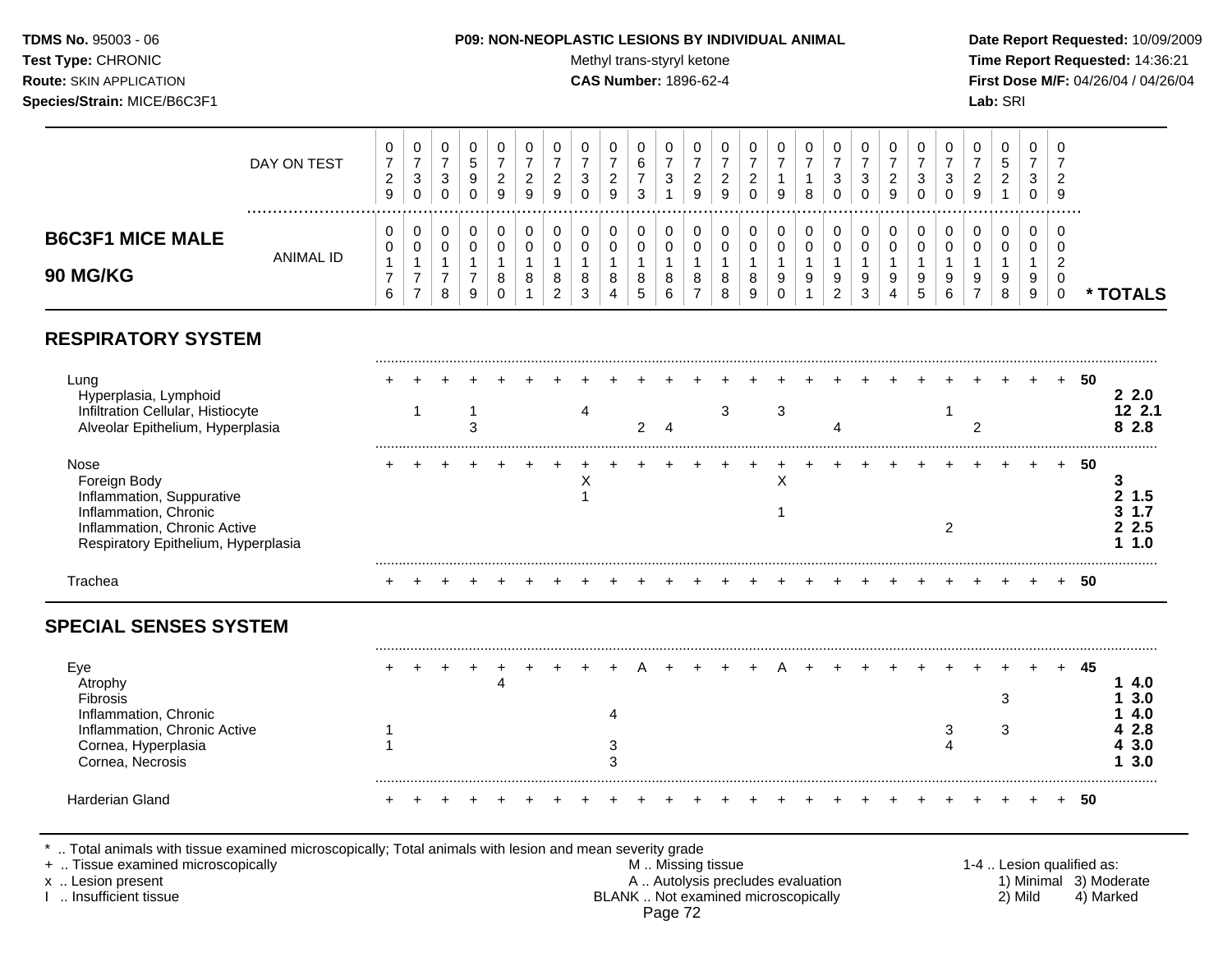# **TDMS No.** 95003 - 06 **P09: NON-NEOPLASTIC LESIONS BY INDIVIDUAL ANIMAL Date Report Requested:** 10/09/2009

Test Type: CHRONIC **Test Type:** CHRONIC **Test Type:** CHRONIC **Time Report Requested:** 14:36:21 **Route:** SKIN APPLICATION **CAS Number:** 1896-62-4 **First Dose M/F:** 04/26/04 / 04/26/04

| DAY ON TEST                                                                                                                                       | 0<br>$\overline{7}$<br>$\overline{c}$<br>$\boldsymbol{9}$ | $\mathbf 0$    | 0<br>$\boldsymbol{7}$<br>$\mathbf{3}$   | 0<br>$\overline{7}$<br>$\sqrt{3}$<br>$\mathbf 0$        | $\mathbf 0$<br>$\sqrt{5}$<br>$\boldsymbol{9}$<br>$\Omega$        | 0<br>$\overline{7}$<br>$\overline{c}$<br>9               | $\mathbf 0$<br>$\overline{7}$<br>$\boldsymbol{2}$<br>9 | 0<br>$\overline{7}$<br>$\overline{c}$<br>9   | 0<br>$\overline{7}$<br>$\sqrt{3}$<br>$\Omega$      | $\mathbf 0$<br>$\overline{7}$<br>$\sqrt{2}$<br>9                | $\mathbf 0$<br>6<br>$\overline{7}$<br>3           | $\Omega$<br>$\overline{7}$<br>$\sqrt{3}$   | 0<br>$\overline{7}$<br>$\overline{c}$<br>9    | 0<br>$\overline{7}$<br>$\overline{c}$<br>9 | $\mathbf 0$<br>$\overline{7}$<br>$\boldsymbol{2}$<br>$\Omega$ | 0<br>$\overline{7}$<br>1<br>9                     | 0<br>$\overline{7}$<br>1<br>8         | 0<br>$\overline{7}$<br>3<br>$\Omega$                 | 0<br>$\overline{7}$<br>3<br>$\Omega$                    | $\Omega$<br>$\overline{7}$<br>$\sqrt{2}$<br>9                       | $\Omega$<br>$\overline{7}$<br>$\mathbf{3}$<br>$\Omega$ | $\Omega$<br>$\overline{7}$<br>$\sqrt{3}$<br>$\Omega$ | 0<br>$\overline{7}$<br>$\overline{c}$<br>9 | 0<br>$5\phantom{.0}$<br>$\overline{c}$<br>$\mathbf{1}$ | $\Omega$<br>$\overline{7}$<br>3<br>$\mathbf 0$    | 0<br>$\overline{7}$<br>$\overline{2}$<br>9                                 |      |                                     |
|---------------------------------------------------------------------------------------------------------------------------------------------------|-----------------------------------------------------------|----------------|-----------------------------------------|---------------------------------------------------------|------------------------------------------------------------------|----------------------------------------------------------|--------------------------------------------------------|----------------------------------------------|----------------------------------------------------|-----------------------------------------------------------------|---------------------------------------------------|--------------------------------------------|-----------------------------------------------|--------------------------------------------|---------------------------------------------------------------|---------------------------------------------------|---------------------------------------|------------------------------------------------------|---------------------------------------------------------|---------------------------------------------------------------------|--------------------------------------------------------|------------------------------------------------------|--------------------------------------------|--------------------------------------------------------|---------------------------------------------------|----------------------------------------------------------------------------|------|-------------------------------------|
| <b>B6C3F1 MICE MALE</b><br><b>ANIMAL ID</b><br>90 MG/KG                                                                                           | 0<br>0<br>$\mathbf{1}$<br>$\overline{7}$<br>6             | $\overline{7}$ | 0<br>$\mathbf 0$<br>1<br>$\overline{7}$ | $\mathbf 0$<br>0<br>$\mathbf{1}$<br>$\overline{7}$<br>8 | $\Omega$<br>$\mathbf 0$<br>$\overline{1}$<br>$\overline{7}$<br>9 | $\Omega$<br>$\mathbf 0$<br>$\mathbf{1}$<br>8<br>$\Omega$ | $\mathbf 0$<br>$\mathbf 0$<br>$\mathbf{1}$<br>8        | 0<br>$\mathbf 0$<br>1<br>8<br>$\overline{2}$ | $\mathbf 0$<br>$\pmb{0}$<br>$\mathbf{1}$<br>8<br>3 | 0<br>$\mathbf 0$<br>$\overline{1}$<br>$\bf 8$<br>$\overline{4}$ | $\Omega$<br>$\mathbf 0$<br>$\mathbf{1}$<br>8<br>5 | 0<br>$\mathbf 0$<br>$\mathbf{1}$<br>8<br>6 | 0<br>0<br>$\mathbf{1}$<br>8<br>$\overline{7}$ | 0<br>0<br>$\mathbf{1}$<br>8<br>8           | 0<br>$\mathbf 0$<br>$\mathbf{1}$<br>$\bf8$<br>9               | $\mathbf 0$<br>0<br>$\mathbf{1}$<br>9<br>$\Omega$ | 0<br>$\mathbf 0$<br>$\mathbf{1}$<br>9 | $\Omega$<br>0<br>$\mathbf{1}$<br>9<br>$\overline{2}$ | 0<br>$\pmb{0}$<br>$\mathbf{1}$<br>$\boldsymbol{9}$<br>3 | $\mathbf 0$<br>$\mathbf 0$<br>$\overline{1}$<br>9<br>$\overline{A}$ | 0<br>$\mathbf 0$<br>$\mathbf{1}$<br>9<br>5             | $\mathbf 0$<br>$\mathbf 0$<br>9<br>6                 | 0<br>$\mathbf 0$<br>9<br>$\overline{7}$    | 0<br>0<br>$\mathbf{1}$<br>$9\,$<br>8                   | $\Omega$<br>$\mathbf 0$<br>$\mathbf{1}$<br>9<br>9 | $\Omega$<br>$\mathbf 0$<br>$\overline{2}$<br>$\overline{0}$<br>$\mathbf 0$ |      | * TOTALS                            |
| <b>RESPIRATORY SYSTEM</b>                                                                                                                         |                                                           |                |                                         |                                                         |                                                                  |                                                          |                                                        |                                              |                                                    |                                                                 |                                                   |                                            |                                               |                                            |                                                               |                                                   |                                       |                                                      |                                                         |                                                                     |                                                        |                                                      |                                            |                                                        |                                                   |                                                                            |      |                                     |
| Lung<br>Hyperplasia, Lymphoid<br>Infiltration Cellular, Histiocyte<br>Alveolar Epithelium, Hyperplasia                                            |                                                           |                | 1                                       |                                                         | -1<br>3                                                          |                                                          |                                                        |                                              | 4                                                  |                                                                 | $\overline{2}$                                    | $\overline{4}$                             |                                               | 3                                          |                                                               | 3                                                 |                                       | 4                                                    |                                                         |                                                                     |                                                        | -1                                                   | $\overline{2}$                             |                                                        |                                                   |                                                                            | -50  | 22.0<br>122.1<br>82.8               |
| Nose<br>Foreign Body<br>Inflammation, Suppurative<br>Inflammation, Chronic<br>Inflammation, Chronic Active<br>Respiratory Epithelium, Hyperplasia |                                                           |                |                                         |                                                         |                                                                  |                                                          |                                                        |                                              | X<br>$\mathbf 1$                                   |                                                                 |                                                   |                                            |                                               |                                            |                                                               | $\pmb{\times}$<br>1                               |                                       |                                                      |                                                         |                                                                     |                                                        | $\overline{2}$                                       |                                            |                                                        |                                                   |                                                                            | - 50 | 3<br>2, 1.5<br>3, 1.7<br>2.5<br>1.0 |
| Trachea                                                                                                                                           |                                                           |                |                                         |                                                         |                                                                  |                                                          |                                                        |                                              |                                                    |                                                                 |                                                   |                                            |                                               |                                            |                                                               |                                                   |                                       |                                                      |                                                         |                                                                     |                                                        |                                                      |                                            |                                                        |                                                   | $+$                                                                        | - 50 |                                     |
| <b>SPECIAL SENSES SYSTEM</b>                                                                                                                      |                                                           |                |                                         |                                                         |                                                                  |                                                          |                                                        |                                              |                                                    |                                                                 |                                                   |                                            |                                               |                                            |                                                               |                                                   |                                       |                                                      |                                                         |                                                                     |                                                        |                                                      |                                            |                                                        |                                                   |                                                                            |      |                                     |
| Eye<br>Atrophy<br><b>Fibrosis</b><br>Inflammation, Chronic                                                                                        |                                                           |                |                                         |                                                         |                                                                  | $\overline{\mathbf{4}}$                                  |                                                        |                                              |                                                    | 4                                                               |                                                   |                                            |                                               |                                            |                                                               |                                                   |                                       |                                                      |                                                         |                                                                     |                                                        |                                                      |                                            | 3                                                      |                                                   |                                                                            | 45   | 14.0<br>3.0<br>4.0                  |
| Inflammation, Chronic Active<br>Cornea, Hyperplasia<br>Cornea, Necrosis                                                                           |                                                           |                |                                         |                                                         |                                                                  |                                                          |                                                        |                                              |                                                    | 3<br>3                                                          |                                                   |                                            |                                               |                                            |                                                               |                                                   |                                       |                                                      |                                                         |                                                                     |                                                        | 3<br>$\overline{4}$                                  |                                            | 3                                                      |                                                   |                                                                            |      | 2.8<br>3.0<br>4<br>3.0<br>1.        |
| Harderian Gland                                                                                                                                   |                                                           |                |                                         |                                                         |                                                                  |                                                          |                                                        |                                              |                                                    |                                                                 |                                                   |                                            |                                               |                                            |                                                               |                                                   |                                       |                                                      |                                                         |                                                                     |                                                        |                                                      |                                            |                                                        |                                                   |                                                                            | 50   |                                     |

I .. Insufficient tissue BLANK .. Not examined microscopically 2) Mild 4) Marked

Page 72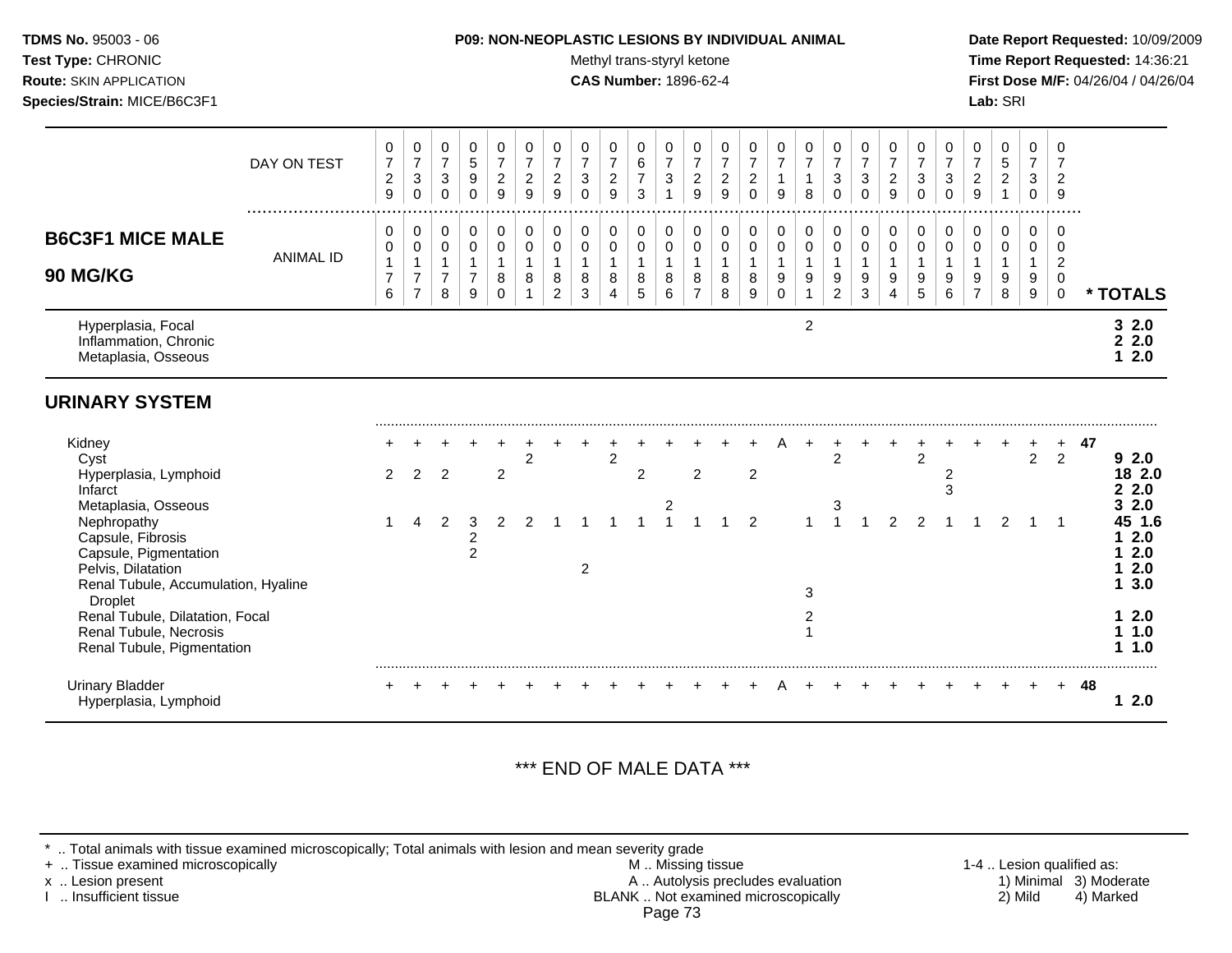#### **TDMS No.** 95003 - 06 **P09: NON-NEOPLASTIC LESIONS BY INDIVIDUAL ANIMAL Date Report Requested:** 10/09/2009

Test Type: CHRONIC **Test Type:** CHRONIC **Test Type:** CHRONIC **Time Report Requested:** 14:36:21 **Route:** SKIN APPLICATION **CAS Number:** 1896-62-4 **First Dose M/F:** 04/26/04 / 04/26/04

|                                                                                                                                               | DAY ON TEST      | 0<br>$\overline{7}$<br>$\overline{c}$<br>9    | $\pmb{0}$<br>$\overline{7}$<br>$\ensuremath{\mathsf{3}}$<br>$\mathbf 0$ | 0<br>$\overline{7}$<br>3<br>$\Omega$                  | 0<br>$\sqrt{5}$<br>$\boldsymbol{9}$<br>$\Omega$       | $\pmb{0}$<br>$\overline{7}$<br>$\sqrt{2}$<br>9              | 0<br>$\overline{7}$<br>$\overline{c}$<br>9 | 0<br>$\overline{7}$<br>$\boldsymbol{2}$<br>9            | 0<br>$\overline{7}$<br>$\mathbf{3}$<br>$\Omega$ | $\pmb{0}$<br>$\overline{7}$<br>$\overline{2}$<br>9 | 0<br>$\,6\,$<br>$\overline{7}$<br>3                 | 0<br>$\overline{7}$<br>$\ensuremath{\mathsf{3}}$<br>$\mathbf{1}$ | 0<br>$\overline{7}$<br>$\boldsymbol{2}$<br>9  | 0<br>$\overline{7}$<br>$\overline{c}$<br>9 | 0<br>$\overline{7}$<br>$\overline{c}$<br>$\Omega$ | 0<br>$\overline{7}$<br>$\mathbf{1}$<br>9        | 0<br>$\overline{7}$<br>$\mathbf{1}$<br>8 | 0<br>$\overline{7}$<br>$\sqrt{3}$<br>$\Omega$           | $\mathbf 0$<br>$\overline{7}$<br>$\sqrt{3}$<br>$\Omega$ | 0<br>$\overline{7}$<br>$\overline{c}$<br>9 | 0<br>$\overline{7}$<br>3<br>$\Omega$       | 0<br>$\overline{7}$<br>3<br>$\Omega$ | 0<br>$\overline{7}$<br>$\sqrt{2}$<br>9 | 0<br>$\sqrt{5}$<br>$\overline{2}$ | 0<br>$\overline{7}$<br>3<br>$\Omega$       | 0<br>$\overline{7}$<br>$\overline{2}$<br>9                              |    |                                                 |
|-----------------------------------------------------------------------------------------------------------------------------------------------|------------------|-----------------------------------------------|-------------------------------------------------------------------------|-------------------------------------------------------|-------------------------------------------------------|-------------------------------------------------------------|--------------------------------------------|---------------------------------------------------------|-------------------------------------------------|----------------------------------------------------|-----------------------------------------------------|------------------------------------------------------------------|-----------------------------------------------|--------------------------------------------|---------------------------------------------------|-------------------------------------------------|------------------------------------------|---------------------------------------------------------|---------------------------------------------------------|--------------------------------------------|--------------------------------------------|--------------------------------------|----------------------------------------|-----------------------------------|--------------------------------------------|-------------------------------------------------------------------------|----|-------------------------------------------------|
| <b>B6C3F1 MICE MALE</b><br>90 MG/KG                                                                                                           | <b>ANIMAL ID</b> | 0<br>0<br>$\mathbf{1}$<br>$\overline{7}$<br>6 | $\pmb{0}$<br>$\pmb{0}$<br>$\overline{7}$<br>$\overline{7}$              | 0<br>$\pmb{0}$<br>$\mathbf{1}$<br>$\overline{7}$<br>8 | 0<br>$\pmb{0}$<br>$\mathbf{1}$<br>$\overline{7}$<br>9 | $\mathbf 0$<br>$\pmb{0}$<br>$\overline{1}$<br>8<br>$\Omega$ | 0<br>0<br>$\mathbf{1}$<br>8                | 0<br>$\mathbf 0$<br>$\mathbf{1}$<br>8<br>$\overline{2}$ | 0<br>$\,0\,$<br>$\mathbf{1}$<br>8<br>3          | 0<br>$\pmb{0}$<br>$\mathbf{1}$<br>8<br>4           | 0<br>$\mathbf 0$<br>$\mathbf{1}$<br>8<br>$\sqrt{5}$ | 0<br>$\mathbf 0$<br>$\mathbf{1}$<br>8<br>6                       | 0<br>0<br>$\mathbf{1}$<br>8<br>$\overline{7}$ | 0<br>$\pmb{0}$<br>$\mathbf{1}$<br>8<br>8   | 0<br>$\pmb{0}$<br>$\mathbf{1}$<br>8<br>9          | 0<br>$\pmb{0}$<br>$\mathbf{1}$<br>9<br>$\Omega$ | 0<br>$\pmb{0}$<br>$\mathbf{1}$<br>9      | 0<br>$\mathbf 0$<br>$\mathbf{1}$<br>9<br>$\overline{2}$ | 0<br>$\mathbf 0$<br>$\mathbf{1}$<br>9<br>3              | 0<br>$\mathbf 0$<br>$\mathbf{1}$<br>9<br>4 | 0<br>$\mathbf 0$<br>$\mathbf{1}$<br>9<br>5 | 0<br>0<br>$\mathbf{1}$<br>9<br>6     | 0<br>0<br>1<br>9<br>$\overline{7}$     | 0<br>0<br>9<br>8                  | 0<br>$\mathbf 0$<br>$\mathbf{1}$<br>9<br>9 | $\Omega$<br>$\mathbf 0$<br>$\overline{c}$<br>$\mathbf 0$<br>$\mathbf 0$ |    | * TOTALS                                        |
| Hyperplasia, Focal<br>Inflammation, Chronic<br>Metaplasia, Osseous                                                                            |                  |                                               |                                                                         |                                                       |                                                       |                                                             |                                            |                                                         |                                                 |                                                    |                                                     |                                                                  |                                               |                                            |                                                   |                                                 | 2                                        |                                                         |                                                         |                                            |                                            |                                      |                                        |                                   |                                            |                                                                         |    | 32.0<br>22.0<br>2.0<br>$\mathbf 1$              |
| <b>URINARY SYSTEM</b>                                                                                                                         |                  |                                               |                                                                         |                                                       |                                                       |                                                             |                                            |                                                         |                                                 |                                                    |                                                     |                                                                  |                                               |                                            |                                                   |                                                 |                                          |                                                         |                                                         |                                            |                                            |                                      |                                        |                                   |                                            |                                                                         |    |                                                 |
| Kidney<br>Cyst<br>Hyperplasia, Lymphoid<br>Infarct                                                                                            |                  | $\overline{2}$                                | 2                                                                       | $\overline{2}$                                        |                                                       | $\overline{2}$                                              | 2                                          |                                                         |                                                 | $\overline{c}$                                     | $\overline{c}$                                      |                                                                  | $\overline{2}$                                |                                            | $\overline{2}$                                    |                                                 |                                          | $\overline{c}$                                          |                                                         |                                            | $\overline{2}$                             | 2<br>3                               |                                        |                                   | $\overline{2}$                             | 2                                                                       | 47 | 92.0<br>18 2.0<br>2.0<br>2                      |
| Metaplasia, Osseous<br>Nephropathy<br>Capsule, Fibrosis<br>Capsule, Pigmentation<br>Pelvis, Dilatation<br>Renal Tubule, Accumulation, Hyaline |                  |                                               | 4                                                                       | 2                                                     | 3<br>$\overline{c}$<br>$\overline{c}$                 | $\mathcal{P}$                                               |                                            |                                                         | 2                                               |                                                    |                                                     | 2                                                                |                                               |                                            | $\mathcal{P}$                                     |                                                 | 3                                        | 3                                                       |                                                         | 2                                          |                                            |                                      |                                        | $\mathfrak{p}$                    |                                            |                                                                         |    | 2.0<br>45 1.6<br>2.0<br>2.0<br>2.0<br>3.0<br>1. |
| <b>Droplet</b><br>Renal Tubule, Dilatation, Focal<br>Renal Tubule, Necrosis<br>Renal Tubule, Pigmentation                                     |                  |                                               |                                                                         |                                                       |                                                       |                                                             |                                            |                                                         |                                                 |                                                    |                                                     |                                                                  |                                               |                                            |                                                   |                                                 | 2                                        |                                                         |                                                         |                                            |                                            |                                      |                                        |                                   |                                            |                                                                         |    | 2.0<br>1.0<br>1.0<br>1                          |
| <b>Urinary Bladder</b><br>Hyperplasia, Lymphoid                                                                                               |                  |                                               |                                                                         |                                                       |                                                       |                                                             |                                            |                                                         |                                                 |                                                    |                                                     |                                                                  |                                               |                                            |                                                   |                                                 |                                          |                                                         |                                                         |                                            |                                            |                                      |                                        |                                   |                                            | $+$                                                                     | 48 | 2.0<br>1                                        |

# \*\*\* END OF MALE DATA \*\*\*

\* .. Total animals with tissue examined microscopically; Total animals with lesion and mean severity grade<br>+ .. Tissue examined microscopically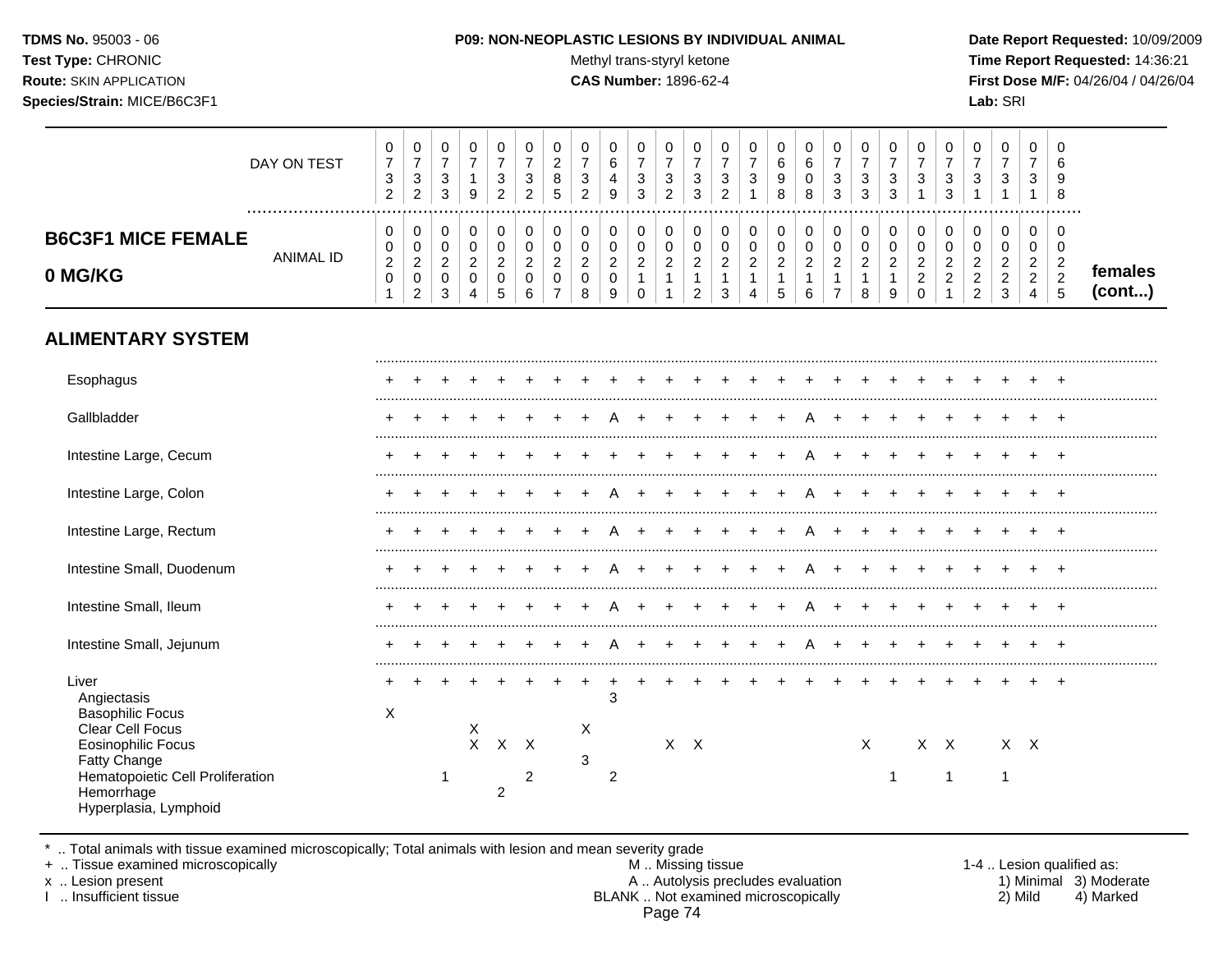#### **TDMS No.** 95003 - 06 **P09: NON-NEOPLASTIC LESIONS BY INDIVIDUAL ANIMAL Date Report Requested:** 10/09/2009

**Test Type:** CHRONIC **The Report Requested:** 14:36:21 **Route:** SKIN APPLICATION **CAS Number:** 1896-62-4 **First Dose M/F:** 04/26/04 / 04/26/04

|                                      | DAY ON TEST          | 0<br>$\overline{7}$<br>$\ensuremath{\mathsf{3}}$<br>2 | $\mathbf 0$<br>$\overline{7}$<br>$\sqrt{3}$<br>2     | $\mathbf 0$<br>$\boldsymbol{7}$<br>$\mathsf 3$<br>3    | 0<br>$\boldsymbol{7}$<br>$\mathbf 1$<br>9                  | 0<br>$\boldsymbol{7}$<br>$\ensuremath{\mathsf{3}}$<br>2 | 0<br>$\boldsymbol{7}$<br>3<br>2    | 0<br>$\boldsymbol{2}$<br>8<br>5                           | 0<br>$\overline{7}$<br>3<br>$\overline{2}$ | 0<br>$\,6\,$<br>4<br>9             | 0<br>$\overline{7}$<br>3<br>3                  | 0<br>$\boldsymbol{7}$<br>$\sqrt{3}$<br>2 | 0<br>$\boldsymbol{7}$<br>3<br>3                            | 0<br>$\overline{7}$<br>3<br>$\overline{2}$      | 0<br>$\overline{7}$<br>$\mathbf{3}$  | 0<br>$\,6$<br>9<br>8                            | 0<br>$\,6\,$<br>0<br>8             | 0<br>$\overline{7}$<br>3<br>3              | 0<br>$\boldsymbol{7}$<br>$\sqrt{3}$<br>3 | 0<br>$\boldsymbol{7}$<br>$\sqrt{3}$<br>3                  | 0<br>$\overline{7}$<br>3                                  | 0<br>$\overline{7}$<br>3<br>3 | 0<br>$\overline{7}$<br>3                        | 0<br>$\overline{7}$<br>3                                | 0<br>$\overline{7}$<br>3                        | 0<br>6<br>9<br>8                                                      |                   |
|--------------------------------------|----------------------|-------------------------------------------------------|------------------------------------------------------|--------------------------------------------------------|------------------------------------------------------------|---------------------------------------------------------|------------------------------------|-----------------------------------------------------------|--------------------------------------------|------------------------------------|------------------------------------------------|------------------------------------------|------------------------------------------------------------|-------------------------------------------------|--------------------------------------|-------------------------------------------------|------------------------------------|--------------------------------------------|------------------------------------------|-----------------------------------------------------------|-----------------------------------------------------------|-------------------------------|-------------------------------------------------|---------------------------------------------------------|-------------------------------------------------|-----------------------------------------------------------------------|-------------------|
| <b>B6C3F1 MICE FEMALE</b><br>0 MG/KG | <br><b>ANIMAL ID</b> | 0<br>0<br>$\boldsymbol{2}$<br>$\mathbf 0$<br>1        | $\pmb{0}$<br>0<br>$\boldsymbol{2}$<br>$\pmb{0}$<br>2 | 0<br>$\mathbf 0$<br>$\overline{a}$<br>$\mathbf 0$<br>3 | $\pmb{0}$<br>$\pmb{0}$<br>$\overline{c}$<br>$\pmb{0}$<br>4 | 0<br>0<br>$\boldsymbol{2}$<br>$\pmb{0}$<br>5            | 0<br>0<br>$\overline{c}$<br>0<br>6 | $\mathbf 0$<br>0<br>$\overline{c}$<br>0<br>$\overline{7}$ | 0<br>0<br>$\overline{c}$<br>0<br>8         | 0<br>0<br>$\overline{c}$<br>0<br>9 | 0<br>$\mathbf 0$<br>$\overline{a}$<br>$\Omega$ | $\pmb{0}$<br>0<br>$\overline{2}$         | 0<br>0<br>$\overline{c}$<br>$\mathbf{1}$<br>$\overline{2}$ | 0<br>0<br>$\boldsymbol{2}$<br>$\mathbf{1}$<br>3 | 0<br>0<br>$\boldsymbol{2}$<br>1<br>4 | 0<br>0<br>$\boldsymbol{2}$<br>$\mathbf{1}$<br>5 | 0<br>0<br>$\overline{c}$<br>1<br>6 | 0<br>0<br>$\overline{a}$<br>$\overline{7}$ | 0<br>0<br>$\overline{2}$<br>8            | 0<br>$\mathbf 0$<br>$\boldsymbol{2}$<br>$\mathbf{1}$<br>9 | 0<br>0<br>$\overline{c}$<br>$\overline{c}$<br>$\mathbf 0$ | 0<br>0<br>2                   | 0<br>0<br>2<br>$\overline{c}$<br>$\overline{2}$ | $\pmb{0}$<br>0<br>$\overline{c}$<br>$\overline{c}$<br>3 | 0<br>0<br>$\overline{c}$<br>$\overline{c}$<br>4 | 0<br>0<br>$\overline{\mathbf{c}}$<br>$\overline{2}$<br>$\overline{5}$ | females<br>(cont) |
| <b>ALIMENTARY SYSTEM</b>             |                      |                                                       |                                                      |                                                        |                                                            |                                                         |                                    |                                                           |                                            |                                    |                                                |                                          |                                                            |                                                 |                                      |                                                 |                                    |                                            |                                          |                                                           |                                                           |                               |                                                 |                                                         |                                                 |                                                                       |                   |
| Esophagus                            |                      |                                                       |                                                      |                                                        |                                                            |                                                         |                                    |                                                           |                                            |                                    |                                                |                                          |                                                            |                                                 |                                      |                                                 |                                    |                                            |                                          |                                                           |                                                           |                               |                                                 |                                                         |                                                 |                                                                       |                   |
| Gallbladder                          |                      |                                                       |                                                      |                                                        |                                                            |                                                         |                                    |                                                           |                                            |                                    |                                                |                                          |                                                            |                                                 |                                      |                                                 |                                    |                                            |                                          |                                                           |                                                           |                               |                                                 |                                                         |                                                 |                                                                       |                   |
| Intestine Large, Cecum               |                      |                                                       |                                                      |                                                        |                                                            |                                                         |                                    |                                                           |                                            |                                    |                                                |                                          |                                                            |                                                 |                                      |                                                 |                                    |                                            |                                          |                                                           |                                                           |                               |                                                 |                                                         |                                                 |                                                                       |                   |
| Intestine Large, Colon               |                      |                                                       |                                                      |                                                        |                                                            |                                                         |                                    |                                                           |                                            |                                    |                                                |                                          |                                                            |                                                 |                                      |                                                 |                                    |                                            |                                          |                                                           |                                                           |                               |                                                 |                                                         |                                                 |                                                                       |                   |
| Intestine Large, Rectum              |                      |                                                       |                                                      |                                                        |                                                            |                                                         |                                    |                                                           |                                            |                                    |                                                |                                          |                                                            |                                                 |                                      |                                                 |                                    |                                            |                                          |                                                           |                                                           |                               |                                                 |                                                         |                                                 |                                                                       |                   |
| Intestine Small, Duodenum            |                      |                                                       |                                                      |                                                        |                                                            |                                                         |                                    |                                                           |                                            |                                    |                                                |                                          |                                                            |                                                 |                                      |                                                 |                                    |                                            |                                          |                                                           |                                                           |                               |                                                 |                                                         |                                                 |                                                                       |                   |
| Intestine Small, Ileum               |                      |                                                       |                                                      |                                                        |                                                            |                                                         |                                    |                                                           |                                            |                                    |                                                |                                          |                                                            |                                                 |                                      |                                                 |                                    |                                            |                                          |                                                           |                                                           |                               |                                                 |                                                         |                                                 |                                                                       |                   |
| Intestine Small, Jejunum             |                      |                                                       |                                                      |                                                        |                                                            |                                                         |                                    |                                                           |                                            |                                    |                                                |                                          |                                                            |                                                 |                                      |                                                 |                                    |                                            |                                          |                                                           |                                                           |                               |                                                 |                                                         |                                                 |                                                                       |                   |
| Liver<br>Angiectasis                 |                      |                                                       |                                                      |                                                        |                                                            |                                                         |                                    |                                                           |                                            | 3                                  |                                                |                                          |                                                            |                                                 |                                      |                                                 |                                    |                                            |                                          |                                                           |                                                           |                               |                                                 |                                                         |                                                 |                                                                       |                   |

Basophilic Focus X Clear Cell Focus X X X X<br>Eosinophilic Focus X X X X X Eosinophilic Focus X X X X X X X X X X Fatty Change 3 Hematopoietic Cell Proliferation 1 2 2 2<br>
Hemorrhage 1 2 2 1 1 1 Hemorrhage Hyperplasia, Lymphoid

\* .. Total animals with tissue examined microscopically; Total animals with lesion and mean severity grade<br>+ .. Tissue examined microscopically

+ .. Tissue examined microscopically examined microscopically and the state of the 1-4 . Lesion qualified as:

x .. Lesion present A .. Autolysis precludes evaluation 1) Minimal 3) Moderate<br>I .. Insufficient tissue BLANK .. Not examined microscopically 2) M BLANK .. Not examined microscopically Page 74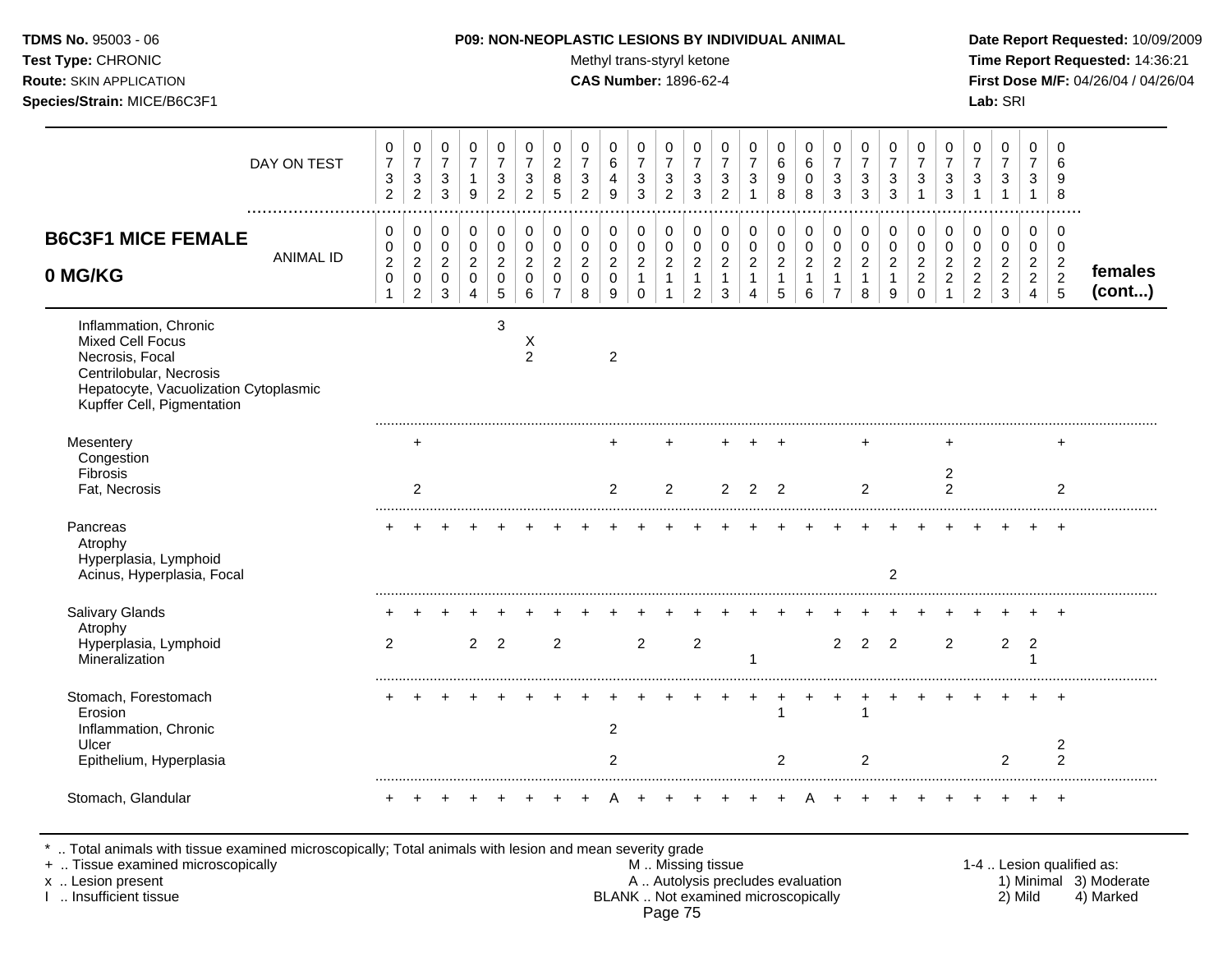Test Type: CHRONIC **Test Type:** CHRONIC **Test Type:** CHRONIC **Time Report Requested:** 14:36:21 **Route:** SKIN APPLICATION **CAS Number:** 1896-62-4 **First Dose M/F:** 04/26/04 / 04/26/04 **Species/Strain:** MICE/B6C3F1 **Lab:** SRI

|                                                                                                                                                                | DAY ON TEST      | 0<br>$\boldsymbol{7}$<br>$\ensuremath{\mathsf{3}}$<br>$\overline{2}$ | 0<br>$\overline{7}$<br>$\mathbf{3}$<br>$\overline{2}$ | 0<br>$\overline{7}$<br>$\sqrt{3}$<br>3         | 0<br>$\overline{7}$<br>1<br>9                         | 0<br>$\overline{7}$<br>3<br>$\overline{c}$ | 0<br>$\overline{7}$<br>3<br>$\overline{2}$ | 0<br>$\overline{c}$<br>8<br>5      | 0<br>$\overline{7}$<br>3<br>$\overline{2}$        | 0<br>6<br>4<br>9                             | 0<br>$\overline{7}$<br>$\sqrt{3}$<br>3                 | 0<br>$\overline{7}$<br>$\ensuremath{\mathsf{3}}$<br>$\overline{2}$ | 0<br>$\overline{7}$<br>3<br>3                     | 0<br>$\overline{7}$<br>3<br>$\overline{2}$    | 0<br>$\overline{7}$<br>3<br>-1           | 0<br>$\,6$<br>9<br>8                                   | 0<br>$\,6\,$<br>0<br>8                                 | 0<br>$\overline{7}$<br>3<br>3                                        | 0<br>$\overline{7}$<br>3<br>3          | 0<br>$\overline{7}$<br>3<br>3      | 0<br>$\overline{7}$<br>3<br>$\mathbf 1$                | 0<br>$\overline{7}$<br>3<br>3                             | 0<br>$\overline{7}$<br>3                                     | 0<br>$\overline{7}$<br>3<br>$\overline{1}$    | 0<br>$\overline{7}$<br>3<br>$\mathbf{1}$                     | 0<br>6<br>9<br>8                                                   |                   |
|----------------------------------------------------------------------------------------------------------------------------------------------------------------|------------------|----------------------------------------------------------------------|-------------------------------------------------------|------------------------------------------------|-------------------------------------------------------|--------------------------------------------|--------------------------------------------|------------------------------------|---------------------------------------------------|----------------------------------------------|--------------------------------------------------------|--------------------------------------------------------------------|---------------------------------------------------|-----------------------------------------------|------------------------------------------|--------------------------------------------------------|--------------------------------------------------------|----------------------------------------------------------------------|----------------------------------------|------------------------------------|--------------------------------------------------------|-----------------------------------------------------------|--------------------------------------------------------------|-----------------------------------------------|--------------------------------------------------------------|--------------------------------------------------------------------|-------------------|
| <b>B6C3F1 MICE FEMALE</b><br>0 MG/KG                                                                                                                           | <b>ANIMAL ID</b> | 0<br>0<br>$\sqrt{2}$<br>$\pmb{0}$<br>$\mathbf{1}$                    | 0<br>0<br>$\sqrt{2}$<br>$\pmb{0}$<br>$\overline{2}$   | 0<br>0<br>$\boldsymbol{2}$<br>$\mathbf 0$<br>3 | 0<br>$\mathbf 0$<br>$\sqrt{2}$<br>0<br>$\overline{4}$ | 0<br>0<br>$\overline{2}$<br>0<br>5         | 0<br>0<br>$\overline{c}$<br>0<br>6         | 0<br>0<br>$\overline{c}$<br>0<br>7 | 0<br>$\boldsymbol{0}$<br>$\overline{2}$<br>0<br>8 | 0<br>0<br>$\overline{c}$<br>$\mathbf 0$<br>9 | 0<br>0<br>$\boldsymbol{2}$<br>$\mathbf{1}$<br>$\Omega$ | 0<br>$\pmb{0}$<br>$\overline{c}$<br>1                              | 0<br>$\overline{0}$<br>$\boldsymbol{2}$<br>1<br>2 | 0<br>0<br>$\overline{c}$<br>$\mathbf{1}$<br>3 | 0<br>$\mathbf 0$<br>$\sqrt{2}$<br>1<br>Δ | 0<br>$\mathbf 0$<br>$\overline{c}$<br>$\mathbf 1$<br>5 | 0<br>$\pmb{0}$<br>$\boldsymbol{2}$<br>$\mathbf 1$<br>6 | 0<br>$\pmb{0}$<br>$\boldsymbol{2}$<br>$\mathbf{1}$<br>$\overline{7}$ | 0<br>$\pmb{0}$<br>$\sqrt{2}$<br>1<br>8 | 0<br>0<br>$\overline{2}$<br>1<br>9 | 0<br>0<br>$\overline{c}$<br>$\overline{2}$<br>$\Omega$ | 0<br>$\mathbf 0$<br>$\overline{c}$<br>$\overline{2}$<br>1 | 0<br>0<br>$\overline{a}$<br>$\overline{c}$<br>$\overline{2}$ | 0<br>0<br>$\sqrt{2}$<br>$\boldsymbol{2}$<br>3 | 0<br>0<br>$\overline{c}$<br>$\overline{2}$<br>$\overline{4}$ | 0<br>$\mathbf 0$<br>$\overline{c}$<br>$\overline{c}$<br>$\sqrt{5}$ | females<br>(cont) |
| Inflammation, Chronic<br>Mixed Cell Focus<br>Necrosis, Focal<br>Centrilobular, Necrosis<br>Hepatocyte, Vacuolization Cytoplasmic<br>Kupffer Cell, Pigmentation |                  |                                                                      |                                                       |                                                |                                                       | 3                                          | X<br>$\overline{c}$                        |                                    |                                                   | $\overline{2}$                               |                                                        |                                                                    |                                                   |                                               |                                          |                                                        |                                                        |                                                                      |                                        |                                    |                                                        |                                                           |                                                              |                                               |                                                              |                                                                    |                   |
| Mesentery<br>Congestion<br>Fibrosis<br>Fat, Necrosis                                                                                                           |                  |                                                                      | +<br>2                                                |                                                |                                                       |                                            |                                            |                                    |                                                   | +<br>$\overline{2}$                          |                                                        | 2                                                                  |                                                   | +<br>$\overline{2}$                           | $\overline{2}$                           | $\div$<br>$\overline{2}$                               |                                                        |                                                                      | 2                                      |                                    |                                                        | $\overline{c}$<br>2                                       |                                                              |                                               |                                                              | +<br>2                                                             |                   |
| Pancreas<br>Atrophy<br>Hyperplasia, Lymphoid<br>Acinus, Hyperplasia, Focal                                                                                     |                  |                                                                      |                                                       |                                                |                                                       |                                            |                                            |                                    |                                                   |                                              |                                                        |                                                                    |                                                   |                                               |                                          |                                                        |                                                        |                                                                      |                                        | $\overline{2}$                     |                                                        |                                                           |                                                              |                                               |                                                              | $\overline{ }$                                                     |                   |
| Salivary Glands<br>Atrophy<br>Hyperplasia, Lymphoid<br>Mineralization                                                                                          |                  | $\overline{2}$                                                       |                                                       |                                                | 2                                                     | $\overline{2}$                             |                                            | $\overline{2}$                     |                                                   |                                              | $\overline{2}$                                         |                                                                    | $\overline{c}$                                    |                                               | 1                                        |                                                        |                                                        | $\overline{2}$                                                       | $\overline{2}$                         | $\overline{2}$                     |                                                        | $\overline{2}$                                            |                                                              | $\overline{c}$                                | $\overline{c}$                                               |                                                                    |                   |
| Stomach, Forestomach<br>Erosion<br>Inflammation, Chronic<br>Ulcer<br>Epithelium, Hyperplasia                                                                   |                  |                                                                      |                                                       |                                                |                                                       |                                            |                                            |                                    |                                                   | $\overline{2}$<br>$\overline{c}$             |                                                        |                                                                    |                                                   |                                               |                                          | 2                                                      |                                                        |                                                                      | 1<br>$\overline{2}$                    |                                    |                                                        |                                                           |                                                              | 2                                             |                                                              | $\overline{c}$<br>2                                                |                   |
| Stomach, Glandular                                                                                                                                             |                  |                                                                      |                                                       |                                                |                                                       |                                            |                                            |                                    |                                                   |                                              |                                                        |                                                                    |                                                   |                                               |                                          |                                                        |                                                        |                                                                      |                                        |                                    |                                                        |                                                           |                                                              |                                               |                                                              | $\div$                                                             |                   |

\* .. Total animals with tissue examined microscopically; Total animals with lesion and mean severity grade

- + .. Tissue examined microscopically M .. Missing tissue 1-4 .. Lesion qualified as: x .. Lesion present **A .. Autolysis precludes evaluation** A .. Autolysis precludes evaluation 1) Minimal 3) Moderate I .. Insufficient tissue BLANK .. Not examined microscopically 2) Mild 4) Marked Page 75
	-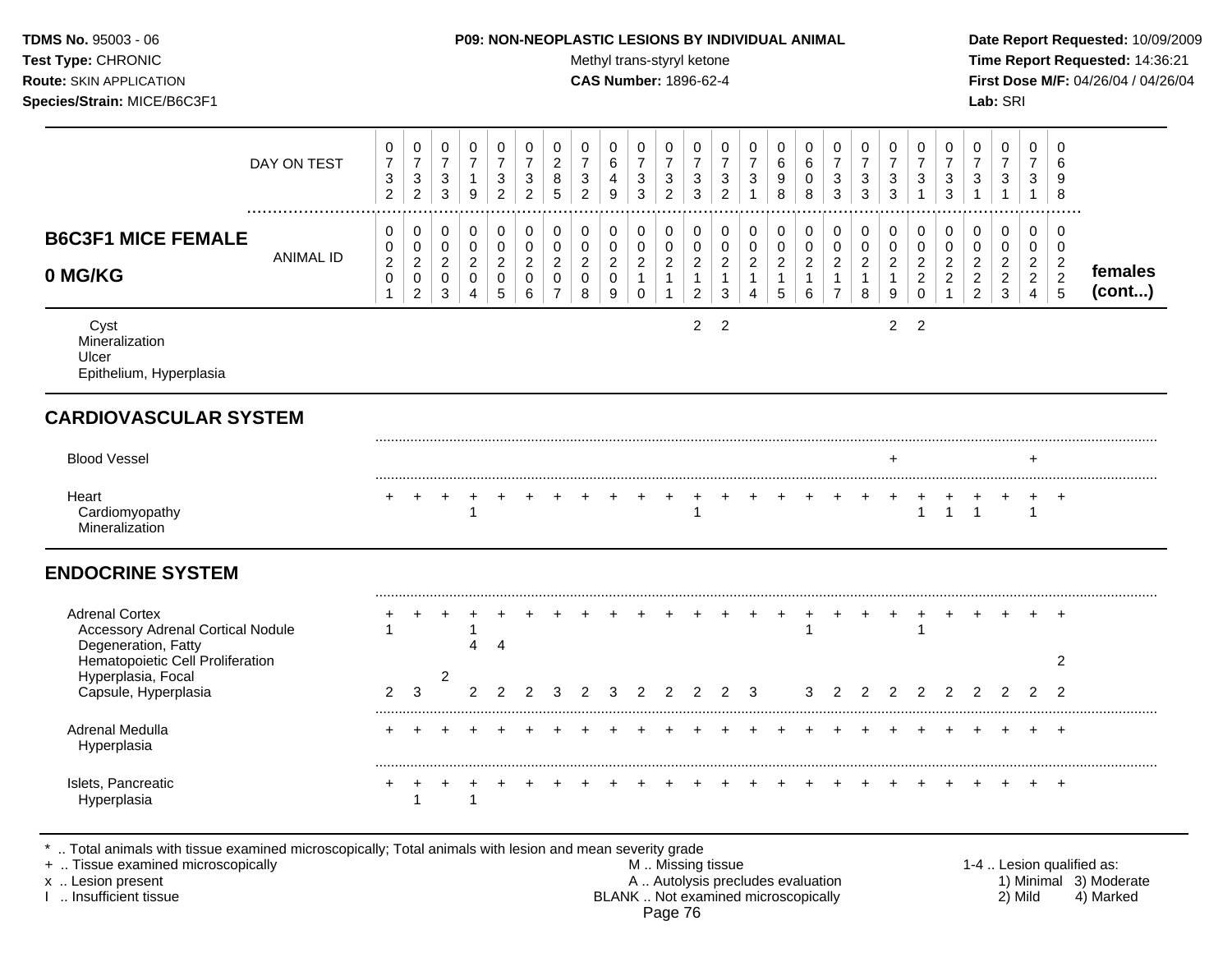| <b>TDMS No. 95003 - 06</b>     | <b>P09: NON-NEOPLASTIC LESIONS BY INDIVIDUAL ANIMAL</b> | Date Rep         |
|--------------------------------|---------------------------------------------------------|------------------|
| <b>Test Type: CHRONIC</b>      | Methyl trans-styryl ketone                              | <b>Time Re</b>   |
| <b>Route: SKIN APPLICATION</b> | <b>CAS Number: 1896-62-4</b>                            | <b>First Dos</b> |
| Species/Strain: MICE/B6C3F1    |                                                         | Lab: SRI         |

## **P09: NON-NEOPLASTIC LESIONS BY INDIVIDUAL ANIMAL Date Report Requested:** 10/09/2009

**Methyl trans-styryl ketone Time Report Requested:** 14:36:21 **CAS Number:** 1896-62-4 **First Dose M/F:** 04/26/04 / 04/26/04

| DAY ON TEST                                                                              | 0<br>$\overline{7}$<br>$\sqrt{3}$<br>$\overline{c}$           | 0<br>$\overline{7}$<br>$\mathbf{3}$<br>$\overline{2}$         | 0<br>$\overline{7}$<br>$\mathbf{3}$<br>$\mathbf{3}$ | 0<br>$\overline{7}$<br>$\mathbf{1}$<br>9             | 0<br>$\overline{7}$<br>3<br>$\overline{2}$   | 0<br>$\overline{7}$<br>3<br>$\overline{c}$             | 0<br>$\sqrt{2}$<br>8<br>5                                                     | 0<br>$\overline{7}$<br>$\mathfrak{S}$<br>$\overline{2}$ | 0<br>$\,6\,$<br>$\overline{a}$<br>9                                     | 0<br>$\overline{7}$<br>$\mathbf{3}$<br>3                          | 0<br>$\overline{7}$<br>3<br>$\overline{2}$       | 0<br>$\overline{7}$<br>$\mathbf{3}$<br>3                             | 0<br>$\overline{7}$<br>$\mathbf{3}$<br>$\overline{2}$ | 0<br>$\overline{7}$<br>$\sqrt{3}$                                        | 0<br>6<br>9<br>8                                      | 0<br>$\,6\,$<br>$\mathbf 0$<br>8                                     | 0<br>$\overline{7}$<br>3<br>3                                                            | 0<br>$\overline{7}$<br>3<br>3                | 0<br>$\overline{7}$<br>$\mathbf{3}$<br>3                | 0<br>$\overline{7}$<br>$\sqrt{3}$<br>$\overline{1}$                    | 0<br>$\overline{7}$<br>$\mathbf{3}$<br>3                               | 0<br>$\overline{7}$<br>$\mathfrak{S}$                           | $\mathbf 0$<br>$\overline{7}$<br>$\mathbf{3}$<br>$\mathbf{1}$          | 0<br>$\overline{7}$<br>3<br>$\mathbf{1}$                               | 0<br>6<br>9<br>8                                      |                   |
|------------------------------------------------------------------------------------------|---------------------------------------------------------------|---------------------------------------------------------------|-----------------------------------------------------|------------------------------------------------------|----------------------------------------------|--------------------------------------------------------|-------------------------------------------------------------------------------|---------------------------------------------------------|-------------------------------------------------------------------------|-------------------------------------------------------------------|--------------------------------------------------|----------------------------------------------------------------------|-------------------------------------------------------|--------------------------------------------------------------------------|-------------------------------------------------------|----------------------------------------------------------------------|------------------------------------------------------------------------------------------|----------------------------------------------|---------------------------------------------------------|------------------------------------------------------------------------|------------------------------------------------------------------------|-----------------------------------------------------------------|------------------------------------------------------------------------|------------------------------------------------------------------------|-------------------------------------------------------|-------------------|
| <b>B6C3F1 MICE FEMALE</b><br><b>ANIMAL ID</b><br>0 MG/KG                                 | $\mathbf 0$<br>0<br>$\sqrt{2}$<br>$\mathbf 0$<br>$\mathbf{1}$ | 0<br>$\mathsf 0$<br>$\sqrt{2}$<br>$\pmb{0}$<br>$\overline{c}$ | 0<br>$\mathbf 0$<br>$\sqrt{2}$<br>0<br>$\mathbf{3}$ | 0<br>$\pmb{0}$<br>$\overline{c}$<br>$\mathbf 0$<br>4 | 0<br>$\mathbf 0$<br>$\overline{2}$<br>0<br>5 | 0<br>$\mathbf 0$<br>$\overline{c}$<br>$\mathbf 0$<br>6 | $\mathbf 0$<br>$\mathbf 0$<br>$\overline{c}$<br>$\mathbf 0$<br>$\overline{7}$ | 0<br>$\pmb{0}$<br>$\overline{c}$<br>$\mathbf 0$<br>8    | $\mathbf 0$<br>$\pmb{0}$<br>$\sqrt{2}$<br>$\mathbf 0$<br>$\overline{9}$ | 0<br>$\mathbf 0$<br>$\overline{2}$<br>$\mathbf{1}$<br>$\mathbf 0$ | 0<br>$\pmb{0}$<br>$\overline{c}$<br>$\mathbf{1}$ | 0<br>$\mathsf 0$<br>$\overline{c}$<br>$\mathbf{1}$<br>$\overline{c}$ | 0<br>$\pmb{0}$<br>$\overline{2}$<br>$\mathbf{1}$<br>3 | $\mathbf 0$<br>$\pmb{0}$<br>$\sqrt{2}$<br>$\mathbf{1}$<br>$\overline{4}$ | 0<br>$\pmb{0}$<br>$\overline{c}$<br>$\mathbf{1}$<br>5 | 0<br>$\mathbf 0$<br>$\overline{a}$<br>$\mathbf{1}$<br>$6\phantom{1}$ | $\mathbf 0$<br>$\mathsf{O}\xspace$<br>$\overline{2}$<br>$\overline{1}$<br>$\overline{7}$ | 0<br>$\mathbf 0$<br>$\overline{c}$<br>1<br>8 | 0<br>$\mathbf 0$<br>$\overline{c}$<br>$\mathbf{1}$<br>9 | $\mathbf 0$<br>$\mathbf 0$<br>$\sqrt{2}$<br>$\overline{2}$<br>$\Omega$ | 0<br>$\mathbf 0$<br>$\boldsymbol{2}$<br>$\overline{2}$<br>$\mathbf{1}$ | 0<br>$\mathbf 0$<br>$\sqrt{2}$<br>$\mathbf 2$<br>$\overline{2}$ | $\mathbf 0$<br>0<br>$\overline{c}$<br>$\overline{2}$<br>$\mathfrak{Z}$ | 0<br>$\mathsf 0$<br>$\overline{2}$<br>$\overline{2}$<br>$\overline{4}$ | 0<br>$\mathbf 0$<br>$\overline{c}$<br>$\sqrt{2}$<br>5 | females<br>(cont) |
| Cyst<br>Mineralization<br>Ulcer<br>Epithelium, Hyperplasia                               |                                                               |                                                               |                                                     |                                                      |                                              |                                                        |                                                                               |                                                         |                                                                         |                                                                   |                                                  | $\overline{2}$                                                       | 2                                                     |                                                                          |                                                       |                                                                      |                                                                                          |                                              | $\overline{2}$                                          | $\overline{2}$                                                         |                                                                        |                                                                 |                                                                        |                                                                        |                                                       |                   |
| <b>CARDIOVASCULAR SYSTEM</b>                                                             |                                                               |                                                               |                                                     |                                                      |                                              |                                                        |                                                                               |                                                         |                                                                         |                                                                   |                                                  |                                                                      |                                                       |                                                                          |                                                       |                                                                      |                                                                                          |                                              |                                                         |                                                                        |                                                                        |                                                                 |                                                                        |                                                                        |                                                       |                   |
| <b>Blood Vessel</b>                                                                      |                                                               |                                                               |                                                     |                                                      |                                              |                                                        |                                                                               |                                                         |                                                                         |                                                                   |                                                  |                                                                      |                                                       |                                                                          |                                                       |                                                                      |                                                                                          |                                              | $\div$                                                  |                                                                        |                                                                        |                                                                 |                                                                        | $\div$                                                                 |                                                       |                   |
| Heart<br>Cardiomyopathy<br>Mineralization                                                |                                                               | $\div$                                                        | $\ddot{}$                                           | $\overline{+}$<br>$\overline{1}$                     | $+$                                          |                                                        |                                                                               |                                                         |                                                                         |                                                                   | $\pm$                                            | $\ddot{}$<br>1                                                       | $\pm$                                                 |                                                                          |                                                       |                                                                      |                                                                                          | $\pm$                                        | $\ddot{}$                                               | $\ddot{}$<br>$\overline{1}$                                            | $\ddot{}$<br>$\mathbf{1}$                                              | $\overline{1}$                                                  |                                                                        | $+$<br>$\mathbf{1}$                                                    | $+$                                                   |                   |
| <b>ENDOCRINE SYSTEM</b>                                                                  |                                                               |                                                               |                                                     |                                                      |                                              |                                                        |                                                                               |                                                         |                                                                         |                                                                   |                                                  |                                                                      |                                                       |                                                                          |                                                       |                                                                      |                                                                                          |                                              |                                                         |                                                                        |                                                                        |                                                                 |                                                                        |                                                                        |                                                       |                   |
| <b>Adrenal Cortex</b><br><b>Accessory Adrenal Cortical Nodule</b><br>Degeneration, Fatty |                                                               |                                                               |                                                     | 1<br>4                                               | $\overline{4}$                               |                                                        |                                                                               |                                                         |                                                                         |                                                                   |                                                  |                                                                      |                                                       |                                                                          |                                                       |                                                                      |                                                                                          |                                              |                                                         | -1                                                                     |                                                                        |                                                                 |                                                                        |                                                                        | $\pm$                                                 |                   |
| Hematopoietic Cell Proliferation<br>Hyperplasia, Focal<br>Capsule, Hyperplasia           | $\overline{2}$                                                | 3                                                             | $\overline{2}$                                      | $\overline{2}$                                       |                                              |                                                        |                                                                               | 2                                                       | 3                                                                       | 2                                                                 | 2                                                | 2                                                                    | 2                                                     | 3                                                                        |                                                       | 3                                                                    | 2                                                                                        | 2                                            | $\overline{2}$                                          | 2                                                                      | $\overline{2}$                                                         | 2                                                               | $\mathcal{P}$                                                          | $\mathcal{P}$                                                          | 2<br>$\mathcal{P}$                                    |                   |
| Adrenal Medulla<br>Hyperplasia                                                           |                                                               |                                                               |                                                     |                                                      |                                              |                                                        |                                                                               |                                                         |                                                                         |                                                                   |                                                  |                                                                      |                                                       |                                                                          |                                                       |                                                                      |                                                                                          |                                              |                                                         |                                                                        |                                                                        |                                                                 |                                                                        |                                                                        | $+$                                                   |                   |
| Islets, Pancreatic<br>Hyperplasia                                                        |                                                               | 1                                                             |                                                     | 1                                                    |                                              |                                                        |                                                                               |                                                         |                                                                         |                                                                   |                                                  |                                                                      |                                                       |                                                                          |                                                       |                                                                      |                                                                                          |                                              |                                                         |                                                                        |                                                                        |                                                                 |                                                                        |                                                                        | $\pm$                                                 |                   |

\* .. Total animals with tissue examined microscopically; Total animals with lesion and mean severity grade

+ .. Tissue examined microscopically M .. Missing tissue 1-4 .. Lesion qualified as: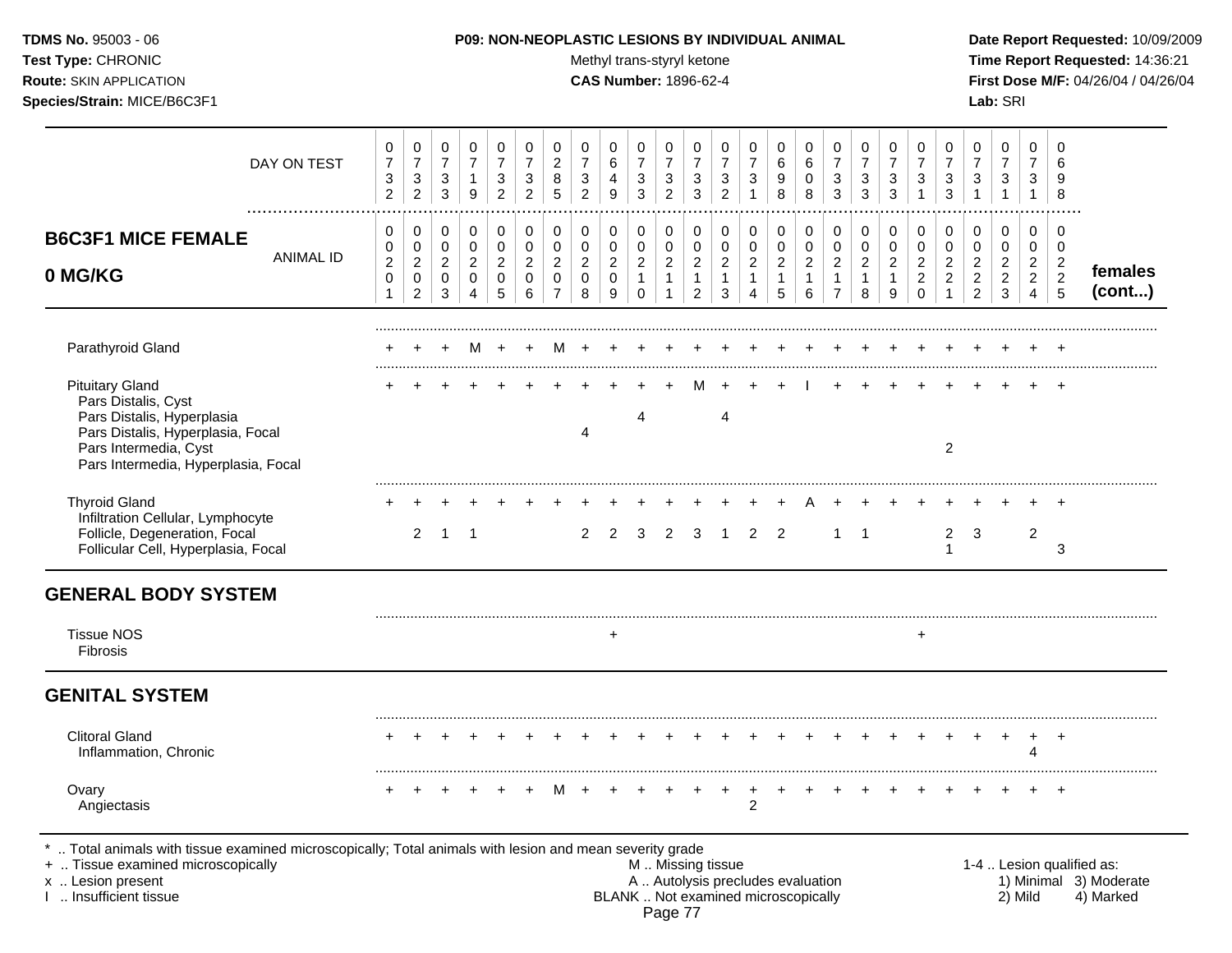| <b>TDMS No. 95003 - 06</b>         | <b>P09: NON-NEOPLASTIC LESIONS BY INDIVIDUAL ANIMAL</b> | Date Rep         |
|------------------------------------|---------------------------------------------------------|------------------|
| <b>Test Type: CHRONIC</b>          | Methyl trans-styryl ketone                              | Time Rep         |
| <b>Route: SKIN APPLICATION</b>     | <b>CAS Number: 1896-62-4</b>                            | <b>First Dos</b> |
| <b>Species/Strain: MICE/B6C3F1</b> |                                                         | <b>Lab: SRI</b>  |

Test Type: CHRONIC **Test Type:** CHRONIC **Test Type:** CHRONIC **Time Report Requested:** 14:36:21 **Route:** SKIN APPLICATION **CAS Number:** 1896-62-4 **First Dose M/F:** 04/26/04 / 04/26/04

| DAY ON TEST                                                                                                                                                                                | 0<br>$\overline{7}$<br>$\sqrt{3}$<br>$\overline{2}$              | 0<br>$\overline{7}$<br>$\mathbf{3}$<br>$\overline{c}$                         | 0<br>$\overline{7}$<br>3<br>$\mathbf{3}$                        | 0<br>$\overline{7}$<br>$\mathbf{1}$<br>9                       | 0<br>$\overline{7}$<br>3<br>$\overline{2}$                    | 0<br>$\overline{7}$<br>3<br>$\overline{2}$           | $\mathbf 0$<br>$\sqrt{2}$<br>8<br>5                                                       | 0<br>$\overline{7}$<br>$\sqrt{3}$<br>$\overline{2}$  | 0<br>6<br>4<br>9                                   | 0<br>$\overline{7}$<br>$\sqrt{3}$<br>$\mathbf{3}$                 | 0<br>7<br>3<br>$\overline{2}$                                    | 0<br>$\overline{7}$<br>3<br>3                                                  | 0<br>$\overline{7}$<br>$\ensuremath{\mathsf{3}}$<br>$\overline{2}$ | 0<br>$\overline{7}$<br>$\sqrt{3}$<br>$\mathbf{1}$                        | 0<br>6<br>9<br>8                                              | 0<br>$\,6\,$<br>0<br>8                                          | 0<br>$\overline{7}$<br>$\sqrt{3}$<br>3                                       | 0<br>$\overline{7}$<br>$\mathbf{3}$<br>3                        | 0<br>$\overline{7}$<br>3<br>3                                     | 0<br>$\overline{7}$<br>$\mathfrak{S}$<br>$\mathbf{1}$                  | 0<br>$\overline{7}$<br>$\mathbf 3$<br>$\mathbf{3}$                   | 0<br>$\overline{7}$<br>3<br>$\mathbf{1}$                                       | 0<br>$\overline{7}$<br>3<br>$\mathbf{1}$                  | 0<br>7<br>3<br>$\mathbf{1}$                                                      | 0<br>6<br>9<br>8                                |                                                                  |
|--------------------------------------------------------------------------------------------------------------------------------------------------------------------------------------------|------------------------------------------------------------------|-------------------------------------------------------------------------------|-----------------------------------------------------------------|----------------------------------------------------------------|---------------------------------------------------------------|------------------------------------------------------|-------------------------------------------------------------------------------------------|------------------------------------------------------|----------------------------------------------------|-------------------------------------------------------------------|------------------------------------------------------------------|--------------------------------------------------------------------------------|--------------------------------------------------------------------|--------------------------------------------------------------------------|---------------------------------------------------------------|-----------------------------------------------------------------|------------------------------------------------------------------------------|-----------------------------------------------------------------|-------------------------------------------------------------------|------------------------------------------------------------------------|----------------------------------------------------------------------|--------------------------------------------------------------------------------|-----------------------------------------------------------|----------------------------------------------------------------------------------|-------------------------------------------------|------------------------------------------------------------------|
| <b>B6C3F1 MICE FEMALE</b><br><b>ANIMAL ID</b><br>0 MG/KG                                                                                                                                   | $\mathbf 0$<br>$\pmb{0}$<br>$\boldsymbol{2}$<br>$\mathbf 0$<br>1 | $\mathbf 0$<br>$\mathbf 0$<br>$\overline{a}$<br>$\mathbf 0$<br>$\overline{c}$ | $\pmb{0}$<br>$\mathsf 0$<br>$\overline{c}$<br>0<br>$\mathbf{3}$ | $\pmb{0}$<br>$\pmb{0}$<br>$\boldsymbol{2}$<br>$\mathbf 0$<br>4 | $\mathbf 0$<br>$\mathbf 0$<br>$\overline{c}$<br>$\Omega$<br>5 | 0<br>$\pmb{0}$<br>$\overline{c}$<br>$\mathbf 0$<br>6 | $\mathsf{O}\xspace$<br>$\mathsf{O}\xspace$<br>$\sqrt{2}$<br>$\mathbf 0$<br>$\overline{7}$ | 0<br>$\pmb{0}$<br>$\overline{2}$<br>$\mathbf 0$<br>8 | $\pmb{0}$<br>$\pmb{0}$<br>$\overline{c}$<br>0<br>9 | 0<br>$\mathbf 0$<br>$\overline{2}$<br>$\mathbf{1}$<br>$\mathbf 0$ | 0<br>$\pmb{0}$<br>$\overline{c}$<br>$\mathbf{1}$<br>$\mathbf{1}$ | $\mathbf 0$<br>$\mathbf 0$<br>$\overline{a}$<br>$\mathbf{1}$<br>$\overline{2}$ | $\pmb{0}$<br>$\pmb{0}$<br>$\overline{c}$<br>$\mathbf{1}$<br>3      | 0<br>$\pmb{0}$<br>$\overline{c}$<br>$\mathbf{1}$<br>4                    | $\pmb{0}$<br>$\pmb{0}$<br>$\overline{c}$<br>$\mathbf{1}$<br>5 | $\pmb{0}$<br>$\mathbf 0$<br>$\overline{2}$<br>$\mathbf{1}$<br>6 | $\pmb{0}$<br>$\pmb{0}$<br>$\boldsymbol{2}$<br>$\mathbf{1}$<br>$\overline{7}$ | $\pmb{0}$<br>$\mathbf 0$<br>$\overline{2}$<br>$\mathbf{1}$<br>8 | $\mathbf 0$<br>$\mathbf 0$<br>$\overline{2}$<br>$\mathbf{1}$<br>9 | $\pmb{0}$<br>$\pmb{0}$<br>$\overline{c}$<br>$\overline{2}$<br>$\Omega$ | 0<br>$\mathbf 0$<br>$\overline{c}$<br>$\overline{2}$<br>$\mathbf{1}$ | $\pmb{0}$<br>$\mathbf 0$<br>$\overline{2}$<br>$\overline{2}$<br>$\overline{2}$ | 0<br>$\mathbf 0$<br>$\overline{c}$<br>$\overline{2}$<br>3 | $\mathbf 0$<br>$\mathbf 0$<br>$\overline{2}$<br>$\overline{2}$<br>$\overline{4}$ | 0<br>0<br>$\overline{c}$<br>$\overline{2}$<br>5 | females<br>(cont)                                                |
| Parathyroid Gland                                                                                                                                                                          |                                                                  | ÷                                                                             | $\ddot{}$                                                       | M                                                              | $\ddot{}$                                                     | $\pm$                                                | M                                                                                         |                                                      |                                                    |                                                                   |                                                                  |                                                                                |                                                                    |                                                                          |                                                               |                                                                 |                                                                              |                                                                 |                                                                   |                                                                        |                                                                      |                                                                                |                                                           |                                                                                  |                                                 |                                                                  |
| <b>Pituitary Gland</b><br>Pars Distalis, Cyst<br>Pars Distalis, Hyperplasia<br>Pars Distalis, Hyperplasia, Focal<br>Pars Intermedia, Cyst<br>Pars Intermedia, Hyperplasia, Focal           |                                                                  |                                                                               |                                                                 |                                                                |                                                               |                                                      |                                                                                           | 4                                                    |                                                    | Δ                                                                 |                                                                  |                                                                                | 4                                                                  |                                                                          |                                                               |                                                                 |                                                                              |                                                                 |                                                                   |                                                                        | $\overline{c}$                                                       |                                                                                |                                                           |                                                                                  | $\ddot{}$                                       |                                                                  |
| <b>Thyroid Gland</b><br>Infiltration Cellular, Lymphocyte<br>Follicle, Degeneration, Focal<br>Follicular Cell, Hyperplasia, Focal                                                          |                                                                  | $\overline{2}$                                                                | $\mathbf{1}$                                                    | $\overline{1}$                                                 |                                                               |                                                      |                                                                                           | $\overline{2}$                                       | 2                                                  | 3                                                                 | 2                                                                | 3                                                                              | $\overline{1}$                                                     | 2                                                                        | $\overline{2}$                                                |                                                                 | $\mathbf{1}$                                                                 | $\overline{1}$                                                  |                                                                   |                                                                        | $\overline{2}$<br>1                                                  | 3                                                                              |                                                           | $\overline{2}$                                                                   | 3                                               |                                                                  |
| <b>GENERAL BODY SYSTEM</b>                                                                                                                                                                 |                                                                  |                                                                               |                                                                 |                                                                |                                                               |                                                      |                                                                                           |                                                      |                                                    |                                                                   |                                                                  |                                                                                |                                                                    |                                                                          |                                                               |                                                                 |                                                                              |                                                                 |                                                                   |                                                                        |                                                                      |                                                                                |                                                           |                                                                                  |                                                 |                                                                  |
| <b>Tissue NOS</b><br>Fibrosis                                                                                                                                                              |                                                                  |                                                                               |                                                                 |                                                                |                                                               |                                                      |                                                                                           |                                                      | $\ddot{}$                                          |                                                                   |                                                                  |                                                                                |                                                                    |                                                                          |                                                               |                                                                 |                                                                              |                                                                 |                                                                   | $\ddot{}$                                                              |                                                                      |                                                                                |                                                           |                                                                                  |                                                 |                                                                  |
| <b>GENITAL SYSTEM</b>                                                                                                                                                                      |                                                                  |                                                                               |                                                                 |                                                                |                                                               |                                                      |                                                                                           |                                                      |                                                    |                                                                   |                                                                  |                                                                                |                                                                    |                                                                          |                                                               |                                                                 |                                                                              |                                                                 |                                                                   |                                                                        |                                                                      |                                                                                |                                                           |                                                                                  |                                                 |                                                                  |
| <b>Clitoral Gland</b><br>Inflammation, Chronic                                                                                                                                             |                                                                  |                                                                               |                                                                 |                                                                |                                                               |                                                      |                                                                                           |                                                      |                                                    |                                                                   |                                                                  |                                                                                |                                                                    |                                                                          |                                                               |                                                                 |                                                                              |                                                                 |                                                                   |                                                                        |                                                                      |                                                                                |                                                           | 4                                                                                | $\ddot{}$                                       |                                                                  |
| Ovary<br>Angiectasis                                                                                                                                                                       |                                                                  |                                                                               |                                                                 |                                                                |                                                               |                                                      |                                                                                           |                                                      |                                                    |                                                                   |                                                                  |                                                                                |                                                                    | $\overline{c}$                                                           |                                                               |                                                                 |                                                                              |                                                                 |                                                                   |                                                                        |                                                                      |                                                                                |                                                           |                                                                                  | $\ddot{}$                                       |                                                                  |
| Total animals with tissue examined microscopically; Total animals with lesion and mean severity grade<br>+  Tissue examined microscopically<br>x  Lesion present<br>1  Insufficient tissue |                                                                  |                                                                               |                                                                 |                                                                |                                                               |                                                      |                                                                                           |                                                      |                                                    |                                                                   | Page 77                                                          | M  Missing tissue                                                              |                                                                    | A  Autolysis precludes evaluation<br>BLANK  Not examined microscopically |                                                               |                                                                 |                                                                              |                                                                 |                                                                   |                                                                        |                                                                      |                                                                                |                                                           | 2) Mild                                                                          |                                                 | 1-4  Lesion qualified as:<br>1) Minimal 3) Moderate<br>4) Marked |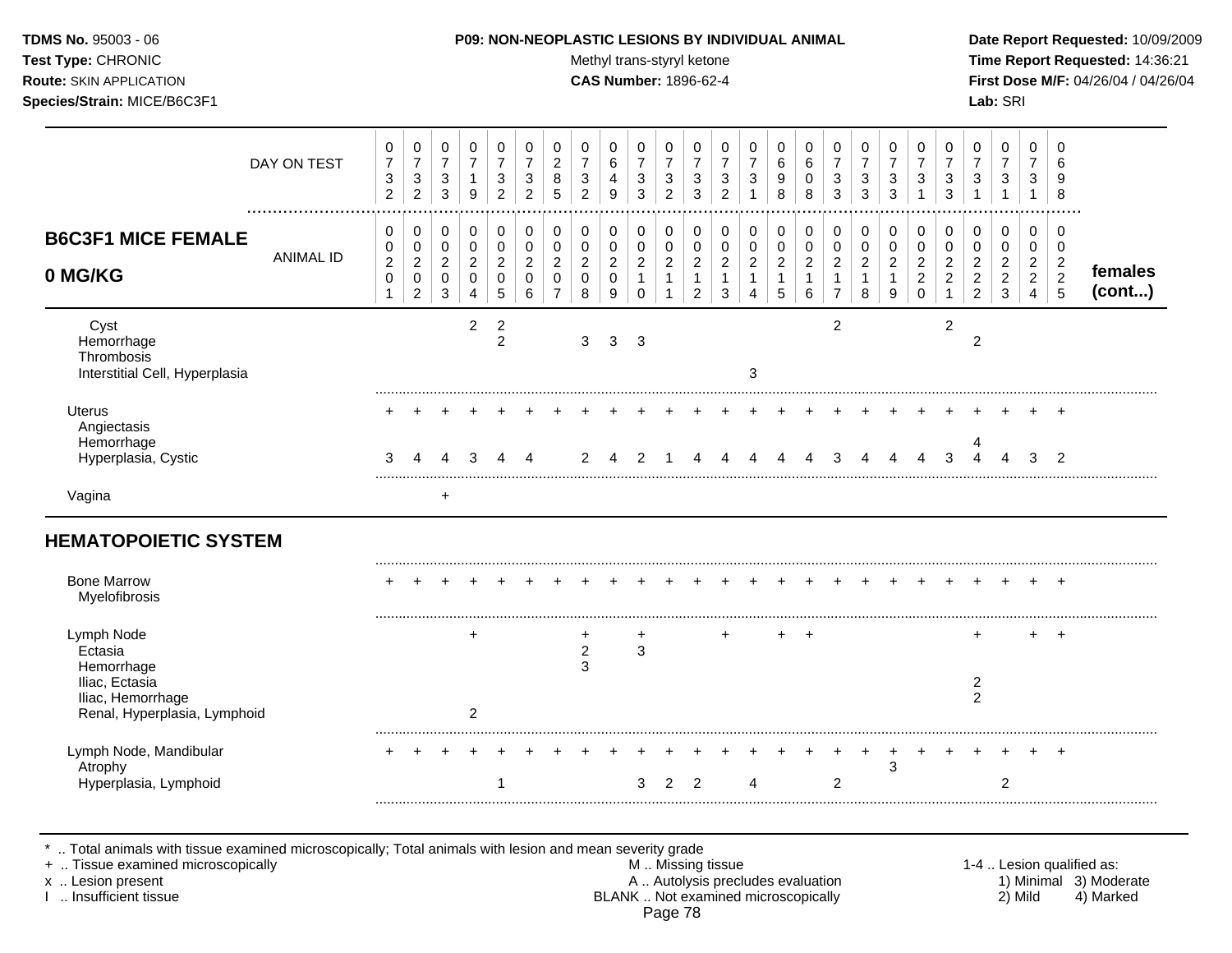Test Type: CHRONIC **Test Type:** CHRONIC **Test Type:** CHRONIC **Time Report Requested:** 14:36:21 **Route:** SKIN APPLICATION **CAS Number:** 1896-62-4 **First Dose M/F:** 04/26/04 / 04/26/04 **Species/Strain:** MICE/B6C3F1 **Lab:** SRI

|                                                                                                            | DAY ON TEST      | 0<br>$\overline{7}$<br>$\sqrt{3}$<br>$\overline{2}$ | 0<br>$\overline{7}$<br>3<br>$\overline{c}$                        | 0<br>$\overline{7}$<br>3<br>3                          | 0<br>$\overline{7}$<br>1<br>9                | 0<br>$\overline{7}$<br>3<br>$\overline{2}$   | 0<br>$\overline{7}$<br>$\mathbf{3}$<br>$\overline{2}$  | 0<br>$\overline{c}$<br>8<br>5                                   | 0<br>$\overline{7}$<br>$\sqrt{3}$<br>2       | 0<br>6<br>4<br>9                                       | 0<br>$\overline{7}$<br>$\ensuremath{\mathsf{3}}$<br>3        | 0<br>$\overline{7}$<br>$\sqrt{3}$<br>2 | 0<br>$\overline{7}$<br>3<br>3                          | 0<br>$\overline{7}$<br>3<br>2         | 0<br>$\overline{7}$<br>3                     | 0<br>6<br>9<br>8                             | 0<br>6<br>0<br>8                                        | 0<br>$\overline{7}$<br>3<br>3                         | 0<br>$\overline{7}$<br>$\mathbf{3}$<br>3 | 0<br>$\overline{7}$<br>3<br>3 | 0<br>$\overline{7}$<br>3                                     | 0<br>$\overline{7}$<br>3<br>3                   | 0<br>$\overline{7}$<br>$\sqrt{3}$<br>$\mathbf 1$                       | 0<br>$\overline{7}$<br>$\sqrt{3}$<br>1                | 0<br>7<br>3<br>1                                          | 0<br>6<br>9<br>8                                               |                   |
|------------------------------------------------------------------------------------------------------------|------------------|-----------------------------------------------------|-------------------------------------------------------------------|--------------------------------------------------------|----------------------------------------------|----------------------------------------------|--------------------------------------------------------|-----------------------------------------------------------------|----------------------------------------------|--------------------------------------------------------|--------------------------------------------------------------|----------------------------------------|--------------------------------------------------------|---------------------------------------|----------------------------------------------|----------------------------------------------|---------------------------------------------------------|-------------------------------------------------------|------------------------------------------|-------------------------------|--------------------------------------------------------------|-------------------------------------------------|------------------------------------------------------------------------|-------------------------------------------------------|-----------------------------------------------------------|----------------------------------------------------------------|-------------------|
| <b>B6C3F1 MICE FEMALE</b><br>0 MG/KG                                                                       | <b>ANIMAL ID</b> | 0<br>0<br>$\overline{c}$<br>$\mathsf{O}\xspace$     | 0<br>$\mathbf 0$<br>$\overline{c}$<br>$\pmb{0}$<br>$\overline{c}$ | 0<br>$\mathbf 0$<br>$\overline{2}$<br>$\mathbf 0$<br>3 | 0<br>$\mathbf 0$<br>$\overline{2}$<br>0<br>4 | 0<br>0<br>$\overline{2}$<br>$\mathbf 0$<br>5 | 0<br>$\mathbf 0$<br>$\overline{2}$<br>$\mathbf 0$<br>6 | 0<br>$\pmb{0}$<br>$\overline{2}$<br>$\pmb{0}$<br>$\overline{7}$ | 0<br>$\pmb{0}$<br>$\boldsymbol{2}$<br>0<br>8 | 0<br>$\mathbf 0$<br>$\overline{2}$<br>$\mathbf 0$<br>9 | 0<br>$\pmb{0}$<br>$\overline{c}$<br>$\mathbf{1}$<br>$\Omega$ | 0<br>0<br>$\overline{2}$<br>1          | 0<br>$\pmb{0}$<br>$\boldsymbol{2}$<br>$\mathbf 1$<br>2 | 0<br>$\pmb{0}$<br>$\overline{2}$<br>3 | 0<br>$\mathsf 0$<br>$\overline{2}$<br>1<br>4 | 0<br>$\mathbf 0$<br>$\overline{2}$<br>1<br>5 | 0<br>$\pmb{0}$<br>$\boldsymbol{2}$<br>$\mathbf{1}$<br>6 | 0<br>$\mathbf 0$<br>$\sqrt{2}$<br>1<br>$\overline{7}$ | 0<br>0<br>$\overline{2}$<br>8            | 0<br>0<br>2<br>9              | 0<br>$\mathbf 0$<br>$\overline{c}$<br>$\sqrt{2}$<br>$\Omega$ | 0<br>0<br>$\overline{c}$<br>$\overline{c}$<br>1 | 0<br>$\pmb{0}$<br>$\boldsymbol{2}$<br>$\overline{2}$<br>$\overline{2}$ | 0<br>$\mathbf 0$<br>$\sqrt{2}$<br>$\overline{c}$<br>3 | 0<br>$\mathbf 0$<br>$\overline{2}$<br>$\overline{c}$<br>4 | 0<br>$\mathbf 0$<br>$\overline{c}$<br>$\sqrt{2}$<br>$\sqrt{5}$ | females<br>(cont) |
| Cyst<br>Hemorrhage<br>Thrombosis<br>Interstitial Cell, Hyperplasia                                         |                  |                                                     |                                                                   |                                                        | $\overline{\mathbf{c}}$                      | $\overline{c}$<br>$\overline{c}$             |                                                        |                                                                 | 3                                            | 3                                                      | 3                                                            |                                        |                                                        |                                       | 3                                            |                                              |                                                         | $\overline{2}$                                        |                                          |                               |                                                              | $\overline{c}$                                  | 2                                                                      |                                                       |                                                           |                                                                |                   |
| <b>Uterus</b><br>Angiectasis<br>Hemorrhage<br>Hyperplasia, Cystic                                          |                  | 3                                                   |                                                                   |                                                        |                                              |                                              |                                                        |                                                                 |                                              |                                                        |                                                              |                                        |                                                        |                                       |                                              |                                              |                                                         |                                                       |                                          |                               |                                                              | 3                                               |                                                                        |                                                       |                                                           | $\overline{2}$                                                 |                   |
| Vagina                                                                                                     |                  |                                                     |                                                                   | $\div$                                                 |                                              |                                              |                                                        |                                                                 |                                              |                                                        |                                                              |                                        |                                                        |                                       |                                              |                                              |                                                         |                                                       |                                          |                               |                                                              |                                                 |                                                                        |                                                       |                                                           |                                                                |                   |
| <b>HEMATOPOIETIC SYSTEM</b>                                                                                |                  |                                                     |                                                                   |                                                        |                                              |                                              |                                                        |                                                                 |                                              |                                                        |                                                              |                                        |                                                        |                                       |                                              |                                              |                                                         |                                                       |                                          |                               |                                                              |                                                 |                                                                        |                                                       |                                                           |                                                                |                   |
| <b>Bone Marrow</b><br>Myelofibrosis                                                                        |                  |                                                     |                                                                   |                                                        |                                              |                                              |                                                        |                                                                 |                                              |                                                        |                                                              |                                        |                                                        |                                       |                                              |                                              |                                                         |                                                       |                                          |                               |                                                              |                                                 |                                                                        |                                                       | $\ddot{}$                                                 | $\ddot{}$                                                      |                   |
| Lymph Node<br>Ectasia<br>Hemorrhage<br>Iliac, Ectasia<br>Iliac, Hemorrhage<br>Renal, Hyperplasia, Lymphoid |                  |                                                     |                                                                   |                                                        | $\overline{2}$                               |                                              |                                                        |                                                                 | +<br>$\overline{c}$<br>3                     |                                                        | $\ddot{}$<br>3                                               |                                        |                                                        |                                       |                                              |                                              |                                                         |                                                       |                                          |                               |                                                              |                                                 | 2<br>$\overline{c}$                                                    |                                                       |                                                           | $\div$                                                         |                   |
| Lymph Node, Mandibular<br>Atrophy<br>Hyperplasia, Lymphoid                                                 |                  | +                                                   |                                                                   |                                                        |                                              |                                              |                                                        |                                                                 |                                              |                                                        | 3                                                            | 2                                      | 2                                                      |                                       | 4                                            |                                              |                                                         | $\overline{2}$                                        |                                          | 3                             |                                                              |                                                 |                                                                        | 2                                                     |                                                           | $\ddot{}$                                                      |                   |

\* .. Total animals with tissue examined microscopically; Total animals with lesion and mean severity grade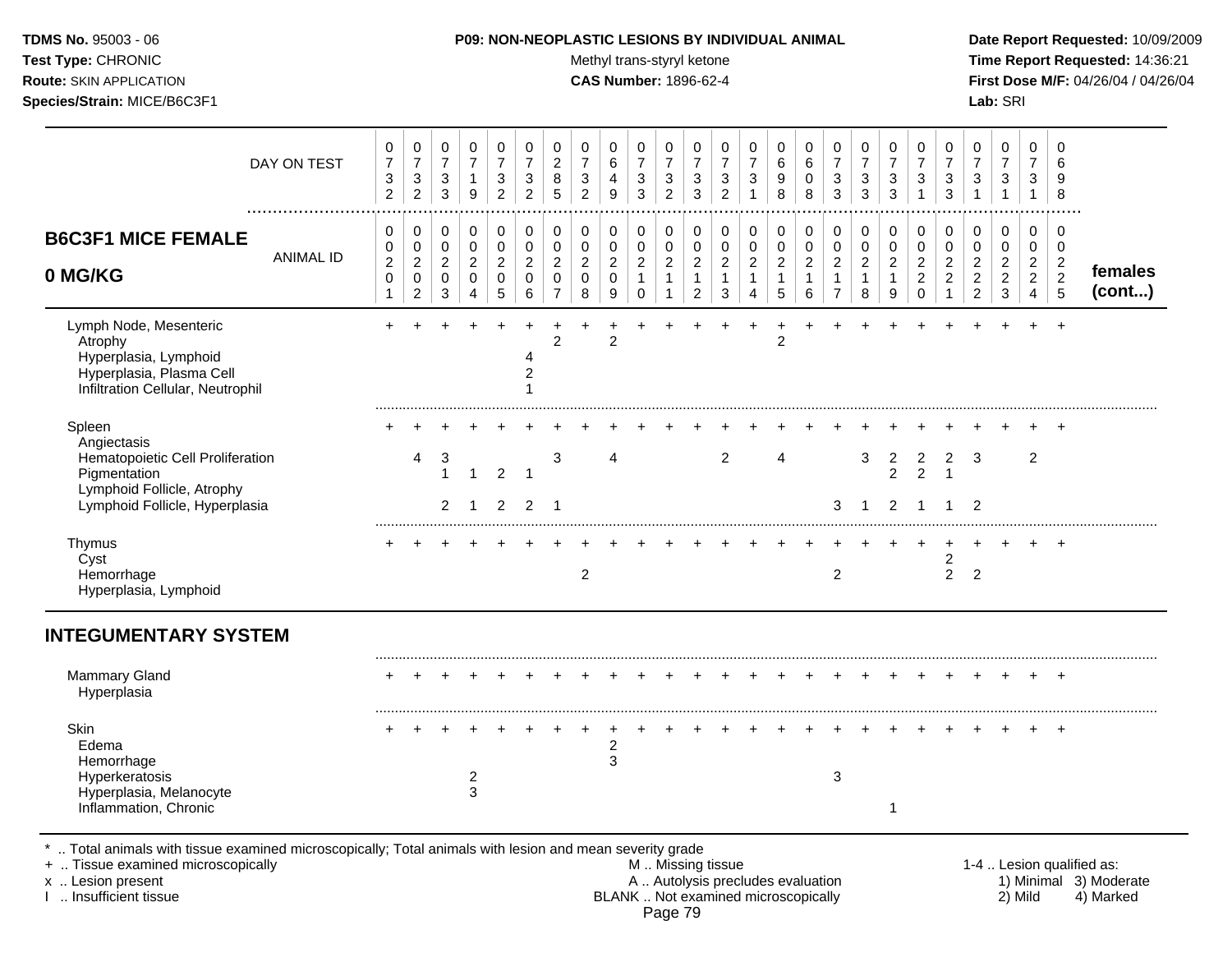Test Type: CHRONIC **Test Type:** CHRONIC **Test Type:** CHRONIC **Time Report Requested:** 14:36:21 **Route:** SKIN APPLICATION **CAS Number:** 1896-62-4 **First Dose M/F:** 04/26/04 / 04/26/04 **Species/Strain:** MICE/B6C3F1 **Lab:** SRI

| DAY ON TEST<br>.                                                                                                                            | 0<br>$\overline{7}$<br>3<br>$\overline{2}$ | 0<br>$\overline{7}$<br>$\sqrt{3}$<br>$\overline{2}$ | 0<br>$\overline{7}$<br>3<br>3           | $\mathbf 0$<br>$\overline{7}$<br>$\mathbf 1$<br>9 | 0<br>$\overline{7}$<br>3<br>$\overline{2}$ | $\mathbf 0$<br>$\overline{7}$<br>3<br>$\overline{2}$    | 0<br>$\boldsymbol{2}$<br>8<br>5                                           | 0<br>$\overline{7}$<br>$\mathbf{3}$<br>$\overline{2}$ | $\mathbf 0$<br>6<br>$\overline{4}$<br>9                     | $\mathbf 0$<br>$\overline{7}$<br>$\sqrt{3}$<br>3     | $\mathbf 0$<br>$\overline{7}$<br>3<br>$\overline{2}$ | 0<br>$\overline{7}$<br>3<br>3                            | $\mathbf 0$<br>$\overline{7}$<br>3<br>$\overline{c}$ | 0<br>$\overline{7}$<br>3<br>$\mathbf{1}$                   | 0<br>6<br>9<br>8                                   | $\mathbf 0$<br>$\,6\,$<br>0<br>8             | 0<br>$\overline{7}$<br>$\sqrt{3}$<br>3                 | $\mathbf 0$<br>$\overline{7}$<br>3<br>3                    | 0<br>$\overline{7}$<br>3<br>$\mathbf{3}$                 | $\mathbf 0$<br>$\overline{7}$<br>3<br>$\mathbf 1$                  | 0<br>$\overline{7}$<br>$\sqrt{3}$<br>3                           | 0<br>$\overline{7}$<br>$\mathbf{3}$<br>$\mathbf 1$   | 0<br>$\overline{7}$<br>$\sqrt{3}$<br>$\mathbf{1}$                      | 0<br>$\overline{7}$<br>3<br>$\mathbf{1}$                     | $\mathbf 0$<br>6<br>9<br>8                                     |                           |
|---------------------------------------------------------------------------------------------------------------------------------------------|--------------------------------------------|-----------------------------------------------------|-----------------------------------------|---------------------------------------------------|--------------------------------------------|---------------------------------------------------------|---------------------------------------------------------------------------|-------------------------------------------------------|-------------------------------------------------------------|------------------------------------------------------|------------------------------------------------------|----------------------------------------------------------|------------------------------------------------------|------------------------------------------------------------|----------------------------------------------------|----------------------------------------------|--------------------------------------------------------|------------------------------------------------------------|----------------------------------------------------------|--------------------------------------------------------------------|------------------------------------------------------------------|------------------------------------------------------|------------------------------------------------------------------------|--------------------------------------------------------------|----------------------------------------------------------------|---------------------------|
| <b>B6C3F1 MICE FEMALE</b><br><b>ANIMAL ID</b><br>0 MG/KG                                                                                    | 0<br>0<br>$\overline{c}$<br>$\mathbf 0$    | 0<br>$\pmb{0}$<br>$\overline{2}$<br>0               | 0<br>$\mathbf 0$<br>$\overline{2}$<br>0 | $\pmb{0}$<br>$\mathbf 0$<br>$\overline{2}$<br>0   | 0<br>$\mathbf 0$<br>$\overline{2}$<br>0    | $\mathbf 0$<br>$\mathbf 0$<br>$\sqrt{2}$<br>$\mathbf 0$ | $\pmb{0}$<br>$\pmb{0}$<br>$\boldsymbol{2}$<br>$\pmb{0}$<br>$\overline{7}$ | 0<br>$\pmb{0}$<br>$\overline{c}$<br>0                 | $\mathbf 0$<br>$\mathbf 0$<br>$\overline{2}$<br>$\mathbf 0$ | 0<br>$\mathbf 0$<br>$\boldsymbol{2}$<br>$\mathbf{1}$ | 0<br>$\mathbf 0$<br>$\sqrt{2}$<br>$\mathbf{1}$       | $\pmb{0}$<br>$\pmb{0}$<br>$\overline{2}$<br>$\mathbf{1}$ | 0<br>$\pmb{0}$<br>$\sqrt{2}$<br>$\mathbf{1}$         | $\mathbf 0$<br>$\pmb{0}$<br>$\overline{c}$<br>$\mathbf{1}$ | 0<br>$\pmb{0}$<br>$\boldsymbol{2}$<br>$\mathbf{1}$ | 0<br>$\pmb{0}$<br>$\sqrt{2}$<br>$\mathbf{1}$ | $\,0\,$<br>$\pmb{0}$<br>$\overline{c}$<br>$\mathbf{1}$ | $\mathbf 0$<br>$\pmb{0}$<br>$\overline{2}$<br>$\mathbf{1}$ | $\pmb{0}$<br>$\pmb{0}$<br>$\overline{2}$<br>$\mathbf{1}$ | 0<br>$\mathbf 0$<br>$\boldsymbol{2}$<br>$\overline{c}$<br>$\Omega$ | 0<br>$\mathbf 0$<br>$\sqrt{2}$<br>$\overline{2}$<br>$\mathbf{1}$ | 0<br>$\mathbf 0$<br>$\overline{c}$<br>$\overline{c}$ | 0<br>$\mathbf 0$<br>$\overline{c}$<br>$\boldsymbol{2}$<br>$\mathbf{3}$ | $\pmb{0}$<br>$\mathbf 0$<br>$\overline{2}$<br>$\overline{2}$ | $\mathbf 0$<br>$\mathbf 0$<br>$\overline{2}$<br>$\overline{2}$ | females<br>(cont)         |
| Lymph Node, Mesenteric<br>Atrophy<br>Hyperplasia, Lymphoid<br>Hyperplasia, Plasma Cell<br>Infiltration Cellular, Neutrophil                 | 1<br>$\ddot{}$                             | $\overline{2}$                                      | 3                                       | 4                                                 | 5                                          | 6<br>4<br>$\overline{c}$                                | $\overline{2}$                                                            | 8                                                     | 9<br>$\overline{c}$                                         | $\mathbf 0$                                          |                                                      | $\overline{2}$                                           | 3                                                    | 4                                                          | 5<br>$\overline{c}$                                | 6                                            | $\overline{7}$                                         | 8                                                          | 9                                                        |                                                                    |                                                                  | $\overline{2}$                                       |                                                                        | 4<br>÷                                                       | 5<br>$\ddot{}$                                                 |                           |
| Spleen<br>Angiectasis<br>Hematopoietic Cell Proliferation<br>Pigmentation<br>Lymphoid Follicle, Atrophy<br>Lymphoid Follicle, Hyperplasia   |                                            | 4                                                   | 3<br>$\mathbf{1}$<br>2                  | 1<br>1                                            | $\overline{c}$<br>$\overline{2}$           | -1<br>2                                                 | 3<br>-1                                                                   |                                                       | $\boldsymbol{\Delta}$                                       |                                                      |                                                      |                                                          | 2                                                    |                                                            | 4                                                  |                                              | 3                                                      | 3<br>1                                                     | 2<br>2<br>2                                              | $\overline{\mathbf{c}}$<br>$\mathcal{P}$<br>-1                     | 2<br>$\mathbf{1}$                                                | 3<br>$\overline{2}$                                  |                                                                        | $\overline{2}$                                               |                                                                |                           |
| Thymus<br>Cyst<br>Hemorrhage<br>Hyperplasia, Lymphoid                                                                                       |                                            |                                                     |                                         |                                                   |                                            |                                                         |                                                                           | $\overline{c}$                                        |                                                             |                                                      |                                                      |                                                          |                                                      |                                                            |                                                    |                                              | $\overline{2}$                                         |                                                            |                                                          |                                                                    | 2<br>$\overline{2}$                                              | 2                                                    |                                                                        |                                                              | ÷                                                              |                           |
| <b>INTEGUMENTARY SYSTEM</b>                                                                                                                 |                                            |                                                     |                                         |                                                   |                                            |                                                         |                                                                           |                                                       |                                                             |                                                      |                                                      |                                                          |                                                      |                                                            |                                                    |                                              |                                                        |                                                            |                                                          |                                                                    |                                                                  |                                                      |                                                                        |                                                              |                                                                |                           |
| <b>Mammary Gland</b><br>Hyperplasia                                                                                                         |                                            |                                                     |                                         |                                                   |                                            |                                                         |                                                                           |                                                       |                                                             |                                                      |                                                      |                                                          |                                                      |                                                            |                                                    |                                              |                                                        |                                                            |                                                          |                                                                    |                                                                  |                                                      |                                                                        |                                                              |                                                                |                           |
| Skin<br>Edema<br>Hemorrhage<br>Hyperkeratosis<br>Hyperplasia, Melanocyte<br>Inflammation, Chronic                                           |                                            |                                                     |                                         | $\overline{c}$<br>$\mathbf{3}$                    |                                            |                                                         |                                                                           |                                                       | 2<br>3                                                      |                                                      |                                                      |                                                          |                                                      |                                                            |                                                    |                                              | 3                                                      |                                                            | 1                                                        |                                                                    |                                                                  |                                                      |                                                                        |                                                              | $\ddot{}$                                                      |                           |
| Total animals with tissue examined microscopically; Total animals with lesion and mean severity grade<br>+  Tissue examined microscopically |                                            |                                                     |                                         |                                                   |                                            |                                                         |                                                                           |                                                       |                                                             |                                                      |                                                      | M  Missing tissue                                        |                                                      |                                                            |                                                    |                                              |                                                        |                                                            |                                                          |                                                                    |                                                                  |                                                      |                                                                        |                                                              |                                                                | 1-4  Lesion qualified as: |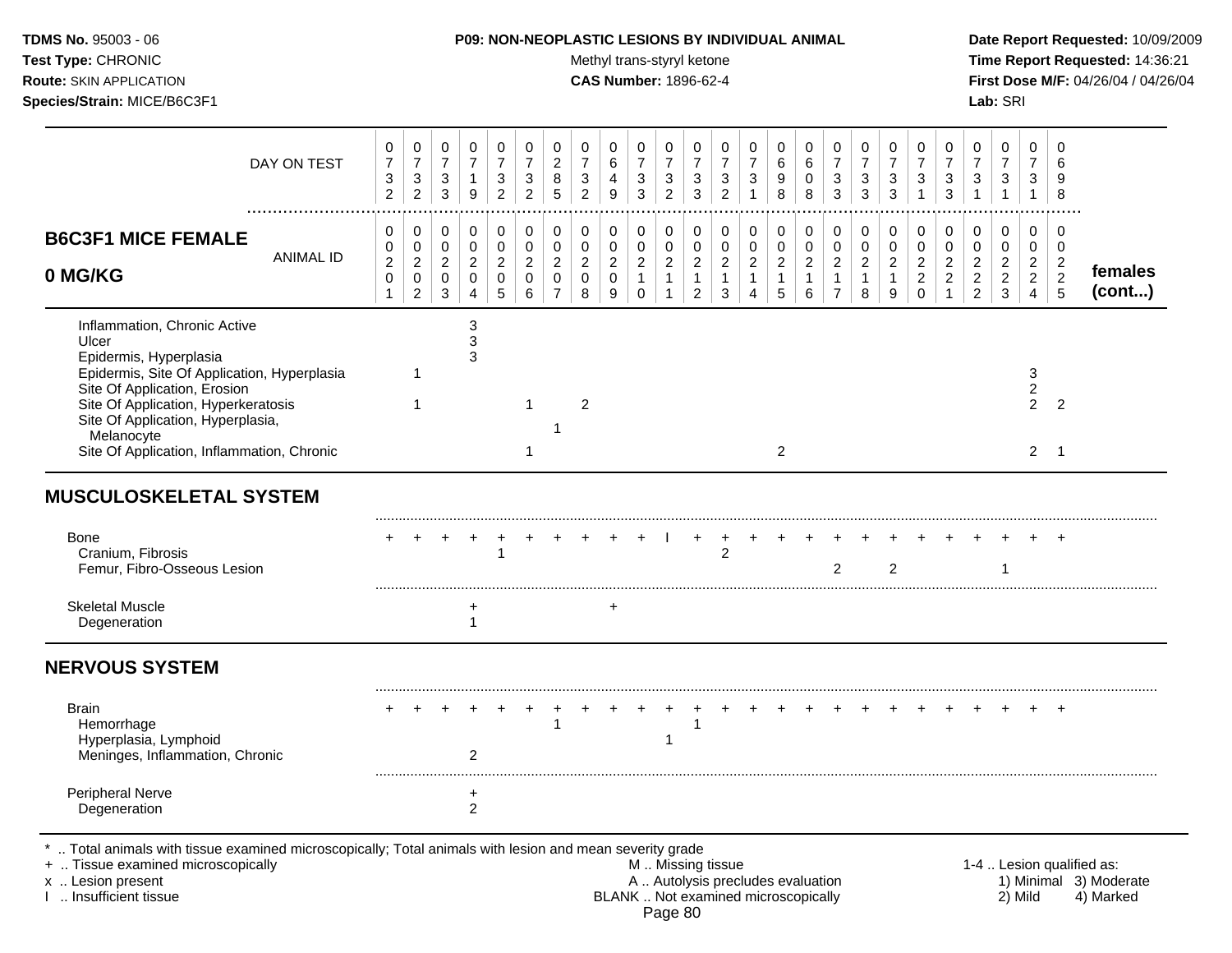Test Type: CHRONIC **Test Type:** CHRONIC **Test Type:** CHRONIC **Time Report Requested:** 14:36:21 **Route:** SKIN APPLICATION **CAS Number:** 1896-62-4 **First Dose M/F:** 04/26/04 / 04/26/04 **Species/Strain:** MICE/B6C3F1 **Lab:** SRI

| DAY ON TEST                                                                                                                                                                                                                                                                            | 0<br>$\overline{\mathcal{I}}$<br>3<br>$\overline{a}$ | 0<br>$\overline{7}$<br>$\sqrt{3}$<br>$\overline{2}$                     | $\mathbf 0$<br>$\overline{7}$<br>3<br>$\sqrt{3}$       | 0<br>$\overline{7}$<br>$\mathbf{1}$<br>9             | 0<br>$\overline{7}$<br>3<br>$\overline{2}$           | 0<br>$\overline{7}$<br>$\mathbf{3}$<br>$\overline{c}$ | 0<br>$\overline{c}$<br>$\,8\,$<br>5                                           | 0<br>$\overline{7}$<br>$\ensuremath{\mathsf{3}}$<br>$\overline{c}$ | 0<br>6<br>4<br>$\overline{9}$              | $\mathbf 0$<br>$\boldsymbol{7}$<br>$\ensuremath{\mathsf{3}}$<br>$\mathbf{3}$ | 0<br>$\overline{7}$<br>3<br>$\overline{c}$                       | 0<br>$\overline{7}$<br>$\mathbf{3}$<br>3                           | 0<br>$\overline{7}$<br>$\mathbf{3}$<br>$\overline{c}$              | 0<br>$\overline{\mathbf{7}}$<br>3<br>$\mathbf{1}$ | 0<br>6<br>9<br>8                                      | $\mathbf 0$<br>6<br>$\mathbf 0$<br>8                    | 0<br>$\boldsymbol{7}$<br>$\sqrt{3}$<br>3                                     | 0<br>$\overline{7}$<br>3<br>3                        | 0<br>$\overline{7}$<br>3<br>3              | 0<br>7<br>3                                                                  | 0<br>$\overline{7}$<br>3<br>3                                    | 0<br>$\overline{7}$<br>$\ensuremath{\mathsf{3}}$<br>$\mathbf{1}$ | $\mathbf 0$<br>$\overline{7}$<br>$\ensuremath{\mathsf{3}}$<br>$\mathbf{1}$ | $\mathbf 0$<br>$\overline{7}$<br>3<br>$\mathbf{1}$                     | $\mathbf 0$<br>6<br>9<br>8                                                     |                   |
|----------------------------------------------------------------------------------------------------------------------------------------------------------------------------------------------------------------------------------------------------------------------------------------|------------------------------------------------------|-------------------------------------------------------------------------|--------------------------------------------------------|------------------------------------------------------|------------------------------------------------------|-------------------------------------------------------|-------------------------------------------------------------------------------|--------------------------------------------------------------------|--------------------------------------------|------------------------------------------------------------------------------|------------------------------------------------------------------|--------------------------------------------------------------------|--------------------------------------------------------------------|---------------------------------------------------|-------------------------------------------------------|---------------------------------------------------------|------------------------------------------------------------------------------|------------------------------------------------------|--------------------------------------------|------------------------------------------------------------------------------|------------------------------------------------------------------|------------------------------------------------------------------|----------------------------------------------------------------------------|------------------------------------------------------------------------|--------------------------------------------------------------------------------|-------------------|
| <b>B6C3F1 MICE FEMALE</b><br><b>ANIMAL ID</b><br>0 MG/KG                                                                                                                                                                                                                               | 0<br>0<br>$\overline{c}$<br>$\pmb{0}$<br>$\mathbf 1$ | 0<br>$\mathbf 0$<br>$\overline{c}$<br>$\mathsf{O}\xspace$<br>$\sqrt{2}$ | 0<br>$\mathbf 0$<br>$\overline{2}$<br>$\mathbf 0$<br>3 | $\pmb{0}$<br>$\pmb{0}$<br>$\boldsymbol{2}$<br>0<br>4 | $\pmb{0}$<br>$\mathbf 0$<br>$\overline{2}$<br>0<br>5 | $\pmb{0}$<br>0<br>$\overline{2}$<br>$\mathbf 0$<br>6  | $\pmb{0}$<br>$\mathbf 0$<br>$\boldsymbol{2}$<br>$\mathbf 0$<br>$\overline{7}$ | 0<br>$\mathbf 0$<br>$\overline{2}$<br>$\mathbf 0$<br>8             | 0<br>0<br>$\overline{a}$<br>$\pmb{0}$<br>9 | 0<br>$\mathbf 0$<br>$\sqrt{2}$<br>$\mathbf{1}$<br>0                          | 0<br>$\pmb{0}$<br>$\overline{a}$<br>$\mathbf{1}$<br>$\mathbf{1}$ | $\pmb{0}$<br>0<br>$\overline{2}$<br>$\mathbf{1}$<br>$\overline{2}$ | 0<br>$\pmb{0}$<br>$\boldsymbol{2}$<br>$\mathbf{1}$<br>$\mathbf{3}$ | 0<br>0<br>$\overline{c}$<br>$\mathbf{1}$<br>4     | 0<br>$\pmb{0}$<br>$\overline{c}$<br>$\mathbf{1}$<br>5 | 0<br>$\mathbf 0$<br>$\overline{c}$<br>$\mathbf{1}$<br>6 | $\pmb{0}$<br>$\pmb{0}$<br>$\boldsymbol{2}$<br>$\mathbf{1}$<br>$\overline{7}$ | $\pmb{0}$<br>$\mathbf 0$<br>$\overline{2}$<br>1<br>8 | $\pmb{0}$<br>0<br>$\overline{2}$<br>1<br>9 | $\mathbf 0$<br>$\mathbf 0$<br>$\boldsymbol{2}$<br>$\overline{c}$<br>$\Omega$ | 0<br>$\mathbf 0$<br>$\sqrt{2}$<br>$\overline{2}$<br>$\mathbf{1}$ | 0<br>0<br>$\overline{a}$<br>$\overline{a}$<br>$\overline{2}$     | $\mathbf 0$<br>$\mathbf 0$<br>$\sqrt{2}$<br>$\sqrt{2}$<br>$\mathbf{3}$     | 0<br>$\mathbf 0$<br>$\overline{2}$<br>$\overline{a}$<br>$\overline{4}$ | $\mathbf 0$<br>$\mathbf 0$<br>$\overline{c}$<br>$\boldsymbol{2}$<br>$\sqrt{5}$ | females<br>(cont) |
| Inflammation, Chronic Active<br>Ulcer<br>Epidermis, Hyperplasia<br>Epidermis, Site Of Application, Hyperplasia<br>Site Of Application, Erosion<br>Site Of Application, Hyperkeratosis<br>Site Of Application, Hyperplasia,<br>Melanocyte<br>Site Of Application, Inflammation, Chronic |                                                      | 1                                                                       |                                                        | 3<br>$\ensuremath{\mathsf{3}}$<br>3                  |                                                      | -1<br>-1                                              |                                                                               | $\overline{c}$                                                     |                                            |                                                                              |                                                                  |                                                                    |                                                                    |                                                   | 2                                                     |                                                         |                                                                              |                                                      |                                            |                                                                              |                                                                  |                                                                  |                                                                            | 3<br>$\overline{\mathbf{c}}$<br>$\mathfrak{p}$<br>$\overline{2}$       | $\overline{2}$<br>$\overline{1}$                                               |                   |
| <b>MUSCULOSKELETAL SYSTEM</b>                                                                                                                                                                                                                                                          |                                                      |                                                                         |                                                        |                                                      |                                                      |                                                       |                                                                               |                                                                    |                                            |                                                                              |                                                                  |                                                                    |                                                                    |                                                   |                                                       |                                                         |                                                                              |                                                      |                                            |                                                                              |                                                                  |                                                                  |                                                                            |                                                                        |                                                                                |                   |
| Bone<br>Cranium, Fibrosis<br>Femur, Fibro-Osseous Lesion                                                                                                                                                                                                                               |                                                      |                                                                         |                                                        |                                                      | 1                                                    |                                                       |                                                                               |                                                                    |                                            |                                                                              |                                                                  |                                                                    | 2                                                                  |                                                   |                                                       |                                                         | $\overline{2}$                                                               |                                                      | 2                                          |                                                                              |                                                                  |                                                                  |                                                                            |                                                                        | $\ddot{}$                                                                      |                   |
| <b>Skeletal Muscle</b><br>Degeneration                                                                                                                                                                                                                                                 |                                                      |                                                                         |                                                        | +<br>$\mathbf 1$                                     |                                                      |                                                       |                                                                               |                                                                    | +                                          |                                                                              |                                                                  |                                                                    |                                                                    |                                                   |                                                       |                                                         |                                                                              |                                                      |                                            |                                                                              |                                                                  |                                                                  |                                                                            |                                                                        |                                                                                |                   |
| <b>NERVOUS SYSTEM</b>                                                                                                                                                                                                                                                                  |                                                      |                                                                         |                                                        |                                                      |                                                      |                                                       |                                                                               |                                                                    |                                            |                                                                              |                                                                  |                                                                    |                                                                    |                                                   |                                                       |                                                         |                                                                              |                                                      |                                            |                                                                              |                                                                  |                                                                  |                                                                            |                                                                        |                                                                                |                   |
| <b>Brain</b><br>Hemorrhage<br>Hyperplasia, Lymphoid<br>Meninges, Inflammation, Chronic                                                                                                                                                                                                 |                                                      |                                                                         |                                                        | 2                                                    |                                                      |                                                       |                                                                               |                                                                    |                                            |                                                                              | $\mathbf{1}$                                                     |                                                                    |                                                                    |                                                   |                                                       |                                                         |                                                                              |                                                      |                                            |                                                                              |                                                                  |                                                                  |                                                                            |                                                                        | $\div$                                                                         |                   |
| <b>Peripheral Nerve</b>                                                                                                                                                                                                                                                                |                                                      |                                                                         |                                                        | $\ddot{}$<br>$\overline{c}$                          |                                                      |                                                       |                                                                               |                                                                    |                                            |                                                                              |                                                                  |                                                                    |                                                                    |                                                   |                                                       |                                                         |                                                                              |                                                      |                                            |                                                                              |                                                                  |                                                                  |                                                                            |                                                                        |                                                                                |                   |

+ .. Tissue examined microscopically and microscopically M.. Missing tissue M.. Missing tissue 1-4 .. Lesion qualified as:<br>
The M .. Missing tissue A .. Autolysis precludes evaluation 1. Lesion present A .. Lesion present x .. Lesion present **A .. Autolysis precludes evaluation** A .. Autolysis precludes evaluation 1) Minimal 3) Moderate I .. Insufficient tissue BLANK .. Not examined microscopically 2) Mild 4) Marked Page 80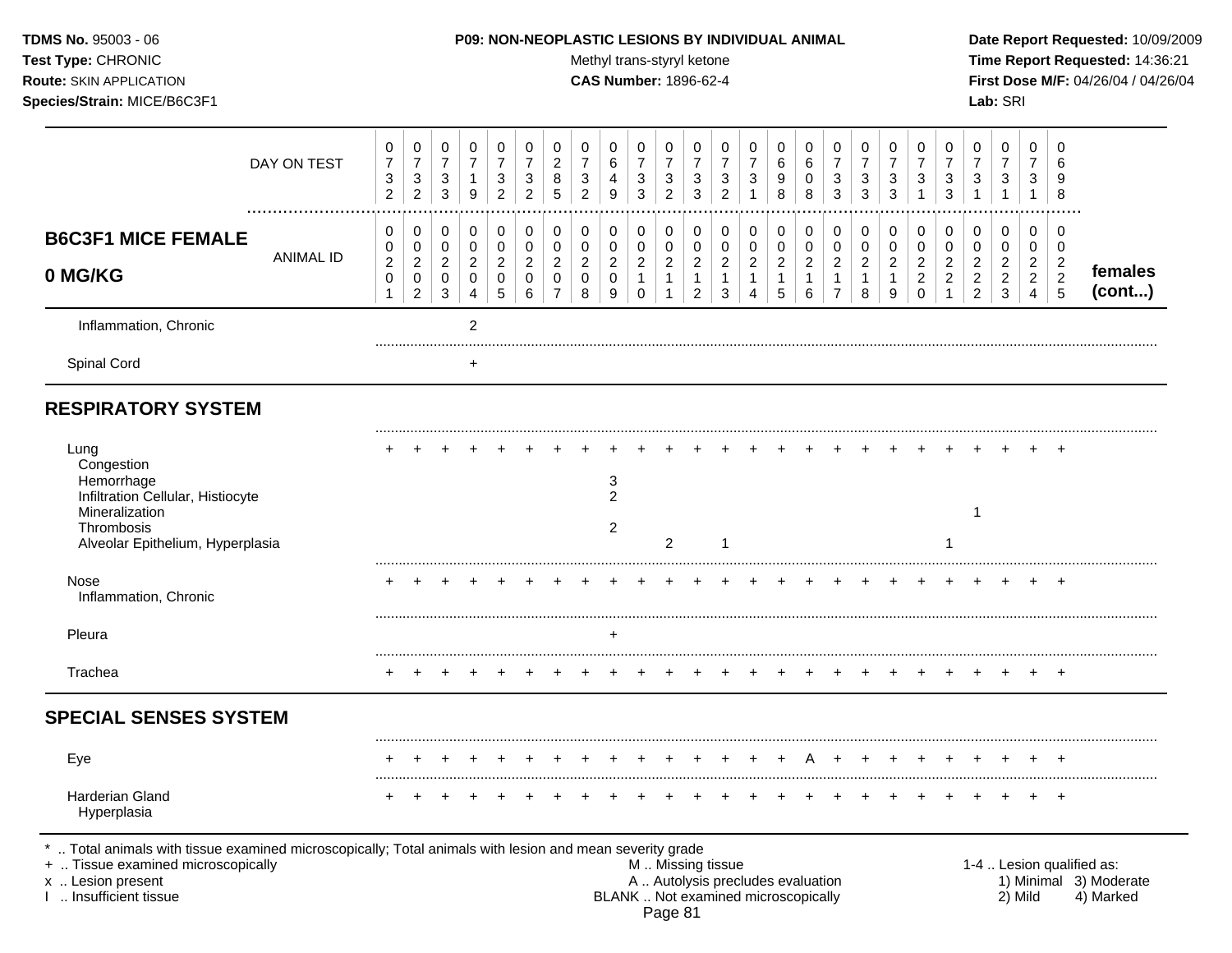# **TDMS No.** 95003 - 06 **P09: NON-NEOPLASTIC LESIONS BY INDIVIDUAL ANIMAL Date Report Requested:** 10/09/2009

Test Type: CHRONIC **Test Type:** CHRONIC **Test Type:** CHRONIC **Time Report Requested:** 14:36:21 **Route:** SKIN APPLICATION **CAS Number:** 1896-62-4 **First Dose M/F:** 04/26/04 / 04/26/04

|                                                                                                                                                                                            | DAY ON TEST      | 0<br>$\overline{7}$<br>3<br>$\overline{2}$                  | 0<br>$\overline{7}$<br>3<br>$\overline{2}$                        | 0<br>$\overline{7}$<br>3<br>3      | $\mathbf 0$<br>$\overline{7}$<br>$\overline{1}$<br>9                    | 0<br>$\overline{7}$<br>3<br>$\overline{2}$ | $\mathbf 0$<br>$\overline{7}$<br>3<br>$\overline{2}$   | 0<br>$\overline{2}$<br>8<br>5                                             | 0<br>$\overline{7}$<br>3<br>$\overline{2}$           | 0<br>$\,6\,$<br>4<br>9                                           | 0<br>$\overline{7}$<br>3<br>3                                     | 0<br>$\overline{7}$<br>3<br>$\overline{2}$   | 0<br>$\overline{7}$<br>3<br>3                                    | 0<br>$\overline{7}$<br>3<br>$\overline{2}$                 | $\mathbf 0$<br>$\overline{7}$<br>3<br>1                                          | 0<br>$\,6$<br>9<br>8                                  | 0<br>$\,6$<br>0<br>8                                          | 0<br>$\boldsymbol{7}$<br>3<br>3                                | 0<br>$\overline{7}$<br>3<br>3                                 | 0<br>$\overline{7}$<br>3<br>3                                   | 0<br>$\overline{7}$<br>3<br>1                                     | 0<br>$\overline{7}$<br>3<br>3                                          | 0<br>$\overline{7}$<br>3<br>$\mathbf{1}$                             | $\mathbf 0$<br>$\overline{7}$<br>3<br>$\mathbf{1}$                        | $\Omega$<br>$\overline{7}$<br>3<br>$\mathbf{1}$                     | $\mathbf 0$<br>6<br>9<br>8                                                       |                                                                  |
|--------------------------------------------------------------------------------------------------------------------------------------------------------------------------------------------|------------------|-------------------------------------------------------------|-------------------------------------------------------------------|------------------------------------|-------------------------------------------------------------------------|--------------------------------------------|--------------------------------------------------------|---------------------------------------------------------------------------|------------------------------------------------------|------------------------------------------------------------------|-------------------------------------------------------------------|----------------------------------------------|------------------------------------------------------------------|------------------------------------------------------------|----------------------------------------------------------------------------------|-------------------------------------------------------|---------------------------------------------------------------|----------------------------------------------------------------|---------------------------------------------------------------|-----------------------------------------------------------------|-------------------------------------------------------------------|------------------------------------------------------------------------|----------------------------------------------------------------------|---------------------------------------------------------------------------|---------------------------------------------------------------------|----------------------------------------------------------------------------------|------------------------------------------------------------------|
| <b>B6C3F1 MICE FEMALE</b><br>0 MG/KG                                                                                                                                                       | <b>ANIMAL ID</b> | 0<br>$\pmb{0}$<br>$\sqrt{2}$<br>$\mathbf 0$<br>$\mathbf{1}$ | 0<br>$\mathbf 0$<br>$\overline{2}$<br>$\pmb{0}$<br>$\overline{c}$ | 0<br>0<br>$\overline{2}$<br>0<br>3 | $\mathbf 0$<br>$\pmb{0}$<br>$\sqrt{2}$<br>$\mathbf 0$<br>$\overline{4}$ | 0<br>0<br>2<br>$\mathbf 0$<br>5            | 0<br>$\mathbf 0$<br>$\overline{2}$<br>$\mathbf 0$<br>6 | $\pmb{0}$<br>$\pmb{0}$<br>$\overline{2}$<br>$\mathbf 0$<br>$\overline{7}$ | 0<br>$\pmb{0}$<br>$\overline{c}$<br>$\mathbf 0$<br>8 | $\mathbf 0$<br>$\mathbf 0$<br>$\sqrt{2}$<br>$\mathbf 0$<br>$9\,$ | $\mathbf 0$<br>0<br>$\overline{2}$<br>$\mathbf{1}$<br>$\mathbf 0$ | 0<br>$\pmb{0}$<br>$\boldsymbol{2}$<br>1<br>1 | 0<br>$\mathbf 0$<br>$\sqrt{2}$<br>$\mathbf{1}$<br>$\overline{c}$ | 0<br>0<br>$\boldsymbol{2}$<br>$\mathbf{1}$<br>$\mathbf{3}$ | $\mathbf 0$<br>$\pmb{0}$<br>$\sqrt{2}$<br>$\mathbf{1}$<br>$\boldsymbol{\Lambda}$ | 0<br>$\pmb{0}$<br>$\overline{c}$<br>$\mathbf{1}$<br>5 | 0<br>$\pmb{0}$<br>$\boldsymbol{2}$<br>$\mathbf{1}$<br>$\,6\,$ | 0<br>$\pmb{0}$<br>$\sqrt{2}$<br>$\mathbf{1}$<br>$\overline{7}$ | $\pmb{0}$<br>$\pmb{0}$<br>$\overline{c}$<br>$\mathbf{1}$<br>8 | $\mathbf 0$<br>$\pmb{0}$<br>$\sqrt{2}$<br>1<br>$\boldsymbol{9}$ | $\pmb{0}$<br>0<br>$\overline{2}$<br>$\overline{c}$<br>$\mathbf 0$ | 0<br>$\pmb{0}$<br>$\boldsymbol{2}$<br>$\overline{c}$<br>$\overline{1}$ | 0<br>$\mathbf 0$<br>$\sqrt{2}$<br>$\boldsymbol{2}$<br>$\overline{2}$ | 0<br>$\boldsymbol{0}$<br>$\overline{2}$<br>$\overline{c}$<br>$\mathbf{3}$ | $\mathbf 0$<br>$\mathbf 0$<br>$\overline{2}$<br>$\overline{2}$<br>4 | $\mathbf 0$<br>$\mathbf 0$<br>$\overline{2}$<br>$\overline{2}$<br>$\overline{5}$ | females<br>(cont)                                                |
| Inflammation, Chronic                                                                                                                                                                      |                  |                                                             |                                                                   |                                    | 2                                                                       |                                            |                                                        |                                                                           |                                                      |                                                                  |                                                                   |                                              |                                                                  |                                                            |                                                                                  |                                                       |                                                               |                                                                |                                                               |                                                                 |                                                                   |                                                                        |                                                                      |                                                                           |                                                                     |                                                                                  |                                                                  |
| Spinal Cord                                                                                                                                                                                |                  |                                                             |                                                                   |                                    | $\ddot{}$                                                               |                                            |                                                        |                                                                           |                                                      |                                                                  |                                                                   |                                              |                                                                  |                                                            |                                                                                  |                                                       |                                                               |                                                                |                                                               |                                                                 |                                                                   |                                                                        |                                                                      |                                                                           |                                                                     |                                                                                  |                                                                  |
| <b>RESPIRATORY SYSTEM</b>                                                                                                                                                                  |                  |                                                             |                                                                   |                                    |                                                                         |                                            |                                                        |                                                                           |                                                      |                                                                  |                                                                   |                                              |                                                                  |                                                            |                                                                                  |                                                       |                                                               |                                                                |                                                               |                                                                 |                                                                   |                                                                        |                                                                      |                                                                           |                                                                     |                                                                                  |                                                                  |
| Lung<br>Congestion<br>Hemorrhage<br>Infiltration Cellular, Histiocyte<br>Mineralization<br>Thrombosis<br>Alveolar Epithelium, Hyperplasia                                                  |                  |                                                             |                                                                   |                                    |                                                                         |                                            |                                                        |                                                                           |                                                      | 3<br>$\overline{2}$<br>$\overline{c}$                            |                                                                   | 2                                            |                                                                  | $\mathbf 1$                                                |                                                                                  |                                                       |                                                               |                                                                |                                                               |                                                                 |                                                                   | 1                                                                      | 1                                                                    |                                                                           |                                                                     | $\overline{1}$                                                                   |                                                                  |
| Nose<br>Inflammation, Chronic                                                                                                                                                              |                  |                                                             |                                                                   |                                    |                                                                         |                                            |                                                        |                                                                           |                                                      |                                                                  |                                                                   |                                              |                                                                  |                                                            |                                                                                  |                                                       |                                                               |                                                                |                                                               |                                                                 |                                                                   |                                                                        |                                                                      |                                                                           |                                                                     |                                                                                  |                                                                  |
| Pleura                                                                                                                                                                                     |                  |                                                             |                                                                   |                                    |                                                                         |                                            |                                                        |                                                                           |                                                      |                                                                  |                                                                   |                                              |                                                                  |                                                            |                                                                                  |                                                       |                                                               |                                                                |                                                               |                                                                 |                                                                   |                                                                        |                                                                      |                                                                           |                                                                     |                                                                                  |                                                                  |
| Trachea                                                                                                                                                                                    |                  |                                                             |                                                                   |                                    |                                                                         |                                            |                                                        |                                                                           |                                                      |                                                                  |                                                                   |                                              |                                                                  |                                                            |                                                                                  |                                                       |                                                               |                                                                |                                                               |                                                                 |                                                                   |                                                                        |                                                                      |                                                                           |                                                                     | $\overline{+}$                                                                   |                                                                  |
| <b>SPECIAL SENSES SYSTEM</b>                                                                                                                                                               |                  |                                                             |                                                                   |                                    |                                                                         |                                            |                                                        |                                                                           |                                                      |                                                                  |                                                                   |                                              |                                                                  |                                                            |                                                                                  |                                                       |                                                               |                                                                |                                                               |                                                                 |                                                                   |                                                                        |                                                                      |                                                                           |                                                                     |                                                                                  |                                                                  |
| Eye                                                                                                                                                                                        |                  |                                                             |                                                                   |                                    |                                                                         |                                            |                                                        |                                                                           |                                                      |                                                                  |                                                                   |                                              |                                                                  |                                                            |                                                                                  |                                                       |                                                               |                                                                |                                                               |                                                                 |                                                                   |                                                                        |                                                                      |                                                                           |                                                                     |                                                                                  |                                                                  |
| Harderian Gland<br>Hyperplasia                                                                                                                                                             |                  |                                                             |                                                                   |                                    |                                                                         |                                            |                                                        |                                                                           |                                                      |                                                                  |                                                                   |                                              |                                                                  |                                                            |                                                                                  |                                                       |                                                               |                                                                |                                                               |                                                                 |                                                                   |                                                                        |                                                                      |                                                                           |                                                                     |                                                                                  |                                                                  |
| Total animals with tissue examined microscopically; Total animals with lesion and mean severity grade<br>+  Tissue examined microscopically<br>x  Lesion present<br>I  Insufficient tissue |                  |                                                             |                                                                   |                                    |                                                                         |                                            |                                                        |                                                                           |                                                      |                                                                  |                                                                   | Page 81                                      | M  Missing tissue                                                |                                                            | A  Autolysis precludes evaluation<br>BLANK  Not examined microscopically         |                                                       |                                                               |                                                                |                                                               |                                                                 |                                                                   |                                                                        |                                                                      |                                                                           | 2) Mild                                                             |                                                                                  | 1-4  Lesion qualified as:<br>1) Minimal 3) Moderate<br>4) Marked |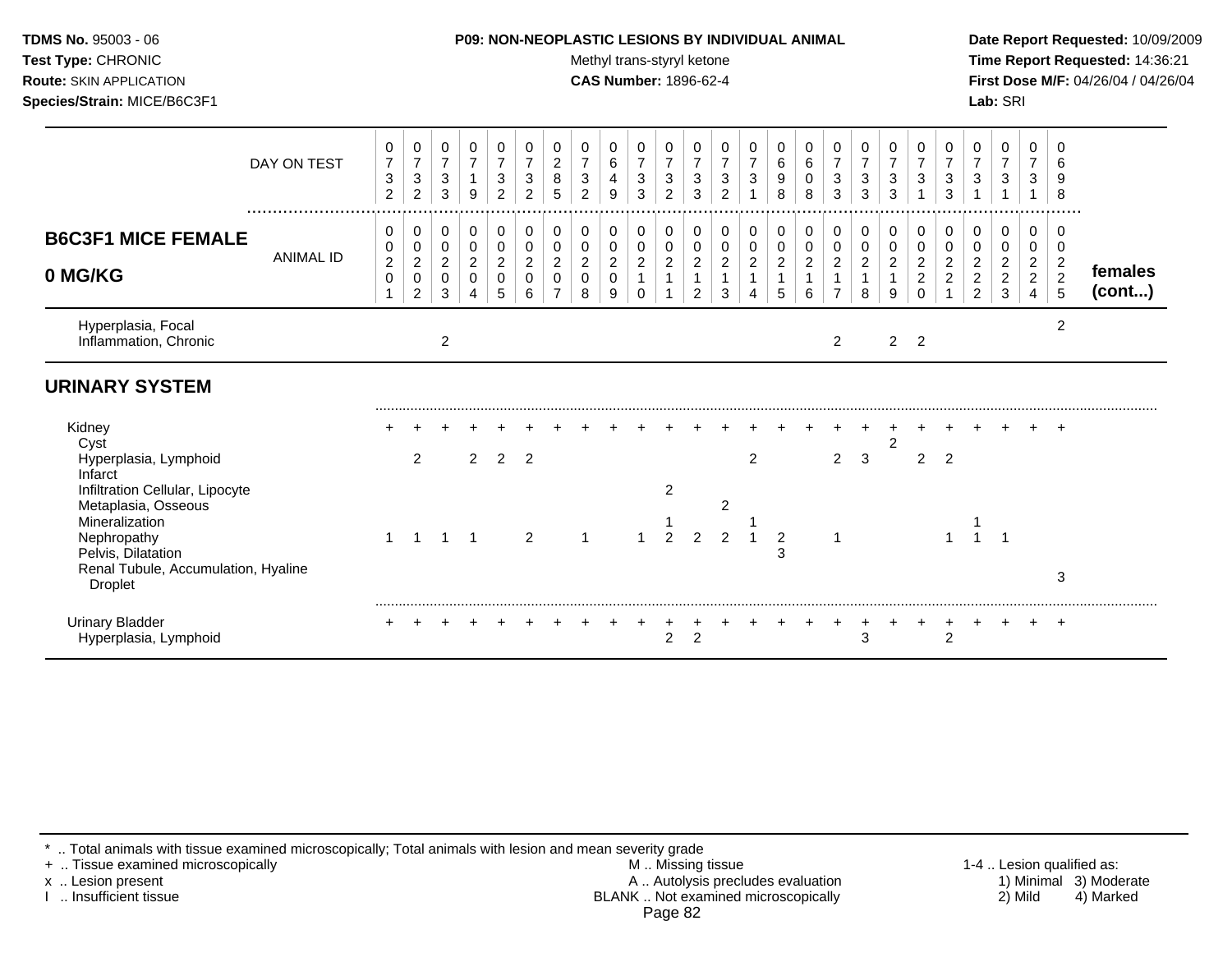| <b>TDMS No. 95003 - 06</b>     | <b>P09: NON-NEOPLASTIC LESIONS BY INDIVIDUAL ANIMAL</b> | Date Rep         |
|--------------------------------|---------------------------------------------------------|------------------|
| <b>Test Type: CHRONIC</b>      | Methyl trans-styryl ketone                              | <b>Time Re</b>   |
| <b>Route: SKIN APPLICATION</b> | <b>CAS Number: 1896-62-4</b>                            | <b>First Dos</b> |
| Species/Strain: MICE/B6C3F1    |                                                         | <b>Lab:</b> SRI  |

## **P09: NON-NEOPLASTIC LESIONS BY INDIVIDUAL ANIMAL Date Report Requested:** 10/09/2009

**Methyl trans-styryl ketone Time Report Requested:** 14:36:21 **CAS Number:** 1896-62-4 **First Dose M/F:** 04/26/04 / 04/26/04

|                                                                                                                                                                                   | DAY ON TEST      | 0<br>$\overline{7}$<br>3<br>$\overline{c}$      | 0<br>$\overline{7}$<br>3<br>$\overline{2}$ | 0<br>$\overline{7}$<br>3<br>3      | 0<br>$\overline{7}$<br>9                     | 0<br>$\overline{7}$<br>3<br>$\overline{2}$   | 0<br>$\overline{7}$<br>3<br>2 | 0<br>$\overline{c}$<br>8<br>5           | 0<br>$\overline{7}$<br>3<br>2              | 0<br>6<br>4<br>9                   | 0<br>$\overline{7}$<br>$\ensuremath{\mathsf{3}}$<br>3 | 0<br>7<br>3<br>$\overline{2}$    | 0<br>$\overline{7}$<br>3<br>3                             | 0<br>$\overline{7}$<br>3<br>$\overline{c}$ | 0<br>$\overline{7}$<br>3                | 0<br>6<br>9<br>8                        | 0<br>6<br>0<br>8                        | 0<br>$\boldsymbol{7}$<br>3<br>3                      | 0<br>$\overline{7}$<br>3<br>3                          | 0<br>$\overline{7}$<br>3<br>3           | 0<br>$\overline{7}$<br>3                                                  | 0<br>7<br>3<br>3                           | 0<br>$\overline{7}$<br>3                                              | 0<br>$\overline{7}$<br>3                                       | 0<br>$\overline{7}$<br>3<br>1                                  | 0<br>6<br>9<br>8                                         |                   |
|-----------------------------------------------------------------------------------------------------------------------------------------------------------------------------------|------------------|-------------------------------------------------|--------------------------------------------|------------------------------------|----------------------------------------------|----------------------------------------------|-------------------------------|-----------------------------------------|--------------------------------------------|------------------------------------|-------------------------------------------------------|----------------------------------|-----------------------------------------------------------|--------------------------------------------|-----------------------------------------|-----------------------------------------|-----------------------------------------|------------------------------------------------------|--------------------------------------------------------|-----------------------------------------|---------------------------------------------------------------------------|--------------------------------------------|-----------------------------------------------------------------------|----------------------------------------------------------------|----------------------------------------------------------------|----------------------------------------------------------|-------------------|
| <b>B6C3F1 MICE FEMALE</b><br>0 MG/KG                                                                                                                                              | <b>ANIMAL ID</b> | 0<br>$\pmb{0}$<br>$\overline{c}$<br>$\mathbf 0$ | 0<br>0<br>$\overline{c}$<br>0<br>2         | 0<br>0<br>$\overline{c}$<br>0<br>3 | 0<br>$\mathbf 0$<br>$\overline{c}$<br>0<br>4 | 0<br>$\mathbf 0$<br>$\overline{2}$<br>0<br>5 | 0<br>0<br>2<br>6              | 0<br>$\mathbf 0$<br>$\overline{c}$<br>0 | 0<br>$\pmb{0}$<br>$\overline{c}$<br>0<br>8 | 0<br>0<br>$\overline{a}$<br>0<br>9 | 0<br>0<br>$\overline{c}$<br>1<br>$\Omega$             | 0<br>$\pmb{0}$<br>$\overline{c}$ | 0<br>$\mathbf 0$<br>$\overline{a}$<br>1<br>$\overline{2}$ | 0<br>0<br>$\overline{a}$<br>3              | 0<br>$\mathbf 0$<br>$\overline{c}$<br>4 | 0<br>$\mathbf 0$<br>$\overline{c}$<br>5 | 0<br>$\mathbf 0$<br>$\overline{a}$<br>6 | 0<br>$\pmb{0}$<br>$\boldsymbol{2}$<br>$\overline{7}$ | 0<br>$\pmb{0}$<br>$\boldsymbol{2}$<br>$\mathbf 1$<br>8 | 0<br>$\mathbf 0$<br>$\overline{2}$<br>9 | 0<br>$\pmb{0}$<br>$\boldsymbol{2}$<br>$\overline{\mathbf{c}}$<br>$\Omega$ | 0<br>0<br>$\overline{2}$<br>$\overline{2}$ | 0<br>0<br>$\overline{a}$<br>$\overline{\mathbf{c}}$<br>$\overline{2}$ | 0<br>$\boldsymbol{0}$<br>$\overline{c}$<br>$\overline{c}$<br>3 | 0<br>0<br>$\boldsymbol{2}$<br>$\overline{2}$<br>$\overline{4}$ | 0<br>0<br>$\overline{\mathbf{c}}$<br>$\overline{2}$<br>5 | females<br>(cont) |
| Hyperplasia, Focal<br>Inflammation, Chronic                                                                                                                                       |                  |                                                 |                                            | $\overline{2}$                     |                                              |                                              |                               |                                         |                                            |                                    |                                                       |                                  |                                                           |                                            |                                         |                                         |                                         | 2                                                    |                                                        | $\overline{2}$                          | $\overline{2}$                                                            |                                            |                                                                       |                                                                |                                                                | $\overline{c}$                                           |                   |
| <b>URINARY SYSTEM</b>                                                                                                                                                             |                  |                                                 |                                            |                                    |                                              |                                              |                               |                                         |                                            |                                    |                                                       |                                  |                                                           |                                            |                                         |                                         |                                         |                                                      |                                                        |                                         |                                                                           |                                            |                                                                       |                                                                |                                                                |                                                          |                   |
| Kidney<br>Cyst<br>Hyperplasia, Lymphoid                                                                                                                                           |                  |                                                 | 2                                          |                                    | $\overline{2}$                               | $\overline{2}$                               | $\overline{2}$                |                                         |                                            |                                    |                                                       |                                  |                                                           |                                            | 2                                       |                                         |                                         | $\overline{2}$                                       | 3                                                      | 2                                       | $\overline{2}$                                                            | $\overline{2}$                             |                                                                       |                                                                |                                                                | $\pm$                                                    |                   |
| Infarct<br>Infiltration Cellular, Lipocyte<br>Metaplasia, Osseous<br>Mineralization<br>Nephropathy<br>Pelvis, Dilatation<br>Renal Tubule, Accumulation, Hyaline<br><b>Droplet</b> |                  |                                                 | -1                                         | 1                                  | $\overline{1}$                               |                                              | $\overline{2}$                |                                         |                                            |                                    |                                                       | $\overline{2}$<br>$\overline{2}$ | 2                                                         | 2<br>$\mathfrak{p}$                        |                                         | $\overline{2}$<br>3                     |                                         |                                                      |                                                        |                                         |                                                                           |                                            |                                                                       |                                                                |                                                                | 3                                                        |                   |
| <b>Urinary Bladder</b><br>Hyperplasia, Lymphoid                                                                                                                                   |                  |                                                 |                                            |                                    |                                              |                                              |                               |                                         |                                            |                                    |                                                       | $\overline{c}$                   | $\overline{2}$                                            |                                            |                                         |                                         |                                         |                                                      | $\ddot{}$<br>3                                         |                                         |                                                                           | $\ddot{}$<br>$\overline{2}$                |                                                                       | $\pm$                                                          |                                                                | $+$                                                      |                   |

\* .. Total animals with tissue examined microscopically; Total animals with lesion and mean severity grade

+ .. Tissue examined microscopically M .. Missing tissue 1-4 .. Lesion qualified as: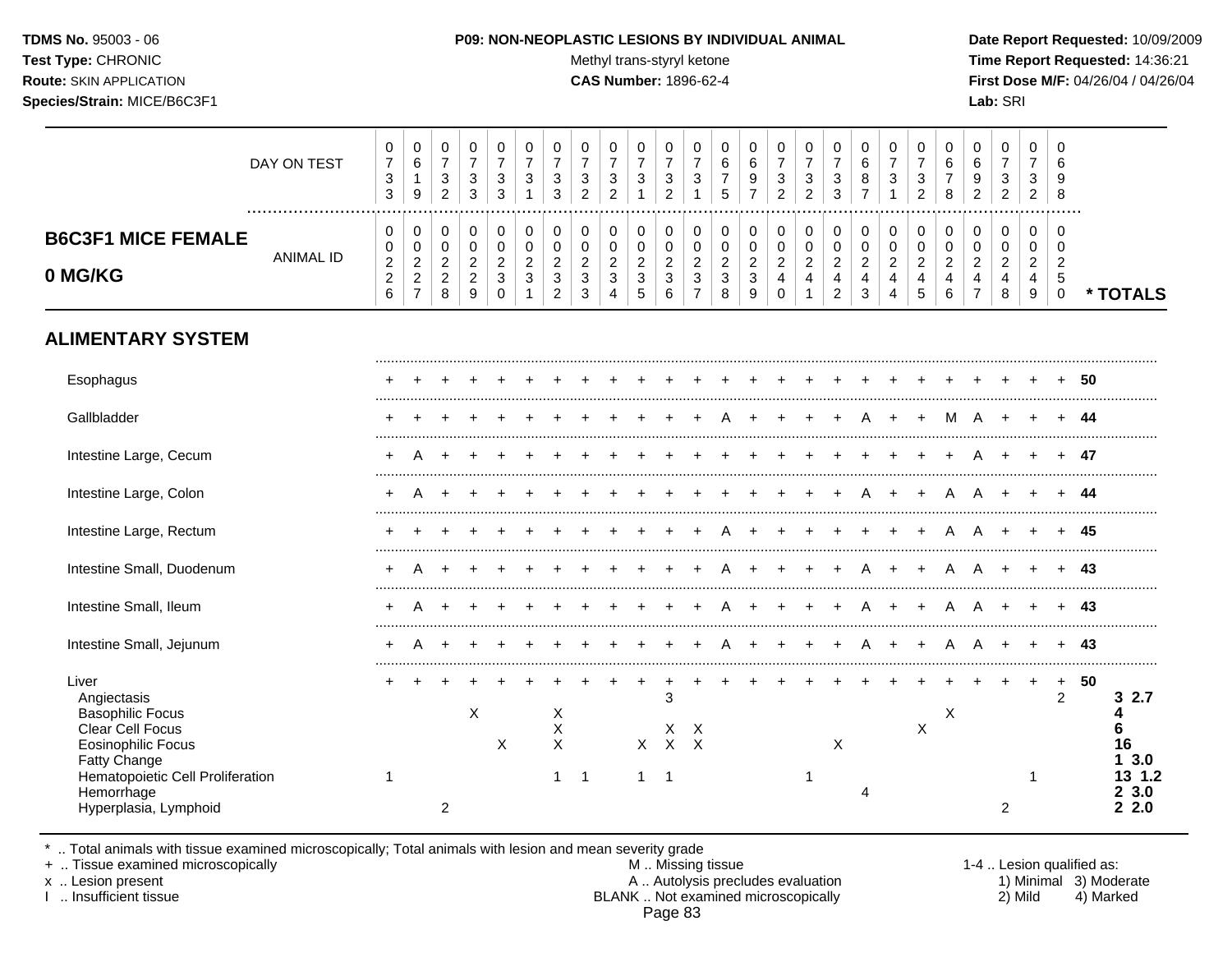Test Type: CHRONIC **Test Type:** CHRONIC **Test Type:** CHRONIC **Time Report Requested:** 14:36:21 **Route:** SKIN APPLICATION **CAS Number:** 1896-62-4 **First Dose M/F:** 04/26/04 / 04/26/04 **Species/Strain:** MICE/B6C3F1 **Lab:** SRI

|                                                                                                                                                                                             | DAY ON TEST      | $\pmb{0}$<br>$\overline{7}$<br>$\ensuremath{\mathsf{3}}$<br>$\mathfrak{S}$       | $\pmb{0}$<br>$\,6\,$<br>$\mathbf{1}$<br>$9\,$                  | 0<br>$\overline{7}$<br>$\sqrt{3}$<br>$\overline{c}$       | 0<br>$\overline{7}$<br>$\sqrt{3}$<br>3                    | 0<br>$\overline{7}$<br>$\mathbf{3}$<br>3                          | 0<br>$\overline{7}$<br>3<br>$\overline{1}$                      | 0<br>$\overline{7}$<br>$\sqrt{3}$<br>3                             | $\pmb{0}$<br>$\overline{7}$<br>$\sqrt{3}$<br>$\overline{2}$ | 0<br>$\overline{7}$<br>$\ensuremath{\mathsf{3}}$<br>$\overline{c}$ | $\mathbf 0$<br>$\overline{7}$<br>$\sqrt{3}$<br>$\mathbf{1}$ | $\pmb{0}$<br>$\overline{7}$<br>$\sqrt{3}$<br>$\overline{c}$ | 0<br>$\overline{7}$<br>$\sqrt{3}$<br>$\mathbf{1}$                  | $\mathbf 0$<br>6<br>$\boldsymbol{7}$<br>5                          | 0<br>$\,6$<br>$\boldsymbol{9}$<br>$\overline{7}$      | 0<br>$\overline{7}$<br>$\ensuremath{\mathsf{3}}$<br>$\overline{c}$ | $\pmb{0}$<br>$\overline{7}$<br>$\mathbf{3}$<br>$\overline{2}$ | 0<br>$\overline{7}$<br>$\sqrt{3}$<br>3                                          | 0<br>6<br>8<br>$\overline{7}$                                      | 0<br>$\overline{7}$<br>$\sqrt{3}$<br>1          | 0<br>$\overline{7}$<br>3<br>$\overline{2}$                         | $\pmb{0}$<br>6<br>$\overline{7}$<br>8                           | 0<br>6<br>9<br>$\overline{c}$                   | $\boldsymbol{0}$<br>$\overline{7}$<br>$\ensuremath{\mathsf{3}}$<br>$\overline{2}$ | 0<br>$\overline{7}$<br>3<br>$\overline{2}$             | $\Omega$<br>6<br>9<br>8                                       |     |                                                     |
|---------------------------------------------------------------------------------------------------------------------------------------------------------------------------------------------|------------------|----------------------------------------------------------------------------------|----------------------------------------------------------------|-----------------------------------------------------------|-----------------------------------------------------------|-------------------------------------------------------------------|-----------------------------------------------------------------|--------------------------------------------------------------------|-------------------------------------------------------------|--------------------------------------------------------------------|-------------------------------------------------------------|-------------------------------------------------------------|--------------------------------------------------------------------|--------------------------------------------------------------------|-------------------------------------------------------|--------------------------------------------------------------------|---------------------------------------------------------------|---------------------------------------------------------------------------------|--------------------------------------------------------------------|-------------------------------------------------|--------------------------------------------------------------------|-----------------------------------------------------------------|-------------------------------------------------|-----------------------------------------------------------------------------------|--------------------------------------------------------|---------------------------------------------------------------|-----|-----------------------------------------------------|
| <b>B6C3F1 MICE FEMALE</b><br>0 MG/KG                                                                                                                                                        | <b>ANIMAL ID</b> | $\pmb{0}$<br>$\pmb{0}$<br>$\boldsymbol{2}$<br>$\boldsymbol{2}$<br>$6\phantom{a}$ | 0<br>$\mathbf 0$<br>$\sqrt{2}$<br>$\sqrt{2}$<br>$\overline{7}$ | 0<br>$\mathbf 0$<br>$\overline{2}$<br>$\overline{2}$<br>8 | 0<br>$\mathbf 0$<br>$\overline{c}$<br>$\overline{c}$<br>9 | 0<br>$\mathbf 0$<br>$\overline{2}$<br>$\mathbf{3}$<br>$\mathbf 0$ | $\pmb{0}$<br>0<br>$\overline{2}$<br>$\mathbf{3}$<br>$\mathbf 1$ | 0<br>$\mathbf 0$<br>$\overline{c}$<br>$\sqrt{3}$<br>$\overline{c}$ | 0<br>$\mathbf 0$<br>$\overline{c}$<br>$\mathbf{3}$<br>3     | 0<br>0<br>$\overline{c}$<br>$\mathbf{3}$<br>4                      | 0<br>$\mathbf 0$<br>$\overline{a}$<br>$\sqrt{3}$<br>5       | $\,0\,$<br>0<br>$\boldsymbol{2}$<br>$\mathfrak{S}$<br>6     | 0<br>$\mathbf 0$<br>$\overline{c}$<br>$\sqrt{3}$<br>$\overline{7}$ | $\pmb{0}$<br>$\boldsymbol{0}$<br>$\sqrt{2}$<br>$\mathfrak{S}$<br>8 | 0<br>$\pmb{0}$<br>$\overline{c}$<br>$\mathbf{3}$<br>9 | 0<br>$\pmb{0}$<br>$\overline{2}$<br>$\overline{4}$<br>$\Omega$     | 0<br>$\pmb{0}$<br>$\overline{2}$<br>4<br>$\overline{1}$       | 0<br>$\mathbf 0$<br>$\overline{2}$<br>$\overline{\mathbf{4}}$<br>$\overline{c}$ | 0<br>$\mathbf 0$<br>$\overline{2}$<br>$\overline{\mathbf{4}}$<br>3 | 0<br>0<br>$\overline{c}$<br>$\overline{4}$<br>4 | 0<br>$\mathbf 0$<br>$\overline{2}$<br>$\overline{\mathbf{4}}$<br>5 | $\pmb{0}$<br>$\pmb{0}$<br>$\overline{c}$<br>$\overline{4}$<br>6 | 0<br>0<br>$\overline{2}$<br>4<br>$\overline{7}$ | 0<br>$\boldsymbol{0}$<br>$\overline{c}$<br>$\overline{4}$<br>8                    | $\mathbf 0$<br>$\mathbf 0$<br>$\overline{2}$<br>4<br>9 | $\Omega$<br>$\Omega$<br>$\overline{2}$<br>5<br>$\overline{0}$ |     | * TOTALS                                            |
| <b>ALIMENTARY SYSTEM</b>                                                                                                                                                                    |                  |                                                                                  |                                                                |                                                           |                                                           |                                                                   |                                                                 |                                                                    |                                                             |                                                                    |                                                             |                                                             |                                                                    |                                                                    |                                                       |                                                                    |                                                               |                                                                                 |                                                                    |                                                 |                                                                    |                                                                 |                                                 |                                                                                   |                                                        |                                                               |     |                                                     |
| Esophagus                                                                                                                                                                                   |                  |                                                                                  |                                                                |                                                           |                                                           |                                                                   |                                                                 |                                                                    |                                                             |                                                                    |                                                             |                                                             |                                                                    |                                                                    |                                                       |                                                                    |                                                               |                                                                                 |                                                                    |                                                 |                                                                    |                                                                 |                                                 |                                                                                   |                                                        |                                                               | -50 |                                                     |
| Gallbladder                                                                                                                                                                                 |                  | ÷                                                                                |                                                                |                                                           |                                                           |                                                                   |                                                                 |                                                                    |                                                             |                                                                    |                                                             |                                                             |                                                                    |                                                                    |                                                       |                                                                    |                                                               |                                                                                 |                                                                    |                                                 |                                                                    | м                                                               | A                                               | $\ddot{}$                                                                         |                                                        |                                                               | 44  |                                                     |
| Intestine Large, Cecum                                                                                                                                                                      |                  |                                                                                  |                                                                |                                                           |                                                           |                                                                   |                                                                 |                                                                    |                                                             |                                                                    |                                                             |                                                             |                                                                    |                                                                    |                                                       |                                                                    |                                                               |                                                                                 |                                                                    |                                                 |                                                                    |                                                                 |                                                 |                                                                                   |                                                        |                                                               | 47  |                                                     |
| Intestine Large, Colon                                                                                                                                                                      |                  | $\div$                                                                           | А                                                              |                                                           |                                                           |                                                                   |                                                                 |                                                                    |                                                             |                                                                    |                                                             |                                                             |                                                                    |                                                                    |                                                       |                                                                    |                                                               |                                                                                 |                                                                    |                                                 |                                                                    | А                                                               | А                                               |                                                                                   |                                                        |                                                               | 44  |                                                     |
| Intestine Large, Rectum                                                                                                                                                                     |                  |                                                                                  |                                                                |                                                           |                                                           |                                                                   |                                                                 |                                                                    |                                                             |                                                                    |                                                             |                                                             |                                                                    |                                                                    |                                                       |                                                                    |                                                               |                                                                                 |                                                                    |                                                 |                                                                    |                                                                 | А                                               |                                                                                   |                                                        |                                                               | 45  |                                                     |
| Intestine Small, Duodenum                                                                                                                                                                   |                  | $\ddot{}$                                                                        |                                                                |                                                           |                                                           |                                                                   |                                                                 |                                                                    |                                                             |                                                                    |                                                             |                                                             |                                                                    |                                                                    |                                                       |                                                                    |                                                               |                                                                                 | А                                                                  |                                                 |                                                                    |                                                                 | А                                               |                                                                                   |                                                        |                                                               | 43  |                                                     |
| Intestine Small, Ileum                                                                                                                                                                      |                  |                                                                                  |                                                                |                                                           |                                                           |                                                                   |                                                                 |                                                                    |                                                             |                                                                    |                                                             |                                                             |                                                                    |                                                                    |                                                       |                                                                    |                                                               |                                                                                 |                                                                    |                                                 |                                                                    | А                                                               | A                                               |                                                                                   |                                                        |                                                               | 43  |                                                     |
| Intestine Small, Jejunum                                                                                                                                                                    |                  |                                                                                  |                                                                |                                                           |                                                           |                                                                   |                                                                 |                                                                    |                                                             |                                                                    |                                                             |                                                             |                                                                    |                                                                    |                                                       |                                                                    |                                                               |                                                                                 | A                                                                  |                                                 |                                                                    | Α                                                               | A                                               |                                                                                   |                                                        |                                                               | 43  |                                                     |
| Liver<br>Angiectasis<br><b>Basophilic Focus</b><br>Clear Cell Focus<br><b>Eosinophilic Focus</b><br>Fatty Change<br>Hematopoietic Cell Proliferation<br>Hemorrhage<br>Hyperplasia, Lymphoid |                  | 1                                                                                |                                                                | $\overline{2}$                                            | X                                                         | X                                                                 |                                                                 | X<br>X<br>$\boldsymbol{\mathsf{X}}$<br>$\mathbf{1}$                | $\overline{1}$                                              |                                                                    | $\mathsf{X}$<br>1                                           | +<br>3<br>Χ<br>$\mathsf{X}$<br>-1                           | X<br>$\boldsymbol{\mathsf{X}}$                                     |                                                                    |                                                       |                                                                    | -1                                                            | X                                                                               | Δ                                                                  |                                                 | $\boldsymbol{\mathsf{X}}$                                          | $\mathsf X$                                                     |                                                 | 2                                                                                 | $\ddot{}$<br>-1                                        | $\ddot{}$<br>$\overline{2}$                                   | 50  | 2.7<br>3<br>16<br>3.0<br>13 1.2<br>3.0<br>2<br>22.0 |

\* .. Total animals with tissue examined microscopically; Total animals with lesion and mean severity grade

+ .. Tissue examined microscopically M .. Missing tissue 1-4 .. Lesion qualified as: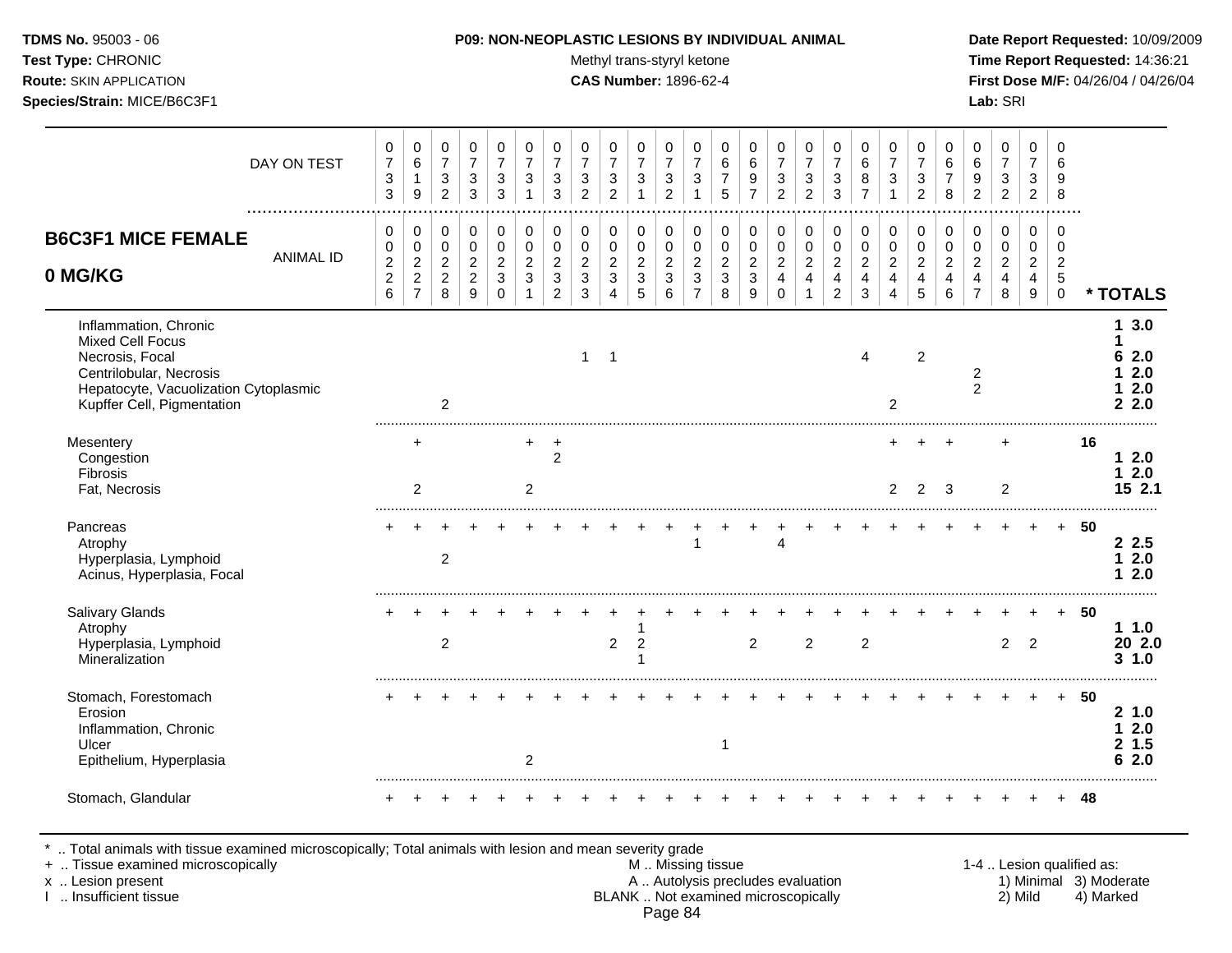Test Type: CHRONIC **Test Type:** CHRONIC **Test Type:** CHRONIC **Time Report Requested:** 14:36:21 **Route:** SKIN APPLICATION **CAS Number:** 1896-62-4 **First Dose M/F:** 04/26/04 / 04/26/04 **Species/Strain:** MICE/B6C3F1 **Lab:** SRI

|                                                                                                                                                                | DAY ON TEST      | 0<br>$\boldsymbol{7}$<br>$\ensuremath{\mathsf{3}}$<br>$\sqrt{3}$        | $\mathbf 0$<br>$\,6\,$<br>1<br>$\boldsymbol{9}$                                  | $\mathbf 0$<br>$\overline{7}$<br>$\sqrt{3}$<br>$\overline{2}$   | 0<br>$\overline{7}$<br>3<br>3                             | 0<br>$\overline{7}$<br>$\ensuremath{\mathsf{3}}$<br>3 | $\mathbf 0$<br>$\overline{7}$<br>$\mathbf{3}$<br>$\overline{1}$ | 0<br>$\overline{7}$<br>$\sqrt{3}$<br>3                               | 0<br>$\overline{7}$<br>$\sqrt{3}$<br>2                  | 0<br>$\overline{7}$<br>$\sqrt{3}$<br>$\overline{2}$              | $\mathbf 0$<br>$\overline{7}$<br>$\sqrt{3}$<br>1 | 0<br>$\overline{7}$<br>$\ensuremath{\mathsf{3}}$<br>$\overline{2}$ | 0<br>$\overline{7}$<br>$\ensuremath{\mathsf{3}}$                | 0<br>6<br>7<br>5                           | 0<br>$\,6\,$<br>9<br>$\overline{7}$                    | 0<br>$\overline{7}$<br>$\sqrt{3}$<br>$\mathcal{P}$ | 0<br>$\overline{7}$<br>$\ensuremath{\mathsf{3}}$<br>$\overline{2}$ | $\mathbf 0$<br>$\overline{7}$<br>$\sqrt{3}$<br>3                                 | 0<br>6<br>8<br>$\overline{7}$                             | 0<br>$\overline{7}$<br>3                                  | 0<br>$\overline{7}$<br>$\sqrt{3}$<br>$\overline{c}$ | 0<br>6<br>$\overline{7}$<br>8                                     | 0<br>6<br>9<br>$\overline{2}$                                | 0<br>$\overline{7}$<br>$\mathbf{3}$<br>$\overline{2}$     | 0<br>$\overline{7}$<br>$\mathbf{3}$<br>$\boldsymbol{2}$             | $\Omega$<br>6<br>9<br>8                                     |    |                                                |
|----------------------------------------------------------------------------------------------------------------------------------------------------------------|------------------|-------------------------------------------------------------------------|----------------------------------------------------------------------------------|-----------------------------------------------------------------|-----------------------------------------------------------|-------------------------------------------------------|-----------------------------------------------------------------|----------------------------------------------------------------------|---------------------------------------------------------|------------------------------------------------------------------|--------------------------------------------------|--------------------------------------------------------------------|-----------------------------------------------------------------|--------------------------------------------|--------------------------------------------------------|----------------------------------------------------|--------------------------------------------------------------------|----------------------------------------------------------------------------------|-----------------------------------------------------------|-----------------------------------------------------------|-----------------------------------------------------|-------------------------------------------------------------------|--------------------------------------------------------------|-----------------------------------------------------------|---------------------------------------------------------------------|-------------------------------------------------------------|----|------------------------------------------------|
| <b>B6C3F1 MICE FEMALE</b><br>0 MG/KG                                                                                                                           | <b>ANIMAL ID</b> | 0<br>0<br>$\overline{\mathbf{c}}$<br>$\boldsymbol{2}$<br>$6\phantom{a}$ | $\mathbf 0$<br>$\mathbf 0$<br>$\overline{c}$<br>$\overline{2}$<br>$\overline{7}$ | $\mathbf 0$<br>$\mathbf 0$<br>$\sqrt{2}$<br>$\overline{2}$<br>8 | 0<br>$\mathbf 0$<br>$\overline{c}$<br>$\overline{c}$<br>9 | 0<br>$\mathbf 0$<br>$\overline{c}$<br>3<br>$\Omega$   | $\pmb{0}$<br>$\mathbf 0$<br>$\overline{2}$<br>3<br>$\mathbf 1$  | 0<br>$\pmb{0}$<br>$\boldsymbol{2}$<br>$\mathbf{3}$<br>$\overline{2}$ | 0<br>$\mathbf 0$<br>$\overline{a}$<br>3<br>$\mathbf{3}$ | 0<br>$\mathbf 0$<br>$\sqrt{2}$<br>$\mathbf{3}$<br>$\overline{4}$ | $\Omega$<br>$\mathbf 0$<br>$\sqrt{2}$<br>3<br>5  | 0<br>$\mathbf 0$<br>$\boldsymbol{2}$<br>3<br>6                     | $\mathbf 0$<br>$\mathbf 0$<br>$\sqrt{2}$<br>3<br>$\overline{7}$ | 0<br>$\pmb{0}$<br>$\overline{c}$<br>3<br>8 | $\mathbf 0$<br>$\mathbf 0$<br>$\overline{c}$<br>3<br>9 | 0<br>0<br>$\overline{a}$<br>4<br>$\Omega$          | 0<br>$\pmb{0}$<br>$\sqrt{2}$<br>$\overline{4}$                     | $\mathbf 0$<br>$\mathbf 0$<br>$\overline{c}$<br>$\overline{4}$<br>$\overline{2}$ | 0<br>$\pmb{0}$<br>$\boldsymbol{2}$<br>$\overline{4}$<br>3 | 0<br>$\mathbf 0$<br>$\overline{c}$<br>4<br>$\overline{4}$ | 0<br>0<br>$\overline{c}$<br>4<br>5                  | $\pmb{0}$<br>$\mathbf 0$<br>$\overline{2}$<br>$\overline{4}$<br>6 | 0<br>0<br>$\overline{c}$<br>$\overline{4}$<br>$\overline{7}$ | 0<br>$\mathbf 0$<br>$\overline{2}$<br>$\overline{4}$<br>8 | $\mathbf 0$<br>$\mathbf 0$<br>$\overline{a}$<br>4<br>$\overline{9}$ | $\Omega$<br>$\mathbf 0$<br>$\overline{2}$<br>5<br>$\pmb{0}$ |    | * TOTALS                                       |
| Inflammation, Chronic<br>Mixed Cell Focus<br>Necrosis, Focal<br>Centrilobular, Necrosis<br>Hepatocyte, Vacuolization Cytoplasmic<br>Kupffer Cell, Pigmentation |                  |                                                                         |                                                                                  | $\overline{2}$                                                  |                                                           |                                                       |                                                                 |                                                                      | $\mathbf 1$                                             | $\overline{1}$                                                   |                                                  |                                                                    |                                                                 |                                            |                                                        |                                                    |                                                                    |                                                                                  | 4                                                         | $\overline{2}$                                            | $\overline{2}$                                      |                                                                   | $\overline{c}$<br>$\overline{2}$                             |                                                           |                                                                     |                                                             |    | 3.0<br>1<br>2.0<br>6<br>2.0<br>2.0<br>2.0<br>2 |
| Mesentery<br>Congestion<br>Fibrosis<br>Fat, Necrosis                                                                                                           |                  |                                                                         | ÷<br>$\overline{2}$                                                              |                                                                 |                                                           |                                                       | $\overline{2}$                                                  | $\overline{2}$                                                       |                                                         |                                                                  |                                                  |                                                                    |                                                                 |                                            |                                                        |                                                    |                                                                    |                                                                                  |                                                           | $\overline{2}$                                            | $\overline{2}$                                      | 3                                                                 |                                                              | $\overline{c}$                                            |                                                                     |                                                             | 16 | 2.0<br>1.<br>2.0<br>1<br>15 2.1                |
| Pancreas<br>Atrophy<br>Hyperplasia, Lymphoid<br>Acinus, Hyperplasia, Focal                                                                                     |                  |                                                                         |                                                                                  | $\overline{2}$                                                  |                                                           |                                                       |                                                                 |                                                                      |                                                         |                                                                  |                                                  |                                                                    |                                                                 |                                            |                                                        | $\overline{\mathbf{4}}$                            |                                                                    |                                                                                  |                                                           |                                                           |                                                     |                                                                   |                                                              |                                                           |                                                                     | $+$                                                         | 50 | 2.5<br>2.0<br>1<br>2.0<br>1.                   |
| Salivary Glands<br>Atrophy<br>Hyperplasia, Lymphoid<br>Mineralization                                                                                          |                  |                                                                         |                                                                                  | $\sqrt{2}$                                                      |                                                           |                                                       |                                                                 |                                                                      |                                                         | $\overline{c}$                                                   | $\overline{c}$                                   |                                                                    |                                                                 |                                            | $\boldsymbol{2}$                                       |                                                    | $\boldsymbol{2}$                                                   |                                                                                  | $\overline{c}$                                            |                                                           |                                                     |                                                                   |                                                              | $\overline{2}$                                            | $\overline{2}$                                                      |                                                             | 50 | 11.0<br>20 2.0<br>31.0                         |
| Stomach, Forestomach<br>Erosion<br>Inflammation, Chronic<br>Ulcer<br>Epithelium, Hyperplasia                                                                   |                  |                                                                         |                                                                                  |                                                                 |                                                           |                                                       | $\overline{2}$                                                  |                                                                      |                                                         |                                                                  |                                                  |                                                                    |                                                                 | $\mathbf 1$                                |                                                        |                                                    |                                                                    |                                                                                  |                                                           |                                                           |                                                     |                                                                   |                                                              |                                                           |                                                                     |                                                             | 50 | 21.0<br>2.0<br>1<br>1.5<br>2<br>2.0<br>6       |
| Stomach, Glandular                                                                                                                                             |                  |                                                                         |                                                                                  |                                                                 |                                                           |                                                       |                                                                 |                                                                      |                                                         |                                                                  |                                                  |                                                                    |                                                                 |                                            |                                                        |                                                    |                                                                    |                                                                                  |                                                           |                                                           |                                                     |                                                                   |                                                              |                                                           |                                                                     |                                                             | 48 |                                                |

\* .. Total animals with tissue examined microscopically; Total animals with lesion and mean severity grade

- + .. Tissue examined microscopically M .. Missing tissue 1-4 .. Lesion qualified as: x .. Lesion present **A .. Autolysis precludes evaluation** A .. Autolysis precludes evaluation 1) Minimal 3) Moderate I .. Insufficient tissue BLANK .. Not examined microscopically 2) Mild 4) Marked Page 84
-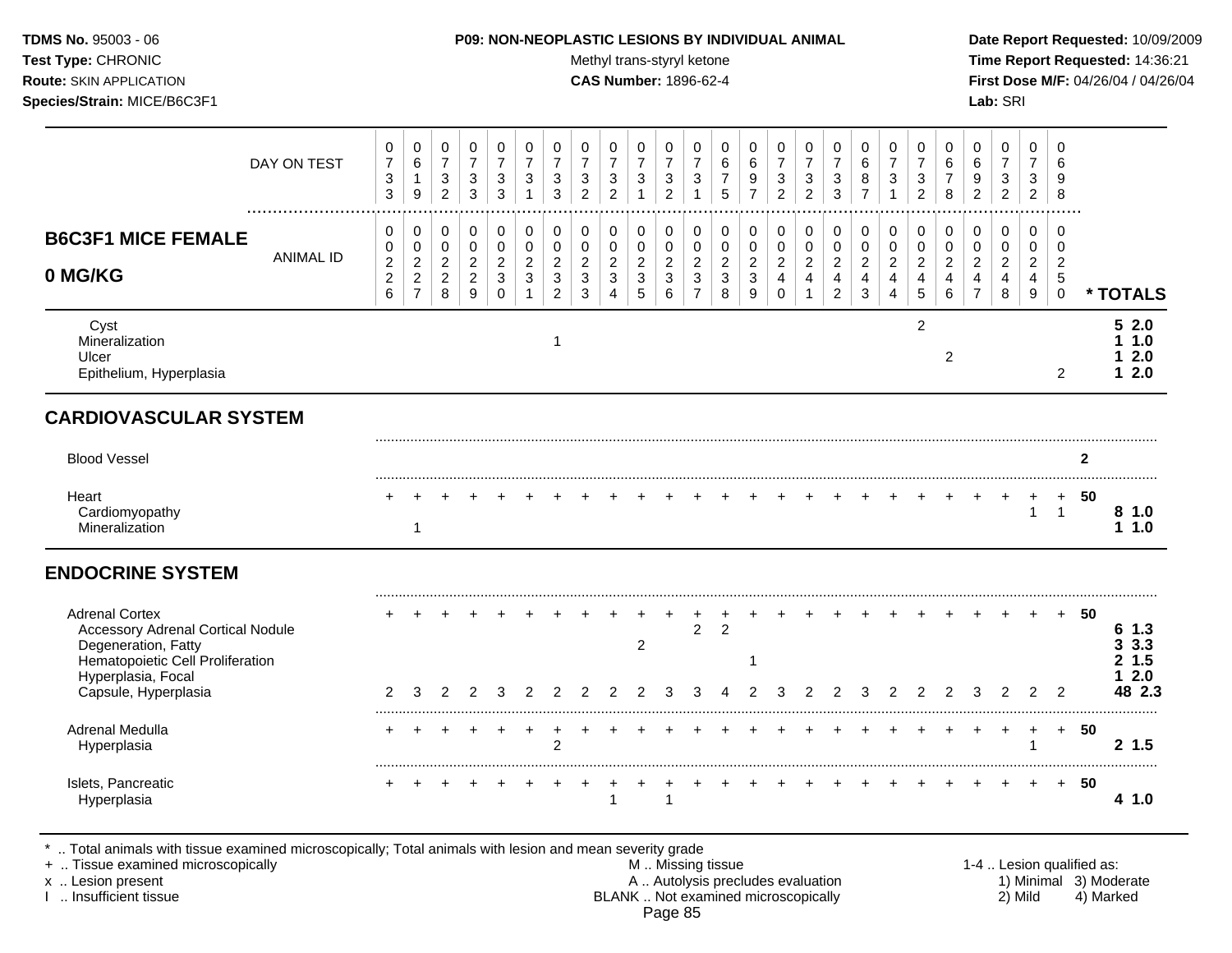## **TDMS No.** 95003 - 06 **P09: NON-NEOPLASTIC LESIONS BY INDIVIDUAL ANIMAL Date Report Requested:** 10/09/2009

Test Type: CHRONIC **Test Type:** CHRONIC **Test Type:** CHRONIC **Time Report Requested:** 14:36:21 **Route:** SKIN APPLICATION **CAS Number:** 1896-62-4 **First Dose M/F:** 04/26/04 / 04/26/04

|                                                                                                                                                                            | DAY ON TEST      | 0<br>$\overline{7}$<br>3<br>$\mathfrak{Z}$                 | 0<br>$\,6\,$<br>$\mathbf{1}$<br>$\boldsymbol{9}$                       | 0<br>$\overline{7}$<br>$\sqrt{3}$<br>$\overline{c}$   | 0<br>$\overline{7}$<br>$\mathbf{3}$<br>$\mathbf{3}$     | 0<br>$\overline{7}$<br>$\sqrt{3}$<br>$\mathbf{3}$                       | 0<br>$\overline{7}$<br>3<br>$\mathbf 1$                   | 0<br>$\overline{7}$<br>$\sqrt{3}$<br>3                                     | 0<br>$\overline{7}$<br>$\mathbf{3}$<br>$\overline{2}$           | 0<br>$\overline{7}$<br>$\sqrt{3}$<br>$\overline{2}$                        | 0<br>$\overline{7}$<br>$\sqrt{3}$<br>$\overline{1}$                    | 0<br>$\overline{7}$<br>$\mathsf 3$<br>$\overline{2}$ | 0<br>$\overline{7}$<br>$\sqrt{3}$<br>$\mathbf{1}$               | 0<br>$\,6\,$<br>$\overline{7}$<br>5                | 0<br>6<br>9<br>$\overline{7}$                        | 0<br>$\overline{7}$<br>3<br>$\overline{2}$    | 0<br>$\overline{7}$<br>$\ensuremath{\mathsf{3}}$<br>$\overline{2}$ | 0<br>$\overline{7}$<br>$\mathbf{3}$<br>3                                         | 0<br>$\,6\,$<br>8<br>$\overline{7}$                             | 0<br>$\overline{7}$<br>$\ensuremath{\mathsf{3}}$<br>$\mathbf{1}$                | 0<br>$\overline{7}$<br>3<br>$\overline{2}$           | 0<br>6<br>$\boldsymbol{7}$<br>8                         | $\mathbf 0$<br>6<br>9<br>$\overline{2}$                                            | 0<br>$\overline{7}$<br>$\sqrt{3}$<br>$\overline{2}$                 | 0<br>$\overline{7}$<br>3<br>$\overline{2}$            | $\Omega$<br>6<br>9<br>8                                                       |                |                                          |
|----------------------------------------------------------------------------------------------------------------------------------------------------------------------------|------------------|------------------------------------------------------------|------------------------------------------------------------------------|-------------------------------------------------------|---------------------------------------------------------|-------------------------------------------------------------------------|-----------------------------------------------------------|----------------------------------------------------------------------------|-----------------------------------------------------------------|----------------------------------------------------------------------------|------------------------------------------------------------------------|------------------------------------------------------|-----------------------------------------------------------------|----------------------------------------------------|------------------------------------------------------|-----------------------------------------------|--------------------------------------------------------------------|----------------------------------------------------------------------------------|-----------------------------------------------------------------|---------------------------------------------------------------------------------|------------------------------------------------------|---------------------------------------------------------|------------------------------------------------------------------------------------|---------------------------------------------------------------------|-------------------------------------------------------|-------------------------------------------------------------------------------|----------------|------------------------------------------|
| <b>B6C3F1 MICE FEMALE</b><br>0 MG/KG                                                                                                                                       | <b>ANIMAL ID</b> | 0<br>0<br>$\overline{\mathbf{c}}$<br>$\boldsymbol{2}$<br>6 | 0<br>$\pmb{0}$<br>$\boldsymbol{2}$<br>$\overline{2}$<br>$\overline{7}$ | 0<br>$\mathbf 0$<br>$\overline{a}$<br>$\sqrt{2}$<br>8 | 0<br>$\pmb{0}$<br>$\overline{c}$<br>$\overline{2}$<br>9 | $\mathbf 0$<br>$\mathbf 0$<br>$\sqrt{2}$<br>$\mathbf{3}$<br>$\mathbf 0$ | 0<br>$\mathbf 0$<br>$\boldsymbol{2}$<br>3<br>$\mathbf{1}$ | $\mathbf 0$<br>$\pmb{0}$<br>$\overline{c}$<br>$\sqrt{3}$<br>$\overline{2}$ | $\pmb{0}$<br>$\mathbf 0$<br>$\overline{c}$<br>$\mathbf{3}$<br>3 | $\pmb{0}$<br>$\pmb{0}$<br>$\overline{c}$<br>$\mathbf{3}$<br>$\overline{4}$ | 0<br>$\mathsf{O}\xspace$<br>$\sqrt{2}$<br>$\sqrt{3}$<br>$\overline{5}$ | 0<br>$\mathbf 0$<br>$\sqrt{2}$<br>$\mathbf 3$<br>6   | $\mathbf 0$<br>0<br>$\sqrt{2}$<br>$\mathsf 3$<br>$\overline{7}$ | 0<br>$\mathbf 0$<br>$\sqrt{2}$<br>$\mathsf 3$<br>8 | 0<br>$\pmb{0}$<br>$\overline{c}$<br>$\mathsf 3$<br>9 | 0<br>$\pmb{0}$<br>$\sqrt{2}$<br>4<br>$\Omega$ | 0<br>$\pmb{0}$<br>$\overline{2}$<br>$\overline{4}$<br>$\mathbf{1}$ | 0<br>$\mathsf{O}\xspace$<br>$\boldsymbol{2}$<br>$\overline{4}$<br>$\overline{c}$ | $\mathbf 0$<br>$\mathsf 0$<br>$\sqrt{2}$<br>$\overline{4}$<br>3 | 0<br>$\mathsf 0$<br>$\overline{c}$<br>$\overline{4}$<br>$\overline{\mathbf{4}}$ | $\pmb{0}$<br>$\mathbf 0$<br>$\overline{c}$<br>4<br>5 | 0<br>$\pmb{0}$<br>$\overline{c}$<br>$\overline{4}$<br>6 | $\mathbf 0$<br>$\mathbf 0$<br>$\boldsymbol{2}$<br>$\overline{4}$<br>$\overline{7}$ | $\mathbf 0$<br>$\mathbf 0$<br>$\overline{c}$<br>$\overline{4}$<br>8 | $\mathbf 0$<br>0<br>$\sqrt{2}$<br>$\overline{4}$<br>9 | $\mathbf 0$<br>$\mathbf 0$<br>$\overline{2}$<br>$\overline{5}$<br>$\mathbf 0$ |                | * TOTALS                                 |
| Cyst<br>Mineralization<br>Ulcer<br>Epithelium, Hyperplasia                                                                                                                 |                  |                                                            |                                                                        |                                                       |                                                         |                                                                         |                                                           | $\mathbf 1$                                                                |                                                                 |                                                                            |                                                                        |                                                      |                                                                 |                                                    |                                                      |                                               |                                                                    |                                                                                  |                                                                 |                                                                                 | $\overline{2}$                                       | $\overline{2}$                                          |                                                                                    |                                                                     |                                                       | $\overline{2}$                                                                |                | 52.0<br>1.0<br>2.0<br>12.0               |
| <b>CARDIOVASCULAR SYSTEM</b>                                                                                                                                               |                  |                                                            |                                                                        |                                                       |                                                         |                                                                         |                                                           |                                                                            |                                                                 |                                                                            |                                                                        |                                                      |                                                                 |                                                    |                                                      |                                               |                                                                    |                                                                                  |                                                                 |                                                                                 |                                                      |                                                         |                                                                                    |                                                                     |                                                       |                                                                               |                |                                          |
| <b>Blood Vessel</b>                                                                                                                                                        |                  |                                                            |                                                                        |                                                       |                                                         |                                                                         |                                                           |                                                                            |                                                                 |                                                                            |                                                                        |                                                      |                                                                 |                                                    |                                                      |                                               |                                                                    |                                                                                  |                                                                 |                                                                                 |                                                      |                                                         |                                                                                    |                                                                     |                                                       |                                                                               | $\overline{2}$ |                                          |
| Heart<br>Cardiomyopathy<br>Mineralization                                                                                                                                  |                  |                                                            | $\mathbf{1}$                                                           |                                                       |                                                         |                                                                         |                                                           |                                                                            |                                                                 |                                                                            |                                                                        |                                                      |                                                                 |                                                    |                                                      |                                               |                                                                    |                                                                                  |                                                                 |                                                                                 |                                                      |                                                         |                                                                                    |                                                                     | $\ddot{}$<br>$\mathbf{1}$                             | $\ddot{}$<br>$\overline{1}$                                                   | 50             | 81.0<br>11.0                             |
| <b>ENDOCRINE SYSTEM</b>                                                                                                                                                    |                  |                                                            |                                                                        |                                                       |                                                         |                                                                         |                                                           |                                                                            |                                                                 |                                                                            |                                                                        |                                                      |                                                                 |                                                    |                                                      |                                               |                                                                    |                                                                                  |                                                                 |                                                                                 |                                                      |                                                         |                                                                                    |                                                                     |                                                       |                                                                               |                |                                          |
| <b>Adrenal Cortex</b><br><b>Accessory Adrenal Cortical Nodule</b><br>Degeneration, Fatty<br>Hematopoietic Cell Proliferation<br>Hyperplasia, Focal<br>Capsule, Hyperplasia |                  | 2                                                          | 3                                                                      | 2                                                     | 2                                                       | 3                                                                       | 2                                                         | 2                                                                          |                                                                 |                                                                            | $\overline{c}$<br>2                                                    | 3                                                    | $\overline{c}$<br>3                                             | $\overline{c}$                                     | $\mathbf 1$<br>$\overline{2}$                        | 3                                             | $\overline{2}$                                                     | 2                                                                                | 3                                                               | 2                                                                               | $\overline{2}$                                       | $\overline{2}$                                          | 3                                                                                  | 2                                                                   | 2                                                     | 2                                                                             | 50             | 61.3<br>3.3.3<br>2, 1.5<br>2.0<br>48 2.3 |
| Adrenal Medulla<br>Hyperplasia                                                                                                                                             |                  |                                                            |                                                                        |                                                       |                                                         |                                                                         | +                                                         | 2                                                                          |                                                                 |                                                                            |                                                                        |                                                      |                                                                 |                                                    |                                                      |                                               |                                                                    |                                                                                  |                                                                 |                                                                                 |                                                      |                                                         |                                                                                    |                                                                     | $\div$                                                | $+$                                                                           | -50            | 2, 1.5                                   |
|                                                                                                                                                                            |                  |                                                            |                                                                        |                                                       |                                                         |                                                                         |                                                           |                                                                            |                                                                 | $\mathbf{1}$                                                               | +                                                                      |                                                      |                                                                 |                                                    |                                                      |                                               |                                                                    |                                                                                  |                                                                 |                                                                                 |                                                      |                                                         |                                                                                    |                                                                     | $+$                                                   | $+$                                                                           | 50             | 4 1.0                                    |

+ .. Tissue examined microscopically examined microscopically with the state of the state of the state of the m<br>A .. Autolysis precludes evaluation and the state of the state of the state of the state of the state of the s x .. Lesion present **A .. Autolysis precludes evaluation** A .. Autolysis precludes evaluation 1) Minimal 3) Moderate I .. Insufficient tissue BLANK .. Not examined microscopically 2) Mild 4) Marked Page 85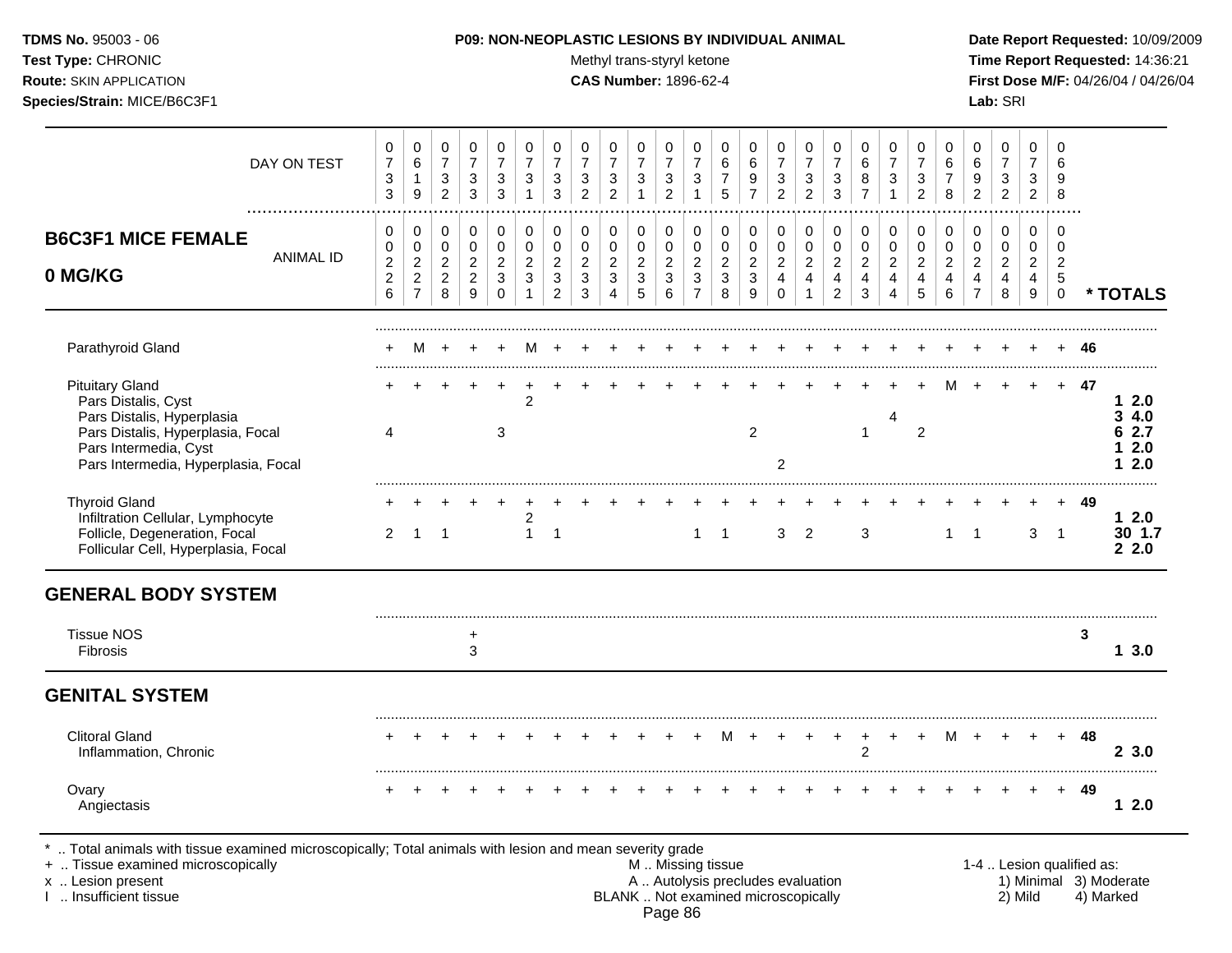Test Type: CHRONIC **Test Type:** CHRONIC **Test Type:** CHRONIC **Time Report Requested:** 14:36:21 **Route:** SKIN APPLICATION **CAS Number:** 1896-62-4 **First Dose M/F:** 04/26/04 / 04/26/04 **Species/Strain:** MICE/B6C3F1 **Lab:** SRI

| DAY ON TEST                                                                                                                                                                             | 0<br>$\overline{7}$<br>$\ensuremath{\mathsf{3}}$<br>$\mathbf{3}$ | 0<br>$\,6\,$<br>1<br>9                                       | $\pmb{0}$<br>$\overline{7}$<br>$\ensuremath{\mathsf{3}}$<br>$\overline{2}$ | $\pmb{0}$<br>$\overline{7}$<br>$\ensuremath{\mathsf{3}}$<br>$\mathfrak{S}$ | 0<br>$\overline{7}$<br>3<br>3              | 0<br>$\overline{7}$<br>3<br>$\overline{1}$                                      | 0<br>$\overline{7}$<br>3<br>3                                      | 0<br>$\overline{7}$<br>3<br>$\overline{2}$               | 0<br>$\overline{7}$<br>$\ensuremath{\mathsf{3}}$<br>$\overline{c}$ | 0<br>$\overline{7}$<br>$\ensuremath{\mathsf{3}}$<br>$\mathbf{1}$   | 0<br>$\overline{7}$<br>$\ensuremath{\mathsf{3}}$<br>$\overline{2}$ | 0<br>$\overline{7}$<br>$\ensuremath{\mathsf{3}}$<br>$\mathbf{1}$     | $\mathbf 0$<br>6<br>$\overline{7}$<br>$\overline{5}$                                          | 0<br>$\,6\,$<br>$\boldsymbol{9}$<br>$\overline{7}$                             | 0<br>$\overline{7}$<br>3<br>$\overline{a}$                         | $\mathbf 0$<br>$\overline{7}$<br>$\sqrt{3}$<br>$\overline{c}$                         | 0<br>$\overline{7}$<br>$\ensuremath{\mathsf{3}}$<br>3                | $\mathbf 0$<br>$\,6\,$<br>8<br>$\overline{7}$             | 0<br>$\overline{7}$<br>3<br>$\mathbf{1}$                               | 0<br>$\overline{7}$<br>3<br>$\overline{c}$                                   | 0<br>$\,6\,$<br>$\overline{7}$<br>8                                   | 0<br>$\,6$<br>9<br>$\overline{2}$                                    | 0<br>$\overline{7}$<br>$\ensuremath{\mathsf{3}}$<br>$\overline{2}$ | $\Omega$<br>$\overline{7}$<br>3<br>$\overline{2}$             | $\mathbf 0$<br>6<br>9<br>8                                      |                           |                                               |
|-----------------------------------------------------------------------------------------------------------------------------------------------------------------------------------------|------------------------------------------------------------------|--------------------------------------------------------------|----------------------------------------------------------------------------|----------------------------------------------------------------------------|--------------------------------------------|---------------------------------------------------------------------------------|--------------------------------------------------------------------|----------------------------------------------------------|--------------------------------------------------------------------|--------------------------------------------------------------------|--------------------------------------------------------------------|----------------------------------------------------------------------|-----------------------------------------------------------------------------------------------|--------------------------------------------------------------------------------|--------------------------------------------------------------------|---------------------------------------------------------------------------------------|----------------------------------------------------------------------|-----------------------------------------------------------|------------------------------------------------------------------------|------------------------------------------------------------------------------|-----------------------------------------------------------------------|----------------------------------------------------------------------|--------------------------------------------------------------------|---------------------------------------------------------------|-----------------------------------------------------------------|---------------------------|-----------------------------------------------|
| <b>B6C3F1 MICE FEMALE</b><br><b>ANIMAL ID</b><br>0 MG/KG                                                                                                                                | 0<br>0<br>$\sqrt{2}$<br>$\mathbf 2$<br>$6\phantom{a}$            | 0<br>$\pmb{0}$<br>$\sqrt{2}$<br>$\sqrt{2}$<br>$\overline{7}$ | $\mathbf 0$<br>$\pmb{0}$<br>$\overline{2}$<br>$\sqrt{2}$<br>8              | $\mathbf 0$<br>$\pmb{0}$<br>$\overline{c}$<br>$\overline{a}$<br>9          | 0<br>$\pmb{0}$<br>$\overline{c}$<br>3<br>0 | 0<br>$\mathbf 0$<br>$\overline{2}$<br>$\ensuremath{\mathsf{3}}$<br>$\mathbf{1}$ | 0<br>$\mathbf 0$<br>$\overline{c}$<br>$\sqrt{3}$<br>$\overline{2}$ | 0<br>0<br>$\overline{c}$<br>$\mathbf{3}$<br>$\mathbf{3}$ | 0<br>0<br>$\overline{c}$<br>$\ensuremath{\mathsf{3}}$<br>4         | 0<br>$\pmb{0}$<br>$\overline{a}$<br>$\ensuremath{\mathsf{3}}$<br>5 | 0<br>$\mathbf 0$<br>$\boldsymbol{2}$<br>$\mathsf 3$<br>6           | 0<br>$\pmb{0}$<br>$\overline{c}$<br>$\mathfrak{Z}$<br>$\overline{7}$ | $\mathbf 0$<br>$\mathsf 0$<br>$\mathbf 2$<br>$\sqrt{3}$<br>8                                  | 0<br>$\mathsf{O}\xspace$<br>$\boldsymbol{2}$<br>$\ensuremath{\mathsf{3}}$<br>9 | 0<br>0<br>$\overline{c}$<br>$\overline{\mathbf{4}}$<br>$\mathbf 0$ | $\mathbf 0$<br>$\mathbf 0$<br>$\sqrt{2}$<br>$\overline{\mathbf{4}}$<br>$\overline{1}$ | 0<br>$\pmb{0}$<br>$\overline{c}$<br>$\overline{4}$<br>$\overline{2}$ | 0<br>$\mathbf 0$<br>$\overline{c}$<br>$\overline{4}$<br>3 | 0<br>$\mathbf 0$<br>$\overline{c}$<br>$\overline{4}$<br>$\overline{4}$ | $\mathbf 0$<br>$\pmb{0}$<br>$\boldsymbol{2}$<br>$\overline{\mathbf{4}}$<br>5 | $\mathbf 0$<br>$\mathbf 0$<br>$\boldsymbol{2}$<br>$\overline{4}$<br>6 | 0<br>$\pmb{0}$<br>$\overline{c}$<br>$\overline{4}$<br>$\overline{7}$ | 0<br>$\pmb{0}$<br>$\overline{c}$<br>$\overline{\mathbf{4}}$<br>8   | 0<br>$\mathbf 0$<br>$\overline{2}$<br>$\overline{4}$<br>$9\,$ | $\mathbf 0$<br>0<br>$\overline{c}$<br>$\sqrt{5}$<br>$\mathbf 0$ |                           | * TOTALS                                      |
| Parathyroid Gland                                                                                                                                                                       |                                                                  | м                                                            |                                                                            |                                                                            |                                            | м                                                                               |                                                                    |                                                          |                                                                    |                                                                    |                                                                    |                                                                      |                                                                                               |                                                                                |                                                                    |                                                                                       |                                                                      |                                                           |                                                                        |                                                                              |                                                                       |                                                                      |                                                                    |                                                               |                                                                 | 46                        |                                               |
| <b>Pituitary Gland</b><br>Pars Distalis, Cyst<br>Pars Distalis, Hyperplasia<br>Pars Distalis, Hyperplasia, Focal<br>Pars Intermedia, Cyst<br>Pars Intermedia, Hyperplasia, Focal        | 4                                                                |                                                              |                                                                            |                                                                            | $\ddot{}$<br>3                             | $\overline{2}$                                                                  |                                                                    |                                                          |                                                                    |                                                                    |                                                                    |                                                                      |                                                                                               | $\overline{2}$                                                                 | $\overline{2}$                                                     |                                                                                       |                                                                      | $\mathbf{1}$                                              | 4                                                                      | 2                                                                            |                                                                       |                                                                      |                                                                    |                                                               | $+$                                                             | 47                        | 2.0<br>1<br>34.0<br>6 2.7<br>2.0<br>2.0<br>1. |
| <b>Thyroid Gland</b><br>Infiltration Cellular, Lymphocyte<br>Follicle, Degeneration, Focal<br>Follicular Cell, Hyperplasia, Focal                                                       | $\overline{2}$                                                   | $\overline{1}$                                               | $\overline{\phantom{0}}$ 1                                                 |                                                                            |                                            | $\overline{2}$<br>$\mathbf{1}$                                                  | $\overline{1}$                                                     |                                                          |                                                                    |                                                                    |                                                                    | 1                                                                    | $\mathbf{1}$                                                                                  |                                                                                | 3                                                                  | $\overline{2}$                                                                        |                                                                      | 3                                                         |                                                                        |                                                                              | $\mathbf{1}$                                                          | $\overline{1}$                                                       |                                                                    | 3                                                             | $\overline{1}$                                                  | 49                        | 12.0<br>30 1.7<br>22.0                        |
| <b>GENERAL BODY SYSTEM</b>                                                                                                                                                              |                                                                  |                                                              |                                                                            |                                                                            |                                            |                                                                                 |                                                                    |                                                          |                                                                    |                                                                    |                                                                    |                                                                      |                                                                                               |                                                                                |                                                                    |                                                                                       |                                                                      |                                                           |                                                                        |                                                                              |                                                                       |                                                                      |                                                                    |                                                               |                                                                 |                           |                                               |
| <b>Tissue NOS</b><br><b>Fibrosis</b>                                                                                                                                                    |                                                                  |                                                              |                                                                            | $\ddot{}$<br>3                                                             |                                            |                                                                                 |                                                                    |                                                          |                                                                    |                                                                    |                                                                    |                                                                      |                                                                                               |                                                                                |                                                                    |                                                                                       |                                                                      |                                                           |                                                                        |                                                                              |                                                                       |                                                                      |                                                                    |                                                               |                                                                 | 3                         | 13.0                                          |
| <b>GENITAL SYSTEM</b>                                                                                                                                                                   |                                                                  |                                                              |                                                                            |                                                                            |                                            |                                                                                 |                                                                    |                                                          |                                                                    |                                                                    |                                                                    |                                                                      |                                                                                               |                                                                                |                                                                    |                                                                                       |                                                                      |                                                           |                                                                        |                                                                              |                                                                       |                                                                      |                                                                    |                                                               |                                                                 |                           |                                               |
| <b>Clitoral Gland</b><br>Inflammation, Chronic                                                                                                                                          |                                                                  |                                                              |                                                                            |                                                                            |                                            |                                                                                 |                                                                    |                                                          |                                                                    |                                                                    |                                                                    |                                                                      | м                                                                                             |                                                                                |                                                                    |                                                                                       |                                                                      | $\ddot{}$<br>$\overline{2}$                               | $+$                                                                    |                                                                              | M                                                                     |                                                                      |                                                                    |                                                               | $+$                                                             | 48                        | 23.0                                          |
| Ovary<br>Angiectasis                                                                                                                                                                    |                                                                  |                                                              |                                                                            |                                                                            |                                            |                                                                                 |                                                                    |                                                          |                                                                    |                                                                    |                                                                    |                                                                      |                                                                                               |                                                                                |                                                                    |                                                                                       |                                                                      |                                                           |                                                                        |                                                                              |                                                                       |                                                                      |                                                                    |                                                               | $+$                                                             | 49                        | $12.0$                                        |
| Total animals with tissue examined microscopically; Total animals with lesion and mean severity grade<br>+  Tissue examined microscopically<br>x  Lesion present<br>Insufficient tissue |                                                                  |                                                              |                                                                            |                                                                            |                                            |                                                                                 |                                                                    |                                                          |                                                                    |                                                                    |                                                                    |                                                                      | M  Missing tissue<br>A  Autolysis precludes evaluation<br>BLANK  Not examined microscopically |                                                                                |                                                                    |                                                                                       |                                                                      |                                                           |                                                                        |                                                                              |                                                                       |                                                                      |                                                                    | 2) Mild                                                       |                                                                 | 1-4  Lesion qualified as: | 1) Minimal 3) Moderate<br>4) Marked           |

BLANK .. Not examined microscopically Page 86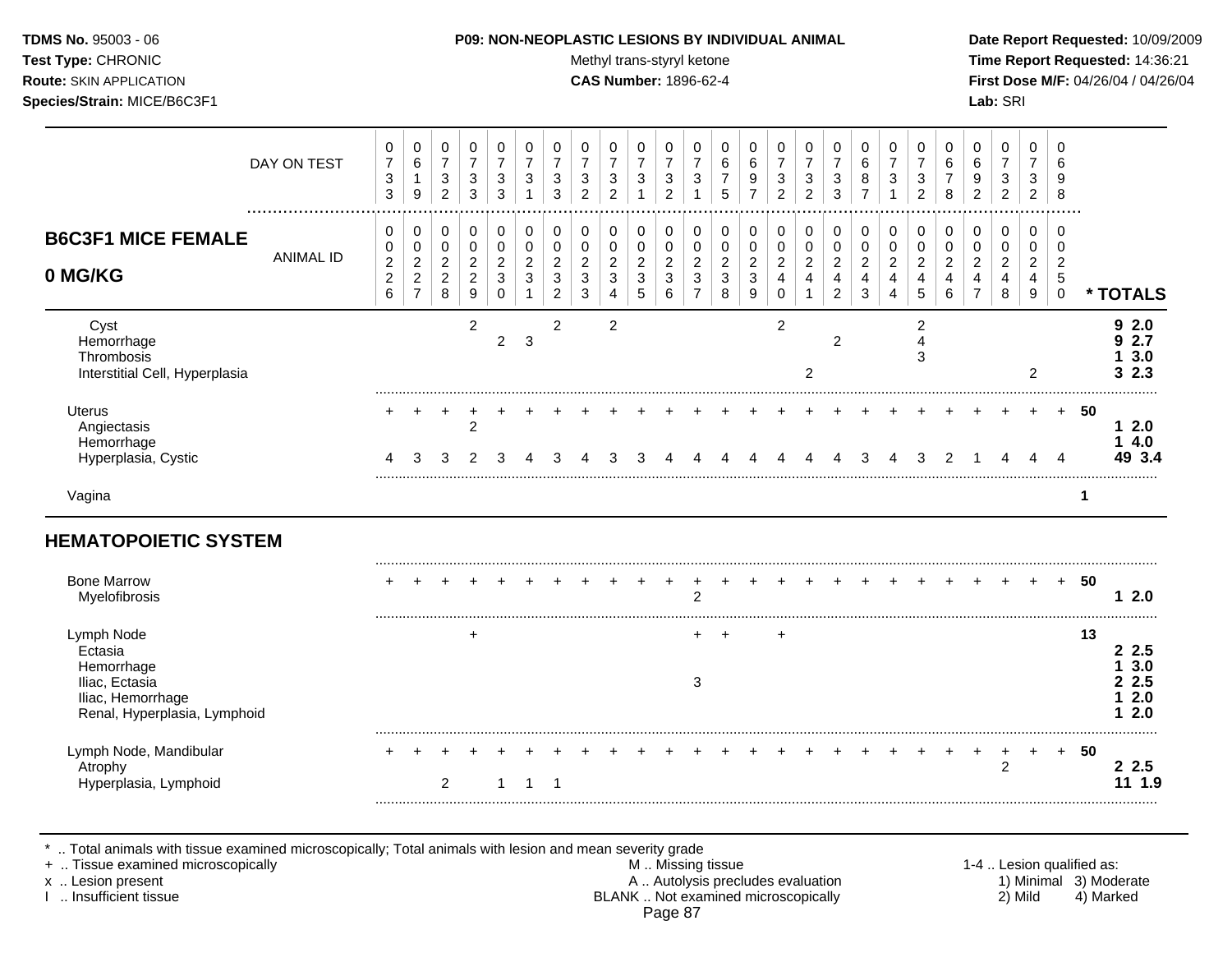Test Type: CHRONIC **Test Type:** CHRONIC **Test Type:** CHRONIC **Time Report Requested:** 14:36:21 **Route:** SKIN APPLICATION **CAS Number:** 1896-62-4 **First Dose M/F:** 04/26/04 / 04/26/04 **Species/Strain:** MICE/B6C3F1 **Lab:** SRI

|                                                                                                            | DAY ON TEST      | 0<br>$\overline{7}$<br>$\mathbf{3}$<br>$\mathbf{3}$                   | 0<br>6<br>$\mathbf{1}$<br>$\boldsymbol{9}$                               | $\pmb{0}$<br>$\overline{7}$<br>$\ensuremath{\mathsf{3}}$<br>$\overline{c}$ | 0<br>$\overline{7}$<br>3<br>3                             | 0<br>$\overline{7}$<br>3<br>3             | 0<br>$\overline{7}$<br>3      | 0<br>$\overline{7}$<br>3<br>3                     | 0<br>$\overline{7}$<br>$\ensuremath{\mathsf{3}}$<br>$\overline{c}$ | 0<br>$\overline{7}$<br>3<br>$\overline{2}$   | 0<br>$\overline{7}$<br>3<br>1      | 0<br>$\overline{7}$<br>$\mathbf{3}$<br>$\overline{c}$       | 0<br>$\overline{7}$<br>3                          | 0<br>6<br>5                                           | 0<br>6<br>9<br>$\overline{7}$                                      | 0<br>$\overline{7}$<br>$\sqrt{3}$<br>$\overline{2}$     | 0<br>$\overline{7}$<br>$\sqrt{3}$<br>$\overline{2}$ | 0<br>$\overline{7}$<br>3<br>3                           | 0<br>6<br>8<br>$\overline{7}$      | 0<br>$\overline{7}$<br>3                   | 0<br>$\overline{7}$<br>$\ensuremath{\mathsf{3}}$<br>$\overline{2}$                  | 0<br>6<br>$\overline{7}$<br>$\,8\,$                                  | 0<br>6<br>9<br>2                                                                | 0<br>$\overline{7}$<br>3<br>$\overline{2}$ | 0<br>$\overline{7}$<br>3<br>$\overline{2}$ | 0<br>6<br>9<br>8                                                |             |                                       |
|------------------------------------------------------------------------------------------------------------|------------------|-----------------------------------------------------------------------|--------------------------------------------------------------------------|----------------------------------------------------------------------------|-----------------------------------------------------------|-------------------------------------------|-------------------------------|---------------------------------------------------|--------------------------------------------------------------------|----------------------------------------------|------------------------------------|-------------------------------------------------------------|---------------------------------------------------|-------------------------------------------------------|--------------------------------------------------------------------|---------------------------------------------------------|-----------------------------------------------------|---------------------------------------------------------|------------------------------------|--------------------------------------------|-------------------------------------------------------------------------------------|----------------------------------------------------------------------|---------------------------------------------------------------------------------|--------------------------------------------|--------------------------------------------|-----------------------------------------------------------------|-------------|---------------------------------------|
| <b>B6C3F1 MICE FEMALE</b><br>0 MG/KG                                                                       | <b>ANIMAL ID</b> | 0<br>0<br>$\overline{c}$<br>$\overline{\mathbf{c}}$<br>$6\phantom{a}$ | 0<br>$\mathbf 0$<br>$\boldsymbol{2}$<br>$\overline{a}$<br>$\overline{7}$ | $\,0\,$<br>$\mathbf 0$<br>$\boldsymbol{2}$<br>$\overline{c}$<br>8          | 0<br>$\mathbf 0$<br>$\overline{2}$<br>$\overline{c}$<br>9 | 0<br>0<br>$\overline{2}$<br>3<br>$\Omega$ | 0<br>0<br>$\overline{2}$<br>3 | 0<br>0<br>$\boldsymbol{2}$<br>3<br>$\overline{c}$ | 0<br>$\pmb{0}$<br>$\overline{c}$<br>$\mathbf 3$<br>$\mathbf{3}$    | 0<br>$\pmb{0}$<br>$\boldsymbol{2}$<br>3<br>4 | 0<br>0<br>$\overline{c}$<br>3<br>5 | $\mathbf 0$<br>$\mathbf 0$<br>$\sqrt{2}$<br>$\sqrt{3}$<br>6 | 0<br>0<br>$\boldsymbol{2}$<br>3<br>$\overline{7}$ | 0<br>$\pmb{0}$<br>$\boldsymbol{2}$<br>$\sqrt{3}$<br>8 | 0<br>$\pmb{0}$<br>$\overline{c}$<br>$\ensuremath{\mathsf{3}}$<br>9 | 0<br>$\pmb{0}$<br>$\overline{a}$<br>$\overline{4}$<br>0 | 0<br>$\pmb{0}$<br>$\sqrt{2}$<br>4<br>$\mathbf{1}$   | 0<br>$\pmb{0}$<br>$\overline{2}$<br>4<br>$\overline{2}$ | 0<br>0<br>$\overline{2}$<br>4<br>3 | 0<br>$\pmb{0}$<br>$\overline{c}$<br>4<br>4 | $\,0\,$<br>$\pmb{0}$<br>$\overline{c}$<br>$\overline{\mathbf{4}}$<br>$\overline{5}$ | 0<br>$\mathbf 0$<br>$\boldsymbol{2}$<br>$\overline{\mathbf{4}}$<br>6 | 0<br>$\mathbf 0$<br>$\overline{2}$<br>$\overline{\mathbf{4}}$<br>$\overline{7}$ | 0<br>0<br>$\boldsymbol{2}$<br>4<br>8       | 0<br>0<br>$\overline{2}$<br>4<br>9         | 0<br>$\mathbf 0$<br>$\overline{2}$<br>$\sqrt{5}$<br>$\mathbf 0$ |             | * TOTALS                              |
| Cyst<br>Hemorrhage<br>Thrombosis<br>Interstitial Cell, Hyperplasia                                         |                  |                                                                       |                                                                          |                                                                            | $\overline{c}$                                            | $\overline{2}$                            | $\mathbf{3}$                  | $\overline{c}$                                    |                                                                    | $\overline{2}$                               |                                    |                                                             |                                                   |                                                       |                                                                    | $\overline{c}$                                          | $\overline{2}$                                      | $\overline{2}$                                          |                                    |                                            | $\overline{c}$<br>$\overline{4}$<br>3                                               |                                                                      |                                                                                 |                                            | $\overline{2}$                             |                                                                 |             | 92.0<br>92.7<br>3.0<br>32.3           |
| <b>Uterus</b><br>Angiectasis<br>Hemorrhage<br>Hyperplasia, Cystic                                          |                  | 4                                                                     | 3                                                                        | 3                                                                          | $\overline{2}$                                            |                                           |                               | З                                                 |                                                                    |                                              |                                    |                                                             |                                                   |                                                       |                                                                    |                                                         |                                                     |                                                         |                                    |                                            | 3                                                                                   | 2                                                                    |                                                                                 |                                            |                                            | $+$                                                             | 50          | 12.0<br>14.0<br>49 3.4                |
| Vagina                                                                                                     |                  |                                                                       |                                                                          |                                                                            |                                                           |                                           |                               |                                                   |                                                                    |                                              |                                    |                                                             |                                                   |                                                       |                                                                    |                                                         |                                                     |                                                         |                                    |                                            |                                                                                     |                                                                      |                                                                                 |                                            |                                            |                                                                 | $\mathbf 1$ |                                       |
| <b>HEMATOPOIETIC SYSTEM</b>                                                                                |                  |                                                                       |                                                                          |                                                                            |                                                           |                                           |                               |                                                   |                                                                    |                                              |                                    |                                                             |                                                   |                                                       |                                                                    |                                                         |                                                     |                                                         |                                    |                                            |                                                                                     |                                                                      |                                                                                 |                                            |                                            |                                                                 |             |                                       |
| <b>Bone Marrow</b><br>Myelofibrosis                                                                        |                  |                                                                       |                                                                          |                                                                            |                                                           |                                           |                               |                                                   |                                                                    |                                              |                                    | +                                                           | 2                                                 |                                                       |                                                                    |                                                         |                                                     |                                                         |                                    |                                            |                                                                                     |                                                                      |                                                                                 |                                            | $\ddot{}$                                  | $\ddot{}$                                                       | 50          | 12.0                                  |
| Lymph Node<br>Ectasia<br>Hemorrhage<br>Iliac, Ectasia<br>Iliac, Hemorrhage<br>Renal, Hyperplasia, Lymphoid |                  |                                                                       |                                                                          |                                                                            | ٠                                                         |                                           |                               |                                                   |                                                                    |                                              |                                    |                                                             | 3                                                 |                                                       |                                                                    | +                                                       |                                                     |                                                         |                                    |                                            |                                                                                     |                                                                      |                                                                                 |                                            |                                            |                                                                 | 13          | 2.5<br>13.0<br>2.5<br>2.0<br>2.0<br>1 |
| Lymph Node, Mandibular<br>Atrophy<br>Hyperplasia, Lymphoid                                                 |                  |                                                                       |                                                                          | $\overline{2}$                                                             |                                                           |                                           | -1                            | 1                                                 |                                                                    |                                              |                                    |                                                             |                                                   |                                                       |                                                                    |                                                         |                                                     |                                                         |                                    |                                            |                                                                                     |                                                                      |                                                                                 | $\overline{2}$                             |                                            | $+$                                                             | 50          | 2.5<br>11 1.9                         |

\* .. Total animals with tissue examined microscopically; Total animals with lesion and mean severity grade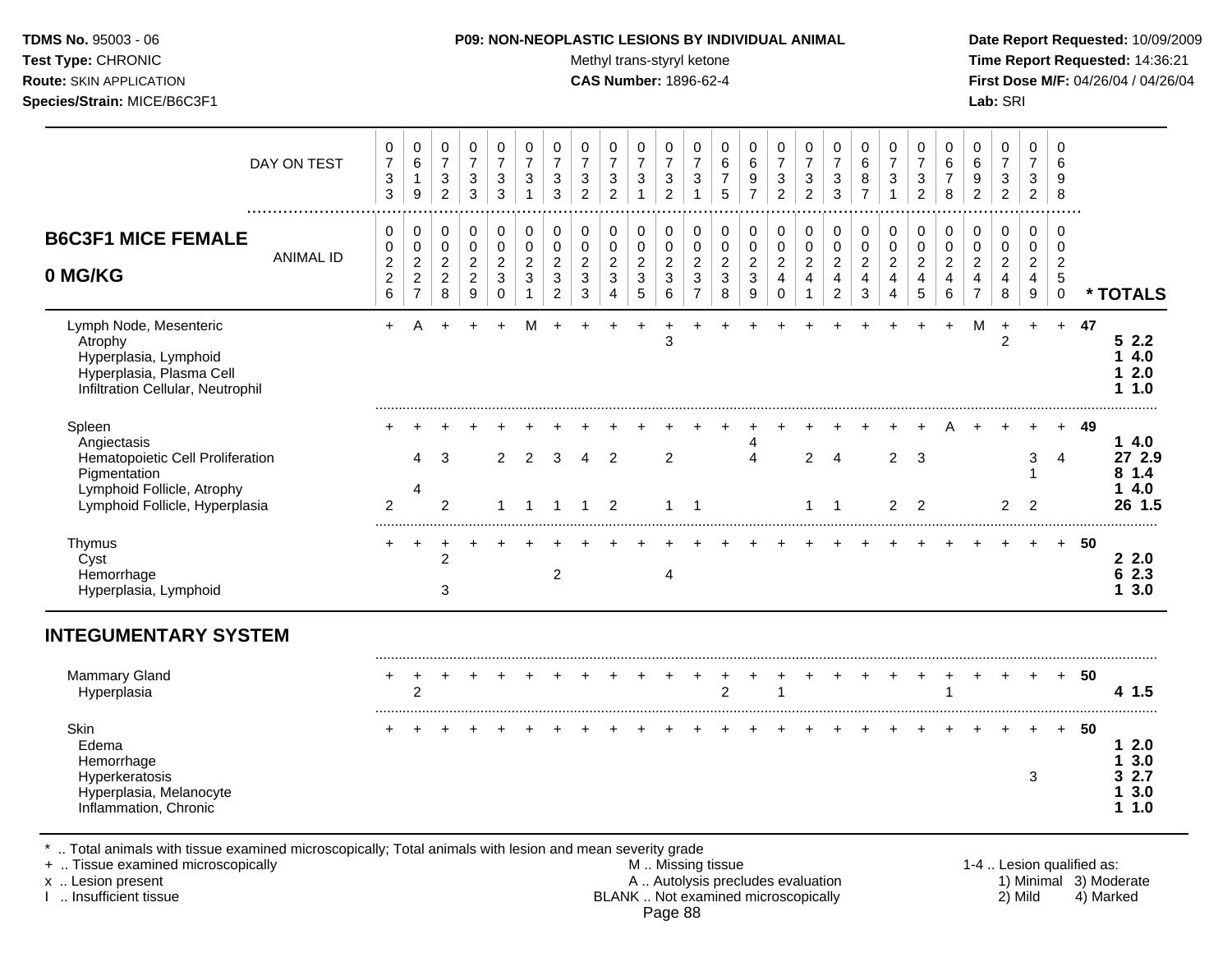Test Type: CHRONIC **Test Type:** CHRONIC **Test Type:** CHRONIC **Time Report Requested:** 14:36:21 **Route:** SKIN APPLICATION **CAS Number:** 1896-62-4 **First Dose M/F:** 04/26/04 / 04/26/04 **Species/Strain:** MICE/B6C3F1 **Lab:** SRI

| DAY ON TEST                                                                                                                                 | 0<br>$\overline{\mathcal{I}}$<br>3<br>3    | 0<br>6<br>$\mathbf{1}$<br>9                          | 0<br>$\overline{7}$<br>3<br>$\overline{c}$             | $\pmb{0}$<br>$\overline{7}$<br>$\ensuremath{\mathsf{3}}$<br>$\mathbf{3}$ | 0<br>$\overline{7}$<br>3<br>3         | 0<br>$\overline{7}$<br>3<br>$\mathbf{1}$ | $\mathbf 0$<br>$\overline{7}$<br>$\sqrt{3}$<br>3         | 0<br>$\overline{7}$<br>$\sqrt{3}$<br>2         | 0<br>$\boldsymbol{7}$<br>$\ensuremath{\mathsf{3}}$<br>$\overline{2}$ | 0<br>$\boldsymbol{7}$<br>$\ensuremath{\mathsf{3}}$<br>$\mathbf{1}$ | $\pmb{0}$<br>$\overline{7}$<br>$\ensuremath{\mathsf{3}}$<br>$\overline{c}$ | 0<br>$\overline{7}$<br>$\sqrt{3}$<br>$\mathbf{1}$ | 0<br>6<br>$\boldsymbol{7}$<br>5                 | 0<br>$\,6$<br>9<br>$\overline{7}$                  | 0<br>$\overline{7}$<br>$\ensuremath{\mathsf{3}}$<br>$\overline{2}$ | 0<br>$\boldsymbol{7}$<br>$\ensuremath{\mathsf{3}}$<br>$\overline{2}$ | $\mathbf 0$<br>$\overline{7}$<br>$\ensuremath{\mathsf{3}}$<br>$\mathbf{3}$ | $\pmb{0}$<br>$\,6$<br>8<br>$\overline{7}$                   | 0<br>$\overline{7}$<br>$\sqrt{3}$<br>$\mathbf{1}$ | 0<br>$\overline{7}$<br>3<br>$\overline{2}$                    | 0<br>$\,6$<br>$\overline{7}$<br>8       | 0<br>$\,6\,$<br>$\boldsymbol{9}$<br>$\overline{2}$          | 0<br>$\boldsymbol{7}$<br>$\ensuremath{\mathsf{3}}$<br>$\overline{2}$ | 0<br>$\overline{7}$<br>3<br>$\overline{c}$         | 0<br>6<br>9<br>8                                    |                           |                                                  |
|---------------------------------------------------------------------------------------------------------------------------------------------|--------------------------------------------|------------------------------------------------------|--------------------------------------------------------|--------------------------------------------------------------------------|---------------------------------------|------------------------------------------|----------------------------------------------------------|------------------------------------------------|----------------------------------------------------------------------|--------------------------------------------------------------------|----------------------------------------------------------------------------|---------------------------------------------------|-------------------------------------------------|----------------------------------------------------|--------------------------------------------------------------------|----------------------------------------------------------------------|----------------------------------------------------------------------------|-------------------------------------------------------------|---------------------------------------------------|---------------------------------------------------------------|-----------------------------------------|-------------------------------------------------------------|----------------------------------------------------------------------|----------------------------------------------------|-----------------------------------------------------|---------------------------|--------------------------------------------------|
| <b>B6C3F1 MICE FEMALE</b><br><b>ANIMAL ID</b><br>0 MG/KG                                                                                    | 0<br>0<br>$\overline{c}$<br>$\overline{c}$ | 0<br>$\mathbf 0$<br>$\overline{c}$<br>$\overline{2}$ | 0<br>$\mathbf 0$<br>$\boldsymbol{2}$<br>$\overline{2}$ | 0<br>$\mathbf 0$<br>$\sqrt{2}$<br>$\overline{2}$                         | 0<br>$\pmb{0}$<br>$\overline{2}$<br>3 | 0<br>0<br>$\boldsymbol{2}$<br>3          | $\pmb{0}$<br>$\pmb{0}$<br>$\boldsymbol{2}$<br>$\sqrt{3}$ | 0<br>$\pmb{0}$<br>$\overline{c}$<br>$\sqrt{3}$ | 0<br>$\pmb{0}$<br>$\boldsymbol{2}$<br>$\sqrt{3}$                     | 0<br>$\pmb{0}$<br>$\overline{c}$<br>$\mathbf{3}$                   | 0<br>$\pmb{0}$<br>$\overline{c}$<br>$\mathbf{3}$                           | 0<br>$\pmb{0}$<br>$\boldsymbol{2}$<br>$\sqrt{3}$  | 0<br>$\mathsf{O}\xspace$<br>$\overline{c}$<br>3 | 0<br>$\pmb{0}$<br>$\boldsymbol{2}$<br>$\mathbf{3}$ | 0<br>$\pmb{0}$<br>$\overline{a}$<br>$\overline{4}$                 | 0<br>$\pmb{0}$<br>$\overline{c}$<br>$\overline{4}$                   | 0<br>$\pmb{0}$<br>$\sqrt{2}$<br>$\overline{4}$                             | 0<br>$\pmb{0}$<br>$\overline{c}$<br>$\overline{\mathbf{4}}$ | 0<br>$\mathbf 0$<br>$\sqrt{2}$<br>4               | 0<br>$\mathbf 0$<br>$\overline{2}$<br>$\overline{\mathbf{4}}$ | 0<br>$\pmb{0}$<br>$\boldsymbol{2}$<br>4 | 0<br>$\pmb{0}$<br>$\overline{c}$<br>$\overline{\mathbf{4}}$ | 0<br>$\pmb{0}$<br>$\overline{c}$<br>$\overline{4}$                   | 0<br>$\pmb{0}$<br>$\overline{2}$<br>$\overline{4}$ | 0<br>$\mathbf 0$<br>$\boldsymbol{2}$<br>$\,$ 5 $\,$ |                           |                                                  |
|                                                                                                                                             | 6                                          | $\overline{7}$                                       | 8                                                      | $9\,$                                                                    | $\mathbf 0$                           | $\mathbf{1}$                             | $\overline{c}$                                           | $\mathbf{3}$                                   | $\overline{4}$                                                       | 5                                                                  | 6                                                                          | $\overline{7}$                                    | 8                                               | 9                                                  | $\mathbf 0$                                                        | $\overline{1}$                                                       | $\overline{c}$                                                             | $\mathfrak{S}$                                              | 4                                                 | 5                                                             | $\,6\,$                                 | $\overline{7}$                                              | 8                                                                    | $\boldsymbol{9}$                                   | $\mathsf 0$                                         |                           | * TOTALS                                         |
| Lymph Node, Mesenteric<br>Atrophy<br>Hyperplasia, Lymphoid<br>Hyperplasia, Plasma Cell<br>Infiltration Cellular, Neutrophil                 | $+$                                        | Α                                                    | $\ddot{}$                                              | $\ddot{}$                                                                | $\ddot{}$                             | M                                        |                                                          |                                                |                                                                      |                                                                    | 3                                                                          |                                                   |                                                 |                                                    |                                                                    |                                                                      |                                                                            |                                                             |                                                   |                                                               |                                         | M                                                           | $\ddot{}$<br>$\overline{c}$                                          | $\ddot{}$                                          | $\ddot{}$                                           | 47                        | 52.2<br>4.0<br>1<br>2.0<br>1<br>11.0             |
| Spleen<br>Angiectasis<br>Hematopoietic Cell Proliferation<br>Pigmentation                                                                   |                                            | 4                                                    | 3                                                      |                                                                          | 2                                     | 2                                        | 3                                                        | 4                                              | 2                                                                    |                                                                    | $\overline{2}$                                                             |                                                   |                                                 | 4<br>$\overline{4}$                                |                                                                    | $\overline{2}$                                                       | $\overline{4}$                                                             |                                                             | $\overline{2}$                                    | 3                                                             |                                         |                                                             |                                                                      | 3<br>1                                             | $\overline{4}$                                      | 49                        | 14.0<br>27 2.9<br>81.4                           |
| Lymphoid Follicle, Atrophy<br>Lymphoid Follicle, Hyperplasia                                                                                | $\overline{2}$                             | 4                                                    | $\overline{c}$                                         |                                                                          | 1                                     | 1                                        | $\overline{1}$                                           | $\mathbf 1$                                    | 2                                                                    |                                                                    | $\overline{1}$                                                             | $\overline{1}$                                    |                                                 |                                                    |                                                                    | $\mathbf{1}$                                                         | $\overline{1}$                                                             |                                                             | $\overline{a}$                                    | $\overline{2}$                                                |                                         |                                                             | $\overline{2}$                                                       | $\overline{2}$                                     |                                                     |                           | 4.0<br>1<br>26 1.5                               |
| Thymus<br>Cyst<br>Hemorrhage<br>Hyperplasia, Lymphoid                                                                                       |                                            |                                                      | $\overline{2}$<br>3                                    |                                                                          |                                       |                                          | $\overline{2}$                                           |                                                |                                                                      |                                                                    | $\overline{4}$                                                             |                                                   |                                                 |                                                    |                                                                    |                                                                      |                                                                            |                                                             |                                                   |                                                               |                                         |                                                             |                                                                      |                                                    | $+$                                                 | 50                        | 22.0<br>62.3<br>13.0                             |
| <b>INTEGUMENTARY SYSTEM</b>                                                                                                                 |                                            |                                                      |                                                        |                                                                          |                                       |                                          |                                                          |                                                |                                                                      |                                                                    |                                                                            |                                                   |                                                 |                                                    |                                                                    |                                                                      |                                                                            |                                                             |                                                   |                                                               |                                         |                                                             |                                                                      |                                                    |                                                     |                           |                                                  |
| <b>Mammary Gland</b><br>Hyperplasia                                                                                                         | +                                          | +<br>$\overline{2}$                                  |                                                        |                                                                          |                                       |                                          |                                                          |                                                |                                                                      |                                                                    |                                                                            |                                                   | 2                                               |                                                    |                                                                    |                                                                      |                                                                            |                                                             |                                                   |                                                               |                                         |                                                             |                                                                      |                                                    | $+$                                                 | 50                        | 4 1.5                                            |
| Skin<br>Edema<br>Hemorrhage<br>Hyperkeratosis<br>Hyperplasia, Melanocyte<br>Inflammation, Chronic                                           |                                            |                                                      |                                                        |                                                                          |                                       |                                          |                                                          |                                                |                                                                      |                                                                    |                                                                            |                                                   |                                                 |                                                    |                                                                    |                                                                      |                                                                            |                                                             |                                                   |                                                               |                                         |                                                             |                                                                      | 3                                                  | $+$                                                 | 50                        | 2.0<br>1<br>3.0<br>1<br>32.7<br>3.0<br>1<br>11.0 |
| Total animals with tissue examined microscopically; Total animals with lesion and mean severity grade<br>+  Tissue examined microscopically |                                            |                                                      |                                                        |                                                                          |                                       |                                          |                                                          |                                                |                                                                      |                                                                    |                                                                            | M  Missing tissue                                 |                                                 |                                                    |                                                                    |                                                                      |                                                                            |                                                             |                                                   |                                                               |                                         |                                                             |                                                                      |                                                    |                                                     | 1-4  Lesion qualified as: |                                                  |

+ .. Tissue examined microscopically <br>x .. Lesion present 1-4 .. Lesion qualified as:<br>A .. Autolysis precludes evaluation 1) Minimal 3) Moderate x .. Lesion present **A .. Autolysis precludes evaluation** A .. Autolysis precludes evaluation 1) Minimal 3) Moderate I .. Insufficient tissue BLANK .. Not examined microscopically 2) Mild 4) Marked Page 88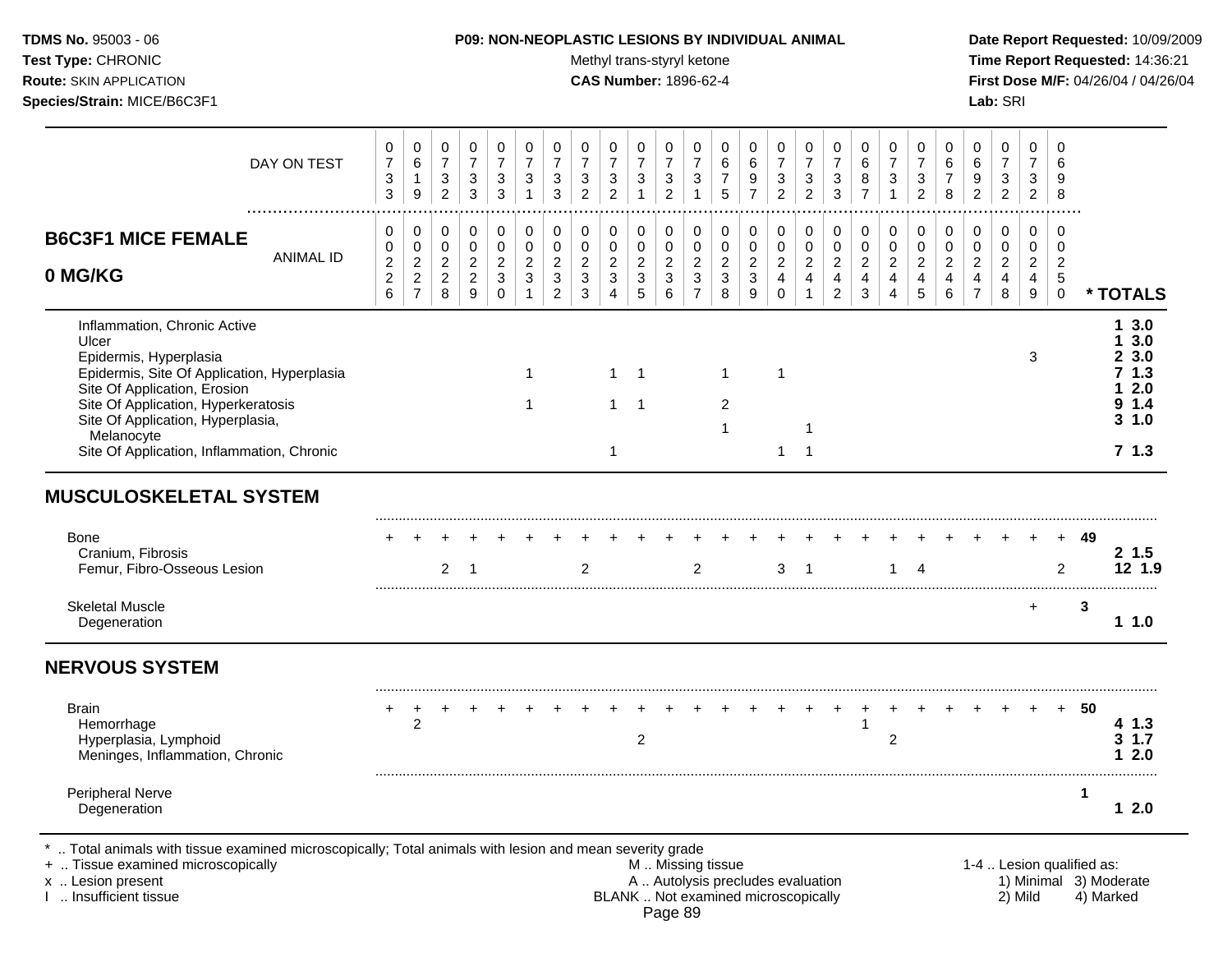Test Type: CHRONIC **Test Type:** CHRONIC **Test Type:** CHRONIC **Time Report Requested:** 14:36:21 **Route:** SKIN APPLICATION **CAS Number:** 1896-62-4 **First Dose M/F:** 04/26/04 / 04/26/04 **Species/Strain:** MICE/B6C3F1 **Lab:** SRI

| DAY ON TEST                                                                                                                                                                                                                                                                            | 0<br>$\overline{7}$<br>3<br>3                                      | 0<br>$\,6\,$<br>1<br>9                                             | 0<br>$\overline{7}$<br>3<br>$\overline{2}$              | $\pmb{0}$<br>$\overline{7}$<br>$\ensuremath{\mathsf{3}}$<br>3 | $\mathbf 0$<br>$\overline{7}$<br>$\ensuremath{\mathsf{3}}$<br>$\mathbf{3}$ | 0<br>$\overline{7}$<br>3<br>$\mathbf{1}$                                  | $\mathbf 0$<br>$\overline{7}$<br>3<br>3                                           | 0<br>$\overline{7}$<br>3<br>$\overline{2}$              | 0<br>$\overline{7}$<br>$\ensuremath{\mathsf{3}}$<br>$\overline{2}$ | 0<br>$\overline{7}$<br>$\ensuremath{\mathsf{3}}$<br>$\mathbf{1}$ | $\mathbf 0$<br>$\overline{7}$<br>$\ensuremath{\mathsf{3}}$<br>$\overline{2}$ | 0<br>$\overline{7}$<br>$\sqrt{3}$<br>$\mathbf{1}$              | $\Omega$<br>6<br>$\overline{7}$<br>5                  | 0<br>6<br>9<br>$\overline{7}$                                  | 0<br>$\overline{7}$<br>3<br>$\overline{2}$                               | $\pmb{0}$<br>$\overline{7}$<br>$\ensuremath{\mathsf{3}}$<br>$\overline{2}$ | 0<br>$\overline{7}$<br>3<br>$\mathbf{3}$                                       | $\mathbf 0$<br>$\,6\,$<br>$\bf 8$<br>$\overline{7}$       | $\mathbf 0$<br>$\overline{7}$<br>$\ensuremath{\mathsf{3}}$<br>$\mathbf{1}$ | 0<br>$\overline{7}$<br>3<br>$\overline{2}$              | $\mathbf 0$<br>6<br>$\overline{7}$<br>8              | 0<br>6<br>$\boldsymbol{9}$<br>$\overline{2}$                           | $\pmb{0}$<br>$\overline{7}$<br>$\ensuremath{\mathsf{3}}$<br>$\overline{c}$ | $\mathbf 0$<br>$\overline{7}$<br>$\sqrt{3}$<br>$\overline{2}$        | $\Omega$<br>6<br>9<br>8                                                        |                           |                                                              |
|----------------------------------------------------------------------------------------------------------------------------------------------------------------------------------------------------------------------------------------------------------------------------------------|--------------------------------------------------------------------|--------------------------------------------------------------------|---------------------------------------------------------|---------------------------------------------------------------|----------------------------------------------------------------------------|---------------------------------------------------------------------------|-----------------------------------------------------------------------------------|---------------------------------------------------------|--------------------------------------------------------------------|------------------------------------------------------------------|------------------------------------------------------------------------------|----------------------------------------------------------------|-------------------------------------------------------|----------------------------------------------------------------|--------------------------------------------------------------------------|----------------------------------------------------------------------------|--------------------------------------------------------------------------------|-----------------------------------------------------------|----------------------------------------------------------------------------|---------------------------------------------------------|------------------------------------------------------|------------------------------------------------------------------------|----------------------------------------------------------------------------|----------------------------------------------------------------------|--------------------------------------------------------------------------------|---------------------------|--------------------------------------------------------------|
| <b>B6C3F1 MICE FEMALE</b><br><b>ANIMAL ID</b><br>0 MG/KG                                                                                                                                                                                                                               | 0<br>$\pmb{0}$<br>$\boldsymbol{2}$<br>$\overline{\mathbf{c}}$<br>6 | 0<br>$\pmb{0}$<br>$\sqrt{2}$<br>$\boldsymbol{2}$<br>$\overline{7}$ | 0<br>$\mathbf 0$<br>$\sqrt{2}$<br>$\sqrt{2}$<br>$\,8\,$ | 0<br>$\pmb{0}$<br>$\sqrt{2}$<br>$\overline{c}$<br>9           | 0<br>$\mathbf 0$<br>$\boldsymbol{2}$<br>$\sqrt{3}$<br>$\mathbf 0$          | $\mathsf 0$<br>$\mathsf{O}\xspace$<br>$\overline{2}$<br>3<br>$\mathbf{1}$ | 0<br>$\mathbf 0$<br>$\overline{2}$<br>$\ensuremath{\mathsf{3}}$<br>$\overline{c}$ | 0<br>$\mathbf 0$<br>$\overline{c}$<br>$\mathbf{3}$<br>3 | 0<br>$\mathbf 0$<br>$\overline{a}$<br>$\mathbf{3}$<br>4            | 0<br>$\pmb{0}$<br>$\boldsymbol{2}$<br>$\mathbf{3}$<br>5          | 0<br>$\pmb{0}$<br>$\overline{2}$<br>$\mathbf{3}$<br>6                        | 0<br>$\pmb{0}$<br>$\sqrt{2}$<br>$\mathbf{3}$<br>$\overline{7}$ | 0<br>$\pmb{0}$<br>$\overline{c}$<br>$\mathbf{3}$<br>8 | 0<br>$\pmb{0}$<br>$\sqrt{2}$<br>$\sqrt{3}$<br>$\boldsymbol{9}$ | 0<br>$\mathbf 0$<br>$\sqrt{2}$<br>$\overline{4}$<br>$\mathbf 0$          | 0<br>$\pmb{0}$<br>$\overline{2}$<br>$\overline{\mathbf{4}}$                | 0<br>$\mathsf{O}\xspace$<br>$\overline{2}$<br>$\overline{4}$<br>$\overline{2}$ | 0<br>$\mathbf 0$<br>$\overline{2}$<br>$\overline{4}$<br>3 | 0<br>$\pmb{0}$<br>$\overline{2}$<br>$\overline{4}$<br>$\overline{4}$       | 0<br>$\pmb{0}$<br>$\overline{c}$<br>$\overline{4}$<br>5 | 0<br>$\mathbf 0$<br>$\boldsymbol{2}$<br>4<br>$\,6\,$ | 0<br>$\mathbf 0$<br>$\overline{c}$<br>$\overline{4}$<br>$\overline{7}$ | $\pmb{0}$<br>$\mathbf 0$<br>$\boldsymbol{2}$<br>$\overline{4}$<br>8        | 0<br>$\pmb{0}$<br>$\mathbf{2}$<br>$\overline{4}$<br>$\boldsymbol{9}$ | $\Omega$<br>$\mathbf 0$<br>$\overline{2}$<br>$\sqrt{5}$<br>$\mathsf{O}\xspace$ |                           | * TOTALS                                                     |
| Inflammation, Chronic Active<br>Ulcer<br>Epidermis, Hyperplasia<br>Epidermis, Site Of Application, Hyperplasia<br>Site Of Application, Erosion<br>Site Of Application, Hyperkeratosis<br>Site Of Application, Hyperplasia,<br>Melanocyte<br>Site Of Application, Inflammation, Chronic |                                                                    |                                                                    |                                                         |                                                               |                                                                            | 1<br>1                                                                    |                                                                                   |                                                         | 1<br>$\mathbf{1}$<br>1                                             | $\overline{1}$<br>$\overline{1}$                                 |                                                                              |                                                                | $\mathbf{1}$<br>2<br>1                                |                                                                | 1<br>$\mathbf 1$                                                         | -1<br>$\overline{1}$                                                       |                                                                                |                                                           |                                                                            |                                                         |                                                      |                                                                        |                                                                            | 3                                                                    |                                                                                |                           | 13.0<br>13.0<br>23.0<br>71.3<br>2.0<br>9 1.4<br>31.0<br>71.3 |
| <b>MUSCULOSKELETAL SYSTEM</b>                                                                                                                                                                                                                                                          |                                                                    |                                                                    |                                                         |                                                               |                                                                            |                                                                           |                                                                                   |                                                         |                                                                    |                                                                  |                                                                              |                                                                |                                                       |                                                                |                                                                          |                                                                            |                                                                                |                                                           |                                                                            |                                                         |                                                      |                                                                        |                                                                            |                                                                      |                                                                                |                           |                                                              |
| <b>Bone</b><br>Cranium, Fibrosis<br>Femur, Fibro-Osseous Lesion                                                                                                                                                                                                                        |                                                                    |                                                                    | $\overline{2}$                                          | $\overline{1}$                                                |                                                                            |                                                                           |                                                                                   | $\overline{2}$                                          |                                                                    |                                                                  |                                                                              | 2                                                              |                                                       |                                                                | 3                                                                        | $\overline{\phantom{0}}$                                                   |                                                                                |                                                           | $\mathbf 1$                                                                | $\overline{4}$                                          |                                                      |                                                                        |                                                                            |                                                                      | $+$<br>$\overline{2}$                                                          | 49                        | 2, 1.5<br>12 1.9                                             |
| <b>Skeletal Muscle</b><br>Degeneration                                                                                                                                                                                                                                                 |                                                                    |                                                                    |                                                         |                                                               |                                                                            |                                                                           |                                                                                   |                                                         |                                                                    |                                                                  |                                                                              |                                                                |                                                       |                                                                |                                                                          |                                                                            |                                                                                |                                                           |                                                                            |                                                         |                                                      |                                                                        |                                                                            | $\ddot{}$                                                            |                                                                                | 3                         | 11.0                                                         |
| <b>NERVOUS SYSTEM</b>                                                                                                                                                                                                                                                                  |                                                                    |                                                                    |                                                         |                                                               |                                                                            |                                                                           |                                                                                   |                                                         |                                                                    |                                                                  |                                                                              |                                                                |                                                       |                                                                |                                                                          |                                                                            |                                                                                |                                                           |                                                                            |                                                         |                                                      |                                                                        |                                                                            |                                                                      |                                                                                |                           |                                                              |
| <b>Brain</b><br>Hemorrhage<br>Hyperplasia, Lymphoid<br>Meninges, Inflammation, Chronic                                                                                                                                                                                                 |                                                                    | $\overline{c}$                                                     |                                                         |                                                               |                                                                            |                                                                           |                                                                                   |                                                         |                                                                    | $\overline{c}$                                                   |                                                                              |                                                                |                                                       |                                                                |                                                                          |                                                                            |                                                                                | 1                                                         | $\overline{c}$                                                             |                                                         |                                                      |                                                                        |                                                                            |                                                                      | $+$                                                                            | 50                        | 41.3<br>$3 \t1.7$<br>12.0                                    |
| <b>Peripheral Nerve</b><br>Degeneration                                                                                                                                                                                                                                                |                                                                    |                                                                    |                                                         |                                                               |                                                                            |                                                                           |                                                                                   |                                                         |                                                                    |                                                                  |                                                                              |                                                                |                                                       |                                                                |                                                                          |                                                                            |                                                                                |                                                           |                                                                            |                                                         |                                                      |                                                                        |                                                                            |                                                                      |                                                                                | 1                         | 12.0                                                         |
| Total animals with tissue examined microscopically; Total animals with lesion and mean severity grade<br>+  Tissue examined microscopically<br>x  Lesion present<br>I  Insufficient tissue                                                                                             |                                                                    |                                                                    |                                                         |                                                               |                                                                            |                                                                           |                                                                                   |                                                         |                                                                    |                                                                  |                                                                              |                                                                | M  Missing tissue                                     |                                                                | A  Autolysis precludes evaluation<br>BLANK  Not examined microscopically |                                                                            |                                                                                |                                                           |                                                                            |                                                         |                                                      |                                                                        |                                                                            | 2) Mild                                                              |                                                                                | 1-4  Lesion qualified as: | 1) Minimal 3) Moderate<br>4) Marked                          |

Page 89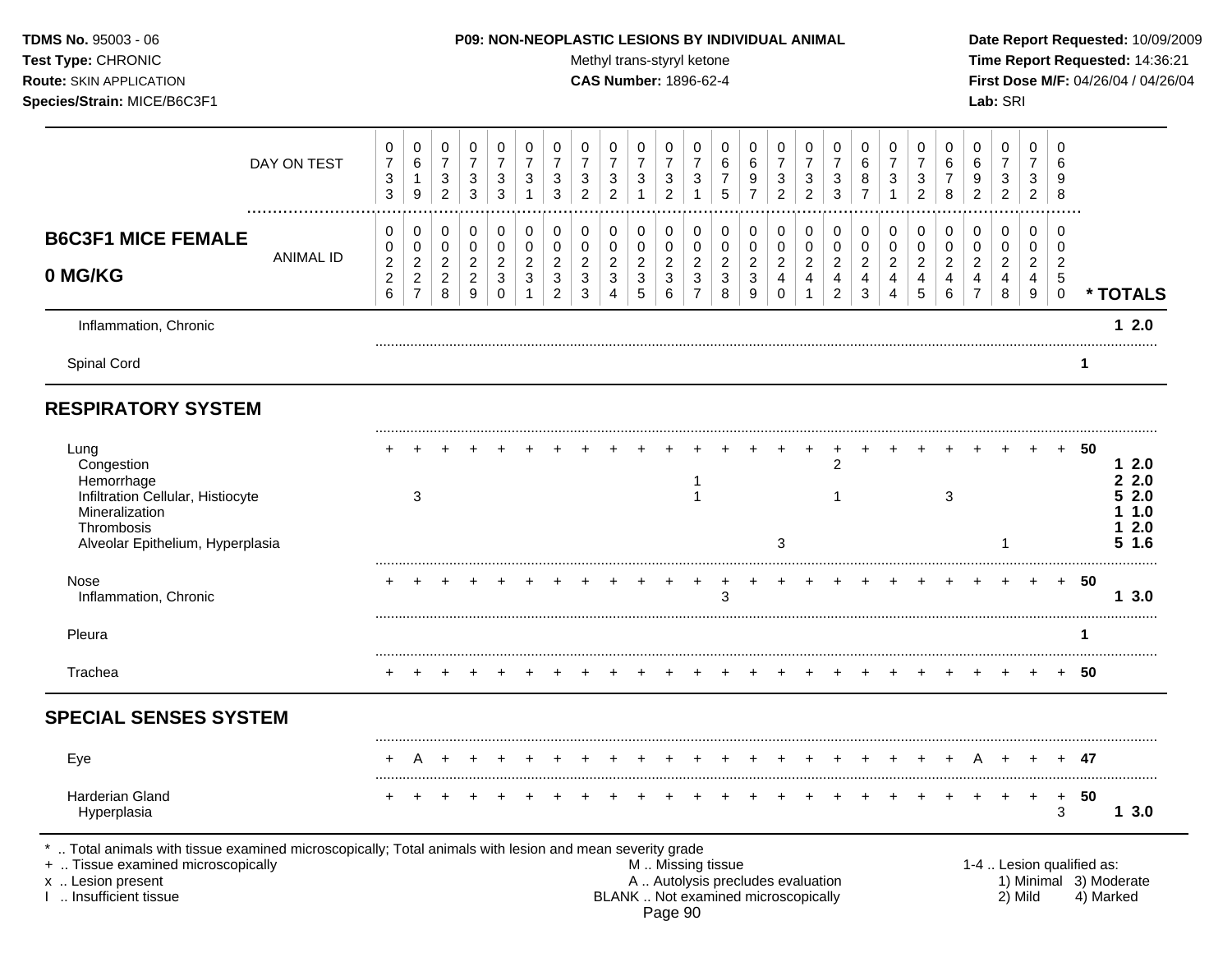# **TDMS No.** 95003 - 06 **P09: NON-NEOPLASTIC LESIONS BY INDIVIDUAL ANIMAL Date Report Requested:** 10/09/2009

Test Type: CHRONIC **Test Type:** CHRONIC **Test Type:** CHRONIC **Time Report Requested:** 14:36:21 **Route:** SKIN APPLICATION **CAS Number:** 1896-62-4 **First Dose M/F:** 04/26/04 / 04/26/04

| DAY ON TEST                                                                                                                               | 0<br>$\boldsymbol{7}$<br>3<br>3                 | 0<br>$\,6\,$<br>$\mathbf{1}$<br>9                                      | 0<br>$\overline{7}$<br>3<br>$\overline{2}$                | 0<br>$\overline{7}$<br>$\ensuremath{\mathsf{3}}$<br>$\mathbf{3}$ | $\mathbf 0$<br>$\overline{7}$<br>$\ensuremath{\mathsf{3}}$<br>$\mathbf{3}$ | 0<br>$\overline{7}$<br>3<br>$\mathbf{1}$                | 0<br>$\overline{7}$<br>$\ensuremath{\mathsf{3}}$<br>$\mathbf{3}$ | 0<br>$\overline{7}$<br>$\ensuremath{\mathsf{3}}$<br>$\overline{2}$ | 0<br>$\overline{7}$<br>$\ensuremath{\mathsf{3}}$<br>$\overline{2}$                | 0<br>$\overline{7}$<br>3<br>$\mathbf{1}$                                      | $\mathbf 0$<br>$\overline{7}$<br>$\ensuremath{\mathsf{3}}$<br>$\overline{2}$ | 0<br>$\overline{7}$<br>$\sqrt{3}$<br>$\mathbf{1}$                  | 0<br>$\,6$<br>$\boldsymbol{7}$<br>5                   | 0<br>6<br>$\boldsymbol{9}$<br>$\overline{7}$            | 0<br>$\overline{7}$<br>$\ensuremath{\mathsf{3}}$<br>$\overline{2}$ | 0<br>$\overline{7}$<br>$\sqrt{3}$<br>$\overline{2}$                  | 0<br>$\overline{7}$<br>$\ensuremath{\mathsf{3}}$<br>$\mathbf{3}$       | $\Omega$<br>6<br>8<br>$\overline{7}$                                  | 0<br>$\overline{7}$<br>3<br>$\mathbf{1}$                  | 0<br>$\overline{7}$<br>$\sqrt{3}$<br>$\overline{2}$     | 0<br>6<br>$\overline{7}$<br>8                         | 0<br>6<br>$\boldsymbol{9}$<br>$\overline{2}$                        | 0<br>$\overline{7}$<br>$\sqrt{3}$<br>$\overline{2}$ | 0<br>$\overline{7}$<br>3<br>$\overline{c}$                | 0<br>6<br>9<br>8                                                     |             |                                                  |
|-------------------------------------------------------------------------------------------------------------------------------------------|-------------------------------------------------|------------------------------------------------------------------------|-----------------------------------------------------------|------------------------------------------------------------------|----------------------------------------------------------------------------|---------------------------------------------------------|------------------------------------------------------------------|--------------------------------------------------------------------|-----------------------------------------------------------------------------------|-------------------------------------------------------------------------------|------------------------------------------------------------------------------|--------------------------------------------------------------------|-------------------------------------------------------|---------------------------------------------------------|--------------------------------------------------------------------|----------------------------------------------------------------------|------------------------------------------------------------------------|-----------------------------------------------------------------------|-----------------------------------------------------------|---------------------------------------------------------|-------------------------------------------------------|---------------------------------------------------------------------|-----------------------------------------------------|-----------------------------------------------------------|----------------------------------------------------------------------|-------------|--------------------------------------------------|
| <b>B6C3F1 MICE FEMALE</b><br><b>ANIMAL ID</b><br>0 MG/KG                                                                                  | 0<br>0<br>$\overline{c}$<br>$\overline{c}$<br>6 | 0<br>$\pmb{0}$<br>$\boldsymbol{2}$<br>$\overline{c}$<br>$\overline{7}$ | 0<br>$\pmb{0}$<br>$\sqrt{2}$<br>$\overline{2}$<br>$\bf 8$ | 0<br>$\pmb{0}$<br>$\overline{c}$<br>$\overline{2}$<br>9          | $\mathbf 0$<br>$\pmb{0}$<br>$\sqrt{2}$<br>$\mathbf{3}$<br>$\mathbf 0$      | 0<br>$\mathbf 0$<br>$\overline{2}$<br>3<br>$\mathbf{1}$ | 0<br>$\mathsf 0$<br>$\sqrt{2}$<br>$\mathbf{3}$<br>$\overline{2}$ | 0<br>$\mathbf 0$<br>$\boldsymbol{2}$<br>3<br>3                     | 0<br>$\mathbf 0$<br>$\overline{a}$<br>$\ensuremath{\mathsf{3}}$<br>$\overline{4}$ | 0<br>$\mathbf 0$<br>$\overline{c}$<br>$\ensuremath{\mathsf{3}}$<br>$\sqrt{5}$ | $\mathbf 0$<br>$\pmb{0}$<br>$\sqrt{2}$<br>$\mathbf{3}$<br>6                  | 0<br>$\pmb{0}$<br>$\overline{c}$<br>$\mathbf{3}$<br>$\overline{7}$ | 0<br>$\pmb{0}$<br>$\boldsymbol{2}$<br>$\sqrt{3}$<br>8 | 0<br>$\mathbf 0$<br>$\boldsymbol{2}$<br>$\sqrt{3}$<br>9 | 0<br>$\mathbf 0$<br>$\overline{c}$<br>4<br>$\mathbf 0$             | 0<br>$\mathbf 0$<br>$\overline{c}$<br>$\overline{4}$<br>$\mathbf{1}$ | 0<br>$\mathbf 0$<br>$\overline{a}$<br>$\overline{4}$<br>$\overline{2}$ | $\mathbf 0$<br>$\mathbf 0$<br>$\boldsymbol{2}$<br>$\overline{4}$<br>3 | 0<br>$\mathbf 0$<br>$\overline{c}$<br>$\overline{4}$<br>4 | 0<br>$\pmb{0}$<br>$\overline{c}$<br>$\overline{4}$<br>5 | 0<br>$\mathbf 0$<br>$\sqrt{2}$<br>$\overline{4}$<br>6 | $\mathbf 0$<br>$\mathbf 0$<br>$\overline{c}$<br>4<br>$\overline{7}$ | 0<br>$\pmb{0}$<br>$\boldsymbol{2}$<br>4<br>8        | 0<br>$\mathbf 0$<br>$\overline{c}$<br>$\overline{4}$<br>9 | $\mathbf 0$<br>$\Omega$<br>$\overline{c}$<br>$\sqrt{5}$<br>$\pmb{0}$ |             | * TOTALS                                         |
| Inflammation, Chronic                                                                                                                     |                                                 |                                                                        |                                                           |                                                                  |                                                                            |                                                         |                                                                  |                                                                    |                                                                                   |                                                                               |                                                                              |                                                                    |                                                       |                                                         |                                                                    |                                                                      |                                                                        |                                                                       |                                                           |                                                         |                                                       |                                                                     |                                                     |                                                           |                                                                      |             | $12.0$                                           |
| Spinal Cord                                                                                                                               |                                                 |                                                                        |                                                           |                                                                  |                                                                            |                                                         |                                                                  |                                                                    |                                                                                   |                                                                               |                                                                              |                                                                    |                                                       |                                                         |                                                                    |                                                                      |                                                                        |                                                                       |                                                           |                                                         |                                                       |                                                                     |                                                     |                                                           |                                                                      | $\mathbf 1$ |                                                  |
| <b>RESPIRATORY SYSTEM</b>                                                                                                                 |                                                 |                                                                        |                                                           |                                                                  |                                                                            |                                                         |                                                                  |                                                                    |                                                                                   |                                                                               |                                                                              |                                                                    |                                                       |                                                         |                                                                    |                                                                      |                                                                        |                                                                       |                                                           |                                                         |                                                       |                                                                     |                                                     |                                                           |                                                                      |             |                                                  |
| Lung<br>Congestion<br>Hemorrhage<br>Infiltration Cellular, Histiocyte<br>Mineralization<br>Thrombosis<br>Alveolar Epithelium, Hyperplasia |                                                 | 3                                                                      |                                                           |                                                                  |                                                                            |                                                         |                                                                  |                                                                    |                                                                                   |                                                                               |                                                                              | -1<br>-1                                                           |                                                       |                                                         | 3                                                                  |                                                                      | ÷<br>$\overline{2}$<br>1                                               |                                                                       |                                                           |                                                         | 3                                                     |                                                                     |                                                     |                                                           |                                                                      | $+ 50$      | 12.0<br>22.0<br>52.0<br>1.0<br>2.0<br>$5 \; 1.6$ |
| Nose<br>Inflammation, Chronic                                                                                                             |                                                 |                                                                        |                                                           |                                                                  |                                                                            |                                                         |                                                                  |                                                                    |                                                                                   |                                                                               |                                                                              |                                                                    | 3                                                     |                                                         |                                                                    |                                                                      |                                                                        |                                                                       |                                                           |                                                         |                                                       |                                                                     |                                                     |                                                           | $+$                                                                  | 50          | 13.0                                             |
| Pleura                                                                                                                                    |                                                 |                                                                        |                                                           |                                                                  |                                                                            |                                                         |                                                                  |                                                                    |                                                                                   |                                                                               |                                                                              |                                                                    |                                                       |                                                         |                                                                    |                                                                      |                                                                        |                                                                       |                                                           |                                                         |                                                       |                                                                     |                                                     |                                                           |                                                                      | 1           |                                                  |
| Trachea                                                                                                                                   |                                                 |                                                                        |                                                           |                                                                  |                                                                            |                                                         |                                                                  |                                                                    |                                                                                   |                                                                               |                                                                              |                                                                    |                                                       |                                                         |                                                                    |                                                                      |                                                                        |                                                                       |                                                           |                                                         |                                                       |                                                                     |                                                     |                                                           | $+$                                                                  | 50          |                                                  |
| <b>SPECIAL SENSES SYSTEM</b>                                                                                                              |                                                 |                                                                        |                                                           |                                                                  |                                                                            |                                                         |                                                                  |                                                                    |                                                                                   |                                                                               |                                                                              |                                                                    |                                                       |                                                         |                                                                    |                                                                      |                                                                        |                                                                       |                                                           |                                                         |                                                       |                                                                     |                                                     |                                                           |                                                                      |             |                                                  |
| Eye                                                                                                                                       |                                                 |                                                                        |                                                           |                                                                  |                                                                            |                                                         |                                                                  |                                                                    |                                                                                   |                                                                               |                                                                              |                                                                    |                                                       |                                                         |                                                                    |                                                                      |                                                                        |                                                                       |                                                           |                                                         |                                                       |                                                                     |                                                     |                                                           |                                                                      | 47          |                                                  |
| Harderian Gland<br>Hyperplasia                                                                                                            |                                                 |                                                                        |                                                           |                                                                  |                                                                            |                                                         |                                                                  |                                                                    |                                                                                   |                                                                               |                                                                              |                                                                    |                                                       |                                                         |                                                                    |                                                                      |                                                                        |                                                                       |                                                           |                                                         |                                                       | $\div$                                                              | $+$                                                 | $+$                                                       | $\ddot{}$<br>3                                                       | 50          | 13.0                                             |

Page 90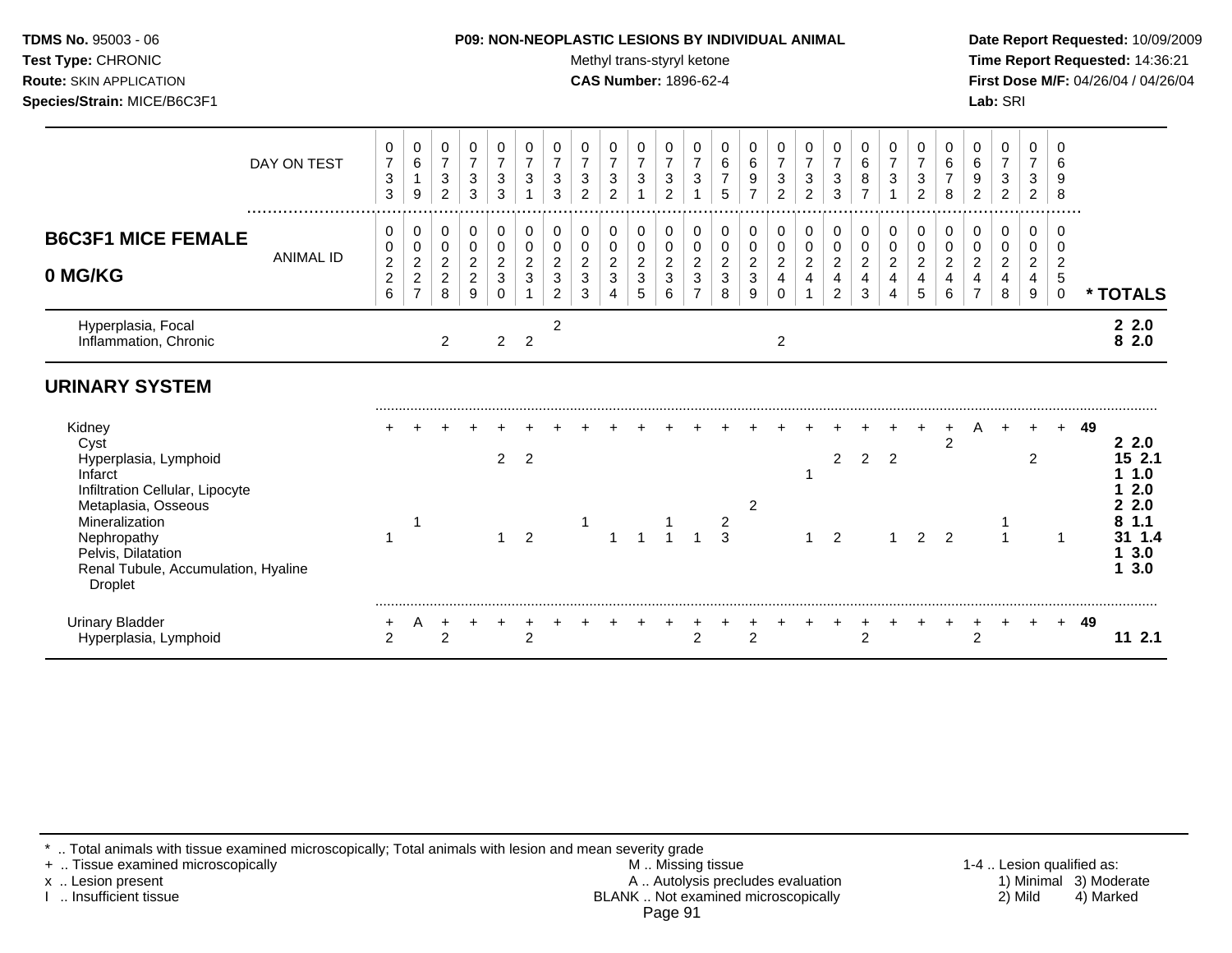#### **TDMS No.** 95003 - 06 **P09: NON-NEOPLASTIC LESIONS BY INDIVIDUAL ANIMAL Date Report Requested:** 10/09/2009

Test Type: CHRONIC **Test Type:** CHRONIC **Test Type:** CHRONIC **Time Report Requested:** 14:36:21 **Route:** SKIN APPLICATION **CAS Number:** 1896-62-4 **First Dose M/F:** 04/26/04 / 04/26/04

|                                                                                                                                                                                                                              | DAY ON TEST      | 0<br>$\overline{7}$<br>$\ensuremath{\mathsf{3}}$<br>3      | 0<br>6<br>-1<br>9                                                 | 0<br>$\overline{7}$<br>3<br>2                            | 0<br>$\overline{7}$<br>$\ensuremath{\mathsf{3}}$<br>$\sqrt{3}$ | 0<br>$\overline{7}$<br>3<br>3                | 0<br>$\overline{7}$<br>3               | 0<br>$\overline{7}$<br>$\ensuremath{\mathsf{3}}$<br>3 | 0<br>$\overline{7}$<br>3<br>$\overline{2}$ | 0<br>$\boldsymbol{7}$<br>3<br>$\overline{2}$ | 0<br>$\overline{7}$<br>$\sqrt{3}$<br>$\mathbf{1}$ | 0<br>$\boldsymbol{7}$<br>$\ensuremath{\mathsf{3}}$<br>$\overline{2}$ | 0<br>$\overline{7}$<br>$\mathbf{3}$<br>$\mathbf 1$ | 0<br>$\,6\,$<br>$\overline{7}$<br>5             | 0<br>$\,6\,$<br>$\boldsymbol{9}$<br>$\overline{7}$ | 0<br>$\overline{7}$<br>3<br>$\overline{2}$                                   | 0<br>$\boldsymbol{7}$<br>$\mathbf{3}$<br>$\overline{2}$ | 0<br>$\overline{7}$<br>$\sqrt{3}$<br>3                  | $\pmb{0}$<br>$\,6\,$<br>$\bf8$<br>$\overline{7}$      | 0<br>$\overline{7}$<br>3                     | 0<br>$\overline{7}$<br>3<br>$\overline{2}$  | 0<br>$\,6$<br>8                    | 0<br>$\,6$<br>9<br>$\overline{c}$                        | 0<br>$\boldsymbol{7}$<br>3<br>$\overline{2}$ | 0<br>$\overline{7}$<br>3<br>$\overline{2}$ | 0<br>6<br>9<br>8                             |    |                                                                    |
|------------------------------------------------------------------------------------------------------------------------------------------------------------------------------------------------------------------------------|------------------|------------------------------------------------------------|-------------------------------------------------------------------|----------------------------------------------------------|----------------------------------------------------------------|----------------------------------------------|----------------------------------------|-------------------------------------------------------|--------------------------------------------|----------------------------------------------|---------------------------------------------------|----------------------------------------------------------------------|----------------------------------------------------|-------------------------------------------------|----------------------------------------------------|------------------------------------------------------------------------------|---------------------------------------------------------|---------------------------------------------------------|-------------------------------------------------------|----------------------------------------------|---------------------------------------------|------------------------------------|----------------------------------------------------------|----------------------------------------------|--------------------------------------------|----------------------------------------------|----|--------------------------------------------------------------------|
| <b>B6C3F1 MICE FEMALE</b><br>0 MG/KG                                                                                                                                                                                         | <b>ANIMAL ID</b> | 0<br>0<br>$\overline{\mathbf{c}}$<br>$\boldsymbol{2}$<br>6 | 0<br>0<br>$\overline{\mathbf{c}}$<br>$\sqrt{2}$<br>$\overline{7}$ | 0<br>0<br>$\overline{\mathbf{c}}$<br>$\overline{2}$<br>8 | 0<br>$\pmb{0}$<br>$\sqrt{2}$<br>$\overline{c}$<br>9            | 0<br>$\mathbf 0$<br>$\overline{2}$<br>3<br>0 | 0<br>0<br>$\overline{\mathbf{c}}$<br>3 | 0<br>0<br>$\overline{c}$<br>3<br>$\overline{2}$       | 0<br>0<br>2<br>3<br>3                      | 0<br>0<br>$\overline{\mathbf{c}}$<br>3<br>4  | 0<br>0<br>$\overline{c}$<br>$\mathbf{3}$<br>5     | 0<br>$\,0\,$<br>$\overline{c}$<br>$\mathbf{3}$<br>6                  | 0<br>0<br>$\overline{c}$<br>3<br>$\overline{7}$    | 0<br>0<br>$\boldsymbol{2}$<br>$\mathbf{3}$<br>8 | 0<br>$\mathbf 0$<br>$\sqrt{2}$<br>$\mathbf 3$<br>9 | 0<br>$\mathbf 0$<br>$\overline{a}$<br>$\overline{\mathbf{4}}$<br>$\mathbf 0$ | 0<br>$\mathbf 0$<br>$\overline{c}$<br>4                 | 0<br>$\pmb{0}$<br>$\overline{c}$<br>$\overline{4}$<br>2 | 0<br>$\,0\,$<br>$\overline{c}$<br>$\overline{4}$<br>3 | 0<br>$\mathbf 0$<br>$\overline{c}$<br>4<br>4 | 0<br>0<br>$\overline{\mathbf{c}}$<br>4<br>5 | 0<br>0<br>$\overline{c}$<br>4<br>6 | 0<br>0<br>$\overline{\mathbf{c}}$<br>4<br>$\overline{7}$ | 0<br>0<br>$\overline{c}$<br>4<br>8           | 0<br>0<br>$\overline{c}$<br>4<br>9         | 0<br>0<br>$\overline{c}$<br>5<br>$\mathbf 0$ |    | * TOTALS                                                           |
| Hyperplasia, Focal<br>Inflammation, Chronic                                                                                                                                                                                  |                  |                                                            |                                                                   | $\overline{2}$                                           |                                                                | $\overline{c}$                               | $\overline{2}$                         | $\overline{c}$                                        |                                            |                                              |                                                   |                                                                      |                                                    |                                                 |                                                    | $\overline{2}$                                                               |                                                         |                                                         |                                                       |                                              |                                             |                                    |                                                          |                                              |                                            |                                              |    | 22.0<br>$\overline{8}$ 2.0                                         |
| <b>URINARY SYSTEM</b>                                                                                                                                                                                                        |                  |                                                            |                                                                   |                                                          |                                                                |                                              |                                        |                                                       |                                            |                                              |                                                   |                                                                      |                                                    |                                                 |                                                    |                                                                              |                                                         |                                                         |                                                       |                                              |                                             |                                    |                                                          |                                              |                                            |                                              |    |                                                                    |
| Kidney<br>Cyst<br>Hyperplasia, Lymphoid<br>Infarct<br>Infiltration Cellular, Lipocyte<br>Metaplasia, Osseous<br>Mineralization<br>Nephropathy<br>Pelvis, Dilatation<br>Renal Tubule, Accumulation, Hyaline<br><b>Droplet</b> |                  |                                                            |                                                                   |                                                          |                                                                | 2<br>1                                       | $\overline{2}$<br>$\overline{2}$       |                                                       |                                            |                                              |                                                   |                                                                      |                                                    | $\frac{2}{3}$                                   | 2                                                  |                                                                              |                                                         | $\overline{2}$<br>$\overline{2}$                        | $\overline{2}$                                        | $\overline{2}$                               | 2                                           | $\overline{2}$<br>$\overline{2}$   | A                                                        |                                              | 2                                          | $\pm$<br>1                                   | 49 | 22.0<br>15 2.1<br>1.0<br>2.0<br>2.0<br>1.1<br>31 1.4<br>3.0<br>3.0 |
| <b>Urinary Bladder</b><br>Hyperplasia, Lymphoid                                                                                                                                                                              |                  | +<br>$\overline{2}$                                        | A                                                                 | $\mathcal{P}$                                            |                                                                |                                              | $\overline{c}$                         |                                                       |                                            |                                              |                                                   |                                                                      | $\overline{2}$                                     |                                                 | $\mathfrak{p}$                                     |                                                                              |                                                         |                                                         | +<br>$\overline{2}$                                   |                                              |                                             |                                    | $\ddot{}$<br>$\overline{2}$                              | $\pm$                                        |                                            | $+$                                          | 49 | 112.1                                                              |

\* .. Total animals with tissue examined microscopically; Total animals with lesion and mean severity grade

+ .. Tissue examined microscopically M .. Missing tissue 1-4 .. Lesion qualified as: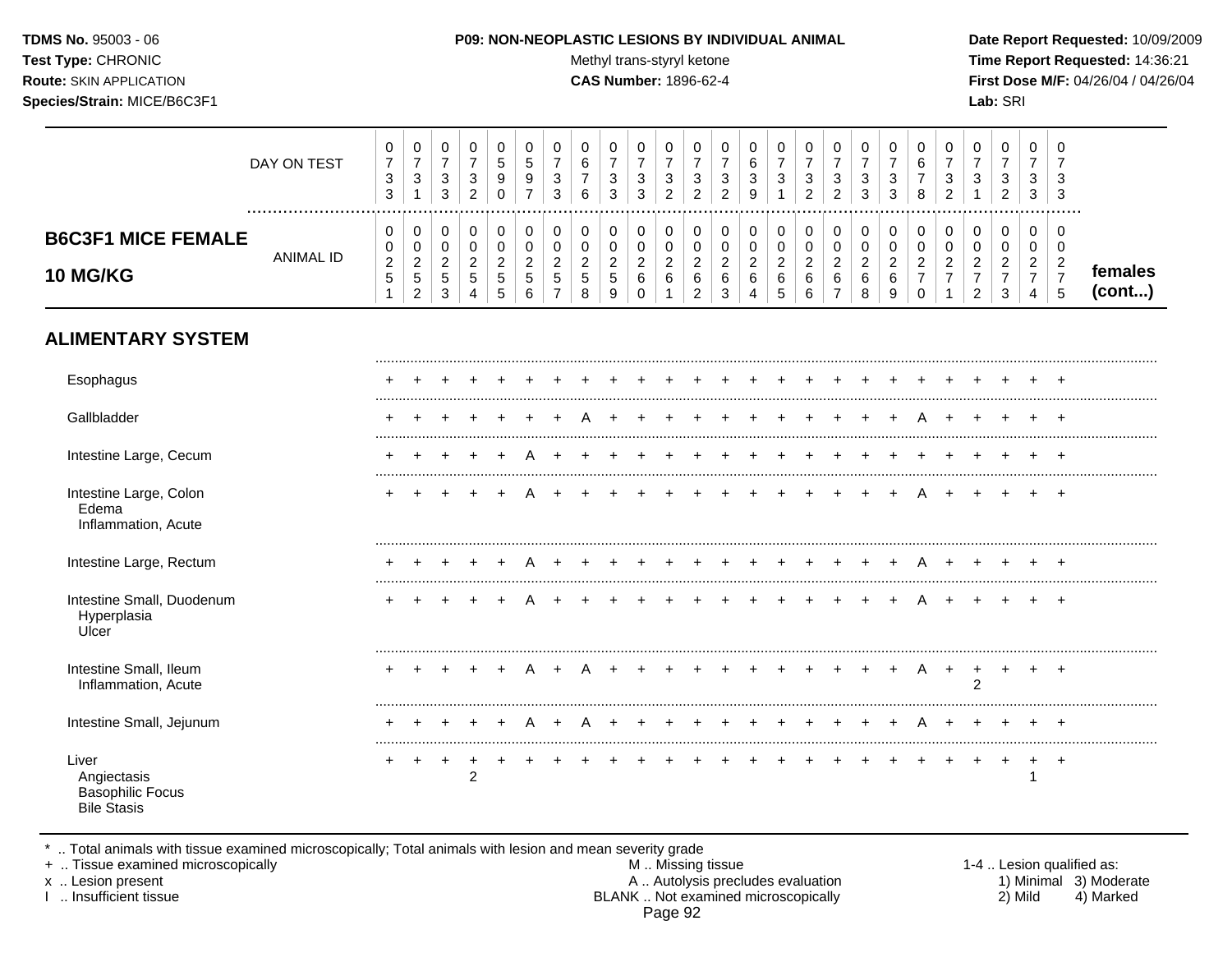#### **TDMS No.** 95003 - 06 **P09: NON-NEOPLASTIC LESIONS BY INDIVIDUAL ANIMAL Date Report Requested:** 10/09/2009

Test Type: CHRONIC **Test Type:** CHRONIC **Test Type:** CHRONIC **Time Report Requested:** 14:36:21 **Route:** SKIN APPLICATION **CAS Number:** 1896-62-4 **First Dose M/F:** 04/26/04 / 04/26/04

| DAY ON TEST<br>                                           | 0<br>⇁<br>3<br>3             | $\mathbf{0}$<br>3                                                | U<br>ົ<br>J.<br>3             | $\overline{\phantom{a}}$ | υ<br>đ<br>9 | ∽<br>ັ<br>9      | ◠<br>J<br>3      | U<br>6<br>٠<br>6                  | 0<br>3<br>3                                    | U<br>ົ<br>Ĵ<br>3   | $\overline{ }$ | υ<br>ు<br>ົ | ⌒<br>ັ<br><sup>o</sup> | t<br>3<br>9 | υ<br>3                          | 0<br>3<br>ົ<br>$\epsilon$  | U<br>3<br>2                  | 3 | υ<br>3<br>3 | 6<br>8   | 3<br>ີ<br><u>_</u> | U<br>3                | 0<br>3<br>ົ<br>$\epsilon$    | 0<br>3<br>3                     | - 6<br>-3<br>- 3 |                   |
|-----------------------------------------------------------|------------------------------|------------------------------------------------------------------|-------------------------------|--------------------------|-------------|------------------|------------------|-----------------------------------|------------------------------------------------|--------------------|----------------|-------------|------------------------|-------------|---------------------------------|----------------------------|------------------------------|---|-------------|----------|--------------------|-----------------------|------------------------------|---------------------------------|------------------|-------------------|
| <b>B6C3F1 MICE FEMALE</b><br>ANIMAL ID<br><b>10 MG/KG</b> | U<br>0<br>ົ<br><u>_</u><br>G | $\mathbf 0$<br>0<br>$\sim$<br><u>_</u><br><sub>5</sub><br>$\sim$ | $\sim$<br><u>.</u><br>b.<br>ົ | <sub>5</sub>             | b.          | U<br>-<br>G<br>6 | U<br>_<br>∽<br>J | 0<br>υ<br>റ<br><u>_</u><br>G<br>8 | 0<br>v<br>ົ<br>$\epsilon$<br><sub>5</sub><br>9 | ◠<br><u>.</u><br>6 |                | 0<br>6<br>⌒ | 0<br>-<br>6<br>◠       | C<br>∼<br>6 | 0<br>ν<br>റ<br>$\sim$<br>b<br>∽ | 0<br>0<br>ົ<br>∼<br>6<br>6 | $\sim$<br><u>.</u><br>6<br>- |   | ົ<br>6<br>9 | <u>_</u> | <u>_</u>           | 0<br>U<br>ി<br>-<br>ົ | 0<br>0<br>ົ<br><u>_</u><br>3 | 0<br>0<br>$\sim$<br>$\sim$<br>– | - 6              | temales<br>(cont) |

# **ALIMENTARY SYSTEM**

| Esophagus                                                             |   |  |                |  |  |  |         |  |             |  |  |     |   |                |           |                |
|-----------------------------------------------------------------------|---|--|----------------|--|--|--|---------|--|-------------|--|--|-----|---|----------------|-----------|----------------|
| Gallbladder                                                           |   |  |                |  |  |  |         |  |             |  |  |     |   |                |           | +              |
| Intestine Large, Cecum                                                |   |  |                |  |  |  |         |  |             |  |  |     |   |                |           | $\div$         |
| Intestine Large, Colon<br>Edema<br>Inflammation, Acute                |   |  |                |  |  |  |         |  |             |  |  |     | A |                |           | +              |
| Intestine Large, Rectum                                               |   |  |                |  |  |  |         |  |             |  |  |     |   |                |           |                |
| Intestine Small, Duodenum<br>Hyperplasia<br>Ulcer                     |   |  |                |  |  |  |         |  |             |  |  | $+$ | A |                |           |                |
| Intestine Small, Ileum<br>Inflammation, Acute                         |   |  |                |  |  |  |         |  |             |  |  |     | A | $\overline{2}$ |           | $\pm$          |
| Intestine Small, Jejunum                                              |   |  |                |  |  |  |         |  |             |  |  |     |   |                |           |                |
| Liver<br>Angiectasis<br><b>Basophilic Focus</b><br><b>Bile Stasis</b> | + |  | $\overline{2}$ |  |  |  | $+$ $+$ |  | + + + + + + |  |  |     |   |                | $\ddot{}$ | $\overline{ }$ |

\* .. Total animals with tissue examined microscopically; Total animals with lesion and mean severity grade

+ .. Tissue examined microscopically M .. Missing tissue 1-4 .. Lesion qualified as: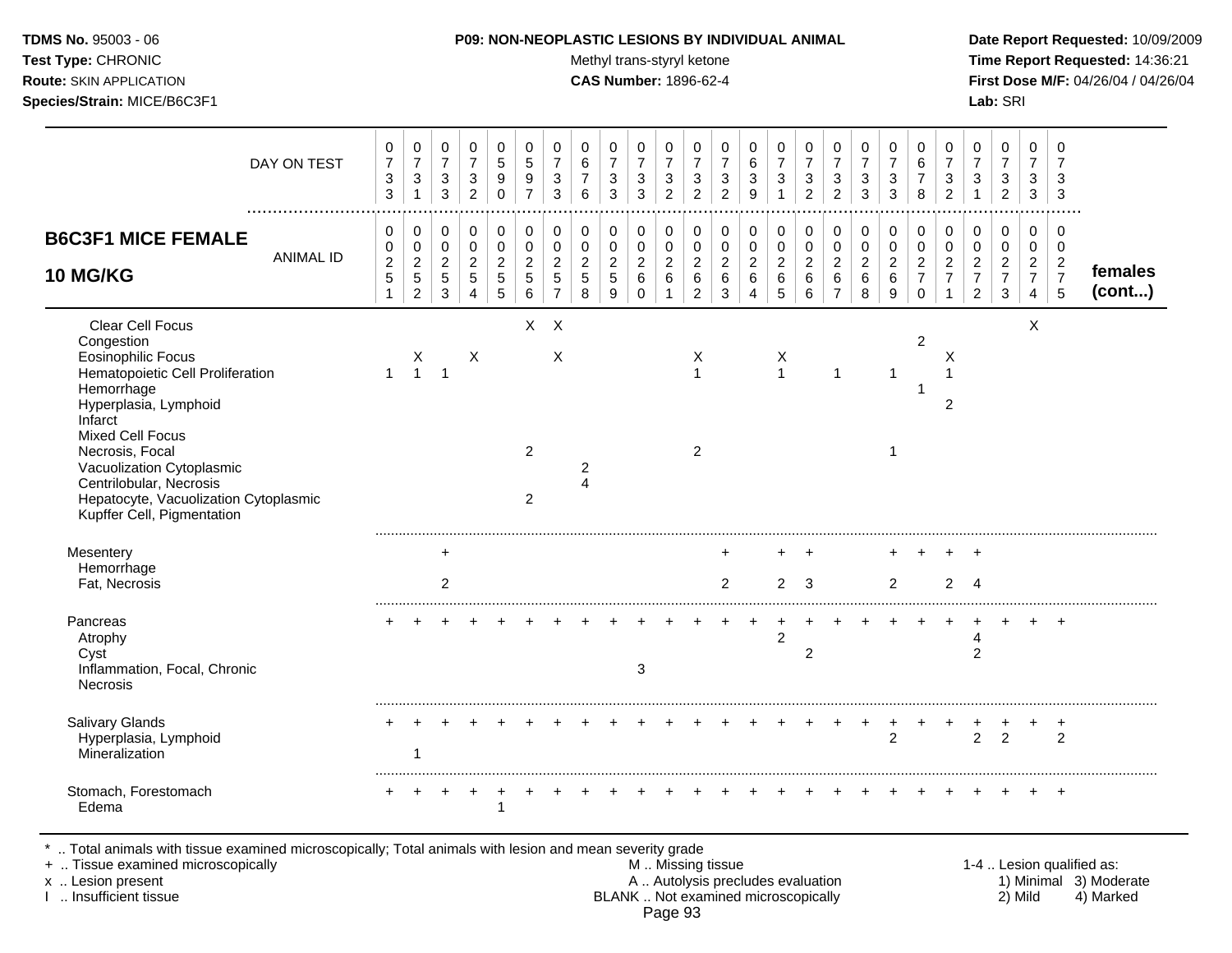| <b>TDMS No. 95003 - 06</b>     |
|--------------------------------|
| <b>Test Type: CHRONIC</b>      |
| <b>Route: SKIN APPLICATION</b> |

## **P09: NON-NEOPLASTIC LESIONS BY INDIVIDUAL ANIMAL Date Report Requested:** 10/09/2009

**Methyl trans-styryl ketone Time Report Requested:** 14:36:21 **CAS Number:** 1896-62-4 **First Dose M/F:** 04/26/04 / 04/26/04

| DAY ON TEST                                                                                                                                                                                                                                                                                                                    | 0<br>$\overline{7}$<br>$\sqrt{3}$<br>3                                 | $\mathbf 0$<br>$\overline{7}$<br>3                                           | $\mathbf 0$<br>$\overline{7}$<br>$\mathbf{3}$<br>3    | $\mathbf 0$<br>$\overline{7}$<br>3<br>$\overline{c}$                | $\mathbf 0$<br>$\overline{5}$<br>$\boldsymbol{9}$<br>$\Omega$ | 0<br>$\sqrt{5}$<br>$\boldsymbol{9}$<br>$\overline{7}$          | $\mathbf 0$<br>$\overline{7}$<br>$\mathbf{3}$<br>3                               | 0<br>$\,6\,$<br>$\overline{7}$<br>6                        | 0<br>$\overline{7}$<br>3<br>3                       | $\mathbf 0$<br>$\overline{7}$<br>$\sqrt{3}$<br>3       | $\mathbf 0$<br>$\overline{7}$<br>$\mathbf{3}$<br>$\overline{c}$ | 0<br>$\overline{7}$<br>$\mathbf{3}$<br>$\overline{2}$             | $\mathbf 0$<br>$\overline{7}$<br>$\sqrt{3}$<br>$\overline{2}$        | 0<br>6<br>3<br>9                           | $\pmb{0}$<br>$\overline{7}$<br>$\mathbf 3$                        | 0<br>$\boldsymbol{7}$<br>$\mathbf{3}$<br>$\overline{2}$ | $\mathbf 0$<br>$\overline{7}$<br>$\mathbf{3}$<br>$\overline{2}$ | $\mathbf 0$<br>$\overline{7}$<br>$\sqrt{3}$<br>3 | $\mathbf 0$<br>$\overline{7}$<br>$\mathbf{3}$<br>3 | $\mathbf 0$<br>$\,6\,$<br>$\overline{7}$<br>8                       | 0<br>$\overline{7}$<br>$\mathbf{3}$<br>$\overline{2}$        | 0<br>$\overline{7}$<br>3                                                 | $\mathbf 0$<br>$\overline{7}$<br>3<br>$\overline{a}$                 | $\mathbf 0$<br>$\overline{7}$<br>$\mathbf{3}$<br>3                   | $\Omega$<br>$\overline{7}$<br>3<br>3                      |                   |
|--------------------------------------------------------------------------------------------------------------------------------------------------------------------------------------------------------------------------------------------------------------------------------------------------------------------------------|------------------------------------------------------------------------|------------------------------------------------------------------------------|-------------------------------------------------------|---------------------------------------------------------------------|---------------------------------------------------------------|----------------------------------------------------------------|----------------------------------------------------------------------------------|------------------------------------------------------------|-----------------------------------------------------|--------------------------------------------------------|-----------------------------------------------------------------|-------------------------------------------------------------------|----------------------------------------------------------------------|--------------------------------------------|-------------------------------------------------------------------|---------------------------------------------------------|-----------------------------------------------------------------|--------------------------------------------------|----------------------------------------------------|---------------------------------------------------------------------|--------------------------------------------------------------|--------------------------------------------------------------------------|----------------------------------------------------------------------|----------------------------------------------------------------------|-----------------------------------------------------------|-------------------|
| <b>B6C3F1 MICE FEMALE</b><br><b>ANIMAL ID</b><br><b>10 MG/KG</b>                                                                                                                                                                                                                                                               | 0<br>$\boldsymbol{0}$<br>$\overline{c}$<br>$\mathbf 5$<br>$\mathbf{1}$ | $\mathbf 0$<br>$\mathbf 0$<br>$\overline{2}$<br>$\sqrt{5}$<br>$\overline{2}$ | 0<br>$\mathbf 0$<br>$\overline{2}$<br>$\sqrt{5}$<br>3 | $\mathbf 0$<br>$\mathbf 0$<br>$\overline{c}$<br>5<br>$\overline{4}$ | 0<br>$\mathbf 0$<br>$\overline{2}$<br>$\sqrt{5}$<br>5         | 0<br>$\mathsf{O}\xspace$<br>$\overline{2}$<br>$\,$ 5 $\,$<br>6 | $\mathbf 0$<br>$\mathbf 0$<br>$\overline{c}$<br>$\overline{5}$<br>$\overline{7}$ | 0<br>$\mathbf 0$<br>$\overline{2}$<br>$5\phantom{.0}$<br>8 | 0<br>$\pmb{0}$<br>$\overline{2}$<br>$\sqrt{5}$<br>9 | 0<br>$\mathbf 0$<br>$\overline{2}$<br>6<br>$\mathbf 0$ | 0<br>$\mathbf 0$<br>$\sqrt{2}$<br>6<br>1                        | 0<br>$\mathbf 0$<br>$\boldsymbol{2}$<br>$\,6\,$<br>$\overline{2}$ | $\mathbf 0$<br>$\mathbf 0$<br>$\overline{2}$<br>$6\phantom{1}6$<br>3 | 0<br>$\pmb{0}$<br>$\overline{2}$<br>6<br>4 | 0<br>$\pmb{0}$<br>$\overline{2}$<br>$6\phantom{1}6$<br>$\sqrt{5}$ | $\pmb{0}$<br>$\mathbf 0$<br>$\overline{2}$<br>6<br>6    | 0<br>$\pmb{0}$<br>$\overline{c}$<br>$\,6\,$<br>$\overline{7}$   | 0<br>$\mathbf 0$<br>$\overline{2}$<br>6<br>8     | 0<br>0<br>$\overline{2}$<br>6<br>9                 | 0<br>$\mathbf 0$<br>$\overline{c}$<br>$\overline{7}$<br>$\mathbf 0$ | $\mathbf 0$<br>$\pmb{0}$<br>$\overline{c}$<br>$\overline{7}$ | 0<br>$\mathbf 0$<br>$\boldsymbol{2}$<br>$\overline{7}$<br>$\overline{2}$ | 0<br>$\mathbf 0$<br>$\overline{2}$<br>$\overline{7}$<br>$\mathbf{3}$ | 0<br>$\pmb{0}$<br>$\overline{2}$<br>$\overline{7}$<br>$\overline{4}$ | $\mathbf 0$<br>0<br>$\overline{2}$<br>$\overline{7}$<br>5 | females<br>(cont) |
| Clear Cell Focus<br>Congestion<br><b>Eosinophilic Focus</b><br>Hematopoietic Cell Proliferation<br>Hemorrhage<br>Hyperplasia, Lymphoid<br>Infarct<br><b>Mixed Cell Focus</b><br>Necrosis, Focal<br>Vacuolization Cytoplasmic<br>Centrilobular, Necrosis<br>Hepatocyte, Vacuolization Cytoplasmic<br>Kupffer Cell, Pigmentation | $\mathbf{1}$                                                           | $\begin{array}{c} \mathsf{X} \\ \mathsf{1} \end{array}$                      | $\overline{1}$                                        | X                                                                   |                                                               | $X$ $X$<br>$\overline{2}$<br>$\overline{2}$                    | X                                                                                | $\overline{c}$<br>4                                        |                                                     |                                                        |                                                                 | Χ<br>$\mathbf{1}$<br>2                                            |                                                                      |                                            | X<br>$\mathbf{1}$                                                 |                                                         | $\mathbf{1}$                                                    |                                                  | $\mathbf 1$<br>$\mathbf 1$                         | $\overline{2}$                                                      | Х<br>$\mathbf{1}$<br>$\overline{2}$                          |                                                                          |                                                                      | X                                                                    |                                                           |                   |
| Mesentery<br>Hemorrhage<br>Fat, Necrosis                                                                                                                                                                                                                                                                                       |                                                                        |                                                                              | ÷<br>2                                                |                                                                     |                                                               |                                                                |                                                                                  |                                                            |                                                     |                                                        |                                                                 |                                                                   | 2                                                                    |                                            | 2                                                                 | 3                                                       |                                                                 |                                                  | 2                                                  |                                                                     | $\overline{2}$                                               | $\ddot{}$<br>$\overline{4}$                                              |                                                                      |                                                                      |                                                           |                   |
| Pancreas<br>Atrophy<br>Cyst<br>Inflammation, Focal, Chronic<br>Necrosis                                                                                                                                                                                                                                                        |                                                                        |                                                                              |                                                       |                                                                     |                                                               |                                                                |                                                                                  |                                                            |                                                     | 3                                                      |                                                                 |                                                                   |                                                                      |                                            | $\overline{c}$                                                    | $\overline{2}$                                          |                                                                 |                                                  |                                                    |                                                                     |                                                              | 4<br>$\overline{2}$                                                      |                                                                      |                                                                      | $\ddot{}$                                                 |                   |
| Salivary Glands<br>Hyperplasia, Lymphoid<br>Mineralization                                                                                                                                                                                                                                                                     |                                                                        |                                                                              |                                                       |                                                                     |                                                               |                                                                |                                                                                  |                                                            |                                                     |                                                        |                                                                 |                                                                   |                                                                      |                                            |                                                                   |                                                         |                                                                 | $\ddot{}$                                        | +<br>$\overline{2}$                                |                                                                     |                                                              | $\overline{2}$                                                           | $\overline{2}$                                                       |                                                                      | $\ddot{}$<br>2                                            |                   |
| Stomach, Forestomach<br>Edema                                                                                                                                                                                                                                                                                                  |                                                                        |                                                                              |                                                       |                                                                     | 1                                                             |                                                                |                                                                                  |                                                            |                                                     |                                                        |                                                                 |                                                                   |                                                                      |                                            |                                                                   |                                                         |                                                                 |                                                  |                                                    |                                                                     |                                                              |                                                                          |                                                                      |                                                                      |                                                           |                   |

\* .. Total animals with tissue examined microscopically; Total animals with lesion and mean severity grade

+ .. Tissue examined microscopically M .. Missing tissue 1-4 .. Lesion qualified as: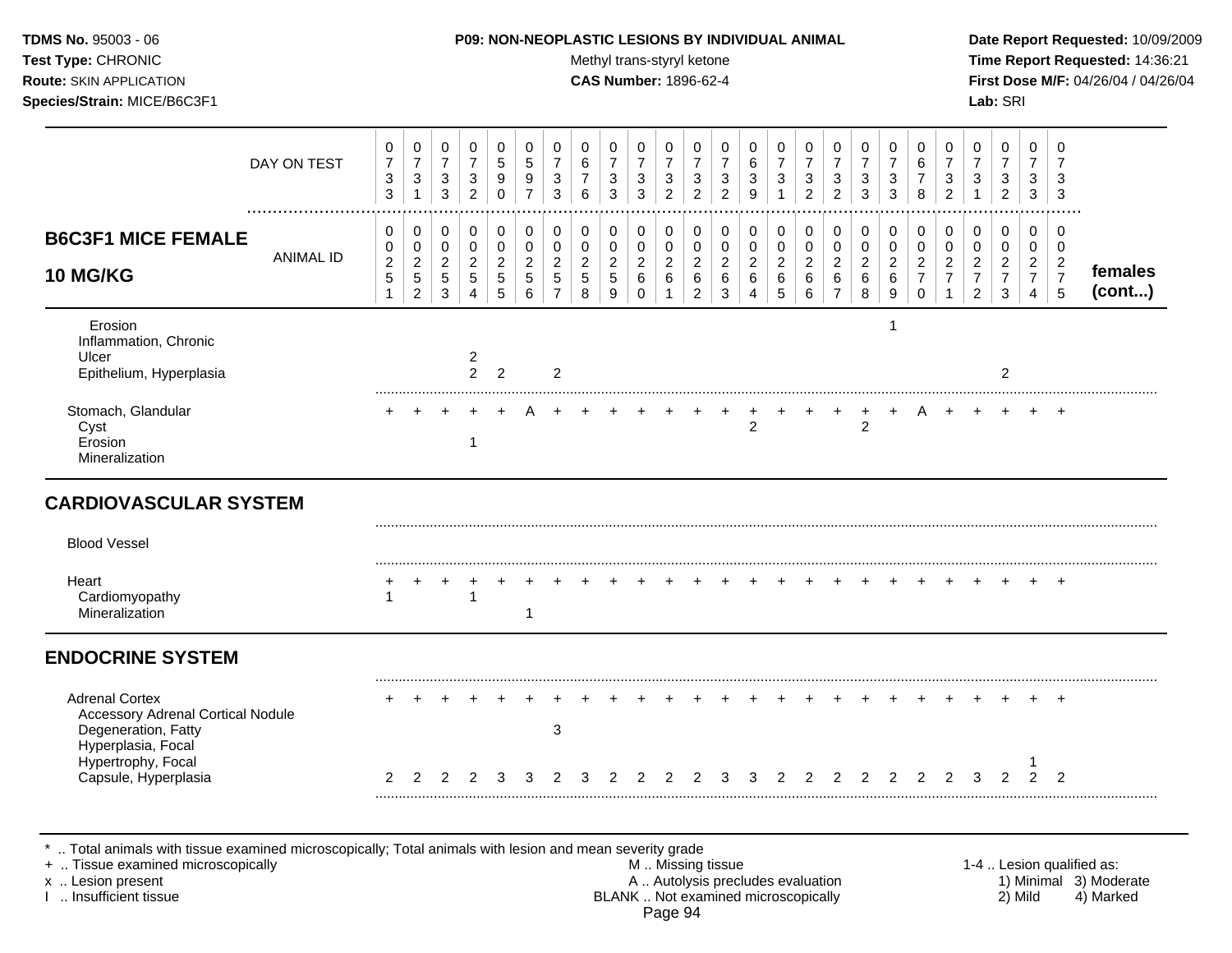| TDMS No. 95003 - 06<br>Test Type: CHRONIC<br>Route: SKIN APPLICATION<br>Species/Strain: MICE/B6C3F1            |                  |                                                                  |                                                          |                                                                    |                                                                                      |                                                                  |                                                                               |                                                                    |                                              | Methyl trans-styryl ketone<br><b>CAS Number: 1896-62-4</b> |                                                                    |                                                                    |                                                                           |                                                               | P09: NON-NEOPLASTIC LESIONS BY INDIVIDUAL ANIMAL                      |                                                       |                                                                    |                                                                        |                                                |                                                                  |                                                                           |                                                                        |                                                                        | Lab: SRI                                                           |                                                                        |                                                                         | Date Report Requested: 10/09/2009<br>Time Report Requested: 14:36:21<br>First Dose M/F: 04/26/04 / 04/26/04 |
|----------------------------------------------------------------------------------------------------------------|------------------|------------------------------------------------------------------|----------------------------------------------------------|--------------------------------------------------------------------|--------------------------------------------------------------------------------------|------------------------------------------------------------------|-------------------------------------------------------------------------------|--------------------------------------------------------------------|----------------------------------------------|------------------------------------------------------------|--------------------------------------------------------------------|--------------------------------------------------------------------|---------------------------------------------------------------------------|---------------------------------------------------------------|-----------------------------------------------------------------------|-------------------------------------------------------|--------------------------------------------------------------------|------------------------------------------------------------------------|------------------------------------------------|------------------------------------------------------------------|---------------------------------------------------------------------------|------------------------------------------------------------------------|------------------------------------------------------------------------|--------------------------------------------------------------------|------------------------------------------------------------------------|-------------------------------------------------------------------------|-------------------------------------------------------------------------------------------------------------|
|                                                                                                                | DAY ON TEST      | 0<br>$\overline{7}$<br>$\mathbf{3}$<br>3                         | 0<br>$\overline{7}$<br>$\mathbf{3}$<br>$\mathbf{1}$      | 0<br>$\overline{7}$<br>$\ensuremath{\mathsf{3}}$<br>$\mathbf{3}$   | 0<br>$\overline{7}$<br>$\mathbf{3}$<br>$\overline{2}$                                | $\mathbf 0$<br>$\overline{5}$<br>$\boldsymbol{9}$<br>$\mathbf 0$ | 0<br>$\overline{5}$<br>$\boldsymbol{9}$<br>$\overline{7}$                     | 0<br>$\overline{7}$<br>$\mathbf 3$<br>$\mathbf{3}$                 | 0<br>6<br>$\overline{7}$<br>$6\phantom{a}$   | 0<br>$\overline{7}$<br>3<br>$\overline{3}$                 | 0<br>$\overline{7}$<br>$\ensuremath{\mathsf{3}}$<br>$\overline{3}$ | 0<br>$\overline{7}$<br>$\ensuremath{\mathsf{3}}$<br>$\overline{2}$ | 0<br>$\overline{7}$<br>$\ensuremath{\mathsf{3}}$<br>$\overline{2}$        | 0<br>$\overline{7}$<br>3<br>$\overline{2}$                    | 0<br>$\,6\,$<br>$\sqrt{3}$<br>9                                       | 0<br>$\overline{7}$<br>$\mathfrak{S}$<br>$\mathbf{1}$ | 0<br>$\overline{7}$<br>$\ensuremath{\mathsf{3}}$<br>$\overline{2}$ | 0<br>$\overline{7}$<br>3<br>$\overline{2}$                             | 0<br>$\overline{7}$<br>3<br>$\overline{3}$     | 0<br>$\overline{7}$<br>$\ensuremath{\mathsf{3}}$<br>$\mathbf{3}$ | 0<br>6<br>$\overline{7}$<br>8                                             | 0<br>$\overline{7}$<br>$\ensuremath{\mathsf{3}}$<br>$\overline{2}$     | 0<br>$\overline{7}$<br>3<br>$\mathbf{1}$                               | 0<br>$\overline{7}$<br>$\ensuremath{\mathsf{3}}$<br>$\overline{2}$ | $\mathbf 0$<br>$\overline{7}$<br>3<br>$\mathbf{3}$                     | 0<br>$\overline{7}$<br>$\mathbf{3}$<br>$\mathbf{3}$                     |                                                                                                             |
| <b>B6C3F1 MICE FEMALE</b><br><b>10 MG/KG</b>                                                                   | <b>ANIMAL ID</b> | 0<br>$\mathbf 0$<br>$\overline{c}$<br>$\sqrt{5}$<br>$\mathbf{1}$ | 0<br>0<br>$\overline{2}$<br>$\sqrt{5}$<br>$\overline{2}$ | 0<br>$\mathbf 0$<br>$\boldsymbol{2}$<br>$\sqrt{5}$<br>$\mathbf{3}$ | $\mathbf 0$<br>$\mathsf{O}\xspace$<br>$\overline{c}$<br>$\sqrt{5}$<br>$\overline{4}$ | $\mathbf 0$<br>0<br>$\overline{c}$<br>$\overline{5}$<br>5        | $\pmb{0}$<br>$\mathbf 0$<br>$\boldsymbol{2}$<br>$\sqrt{5}$<br>$6\phantom{1}6$ | 0<br>$\mathbf 0$<br>$\overline{c}$<br>$\sqrt{5}$<br>$\overline{7}$ | 0<br>$\mathbf 0$<br>$\overline{c}$<br>5<br>8 | 0<br>0<br>$\overline{a}$<br>$\sqrt{5}$<br>9                | 0<br>$\pmb{0}$<br>$\overline{c}$<br>$\,6\,$<br>$\mathbf 0$         | $\mathbf 0$<br>0<br>$\sqrt{2}$<br>$\,6\,$<br>$\mathbf{1}$          | 0<br>$\mathsf{O}\xspace$<br>$\boldsymbol{2}$<br>$\,6\,$<br>$\overline{2}$ | 0<br>$\mathbf 0$<br>$\overline{2}$<br>$\,6\,$<br>$\mathbf{3}$ | $\mathbf 0$<br>$\mathbf 0$<br>$\sqrt{2}$<br>$\,6\,$<br>$\overline{4}$ | 0<br>$\mathbf 0$<br>$\overline{c}$<br>$\,6\,$<br>5    | 0<br>$\mathsf 0$<br>$\sqrt{2}$<br>$\,6\,$<br>6                     | 0<br>$\mathbf 0$<br>$\overline{2}$<br>$6\phantom{a}$<br>$\overline{7}$ | 0<br>$\mathbf 0$<br>$\sqrt{2}$<br>$\,6\,$<br>8 | 0<br>$\pmb{0}$<br>$\boldsymbol{2}$<br>$\,6\,$<br>9               | $\mathbf 0$<br>$\mathbf 0$<br>$\sqrt{2}$<br>$\overline{7}$<br>$\mathbf 0$ | 0<br>$\mathbf 0$<br>$\boldsymbol{2}$<br>$\overline{7}$<br>$\mathbf{1}$ | 0<br>$\mathbf 0$<br>$\overline{2}$<br>$\overline{7}$<br>$\overline{2}$ | $\pmb{0}$<br>$\mathbf 0$<br>$\overline{2}$<br>$\overline{7}$<br>3  | 0<br>$\mathbf 0$<br>$\overline{2}$<br>$\overline{7}$<br>$\overline{4}$ | 0<br>$\mathbf 0$<br>$\overline{2}$<br>$\overline{7}$<br>$5\phantom{.0}$ | females<br>(cont)                                                                                           |
| Erosion<br>Inflammation, Chronic<br>Ulcer<br>Epithelium, Hyperplasia                                           |                  |                                                                  |                                                          |                                                                    | $\overline{c}$<br>$2^{\circ}$                                                        | $\overline{2}$                                                   |                                                                               | $\overline{2}$                                                     |                                              |                                                            |                                                                    |                                                                    |                                                                           |                                                               |                                                                       |                                                       |                                                                    |                                                                        |                                                | 1                                                                |                                                                           |                                                                        |                                                                        | $\overline{c}$                                                     |                                                                        |                                                                         |                                                                                                             |
| Stomach, Glandular<br>Cyst<br>Erosion<br>Mineralization                                                        |                  |                                                                  |                                                          |                                                                    | $\mathbf{1}$                                                                         |                                                                  |                                                                               |                                                                    |                                              |                                                            |                                                                    |                                                                    |                                                                           |                                                               | $\overline{2}$                                                        |                                                       |                                                                    |                                                                        | $\overline{2}$                                 | $\ddot{}$                                                        | A                                                                         |                                                                        |                                                                        |                                                                    |                                                                        | $\pm$                                                                   |                                                                                                             |
| <b>CARDIOVASCULAR SYSTEM</b>                                                                                   |                  |                                                                  |                                                          |                                                                    |                                                                                      |                                                                  |                                                                               |                                                                    |                                              |                                                            |                                                                    |                                                                    |                                                                           |                                                               |                                                                       |                                                       |                                                                    |                                                                        |                                                |                                                                  |                                                                           |                                                                        |                                                                        |                                                                    |                                                                        |                                                                         |                                                                                                             |
| <b>Blood Vessel</b>                                                                                            |                  |                                                                  |                                                          |                                                                    |                                                                                      |                                                                  |                                                                               |                                                                    |                                              |                                                            |                                                                    |                                                                    |                                                                           |                                                               |                                                                       |                                                       |                                                                    |                                                                        |                                                |                                                                  |                                                                           |                                                                        |                                                                        |                                                                    |                                                                        |                                                                         |                                                                                                             |
| Heart<br>Cardiomyopathy<br>Mineralization                                                                      |                  | $\mathbf{1}$                                                     |                                                          |                                                                    | $\overline{1}$                                                                       |                                                                  | 1                                                                             |                                                                    |                                              |                                                            |                                                                    |                                                                    |                                                                           |                                                               |                                                                       |                                                       |                                                                    |                                                                        |                                                |                                                                  |                                                                           |                                                                        |                                                                        |                                                                    |                                                                        | $+$                                                                     |                                                                                                             |
| <b>ENDOCRINE SYSTEM</b>                                                                                        |                  |                                                                  |                                                          |                                                                    |                                                                                      |                                                                  |                                                                               |                                                                    |                                              |                                                            |                                                                    |                                                                    |                                                                           |                                                               |                                                                       |                                                       |                                                                    |                                                                        |                                                |                                                                  |                                                                           |                                                                        |                                                                        |                                                                    |                                                                        |                                                                         |                                                                                                             |
| <b>Adrenal Cortex</b><br><b>Accessory Adrenal Cortical Nodule</b><br>Degeneration, Fatty<br>Hyperplasia, Focal |                  |                                                                  |                                                          |                                                                    |                                                                                      |                                                                  |                                                                               | 3                                                                  |                                              |                                                            |                                                                    |                                                                    |                                                                           |                                                               |                                                                       |                                                       |                                                                    |                                                                        |                                                |                                                                  | $+$                                                                       |                                                                        |                                                                        |                                                                    | $+$                                                                    | $+$                                                                     |                                                                                                             |
| Hypertrophy, Focal<br>Capsule, Hyperplasia                                                                     |                  | 2                                                                | 2                                                        | $\mathcal{P}$                                                      | $\mathcal{P}$                                                                        | 3                                                                | 3                                                                             |                                                                    |                                              |                                                            | 2                                                                  | 2                                                                  |                                                                           | 3                                                             |                                                                       | $\mathcal{P}$                                         | $\mathcal{P}$                                                      | $\mathcal{P}$                                                          | $\mathcal{P}$                                  | $\mathcal{P}$                                                    | $\mathcal{P}$                                                             | $\mathcal{P}$                                                          | 3                                                                      | $\mathfrak{p}$                                                     | $\mathfrak{p}$                                                         | $\mathcal{P}$                                                           |                                                                                                             |

\* .. Total animals with tissue examined microscopically; Total animals with lesion and mean severity grade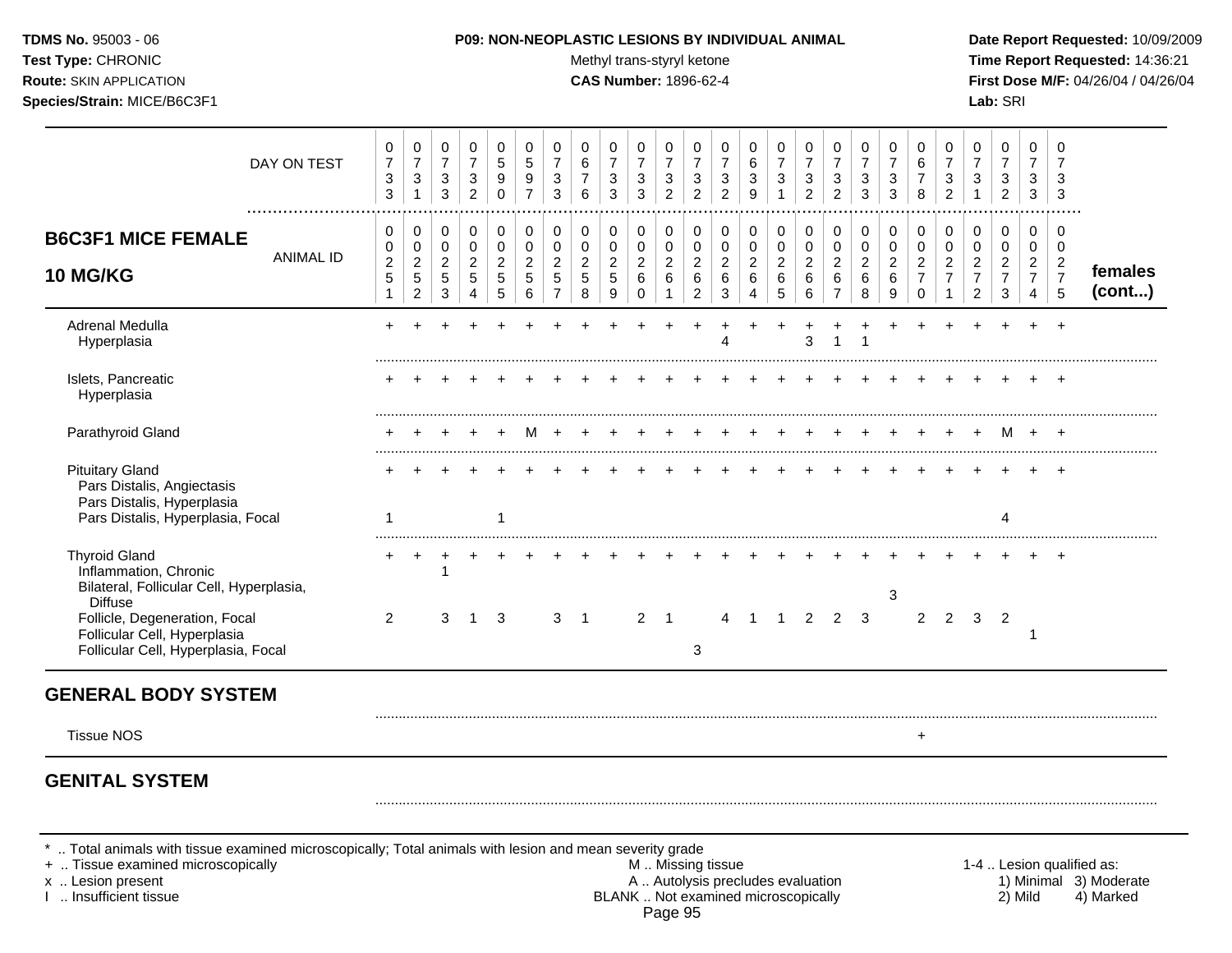Test Type: CHRONIC **Test Type:** CHRONIC **Test Type:** CHRONIC **Time Report Requested:** 14:36:21 **Route:** SKIN APPLICATION **CAS Number:** 1896-62-4 **First Dose M/F:** 04/26/04 / 04/26/04 **Species/Strain:** MICE/B6C3F1 **Lab:** SRI

|                                                                                                                         | DAY ON TEST      | 0<br>$\overline{7}$<br>$\mathbf{3}$<br>3               | 0<br>$\overline{7}$<br>$\sqrt{3}$<br>$\mathbf{1}$        | 0<br>$\overline{7}$<br>3<br>$\mathbf{3}$              | 0<br>$\overline{7}$<br>3<br>$\overline{2}$   | 0<br>5<br>9<br>$\mathbf 0$                   | 0<br>5<br>9<br>$\overline{7}$                | 0<br>$\overline{7}$<br>$\sqrt{3}$<br>3                  | 0<br>$\,6\,$<br>$\overline{7}$<br>6         | 0<br>$\boldsymbol{7}$<br>$\sqrt{3}$<br>3            | 0<br>$\overline{7}$<br>$\mathbf{3}$<br>3     | 0<br>$\overline{7}$<br>3<br>$\overline{2}$ | 0<br>$\overline{7}$<br>3<br>$\overline{2}$                | 0<br>$\overline{7}$<br>3<br>$\overline{2}$     | 0<br>$\,6\,$<br>$\mathbf{3}$<br>9                         | 0<br>$\overline{7}$<br>$\mathbf{3}$<br>$\mathbf{1}$             | 0<br>$\overline{7}$<br>3<br>$\overline{2}$   | 0<br>$\overline{7}$<br>3<br>$\overline{2}$                      | 0<br>$\overline{7}$<br>3<br>3              | 0<br>$\overline{7}$<br>3<br>3                | 0<br>6<br>$\overline{7}$<br>8                                    | 0<br>$\overline{7}$<br>$\mathbf{3}$<br>$\overline{2}$ | 0<br>$\overline{7}$<br>3<br>$\mathbf{1}$                     | 0<br>$\boldsymbol{7}$<br>$\ensuremath{\mathsf{3}}$<br>$\overline{2}$ | $\Omega$<br>$\overline{7}$<br>3<br>3                      | 0<br>7<br>3<br>3                                          |                   |
|-------------------------------------------------------------------------------------------------------------------------|------------------|--------------------------------------------------------|----------------------------------------------------------|-------------------------------------------------------|----------------------------------------------|----------------------------------------------|----------------------------------------------|---------------------------------------------------------|---------------------------------------------|-----------------------------------------------------|----------------------------------------------|--------------------------------------------|-----------------------------------------------------------|------------------------------------------------|-----------------------------------------------------------|-----------------------------------------------------------------|----------------------------------------------|-----------------------------------------------------------------|--------------------------------------------|----------------------------------------------|------------------------------------------------------------------|-------------------------------------------------------|--------------------------------------------------------------|----------------------------------------------------------------------|-----------------------------------------------------------|-----------------------------------------------------------|-------------------|
| <b>B6C3F1 MICE FEMALE</b><br><b>10 MG/KG</b>                                                                            | <b>ANIMAL ID</b> | 0<br>0<br>$\overline{c}$<br>$\sqrt{5}$<br>$\mathbf{1}$ | 0<br>0<br>$\overline{c}$<br>$\sqrt{5}$<br>$\overline{c}$ | 0<br>$\mathbf 0$<br>$\overline{c}$<br>$\sqrt{5}$<br>3 | 0<br>$\mathbf 0$<br>$\overline{2}$<br>5<br>4 | 0<br>$\mathbf 0$<br>$\overline{2}$<br>5<br>5 | 0<br>$\mathbf 0$<br>$\overline{c}$<br>5<br>6 | 0<br>$\pmb{0}$<br>$\overline{c}$<br>5<br>$\overline{7}$ | 0<br>0<br>$\overline{2}$<br>$\sqrt{5}$<br>8 | 0<br>$\pmb{0}$<br>$\overline{2}$<br>$\sqrt{5}$<br>9 | 0<br>$\mathbf 0$<br>$\overline{c}$<br>6<br>0 | 0<br>0<br>$\overline{c}$<br>6              | 0<br>$\mathbf 0$<br>$\overline{2}$<br>6<br>$\overline{2}$ | 0<br>$\mathbf 0$<br>$\boldsymbol{2}$<br>6<br>3 | 0<br>$\pmb{0}$<br>$\boldsymbol{2}$<br>6<br>$\overline{4}$ | 0<br>$\mathbf 0$<br>$\overline{a}$<br>$\,6\,$<br>$\overline{5}$ | 0<br>$\mathbf 0$<br>$\overline{a}$<br>6<br>6 | 0<br>$\mathbf 0$<br>$\overline{c}$<br>$\,6\,$<br>$\overline{7}$ | 0<br>$\pmb{0}$<br>$\overline{2}$<br>6<br>8 | 0<br>$\mathbf 0$<br>$\overline{c}$<br>6<br>9 | 0<br>$\mathbf 0$<br>$\overline{c}$<br>$\overline{7}$<br>$\Omega$ | 0<br>$\pmb{0}$<br>$\overline{c}$<br>$\overline{7}$    | 0<br>0<br>$\overline{2}$<br>$\overline{7}$<br>$\overline{c}$ | 0<br>$\mathbf 0$<br>$\overline{2}$<br>$\overline{7}$<br>3            | 0<br>$\mathbf 0$<br>$\overline{2}$<br>$\overline{7}$<br>4 | 0<br>$\mathbf 0$<br>$\overline{2}$<br>$\overline{7}$<br>5 | females<br>(cont) |
| Adrenal Medulla<br>Hyperplasia                                                                                          |                  | +                                                      |                                                          |                                                       |                                              |                                              |                                              |                                                         |                                             |                                                     |                                              |                                            |                                                           |                                                |                                                           |                                                                 | 3                                            |                                                                 |                                            |                                              |                                                                  |                                                       |                                                              |                                                                      |                                                           |                                                           |                   |
| Islets, Pancreatic<br>Hyperplasia                                                                                       |                  |                                                        |                                                          |                                                       |                                              |                                              |                                              |                                                         |                                             |                                                     |                                              |                                            |                                                           |                                                |                                                           |                                                                 |                                              |                                                                 |                                            |                                              |                                                                  |                                                       |                                                              |                                                                      |                                                           |                                                           |                   |
| Parathyroid Gland                                                                                                       |                  |                                                        |                                                          |                                                       |                                              |                                              |                                              |                                                         |                                             |                                                     |                                              |                                            |                                                           |                                                |                                                           |                                                                 |                                              |                                                                 |                                            |                                              |                                                                  |                                                       |                                                              | м                                                                    |                                                           |                                                           |                   |
| <b>Pituitary Gland</b><br>Pars Distalis, Angiectasis<br>Pars Distalis, Hyperplasia<br>Pars Distalis, Hyperplasia, Focal |                  | 1                                                      |                                                          |                                                       |                                              |                                              |                                              |                                                         |                                             |                                                     |                                              |                                            |                                                           |                                                |                                                           |                                                                 |                                              |                                                                 |                                            |                                              |                                                                  |                                                       |                                                              |                                                                      |                                                           |                                                           |                   |
| <b>Thyroid Gland</b><br>Inflammation, Chronic<br>Bilateral, Follicular Cell, Hyperplasia,<br><b>Diffuse</b>             |                  |                                                        |                                                          |                                                       |                                              |                                              |                                              |                                                         |                                             |                                                     |                                              |                                            |                                                           |                                                |                                                           |                                                                 |                                              |                                                                 |                                            | 3                                            |                                                                  |                                                       |                                                              |                                                                      |                                                           |                                                           |                   |
| Follicle, Degeneration, Focal<br>Follicular Cell, Hyperplasia<br>Follicular Cell, Hyperplasia, Focal                    |                  | 2                                                      |                                                          | 3                                                     | 1                                            | 3                                            |                                              | 3                                                       | $\overline{1}$                              |                                                     | $\overline{2}$                               | $\overline{1}$                             | $\mathbf{3}$                                              | 4                                              | $\mathbf 1$                                               | $\mathbf{1}$                                                    | $\overline{2}$                               | $\overline{2}$                                                  | 3                                          |                                              | $\overline{2}$                                                   | $\overline{2}$                                        | $\mathbf{3}$                                                 | $\overline{2}$                                                       | $\overline{\phantom{a}}$                                  |                                                           |                   |
| <b>GENERAL BODY SYSTEM</b>                                                                                              |                  |                                                        |                                                          |                                                       |                                              |                                              |                                              |                                                         |                                             |                                                     |                                              |                                            |                                                           |                                                |                                                           |                                                                 |                                              |                                                                 |                                            |                                              |                                                                  |                                                       |                                                              |                                                                      |                                                           |                                                           |                   |
| <b>Tissue NOS</b>                                                                                                       |                  |                                                        |                                                          |                                                       |                                              |                                              |                                              |                                                         |                                             |                                                     |                                              |                                            |                                                           |                                                |                                                           |                                                                 |                                              |                                                                 |                                            |                                              | $\ddot{}$                                                        |                                                       |                                                              |                                                                      |                                                           |                                                           |                   |
| <b>GENITAL SYSTEM</b>                                                                                                   |                  |                                                        |                                                          |                                                       |                                              |                                              |                                              |                                                         |                                             |                                                     |                                              |                                            |                                                           |                                                |                                                           |                                                                 |                                              |                                                                 |                                            |                                              |                                                                  |                                                       |                                                              |                                                                      |                                                           |                                                           |                   |

\* .. Total animals with tissue examined microscopically; Total animals with lesion and mean severity grade<br>+ .. Tissue examined microscopically

+ .. Tissue examined microscopically  $M$ .. Missing tissue 1-4 .. Lesion qualified as: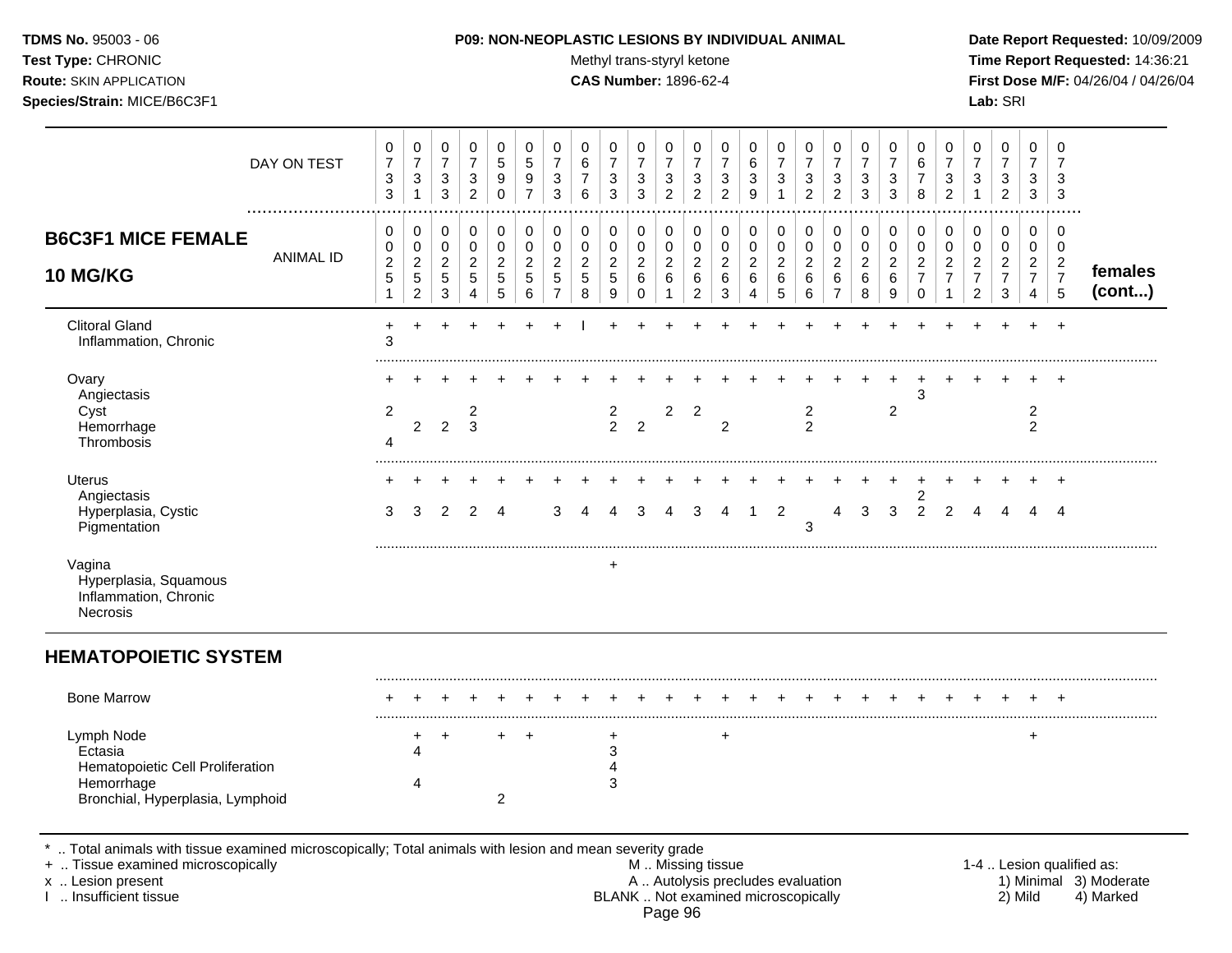Test Type: CHRONIC **Test Type:** CHRONIC **Test Type:** CHRONIC **Time Report Requested:** 14:36:21 **Route:** SKIN APPLICATION **CAS Number:** 1896-62-4 **First Dose M/F:** 04/26/04 / 04/26/04 **Species/Strain:** MICE/B6C3F1 **Lab:** SRI

| DAY ON TEST                                                                                                                                                                                | .                | 0<br>$\overline{7}$<br>3<br>3                           | 0<br>$\overline{7}$<br>$\mathbf{3}$<br>$\mathbf{1}$                | 0<br>$\overline{7}$<br>$\mathbf{3}$<br>3                                     | 0<br>$\overline{7}$<br>$\mathbf{3}$<br>$\overline{2}$              | 0<br>$\overline{5}$<br>$\boldsymbol{9}$<br>$\mathbf 0$                   | $\mathbf 0$<br>$\sqrt{5}$<br>9<br>$\overline{7}$    | 0<br>$\overline{7}$<br>$\ensuremath{\mathsf{3}}$<br>3                        | 0<br>6<br>$\overline{7}$<br>$6\phantom{1}$          | 0<br>$\overline{7}$<br>$\mathbf{3}$<br>3 | $\mathbf 0$<br>$\overline{7}$<br>$\ensuremath{\mathsf{3}}$<br>3 | 0<br>$\overline{7}$<br>$\sqrt{3}$<br>$\overline{2}$   | 0<br>$\overline{7}$<br>$\ensuremath{\mathsf{3}}$<br>$\overline{2}$ | 0<br>$\overline{7}$<br>$\ensuremath{\mathsf{3}}$<br>$\overline{2}$  | 0<br>6<br>3<br>$\boldsymbol{9}$          | 0<br>$\boldsymbol{7}$<br>$\sqrt{3}$<br>$\mathbf{1}$               | 0<br>$\overline{7}$<br>3<br>$\overline{2}$       | 0<br>$\overline{7}$<br>$\ensuremath{\mathsf{3}}$<br>$\overline{2}$ | 0<br>$\overline{7}$<br>3<br>3                        | 0<br>$\overline{7}$<br>3<br>3            | $\mathbf 0$<br>6<br>$\overline{7}$<br>8                                         | 0<br>$\overline{7}$<br>$\sqrt{3}$<br>$\overline{2}$                | 0<br>$\overline{7}$<br>$\mathbf{3}$<br>$\mathbf{1}$      | $\mathbf 0$<br>$\overline{7}$<br>3<br>$\overline{c}$      | 0<br>$\overline{7}$<br>3<br>3                           | $\mathbf 0$<br>$\overline{7}$<br>3<br>3                   |                                                                  |
|--------------------------------------------------------------------------------------------------------------------------------------------------------------------------------------------|------------------|---------------------------------------------------------|--------------------------------------------------------------------|------------------------------------------------------------------------------|--------------------------------------------------------------------|--------------------------------------------------------------------------|-----------------------------------------------------|------------------------------------------------------------------------------|-----------------------------------------------------|------------------------------------------|-----------------------------------------------------------------|-------------------------------------------------------|--------------------------------------------------------------------|---------------------------------------------------------------------|------------------------------------------|-------------------------------------------------------------------|--------------------------------------------------|--------------------------------------------------------------------|------------------------------------------------------|------------------------------------------|---------------------------------------------------------------------------------|--------------------------------------------------------------------|----------------------------------------------------------|-----------------------------------------------------------|---------------------------------------------------------|-----------------------------------------------------------|------------------------------------------------------------------|
| <b>B6C3F1 MICE FEMALE</b><br>10 MG/KG                                                                                                                                                      | <b>ANIMAL ID</b> | 0<br>$\mathbf 0$<br>$\overline{c}$<br>5<br>$\mathbf{1}$ | 0<br>$\mathbf 0$<br>$\overline{c}$<br>$\sqrt{5}$<br>$\overline{2}$ | $\pmb{0}$<br>$\mathbf 0$<br>$\overline{2}$<br>$\overline{5}$<br>$\mathbf{3}$ | $\pmb{0}$<br>$\mathbf 0$<br>$\overline{2}$<br>$5\phantom{.0}$<br>4 | $\mathbf 0$<br>$\mathbf 0$<br>$\sqrt{2}$<br>$\sqrt{5}$<br>$\overline{5}$ | 0<br>$\pmb{0}$<br>$\overline{c}$<br>$\sqrt{5}$<br>6 | $\mathbf 0$<br>$\pmb{0}$<br>$\boldsymbol{2}$<br>$\sqrt{5}$<br>$\overline{7}$ | 0<br>$\pmb{0}$<br>$\overline{a}$<br>$\sqrt{5}$<br>8 | 0<br>0<br>$\sqrt{2}$<br>$5\,$<br>9       | 0<br>$\mathbf 0$<br>$\overline{c}$<br>$\,6\,$<br>0              | 0<br>$\pmb{0}$<br>$\overline{c}$<br>6<br>$\mathbf{1}$ | $\pmb{0}$<br>$\mathbf 0$<br>$\sqrt{2}$<br>$\,6\,$<br>$\sqrt{2}$    | $\pmb{0}$<br>$\pmb{0}$<br>$\overline{c}$<br>$\,6\,$<br>$\mathbf{3}$ | 0<br>0<br>$\overline{c}$<br>$\,6\,$<br>4 | $\mathbf 0$<br>$\mathbf 0$<br>$\sqrt{2}$<br>$\,6\,$<br>$\sqrt{5}$ | 0<br>$\pmb{0}$<br>$\overline{c}$<br>$\,6\,$<br>6 | 0<br>$\mathbf 0$<br>$\overline{2}$<br>$\,6\,$<br>$\overline{7}$    | 0<br>$\mathsf{O}\xspace$<br>$\overline{c}$<br>6<br>8 | 0<br>0<br>$\overline{c}$<br>$\,6\,$<br>9 | $\mathbf 0$<br>$\mathbf 0$<br>$\boldsymbol{2}$<br>$\overline{7}$<br>$\mathbf 0$ | 0<br>$\pmb{0}$<br>$\overline{c}$<br>$\overline{7}$<br>$\mathbf{1}$ | 0<br>0<br>$\sqrt{2}$<br>$\overline{7}$<br>$\overline{2}$ | 0<br>$\mathbf 0$<br>$\overline{c}$<br>$\overline{7}$<br>3 | 0<br>$\pmb{0}$<br>$\overline{a}$<br>$\overline{7}$<br>4 | 0<br>$\mathbf 0$<br>$\overline{c}$<br>$\overline{7}$<br>5 | females<br>(cont)                                                |
| <b>Clitoral Gland</b><br>Inflammation, Chronic                                                                                                                                             |                  | $\ddot{}$<br>3                                          |                                                                    |                                                                              |                                                                    |                                                                          |                                                     |                                                                              |                                                     |                                          |                                                                 |                                                       |                                                                    |                                                                     |                                          |                                                                   |                                                  |                                                                    |                                                      |                                          |                                                                                 |                                                                    |                                                          |                                                           |                                                         | $\ddot{}$                                                 |                                                                  |
| Ovary<br>Angiectasis<br>Cyst<br>Hemorrhage<br>Thrombosis                                                                                                                                   |                  | 2<br>4                                                  | 2                                                                  | $\overline{2}$                                                               | 2<br>3                                                             |                                                                          |                                                     |                                                                              |                                                     | 2<br>$\overline{2}$                      | $\overline{2}$                                                  | 2                                                     | $\overline{2}$                                                     | $\overline{2}$                                                      |                                          |                                                                   | $\overline{2}$<br>2                              |                                                                    |                                                      | $\overline{c}$                           | 3                                                                               |                                                                    |                                                          |                                                           | $\overline{\mathbf{c}}$<br>$\overline{2}$               |                                                           |                                                                  |
| <b>Uterus</b><br>Angiectasis<br>Hyperplasia, Cystic<br>Pigmentation                                                                                                                        |                  | 3                                                       | 3                                                                  | 2                                                                            | 2                                                                  | 4                                                                        |                                                     | 3                                                                            | 4                                                   |                                          | 3                                                               | 4                                                     | 3                                                                  | 4                                                                   | $\overline{1}$                           | $\overline{2}$                                                    | 3                                                | 4                                                                  | 3                                                    | 3                                        | 2<br>2                                                                          | $\overline{2}$                                                     |                                                          |                                                           |                                                         | 4                                                         |                                                                  |
| Vagina<br>Hyperplasia, Squamous<br>Inflammation, Chronic<br><b>Necrosis</b>                                                                                                                |                  |                                                         |                                                                    |                                                                              |                                                                    |                                                                          |                                                     |                                                                              |                                                     | $\ddot{}$                                |                                                                 |                                                       |                                                                    |                                                                     |                                          |                                                                   |                                                  |                                                                    |                                                      |                                          |                                                                                 |                                                                    |                                                          |                                                           |                                                         |                                                           |                                                                  |
| <b>HEMATOPOIETIC SYSTEM</b>                                                                                                                                                                |                  |                                                         |                                                                    |                                                                              |                                                                    |                                                                          |                                                     |                                                                              |                                                     |                                          |                                                                 |                                                       |                                                                    |                                                                     |                                          |                                                                   |                                                  |                                                                    |                                                      |                                          |                                                                                 |                                                                    |                                                          |                                                           |                                                         |                                                           |                                                                  |
| <b>Bone Marrow</b>                                                                                                                                                                         |                  |                                                         |                                                                    |                                                                              |                                                                    |                                                                          |                                                     |                                                                              |                                                     |                                          |                                                                 |                                                       |                                                                    |                                                                     |                                          |                                                                   |                                                  |                                                                    |                                                      |                                          |                                                                                 |                                                                    |                                                          |                                                           |                                                         |                                                           |                                                                  |
| Lymph Node<br>Ectasia<br>Hematopoietic Cell Proliferation<br>Hemorrhage<br>Bronchial, Hyperplasia, Lymphoid                                                                                |                  |                                                         | +<br>4<br>4                                                        | ÷                                                                            |                                                                    | +<br>$\overline{2}$                                                      | <b>+</b>                                            |                                                                              |                                                     | $\ddot{}$<br>3<br>4<br>3                 |                                                                 |                                                       |                                                                    | $\ddot{}$                                                           |                                          |                                                                   |                                                  |                                                                    |                                                      |                                          |                                                                                 |                                                                    |                                                          |                                                           | $\ddot{}$                                               |                                                           |                                                                  |
| Total animals with tissue examined microscopically; Total animals with lesion and mean severity grade<br>+  Tissue examined microscopically<br>x  Lesion present<br>I  Insufficient tissue |                  |                                                         |                                                                    |                                                                              |                                                                    |                                                                          |                                                     |                                                                              |                                                     |                                          |                                                                 |                                                       | M  Missing tissue                                                  |                                                                     | A  Autolysis precludes evaluation        | BLANK  Not examined microscopically                               |                                                  |                                                                    |                                                      |                                          |                                                                                 |                                                                    |                                                          |                                                           | 2) Mild                                                 |                                                           | 1-4  Lesion qualified as:<br>1) Minimal 3) Moderate<br>4) Marked |

Page 96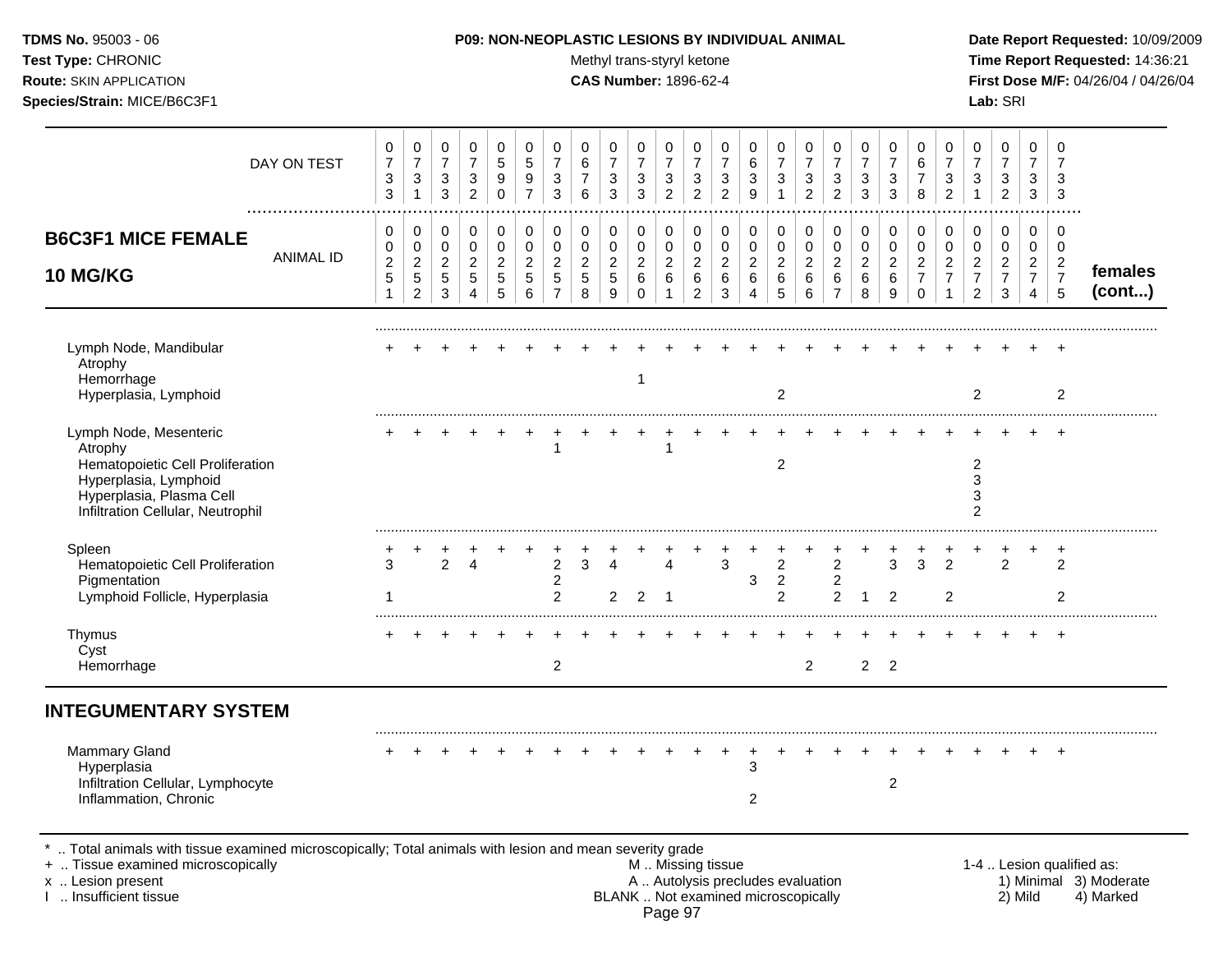**Test Type:** CHRONIC **Trans-styryl ketone** Methyl trans-styryl ketone **Time Report Requested:** 14:36:21 **Route:** SKIN APPLICATION **CAS Number:** 1896-62-4 **First Dose M/F:** 04/26/04 / 04/26/04 **Species/Strain:** MICE/B6C3F1 **Lab:** SRI

| DAY ON TEST                                                                                                                                                     | 0<br>$\overline{7}$<br>3<br>$\mathbf{3}$          | 0<br>$\overline{7}$<br>$\sqrt{3}$<br>$\mathbf 1$             | 0<br>$\boldsymbol{7}$<br>$\ensuremath{\mathsf{3}}$<br>$\mathbf{3}$ | 0<br>$\overline{7}$<br>3<br>$\overline{c}$      | 0<br>5<br>9<br>0                   | 0<br>$\overline{5}$<br>9<br>$\overline{7}$            | 0<br>$\overline{7}$<br>3<br>3                             | 0<br>$\,6\,$<br>$\overline{7}$<br>6                       | 0<br>$\overline{7}$<br>3<br>3               | 0<br>$\overline{7}$<br>$\sqrt{3}$<br>$\mathfrak{Z}$ | 0<br>$\overline{7}$<br>$\mathbf{3}$<br>$\overline{c}$ | 0<br>$\overline{7}$<br>3<br>$\overline{c}$      | 0<br>$\overline{7}$<br>$\sqrt{3}$<br>$\overline{2}$ | 0<br>6<br>3<br>9                             | 0<br>$\overline{7}$<br>3                       | 0<br>$\boldsymbol{7}$<br>$\sqrt{3}$<br>$\overline{2}$ | 0<br>$\overline{7}$<br>$\sqrt{3}$<br>$\overline{2}$ | 0<br>$\overline{7}$<br>$\sqrt{3}$<br>$\sqrt{3}$ | 0<br>$\overline{7}$<br>3<br>3                | 0<br>6<br>$\overline{7}$<br>8                          | $\mathbf 0$<br>$\overline{7}$<br>3<br>$\overline{2}$                   | 0<br>$\overline{7}$<br>3                        | 0<br>$\boldsymbol{7}$<br>$\ensuremath{\mathsf{3}}$<br>$\overline{c}$ | 0<br>$\overline{7}$<br>3<br>$\mathbf{3}$                     | 0<br>$\overline{7}$<br>3<br>$\mathbf{3}$          |                           |
|-----------------------------------------------------------------------------------------------------------------------------------------------------------------|---------------------------------------------------|--------------------------------------------------------------|--------------------------------------------------------------------|-------------------------------------------------|------------------------------------|-------------------------------------------------------|-----------------------------------------------------------|-----------------------------------------------------------|---------------------------------------------|-----------------------------------------------------|-------------------------------------------------------|-------------------------------------------------|-----------------------------------------------------|----------------------------------------------|------------------------------------------------|-------------------------------------------------------|-----------------------------------------------------|-------------------------------------------------|----------------------------------------------|--------------------------------------------------------|------------------------------------------------------------------------|-------------------------------------------------|----------------------------------------------------------------------|--------------------------------------------------------------|---------------------------------------------------|---------------------------|
| <b>B6C3F1 MICE FEMALE</b><br><b>ANIMAL ID</b><br>10 MG/KG                                                                                                       | 0<br>0<br>$\boldsymbol{2}$<br>$\overline{5}$<br>1 | 0<br>0<br>$\overline{c}$<br>$\overline{5}$<br>$\overline{c}$ | 0<br>$\pmb{0}$<br>$\overline{c}$<br>5<br>$\mathbf{3}$              | 0<br>0<br>$\overline{c}$<br>$\overline{5}$<br>4 | 0<br>0<br>$\overline{a}$<br>5<br>5 | 0<br>$\mathbf 0$<br>$\overline{2}$<br>$\sqrt{5}$<br>6 | 0<br>$\mathbf 0$<br>$\overline{2}$<br>5<br>$\overline{7}$ | 0<br>$\mathbf 0$<br>$\overline{c}$<br>$\overline{5}$<br>8 | 0<br>0<br>$\overline{c}$<br>$\sqrt{5}$<br>9 | 0<br>0<br>$\overline{a}$<br>$\,6\,$<br>$\Omega$     | 0<br>$\mathbf 0$<br>$\sqrt{2}$<br>$6\phantom{a}$<br>1 | 0<br>0<br>$\overline{2}$<br>6<br>$\overline{2}$ | 0<br>0<br>$\overline{c}$<br>$\,6\,$<br>3            | 0<br>$\mathbf 0$<br>$\overline{2}$<br>6<br>4 | 0<br>0<br>$\overline{a}$<br>6<br>5             | 0<br>$\mathbf 0$<br>$\sqrt{2}$<br>$\,6\,$<br>6        | 0<br>0<br>$\overline{c}$<br>6<br>$\overline{7}$     | 0<br>0<br>$\overline{c}$<br>$\,6\,$<br>8        | 0<br>$\mathbf 0$<br>$\overline{c}$<br>6<br>9 | 0<br>0<br>$\overline{c}$<br>$\overline{7}$<br>$\Omega$ | 0<br>$\mathbf 0$<br>$\overline{c}$<br>$\overline{7}$<br>$\overline{1}$ | 0<br>0<br>$\overline{c}$<br>$\overline{7}$<br>2 | 0<br>$\mathbf 0$<br>$\boldsymbol{2}$<br>$\overline{7}$<br>3          | 0<br>0<br>$\overline{c}$<br>$\overline{7}$<br>$\overline{4}$ | 0<br>0<br>$\boldsymbol{2}$<br>$\overline{7}$<br>5 | females<br>(cont)         |
| Lymph Node, Mandibular<br>Atrophy<br>Hemorrhage<br>Hyperplasia, Lymphoid                                                                                        |                                                   |                                                              |                                                                    |                                                 |                                    |                                                       |                                                           |                                                           |                                             |                                                     |                                                       |                                                 |                                                     |                                              | $\overline{c}$                                 |                                                       |                                                     |                                                 |                                              |                                                        |                                                                        | $\overline{2}$                                  |                                                                      |                                                              | 2                                                 |                           |
| Lymph Node, Mesenteric<br>Atrophy<br>Hematopoietic Cell Proliferation<br>Hyperplasia, Lymphoid<br>Hyperplasia, Plasma Cell<br>Infiltration Cellular, Neutrophil |                                                   |                                                              |                                                                    |                                                 |                                    |                                                       |                                                           |                                                           |                                             |                                                     | -1                                                    |                                                 |                                                     |                                              | $\overline{c}$                                 |                                                       |                                                     |                                                 |                                              |                                                        |                                                                        | 2<br>3<br>3<br>$\overline{2}$                   |                                                                      |                                                              |                                                   |                           |
| Spleen<br>Hematopoietic Cell Proliferation<br>Pigmentation<br>Lymphoid Follicle, Hyperplasia                                                                    | 3<br>1                                            |                                                              | $\overline{2}$                                                     | 4                                               |                                    |                                                       | 2<br>$\overline{c}$<br>2                                  | 3                                                         | 4<br>$\overline{2}$                         | $\overline{2}$                                      | Λ<br>-1                                               |                                                 | 3                                                   | 3                                            | $\overline{c}$<br>$\sqrt{2}$<br>$\overline{2}$ |                                                       | $\overline{2}$<br>$\overline{c}$<br>$\overline{2}$  | $\mathbf 1$                                     | 3<br>2                                       | 3                                                      | 2<br>$\overline{2}$                                                    |                                                 | $\overline{2}$                                                       |                                                              | $\ddot{}$<br>$\overline{2}$<br>$\overline{2}$     |                           |
| Thymus<br>Cyst<br>Hemorrhage                                                                                                                                    |                                                   |                                                              |                                                                    |                                                 |                                    |                                                       | $\overline{2}$                                            |                                                           |                                             |                                                     |                                                       |                                                 |                                                     |                                              |                                                | $\overline{2}$                                        |                                                     | 2 <sup>7</sup>                                  | $\overline{2}$                               |                                                        |                                                                        |                                                 |                                                                      |                                                              | $\ddot{}$                                         |                           |
| <b>INTEGUMENTARY SYSTEM</b>                                                                                                                                     |                                                   |                                                              |                                                                    |                                                 |                                    |                                                       |                                                           |                                                           |                                             |                                                     |                                                       |                                                 |                                                     |                                              |                                                |                                                       |                                                     |                                                 |                                              |                                                        |                                                                        |                                                 |                                                                      |                                                              |                                                   |                           |
| <b>Mammary Gland</b><br>Hyperplasia<br>Infiltration Cellular, Lymphocyte<br>Inflammation, Chronic                                                               |                                                   |                                                              |                                                                    |                                                 |                                    |                                                       |                                                           |                                                           |                                             |                                                     |                                                       |                                                 |                                                     | 3<br>$\overline{\mathbf{c}}$                 |                                                |                                                       |                                                     |                                                 | $\overline{2}$                               |                                                        |                                                                        |                                                 |                                                                      |                                                              |                                                   |                           |
| Total animals with tissue examined microscopically; Total animals with lesion and mean severity grade<br>+  Tissue examined microscopically                     |                                                   |                                                              |                                                                    |                                                 |                                    |                                                       |                                                           |                                                           |                                             |                                                     |                                                       | M  Missing tissue                               |                                                     |                                              |                                                |                                                       |                                                     |                                                 |                                              |                                                        |                                                                        |                                                 |                                                                      |                                                              |                                                   | 1-4  Lesion qualified as: |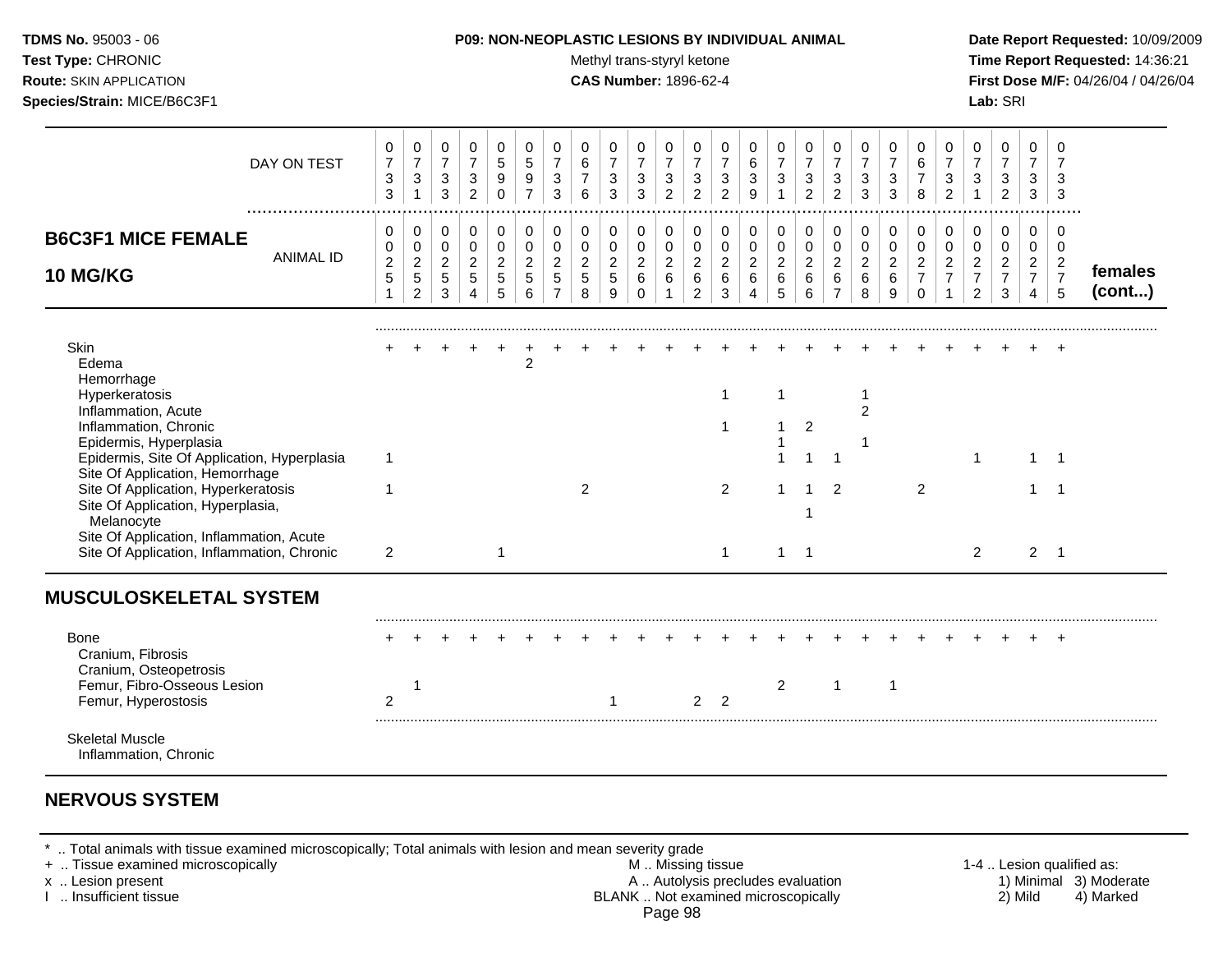| TDMS No. 95003 - 06<br>Test Type: CHRONIC<br>Route: SKIN APPLICATION<br>Species/Strain: MICE/B6C3F1                                                                                                                                                                                                                                                                                           |                                                       |                                                               |                                                                    |                                                                            |                                                               |                                                       |                                                                     |                                            | Methyl trans-styryl ketone<br><b>CAS Number: 1896-62-4</b> |                                                           |                                                                    |                                                               |                                                          | P09: NON-NEOPLASTIC LESIONS BY INDIVIDUAL ANIMAL                    |                                                     |                                            |                                                           |                                                         |                                                                  |                                                                  |                                                                |                                                                        | Lab: SRI                                                            |                                                                        |                                                                         | Date Report Requested: 10/09/2009<br>Time Report Requested: 14:36:21<br>First Dose M/F: 04/26/04 / 04/26/04 |
|-----------------------------------------------------------------------------------------------------------------------------------------------------------------------------------------------------------------------------------------------------------------------------------------------------------------------------------------------------------------------------------------------|-------------------------------------------------------|---------------------------------------------------------------|--------------------------------------------------------------------|----------------------------------------------------------------------------|---------------------------------------------------------------|-------------------------------------------------------|---------------------------------------------------------------------|--------------------------------------------|------------------------------------------------------------|-----------------------------------------------------------|--------------------------------------------------------------------|---------------------------------------------------------------|----------------------------------------------------------|---------------------------------------------------------------------|-----------------------------------------------------|--------------------------------------------|-----------------------------------------------------------|---------------------------------------------------------|------------------------------------------------------------------|------------------------------------------------------------------|----------------------------------------------------------------|------------------------------------------------------------------------|---------------------------------------------------------------------|------------------------------------------------------------------------|-------------------------------------------------------------------------|-------------------------------------------------------------------------------------------------------------|
| DAY ON TEST                                                                                                                                                                                                                                                                                                                                                                                   | 0<br>$\overline{7}$<br>$\ensuremath{\mathsf{3}}$<br>3 | $\mathbf 0$<br>$\overline{7}$<br>$\mathbf{3}$<br>$\mathbf{1}$ | 0<br>$\overline{7}$<br>$\ensuremath{\mathsf{3}}$<br>$\mathfrak{S}$ | 0<br>$\boldsymbol{7}$<br>$\ensuremath{\mathsf{3}}$<br>$\overline{2}$       | 0<br>$\sqrt{5}$<br>$\boldsymbol{9}$<br>$\mathbf 0$            | 0<br>$\sqrt{5}$<br>$\boldsymbol{9}$<br>$\overline{7}$ | 0<br>$\overline{7}$<br>$\sqrt{3}$<br>3                              | 0<br>$\,6$<br>$\boldsymbol{7}$<br>6        | 0<br>$\boldsymbol{7}$<br>3<br>3                            | 0<br>$\overline{7}$<br>$\ensuremath{\mathsf{3}}$<br>3     | 0<br>$\overline{7}$<br>$\ensuremath{\mathsf{3}}$<br>$\overline{2}$ | 0<br>$\overline{7}$<br>$\frac{3}{2}$                          | 0<br>$\overline{7}$<br>$\sqrt{3}$<br>$\overline{2}$      | 0<br>$\,6\,$<br>$\mathsf 3$<br>9                                    | 0<br>$\overline{7}$<br>$\mathbf{3}$<br>$\mathbf{1}$ | 0<br>$\overline{7}$<br>$\frac{3}{2}$       | 0<br>$\overline{7}$<br>$\mathbf{3}$<br>$\overline{2}$     | 0<br>$\boldsymbol{7}$<br>$\ensuremath{\mathsf{3}}$<br>3 | 0<br>$\overline{7}$<br>$\ensuremath{\mathsf{3}}$<br>$\mathbf{3}$ | 0<br>$\,6\,$<br>$\boldsymbol{7}$<br>8                            | 0<br>$\overline{7}$<br>$\frac{3}{2}$                           | 0<br>$\overline{7}$<br>$\ensuremath{\mathsf{3}}$<br>$\mathbf{1}$       | 0<br>$\overline{7}$<br>$\ensuremath{\mathsf{3}}$<br>$\overline{2}$  | 0<br>$\overline{7}$<br>3<br>3                                          | 0<br>$\overline{7}$<br>3<br>$\mathbf{3}$                                |                                                                                                             |
| <b>B6C3F1 MICE FEMALE</b><br><b>ANIMAL ID</b><br><b>10 MG/KG</b>                                                                                                                                                                                                                                                                                                                              | 0<br>0<br>$\overline{c}$<br>5<br>$\mathbf{1}$         | 0<br>0<br>$\overline{2}$<br>$\sqrt{5}$<br>$\overline{2}$      | $\mathbf 0$<br>$\pmb{0}$<br>$\sqrt{2}$<br>$\overline{5}$<br>3      | $\pmb{0}$<br>$\mathbf 0$<br>$\overline{2}$<br>$\sqrt{5}$<br>$\overline{4}$ | $\mathbf 0$<br>$\pmb{0}$<br>$\overline{2}$<br>$\sqrt{5}$<br>5 | 0<br>$\mathbf 0$<br>$\sqrt{2}$<br>$\sqrt{5}$<br>6     | $\mathbf 0$<br>$\mathbf 0$<br>$\overline{2}$<br>5<br>$\overline{7}$ | 0<br>$\pmb{0}$<br>$\overline{c}$<br>5<br>8 | 0<br>0<br>$\overline{2}$<br>5<br>9                         | $\pmb{0}$<br>$\pmb{0}$<br>$\overline{c}$<br>6<br>$\Omega$ | 0<br>$\mathbf 0$<br>$\overline{2}$<br>6<br>$\mathbf{1}$            | $\pmb{0}$<br>$\mathbf 0$<br>$\sqrt{2}$<br>6<br>$\overline{2}$ | 0<br>$\mathbf 0$<br>$\overline{2}$<br>$\,6\,$<br>3       | $\mathbf 0$<br>$\mathbf 0$<br>$\overline{2}$<br>6<br>$\overline{4}$ | 0<br>$\pmb{0}$<br>$\overline{2}$<br>6<br>5          | 0<br>$\pmb{0}$<br>$\overline{2}$<br>6<br>6 | 0<br>$\mathbf 0$<br>$\overline{2}$<br>6<br>$\overline{7}$ | $\mathbf 0$<br>$\mathsf 0$<br>$\overline{2}$<br>6<br>8  | $\mathbf 0$<br>$\pmb{0}$<br>$\overline{2}$<br>$\,6\,$<br>9       | 0<br>$\mathbf 0$<br>$\overline{2}$<br>$\overline{7}$<br>$\Omega$ | 0<br>$\pmb{0}$<br>$\sqrt{2}$<br>$\overline{7}$<br>$\mathbf{1}$ | 0<br>$\mathbf 0$<br>$\overline{2}$<br>$\overline{7}$<br>$\overline{2}$ | $\mathbf 0$<br>$\mathbf 0$<br>$\overline{2}$<br>$\overline{7}$<br>3 | $\mathbf 0$<br>0<br>$\overline{2}$<br>$\overline{7}$<br>$\overline{4}$ | 0<br>$\mathbf 0$<br>$\overline{2}$<br>$\overline{7}$<br>$5\phantom{.0}$ | females<br>(cont)                                                                                           |
| Skin<br>Edema<br>Hemorrhage<br>Hyperkeratosis<br>Inflammation, Acute<br>Inflammation, Chronic<br>Epidermis, Hyperplasia<br>Epidermis, Site Of Application, Hyperplasia<br>Site Of Application, Hemorrhage<br>Site Of Application, Hyperkeratosis<br>Site Of Application, Hyperplasia,<br>Melanocyte<br>Site Of Application, Inflammation, Acute<br>Site Of Application, Inflammation, Chronic | $\mathbf{1}$<br>$\mathbf 1$<br>$\overline{2}$         |                                                               |                                                                    |                                                                            | $\mathbf{1}$                                                  | 2                                                     |                                                                     | $\overline{c}$                             |                                                            |                                                           |                                                                    |                                                               | $\overline{1}$<br>-1<br>$\overline{2}$<br>$\overline{1}$ |                                                                     | 1<br>1.<br>1.<br>$1 \quad 1$                        | 2<br>$\mathbf 1$<br>-1<br>1                | $\overline{1}$<br>$\mathcal{P}$                           | $\mathbf{1}$<br>$\overline{2}$<br>$\mathbf{1}$          |                                                                  | $\overline{2}$                                                   |                                                                | $\mathbf{1}$<br>$\overline{2}$                                         |                                                                     | $1 \quad 1$<br>$\mathbf{1}$<br>$2 \quad 1$                             | $\overline{\phantom{1}}$                                                |                                                                                                             |
| <b>MUSCULOSKELETAL SYSTEM</b><br>Bone<br>Cranium, Fibrosis<br>Cranium, Osteopetrosis<br>Femur, Fibro-Osseous Lesion<br>Femur, Hyperostosis<br><b>Skeletal Muscle</b><br>Inflammation, Chronic                                                                                                                                                                                                 | $\overline{2}$                                        |                                                               |                                                                    |                                                                            |                                                               |                                                       |                                                                     |                                            |                                                            |                                                           |                                                                    | $\overline{2}$                                                | $\overline{2}$                                           |                                                                     | $\overline{2}$                                      |                                            | $\mathbf{1}$                                              |                                                         | $\mathbf{1}$                                                     |                                                                  |                                                                |                                                                        |                                                                     |                                                                        |                                                                         |                                                                                                             |

# **NERVOUS SYSTEM**

\* .. Total animals with tissue examined microscopically; Total animals with lesion and mean severity grade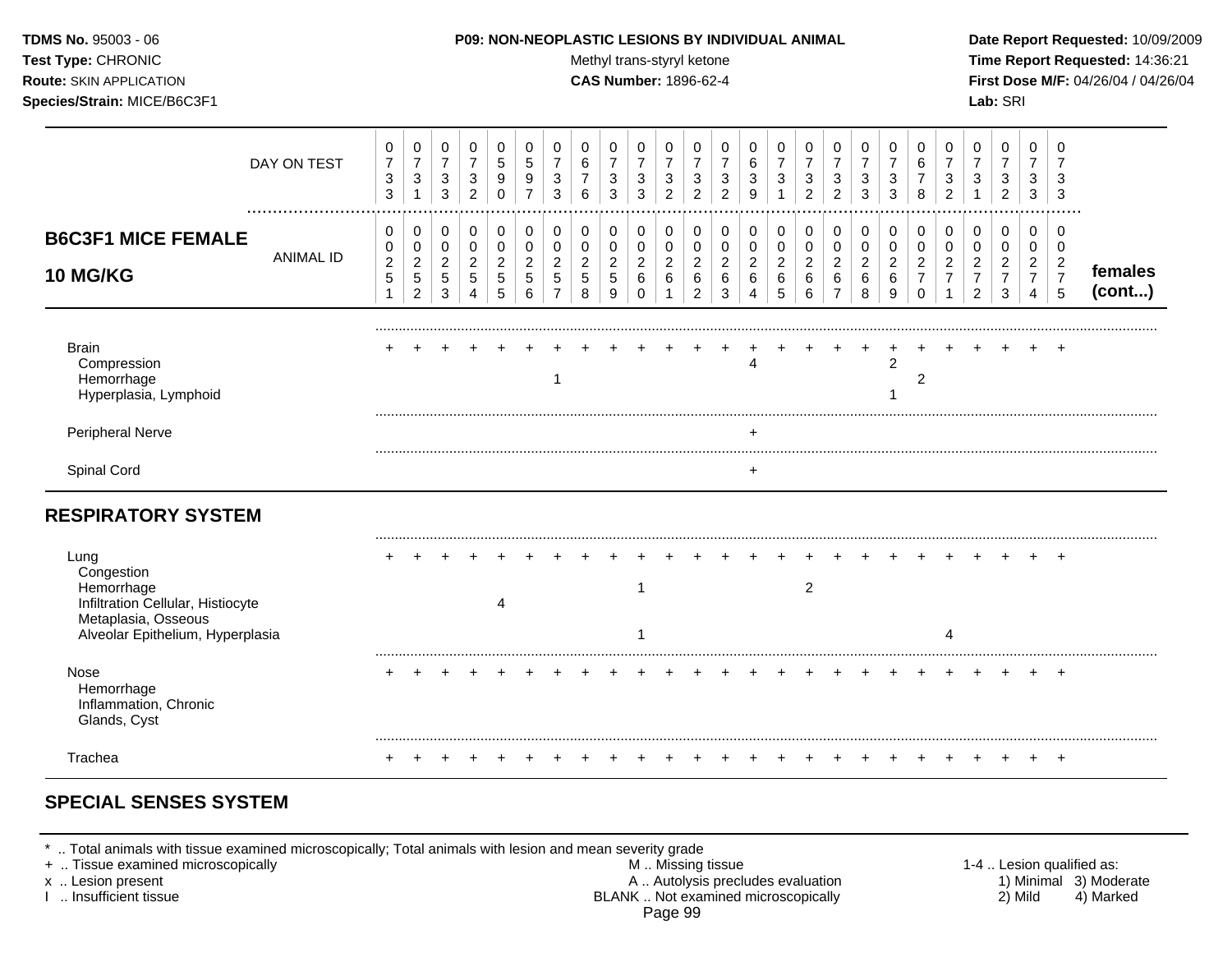| <b>TDMS No. 95003 - 06</b>         | <b>P09: NON-NEOPLASTIC LESIONS BY INDIVIDUAL ANIMAL</b> | Date Report Requested: 10/09/2009          |
|------------------------------------|---------------------------------------------------------|--------------------------------------------|
| <b>Test Type: CHRONIC</b>          | Methyl trans-styryl ketone                              | <b>Time Report Requested: 14:36:21</b>     |
| <b>Route: SKIN APPLICATION</b>     | <b>CAS Number: 1896-62-4</b>                            | <b>First Dose M/F: 04/26/04 / 04/26/04</b> |
| <b>Species/Strain: MICE/B6C3F1</b> |                                                         | <b>Lab:</b> SRI                            |

| DAY ON TEST                                                                                                                      | 0<br>$\overline{7}$<br>3<br>$\sqrt{3}$ | 0<br>$\overline{7}$<br>3                            | 0<br>$\overline{7}$<br>$\mathbf{3}$<br>3 | 0<br>$\overline{7}$<br>$\sqrt{3}$<br>$\overline{2}$     | 0<br>5<br>9<br>$\Omega$                | 0<br>5<br>9           | 0<br>3<br>3      | 0<br>6<br>7<br>6                   | 0<br>$\overline{7}$<br>3<br>3        | 0<br>$\overline{7}$<br>$\sqrt{3}$<br>3    | 0<br>$\overline{7}$<br>$\mathbf{3}$<br>2     | 0<br>$\overline{7}$<br>3<br>2      | 0<br>7<br>3<br>2      | 0<br>6<br>3<br>9      | 0<br>$\overline{7}$<br>3           | 0<br>$\overline{7}$<br>3<br>$\overline{2}$ | 0<br>$\overline{7}$<br>3<br>$\overline{2}$            | 0<br>$\overline{7}$<br>3<br>3                  | 0<br>$\overline{7}$<br>3<br>3              | 0<br>6<br>7<br>8             | 0<br>$\overline{7}$<br>3<br>$\overline{2}$ | 0<br>$\overline{7}$<br>3                        | 0<br>$\overline{7}$<br>3<br>$\overline{2}$      | 0<br>$\overline{7}$<br>3<br>3                                | 0<br>7<br>3<br>3                                |                   |
|----------------------------------------------------------------------------------------------------------------------------------|----------------------------------------|-----------------------------------------------------|------------------------------------------|---------------------------------------------------------|----------------------------------------|-----------------------|------------------|------------------------------------|--------------------------------------|-------------------------------------------|----------------------------------------------|------------------------------------|-----------------------|-----------------------|------------------------------------|--------------------------------------------|-------------------------------------------------------|------------------------------------------------|--------------------------------------------|------------------------------|--------------------------------------------|-------------------------------------------------|-------------------------------------------------|--------------------------------------------------------------|-------------------------------------------------|-------------------|
| <b>B6C3F1 MICE FEMALE</b><br><b>ANIMAL ID</b><br><b>10 MG/KG</b>                                                                 | 0<br>0<br>$\boldsymbol{2}$<br>5<br>1   | 0<br>$\pmb{0}$<br>$\overline{c}$<br>$\sqrt{5}$<br>2 | 0<br>0<br>$\overline{2}$<br>5<br>3       | 0<br>0<br>$\overline{a}$<br>5<br>$\boldsymbol{\Lambda}$ | 0<br>$\pmb{0}$<br>$\sqrt{2}$<br>5<br>5 | 0<br>0<br>2<br>5<br>6 | 0<br>0<br>2<br>5 | 0<br>0<br>$\overline{2}$<br>5<br>8 | 0<br>0<br>$\boldsymbol{2}$<br>5<br>9 | 0<br>0<br>$\overline{c}$<br>6<br>$\Omega$ | 0<br>0<br>$\overline{2}$<br>6<br>$\mathbf 1$ | 0<br>0<br>$\overline{c}$<br>6<br>2 | 0<br>0<br>2<br>6<br>3 | 0<br>0<br>2<br>6<br>4 | 0<br>0<br>$\overline{c}$<br>6<br>5 | 0<br>0<br>$\overline{a}$<br>6<br>6         | 0<br>0<br>$\overline{c}$<br>$\,6\,$<br>$\overline{7}$ | 0<br>$\mathbf 0$<br>$\boldsymbol{2}$<br>6<br>8 | 0<br>$\pmb{0}$<br>$\overline{c}$<br>6<br>9 | 0<br>$\mathbf 0$<br>$\Omega$ | 0<br>0<br>2                                | 0<br>0<br>$\overline{2}$<br>$\overline{7}$<br>2 | 0<br>0<br>$\overline{2}$<br>$\overline{7}$<br>3 | 0<br>0<br>$\overline{c}$<br>$\overline{7}$<br>$\overline{4}$ | 0<br>0<br>$\overline{c}$<br>$\overline{7}$<br>5 | females<br>(cont) |
| <b>Brain</b><br>Compression<br>Hemorrhage<br>Hyperplasia, Lymphoid                                                               |                                        |                                                     |                                          |                                                         |                                        |                       |                  |                                    |                                      |                                           |                                              |                                    |                       |                       |                                    |                                            |                                                       |                                                | $\overline{2}$                             | 2                            |                                            |                                                 |                                                 |                                                              |                                                 |                   |
| Peripheral Nerve<br>Spinal Cord                                                                                                  |                                        |                                                     |                                          |                                                         |                                        |                       |                  |                                    |                                      |                                           |                                              |                                    |                       | $\ddot{}$             |                                    |                                            |                                                       |                                                |                                            |                              |                                            |                                                 |                                                 |                                                              |                                                 |                   |
| <b>RESPIRATORY SYSTEM</b>                                                                                                        |                                        |                                                     |                                          |                                                         |                                        |                       |                  |                                    |                                      |                                           |                                              |                                    |                       |                       |                                    |                                            |                                                       |                                                |                                            |                              |                                            |                                                 |                                                 |                                                              |                                                 |                   |
| Lung<br>Congestion<br>Hemorrhage<br>Infiltration Cellular, Histiocyte<br>Metaplasia, Osseous<br>Alveolar Epithelium, Hyperplasia |                                        |                                                     |                                          |                                                         |                                        |                       |                  |                                    |                                      | 1                                         |                                              |                                    |                       |                       |                                    | $\overline{c}$                             |                                                       |                                                |                                            |                              |                                            |                                                 |                                                 |                                                              |                                                 |                   |
| Nose<br>Hemorrhage<br>Inflammation, Chronic<br>Glands, Cyst                                                                      |                                        |                                                     |                                          |                                                         |                                        |                       |                  |                                    |                                      |                                           |                                              |                                    |                       |                       |                                    |                                            |                                                       |                                                |                                            |                              |                                            |                                                 |                                                 |                                                              |                                                 |                   |
| Trachea                                                                                                                          |                                        |                                                     |                                          |                                                         |                                        |                       |                  |                                    |                                      |                                           |                                              |                                    |                       |                       |                                    |                                            |                                                       |                                                |                                            |                              |                                            |                                                 |                                                 |                                                              |                                                 |                   |

# **SPECIAL SENSES SYSTEM**

\* .. Total animals with tissue examined microscopically; Total animals with lesion and mean severity grade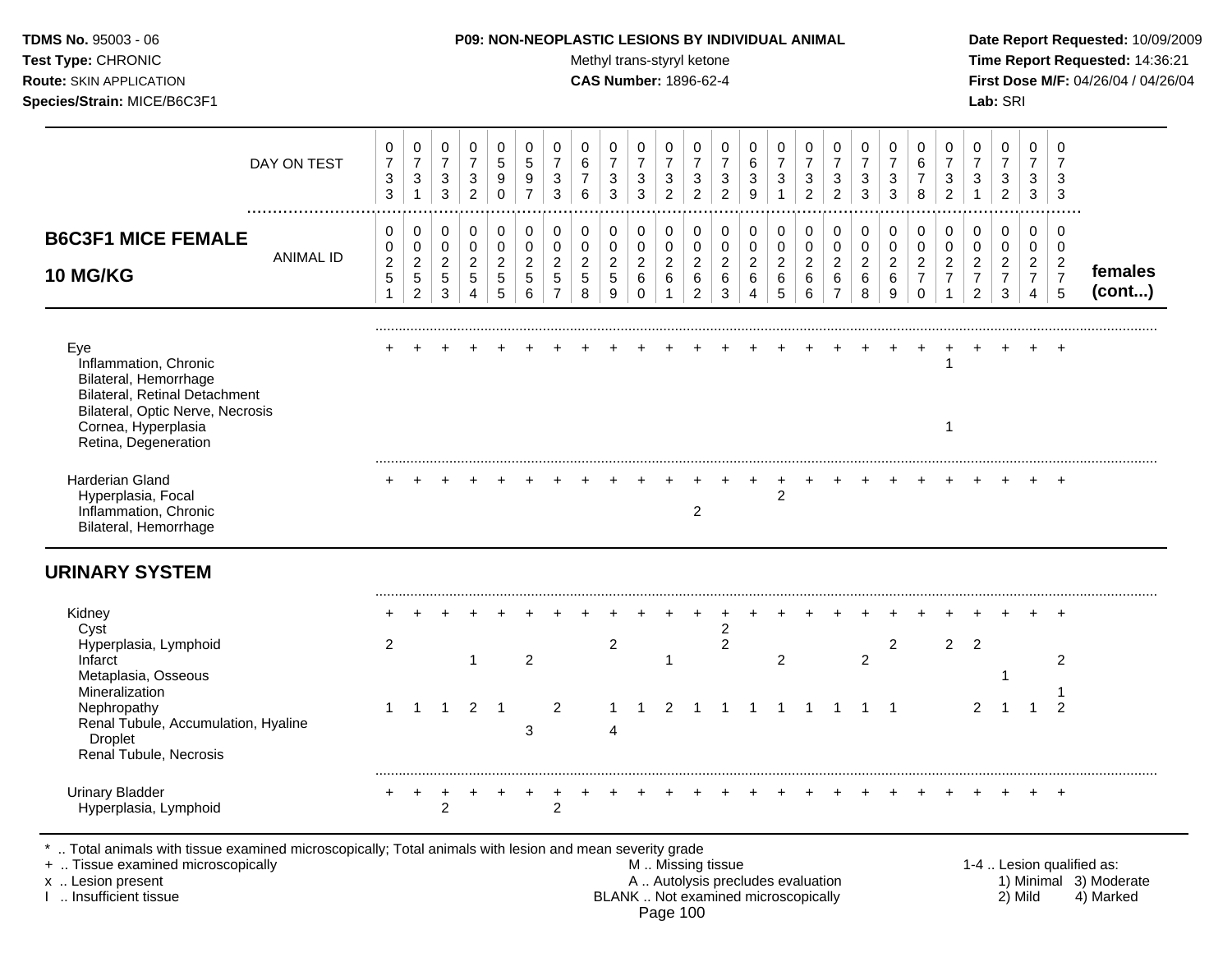| TDMS No. 95003 - 06<br>Test Type: CHRONIC<br>Route: SKIN APPLICATION<br>Species/Strain: MICE/B6C3F1                                                                              |                                                                          |                                                                  |                                                                     | <b>P09: NON-NEOPLASTIC LESIONS BY INDIVIDUAL ANIMAL</b>                  |                                                               |                                                                         |                                                                           |                                            | Methyl trans-styryl ketone<br><b>CAS Number: 1896-62-4</b> |                                                             |                                                                           |                                                                              |                                                      |                                                                       |                                                    |                                                                    |                                                           |                                                 |                                                             |                                                                                       |                                                                          |                                                                        | Lab: SRI                                                          |                                                                        |                                                           | Date Report Requested: 10/09/2009<br>Time Report Requested: 14:36:21<br>First Dose M/F: 04/26/04 / 04/26/04 |
|----------------------------------------------------------------------------------------------------------------------------------------------------------------------------------|--------------------------------------------------------------------------|------------------------------------------------------------------|---------------------------------------------------------------------|--------------------------------------------------------------------------|---------------------------------------------------------------|-------------------------------------------------------------------------|---------------------------------------------------------------------------|--------------------------------------------|------------------------------------------------------------|-------------------------------------------------------------|---------------------------------------------------------------------------|------------------------------------------------------------------------------|------------------------------------------------------|-----------------------------------------------------------------------|----------------------------------------------------|--------------------------------------------------------------------|-----------------------------------------------------------|-------------------------------------------------|-------------------------------------------------------------|---------------------------------------------------------------------------------------|--------------------------------------------------------------------------|------------------------------------------------------------------------|-------------------------------------------------------------------|------------------------------------------------------------------------|-----------------------------------------------------------|-------------------------------------------------------------------------------------------------------------|
| DAY ON TEST                                                                                                                                                                      | 0<br>$\overline{7}$<br>$\mathbf{3}$<br>3                                 | $\mathbf 0$<br>$\overline{7}$<br>$\sqrt{3}$<br>$\mathbf{1}$      | $\mathbf 0$<br>$\overline{7}$<br>$\mathbf{3}$<br>$\mathfrak{Z}$     | $\mathbf 0$<br>$\overline{7}$<br>$\ensuremath{\mathsf{3}}$<br>$\sqrt{2}$ | $\mathbf 0$<br>$\sqrt{5}$<br>$\boldsymbol{9}$<br>$\pmb{0}$    | $\mathbf 0$<br>$\sqrt{5}$<br>$\boldsymbol{9}$<br>$\overline{7}$         | $\Omega$<br>$\overline{7}$<br>$\ensuremath{\mathsf{3}}$<br>$\mathfrak{Z}$ | $\Omega$<br>6<br>$\overline{7}$<br>$\,6\,$ | $\Omega$<br>$\overline{7}$<br>3<br>3                       | $\mathbf 0$<br>$\overline{7}$<br>$\sqrt{3}$<br>$\mathbf{3}$ | $\mathbf 0$<br>$\overline{7}$<br>$\mathbf{3}$<br>$\overline{2}$           | $\mathbf 0$<br>$\overline{7}$<br>$\ensuremath{\mathsf{3}}$<br>$\overline{2}$ | $\mathbf 0$<br>$\overline{7}$<br>3<br>$\overline{c}$ | $\mathbf 0$<br>$\,6\,$<br>$\sqrt{3}$<br>$\boldsymbol{9}$              | $\mathbf 0$<br>$\overline{7}$<br>3<br>$\mathbf{1}$ | 0<br>$\overline{7}$<br>$\ensuremath{\mathsf{3}}$<br>$\overline{2}$ | $\Omega$<br>$\overline{7}$<br>3<br>$\overline{2}$         | $\Omega$<br>$\overline{7}$<br>$\mathbf{3}$<br>3 | $\mathbf 0$<br>$\overline{7}$<br>$\sqrt{3}$<br>$\mathbf{3}$ | $\mathbf 0$<br>$6\phantom{a}$<br>$\overline{7}$<br>8                                  | $\Omega$<br>$\overline{7}$<br>$\sqrt{3}$<br>$\overline{2}$               | $\Omega$<br>$\overline{7}$<br>3<br>$\mathbf{1}$                        | $\Omega$<br>$\overline{7}$<br>3<br>$\overline{c}$                 | $\mathbf 0$<br>$\overline{7}$<br>3<br>$\mathbf{3}$                     | $\Omega$<br>$\overline{7}$<br>3<br>$\mathbf{3}$           |                                                                                                             |
| <b>B6C3F1 MICE FEMALE</b><br><b>ANIMAL ID</b><br>10 MG/KG                                                                                                                        | $\mathbf 0$<br>$\pmb{0}$<br>$\overline{c}$<br>$\sqrt{5}$<br>$\mathbf{1}$ | 0<br>$\pmb{0}$<br>$\overline{2}$<br>$\sqrt{5}$<br>$\overline{2}$ | 0<br>$\mathsf 0$<br>$\sqrt{2}$<br>$5\phantom{.0}$<br>$\mathfrak{S}$ | $\pmb{0}$<br>$\pmb{0}$<br>$\overline{2}$<br>$\sqrt{5}$<br>$\overline{4}$ | $\pmb{0}$<br>$\mathsf 0$<br>$\overline{2}$<br>$\sqrt{5}$<br>5 | $\pmb{0}$<br>$\mathsf 0$<br>$\sqrt{2}$<br>$\sqrt{5}$<br>$6\phantom{1}6$ | 0<br>$\overline{0}$<br>$\overline{2}$<br>$\sqrt{5}$<br>$\overline{7}$     | 0<br>$\pmb{0}$<br>$\overline{c}$<br>5<br>8 | $\mathsf 0$<br>$\mathbf 0$<br>$\overline{2}$<br>5<br>9     | 0<br>$\pmb{0}$<br>$\overline{c}$<br>$\,6\,$<br>$\Omega$     | $\mathbf 0$<br>$\mathsf{O}\xspace$<br>$\overline{2}$<br>6<br>$\mathbf{1}$ | 0<br>$\pmb{0}$<br>$\sqrt{2}$<br>6<br>$\sqrt{2}$                              | 0<br>$\pmb{0}$<br>$\overline{2}$<br>6<br>3           | $\pmb{0}$<br>$\pmb{0}$<br>$\overline{2}$<br>$\,6\,$<br>$\overline{4}$ | 0<br>$\pmb{0}$<br>$\overline{2}$<br>$\,6\,$<br>5   | 0<br>$\pmb{0}$<br>$\overline{2}$<br>6<br>$\,6\,$                   | 0<br>$\mathbf 0$<br>$\overline{2}$<br>6<br>$\overline{7}$ | 0<br>$\pmb{0}$<br>$\overline{2}$<br>6<br>8      | $\mathbf 0$<br>$\pmb{0}$<br>$\overline{2}$<br>$\,6\,$<br>9  | $\mathbf 0$<br>$\mathsf{O}\xspace$<br>$\overline{2}$<br>$\overline{7}$<br>$\mathbf 0$ | $\mathbf 0$<br>$\pmb{0}$<br>$\sqrt{2}$<br>$\overline{7}$<br>$\mathbf{1}$ | 0<br>$\mathbf 0$<br>$\overline{2}$<br>$\overline{7}$<br>$\overline{2}$ | $\pmb{0}$<br>$\mathbf 0$<br>$\overline{2}$<br>$\overline{7}$<br>3 | 0<br>$\mathbf 0$<br>$\overline{2}$<br>$\overline{7}$<br>$\overline{4}$ | 0<br>$\mathbf 0$<br>$\overline{2}$<br>$\overline{7}$<br>5 | females<br>(cont)                                                                                           |
| Eye<br>Inflammation, Chronic<br>Bilateral, Hemorrhage<br><b>Bilateral, Retinal Detachment</b><br>Bilateral, Optic Nerve, Necrosis<br>Cornea, Hyperplasia<br>Retina, Degeneration |                                                                          |                                                                  |                                                                     |                                                                          |                                                               |                                                                         |                                                                           |                                            |                                                            |                                                             |                                                                           |                                                                              |                                                      |                                                                       |                                                    |                                                                    |                                                           |                                                 |                                                             | $+$                                                                                   | $\overline{1}$<br>$\overline{1}$                                         |                                                                        |                                                                   |                                                                        |                                                           |                                                                                                             |
| Harderian Gland<br>Hyperplasia, Focal<br>Inflammation, Chronic<br>Bilateral, Hemorrhage                                                                                          |                                                                          |                                                                  |                                                                     |                                                                          |                                                               |                                                                         |                                                                           |                                            |                                                            |                                                             |                                                                           | $\overline{c}$                                                               |                                                      | $+$                                                                   | $+$<br>$\boldsymbol{2}$                            | $+$                                                                | $+$                                                       |                                                 |                                                             |                                                                                       |                                                                          |                                                                        |                                                                   |                                                                        |                                                           |                                                                                                             |
| <b>URINARY SYSTEM</b><br>Kidney                                                                                                                                                  |                                                                          |                                                                  |                                                                     |                                                                          |                                                               |                                                                         |                                                                           |                                            |                                                            |                                                             |                                                                           |                                                                              |                                                      |                                                                       |                                                    |                                                                    |                                                           |                                                 |                                                             |                                                                                       |                                                                          |                                                                        |                                                                   |                                                                        |                                                           |                                                                                                             |
| Cyst<br>Hyperplasia, Lymphoid<br>Infarct<br>Metaplasia, Osseous                                                                                                                  | $\overline{2}$                                                           |                                                                  |                                                                     | $\overline{1}$                                                           |                                                               | $\overline{c}$                                                          |                                                                           |                                            | $\overline{a}$                                             |                                                             | $\mathbf{1}$                                                              |                                                                              | $\overline{c}$<br>$\overline{2}$                     |                                                                       | $\overline{c}$                                     |                                                                    |                                                           | $\overline{2}$                                  | $\overline{2}$                                              |                                                                                       | $\overline{2}$                                                           | $\overline{2}$                                                         | -1                                                                |                                                                        | $\overline{2}$                                            |                                                                                                             |
| Mineralization<br>Nephropathy<br>Renal Tubule, Accumulation, Hyaline<br><b>Droplet</b><br>Renal Tubule, Necrosis                                                                 | $\mathbf{1}$                                                             | $\overline{1}$                                                   | $\overline{1}$                                                      |                                                                          | $2 \quad 1$                                                   | 3                                                                       | $\overline{2}$                                                            |                                            | $\mathbf 1$<br>4                                           | $\overline{1}$                                              | 2                                                                         | $\overline{1}$                                                               |                                                      | 1 1 1 1 1                                                             |                                                    |                                                                    |                                                           | $1 \quad 1$                                     |                                                             |                                                                                       |                                                                          | 2                                                                      | $\overline{1}$                                                    | $\mathbf{1}$                                                           | $\overline{2}$                                            |                                                                                                             |
| <b>Urinary Bladder</b><br>Hyperplasia, Lymphoid                                                                                                                                  | $+$                                                                      | $+$                                                              | $\overline{2}$                                                      |                                                                          |                                                               |                                                                         | 2                                                                         |                                            |                                                            |                                                             |                                                                           |                                                                              |                                                      |                                                                       |                                                    |                                                                    |                                                           |                                                 |                                                             |                                                                                       |                                                                          |                                                                        |                                                                   |                                                                        | $+$                                                       |                                                                                                             |

\* .. Total animals with tissue examined microscopically; Total animals with lesion and mean severity grade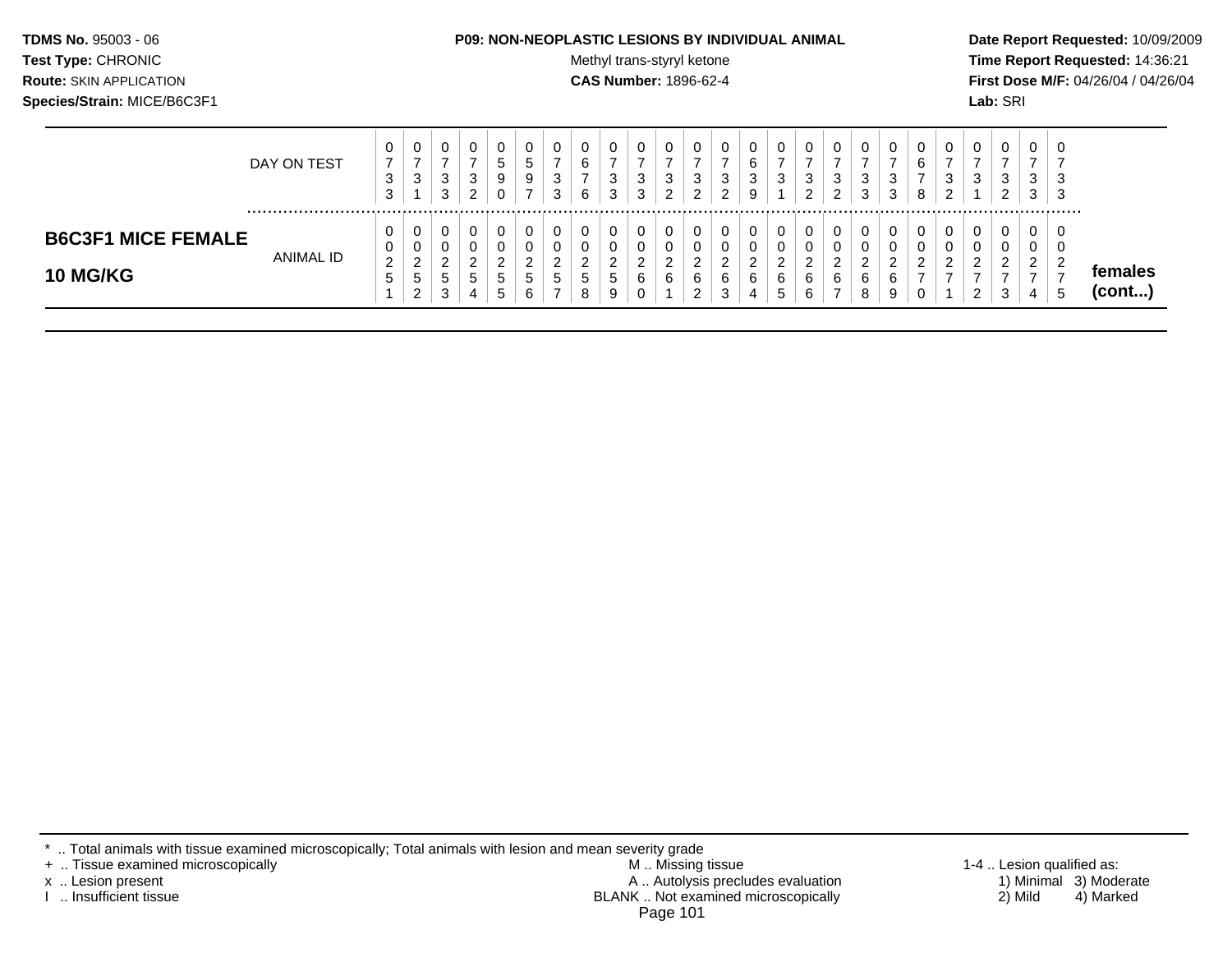| <b>TDMS No. 95003 - 06</b>     | <b>P09: NON-NEOPLASTIC LESIONS BY INDIVIDUAL ANIMAL</b> | Date Rep         |
|--------------------------------|---------------------------------------------------------|------------------|
| <b>Test Type: CHRONIC</b>      | Methyl trans-styryl ketone                              | <b>Time Re</b>   |
| <b>Route: SKIN APPLICATION</b> | <b>CAS Number: 1896-62-4</b>                            | <b>First Dos</b> |
| Species/Strain: MICE/B6C3F1    |                                                         | <b>Lab:</b> SRI  |

## **P09: NON-NEOPLASTIC LESIONS BY INDIVIDUAL ANIMAL Date Report Requested:** 10/09/2009

**Methyl trans-styryl ketone Time Report Requested:** 14:36:21 **CAS Number:** 1896-62-4 **First Dose M/F:** 04/26/04 / 04/26/04

|                                              | DAY ON TEST | υ<br>3<br>3            | 0<br>3                                          | 0<br>ົ<br>J<br>≏<br>ບ                | U<br>3<br>ົ<br>$\epsilon$ | 0<br>C<br>9                                | 9      | 0<br>3<br>3             | 0<br>⌒<br>b<br>-<br>6 | 0<br>3<br>3            | υ<br>3<br>3                  | c<br>ు | 0<br>3<br>◠<br>▃                       | 0<br>3<br>ົ<br>_           | 3<br>$\circ$ | 0<br>3                           | 0<br>ົ<br>J<br>◠                      | U<br>3<br>ົ<br>∠      | 0<br>3<br>3        | $\sim$ | 0<br>6<br>-<br>8        | 0<br>3<br>ົ      | 0<br>3                  | υ<br>3<br>ົ<br><u>.</u> | c<br>ు<br>3          | 0<br>3<br>-3 |                         |
|----------------------------------------------|-------------|------------------------|-------------------------------------------------|--------------------------------------|---------------------------|--------------------------------------------|--------|-------------------------|-----------------------|------------------------|------------------------------|--------|----------------------------------------|----------------------------|--------------|----------------------------------|---------------------------------------|-----------------------|--------------------|--------|-------------------------|------------------|-------------------------|-------------------------|----------------------|--------------|-------------------------|
| <b>B6C3F1 MICE FEMALE</b><br><b>10 MG/KG</b> | ANIMAL ID   | U<br>U<br>າ<br>∠<br>IJ | 0<br>0<br>ົ<br>$\sim$<br><sub>5</sub><br>ົ<br>∼ | v<br>υ<br>$\sim$<br>_<br>G<br>≏<br>◡ | U<br>U<br>⌒<br>▃<br>đ     | $\epsilon$<br>$\mathbf{p}$<br>$\mathbf{p}$ | G<br>6 | 0<br>ົ<br><u>_</u><br>5 | 0<br>U<br>ົ<br>G<br>8 | 0<br>0<br>ົ<br>b.<br>9 | U<br>◠<br><u>_</u><br>6<br>Ü | 6      | 0<br>U<br>ີ<br>∼<br>6<br>ົ<br><u>.</u> | 0<br>U<br>ົ<br>_<br>6<br>3 |              | 0<br>0<br>◠<br>6<br><sub>5</sub> | 0<br>U<br><sup>o</sup><br>_<br>6<br>6 | 0<br>◡<br>ົ<br>▃<br>6 | <u>_</u><br>6<br>8 | 6<br>9 | 0<br>◠<br><u>_</u><br>- | 0<br>υ<br>ົ<br>- | 0<br>ົ<br>ົ<br><u>.</u> | ◠<br><u>.</u><br>3      | $\sqrt{2}$<br>∼<br>4 | O<br>U<br>b  | temales<br>$($ cont $)$ |

\* .. Total animals with tissue examined microscopically; Total animals with lesion and mean severity grade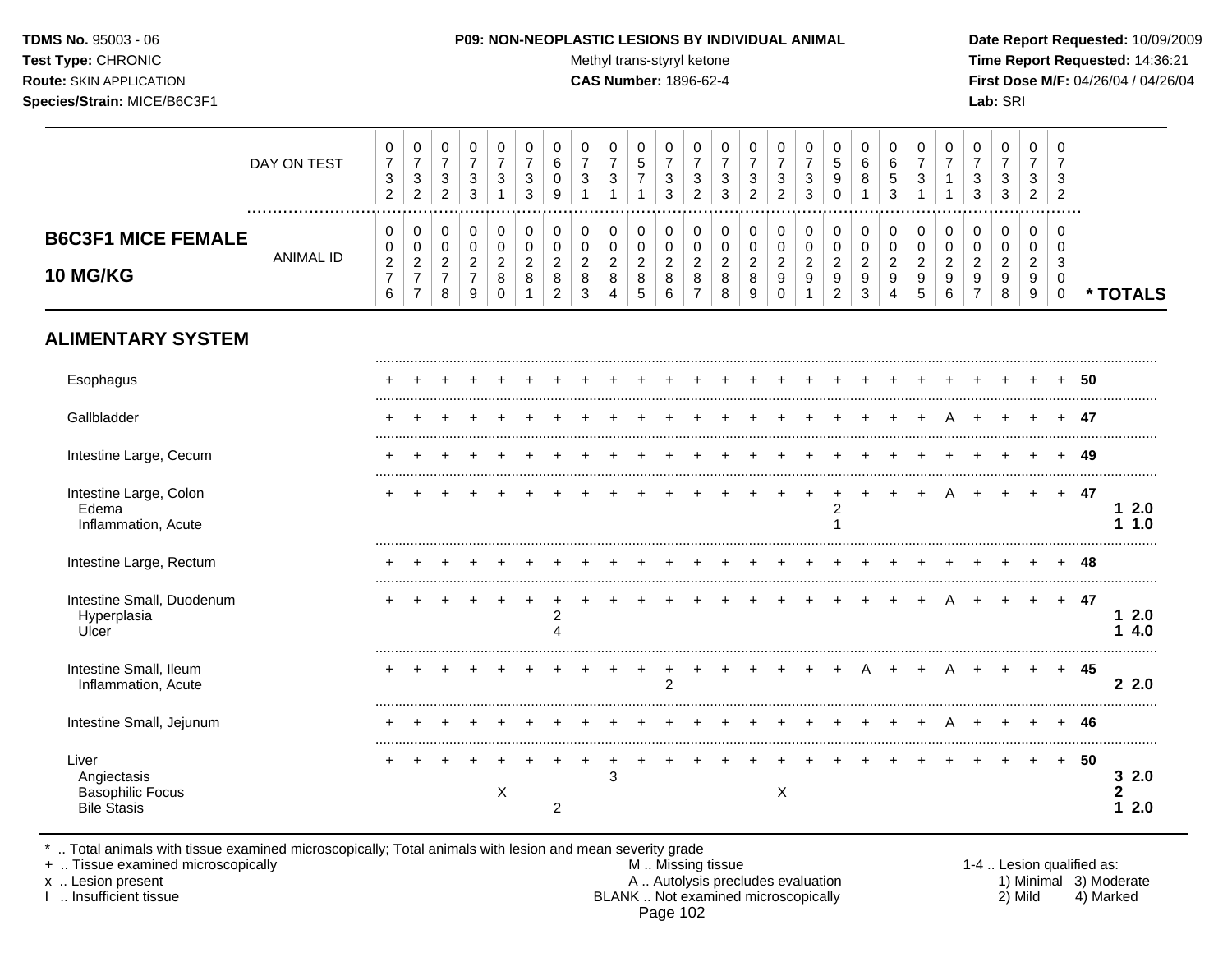#### **TDMS No.** 95003 - 06 **P09: NON-NEOPLASTIC LESIONS BY INDIVIDUAL ANIMAL Date Report Requested:** 10/09/2009

 $\top$ Τ  $\overline{\phantom{0}}$ Τ  $\overline{\phantom{a}}$ 

 $\top$  $\overline{\phantom{a}}$   $\top$ 

 $\top$  $\top$  $\overline{\phantom{a}}$  $\top$  $\Box$ 

Test Type: CHRONIC **Test Type:** CHRONIC **Test Type:** CHRONIC **Time Report Requested:** 14:36:21 **Route:** SKIN APPLICATION **CAS Number:** 1896-62-4 **First Dose M/F:** 04/26/04 / 04/26/04

|                                                                       | DAY ON TEST      | 0<br>$\overline{7}$<br>3<br>$\overline{c}$  | $\pmb{0}$<br>$\overline{7}$<br>$\mathsf 3$<br>$\overline{2}$               | $\pmb{0}$<br>$\overline{\mathbf{7}}$<br>$\mathsf 3$<br>$\overline{2}$ | $\pmb{0}$<br>$\overline{7}$<br>$\mathbf{3}$<br>3          | 0<br>$\overline{7}$<br>3                            | 0<br>$\overline{7}$<br>3<br>3           | 0<br>$\,6$<br>$\mathbf 0$<br>9                               | $\pmb{0}$<br>$\overline{7}$<br>$\mathbf{3}$      | 0<br>$\overline{7}$<br>$\mathbf{3}$<br>$\mathbf{1}$ | 0<br>$\sqrt{5}$<br>$\overline{7}$<br>$\mathbf{1}$             | $\mathbf 0$<br>$\overline{7}$<br>$\mathbf{3}$<br>3       | $\pmb{0}$<br>$\overline{7}$<br>3<br>$\overline{2}$                  | 0<br>$\overline{7}$<br>3<br>3              | $\mathbf 0$<br>$\overline{7}$<br>3<br>$\overline{2}$ | $\,0\,$<br>$\overline{7}$<br>$\ensuremath{\mathsf{3}}$<br>$\overline{2}$ | 0<br>$\overline{7}$<br>$\mathbf{3}$<br>3                                    | $\boldsymbol{0}$<br>$\overline{5}$<br>9<br>$\Omega$            | 0<br>$\,6\,$<br>8<br>$\overline{1}$              | $\pmb{0}$<br>6<br>5<br>3                                  | 0<br>$\overline{7}$<br>3                       | 0<br>$\overline{7}$<br>1                     | $\mathbf 0$<br>$\overline{7}$<br>3<br>3 | 0<br>$\overline{7}$<br>3<br>3                | 0<br>$\overline{7}$<br>3<br>$\overline{2}$ | $\mathbf 0$<br>$\overline{7}$<br>3<br>$\overline{2}$ |      |        |              |
|-----------------------------------------------------------------------|------------------|---------------------------------------------|----------------------------------------------------------------------------|-----------------------------------------------------------------------|-----------------------------------------------------------|-----------------------------------------------------|-----------------------------------------|--------------------------------------------------------------|--------------------------------------------------|-----------------------------------------------------|---------------------------------------------------------------|----------------------------------------------------------|---------------------------------------------------------------------|--------------------------------------------|------------------------------------------------------|--------------------------------------------------------------------------|-----------------------------------------------------------------------------|----------------------------------------------------------------|--------------------------------------------------|-----------------------------------------------------------|------------------------------------------------|----------------------------------------------|-----------------------------------------|----------------------------------------------|--------------------------------------------|------------------------------------------------------|------|--------|--------------|
| <b>B6C3F1 MICE FEMALE</b><br><b>10 MG/KG</b>                          | <b>ANIMAL ID</b> | 0<br>0<br>$\sqrt{2}$<br>$\overline{7}$<br>6 | $\mathbf 0$<br>$\pmb{0}$<br>$\sqrt{2}$<br>$\overline{7}$<br>$\overline{7}$ | $\pmb{0}$<br>$\pmb{0}$<br>$\overline{2}$<br>$\overline{7}$<br>8       | 0<br>$\pmb{0}$<br>$\boldsymbol{2}$<br>$\overline{7}$<br>9 | 0<br>$\mathbf 0$<br>$\overline{2}$<br>8<br>$\Omega$ | 0<br>$\mathbf 0$<br>$\overline{2}$<br>8 | 0<br>$\pmb{0}$<br>$\overline{2}$<br>$\, 8$<br>$\overline{2}$ | 0<br>$\pmb{0}$<br>$\overline{2}$<br>$\bf 8$<br>3 | 0<br>0<br>$\mathbf{2}$<br>$\bf8$<br>$\overline{4}$  | 0<br>$\pmb{0}$<br>$\overline{a}$<br>$\bf 8$<br>$\overline{5}$ | $\mathbf 0$<br>$\mathbf 0$<br>$\sqrt{2}$<br>$\,8\,$<br>6 | $\mathbf 0$<br>$\mathbf 0$<br>$\overline{c}$<br>8<br>$\overline{7}$ | 0<br>0<br>$\boldsymbol{2}$<br>$\bf 8$<br>8 | 0<br>$\mathbf 0$<br>$\overline{2}$<br>8<br>9         | 0<br>$\pmb{0}$<br>$\overline{2}$<br>$\boldsymbol{9}$<br>$\Omega$         | 0<br>$\boldsymbol{0}$<br>$\overline{2}$<br>$\boldsymbol{9}$<br>$\mathbf{1}$ | 0<br>0<br>$\overline{a}$<br>$\boldsymbol{9}$<br>$\overline{c}$ | $\mathbf 0$<br>$\pmb{0}$<br>$\sqrt{2}$<br>9<br>3 | 0<br>$\pmb{0}$<br>$\overline{2}$<br>$\boldsymbol{9}$<br>4 | 0<br>$\mathbf 0$<br>$\boldsymbol{2}$<br>9<br>5 | 0<br>$\mathbf 0$<br>$\overline{2}$<br>9<br>6 | 0<br>$\mathbf 0$<br>$\overline{2}$<br>9 | 0<br>$\mathbf 0$<br>$\overline{a}$<br>9<br>8 | 0<br>0<br>$\overline{c}$<br>9<br>9         | 0<br>$\Omega$<br>3<br>0<br>$\mathbf 0$               |      |        | * TOTALS     |
| <b>ALIMENTARY SYSTEM</b>                                              |                  |                                             |                                                                            |                                                                       |                                                           |                                                     |                                         |                                                              |                                                  |                                                     |                                                               |                                                          |                                                                     |                                            |                                                      |                                                                          |                                                                             |                                                                |                                                  |                                                           |                                                |                                              |                                         |                                              |                                            |                                                      |      |        |              |
| Esophagus                                                             |                  |                                             |                                                                            |                                                                       |                                                           |                                                     |                                         |                                                              |                                                  |                                                     |                                                               |                                                          |                                                                     |                                            |                                                      |                                                                          |                                                                             |                                                                |                                                  |                                                           |                                                |                                              |                                         |                                              |                                            |                                                      | 50   |        |              |
| Gallbladder                                                           |                  |                                             |                                                                            |                                                                       |                                                           |                                                     |                                         |                                                              |                                                  |                                                     |                                                               |                                                          |                                                                     |                                            |                                                      |                                                                          |                                                                             |                                                                |                                                  |                                                           |                                                |                                              |                                         |                                              |                                            |                                                      | -47  |        |              |
| Intestine Large, Cecum                                                |                  |                                             |                                                                            |                                                                       |                                                           |                                                     |                                         |                                                              |                                                  |                                                     |                                                               |                                                          |                                                                     |                                            |                                                      |                                                                          |                                                                             |                                                                |                                                  |                                                           |                                                |                                              |                                         |                                              |                                            |                                                      | 49   |        |              |
| Intestine Large, Colon<br>Edema<br>Inflammation, Acute                |                  |                                             |                                                                            |                                                                       |                                                           |                                                     |                                         |                                                              |                                                  |                                                     |                                                               |                                                          |                                                                     |                                            |                                                      |                                                                          |                                                                             | $\overline{c}$                                                 |                                                  |                                                           |                                                |                                              |                                         |                                              | $+$                                        | $+$                                                  | - 47 | 1.     | 12.0<br>1.0  |
| Intestine Large, Rectum                                               |                  |                                             |                                                                            |                                                                       |                                                           |                                                     |                                         |                                                              |                                                  |                                                     |                                                               |                                                          |                                                                     |                                            |                                                      |                                                                          |                                                                             |                                                                |                                                  |                                                           |                                                |                                              |                                         |                                              |                                            |                                                      | 48   |        |              |
| Intestine Small, Duodenum<br>Hyperplasia<br>Ulcer                     |                  |                                             |                                                                            |                                                                       |                                                           |                                                     |                                         | 2<br>Δ                                                       |                                                  |                                                     |                                                               |                                                          |                                                                     |                                            |                                                      |                                                                          |                                                                             |                                                                |                                                  |                                                           |                                                |                                              |                                         |                                              | $+$                                        | $+$                                                  | - 47 |        | 12.0<br>14.0 |
| Intestine Small, Ileum<br>Inflammation, Acute                         |                  |                                             |                                                                            |                                                                       |                                                           |                                                     |                                         |                                                              |                                                  |                                                     | $\ddot{}$                                                     | $\ddot{}$<br>$\overline{2}$                              |                                                                     |                                            |                                                      |                                                                          |                                                                             | $\ddot{}$                                                      | A                                                | $\ddot{}$                                                 |                                                |                                              |                                         |                                              | $\pm$                                      | $+$                                                  | 45   |        | 22.0         |
| Intestine Small, Jejunum                                              |                  |                                             |                                                                            |                                                                       |                                                           |                                                     |                                         |                                                              |                                                  |                                                     |                                                               |                                                          |                                                                     |                                            |                                                      |                                                                          |                                                                             |                                                                |                                                  |                                                           |                                                |                                              |                                         |                                              |                                            |                                                      | 46   |        |              |
| Liver<br>Angiectasis<br><b>Basophilic Focus</b><br><b>Bile Stasis</b> |                  |                                             |                                                                            |                                                                       |                                                           | X                                                   |                                         | 2                                                            |                                                  | $\ddot{}$<br>3                                      |                                                               |                                                          |                                                                     |                                            |                                                      | X                                                                        |                                                                             |                                                                |                                                  |                                                           |                                                |                                              |                                         |                                              |                                            |                                                      | 50   | 2<br>1 | 32.0<br>2.0  |

\* .. Total animals with tissue examined microscopically; Total animals with lesion and mean severity grade

 $\overline{\phantom{a}}$ 

 $\top$  $\overline{\phantom{a}}$ 

+ .. Tissue examined microscopically M .. Missing tissue 1-4 .. Lesion qualified as: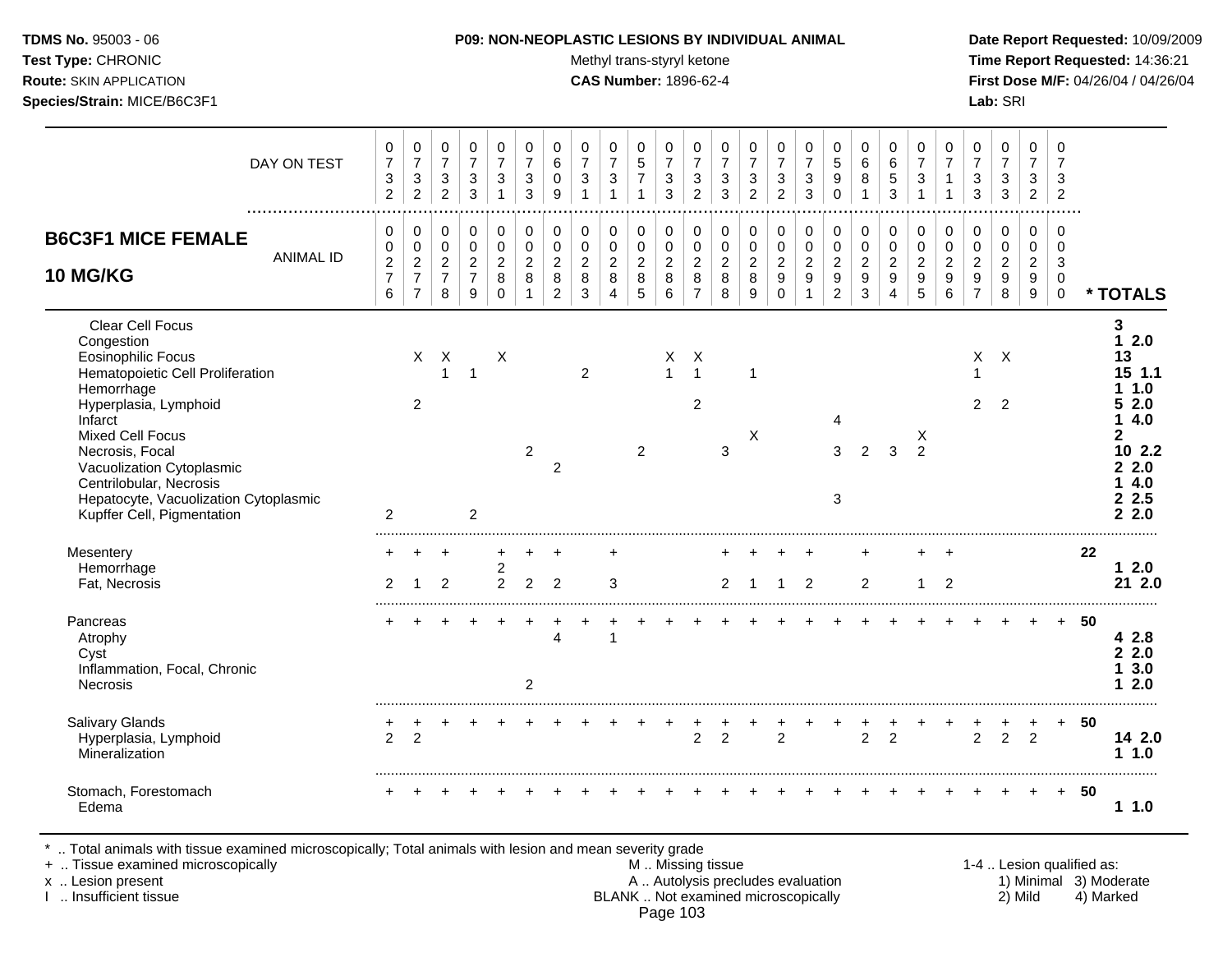Test Type: CHRONIC **Test Type:** CHRONIC **Test Type:** CHRONIC **Time Report Requested:** 14:36:21 **Route:** SKIN APPLICATION **CAS Number:** 1896-62-4 **First Dose M/F:** 04/26/04 / 04/26/04 **Species/Strain:** MICE/B6C3F1 **Lab:** SRI

| DAY ON TEST                                                                                                                                                                                                                                                                                                                    | 0<br>$\overline{7}$<br>$\sqrt{3}$<br>$\overline{2}$ | $\pmb{0}$<br>$\overline{7}$<br>$\sqrt{3}$<br>$\overline{c}$            | $\mathbf 0$<br>$\overline{7}$<br>$\sqrt{3}$<br>$\overline{2}$ | 0<br>$\overline{7}$<br>$\mathbf{3}$<br>3                        | 0<br>$\overline{7}$<br>$\mathbf{3}$<br>$\mathbf{1}$ | 0<br>$\overline{7}$<br>$\sqrt{3}$<br>3                          | 0<br>6<br>$\mathsf 0$<br>9                                        | 0<br>$\overline{7}$<br>$\sqrt{3}$<br>-1                   | 0<br>$\overline{7}$<br>$\sqrt{3}$<br>$\mathbf{1}$               | $\mathbf 0$<br>$\sqrt{5}$<br>$\overline{7}$<br>$\mathbf 1$ | 0<br>$\overline{7}$<br>$\mathbf{3}$<br>3                        | 0<br>$\overline{7}$<br>$\sqrt{3}$<br>$\overline{2}$       | $\pmb{0}$<br>$\overline{7}$<br>$\sqrt{3}$<br>3         | 0<br>$\overline{7}$<br>$\mathbf{3}$<br>$\overline{2}$ | $\mathbf 0$<br>$\overline{7}$<br>$\ensuremath{\mathsf{3}}$<br>$\overline{2}$ | $\pmb{0}$<br>$\overline{7}$<br>$\mathsf 3$<br>3             | $\,0\,$<br>5<br>9<br>$\mathbf 0$                                               | $\mathbf 0$<br>$\,6\,$<br>$\bf 8$<br>$\mathbf{1}$ | 0<br>$\,6\,$<br>$\sqrt{5}$<br>3                              | 0<br>$\overline{7}$<br>$\sqrt{3}$                                   | 0<br>$\overline{7}$<br>$\mathbf{1}$                                       | $\pmb{0}$<br>$\overline{7}$<br>$\mathbf{3}$<br>3                             | $\pmb{0}$<br>$\overline{7}$<br>$\sqrt{3}$<br>$\mathbf{3}$               | 0<br>$\overline{7}$<br>$\mathbf{3}$<br>$\overline{2}$                 | $\mathbf 0$<br>$\overline{7}$<br>$\mathbf{3}$<br>$\overline{2}$ |     |                                                                                                 |
|--------------------------------------------------------------------------------------------------------------------------------------------------------------------------------------------------------------------------------------------------------------------------------------------------------------------------------|-----------------------------------------------------|------------------------------------------------------------------------|---------------------------------------------------------------|-----------------------------------------------------------------|-----------------------------------------------------|-----------------------------------------------------------------|-------------------------------------------------------------------|-----------------------------------------------------------|-----------------------------------------------------------------|------------------------------------------------------------|-----------------------------------------------------------------|-----------------------------------------------------------|--------------------------------------------------------|-------------------------------------------------------|------------------------------------------------------------------------------|-------------------------------------------------------------|--------------------------------------------------------------------------------|---------------------------------------------------|--------------------------------------------------------------|---------------------------------------------------------------------|---------------------------------------------------------------------------|------------------------------------------------------------------------------|-------------------------------------------------------------------------|-----------------------------------------------------------------------|-----------------------------------------------------------------|-----|-------------------------------------------------------------------------------------------------|
| <b>B6C3F1 MICE FEMALE</b><br><b>ANIMAL ID</b><br><b>10 MG/KG</b>                                                                                                                                                                                                                                                               | $\mathbf 0$<br>$\pmb{0}$<br>$\frac{2}{7}$<br>6      | $\mathbf 0$<br>0<br>$\overline{c}$<br>$\overline{7}$<br>$\overline{7}$ | $\mathbf 0$<br>$\pmb{0}$<br>$\sqrt{2}$<br>$\overline{7}$<br>8 | $\mathbf 0$<br>$\mathbf 0$<br>$\sqrt{2}$<br>$\overline{7}$<br>9 | 0<br>$\pmb{0}$<br>$\overline{c}$<br>8<br>$\Omega$   | $\pmb{0}$<br>$\pmb{0}$<br>$\overline{c}$<br>8<br>$\overline{1}$ | $\mathsf 0$<br>$\pmb{0}$<br>$\overline{c}$<br>8<br>$\overline{2}$ | 0<br>$\pmb{0}$<br>$\sqrt{2}$<br>$\bf 8$<br>$\mathfrak{Z}$ | $\mathbf 0$<br>$\mathbf 0$<br>$\sqrt{2}$<br>8<br>$\overline{4}$ | $\mathbf 0$<br>$\pmb{0}$<br>$\overline{c}$<br>8<br>5       | $\pmb{0}$<br>$\pmb{0}$<br>$\overline{2}$<br>8<br>$6\phantom{1}$ | 0<br>$\pmb{0}$<br>$\boldsymbol{2}$<br>8<br>$\overline{7}$ | $\mathbf 0$<br>$\pmb{0}$<br>$\sqrt{2}$<br>$\,8\,$<br>8 | 0<br>$\boldsymbol{0}$<br>$\overline{a}$<br>8<br>9     | 0<br>$\pmb{0}$<br>$\sqrt{2}$<br>$\boldsymbol{9}$<br>$\mathbf 0$              | $\mathbf 0$<br>$\pmb{0}$<br>$\sqrt{2}$<br>9<br>$\mathbf{1}$ | $\pmb{0}$<br>$\pmb{0}$<br>$\overline{c}$<br>$\boldsymbol{9}$<br>$\overline{2}$ | $\mathbf 0$<br>$\pmb{0}$<br>$\sqrt{2}$<br>9<br>3  | $\pmb{0}$<br>$\pmb{0}$<br>$\mathbf 2$<br>9<br>$\overline{4}$ | $\mathbf 0$<br>$\pmb{0}$<br>$\overline{c}$<br>$\boldsymbol{9}$<br>5 | 0<br>$\mathbf 0$<br>$\overline{a}$<br>$\boldsymbol{9}$<br>$6\phantom{1}6$ | $\mathbf 0$<br>$\pmb{0}$<br>$\sqrt{2}$<br>$\boldsymbol{9}$<br>$\overline{7}$ | $\mathbf 0$<br>$\mathbf 0$<br>$\boldsymbol{2}$<br>$\boldsymbol{9}$<br>8 | $\mathbf 0$<br>$\mathsf 0$<br>$\sqrt{2}$<br>$\boldsymbol{9}$<br>$9\,$ | $\mathbf 0$<br>$\mathbf 0$<br>3<br>$\mathbf 0$<br>$\mathbf 0$   |     | * TOTALS                                                                                        |
| Clear Cell Focus<br>Congestion<br><b>Eosinophilic Focus</b><br>Hematopoietic Cell Proliferation<br>Hemorrhage<br>Hyperplasia, Lymphoid<br>Infarct<br><b>Mixed Cell Focus</b><br>Necrosis, Focal<br>Vacuolization Cytoplasmic<br>Centrilobular, Necrosis<br>Hepatocyte, Vacuolization Cytoplasmic<br>Kupffer Cell, Pigmentation | $\overline{2}$                                      | $\times$<br>2                                                          | $\boldsymbol{\mathsf{X}}$<br>$\mathbf{1}$                     | $\overline{1}$<br>$\overline{2}$                                | Χ                                                   | $\overline{2}$                                                  | $\overline{2}$                                                    | $\overline{2}$                                            |                                                                 | $\overline{2}$                                             | Х<br>$\mathbf{1}$                                               | Χ<br>$\overline{1}$<br>2                                  | 3                                                      | $\mathbf{1}$<br>X                                     |                                                                              |                                                             | $\overline{4}$<br>3<br>3                                                       | 2                                                 | 3                                                            | X<br>$\overline{2}$                                                 |                                                                           | $\mathsf{X}$<br>2                                                            | $\mathsf{X}$<br>$\overline{2}$                                          |                                                                       |                                                                 |     | 3<br>12.0<br>13<br>15 1.1<br>1.0<br>52.0<br>14.0<br>2<br>10 2.2<br>22.0<br>14.0<br>2.5<br>2.2.0 |
| Mesentery<br>Hemorrhage<br>Fat, Necrosis                                                                                                                                                                                                                                                                                       | $\ddot{}$<br>2                                      | 1                                                                      | $\overline{ }$<br>2                                           |                                                                 | $\ddot{}$<br>$\overline{c}$<br>$\overline{2}$       | 2                                                               | $\ddot{}$<br>$\overline{2}$                                       |                                                           | 3                                                               |                                                            |                                                                 |                                                           | 2                                                      | -1                                                    | $\ddot{}$<br>$\mathbf{1}$                                                    | $\overline{2}$                                              |                                                                                | $\ddot{}$<br>$\overline{2}$                       |                                                              | $+$<br>$\mathbf{1}$                                                 | $\ddot{}$<br>$\overline{2}$                                               |                                                                              |                                                                         |                                                                       |                                                                 | 22  | $12.0$<br>21 2.0                                                                                |
| Pancreas<br>Atrophy<br>Cyst<br>Inflammation, Focal, Chronic<br>Necrosis                                                                                                                                                                                                                                                        |                                                     |                                                                        |                                                               |                                                                 |                                                     | $\overline{2}$                                                  | $\overline{4}$                                                    |                                                           | 1                                                               |                                                            |                                                                 |                                                           |                                                        |                                                       |                                                                              |                                                             |                                                                                |                                                   |                                                              |                                                                     |                                                                           |                                                                              |                                                                         |                                                                       | $+$                                                             | -50 | 4 2.8<br>22.0<br>3.0<br>1.<br>2.0<br>1                                                          |
| <b>Salivary Glands</b><br>Hyperplasia, Lymphoid<br>Mineralization                                                                                                                                                                                                                                                              | $\overline{2}$                                      | $\overline{2}$                                                         |                                                               |                                                                 |                                                     |                                                                 |                                                                   |                                                           |                                                                 |                                                            |                                                                 | $\overline{c}$                                            | $\overline{2}$                                         |                                                       | $\overline{2}$                                                               |                                                             |                                                                                | $\overline{c}$                                    | $\overline{2}$                                               |                                                                     |                                                                           | $\overline{2}$                                                               | $\overline{2}$                                                          | +<br>$\overline{2}$                                                   | $+$                                                             | 50  | 14 2.0<br>1.0                                                                                   |
| Stomach, Forestomach<br>Edema                                                                                                                                                                                                                                                                                                  |                                                     |                                                                        |                                                               |                                                                 |                                                     |                                                                 |                                                                   |                                                           |                                                                 |                                                            |                                                                 |                                                           |                                                        |                                                       |                                                                              |                                                             |                                                                                |                                                   |                                                              |                                                                     |                                                                           |                                                                              |                                                                         | $\pm$                                                                 | $+$                                                             | 50  | 11.0                                                                                            |

\* .. Total animals with tissue examined microscopically; Total animals with lesion and mean severity grade<br>+ .. Tissue examined microscopically

- + .. Tissue examined microscopically <br>  $\begin{array}{ccc}\n & \text{M} \dots \text{Missing tissue} \\
 & \text{M} \dots \text{Missing tissue} \\
 & \text{A} \dots \text{Autolysis precludes evaluation}\n\end{array}$ 1-4 .. Lesion qualified as:<br>
1) Minimal 3) Moderate x .. Lesion present **A .. Autolysis precludes evaluation** A .. Autolysis precludes evaluation 1) Minimal 3) Moderate I .. Insufficient tissue BLANK .. Not examined microscopically 2) Mild 4) Marked Page 103
	-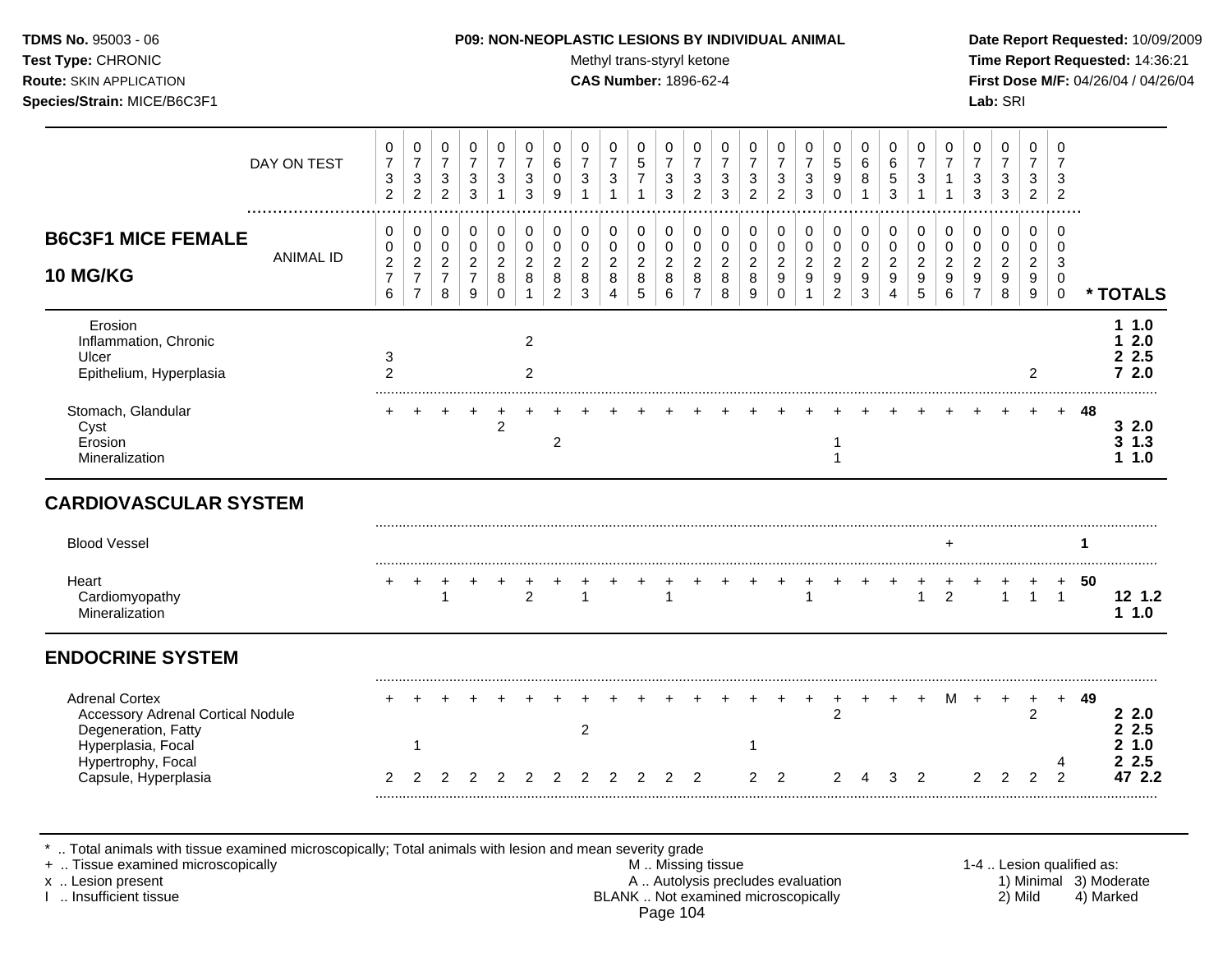Test Type: CHRONIC **Test Type:** CHRONIC **Test Type:** CHRONIC **Time Report Requested:** 14:36:21 **Route:** SKIN APPLICATION **CAS Number:** 1896-62-4 **First Dose M/F:** 04/26/04 / 04/26/04 **Species/Strain:** MICE/B6C3F1 **Lab:** SRI

|                                                                                                                | DAY ON TEST      | 0<br>$\boldsymbol{7}$<br>$\ensuremath{\mathsf{3}}$<br>$\overline{c}$ | 0<br>$\boldsymbol{7}$<br>3<br>$\overline{2}$                 | 0<br>$\boldsymbol{7}$<br>3<br>$\overline{c}$            | 0<br>$\boldsymbol{7}$<br>$\sqrt{3}$<br>$\mathbf{3}$             | 0<br>$\overline{7}$<br>3               | 0<br>$\overline{7}$<br>3<br>3        | 0<br>6<br>0<br>9                                          | 0<br>$\overline{7}$<br>3                     | 0<br>$\overline{7}$<br>3<br>1      | 0<br>$\sqrt{5}$<br>$\overline{7}$<br>$\mathbf{1}$ | 0<br>$\overline{7}$<br>$\sqrt{3}$<br>$\mathbf{3}$      | 0<br>$\overline{7}$<br>3<br>$\overline{2}$      | 0<br>$\overline{7}$<br>3<br>3      | 0<br>$\overline{7}$<br>3<br>$\overline{2}$   | 0<br>$\overline{7}$<br>3<br>$\overline{2}$                           | 0<br>$\overline{7}$<br>3<br>$\mathbf{3}$                     | 0<br>$5\,$<br>9<br>$\Omega$                         | $\mathbf 0$<br>$\,6\,$<br>8<br>$\mathbf{1}$           | 0<br>$\,6$<br>5<br>3                         | 0<br>$\overline{7}$<br>3           | 0<br>$\overline{7}$                       | 0<br>$\overline{7}$<br>3<br>3                             | 0<br>$\overline{7}$<br>3<br>3                | 0<br>$\overline{7}$<br>3<br>$\overline{2}$ | $\Omega$<br>$\overline{7}$<br>3<br>$\overline{2}$       |    |                                |
|----------------------------------------------------------------------------------------------------------------|------------------|----------------------------------------------------------------------|--------------------------------------------------------------|---------------------------------------------------------|-----------------------------------------------------------------|----------------------------------------|--------------------------------------|-----------------------------------------------------------|----------------------------------------------|------------------------------------|---------------------------------------------------|--------------------------------------------------------|-------------------------------------------------|------------------------------------|----------------------------------------------|----------------------------------------------------------------------|--------------------------------------------------------------|-----------------------------------------------------|-------------------------------------------------------|----------------------------------------------|------------------------------------|-------------------------------------------|-----------------------------------------------------------|----------------------------------------------|--------------------------------------------|---------------------------------------------------------|----|--------------------------------|
| <b>B6C3F1 MICE FEMALE</b><br><b>10 MG/KG</b>                                                                   | <b>ANIMAL ID</b> | 0<br>0<br>$\boldsymbol{2}$<br>$\overline{7}$<br>6                    | 0<br>0<br>$\overline{2}$<br>$\overline{7}$<br>$\overline{7}$ | 0<br>$\pmb{0}$<br>$\overline{2}$<br>$\overline{7}$<br>8 | $\mathbf 0$<br>$\mathbf 0$<br>$\sqrt{2}$<br>$\overline{7}$<br>9 | 0<br>$\mathbf 0$<br>2<br>8<br>$\Omega$ | 0<br>$\Omega$<br>$\overline{2}$<br>8 | 0<br>$\mathbf 0$<br>$\overline{c}$<br>8<br>$\overline{2}$ | 0<br>$\mathbf 0$<br>$\overline{c}$<br>8<br>3 | 0<br>0<br>$\overline{2}$<br>8<br>4 | 0<br>0<br>$\overline{a}$<br>8<br>5                | $\mathbf 0$<br>$\mathbf 0$<br>$\overline{2}$<br>8<br>6 | 0<br>0<br>$\overline{2}$<br>8<br>$\overline{7}$ | 0<br>0<br>$\overline{2}$<br>8<br>8 | $\mathbf 0$<br>0<br>$\overline{c}$<br>8<br>9 | 0<br>$\mathbf 0$<br>$\boldsymbol{2}$<br>$\boldsymbol{9}$<br>$\Omega$ | 0<br>0<br>$\overline{2}$<br>$\boldsymbol{9}$<br>$\mathbf{1}$ | 0<br>0<br>$\overline{2}$<br>$9\,$<br>$\overline{2}$ | 0<br>$\mathbf 0$<br>$\sqrt{2}$<br>$\overline{9}$<br>3 | 0<br>$\mathbf 0$<br>$\overline{2}$<br>9<br>4 | 0<br>0<br>$\overline{2}$<br>9<br>5 | $\mathbf 0$<br>$\mathbf 0$<br>2<br>9<br>6 | 0<br>$\mathbf 0$<br>$\overline{c}$<br>9<br>$\overline{7}$ | 0<br>$\mathbf 0$<br>$\overline{2}$<br>9<br>8 | 0<br>0<br>$\overline{2}$<br>9<br>9         | $\Omega$<br>$\Omega$<br>3<br>$\mathbf 0$<br>$\mathbf 0$ |    | * TOTALS                       |
| Erosion<br>Inflammation, Chronic<br>Ulcer<br>Epithelium, Hyperplasia                                           |                  | 3<br>2                                                               |                                                              |                                                         |                                                                 |                                        | $\overline{2}$<br>2                  |                                                           |                                              |                                    |                                                   |                                                        |                                                 |                                    |                                              |                                                                      |                                                              |                                                     |                                                       |                                              |                                    |                                           |                                                           |                                              | $\overline{2}$                             |                                                         |    | 11.0<br>2.0<br>2.5<br>72.0     |
| Stomach, Glandular<br>Cyst<br>Erosion<br>Mineralization                                                        |                  |                                                                      |                                                              |                                                         |                                                                 | $\overline{c}$                         |                                      | $\overline{c}$                                            |                                              |                                    |                                                   |                                                        |                                                 |                                    |                                              |                                                                      |                                                              | -1                                                  |                                                       |                                              |                                    |                                           |                                                           |                                              |                                            |                                                         | 48 | 32.0<br>$3 \t1.3$<br>1.0<br>1. |
| <b>CARDIOVASCULAR SYSTEM</b>                                                                                   |                  |                                                                      |                                                              |                                                         |                                                                 |                                        |                                      |                                                           |                                              |                                    |                                                   |                                                        |                                                 |                                    |                                              |                                                                      |                                                              |                                                     |                                                       |                                              |                                    |                                           |                                                           |                                              |                                            |                                                         |    |                                |
| <b>Blood Vessel</b>                                                                                            |                  |                                                                      |                                                              |                                                         |                                                                 |                                        |                                      |                                                           |                                              |                                    |                                                   |                                                        |                                                 |                                    |                                              |                                                                      |                                                              |                                                     |                                                       |                                              |                                    |                                           |                                                           |                                              |                                            |                                                         | 1  |                                |
| Heart<br>Cardiomyopathy<br>Mineralization                                                                      |                  |                                                                      |                                                              | $\ddot{}$<br>$\mathbf{1}$                               |                                                                 |                                        | $\overline{2}$                       |                                                           | $\mathbf{1}$                                 |                                    | +                                                 | $\mathbf{1}$                                           |                                                 |                                    |                                              |                                                                      | $\mathbf{1}$                                                 |                                                     |                                                       |                                              | 1                                  | $\overline{c}$                            |                                                           | $\mathbf{1}$                                 | $\mathbf{1}$                               | $\ddot{}$<br>$\overline{1}$                             | 50 | 12 1.2<br>11.0                 |
| <b>ENDOCRINE SYSTEM</b>                                                                                        |                  |                                                                      |                                                              |                                                         |                                                                 |                                        |                                      |                                                           |                                              |                                    |                                                   |                                                        |                                                 |                                    |                                              |                                                                      |                                                              |                                                     |                                                       |                                              |                                    |                                           |                                                           |                                              |                                            |                                                         |    |                                |
| <b>Adrenal Cortex</b><br><b>Accessory Adrenal Cortical Nodule</b><br>Degeneration, Fatty<br>Hyperplasia, Focal |                  |                                                                      | 1                                                            |                                                         |                                                                 |                                        |                                      |                                                           | $\overline{c}$                               |                                    |                                                   |                                                        |                                                 |                                    |                                              |                                                                      |                                                              | $\overline{c}$                                      |                                                       |                                              |                                    |                                           |                                                           |                                              | +<br>$\overline{2}$                        | $+$                                                     | 49 | 2.2.0<br>2.5<br>2<br>1.0<br>2  |
| Hypertrophy, Focal<br>Capsule, Hyperplasia                                                                     |                  | 2                                                                    | っ                                                            |                                                         |                                                                 |                                        |                                      |                                                           | 2                                            | っ                                  |                                                   |                                                        | 2                                               |                                    | $\mathcal{P}$                                | $\mathcal{P}$                                                        |                                                              |                                                     |                                                       |                                              | 2                                  |                                           | 2                                                         | $\mathfrak{p}$                               | $\mathcal{P}$                              | 4<br>$\mathcal{P}$                                      |    | 2.5<br>2<br>47 2.2             |
|                                                                                                                |                  |                                                                      |                                                              |                                                         |                                                                 |                                        |                                      |                                                           |                                              |                                    |                                                   |                                                        |                                                 |                                    |                                              |                                                                      |                                                              |                                                     |                                                       |                                              |                                    |                                           |                                                           |                                              |                                            |                                                         |    |                                |

\* .. Total animals with tissue examined microscopically; Total animals with lesion and mean severity grade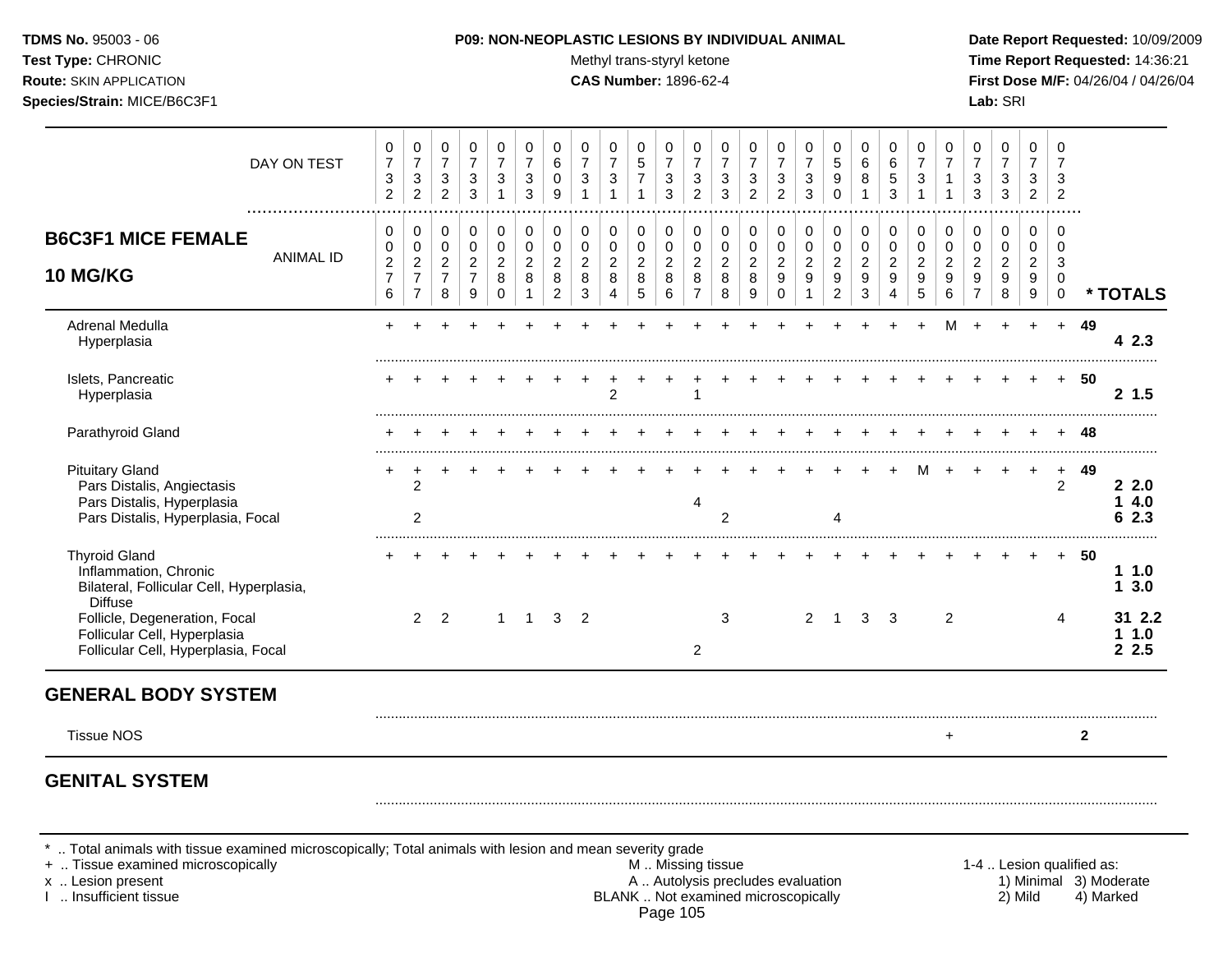Test Type: CHRONIC **Test Type:** CHRONIC **Test Type:** CHRONIC **Time Report Requested:** 14:36:21 **Route:** SKIN APPLICATION **CAS Number:** 1896-62-4 **First Dose M/F:** 04/26/04 / 04/26/04 **Species/Strain:** MICE/B6C3F1 **Lab:** SRI

|                                                                                                                         | DAY ON TEST      | 0<br>$\boldsymbol{7}$<br>$\sqrt{3}$<br>$\overline{2}$ | 0<br>$\boldsymbol{7}$<br>$\mathsf 3$<br>$\overline{2}$                   | $\mathbf 0$<br>$\overline{7}$<br>3<br>$\overline{2}$      | $\Omega$<br>$\overline{7}$<br>3<br>3            | 0<br>$\overline{7}$<br>3                            | 0<br>$\overline{7}$<br>3<br>3         | 0<br>$\,6$<br>0<br>9                            | 0<br>$\overline{7}$<br>$\sqrt{3}$          | 0<br>$\overline{7}$<br>$\ensuremath{\mathsf{3}}$ | $\Omega$<br>$\overline{5}$<br>$\overline{7}$<br>1 | $\Omega$<br>$\overline{7}$<br>3<br>3 | 0<br>$\overline{7}$<br>3<br>$\overline{2}$      | 0<br>$\overline{7}$<br>3<br>3                | 0<br>$\overline{7}$<br>3<br>$\overline{2}$ | 0<br>$\overline{7}$<br>$\sqrt{3}$<br>$\overline{2}$ | $\mathbf 0$<br>$\overline{7}$<br>3<br>3    | $\mathbf 0$<br>$\sqrt{5}$<br>9<br>$\mathbf 0$ | 0<br>6<br>8                                  | 0<br>6<br>5<br>3                   | $\Omega$<br>$\overline{7}$<br>3    | 0<br>$\overline{7}$<br>1                         | 0<br>$\overline{7}$<br>3<br>3                   | 0<br>$\overline{7}$<br>3<br>3      | $\mathbf 0$<br>$\overline{7}$<br>3<br>$\overline{c}$ | $\mathbf 0$<br>$\overline{7}$<br>3<br>$\overline{2}$ |              |                       |
|-------------------------------------------------------------------------------------------------------------------------|------------------|-------------------------------------------------------|--------------------------------------------------------------------------|-----------------------------------------------------------|-------------------------------------------------|-----------------------------------------------------|---------------------------------------|-------------------------------------------------|--------------------------------------------|--------------------------------------------------|---------------------------------------------------|--------------------------------------|-------------------------------------------------|----------------------------------------------|--------------------------------------------|-----------------------------------------------------|--------------------------------------------|-----------------------------------------------|----------------------------------------------|------------------------------------|------------------------------------|--------------------------------------------------|-------------------------------------------------|------------------------------------|------------------------------------------------------|------------------------------------------------------|--------------|-----------------------|
| <b>B6C3F1 MICE FEMALE</b><br><b>10 MG/KG</b>                                                                            | <b>ANIMAL ID</b> | 0<br>0<br>$\sqrt{2}$<br>$\overline{7}$<br>6           | 0<br>$\mathbf 0$<br>$\overline{2}$<br>$\boldsymbol{7}$<br>$\overline{7}$ | 0<br>$\mathbf 0$<br>$\overline{2}$<br>$\overline{7}$<br>8 | 0<br>0<br>$\overline{2}$<br>$\overline{7}$<br>9 | 0<br>$\mathbf 0$<br>$\overline{c}$<br>8<br>$\Omega$ | 0<br>$\pmb{0}$<br>$\overline{2}$<br>8 | 0<br>0<br>$\overline{c}$<br>8<br>$\overline{2}$ | 0<br>$\pmb{0}$<br>$\overline{c}$<br>8<br>3 | 0<br>$\pmb{0}$<br>$\overline{c}$<br>8<br>4       | 0<br>0<br>$\overline{2}$<br>8<br>$\sqrt{5}$       | 0<br>0<br>$\overline{2}$<br>8<br>6   | 0<br>0<br>$\overline{c}$<br>8<br>$\overline{7}$ | 0<br>$\pmb{0}$<br>$\boldsymbol{2}$<br>8<br>8 | 0<br>0<br>$\overline{c}$<br>8<br>9         | 0<br>$\pmb{0}$<br>$\sqrt{2}$<br>9<br>$\Omega$       | 0<br>$\pmb{0}$<br>$\overline{c}$<br>9<br>1 | 0<br>$\pmb{0}$<br>$\overline{2}$<br>9<br>2    | 0<br>$\mathbf 0$<br>$\overline{2}$<br>9<br>3 | 0<br>0<br>$\overline{2}$<br>9<br>4 | 0<br>0<br>$\overline{2}$<br>9<br>5 | 0<br>0<br>$\overline{a}$<br>9<br>$6\phantom{1}6$ | 0<br>0<br>$\overline{c}$<br>9<br>$\overline{7}$ | 0<br>0<br>$\overline{c}$<br>9<br>8 | 0<br>0<br>$\overline{2}$<br>9<br>9                   | 0<br>0<br>3<br>0<br>$\mathbf 0$                      |              | * TOTALS              |
| Adrenal Medulla<br>Hyperplasia                                                                                          |                  |                                                       |                                                                          |                                                           |                                                 |                                                     |                                       |                                                 |                                            |                                                  |                                                   |                                      |                                                 |                                              |                                            |                                                     |                                            |                                               |                                              |                                    |                                    |                                                  |                                                 |                                    |                                                      | $+$                                                  | 49           | 4 2.3                 |
| Islets, Pancreatic<br>Hyperplasia                                                                                       |                  |                                                       |                                                                          |                                                           |                                                 |                                                     |                                       |                                                 |                                            | 2                                                |                                                   |                                      |                                                 |                                              |                                            |                                                     |                                            |                                               |                                              |                                    |                                    |                                                  |                                                 |                                    |                                                      | $+$                                                  | - 50         | 2, 1.5                |
| Parathyroid Gland                                                                                                       |                  |                                                       |                                                                          |                                                           |                                                 |                                                     |                                       |                                                 |                                            |                                                  |                                                   |                                      |                                                 |                                              |                                            |                                                     |                                            |                                               |                                              |                                    |                                    |                                                  |                                                 |                                    |                                                      |                                                      | 48           |                       |
| <b>Pituitary Gland</b><br>Pars Distalis, Angiectasis<br>Pars Distalis, Hyperplasia<br>Pars Distalis, Hyperplasia, Focal |                  | +                                                     | $\overline{2}$<br>2                                                      |                                                           |                                                 |                                                     |                                       |                                                 |                                            |                                                  |                                                   |                                      | $\overline{4}$                                  | $\overline{2}$                               |                                            |                                                     |                                            |                                               |                                              |                                    |                                    |                                                  |                                                 |                                    |                                                      | $\ddot{}$<br>$\overline{2}$                          | 49           | 22.0<br>14.0<br>6 2.3 |
| <b>Thyroid Gland</b><br>Inflammation, Chronic<br>Bilateral, Follicular Cell, Hyperplasia,                               |                  |                                                       |                                                                          |                                                           |                                                 |                                                     |                                       |                                                 |                                            |                                                  |                                                   |                                      |                                                 |                                              |                                            |                                                     |                                            |                                               |                                              |                                    |                                    |                                                  |                                                 |                                    |                                                      | $+$                                                  | 50           | 11.0<br>13.0          |
| <b>Diffuse</b><br>Follicle, Degeneration, Focal<br>Follicular Cell, Hyperplasia<br>Follicular Cell, Hyperplasia, Focal  |                  |                                                       | $\overline{2}$                                                           | $\overline{2}$                                            |                                                 |                                                     | $\overline{1}$                        | $\mathbf{3}$                                    | $\overline{2}$                             |                                                  |                                                   |                                      | 2                                               | 3                                            |                                            |                                                     | 2                                          | -1                                            | 3                                            | 3                                  |                                    | $\overline{2}$                                   |                                                 |                                    |                                                      | 4                                                    |              | 31 2.2<br>11.0<br>2.5 |
| <b>GENERAL BODY SYSTEM</b>                                                                                              |                  |                                                       |                                                                          |                                                           |                                                 |                                                     |                                       |                                                 |                                            |                                                  |                                                   |                                      |                                                 |                                              |                                            |                                                     |                                            |                                               |                                              |                                    |                                    |                                                  |                                                 |                                    |                                                      |                                                      |              |                       |
| <b>Tissue NOS</b>                                                                                                       |                  |                                                       |                                                                          |                                                           |                                                 |                                                     |                                       |                                                 |                                            |                                                  |                                                   |                                      |                                                 |                                              |                                            |                                                     |                                            |                                               |                                              |                                    |                                    | $+$                                              |                                                 |                                    |                                                      |                                                      | $\mathbf{2}$ |                       |
| <b>GENITAL SYSTEM</b>                                                                                                   |                  |                                                       |                                                                          |                                                           |                                                 |                                                     |                                       |                                                 |                                            |                                                  |                                                   |                                      |                                                 |                                              |                                            |                                                     |                                            |                                               |                                              |                                    |                                    |                                                  |                                                 |                                    |                                                      |                                                      |              |                       |

\* .. Total animals with tissue examined microscopically; Total animals with lesion and mean severity grade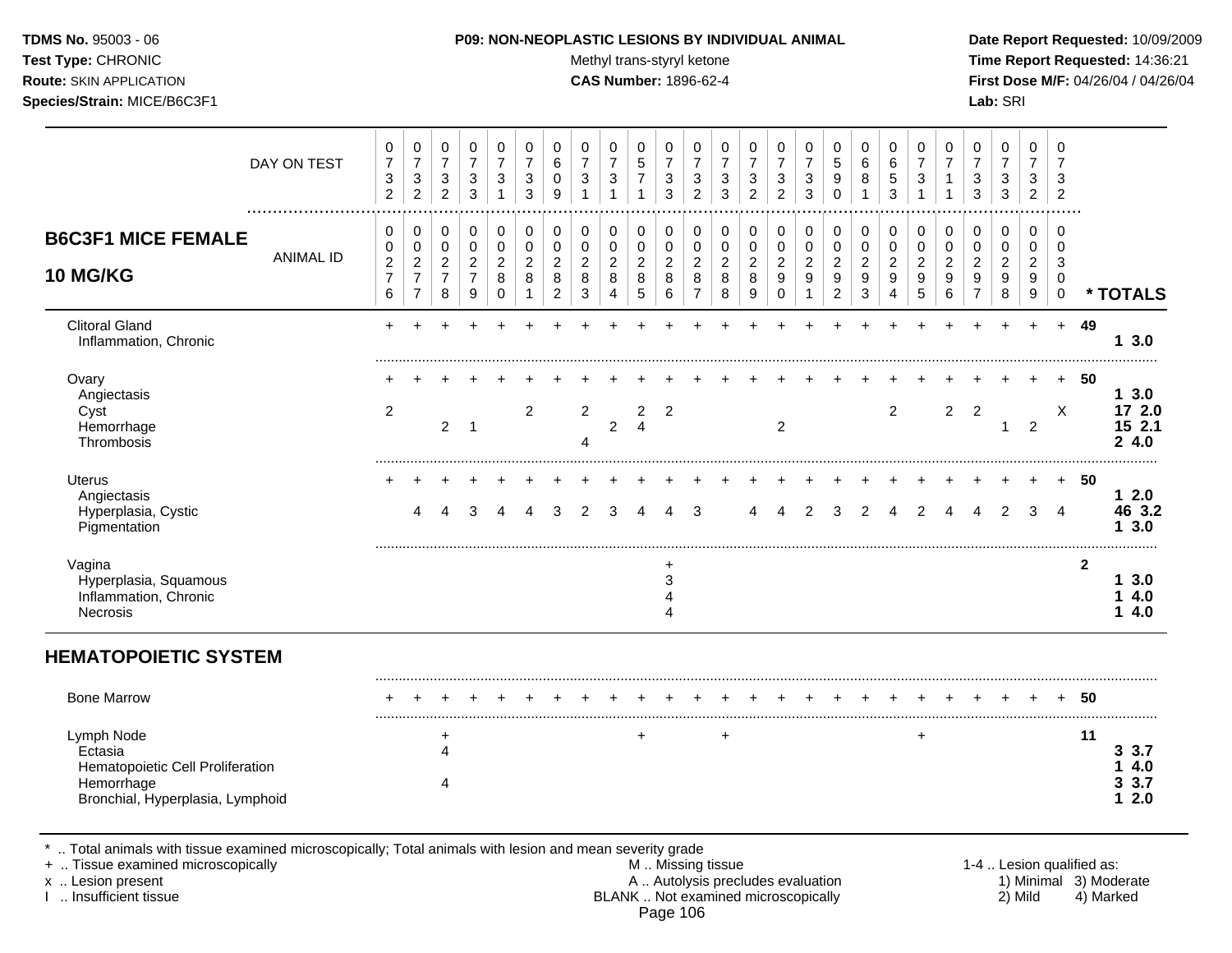Test Type: CHRONIC **Test Type:** CHRONIC **Test Type:** CHRONIC **Time Report Requested:** 14:36:21 **Route:** SKIN APPLICATION **CAS Number:** 1896-62-4 **First Dose M/F:** 04/26/04 / 04/26/04 **Species/Strain:** MICE/B6C3F1 **Lab:** SRI

|                                                                                                                                             | DAY ON TEST      | 0<br>$\boldsymbol{7}$<br>3<br>$\overline{2}$    | $\mathbf 0$<br>$\boldsymbol{7}$<br>$\sqrt{3}$<br>$\overline{2}$        | 0<br>$\boldsymbol{7}$<br>$\sqrt{3}$<br>$\overline{2}$ | $\pmb{0}$<br>$\overline{7}$<br>$\sqrt{3}$<br>$\mathbf{3}$          | 0<br>$\overline{7}$<br>3<br>1                          | 0<br>$\overline{7}$<br>3<br>3                        | 0<br>$\,6\,$<br>$\mathbf 0$<br>9                              | 0<br>$\overline{7}$<br>$\ensuremath{\mathsf{3}}$<br>$\mathbf{1}$ | 0<br>$\boldsymbol{7}$<br>$\ensuremath{\mathsf{3}}$<br>1 | 0<br>$\sqrt{5}$<br>$\boldsymbol{7}$<br>$\mathbf{1}$ | 0<br>$\overline{7}$<br>$\ensuremath{\mathsf{3}}$<br>$\mathbf{3}$ | 0<br>$\overline{7}$<br>3<br>$\overline{2}$          | 0<br>$\overline{7}$<br>3<br>3              | 0<br>$\overline{7}$<br>3<br>$\overline{2}$ | 0<br>$\boldsymbol{7}$<br>$\ensuremath{\mathsf{3}}$<br>$\overline{2}$ | 0<br>$\boldsymbol{7}$<br>$\ensuremath{\mathsf{3}}$<br>$\mathbf{3}$ | $\mathbf 0$<br>$\sqrt{5}$<br>9<br>$\Omega$                           | $\mathbf 0$<br>$\,6$<br>8<br>$\mathbf{1}$                              | 0<br>$\,6$<br>$\sqrt{5}$<br>3              | 0<br>$\overline{7}$<br>$\sqrt{3}$<br>$\mathbf{1}$ | 0<br>$\overline{7}$<br>$\mathbf{1}$<br>1                  | 0<br>$\overline{7}$<br>3<br>3                             | 0<br>$\boldsymbol{7}$<br>$\ensuremath{\mathsf{3}}$<br>3 | $\mathbf 0$<br>$\overline{7}$<br>$\mathbf{3}$<br>$\overline{2}$ | $\,0\,$<br>$\overline{7}$<br>3<br>$\overline{c}$ |                           |                                  |
|---------------------------------------------------------------------------------------------------------------------------------------------|------------------|-------------------------------------------------|------------------------------------------------------------------------|-------------------------------------------------------|--------------------------------------------------------------------|--------------------------------------------------------|------------------------------------------------------|---------------------------------------------------------------|------------------------------------------------------------------|---------------------------------------------------------|-----------------------------------------------------|------------------------------------------------------------------|-----------------------------------------------------|--------------------------------------------|--------------------------------------------|----------------------------------------------------------------------|--------------------------------------------------------------------|----------------------------------------------------------------------|------------------------------------------------------------------------|--------------------------------------------|---------------------------------------------------|-----------------------------------------------------------|-----------------------------------------------------------|---------------------------------------------------------|-----------------------------------------------------------------|--------------------------------------------------|---------------------------|----------------------------------|
| <b>B6C3F1 MICE FEMALE</b><br><b>10 MG/KG</b>                                                                                                | <b>ANIMAL ID</b> | 0<br>0<br>$\overline{c}$<br>$\overline{7}$<br>6 | 0<br>$\pmb{0}$<br>$\boldsymbol{2}$<br>$\overline{7}$<br>$\overline{7}$ | 0<br>0<br>$\overline{c}$<br>$\overline{7}$<br>8       | 0<br>$\pmb{0}$<br>$\sqrt{2}$<br>$\overline{7}$<br>$\boldsymbol{9}$ | 0<br>$\mathbf 0$<br>$\overline{2}$<br>8<br>$\mathbf 0$ | 0<br>$\pmb{0}$<br>$\overline{c}$<br>8<br>$\mathbf 1$ | 0<br>$\pmb{0}$<br>$\overline{c}$<br>$\,8\,$<br>$\overline{c}$ | 0<br>$\mathsf 0$<br>$\overline{2}$<br>$\,8\,$<br>$\sqrt{3}$      | 0<br>0<br>$\overline{2}$<br>$\,8\,$<br>4                | 0<br>$\pmb{0}$<br>$\boldsymbol{2}$<br>8<br>5        | 0<br>$\pmb{0}$<br>$\overline{2}$<br>$\,8\,$<br>$\,6\,$           | 0<br>$\pmb{0}$<br>$\sqrt{2}$<br>8<br>$\overline{7}$ | 0<br>$\pmb{0}$<br>$\overline{2}$<br>8<br>8 | 0<br>0<br>$\sqrt{2}$<br>8<br>9             | 0<br>$\pmb{0}$<br>$\overline{2}$<br>9<br>$\mathbf 0$                 | 0<br>0<br>$\boldsymbol{2}$<br>$\boldsymbol{9}$<br>$\overline{1}$   | 0<br>$\pmb{0}$<br>$\sqrt{2}$<br>$\boldsymbol{9}$<br>$\boldsymbol{2}$ | 0<br>$\mathbf 0$<br>$\boldsymbol{2}$<br>$\boldsymbol{9}$<br>$\sqrt{3}$ | 0<br>$\pmb{0}$<br>$\overline{2}$<br>9<br>4 | 0<br>0<br>$\boldsymbol{2}$<br>9<br>5              | 0<br>$\pmb{0}$<br>$\overline{c}$<br>$\boldsymbol{9}$<br>6 | 0<br>0<br>$\overline{c}$<br>$\mathsf g$<br>$\overline{7}$ | 0<br>0<br>$\boldsymbol{2}$<br>$\boldsymbol{9}$<br>8     | 0<br>0<br>$\overline{2}$<br>9<br>9                              | 0<br>0<br>$\mathbf{3}$<br>$\,0\,$<br>$\pmb{0}$   |                           | * TOTALS                         |
| <b>Clitoral Gland</b><br>Inflammation, Chronic                                                                                              |                  | $\ddot{}$                                       | $\overline{a}$                                                         |                                                       |                                                                    |                                                        |                                                      |                                                               |                                                                  |                                                         |                                                     |                                                                  |                                                     |                                            |                                            |                                                                      |                                                                    |                                                                      |                                                                        |                                            |                                                   |                                                           |                                                           |                                                         |                                                                 | $+$                                              | 49                        | 13.0                             |
| Ovary<br>Angiectasis<br>Cyst<br>Hemorrhage<br>Thrombosis                                                                                    |                  | $\overline{2}$                                  |                                                                        | 2                                                     | $\overline{1}$                                                     |                                                        | $\overline{2}$                                       |                                                               | $\overline{2}$<br>4                                              | $\overline{2}$                                          | $\overline{2}$<br>$\overline{4}$                    | $\overline{2}$                                                   |                                                     |                                            |                                            | $\overline{2}$                                                       |                                                                    |                                                                      |                                                                        | $\overline{2}$                             |                                                   | $\overline{2}$                                            | $\overline{2}$                                            | 1                                                       | $\overline{2}$                                                  | X                                                | 50                        | 13.0<br>17 2.0<br>15 2.1<br>24.0 |
| <b>Uterus</b><br>Angiectasis<br>Hyperplasia, Cystic<br>Pigmentation                                                                         |                  |                                                 | 4                                                                      |                                                       | 3                                                                  | Δ                                                      | Δ                                                    | 3                                                             | $\overline{2}$                                                   | 3                                                       |                                                     | 4                                                                | 3                                                   |                                            | Δ                                          | 4                                                                    | 2                                                                  | 3                                                                    | 2                                                                      | 4                                          | 2                                                 | 4                                                         | 4                                                         | 2                                                       | 3                                                               | $\overline{4}$                                   | 50                        | 12.0<br>46 3.2<br>13.0           |
| Vagina<br>Hyperplasia, Squamous<br>Inflammation, Chronic<br>Necrosis                                                                        |                  |                                                 |                                                                        |                                                       |                                                                    |                                                        |                                                      |                                                               |                                                                  |                                                         |                                                     | $\ddot{}$<br>3<br>4<br>Δ                                         |                                                     |                                            |                                            |                                                                      |                                                                    |                                                                      |                                                                        |                                            |                                                   |                                                           |                                                           |                                                         |                                                                 |                                                  | $\mathbf{2}$              | 13.0<br>4.0<br>1<br>14.0         |
| <b>HEMATOPOIETIC SYSTEM</b>                                                                                                                 |                  |                                                 |                                                                        |                                                       |                                                                    |                                                        |                                                      |                                                               |                                                                  |                                                         |                                                     |                                                                  |                                                     |                                            |                                            |                                                                      |                                                                    |                                                                      |                                                                        |                                            |                                                   |                                                           |                                                           |                                                         |                                                                 |                                                  |                           |                                  |
| <b>Bone Marrow</b>                                                                                                                          |                  |                                                 |                                                                        |                                                       |                                                                    |                                                        |                                                      |                                                               |                                                                  |                                                         |                                                     |                                                                  |                                                     |                                            |                                            |                                                                      |                                                                    |                                                                      |                                                                        |                                            |                                                   |                                                           |                                                           |                                                         |                                                                 |                                                  | 50                        |                                  |
| Lymph Node<br>Ectasia<br>Hematopoietic Cell Proliferation<br>Hemorrhage<br>Bronchial, Hyperplasia, Lymphoid                                 |                  |                                                 |                                                                        | +<br>4<br>4                                           |                                                                    |                                                        |                                                      |                                                               |                                                                  |                                                         |                                                     |                                                                  |                                                     | $\ddot{}$                                  |                                            |                                                                      |                                                                    |                                                                      |                                                                        |                                            | +                                                 |                                                           |                                                           |                                                         |                                                                 |                                                  | 11                        | 3.3.7<br>4.0<br>3.3.7<br>12.0    |
| Total animals with tissue examined microscopically; Total animals with lesion and mean severity grade<br>+  Tissue examined microscopically |                  |                                                 |                                                                        |                                                       |                                                                    |                                                        |                                                      |                                                               |                                                                  |                                                         |                                                     |                                                                  | M  Missing tissue                                   |                                            |                                            |                                                                      |                                                                    |                                                                      |                                                                        |                                            |                                                   |                                                           |                                                           |                                                         |                                                                 |                                                  | 1-4  Lesion qualified as: |                                  |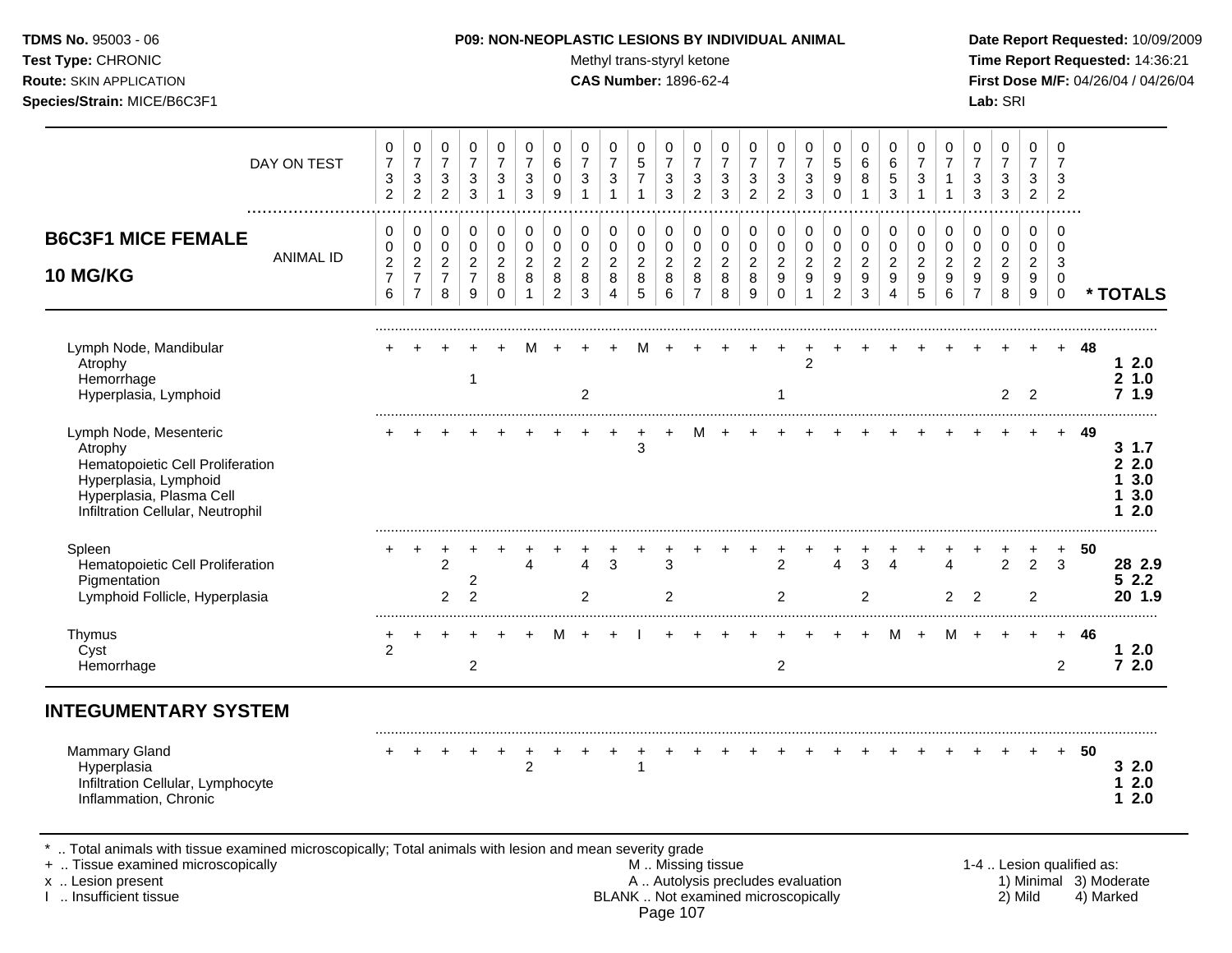**Test Type:** CHRONIC **The Report Requested:** 14:36:21 **Route:** SKIN APPLICATION **CAS Number:** 1896-62-4 **First Dose M/F:** 04/26/04 / 04/26/04 **Species/Strain:** MICE/B6C3F1 **Lab:** SRI

| DAY ON TEST                                                                                                                                                     | 0<br>$\overline{7}$<br>3<br>$\overline{2}$              | 0<br>$\overline{7}$<br>3<br>$\overline{2}$                             | 0<br>$\overline{7}$<br>3<br>$\overline{2}$              | 0<br>$\overline{7}$<br>$\mathbf{3}$<br>$\mathbf{3}$ | 0<br>$\overline{7}$<br>3<br>$\mathbf{1}$          | $\mathbf 0$<br>$\overline{7}$<br>3<br>3              | 0<br>6<br>0<br>9                             | 0<br>$\overline{7}$<br>3                     | 0<br>$\overline{7}$<br>3<br>$\mathbf{1}$   | 0<br>5<br>$\overline{7}$<br>$\mathbf{1}$ | 0<br>$\overline{7}$<br>$\sqrt{3}$<br>$\mathbf{3}$ | 0<br>$\overline{7}$<br>3<br>$\overline{2}$                | 0<br>$\overline{7}$<br>3<br>$\mathbf{3}$     | 0<br>$\overline{7}$<br>3<br>$\overline{2}$ | 0<br>$\overline{7}$<br>3<br>$\overline{2}$        | 0<br>$\overline{7}$<br>$\sqrt{3}$<br>$\mathbf{3}$ | $\mathbf 0$<br>5<br>9<br>$\Omega$                       | $\mathbf 0$<br>6<br>8<br>$\mathbf{1}$      | $\mathbf 0$<br>6<br>5<br>3               | 0<br>$\overline{7}$<br>3<br>$\mathbf{1}$   | $\Omega$<br>$\overline{7}$<br>1<br>$\mathbf{1}$ | 0<br>$\overline{7}$<br>3<br>3                                          | $\mathbf 0$<br>$\overline{7}$<br>3<br>3    | $\mathbf 0$<br>$\overline{7}$<br>3<br>$\overline{2}$        | 0<br>$\overline{7}$<br>3<br>$\overline{c}$ |                           |                                        |
|-----------------------------------------------------------------------------------------------------------------------------------------------------------------|---------------------------------------------------------|------------------------------------------------------------------------|---------------------------------------------------------|-----------------------------------------------------|---------------------------------------------------|------------------------------------------------------|----------------------------------------------|----------------------------------------------|--------------------------------------------|------------------------------------------|---------------------------------------------------|-----------------------------------------------------------|----------------------------------------------|--------------------------------------------|---------------------------------------------------|---------------------------------------------------|---------------------------------------------------------|--------------------------------------------|------------------------------------------|--------------------------------------------|-------------------------------------------------|------------------------------------------------------------------------|--------------------------------------------|-------------------------------------------------------------|--------------------------------------------|---------------------------|----------------------------------------|
| <b>B6C3F1 MICE FEMALE</b><br><b>ANIMAL ID</b><br>10 MG/KG                                                                                                       | 0<br>$\pmb{0}$<br>$\overline{c}$<br>$\overline{7}$<br>6 | 0<br>$\pmb{0}$<br>$\boldsymbol{2}$<br>$\overline{7}$<br>$\overline{7}$ | 0<br>$\pmb{0}$<br>$\overline{c}$<br>$\overline{7}$<br>8 | 0<br>$\pmb{0}$<br>$\sqrt{2}$<br>$\overline{7}$<br>9 | 0<br>$\pmb{0}$<br>$\overline{2}$<br>8<br>$\Omega$ | 0<br>$\pmb{0}$<br>$\overline{2}$<br>8<br>$\mathbf 1$ | 0<br>$\pmb{0}$<br>$\boldsymbol{2}$<br>8<br>2 | 0<br>$\pmb{0}$<br>$\boldsymbol{2}$<br>8<br>3 | 0<br>$\pmb{0}$<br>$\overline{c}$<br>8<br>4 | 0<br>0<br>$\overline{a}$<br>8<br>5       | 0<br>$\mathbf 0$<br>$\overline{c}$<br>8<br>6      | 0<br>$\pmb{0}$<br>$\boldsymbol{2}$<br>8<br>$\overline{7}$ | 0<br>$\pmb{0}$<br>$\boldsymbol{2}$<br>8<br>8 | 0<br>$\pmb{0}$<br>$\sqrt{2}$<br>8<br>9     | 0<br>$\pmb{0}$<br>$\overline{a}$<br>9<br>$\Omega$ | 0<br>$\pmb{0}$<br>$\sqrt{2}$<br>9<br>$\mathbf{1}$ | 0<br>$\pmb{0}$<br>$\overline{2}$<br>9<br>$\overline{2}$ | 0<br>$\pmb{0}$<br>$\overline{2}$<br>9<br>3 | 0<br>$\mathbf 0$<br>$\sqrt{2}$<br>9<br>4 | 0<br>$\pmb{0}$<br>$\overline{2}$<br>9<br>5 | 0<br>0<br>$\sqrt{2}$<br>9<br>6                  | 0<br>$\pmb{0}$<br>$\overline{c}$<br>$\boldsymbol{9}$<br>$\overline{7}$ | 0<br>$\pmb{0}$<br>$\overline{2}$<br>9<br>8 | 0<br>$\mathsf 0$<br>$\overline{2}$<br>9<br>$\boldsymbol{9}$ | 0<br>$\mathbf 0$<br>3<br>0<br>$\mathbf 0$  |                           | * TOTALS                               |
| Lymph Node, Mandibular<br>Atrophy<br>Hemorrhage<br>Hyperplasia, Lymphoid                                                                                        |                                                         |                                                                        |                                                         | $\overline{1}$                                      |                                                   |                                                      |                                              | 2                                            |                                            |                                          |                                                   |                                                           |                                              |                                            | 1                                                 | $\overline{2}$                                    |                                                         |                                            |                                          |                                            |                                                 |                                                                        | $\overline{2}$                             | 2                                                           |                                            | 48                        | 12.0<br>21.0<br>71.9                   |
| Lymph Node, Mesenteric<br>Atrophy<br>Hematopoietic Cell Proliferation<br>Hyperplasia, Lymphoid<br>Hyperplasia, Plasma Cell<br>Infiltration Cellular, Neutrophil |                                                         |                                                                        |                                                         |                                                     |                                                   |                                                      |                                              |                                              |                                            | 3                                        |                                                   |                                                           |                                              |                                            |                                                   |                                                   |                                                         |                                            |                                          |                                            |                                                 |                                                                        |                                            |                                                             |                                            | 49                        | 31.7<br>22.0<br>3.0<br>3.0<br>2.0<br>1 |
| Spleen<br>Hematopoietic Cell Proliferation<br>Pigmentation<br>Lymphoid Follicle, Hyperplasia                                                                    |                                                         |                                                                        | $\overline{2}$<br>$\overline{2}$                        | 2<br>$\overline{2}$                                 |                                                   | 4                                                    |                                              | $\boldsymbol{\Lambda}$<br>$\overline{2}$     | 3                                          |                                          | 3<br>$\overline{2}$                               |                                                           |                                              |                                            | 2<br>$\overline{2}$                               |                                                   | $\Delta$                                                | 3<br>$\overline{2}$                        | $\lambda$                                |                                            | Λ<br>$\overline{2}$                             | $\overline{2}$                                                         | $\overline{2}$                             | $\overline{2}$<br>$\overline{2}$                            | 3                                          | 50                        | 28 2.9<br>$52.2$<br>20 1.9             |
| Thymus<br>Cyst<br>Hemorrhage                                                                                                                                    | $\overline{2}$                                          |                                                                        |                                                         | $\overline{2}$                                      |                                                   |                                                      |                                              |                                              |                                            |                                          |                                                   |                                                           |                                              |                                            | $\overline{2}$                                    |                                                   |                                                         |                                            | м                                        |                                            | м                                               |                                                                        |                                            |                                                             | $+$<br>2                                   | 46                        | 12.0<br>72.0                           |
| <b>INTEGUMENTARY SYSTEM</b>                                                                                                                                     |                                                         |                                                                        |                                                         |                                                     |                                                   |                                                      |                                              |                                              |                                            |                                          |                                                   |                                                           |                                              |                                            |                                                   |                                                   |                                                         |                                            |                                          |                                            |                                                 |                                                                        |                                            |                                                             |                                            |                           |                                        |
| <b>Mammary Gland</b><br>Hyperplasia<br>Infiltration Cellular, Lymphocyte<br>Inflammation, Chronic                                                               |                                                         |                                                                        |                                                         |                                                     |                                                   | $\overline{2}$                                       |                                              |                                              |                                            | 1                                        |                                                   |                                                           |                                              |                                            |                                                   |                                                   |                                                         |                                            |                                          |                                            |                                                 |                                                                        |                                            |                                                             | $\ddot{}$                                  | 50                        | 32.0<br>12.0<br>2.0<br>1.              |
| Total animals with tissue examined microscopically; Total animals with lesion and mean severity grade<br>+  Tissue examined microscopically                     |                                                         |                                                                        |                                                         |                                                     |                                                   |                                                      |                                              |                                              |                                            | M  Missing tissue                        |                                                   |                                                           |                                              |                                            |                                                   |                                                   |                                                         |                                            |                                          |                                            |                                                 |                                                                        |                                            |                                                             |                                            | 1-4  Lesion qualified as: |                                        |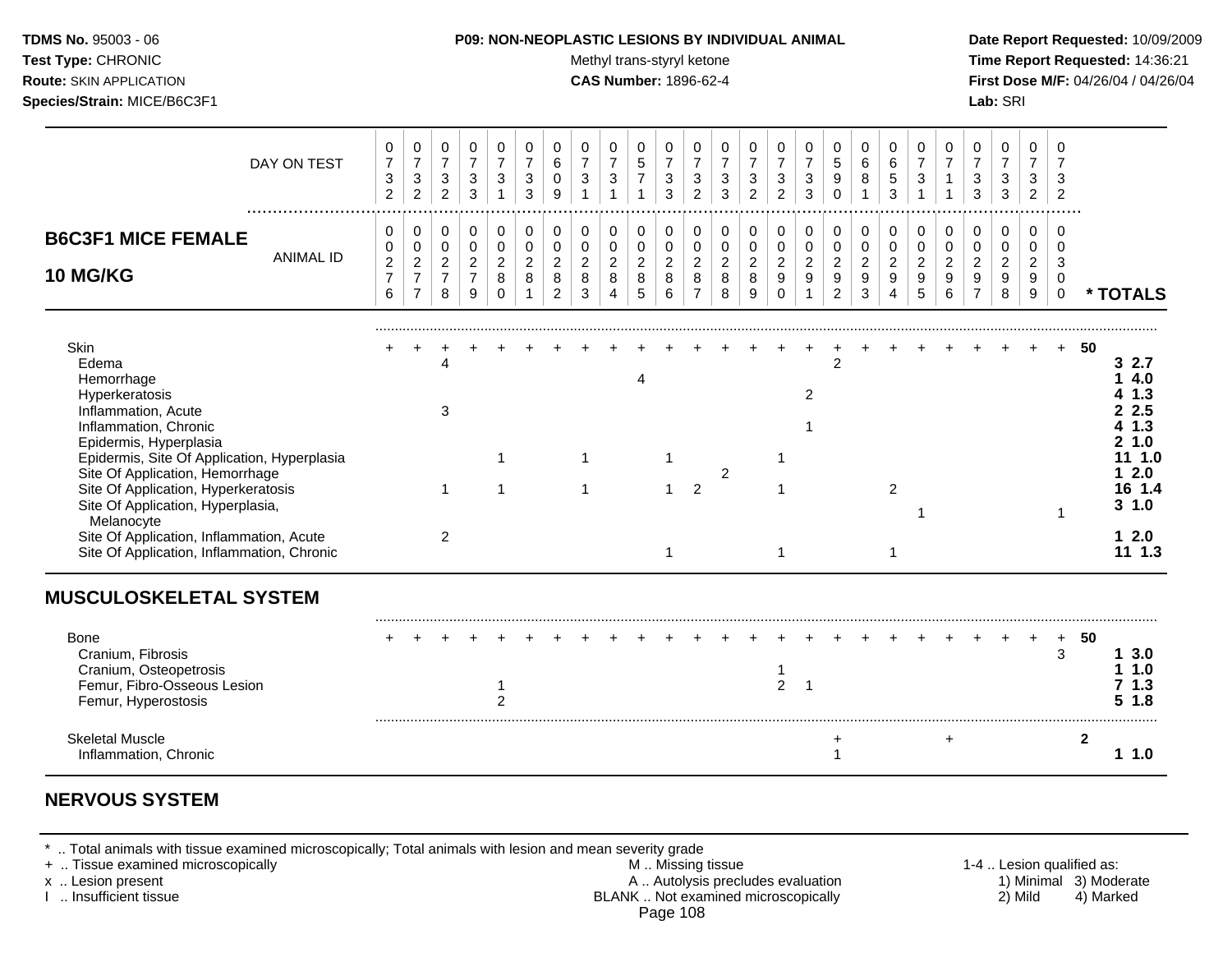| <b>TDMS No. 95003 - 06</b>     |
|--------------------------------|
| <b>Test Type: CHRONIC</b>      |
| <b>Route: SKIN APPLICATION</b> |

#### **P09: NON-NEOPLASTIC LESIONS BY INDIVIDUAL ANIMAL Date Report Requested:** 10/09/2009

**Methyl trans-styryl ketone Time Report Requested:** 14:36:21 **CAS Number:** 1896-62-4 **First Dose M/F:** 04/26/04 / 04/26/04 **Species/Strain:** MICE/B6C3F1 **Lab:** SRI

| DAY ON TEST                                                                                                                                                                                                                                                                                                                                                                                   | 0<br>$\boldsymbol{7}$<br>$\ensuremath{\mathsf{3}}$<br>2   | 0<br>$\boldsymbol{7}$<br>$\mathbf{3}$<br>$\overline{2}$              | 0<br>$\boldsymbol{7}$<br>3<br>$\overline{2}$    | 0<br>$\overline{7}$<br>$\sqrt{3}$<br>$\mathbf{3}$     | 0<br>$\overline{7}$<br>3<br>$\mathbf 1$             | 0<br>$\boldsymbol{7}$<br>$\ensuremath{\mathsf{3}}$<br>3 | 0<br>$\,6\,$<br>$\mathbf 0$<br>9                                  | 0<br>$\overline{7}$<br>$\mathbf{3}$          | 0<br>$\boldsymbol{7}$<br>$\sqrt{3}$<br>$\mathbf{1}$ | 0<br>$\overline{5}$<br>$\overline{7}$<br>$\mathbf{1}$ | 0<br>$\overline{7}$<br>3<br>3                | 0<br>$\overline{7}$<br>$\ensuremath{\mathsf{3}}$<br>$\overline{2}$ | 0<br>$\boldsymbol{7}$<br>3<br>3            | 0<br>$\overline{7}$<br>$\sqrt{3}$<br>$\overline{2}$       | 0<br>$\overline{7}$<br>$\mathbf{3}$<br>$\overline{2}$ | 0<br>$\overline{7}$<br>$\mathbf{3}$<br>3          | 0<br>$\sqrt{5}$<br>$\boldsymbol{9}$<br>$\Omega$                        | 0<br>$\,6\,$<br>8                            | 0<br>$\,6\,$<br>5<br>3             | 0<br>$\overline{7}$<br>$\mathbf{3}$                  | 0<br>$\overline{7}$                        | 0<br>$\boldsymbol{7}$<br>$\mathbf{3}$<br>3      | $\mathbf 0$<br>$\overline{7}$<br>$\sqrt{3}$<br>3 | $\Omega$<br>$\overline{7}$<br>3<br>2         | 0<br>$\overline{7}$<br>3<br>$\overline{2}$        |                                                                                                             |
|-----------------------------------------------------------------------------------------------------------------------------------------------------------------------------------------------------------------------------------------------------------------------------------------------------------------------------------------------------------------------------------------------|-----------------------------------------------------------|----------------------------------------------------------------------|-------------------------------------------------|-------------------------------------------------------|-----------------------------------------------------|---------------------------------------------------------|-------------------------------------------------------------------|----------------------------------------------|-----------------------------------------------------|-------------------------------------------------------|----------------------------------------------|--------------------------------------------------------------------|--------------------------------------------|-----------------------------------------------------------|-------------------------------------------------------|---------------------------------------------------|------------------------------------------------------------------------|----------------------------------------------|------------------------------------|------------------------------------------------------|--------------------------------------------|-------------------------------------------------|--------------------------------------------------|----------------------------------------------|---------------------------------------------------|-------------------------------------------------------------------------------------------------------------|
| <b>B6C3F1 MICE FEMALE</b><br><b>ANIMAL ID</b><br>10 MG/KG                                                                                                                                                                                                                                                                                                                                     | 0<br>$\mathbf 0$<br>$\overline{c}$<br>$\overline{7}$<br>6 | 0<br>$\pmb{0}$<br>$\overline{c}$<br>$\overline{7}$<br>$\overline{7}$ | 0<br>0<br>$\overline{2}$<br>$\overline{7}$<br>8 | 0<br>$\mathbf 0$<br>$\sqrt{2}$<br>$\overline{7}$<br>9 | 0<br>$\mathbf 0$<br>$\overline{2}$<br>8<br>$\Omega$ | 0<br>0<br>$\overline{2}$<br>8                           | $\mathbf 0$<br>$\pmb{0}$<br>$\overline{2}$<br>8<br>$\overline{2}$ | 0<br>$\mathsf 0$<br>$\overline{c}$<br>8<br>3 | 0<br>$\pmb{0}$<br>$\boldsymbol{2}$<br>8<br>4        | 0<br>$\pmb{0}$<br>$\overline{2}$<br>8<br>5            | 0<br>$\pmb{0}$<br>$\boldsymbol{2}$<br>8<br>6 | 0<br>$\mathbf 0$<br>$\overline{2}$<br>8<br>$\overline{7}$          | 0<br>$\pmb{0}$<br>$\overline{2}$<br>8<br>8 | 0<br>$\pmb{0}$<br>$\overline{c}$<br>8<br>$\boldsymbol{9}$ | 0<br>$\pmb{0}$<br>$\overline{2}$<br>9<br>$\mathbf 0$  | 0<br>$\pmb{0}$<br>$\sqrt{2}$<br>9<br>$\mathbf{1}$ | 0<br>$\pmb{0}$<br>$\overline{c}$<br>$\boldsymbol{9}$<br>$\overline{c}$ | 0<br>$\mathbf 0$<br>$\overline{2}$<br>9<br>3 | 0<br>0<br>$\overline{2}$<br>9<br>4 | $\pmb{0}$<br>$\mathbf 0$<br>$\overline{2}$<br>9<br>5 | 0<br>$\pmb{0}$<br>$\overline{c}$<br>9<br>6 | 0<br>0<br>$\overline{2}$<br>9<br>$\overline{7}$ | 0<br>$\mathbf 0$<br>$\overline{2}$<br>9<br>8     | 0<br>$\mathbf 0$<br>$\overline{2}$<br>9<br>9 | $\mathbf 0$<br>$\mathbf 0$<br>3<br>0<br>$\pmb{0}$ | * TOTALS                                                                                                    |
| Skin<br>Edema<br>Hemorrhage<br>Hyperkeratosis<br>Inflammation, Acute<br>Inflammation, Chronic<br>Epidermis, Hyperplasia<br>Epidermis, Site Of Application, Hyperplasia<br>Site Of Application, Hemorrhage<br>Site Of Application, Hyperkeratosis<br>Site Of Application, Hyperplasia,<br>Melanocyte<br>Site Of Application, Inflammation, Acute<br>Site Of Application, Inflammation, Chronic |                                                           |                                                                      | 4<br>3<br>$\mathbf{1}$<br>$\overline{2}$        |                                                       | $\mathbf{1}$<br>$\mathbf{1}$                        |                                                         |                                                                   | 1<br>1                                       |                                                     |                                                       | -1<br>$\mathbf{1}$<br>$\mathbf 1$            | 2                                                                  | $\overline{c}$                             |                                                           | 1<br>$\mathbf{1}$                                     | $\overline{2}$                                    | $\overline{c}$                                                         |                                              | $\overline{c}$<br>$\mathbf{1}$     |                                                      |                                            |                                                 |                                                  |                                              | $+$<br>1                                          | -50<br>32.7<br>4.0<br>1.3<br>2.2.5<br>41.3<br>21.0<br>11 1.0<br>$12.0$<br>16 1.4<br>31.0<br>$12.0$<br>111.3 |
| <b>MUSCULOSKELETAL SYSTEM</b><br><b>Bone</b><br>Cranium, Fibrosis<br>Cranium, Osteopetrosis<br>Femur, Fibro-Osseous Lesion<br>Femur, Hyperostosis                                                                                                                                                                                                                                             |                                                           |                                                                      |                                                 |                                                       | $\mathbf 1$<br>$\mathfrak{p}$                       |                                                         |                                                                   |                                              |                                                     |                                                       |                                              |                                                                    |                                            |                                                           | 1<br>$\overline{c}$                                   | -1                                                |                                                                        |                                              |                                    |                                                      |                                            |                                                 |                                                  | $\ddot{}$                                    | $+$<br>3                                          | 50<br>13.0<br>11.0<br>71.3<br>$5 \; 1.8$                                                                    |
| <b>Skeletal Muscle</b><br>Inflammation, Chronic                                                                                                                                                                                                                                                                                                                                               |                                                           |                                                                      |                                                 |                                                       |                                                     |                                                         |                                                                   |                                              |                                                     |                                                       |                                              |                                                                    |                                            |                                                           |                                                       |                                                   |                                                                        |                                              |                                    |                                                      | +                                          |                                                 |                                                  |                                              |                                                   | $\mathbf{2}$<br>11.0                                                                                        |

\* .. Total animals with tissue examined microscopically; Total animals with lesion and mean severity grade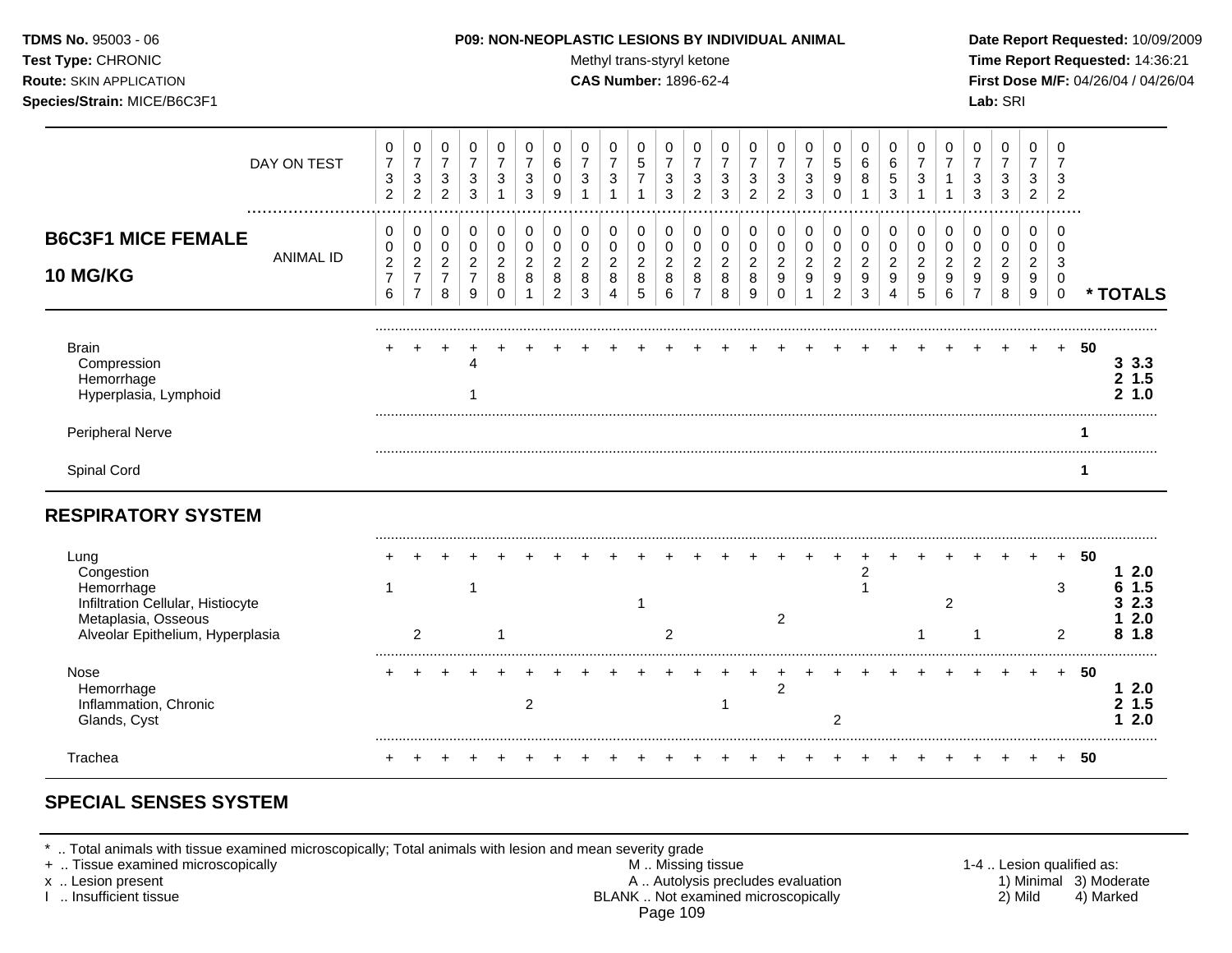**Test Type:** CHRONIC **The Report Requested:** 14:36:21 **Route:** SKIN APPLICATION **CAS Number:** 1896-62-4 **First Dose M/F:** 04/26/04 / 04/26/04 **Species/Strain:** MICE/B6C3F1 **Lab:** SRI

|                                                                                                            | DAY ON TEST      | 0<br>$\overline{7}$<br>$\ensuremath{\mathsf{3}}$<br>$\overline{2}$ | 0<br>$\boldsymbol{7}$<br>$\sqrt{3}$<br>$\overline{2}$ | 0<br>$\overline{7}$<br>3<br>$\overline{2}$ | 0<br>$\overline{7}$<br>3<br>3         | 0<br>$\overline{7}$<br>3 | 0<br>3<br>3         | 0<br>6<br>0<br><sub>9</sub>           | 0<br>$\overline{7}$<br>3       | 0<br>$\overline{7}$<br>3          | 0<br>5<br>$\overline{7}$       | 0<br>$\overline{7}$<br>3<br>3 | 0<br>3<br>$\overline{2}$ | 0<br>7<br>3<br>3         | 0<br>$\overline{7}$<br>3<br>2 | 0<br>7<br>3<br>$\overline{2}$                  | 0<br>$\overline{7}$<br>$\mathbf{3}$<br>3 | 0<br>$\sqrt{5}$<br>9                                 | 0<br>$\,6$<br>8              | 0<br>6<br>5<br>3         | 0<br>3      | 0<br>7      | 0<br>3<br>3                           | 0<br>7<br>3<br>3 | 0<br>$\overline{7}$<br>3<br>2 | 0<br>$\overline{7}$<br>3<br>$\overline{2}$ |     |                               |
|------------------------------------------------------------------------------------------------------------|------------------|--------------------------------------------------------------------|-------------------------------------------------------|--------------------------------------------|---------------------------------------|--------------------------|---------------------|---------------------------------------|--------------------------------|-----------------------------------|--------------------------------|-------------------------------|--------------------------|--------------------------|-------------------------------|------------------------------------------------|------------------------------------------|------------------------------------------------------|------------------------------|--------------------------|-------------|-------------|---------------------------------------|------------------|-------------------------------|--------------------------------------------|-----|-------------------------------|
| <b>B6C3F1 MICE FEMALE</b>                                                                                  |                  | 0<br>0                                                             | 0<br>0                                                | 0<br>$\mathbf 0$                           | 0<br>$\mathbf 0$                      | 0<br>$\mathbf 0$         | 0<br>$\mathbf 0$    | 0<br>0                                | 0<br>0                         | 0<br>$\mathbf 0$                  | 0<br>$\mathbf 0$               | 0<br>0                        | 0<br>0                   | 0<br>0                   | 0<br>0                        | 0<br>$\pmb{0}$                                 | 0<br>0                                   | 0<br>0                                               | 0<br>$\mathbf 0$             | 0<br>$\mathbf 0$         | 0<br>0      | 0<br>0      | 0<br>$\mathbf 0$                      | 0<br>0           | 0<br>$\mathbf 0$              | 0<br>$\Omega$                              |     |                               |
| <b>10 MG/KG</b>                                                                                            | <b>ANIMAL ID</b> | $\overline{c}$<br>$\overline{7}$<br>6                              | $\overline{c}$<br>$\boldsymbol{7}$<br>$\overline{7}$  | $\overline{c}$<br>$\overline{7}$<br>8      | $\overline{c}$<br>$\overline{7}$<br>9 | 2<br>8<br>$\Omega$       | $\overline{2}$<br>8 | $\overline{2}$<br>8<br>$\overline{2}$ | $\overline{c}$<br>$\,8\,$<br>3 | $\sqrt{2}$<br>8<br>$\overline{4}$ | $\overline{c}$<br>$\bf 8$<br>5 | $\overline{c}$<br>8<br>6      | 2<br>8<br>$\overline{7}$ | $\overline{2}$<br>8<br>8 | $\overline{c}$<br>8<br>9      | $\overline{c}$<br>$\boldsymbol{9}$<br>$\Omega$ | $\overline{a}$<br>9<br>$\overline{1}$    | $\overline{a}$<br>$\boldsymbol{9}$<br>$\overline{2}$ | $\overline{2}$<br>$9\,$<br>3 | $\overline{2}$<br>9<br>4 | 2<br>9<br>5 | 2<br>9<br>6 | $\overline{c}$<br>9<br>$\overline{7}$ | 2<br>9<br>8      | $\overline{c}$<br>9<br>9      | 3<br>0<br>$\mathbf 0$                      |     | * TOTALS                      |
| <b>Brain</b><br>Compression<br>Hemorrhage<br>Hyperplasia, Lymphoid                                         |                  |                                                                    |                                                       |                                            |                                       |                          |                     |                                       |                                |                                   |                                |                               |                          |                          |                               |                                                |                                          |                                                      |                              |                          |             |             |                                       |                  |                               | $\pm$                                      | 50  | 3.3.3<br>$2\;1.5$<br>1.0<br>2 |
| <b>Peripheral Nerve</b>                                                                                    |                  |                                                                    |                                                       |                                            |                                       |                          |                     |                                       |                                |                                   |                                |                               |                          |                          |                               |                                                |                                          |                                                      |                              |                          |             |             |                                       |                  |                               |                                            |     |                               |
| Spinal Cord                                                                                                |                  |                                                                    |                                                       |                                            |                                       |                          |                     |                                       |                                |                                   |                                |                               |                          |                          |                               |                                                |                                          |                                                      |                              |                          |             |             |                                       |                  |                               |                                            | 1   |                               |
| <b>RESPIRATORY SYSTEM</b>                                                                                  |                  |                                                                    |                                                       |                                            |                                       |                          |                     |                                       |                                |                                   |                                |                               |                          |                          |                               |                                                |                                          |                                                      |                              |                          |             |             |                                       |                  |                               |                                            |     |                               |
| Lung<br>Congestion                                                                                         |                  |                                                                    |                                                       |                                            |                                       |                          |                     |                                       |                                |                                   |                                |                               |                          |                          |                               |                                                |                                          |                                                      | $\overline{2}$               |                          |             |             |                                       |                  |                               |                                            | 50  | 2.0                           |
| Hemorrhage<br>Infiltration Cellular, Histiocyte<br>Metaplasia, Osseous<br>Alveolar Epithelium, Hyperplasia |                  |                                                                    | 2                                                     |                                            |                                       |                          |                     |                                       |                                |                                   |                                | 2                             |                          |                          |                               | $\overline{2}$                                 |                                          |                                                      |                              |                          |             | 2           |                                       |                  |                               | 3<br>$\overline{2}$                        |     | 1.5<br>2.3<br>2.0<br>1.8      |
| Nose<br>Hemorrhage<br>Inflammation, Chronic<br>Glands, Cyst                                                |                  |                                                                    |                                                       |                                            |                                       |                          | $\overline{2}$      |                                       |                                |                                   |                                |                               |                          | 1                        |                               | 2                                              |                                          | 2                                                    |                              |                          |             |             |                                       |                  |                               |                                            | -50 | 2.0<br>1<br>1.5<br>2<br>2.0   |
| Trachea                                                                                                    |                  |                                                                    |                                                       |                                            |                                       |                          |                     |                                       |                                |                                   |                                |                               |                          |                          |                               |                                                |                                          |                                                      |                              |                          |             |             |                                       |                  |                               |                                            | 50  |                               |

# **SPECIAL SENSES SYSTEM**

\* .. Total animals with tissue examined microscopically; Total animals with lesion and mean severity grade<br>+ .. Tissue examined microscopically

+ .. Tissue examined microscopically the state of the state of the M .. Missing tissue 1-4 .. Lesion qualified as: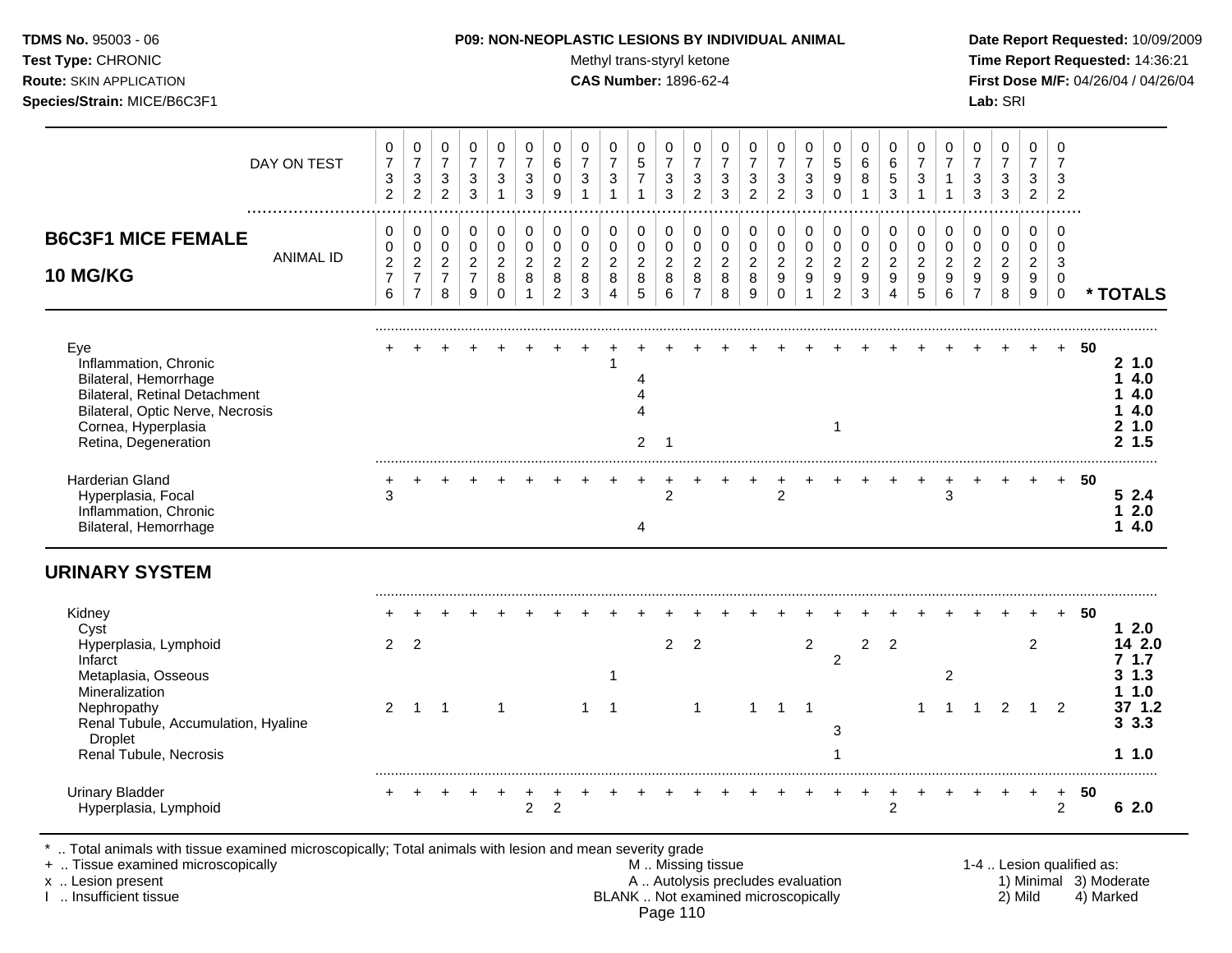#### **TDMS No.** 95003 - 06 **P09: NON-NEOPLASTIC LESIONS BY INDIVIDUAL ANIMAL Date Report Requested:** 10/09/2009

Test Type: CHRONIC **Test Type:** CHRONIC **Test Type:** CHRONIC **Time Report Requested:** 14:36:21 **Route:** SKIN APPLICATION **CAS Number:** 1896-62-4 **First Dose M/F:** 04/26/04 / 04/26/04

| DAY ON TEST                                                                                                                                                                      | 0<br>$\overline{7}$<br>$\ensuremath{\mathsf{3}}$<br>$\overline{2}$ | 0<br>$\boldsymbol{7}$<br>$\sqrt{3}$<br>$\overline{2}$ | 0<br>$\overline{7}$<br>3<br>$\overline{2}$                | 0<br>$\overline{7}$<br>$\sqrt{3}$<br>3                | 0<br>$\overline{7}$<br>3<br>1                | 0<br>$\overline{7}$<br>3<br>3 | 0<br>6<br>$\mathbf 0$<br>9                   | 0<br>$\overline{7}$<br>3                     | 0<br>$\overline{7}$<br>$\sqrt{3}$<br>1 | 0<br>5<br>$\overline{7}$<br>1                | 0<br>$\overline{7}$<br>3<br>3                | 0<br>$\overline{7}$<br>3<br>2             | 0<br>$\overline{7}$<br>$\mathbf{3}$<br>3     | 0<br>$\overline{7}$<br>3<br>$\overline{2}$ | 0<br>$\overline{7}$<br>$\sqrt{3}$<br>$\overline{2}$              | 0<br>$\overline{7}$<br>$\ensuremath{\mathsf{3}}$<br>3 | 0<br>5<br>$\boldsymbol{9}$<br>$\Omega$                  | 0<br>6<br>8<br>1                | 0<br>$\,6\,$<br>$\,$ 5 $\,$<br>3             | 0<br>$\overline{7}$<br>3                     | 0<br>$\overline{7}$                          | 0<br>$\overline{7}$<br>3<br>3                   | 0<br>$\overline{7}$<br>$\sqrt{3}$<br>3       | 0<br>$\overline{7}$<br>3<br>$\overline{2}$             | 0<br>$\overline{7}$<br>3<br>2                              |    |                                              |
|----------------------------------------------------------------------------------------------------------------------------------------------------------------------------------|--------------------------------------------------------------------|-------------------------------------------------------|-----------------------------------------------------------|-------------------------------------------------------|----------------------------------------------|-------------------------------|----------------------------------------------|----------------------------------------------|----------------------------------------|----------------------------------------------|----------------------------------------------|-------------------------------------------|----------------------------------------------|--------------------------------------------|------------------------------------------------------------------|-------------------------------------------------------|---------------------------------------------------------|---------------------------------|----------------------------------------------|----------------------------------------------|----------------------------------------------|-------------------------------------------------|----------------------------------------------|--------------------------------------------------------|------------------------------------------------------------|----|----------------------------------------------|
| <b>B6C3F1 MICE FEMALE</b><br><b>ANIMAL ID</b><br>10 MG/KG                                                                                                                        | $\pmb{0}$<br>$\pmb{0}$<br>$\overline{c}$<br>$\overline{7}$<br>6    | 0<br>$\pmb{0}$<br>$\frac{2}{7}$<br>$\overline{7}$     | 0<br>$\mathbf 0$<br>$\overline{c}$<br>$\overline{7}$<br>8 | 0<br>$\mathbf 0$<br>$\sqrt{2}$<br>$\overline{7}$<br>9 | 0<br>$\mathbf 0$<br>$\overline{2}$<br>8<br>0 | 0<br>0<br>$\overline{2}$<br>8 | 0<br>$\mathbf 0$<br>$\overline{2}$<br>8<br>2 | 0<br>$\mathbf 0$<br>$\overline{2}$<br>8<br>3 | 0<br>0<br>$\overline{c}$<br>8<br>4     | 0<br>$\mathbf 0$<br>$\overline{2}$<br>8<br>5 | 0<br>$\mathbf 0$<br>$\overline{2}$<br>8<br>6 | 0<br>$\mathbf 0$<br>$\boldsymbol{2}$<br>8 | 0<br>$\mathbf 0$<br>$\overline{2}$<br>8<br>8 | 0<br>0<br>$\overline{2}$<br>8<br>9         | 0<br>$\pmb{0}$<br>$\overline{2}$<br>$\boldsymbol{9}$<br>$\Omega$ | 0<br>$\mathbf 0$<br>$\boldsymbol{2}$<br>9<br>1        | 0<br>$\pmb{0}$<br>$\overline{c}$<br>9<br>$\overline{2}$ | 0<br>$\mathbf 0$<br>2<br>9<br>3 | 0<br>$\mathbf 0$<br>$\overline{2}$<br>9<br>4 | 0<br>$\mathbf 0$<br>$\overline{c}$<br>9<br>5 | 0<br>$\mathbf 0$<br>$\overline{2}$<br>9<br>6 | 0<br>0<br>$\overline{a}$<br>9<br>$\overline{7}$ | 0<br>$\mathbf 0$<br>$\overline{2}$<br>9<br>8 | $\mathbf 0$<br>$\mathbf 0$<br>$\overline{2}$<br>9<br>9 | $\mathbf 0$<br>$\Omega$<br>3<br>$\mathbf 0$<br>$\mathbf 0$ |    | * TOTALS                                     |
| Eye<br>Inflammation, Chronic<br>Bilateral, Hemorrhage<br><b>Bilateral, Retinal Detachment</b><br>Bilateral, Optic Nerve, Necrosis<br>Cornea, Hyperplasia<br>Retina, Degeneration |                                                                    |                                                       |                                                           |                                                       |                                              |                               |                                              |                                              |                                        | 4<br>$\overline{A}$<br>$\overline{2}$        | $\overline{1}$                               |                                           |                                              |                                            |                                                                  |                                                       | $\mathbf{1}$                                            |                                 |                                              |                                              |                                              |                                                 |                                              |                                                        | $+$                                                        | 50 | 21.0<br>14.0<br>4.0<br>4.0<br>21.0<br>2, 1.5 |
| Harderian Gland<br>Hyperplasia, Focal<br>Inflammation, Chronic<br>Bilateral, Hemorrhage                                                                                          | 3                                                                  |                                                       |                                                           |                                                       |                                              |                               |                                              |                                              |                                        | 4                                            | $\overline{2}$                               |                                           |                                              |                                            | $\overline{c}$                                                   |                                                       |                                                         |                                 |                                              |                                              | 3                                            |                                                 |                                              |                                                        | $+$                                                        | 50 | 52.4<br>12.0<br>14.0                         |
| <b>URINARY SYSTEM</b>                                                                                                                                                            |                                                                    |                                                       |                                                           |                                                       |                                              |                               |                                              |                                              |                                        |                                              |                                              |                                           |                                              |                                            |                                                                  |                                                       |                                                         |                                 |                                              |                                              |                                              |                                                 |                                              |                                                        |                                                            |    |                                              |
| Kidney<br>Cyst<br>Hyperplasia, Lymphoid<br>Infarct<br>Metaplasia, Osseous                                                                                                        | $2^{\circ}$                                                        | 2                                                     |                                                           |                                                       |                                              |                               |                                              |                                              |                                        |                                              | 2                                            | $\overline{2}$                            |                                              |                                            |                                                                  | $\overline{2}$                                        | $\overline{a}$                                          | $\overline{c}$                  | $\overline{2}$                               |                                              | $\overline{c}$                               |                                                 |                                              | 2                                                      | $+$                                                        | 50 | 12.0<br>14 2.0<br>7.1.7<br>$3 \; 1.3$        |
| Mineralization<br>Nephropathy<br>Renal Tubule, Accumulation, Hyaline<br>Droplet<br>Renal Tubule, Necrosis                                                                        | $\overline{2}$                                                     | $\overline{1}$                                        | $\overline{1}$                                            |                                                       | $\mathbf{1}$                                 |                               |                                              | 1                                            | $\overline{1}$                         |                                              |                                              | $\mathbf{1}$                              |                                              | $\mathbf{1}$                               | $\overline{1}$                                                   | $\overline{1}$                                        | 3                                                       |                                 |                                              | 1                                            | 1                                            | $\mathbf 1$                                     | $\overline{2}$                               | $\mathbf{1}$                                           | 2                                                          |    | 11.0<br>37 1.2<br>3.3.3<br>1.0               |
| <b>Urinary Bladder</b><br>Hyperplasia, Lymphoid                                                                                                                                  |                                                                    |                                                       |                                                           |                                                       |                                              | $\overline{2}$                | $\overline{2}$                               |                                              |                                        |                                              |                                              |                                           |                                              |                                            |                                                                  |                                                       |                                                         |                                 | $\overline{2}$                               |                                              |                                              |                                                 |                                              | $\ddot{}$                                              | $+$<br>$\overline{2}$                                      | 50 | 62.0                                         |

\* .. Total animals with tissue examined microscopically; Total animals with lesion and mean severity grade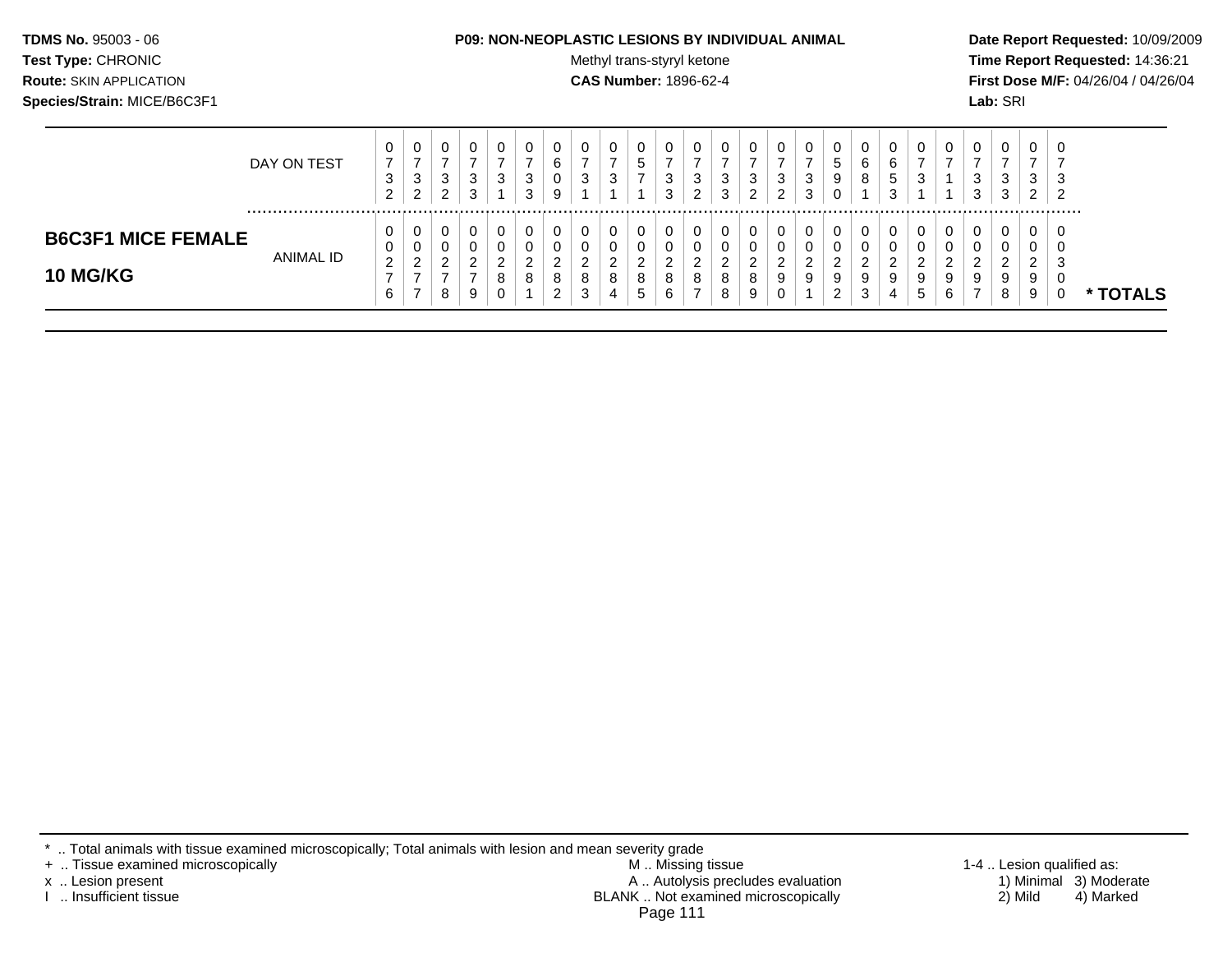#### **TDMS No.** 95003 - 06 **P09: NON-NEOPLASTIC LESIONS BY INDIVIDUAL ANIMAL Date Report Requested:** 10/09/2009

Test Type: CHRONIC **Test Type:** CHRONIC **Test Type:** CHRONIC **Time Report Requested:** 14:36:21 **Route:** SKIN APPLICATION **CAS Number:** 1896-62-4 **First Dose M/F:** 04/26/04 / 04/26/04

|                                              | DAY ON TEST | ⇁<br>$\sqrt{2}$<br>$\sim$<br>∼ | 0<br>-<br>3<br>C<br>$\epsilon$    | U<br>3<br>ົ<br>∼           | 3<br>3 | U<br>3                           | <b>U</b><br>◠<br>ت<br>ີ<br>ت | U<br>u<br>ັ<br>9                  | υ<br>-<br>ີ<br>ັ      | ◠<br>J           | U<br>∽<br>◡                                      | ັບ<br>-2<br>J | 0<br>3<br>ົ<br><u>_</u> | U<br>3<br>3           | ◡<br>$\overline{\phantom{a}}$ | 0<br>3<br>ົ           | v<br>◠<br>ັ<br>ົ<br>ັ             | ν<br>đ<br>9<br>u                | υ<br>6<br>8 | '5 | v<br>3                | v                | 0<br>3<br>3                  | 0<br>3<br>3                       | -4<br><u>_</u> | U<br>- |               |
|----------------------------------------------|-------------|--------------------------------|-----------------------------------|----------------------------|--------|----------------------------------|------------------------------|-----------------------------------|-----------------------|------------------|--------------------------------------------------|---------------|-------------------------|-----------------------|-------------------------------|-----------------------|-----------------------------------|---------------------------------|-------------|----|-----------------------|------------------|------------------------------|-----------------------------------|----------------|--------|---------------|
| <b>B6C3F1 MICE FEMALE</b><br><b>10 MG/KG</b> | ANIMAL ID   | റ<br>_<br>⌒                    | 0<br>0<br>ົ<br><u>_</u><br>-<br>- | U<br>0<br>$\sim$<br>_<br>8 | 9      | 0<br>0<br>◠<br>o<br>$\circ$<br>0 | 0<br><b>U</b><br>$\sim$<br>8 | U<br>u<br>◠<br>▃<br>8<br><u>.</u> | υ<br>U<br>ົ<br>8<br>3 | $\sim$<br>8<br>4 | υ<br>U<br>$\sim$<br><u>.</u><br>8<br>$\mathbf b$ | 8<br>b        | 0<br>U<br>◠<br>8        | U<br>υ<br>ົ<br>8<br>8 | S                             | 0<br>0<br>ົ<br>9<br>0 | U<br>υ<br>$\sim$<br><u>_</u><br>9 | U<br>U<br>ົ<br>ے<br>9<br>າ<br>∠ | 9<br>3      | 4  | υ<br>U<br>ົ<br>9<br>5 | ົ<br>a<br>◡<br>6 | 0<br>0<br>ົ<br><u>.</u><br>9 | 0<br>U<br>ົ<br><u>_</u><br>9<br>8 | č<br>g         | U      | <b>TOTALS</b> |

\* .. Total animals with tissue examined microscopically; Total animals with lesion and mean severity grade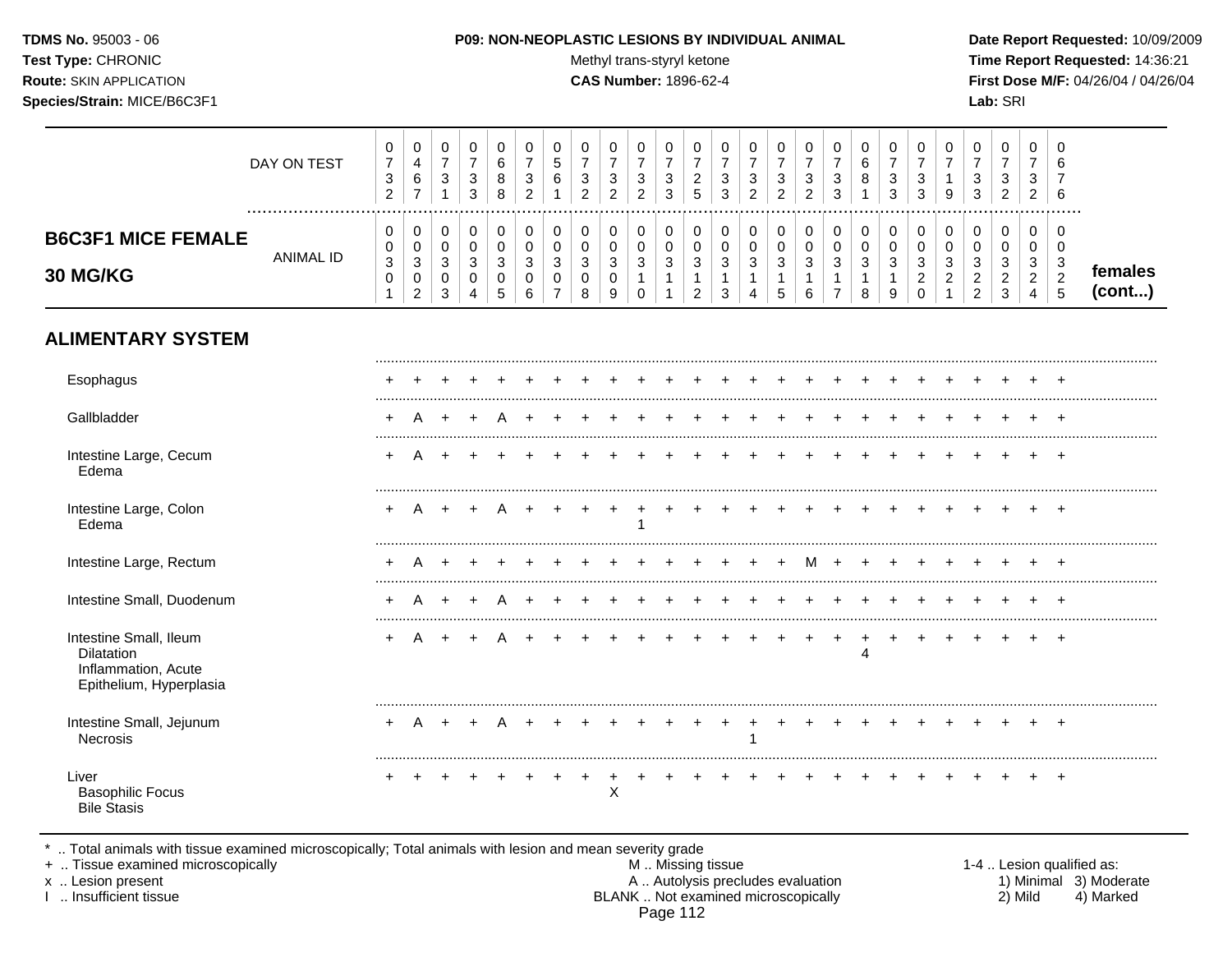#### **TDMS No.** 95003 - 06 **P09: NON-NEOPLASTIC LESIONS BY INDIVIDUAL ANIMAL Date Report Requested:** 10/09/2009

Test Type: CHRONIC **Test Type:** CHRONIC **Test Type:** CHRONIC **Time Report Requested:** 14:36:21 **Route:** SKIN APPLICATION **CAS Number:** 1896-62-4 **First Dose M/F:** 04/26/04 / 04/26/04

|                                                                                        | DAY ON TEST      | $\,0\,$<br>$\overline{7}$<br>$\sqrt{3}$<br>$\overline{2}$             | 0<br>$\overline{\mathbf{4}}$<br>$\,6\,$<br>$\overline{7}$                   | $\pmb{0}$<br>$\overline{7}$<br>$\mathbf{3}$<br>$\mathbf{1}$ | $\mathbf 0$<br>$\overline{7}$<br>$\sqrt{3}$<br>3                      | $\mathbf 0$<br>6<br>8<br>8                                   | 0<br>$\overline{7}$<br>3<br>$\overline{2}$         | 0<br>5<br>6                                            | 0<br>$\overline{7}$<br>3<br>$\overline{2}$ | $\pmb{0}$<br>$\overline{7}$<br>3<br>$\overline{2}$           | $\mathbf 0$<br>$\overline{7}$<br>$\mathbf{3}$<br>$\overline{2}$ | 0<br>$\overline{7}$<br>$\sqrt{3}$<br>$\mathbf{3}$              | $\mathbf 0$<br>$\overline{7}$<br>$\overline{c}$<br>5 | 0<br>$\overline{7}$<br>$\mathbf{3}$<br>3 | 0<br>$\overline{7}$<br>3<br>$\overline{2}$ | $\mathbf 0$<br>$\overline{7}$<br>$\sqrt{3}$<br>$\overline{2}$ | 0<br>$\overline{7}$<br>3<br>$\overline{2}$ | $\pmb{0}$<br>$\overline{7}$<br>$\mathbf{3}$<br>$\mathbf{3}$    | 0<br>6<br>8<br>$\overline{1}$                              | $\pmb{0}$<br>$\overline{7}$<br>$\sqrt{3}$<br>3              | 0<br>$\overline{7}$<br>$\mathbf{3}$<br>3              | 0<br>$\overline{7}$<br>$\mathbf{1}$<br>9                             | $\pmb{0}$<br>$\overline{7}$<br>3<br>3        | 0<br>$\overline{7}$<br>3<br>$\overline{2}$     | $\pmb{0}$<br>$\overline{7}$<br>3<br>$\overline{2}$                   | $\Omega$<br>6<br>7<br>6                                        |                   |
|----------------------------------------------------------------------------------------|------------------|-----------------------------------------------------------------------|-----------------------------------------------------------------------------|-------------------------------------------------------------|-----------------------------------------------------------------------|--------------------------------------------------------------|----------------------------------------------------|--------------------------------------------------------|--------------------------------------------|--------------------------------------------------------------|-----------------------------------------------------------------|----------------------------------------------------------------|------------------------------------------------------|------------------------------------------|--------------------------------------------|---------------------------------------------------------------|--------------------------------------------|----------------------------------------------------------------|------------------------------------------------------------|-------------------------------------------------------------|-------------------------------------------------------|----------------------------------------------------------------------|----------------------------------------------|------------------------------------------------|----------------------------------------------------------------------|----------------------------------------------------------------|-------------------|
| <b>B6C3F1 MICE FEMALE</b><br>30 MG/KG                                                  | <b>ANIMAL ID</b> | $\mathbf 0$<br>$\mathbf 0$<br>$\sqrt{3}$<br>$\pmb{0}$<br>$\mathbf{1}$ | 0<br>$\mathbf 0$<br>$\mathfrak{3}$<br>$\mathsf{O}\xspace$<br>$\overline{2}$ | $\pmb{0}$<br>$\mathbf 0$<br>$\sqrt{3}$<br>$\mathbf 0$<br>3  | $\pmb{0}$<br>$\pmb{0}$<br>$\sqrt{3}$<br>$\mathbf 0$<br>$\overline{4}$ | $\mathbf 0$<br>$\mathbf 0$<br>$\sqrt{3}$<br>$\mathbf 0$<br>5 | $\pmb{0}$<br>$\mathbf 0$<br>$\mathbf{3}$<br>0<br>6 | 0<br>$\mathbf 0$<br>3<br>$\mathbf 0$<br>$\overline{7}$ | 0<br>$\mathbf 0$<br>3<br>$\mathbf 0$<br>8  | $\mathbf 0$<br>$\pmb{0}$<br>$\mathbf{3}$<br>$\mathsf 0$<br>9 | 0<br>$\mathbf 0$<br>$\sqrt{3}$<br>$\mathbf{1}$<br>$\Omega$      | 0<br>$\mathbf 0$<br>$\sqrt{3}$<br>$\mathbf{1}$<br>$\mathbf{1}$ | 0<br>$\mathbf 0$<br>$\mathbf{3}$<br>$\overline{2}$   | $\pmb{0}$<br>$\mathbf 0$<br>3<br>1<br>3  | 0<br>$\mathbf 0$<br>$\mathbf{3}$<br>1<br>4 | $\mathbf 0$<br>$\mathbf 0$<br>$\mathbf{3}$<br>1<br>5          | 0<br>$\mathsf 0$<br>$\mathbf{3}$<br>1<br>6 | 0<br>$\pmb{0}$<br>$\sqrt{3}$<br>$\mathbf{1}$<br>$\overline{7}$ | 0<br>$\boldsymbol{0}$<br>$\mathbf{3}$<br>$\mathbf{1}$<br>8 | $\,0\,$<br>$\pmb{0}$<br>$\mathfrak{S}$<br>$\mathbf{1}$<br>9 | 0<br>$\mathbf 0$<br>3<br>$\boldsymbol{2}$<br>$\Omega$ | 0<br>$\mathsf 0$<br>$\mathbf{3}$<br>$\boldsymbol{2}$<br>$\mathbf{1}$ | 0<br>$\mathbf 0$<br>3<br>$\overline{c}$<br>2 | 0<br>$\mathbf 0$<br>3<br>$\boldsymbol{2}$<br>3 | $\mathbf 0$<br>0<br>$\mathbf{3}$<br>$\overline{a}$<br>$\overline{4}$ | $\Omega$<br>$\mathbf 0$<br>$\mathbf{3}$<br>$\overline{2}$<br>5 | females<br>(cont) |
| <b>ALIMENTARY SYSTEM</b>                                                               |                  |                                                                       |                                                                             |                                                             |                                                                       |                                                              |                                                    |                                                        |                                            |                                                              |                                                                 |                                                                |                                                      |                                          |                                            |                                                               |                                            |                                                                |                                                            |                                                             |                                                       |                                                                      |                                              |                                                |                                                                      |                                                                |                   |
| Esophagus                                                                              |                  |                                                                       |                                                                             |                                                             |                                                                       |                                                              |                                                    |                                                        |                                            |                                                              |                                                                 |                                                                |                                                      |                                          |                                            |                                                               |                                            |                                                                |                                                            |                                                             |                                                       |                                                                      |                                              |                                                |                                                                      |                                                                |                   |
| Gallbladder                                                                            |                  |                                                                       |                                                                             |                                                             |                                                                       |                                                              |                                                    |                                                        |                                            |                                                              |                                                                 |                                                                |                                                      |                                          |                                            |                                                               |                                            |                                                                |                                                            |                                                             |                                                       |                                                                      |                                              |                                                |                                                                      | $\overline{ }$                                                 |                   |
| Intestine Large, Cecum<br>Edema                                                        |                  |                                                                       |                                                                             |                                                             |                                                                       |                                                              |                                                    |                                                        |                                            |                                                              |                                                                 |                                                                |                                                      |                                          |                                            |                                                               |                                            |                                                                |                                                            |                                                             |                                                       |                                                                      |                                              |                                                |                                                                      | $\overline{+}$                                                 |                   |
| Intestine Large, Colon<br>Edema                                                        |                  |                                                                       |                                                                             |                                                             |                                                                       |                                                              |                                                    |                                                        |                                            |                                                              |                                                                 |                                                                |                                                      |                                          |                                            |                                                               |                                            |                                                                |                                                            |                                                             |                                                       |                                                                      |                                              |                                                |                                                                      |                                                                |                   |
| Intestine Large, Rectum                                                                |                  |                                                                       |                                                                             |                                                             |                                                                       |                                                              |                                                    |                                                        |                                            |                                                              |                                                                 |                                                                |                                                      |                                          |                                            |                                                               |                                            |                                                                |                                                            |                                                             |                                                       |                                                                      |                                              |                                                |                                                                      |                                                                |                   |
| Intestine Small, Duodenum                                                              |                  |                                                                       |                                                                             |                                                             |                                                                       |                                                              |                                                    |                                                        |                                            |                                                              |                                                                 |                                                                |                                                      |                                          |                                            |                                                               |                                            |                                                                |                                                            |                                                             |                                                       |                                                                      |                                              |                                                |                                                                      |                                                                |                   |
| Intestine Small, Ileum<br>Dilatation<br>Inflammation, Acute<br>Epithelium, Hyperplasia |                  |                                                                       |                                                                             |                                                             |                                                                       |                                                              |                                                    |                                                        |                                            |                                                              |                                                                 |                                                                |                                                      |                                          |                                            |                                                               |                                            |                                                                | 4                                                          |                                                             |                                                       |                                                                      |                                              |                                                |                                                                      | $\pm$                                                          |                   |
| Intestine Small, Jejunum<br>Necrosis                                                   |                  |                                                                       | A                                                                           | $\overline{+}$                                              |                                                                       | A                                                            |                                                    |                                                        |                                            |                                                              |                                                                 |                                                                |                                                      | +                                        | +                                          | $\ddot{}$                                                     | $\ddot{}$                                  |                                                                |                                                            |                                                             |                                                       |                                                                      |                                              |                                                |                                                                      | $\overline{+}$                                                 |                   |
| Liver<br><b>Basophilic Focus</b><br><b>Bile Stasis</b>                                 |                  |                                                                       |                                                                             |                                                             |                                                                       |                                                              |                                                    |                                                        |                                            | $\ddot{}$<br>X                                               |                                                                 |                                                                |                                                      |                                          |                                            |                                                               |                                            |                                                                |                                                            |                                                             |                                                       |                                                                      |                                              |                                                |                                                                      |                                                                |                   |

\* .. Total animals with tissue examined microscopically; Total animals with lesion and mean severity grade

+ .. Tissue examined microscopically M .. Missing tissue 1-4 .. Lesion qualified as: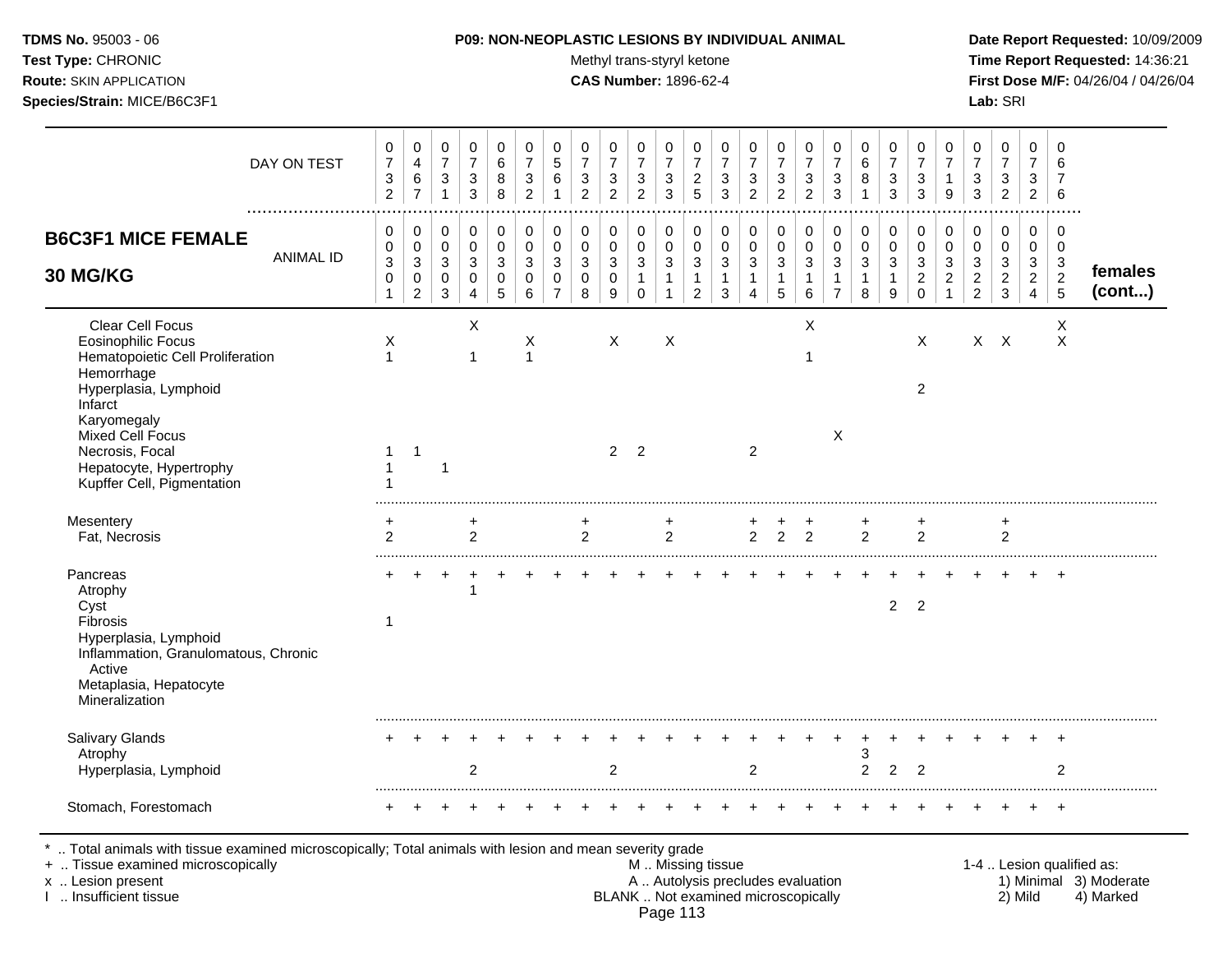| <b>TDMS No.</b> 95003 - 06     |
|--------------------------------|
| Test Type: CHRONIC             |
| <b>Route:</b> SKIN APPLICATION |

### **P09: NON-NEOPLASTIC LESIONS BY INDIVIDUAL ANIMAL Date Report Requested:** 10/09/2009

**Methyl trans-styryl ketone Time Report Requested:** 14:36:21 **CAS Number:** 1896-62-4 **First Dose M/F:** 04/26/04 / 04/26/04 **Species/Strain:** MICE/B6C3F1 **Lab:** SRI

| DAY ON TEST                                                                                                                                                                                                                                               | 0<br>$\boldsymbol{7}$<br>3<br>$\overline{2}$ | 0<br>4<br>6<br>$\overline{7}$      | $\mathbf 0$<br>$\overline{7}$<br>$\mathbf{3}$<br>$\mathbf{1}$ | 0<br>$\overline{7}$<br>$\ensuremath{\mathsf{3}}$<br>$\mathbf{3}$ | 0<br>$\,6$<br>8<br>8            | 0<br>$\overline{7}$<br>3<br>$\overline{c}$ | 0<br>$\sqrt{5}$<br>6<br>$\overline{\mathbf{1}}$     | 0<br>$\boldsymbol{7}$<br>3<br>$\overline{2}$ | 0<br>$\boldsymbol{7}$<br>$\sqrt{3}$<br>$\overline{2}$ | 0<br>$\overline{7}$<br>$\sqrt{3}$<br>$\overline{c}$                          | 0<br>$\boldsymbol{7}$<br>$\sqrt{3}$<br>$\mathbf{3}$                           | 0<br>$\overline{7}$<br>$\overline{c}$<br>$\overline{5}$ | 0<br>$\boldsymbol{7}$<br>3<br>3           | $\,0\,$<br>$\boldsymbol{7}$<br>$\sqrt{3}$<br>$\overline{c}$   | 0<br>$\boldsymbol{7}$<br>$\mathbf{3}$<br>$\overline{c}$                     | 0<br>$\boldsymbol{7}$<br>$\sqrt{3}$<br>$\overline{2}$ | $\mathbf 0$<br>$\overline{7}$<br>3<br>3                            | 0<br>6<br>8<br>$\mathbf{1}$     | $\mathbf 0$<br>$\overline{7}$<br>3<br>3    | 0<br>$\overline{7}$<br>3<br>3                   | 0<br>$\overline{7}$<br>$\mathbf{1}$<br>9                           | 0<br>$\overline{7}$<br>3<br>3                                                 | 0<br>$\overline{7}$<br>$\sqrt{3}$<br>$\overline{c}$           | 0<br>$\overline{7}$<br>3<br>$\overline{a}$      | 0<br>6<br>$\overline{7}$<br>$6\phantom{1}6$       |                                                     |
|-----------------------------------------------------------------------------------------------------------------------------------------------------------------------------------------------------------------------------------------------------------|----------------------------------------------|------------------------------------|---------------------------------------------------------------|------------------------------------------------------------------|---------------------------------|--------------------------------------------|-----------------------------------------------------|----------------------------------------------|-------------------------------------------------------|------------------------------------------------------------------------------|-------------------------------------------------------------------------------|---------------------------------------------------------|-------------------------------------------|---------------------------------------------------------------|-----------------------------------------------------------------------------|-------------------------------------------------------|--------------------------------------------------------------------|---------------------------------|--------------------------------------------|-------------------------------------------------|--------------------------------------------------------------------|-------------------------------------------------------------------------------|---------------------------------------------------------------|-------------------------------------------------|---------------------------------------------------|-----------------------------------------------------|
| <b>B6C3F1 MICE FEMALE</b><br><b>ANIMAL ID</b><br><b>30 MG/KG</b>                                                                                                                                                                                          | 0<br>0<br>3<br>$\mathsf 0$<br>$\mathbf{1}$   | 0<br>0<br>3<br>0<br>$\overline{2}$ | 0<br>$\mathbf 0$<br>3<br>$\mathbf 0$<br>3                     | 0<br>$\mathbf 0$<br>$\mathbf{3}$<br>$\pmb{0}$<br>4               | 0<br>$\mathbf 0$<br>3<br>0<br>5 | 0<br>$\mathbf 0$<br>3<br>$\mathbf 0$<br>6  | 0<br>$\mathbf 0$<br>3<br>$\Omega$<br>$\overline{7}$ | 0<br>$\mathbf 0$<br>3<br>$\mathbf 0$<br>8    | 0<br>$\mathbf 0$<br>$\mathbf{3}$<br>$\pmb{0}$<br>9    | 0<br>$\mathbf 0$<br>$\ensuremath{\mathsf{3}}$<br>$\mathbf{1}$<br>$\mathbf 0$ | 0<br>$\mathbf 0$<br>$\ensuremath{\mathsf{3}}$<br>$\mathbf{1}$<br>$\mathbf{1}$ | 0<br>0<br>3<br>$\mathbf{1}$<br>2                        | $\mathbf 0$<br>$\mathbf 0$<br>3<br>1<br>3 | 0<br>$\pmb{0}$<br>$\mathbf{3}$<br>1<br>$\boldsymbol{\Lambda}$ | 0<br>$\mathbf 0$<br>$\ensuremath{\mathsf{3}}$<br>$\mathbf{1}$<br>$\sqrt{5}$ | 0<br>$\mathbf 0$<br>3<br>$\mathbf{1}$<br>6            | 0<br>$\mathbf 0$<br>$\mathbf{3}$<br>$\mathbf{1}$<br>$\overline{7}$ | 0<br>$\mathbf 0$<br>3<br>1<br>8 | 0<br>$\mathbf 0$<br>3<br>$\mathbf{1}$<br>9 | 0<br>$\mathbf 0$<br>3<br>$\sqrt{2}$<br>$\Omega$ | $\mathbf 0$<br>$\Omega$<br>3<br>$\boldsymbol{2}$<br>$\overline{1}$ | 0<br>$\mathbf 0$<br>$\ensuremath{\mathsf{3}}$<br>$\sqrt{2}$<br>$\overline{2}$ | 0<br>$\mathbf 0$<br>$\mathbf{3}$<br>$\sqrt{2}$<br>$\mathsf 3$ | 0<br>0<br>3<br>$\overline{c}$<br>$\overline{4}$ | 0<br>$\mathbf 0$<br>$\sqrt{3}$<br>$\sqrt{2}$<br>5 | females<br>(cont)                                   |
| Clear Cell Focus<br><b>Eosinophilic Focus</b><br>Hematopoietic Cell Proliferation<br>Hemorrhage<br>Hyperplasia, Lymphoid<br>Infarct<br>Karyomegaly<br><b>Mixed Cell Focus</b><br>Necrosis, Focal<br>Hepatocyte, Hypertrophy<br>Kupffer Cell, Pigmentation | X<br>$\mathbf{1}$<br>1                       | $\overline{1}$                     | $\overline{1}$                                                | X<br>$\mathbf{1}$                                                |                                 | X<br>$\mathbf{1}$                          |                                                     |                                              | X<br>2 <sub>2</sub>                                   |                                                                              | X                                                                             |                                                         |                                           | 2                                                             |                                                                             | Χ                                                     | X                                                                  |                                 |                                            | $\mathsf{X}$<br>$\overline{2}$                  |                                                                    |                                                                               | $X$ $X$                                                       |                                                 | X<br>$\times$                                     |                                                     |
| Mesentery<br>Fat, Necrosis                                                                                                                                                                                                                                | +<br>2                                       |                                    |                                                               | $\overline{2}$                                                   |                                 |                                            |                                                     | +<br>$\overline{2}$                          |                                                       |                                                                              | 2                                                                             |                                                         |                                           | 2                                                             | $\overline{2}$                                                              | $\overline{2}$                                        |                                                                    | $\overline{c}$                  |                                            | 2                                               |                                                                    |                                                                               | $\overline{2}$                                                |                                                 |                                                   |                                                     |
| Pancreas<br>Atrophy<br>Cyst<br>Fibrosis<br>Hyperplasia, Lymphoid<br>Inflammation, Granulomatous, Chronic<br>Active<br>Metaplasia, Hepatocyte<br>Mineralization                                                                                            | 1                                            |                                    |                                                               |                                                                  |                                 |                                            |                                                     |                                              |                                                       |                                                                              |                                                                               |                                                         |                                           |                                                               |                                                                             |                                                       |                                                                    |                                 | $\overline{2}$                             | 2                                               |                                                                    |                                                                               |                                                               |                                                 |                                                   |                                                     |
| Salivary Glands<br>Atrophy<br>Hyperplasia, Lymphoid                                                                                                                                                                                                       |                                              |                                    |                                                               | $\overline{2}$                                                   |                                 |                                            |                                                     |                                              | $\overline{2}$                                        |                                                                              |                                                                               |                                                         |                                           | $\overline{2}$                                                |                                                                             |                                                       |                                                                    | 3<br>$\overline{c}$             | $\overline{2}$                             | $\overline{2}$                                  |                                                                    |                                                                               |                                                               |                                                 | 2                                                 |                                                     |
| Stomach, Forestomach                                                                                                                                                                                                                                      | ÷                                            |                                    |                                                               |                                                                  |                                 |                                            |                                                     |                                              |                                                       |                                                                              |                                                                               |                                                         |                                           |                                                               |                                                                             |                                                       |                                                                    |                                 |                                            |                                                 |                                                                    |                                                                               |                                                               |                                                 |                                                   |                                                     |
| Total animals with tissue examined microscopically; Total animals with lesion and mean severity grade<br>+  Tissue examined microscopically<br>x  Lesion present                                                                                          |                                              |                                    |                                                               |                                                                  |                                 |                                            |                                                     |                                              |                                                       |                                                                              |                                                                               | M  Missing tissue                                       |                                           | A  Autolysis precludes evaluation                             |                                                                             |                                                       |                                                                    |                                 |                                            |                                                 |                                                                    |                                                                               |                                                               |                                                 |                                                   | 1-4  Lesion qualified as:<br>1) Minimal 3) Moderate |

I .. Insufficient tissue BLANK .. Not examined microscopically 2) Mild 4) Marked Page 113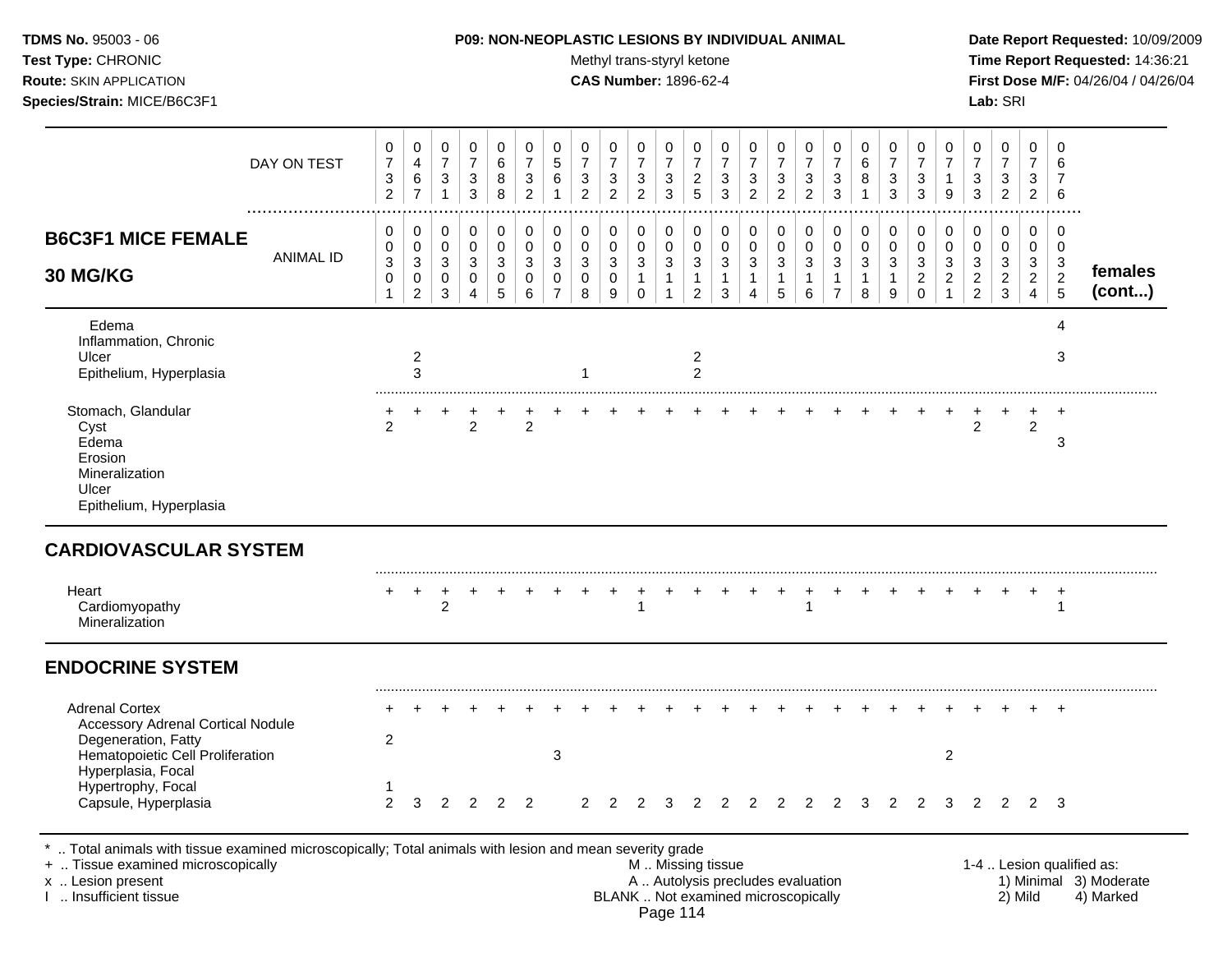| <b>TDMS No. 95003 - 06</b><br>Test Type: CHRONIC<br><b>Route: SKIN APPLICATION</b><br>Species/Strain: MICE/B6C3F1                                                                                |                  |                                                                      |                                            |                                                     |                                                                      |                               |                                                                    | <b>P09: NON-NEOPLASTIC LESIONS BY INDIVIDUAL ANIMAL</b> |                                                                    | Methyl trans-styryl ketone<br><b>CAS Number: 1896-62-4</b> |                                                     |                                                             |                                                                  |                       |                                                       |                                                     |                                                                    |                                    |                                  |                                                                  |                                                         |                                                  |                                                 | Lab: SRI                                                           |                                                 |                                    | Date Report Requested: 10/09/2009<br>Time Report Requested: 14:36:21<br>First Dose M/F: 04/26/04 / 04/26/04 |
|--------------------------------------------------------------------------------------------------------------------------------------------------------------------------------------------------|------------------|----------------------------------------------------------------------|--------------------------------------------|-----------------------------------------------------|----------------------------------------------------------------------|-------------------------------|--------------------------------------------------------------------|---------------------------------------------------------|--------------------------------------------------------------------|------------------------------------------------------------|-----------------------------------------------------|-------------------------------------------------------------|------------------------------------------------------------------|-----------------------|-------------------------------------------------------|-----------------------------------------------------|--------------------------------------------------------------------|------------------------------------|----------------------------------|------------------------------------------------------------------|---------------------------------------------------------|--------------------------------------------------|-------------------------------------------------|--------------------------------------------------------------------|-------------------------------------------------|------------------------------------|-------------------------------------------------------------------------------------------------------------|
|                                                                                                                                                                                                  | DAY ON TEST      | 0<br>$\boldsymbol{7}$<br>$\ensuremath{\mathsf{3}}$<br>$\overline{c}$ | 0<br>$\overline{4}$<br>6<br>$\overline{7}$ | 0<br>$\overline{7}$<br>$\mathbf{3}$<br>$\mathbf{1}$ | 0<br>$\boldsymbol{7}$<br>$\ensuremath{\mathsf{3}}$<br>$\mathfrak{Z}$ | 0<br>6<br>8<br>8              | 0<br>$\overline{7}$<br>$\ensuremath{\mathsf{3}}$<br>$\overline{2}$ | 0<br>$\,$ 5 $\,$<br>$\,6\,$<br>$\overline{1}$           | 0<br>$\overline{7}$<br>$\ensuremath{\mathsf{3}}$<br>$\overline{c}$ | 0<br>$\overline{7}$<br>3<br>$\overline{2}$                 | 0<br>$\overline{7}$<br>$\sqrt{3}$<br>$\overline{2}$ | 0<br>$\overline{7}$<br>$\sqrt{3}$<br>$\mathbf{3}$           | 0<br>$\overline{7}$<br>$\overline{\mathbf{c}}$<br>$\overline{5}$ | 0<br>7<br>3<br>3      | 0<br>$\overline{7}$<br>$\mathbf{3}$<br>$\overline{2}$ | 0<br>$\overline{7}$<br>$\sqrt{3}$<br>$\overline{2}$ | 0<br>$\overline{7}$<br>$\ensuremath{\mathsf{3}}$<br>$\overline{2}$ | 0<br>7<br>3<br>3                   | 0<br>6<br>8<br>$\mathbf{1}$      | 0<br>$\overline{7}$<br>$\ensuremath{\mathsf{3}}$<br>$\mathbf{3}$ | 0<br>$\overline{7}$<br>$\ensuremath{\mathsf{3}}$<br>3   | 0<br>$\overline{7}$<br>9                         | 0<br>7<br>3<br>3                                | 0<br>$\overline{7}$<br>$\ensuremath{\mathsf{3}}$<br>$\overline{2}$ | 0<br>$\overline{7}$<br>3<br>$\overline{2}$      | 0<br>6<br>6                        |                                                                                                             |
| <b>B6C3F1 MICE FEMALE</b><br>30 MG/KG                                                                                                                                                            | <b>ANIMAL ID</b> | 0<br>0<br>3<br>0<br>1                                                | 0<br>0<br>3<br>0<br>$\overline{c}$         | 0<br>0<br>$\mathbf{3}$<br>0<br>3                    | $\pmb{0}$<br>$\pmb{0}$<br>$\sqrt{3}$<br>0<br>$\overline{4}$          | $\pmb{0}$<br>0<br>3<br>0<br>5 | $\boldsymbol{0}$<br>$\mathbf 0$<br>$\mathbf{3}$<br>0<br>6          | 0<br>$\mathbf 0$<br>3<br>0<br>$\overline{7}$            | 0<br>0<br>3<br>0<br>8                                              | 0<br>0<br>3<br>0<br>9                                      | 0<br>0<br>3<br>$\mathbf{1}$<br>$\mathbf 0$          | $\pmb{0}$<br>$\pmb{0}$<br>3<br>$\mathbf{1}$<br>$\mathbf{1}$ | 0<br>0<br>$\sqrt{3}$<br>$\mathbf{1}$<br>$\overline{c}$           | 0<br>0<br>3<br>1<br>3 | 0<br>$\mathbf 0$<br>$\sqrt{3}$<br>$\mathbf{1}$<br>4   | 0<br>0<br>3<br>1<br>5                               | 0<br>$\pmb{0}$<br>$\mathbf{3}$<br>$\mathbf{1}$<br>6                | 0<br>0<br>3<br>1<br>$\overline{7}$ | 0<br>0<br>3<br>$\mathbf{1}$<br>8 | 0<br>$\mathbf 0$<br>$\mathbf{3}$<br>$\mathbf{1}$<br>9            | 0<br>0<br>$\mathbf{3}$<br>$\overline{a}$<br>$\mathbf 0$ | 0<br>$\pmb{0}$<br>$\mathbf{3}$<br>$\overline{c}$ | 0<br>0<br>3<br>$\overline{c}$<br>$\overline{2}$ | 0<br>$\mathbf 0$<br>$\mathbf{3}$<br>$\overline{c}$<br>3            | 0<br>0<br>3<br>$\overline{c}$<br>$\overline{4}$ | 0<br>0<br>3<br>$\overline{2}$<br>5 | females<br>(cont)                                                                                           |
| Edema<br>Inflammation, Chronic<br>Ulcer<br>Epithelium, Hyperplasia                                                                                                                               |                  |                                                                      | 2<br>3                                     |                                                     |                                                                      |                               |                                                                    |                                                         |                                                                    |                                                            |                                                     |                                                             | $\overline{c}$<br>$\overline{2}$                                 |                       |                                                       |                                                     |                                                                    |                                    |                                  |                                                                  |                                                         |                                                  |                                                 |                                                                    |                                                 | 4<br>3                             |                                                                                                             |
| Stomach, Glandular<br>Cyst<br>Edema<br>Erosion<br>Mineralization<br>Ulcer<br>Epithelium, Hyperplasia                                                                                             |                  | $\overline{2}$                                                       |                                            |                                                     | $\overline{2}$                                                       |                               | $\overline{2}$                                                     |                                                         |                                                                    |                                                            |                                                     |                                                             |                                                                  |                       |                                                       |                                                     |                                                                    |                                    |                                  |                                                                  |                                                         |                                                  | $\overline{2}$                                  |                                                                    | $\overline{2}$                                  | $\ddot{}$<br>3                     |                                                                                                             |
| <b>CARDIOVASCULAR SYSTEM</b><br>Heart<br>Cardiomyopathy<br>Mineralization                                                                                                                        |                  |                                                                      | $\ddot{}$                                  | +<br>$\overline{2}$                                 |                                                                      |                               |                                                                    |                                                         |                                                                    |                                                            | 1                                                   |                                                             |                                                                  |                       |                                                       |                                                     |                                                                    |                                    |                                  |                                                                  |                                                         |                                                  |                                                 |                                                                    |                                                 | $^{+}$<br>-1                       |                                                                                                             |
| <b>ENDOCRINE SYSTEM</b>                                                                                                                                                                          |                  |                                                                      |                                            |                                                     |                                                                      |                               |                                                                    |                                                         |                                                                    |                                                            |                                                     |                                                             |                                                                  |                       |                                                       |                                                     |                                                                    |                                    |                                  |                                                                  |                                                         |                                                  |                                                 |                                                                    |                                                 |                                    |                                                                                                             |
| <b>Adrenal Cortex</b><br><b>Accessory Adrenal Cortical Nodule</b><br>Degeneration, Fatty<br>Hematopoietic Cell Proliferation<br>Hyperplasia, Focal<br>Hypertrophy, Focal<br>Capsule, Hyperplasia |                  | $\overline{2}$<br>$\mathbf{1}$<br>$\overline{2}$                     | 3                                          | 2                                                   | 2                                                                    | 2                             | $\overline{2}$                                                     | 3                                                       | $\mathcal{P}$                                                      | $\mathcal{P}$                                              | $\mathcal{P}$                                       | 3                                                           | $\mathcal{P}$                                                    | $\mathcal{P}$         | 2                                                     | 2                                                   | 2                                                                  | 2                                  | 3                                | $\overline{2}$                                                   | 2                                                       | 2<br>3                                           | $\mathcal{P}$                                   | $\mathcal{P}$                                                      |                                                 | $\overline{+}$<br>$2 \quad 3$      |                                                                                                             |

+ .. Tissue examined microscopically with the same of the same of the M .. Missing tissue M .. Missing tissue<br>A .. Autolysis precludes evaluation and the section present tissue 1 . Missing tissue and the M .. Autolysis pre x .. Lesion present **A .. Autolysis precludes evaluation** A .. Autolysis precludes evaluation 1) Minimal 3) Moderate I .. Insufficient tissue BLANK .. Not examined microscopically 2) Mild 4) Marked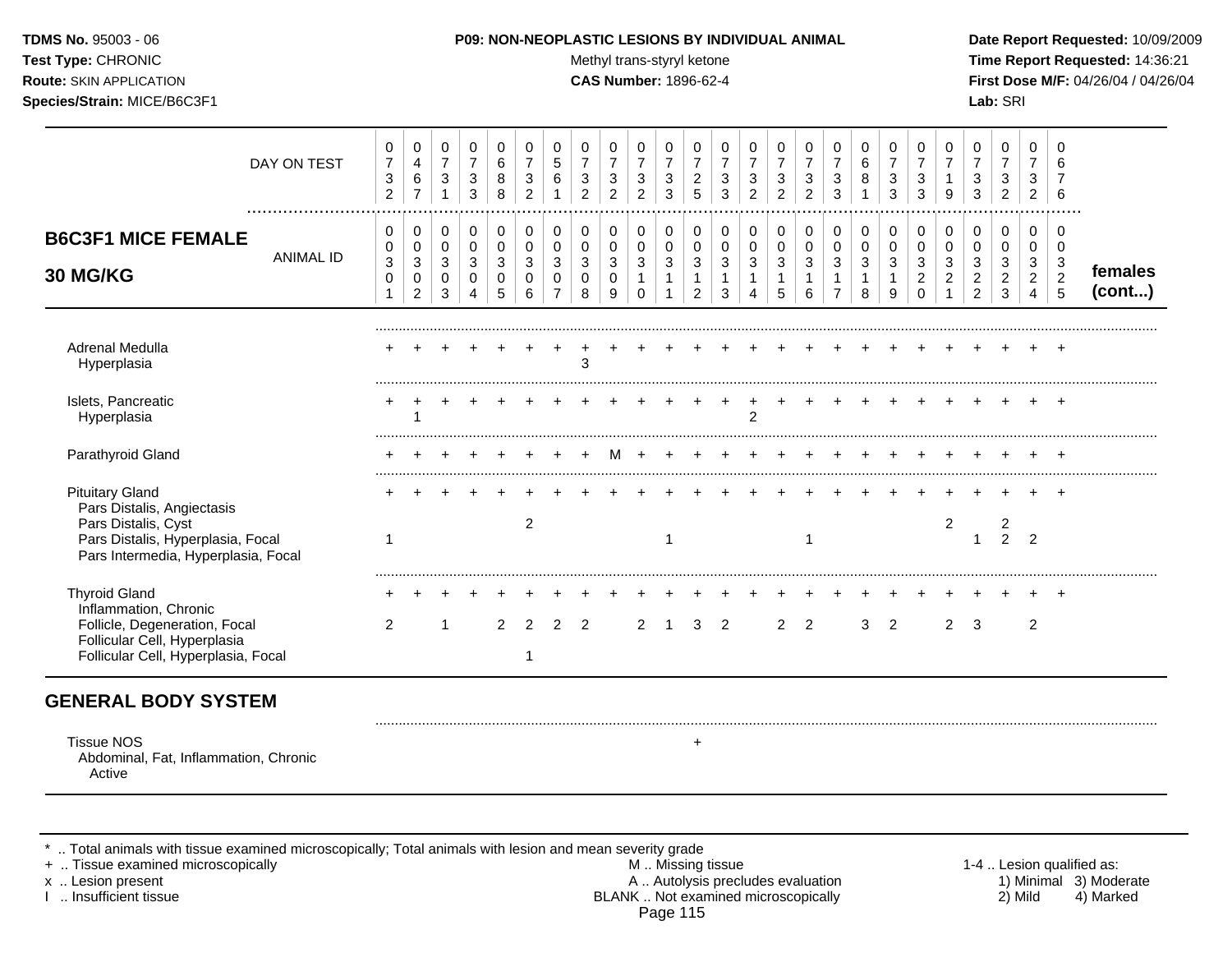Test Type: CHRONIC **Test Type:** CHRONIC **Test Type:** CHRONIC **Time Report Requested:** 14:36:21 **Route:** SKIN APPLICATION **CAS Number:** 1896-62-4 **First Dose M/F:** 04/26/04 / 04/26/04 **Species/Strain:** MICE/B6C3F1 **Lab:** SRI

|                                                                                                                                                         | DAY ON TEST<br>. | 0<br>$\overline{7}$<br>$\sqrt{3}$<br>$\overline{c}$ | 0<br>4<br>$\,6\,$<br>$\overline{7}$ | 0<br>$\overline{7}$<br>$\sqrt{3}$<br>$\mathbf{1}$ | 0<br>$\overline{7}$<br>$\mathbf{3}$<br>3 | 0<br>6<br>8<br>8 | 0<br>$\overline{7}$<br>3<br>$\overline{2}$ | 0<br>$\sqrt{5}$<br>$6\phantom{1}6$ | 0<br>$\overline{7}$<br>$\mathbf{3}$<br>$\overline{2}$ | 0<br>$\overline{7}$<br>$\sqrt{3}$<br>$\overline{2}$ | 0<br>$\overline{7}$<br>$\sqrt{3}$<br>$\overline{2}$ | 0<br>$\overline{7}$<br>3<br>3 | 0<br>$\overline{7}$<br>$\overline{2}$<br>5 | 0<br>$\overline{7}$<br>3<br>3 | 0<br>$\overline{7}$<br>$\mathbf{3}$<br>$\overline{2}$ | 0<br>$\overline{7}$<br>$\mathbf{3}$<br>$\overline{2}$ | 0<br>$\overline{7}$<br>$\mathbf{3}$<br>$\overline{2}$ | 0<br>$\overline{7}$<br>$\mathbf{3}$<br>3 | 0<br>6<br>8           | $\Omega$<br>$\overline{7}$<br>3<br>3 | $\Omega$<br>$\overline{7}$<br>3<br>3 | $\Omega$<br>$\overline{7}$<br>9 | 0<br>$\overline{7}$<br>3<br>3           | 0<br>$\overline{7}$<br>3<br>$\overline{2}$ | 0<br>$\overline{7}$<br>3<br>$\overline{2}$ | $\Omega$<br>6<br>6              |                   |
|---------------------------------------------------------------------------------------------------------------------------------------------------------|------------------|-----------------------------------------------------|-------------------------------------|---------------------------------------------------|------------------------------------------|------------------|--------------------------------------------|------------------------------------|-------------------------------------------------------|-----------------------------------------------------|-----------------------------------------------------|-------------------------------|--------------------------------------------|-------------------------------|-------------------------------------------------------|-------------------------------------------------------|-------------------------------------------------------|------------------------------------------|-----------------------|--------------------------------------|--------------------------------------|---------------------------------|-----------------------------------------|--------------------------------------------|--------------------------------------------|---------------------------------|-------------------|
| <b>B6C3F1 MICE FEMALE</b>                                                                                                                               | <b>ANIMAL ID</b> | 0<br>0                                              | 0<br>0                              | 0<br>$\mathbf 0$                                  | 0<br>$\mathbf 0$                         | 0<br>$\Omega$    | 0<br>0                                     | 0<br>$\mathbf 0$                   | 0<br>$\pmb{0}$                                        | 0<br>$\mathbf 0$                                    | 0<br>0                                              | 0<br>$\mathbf 0$              | 0<br>$\mathbf 0$                           | 0<br>$\mathbf 0$              | 0<br>$\mathbf 0$                                      | 0<br>$\pmb{0}$                                        | 0<br>$\pmb{0}$                                        | 0<br>$\pmb{0}$                           | 0<br>$\mathbf 0$      | 0<br>$\Omega$                        | 0<br>$\Omega$                        | 0<br>$\mathbf 0$                | 0<br>$\mathbf 0$                        | 0<br>$\mathbf 0$                           | 0<br>0                                     | 0<br>$\mathbf 0$                |                   |
| 30 MG/KG                                                                                                                                                |                  | 3<br>0<br>$\mathbf 1$                               | $\sqrt{3}$<br>0<br>$\overline{2}$   | 3<br>0<br>3                                       | 3<br>0<br>$\boldsymbol{\Lambda}$         | 3<br>0<br>5      | 3<br>$\Omega$<br>6                         | 3<br>$\Omega$<br>$\overline{7}$    | 3<br>0<br>8                                           | 3<br>0<br>9                                         | 3<br>$\mathbf{1}$<br>$\Omega$                       | 3                             | 3<br>1<br>2                                | 3<br>3                        | 3<br>1<br>4                                           | $\mathbf{3}$<br>$\mathbf{1}$<br>5                     | $\mathbf{3}$<br>6                                     | $\mathbf{3}$<br>1<br>$\overline{7}$      | 3<br>$\mathbf 1$<br>8 | 3<br>9                               | 3<br>$\overline{c}$<br>$\Omega$      | 3<br>$\overline{2}$             | 3<br>$\boldsymbol{2}$<br>$\mathfrak{p}$ | 3<br>$\overline{2}$<br>3                   | 3<br>$\overline{2}$<br>$\overline{4}$      | $\mathbf{3}$<br>$\sqrt{2}$<br>5 | females<br>(cont) |
|                                                                                                                                                         |                  |                                                     |                                     |                                                   |                                          |                  |                                            |                                    |                                                       |                                                     |                                                     |                               |                                            |                               |                                                       |                                                       |                                                       |                                          |                       |                                      |                                      |                                 |                                         |                                            |                                            |                                 |                   |
| Adrenal Medulla<br>Hyperplasia                                                                                                                          |                  |                                                     |                                     |                                                   |                                          |                  |                                            |                                    | 3                                                     |                                                     |                                                     |                               |                                            |                               |                                                       |                                                       |                                                       |                                          |                       |                                      |                                      |                                 |                                         |                                            |                                            |                                 |                   |
| Islets, Pancreatic<br>Hyperplasia                                                                                                                       |                  |                                                     |                                     |                                                   |                                          |                  |                                            |                                    |                                                       |                                                     |                                                     |                               |                                            |                               | $\mathfrak{p}$                                        |                                                       |                                                       |                                          |                       |                                      |                                      |                                 |                                         |                                            |                                            |                                 |                   |
| Parathyroid Gland                                                                                                                                       |                  |                                                     |                                     |                                                   |                                          |                  |                                            |                                    |                                                       |                                                     |                                                     |                               |                                            |                               |                                                       |                                                       |                                                       |                                          |                       |                                      |                                      |                                 |                                         |                                            |                                            |                                 |                   |
| <b>Pituitary Gland</b><br>Pars Distalis, Angiectasis<br>Pars Distalis, Cyst<br>Pars Distalis, Hyperplasia, Focal<br>Pars Intermedia, Hyperplasia, Focal |                  | 1                                                   |                                     |                                                   |                                          |                  | $\overline{2}$                             |                                    |                                                       |                                                     |                                                     | $\overline{\mathbf{1}}$       |                                            |                               |                                                       |                                                       |                                                       |                                          |                       |                                      |                                      | $\overline{\mathbf{c}}$         | 1                                       | $\frac{2}{2}$                              | 2                                          |                                 |                   |
| <b>Thyroid Gland</b>                                                                                                                                    |                  |                                                     |                                     |                                                   |                                          |                  |                                            |                                    |                                                       |                                                     |                                                     |                               |                                            |                               |                                                       |                                                       |                                                       |                                          |                       |                                      |                                      |                                 |                                         |                                            |                                            |                                 |                   |
| Inflammation, Chronic<br>Follicle, Degeneration, Focal<br>Follicular Cell, Hyperplasia                                                                  |                  | 2                                                   |                                     |                                                   |                                          | 2                | 2                                          | 2                                  | $\overline{2}$                                        |                                                     | 2                                                   |                               | 3                                          | 2                             |                                                       | 2                                                     | 2                                                     |                                          | 3                     | $\overline{2}$                       |                                      | $\overline{2}$                  | 3                                       |                                            | 2                                          |                                 |                   |
| Follicular Cell, Hyperplasia, Focal<br><b>GENERAL BODY SYSTEM</b>                                                                                       |                  |                                                     |                                     |                                                   |                                          |                  | 1                                          |                                    |                                                       |                                                     |                                                     |                               |                                            |                               |                                                       |                                                       |                                                       |                                          |                       |                                      |                                      |                                 |                                         |                                            |                                            |                                 |                   |
|                                                                                                                                                         |                  |                                                     |                                     |                                                   |                                          |                  |                                            |                                    |                                                       |                                                     |                                                     |                               |                                            |                               |                                                       |                                                       |                                                       |                                          |                       |                                      |                                      |                                 |                                         |                                            |                                            |                                 |                   |
| <b>Tissue NOS</b><br>Abdominal, Fat, Inflammation, Chronic<br>Active                                                                                    |                  |                                                     |                                     |                                                   |                                          |                  |                                            |                                    |                                                       |                                                     |                                                     |                               | $\ddot{}$                                  |                               |                                                       |                                                       |                                                       |                                          |                       |                                      |                                      |                                 |                                         |                                            |                                            |                                 |                   |

\* .. Total animals with tissue examined microscopically; Total animals with lesion and mean severity grade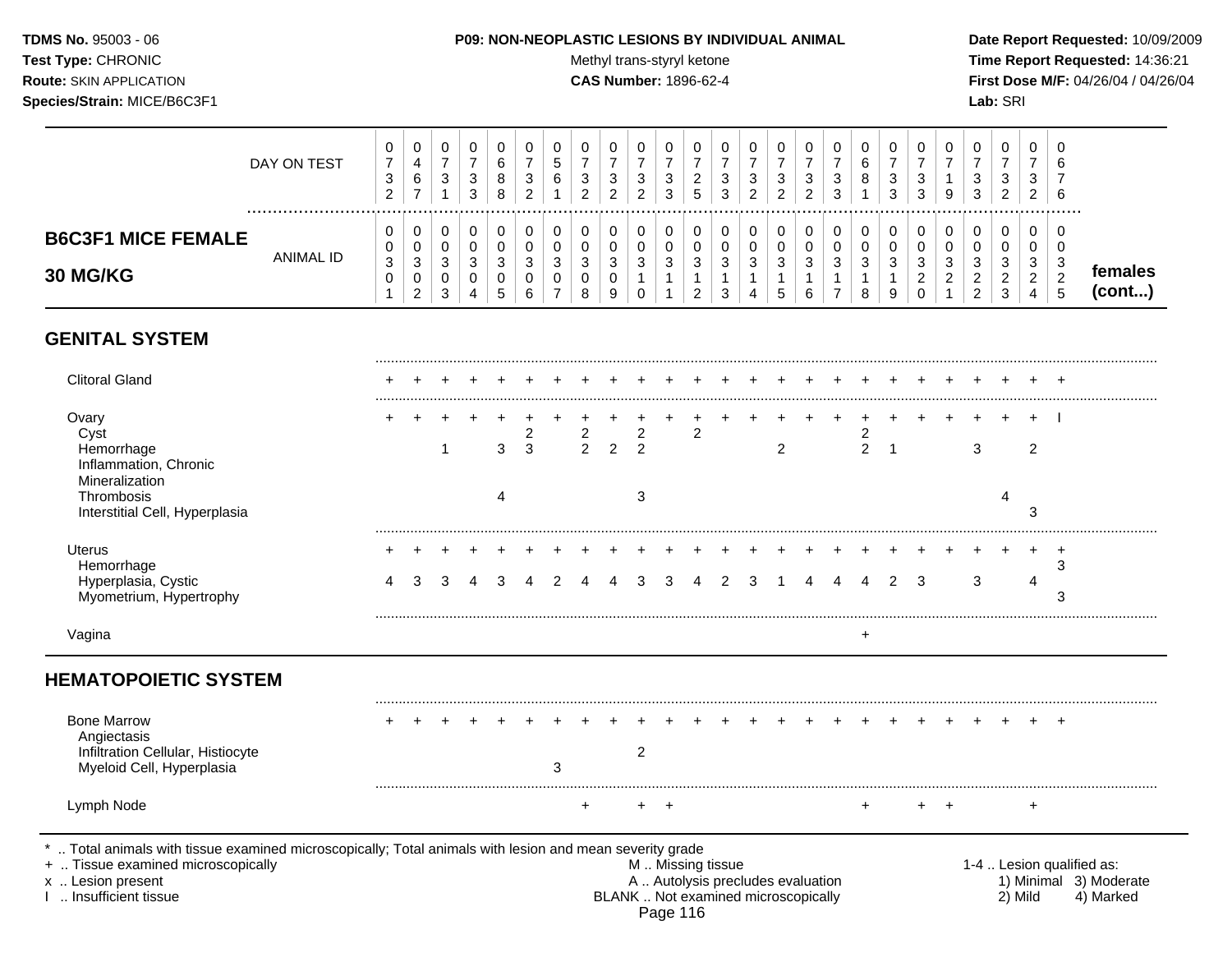### **TDMS No.** 95003 - 06 **P09: NON-NEOPLASTIC LESIONS BY INDIVIDUAL ANIMAL Date Report Requested:** 10/09/2009

Test Type: CHRONIC **Test Type:** CHRONIC **Test Type:** CHRONIC **Time Report Requested:** 14:36:21 **Route:** SKIN APPLICATION **CAS Number:** 1896-62-4 **First Dose M/F:** 04/26/04 / 04/26/04

|                                       | DAY ON TEST | U<br>⇁<br>చ<br>2 | 0<br>4<br>6<br>$\overline{ }$      | ◡<br>$\sim$<br>J | υ<br>3<br>3      | v<br>6<br>8<br>8 | 0<br>-<br>3<br>ົ<br>∼ | 0<br>G<br>6                       | 3 | 0<br>3<br>າ            | $\sim$<br>J<br>ົ<br><u>_</u> | U<br>3<br>3 | U<br>_<br>G      | 0<br>3<br>3      | 0<br>3<br>ົ<br><u>_</u> | u<br>ົ<br>د<br>ົ<br>∼ | 0<br>3<br>ົ<br>∠ | ◠<br>د<br>◠ | U<br>6<br>8      | -3<br>3 | 0<br>3<br>3                                  | 0<br>9                                 | υ<br>3<br>3                            | U<br>3<br>C,<br>∼            | v<br>دت<br>ົ<br>$\epsilon$ | 0<br>6<br>6                            |                   |
|---------------------------------------|-------------|------------------|------------------------------------|------------------|------------------|------------------|-----------------------|-----------------------------------|---|------------------------|------------------------------|-------------|------------------|------------------|-------------------------|-----------------------|------------------|-------------|------------------|---------|----------------------------------------------|----------------------------------------|----------------------------------------|------------------------------|----------------------------|----------------------------------------|-------------------|
| <b>B6C3F1 MICE FEMALE</b><br>30 MG/KG | ANIMAL ID   | U<br>0<br>3<br>U | 0<br>0<br>3<br>0<br>$\overline{2}$ | ີ<br>3           | 0<br>0<br>3<br>4 | ◡<br>ີ<br>J<br>G | 0<br>0<br>3<br>0<br>6 | 0<br>0<br>3<br>0<br>$\rightarrow$ | 3 | 0<br>0<br>3<br>0<br>-9 | $\sim$                       | U<br>υ<br>3 | $\sim$<br>ں<br>£ | 0<br>0<br>3<br>3 | 0<br>0<br>ີ<br>ت<br>4   | دت                    | 0<br>3<br>6      | $\sim$      | v<br>v<br>3<br>8 | 3<br>9  | 0<br>0<br>3<br>ີ<br><u>.</u><br>$\mathbf{0}$ | 0<br>0<br>ີ<br>ັ<br>$\sim$<br><u>_</u> | U<br>3<br>◠<br><u>_</u><br>າ<br>$\sim$ | 0<br>υ<br>3<br><u>_</u><br>3 | v<br>3<br>$\sim$<br>∼      | 0<br>0<br>3<br>$\sim$<br><u>.</u><br>ა | females<br>(cont) |

## **GENITAL SYSTEM**

| $\overline{2}$    | 2<br>$\mathfrak{p}$<br>2<br>+ | 3 | 3<br>3                            | 4 | 2<br>3<br>3<br>4                                    |
|-------------------|-------------------------------|---|-----------------------------------|---|-----------------------------------------------------|
|                   |                               |   |                                   |   |                                                     |
|                   |                               |   |                                   |   |                                                     |
|                   |                               |   |                                   |   |                                                     |
|                   |                               |   |                                   |   |                                                     |
|                   |                               |   |                                   |   |                                                     |
|                   |                               |   |                                   |   |                                                     |
|                   |                               |   |                                   |   |                                                     |
|                   |                               |   |                                   |   | $\ddot{}$                                           |
|                   |                               |   |                                   |   |                                                     |
|                   | +                             |   |                                   |   | $\ddot{}$                                           |
| M  Missing tissue |                               |   | A  Autolysis precludes evaluation |   | 1-4  Lesion qualified as:<br>1) Minimal 3) Moderate |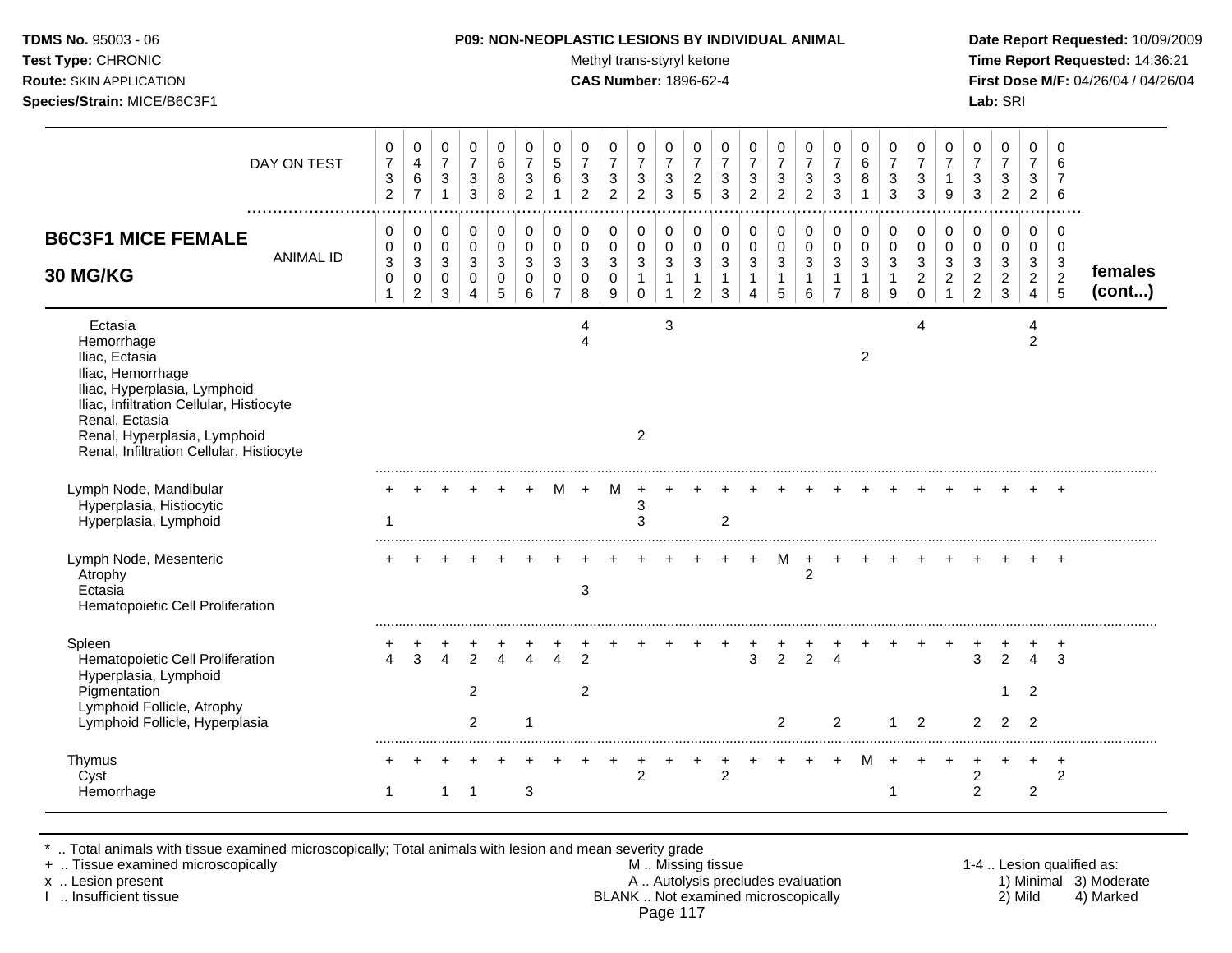| <b>TDMS No. 95003 - 06</b>         | <b>P09: NON-NEOPLASTIC LESIONS BY INDIVIDUAL ANIMAL</b> | Date Rep         |
|------------------------------------|---------------------------------------------------------|------------------|
| <b>Test Type: CHRONIC</b>          | Methyl trans-styryl ketone                              | Time Rer         |
| <b>Route: SKIN APPLICATION</b>     | <b>CAS Number: 1896-62-4</b>                            | <b>First Dos</b> |
| <b>Species/Strain: MICE/B6C3F1</b> |                                                         | <b>Lab: SRI</b>  |

**Test Type:** CHRONIC **Trans-styryl ketone** Methyl trans-styryl ketone **Time Report Requested:** 14:36:21 **Route:** SKIN APPLICATION **CAS Number:** 1896-62-4 **First Dose M/F:** 04/26/04 / 04/26/04

|                                                                                                                                                                                                                                        | DAY ON TEST      | 0<br>$\overline{7}$<br>$\ensuremath{\mathsf{3}}$<br>$\overline{2}$ | 0<br>$\overline{4}$<br>$\,6\,$<br>$\overline{7}$          | 0<br>$\overline{7}$<br>$\sqrt{3}$<br>$\overline{1}$  | 0<br>$\overline{7}$<br>$\sqrt{3}$<br>3              | 0<br>6<br>8<br>8                          | 0<br>$\overline{7}$<br>3<br>2          | 0<br>$\overline{5}$<br>6<br>$\overline{1}$ | 0<br>$\overline{7}$<br>3<br>$\overline{2}$ | 0<br>$\overline{7}$<br>$\sqrt{3}$<br>$\overline{2}$ | 0<br>$\overline{7}$<br>$\ensuremath{\mathsf{3}}$<br>2 | 0<br>$\overline{7}$<br>$\sqrt{3}$<br>3                | 0<br>$\overline{7}$<br>$\sqrt{2}$<br>5 | 0<br>$\overline{7}$<br>3<br>3                        | 0<br>$\overline{7}$<br>$\sqrt{3}$<br>$\overline{2}$ | 0<br>$\overline{7}$<br>3<br>$\overline{2}$              | 0<br>$\overline{7}$<br>$\sqrt{3}$<br>$\overline{2}$ | 0<br>$\overline{7}$<br>3<br>3                | 0<br>$\,6\,$<br>8<br>1                            | 0<br>$\overline{7}$<br>3<br>3 | 0<br>$\overline{7}$<br>3<br>3                         | 0<br>$\overline{7}$<br>9                | 0<br>$\overline{7}$<br>3<br>3                   | 0<br>$\overline{7}$<br>$\sqrt{3}$<br>$\overline{2}$ | 0<br>$\overline{7}$<br>3<br>2                             | 0<br>6<br>6                                 |                   |
|----------------------------------------------------------------------------------------------------------------------------------------------------------------------------------------------------------------------------------------|------------------|--------------------------------------------------------------------|-----------------------------------------------------------|------------------------------------------------------|-----------------------------------------------------|-------------------------------------------|----------------------------------------|--------------------------------------------|--------------------------------------------|-----------------------------------------------------|-------------------------------------------------------|-------------------------------------------------------|----------------------------------------|------------------------------------------------------|-----------------------------------------------------|---------------------------------------------------------|-----------------------------------------------------|----------------------------------------------|---------------------------------------------------|-------------------------------|-------------------------------------------------------|-----------------------------------------|-------------------------------------------------|-----------------------------------------------------|-----------------------------------------------------------|---------------------------------------------|-------------------|
| <b>B6C3F1 MICE FEMALE</b><br>30 MG/KG                                                                                                                                                                                                  | <b>ANIMAL ID</b> | 0<br>0<br>$\,$ 3 $\,$<br>$\mathsf 0$<br>$\mathbf 1$                | 0<br>$\pmb{0}$<br>$\mathbf{3}$<br>$\pmb{0}$<br>$\sqrt{2}$ | 0<br>$\mathbf 0$<br>3<br>$\mathbf 0$<br>$\mathbf{3}$ | $\mathbf 0$<br>$\mathbf 0$<br>3<br>$\mathbf 0$<br>4 | 0<br>$\mathbf 0$<br>3<br>$\mathbf 0$<br>5 | 0<br>$\mathbf 0$<br>3<br>$\Omega$<br>6 | 0<br>0<br>3<br>$\Omega$<br>$\overline{7}$  | 0<br>0<br>3<br>0<br>8                      | 0<br>$\pmb{0}$<br>3<br>$\pmb{0}$<br>$9\,$           | 0<br>0<br>3<br>$\mathbf{1}$<br>$\mathbf 0$            | 0<br>$\mathbf 0$<br>$\mathbf{3}$<br>$\mathbf{1}$<br>1 | 0<br>$\mathbf 0$<br>3<br>1<br>2        | 0<br>$\mathbf 0$<br>$\mathbf{3}$<br>$\mathbf 1$<br>3 | 0<br>0<br>3<br>$\mathbf{1}$<br>4                    | 0<br>$\mathsf 0$<br>$\mathfrak{Z}$<br>$\mathbf{1}$<br>5 | 0<br>$\pmb{0}$<br>$\mathbf{3}$<br>$\mathbf{1}$<br>6 | 0<br>0<br>3<br>$\mathbf 1$<br>$\overline{7}$ | 0<br>$\pmb{0}$<br>$\sqrt{3}$<br>$\mathbf{1}$<br>8 | 0<br>$\mathbf 0$<br>3<br>9    | 0<br>$\mathbf 0$<br>3<br>$\boldsymbol{2}$<br>$\Omega$ | 0<br>$\mathbf 0$<br>3<br>$\overline{2}$ | 0<br>0<br>3<br>$\overline{a}$<br>$\overline{c}$ | 0<br>$\mathbf 0$<br>$\mathbf{3}$<br>$\frac{2}{3}$   | $\mathbf 0$<br>0<br>3<br>$\overline{a}$<br>$\overline{4}$ | 0<br>0<br>3<br>$\sqrt{2}$<br>$\overline{5}$ | females<br>(cont) |
| Ectasia<br>Hemorrhage<br>Iliac, Ectasia<br>Iliac, Hemorrhage<br>Iliac, Hyperplasia, Lymphoid<br>Iliac, Infiltration Cellular, Histiocyte<br>Renal, Ectasia<br>Renal, Hyperplasia, Lymphoid<br>Renal, Infiltration Cellular, Histiocyte |                  |                                                                    |                                                           |                                                      |                                                     |                                           |                                        |                                            | Δ                                          |                                                     | 2                                                     | 3                                                     |                                        |                                                      |                                                     |                                                         |                                                     |                                              | $\overline{2}$                                    |                               | 4                                                     |                                         |                                                 |                                                     | 4<br>$\overline{2}$                                       |                                             |                   |
| Lymph Node, Mandibular<br>Hyperplasia, Histiocytic<br>Hyperplasia, Lymphoid                                                                                                                                                            |                  | $\mathbf 1$                                                        |                                                           |                                                      |                                                     |                                           |                                        |                                            |                                            | M                                                   | 3<br>3                                                |                                                       |                                        | 2                                                    |                                                     |                                                         |                                                     |                                              |                                                   |                               |                                                       |                                         |                                                 |                                                     |                                                           |                                             |                   |
| Lymph Node, Mesenteric<br>Atrophy<br>Ectasia<br>Hematopoietic Cell Proliferation                                                                                                                                                       |                  |                                                                    |                                                           |                                                      |                                                     |                                           |                                        |                                            | 3                                          |                                                     |                                                       |                                                       |                                        |                                                      |                                                     | M                                                       | $\ddot{}$<br>$\overline{c}$                         |                                              |                                                   |                               |                                                       |                                         |                                                 |                                                     |                                                           |                                             |                   |
| Spleen<br>Hematopoietic Cell Proliferation<br>Hyperplasia, Lymphoid<br>Pigmentation<br>Lymphoid Follicle, Atrophy<br>Lymphoid Follicle, Hyperplasia                                                                                    |                  | $\Delta$                                                           | 3                                                         |                                                      | $\mathfrak{p}$<br>$\overline{2}$<br>$\overline{2}$  |                                           |                                        |                                            | $\overline{2}$<br>$\overline{c}$           |                                                     |                                                       |                                                       |                                        |                                                      | 3                                                   | $\overline{2}$<br>2                                     | $\overline{2}$                                      | $\overline{2}$                               |                                                   |                               | 2                                                     |                                         | 3<br>$\overline{2}$                             | $\overline{2}$<br>2                                 | $\overline{2}$<br>$\overline{2}$                          | $\div$<br>3                                 |                   |
| Thymus<br>Cyst<br>Hemorrhage                                                                                                                                                                                                           |                  | -1                                                                 |                                                           |                                                      | -1                                                  |                                           | 3                                      |                                            |                                            |                                                     | 2                                                     |                                                       |                                        | 2                                                    |                                                     |                                                         |                                                     |                                              |                                                   | 1                             |                                                       |                                         | $\overline{c}$<br>$\overline{c}$                |                                                     | 2                                                         | $\overline{ }$<br>$\overline{2}$            |                   |

\* .. Total animals with tissue examined microscopically; Total animals with lesion and mean severity grade

+ .. Tissue examined microscopically M .. Missing tissue 1-4 .. Lesion qualified as: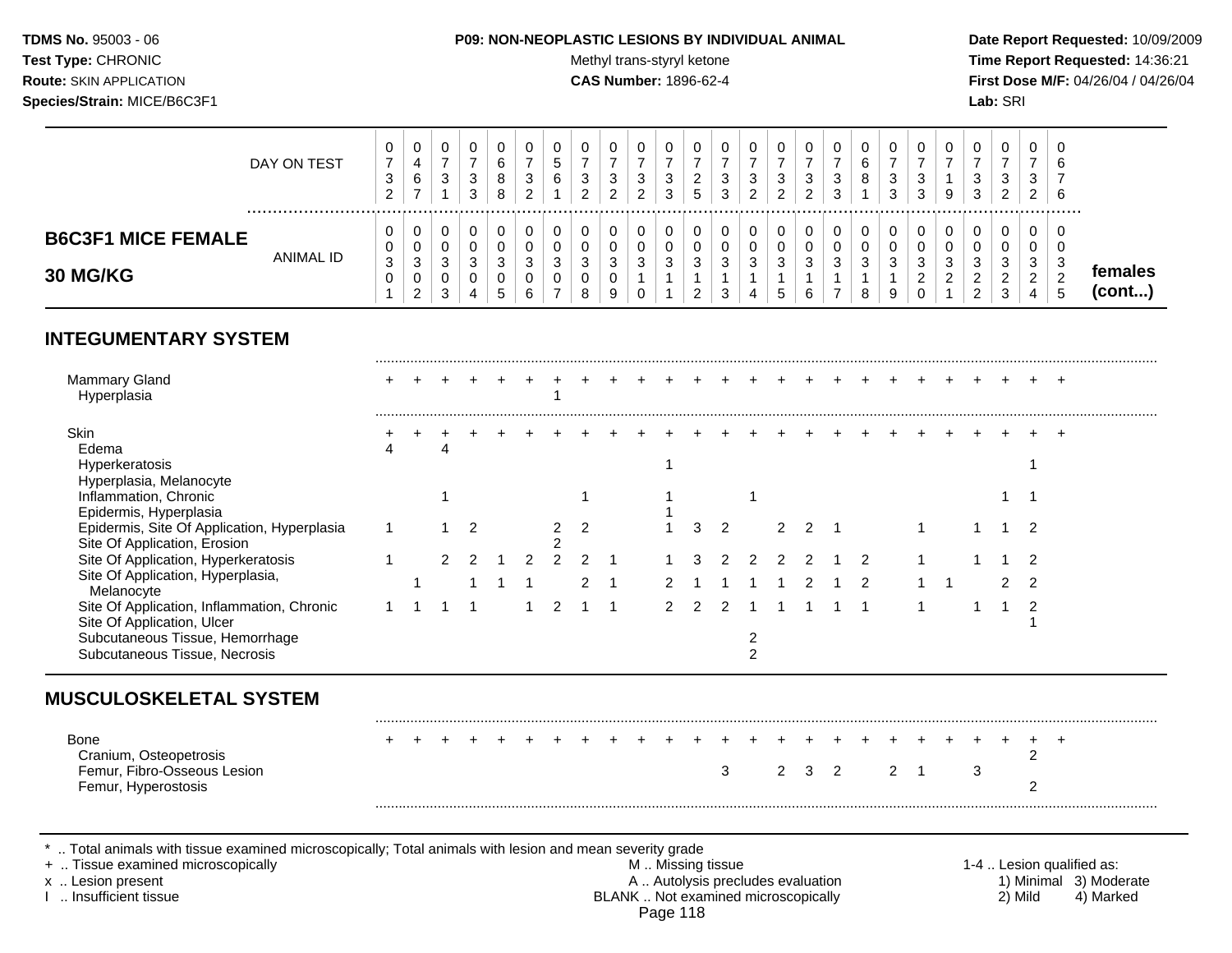#### **TDMS No.** 95003 - 06 **P09: NON-NEOPLASTIC LESIONS BY INDIVIDUAL ANIMAL Date Report Requested:** 10/09/2009

**Test Type:** CHRONIC **The Report Requested:** 14:36:21 **Route:** SKIN APPLICATION **CAS Number:** 1896-62-4 **First Dose M/F:** 04/26/04 / 04/26/04

|                           | DAY ON TEST<br> | ⇁<br>$\sim$<br>ັ<br>ົ | 0<br>4<br>6<br>$\rightarrow$ | U<br>ີ<br>◡           | 3<br>3 | دت<br>$\sim$ | <sub>5</sub><br>6 | 3<br>າ     | U<br>3<br>ົ      | v<br>◠<br>ັ<br>$\sim$<br>$\epsilon$ | u<br>2<br>N<br>3 | v<br>G  | د<br>3 | 3<br>$\sim$<br>$\epsilon$ | ົ | 0<br>3<br>ົ<br><u>_</u> | ີ<br>ັ<br>$\mathbf{r}$<br>ັ | U<br>6<br>8 | 3<br>ີ<br>J             | 0<br>3<br>3      | U<br>9 | J<br>З | U<br>3<br><u>_</u>  |   | ◡<br>6<br>6   |                   |  |
|---------------------------|-----------------|-----------------------|------------------------------|-----------------------|--------|--------------|-------------------|------------|------------------|-------------------------------------|------------------|---------|--------|---------------------------|---|-------------------------|-----------------------------|-------------|-------------------------|------------------|--------|--------|---------------------|---|---------------|-------------------|--|
| <b>B6C3F1 MICE FEMALE</b> | ANIMAL ID       | v                     | 0<br>0                       | U<br>υ                | u      |              |                   |            |                  | v                                   | U<br>u           | ν<br>ັບ |        |                           |   | 0<br>0                  |                             | υ<br>v      |                         | 0<br>0           | 0<br>U |        | 0<br>U              |   | 0<br>◡        |                   |  |
| <b>30 MG/KG</b>           |                 | ົ<br>J.               | 3<br>0<br>ົ<br><u>_</u>      | ົ<br>ັ<br>υ<br>ົ<br>ັ | J      |              | ົ<br>ູບ           | $\sqrt{2}$ | ີ<br>J<br>0<br>9 | $\sim$<br>ັ                         | ◠<br>J           | J       | د      | <sup>o</sup><br>ت         |   | 3                       | ົ                           | ີ<br>J      | ◠<br>J<br>$\Omega$<br>◡ | 3<br>ີ<br>_<br>v | ົ<br>◡ |        | ົ<br>-3<br><u>.</u> | ົ | c<br><u>_</u> | temales<br>(cont) |  |

## **INTEGUMENTARY SYSTEM**

|  |  | 2 |  |  |  |  |  |  |  |  |  |  |
|--|--|---|--|--|--|--|--|--|--|--|--|--|

Cranium, Osteopetrosis 2 Femur, Fibro-Osseous Lesion Femur, Hyperostosis 2

\* .. Total animals with tissue examined microscopically; Total animals with lesion and mean severity grade<br>+ .. Tissue examined microscopically

+ .. Tissue examined microscopically the state of the state of the M .. Missing tissue 1-4 .. Lesion qualified as:

x .. Lesion present 1) Minimal 3) Moderate<br>A .. Autolysis precludes evaluation 1 and 1) Minimal 3) Moderate<br>BLANK .. Not examined microscopically 2) Mild 4) Marked BLANK .. Not examined microscopically Page 118

.........................................................................................................................................................................................................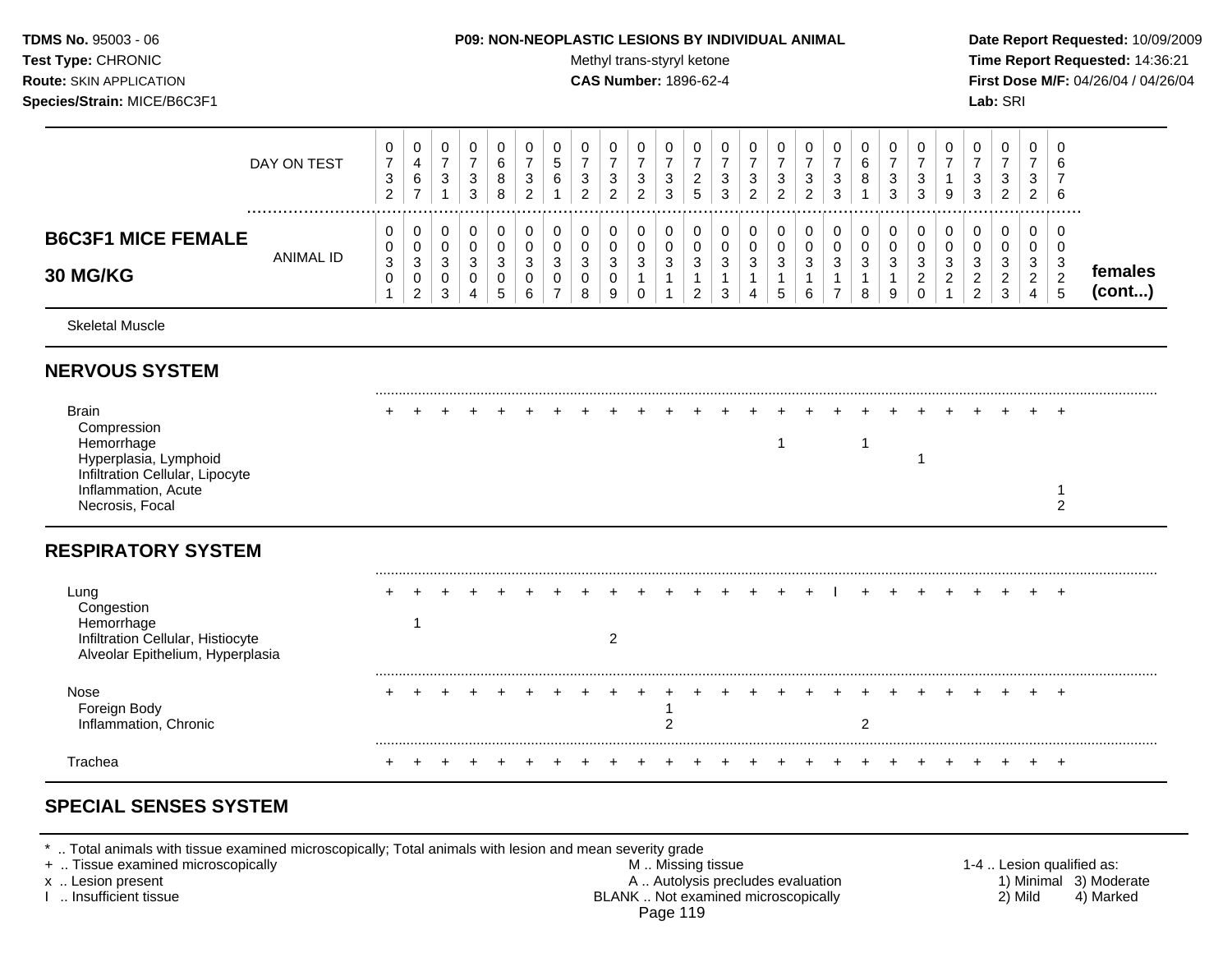#### **TDMS No.** 95003 - 06 **P09: NON-NEOPLASTIC LESIONS BY INDIVIDUAL ANIMAL Date Report Requested:** 10/09/2009

**Test Type:** CHRONIC **The Report Requested:** 14:36:21 **Route:** SKIN APPLICATION **CAS Number:** 1896-62-4 **First Dose M/F:** 04/26/04 / 04/26/04

|                                              | DAY ON TEST | 0<br>$\overline{ }$<br>3<br>ົ<br><u>_</u> | 0<br>6<br>-                                   | 0<br>ົ<br>- 3 | đ<br>3 | υ<br>b<br>8<br>8              | υ<br>$\sim$<br>ت<br>$\sim$ | υ<br>ົບ<br>6           | υ<br>3<br>$\sim$ | دت<br>റ            | υ<br>3<br>ົ<br><u>.</u> | $\sqrt{2}$<br>ు<br>З | υ<br><u>_</u><br>đ | U<br>ົ<br>ັ<br>3           | U<br>c<br>J<br>ົ<br>_ | 0<br>3<br>ົ<br>_ | $\sim$<br>$\sim$ | υ<br>3<br>3 | ⌒<br>8 | 0<br>3<br>3      | U<br>ົ<br>J<br>3                   |         | 0<br>3<br>3                                | $\sim$<br>ت<br>$\sim$<br>_              | 0<br>ີ<br>◡<br>ົ<br>$\epsilon$    | 0<br>O<br>-6                        |                   |
|----------------------------------------------|-------------|-------------------------------------------|-----------------------------------------------|---------------|--------|-------------------------------|----------------------------|------------------------|------------------|--------------------|-------------------------|----------------------|--------------------|----------------------------|-----------------------|------------------|------------------|-------------|--------|------------------|------------------------------------|---------|--------------------------------------------|-----------------------------------------|-----------------------------------|-------------------------------------|-------------------|
| <b>B6C3F1 MICE FEMALE</b><br><b>30 MG/KG</b> | ANIMAL ID   | 0<br>0<br>3<br>U                          | $\mathbf 0$<br>0<br>3<br>0<br>ົ<br>$\epsilon$ | U<br>3<br>3   |        | З<br>$\overline{\phantom{a}}$ | ົ<br>ັ<br>6                | u<br>ີ<br>N<br>ັບ<br>- | U<br>3<br>u<br>8 | ົ<br><b>ت</b><br>9 | 0<br>3                  | 3                    | U<br>3<br>ີ        | 0<br>∩<br>ົ<br>J<br>◠<br>J | U<br>ົ                | 0<br>3<br>.5     | ົ<br>c           | υ<br>3<br>⇁ | 3<br>я | 0<br>0<br>3<br>9 | 3<br><sup>o</sup><br><u>_</u><br>U | ٠J<br>_ | 0<br>0<br>3<br>$\sqrt{2}$<br><u>_</u><br>ົ | ົ<br><sup>o</sup><br><u>_</u><br>$\sim$ | 0<br>ີ<br>◡<br>◠<br><u>_</u><br>4 | $\overline{0}$<br>0<br>-3<br>n<br>ು | temales<br>(cont) |

Skeletal Muscle

### **NERVOUS SYSTEM**

| Brain<br>Compression<br>Hemorrhage<br>Hyperplasia, Lymphoid<br>Infiltration Cellular, Lipocyte |  |  |  |  |   |  |  |  |  |  |  |  |   |  |
|------------------------------------------------------------------------------------------------|--|--|--|--|---|--|--|--|--|--|--|--|---|--|
| Inflammation, Acute<br>Necrosis, Focal                                                         |  |  |  |  |   |  |  |  |  |  |  |  | c |  |
| <b>RESPIRATORY SYSTEM</b>                                                                      |  |  |  |  |   |  |  |  |  |  |  |  |   |  |
| Lung<br>Congestion                                                                             |  |  |  |  |   |  |  |  |  |  |  |  |   |  |
| Hemorrhage<br>Infiltration Cellular, Histiocyte<br>Alveolar Epithelium, Hyperplasia            |  |  |  |  | 2 |  |  |  |  |  |  |  |   |  |
| Nose<br>Foreign Body<br>Inflammation, Chronic                                                  |  |  |  |  |   |  |  |  |  |  |  |  |   |  |
| Trachea                                                                                        |  |  |  |  |   |  |  |  |  |  |  |  |   |  |

# **SPECIAL SENSES SYSTEM**

\* .. Total animals with tissue examined microscopically; Total animals with lesion and mean severity grade<br>+ .. Tissue examined microscopically

+ .. Tissue examined microscopically the state of the state of the M .. Missing tissue 1-4 .. Lesion qualified as: x .. Lesion present 1) Minimal 3) Moderate<br>A .. Autolysis precludes evaluation 1 and 1) Minimal 3) Moderate<br>A .. Autolysis precludes evaluation 1 and 1) Minimal 3) Moderate<br>A .. Autolysis precludes evaluation 1 and 1) Mini BLANK .. Not examined microscopically Page 119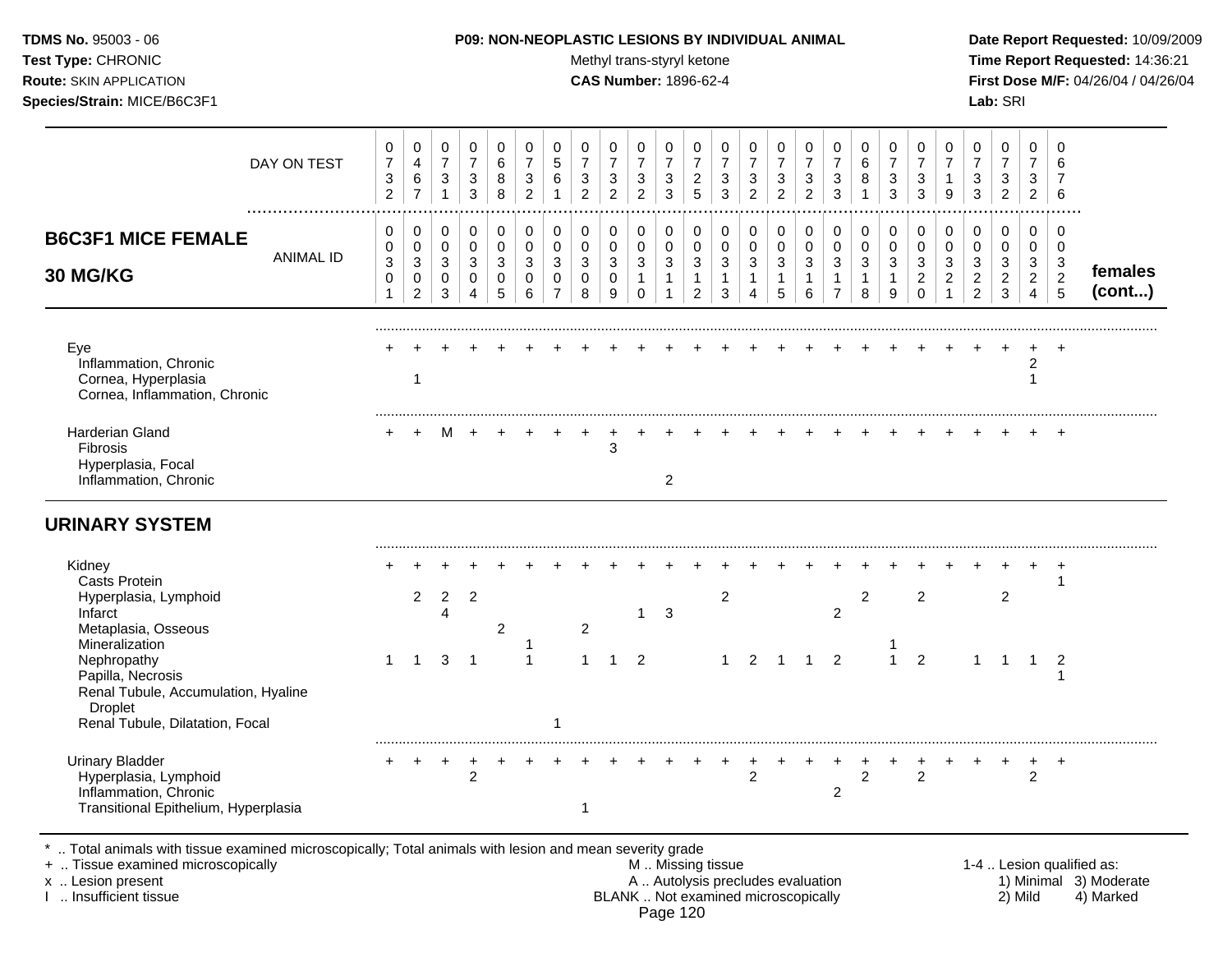| TDMS No. 95003 - 06<br>Test Type: CHRONIC<br>Route: SKIN APPLICATION<br>Species/Strain: MICE/B6C3F1                                            |                                                       |                                                                           |                                                                            |                                                                            |                                                              |                                                                            |                                                                           |                                                       | Methyl trans-styryl ketone<br><b>CAS Number: 1896-62-4</b> |                                                                       |                                                                  |                                                                                         |                                                        | P09: NON-NEOPLASTIC LESIONS BY INDIVIDUAL ANIMAL                  |                                                     |                                                                    |                                                      |                                            |                                                               |                                                                   |                                                                                           |                                                                   | Lab: SRI                                                           |                                                                     |                                                                                 | Date Report Requested: 10/09/2009<br>Time Report Requested: 14:36:21<br>First Dose M/F: 04/26/04 / 04/26/04 |
|------------------------------------------------------------------------------------------------------------------------------------------------|-------------------------------------------------------|---------------------------------------------------------------------------|----------------------------------------------------------------------------|----------------------------------------------------------------------------|--------------------------------------------------------------|----------------------------------------------------------------------------|---------------------------------------------------------------------------|-------------------------------------------------------|------------------------------------------------------------|-----------------------------------------------------------------------|------------------------------------------------------------------|-----------------------------------------------------------------------------------------|--------------------------------------------------------|-------------------------------------------------------------------|-----------------------------------------------------|--------------------------------------------------------------------|------------------------------------------------------|--------------------------------------------|---------------------------------------------------------------|-------------------------------------------------------------------|-------------------------------------------------------------------------------------------|-------------------------------------------------------------------|--------------------------------------------------------------------|---------------------------------------------------------------------|---------------------------------------------------------------------------------|-------------------------------------------------------------------------------------------------------------|
| DAY ON TEST                                                                                                                                    | 0<br>$\overline{7}$<br>$\mathbf{3}$<br>$\overline{2}$ | 0<br>$\overline{4}$<br>$\,6\,$<br>$\overline{7}$                          | $\pmb{0}$<br>$\boldsymbol{7}$<br>$\ensuremath{\mathsf{3}}$<br>$\mathbf{1}$ | $\mathbf 0$<br>$\overline{7}$<br>$\ensuremath{\mathsf{3}}$<br>$\mathbf{3}$ | $\mathbf 0$<br>$\,6\,$<br>$\,8\,$<br>$\,8\,$                 | $\pmb{0}$<br>$\overline{7}$<br>$\ensuremath{\mathsf{3}}$<br>$\overline{2}$ | 0<br>$\overline{5}$<br>6<br>$\mathbf{1}$                                  | 0<br>$\overline{7}$<br>$\mathbf{3}$<br>$\overline{2}$ | 0<br>$\overline{7}$<br>$\mathbf{3}$<br>$\overline{a}$      | 0<br>$\overline{7}$<br>$\sqrt{3}$<br>$\overline{c}$                   | $\mathbf 0$<br>$\boldsymbol{7}$<br>$\mathbf 3$<br>$\mathbf{3}$   | 0<br>$\overline{7}$<br>$\frac{2}{5}$                                                    | 0<br>$\overline{7}$<br>$\mathbf 3$<br>$\mathbf{3}$     | $\mathbf 0$<br>$\overline{7}$<br>$\mathsf 3$<br>$\overline{2}$    | 0<br>$\overline{7}$<br>$\sqrt{3}$<br>$\overline{c}$ | 0<br>$\overline{7}$<br>$\mathbf{3}$<br>$\overline{2}$              | 0<br>$\overline{7}$<br>3<br>3                        | 0<br>6<br>8<br>$\mathbf{1}$                | 0<br>$\overline{7}$<br>$\sqrt{3}$<br>$\mathfrak{Z}$           | $\mathbf 0$<br>$\overline{7}$<br>$\mathbf 3$<br>$\mathbf{3}$      | 0<br>$\overline{7}$<br>$\overline{1}$<br>9                                                | 0<br>$\overline{7}$<br>$\sqrt{3}$<br>$\mathbf{3}$                 | 0<br>$\overline{7}$<br>$\ensuremath{\mathsf{3}}$<br>$\overline{2}$ | $\mathbf 0$<br>$\overline{7}$<br>$\mathbf{3}$<br>$\overline{2}$     | $\Omega$<br>6<br>$\overline{7}$<br>6                                            |                                                                                                             |
| <b>B6C3F1 MICE FEMALE</b><br><b>ANIMAL ID</b><br>30 MG/KG                                                                                      | 0<br>$\mathbf 0$<br>$\mathbf{3}$<br>$\mathbf 0$<br>1  | $\mathbf 0$<br>$\mathbf 0$<br>$\sqrt{3}$<br>$\mathbf 0$<br>$\overline{2}$ | $\mathbf 0$<br>$\mathbf 0$<br>$\mathbf{3}$<br>$\mathbf 0$<br>3             | $\mathbf 0$<br>$\mathbf 0$<br>3<br>$\mathbf 0$<br>$\overline{4}$           | $\mathbf 0$<br>$\mathbf 0$<br>$\sqrt{3}$<br>$\mathbf 0$<br>5 | $\mathbf 0$<br>$\mathbf 0$<br>$\mathbf{3}$<br>$\mathbf 0$<br>$\,6\,$       | $\mathbf 0$<br>$\mathbf 0$<br>$\sqrt{3}$<br>$\mathbf 0$<br>$\overline{7}$ | $\mathbf 0$<br>$\Omega$<br>3<br>$\mathbf 0$<br>8      | 0<br>$\mathbf 0$<br>3<br>0<br>9                            | $\mathbf 0$<br>$\pmb{0}$<br>$\mathbf{3}$<br>$\mathbf{1}$<br>$\pmb{0}$ | 0<br>$\mathbf 0$<br>$\mathbf{3}$<br>$\mathbf{1}$<br>$\mathbf{1}$ | $\pmb{0}$<br>$\mathbf 0$<br>$\ensuremath{\mathsf{3}}$<br>$\mathbf{1}$<br>$\overline{2}$ | $\mathbf 0$<br>$\mathbf 0$<br>3<br>$\overline{1}$<br>3 | $\mathbf 0$<br>$\mathbf 0$<br>3<br>$\mathbf{1}$<br>$\overline{4}$ | 0<br>$\mathbf 0$<br>3<br>$\mathbf{1}$<br>5          | 0<br>$\mathbf 0$<br>$\mathbf{3}$<br>$\mathbf{1}$<br>$6\phantom{1}$ | 0<br>$\Omega$<br>3<br>$\mathbf{1}$<br>$\overline{7}$ | 0<br>$\mathbf 0$<br>3<br>$\mathbf{1}$<br>8 | $\mathbf 0$<br>$\pmb{0}$<br>$\mathbf{3}$<br>$\mathbf{1}$<br>9 | 0<br>$\mathbf 0$<br>$\mathbf{3}$<br>$\overline{2}$<br>$\mathbf 0$ | $\mathbf 0$<br>$\mathbf 0$<br>$\ensuremath{\mathsf{3}}$<br>$\overline{2}$<br>$\mathbf{1}$ | 0<br>$\Omega$<br>$\mathbf{3}$<br>$\overline{c}$<br>$\overline{2}$ | $\mathbf 0$<br>$\Omega$<br>3<br>$\overline{2}$<br>3                | $\mathbf 0$<br>$\mathbf 0$<br>3<br>$\overline{2}$<br>$\overline{4}$ | $\mathbf 0$<br>$\mathbf 0$<br>$\mathbf{3}$<br>$\overline{2}$<br>$5\phantom{.0}$ | females<br>(cont)                                                                                           |
| Eye<br>Inflammation, Chronic<br>Cornea, Hyperplasia<br>Cornea, Inflammation, Chronic                                                           |                                                       | $\mathbf{1}$                                                              |                                                                            |                                                                            |                                                              |                                                                            |                                                                           |                                                       |                                                            |                                                                       |                                                                  |                                                                                         |                                                        |                                                                   |                                                     |                                                                    |                                                      |                                            |                                                               |                                                                   |                                                                                           |                                                                   |                                                                    | $\overline{c}$<br>$\mathbf{1}$                                      |                                                                                 |                                                                                                             |
| Harderian Gland<br><b>Fibrosis</b><br>Hyperplasia, Focal<br>Inflammation, Chronic                                                              |                                                       |                                                                           |                                                                            |                                                                            |                                                              |                                                                            |                                                                           |                                                       | 3                                                          |                                                                       | $\overline{2}$                                                   |                                                                                         |                                                        |                                                                   |                                                     |                                                                    |                                                      |                                            |                                                               |                                                                   |                                                                                           |                                                                   |                                                                    |                                                                     | $+$                                                                             |                                                                                                             |
| <b>URINARY SYSTEM</b>                                                                                                                          |                                                       |                                                                           |                                                                            |                                                                            |                                                              |                                                                            |                                                                           |                                                       |                                                            |                                                                       |                                                                  |                                                                                         |                                                        |                                                                   |                                                     |                                                                    |                                                      |                                            |                                                               |                                                                   |                                                                                           |                                                                   |                                                                    |                                                                     |                                                                                 |                                                                                                             |
| Kidney<br><b>Casts Protein</b><br>Hyperplasia, Lymphoid<br>Infarct<br>Metaplasia, Osseous                                                      |                                                       | $\overline{2}$                                                            | $\overline{2}$<br>Δ                                                        | $\overline{2}$                                                             | $\overline{2}$                                               |                                                                            |                                                                           | $\overline{2}$                                        |                                                            | $\mathbf{1}$                                                          | 3                                                                |                                                                                         | $\overline{c}$                                         |                                                                   |                                                     |                                                                    | $\overline{2}$                                       | $\overline{2}$                             |                                                               | $\overline{2}$                                                    |                                                                                           |                                                                   | $\overline{c}$                                                     |                                                                     | -1                                                                              |                                                                                                             |
| Mineralization<br>Nephropathy<br>Papilla, Necrosis<br>Renal Tubule, Accumulation, Hyaline<br><b>Droplet</b><br>Renal Tubule, Dilatation, Focal | $\mathbf{1}$                                          | $\mathbf{1}$                                                              | 3                                                                          | - 1                                                                        |                                                              | $\mathbf{1}$                                                               | -1                                                                        | $\mathbf{1}$                                          | $\mathbf{1}$                                               | $\overline{2}$                                                        |                                                                  |                                                                                         | $\overline{1}$                                         | $\overline{2}$                                                    | $\overline{1}$                                      | $\mathbf 1$                                                        | $\overline{2}$                                       |                                            | $\mathbf{1}$                                                  | $\overline{2}$                                                    |                                                                                           | 1                                                                 | $\overline{1}$                                                     | $\overline{1}$                                                      | $\overline{2}$                                                                  |                                                                                                             |
| <b>Urinary Bladder</b><br>Hyperplasia, Lymphoid<br>Inflammation, Chronic<br>Transitional Epithelium, Hyperplasia                               |                                                       | $\ddot{}$                                                                 | $\ddot{}$                                                                  | +<br>$\overline{c}$                                                        |                                                              |                                                                            |                                                                           | $\mathbf{1}$                                          |                                                            |                                                                       |                                                                  |                                                                                         | $\ddot{}$                                              | 2                                                                 |                                                     |                                                                    | $\overline{c}$                                       | $\overline{2}$                             |                                                               | +<br>2                                                            |                                                                                           |                                                                   |                                                                    | $\ddot{}$<br>2                                                      | $+$                                                                             |                                                                                                             |

\* .. Total animals with tissue examined microscopically; Total animals with lesion and mean severity grade<br>+ .. Tissue examined microscopically

+ .. Tissue examined microscopically  $\begin{array}{ccc}\n & \text{M} \dots \\
 & \text{M} \dots \\
 & \text{M} \dots\n\end{array}$  M .. Missing tissue  $\begin{array}{ccc}\n & \text{M} \dots \\
 & \text{M} \dots\n\end{array}$  M .. Missing tissue  $\begin{array}{ccc}\n & \text{M} \dots \\
 & \text{M} \dots\n\end{array}$  1-4 .. Lesion qualified as: x .. Lesion present **A .. Autolysis precludes evaluation** A .. Autolysis precludes evaluation 1) Minimal 3) Moderate I .. Insufficient tissue BLANK .. Not examined microscopically 2) Mild 4) Marked Page 120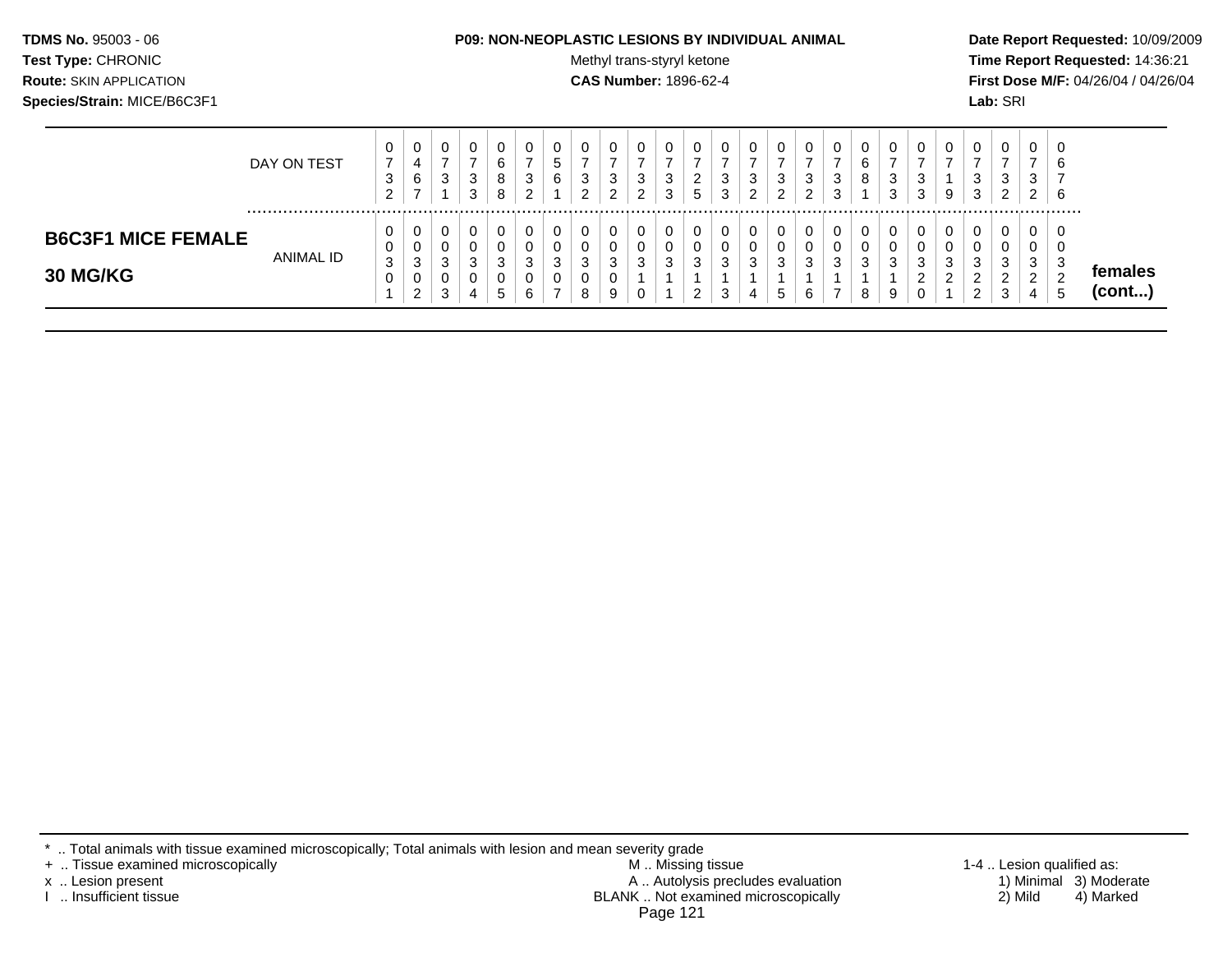| <b>TDMS No. 95003 - 06</b>     | <b>P09: NON-NEOPLASTIC LESIONS BY INDIVIDUAL ANIMAL</b> | Date Rep         |
|--------------------------------|---------------------------------------------------------|------------------|
| <b>Test Type: CHRONIC</b>      | Methyl trans-styryl ketone                              | <b>Time Re</b>   |
| <b>Route: SKIN APPLICATION</b> | <b>CAS Number: 1896-62-4</b>                            | <b>First Dos</b> |
| Species/Strain: MICE/B6C3F1    |                                                         | <b>Lab:</b> SRI  |

#### **P09: NON-NEOPLASTIC LESIONS BY INDIVIDUAL ANIMAL Date Report Requested:** 10/09/2009

**Methyl trans-styryl ketone Time Report Requested:** 14:36:21 **CAS Number:** 1896-62-4 **First Dose M/F:** 04/26/04 / 04/26/04

|                                              | DAY ON TEST | υ<br>- 3<br>$\sim$<br>∠ | $\mathbf{0}$<br>4<br>6<br>- | 0<br>3                     | 3<br>3 | 0<br>6<br>8<br>8                 | 3<br>$\sim$           | U<br>N<br>6      | O<br>3<br>ົ      | ົ<br>دت<br>ົ | ◡<br>3<br>◠<br>$\sim$ | -3<br>વ<br>J | 0<br>◠<br><u>L</u><br>5      | 0<br>3<br>3 | 3<br>າ | 0<br>3<br>ົ       | 0<br>ົ<br>د<br>◠<br>_ | 0<br>3 | 0<br>6<br>8 | <sup>o</sup><br>J<br>$\sim$ | 0<br>3<br>3           | 0<br>9           | 0<br>3<br>3                   | υ<br>3<br>ົ<br><u>_</u> | $\epsilon$<br>ు<br>2 | 0<br>6<br>6                     |                         |
|----------------------------------------------|-------------|-------------------------|-----------------------------|----------------------------|--------|----------------------------------|-----------------------|------------------|------------------|--------------|-----------------------|--------------|------------------------------|-------------|--------|-------------------|-----------------------|--------|-------------|-----------------------------|-----------------------|------------------|-------------------------------|-------------------------|----------------------|---------------------------------|-------------------------|
| <b>B6C3F1 MICE FEMALE</b><br><b>30 MG/KG</b> | ANIMAL ID   | U<br>3                  | 0<br>0<br>3<br>0<br>ົ<br>∠  | 0<br>0<br>ົ<br>ت<br>0<br>3 | C      | 0<br>0<br>3<br>0<br>$\mathbf{p}$ | 0<br>$\sim$<br>ັ<br>6 | 0<br>O<br>າ<br>J | 0<br>U<br>3<br>8 | دت<br>9      | U<br>v<br>3<br>ν      | ີ<br>ت       | 0<br>0<br>3<br>ົ<br><u>.</u> | 3<br>3      | 3      | 0<br>0<br>З<br>b. | 0<br>0<br>ົ<br>J<br>6 | 3      | 0<br>3<br>8 | $\sqrt{2}$<br>9             | 0<br>0<br>ີ<br>J<br>ົ | 0<br>υ<br>3<br>ົ | ົ<br>دت<br>◠<br>റ<br><u>_</u> | O<br>O<br>3<br>◠<br>3   | 3<br>$\sim$<br>4     | O<br>0<br>3<br>$\sqrt{2}$<br>٠b | temales<br>$($ cont $)$ |

\* .. Total animals with tissue examined microscopically; Total animals with lesion and mean severity grade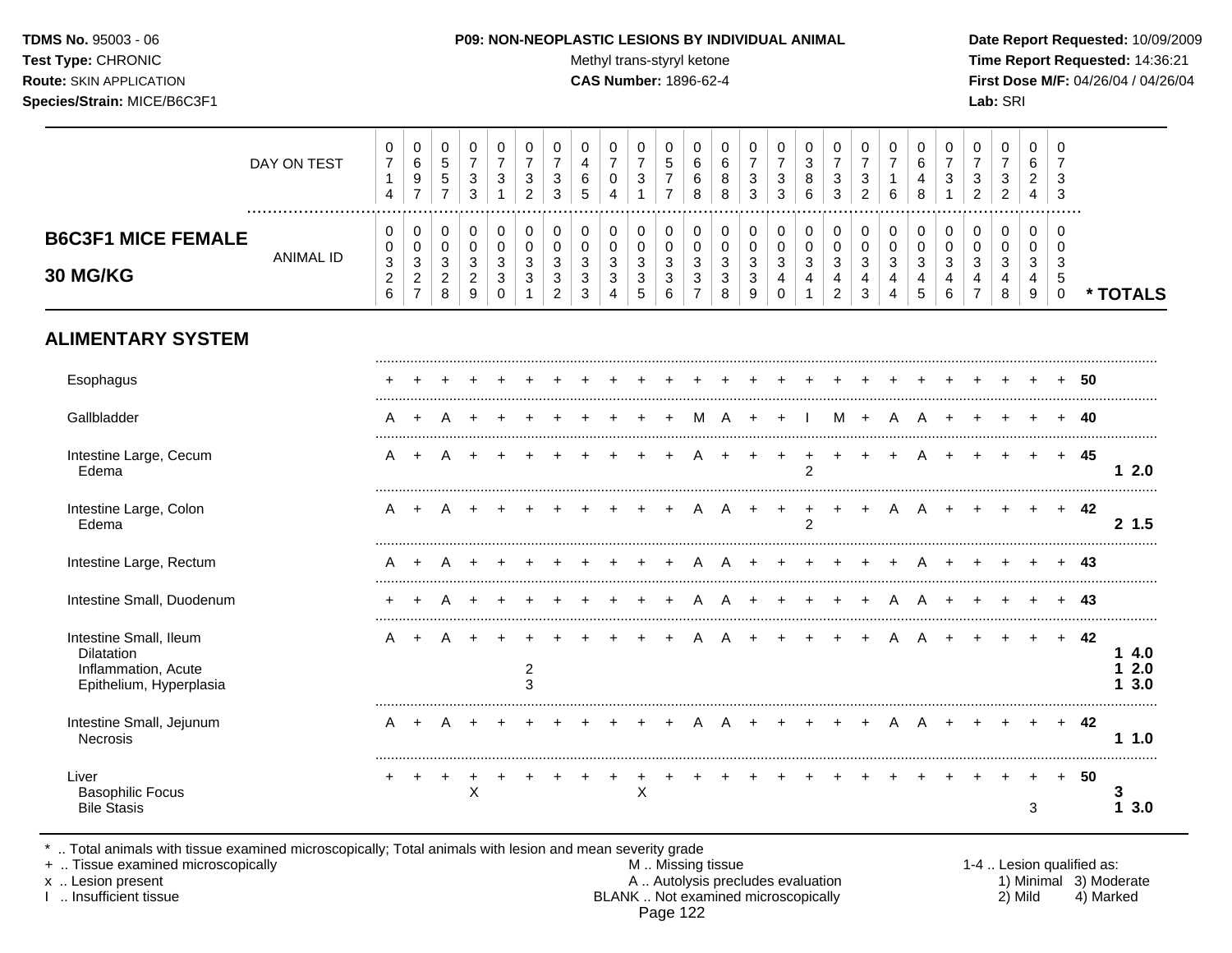#### **TDMS No.** 95003 - 06 **P09: NON-NEOPLASTIC LESIONS BY INDIVIDUAL ANIMAL Date Report Requested:** 10/09/2009

Test Type: CHRONIC **Test Type:** CHRONIC **Test Type:** CHRONIC **Time Report Requested:** 14:36:21 **Route:** SKIN APPLICATION **CAS Number:** 1896-62-4 **First Dose M/F:** 04/26/04 / 04/26/04

|                                                                                               | DAY ON TEST<br>  | 0<br>$\overline{7}$<br>$\mathbf{1}$<br>4                   | $\pmb{0}$<br>$\,6$<br>9<br>$\overline{7}$                                   | 0<br>$\sqrt{5}$<br>$\overline{5}$<br>$\overline{7}$   | 0<br>$\overline{7}$<br>$\sqrt{3}$<br>$\mathfrak{S}$     | 0<br>$\overline{7}$<br>3<br>$\mathbf{1}$ | 0<br>$\boldsymbol{7}$<br>$\sqrt{3}$<br>$\overline{c}$ | 0<br>$\overline{7}$<br>3<br>3                                        | 0<br>$\overline{4}$<br>$\,6\,$<br>5                 | 0<br>$\boldsymbol{7}$<br>0<br>$\overline{4}$                                               | 0<br>$\boldsymbol{7}$<br>$\sqrt{3}$<br>$\mathbf{1}$   | 0<br>$\,$ 5 $\,$<br>$\boldsymbol{7}$<br>$\overline{7}$       | 0<br>$\,6$<br>6<br>$\,8\,$                                                            | 0<br>$\,6\,$<br>8<br>8                                                                | 0<br>$\overline{7}$<br>$\mathbf{3}$<br>3                | 0<br>$\overline{7}$<br>$\sqrt{3}$<br>$\mathfrak{Z}$ | 0<br>$\ensuremath{\mathsf{3}}$<br>8<br>6                                               | 0<br>$\overline{7}$<br>$\mathbf{3}$<br>$\mathbf{3}$                      | 0<br>$\boldsymbol{7}$<br>3<br>$\overline{c}$ | 0<br>$\overline{7}$<br>$\mathbf{1}$<br>6                      | 0<br>6<br>4<br>8              | 0<br>$\overline{7}$<br>3 | 0<br>$\overline{7}$<br>3<br>$\overline{2}$              | 0<br>$\boldsymbol{7}$<br>$\ensuremath{\mathsf{3}}$<br>$\overline{2}$ | $\mathbf 0$<br>$\,6$<br>$\overline{a}$<br>4 | 0<br>$\overline{7}$<br>3<br>3          |    |                    |
|-----------------------------------------------------------------------------------------------|------------------|------------------------------------------------------------|-----------------------------------------------------------------------------|-------------------------------------------------------|---------------------------------------------------------|------------------------------------------|-------------------------------------------------------|----------------------------------------------------------------------|-----------------------------------------------------|--------------------------------------------------------------------------------------------|-------------------------------------------------------|--------------------------------------------------------------|---------------------------------------------------------------------------------------|---------------------------------------------------------------------------------------|---------------------------------------------------------|-----------------------------------------------------|----------------------------------------------------------------------------------------|--------------------------------------------------------------------------|----------------------------------------------|---------------------------------------------------------------|-------------------------------|--------------------------|---------------------------------------------------------|----------------------------------------------------------------------|---------------------------------------------|----------------------------------------|----|--------------------|
| <b>B6C3F1 MICE FEMALE</b><br>30 MG/KG                                                         | <b>ANIMAL ID</b> | 0<br>0<br>$\ensuremath{\mathsf{3}}$<br>$\overline{c}$<br>6 | 0<br>$\pmb{0}$<br>$\ensuremath{\mathsf{3}}$<br>$\sqrt{2}$<br>$\overline{7}$ | 0<br>$\pmb{0}$<br>$\mathbf{3}$<br>$\overline{c}$<br>8 | $\,0\,$<br>$\,0\,$<br>$\sqrt{3}$<br>$\overline{c}$<br>9 | 0<br>$\mathbf 0$<br>3<br>3<br>0          | $\mathbf 0$<br>$\pmb{0}$<br>$\sqrt{3}$<br>$\sqrt{3}$  | 0<br>$\mathbf 0$<br>3<br>$\ensuremath{\mathsf{3}}$<br>$\overline{2}$ | 0<br>$\pmb{0}$<br>3<br>$\mathbf{3}$<br>$\mathbf{3}$ | 0<br>$\pmb{0}$<br>$\ensuremath{\mathsf{3}}$<br>$\ensuremath{\mathsf{3}}$<br>$\overline{4}$ | 0<br>$\pmb{0}$<br>3<br>$\ensuremath{\mathsf{3}}$<br>5 | 0<br>$\,0\,$<br>$\ensuremath{\mathsf{3}}$<br>$\sqrt{3}$<br>6 | $\pmb{0}$<br>$\mathbf 0$<br>$\ensuremath{\mathsf{3}}$<br>$\sqrt{3}$<br>$\overline{7}$ | $\pmb{0}$<br>$\pmb{0}$<br>$\ensuremath{\mathsf{3}}$<br>$\ensuremath{\mathsf{3}}$<br>8 | $\pmb{0}$<br>$\pmb{0}$<br>$\sqrt{3}$<br>$\sqrt{3}$<br>9 | 0<br>0<br>$\mathbf{3}$<br>4<br>$\mathbf 0$          | 0<br>$\pmb{0}$<br>$\ensuremath{\mathsf{3}}$<br>$\overline{\mathbf{4}}$<br>$\mathbf{1}$ | $\pmb{0}$<br>$\pmb{0}$<br>3<br>$\overline{\mathbf{4}}$<br>$\overline{c}$ | 0<br>0<br>3<br>$\overline{4}$<br>3           | $\pmb{0}$<br>$\mathbf 0$<br>$\sqrt{3}$<br>$\overline{4}$<br>4 | $\pmb{0}$<br>0<br>3<br>4<br>5 | 0<br>0<br>3<br>4<br>6    | 0<br>$\pmb{0}$<br>3<br>$\overline{4}$<br>$\overline{7}$ | 0<br>$\pmb{0}$<br>$\sqrt{3}$<br>4<br>8                               | 0<br>0<br>3<br>4<br>$\boldsymbol{9}$        | $\Omega$<br>0<br>3<br>5<br>$\mathbf 0$ |    | * TOTALS           |
| <b>ALIMENTARY SYSTEM</b>                                                                      |                  |                                                            |                                                                             |                                                       |                                                         |                                          |                                                       |                                                                      |                                                     |                                                                                            |                                                       |                                                              |                                                                                       |                                                                                       |                                                         |                                                     |                                                                                        |                                                                          |                                              |                                                               |                               |                          |                                                         |                                                                      |                                             |                                        |    |                    |
| Esophagus                                                                                     |                  |                                                            |                                                                             |                                                       |                                                         |                                          |                                                       |                                                                      |                                                     |                                                                                            |                                                       |                                                              |                                                                                       |                                                                                       |                                                         |                                                     |                                                                                        |                                                                          |                                              |                                                               |                               |                          |                                                         |                                                                      |                                             |                                        | 50 |                    |
| Gallbladder                                                                                   |                  | A                                                          | $\overline{ }$                                                              |                                                       |                                                         |                                          |                                                       |                                                                      |                                                     |                                                                                            |                                                       |                                                              | м                                                                                     |                                                                                       |                                                         |                                                     |                                                                                        | м                                                                        | $\ddot{}$                                    |                                                               |                               |                          |                                                         |                                                                      |                                             |                                        | 40 |                    |
| Intestine Large, Cecum<br>Edema                                                               |                  | A                                                          |                                                                             |                                                       |                                                         |                                          |                                                       |                                                                      |                                                     |                                                                                            |                                                       |                                                              |                                                                                       |                                                                                       |                                                         |                                                     | $\overline{2}$                                                                         |                                                                          |                                              |                                                               |                               |                          |                                                         |                                                                      |                                             | $+$                                    | 45 | 12.0               |
| Intestine Large, Colon<br>Edema                                                               |                  | A                                                          |                                                                             |                                                       |                                                         |                                          |                                                       |                                                                      |                                                     |                                                                                            |                                                       |                                                              |                                                                                       |                                                                                       |                                                         |                                                     | $\overline{2}$                                                                         |                                                                          |                                              |                                                               |                               |                          |                                                         |                                                                      |                                             | $+$                                    | 42 | 2, 1.5             |
| Intestine Large, Rectum                                                                       |                  | A                                                          | $\ddot{}$                                                                   | A                                                     |                                                         |                                          |                                                       |                                                                      |                                                     |                                                                                            |                                                       |                                                              |                                                                                       |                                                                                       |                                                         |                                                     |                                                                                        |                                                                          |                                              |                                                               |                               |                          |                                                         |                                                                      |                                             | $+$                                    | 43 |                    |
| Intestine Small, Duodenum                                                                     |                  | ÷                                                          |                                                                             |                                                       |                                                         |                                          |                                                       |                                                                      |                                                     |                                                                                            |                                                       |                                                              |                                                                                       |                                                                                       |                                                         |                                                     |                                                                                        |                                                                          | ÷                                            | Α                                                             | A                             |                          |                                                         |                                                                      |                                             | $\ddot{}$                              | 43 |                    |
| Intestine Small, Ileum<br><b>Dilatation</b><br>Inflammation, Acute<br>Epithelium, Hyperplasia |                  | Α                                                          |                                                                             |                                                       |                                                         |                                          | $\overline{a}$<br>3                                   |                                                                      |                                                     |                                                                                            |                                                       |                                                              |                                                                                       |                                                                                       |                                                         |                                                     |                                                                                        |                                                                          |                                              |                                                               |                               |                          |                                                         |                                                                      |                                             | $+$                                    | 42 | 14.0<br>2.0<br>3.0 |
| Intestine Small, Jejunum<br>Necrosis                                                          |                  | А                                                          |                                                                             |                                                       |                                                         |                                          |                                                       |                                                                      |                                                     |                                                                                            |                                                       |                                                              |                                                                                       |                                                                                       |                                                         |                                                     |                                                                                        |                                                                          |                                              |                                                               |                               |                          |                                                         |                                                                      |                                             | $+$                                    | 42 | 11.0               |
| Liver<br><b>Basophilic Focus</b><br><b>Bile Stasis</b>                                        |                  |                                                            |                                                                             |                                                       | $\ddot{}$<br>X                                          |                                          |                                                       |                                                                      |                                                     | +                                                                                          | $\div$<br>$\sf X$                                     |                                                              |                                                                                       |                                                                                       |                                                         |                                                     |                                                                                        |                                                                          |                                              |                                                               |                               |                          |                                                         |                                                                      | ÷<br>3                                      | $+$                                    | 50 | 3<br>3.0<br>1      |

\* .. Total animals with tissue examined microscopically; Total animals with lesion and mean severity grade

+ .. Tissue examined microscopically M .. Missing tissue 1-4 .. Lesion qualified as: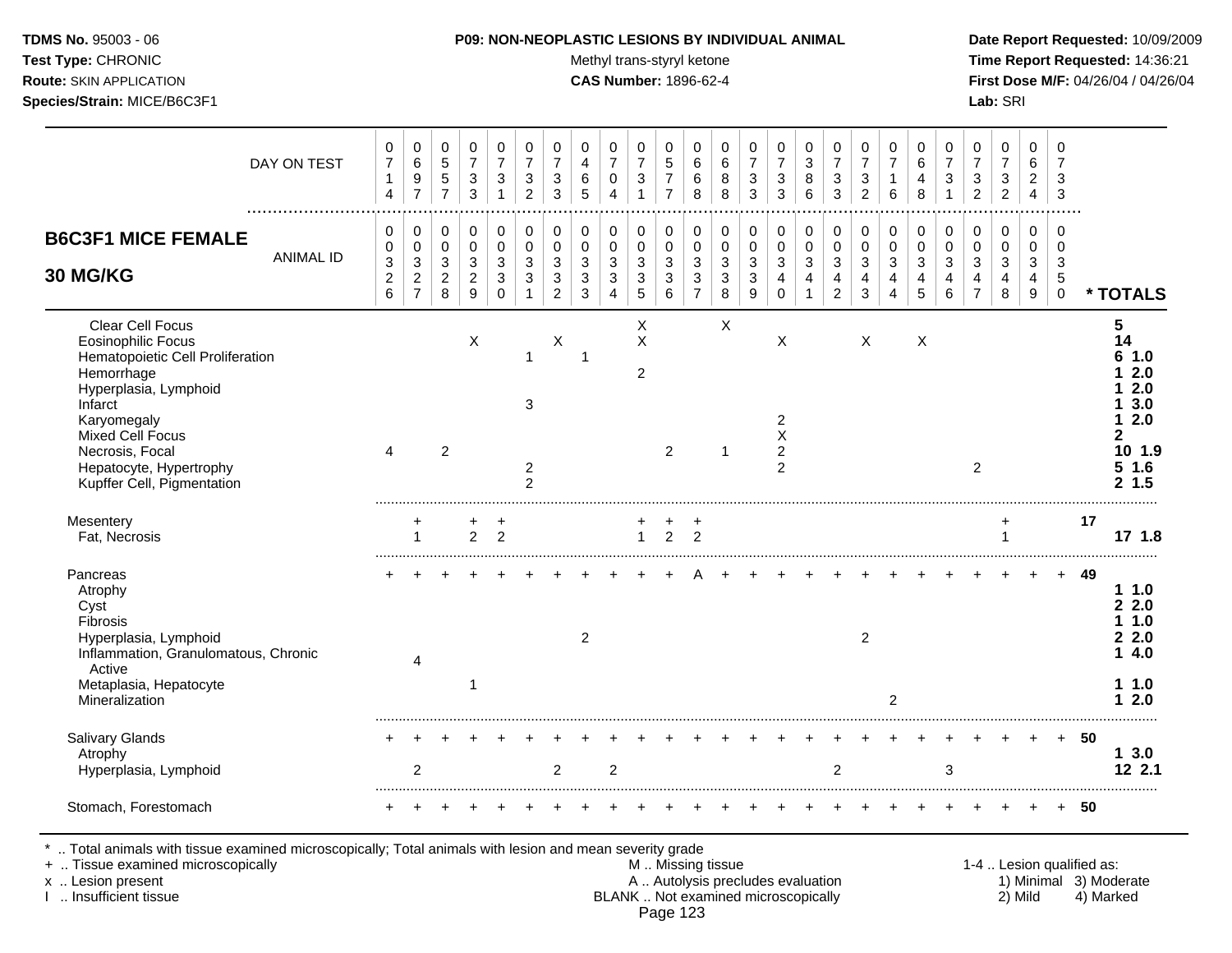Test Type: CHRONIC **Test Type:** CHRONIC **Test Type:** CHRONIC **Time Report Requested:** 14:36:21 **Route:** SKIN APPLICATION **CAS Number:** 1896-62-4 **First Dose M/F:** 04/26/04 / 04/26/04 **Species/Strain:** MICE/B6C3F1 **Lab:** SRI

|                                                                                                                                                                                                                                                                  | DAY ON TEST<br>. | 0<br>$\overline{7}$<br>$\mathbf{1}$<br>$\overline{4}$ | $\mathbf 0$<br>6<br>$\mathsf g$<br>$\overline{7}$                    | 0<br>$\sqrt{5}$<br>5<br>$\overline{7}$                  | 0<br>$\overline{7}$<br>3<br>3                | 0<br>$\overline{7}$<br>3<br>$\mathbf 1$ | 0<br>$\overline{7}$<br>3<br>$\overline{2}$              | 0<br>$\overline{7}$<br>$\mathbf{3}$<br>3                                        | 0<br>4<br>6<br>5                         | 0<br>$\overline{7}$<br>$\mathbf 0$<br>4  | 0<br>$\overline{7}$<br>$\mathbf{3}$                                | 0<br>5<br>7<br>7                | 0<br>6<br>$\,6$<br>8                         | 0<br>6<br>8<br>8                         | 0<br>$\overline{7}$<br>$\mathbf{3}$<br>3                           | 0<br>$\overline{7}$<br>$\ensuremath{\mathsf{3}}$<br>$\mathbf{3}$          | 0<br>3<br>8<br>6                           | 0<br>$\overline{7}$<br>$\sqrt{3}$<br>3                             | 0<br>$\overline{7}$<br>3<br>$\overline{c}$ | 0<br>$\overline{7}$<br>$\mathbf{1}$<br>6 | 0<br>6<br>4<br>8                | 0<br>$\overline{7}$<br>$\mathbf{3}$        | 0<br>$\overline{7}$<br>3<br>$\overline{c}$   | 0<br>$\overline{7}$<br>3<br>$\overline{c}$ | 0<br>6<br>$\overline{c}$<br>$\overline{4}$ | 0<br>7<br>3<br>3                                 |     |                                                                                               |
|------------------------------------------------------------------------------------------------------------------------------------------------------------------------------------------------------------------------------------------------------------------|------------------|-------------------------------------------------------|----------------------------------------------------------------------|---------------------------------------------------------|----------------------------------------------|-----------------------------------------|---------------------------------------------------------|---------------------------------------------------------------------------------|------------------------------------------|------------------------------------------|--------------------------------------------------------------------|---------------------------------|----------------------------------------------|------------------------------------------|--------------------------------------------------------------------|---------------------------------------------------------------------------|--------------------------------------------|--------------------------------------------------------------------|--------------------------------------------|------------------------------------------|---------------------------------|--------------------------------------------|----------------------------------------------|--------------------------------------------|--------------------------------------------|--------------------------------------------------|-----|-----------------------------------------------------------------------------------------------|
| <b>B6C3F1 MICE FEMALE</b><br>30 MG/KG                                                                                                                                                                                                                            | <b>ANIMAL ID</b> | 0<br>$\pmb{0}$<br>$\mathbf{3}$<br>$\overline{c}$<br>6 | 0<br>$\mathbf 0$<br>$\sqrt{3}$<br>$\boldsymbol{2}$<br>$\overline{7}$ | 0<br>$\mathbf 0$<br>$\mathbf{3}$<br>$\overline{c}$<br>8 | 0<br>$\mathbf 0$<br>3<br>$\overline{2}$<br>9 | 0<br>$\mathbf 0$<br>3<br>3<br>$\Omega$  | 0<br>$\mathbf 0$<br>3<br>3                              | 0<br>$\mathbf 0$<br>$\mathbf{3}$<br>$\ensuremath{\mathsf{3}}$<br>$\overline{2}$ | 0<br>$\mathbf 0$<br>3<br>$\sqrt{3}$<br>3 | 0<br>$\mathbf 0$<br>$\sqrt{3}$<br>3<br>4 | 0<br>$\mathbf 0$<br>$\mathbf{3}$<br>$\ensuremath{\mathsf{3}}$<br>5 | 0<br>$\mathbf 0$<br>3<br>3<br>6 | 0<br>$\mathbf 0$<br>3<br>3<br>$\overline{7}$ | 0<br>$\mathbf 0$<br>$\sqrt{3}$<br>3<br>8 | 0<br>$\mathbf 0$<br>$\mathbf{3}$<br>$\ensuremath{\mathsf{3}}$<br>9 | 0<br>0<br>$\mathbf{3}$<br>4<br>0                                          | 0<br>$\mathbf 0$<br>$\mathbf{3}$<br>4<br>1 | 0<br>$\mathbf 0$<br>$\sqrt{3}$<br>$\overline{4}$<br>$\overline{c}$ | 0<br>$\mathbf 0$<br>3<br>4<br>3            | 0<br>$\mathbf 0$<br>3<br>4<br>4          | 0<br>$\mathbf 0$<br>3<br>4<br>5 | 0<br>$\mathbf 0$<br>$\mathbf{3}$<br>4<br>6 | 0<br>$\mathbf 0$<br>3<br>4<br>$\overline{7}$ | 0<br>$\mathbf 0$<br>$\mathbf{3}$<br>4<br>8 | $\mathbf 0$<br>$\mathbf 0$<br>3<br>4<br>9  | $\mathbf 0$<br>$\Omega$<br>3<br>5<br>$\mathbf 0$ |     | * TOTALS                                                                                      |
| <b>Clear Cell Focus</b><br><b>Eosinophilic Focus</b><br>Hematopoietic Cell Proliferation<br>Hemorrhage<br>Hyperplasia, Lymphoid<br>Infarct<br>Karyomegaly<br><b>Mixed Cell Focus</b><br>Necrosis, Focal<br>Hepatocyte, Hypertrophy<br>Kupffer Cell, Pigmentation |                  | $\boldsymbol{\Lambda}$                                |                                                                      | $\overline{2}$                                          | Χ                                            |                                         | $\overline{1}$<br>3<br>$\overline{c}$<br>$\overline{2}$ | Χ                                                                               | -1                                       |                                          | Χ<br>$\sf X$<br>$\overline{2}$                                     | $\overline{2}$                  |                                              | X<br>-1                                  |                                                                    | X<br>$\overline{2}$<br>$\pmb{\times}$<br>$\overline{c}$<br>$\overline{2}$ |                                            |                                                                    | Χ                                          |                                          | X                               |                                            | $\overline{2}$                               |                                            |                                            |                                                  |     | 5<br>14<br>1.0<br>2.0<br>2.0<br>3.0<br>2.0<br>1.<br>2<br>10 1.9<br>5 <sub>1.6</sub><br>2, 1.5 |
| Mesentery<br>Fat, Necrosis                                                                                                                                                                                                                                       |                  |                                                       | $\overline{1}$                                                       |                                                         | +<br>$\overline{2}$                          | +<br>$\overline{2}$                     |                                                         |                                                                                 |                                          |                                          | $\overline{1}$                                                     | $\overline{2}$                  | +<br>2                                       |                                          |                                                                    |                                                                           |                                            |                                                                    |                                            |                                          |                                 |                                            |                                              | 1                                          |                                            |                                                  | 17  | 17, 1.8                                                                                       |
| Pancreas<br>Atrophy<br>Cyst<br>Fibrosis<br>Hyperplasia, Lymphoid<br>Inflammation, Granulomatous, Chronic<br>Active<br>Metaplasia, Hepatocyte<br>Mineralization                                                                                                   |                  |                                                       | 4                                                                    |                                                         | 1                                            |                                         |                                                         |                                                                                 | 2                                        |                                          |                                                                    |                                 |                                              |                                          |                                                                    |                                                                           |                                            |                                                                    | 2                                          | 2                                        |                                 |                                            |                                              |                                            |                                            | $+$                                              | -49 | 11.0<br>2.2.0<br>1.0<br>22.0<br>4.0<br>1.<br>11.0<br>12.0                                     |
| Salivary Glands<br>Atrophy<br>Hyperplasia, Lymphoid                                                                                                                                                                                                              |                  |                                                       | 2                                                                    |                                                         |                                              |                                         |                                                         | 2                                                                               |                                          | $\overline{c}$                           |                                                                    |                                 |                                              |                                          |                                                                    |                                                                           |                                            | $\overline{c}$                                                     |                                            |                                          |                                 | 3                                          |                                              |                                            |                                            | $+$                                              | -50 | 3.0<br>1<br>12 2.1                                                                            |
| Stomach, Forestomach                                                                                                                                                                                                                                             |                  |                                                       |                                                                      |                                                         |                                              |                                         |                                                         |                                                                                 |                                          |                                          |                                                                    |                                 |                                              |                                          |                                                                    |                                                                           |                                            |                                                                    |                                            |                                          |                                 |                                            |                                              |                                            |                                            |                                                  | 50  |                                                                                               |

\* .. Total animals with tissue examined microscopically; Total animals with lesion and mean severity grade

+ .. Tissue examined microscopically M .. Missing tissue 1-4 .. Lesion qualified as:

- x .. Lesion present **A .. Autolysis precludes evaluation** A .. Autolysis precludes evaluation 1) Minimal 3) Moderate I .. Insufficient tissue BLANK .. Not examined microscopically 2) Mild 4) Marked Page 123
-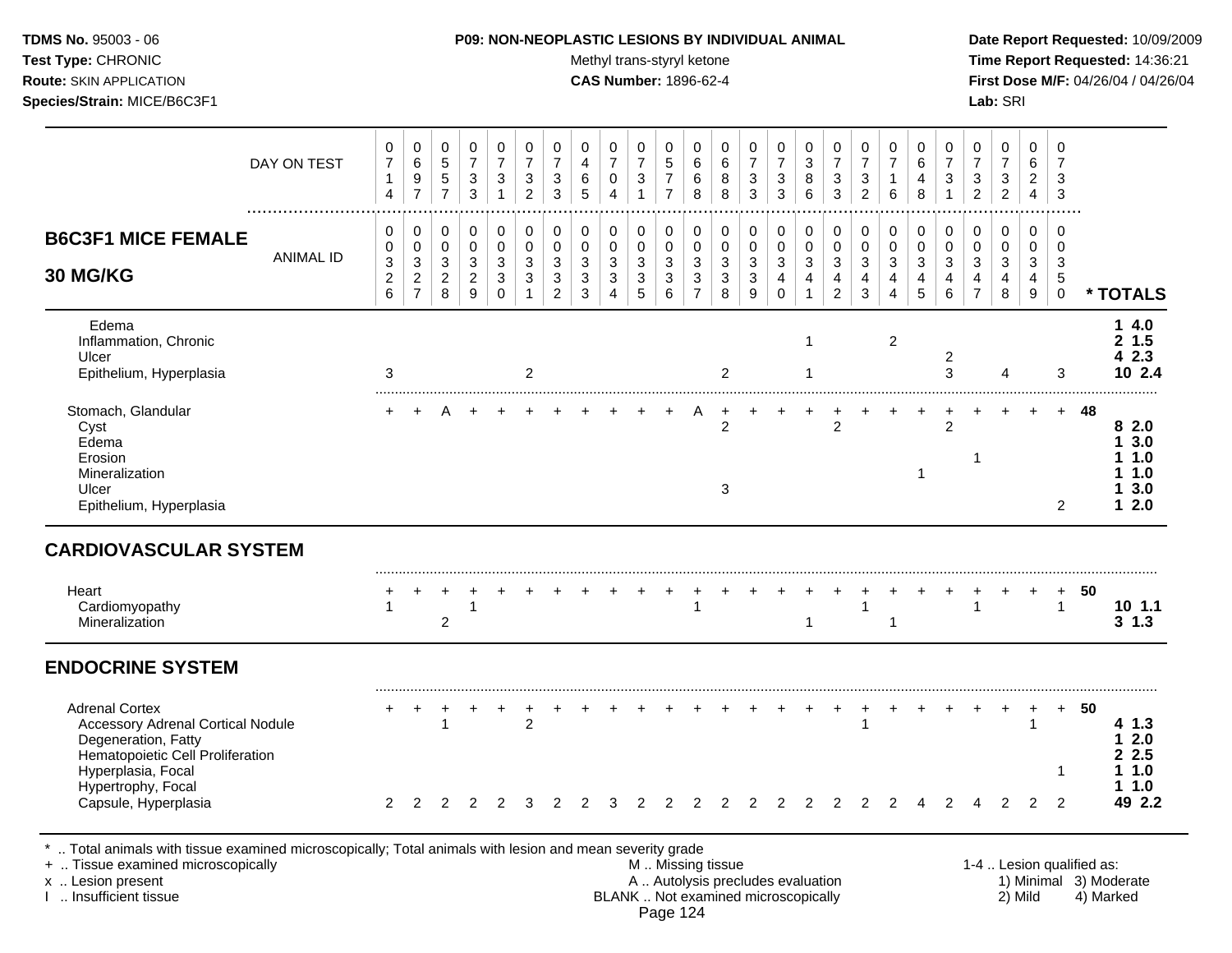| <b>TDMS No. 95003 - 06</b>         | <b>P09: NON-NEOPLASTIC LESIONS BY INDIVIDUAL ANIMAL</b> | Date Rep         |
|------------------------------------|---------------------------------------------------------|------------------|
| <b>Test Type: CHRONIC</b>          | Methyl trans-styryl ketone                              | Time Rep         |
| <b>Route:</b> SKIN APPLICATION     | <b>CAS Number: 1896-62-4</b>                            | <b>First Dos</b> |
| <b>Species/Strain: MICE/B6C3F1</b> |                                                         | <b>Lab:</b> SRI  |

**Test Type:** CHRONIC **Trans-styryl ketone** Methyl trans-styryl ketone **Time Report Requested:** 14:36:21 **Route:** SKIN APPLICATION **CAS Number:** 1896-62-4 **First Dose M/F:** 04/26/04 / 04/26/04

|                                                                                                                                                                                               | DAY ON TEST      | 0<br>$\overline{7}$<br>$\mathbf{1}$<br>$\overline{4}$          | $\pmb{0}$<br>$\,6\,$<br>$\boldsymbol{9}$<br>$\overline{7}$             | 0<br>$\sqrt{5}$<br>$\,$ 5 $\,$<br>$\overline{7}$ | 0<br>$\overline{7}$<br>$\ensuremath{\mathsf{3}}$<br>$\mathbf{3}$                 | $\pmb{0}$<br>$\overline{7}$<br>$\ensuremath{\mathsf{3}}$<br>$\overline{1}$ | 0<br>$\overline{7}$<br>$\mathbf{3}$<br>$\overline{a}$ | 0<br>$\overline{7}$<br>$\sqrt{3}$<br>$\mathbf{3}$                      | $\mathbf 0$<br>$\overline{4}$<br>$\,6\,$<br>5                        | $\pmb{0}$<br>$\overline{7}$<br>$\pmb{0}$<br>$\overline{4}$ | $\mathbf 0$<br>$\overline{7}$<br>$\mathbf{3}$<br>$\mathbf{1}$                 | $\mathbf 0$<br>5<br>$\boldsymbol{7}$<br>$\overline{7}$ | 0<br>6<br>$\,6$<br>8                                    | 0<br>6<br>8<br>8                                | $\pmb{0}$<br>$\overline{7}$<br>$\ensuremath{\mathsf{3}}$<br>$\mathbf{3}$ | 0<br>$\overline{7}$<br>$\ensuremath{\mathsf{3}}$<br>3                     | 0<br>$\sqrt{3}$<br>8<br>6                                                               | 0<br>$\overline{7}$<br>$\sqrt{3}$<br>$\mathfrak{Z}$     | 0<br>$\overline{7}$<br>$\sqrt{3}$<br>$\overline{c}$                | $\mathbf 0$<br>$\overline{7}$<br>$\mathbf{1}$<br>$\,6\,$ | 0<br>6<br>$\overline{\mathbf{4}}$<br>8               | $\mathbf 0$<br>$\overline{7}$<br>3                              | 0<br>$\overline{7}$<br>3<br>$\overline{c}$                         | 0<br>$\overline{7}$<br>3<br>$\overline{2}$          | $\mathbf 0$<br>6<br>$\overline{2}$<br>$\overline{4}$                  | $\mathbf 0$<br>7<br>3<br>3                          |                           |                                                    |
|-----------------------------------------------------------------------------------------------------------------------------------------------------------------------------------------------|------------------|----------------------------------------------------------------|------------------------------------------------------------------------|--------------------------------------------------|----------------------------------------------------------------------------------|----------------------------------------------------------------------------|-------------------------------------------------------|------------------------------------------------------------------------|----------------------------------------------------------------------|------------------------------------------------------------|-------------------------------------------------------------------------------|--------------------------------------------------------|---------------------------------------------------------|-------------------------------------------------|--------------------------------------------------------------------------|---------------------------------------------------------------------------|-----------------------------------------------------------------------------------------|---------------------------------------------------------|--------------------------------------------------------------------|----------------------------------------------------------|------------------------------------------------------|-----------------------------------------------------------------|--------------------------------------------------------------------|-----------------------------------------------------|-----------------------------------------------------------------------|-----------------------------------------------------|---------------------------|----------------------------------------------------|
| <b>B6C3F1 MICE FEMALE</b><br>30 MG/KG                                                                                                                                                         | <b>ANIMAL ID</b> | $\mathbf 0$<br>0<br>$\sqrt{3}$<br>$\overline{\mathbf{c}}$<br>6 | 0<br>$\pmb{0}$<br>$\mathfrak{Z}$<br>$\boldsymbol{2}$<br>$\overline{7}$ | 0<br>0<br>$\mathbf{3}$<br>$\overline{c}$<br>8    | 0<br>$\mathsf{O}\xspace$<br>$\mathfrak{Z}$<br>$\overline{c}$<br>$\boldsymbol{9}$ | 0<br>$\pmb{0}$<br>3<br>$\ensuremath{\mathsf{3}}$<br>$\mathbf 0$            | 0<br>$\pmb{0}$<br>3<br>3<br>1                         | $\pmb{0}$<br>$\pmb{0}$<br>$\mathbf{3}$<br>$\sqrt{3}$<br>$\overline{2}$ | $\pmb{0}$<br>$\pmb{0}$<br>$\mathbf{3}$<br>$\sqrt{3}$<br>$\mathbf{3}$ | 0<br>$\pmb{0}$<br>3<br>$\sqrt{3}$<br>$\overline{4}$        | 0<br>$\pmb{0}$<br>$\mathbf{3}$<br>$\ensuremath{\mathsf{3}}$<br>$\overline{5}$ | 0<br>$\pmb{0}$<br>$\sqrt{3}$<br>$\sqrt{3}$<br>$\,6\,$  | 0<br>$\mathsf 0$<br>$\mathbf{3}$<br>3<br>$\overline{7}$ | 0<br>$\pmb{0}$<br>$\sqrt{3}$<br>$\sqrt{3}$<br>8 | 0<br>$\pmb{0}$<br>$\mathbf{3}$<br>$\ensuremath{\mathsf{3}}$<br>9         | $\pmb{0}$<br>$\pmb{0}$<br>$\mathfrak{Z}$<br>$\overline{4}$<br>$\mathbf 0$ | $\pmb{0}$<br>$\pmb{0}$<br>$\ensuremath{\mathsf{3}}$<br>$\overline{4}$<br>$\overline{1}$ | 0<br>$\mathbf 0$<br>$\mathbf{3}$<br>4<br>$\overline{2}$ | 0<br>$\pmb{0}$<br>$\mathbf{3}$<br>$\overline{4}$<br>$\mathfrak{S}$ | $\pmb{0}$<br>$\mathsf 0$<br>3<br>4<br>4                  | $\pmb{0}$<br>$\mathbf 0$<br>3<br>$\overline{4}$<br>5 | $\mathbf 0$<br>$\pmb{0}$<br>$\mathbf{3}$<br>4<br>$6\phantom{a}$ | 0<br>$\pmb{0}$<br>$\mathbf{3}$<br>$\overline{4}$<br>$\overline{7}$ | 0<br>0<br>$\mathbf{3}$<br>$\overline{4}$<br>$\bf 8$ | $\mathbf 0$<br>$\mathbf 0$<br>3<br>$\overline{4}$<br>$\boldsymbol{9}$ | $\mathbf 0$<br>$\mathbf 0$<br>3<br>5<br>$\mathbf 0$ |                           | * TOTALS                                           |
| Edema<br>Inflammation, Chronic<br>Ulcer<br>Epithelium, Hyperplasia                                                                                                                            |                  | 3                                                              |                                                                        |                                                  |                                                                                  |                                                                            | $\overline{c}$                                        |                                                                        |                                                                      |                                                            |                                                                               |                                                        |                                                         | $\overline{c}$                                  |                                                                          |                                                                           | 1<br>1                                                                                  |                                                         |                                                                    | $\overline{c}$                                           |                                                      | $\overline{2}$<br>3                                             |                                                                    | 4                                                   |                                                                       | 3                                                   |                           | 14.0<br>2 1.5<br>42.3<br>10 2.4                    |
| Stomach, Glandular<br>Cyst<br>Edema<br>Erosion<br>Mineralization<br>Ulcer<br>Epithelium, Hyperplasia                                                                                          |                  |                                                                |                                                                        |                                                  |                                                                                  |                                                                            |                                                       |                                                                        |                                                                      |                                                            |                                                                               |                                                        |                                                         | $\overline{c}$<br>3                             |                                                                          |                                                                           |                                                                                         | $\overline{c}$                                          |                                                                    |                                                          | -1                                                   | $\sqrt{2}$                                                      | 1                                                                  |                                                     |                                                                       | $+$<br>2                                            | 48                        | 8<br>2.0<br>3.0<br>1.<br>1.0<br>1.0<br>3.0<br>12.0 |
| <b>CARDIOVASCULAR SYSTEM</b>                                                                                                                                                                  |                  |                                                                |                                                                        |                                                  |                                                                                  |                                                                            |                                                       |                                                                        |                                                                      |                                                            |                                                                               |                                                        |                                                         |                                                 |                                                                          |                                                                           |                                                                                         |                                                         |                                                                    |                                                          |                                                      |                                                                 |                                                                    |                                                     |                                                                       |                                                     |                           |                                                    |
| Heart<br>Cardiomyopathy<br>Mineralization                                                                                                                                                     |                  |                                                                |                                                                        | $\overline{2}$                                   | 1                                                                                |                                                                            |                                                       |                                                                        |                                                                      |                                                            |                                                                               |                                                        | 1                                                       |                                                 |                                                                          |                                                                           | $\mathbf{1}$                                                                            |                                                         | $\mathbf{1}$                                                       | $\mathbf{1}$                                             |                                                      |                                                                 | $\mathbf{1}$                                                       |                                                     |                                                                       | $\ddot{}$<br>$\mathbf{1}$                           | 50                        | 10 1.1<br>$3 \t1.3$                                |
| <b>ENDOCRINE SYSTEM</b>                                                                                                                                                                       |                  |                                                                |                                                                        |                                                  |                                                                                  |                                                                            |                                                       |                                                                        |                                                                      |                                                            |                                                                               |                                                        |                                                         |                                                 |                                                                          |                                                                           |                                                                                         |                                                         |                                                                    |                                                          |                                                      |                                                                 |                                                                    |                                                     |                                                                       |                                                     |                           |                                                    |
| <b>Adrenal Cortex</b><br><b>Accessory Adrenal Cortical Nodule</b><br>Degeneration, Fatty                                                                                                      |                  |                                                                |                                                                        | $\mathbf{1}$                                     |                                                                                  |                                                                            | $\overline{c}$                                        |                                                                        |                                                                      |                                                            |                                                                               |                                                        |                                                         |                                                 |                                                                          |                                                                           |                                                                                         |                                                         | $\mathbf{1}$                                                       |                                                          |                                                      |                                                                 |                                                                    |                                                     | $\overline{1}$                                                        | $+$                                                 | - 50                      | 4 1.3<br>2.0                                       |
| Hematopoietic Cell Proliferation<br>Hyperplasia, Focal<br>Hypertrophy, Focal<br>Capsule, Hyperplasia                                                                                          |                  | $\overline{2}$                                                 | 2                                                                      | 2                                                | 2                                                                                | 2                                                                          | 3                                                     | 2                                                                      | $\overline{c}$                                                       | 3                                                          | 2                                                                             |                                                        | 2                                                       | 2                                               |                                                                          | $\overline{2}$                                                            | $\overline{c}$                                                                          | 2                                                       | 2                                                                  |                                                          |                                                      | 2                                                               | 4                                                                  | 2                                                   | 2                                                                     | 1<br>$\overline{2}$                                 |                           | 2 2.5<br>11.0<br>1.0<br>49 2.2                     |
| *  Total animals with tissue examined microscopically; Total animals with lesion and mean severity grade<br>+  Tissue examined microscopically<br>x  Lesion present<br>I. Insufficient tissue |                  |                                                                |                                                                        |                                                  |                                                                                  |                                                                            |                                                       |                                                                        |                                                                      |                                                            |                                                                               | Page 124                                               | M  Missing tissue                                       |                                                 | A  Autolysis precludes evaluation<br>BLANK  Not examined microscopically |                                                                           |                                                                                         |                                                         |                                                                    |                                                          |                                                      |                                                                 |                                                                    |                                                     | 2) Mild                                                               |                                                     | 1-4  Lesion qualified as: | 1) Minimal 3) Moderate<br>4) Marked                |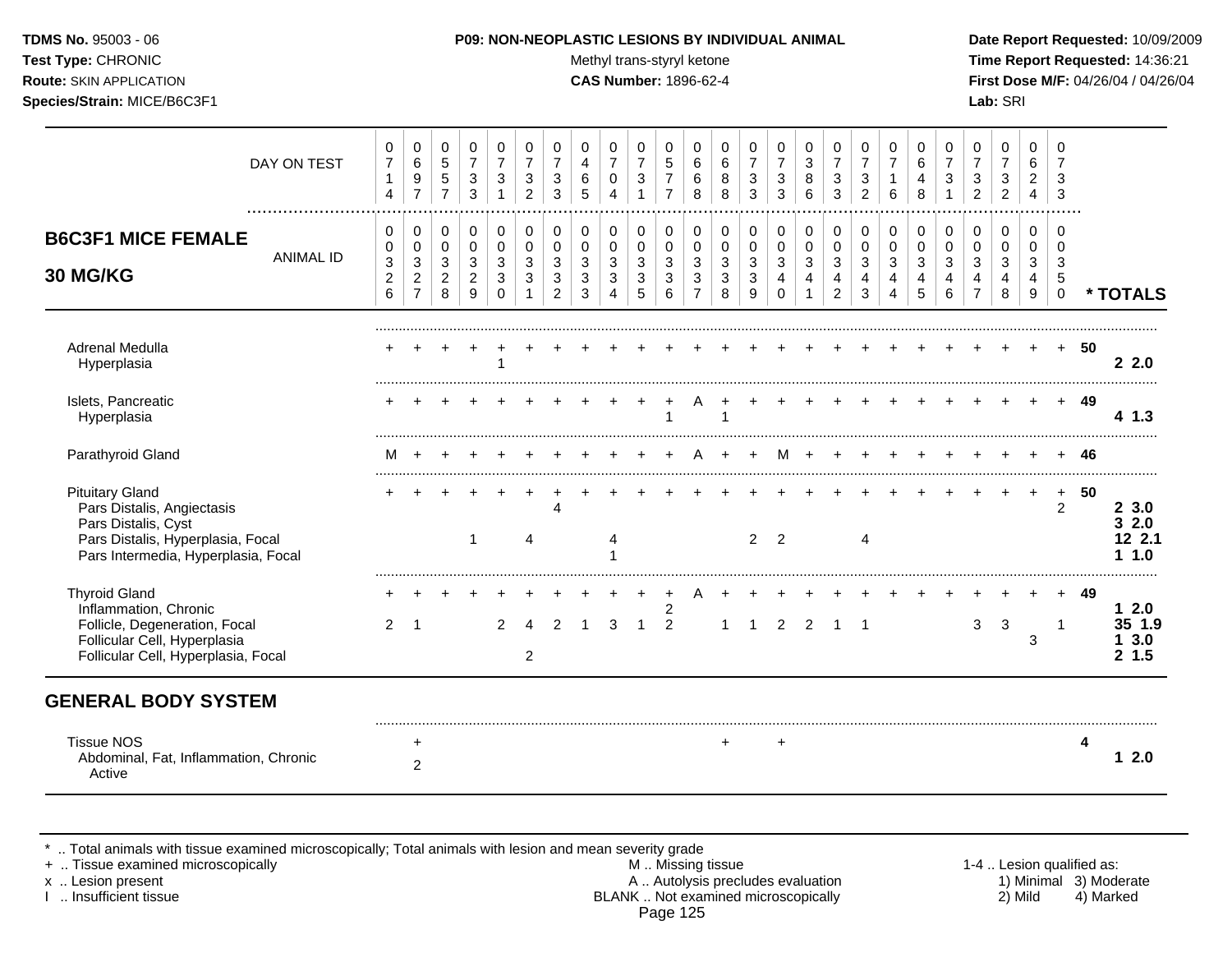Test Type: CHRONIC **Test Type:** CHRONIC **Test Type:** CHRONIC **Time Report Requested:** 14:36:21 **Route:** SKIN APPLICATION **CAS Number:** 1896-62-4 **First Dose M/F:** 04/26/04 / 04/26/04 **Species/Strain:** MICE/B6C3F1 **Lab:** SRI

|                                                                                                                                                         | DAY ON TEST      | 0<br>$\boldsymbol{7}$<br>1<br>4                            | 0<br>$\,6\,$<br>9<br>$\overline{7}$                       | 0<br>$\sqrt{5}$<br>5<br>$\overline{7}$       | 0<br>$\overline{7}$<br>$\ensuremath{\mathsf{3}}$<br>3           | 0<br>$\overline{7}$<br>3<br>$\mathbf 1$        | 0<br>$\overline{7}$<br>3<br>$\overline{2}$ | 0<br>$\overline{7}$<br>3<br>3                                 | 0<br>$\overline{4}$<br>6<br>5             | 0<br>$\overline{7}$<br>0<br>$\overline{4}$           | 0<br>$\overline{7}$<br>$\sqrt{3}$<br>1     | 0<br>5<br>$\overline{7}$<br>$\overline{7}$ | 0<br>$\,6\,$<br>$\,6\,$<br>8                                             | 0<br>6<br>8<br>8                                  | 0<br>$\overline{7}$<br>3<br>3                   | 0<br>$\overline{7}$<br>3<br>3                   | 0<br>$\mathbf{3}$<br>8<br>6                              | 0<br>$\overline{7}$<br>3<br>3                       | 0<br>$\overline{7}$<br>3<br>2    | 0<br>6                          | 0<br>$\,6$<br>4<br>8                     | 0<br>$\overline{7}$<br>$\mathbf{3}$      | 0<br>$\overline{7}$<br>$\mathbf{3}$<br>$\overline{2}$ | 0<br>$\boldsymbol{7}$<br>$\ensuremath{\mathsf{3}}$<br>$\overline{2}$ | $\mathbf 0$<br>6<br>$\overline{c}$<br>4 | 0<br>7<br>3<br>3                                |    |                                       |
|---------------------------------------------------------------------------------------------------------------------------------------------------------|------------------|------------------------------------------------------------|-----------------------------------------------------------|----------------------------------------------|-----------------------------------------------------------------|------------------------------------------------|--------------------------------------------|---------------------------------------------------------------|-------------------------------------------|------------------------------------------------------|--------------------------------------------|--------------------------------------------|--------------------------------------------------------------------------|---------------------------------------------------|-------------------------------------------------|-------------------------------------------------|----------------------------------------------------------|-----------------------------------------------------|----------------------------------|---------------------------------|------------------------------------------|------------------------------------------|-------------------------------------------------------|----------------------------------------------------------------------|-----------------------------------------|-------------------------------------------------|----|---------------------------------------|
| <b>B6C3F1 MICE FEMALE</b><br><b>30 MG/KG</b>                                                                                                            | <b>ANIMAL ID</b> | 0<br>0<br>$\ensuremath{\mathsf{3}}$<br>$\overline{c}$<br>6 | 0<br>$\mathbf 0$<br>3<br>$\overline{2}$<br>$\overline{7}$ | 0<br>$\mathbf 0$<br>3<br>$\overline{2}$<br>8 | $\pmb{0}$<br>$\pmb{0}$<br>$\mathbf{3}$<br>$\boldsymbol{2}$<br>9 | $\pmb{0}$<br>$\mathbf 0$<br>3<br>3<br>$\Omega$ | 0<br>$\mathbf 0$<br>3<br>$\mathbf{3}$      | $\pmb{0}$<br>$\mathbf 0$<br>3<br>$\sqrt{3}$<br>$\overline{2}$ | 0<br>0<br>$\mathbf{3}$<br>$\sqrt{3}$<br>3 | $\mathbf 0$<br>$\mathbf 0$<br>3<br>$\mathbf{3}$<br>4 | 0<br>$\mathbf 0$<br>3<br>$\mathbf{3}$<br>5 | 0<br>0<br>3<br>3<br>6                      | $\pmb{0}$<br>$\pmb{0}$<br>$\mathbf{3}$<br>$\mathbf{3}$<br>$\overline{7}$ | $\,0\,$<br>0<br>$\mathfrak{S}$<br>$\sqrt{3}$<br>8 | 0<br>$\pmb{0}$<br>$\sqrt{3}$<br>$\sqrt{3}$<br>9 | 0<br>$\pmb{0}$<br>$\mathbf{3}$<br>4<br>$\Omega$ | 0<br>0<br>$\mathbf{3}$<br>$\overline{4}$<br>$\mathbf{1}$ | 0<br>$\pmb{0}$<br>$\sqrt{3}$<br>4<br>$\overline{c}$ | 0<br>0<br>$\mathbf{3}$<br>4<br>3 | 0<br>$\mathbf 0$<br>3<br>4<br>4 | 0<br>$\mathbf 0$<br>$\sqrt{3}$<br>4<br>5 | 0<br>$\pmb{0}$<br>$\mathbf{3}$<br>4<br>6 | 0<br>0<br>$\sqrt{3}$<br>4<br>$\overline{7}$           | $\pmb{0}$<br>$\mathbf 0$<br>$\mathbf{3}$<br>$\overline{4}$<br>8      | $\mathbf 0$<br>0<br>3<br>4<br>9         | 0<br>$\overline{0}$<br>3<br>5<br>$\overline{0}$ |    | * TOTALS                              |
| Adrenal Medulla<br>Hyperplasia                                                                                                                          |                  |                                                            |                                                           |                                              |                                                                 |                                                |                                            |                                                               |                                           |                                                      |                                            |                                            |                                                                          |                                                   |                                                 |                                                 |                                                          |                                                     |                                  |                                 |                                          |                                          |                                                       |                                                                      |                                         | $+$                                             | 50 | 22.0                                  |
| Islets, Pancreatic<br>Hyperplasia                                                                                                                       |                  |                                                            |                                                           |                                              |                                                                 |                                                |                                            |                                                               |                                           |                                                      |                                            |                                            |                                                                          |                                                   |                                                 |                                                 |                                                          |                                                     |                                  |                                 |                                          |                                          |                                                       |                                                                      |                                         | $+$                                             | 49 | 4 1.3                                 |
| Parathyroid Gland                                                                                                                                       |                  | м                                                          |                                                           |                                              |                                                                 |                                                |                                            |                                                               |                                           |                                                      |                                            |                                            |                                                                          |                                                   |                                                 | M                                               |                                                          |                                                     |                                  |                                 |                                          |                                          |                                                       |                                                                      |                                         |                                                 | 46 |                                       |
| <b>Pituitary Gland</b><br>Pars Distalis, Angiectasis<br>Pars Distalis, Cyst<br>Pars Distalis, Hyperplasia, Focal<br>Pars Intermedia, Hyperplasia, Focal |                  |                                                            |                                                           |                                              | 1                                                               |                                                | 4                                          | Δ                                                             |                                           | 4                                                    |                                            |                                            |                                                                          |                                                   | $\overline{2}$                                  | $\overline{2}$                                  |                                                          |                                                     | $\overline{4}$                   |                                 |                                          |                                          |                                                       |                                                                      |                                         | $\ddot{}$<br>$\overline{c}$                     | 50 | 23.0<br>32.0<br>12 2.1<br>1.10        |
| <b>Thyroid Gland</b><br>Inflammation, Chronic<br>Follicle, Degeneration, Focal<br>Follicular Cell, Hyperplasia<br>Follicular Cell, Hyperplasia, Focal   |                  | $\overline{2}$                                             | -1                                                        |                                              |                                                                 | $\mathcal{P}$                                  | 4<br>$\overline{2}$                        | $\overline{2}$                                                | -1                                        | 3                                                    | $\mathbf{1}$                               | $\overline{2}$<br>$\overline{c}$           |                                                                          | $\mathbf 1$                                       | $\overline{1}$                                  | 2                                               | $\overline{2}$                                           | $\overline{1}$                                      | $\overline{1}$                   |                                 |                                          |                                          | 3                                                     | 3                                                                    | 3                                       | 1                                               | 49 | 12.0<br>35 1.9<br>3.0<br>1.<br>2, 1.5 |
| <b>GENERAL BODY SYSTEM</b>                                                                                                                              |                  |                                                            |                                                           |                                              |                                                                 |                                                |                                            |                                                               |                                           |                                                      |                                            |                                            |                                                                          |                                                   |                                                 |                                                 |                                                          |                                                     |                                  |                                 |                                          |                                          |                                                       |                                                                      |                                         |                                                 |    |                                       |
| <b>Tissue NOS</b><br>Abdominal, Fat, Inflammation, Chronic<br>Active                                                                                    |                  |                                                            | +<br>2                                                    |                                              |                                                                 |                                                |                                            |                                                               |                                           |                                                      |                                            |                                            |                                                                          | $\ddot{}$                                         |                                                 | $\ddot{}$                                       |                                                          |                                                     |                                  |                                 |                                          |                                          |                                                       |                                                                      |                                         |                                                 | 4  | 12.0                                  |

\* .. Total animals with tissue examined microscopically; Total animals with lesion and mean severity grade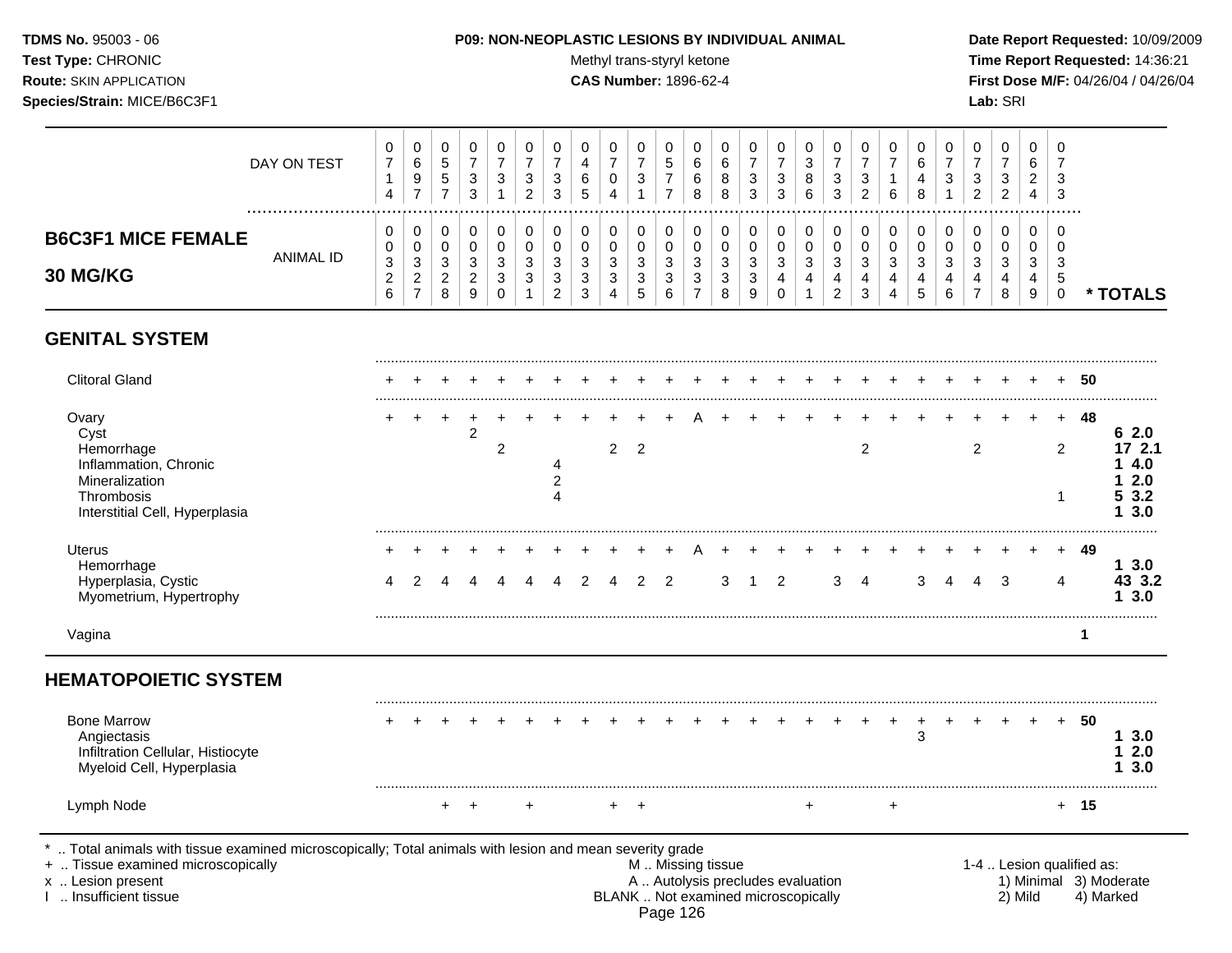### **TDMS No.** 95003 - 06 **P09: NON-NEOPLASTIC LESIONS BY INDIVIDUAL ANIMAL Date Report Requested:** 10/09/2009

Test Type: CHRONIC **Test Type:** CHRONIC **Test Type:** CHRONIC **Time Report Requested:** 14:36:21 **Route:** SKIN APPLICATION **CAS Number:** 1896-62-4 **First Dose M/F:** 04/26/04 / 04/26/04

|                                       | DAY ON TEST | U<br>$\overline{ }$<br>4          | 0<br>6<br>9<br>$\overline{\phantom{0}}$          | υ<br>∽<br>◡<br>$5^{\circ}$        | -3                   | U<br>3                | U<br>ີ<br>◡<br>ົ                      | 3                        | U<br>4<br>6<br>ಎ | υ<br>າ<br>N                     | ັບ<br>∽<br>J              | U<br>⌒<br>6<br>⌒<br>6<br>8 | U<br>6<br>8<br>8       | 3<br>З   | 0<br>3<br>3                       | υ<br>⌒<br>J<br>8<br>6 | U<br>3<br>ີ<br>c                  | U<br>3           | υ<br>6  | 6<br>4<br>8        | ت      | U<br>З<br>◠<br><u>_</u> | 0<br>ົ<br>◡<br>◠<br>_       | υ<br>b<br>ົ<br>$\epsilon$<br>4 | U<br>-<br>3<br>-3 |        |
|---------------------------------------|-------------|-----------------------------------|--------------------------------------------------|-----------------------------------|----------------------|-----------------------|---------------------------------------|--------------------------|------------------|---------------------------------|---------------------------|----------------------------|------------------------|----------|-----------------------------------|-----------------------|-----------------------------------|------------------|---------|--------------------|--------|-------------------------|-----------------------------|--------------------------------|-------------------|--------|
| <b>B6C3F1 MICE FEMALE</b><br>30 MG/KG | ANIMAL ID   | 0<br>0<br>3<br>ີ<br><u>_</u><br>6 | 0<br>0<br>$\sim$<br>J<br>$\sim$<br><u>_</u><br>– | u<br>◠<br>ັ<br><u>_</u><br>o<br>o | $\sqrt{2}$<br>N<br>9 | 0<br>O<br>3<br>3<br>υ | 0<br>υ<br>ົ<br>ັ<br><sup>o</sup><br>ັ | u<br>دت<br>J<br><u>_</u> | 3<br>3<br>3      | υ<br>u<br>ົ<br>◡<br>າ<br>ັ<br>5 | $\epsilon$<br>J<br>⌒<br>J | 0<br>U<br>3<br>3           | U<br>ົ<br>J.<br>3<br>8 | ◡<br>- 3 | Ü<br>0<br>◠<br><b>ت</b><br>4<br>0 | υ<br>$\sim$<br>ັ<br>4 | U<br>ົ<br>J<br>4<br>ി<br><u>.</u> | U<br>◡<br>3<br>3 | ◠<br>دت | ົ<br>۰C<br>4<br>.5 | J<br>4 | ີ<br>J<br>4             | 0<br>0<br>C.<br>ັ<br>4<br>8 | υ<br>ν<br>3<br>4<br>9          | U<br>-3<br>ು      | TOTALS |

# **GENITAL SYSTEM**

| <b>Clitoral Gland</b>                                                                                                                                                                      |  |           |                |   |                                  |   |                |                |                |                                                                                               |   |   |   |                |           |   |   |   |   |         |          | 50                        |                                             |
|--------------------------------------------------------------------------------------------------------------------------------------------------------------------------------------------|--|-----------|----------------|---|----------------------------------|---|----------------|----------------|----------------|-----------------------------------------------------------------------------------------------|---|---|---|----------------|-----------|---|---|---|---|---------|----------|---------------------------|---------------------------------------------|
| Ovary<br>Cyst<br>Hemorrhage<br>Inflammation, Chronic<br>Mineralization<br>Thrombosis<br>Interstitial Cell, Hyperplasia                                                                     |  |           | $\overline{c}$ | 2 | $\overline{2}$<br>$\overline{4}$ |   | $\overline{2}$ | $\overline{2}$ |                |                                                                                               |   |   |   | $\overline{2}$ |           |   |   | 2 |   | ÷.      | $+$<br>2 | -48                       | 62.0<br>17 2.1<br>4.0<br>2.0<br>53.2<br>3.0 |
| <b>Uterus</b><br>Hemorrhage<br>Hyperplasia, Cystic<br>Myometrium, Hypertrophy                                                                                                              |  |           |                |   |                                  | 2 |                | 2              | $\overline{2}$ |                                                                                               | 3 | 2 | 3 | 4              |           | 3 | 4 |   | 3 |         | 4        | -49                       | 13.0<br>43 3.2<br>13.0                      |
| Vagina                                                                                                                                                                                     |  |           |                |   |                                  |   |                |                |                |                                                                                               |   |   |   |                |           |   |   |   |   |         |          |                           |                                             |
| <b>HEMATOPOIETIC SYSTEM</b>                                                                                                                                                                |  |           |                |   |                                  |   |                |                |                |                                                                                               |   |   |   |                |           |   |   |   |   |         |          |                           |                                             |
| <b>Bone Marrow</b><br>Angiectasis<br>Infiltration Cellular, Histiocyte<br>Myeloid Cell, Hyperplasia                                                                                        |  |           |                |   |                                  |   |                |                |                |                                                                                               |   |   |   |                |           | 3 |   |   |   |         | $+$      | -50                       | 13.0<br>2.0<br>3.0                          |
| Lymph Node                                                                                                                                                                                 |  | $\ddot{}$ |                |   |                                  |   |                | $\overline{+}$ |                |                                                                                               |   |   |   |                | $\ddot{}$ |   |   |   |   |         |          | $+ 15$                    |                                             |
| *  Total animals with tissue examined microscopically; Total animals with lesion and mean severity grade<br>+  Tissue examined microscopically<br>x  Lesion present<br>Insufficient tissue |  |           |                |   |                                  |   |                |                |                | M  Missing tissue<br>A  Autolysis precludes evaluation<br>BLANK  Not examined microscopically |   |   |   |                |           |   |   |   |   | 2) Mild |          | 1-4  Lesion qualified as: | 1) Minimal 3) Moderate<br>4) Marked         |

Page 126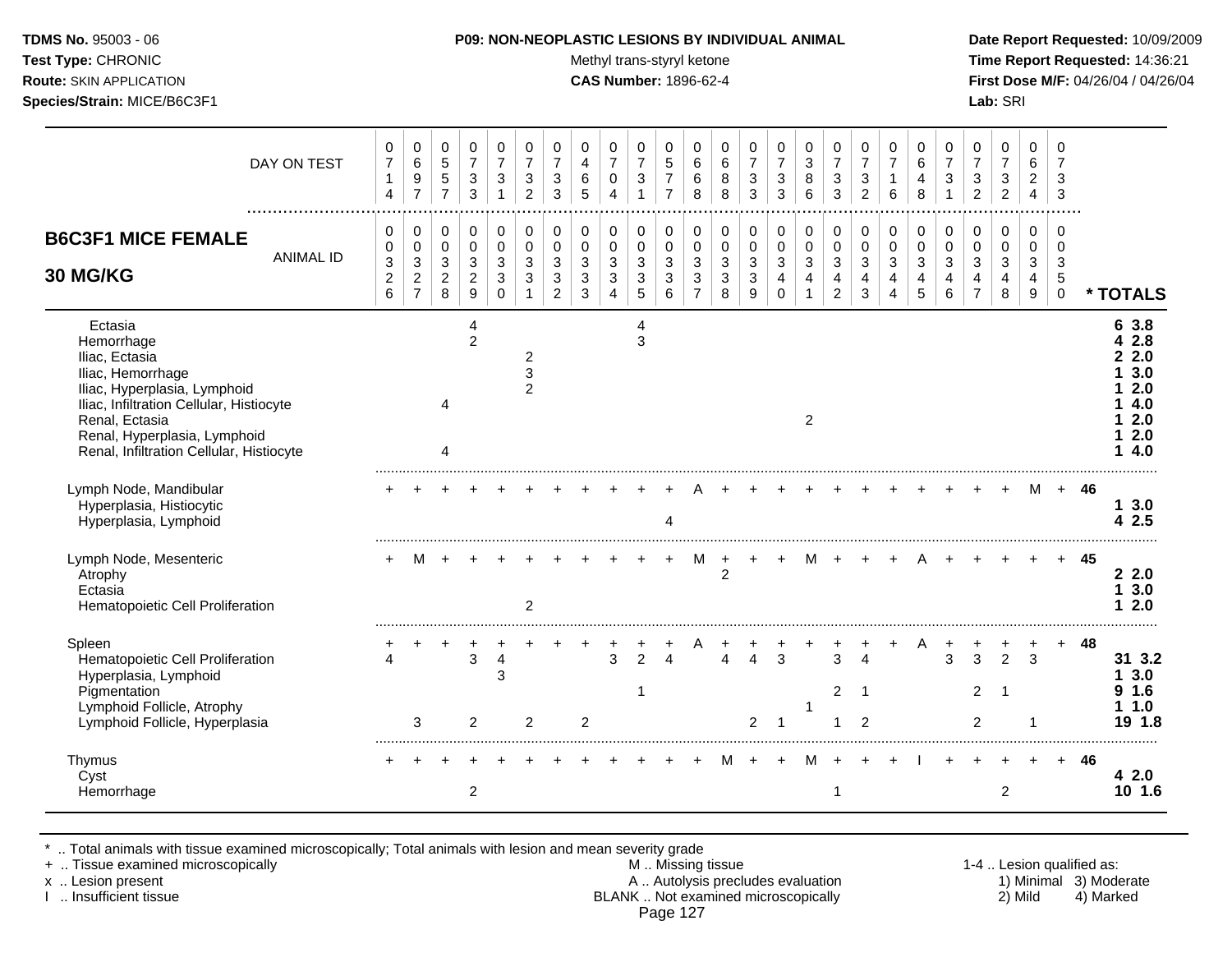Test Type: CHRONIC **Test Type:** CHRONIC **Test Type:** CHRONIC **Time Report Requested:** 14:36:21 **Route:** SKIN APPLICATION **CAS Number:** 1896-62-4 **First Dose M/F:** 04/26/04 / 04/26/04 **Species/Strain:** MICE/B6C3F1 **Lab:** SRI

| DAY ON TEST                                                                                                                                                                                                                            | 0<br>$\overline{7}$<br>1<br>4                                      | 0<br>6<br>9<br>$\overline{7}$                              | 0<br>$\sqrt{5}$<br>$5\,$<br>$\overline{7}$        | 0<br>$\overline{7}$<br>$\ensuremath{\mathsf{3}}$<br>3       | 0<br>$\overline{7}$<br>$\sqrt{3}$<br>$\mathbf{1}$             | 0<br>$\overline{7}$<br>3<br>$\overline{2}$ | 0<br>$\overline{7}$<br>3<br>3                           | 0<br>4<br>6<br>5                       | 0<br>$\overline{7}$<br>0<br>$\overline{\mathbf{4}}$ | 0<br>$\overline{7}$<br>$\mathbf{3}$                 | 0<br>5<br>$\overline{7}$<br>$\overline{7}$            | 0<br>6<br>6<br>8                   | 0<br>6<br>8<br>8                                            | 0<br>$\overline{7}$<br>3<br>3                       | 0<br>$\overline{7}$<br>3<br>3              | 0<br>3<br>8<br>6         | 0<br>$\overline{7}$<br>$\mathbf{3}$<br>3                                    | 0<br>$\overline{7}$<br>3<br>2                           | 0<br>$\overline{7}$<br>1<br>6  | 0<br>6<br>4<br>8                                                  | 0<br>$\overline{7}$<br>3     | 0<br>$\overline{7}$<br>3<br>2 | 0<br>$\overline{7}$<br>3<br>$\overline{c}$ | 0<br>6<br>$\overline{c}$<br>4   | 0<br>$\overline{7}$<br>3<br>3                          |      |                                                                     |
|----------------------------------------------------------------------------------------------------------------------------------------------------------------------------------------------------------------------------------------|--------------------------------------------------------------------|------------------------------------------------------------|---------------------------------------------------|-------------------------------------------------------------|---------------------------------------------------------------|--------------------------------------------|---------------------------------------------------------|----------------------------------------|-----------------------------------------------------|-----------------------------------------------------|-------------------------------------------------------|------------------------------------|-------------------------------------------------------------|-----------------------------------------------------|--------------------------------------------|--------------------------|-----------------------------------------------------------------------------|---------------------------------------------------------|--------------------------------|-------------------------------------------------------------------|------------------------------|-------------------------------|--------------------------------------------|---------------------------------|--------------------------------------------------------|------|---------------------------------------------------------------------|
| <b>B6C3F1 MICE FEMALE</b><br><b>ANIMAL ID</b><br>30 MG/KG                                                                                                                                                                              | 0<br>$\mathbf 0$<br>$\sqrt{3}$<br>$\overline{c}$<br>$6\phantom{a}$ | 0<br>0<br>$\sqrt{3}$<br>$\boldsymbol{2}$<br>$\overline{7}$ | 0<br>$\pmb{0}$<br>$\mathbf{3}$<br>$\sqrt{2}$<br>8 | 0<br>$\mathbf 0$<br>$\mathbf{3}$<br>$\overline{c}$<br>$9\,$ | 0<br>$\mathbf 0$<br>$\sqrt{3}$<br>$\mathbf{3}$<br>$\mathbf 0$ | 0<br>$\Omega$<br>$\mathbf{3}$<br>3         | 0<br>$\mathbf 0$<br>$\mathbf{3}$<br>3<br>$\overline{2}$ | $\mathbf 0$<br>$\Omega$<br>3<br>3<br>3 | 0<br>$\pmb{0}$<br>3<br>3<br>4                       | 0<br>$\pmb{0}$<br>$\mathbf{3}$<br>$\mathbf{3}$<br>5 | 0<br>$\mathbf 0$<br>$\mathbf{3}$<br>$\mathbf{3}$<br>6 | 0<br>0<br>3<br>3<br>$\overline{7}$ | $\mathbf 0$<br>$\mathbf 0$<br>$\sqrt{3}$<br>$\sqrt{3}$<br>8 | 0<br>$\pmb{0}$<br>$\mathbf{3}$<br>$\mathbf{3}$<br>9 | 0<br>$\mathbf 0$<br>$\sqrt{3}$<br>$\Omega$ | 0<br>$\pmb{0}$<br>3<br>4 | 0<br>$\pmb{0}$<br>$\mathbf{3}$<br>$\overline{\mathbf{4}}$<br>$\overline{2}$ | 0<br>$\mathbf 0$<br>3<br>$\overline{4}$<br>$\mathbf{3}$ | 0<br>0<br>$\sqrt{3}$<br>4<br>4 | $\mathbf 0$<br>$\mathbf 0$<br>$\mathbf{3}$<br>$\overline{4}$<br>5 | 0<br>$\Omega$<br>3<br>4<br>6 | 0<br>$\Omega$<br>3            | 0<br>$\mathbf 0$<br>3<br>4<br>8            | 0<br>$\mathbf 0$<br>3<br>4<br>9 | $\Omega$<br>$\Omega$<br>$\sqrt{3}$<br>5<br>$\mathbf 0$ |      | * TOTALS                                                            |
| Ectasia<br>Hemorrhage<br>Iliac, Ectasia<br>Iliac, Hemorrhage<br>Iliac, Hyperplasia, Lymphoid<br>Iliac, Infiltration Cellular, Histiocyte<br>Renal, Ectasia<br>Renal, Hyperplasia, Lymphoid<br>Renal, Infiltration Cellular, Histiocyte |                                                                    |                                                            | 4<br>4                                            | 4<br>2                                                      |                                                               | 2<br>3<br>$\overline{c}$                   |                                                         |                                        |                                                     | 4<br>3                                              |                                                       |                                    |                                                             |                                                     |                                            | $\overline{c}$           |                                                                             |                                                         |                                |                                                                   |                              |                               |                                            |                                 |                                                        |      | 6 3.8<br>2.8<br>2.0<br>3.0<br>2.0<br>4.0<br>2.0<br>2.0<br>4.0<br>1. |
| Lymph Node, Mandibular<br>Hyperplasia, Histiocytic<br>Hyperplasia, Lymphoid                                                                                                                                                            |                                                                    |                                                            |                                                   |                                                             |                                                               |                                            |                                                         |                                        |                                                     |                                                     | 4                                                     |                                    |                                                             |                                                     |                                            |                          |                                                                             |                                                         |                                |                                                                   |                              |                               |                                            | M                               |                                                        | + 46 | 13.0<br>42.5                                                        |
| Lymph Node, Mesenteric<br>Atrophy<br>Ectasia<br>Hematopoietic Cell Proliferation                                                                                                                                                       |                                                                    | м                                                          |                                                   |                                                             |                                                               | 2                                          |                                                         |                                        |                                                     |                                                     |                                                       | M                                  | $\ddot{}$<br>$\overline{2}$                                 |                                                     |                                            | M                        |                                                                             |                                                         |                                |                                                                   |                              |                               |                                            |                                 |                                                        | 45   | 2.2.0<br>3.0<br>1<br>2.0<br>1                                       |
| Spleen<br>Hematopoietic Cell Proliferation<br>Hyperplasia, Lymphoid<br>Pigmentation<br>Lymphoid Follicle, Atrophy<br>Lymphoid Follicle, Hyperplasia                                                                                    |                                                                    | 3                                                          |                                                   | 3<br>$\overline{2}$                                         | 4<br>3                                                        | $\overline{c}$                             |                                                         | $\overline{2}$                         | 3                                                   | 2                                                   | Δ                                                     |                                    | 4                                                           | 4<br>$\overline{2}$                                 | 3<br>-1                                    | 1                        | 3<br>$\overline{2}$                                                         | 4<br>$\overline{1}$<br>2                                |                                |                                                                   | 3                            | 3<br>$2^{\circ}$<br>2         | $\overline{2}$<br>- 1                      | 3                               |                                                        | 48   | 31 3.2<br>3.0<br>1.6<br>9<br>1.0<br>19 1.8                          |
| Thymus<br>Cyst<br>Hemorrhage                                                                                                                                                                                                           |                                                                    |                                                            |                                                   | $\overline{2}$                                              |                                                               |                                            |                                                         |                                        |                                                     |                                                     |                                                       |                                    |                                                             |                                                     |                                            |                          |                                                                             |                                                         |                                |                                                                   |                              |                               | 2                                          |                                 |                                                        | 46   | 42.0<br>10 1.6                                                      |

\* .. Total animals with tissue examined microscopically; Total animals with lesion and mean severity grade

+ .. Tissue examined microscopically M .. Missing tissue 1-4 .. Lesion qualified as: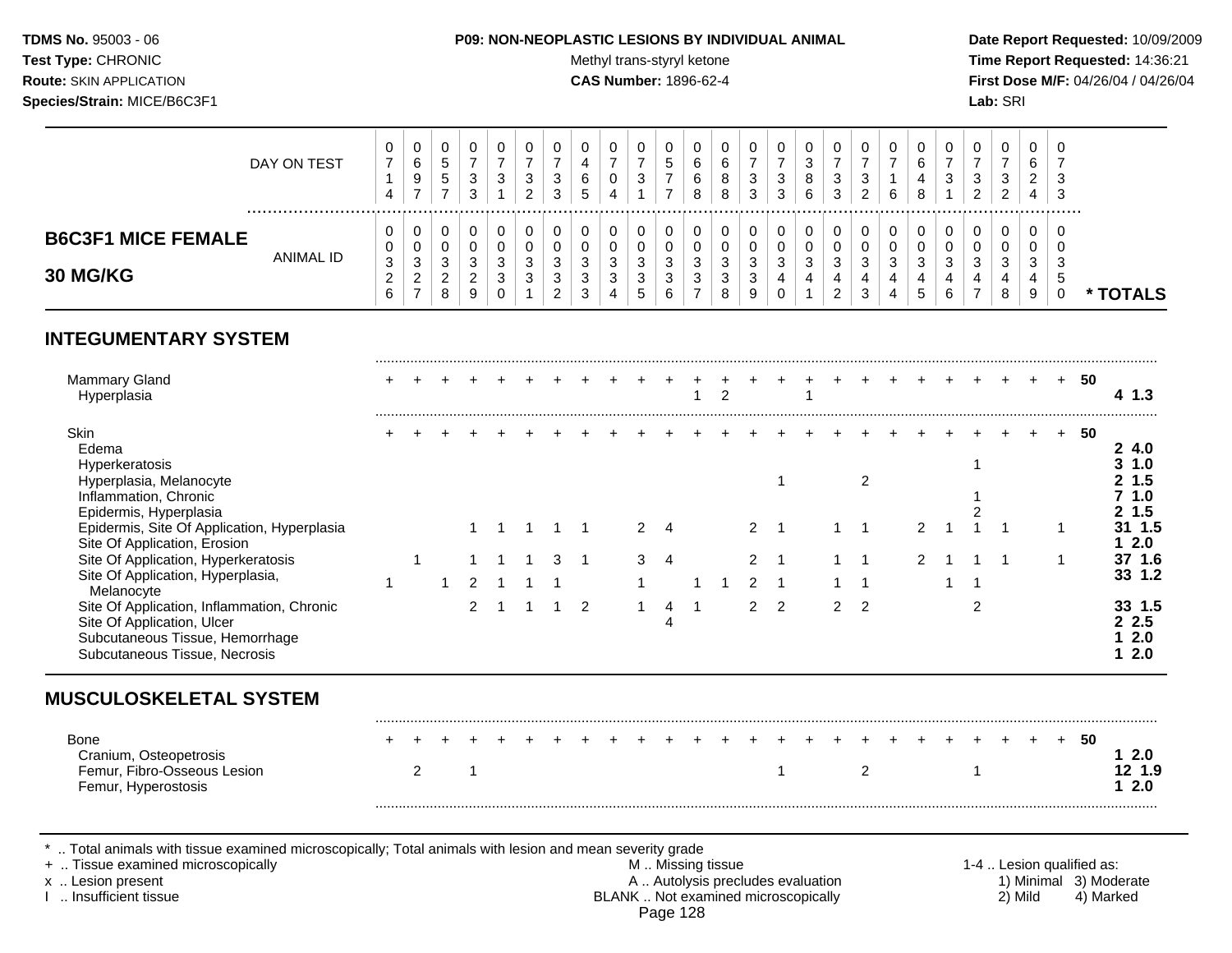#### **TDMS No.** 95003 - 06 **P09: NON-NEOPLASTIC LESIONS BY INDIVIDUAL ANIMAL Date Report Requested:** 10/09/2009

Test Type: CHRONIC **Test Type:** CHRONIC **Test Type:** CHRONIC **Time Report Requested:** 14:36:21 **Route:** SKIN APPLICATION **CAS Number:** 1896-62-4 **First Dose M/F:** 04/26/04 / 04/26/04

| 0<br>0<br>0<br>0<br>0<br>0<br>0<br>0<br>0<br>U<br>U<br>U<br>U<br><b>B6C3F1 MICE FEMALE</b><br>v<br>v<br>0<br>0<br>0<br>0<br>O<br>0<br>O<br>- U<br>υ<br>v<br>υ<br>ANIMAL ID<br>3<br>ົ<br>3<br>っ<br>3<br>3<br>$\sqrt{2}$<br>3<br>ົ<br>ີ<br>ົ<br>3<br>ົ<br>◠<br>ົ<br>3<br><sup>o</sup><br>વ<br>$\epsilon$<br>ົ<br>◠<br>-3<br>- 3<br>C.<br>ت<br>J<br>۰J<br>J<br>ು<br>ັ<br>ں<br>ັ<br>ັ<br>ັ<br>ັ<br>J<br><b>30 MG/KG</b><br>$\sim$<br>$\sqrt{2}$<br>વ<br>ົ<br>3<br>$\sim$<br>ີ<br>າ<br>3<br>4<br>. 5<br>4<br>4<br>4<br>4<br>4<br>4<br>J<br>◡<br>ັ<br>J<br>ں<br>ັ<br><u>_</u><br>$\rightarrow$<br>◠<br>⌒ | DAY ON TEST | 0<br>-4 | ັ<br>6<br>9<br>- | ັ<br><sub>5</sub><br>5 | З<br>3 | U<br>3 | 0<br>ີ<br>ت<br>ົ<br>_ | ت<br>3 | 0<br>4<br>6<br><sub>5</sub> | 4 | ν<br>າ<br>◡ | ◡ | U<br>⌒<br>6<br>6<br>8 | U<br>6<br>8<br>8 | 3 | 0<br>3<br>3 | 8<br>6 | v<br>3<br>3 | ີ<br>J<br>_ | 0<br>6 | υ<br>6<br>4<br>8 | - ఎ | 0<br>3<br>ົ<br><u>_</u> | v<br>ີ<br>J<br>$\epsilon$ | 0<br>6<br><u>.</u><br>4 | - 0<br>3<br>3 |               |
|----------------------------------------------------------------------------------------------------------------------------------------------------------------------------------------------------------------------------------------------------------------------------------------------------------------------------------------------------------------------------------------------------------------------------------------------------------------------------------------------------------------------------------------------------------------------------------------------------|-------------|---------|------------------|------------------------|--------|--------|-----------------------|--------|-----------------------------|---|-------------|---|-----------------------|------------------|---|-------------|--------|-------------|-------------|--------|------------------|-----|-------------------------|---------------------------|-------------------------|---------------|---------------|
|                                                                                                                                                                                                                                                                                                                                                                                                                                                                                                                                                                                                    |             | 6       |                  | 8                      | S      | U      |                       |        | 3                           |   | $5^{\circ}$ |   |                       | 8                |   | 0           |        |             |             |        | C                |     |                         | 8                         | 9                       |               | <b>FOTALS</b> |

## **INTEGUMENTARY SYSTEM**

| <b>Mammary Gland</b><br>Hyperplasia                                                                                                          |  |  |  |   |   |   |   |  |   |               |   |  |  |  | 50 | 4 1.3                       |
|----------------------------------------------------------------------------------------------------------------------------------------------|--|--|--|---|---|---|---|--|---|---------------|---|--|--|--|----|-----------------------------|
| Skin<br>Edema<br>Hyperkeratosis<br>Hyperplasia, Melanocyte<br>Inflammation, Chronic                                                          |  |  |  |   |   |   |   |  |   |               |   |  |  |  | 50 | -4.0                        |
| Epidermis, Hyperplasia<br>Epidermis, Site Of Application, Hyperplasia<br>Site Of Application, Erosion                                        |  |  |  |   |   |   |   |  |   |               |   |  |  |  |    | 1.5<br>2.0                  |
| Site Of Application, Hyperkeratosis                                                                                                          |  |  |  | 3 |   | 3 | 4 |  |   |               |   |  |  |  |    | 37 1.6                      |
| Site Of Application, Hyperplasia,<br>Melanocyte                                                                                              |  |  |  |   |   |   |   |  |   |               |   |  |  |  |    | 33 1.2                      |
| Site Of Application, Inflammation, Chronic<br>Site Of Application, Ulcer<br>Subcutaneous Tissue, Hemorrhage<br>Subcutaneous Tissue, Necrosis |  |  |  |   | 2 |   |   |  | 2 | $\mathcal{P}$ | 2 |  |  |  |    | 33 1.5<br>2.5<br>2.0<br>2.0 |

| <b>Bone</b>            |  |  |  |  |  |  |  |  |  |  | . |  | -50 |  |
|------------------------|--|--|--|--|--|--|--|--|--|--|---|--|-----|--|
| Cranium, Osteopetrosis |  |  |  |  |  |  |  |  |  |  |   |  |     |  |
| Femur, Fibro-Osseous L |  |  |  |  |  |  |  |  |  |  |   |  |     |  |
| Femur, Hyperostosis    |  |  |  |  |  |  |  |  |  |  |   |  |     |  |
|                        |  |  |  |  |  |  |  |  |  |  |   |  |     |  |

\* .. Total animals with tissue examined microscopically; Total animals with lesion and mean severity grade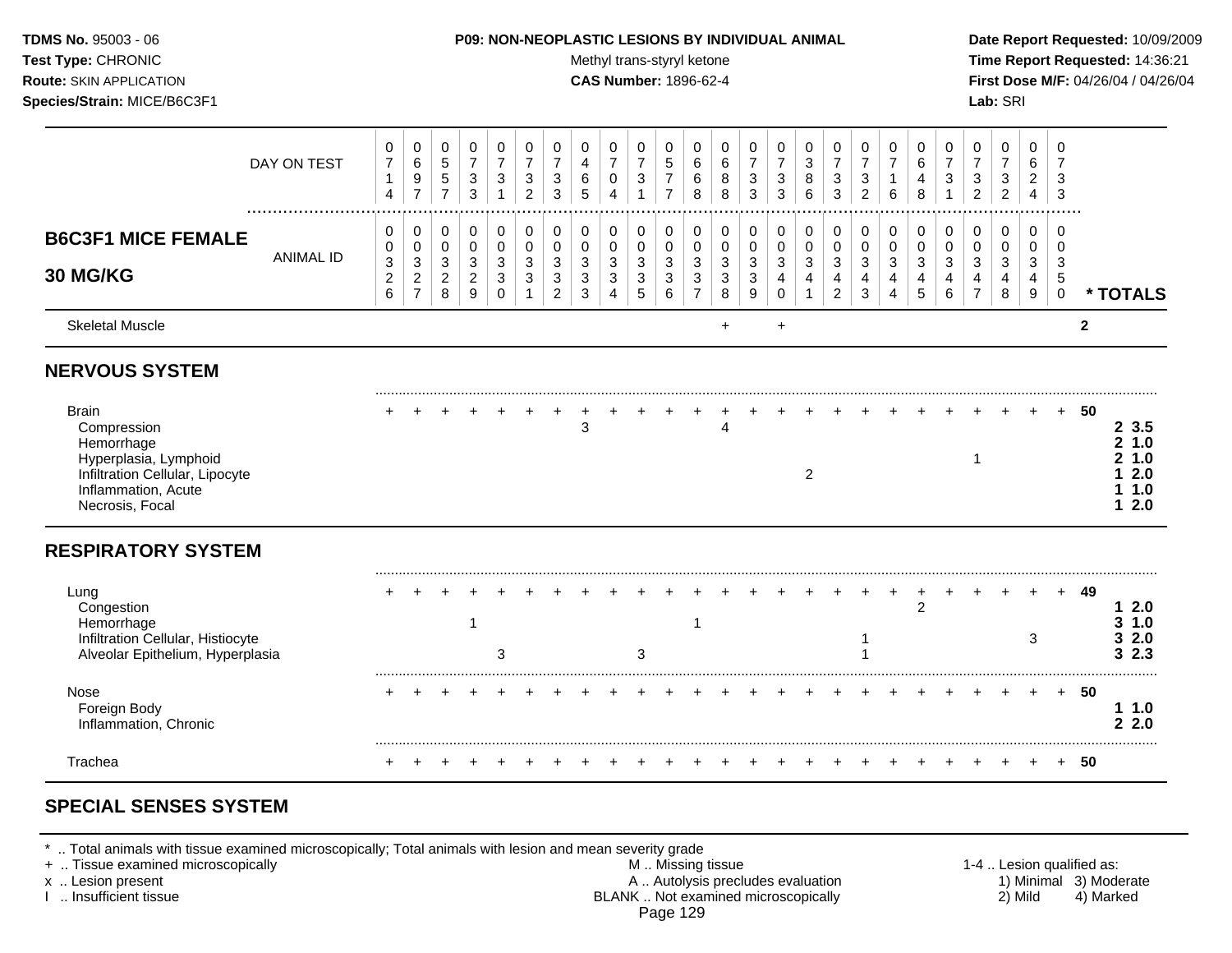#### **TDMS No.** 95003 - 06 **P09: NON-NEOPLASTIC LESIONS BY INDIVIDUAL ANIMAL Date Report Requested:** 10/09/2009

Test Type: CHRONIC **Test Type:** CHRONIC **Test Type:** CHRONIC **Time Report Requested:** 14:36:21 **Route:** SKIN APPLICATION **CAS Number:** 1896-62-4 **First Dose M/F:** 04/26/04 / 04/26/04

|                                                                                                                                                 | DAY ON TEST      | $\pmb{0}$<br>$\overline{7}$<br>$\mathbf{1}$<br>$\overline{4}$          | 0<br>$\,6\,$<br>$\boldsymbol{9}$<br>$\overline{7}$              | 0<br>$\sqrt{5}$<br>$\sqrt{5}$<br>$\overline{7}$ | 0<br>$\overline{7}$<br>$\ensuremath{\mathsf{3}}$<br>3 | 0<br>$\overline{7}$<br>3<br>$\mathbf{1}$  | 0<br>$\overline{7}$<br>3<br>$\overline{2}$ | $\mathbf 0$<br>$\overline{7}$<br>3<br>3 | 0<br>4<br>$\,6\,$<br>5                              | 0<br>$\overline{7}$<br>0<br>$\overline{A}$ | 0<br>$\overline{7}$<br>$\sqrt{3}$<br>$\mathbf{1}$   | 0<br>$\sqrt{5}$<br>$\overline{7}$<br>$\overline{7}$ | $\mathbf 0$<br>6<br>6<br>8                   | 0<br>6<br>8<br>8      | 0<br>$\overline{7}$<br>$\mathbf{3}$<br>3            | 0<br>$\overline{7}$<br>3<br>3          | 0<br>3<br>8<br>6                                      | $\mathbf 0$<br>$\overline{7}$<br>$\ensuremath{\mathsf{3}}$<br>3 | $\pmb{0}$<br>$\overline{7}$<br>$\sqrt{3}$<br>$\overline{2}$ | 0<br>$\overline{7}$<br>1<br>6                | 0<br>6<br>4<br>8                             | $\mathbf 0$<br>$\overline{7}$<br>3<br>$\overline{\mathbf{1}}$ | 0<br>$\overline{7}$<br>3<br>2                | 0<br>$\overline{7}$<br>$\sqrt{3}$<br>$\overline{2}$ | $\mathbf 0$<br>6<br>$\overline{c}$<br>4                | 0<br>$\overline{7}$<br>3<br>3           |                |                                                           |
|-------------------------------------------------------------------------------------------------------------------------------------------------|------------------|------------------------------------------------------------------------|-----------------------------------------------------------------|-------------------------------------------------|-------------------------------------------------------|-------------------------------------------|--------------------------------------------|-----------------------------------------|-----------------------------------------------------|--------------------------------------------|-----------------------------------------------------|-----------------------------------------------------|----------------------------------------------|-----------------------|-----------------------------------------------------|----------------------------------------|-------------------------------------------------------|-----------------------------------------------------------------|-------------------------------------------------------------|----------------------------------------------|----------------------------------------------|---------------------------------------------------------------|----------------------------------------------|-----------------------------------------------------|--------------------------------------------------------|-----------------------------------------|----------------|-----------------------------------------------------------|
| <b>B6C3F1 MICE FEMALE</b><br><b>30 MG/KG</b>                                                                                                    | <b>ANIMAL ID</b> | 0<br>$\pmb{0}$<br>$\ensuremath{\mathsf{3}}$<br>$\overline{c}$<br>$\,6$ | 0<br>$\mathbf 0$<br>$\mathsf 3$<br>$\sqrt{2}$<br>$\overline{7}$ | 0<br>$\mathbf 0$<br>3<br>$\overline{c}$<br>8    | 0<br>$\mathbf 0$<br>3<br>$\boldsymbol{2}$<br>9        | 0<br>$\mathbf 0$<br>3<br>3<br>$\mathbf 0$ | 0<br>$\mathbf 0$<br>3<br>3                 | 0<br>$\mathbf 0$<br>3<br>3<br>2         | 0<br>$\mathbf 0$<br>$\sqrt{3}$<br>$\mathbf{3}$<br>3 | 0<br>$\mathbf 0$<br>3<br>$\mathbf{3}$<br>4 | 0<br>$\mathbf 0$<br>$\sqrt{3}$<br>$\mathbf{3}$<br>5 | 0<br>$\mathbf 0$<br>$\sqrt{3}$<br>$\sqrt{3}$<br>6   | 0<br>$\mathbf 0$<br>3<br>3<br>$\overline{7}$ | 0<br>0<br>3<br>3<br>8 | 0<br>$\mathbf 0$<br>$\mathbf{3}$<br>$\sqrt{3}$<br>9 | 0<br>$\mathbf 0$<br>3<br>4<br>$\Omega$ | 0<br>$\mathbf 0$<br>$\mathbf{3}$<br>4<br>$\mathbf{1}$ | 0<br>$\mathbf 0$<br>$\sqrt{3}$<br>4<br>$\overline{2}$           | 0<br>$\pmb{0}$<br>$\mathbf{3}$<br>4<br>3                    | 0<br>$\mathbf 0$<br>3<br>$\overline{4}$<br>4 | 0<br>$\mathbf 0$<br>3<br>$\overline{4}$<br>5 | $\mathbf 0$<br>$\Omega$<br>3<br>4<br>6                        | 0<br>$\mathbf 0$<br>3<br>4<br>$\overline{7}$ | 0<br>0<br>3<br>4<br>8                               | $\mathbf 0$<br>$\mathbf 0$<br>3<br>$\overline{4}$<br>9 | 0<br>$\mathbf 0$<br>3<br>5<br>$\pmb{0}$ |                | * TOTALS                                                  |
| <b>Skeletal Muscle</b>                                                                                                                          |                  |                                                                        |                                                                 |                                                 |                                                       |                                           |                                            |                                         |                                                     |                                            |                                                     |                                                     |                                              | $+$                   |                                                     | $\ddot{}$                              |                                                       |                                                                 |                                                             |                                              |                                              |                                                               |                                              |                                                     |                                                        |                                         | $\overline{2}$ |                                                           |
| <b>NERVOUS SYSTEM</b>                                                                                                                           |                  |                                                                        |                                                                 |                                                 |                                                       |                                           |                                            |                                         |                                                     |                                            |                                                     |                                                     |                                              |                       |                                                     |                                        |                                                       |                                                                 |                                                             |                                              |                                              |                                                               |                                              |                                                     |                                                        |                                         |                |                                                           |
| <b>Brain</b><br>Compression<br>Hemorrhage<br>Hyperplasia, Lymphoid<br>Infiltration Cellular, Lipocyte<br>Inflammation, Acute<br>Necrosis, Focal |                  |                                                                        |                                                                 |                                                 |                                                       |                                           |                                            |                                         | 3                                                   |                                            |                                                     |                                                     |                                              |                       |                                                     |                                        | 2                                                     |                                                                 |                                                             |                                              |                                              |                                                               | $\mathbf{1}$                                 |                                                     |                                                        | $\pm$                                   | 50             | 23.5<br>21.0<br>1.0<br>$\mathbf 2$<br>2.0<br>11.0<br>12.0 |
| <b>RESPIRATORY SYSTEM</b>                                                                                                                       |                  |                                                                        |                                                                 |                                                 |                                                       |                                           |                                            |                                         |                                                     |                                            |                                                     |                                                     |                                              |                       |                                                     |                                        |                                                       |                                                                 |                                                             |                                              |                                              |                                                               |                                              |                                                     |                                                        |                                         |                |                                                           |
| Lung<br>Congestion<br>Hemorrhage<br>Infiltration Cellular, Histiocyte<br>Alveolar Epithelium, Hyperplasia                                       |                  |                                                                        |                                                                 |                                                 | $\overline{1}$                                        | 3                                         |                                            |                                         |                                                     |                                            | 3                                                   |                                                     | 1                                            |                       |                                                     |                                        |                                                       |                                                                 |                                                             |                                              | $\overline{c}$                               |                                                               |                                              |                                                     | 3                                                      |                                         | 49             | 2.0<br>1<br>31.0<br>32.0<br>32.3                          |
| Nose<br>Foreign Body<br>Inflammation, Chronic                                                                                                   |                  |                                                                        |                                                                 |                                                 |                                                       |                                           |                                            |                                         |                                                     |                                            |                                                     |                                                     |                                              |                       |                                                     |                                        |                                                       |                                                                 |                                                             |                                              |                                              |                                                               |                                              |                                                     |                                                        | $+$                                     | 50             | 11.0<br>2.2.0                                             |
| Trachea                                                                                                                                         |                  | $\div$                                                                 |                                                                 |                                                 |                                                       |                                           |                                            |                                         |                                                     |                                            |                                                     |                                                     |                                              |                       |                                                     |                                        |                                                       |                                                                 |                                                             |                                              |                                              |                                                               |                                              |                                                     |                                                        |                                         | $+ 50$         |                                                           |

\* .. Total animals with tissue examined microscopically; Total animals with lesion and mean severity grade<br>+ .. Tissue examined microscopically

+ .. Tissue examined microscopically  $M$ .. Missing tissue 1-4 .. Lesion qualified as: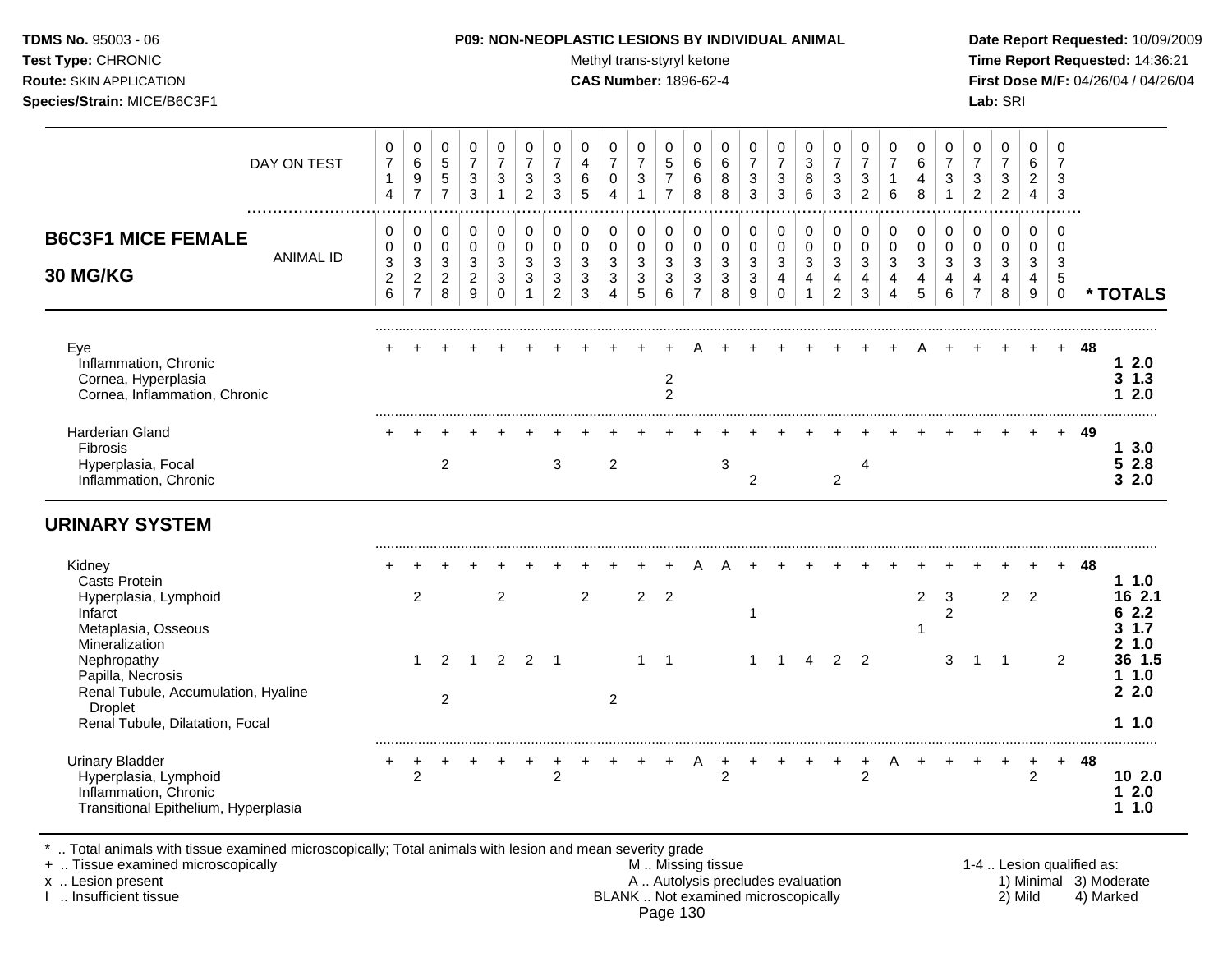Test Type: CHRONIC **Test Type:** CHRONIC **Test Type:** CHRONIC **Time Report Requested:** 14:36:21 **Route:** SKIN APPLICATION **CAS Number:** 1896-62-4 **First Dose M/F:** 04/26/04 / 04/26/04 **Species/Strain:** MICE/B6C3F1 **Lab:** SRI

|                                                                                                                              | DAY ON TEST      | 0<br>$\overline{7}$<br>$\mathbf{1}$<br>4               | 0<br>$\,6\,$<br>9<br>$\overline{7}$                               | 0<br>$\sqrt{5}$<br>$5\phantom{.0}$<br>$\overline{7}$ | 0<br>$\overline{7}$<br>3<br>3                       | 0<br>$\overline{7}$<br>3<br>$\mathbf{1}$ | 0<br>$\overline{7}$<br>3<br>$\overline{c}$ | 0<br>$\overline{7}$<br>$\mathbf{3}$<br>3                      | 0<br>$\overline{4}$<br>6<br>5   | 0<br>$\overline{7}$<br>$\mathbf 0$<br>$\overline{4}$  | 0<br>$\overline{7}$<br>3<br>-1                    | 0<br>5<br>$\overline{7}$<br>$\overline{7}$ | 0<br>6<br>6<br>8                             | 0<br>6<br>8<br>8                              | 0<br>$\overline{7}$<br>$\mathbf{3}$<br>3 | 0<br>$\overline{7}$<br>3<br>3        | 0<br>3<br>8<br>6                              | 0<br>$\overline{7}$<br>3<br>$\sqrt{3}$                         | 0<br>$\overline{7}$<br>3<br>2          | 0<br>$\overline{7}$<br>6                  | 0<br>6<br>4<br>8                | 0<br>$\overline{7}$<br>3                               | 0<br>$\overline{7}$<br>3<br>$\overline{2}$ | 0<br>$\overline{7}$<br>$\sqrt{3}$<br>$\overline{2}$ | $\mathbf 0$<br>6<br>$\overline{2}$<br>4                        | 0<br>$\overline{7}$<br>3<br>3                 |    |                                          |
|------------------------------------------------------------------------------------------------------------------------------|------------------|--------------------------------------------------------|-------------------------------------------------------------------|------------------------------------------------------|-----------------------------------------------------|------------------------------------------|--------------------------------------------|---------------------------------------------------------------|---------------------------------|-------------------------------------------------------|---------------------------------------------------|--------------------------------------------|----------------------------------------------|-----------------------------------------------|------------------------------------------|--------------------------------------|-----------------------------------------------|----------------------------------------------------------------|----------------------------------------|-------------------------------------------|---------------------------------|--------------------------------------------------------|--------------------------------------------|-----------------------------------------------------|----------------------------------------------------------------|-----------------------------------------------|----|------------------------------------------|
| <b>B6C3F1 MICE FEMALE</b><br>30 MG/KG                                                                                        | <b>ANIMAL ID</b> | 0<br>0<br>$\mathbf{3}$<br>$\sqrt{2}$<br>$6\phantom{1}$ | 0<br>$\mathsf{O}\xspace$<br>3<br>$\overline{2}$<br>$\overline{7}$ | $\Omega$<br>$\mathbf 0$<br>3<br>$\overline{2}$<br>8  | $\Omega$<br>$\mathbf 0$<br>3<br>$\overline{2}$<br>9 | 0<br>$\mathbf 0$<br>3<br>3<br>$\Omega$   | 0<br>$\mathbf 0$<br>3<br>3                 | $\pmb{0}$<br>$\pmb{0}$<br>3<br>$\mathbf{3}$<br>$\overline{2}$ | 0<br>$\mathbf 0$<br>3<br>3<br>3 | 0<br>$\pmb{0}$<br>3<br>$\mathbf{3}$<br>$\overline{4}$ | $\Omega$<br>$\mathbf 0$<br>$\mathbf{3}$<br>3<br>5 | $\Omega$<br>$\pmb{0}$<br>3<br>3<br>6       | 0<br>$\mathbf 0$<br>3<br>3<br>$\overline{7}$ | $\Omega$<br>$\pmb{0}$<br>3<br>$\sqrt{3}$<br>8 | 0<br>$\pmb{0}$<br>3<br>$\mathbf{3}$<br>9 | 0<br>$\pmb{0}$<br>3<br>4<br>$\Omega$ | 0<br>0<br>3<br>$\overline{4}$<br>$\mathbf{1}$ | $\Omega$<br>$\pmb{0}$<br>3<br>$\overline{4}$<br>$\overline{2}$ | $\Omega$<br>$\mathbf 0$<br>3<br>4<br>3 | $\mathbf 0$<br>$\mathbf 0$<br>3<br>4<br>4 | 0<br>$\mathbf 0$<br>3<br>4<br>5 | $\mathbf 0$<br>$\mathbf 0$<br>3<br>$\overline{4}$<br>6 | 0<br>$\pmb{0}$<br>3<br>4<br>$\overline{7}$ | 0<br>$\mathbf 0$<br>3<br>4<br>8                     | $\Omega$<br>$\mathbf 0$<br>$\mathbf{3}$<br>$\overline{4}$<br>9 | $\Omega$<br>$\Omega$<br>3<br>5<br>$\mathbf 0$ |    | * TOTALS                                 |
| Eye<br>Inflammation, Chronic<br>Cornea, Hyperplasia<br>Cornea, Inflammation, Chronic                                         |                  |                                                        |                                                                   |                                                      |                                                     |                                          |                                            |                                                               |                                 |                                                       |                                                   | $\overline{c}$<br>$\overline{2}$           |                                              |                                               |                                          |                                      |                                               |                                                                |                                        |                                           |                                 |                                                        |                                            |                                                     |                                                                | $+$                                           | 48 | 12.0<br>$3 \t1.3$<br>12.0                |
| <b>Harderian Gland</b><br>Fibrosis<br>Hyperplasia, Focal<br>Inflammation, Chronic                                            |                  |                                                        |                                                                   | $\overline{2}$                                       |                                                     |                                          |                                            | 3                                                             |                                 | 2                                                     |                                                   |                                            |                                              | 3                                             | $\overline{2}$                           |                                      |                                               | $\overline{2}$                                                 | 4                                      |                                           |                                 |                                                        |                                            |                                                     |                                                                |                                               | 49 | 13.0<br>52.8<br>32.0                     |
| <b>URINARY SYSTEM</b>                                                                                                        |                  |                                                        |                                                                   |                                                      |                                                     |                                          |                                            |                                                               |                                 |                                                       |                                                   |                                            |                                              |                                               |                                          |                                      |                                               |                                                                |                                        |                                           |                                 |                                                        |                                            |                                                     |                                                                |                                               |    |                                          |
| Kidney<br><b>Casts Protein</b><br>Hyperplasia, Lymphoid<br>Infarct<br>Metaplasia, Osseous<br>Mineralization                  |                  |                                                        | $\overline{2}$                                                    |                                                      |                                                     | 2                                        |                                            |                                                               | $\overline{2}$                  |                                                       | $\overline{2}$                                    | $\overline{2}$                             |                                              |                                               | 1                                        |                                      |                                               |                                                                |                                        |                                           | 2<br>1                          | 3<br>$\overline{2}$                                    |                                            | $\overline{2}$                                      | $\overline{2}$                                                 |                                               | 48 | 11.0<br>16 2.1<br>62.2<br>3, 1.7<br>21.0 |
| Nephropathy<br>Papilla, Necrosis<br>Renal Tubule, Accumulation, Hyaline<br><b>Droplet</b><br>Renal Tubule, Dilatation, Focal |                  |                                                        | 1                                                                 | 2<br>$\overline{2}$                                  | 1                                                   | 2                                        | $\overline{2}$                             | $\overline{\phantom{1}}$                                      |                                 | $\overline{2}$                                        | 1                                                 | $\overline{1}$                             |                                              |                                               | $\mathbf{1}$                             | 1                                    | 4                                             | 2                                                              | $\overline{2}$                         |                                           |                                 | 3                                                      | 1                                          | $\overline{1}$                                      |                                                                | 2                                             |    | 36 1.5<br>11.0<br>22.0<br>11.0           |
| <b>Urinary Bladder</b><br>Hyperplasia, Lymphoid<br>Inflammation, Chronic<br>Transitional Epithelium, Hyperplasia             |                  | +                                                      | 2                                                                 |                                                      |                                                     |                                          |                                            | $\overline{2}$                                                |                                 |                                                       |                                                   | +                                          | A                                            | 2                                             |                                          | +                                    | $\ddot{}$                                     | $\ddot{}$                                                      | $\ddot{}$<br>2                         | Α                                         |                                 |                                                        | +                                          | $\ddot{}$                                           | $\ddot{}$<br>$\overline{2}$                                    | $+$                                           | 48 | 102.0<br>12.0<br>11.0                    |

\* .. Total animals with tissue examined microscopically; Total animals with lesion and mean severity grade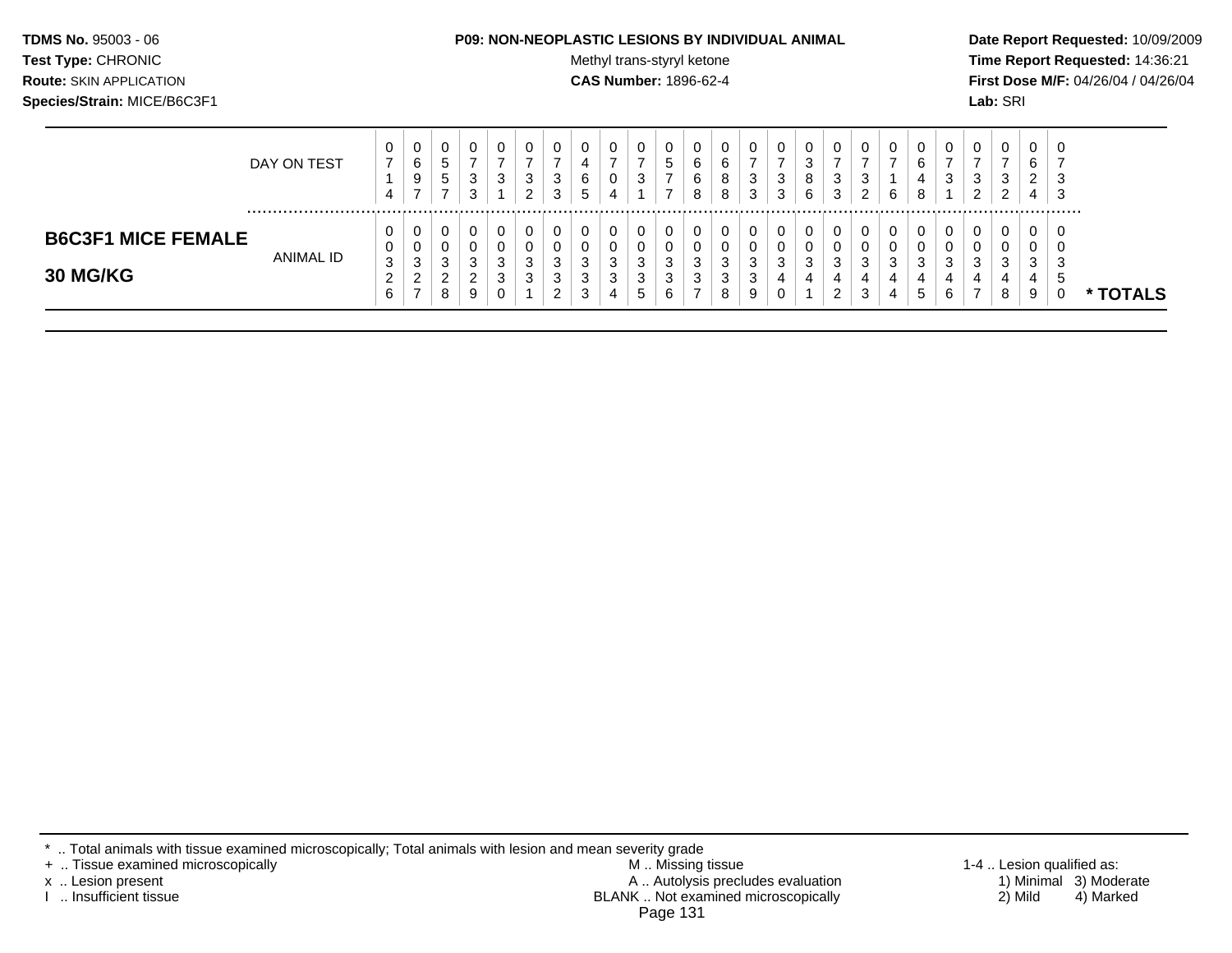#### **TDMS No.** 95003 - 06 **P09: NON-NEOPLASTIC LESIONS BY INDIVIDUAL ANIMAL Date Report Requested:** 10/09/2009

Test Type: CHRONIC **Test Type:** CHRONIC **Test Type:** CHRONIC **Time Report Requested:** 14:36:21 **Route:** SKIN APPLICATION **CAS Number:** 1896-62-4 **First Dose M/F:** 04/26/04 / 04/26/04

|                                       | DAY ON TEST | U<br>⇁<br>4                                   | 0<br>6<br>9<br>–                | υ<br>$\sim$<br>◡<br>$5^{\circ}$ | -3      | U<br>3                     | 0<br>3<br>ົ                | ు      | 0<br>4<br>6<br>$\mathbf{p}$ | 4                     | U<br>◠<br>J                                  | ν<br>ົບ                    | ь<br>ь  | U<br>6<br>o<br>8            | $\sqrt{2}$<br>J<br>3                         | 0<br>3<br>3           | 0<br>ົ<br>د<br>8<br>6 | 3<br>3      | 0<br>3<br>◠           | <b>U</b><br>6                            | u<br>⌒<br>u<br>8 | U<br>ົ<br>P                 | J<br>$\sim$ | ν<br>3<br>◠<br><u>_</u> | u<br><u>_</u><br>4 | 0<br>3<br>3            |               |
|---------------------------------------|-------------|-----------------------------------------------|---------------------------------|---------------------------------|---------|----------------------------|----------------------------|--------|-----------------------------|-----------------------|----------------------------------------------|----------------------------|---------|-----------------------------|----------------------------------------------|-----------------------|-----------------------|-------------|-----------------------|------------------------------------------|------------------|-----------------------------|-------------|-------------------------|--------------------|------------------------|---------------|
| <b>B6C3F1 MICE FEMALE</b><br>30 MG/KG | ANIMAL ID   | U<br>U<br>3<br>$\sqrt{2}$<br>_<br>$\sim$<br>b | 0<br>0<br>◠<br>C<br>ົ<br>∼<br>- | U<br>3<br>ີ<br>o                | ×.<br>g | U<br>O<br>3<br>ີ<br>J<br>0 | 0<br>U<br>ີ<br>ັ<br>ົ<br>ັ | J<br>∼ | 0<br>O<br>-3<br>3<br>◠<br>ు | ⌒<br>◡<br>⌒<br>J<br>4 | U<br>J<br>ີ<br>J<br>ົ<br>ັ<br><b>1</b><br>ົບ | υ<br>υ<br>J<br>c<br>J<br>ь | J<br>۰J | U<br>U<br>3<br>ັບ<br>O<br>o | $\sqrt{2}$<br>$\sim$<br>$\sqrt{2}$<br>N<br>9 | 0<br>0<br>3<br>4<br>0 | 0<br>0<br>3<br>4      | 3<br>4<br>2 | 0<br>O<br>3<br>4<br>3 | <b>U</b><br><b>U</b><br>◠<br>ັ<br>4<br>4 | u<br>u<br>N      | U<br>v<br>ി<br>×.<br>4<br>6 | J.          | U<br>υ<br>3<br>4<br>8   | υ.<br>د.<br>4<br>9 | 0<br>U<br>3<br>٠b<br>U | <b>TOTALS</b> |

\* .. Total animals with tissue examined microscopically; Total animals with lesion and mean severity grade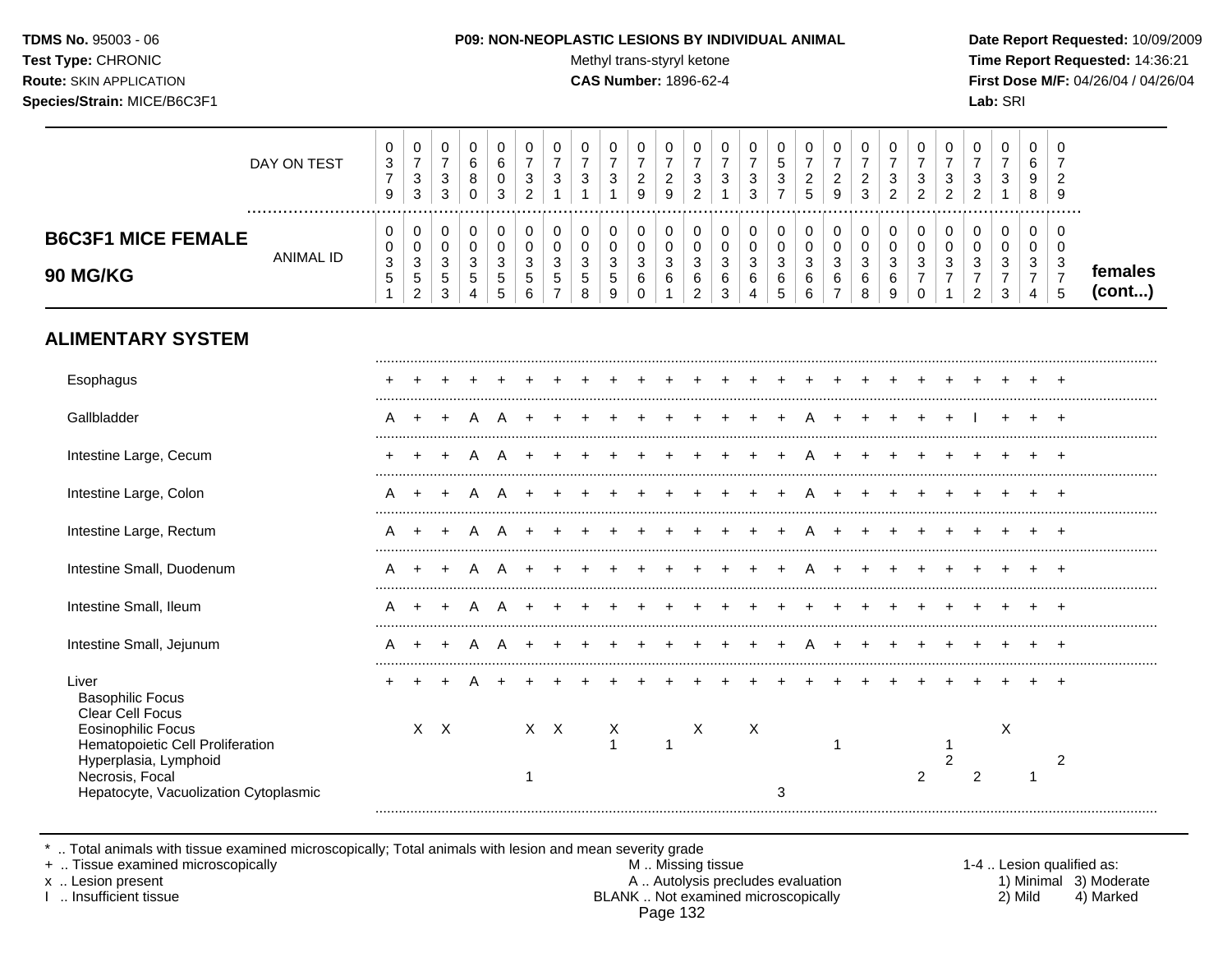#### **TDMS No.** 95003 - 06 **P09: NON-NEOPLASTIC LESIONS BY INDIVIDUAL ANIMAL Date Report Requested:** 10/09/2009

**Test Type:** CHRONIC **The Report Requested:** 14:36:21 **Route:** SKIN APPLICATION **CAS Number:** 1896-62-4 **First Dose M/F:** 04/26/04 / 04/26/04

|                                       | DAY ON TEST           | 0<br>3<br>$\overline{7}$<br>9                           | $\mathbf 0$<br>$\overline{7}$<br>3<br>$\sqrt{3}$       | $\mathbf 0$<br>$\overline{7}$<br>$\mathbf{3}$<br>$\sqrt{3}$ | 0<br>6<br>8<br>0                        | 0<br>$6\phantom{1}6$<br>0<br>3 | 0<br>$\overline{7}$<br>3<br>$\overline{2}$ | 0<br>$\overline{7}$<br>3 | 0<br>$\overline{7}$<br>3 | 0<br>$\overline{7}$<br>3       | 0<br>$\overline{7}$<br>$\overline{c}$<br>9 | 0<br>$\overline{7}$<br>$\overline{c}$<br>9 | 0<br>$\overline{7}$<br>3<br>$\overline{2}$   | 0<br>$\overline{7}$<br>3 | 0<br>$\overline{7}$<br>3<br>3 | 0<br>5<br>3           | $\pmb{0}$<br>$\overline{7}$<br>$\overline{c}$<br>5 | 0<br>$\overline{7}$<br>$\overline{c}$<br>9 | 0<br>$\overline{7}$<br>$\overline{\mathbf{c}}$<br>3 | 0<br>$\overline{7}$<br>3<br>2 | 0<br>7<br>3<br>$\overline{2}$  | 0<br>$\overline{7}$<br>3<br>2 | 0<br>$\overline{7}$<br>3<br>2 | 0<br>$\overline{7}$<br>$\mathbf{3}$      | 0<br>6<br>9<br>8                   | 0<br>$\overline{2}$<br>9                                        |                   |
|---------------------------------------|-----------------------|---------------------------------------------------------|--------------------------------------------------------|-------------------------------------------------------------|-----------------------------------------|--------------------------------|--------------------------------------------|--------------------------|--------------------------|--------------------------------|--------------------------------------------|--------------------------------------------|----------------------------------------------|--------------------------|-------------------------------|-----------------------|----------------------------------------------------|--------------------------------------------|-----------------------------------------------------|-------------------------------|--------------------------------|-------------------------------|-------------------------------|------------------------------------------|------------------------------------|-----------------------------------------------------------------|-------------------|
| <b>B6C3F1 MICE FEMALE</b><br>90 MG/KG | .<br><b>ANIMAL ID</b> | 0<br>0<br>$\ensuremath{\mathsf{3}}$<br>$\mathbf 5$<br>1 | 0<br>0<br>$\mathbf{3}$<br>$\sqrt{5}$<br>$\overline{2}$ | 0<br>0<br>3<br>$\sqrt{5}$<br>3                              | 0<br>$\pmb{0}$<br>3<br>$\,$ 5 $\,$<br>4 | 0<br>0<br>3<br>5<br>5          | 0<br>0<br>3<br>5<br>6                      | 0<br>0<br>3<br>5         | 0<br>0<br>3<br>5<br>8    | 0<br>0<br>3<br>$\sqrt{5}$<br>9 | 0<br>0<br>3<br>6<br>$\Omega$               | 0<br>$\pmb{0}$<br>3<br>6                   | $\mathbf 0$<br>0<br>3<br>6<br>$\overline{2}$ | 0<br>0<br>3<br>6<br>3    | 0<br>0<br>3<br>6<br>4         | 0<br>0<br>3<br>6<br>5 | 0<br>$\pmb{0}$<br>3<br>6<br>6                      | 0<br>$\pmb{0}$<br>3<br>6<br>$\overline{7}$ | 0<br>0<br>3<br>$\,6\,$<br>8                         | 0<br>0<br>3<br>$\,6$<br>9     | 0<br>$\Omega$<br>3<br>$\Omega$ | 0<br>0<br>3                   | 0<br>$\Omega$<br>3<br>7<br>2  | $\,0\,$<br>0<br>3<br>$\overline{7}$<br>3 | 0<br>0<br>3<br>$\overline{7}$<br>4 | $\Omega$<br>0<br>$\mathbf{3}$<br>$\boldsymbol{7}$<br>$\sqrt{5}$ | females<br>(cont) |
| <b>ALIMENTARY SYSTEM</b>              |                       |                                                         |                                                        |                                                             |                                         |                                |                                            |                          |                          |                                |                                            |                                            |                                              |                          |                               |                       |                                                    |                                            |                                                     |                               |                                |                               |                               |                                          |                                    |                                                                 |                   |
| Esophagus                             |                       |                                                         |                                                        |                                                             |                                         |                                |                                            |                          |                          |                                |                                            |                                            |                                              |                          |                               |                       |                                                    |                                            |                                                     |                               |                                |                               |                               |                                          |                                    |                                                                 |                   |
| Gallbladder                           |                       | Α                                                       |                                                        |                                                             |                                         |                                |                                            |                          |                          |                                |                                            |                                            |                                              |                          |                               |                       |                                                    |                                            |                                                     |                               |                                |                               |                               |                                          |                                    |                                                                 |                   |
| Intestine Large, Cecum                |                       |                                                         |                                                        |                                                             |                                         |                                |                                            |                          |                          |                                |                                            |                                            |                                              |                          |                               |                       |                                                    |                                            |                                                     |                               |                                |                               |                               |                                          |                                    |                                                                 |                   |
| Intestine Large, Colon                |                       |                                                         |                                                        |                                                             |                                         |                                |                                            |                          |                          |                                |                                            |                                            |                                              |                          |                               |                       |                                                    |                                            |                                                     |                               |                                |                               |                               |                                          |                                    |                                                                 |                   |
| Intestine Large, Rectum               |                       |                                                         |                                                        |                                                             |                                         |                                |                                            |                          |                          |                                |                                            |                                            |                                              |                          |                               |                       |                                                    |                                            |                                                     |                               |                                |                               |                               |                                          |                                    |                                                                 |                   |
| Intestine Small, Duodenum             |                       |                                                         |                                                        |                                                             |                                         |                                |                                            |                          |                          |                                |                                            |                                            |                                              |                          |                               |                       |                                                    |                                            |                                                     |                               |                                |                               |                               |                                          |                                    |                                                                 |                   |
| Intestine Small, Ileum                |                       |                                                         |                                                        |                                                             |                                         |                                |                                            |                          |                          |                                |                                            |                                            |                                              |                          |                               |                       |                                                    |                                            |                                                     |                               |                                |                               |                               |                                          |                                    |                                                                 |                   |
| Intestine Small, Jejunum              |                       |                                                         |                                                        |                                                             |                                         |                                |                                            |                          |                          |                                |                                            |                                            |                                              |                          |                               |                       |                                                    |                                            |                                                     |                               |                                |                               |                               |                                          |                                    |                                                                 |                   |
| Liver<br><b>Basophilic Focus</b>      |                       |                                                         |                                                        |                                                             |                                         |                                |                                            |                          |                          |                                |                                            |                                            |                                              |                          |                               |                       |                                                    |                                            |                                                     |                               |                                |                               |                               |                                          |                                    |                                                                 |                   |

Eosinophilic Focus **X X X X X X X X X X X X X** X X X Hematopoietic Cell Proliferation and the control of the control of the control of the control of the control of the control of the control of the control of the control of the control of the control of the control of the c Hyperplasia, Lymphoid 2 2 Necrosis, Focal 1 2 2 1 Hepatocyte, Vacuolization Cytoplasmic 3 3 .........................................................................................................................................................................................................

\* .. Total animals with tissue examined microscopically; Total animals with lesion and mean severity grade<br>+ .. Tissue examined microscopically

+ .. Tissue examined microscopically the state of the state of the M .. Missing tissue 1-4 .. Lesion qualified as:

Clear Cell Focus

x .. Lesion present 1) Minimal 3) Moderate<br>A .. Autolysis precludes evaluation 1 and 1) Minimal 3) Moderate<br>BLANK .. Not examined microscopically 2) Mild 4) Marked BLANK .. Not examined microscopically Page 132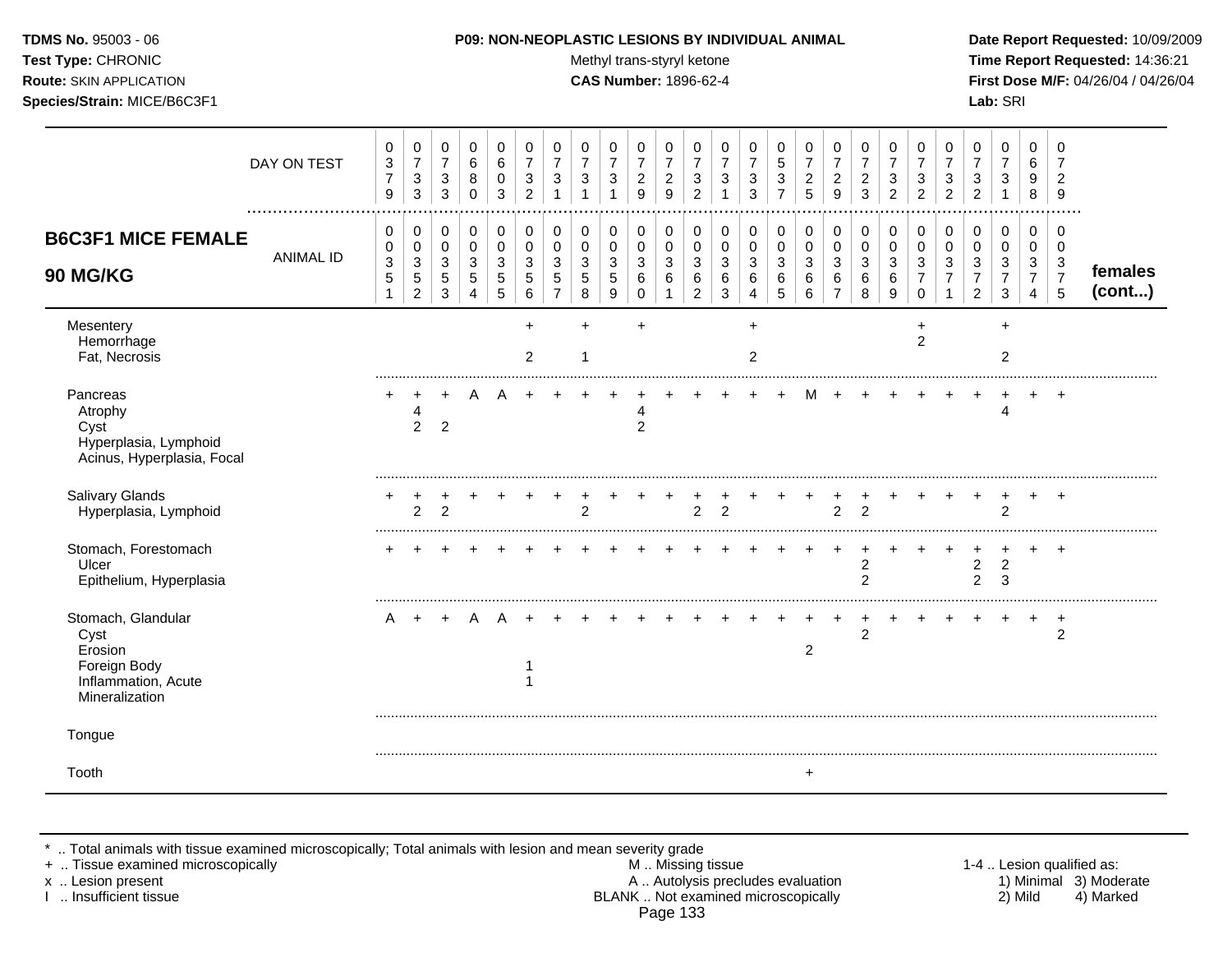Test Type: CHRONIC **Test Type:** CHRONIC **Test Type:** CHRONIC **Time Report Requested:** 14:36:21 **Route:** SKIN APPLICATION **CAS Number:** 1896-62-4 **First Dose M/F:** 04/26/04 / 04/26/04 **Species/Strain:** MICE/B6C3F1 **Lab:** SRI

|                                                                                                | DAY ON TEST      | 0<br>$\mathbf{3}$<br>$\overline{7}$<br>$\boldsymbol{9}$ | 0<br>$\overline{7}$<br>3<br>3                               | 0<br>$\overline{7}$<br>3<br>3 | 0<br>6<br>8<br>0                | 0<br>6<br>0<br>3      | 0<br>$\overline{7}$<br>3<br>2 | 0<br>$\overline{7}$<br>3                                        | 0<br>$\overline{7}$<br>$\mathbf{3}$<br>$\overline{1}$ | 0<br>$\overline{7}$<br>3<br>$\overline{1}$ | 0<br>$\overline{7}$<br>$\overline{2}$<br>9 | 0<br>7<br>$\overline{2}$<br>9 | 0<br>$\overline{7}$<br>3<br>$\overline{c}$ | 0<br>$\overline{7}$<br>3 | 0<br>$\overline{7}$<br>3<br>3      | 0<br>$\sqrt{5}$<br>$\sqrt{3}$<br>$\overline{7}$ | 0<br>$\overline{7}$<br>$\overline{c}$<br>5 | 0<br>$\overline{7}$<br>$\overline{2}$<br>9 | 0<br>7<br>$\overline{2}$<br>3    | 0<br>$\overline{7}$<br>3<br>2 | 0<br>$\overline{7}$<br>3<br>$\overline{2}$ | 0<br>$\overline{7}$<br>3<br>$\overline{c}$ | 0<br>$\overline{7}$<br>3<br>$\overline{2}$                 | 0<br>$\overline{7}$<br>3<br>1                            | 0<br>6<br>9<br>8                   | 0<br>7<br>$\overline{2}$<br>9                |                   |
|------------------------------------------------------------------------------------------------|------------------|---------------------------------------------------------|-------------------------------------------------------------|-------------------------------|---------------------------------|-----------------------|-------------------------------|-----------------------------------------------------------------|-------------------------------------------------------|--------------------------------------------|--------------------------------------------|-------------------------------|--------------------------------------------|--------------------------|------------------------------------|-------------------------------------------------|--------------------------------------------|--------------------------------------------|----------------------------------|-------------------------------|--------------------------------------------|--------------------------------------------|------------------------------------------------------------|----------------------------------------------------------|------------------------------------|----------------------------------------------|-------------------|
| <b>B6C3F1 MICE FEMALE</b><br>90 MG/KG                                                          | <b>ANIMAL ID</b> | 0<br>0<br>$\mathbf{3}$<br>$\sqrt{5}$<br>1               | 0<br>0<br>$\mathbf{3}$<br>$5\phantom{.0}$<br>$\overline{c}$ | 0<br>0<br>3<br>5<br>3         | 0<br>$\mathbf 0$<br>3<br>5<br>4 | 0<br>0<br>3<br>5<br>5 | 0<br>0<br>3<br>5<br>6         | 0<br>$\pmb{0}$<br>$\mathbf{3}$<br>$\mathbf 5$<br>$\overline{7}$ | 0<br>0<br>3<br>$\sqrt{5}$<br>$\bf8$                   | 0<br>0<br>3<br>5<br>$\boldsymbol{9}$       | 0<br>0<br>3<br>6<br>0                      | 0<br>0<br>3<br>6<br>1         | 0<br>0<br>3<br>6<br>$\boldsymbol{2}$       | 0<br>0<br>3<br>6<br>3    | 0<br>0<br>3<br>6<br>$\overline{4}$ | 0<br>$\pmb{0}$<br>$\sqrt{3}$<br>6<br>5          | 0<br>0<br>3<br>6<br>6                      | 0<br>0<br>3<br>6<br>7                      | 0<br>0<br>3<br>6<br>8            | 0<br>0<br>3<br>6<br>9         | $\pmb{0}$<br>0<br>3<br>7<br>0              | 0<br>0<br>3<br>$\overline{7}$              | 0<br>0<br>$\mathbf{3}$<br>$\overline{7}$<br>$\overline{2}$ | 0<br>0<br>$\mathbf{3}$<br>$\overline{7}$<br>$\mathbf{3}$ | 0<br>0<br>3<br>$\overline{7}$<br>4 | $\mathbf 0$<br>0<br>3<br>$\overline{7}$<br>5 | females<br>(cont) |
| Mesentery<br>Hemorrhage<br>Fat, Necrosis                                                       |                  |                                                         |                                                             |                               |                                 |                       | 2                             |                                                                 |                                                       |                                            |                                            |                               |                                            |                          | $\ddot{}$<br>$\overline{c}$        |                                                 |                                            |                                            |                                  |                               | $\overline{2}$                             |                                            |                                                            | 2                                                        |                                    |                                              |                   |
| Pancreas<br>Atrophy<br>Cyst<br>Hyperplasia, Lymphoid<br>Acinus, Hyperplasia, Focal             |                  |                                                         | 4<br>$\overline{2}$                                         | $\overline{2}$                | A                               |                       |                               |                                                                 |                                                       |                                            | 4<br>$\overline{2}$                        |                               |                                            |                          |                                    |                                                 |                                            |                                            |                                  |                               |                                            |                                            |                                                            |                                                          | $\pm$                              | $\overline{+}$                               |                   |
| Salivary Glands<br>Hyperplasia, Lymphoid                                                       |                  |                                                         | 2                                                           | $\overline{2}$                |                                 |                       |                               |                                                                 | $\overline{2}$                                        |                                            |                                            |                               | 2                                          | $\overline{2}$           |                                    |                                                 |                                            | 2                                          | $\overline{2}$                   |                               |                                            |                                            |                                                            | 2                                                        |                                    | $\ddot{}$                                    |                   |
| Stomach, Forestomach<br>Ulcer<br>Epithelium, Hyperplasia                                       |                  |                                                         |                                                             |                               |                                 |                       |                               |                                                                 |                                                       |                                            |                                            |                               |                                            |                          |                                    |                                                 |                                            |                                            | $\overline{c}$<br>$\overline{2}$ |                               |                                            |                                            | $\overline{c}$<br>$\overline{2}$                           | $\overline{c}$<br>3                                      |                                    | $\ddot{}$                                    |                   |
| Stomach, Glandular<br>Cyst<br>Erosion<br>Foreign Body<br>Inflammation, Acute<br>Mineralization |                  | A                                                       | $+$                                                         | $+$                           | A                               | A                     |                               |                                                                 |                                                       |                                            |                                            |                               |                                            |                          |                                    |                                                 | $\overline{2}$                             |                                            | $\overline{c}$                   |                               |                                            |                                            |                                                            |                                                          |                                    | $\ddot{}$<br>$\overline{c}$                  |                   |
| Tongue                                                                                         |                  |                                                         |                                                             |                               |                                 |                       |                               |                                                                 |                                                       |                                            |                                            |                               |                                            |                          |                                    |                                                 |                                            |                                            |                                  |                               |                                            |                                            |                                                            |                                                          |                                    |                                              |                   |
| Tooth                                                                                          |                  |                                                         |                                                             |                               |                                 |                       |                               |                                                                 |                                                       |                                            |                                            |                               |                                            |                          |                                    |                                                 | $\ddot{}$                                  |                                            |                                  |                               |                                            |                                            |                                                            |                                                          |                                    |                                              |                   |

\* .. Total animals with tissue examined microscopically; Total animals with lesion and mean severity grade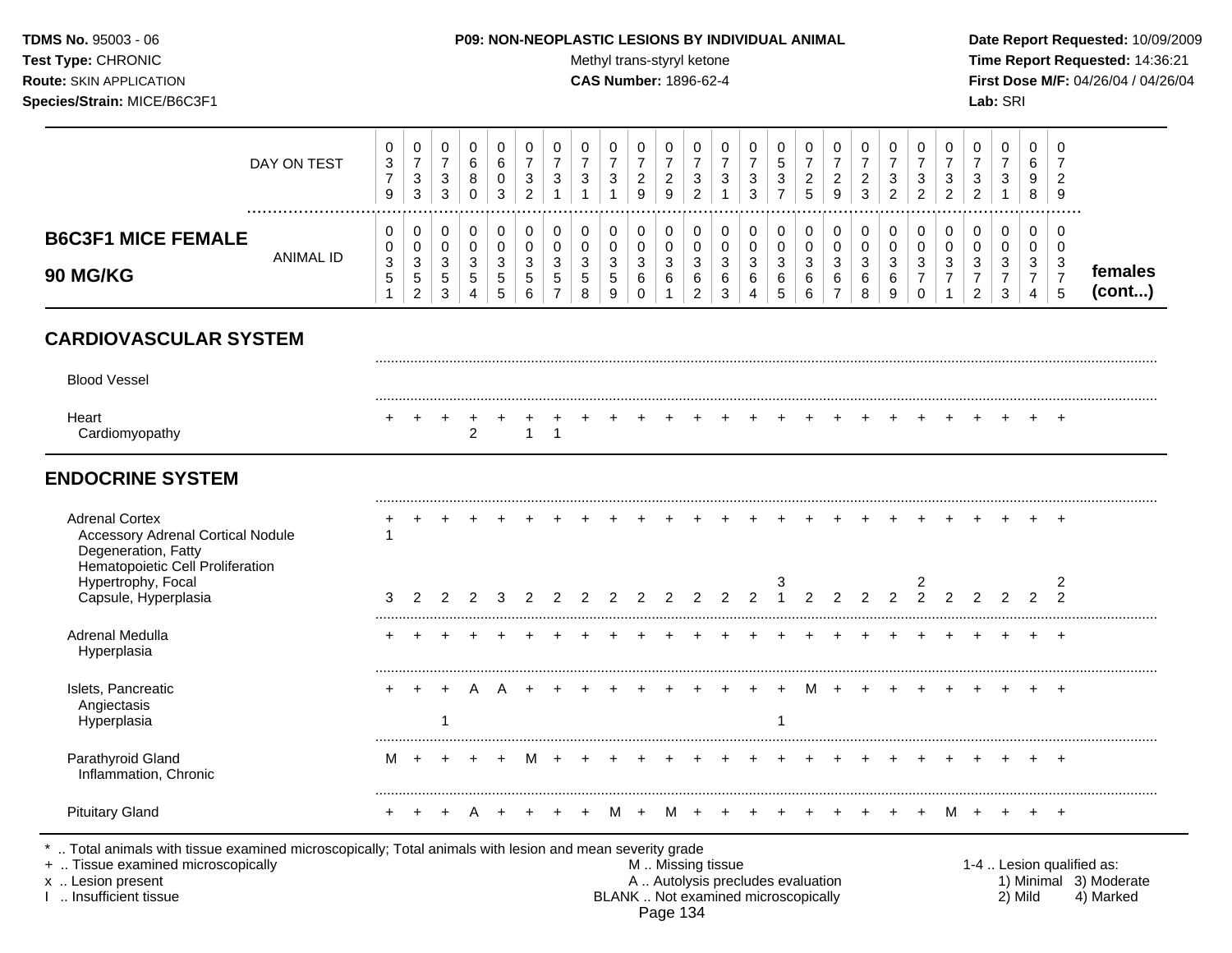### **TDMS No.** 95003 - 06 **P09: NON-NEOPLASTIC LESIONS BY INDIVIDUAL ANIMAL Date Report Requested:** 10/09/2009

Test Type: CHRONIC **Test Type:** CHRONIC **Test Type:** CHRONIC **Time Report Requested:** 14:36:21 **Route:** SKIN APPLICATION **CAS Number:** 1896-62-4 **First Dose M/F:** 04/26/04 / 04/26/04

|                                              | DAY ON TEST | 3<br>9 | $\mathbf{0}$<br>3<br>3                 | 0<br><sup>o</sup><br>ັ<br>◠<br>◡ | 6<br>o<br>U      | 3      | J | 3                      | ు      | 3                               | ⌒<br><u>.</u><br>9 | ີ<br><u>.</u><br>9 | ν<br>c<br>చ      | C.               | J.<br>3      | చ  | ົ<br><u>_</u><br><sub>5</sub> | <sup>o</sup><br>∼<br>9 | v<br>◠<br><u>_</u><br>3    | ⌒<br>- 0<br>∼              | 0<br>3<br>ົ<br><u>_</u> | 0<br>U<br>ົ<br><u>_</u> | دت<br>_ | 0<br>3 | ◡<br>_<br>9       |                    |
|----------------------------------------------|-------------|--------|----------------------------------------|----------------------------------|------------------|--------|---|------------------------|--------|---------------------------------|--------------------|--------------------|------------------|------------------|--------------|----|-------------------------------|------------------------|----------------------------|----------------------------|-------------------------|-------------------------|---------|--------|-------------------|--------------------|
| <b>B6C3F1 MICE FEMALE</b><br><b>90 MG/KG</b> | ANIMAL ID   | 3<br>J | 0<br>0<br>3<br>-<br>ა<br>റ<br><u>.</u> | U<br>U<br>◠<br>◡<br>G<br>ົ<br>ັ  | u<br>u<br>3<br>G | J<br>ಾ |   | າ<br>ັ<br>$\mathbf{p}$ | N<br>N | 0<br>0<br>ി<br>◡<br>∽<br>N<br>9 | v<br>◠<br>ັ<br>6   | U<br>u<br>J<br>6   | υ<br>ν<br>J<br>о | u<br>د<br>^<br>ь | ູບ<br>6<br>4 | ×. | 0<br>0<br>3<br>6<br>6         | $\sim$<br>J<br>6       | 0<br>v<br>વ<br>J<br>6<br>8 | $\sim$<br>J<br>6<br>O<br>v | 0<br>0<br>3<br>v        | 0<br>U<br>◡             | N       | 0<br>3 | v<br>◡<br>3<br>b. | remales<br>(cont…) |

# **CARDIOVASCULAR SYSTEM**

| <b>Blood Vessel</b>                                                                                                          |   |  |  |   |  |   |              |    |               |               |                |               |   |                                              |                |               |               |  |                |  |
|------------------------------------------------------------------------------------------------------------------------------|---|--|--|---|--|---|--------------|----|---------------|---------------|----------------|---------------|---|----------------------------------------------|----------------|---------------|---------------|--|----------------|--|
| Heart<br>Cardiomyopathy                                                                                                      |   |  |  |   |  |   |              |    |               |               |                |               |   |                                              |                |               |               |  |                |  |
| <b>ENDOCRINE SYSTEM</b>                                                                                                      |   |  |  |   |  |   |              |    |               |               |                |               |   |                                              |                |               |               |  |                |  |
| <b>Adrenal Cortex</b><br><b>Accessory Adrenal Cortical Nodule</b><br>Degeneration, Fatty<br>Hematopoietic Cell Proliferation |   |  |  |   |  |   |              |    |               |               |                |               |   |                                              |                |               |               |  |                |  |
| Hypertrophy, Focal<br>Capsule, Hyperplasia                                                                                   | З |  |  |   |  |   | <sup>o</sup> | C. | $\mathcal{D}$ | $\mathcal{P}$ | $\mathfrak{p}$ | $\frac{3}{1}$ |   | $\begin{array}{ccc}\n2 & 2 & 2\n\end{array}$ | $\overline{2}$ | $\frac{2}{2}$ | $\mathcal{L}$ |  | 2<br>$\Omega$  |  |
| Adrenal Medulla<br>Hyperplasia                                                                                               |   |  |  |   |  |   |              |    |               |               |                |               |   |                                              |                |               |               |  | $\overline{ }$ |  |
| Islets, Pancreatic<br>Angiectasis<br>Hyperplasia                                                                             |   |  |  |   |  |   |              |    |               |               |                |               | M |                                              |                |               |               |  | $\overline{ }$ |  |
| Parathyroid Gland<br>Inflammation, Chronic                                                                                   | м |  |  | M |  |   |              |    |               |               |                |               |   |                                              |                |               |               |  |                |  |
| <b>Pituitary Gland</b>                                                                                                       |   |  |  |   |  | M |              |    |               |               |                |               |   |                                              |                |               | м             |  |                |  |

+ .. Tissue examined microscopically examined microscopically the state of the state of the state of the state of the M .. Missing tissue M .. Missing tissue and the M .. Missing tissue the matter of the M .. Autolysis pre x .. Lesion present **A .. Autolysis precludes evaluation** A .. Autolysis precludes evaluation 1) Minimal 3) Moderate I .. Insufficient tissue BLANK .. Not examined microscopically 2) Mild 4) Marked Page 134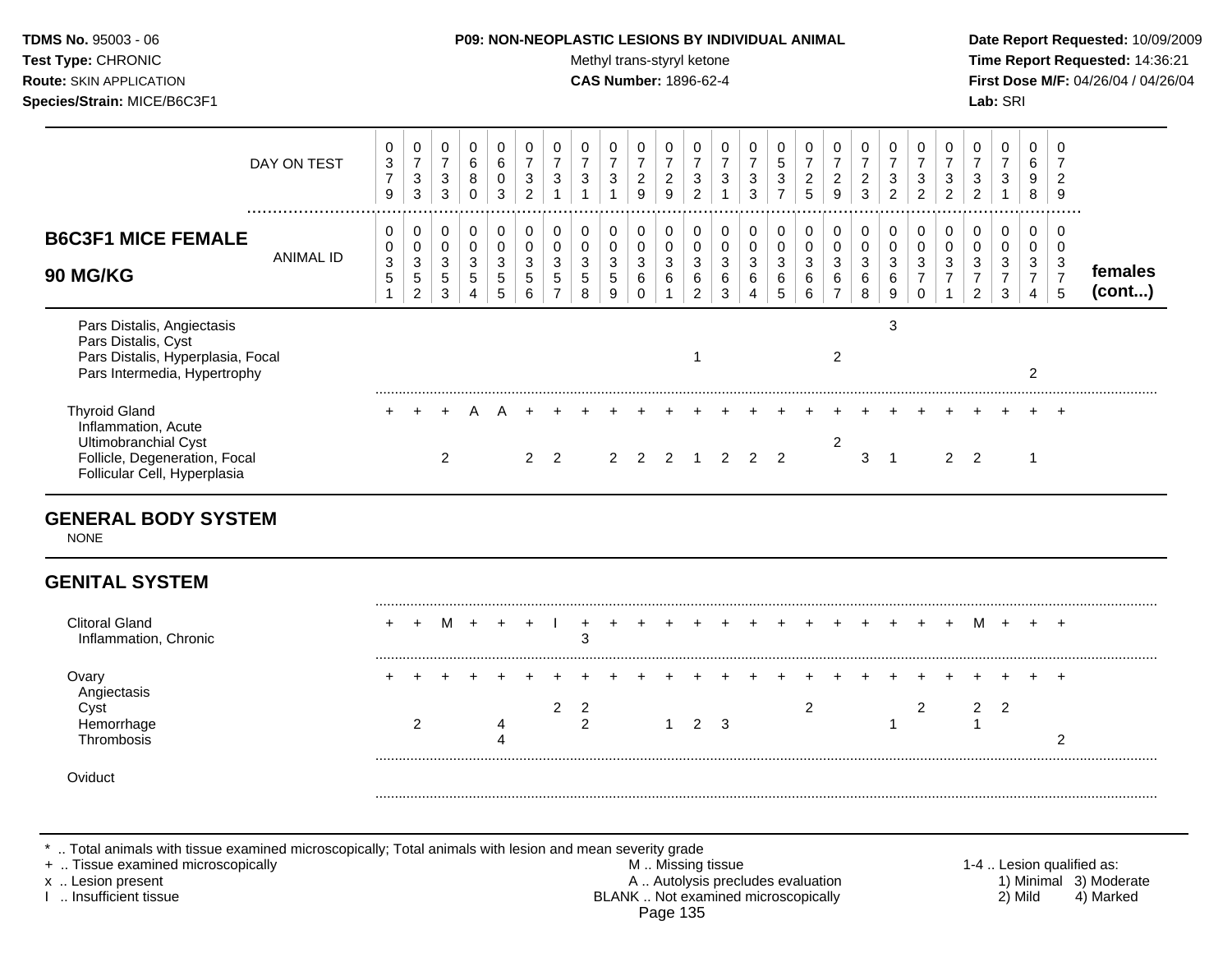| <b>TDMS No. 95003 - 06</b><br>Test Type: CHRONIC<br><b>Route: SKIN APPLICATION</b><br>Species/Strain: MICE/B6C3F1 |             |                          |                                    |                               |                       |                                         | <b>P09: NON-NEOPLASTIC LESIONS BY INDIVIDUAL ANIMAL</b> |                          | Methyl trans-styryl ketone<br><b>CAS Number: 1896-62-4</b> |                                    |                               |                            |                                                   |                       |                                          |                                 |                                            |                                            |                               |                       |                  |                               |                                         | Lab: SRI                                     |                       | Date Report Requ<br><b>Time Report Req</b><br>First Dose M/F: 0 |
|-------------------------------------------------------------------------------------------------------------------|-------------|--------------------------|------------------------------------|-------------------------------|-----------------------|-----------------------------------------|---------------------------------------------------------|--------------------------|------------------------------------------------------------|------------------------------------|-------------------------------|----------------------------|---------------------------------------------------|-----------------------|------------------------------------------|---------------------------------|--------------------------------------------|--------------------------------------------|-------------------------------|-----------------------|------------------|-------------------------------|-----------------------------------------|----------------------------------------------|-----------------------|-----------------------------------------------------------------|
|                                                                                                                   | DAY ON TEST | 3<br>$\overline{ }$<br>9 | 0<br>$\overline{ }$<br>3<br>3      | 0<br>$\overline{ }$<br>3<br>3 | 0<br>6<br>8<br>0      | $\overline{0}$<br>6<br>$\mathbf 0$<br>3 | 0<br>$\overline{ }$<br>3<br>ົ                           | 0<br>$\overline{ }$<br>3 | $\mathbf 0$<br>$\overline{ }$<br>3                         | 0<br>$\overline{\phantom{a}}$<br>3 | 0<br>$\overline{ }$<br>2<br>9 | 0<br>$\overline{2}$<br>9   | $\mathbf 0$<br>$\overline{\phantom{a}}$<br>3<br>റ | 0<br>⇁<br>3           | 0<br>$\overline{ }$<br>$\mathbf{3}$<br>3 | 0<br>5<br>3<br>$\rightarrow$    | 0<br>$\overline{ }$<br>$\overline{2}$<br>5 | 0<br>$\overline{ }$<br>$\overline{2}$<br>9 | 0<br>7<br>$\overline{2}$<br>3 | $\mathbf 0$<br>3<br>2 | 0<br>3<br>2      | 0<br>$\overline{ }$<br>3<br>2 | $\mathbf 0$<br>$\overline{ }$<br>3<br>2 | 0<br>$\overline{ }$<br>3                     | 6<br>9<br>8           | 9                                                               |
| <b>B6C3F1 MICE FEMALE</b><br><b>90 MG/KG</b>                                                                      | ANIMAL ID   | 0<br>3<br>5              | 0<br>0<br>3<br>5<br>$\overline{2}$ | 0<br>0<br>3<br>5<br>3         | 0<br>0<br>3<br>5<br>4 | 0<br>$\mathbf 0$<br>3<br>5<br>5         | 0<br>0<br>3<br>5<br>6                                   | 0<br>0<br>3<br>5         | $\mathbf 0$<br>3<br>5<br>8                                 | 0<br>$\mathbf 0$<br>3<br>5<br>9    | 0<br>$\mathbf 0$<br>3<br>6    | 0<br>$\mathbf 0$<br>3<br>6 | 0<br>$\mathbf 0$<br>3<br>6<br>っ                   | 0<br>0<br>3<br>6<br>3 | 0<br>0<br>3<br>6                         | 0<br>$\mathbf 0$<br>3<br>6<br>5 | 0<br>0<br>3<br>6<br>6                      | 0<br>0<br>3<br>6<br>⇁                      | 0<br>0<br>3<br>6<br>8         | 0<br>3<br>6<br>9      | 0<br>0<br>3<br>0 | 0<br>0<br>3                   | 0<br>3<br>$\overline{ }$<br>◠<br>∠      | 0<br>$\mathbf 0$<br>3<br>$\overline{ }$<br>3 | 0<br>0<br>3<br>⇁<br>4 | -0<br>$\Omega$<br>3<br>5                                        |

|                                                                                                                                      | 2 | ~<br>3 | 4 | 5 | ~<br>6        | $\overline{7}$ | 8 | 9 | 0 | $\overline{1}$ | $\checkmark$<br>$\overline{2}$ | 3 | $\overline{4}$ | $5\overline{)}$ | ັ<br>6 | ັ<br>$\overline{7}$ | 8 | ັ<br>9 | 0 | . .<br>$\overline{2}$ | 3 | 4 | (cont) |  |
|--------------------------------------------------------------------------------------------------------------------------------------|---|--------|---|---|---------------|----------------|---|---|---|----------------|--------------------------------|---|----------------|-----------------|--------|---------------------|---|--------|---|-----------------------|---|---|--------|--|
| Pars Distalis, Angiectasis<br>Pars Distalis, Cyst<br>Pars Distalis, Hyperplasia, Focal<br>Pars Intermedia, Hypertrophy               |   |        |   |   |               |                |   |   |   |                |                                |   |                |                 |        |                     |   |        |   |                       |   |   |        |  |
| <b>Thyroid Gland</b><br>Inflammation, Acute<br>Ultimobranchial Cyst<br>Follicle, Degeneration, Focal<br>Follicular Cell, Hyperplasia |   |        |   |   | $\mathcal{P}$ |                |   |   |   |                |                                |   |                |                 |        |                     |   |        |   |                       |   |   |        |  |

## **GENERAL BODY SYSTEM**

NONE

# **GENITAL SYSTEM**

| Clitoral Gland<br>Inflammation, Chronic |  | M + |  |  | $\sim$     |  |                |   |  | + +   + + + + + + + + + + + + + + |  |  | м |  |  |
|-----------------------------------------|--|-----|--|--|------------|--|----------------|---|--|-----------------------------------|--|--|---|--|--|
| AU                                      |  |     |  |  | $\sqrt{2}$ |  | $\overline{2}$ | 3 |  |                                   |  |  |   |  |  |
|                                         |  |     |  |  |            |  |                |   |  |                                   |  |  |   |  |  |

\* .. Total animals with tissue examined microscopically; Total animals with lesion and mean severity grade

+ .. Tissue examined microscopically M .. Missing tissue 1-4 .. Lesion qualified as: x .. Lesion present **A .. Autolysis precludes evaluation** A .. Autolysis precludes evaluation 1) Minimal 3) Moderate I .. Insufficient tissue BLANK .. Not examined microscopically 2) Mild 4) Marked Page 135

**Drt Requested: 10/09/2009 ort Requested: 14:36:21**  $R$ **M/F:** 04/26/04 / 04/26/04

**females**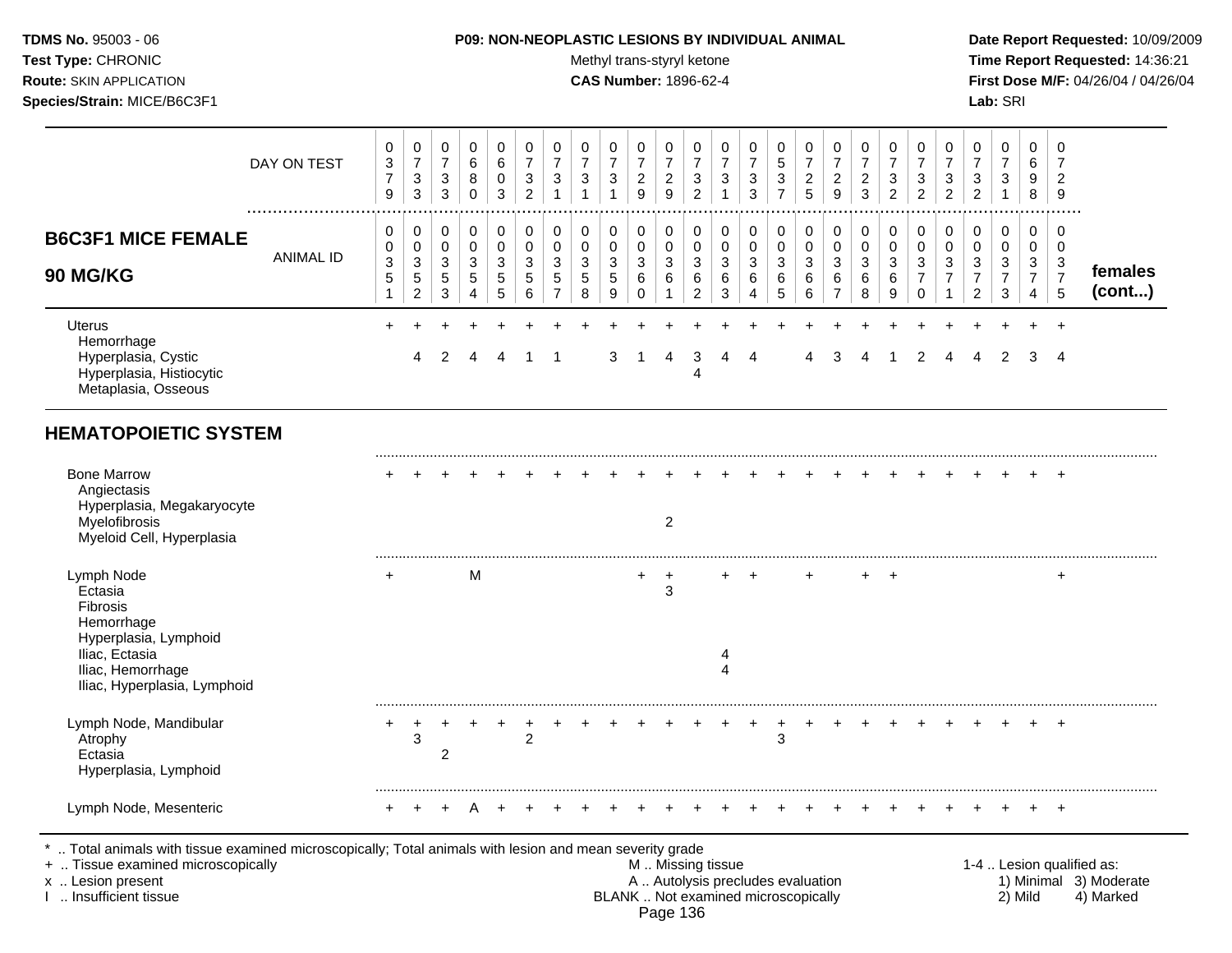**Test Type:** CHRONIC **The Report Requested:** 14:36:21 **Route:** SKIN APPLICATION **CAS Number:** 1896-62-4 **First Dose M/F:** 04/26/04 / 04/26/04

| Species/Strain: MICE/B6C3F1                                                                                     |                  |                                                       |                                             |                               |                            |                                                 |                                                       |                                                       |                                        |                                         |                                            |                                            |                                                     |                                                     |                                        |                                                   |                                            |                                              |                                        |                                                     |                                            |                                            |                                                          | Lab: SRI                                            |                                                 |                                               |                   |
|-----------------------------------------------------------------------------------------------------------------|------------------|-------------------------------------------------------|---------------------------------------------|-------------------------------|----------------------------|-------------------------------------------------|-------------------------------------------------------|-------------------------------------------------------|----------------------------------------|-----------------------------------------|--------------------------------------------|--------------------------------------------|-----------------------------------------------------|-----------------------------------------------------|----------------------------------------|---------------------------------------------------|--------------------------------------------|----------------------------------------------|----------------------------------------|-----------------------------------------------------|--------------------------------------------|--------------------------------------------|----------------------------------------------------------|-----------------------------------------------------|-------------------------------------------------|-----------------------------------------------|-------------------|
|                                                                                                                 | DAY ON TEST      | 0<br>$\ensuremath{\mathsf{3}}$<br>$\overline{7}$<br>9 | 0<br>$\overline{7}$<br>$\sqrt{3}$<br>3      | 0<br>$\overline{7}$<br>3<br>3 | 0<br>6<br>8<br>$\mathbf 0$ | 0<br>$\,6$<br>$\pmb{0}$<br>3                    | 0<br>$\overline{7}$<br>$\mathbf{3}$<br>$\overline{2}$ | 0<br>$\boldsymbol{7}$<br>$\mathbf{3}$<br>$\mathbf{1}$ | 0<br>$\overline{7}$<br>$\sqrt{3}$<br>1 | 0<br>$\overline{7}$<br>3<br>$\mathbf 1$ | 0<br>$\overline{7}$<br>$\overline{c}$<br>9 | 0<br>$\overline{7}$<br>$\overline{c}$<br>9 | 0<br>$\overline{7}$<br>$\sqrt{3}$<br>$\overline{2}$ | 0<br>$\overline{7}$<br>$\mathbf{3}$<br>$\mathbf{1}$ | 0<br>$\overline{7}$<br>$\sqrt{3}$<br>3 | 0<br>$\sqrt{5}$<br>$\mathbf{3}$<br>$\overline{7}$ | 0<br>$\overline{7}$<br>$\overline{c}$<br>5 | 0<br>$\overline{7}$<br>$\boldsymbol{2}$<br>9 | 0<br>$\boldsymbol{7}$<br>$\frac{2}{3}$ | 0<br>$\overline{7}$<br>$\sqrt{3}$<br>$\overline{2}$ | 0<br>$\overline{7}$<br>3<br>$\overline{2}$ | 0<br>$\overline{7}$<br>3<br>$\overline{2}$ | 0<br>$\overline{7}$<br>$\sqrt{3}$<br>$\overline{2}$      | 0<br>$\overline{7}$<br>$\mathbf{3}$<br>$\mathbf{1}$ | 0<br>$\,6$<br>9<br>8                            | 0<br>$\overline{7}$<br>$\overline{2}$<br>9    |                   |
| <b>B6C3F1 MICE FEMALE</b><br><b>90 MG/KG</b>                                                                    | <b>ANIMAL ID</b> | 0<br>0<br>$\ensuremath{\mathsf{3}}$<br>$\,$ 5 $\,$    | 0<br>0<br>3<br>$\sqrt{5}$<br>$\overline{c}$ | 0<br>0<br>3<br>5<br>3         | 0<br>0<br>3<br>5<br>4      | 0<br>$\pmb{0}$<br>$\sqrt{3}$<br>$\sqrt{5}$<br>5 | 0<br>$\mathbf 0$<br>3<br>5<br>6                       | 0<br>$\pmb{0}$<br>$\mathbf{3}$<br>5<br>$\overline{7}$ | 0<br>0<br>3<br>5<br>8                  | 0<br>0<br>3<br>5<br>9                   | 0<br>0<br>$\mathbf{3}$<br>6                | $\pmb{0}$<br>$\pmb{0}$<br>3<br>6           | 0<br>0<br>$\mathbf{3}$<br>$\,6$<br>$\overline{c}$   | 0<br>$\mathbf 0$<br>$\mathbf{3}$<br>6<br>3          | 0<br>0<br>3<br>6<br>4                  | 0<br>0<br>3<br>6<br>5                             | 0<br>0<br>3<br>6<br>6                      | 0<br>0<br>3<br>$\,6$<br>$\overline{7}$       | 0<br>$\pmb{0}$<br>3<br>6<br>8          | 0<br>0<br>3<br>6<br>9                               | 0<br>0<br>3<br>7<br>$\Omega$               | 0<br>0<br>3                                | 0<br>0<br>$\sqrt{3}$<br>$\overline{7}$<br>$\overline{2}$ | 0<br>0<br>3<br>$\overline{7}$<br>3                  | 0<br>0<br>3<br>$\overline{7}$<br>$\overline{4}$ | 0<br>0<br>$\mathbf{3}$<br>$\overline{7}$<br>5 | females<br>(cont) |
| <b>Uterus</b><br>Hemorrhage<br>Hyperplasia, Cystic<br>Hyperplasia, Histiocytic<br>Metaplasia, Osseous           |                  |                                                       | 4                                           | $\mathcal{P}$                 |                            | Δ                                               |                                                       | $\overline{1}$                                        |                                        | 3                                       |                                            | $\overline{4}$                             | 3<br>$\overline{\mathbf{4}}$                        | 4                                                   | $\overline{4}$                         |                                                   | 4                                          | 3                                            | $\overline{4}$                         |                                                     | 2                                          | 4                                          | 4                                                        | 2                                                   | 3                                               | $\overline{4}$                                |                   |
| <b>HEMATOPOIETIC SYSTEM</b>                                                                                     |                  |                                                       |                                             |                               |                            |                                                 |                                                       |                                                       |                                        |                                         |                                            |                                            |                                                     |                                                     |                                        |                                                   |                                            |                                              |                                        |                                                     |                                            |                                            |                                                          |                                                     |                                                 |                                               |                   |
| <b>Bone Marrow</b><br>Angiectasis<br>Hyperplasia, Megakaryocyte<br>Myelofibrosis<br>Myeloid Cell, Hyperplasia   |                  |                                                       |                                             |                               |                            |                                                 |                                                       |                                                       |                                        |                                         |                                            | $\overline{2}$                             |                                                     |                                                     |                                        |                                                   |                                            |                                              |                                        |                                                     |                                            |                                            |                                                          |                                                     |                                                 | $+$                                           |                   |
| Lymph Node<br>Ectasia<br>Fibrosis<br>Hemorrhage<br>Hyperplasia, Lymphoid<br>Iliac, Ectasia<br>Iliac. Hemorrhage |                  | $\pm$                                                 |                                             |                               | M                          |                                                 |                                                       |                                                       |                                        |                                         | +                                          | $\div$<br>3                                |                                                     | 4                                                   | $+$                                    |                                                   | $+$                                        |                                              |                                        | $+$ $+$                                             |                                            |                                            |                                                          |                                                     |                                                 | $\pm$                                         |                   |

Iliac, Hyperplasia, Lymphoid ......................................................................................................................................................................................................... Lymph Node, Mandibular + + + + + + + + + + + + + + + + + + + + + + + + + Atrophy 3 2 3 Ectasia 2 Hyperplasia, Lymphoid ......................................................................................................................................................................................................... Lymph Node, Mesenteric + + + A + + + + + + + + + + + + + + + + + + + + +

.. Total animals with tissue examined microscopically; Total animals with lesion and mean severity grade<br>Tissue examined microscopically

Iliac, Hemorrhage 4

+ .. Tissue examined microscopically the state of the state of the M .. Missing tissue 1-4 .. Lesion qualified as: x .. Lesion present 1) Minimal 3) Moderate<br>A .. Autolysis precludes evaluation 1 and 1) Minimal 3) Moderate<br>BLANK .. Not examined microscopically 2) Mild 4) Marked BLANK .. Not examined microscopically Page 136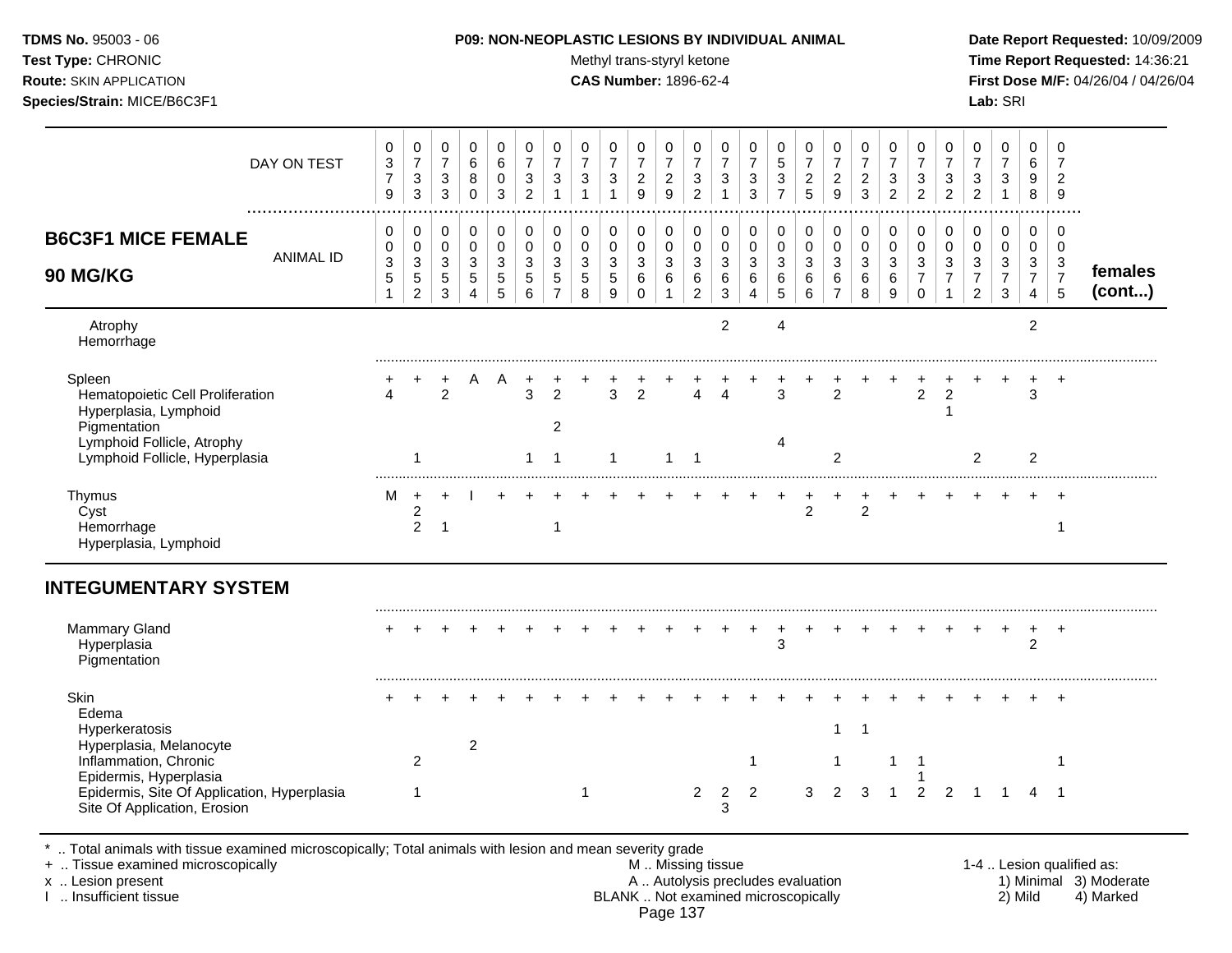Test Type: CHRONIC **Test Type:** CHRONIC **Test Type:** CHRONIC **Time Report Requested:** 14:36:21 **Route:** SKIN APPLICATION **CAS Number:** 1896-62-4 **First Dose M/F:** 04/26/04 / 04/26/04 **Species/Strain:** MICE/B6C3F1 **Lab:** SRI

| DAY ON TEST                                                                                                                    | 0<br>3<br>$\overline{7}$<br>$\boldsymbol{9}$                     | 0<br>$\overline{7}$<br>$\sqrt{3}$<br>$\mathbf{3}$               | 0<br>$\overline{7}$<br>3<br>3   | $\mathbf 0$<br>6<br>8<br>$\mathbf 0$ | 0<br>6<br>$\mathbf 0$<br>3      | 0<br>$\overline{7}$<br>3<br>$\overline{2}$ | 0<br>$\overline{7}$<br>3                               | 0<br>$\overline{7}$<br>$\sqrt{3}$                                | 0<br>$\overline{7}$<br>3<br>1            | 0<br>$\overline{7}$<br>$\boldsymbol{2}$<br>9       | 0<br>$\overline{7}$<br>$\overline{2}$<br>$\boldsymbol{9}$ | 0<br>$\overline{7}$<br>3<br>$\overline{a}$   | 0<br>$\overline{7}$<br>3 | 0<br>$\overline{7}$<br>$\mathbf{3}$<br>3 | 0<br>$\sqrt{5}$<br>$\mathbf{3}$<br>$\overline{7}$ | 0<br>$\overline{7}$<br>$\boldsymbol{2}$<br>5 | 0<br>$\overline{7}$<br>$\overline{c}$<br>9            | 0<br>$\overline{7}$<br>$\overline{c}$<br>3 | 0<br>$\overline{7}$<br>3<br>$\overline{2}$ | 0<br>$\overline{7}$<br>3<br>$\overline{a}$                   | 0<br>$\overline{7}$<br>3<br>$\overline{2}$ | 0<br>$\overline{7}$<br>3<br>$\overline{c}$                       | 0<br>$\overline{7}$<br>$\mathbf{3}$                 | 0<br>6<br>9<br>8                             | $\mathbf 0$<br>$\overline{7}$<br>$\overline{c}$<br>9 |                   |
|--------------------------------------------------------------------------------------------------------------------------------|------------------------------------------------------------------|-----------------------------------------------------------------|---------------------------------|--------------------------------------|---------------------------------|--------------------------------------------|--------------------------------------------------------|------------------------------------------------------------------|------------------------------------------|----------------------------------------------------|-----------------------------------------------------------|----------------------------------------------|--------------------------|------------------------------------------|---------------------------------------------------|----------------------------------------------|-------------------------------------------------------|--------------------------------------------|--------------------------------------------|--------------------------------------------------------------|--------------------------------------------|------------------------------------------------------------------|-----------------------------------------------------|----------------------------------------------|------------------------------------------------------|-------------------|
| <b>B6C3F1 MICE FEMALE</b><br><b>ANIMAL ID</b><br>90 MG/KG                                                                      | 0<br>$\,0\,$<br>$\ensuremath{\mathsf{3}}$<br>$\overline{5}$<br>1 | 0<br>$\pmb{0}$<br>$\mathbf{3}$<br>$\,$ 5 $\,$<br>$\overline{2}$ | 0<br>$\mathbf 0$<br>3<br>5<br>3 | 0<br>$\mathbf 0$<br>3<br>5<br>4      | 0<br>$\mathbf 0$<br>3<br>5<br>5 | 0<br>$\mathbf 0$<br>3<br>5<br>6            | $\mathbf 0$<br>$\mathbf 0$<br>3<br>5<br>$\overline{7}$ | 0<br>$\mathsf{O}\xspace$<br>$\mathbf{3}$<br>$5\phantom{.0}$<br>8 | 0<br>$\mathbf 0$<br>3<br>$\sqrt{5}$<br>9 | 0<br>$\pmb{0}$<br>$\mathbf{3}$<br>6<br>$\mathbf 0$ | $\mathbf 0$<br>$\pmb{0}$<br>$\mathbf{3}$<br>6             | 0<br>$\mathbf 0$<br>3<br>6<br>$\overline{a}$ | 0<br>0<br>3<br>6<br>3    | 0<br>$\pmb{0}$<br>$\sqrt{3}$<br>6<br>4   | 0<br>$\pmb{0}$<br>3<br>6<br>5                     | 0<br>$\pmb{0}$<br>3<br>$\,6\,$<br>6          | 0<br>$\pmb{0}$<br>$\mathbf{3}$<br>6<br>$\overline{7}$ | 0<br>$\pmb{0}$<br>$\sqrt{3}$<br>6<br>8     | 0<br>$\pmb{0}$<br>3<br>6<br>9              | 0<br>$\pmb{0}$<br>$\mathbf{3}$<br>$\overline{7}$<br>$\Omega$ | 0<br>$\mathbf 0$<br>3<br>$\overline{7}$    | 0<br>$\pmb{0}$<br>$\sqrt{3}$<br>$\overline{7}$<br>$\overline{2}$ | 0<br>$\pmb{0}$<br>$\sqrt{3}$<br>$\overline{7}$<br>3 | 0<br>$\mathbf 0$<br>3<br>$\overline{7}$<br>4 | $\mathbf 0$<br>$\mathbf 0$<br>$\frac{3}{7}$<br>5     | females<br>(cont) |
| Atrophy<br>Hemorrhage                                                                                                          |                                                                  |                                                                 |                                 |                                      |                                 |                                            |                                                        |                                                                  |                                          |                                                    |                                                           |                                              | $\overline{2}$           |                                          | 4                                                 |                                              |                                                       |                                            |                                            |                                                              |                                            |                                                                  |                                                     | $\overline{c}$                               |                                                      |                   |
| Spleen<br>Hematopoietic Cell Proliferation<br>Hyperplasia, Lymphoid<br>Pigmentation                                            | $\Delta$                                                         |                                                                 | 2                               |                                      |                                 | 3                                          | $\overline{2}$<br>2                                    |                                                                  | 3                                        | $\overline{2}$                                     |                                                           | 4                                            | 4                        |                                          | 3                                                 |                                              | 2                                                     |                                            |                                            | 2                                                            | $\overline{2}$                             |                                                                  |                                                     | 3                                            |                                                      |                   |
| Lymphoid Follicle, Atrophy<br>Lymphoid Follicle, Hyperplasia                                                                   |                                                                  | 1                                                               |                                 |                                      |                                 | 1                                          | $\overline{1}$                                         |                                                                  | $\mathbf 1$                              |                                                    | 1                                                         | $\overline{1}$                               |                          |                                          | 4                                                 |                                              | 2                                                     |                                            |                                            |                                                              |                                            | 2                                                                |                                                     | 2                                            |                                                      |                   |
| Thymus<br>Cyst<br>Hemorrhage<br>Hyperplasia, Lymphoid                                                                          | м                                                                | $\ddot{}$<br>2<br>$\overline{2}$                                |                                 |                                      |                                 |                                            | 1                                                      |                                                                  |                                          |                                                    |                                                           |                                              |                          |                                          |                                                   | $\overline{2}$                               |                                                       | $\overline{2}$                             |                                            |                                                              |                                            |                                                                  |                                                     |                                              | 1                                                    |                   |
| <b>INTEGUMENTARY SYSTEM</b>                                                                                                    |                                                                  |                                                                 |                                 |                                      |                                 |                                            |                                                        |                                                                  |                                          |                                                    |                                                           |                                              |                          |                                          |                                                   |                                              |                                                       |                                            |                                            |                                                              |                                            |                                                                  |                                                     |                                              |                                                      |                   |
| <b>Mammary Gland</b><br>Hyperplasia<br>Pigmentation                                                                            |                                                                  |                                                                 |                                 |                                      |                                 |                                            |                                                        |                                                                  |                                          |                                                    |                                                           |                                              |                          |                                          | +<br>3                                            |                                              |                                                       |                                            |                                            |                                                              |                                            |                                                                  |                                                     | $\ddot{}$<br>2                               | $\ddot{}$                                            |                   |
| Skin<br>Edema<br>Hyperkeratosis<br>Hyperplasia, Melanocyte                                                                     |                                                                  |                                                                 |                                 | $\overline{2}$                       |                                 |                                            |                                                        |                                                                  |                                          |                                                    |                                                           |                                              |                          |                                          |                                                   |                                              | 1                                                     | -1                                         |                                            |                                                              |                                            |                                                                  |                                                     |                                              | $\ddot{}$                                            |                   |
| Inflammation, Chronic<br>Epidermis, Hyperplasia<br>Epidermis, Site Of Application, Hyperplasia<br>Site Of Application, Erosion |                                                                  | $\overline{c}$<br>1                                             |                                 |                                      |                                 |                                            |                                                        |                                                                  |                                          |                                                    |                                                           | $\overline{2}$                               | $\overline{2}$<br>3      | $\mathbf 1$<br>2                         |                                                   | 3                                            | $\overline{2}$                                        | 3                                          | 1<br>1                                     | 2                                                            | $\overline{2}$                             |                                                                  |                                                     | 4                                            | -1<br>$\overline{1}$                                 |                   |

\* .. Total animals with tissue examined microscopically; Total animals with lesion and mean severity grade<br>+ .. Tissue examined microscopically

+ .. Tissue examined microscopically <br>  $\begin{array}{ccc}\n & \text{M} \dots \text{Missing tissue} \\
 & \text{M} \dots \text{Missing tissue} \\
 & \text{A} \dots \text{Autolysis precludes evaluation}\n\end{array}$ 1-4 .. Lesion qualified as:<br>
1) Minimal 3) Moderate x .. Lesion present **A .. Autolysis precludes evaluation** A .. Autolysis precludes evaluation 1) Minimal 3) Moderate I .. Insufficient tissue BLANK .. Not examined microscopically 2) Mild 4) Marked Page 137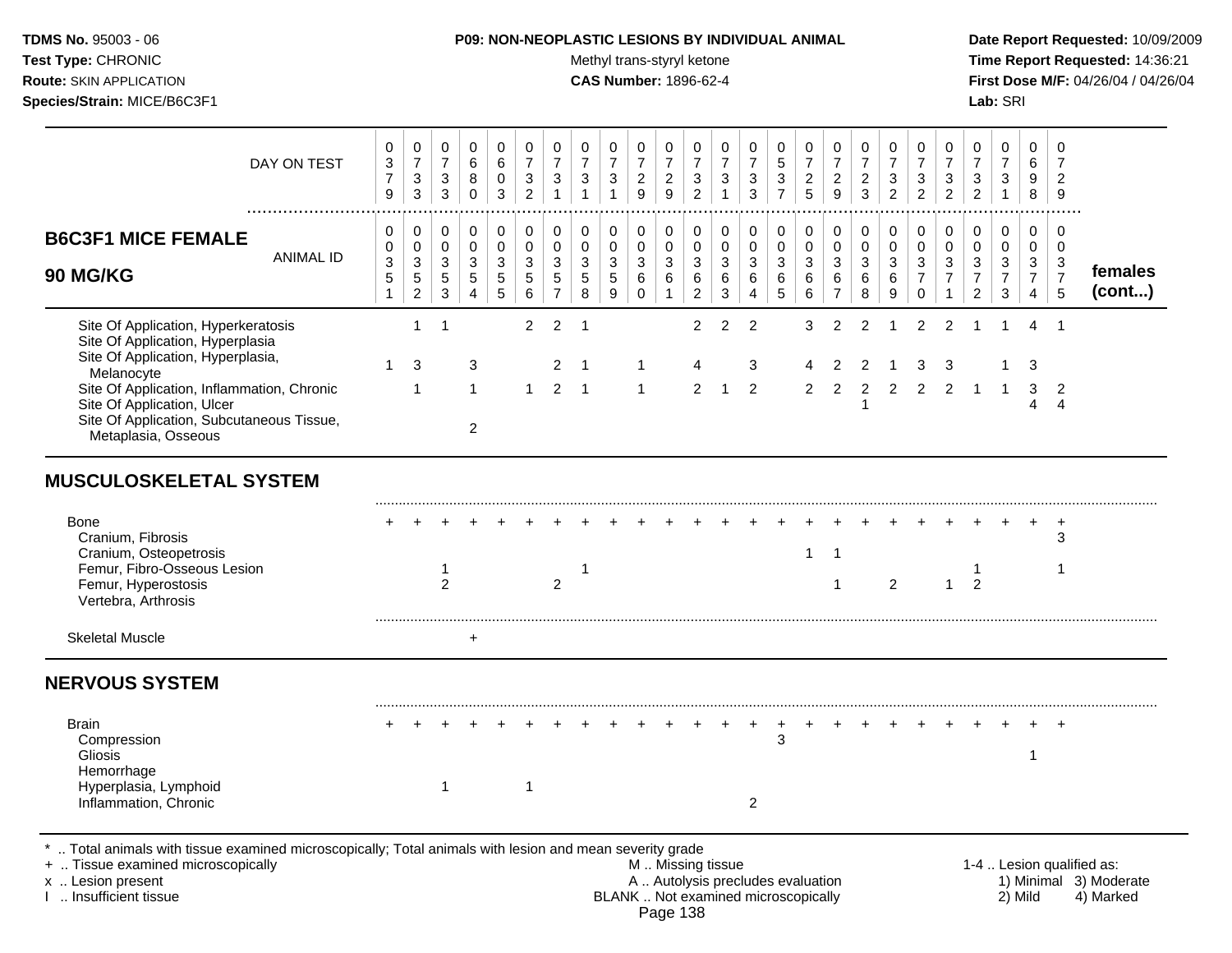Test Type: CHRONIC **Test Type:** CHRONIC **Test Type:** CHRONIC **Time Report Requested:** 14:36:21 **Route:** SKIN APPLICATION **CAS Number:** 1896-62-4 **First Dose M/F:** 04/26/04 / 04/26/04 **Species/Strain:** MICE/B6C3F1 **Lab:** SRI

| DAY ON TEST                                                                                                                                                                                                                                                                | 0<br>$\ensuremath{\mathsf{3}}$<br>$\overline{7}$<br>$\boldsymbol{9}$        | $\pmb{0}$<br>$\boldsymbol{7}$<br>$\sqrt{3}$<br>$\mathbf{3}$ | 0<br>$\boldsymbol{7}$<br>$\mathbf{3}$<br>3                     | 0<br>$\,6\,$<br>$\bf 8$<br>$\pmb{0}$                                 | 0<br>$\,6$<br>$\mathbf 0$<br>3                                                | 0<br>$\overline{7}$<br>$\sqrt{3}$<br>$\overline{2}$                        | 0<br>$\overline{7}$<br>$\ensuremath{\mathsf{3}}$<br>$\mathbf{1}$        | 0<br>$\overline{7}$<br>$\sqrt{3}$<br>$\mathbf{1}$                             | 0<br>$\boldsymbol{7}$<br>$\ensuremath{\mathsf{3}}$<br>$\mathbf{1}$                | 0<br>$\overline{7}$<br>$\sqrt{2}$<br>$\boldsymbol{9}$     | 0<br>$\boldsymbol{7}$<br>$\overline{c}$<br>$\boldsymbol{9}$                  | 0<br>$\boldsymbol{7}$<br>$\sqrt{3}$<br>$\overline{c}$                                         | 0<br>$\boldsymbol{7}$<br>$\sqrt{3}$<br>$\mathbf{1}$                        | 0<br>$\overline{7}$<br>$\ensuremath{\mathsf{3}}$<br>$\mathbf{3}$             | 0<br>$\,$ 5 $\,$<br>$\ensuremath{\mathsf{3}}$<br>$\overline{7}$          | 0<br>$\boldsymbol{7}$<br>$\frac{2}{5}$                                  | 0<br>$\boldsymbol{7}$<br>$\overline{a}$<br>$\overline{9}$  | 0<br>$\boldsymbol{7}$<br>$\overline{c}$<br>3   | 0<br>$\overline{7}$<br>$\ensuremath{\mathsf{3}}$<br>$\overline{c}$                 | 0<br>$\overline{7}$<br>$\sqrt{3}$<br>$\overline{2}$               | 0<br>$\overline{7}$<br>$\mathbf{3}$<br>$\overline{c}$                                 | 0<br>$\overline{7}$<br>$\mathbf{3}$<br>$\overline{2}$              | 0<br>$\boldsymbol{7}$<br>$\sqrt{3}$<br>$\mathbf{1}$                                | 0<br>$\,6\,$<br>$\boldsymbol{9}$<br>8                             | 0<br>7<br>$\overline{2}$<br>9                      |                                                                  |
|----------------------------------------------------------------------------------------------------------------------------------------------------------------------------------------------------------------------------------------------------------------------------|-----------------------------------------------------------------------------|-------------------------------------------------------------|----------------------------------------------------------------|----------------------------------------------------------------------|-------------------------------------------------------------------------------|----------------------------------------------------------------------------|-------------------------------------------------------------------------|-------------------------------------------------------------------------------|-----------------------------------------------------------------------------------|-----------------------------------------------------------|------------------------------------------------------------------------------|-----------------------------------------------------------------------------------------------|----------------------------------------------------------------------------|------------------------------------------------------------------------------|--------------------------------------------------------------------------|-------------------------------------------------------------------------|------------------------------------------------------------|------------------------------------------------|------------------------------------------------------------------------------------|-------------------------------------------------------------------|---------------------------------------------------------------------------------------|--------------------------------------------------------------------|------------------------------------------------------------------------------------|-------------------------------------------------------------------|----------------------------------------------------|------------------------------------------------------------------|
| <b>B6C3F1 MICE FEMALE</b><br><b>ANIMAL ID</b><br><b>90 MG/KG</b>                                                                                                                                                                                                           | 0<br>$\mathbf 0$<br>$\ensuremath{\mathsf{3}}$<br>$\sqrt{5}$<br>$\mathbf{1}$ | $\pmb{0}$<br>$\pmb{0}$<br>$\sqrt{3}$<br>$\frac{5}{2}$       | 0<br>$\mathbf{0}$<br>$\sqrt{3}$<br>$\,$ 5 $\,$<br>$\mathbf{3}$ | $\pmb{0}$<br>$\pmb{0}$<br>$\sqrt{3}$<br>$\sqrt{5}$<br>$\overline{4}$ | 0<br>$\mathbf 0$<br>$\ensuremath{\mathsf{3}}$<br>$\sqrt{5}$<br>$\overline{5}$ | $\,0\,$<br>$\pmb{0}$<br>$\ensuremath{\mathsf{3}}$<br>$\sqrt{5}$<br>$\,6\,$ | $\mathbf 0$<br>$\pmb{0}$<br>$\sqrt{3}$<br>$\,$ 5 $\,$<br>$\overline{7}$ | $\pmb{0}$<br>$\pmb{0}$<br>$\ensuremath{\mathsf{3}}$<br>$\,$ 5 $\,$<br>$\bf 8$ | $\pmb{0}$<br>$\pmb{0}$<br>$\ensuremath{\mathsf{3}}$<br>$\,$ 5 $\,$<br>$\mathsf g$ | 0<br>$\mathbf 0$<br>$\mathsf 3$<br>$\,6\,$<br>$\mathbf 0$ | $\,0\,$<br>$\pmb{0}$<br>$\ensuremath{\mathsf{3}}$<br>$\,6\,$<br>$\mathbf{1}$ | $\pmb{0}$<br>$\mathbf 0$<br>$\sqrt{3}$<br>$\,6\,$<br>$\boldsymbol{2}$                         | $\pmb{0}$<br>$\pmb{0}$<br>$\sqrt{3}$<br>$\,6$<br>$\ensuremath{\mathsf{3}}$ | $\,0\,$<br>$\pmb{0}$<br>$\ensuremath{\mathsf{3}}$<br>$\,6$<br>$\overline{4}$ | 0<br>$\pmb{0}$<br>$\ensuremath{\mathsf{3}}$<br>$\,6\,$<br>$\overline{5}$ | $\pmb{0}$<br>$\pmb{0}$<br>$\ensuremath{\mathsf{3}}$<br>$\,6$<br>$\,6\,$ | 0<br>$\Omega$<br>$\mathbf{3}$<br>$\,6\,$<br>$\overline{7}$ | $\,0\,$<br>$\pmb{0}$<br>$\mathbf{3}$<br>6<br>8 | $\pmb{0}$<br>$\pmb{0}$<br>$\ensuremath{\mathsf{3}}$<br>$\,6\,$<br>$\boldsymbol{9}$ | 0<br>$\mathbf 0$<br>$\sqrt{3}$<br>$\boldsymbol{7}$<br>$\mathbf 0$ | $\,0\,$<br>$\pmb{0}$<br>$\ensuremath{\mathsf{3}}$<br>$\boldsymbol{7}$<br>$\mathbf{1}$ | 0<br>$\pmb{0}$<br>$\mathbf{3}$<br>$\overline{7}$<br>$\overline{2}$ | $\boldsymbol{0}$<br>$\mathbf 0$<br>$\mathsf 3$<br>$\boldsymbol{7}$<br>$\mathbf{3}$ | $\mathbf 0$<br>$\mathbf 0$<br>$\mathbf{3}$<br>$\overline{7}$<br>4 | 0<br>$\Omega$<br>3<br>$\overline{7}$<br>5          | females<br>(cont)                                                |
| Site Of Application, Hyperkeratosis<br>Site Of Application, Hyperplasia<br>Site Of Application, Hyperplasia,<br>Melanocyte<br>Site Of Application, Inflammation, Chronic<br>Site Of Application, Ulcer<br>Site Of Application, Subcutaneous Tissue,<br>Metaplasia, Osseous | $\mathbf{1}$                                                                | $\mathbf{1}$<br>3<br>1                                      | $\mathbf 1$                                                    | 3<br>$\mathbf 1$<br>$\overline{2}$                                   |                                                                               | $\overline{2}$<br>$\mathbf{1}$                                             | $\overline{c}$<br>$\overline{2}$<br>$\overline{2}$                      | $\mathbf 1$<br>-1<br>$\overline{\phantom{1}}$                                 |                                                                                   | 1<br>-1                                                   |                                                                              | $\overline{c}$<br>4<br>$\overline{2}$                                                         | $\overline{c}$<br>$\mathbf 1$                                              | $\overline{c}$<br>3<br>$\overline{2}$                                        |                                                                          | 3<br>4<br>$\overline{2}$                                                | $\overline{2}$<br>$\overline{2}$<br>$\overline{2}$         | $\overline{2}$<br>2<br>$\overline{c}$<br>-1    | 1<br>$\overline{2}$                                                                | $\overline{2}$<br>3<br>2                                          | $\overline{2}$<br>3<br>$\overline{2}$                                                 | -1                                                                 | -1                                                                                 | 4<br>3<br>$\sqrt{3}$<br>4                                         | $\overline{1}$<br>$\overline{2}$<br>$\overline{4}$ |                                                                  |
| <b>MUSCULOSKELETAL SYSTEM</b>                                                                                                                                                                                                                                              |                                                                             |                                                             |                                                                |                                                                      |                                                                               |                                                                            |                                                                         |                                                                               |                                                                                   |                                                           |                                                                              |                                                                                               |                                                                            |                                                                              |                                                                          |                                                                         |                                                            |                                                |                                                                                    |                                                                   |                                                                                       |                                                                    |                                                                                    |                                                                   |                                                    |                                                                  |
| <b>Bone</b><br>Cranium, Fibrosis<br>Cranium, Osteopetrosis<br>Femur, Fibro-Osseous Lesion<br>Femur, Hyperostosis<br>Vertebra, Arthrosis                                                                                                                                    |                                                                             |                                                             | $\mathbf{1}$<br>$\overline{2}$                                 |                                                                      |                                                                               |                                                                            | $\overline{2}$                                                          | $\mathbf 1$                                                                   |                                                                                   |                                                           |                                                                              |                                                                                               |                                                                            |                                                                              |                                                                          | $\mathbf{1}$                                                            | $\overline{1}$<br>$\mathbf{1}$                             |                                                | 2                                                                                  |                                                                   | 1                                                                                     | 1<br>$\overline{2}$                                                |                                                                                    |                                                                   | $\ddot{}$<br>3<br>1                                |                                                                  |
| <b>Skeletal Muscle</b>                                                                                                                                                                                                                                                     |                                                                             |                                                             |                                                                | $\ddot{}$                                                            |                                                                               |                                                                            |                                                                         |                                                                               |                                                                                   |                                                           |                                                                              |                                                                                               |                                                                            |                                                                              |                                                                          |                                                                         |                                                            |                                                |                                                                                    |                                                                   |                                                                                       |                                                                    |                                                                                    |                                                                   |                                                    |                                                                  |
| <b>NERVOUS SYSTEM</b>                                                                                                                                                                                                                                                      |                                                                             |                                                             |                                                                |                                                                      |                                                                               |                                                                            |                                                                         |                                                                               |                                                                                   |                                                           |                                                                              |                                                                                               |                                                                            |                                                                              |                                                                          |                                                                         |                                                            |                                                |                                                                                    |                                                                   |                                                                                       |                                                                    |                                                                                    |                                                                   |                                                    |                                                                  |
| <b>Brain</b><br>Compression<br>Gliosis<br>Hemorrhage<br>Hyperplasia, Lymphoid<br>Inflammation, Chronic                                                                                                                                                                     |                                                                             |                                                             | $\mathbf{1}$                                                   |                                                                      |                                                                               | $\mathbf{1}$                                                               |                                                                         |                                                                               |                                                                                   |                                                           |                                                                              |                                                                                               |                                                                            | 2                                                                            | 3                                                                        |                                                                         |                                                            |                                                |                                                                                    |                                                                   |                                                                                       |                                                                    |                                                                                    | $\overline{1}$                                                    |                                                    |                                                                  |
| Total animals with tissue examined microscopically; Total animals with lesion and mean severity grade<br>+  Tissue examined microscopically<br>x  Lesion present<br>Insufficient tissue                                                                                    |                                                                             |                                                             |                                                                |                                                                      |                                                                               |                                                                            |                                                                         |                                                                               |                                                                                   |                                                           |                                                                              | M  Missing tissue<br>A  Autolysis precludes evaluation<br>BLANK  Not examined microscopically |                                                                            |                                                                              |                                                                          |                                                                         |                                                            |                                                |                                                                                    |                                                                   |                                                                                       |                                                                    |                                                                                    | 2) Mild                                                           |                                                    | 1-4  Lesion qualified as:<br>1) Minimal 3) Moderate<br>4) Marked |

Page 138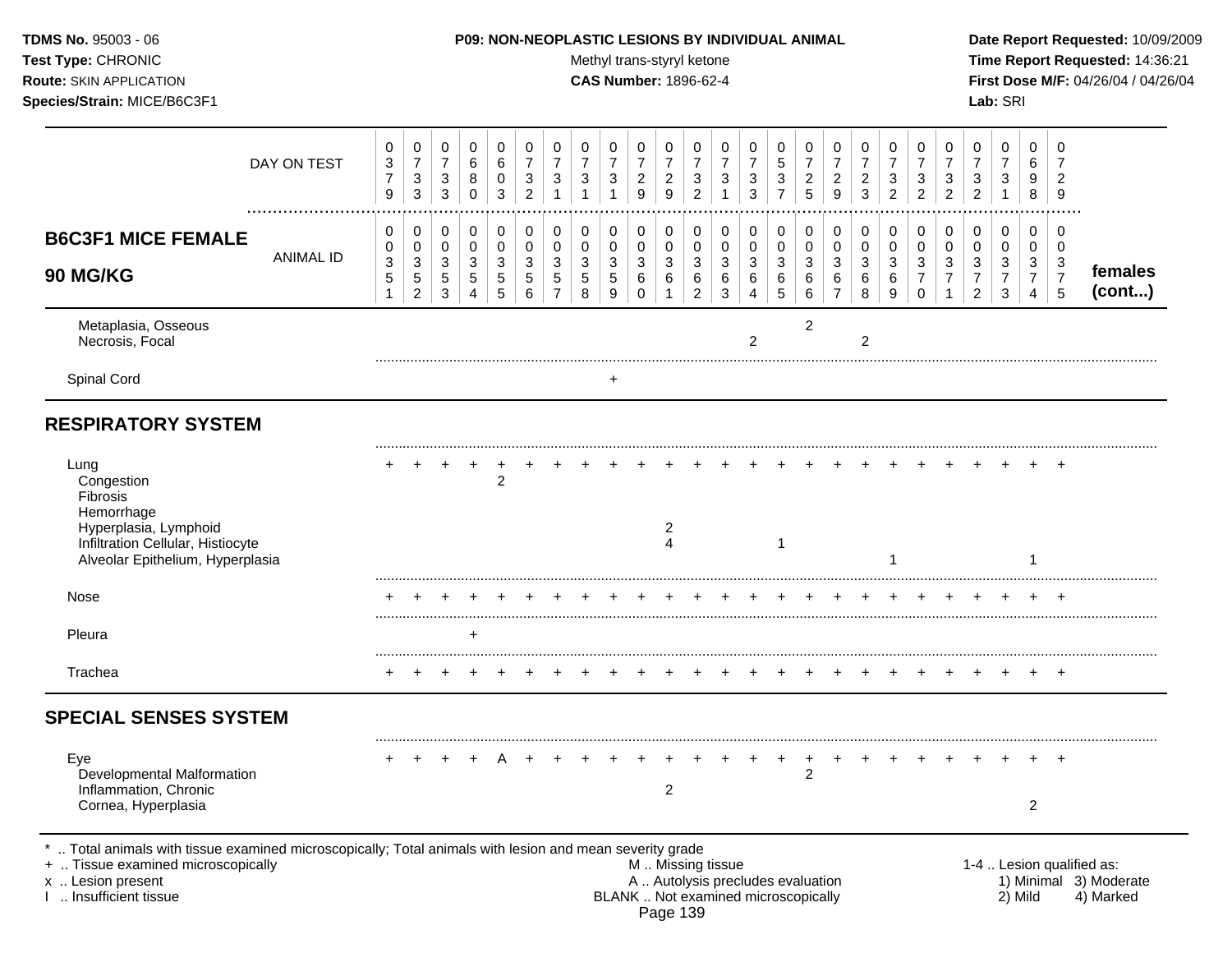| <b>TDMS No. 95003 - 06</b><br>Test Type: CHRONIC<br><b>Route: SKIN APPLICATION</b><br>Species/Strain: MICE/B6C3F1                                                                       |                                                                 |                                                                              |                                        |                                              |                          |                                            |                               |                                                     |                          | Methyl trans-styryl ketone<br><b>CAS Number: 1896-62-4</b> |                                                     |                                                       |                                 | P09: NON-NEOPLASTIC LESIONS BY INDIVIDUAL ANIMAL                         |                                                                 |                                        |                                                       |                                            |                                                                    |                                                       |                                                       |                                            | Lab: SRI                               |                               |                               | Date Report Requested: 10/09/2009<br>Time Report Requested: 14:36:21<br>First Dose M/F: 04/26/04 / 04/26/04 |
|-----------------------------------------------------------------------------------------------------------------------------------------------------------------------------------------|-----------------------------------------------------------------|------------------------------------------------------------------------------|----------------------------------------|----------------------------------------------|--------------------------|--------------------------------------------|-------------------------------|-----------------------------------------------------|--------------------------|------------------------------------------------------------|-----------------------------------------------------|-------------------------------------------------------|---------------------------------|--------------------------------------------------------------------------|-----------------------------------------------------------------|----------------------------------------|-------------------------------------------------------|--------------------------------------------|--------------------------------------------------------------------|-------------------------------------------------------|-------------------------------------------------------|--------------------------------------------|----------------------------------------|-------------------------------|-------------------------------|-------------------------------------------------------------------------------------------------------------|
| DAY ON TEST                                                                                                                                                                             | $\mathbf 0$<br>$\ensuremath{\mathsf{3}}$<br>$\overline{7}$<br>9 | $\mathbf 0$<br>$\boldsymbol{7}$<br>$\ensuremath{\mathsf{3}}$<br>$\mathbf{3}$ | 0<br>$\overline{7}$<br>$\sqrt{3}$<br>3 | 0<br>$\,6$<br>8<br>$\mathbf 0$               | 0<br>6<br>0<br>3         | 0<br>$\overline{7}$<br>3<br>$\overline{c}$ | 0<br>$\overline{7}$<br>3<br>1 | 0<br>$\boldsymbol{7}$<br>$\sqrt{3}$<br>$\mathbf{1}$ | 0<br>$\overline{7}$<br>3 | 0<br>$\overline{7}$<br>$\overline{c}$<br>9                 | 0<br>$\overline{7}$<br>$\overline{\mathbf{c}}$<br>9 | 0<br>$\boldsymbol{7}$<br>$\sqrt{3}$<br>$\overline{2}$ | 0<br>$\boldsymbol{7}$<br>3<br>1 | 0<br>$\overline{7}$<br>$\ensuremath{\mathsf{3}}$<br>3                    | 0<br>$\mathbf 5$<br>$\ensuremath{\mathsf{3}}$<br>$\overline{7}$ | 0<br>$\boldsymbol{7}$<br>$\frac{2}{5}$ | 0<br>$\boldsymbol{7}$<br>$\sqrt{2}$<br>$\overline{9}$ | 0<br>$\overline{7}$<br>$\overline{c}$<br>3 | 0<br>$\overline{7}$<br>$\ensuremath{\mathsf{3}}$<br>$\overline{c}$ | 0<br>$\boldsymbol{7}$<br>$\sqrt{3}$<br>$\overline{2}$ | 0<br>$\boldsymbol{7}$<br>$\sqrt{3}$<br>$\overline{2}$ | 0<br>$\overline{7}$<br>3<br>$\overline{2}$ | 0<br>$\overline{7}$<br>$\sqrt{3}$<br>1 | 0<br>6<br>9<br>8              | 0<br>2<br>9                   |                                                                                                             |
| <br><b>B6C3F1 MICE FEMALE</b><br><b>ANIMAL ID</b><br>90 MG/KG                                                                                                                           | 0<br>0<br>$\sqrt{3}$<br>5                                       | 0<br>0<br>3<br>$\,$ 5 $\,$                                                   | 0<br>0<br>3<br>$\sqrt{5}$              | 0<br>$\pmb{0}$<br>$\mathbf{3}$<br>$\sqrt{5}$ | 0<br>$\pmb{0}$<br>3<br>5 | 0<br>$\mathbf 0$<br>3<br>5                 | 0<br>$\pmb{0}$<br>3<br>5      | 0<br>$\overline{0}$<br>$\sqrt{3}$<br>$\,$ 5 $\,$    | 0<br>0<br>3<br>5         | 0<br>0<br>3<br>6                                           | 0<br>0<br>3<br>6                                    | 0<br>$\pmb{0}$<br>$\mathbf{3}$<br>6                   | 0<br>0<br>3<br>6                | 0<br>$\pmb{0}$<br>3<br>6                                                 | 0<br>$\mathbf 0$<br>3<br>6                                      | 0<br>0<br>3<br>6                       | 0<br>0<br>3<br>6                                      | 0<br>0<br>$\mathbf{3}$<br>6                | $\boldsymbol{0}$<br>$\pmb{0}$<br>$\sqrt{3}$<br>$\,6\,$             | 0<br>$\mathbf 0$<br>$\mathsf 3$<br>$\overline{7}$     | 0<br>$\pmb{0}$<br>$\sqrt{3}$<br>$\overline{7}$        | 0<br>0<br>3<br>7                           | 0<br>0<br>$\sqrt{3}$<br>$\overline{7}$ | 0<br>0<br>3<br>$\overline{7}$ | 0<br>0<br>3<br>$\overline{7}$ | females                                                                                                     |
| Metaplasia, Osseous<br>Necrosis, Focal                                                                                                                                                  | -1                                                              | $\overline{c}$                                                               | 3                                      | 4                                            | 5                        | 6                                          | 7                             | 8                                                   | 9                        | $\Omega$                                                   |                                                     | $\overline{2}$                                        | 3                               | 2                                                                        | 5                                                               | 6<br>2                                 | $\overline{7}$                                        | 8<br>$\overline{2}$                        | 9                                                                  | $\mathbf 0$                                           |                                                       | $\overline{c}$                             | 3                                      | 4                             | 5                             | (cont)                                                                                                      |
| Spinal Cord                                                                                                                                                                             |                                                                 |                                                                              |                                        |                                              |                          |                                            |                               |                                                     | +                        |                                                            |                                                     |                                                       |                                 |                                                                          |                                                                 |                                        |                                                       |                                            |                                                                    |                                                       |                                                       |                                            |                                        |                               |                               |                                                                                                             |
| <b>RESPIRATORY SYSTEM</b>                                                                                                                                                               |                                                                 |                                                                              |                                        |                                              |                          |                                            |                               |                                                     |                          |                                                            |                                                     |                                                       |                                 |                                                                          |                                                                 |                                        |                                                       |                                            |                                                                    |                                                       |                                                       |                                            |                                        |                               |                               |                                                                                                             |
| Lung<br>Congestion<br>Fibrosis<br>Hemorrhage<br>Hyperplasia, Lymphoid<br>Infiltration Cellular, Histiocyte<br>Alveolar Epithelium, Hyperplasia                                          |                                                                 |                                                                              |                                        |                                              | $\overline{c}$           |                                            |                               |                                                     |                          |                                                            | 2<br>$\overline{4}$                                 |                                                       |                                 |                                                                          | $\mathbf{1}$                                                    |                                        |                                                       |                                            |                                                                    |                                                       |                                                       |                                            |                                        |                               |                               |                                                                                                             |
| Nose                                                                                                                                                                                    |                                                                 |                                                                              |                                        |                                              |                          |                                            |                               |                                                     |                          |                                                            |                                                     |                                                       |                                 |                                                                          |                                                                 |                                        |                                                       |                                            |                                                                    |                                                       |                                                       |                                            |                                        |                               |                               |                                                                                                             |
| Pleura                                                                                                                                                                                  |                                                                 |                                                                              |                                        | $\ddot{}$                                    |                          |                                            |                               |                                                     |                          |                                                            |                                                     |                                                       |                                 |                                                                          |                                                                 |                                        |                                                       |                                            |                                                                    |                                                       |                                                       |                                            |                                        |                               |                               |                                                                                                             |
| Trachea                                                                                                                                                                                 | +                                                               |                                                                              |                                        |                                              |                          |                                            |                               |                                                     |                          |                                                            |                                                     |                                                       |                                 |                                                                          |                                                                 |                                        |                                                       |                                            |                                                                    |                                                       |                                                       |                                            |                                        |                               | $+$                           |                                                                                                             |
| <b>SPECIAL SENSES SYSTEM</b>                                                                                                                                                            |                                                                 |                                                                              |                                        |                                              |                          |                                            |                               |                                                     |                          |                                                            |                                                     |                                                       |                                 |                                                                          |                                                                 |                                        |                                                       |                                            |                                                                    |                                                       |                                                       |                                            |                                        |                               |                               |                                                                                                             |
| Eye<br>Developmental Malformation<br>Inflammation, Chronic<br>Cornea, Hyperplasia                                                                                                       |                                                                 |                                                                              |                                        |                                              |                          |                                            |                               | $+$                                                 | $+$                      |                                                            | $+$<br>2                                            |                                                       |                                 |                                                                          | $+$                                                             | $\ddot{}$<br>$\overline{c}$            | $+$                                                   |                                            |                                                                    |                                                       |                                                       |                                            |                                        | $\overline{2}$                |                               |                                                                                                             |
| Total animals with tissue examined microscopically; Total animals with lesion and mean severity grade<br>+  Tissue examined microscopically<br>x  Lesion present<br>Insufficient tissue |                                                                 |                                                                              |                                        |                                              |                          |                                            |                               |                                                     |                          | M  Missing tissue                                          |                                                     |                                                       |                                 | A  Autolysis precludes evaluation<br>BLANK  Not examined microscopically |                                                                 |                                        |                                                       |                                            |                                                                    |                                                       |                                                       |                                            |                                        | 2) Mild                       |                               | 1-4  Lesion qualified as:<br>1) Minimal 3) Moderate<br>4) Marked                                            |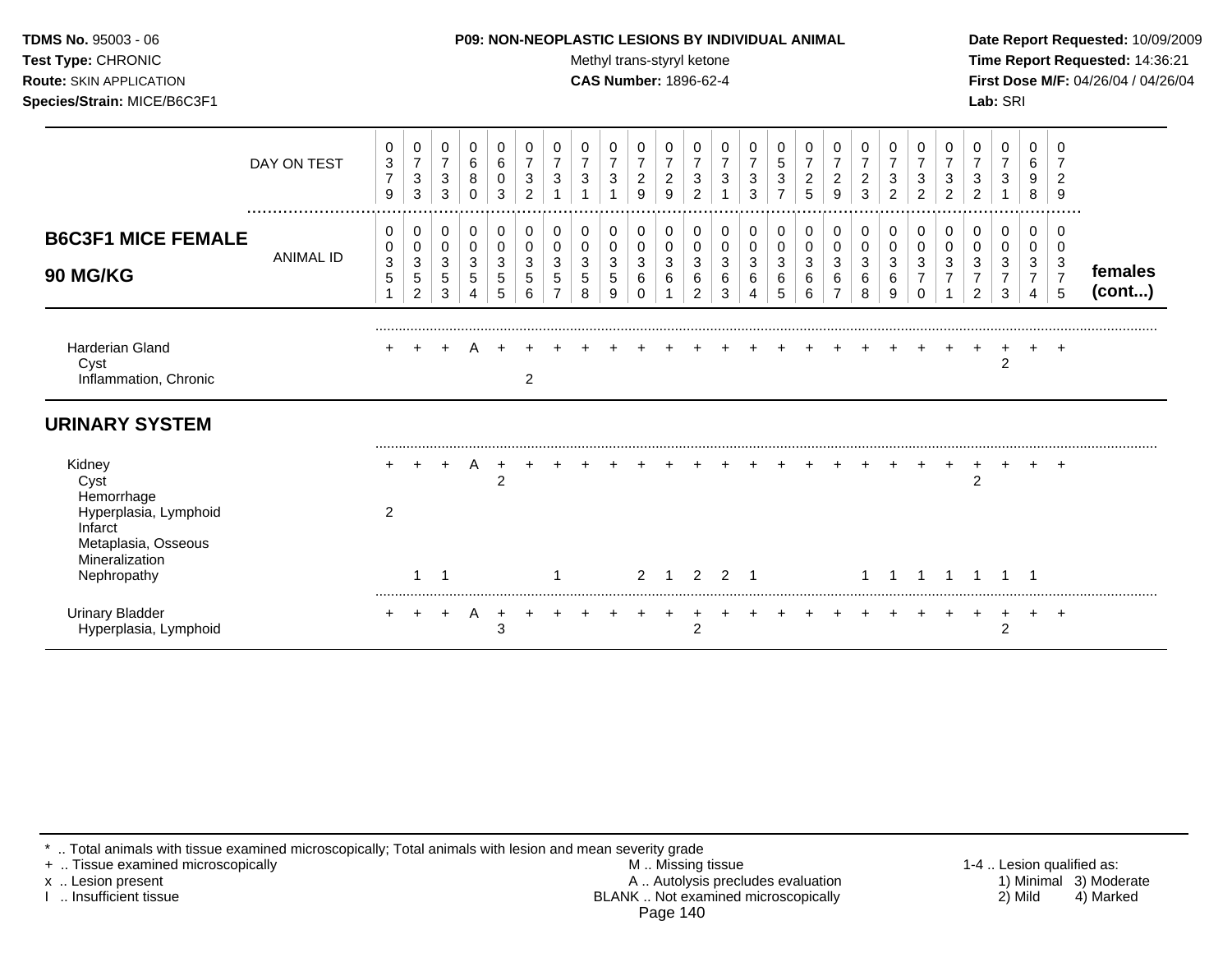| <b>TDMS No. 95003 - 06</b>     | <b>P09: NON-NEOPLASTIC LESIONS BY INDIVIDUAL ANIMAL</b> | Date Rep         |
|--------------------------------|---------------------------------------------------------|------------------|
| <b>Test Type: CHRONIC</b>      | Methyl trans-styryl ketone                              | Time Rer         |
| <b>Route: SKIN APPLICATION</b> | <b>CAS Number: 1896-62-4</b>                            | <b>First Dos</b> |
| Species/Strain: MICE/B6C3F1    |                                                         | <b>Lab: SRI</b>  |

#### **P09: NON-NEOPLASTIC LESIONS BY INDIVIDUAL ANIMAL Date Report Requested:** 10/09/2009

**Methyl trans-styryl ketone Time Report Requested:** 14:36:21 **CAS Number:** 1896-62-4 **First Dose M/F:** 04/26/04 / 04/26/04

|                                                                                                                          | DAY ON TEST          | 0<br>$\sqrt{3}$<br>$\overline{7}$<br>9 | 0<br>7<br>3<br>3      | 0<br>$\overline{7}$<br>$\mathbf{3}$<br>3 | 0<br>$\,6$<br>8<br>0       | 0<br>6<br>0<br>3      | 0<br>$\overline{7}$<br>3<br>$\overline{2}$ | 0<br>$\overline{7}$<br>3 | 0<br>$\overline{7}$<br>$\ensuremath{\mathsf{3}}$ | 0<br>$\overline{7}$<br>$\ensuremath{\mathsf{3}}$ | $\pmb{0}$<br>$\boldsymbol{7}$<br>$\overline{c}$<br>9 | 0<br>$\overline{7}$<br>$\boldsymbol{2}$<br>9 | 0<br>$\overline{7}$<br>3<br>$\overline{2}$ | 0<br>$\overline{7}$<br>$\mathbf{3}$ | 0<br>$\overline{7}$<br>3<br>3 | 0<br>$\,$ 5 $\,$<br>$\ensuremath{\mathsf{3}}$ | 0<br>$\overline{7}$<br>$\overline{c}$<br>5 | 0<br>$\boldsymbol{7}$<br>$\overline{a}$<br>9 | 0<br>$\overline{7}$<br>$\overline{c}$<br>3 | 0<br>$\overline{7}$<br>3<br>2 | 0<br>3<br>$\overline{2}$ | 0<br>$\overline{7}$<br>3<br>າ | 0<br>$\overline{7}$<br>$\ensuremath{\mathsf{3}}$<br>$\overline{2}$ | 0<br>$\overline{7}$<br>$\mathbf{3}$ | 0<br>6<br>9<br>8                   | 0<br>$\overline{2}$<br>9                          |                   |
|--------------------------------------------------------------------------------------------------------------------------|----------------------|----------------------------------------|-----------------------|------------------------------------------|----------------------------|-----------------------|--------------------------------------------|--------------------------|--------------------------------------------------|--------------------------------------------------|------------------------------------------------------|----------------------------------------------|--------------------------------------------|-------------------------------------|-------------------------------|-----------------------------------------------|--------------------------------------------|----------------------------------------------|--------------------------------------------|-------------------------------|--------------------------|-------------------------------|--------------------------------------------------------------------|-------------------------------------|------------------------------------|---------------------------------------------------|-------------------|
| <b>B6C3F1 MICE FEMALE</b><br><b>90 MG/KG</b>                                                                             | <br><b>ANIMAL ID</b> | 0<br>0<br>3<br>5                       | 0<br>0<br>3<br>5<br>2 | 0<br>0<br>3<br>5<br>3                    | 0<br>$\mathbf 0$<br>3<br>5 | 0<br>0<br>3<br>5<br>5 | 0<br>0<br>3<br>5<br>6                      | 0<br>0<br>3              | 0<br>0<br>3<br>5<br>8                            | 0<br>0<br>3<br>5<br>9                            | 0<br>0<br>3<br>6<br>$\Omega$                         | 0<br>0<br>3<br>6                             | 0<br>0<br>3<br>6<br>2                      | 0<br>0<br>3<br>6<br>3               | 0<br>0<br>3<br>6              | 0<br>0<br>3<br>6<br>5                         | 0<br>0<br>3<br>6<br>6                      | 0<br>0<br>3<br>6<br>$\overline{7}$           | 0<br>0<br>3<br>6<br>8                      | 0<br>0<br>3<br>6<br>9         | 0<br>0<br>3<br>0         | 0<br>0<br>3                   | 0<br>0<br>3<br>7<br>$\overline{2}$                                 | 0<br>0<br>3<br>$\overline{7}$<br>3  | 0<br>0<br>3<br>$\overline{7}$<br>4 | 0<br>0<br>$\boldsymbol{3}$<br>$\overline{7}$<br>5 | females<br>(cont) |
| <b>Harderian Gland</b><br>Cyst<br>Inflammation, Chronic                                                                  |                      |                                        |                       |                                          |                            |                       | 2                                          |                          |                                                  |                                                  |                                                      |                                              |                                            |                                     |                               |                                               |                                            |                                              |                                            |                               |                          |                               |                                                                    | $\overline{2}$                      |                                    | $\overline{+}$                                    |                   |
| <b>URINARY SYSTEM</b>                                                                                                    |                      |                                        |                       |                                          |                            |                       |                                            |                          |                                                  |                                                  |                                                      |                                              |                                            |                                     |                               |                                               |                                            |                                              |                                            |                               |                          |                               |                                                                    |                                     |                                    |                                                   |                   |
| Kidney<br>Cyst<br>Hemorrhage<br>Hyperplasia, Lymphoid<br>Infarct<br>Metaplasia, Osseous<br>Mineralization<br>Nephropathy |                      | +<br>2                                 |                       |                                          | A                          | $\overline{2}$        |                                            |                          |                                                  |                                                  | 2                                                    | $\overline{1}$                               | 2                                          | 2                                   |                               |                                               |                                            |                                              |                                            |                               |                          |                               | $\overline{2}$                                                     |                                     |                                    | $+$                                               |                   |
| <b>Urinary Bladder</b><br>Hyperplasia, Lymphoid                                                                          |                      | $\ddot{}$                              | $\ddot{}$             | $+$                                      | A                          | $+$<br>3              |                                            |                          |                                                  |                                                  |                                                      |                                              | $\overline{2}$                             |                                     |                               | $\overline{+}$                                |                                            |                                              |                                            |                               |                          |                               |                                                                    | $\div$<br>$\overline{2}$            | $\ddot{}$                          | $+$                                               |                   |

\* .. Total animals with tissue examined microscopically; Total animals with lesion and mean severity grade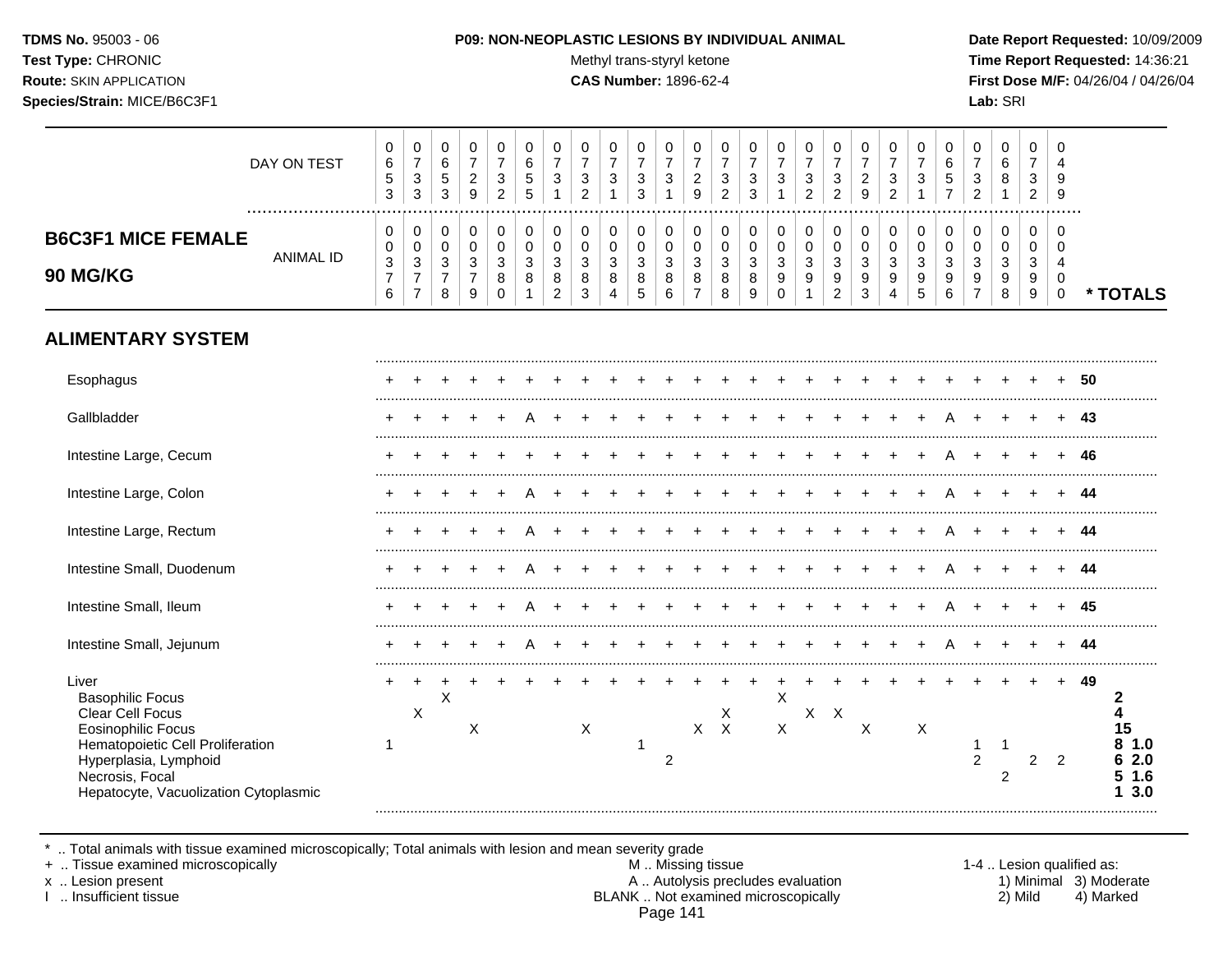Test Type: CHRONIC **Test Type:** CHRONIC **Test Type:** CHRONIC **Time Report Requested:** 14:36:21 **Route:** SKIN APPLICATION **CAS Number:** 1896-62-4 **First Dose M/F:** 04/26/04 / 04/26/04 **Species/Strain:** MICE/B6C3F1 **Lab:** SRI

|                                                                                                                                                                                                            | DAY ON TEST      | $\pmb{0}$<br>6<br>$\mathbf 5$<br>$\mathfrak{S}$                    | $\mathbf 0$<br>$\overline{7}$<br>$\mathbf{3}$<br>$\mathbf{3}$ | 0<br>6<br>$\sqrt{5}$<br>3                               | $\mathbf 0$<br>$\overline{7}$<br>$\overline{c}$<br>9                 | 0<br>$\overline{7}$<br>3<br>$\overline{2}$           | 0<br>6<br>$\,$ 5 $\,$<br>5 | 0<br>$\overline{7}$<br>$\ensuremath{\mathsf{3}}$ | 0<br>$\overline{7}$<br>3<br>$\overline{2}$ | $\pmb{0}$<br>$\boldsymbol{7}$<br>$\sqrt{3}$<br>$\overline{1}$ | 0<br>$\overline{7}$<br>$\sqrt{3}$<br>3            | 0<br>$\overline{7}$<br>$\sqrt{3}$    | 0<br>$\overline{7}$<br>$\boldsymbol{2}$<br>9            | 0<br>$\overline{7}$<br>3<br>$\overline{2}$ | 0<br>$\overline{7}$<br>$\sqrt{3}$<br>3   | 0<br>$\overline{7}$<br>$\ensuremath{\mathsf{3}}$        | 0<br>$\overline{7}$<br>$\sqrt{3}$<br>$\overline{2}$                | $\mathbf 0$<br>$\overline{7}$<br>$\ensuremath{\mathsf{3}}$<br>$\overline{c}$ | 0<br>$\overline{7}$<br>$\overline{c}$<br>9                       | 0<br>$\overline{7}$<br>$\sqrt{3}$<br>$\overline{2}$ | 0<br>$\overline{7}$<br>$\sqrt{3}$ | 0<br>$\,6\,$<br>$\mathbf 5$<br>$\overline{7}$    | 0<br>$\overline{7}$<br>3<br>$\overline{2}$  | $\pmb{0}$<br>$\,6\,$<br>8                               | $\pmb{0}$<br>7<br>3<br>$\overline{a}$ | 0<br>$\overline{4}$<br>9<br>9                       |    |                                     |
|------------------------------------------------------------------------------------------------------------------------------------------------------------------------------------------------------------|------------------|--------------------------------------------------------------------|---------------------------------------------------------------|---------------------------------------------------------|----------------------------------------------------------------------|------------------------------------------------------|----------------------------|--------------------------------------------------|--------------------------------------------|---------------------------------------------------------------|---------------------------------------------------|--------------------------------------|---------------------------------------------------------|--------------------------------------------|------------------------------------------|---------------------------------------------------------|--------------------------------------------------------------------|------------------------------------------------------------------------------|------------------------------------------------------------------|-----------------------------------------------------|-----------------------------------|--------------------------------------------------|---------------------------------------------|---------------------------------------------------------|---------------------------------------|-----------------------------------------------------|----|-------------------------------------|
| <b>B6C3F1 MICE FEMALE</b><br>90 MG/KG                                                                                                                                                                      | <b>ANIMAL ID</b> | 0<br>$\pmb{0}$<br>$\ensuremath{\mathsf{3}}$<br>$\overline{7}$<br>6 | 0<br>0<br>$\mathbf{3}$<br>$\boldsymbol{7}$<br>$\overline{7}$  | 0<br>$\mathbf 0$<br>$\mathbf{3}$<br>$\overline{7}$<br>8 | 0<br>$\mathbf 0$<br>$\ensuremath{\mathsf{3}}$<br>$\overline{7}$<br>9 | 0<br>$\mathbf 0$<br>$\mathbf{3}$<br>8<br>$\mathbf 0$ | $\pmb{0}$<br>0<br>3<br>8   | 0<br>0<br>$\mathbf{3}$<br>8<br>$\overline{c}$    | 0<br>0<br>3<br>$\bf 8$<br>3                | 0<br>$\mathbf 0$<br>$\sqrt{3}$<br>$\,8\,$<br>$\overline{4}$   | 0<br>$\mathbf 0$<br>$\sqrt{3}$<br>8<br>$\sqrt{5}$ | 0<br>0<br>$\sqrt{3}$<br>8<br>$\,6\,$ | 0<br>$\mathbf 0$<br>$\mathbf{3}$<br>8<br>$\overline{7}$ | 0<br>0<br>$\sqrt{3}$<br>8<br>8             | 0<br>$\mathbf 0$<br>$\sqrt{3}$<br>8<br>9 | 0<br>$\boldsymbol{0}$<br>$\mathbf{3}$<br>9<br>$\pmb{0}$ | 0<br>$\pmb{0}$<br>$\ensuremath{\mathsf{3}}$<br>9<br>$\overline{1}$ | 0<br>$\mathbf 0$<br>$\ensuremath{\mathsf{3}}$<br>9<br>$\overline{2}$         | 0<br>$\pmb{0}$<br>$\ensuremath{\mathsf{3}}$<br>9<br>$\mathbf{3}$ | 0<br>0<br>3<br>9<br>4                               | 0<br>0<br>$\mathbf{3}$<br>9<br>5  | 0<br>$\mathbf 0$<br>$\mathbf{3}$<br>9<br>$\,6\,$ | 0<br>0<br>$\sqrt{3}$<br>9<br>$\overline{7}$ | 0<br>$\mathbf 0$<br>$\ensuremath{\mathsf{3}}$<br>9<br>8 | 0<br>0<br>$\mathbf{3}$<br>9<br>9      | 0<br>$\Omega$<br>$\overline{4}$<br>0<br>$\mathbf 0$ |    | * TOTALS                            |
| <b>ALIMENTARY SYSTEM</b>                                                                                                                                                                                   |                  |                                                                    |                                                               |                                                         |                                                                      |                                                      |                            |                                                  |                                            |                                                               |                                                   |                                      |                                                         |                                            |                                          |                                                         |                                                                    |                                                                              |                                                                  |                                                     |                                   |                                                  |                                             |                                                         |                                       |                                                     |    |                                     |
| Esophagus                                                                                                                                                                                                  |                  |                                                                    |                                                               |                                                         |                                                                      |                                                      |                            |                                                  |                                            |                                                               |                                                   |                                      |                                                         |                                            |                                          |                                                         |                                                                    |                                                                              |                                                                  |                                                     |                                   |                                                  |                                             |                                                         |                                       |                                                     | 50 |                                     |
| Gallbladder                                                                                                                                                                                                |                  |                                                                    |                                                               |                                                         |                                                                      |                                                      |                            |                                                  |                                            |                                                               |                                                   |                                      |                                                         |                                            |                                          |                                                         |                                                                    |                                                                              |                                                                  |                                                     |                                   |                                                  |                                             |                                                         |                                       |                                                     | 43 |                                     |
| Intestine Large, Cecum                                                                                                                                                                                     |                  |                                                                    |                                                               |                                                         |                                                                      |                                                      |                            |                                                  |                                            |                                                               |                                                   |                                      |                                                         |                                            |                                          |                                                         |                                                                    |                                                                              |                                                                  |                                                     |                                   |                                                  |                                             |                                                         |                                       |                                                     | 46 |                                     |
| Intestine Large, Colon                                                                                                                                                                                     |                  |                                                                    |                                                               |                                                         |                                                                      |                                                      |                            |                                                  |                                            |                                                               |                                                   |                                      |                                                         |                                            |                                          |                                                         |                                                                    |                                                                              |                                                                  |                                                     |                                   |                                                  |                                             |                                                         |                                       |                                                     | 44 |                                     |
| Intestine Large, Rectum                                                                                                                                                                                    |                  |                                                                    |                                                               |                                                         |                                                                      |                                                      |                            |                                                  |                                            |                                                               |                                                   |                                      |                                                         |                                            |                                          |                                                         |                                                                    |                                                                              |                                                                  |                                                     |                                   |                                                  |                                             |                                                         |                                       |                                                     | 44 |                                     |
| Intestine Small, Duodenum                                                                                                                                                                                  |                  |                                                                    |                                                               |                                                         |                                                                      |                                                      |                            |                                                  |                                            |                                                               |                                                   |                                      |                                                         |                                            |                                          |                                                         |                                                                    |                                                                              |                                                                  |                                                     |                                   |                                                  |                                             |                                                         |                                       |                                                     | 44 |                                     |
| Intestine Small, Ileum                                                                                                                                                                                     |                  |                                                                    |                                                               |                                                         |                                                                      |                                                      |                            |                                                  |                                            |                                                               |                                                   |                                      |                                                         |                                            |                                          |                                                         |                                                                    |                                                                              |                                                                  |                                                     |                                   |                                                  |                                             |                                                         |                                       |                                                     | 45 |                                     |
| Intestine Small, Jejunum                                                                                                                                                                                   |                  |                                                                    |                                                               |                                                         |                                                                      |                                                      |                            |                                                  |                                            |                                                               |                                                   |                                      |                                                         |                                            |                                          |                                                         |                                                                    |                                                                              |                                                                  |                                                     |                                   |                                                  |                                             |                                                         |                                       |                                                     | 44 |                                     |
| Liver<br><b>Basophilic Focus</b><br>Clear Cell Focus<br><b>Eosinophilic Focus</b><br>Hematopoietic Cell Proliferation<br>Hyperplasia, Lymphoid<br>Necrosis, Focal<br>Hepatocyte, Vacuolization Cytoplasmic |                  |                                                                    | $\mathsf X$                                                   | X                                                       | Χ                                                                    |                                                      |                            |                                                  | X                                          |                                                               | 1                                                 | 2                                    | X                                                       | $\frac{x}{x}$                              |                                          | $\mathsf{X}$<br>X                                       |                                                                    | $X$ $X$                                                                      | $\times$                                                         |                                                     | X                                 |                                                  | 1<br>$\overline{2}$                         | 1<br>$\overline{2}$                                     | $\overline{c}$                        | $\overline{2}$                                      | 49 | 2<br>15<br>1.0<br>2.0<br>1.6<br>3.0 |

\* .. Total animals with tissue examined microscopically; Total animals with lesion and mean severity grade

+ .. Tissue examined microscopically M .. Missing tissue 1-4 .. Lesion qualified as: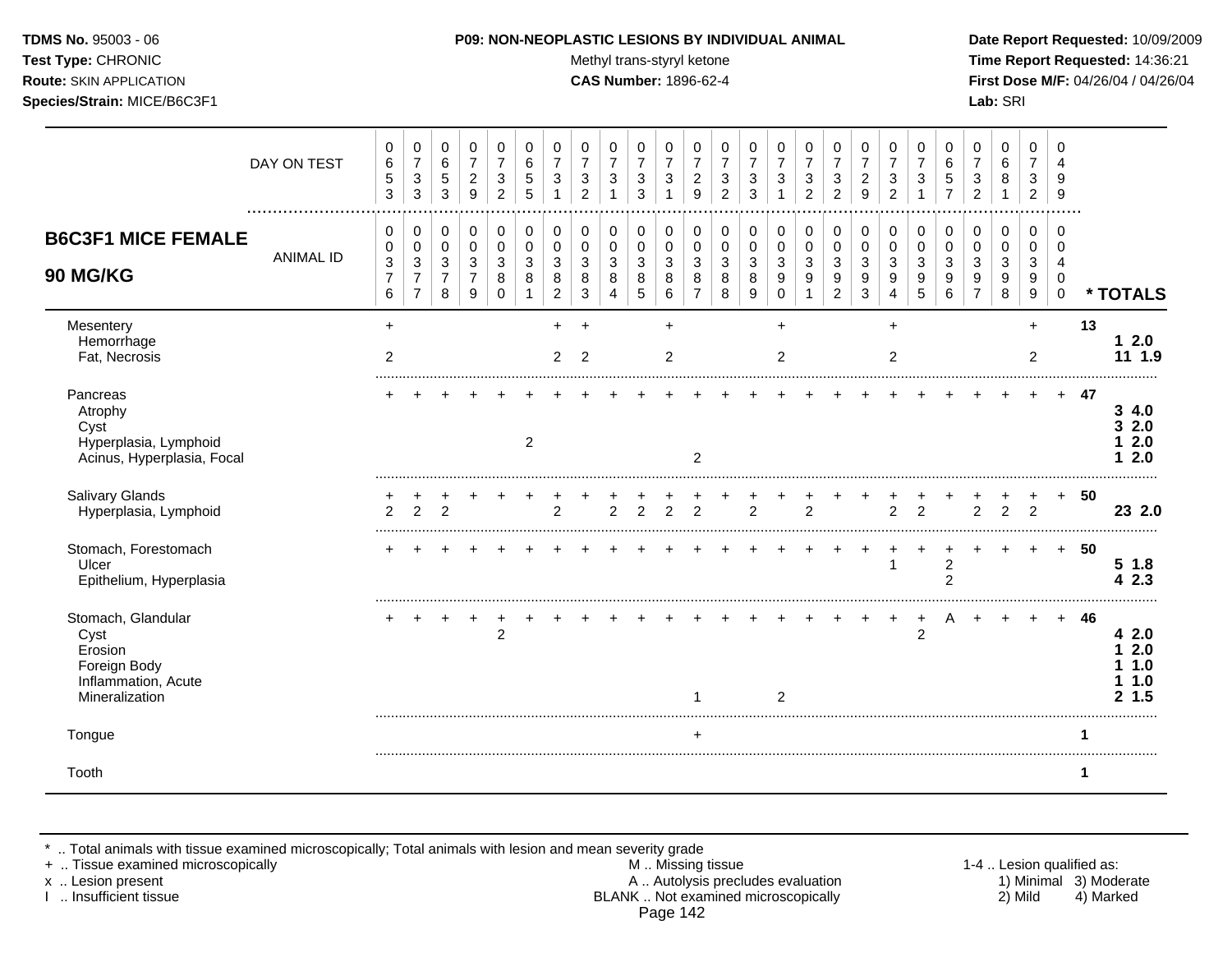Test Type: CHRONIC **Test Type:** CHRONIC **Test Type:** CHRONIC **Time Report Requested:** 14:36:21 **Route:** SKIN APPLICATION **CAS Number:** 1896-62-4 **First Dose M/F:** 04/26/04 / 04/26/04 **Species/Strain:** MICE/B6C3F1 **Lab:** SRI

|                                                                                                | DAY ON TEST      | 0<br>6<br>$\sqrt{5}$<br>3                                            | 0<br>$\overline{7}$<br>$\sqrt{3}$<br>3                   | 0<br>6<br>5<br>3                             | 0<br>$\overline{7}$<br>$\overline{2}$<br>9   | 0<br>3<br>2      | 0<br>6<br>5<br>5 | 0<br>$\overline{7}$<br>3           | 0<br>$\overline{7}$<br>$\ensuremath{\mathsf{3}}$<br>$\overline{2}$ | 0<br>$\overline{7}$<br>$\sqrt{3}$<br>1        | 0<br>$\overline{7}$<br>3<br>3                 | 0<br>$\overline{7}$<br>3        | 0<br>$\overline{7}$<br>$\overline{c}$<br>9 | 0<br>7<br>3<br>$\overline{2}$    | 0<br>$\overline{7}$<br>3<br>3 | 0<br>$\overline{7}$<br>$\mathbf{3}$                             | 0<br>$\overline{7}$<br>3<br>$\overline{c}$              | 0<br>$\overline{7}$<br>3<br>$\overline{2}$                         | 0<br>$\overline{7}$<br>$\overline{c}$<br>9 | 0<br>7<br>3<br>$\overline{2}$ | 0<br>$\overline{7}$<br>3 | 0<br>6<br>$\mathbf 5$<br>$\overline{7}$ | 0<br>7<br>3<br>$\overline{2}$      | 0<br>6<br>8                     | 0<br>$\overline{7}$<br>3<br>$\overline{2}$    | 0<br>$\overline{4}$<br>9<br>9                           |     |                                         |
|------------------------------------------------------------------------------------------------|------------------|----------------------------------------------------------------------|----------------------------------------------------------|----------------------------------------------|----------------------------------------------|------------------|------------------|------------------------------------|--------------------------------------------------------------------|-----------------------------------------------|-----------------------------------------------|---------------------------------|--------------------------------------------|----------------------------------|-------------------------------|-----------------------------------------------------------------|---------------------------------------------------------|--------------------------------------------------------------------|--------------------------------------------|-------------------------------|--------------------------|-----------------------------------------|------------------------------------|---------------------------------|-----------------------------------------------|---------------------------------------------------------|-----|-----------------------------------------|
| <b>B6C3F1 MICE FEMALE</b><br><b>90 MG/KG</b>                                                   | <b>ANIMAL ID</b> | 0<br>$\pmb{0}$<br>$\ensuremath{\mathsf{3}}$<br>$\boldsymbol{7}$<br>6 | 0<br>0<br>$\sqrt{3}$<br>$\overline{7}$<br>$\overline{7}$ | 0<br>$\mathbf 0$<br>3<br>$\overline{7}$<br>8 | 0<br>$\mathbf 0$<br>3<br>$\overline{7}$<br>9 | 0<br>0<br>3<br>8 | 0<br>0<br>3<br>8 | 0<br>0<br>3<br>8<br>$\overline{2}$ | 0<br>0<br>3<br>8<br>3                                              | 0<br>0<br>$\ensuremath{\mathsf{3}}$<br>8<br>4 | 0<br>0<br>$\ensuremath{\mathsf{3}}$<br>8<br>5 | 0<br>$\mathbf 0$<br>3<br>8<br>6 | 0<br>0<br>3<br>8<br>$\overline{7}$         | 0<br>0<br>$\mathbf{3}$<br>8<br>8 | 0<br>0<br>3<br>8<br>9         | 0<br>$\pmb{0}$<br>$\sqrt{3}$<br>$\boldsymbol{9}$<br>$\mathbf 0$ | 0<br>$\mathbf 0$<br>$\ensuremath{\mathsf{3}}$<br>9<br>1 | 0<br>$\pmb{0}$<br>$\sqrt{3}$<br>$\boldsymbol{9}$<br>$\overline{2}$ | 0<br>$\mathbf 0$<br>3<br>9<br>3            | 0<br>0<br>3<br>9<br>4         | 0<br>0<br>3<br>9<br>5    | 0<br>0<br>3<br>9<br>6                   | 0<br>0<br>3<br>9<br>$\overline{7}$ | 0<br>$\mathbf 0$<br>3<br>9<br>8 | 0<br>0<br>$\ensuremath{\mathsf{3}}$<br>9<br>9 | $\Omega$<br>$\Omega$<br>4<br>$\mathbf 0$<br>$\mathbf 0$ |     | * TOTALS                                |
| Mesentery<br>Hemorrhage<br>Fat, Necrosis                                                       |                  | $\ddot{}$<br>$\overline{2}$                                          |                                                          |                                              |                                              |                  |                  | ٠<br>2                             | $\overline{ }$<br>2                                                |                                               |                                               | $\ddot{}$<br>$\overline{c}$     |                                            |                                  |                               | $\ddot{}$<br>2                                                  |                                                         |                                                                    |                                            | $\ddot{}$<br>$\overline{2}$   |                          |                                         |                                    |                                 | $\ddot{}$<br>2                                |                                                         | 13  | $12.0$<br>11 1.9                        |
| Pancreas<br>Atrophy<br>Cyst<br>Hyperplasia, Lymphoid<br>Acinus, Hyperplasia, Focal             |                  |                                                                      |                                                          |                                              |                                              |                  | $\overline{2}$   |                                    |                                                                    |                                               |                                               |                                 | $\overline{c}$                             |                                  |                               |                                                                 |                                                         |                                                                    |                                            |                               |                          |                                         |                                    |                                 |                                               | $+$                                                     | -47 | 34.0<br>32.0<br>2.0<br>2.0              |
| Salivary Glands<br>Hyperplasia, Lymphoid                                                       |                  | 2                                                                    | $\mathcal{P}$                                            | $\mathfrak{p}$                               |                                              |                  |                  | $\mathfrak{p}$                     |                                                                    | $\mathcal{P}$                                 | $\mathfrak{p}$                                | $\mathfrak{D}$                  | $\mathfrak{D}$                             |                                  | $\mathcal{P}$                 |                                                                 | $\mathfrak{p}$                                          |                                                                    |                                            | $\mathcal{P}$                 | $\mathcal{P}$            |                                         | $\overline{2}$                     | $\overline{2}$                  | 2                                             | $+$                                                     | 50  | 23 2.0                                  |
| Stomach, Forestomach<br>Ulcer<br>Epithelium, Hyperplasia                                       |                  |                                                                      |                                                          |                                              |                                              |                  |                  |                                    |                                                                    |                                               |                                               |                                 |                                            |                                  |                               |                                                                 |                                                         |                                                                    |                                            |                               |                          | $\overline{2}$<br>$\overline{2}$        |                                    |                                 |                                               | $\ddot{}$                                               | 50  | 5 1.8<br>2.3<br>4                       |
| Stomach, Glandular<br>Cyst<br>Erosion<br>Foreign Body<br>Inflammation, Acute<br>Mineralization |                  |                                                                      |                                                          |                                              |                                              | $\overline{2}$   |                  |                                    |                                                                    |                                               |                                               |                                 |                                            |                                  |                               | 2                                                               |                                                         |                                                                    |                                            |                               | 2                        |                                         |                                    |                                 |                                               | $+$                                                     | 46  | 4 2.0<br>2.0<br>1.0<br>1.0<br>1.5<br>2. |
| Tongue                                                                                         |                  |                                                                      |                                                          |                                              |                                              |                  |                  |                                    |                                                                    |                                               |                                               |                                 | $\ddot{}$                                  |                                  |                               |                                                                 |                                                         |                                                                    |                                            |                               |                          |                                         |                                    |                                 |                                               |                                                         | 1   |                                         |
| Tooth                                                                                          |                  |                                                                      |                                                          |                                              |                                              |                  |                  |                                    |                                                                    |                                               |                                               |                                 |                                            |                                  |                               |                                                                 |                                                         |                                                                    |                                            |                               |                          |                                         |                                    |                                 |                                               |                                                         | 1   |                                         |

\* .. Total animals with tissue examined microscopically; Total animals with lesion and mean severity grade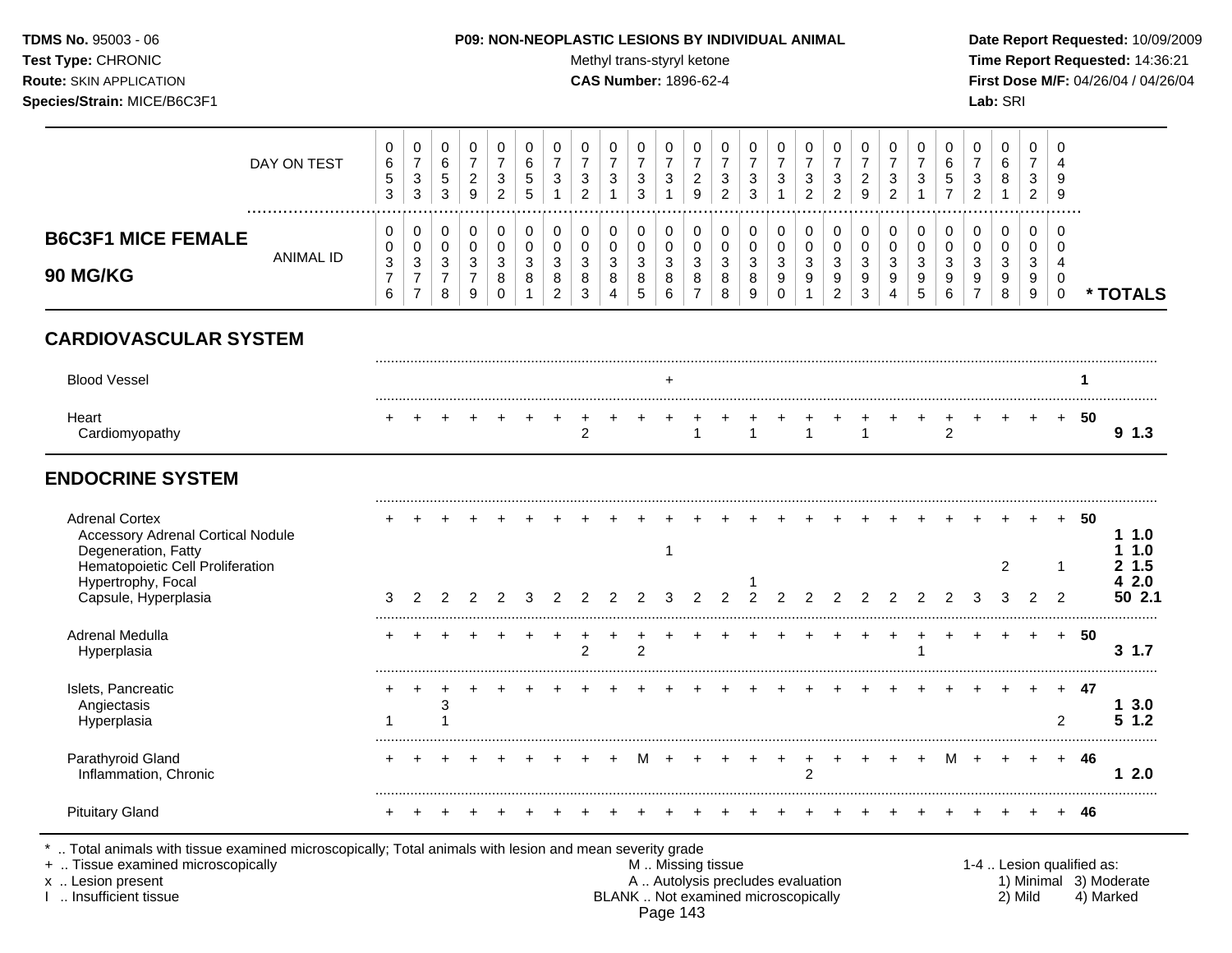#### **TDMS No.** 95003 - 06 **P09: NON-NEOPLASTIC LESIONS BY INDIVIDUAL ANIMAL Date Report Requested:** 10/09/2009

**Test Type:** CHRONIC **Test Type:** CHRONIC **Test Type:** CHRONIC **Time Report Requested:** 14:36:21 **Route:** SKIN APPLICATION **CAS Number:** 1896-62-4 **First Dose M/F:** 04/26/04 / 04/26/04

|                                              | DAY ON TEST | U<br>6<br>ູບ<br>3                       | 0<br>3<br>3      | U<br>6<br>5<br>2<br>◡ | 2       | <b>U</b><br>3<br>ົ | G       | ັ<br>J                  | ີ<br>J                     | 0<br>3                | U<br>3<br>ົ<br>ັ            | د  | <b>U</b><br>9 | ∼            | v<br>J<br>ີ<br>J      | υ<br>-2<br>Ñ                   | 0<br>3<br>ົ<br>▃ | v<br>3<br>$\sim$<br><u>_</u>             | ∠            | 0<br>-3<br>c | J                  | v | υ<br>3                | 0<br>6<br>8           | U<br>3<br><u>.</u>         | – G<br>-9 |      |
|----------------------------------------------|-------------|-----------------------------------------|------------------|-----------------------|---------|--------------------|---------|-------------------------|----------------------------|-----------------------|-----------------------------|----|---------------|--------------|-----------------------|--------------------------------|------------------|------------------------------------------|--------------|--------------|--------------------|---|-----------------------|-----------------------|----------------------------|-----------|------|
| <b>B6C3F1 MICE FEMALE</b><br><b>90 MG/KG</b> | ANIMAL ID   | v<br>v<br>$\Omega$<br>ັບ<br>$\sim$<br>b | 0<br>0<br>3<br>- | υ<br>υ<br>ົ<br>◡<br>8 | ັບ<br>9 | 3<br>O<br>O        | $\circ$ | າ<br>u<br>8<br><u>.</u> | ⌒<br>J<br>8<br>$\sim$<br>J | 0<br>0<br>3<br>8<br>4 | U<br>U<br>ົ<br>P<br>8<br>.5 | J. | ు<br>O        | $\circ$<br>O | ╰<br>?<br>u<br>8<br>9 | ν<br>$\sqrt{2}$<br>J<br>9<br>u | 0<br>0<br>3<br>9 | υ<br>ν<br>ົ<br>◡<br>9<br>ົ<br>$\epsilon$ | ۰J<br>9<br>3 | 3<br>9<br>4  | ⌒<br>$\Omega$<br>υ | 6 | ν<br>◠<br>J<br>ਹ<br>- | 0<br>0<br>3<br>9<br>8 | U<br>ν<br>ົ<br>◡<br>9<br>9 |           | TALS |

# **CARDIOVASCULAR SYSTEM**

| Blood Vessel |  |  |  |  |  |  |  |  |  |  |  |  |  |  |
|--------------|--|--|--|--|--|--|--|--|--|--|--|--|--|--|
| ⊣eart        |  |  |  |  |  |  |  |  |  |  |  |  |  |  |

# **ENDOCRINE SYSTEM**

| <b>Adrenal Cortex</b><br><b>Accessory Adrenal Cortical Nodule</b><br>Degeneration, Fatty |  |  |  |  |   |  |  |  |  |  |  |  |     | 50 | 1.0<br>1.0       |     |
|------------------------------------------------------------------------------------------|--|--|--|--|---|--|--|--|--|--|--|--|-----|----|------------------|-----|
| Hematopoietic Cell Proliferation<br>Hypertrophy, Focal<br>Capsule, Hyperplasia           |  |  |  |  |   |  |  |  |  |  |  |  |     |    | 1.5<br>2.0       | 2.1 |
| Adrenal Medulla<br>Hyperplasia                                                           |  |  |  |  | ◠ |  |  |  |  |  |  |  |     | 50 | 1.7<br>3         |     |
| Islets, Pancreatic<br>Angiectasis<br>Hyperplasia                                         |  |  |  |  |   |  |  |  |  |  |  |  | $+$ | 47 | 3.0 <sub>2</sub> |     |
| Parathyroid Gland<br>Inflammation, Chronic                                               |  |  |  |  |   |  |  |  |  |  |  |  |     | 46 | 2.0              |     |
| <b>Pituitary Gland</b>                                                                   |  |  |  |  |   |  |  |  |  |  |  |  |     |    |                  |     |

\* .. Total animals with tissue examined microscopically; Total animals with lesion and mean severity grade

- + .. Tissue examined microscopically M .. Missing tissue 1-4 .. Lesion qualified as: x .. Lesion present **A .. Autolysis precludes evaluation** A .. Autolysis precludes evaluation 1) Minimal 3) Moderate I .. Insufficient tissue BLANK .. Not examined microscopically 2) Mild 4) Marked Page 143
-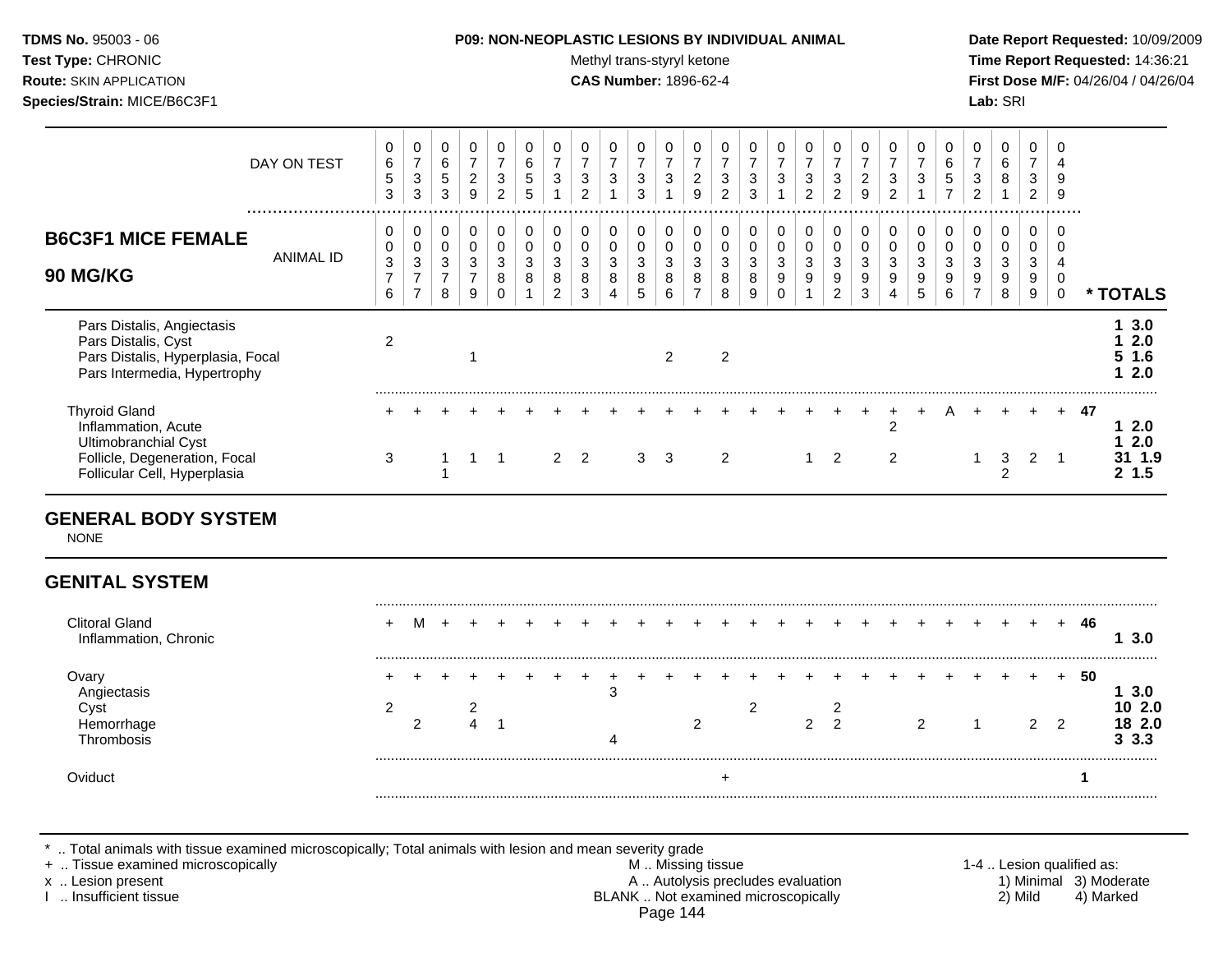**Test Type:** CHRONIC **Trans-styryl ketone** Methyl trans-styryl ketone **Time Report Requested:** 14:36:21 **Route:** SKIN APPLICATION **CAS Number:** 1896-62-4 **First Dose M/F:** 04/26/04 / 04/26/04 **Species/Strain:** MICE/B6C3F1 **Lab:** SRI

| DAY ON TEST                                                                                                                          | 0<br>$\,6\,$<br>$\mathbf 5$<br>3                      | 0<br>$\overline{7}$<br>$\sqrt{3}$<br>3                               | $\mathbf 0$<br>6<br>$\sqrt{5}$<br>3                    | 0<br>$\overline{7}$<br>$\overline{c}$<br>9              | 0<br>$\overline{7}$<br>$\sqrt{3}$<br>$\overline{2}$ | 0<br>$\,6$<br>5<br>5     | 0<br>$\overline{z}$<br>$\sqrt{3}$                   | 0<br>$\overline{z}$<br>3<br>$\overline{2}$ | 0<br>$\overline{ }$<br>3 | $\overline{7}$<br>3<br>3                  | 0<br>$\overline{ }$<br>3       | 0<br>$\overline{ }$<br>$\overline{c}$<br>9 | $\overline{7}$<br>3<br>2 | $\overline{7}$<br>$\sqrt{3}$<br>3              | 0<br>$\overline{7}$<br>$\mathbf{3}$  | 0<br>$\overline{7}$<br>3<br>2 | 0<br>$\overline{7}$<br>$\mathbf{3}$<br>2             | 0<br>$\overline{z}$<br>$\boldsymbol{2}$<br>9 | 0<br>$\overline{ }$<br>3<br>$\overline{2}$ | $\overline{7}$<br>3 | 0<br>6<br>$\overline{5}$<br>$\overline{ }$ | 0<br>$\overline{7}$<br>3<br>2      | 0<br>6<br>8           | 0<br>$\overline{7}$<br>3<br>2 | 4<br>9<br>9 |    |                                       |
|--------------------------------------------------------------------------------------------------------------------------------------|-------------------------------------------------------|----------------------------------------------------------------------|--------------------------------------------------------|---------------------------------------------------------|-----------------------------------------------------|--------------------------|-----------------------------------------------------|--------------------------------------------|--------------------------|-------------------------------------------|--------------------------------|--------------------------------------------|--------------------------|------------------------------------------------|--------------------------------------|-------------------------------|------------------------------------------------------|----------------------------------------------|--------------------------------------------|---------------------|--------------------------------------------|------------------------------------|-----------------------|-------------------------------|-------------|----|---------------------------------------|
| <b>B6C3F1 MICE FEMALE</b><br><b>ANIMAL ID</b><br><b>90 MG/KG</b>                                                                     | 0<br>$\pmb{0}$<br>$\mathbf{3}$<br>$\overline{z}$<br>6 | 0<br>$\mathbf 0$<br>$\mathbf{3}$<br>$\overline{ }$<br>$\overline{7}$ | $\mathbf 0$<br>$\mathbf 0$<br>3<br>$\overline{7}$<br>8 | 0<br>$\mathbf 0$<br>$\mathbf{3}$<br>$\overline{ }$<br>9 | 0<br>$\mathbf 0$<br>$\mathbf{3}$<br>8<br>$\Omega$   | 0<br>$\pmb{0}$<br>3<br>8 | 0<br>$\pmb{0}$<br>$\sqrt{3}$<br>8<br>$\overline{2}$ | 0<br>0<br>3<br>8<br>3                      | 0<br>0<br>3<br>8<br>4    | $\mathbf 0$<br>$\mathbf 0$<br>3<br>8<br>5 | 0<br>0<br>$\sqrt{3}$<br>8<br>6 | 0<br>$\pmb{0}$<br>3<br>8<br>$\overline{ }$ | $\pmb{0}$<br>3<br>8<br>8 | 0<br>$\pmb{0}$<br>$\mathbf{3}$<br>$\,8\,$<br>9 | 0<br>$\pmb{0}$<br>3<br>9<br>$\Omega$ | 0<br>0<br>$\sqrt{3}$<br>9     | $\mathbf 0$<br>$\pmb{0}$<br>3<br>9<br>$\overline{2}$ | 0<br>$\,0\,$<br>$\mathbf{3}$<br>9<br>3       | 0<br>0<br>3<br>9                           | 3<br>9<br>5         | 0<br>$\pmb{0}$<br>3<br>9<br>6              | 0<br>0<br>3<br>9<br>$\overline{ }$ | 0<br>0<br>3<br>9<br>8 | 0<br>0<br>3<br>9<br>9         | .<br>0      | *  | <b>TOTALS</b>                         |
| Pars Distalis, Angiectasis<br>Pars Distalis, Cyst<br>Pars Distalis, Hyperplasia, Focal<br>Pars Intermedia, Hypertrophy               | $\overline{2}$                                        |                                                                      |                                                        |                                                         |                                                     |                          |                                                     |                                            |                          |                                           | $\overline{2}$                 |                                            | $\overline{2}$           |                                                |                                      |                               |                                                      |                                              |                                            |                     |                                            |                                    |                       |                               |             |    | 3.0<br>2.0<br>5 <sub>1.6</sub><br>2.0 |
| <b>Thyroid Gland</b><br>Inflammation, Acute<br>Ultimobranchial Cyst<br>Follicle, Degeneration, Focal<br>Follicular Cell, Hyperplasia | 3                                                     |                                                                      |                                                        |                                                         |                                                     |                          | 2                                                   | 2                                          |                          | 3                                         | 3                              |                                            | 2                        |                                                |                                      |                               | 2                                                    |                                              | 2<br>2                                     |                     |                                            |                                    | 3<br>◠                | $\overline{2}$                | $+$         | 47 | 2.0<br>2.0<br>1.9<br>1.5<br>2         |

## **GENERAL BODY SYSTEM**

NONE

# **GENITAL SYSTEM**

| Clitoral Gland<br>Inflammation, Chronic |  |  |  |  |  |   | + + + + + + |   |   |  |   |  |   |   | 46 |                   |
|-----------------------------------------|--|--|--|--|--|---|-------------|---|---|--|---|--|---|---|----|-------------------|
| ⊃var<br>∪vs                             |  |  |  |  |  | ⌒ |             | ⌒ | າ |  | ົ |  | ົ | ົ | 50 | 3 O<br>2.0<br>2.0 |
| Oviduct                                 |  |  |  |  |  |   |             |   |   |  |   |  |   |   |    |                   |

\* .. Total animals with tissue examined microscopically; Total animals with lesion and mean severity grade

- + .. Tissue examined microscopically M .. Missing tissue 1-4 .. Lesion qualified as: x .. Lesion present **A .. Autolysis precludes evaluation** A .. Autolysis precludes evaluation 1) Minimal 3) Moderate I .. Insufficient tissue BLANK .. Not examined microscopically 2) Mild 4) Marked Page 144
-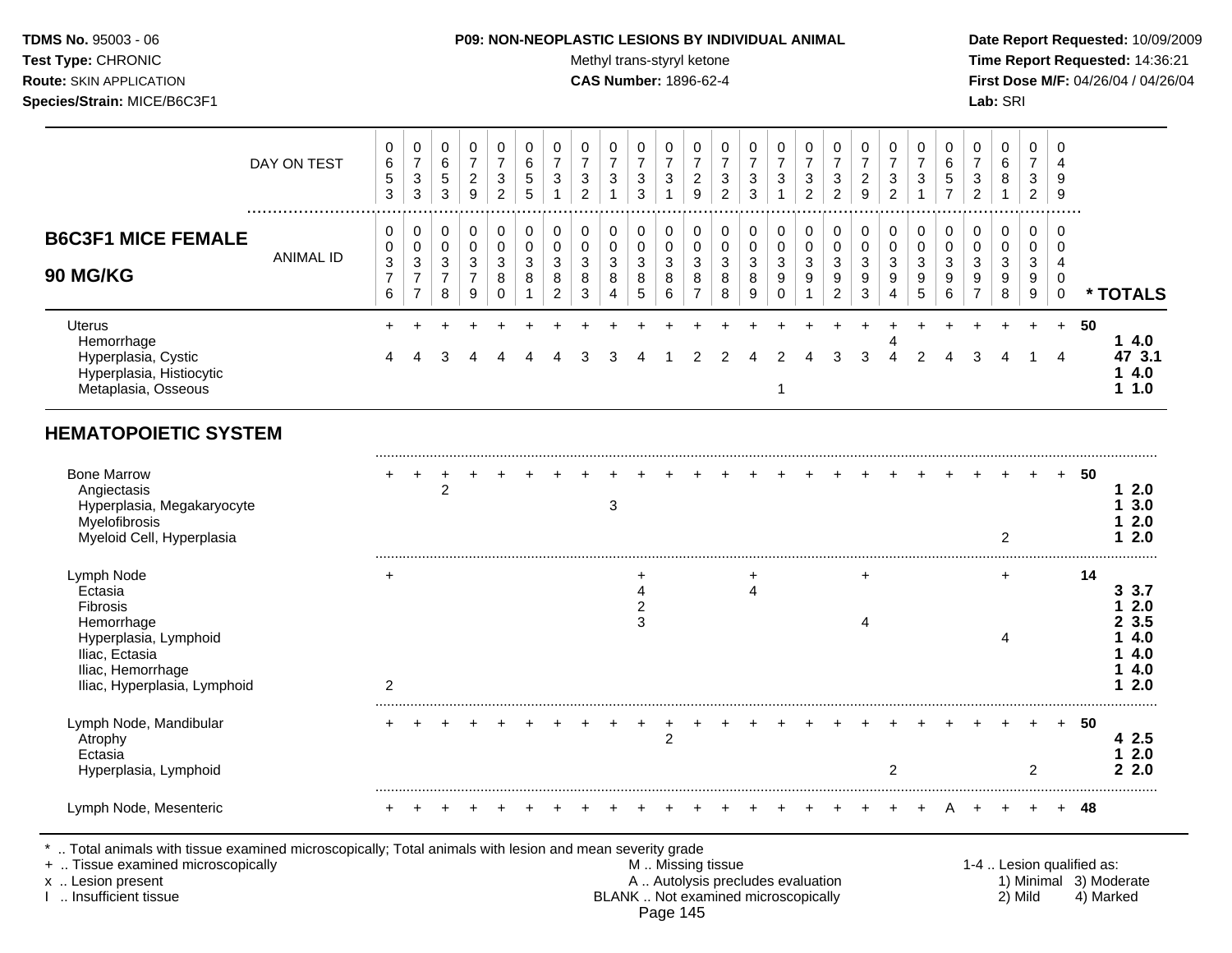**Test Type:** CHRONIC **Test Type:** CHRONIC **Test Type:** CHRONIC **Time Report Requested:** 14:36:21 **Route:** SKIN APPLICATION **CAS Number:** 1896-62-4 **First Dose M/F:** 04/26/04 / 04/26/04 **Species/Strain:** MICE/B6C3F1 **Lab:** SRI

|                                                                                                       | DAY ON TEST      | 0<br>6<br>5<br>3                  | 0<br>$\overline{ }$<br>3<br>3                   | 0<br>6<br>5<br>3                   | 0<br>$\overline{ }$<br>$\overline{2}$<br>9 | $\overline{ }$<br>3<br>2     | 0<br>6<br>5<br>5 | $\overline{\phantom{a}}$<br>3                          | 0<br>$\overline{ }$<br>3<br>2 | 0<br>$\overline{ }$<br>3 | $\overline{ }$<br>3<br>3 | $\overline{ }$<br>3   | ⇁<br>$\overline{2}$<br>9      | 0<br>⇁<br>3<br>2      | $\overline{ }$<br>3<br>3        | 0<br>$\overline{ }$<br>3        | 0<br>$\overline{ }$<br>3<br>$\mathcal{D}$ | $\overline{ }$<br>3<br>$\overline{c}$ | 0<br>$\overline{ }$<br>$\overline{2}$<br>9 | ⇁<br>3<br>$\sim$ | 0<br>3                | 6<br>5<br>$\overline{ }$ | 0<br>$\rightarrow$<br>3<br>2       | 0<br>6<br>8           | 0<br>$\overline{\phantom{a}}$<br>3<br>2 | 0<br>9<br>9      |                                   |
|-------------------------------------------------------------------------------------------------------|------------------|-----------------------------------|-------------------------------------------------|------------------------------------|--------------------------------------------|------------------------------|------------------|--------------------------------------------------------|-------------------------------|--------------------------|--------------------------|-----------------------|-------------------------------|-----------------------|---------------------------------|---------------------------------|-------------------------------------------|---------------------------------------|--------------------------------------------|------------------|-----------------------|--------------------------|------------------------------------|-----------------------|-----------------------------------------|------------------|-----------------------------------|
| <b>B6C3F1 MICE FEMALE</b><br><b>90 MG/KG</b>                                                          | <b>ANIMAL ID</b> | 0<br>0<br>3<br>$\rightarrow$<br>6 | 0<br>0<br>3<br>$\overline{ }$<br>$\overline{ }$ | 0<br>0<br>3<br>$\overline{ }$<br>8 | 0<br>0<br>3<br>$\overline{ }$<br>9         | 0<br>$\Omega$<br>3<br>8<br>0 | 0<br>0<br>3<br>8 | 0<br>$\mathbf 0$<br>$\sim$<br>ు<br>8<br>$\overline{2}$ | 0<br>0<br>3<br>8<br>3         | 0<br>0<br>3<br>8<br>4    | 0<br>0<br>3<br>8<br>5    | 0<br>0<br>3<br>8<br>6 | 0<br>3<br>8<br>$\overline{ }$ | 0<br>0<br>3<br>8<br>8 | 0<br>$\mathbf 0$<br>3<br>8<br>9 | 0<br>0<br>3<br>$\mathsf g$<br>0 | 0<br>0<br>3<br>9                          | 0<br>0<br>3<br>9<br>$\overline{2}$    | 0<br>0<br>3<br>9<br>3                      | 0<br>3<br>9      | 0<br>0<br>3<br>9<br>5 | $\sim$<br>ు<br>9<br>6    | 0<br>0<br>3<br>9<br>$\overline{ }$ | 0<br>0<br>3<br>9<br>8 | 0<br>3<br>9<br>9                        | .<br>0<br>0<br>0 | * TOTALS                          |
| <b>Uterus</b><br>Hemorrhage<br>Hyperplasia, Cystic<br>Hyperplasia, Histiocytic<br>Metaplasia, Osseous |                  | 4                                 | 4                                               | 3                                  | 4                                          |                              | 4                |                                                        | 3                             | 3                        |                          |                       |                               |                       |                                 | $\mathcal{P}$                   | 4                                         | 3                                     | 3                                          | 4                |                       |                          | 3                                  | 4                     |                                         | $+$<br>4         | 50<br>4.0<br>47 3.1<br>4.0<br>1.0 |

# **HEMATOPOIETIC SYSTEM**

| <b>Bone Marrow</b><br>Angiectasis<br>Hyperplasia, Megakaryocyte<br>Myelofibrosis<br>Myeloid Cell, Hyperplasia |                | 2 |  |  | 3 |   |  |  |  |  |  |  | 2 |                | $\pm$ | 50 | 2.0<br>3.0<br>2.0<br>2.0  |
|---------------------------------------------------------------------------------------------------------------|----------------|---|--|--|---|---|--|--|--|--|--|--|---|----------------|-------|----|---------------------------|
| Lymph Node<br>Ectasia                                                                                         | $\overline{ }$ |   |  |  |   |   |  |  |  |  |  |  |   |                |       | 14 | 3<br>-3.7<br>2.0          |
| <b>Fibrosis</b><br>Hemorrhage<br>Hyperplasia, Lymphoid<br>Iliac, Ectasia<br>Iliac, Hemorrhage                 |                |   |  |  |   | 3 |  |  |  |  |  |  |   |                |       |    | 23.5<br>4.0<br>4.0<br>4.0 |
| Iliac, Hyperplasia, Lymphoid                                                                                  | $\mathcal{P}$  |   |  |  |   |   |  |  |  |  |  |  |   |                |       |    | 2.0                       |
| Lymph Node, Mandibular<br>Atrophy<br>Ectasia<br>Hyperplasia, Lymphoid                                         |                |   |  |  |   |   |  |  |  |  |  |  |   | $\mathfrak{p}$ | $+$   | 50 | 42.5<br>2.0<br>2.2.0      |
| Lymph Node, Mesenteric                                                                                        |                |   |  |  |   |   |  |  |  |  |  |  |   |                |       | 48 |                           |

+ .. Tissue examined microscopically M .. Missing tissue 1-4 .. Lesion qualified as: x .. Lesion present 1) Minimal 3) Moderate A .. Autolysis precludes evaluation 1) Minimal 3) Moderate I .. Insufficient tissue BLANK .. Not examined microscopically 2) Mild 4) Marked

Page 145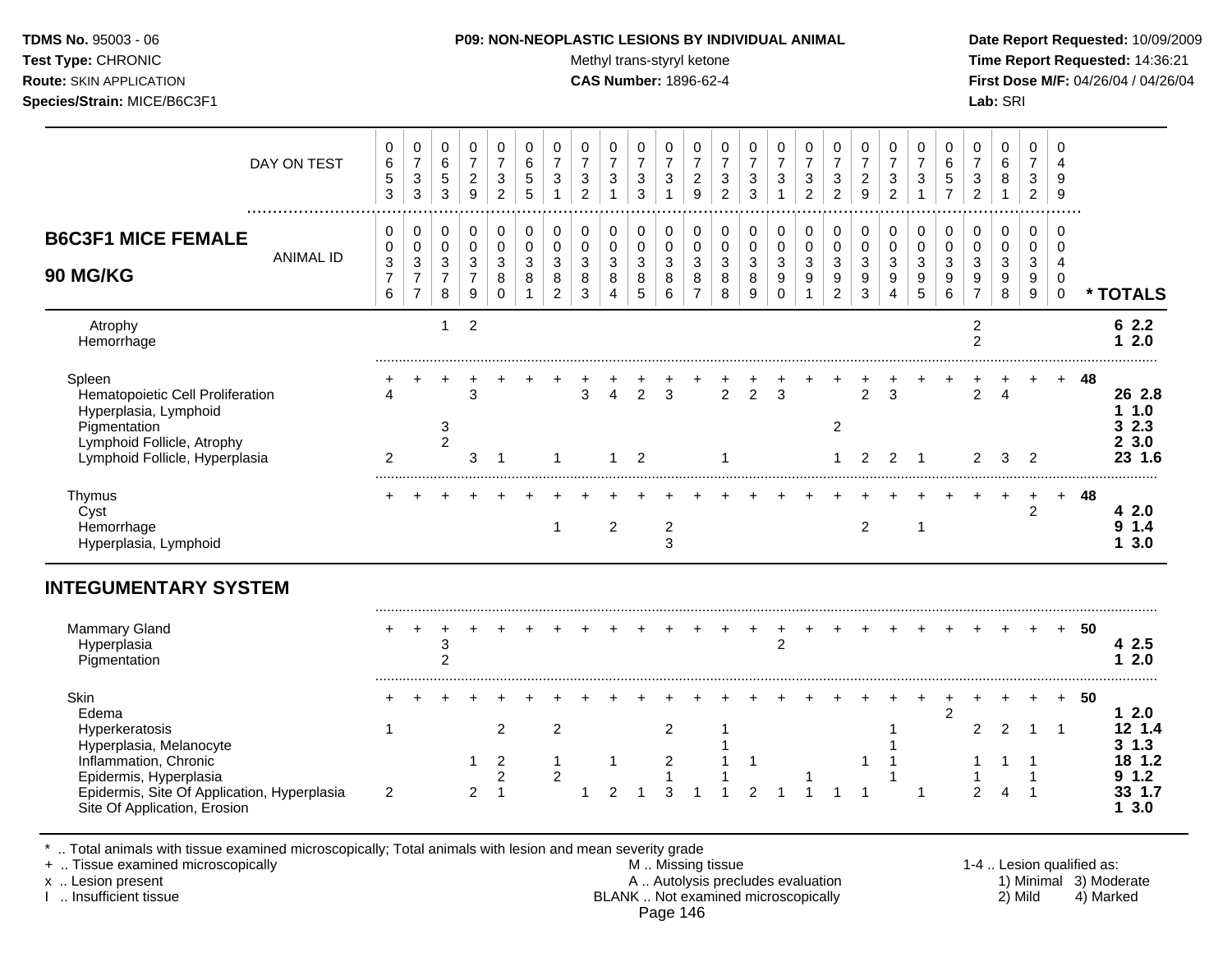Test Type: CHRONIC **Test Type:** CHRONIC **Test Type:** CHRONIC **Time Report Requested:** 14:36:21 **Route:** SKIN APPLICATION **CAS Number:** 1896-62-4 **First Dose M/F:** 04/26/04 / 04/26/04 **Species/Strain:** MICE/B6C3F1 **Lab:** SRI

| DAY ON TEST                                                                                                                                                                                  | 0<br>6<br>5<br>$\mathfrak{S}$                       | $\pmb{0}$<br>$\overline{7}$<br>$\sqrt{3}$<br>$\sqrt{3}$          | 0<br>$\,6$<br>5<br>3               | 0<br>$\overline{7}$<br>$\overline{c}$<br>9           | $\mathbf 0$<br>$\overline{7}$<br>3<br>$\overline{c}$                          | 0<br>6<br>5<br>5                           | 0<br>$\overline{7}$<br>$\mathbf{3}$                     | 0<br>$\overline{7}$<br>$\mathbf{3}$<br>$\overline{c}$ | 0<br>$\overline{7}$<br>3<br>$\mathbf{1}$                           | 0<br>$\overline{7}$<br>3<br>$\sqrt{3}$                   | 0<br>$\overline{7}$<br>3<br>1              | 0<br>$\overline{7}$<br>$\overline{2}$<br>9 | $\mathbf 0$<br>$\overline{7}$<br>3<br>$\overline{2}$     | 0<br>$\overline{7}$<br>3<br>3          | 0<br>$\boldsymbol{7}$<br>$\mathbf{3}$<br>1         | $\mathbf 0$<br>$\overline{7}$<br>$\sqrt{3}$<br>$\overline{c}$    | 0<br>$\overline{7}$<br>3<br>$\overline{2}$                                        | 0<br>$\overline{7}$<br>$\overline{c}$<br>$\overline{9}$   | 0<br>$\overline{7}$<br>3<br>$\overline{c}$ | 0<br>$\overline{7}$<br>$\mathbf{3}$<br>$\mathbf 1$      | 0<br>6<br>$\sqrt{5}$<br>$\overline{7}$                              | 0<br>$\overline{7}$<br>3<br>$\overline{c}$                           | 0<br>6<br>8                                                            | 0<br>$\overline{7}$<br>3<br>$\overline{2}$ | $\mathbf 0$<br>$\overline{4}$<br>9<br>$\boldsymbol{9}$ |    |                                                                      |
|----------------------------------------------------------------------------------------------------------------------------------------------------------------------------------------------|-----------------------------------------------------|------------------------------------------------------------------|------------------------------------|------------------------------------------------------|-------------------------------------------------------------------------------|--------------------------------------------|---------------------------------------------------------|-------------------------------------------------------|--------------------------------------------------------------------|----------------------------------------------------------|--------------------------------------------|--------------------------------------------|----------------------------------------------------------|----------------------------------------|----------------------------------------------------|------------------------------------------------------------------|-----------------------------------------------------------------------------------|-----------------------------------------------------------|--------------------------------------------|---------------------------------------------------------|---------------------------------------------------------------------|----------------------------------------------------------------------|------------------------------------------------------------------------|--------------------------------------------|--------------------------------------------------------|----|----------------------------------------------------------------------|
| <b>B6C3F1 MICE FEMALE</b><br><b>ANIMAL ID</b><br>90 MG/KG                                                                                                                                    | 0<br>$\pmb{0}$<br>$\sqrt{3}$<br>$\overline{7}$<br>6 | 0<br>$\pmb{0}$<br>$\sqrt{3}$<br>$\overline{7}$<br>$\overline{7}$ | 0<br>0<br>3<br>$\overline{7}$<br>8 | 0<br>$\pmb{0}$<br>$\mathbf 3$<br>$\overline{7}$<br>9 | $\mathbf 0$<br>$\mathbf 0$<br>3<br>8<br>$\Omega$                              | 0<br>$\mathbf 0$<br>3<br>8<br>$\mathbf{1}$ | 0<br>$\pmb{0}$<br>$\mathfrak{S}$<br>8<br>$\overline{2}$ | 0<br>0<br>$\sqrt{3}$<br>$\bf 8$<br>$\mathfrak{Z}$     | 0<br>$\pmb{0}$<br>$\ensuremath{\mathsf{3}}$<br>8<br>$\overline{4}$ | $\mathbf 0$<br>$\mathbf 0$<br>$\sqrt{3}$<br>$\,8\,$<br>5 | 0<br>$\mathbf 0$<br>3<br>8<br>6            | 0<br>0<br>3<br>8<br>$\overline{7}$         | $\mathbf 0$<br>$\mathbf 0$<br>$\sqrt{3}$<br>$\,8\,$<br>8 | 0<br>$\pmb{0}$<br>$\sqrt{3}$<br>8<br>9 | 0<br>$\pmb{0}$<br>$\mathbf{3}$<br>9<br>$\mathbf 0$ | 0<br>$\pmb{0}$<br>$\sqrt{3}$<br>$\boldsymbol{9}$<br>$\mathbf{1}$ | 0<br>$\pmb{0}$<br>$\ensuremath{\mathsf{3}}$<br>$\boldsymbol{9}$<br>$\overline{c}$ | 0<br>$\mathbf 0$<br>$\mathbf{3}$<br>$\boldsymbol{9}$<br>3 | 0<br>$\mathbf 0$<br>$\mathbf{3}$<br>9<br>4 | 0<br>$\pmb{0}$<br>$\mathbf{3}$<br>$\boldsymbol{9}$<br>5 | 0<br>$\pmb{0}$<br>$\mathsf 3$<br>$\boldsymbol{9}$<br>$6\phantom{a}$ | 0<br>$\mathbf 0$<br>$\sqrt{3}$<br>$\boldsymbol{9}$<br>$\overline{7}$ | 0<br>$\mathbf 0$<br>$\ensuremath{\mathsf{3}}$<br>$\boldsymbol{9}$<br>8 | 0<br>0<br>3<br>9<br>9                      | 0<br>0<br>4<br>$\mathbf 0$<br>$\mathbf 0$              |    | * TOTALS                                                             |
| Atrophy<br>Hemorrhage                                                                                                                                                                        |                                                     |                                                                  | $\mathbf{1}$                       | $\overline{2}$                                       |                                                                               |                                            |                                                         |                                                       |                                                                    |                                                          |                                            |                                            |                                                          |                                        |                                                    |                                                                  |                                                                                   |                                                           |                                            |                                                         |                                                                     | $\overline{c}$<br>$\overline{2}$                                     |                                                                        |                                            |                                                        |    | 62.2<br>$12.0$                                                       |
| Spleen<br>Hematopoietic Cell Proliferation<br>Hyperplasia, Lymphoid<br>Pigmentation<br>Lymphoid Follicle, Atrophy<br>Lymphoid Follicle, Hyperplasia                                          | 2                                                   |                                                                  | $\mathbf{3}$<br>$\overline{2}$     | 3<br>3                                               | $\overline{\mathbf{1}}$                                                       |                                            | $\mathbf 1$                                             | 3                                                     | $\overline{4}$<br>1                                                | $\overline{2}$<br>$\overline{2}$                         | 3                                          |                                            | 2<br>-1                                                  | $\overline{2}$                         | 3                                                  |                                                                  | $\overline{2}$<br>$\mathbf{1}$                                                    | $\overline{2}$<br>2                                       | 3<br>2                                     | $\overline{\phantom{0}}$ 1                              |                                                                     | $\overline{2}$<br>$\mathbf{2}^{\prime}$                              | $\boldsymbol{\Lambda}$<br>3                                            | $\overline{c}$                             |                                                        | 48 | 26 2.8<br>11.0<br>32.3<br>23.0<br>23 1.6                             |
| Thymus<br>Cyst<br>Hemorrhage<br>Hyperplasia, Lymphoid                                                                                                                                        |                                                     |                                                                  |                                    |                                                      |                                                                               |                                            | $\mathbf 1$                                             |                                                       | $\overline{c}$                                                     |                                                          | $\boldsymbol{2}$<br>3                      |                                            |                                                          |                                        |                                                    |                                                                  |                                                                                   | $\overline{2}$                                            |                                            | $\mathbf{1}$                                            |                                                                     |                                                                      |                                                                        | $\overline{2}$                             | $+$                                                    | 48 | 4 2.0<br>9 1.4<br>13.0                                               |
| <b>INTEGUMENTARY SYSTEM</b>                                                                                                                                                                  |                                                     |                                                                  |                                    |                                                      |                                                                               |                                            |                                                         |                                                       |                                                                    |                                                          |                                            |                                            |                                                          |                                        |                                                    |                                                                  |                                                                                   |                                                           |                                            |                                                         |                                                                     |                                                                      |                                                                        |                                            |                                                        |    |                                                                      |
| <b>Mammary Gland</b><br>Hyperplasia<br>Pigmentation                                                                                                                                          |                                                     |                                                                  | 3<br>$\overline{2}$                |                                                      |                                                                               |                                            |                                                         |                                                       |                                                                    |                                                          |                                            |                                            |                                                          |                                        | $\overline{2}$                                     |                                                                  |                                                                                   |                                                           |                                            |                                                         |                                                                     |                                                                      |                                                                        |                                            | $+$                                                    | 50 | 4 2.5<br>$12.0$                                                      |
| Skin<br>Edema<br>Hyperkeratosis<br>Hyperplasia, Melanocyte<br>Inflammation, Chronic<br>Epidermis, Hyperplasia<br>Epidermis, Site Of Application, Hyperplasia<br>Site Of Application, Erosion | -1<br>$\overline{2}$                                |                                                                  |                                    | 1<br>$\overline{c}$                                  | $\overline{2}$<br>$\overline{2}$<br>$\overline{\mathbf{c}}$<br>$\overline{1}$ |                                            | $\overline{c}$<br>$\mathbf{1}$<br>$\boldsymbol{2}$      | 1                                                     | -1<br>$\overline{2}$                                               |                                                          | $\overline{2}$<br>$\overline{c}$<br>1<br>3 |                                            | 1                                                        | 1<br>$\overline{2}$                    |                                                    |                                                                  |                                                                                   | 1                                                         |                                            | -1                                                      | $\overline{c}$                                                      | $\overline{2}$<br>2                                                  | 2<br>$\overline{4}$                                                    | $\mathbf{1}$<br>-1<br>1<br>$\overline{1}$  | $+$<br>$\mathbf{1}$                                    | 50 | $12.0$<br>12, 1.4<br>$3 \; 1.3$<br>18 1.2<br>9 1.2<br>33 1.7<br>13.0 |

\* .. Total animals with tissue examined microscopically; Total animals with lesion and mean severity grade

+ .. Tissue examined microscopically M .. Missing tissue 1-4 .. Lesion qualified as:

x .. Lesion present 1) Minimal 3) Moderate A .. Autolysis precludes evaluation 1) Minimal 3) Moderate I .. Insufficient tissue BLANK .. Not examined microscopically 2) Mild 4) Marked Page 146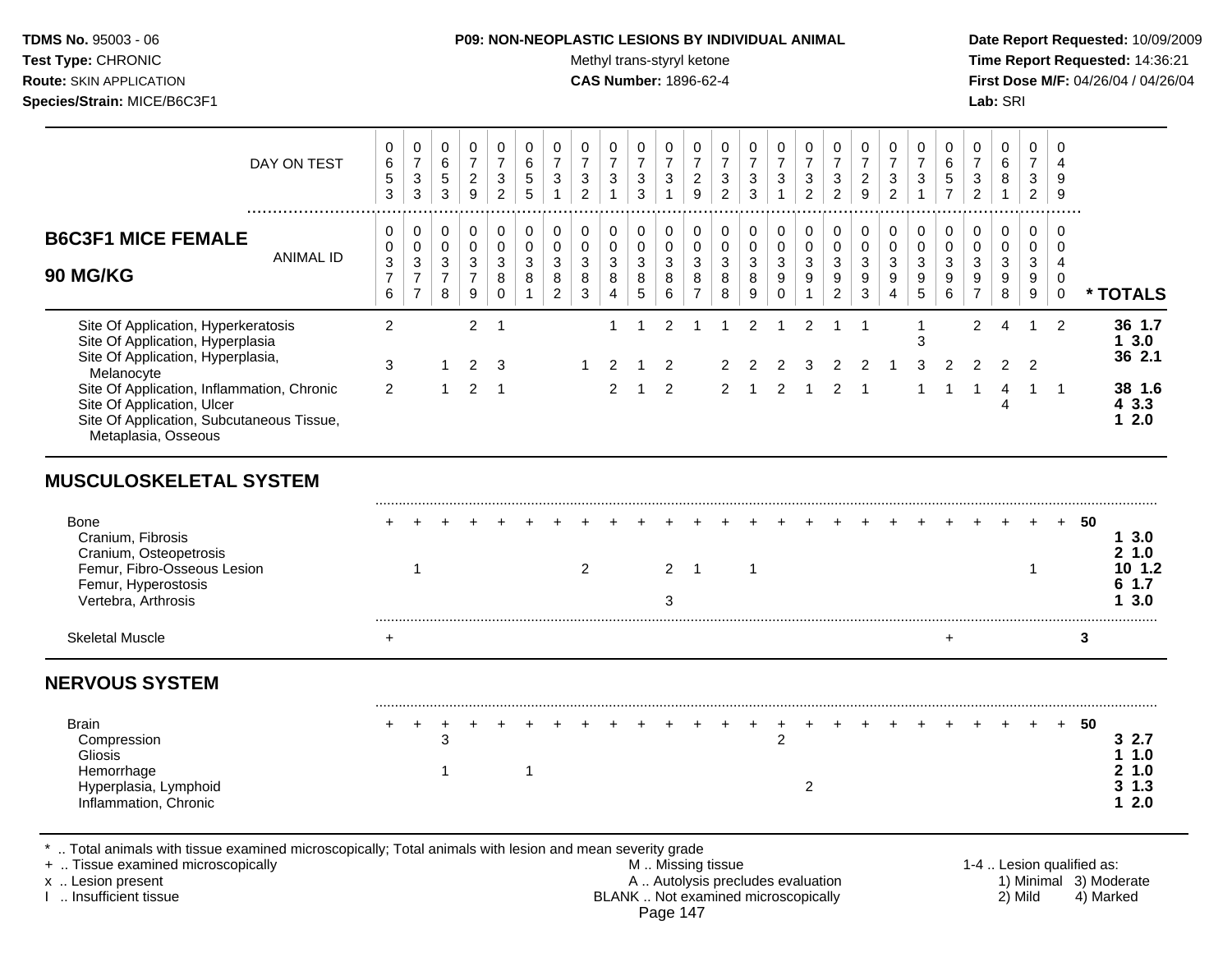Test Type: CHRONIC **Test Type:** CHRONIC **Test Type:** CHRONIC **Time Report Requested:** 14:36:21 **Route:** SKIN APPLICATION **CAS Number:** 1896-62-4 **First Dose M/F:** 04/26/04 / 04/26/04 **Species/Strain:** MICE/B6C3F1 **Lab:** SRI

| DAY ON TEST                                                                                                                                                                                | $\mathbf 0$<br>$\,6\,$<br>5<br>3             | 0<br>$\overline{7}$<br>$\mathbf{3}$<br>3                              | 0<br>6<br>5<br>3                                | 0<br>$\overline{7}$<br>$\overline{c}$<br>$\overline{9}$              | $\mathbf 0$<br>$\overline{7}$<br>3<br>$\overline{2}$ | 0<br>$\,6\,$<br>$\sqrt{5}$<br>5             | $\mathbf 0$<br>$\overline{7}$<br>3<br>$\mathbf{1}$          | 0<br>$\overline{7}$<br>3<br>$\overline{2}$          | $\mathbf 0$<br>$\overline{7}$<br>3<br>$\overline{1}$                      | $\mathbf 0$<br>$\overline{7}$<br>$\mathbf{3}$<br>3 | 0<br>$\overline{7}$<br>$\sqrt{3}$<br>$\mathbf{1}$ | 0<br>$\overline{7}$<br>$\overline{c}$<br>$\boldsymbol{9}$                                     | $\mathbf 0$<br>$\boldsymbol{7}$<br>$\ensuremath{\mathsf{3}}$<br>$\overline{2}$ | $\mathbf 0$<br>$\overline{7}$<br>3<br>$\mathbf{3}$          | 0<br>$\overline{7}$<br>$\mathbf{3}$<br>$\mathbf{1}$                       | 0<br>$\overline{7}$<br>3<br>$\overline{2}$                 | 0<br>$\overline{7}$<br>$\mathsf 3$<br>$\overline{2}$                 | $\mathbf 0$<br>$\overline{7}$<br>$\overline{c}$<br>9 | $\mathbf 0$<br>$\overline{7}$<br>3<br>$\overline{2}$        | 0<br>$\overline{7}$<br>$\ensuremath{\mathsf{3}}$<br>$\mathbf{1}$                  | 0<br>6<br>$\,$ 5 $\,$<br>$\overline{7}$    | $\mathbf 0$<br>$\overline{7}$<br>$\ensuremath{\mathsf{3}}$<br>$\overline{2}$        | $\mathbf 0$<br>$\,6\,$<br>8<br>$\mathbf{1}$                             | $\mathbf 0$<br>$\overline{7}$<br>$\mathbf{3}$<br>$\overline{2}$ | $\mathbf 0$<br>$\overline{4}$<br>9<br>9                          |                           |                                            |
|--------------------------------------------------------------------------------------------------------------------------------------------------------------------------------------------|----------------------------------------------|-----------------------------------------------------------------------|-------------------------------------------------|----------------------------------------------------------------------|------------------------------------------------------|---------------------------------------------|-------------------------------------------------------------|-----------------------------------------------------|---------------------------------------------------------------------------|----------------------------------------------------|---------------------------------------------------|-----------------------------------------------------------------------------------------------|--------------------------------------------------------------------------------|-------------------------------------------------------------|---------------------------------------------------------------------------|------------------------------------------------------------|----------------------------------------------------------------------|------------------------------------------------------|-------------------------------------------------------------|-----------------------------------------------------------------------------------|--------------------------------------------|-------------------------------------------------------------------------------------|-------------------------------------------------------------------------|-----------------------------------------------------------------|------------------------------------------------------------------|---------------------------|--------------------------------------------|
| <b>B6C3F1 MICE FEMALE</b><br><b>ANIMAL ID</b><br>90 MG/KG                                                                                                                                  | 0<br>0<br>$\,$ 3 $\,$<br>$\overline{7}$<br>6 | 0<br>$\mathbf 0$<br>$\mathsf 3$<br>$\boldsymbol{7}$<br>$\overline{7}$ | 0<br>0<br>$\mathbf{3}$<br>$\boldsymbol{7}$<br>8 | 0<br>$\mathbf 0$<br>$\sqrt{3}$<br>$\overline{7}$<br>$\boldsymbol{9}$ | 0<br>$\mathbf 0$<br>$\mathbf{3}$<br>8<br>$\pmb{0}$   | $\pmb{0}$<br>0<br>$\mathfrak{S}$<br>$\,8\,$ | $\pmb{0}$<br>$\pmb{0}$<br>$\sqrt{3}$<br>8<br>$\overline{c}$ | 0<br>0<br>$\mathbf{3}$<br>$\bf 8$<br>$\mathfrak{S}$ | 0<br>$\mathbf 0$<br>$\ensuremath{\mathsf{3}}$<br>$\, 8$<br>$\overline{4}$ | 0<br>$\pmb{0}$<br>$\mathfrak{S}$<br>8<br>$5\,$     | 0<br>$\pmb{0}$<br>$\mathbf{3}$<br>8<br>$\,6\,$    | 0<br>0<br>$\ensuremath{\mathsf{3}}$<br>$\bf 8$<br>$\overline{7}$                              | 0<br>$\pmb{0}$<br>$\sqrt{3}$<br>8<br>$\bf 8$                                   | 0<br>$\pmb{0}$<br>$\sqrt{3}$<br>$\,8\,$<br>$\boldsymbol{9}$ | 0<br>$\mathsf{O}\xspace$<br>$\mathbf{3}$<br>$\boldsymbol{9}$<br>$\pmb{0}$ | 0<br>0<br>$\mathbf{3}$<br>$\boldsymbol{9}$<br>$\mathbf{1}$ | 0<br>$\mathbf 0$<br>$\sqrt{3}$<br>$\boldsymbol{9}$<br>$\overline{2}$ | 0<br>$\pmb{0}$<br>$\mathfrak{S}$<br>9<br>3           | $\pmb{0}$<br>0<br>$\mathfrak{S}$<br>$9\,$<br>$\overline{4}$ | 0<br>$\pmb{0}$<br>$\ensuremath{\mathsf{3}}$<br>$\boldsymbol{9}$<br>$\overline{5}$ | 0<br>0<br>3<br>$\boldsymbol{9}$<br>$\,6\,$ | 0<br>$\mathbf 0$<br>$\ensuremath{\mathsf{3}}$<br>$\boldsymbol{9}$<br>$\overline{7}$ | 0<br>$\mathsf{O}\xspace$<br>$\mathbf{3}$<br>$\boldsymbol{9}$<br>$\bf 8$ | 0<br>0<br>$\mathbf{3}$<br>$\boldsymbol{9}$<br>$\boldsymbol{9}$  | 0<br>$\mathbf 0$<br>$\overline{4}$<br>$\mathbf 0$<br>$\mathsf 0$ |                           | * TOTALS                                   |
| Site Of Application, Hyperkeratosis<br>Site Of Application, Hyperplasia<br>Site Of Application, Hyperplasia,<br>Melanocyte                                                                 | $\overline{2}$<br>3                          |                                                                       | 1                                               | $\overline{2}$<br>2                                                  | $\overline{1}$<br>3                                  |                                             |                                                             | $\mathbf 1$                                         | $\mathbf{1}$<br>2                                                         | $\mathbf{1}$<br>1                                  | $\overline{c}$<br>$\overline{2}$                  | $\mathbf{1}$                                                                                  | -1<br>2                                                                        | 2<br>2                                                      | $\overline{1}$<br>2                                                       | $\overline{2}$<br>3                                        | $\overline{1}$                                                       | $\overline{1}$<br>$\overline{2}$                     |                                                             | $\mathbf{1}$<br>3<br>3                                                            | 2                                          | 2<br>2                                                                              | 4<br>$\overline{2}$                                                     | $\overline{1}$<br>2                                             | 2                                                                |                           | 36 1.7<br>13.0<br>36 2.1                   |
| Site Of Application, Inflammation, Chronic<br>Site Of Application, Ulcer<br>Site Of Application, Subcutaneous Tissue,<br>Metaplasia, Osseous                                               | 2                                            |                                                                       | $\mathbf{1}$                                    | 2                                                                    | $\overline{1}$                                       |                                             |                                                             |                                                     | $\overline{2}$                                                            | $\mathbf{1}$                                       | $\overline{2}$                                    |                                                                                               | $\overline{2}$                                                                 | $\overline{1}$                                              | 2                                                                         | $\mathbf 1$                                                | 2                                                                    | $\mathbf 1$                                          |                                                             |                                                                                   | 1                                          | $\overline{1}$                                                                      | 4<br>4                                                                  | $\mathbf{1}$                                                    | $\overline{1}$                                                   |                           | 38 1.6<br>43.3<br>12.0                     |
| <b>MUSCULOSKELETAL SYSTEM</b>                                                                                                                                                              |                                              |                                                                       |                                                 |                                                                      |                                                      |                                             |                                                             |                                                     |                                                                           |                                                    |                                                   |                                                                                               |                                                                                |                                                             |                                                                           |                                                            |                                                                      |                                                      |                                                             |                                                                                   |                                            |                                                                                     |                                                                         |                                                                 |                                                                  |                           |                                            |
| <b>Bone</b><br>Cranium, Fibrosis<br>Cranium, Osteopetrosis<br>Femur, Fibro-Osseous Lesion<br>Femur, Hyperostosis<br>Vertebra, Arthrosis                                                    |                                              | 1                                                                     |                                                 |                                                                      |                                                      |                                             |                                                             | $\overline{2}$                                      |                                                                           |                                                    | 2<br>3                                            | $\overline{1}$                                                                                |                                                                                | $\overline{1}$                                              |                                                                           |                                                            |                                                                      |                                                      |                                                             |                                                                                   |                                            |                                                                                     |                                                                         | $\mathbf 1$                                                     |                                                                  | 50                        | 13.0<br>21.0<br>101.2<br>61.7<br>3.0<br>1  |
| <b>Skeletal Muscle</b>                                                                                                                                                                     | $\ddot{}$                                    |                                                                       |                                                 |                                                                      |                                                      |                                             |                                                             |                                                     |                                                                           |                                                    |                                                   |                                                                                               |                                                                                |                                                             |                                                                           |                                                            |                                                                      |                                                      |                                                             |                                                                                   | $\ddot{}$                                  |                                                                                     |                                                                         |                                                                 |                                                                  | 3                         |                                            |
| <b>NERVOUS SYSTEM</b>                                                                                                                                                                      |                                              |                                                                       |                                                 |                                                                      |                                                      |                                             |                                                             |                                                     |                                                                           |                                                    |                                                   |                                                                                               |                                                                                |                                                             |                                                                           |                                                            |                                                                      |                                                      |                                                             |                                                                                   |                                            |                                                                                     |                                                                         |                                                                 |                                                                  |                           |                                            |
| <b>Brain</b><br>Compression<br><b>Gliosis</b><br>Hemorrhage<br>Hyperplasia, Lymphoid<br>Inflammation, Chronic                                                                              |                                              | $\div$                                                                | 3<br>$\mathbf 1$                                |                                                                      |                                                      | 1                                           |                                                             |                                                     |                                                                           |                                                    |                                                   |                                                                                               |                                                                                |                                                             | $\overline{2}$                                                            | $\overline{2}$                                             |                                                                      |                                                      |                                                             |                                                                                   |                                            |                                                                                     |                                                                         |                                                                 | $+$                                                              | -50                       | 32.7<br>11.0<br>2 1.0<br>$3 \t1.3$<br>12.0 |
| Total animals with tissue examined microscopically; Total animals with lesion and mean severity grade<br>+  Tissue examined microscopically<br>x  Lesion present<br>I  Insufficient tissue |                                              |                                                                       |                                                 |                                                                      |                                                      |                                             |                                                             |                                                     |                                                                           |                                                    |                                                   | M  Missing tissue<br>A  Autolysis precludes evaluation<br>BLANK  Not examined microscopically |                                                                                |                                                             |                                                                           |                                                            |                                                                      |                                                      |                                                             |                                                                                   |                                            |                                                                                     |                                                                         | 2) Mild                                                         |                                                                  | 1-4  Lesion qualified as: | 1) Minimal 3) Moderate<br>4) Marked        |

BLANK .. Not examined microscopically Page 147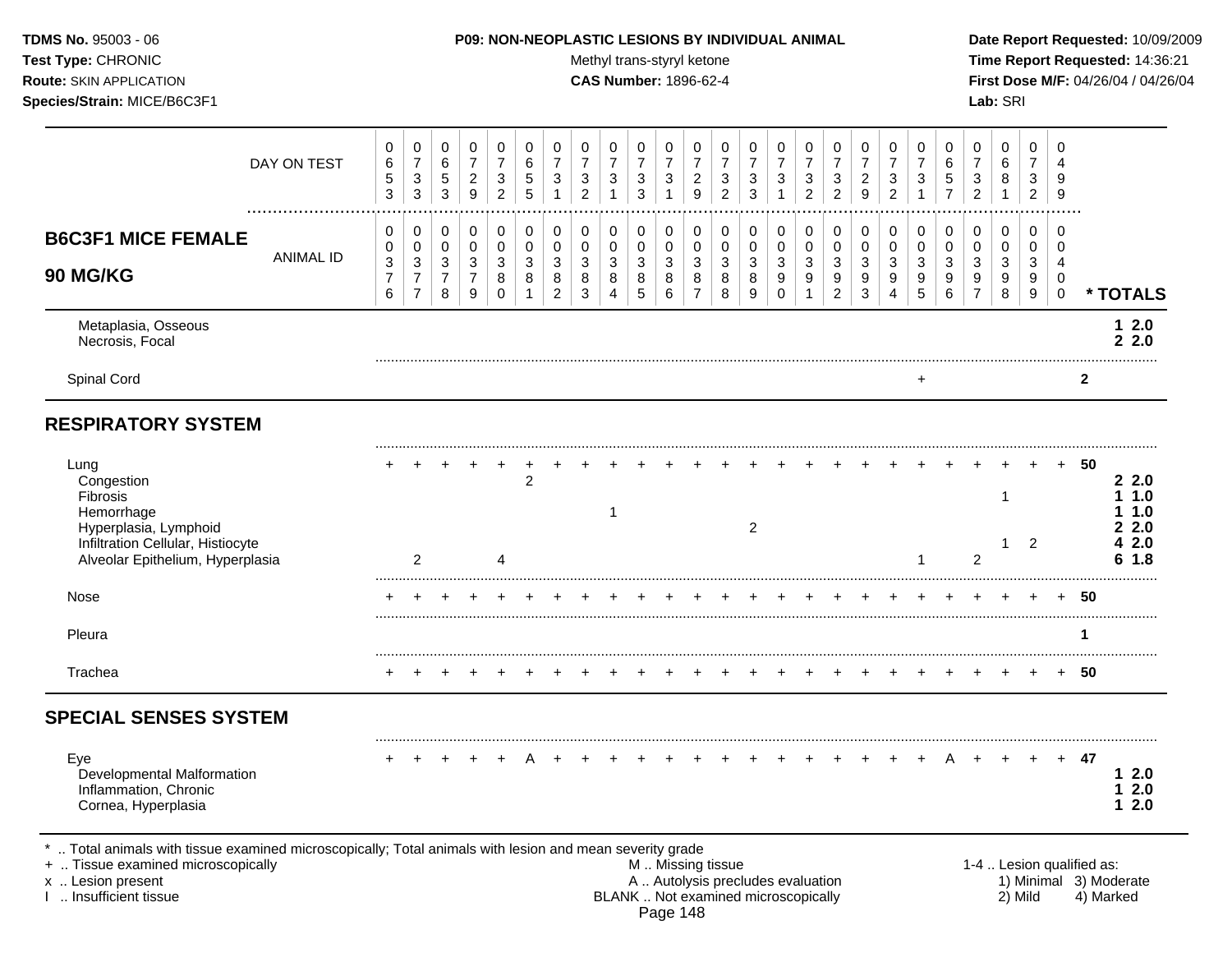**Species/Strain:** MICE/B6C3F1 **Lab:** SRI

## **TDMS No.** 95003 - 06 **P09: NON-NEOPLASTIC LESIONS BY INDIVIDUAL ANIMAL Date Report Requested:** 10/09/2009

Test Type: CHRONIC **Test Type:** CHRONIC **Test Type:** CHRONIC **Time Report Requested:** 14:36:21 **Route:** SKIN APPLICATION **CAS Number:** 1896-62-4 **First Dose M/F:** 04/26/04 / 04/26/04

|                                                                                                                                                | DAY ON TEST      | 0<br>$\,6$<br>$\sqrt{5}$<br>3               | $\pmb{0}$<br>$\overline{7}$<br>$\ensuremath{\mathsf{3}}$<br>$\mathbf{3}$        | 0<br>$\,6\,$<br>$\sqrt{5}$<br>$\mathbf{3}$              | 0<br>$\overline{7}$<br>$\overline{c}$<br>9                    | $\mathbf 0$<br>$\overline{7}$<br>3<br>$\overline{2}$         | 0<br>6<br>5<br>5           | 0<br>$\overline{7}$<br>3                               | $\mathbf 0$<br>$\overline{7}$<br>3<br>$\overline{2}$ | 0<br>$\overline{7}$<br>$\mathbf{3}$         | 0<br>$\overline{7}$<br>$\sqrt{3}$<br>3               | 0<br>$\overline{7}$<br>3<br>1              | 0<br>$\overline{7}$<br>$\overline{a}$<br>9             | 0<br>$\overline{7}$<br>3<br>$\overline{c}$ | 0<br>$\overline{7}$<br>3<br>3 | 0<br>$\overline{7}$<br>3<br>1                        | 0<br>$\overline{7}$<br>3<br>$\overline{2}$ | 0<br>$\overline{7}$<br>$\sqrt{3}$<br>$\overline{2}$   | 0<br>$\boldsymbol{7}$<br>$\overline{c}$<br>9    | 0<br>$\overline{7}$<br>3<br>$\overline{2}$ | 0<br>$\overline{7}$<br>3<br>1   | 0<br>6<br>5<br>$\overline{7}$ | $\Omega$<br>3<br>$\overline{2}$                     | 0<br>6<br>8                     | 0<br>$\overline{7}$<br>3<br>$\overline{2}$ | $\Omega$<br>$\boldsymbol{\Lambda}$<br>9<br>9               |              |                                              |
|------------------------------------------------------------------------------------------------------------------------------------------------|------------------|---------------------------------------------|---------------------------------------------------------------------------------|---------------------------------------------------------|---------------------------------------------------------------|--------------------------------------------------------------|----------------------------|--------------------------------------------------------|------------------------------------------------------|---------------------------------------------|------------------------------------------------------|--------------------------------------------|--------------------------------------------------------|--------------------------------------------|-------------------------------|------------------------------------------------------|--------------------------------------------|-------------------------------------------------------|-------------------------------------------------|--------------------------------------------|---------------------------------|-------------------------------|-----------------------------------------------------|---------------------------------|--------------------------------------------|------------------------------------------------------------|--------------|----------------------------------------------|
| <b>B6C3F1 MICE FEMALE</b><br><b>90 MG/KG</b>                                                                                                   | <b>ANIMAL ID</b> | 0<br>0<br>$\sqrt{3}$<br>$\overline{7}$<br>6 | 0<br>$\pmb{0}$<br>$\ensuremath{\mathsf{3}}$<br>$\overline{7}$<br>$\overline{7}$ | 0<br>$\mathbf 0$<br>$\mathbf{3}$<br>$\overline{7}$<br>8 | $\pmb{0}$<br>$\pmb{0}$<br>$\mathbf{3}$<br>$\overline{7}$<br>9 | $\mathbf 0$<br>$\mathbf 0$<br>$\sqrt{3}$<br>8<br>$\mathbf 0$ | 0<br>$\mathbf 0$<br>3<br>8 | $\mathbf 0$<br>$\mathbf 0$<br>3<br>8<br>$\overline{c}$ | $\pmb{0}$<br>$\mathbf 0$<br>3<br>8<br>3              | 0<br>0<br>$\sqrt{3}$<br>8<br>$\overline{4}$ | $\mathbf 0$<br>$\mathbf 0$<br>$\mathbf{3}$<br>8<br>5 | 0<br>$\mathbf 0$<br>$\mathbf{3}$<br>8<br>6 | $\mathbf 0$<br>$\mathbf 0$<br>3<br>8<br>$\overline{7}$ | 0<br>$\mathbf 0$<br>3<br>8<br>8            | 0<br>0<br>3<br>8<br>9         | $\mathbf 0$<br>0<br>$\mathbf{3}$<br>9<br>$\mathbf 0$ | 0<br>$\pmb{0}$<br>$\mathbf{3}$<br>9<br>1   | 0<br>$\pmb{0}$<br>$\sqrt{3}$<br>9<br>$\boldsymbol{2}$ | 0<br>$\boldsymbol{0}$<br>$\mathbf{3}$<br>9<br>3 | 0<br>$\pmb{0}$<br>3<br>9<br>4              | 0<br>$\mathbf 0$<br>3<br>9<br>5 | 0<br>0<br>3<br>9<br>6         | $\mathbf 0$<br>$\Omega$<br>3<br>9<br>$\overline{7}$ | 0<br>$\mathbf 0$<br>3<br>9<br>8 | 0<br>0<br>$\mathbf{3}$<br>9<br>9           | $\mathbf 0$<br>$\Omega$<br>4<br>$\mathbf 0$<br>$\mathbf 0$ |              | * TOTALS                                     |
| Metaplasia, Osseous<br>Necrosis, Focal                                                                                                         |                  |                                             |                                                                                 |                                                         |                                                               |                                                              |                            |                                                        |                                                      |                                             |                                                      |                                            |                                                        |                                            |                               |                                                      |                                            |                                                       |                                                 |                                            |                                 |                               |                                                     |                                 |                                            |                                                            |              | $12.0$<br>22.0                               |
| Spinal Cord                                                                                                                                    |                  |                                             |                                                                                 |                                                         |                                                               |                                                              |                            |                                                        |                                                      |                                             |                                                      |                                            |                                                        |                                            |                               |                                                      |                                            |                                                       |                                                 |                                            | +                               |                               |                                                     |                                 |                                            |                                                            | $\mathbf{2}$ |                                              |
| <b>RESPIRATORY SYSTEM</b>                                                                                                                      |                  |                                             |                                                                                 |                                                         |                                                               |                                                              |                            |                                                        |                                                      |                                             |                                                      |                                            |                                                        |                                            |                               |                                                      |                                            |                                                       |                                                 |                                            |                                 |                               |                                                     |                                 |                                            |                                                            |              |                                              |
| Lung<br>Congestion<br>Fibrosis<br>Hemorrhage<br>Hyperplasia, Lymphoid<br>Infiltration Cellular, Histiocyte<br>Alveolar Epithelium, Hyperplasia |                  |                                             | 2                                                                               |                                                         |                                                               | $\Lambda$                                                    | $\overline{c}$             |                                                        |                                                      | 1                                           |                                                      |                                            |                                                        |                                            | $\overline{c}$                |                                                      |                                            |                                                       |                                                 |                                            | 1                               |                               | $\overline{2}$                                      | 1<br>1                          | $\overline{2}$                             |                                                            | 50           | 22.0<br>1.0<br>1.0<br>2.0<br>2.0<br>1.8<br>6 |
| <b>Nose</b>                                                                                                                                    |                  |                                             |                                                                                 |                                                         |                                                               |                                                              |                            |                                                        |                                                      |                                             |                                                      |                                            |                                                        |                                            |                               |                                                      |                                            |                                                       |                                                 |                                            |                                 |                               |                                                     |                                 |                                            |                                                            | 50           |                                              |
| Pleura                                                                                                                                         |                  |                                             |                                                                                 |                                                         |                                                               |                                                              |                            |                                                        |                                                      |                                             |                                                      |                                            |                                                        |                                            |                               |                                                      |                                            |                                                       |                                                 |                                            |                                 |                               |                                                     |                                 |                                            |                                                            | 1            |                                              |
| Trachea                                                                                                                                        |                  |                                             |                                                                                 |                                                         |                                                               |                                                              |                            |                                                        |                                                      |                                             |                                                      |                                            |                                                        |                                            |                               |                                                      |                                            |                                                       |                                                 |                                            |                                 |                               |                                                     |                                 |                                            |                                                            | 50           |                                              |
| <b>SPECIAL SENSES SYSTEM</b>                                                                                                                   |                  |                                             |                                                                                 |                                                         |                                                               |                                                              |                            |                                                        |                                                      |                                             |                                                      |                                            |                                                        |                                            |                               |                                                      |                                            |                                                       |                                                 |                                            |                                 |                               |                                                     |                                 |                                            |                                                            |              |                                              |
| Eye<br><b>Developmental Malformation</b><br>Inflammation, Chronic<br>Cornea, Hyperplasia                                                       |                  |                                             |                                                                                 |                                                         |                                                               |                                                              |                            |                                                        |                                                      |                                             |                                                      |                                            |                                                        |                                            |                               |                                                      |                                            |                                                       |                                                 |                                            |                                 |                               |                                                     |                                 |                                            | $+$                                                        | 47           | 12.0<br>2.0<br>1.<br>2.0<br>1                |

\* .. Total animals with tissue examined microscopically; Total animals with lesion and mean severity grade

+ .. Tissue examined microscopically M .. Missing tissue 1-4 .. Lesion qualified as: x .. Lesion present 1) Minimal 3) Moderate A .. Autolysis precludes evaluation 1) Minimal 3) Moderate I .. Insufficient tissue BLANK .. Not examined microscopically 2) Mild 4) Marked Page 148